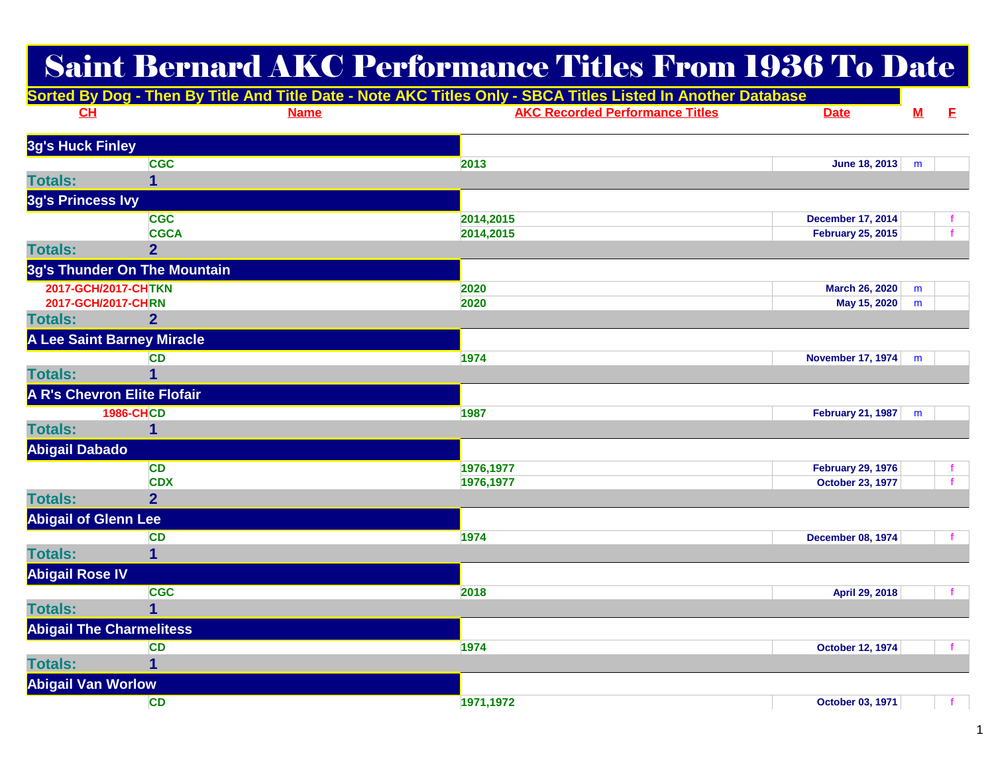## Saint Bernard AKC Performance Titles From 1936 To Date

|                                    |                                   | Sorted By Dog - Then By Title And Title Date - Note AKC Titles Only - SBCA Titles Listed In Another Database |                                        |                          |                          |   |
|------------------------------------|-----------------------------------|--------------------------------------------------------------------------------------------------------------|----------------------------------------|--------------------------|--------------------------|---|
| CН                                 |                                   | <b>Name</b>                                                                                                  | <b>AKC Recorded Performance Titles</b> | <b>Date</b>              | $\underline{\mathbf{M}}$ | E |
| 3g's Huck Finley                   |                                   |                                                                                                              |                                        |                          |                          |   |
|                                    | <b>CGC</b>                        |                                                                                                              | 2013                                   | June 18, 2013            | m                        |   |
| <b>Totals:</b>                     | 1                                 |                                                                                                              |                                        |                          |                          |   |
| 3g's Princess Ivy                  |                                   |                                                                                                              |                                        |                          |                          |   |
|                                    | <b>CGC</b>                        |                                                                                                              | 2014,2015                              | <b>December 17, 2014</b> |                          |   |
|                                    | <b>CGCA</b>                       |                                                                                                              | 2014,2015                              | <b>February 25, 2015</b> |                          |   |
| <b>Totals:</b>                     | $\overline{2}$                    |                                                                                                              |                                        |                          |                          |   |
|                                    | 3g's Thunder On The Mountain      |                                                                                                              |                                        |                          |                          |   |
| 2017-GCH/2017-CHTKN                |                                   |                                                                                                              | 2020                                   | March 26, 2020           | m                        |   |
| 2017-GCH/2017-CHRN                 |                                   |                                                                                                              | 2020                                   | May 15, 2020             | ${\sf m}$                |   |
| <b>Totals:</b>                     | $\overline{2}$                    |                                                                                                              |                                        |                          |                          |   |
|                                    | <b>A Lee Saint Barney Miracle</b> |                                                                                                              |                                        |                          |                          |   |
|                                    | <b>CD</b>                         |                                                                                                              | 1974                                   | <b>November 17, 1974</b> | m                        |   |
| <b>Totals:</b>                     | 1                                 |                                                                                                              |                                        |                          |                          |   |
| <b>A R's Chevron Elite Flofair</b> |                                   |                                                                                                              |                                        |                          |                          |   |
|                                    | <b>1986-CHCD</b>                  |                                                                                                              | 1987                                   | <b>February 21, 1987</b> | m                        |   |
| <b>Totals:</b>                     | 1                                 |                                                                                                              |                                        |                          |                          |   |
| <b>Abigail Dabado</b>              |                                   |                                                                                                              |                                        |                          |                          |   |
|                                    | <b>CD</b>                         |                                                                                                              | 1976,1977                              | <b>February 29, 1976</b> |                          |   |
|                                    | <b>CDX</b>                        |                                                                                                              | 1976,1977                              | <b>October 23, 1977</b>  |                          |   |
| <b>Totals:</b>                     | $\overline{2}$                    |                                                                                                              |                                        |                          |                          |   |
| <b>Abigail of Glenn Lee</b>        |                                   |                                                                                                              |                                        |                          |                          |   |
|                                    | <b>CD</b>                         |                                                                                                              | 1974                                   | <b>December 08, 1974</b> |                          |   |
| <b>Totals:</b>                     | $\mathbf{1}$                      |                                                                                                              |                                        |                          |                          |   |
| <b>Abigail Rose IV</b>             |                                   |                                                                                                              |                                        |                          |                          |   |
|                                    | <b>CGC</b>                        |                                                                                                              | 2018                                   | April 29, 2018           |                          |   |
| <b>Totals:</b>                     | 1                                 |                                                                                                              |                                        |                          |                          |   |
| <b>Abigail The Charmelitess</b>    |                                   |                                                                                                              |                                        |                          |                          |   |
|                                    | <b>CD</b>                         |                                                                                                              | 1974                                   | October 12, 1974         |                          |   |
| <b>Totals:</b>                     | 1                                 |                                                                                                              |                                        |                          |                          |   |
| <b>Abigail Van Worlow</b>          |                                   |                                                                                                              |                                        |                          |                          |   |
|                                    | <b>CD</b>                         |                                                                                                              | 1971,1972                              | October 03, 1971         |                          |   |
|                                    |                                   |                                                                                                              |                                        |                          |                          |   |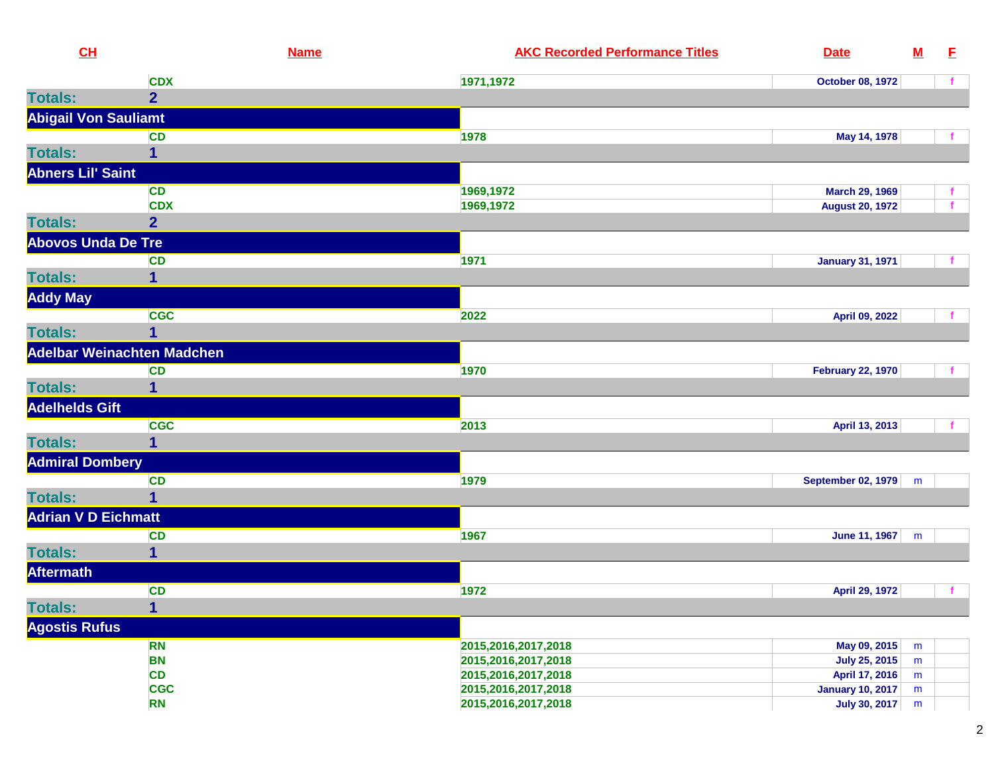| CL                          |                                   | <b>Name</b><br><b>AKC Recorded Performance Titles</b><br><b>Date</b>            | ${\bf M}$ | E  |
|-----------------------------|-----------------------------------|---------------------------------------------------------------------------------|-----------|----|
|                             | <b>CDX</b>                        | 1971,1972<br><b>October 08, 1972</b>                                            |           |    |
| <b>Totals:</b>              | 2 <sup>1</sup>                    |                                                                                 |           |    |
| <b>Abigail Von Sauliamt</b> |                                   |                                                                                 |           |    |
|                             | <b>CD</b>                         | 1978<br>May 14, 1978                                                            |           |    |
| <b>Totals:</b>              | 1                                 |                                                                                 |           |    |
| <b>Abners Lil' Saint</b>    |                                   |                                                                                 |           |    |
|                             | <b>CD</b>                         | 1969,1972<br>March 29, 1969                                                     |           |    |
|                             | <b>CDX</b>                        | 1969,1972<br><b>August 20, 1972</b>                                             |           |    |
| <b>Totals:</b>              | $\overline{2}$                    |                                                                                 |           |    |
| <b>Abovos Unda De Tre</b>   |                                   |                                                                                 |           |    |
|                             | <b>CD</b>                         | 1971<br><b>January 31, 1971</b>                                                 |           | f. |
| <b>Totals:</b>              | 1                                 |                                                                                 |           |    |
| <b>Addy May</b>             |                                   |                                                                                 |           |    |
|                             | <b>CGC</b>                        | 2022<br>April 09, 2022                                                          |           |    |
| <b>Totals:</b>              |                                   |                                                                                 |           |    |
|                             | <b>Adelbar Weinachten Madchen</b> |                                                                                 |           |    |
|                             | <b>CD</b>                         | 1970<br><b>February 22, 1970</b>                                                |           |    |
| <b>Totals:</b>              | 1                                 |                                                                                 |           |    |
| <b>Adelhelds Gift</b>       |                                   |                                                                                 |           |    |
|                             | <b>CGC</b>                        | 2013<br>April 13, 2013                                                          |           |    |
| <b>Totals:</b>              | 1                                 |                                                                                 |           |    |
| <b>Admiral Dombery</b>      |                                   |                                                                                 |           |    |
|                             | <b>CD</b>                         | 1979<br><b>September 02, 1979</b>                                               | m         |    |
| <b>Totals:</b>              | $\mathbf{1}$                      |                                                                                 |           |    |
| <b>Adrian V D Eichmatt</b>  |                                   |                                                                                 |           |    |
|                             | <b>CD</b>                         | 1967<br>June 11, 1967                                                           | m         |    |
| <b>Totals:</b>              | 1                                 |                                                                                 |           |    |
| <b>Aftermath</b>            |                                   |                                                                                 |           |    |
|                             | <b>CD</b>                         | 1972<br>April 29, 1972                                                          |           | f. |
| <b>Totals:</b>              | 1                                 |                                                                                 |           |    |
| <b>Agostis Rufus</b>        |                                   |                                                                                 |           |    |
|                             | <b>RN</b>                         | 2015,2016,2017,2018<br>May 09, 2015                                             | m         |    |
|                             | <b>BN</b>                         | 2015,2016,2017,2018<br><b>July 25, 2015</b>                                     | m         |    |
|                             | <b>CD</b>                         | April 17, 2016<br>2015,2016,2017,2018                                           | m         |    |
|                             | <b>CGC</b><br><b>RN</b>           | January 10, 2017<br>2015,2016,2017,2018<br>2015,2016,2017,2018<br>July 30, 2017 | m         |    |
|                             |                                   |                                                                                 | m         |    |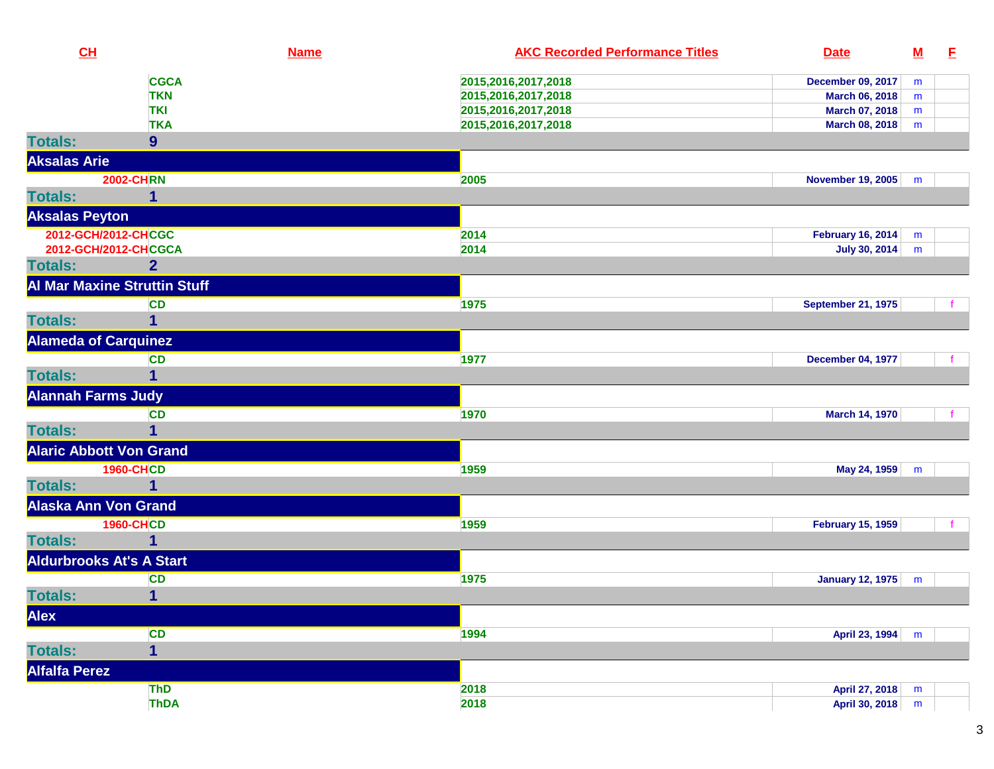| CL                              | <b>Name</b>                         | <b>AKC Recorded Performance Titles</b> | <b>Date</b>               | <u>M</u> | E |
|---------------------------------|-------------------------------------|----------------------------------------|---------------------------|----------|---|
|                                 | <b>CGCA</b>                         | 2015,2016,2017,2018                    | <b>December 09, 2017</b>  | m        |   |
|                                 | <b>TKN</b>                          | 2015,2016,2017,2018                    | March 06, 2018            | m        |   |
|                                 | <b>TKI</b>                          | 2015,2016,2017,2018                    | March 07, 2018            | m        |   |
|                                 | <b>TKA</b>                          | 2015,2016,2017,2018                    | March 08, 2018            | m        |   |
| <b>Totals:</b>                  | 9                                   |                                        |                           |          |   |
| <b>Aksalas Arie</b>             |                                     |                                        |                           |          |   |
|                                 | <b>2002-CHRN</b>                    | 2005                                   | <b>November 19, 2005</b>  | m        |   |
| <b>Totals:</b>                  | 1                                   |                                        |                           |          |   |
| <b>Aksalas Peyton</b>           |                                     |                                        |                           |          |   |
| 2012-GCH/2012-CHCGC             |                                     | 2014                                   | <b>February 16, 2014</b>  | m        |   |
|                                 | 2012-GCH/2012-CHCGCA                | 2014                                   | <b>July 30, 2014</b>      | m        |   |
| <b>Totals:</b>                  | $\overline{2}$                      |                                        |                           |          |   |
|                                 | <b>Al Mar Maxine Struttin Stuff</b> |                                        |                           |          |   |
|                                 | <b>CD</b>                           | 1975                                   | <b>September 21, 1975</b> |          |   |
| <b>Totals:</b>                  |                                     |                                        |                           |          |   |
| <b>Alameda of Carquinez</b>     |                                     |                                        |                           |          |   |
|                                 | <b>CD</b>                           | 1977                                   | <b>December 04, 1977</b>  |          |   |
| <b>Totals:</b>                  | 1                                   |                                        |                           |          |   |
| <b>Alannah Farms Judy</b>       |                                     |                                        |                           |          |   |
|                                 | <b>CD</b>                           | 1970                                   | <b>March 14, 1970</b>     |          |   |
| <b>Totals:</b>                  | 1                                   |                                        |                           |          |   |
| <b>Alaric Abbott Von Grand</b>  |                                     |                                        |                           |          |   |
|                                 | <b>1960-CHCD</b>                    | 1959                                   | May 24, 1959              | m        |   |
| <b>Totals:</b>                  |                                     |                                        |                           |          |   |
| <b>Alaska Ann Von Grand</b>     |                                     |                                        |                           |          |   |
|                                 | <b>1960-CHCD</b>                    | 1959                                   | <b>February 15, 1959</b>  |          |   |
| <b>Totals:</b>                  | 1                                   |                                        |                           |          |   |
| <b>Aldurbrooks At's A Start</b> |                                     |                                        |                           |          |   |
|                                 | <b>CD</b>                           | 1975                                   | January 12, 1975          | m        |   |
| <b>Totals:</b>                  | 1                                   |                                        |                           |          |   |
| Alex                            |                                     |                                        |                           |          |   |
|                                 | <b>CD</b>                           | 1994                                   | April 23, 1994            | m        |   |
| <b>Totals:</b>                  | $\overline{\mathbf{1}}$             |                                        |                           |          |   |
| <b>Alfalfa Perez</b>            |                                     |                                        |                           |          |   |
|                                 | ThD                                 | 2018                                   | April 27, 2018            | m        |   |
|                                 | <b>ThDA</b>                         | 2018                                   | April 30, 2018            | m        |   |
|                                 |                                     |                                        |                           |          |   |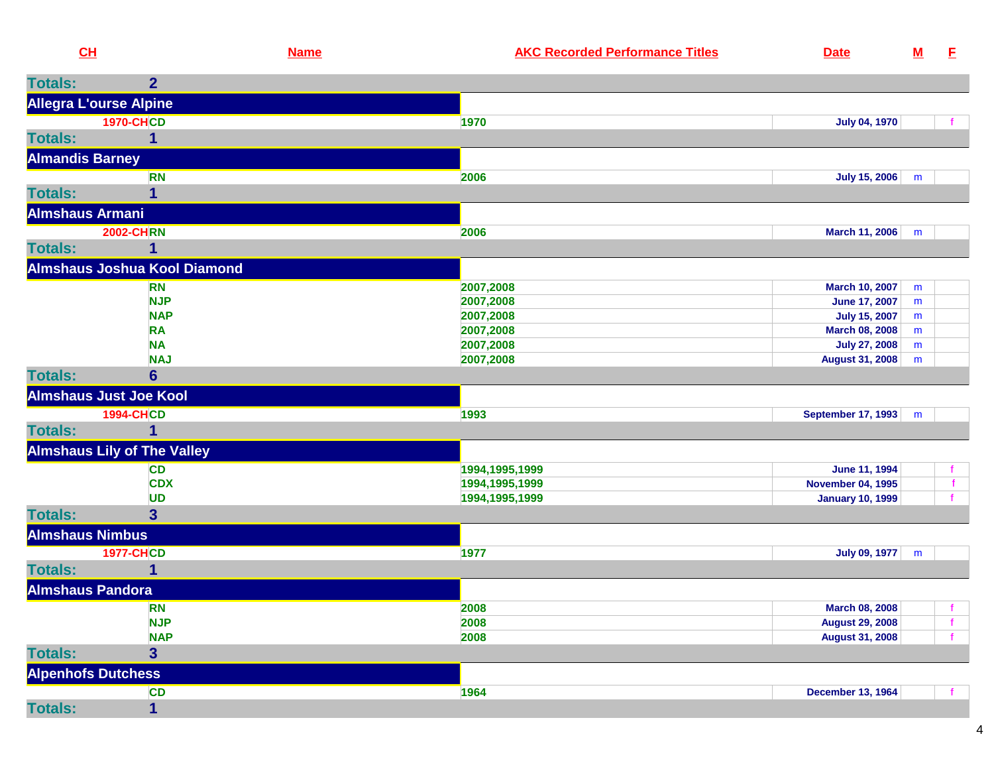| <b>Totals:</b><br>2 <sup>1</sup><br><b>Allegra L'ourse Alpine</b><br><b>1970-CHCD</b><br><b>July 04, 1970</b><br>1970<br>$\mathbf{1}$<br><b>Almandis Barney</b><br><b>RN</b><br><b>July 15, 2006</b><br>2006<br>m<br>1<br><b>Almshaus Armani</b><br><b>2002-CHRN</b><br>2006<br>March 11, 2006<br>m<br>1<br><b>Almshaus Joshua Kool Diamond</b><br>2007,2008<br><b>RN</b><br>March 10, 2007<br>m<br><b>NJP</b><br>2007,2008<br><b>June 17, 2007</b><br>m<br><b>NAP</b><br>2007,2008<br><b>July 15, 2007</b><br>${\sf m}$<br><b>RA</b><br>2007,2008<br>March 08, 2008<br>m<br><b>NA</b><br>2007,2008<br><b>July 27, 2008</b><br>m<br><b>NAJ</b><br>2007,2008<br><b>August 31, 2008</b><br>m<br><b>Totals:</b><br>$6\phantom{1}$<br><b>Almshaus Just Joe Kool</b><br><b>1994-CHCD</b><br>1993<br><b>September 17, 1993</b><br>m<br>1<br><b>Almshaus Lily of The Valley</b><br><b>CD</b><br>1994,1995,1999<br>June 11, 1994<br><b>CDX</b><br><b>November 04, 1995</b><br>f<br>1994,1995,1999<br><b>UD</b><br>1994, 1995, 1999<br><b>January 10, 1999</b><br>$\mathbf{f}$<br><b>Totals:</b><br>3 <sup>5</sup><br><b>Almshaus Nimbus</b><br><b>1977-CHCD</b><br>1977<br>July 09, 1977<br>m<br>1<br><b>Almshaus Pandora</b><br><b>RN</b><br>2008<br><b>March 08, 2008</b><br><b>NJP</b><br>2008<br><b>August 29, 2008</b><br>$\mathbf{f}$<br><b>NAP</b><br>2008<br><b>August 31, 2008</b><br>$\overline{\mathbf{3}}$<br><b>Alpenhofs Dutchess</b><br><b>CD</b><br>1964<br><b>December 13, 1964</b><br>$\overline{\mathbf{1}}$ | CL             | <b>Name</b> | <b>AKC Recorded Performance Titles</b> | <b>Date</b> | ${\bf M}$ | -E |
|-------------------------------------------------------------------------------------------------------------------------------------------------------------------------------------------------------------------------------------------------------------------------------------------------------------------------------------------------------------------------------------------------------------------------------------------------------------------------------------------------------------------------------------------------------------------------------------------------------------------------------------------------------------------------------------------------------------------------------------------------------------------------------------------------------------------------------------------------------------------------------------------------------------------------------------------------------------------------------------------------------------------------------------------------------------------------------------------------------------------------------------------------------------------------------------------------------------------------------------------------------------------------------------------------------------------------------------------------------------------------------------------------------------------------------------------------------------------------------------------------------------------------|----------------|-------------|----------------------------------------|-------------|-----------|----|
|                                                                                                                                                                                                                                                                                                                                                                                                                                                                                                                                                                                                                                                                                                                                                                                                                                                                                                                                                                                                                                                                                                                                                                                                                                                                                                                                                                                                                                                                                                                         |                |             |                                        |             |           |    |
|                                                                                                                                                                                                                                                                                                                                                                                                                                                                                                                                                                                                                                                                                                                                                                                                                                                                                                                                                                                                                                                                                                                                                                                                                                                                                                                                                                                                                                                                                                                         |                |             |                                        |             |           |    |
|                                                                                                                                                                                                                                                                                                                                                                                                                                                                                                                                                                                                                                                                                                                                                                                                                                                                                                                                                                                                                                                                                                                                                                                                                                                                                                                                                                                                                                                                                                                         |                |             |                                        |             |           |    |
|                                                                                                                                                                                                                                                                                                                                                                                                                                                                                                                                                                                                                                                                                                                                                                                                                                                                                                                                                                                                                                                                                                                                                                                                                                                                                                                                                                                                                                                                                                                         | <b>Totals:</b> |             |                                        |             |           |    |
|                                                                                                                                                                                                                                                                                                                                                                                                                                                                                                                                                                                                                                                                                                                                                                                                                                                                                                                                                                                                                                                                                                                                                                                                                                                                                                                                                                                                                                                                                                                         |                |             |                                        |             |           |    |
|                                                                                                                                                                                                                                                                                                                                                                                                                                                                                                                                                                                                                                                                                                                                                                                                                                                                                                                                                                                                                                                                                                                                                                                                                                                                                                                                                                                                                                                                                                                         |                |             |                                        |             |           |    |
|                                                                                                                                                                                                                                                                                                                                                                                                                                                                                                                                                                                                                                                                                                                                                                                                                                                                                                                                                                                                                                                                                                                                                                                                                                                                                                                                                                                                                                                                                                                         | <b>Totals:</b> |             |                                        |             |           |    |
|                                                                                                                                                                                                                                                                                                                                                                                                                                                                                                                                                                                                                                                                                                                                                                                                                                                                                                                                                                                                                                                                                                                                                                                                                                                                                                                                                                                                                                                                                                                         |                |             |                                        |             |           |    |
|                                                                                                                                                                                                                                                                                                                                                                                                                                                                                                                                                                                                                                                                                                                                                                                                                                                                                                                                                                                                                                                                                                                                                                                                                                                                                                                                                                                                                                                                                                                         |                |             |                                        |             |           |    |
|                                                                                                                                                                                                                                                                                                                                                                                                                                                                                                                                                                                                                                                                                                                                                                                                                                                                                                                                                                                                                                                                                                                                                                                                                                                                                                                                                                                                                                                                                                                         | <b>Totals:</b> |             |                                        |             |           |    |
|                                                                                                                                                                                                                                                                                                                                                                                                                                                                                                                                                                                                                                                                                                                                                                                                                                                                                                                                                                                                                                                                                                                                                                                                                                                                                                                                                                                                                                                                                                                         |                |             |                                        |             |           |    |
|                                                                                                                                                                                                                                                                                                                                                                                                                                                                                                                                                                                                                                                                                                                                                                                                                                                                                                                                                                                                                                                                                                                                                                                                                                                                                                                                                                                                                                                                                                                         |                |             |                                        |             |           |    |
|                                                                                                                                                                                                                                                                                                                                                                                                                                                                                                                                                                                                                                                                                                                                                                                                                                                                                                                                                                                                                                                                                                                                                                                                                                                                                                                                                                                                                                                                                                                         |                |             |                                        |             |           |    |
|                                                                                                                                                                                                                                                                                                                                                                                                                                                                                                                                                                                                                                                                                                                                                                                                                                                                                                                                                                                                                                                                                                                                                                                                                                                                                                                                                                                                                                                                                                                         |                |             |                                        |             |           |    |
|                                                                                                                                                                                                                                                                                                                                                                                                                                                                                                                                                                                                                                                                                                                                                                                                                                                                                                                                                                                                                                                                                                                                                                                                                                                                                                                                                                                                                                                                                                                         |                |             |                                        |             |           |    |
|                                                                                                                                                                                                                                                                                                                                                                                                                                                                                                                                                                                                                                                                                                                                                                                                                                                                                                                                                                                                                                                                                                                                                                                                                                                                                                                                                                                                                                                                                                                         |                |             |                                        |             |           |    |
|                                                                                                                                                                                                                                                                                                                                                                                                                                                                                                                                                                                                                                                                                                                                                                                                                                                                                                                                                                                                                                                                                                                                                                                                                                                                                                                                                                                                                                                                                                                         |                |             |                                        |             |           |    |
|                                                                                                                                                                                                                                                                                                                                                                                                                                                                                                                                                                                                                                                                                                                                                                                                                                                                                                                                                                                                                                                                                                                                                                                                                                                                                                                                                                                                                                                                                                                         |                |             |                                        |             |           |    |
|                                                                                                                                                                                                                                                                                                                                                                                                                                                                                                                                                                                                                                                                                                                                                                                                                                                                                                                                                                                                                                                                                                                                                                                                                                                                                                                                                                                                                                                                                                                         |                |             |                                        |             |           |    |
|                                                                                                                                                                                                                                                                                                                                                                                                                                                                                                                                                                                                                                                                                                                                                                                                                                                                                                                                                                                                                                                                                                                                                                                                                                                                                                                                                                                                                                                                                                                         |                |             |                                        |             |           |    |
|                                                                                                                                                                                                                                                                                                                                                                                                                                                                                                                                                                                                                                                                                                                                                                                                                                                                                                                                                                                                                                                                                                                                                                                                                                                                                                                                                                                                                                                                                                                         | <b>Totals:</b> |             |                                        |             |           |    |
|                                                                                                                                                                                                                                                                                                                                                                                                                                                                                                                                                                                                                                                                                                                                                                                                                                                                                                                                                                                                                                                                                                                                                                                                                                                                                                                                                                                                                                                                                                                         |                |             |                                        |             |           |    |
|                                                                                                                                                                                                                                                                                                                                                                                                                                                                                                                                                                                                                                                                                                                                                                                                                                                                                                                                                                                                                                                                                                                                                                                                                                                                                                                                                                                                                                                                                                                         |                |             |                                        |             |           |    |
|                                                                                                                                                                                                                                                                                                                                                                                                                                                                                                                                                                                                                                                                                                                                                                                                                                                                                                                                                                                                                                                                                                                                                                                                                                                                                                                                                                                                                                                                                                                         |                |             |                                        |             |           |    |
|                                                                                                                                                                                                                                                                                                                                                                                                                                                                                                                                                                                                                                                                                                                                                                                                                                                                                                                                                                                                                                                                                                                                                                                                                                                                                                                                                                                                                                                                                                                         |                |             |                                        |             |           |    |
|                                                                                                                                                                                                                                                                                                                                                                                                                                                                                                                                                                                                                                                                                                                                                                                                                                                                                                                                                                                                                                                                                                                                                                                                                                                                                                                                                                                                                                                                                                                         |                |             |                                        |             |           |    |
|                                                                                                                                                                                                                                                                                                                                                                                                                                                                                                                                                                                                                                                                                                                                                                                                                                                                                                                                                                                                                                                                                                                                                                                                                                                                                                                                                                                                                                                                                                                         |                |             |                                        |             |           |    |
|                                                                                                                                                                                                                                                                                                                                                                                                                                                                                                                                                                                                                                                                                                                                                                                                                                                                                                                                                                                                                                                                                                                                                                                                                                                                                                                                                                                                                                                                                                                         |                |             |                                        |             |           |    |
|                                                                                                                                                                                                                                                                                                                                                                                                                                                                                                                                                                                                                                                                                                                                                                                                                                                                                                                                                                                                                                                                                                                                                                                                                                                                                                                                                                                                                                                                                                                         | <b>Totals:</b> |             |                                        |             |           |    |
|                                                                                                                                                                                                                                                                                                                                                                                                                                                                                                                                                                                                                                                                                                                                                                                                                                                                                                                                                                                                                                                                                                                                                                                                                                                                                                                                                                                                                                                                                                                         |                |             |                                        |             |           |    |
|                                                                                                                                                                                                                                                                                                                                                                                                                                                                                                                                                                                                                                                                                                                                                                                                                                                                                                                                                                                                                                                                                                                                                                                                                                                                                                                                                                                                                                                                                                                         |                |             |                                        |             |           |    |
|                                                                                                                                                                                                                                                                                                                                                                                                                                                                                                                                                                                                                                                                                                                                                                                                                                                                                                                                                                                                                                                                                                                                                                                                                                                                                                                                                                                                                                                                                                                         |                |             |                                        |             |           |    |
|                                                                                                                                                                                                                                                                                                                                                                                                                                                                                                                                                                                                                                                                                                                                                                                                                                                                                                                                                                                                                                                                                                                                                                                                                                                                                                                                                                                                                                                                                                                         |                |             |                                        |             |           |    |
|                                                                                                                                                                                                                                                                                                                                                                                                                                                                                                                                                                                                                                                                                                                                                                                                                                                                                                                                                                                                                                                                                                                                                                                                                                                                                                                                                                                                                                                                                                                         | <b>Totals:</b> |             |                                        |             |           |    |
|                                                                                                                                                                                                                                                                                                                                                                                                                                                                                                                                                                                                                                                                                                                                                                                                                                                                                                                                                                                                                                                                                                                                                                                                                                                                                                                                                                                                                                                                                                                         |                |             |                                        |             |           |    |
|                                                                                                                                                                                                                                                                                                                                                                                                                                                                                                                                                                                                                                                                                                                                                                                                                                                                                                                                                                                                                                                                                                                                                                                                                                                                                                                                                                                                                                                                                                                         |                |             |                                        |             |           |    |
|                                                                                                                                                                                                                                                                                                                                                                                                                                                                                                                                                                                                                                                                                                                                                                                                                                                                                                                                                                                                                                                                                                                                                                                                                                                                                                                                                                                                                                                                                                                         | <b>Totals:</b> |             |                                        |             |           |    |

4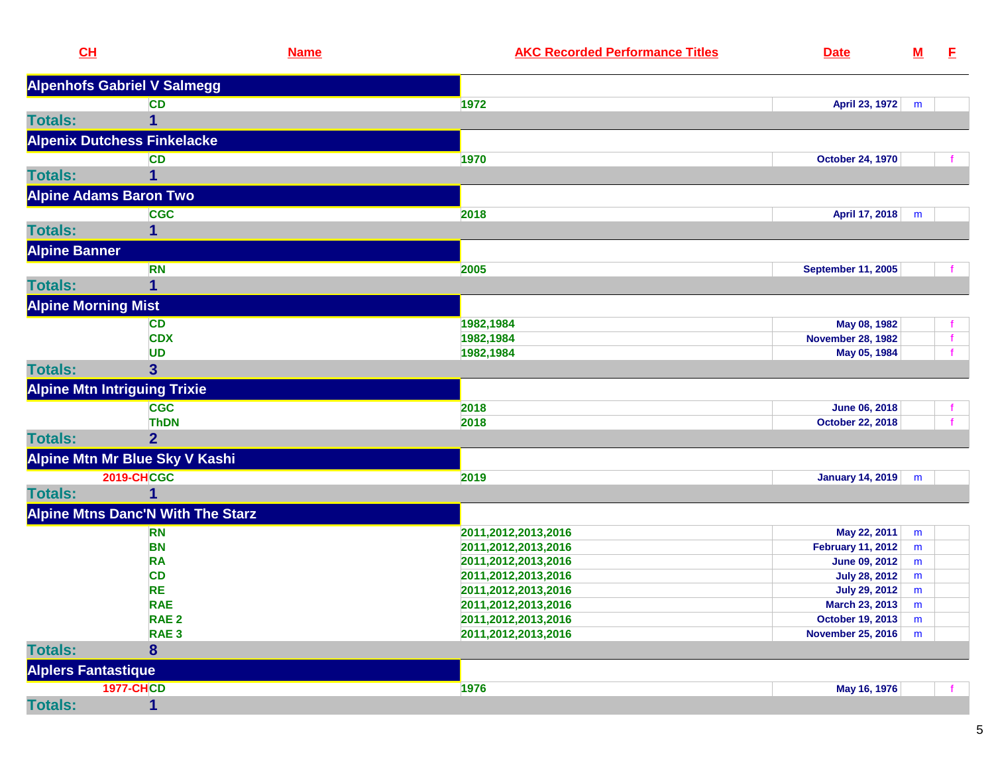| CL                         |                                          | <b>AKC Recorded Performance Titles</b><br><b>Name</b><br><b>Date</b> | $\underline{\mathsf{M}}$ | E.           |
|----------------------------|------------------------------------------|----------------------------------------------------------------------|--------------------------|--------------|
|                            | <b>Alpenhofs Gabriel V Salmegg</b>       |                                                                      |                          |              |
|                            | <b>CD</b>                                | 1972<br>April 23, 1972                                               | m                        |              |
| <b>Totals:</b>             | 1                                        |                                                                      |                          |              |
|                            | <b>Alpenix Dutchess Finkelacke</b>       |                                                                      |                          |              |
|                            | <b>CD</b>                                | 1970<br><b>October 24, 1970</b>                                      |                          |              |
| <b>Totals:</b>             | 1                                        |                                                                      |                          |              |
|                            | <b>Alpine Adams Baron Two</b>            |                                                                      |                          |              |
|                            | <b>CGC</b>                               | 2018<br>April 17, 2018                                               | m                        |              |
| <b>Totals:</b>             | 1                                        |                                                                      |                          |              |
| <b>Alpine Banner</b>       |                                          |                                                                      |                          |              |
|                            | <b>RN</b>                                | <b>September 11, 2005</b><br>2005                                    |                          |              |
| <b>Totals:</b>             | 1                                        |                                                                      |                          |              |
| <b>Alpine Morning Mist</b> |                                          |                                                                      |                          |              |
|                            | <b>CD</b>                                | 1982,1984<br>May 08, 1982                                            |                          |              |
|                            | <b>CDX</b>                               | 1982,1984<br><b>November 28, 1982</b>                                |                          | $\mathbf{f}$ |
|                            | <b>UD</b>                                | 1982,1984<br>May 05, 1984                                            |                          |              |
| <b>Totals:</b>             | $\mathbf{3}$                             |                                                                      |                          |              |
|                            | <b>Alpine Mtn Intriguing Trixie</b>      |                                                                      |                          |              |
|                            | <b>CGC</b>                               | 2018<br>June 06, 2018                                                |                          |              |
|                            | <b>ThDN</b>                              | 2018<br><b>October 22, 2018</b>                                      |                          |              |
| <b>Totals:</b>             | $\overline{2}$                           |                                                                      |                          |              |
|                            | Alpine Mtn Mr Blue Sky V Kashi           |                                                                      |                          |              |
|                            | <b>2019-CHCGC</b>                        | 2019<br><b>January 14, 2019</b>                                      | m                        |              |
| <b>Totals:</b>             | 1                                        |                                                                      |                          |              |
|                            | <b>Alpine Mtns Danc'N With The Starz</b> |                                                                      |                          |              |
|                            | <b>RN</b>                                | May 22, 2011<br>2011,2012,2013,2016                                  | m                        |              |
|                            | <b>BN</b>                                | 2011,2012,2013,2016<br><b>February 11, 2012</b>                      | m                        |              |
|                            | <b>RA</b>                                | 2011, 2012, 2013, 2016<br><b>June 09, 2012</b>                       | m                        |              |
|                            | <b>CD</b>                                | 2011,2012,2013,2016<br><b>July 28, 2012</b>                          | m                        |              |
|                            | <b>RE</b>                                | 2011,2012,2013,2016<br><b>July 29, 2012</b>                          | m                        |              |
|                            | <b>RAE</b>                               | 2011,2012,2013,2016<br>March 23, 2013                                | m                        |              |
|                            | RAE <sub>2</sub>                         | 2011,2012,2013,2016<br>October 19, 2013                              | m                        |              |
|                            | RAE <sub>3</sub>                         | 2011,2012,2013,2016<br>November 25, 2016                             | m                        |              |
| <b>Totals:</b>             | 8                                        |                                                                      |                          |              |
| <b>Alplers Fantastique</b> |                                          |                                                                      |                          |              |
|                            | <b>1977-CHCD</b>                         | 1976<br>May 16, 1976                                                 |                          |              |
| <b>Totals:</b>             | $\mathbf{1}$                             |                                                                      |                          |              |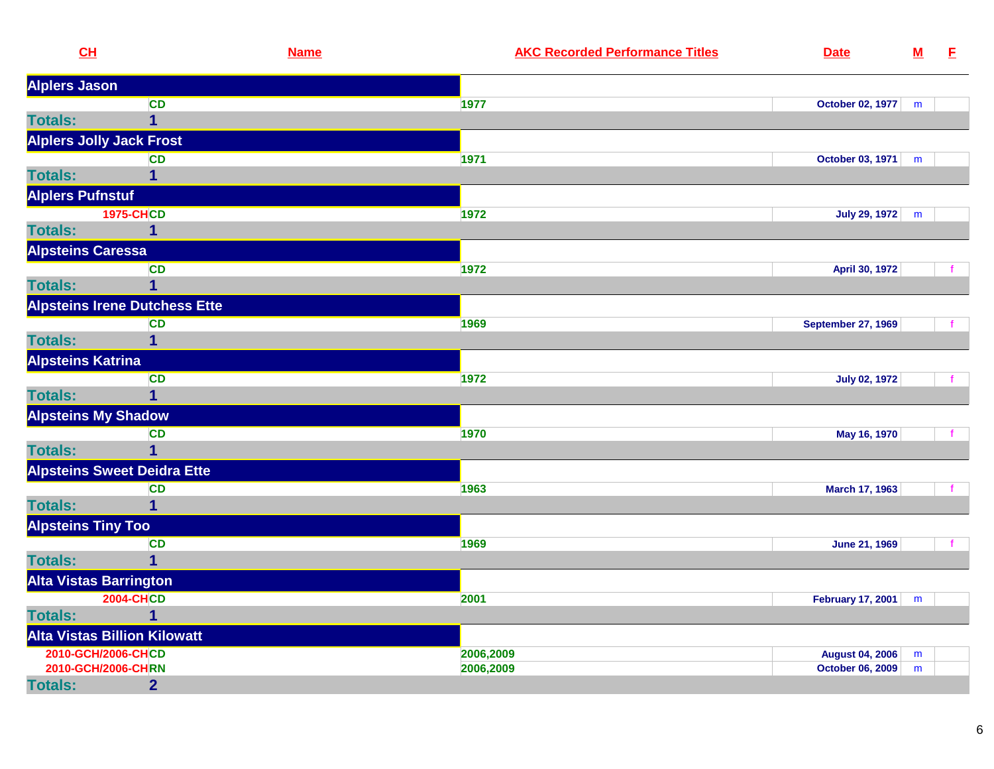| CL                              |                                      | <b>Name</b> | <b>AKC Recorded Performance Titles</b> | <b>Date</b>               | ${\bf M}$ | E           |
|---------------------------------|--------------------------------------|-------------|----------------------------------------|---------------------------|-----------|-------------|
| <b>Alplers Jason</b>            |                                      |             |                                        |                           |           |             |
|                                 | <b>CD</b>                            |             | 1977                                   | October 02, 1977          | m         |             |
| <b>Totals:</b>                  | $\mathbf 1$                          |             |                                        |                           |           |             |
| <b>Alplers Jolly Jack Frost</b> |                                      |             |                                        |                           |           |             |
|                                 | <b>CD</b>                            |             | 1971                                   | October 03, 1971          | m         |             |
| <b>Totals:</b>                  | 1                                    |             |                                        |                           |           |             |
| <b>Alplers Pufnstuf</b>         |                                      |             |                                        |                           |           |             |
|                                 | <b>1975-CHCD</b>                     |             | 1972                                   | <b>July 29, 1972</b>      | m         |             |
| <b>Totals:</b>                  | 1                                    |             |                                        |                           |           |             |
| <b>Alpsteins Caressa</b>        |                                      |             |                                        |                           |           |             |
|                                 | <b>CD</b>                            |             | 1972                                   | April 30, 1972            |           |             |
| <b>Totals:</b>                  | $\mathbf{1}$                         |             |                                        |                           |           |             |
|                                 | <b>Alpsteins Irene Dutchess Ette</b> |             |                                        |                           |           |             |
|                                 | <b>CD</b>                            |             | 1969                                   | <b>September 27, 1969</b> |           |             |
| <b>Totals:</b>                  | $\mathbf{1}$                         |             |                                        |                           |           |             |
| <b>Alpsteins Katrina</b>        |                                      |             |                                        |                           |           |             |
|                                 | <b>CD</b>                            |             | 1972                                   | <b>July 02, 1972</b>      |           |             |
| <b>Totals:</b>                  | $\overline{1}$                       |             |                                        |                           |           |             |
| <b>Alpsteins My Shadow</b>      |                                      |             |                                        |                           |           |             |
|                                 | <b>CD</b>                            |             | 1970                                   | May 16, 1970              |           | $\mathbf f$ |
| <b>Totals:</b>                  | $\overline{1}$                       |             |                                        |                           |           |             |
|                                 | <b>Alpsteins Sweet Deidra Ette</b>   |             |                                        |                           |           |             |
|                                 | <b>CD</b>                            |             | 1963                                   | March 17, 1963            |           |             |
| <b>Totals:</b>                  | $\mathbf{1}$                         |             |                                        |                           |           |             |
| <b>Alpsteins Tiny Too</b>       |                                      |             |                                        |                           |           |             |
|                                 | <b>CD</b>                            |             | 1969                                   | <b>June 21, 1969</b>      |           |             |
| <b>Totals:</b>                  | $\overline{1}$                       |             |                                        |                           |           |             |
| <b>Alta Vistas Barrington</b>   |                                      |             |                                        |                           |           |             |
|                                 | <b>2004-CHCD</b>                     |             | 2001                                   | <b>February 17, 2001</b>  | m         |             |
| <b>Totals:</b>                  | 1                                    |             |                                        |                           |           |             |
|                                 | <b>Alta Vistas Billion Kilowatt</b>  |             |                                        |                           |           |             |
| 2010-GCH/2006-CHCD              |                                      |             | 2006,2009                              | <b>August 04, 2006</b>    | m         |             |
| 2010-GCH/2006-CHRN              |                                      |             | 2006,2009                              | <b>October 06, 2009</b>   | m         |             |
| <b>Totals:</b>                  | $\overline{2}$                       |             |                                        |                           |           |             |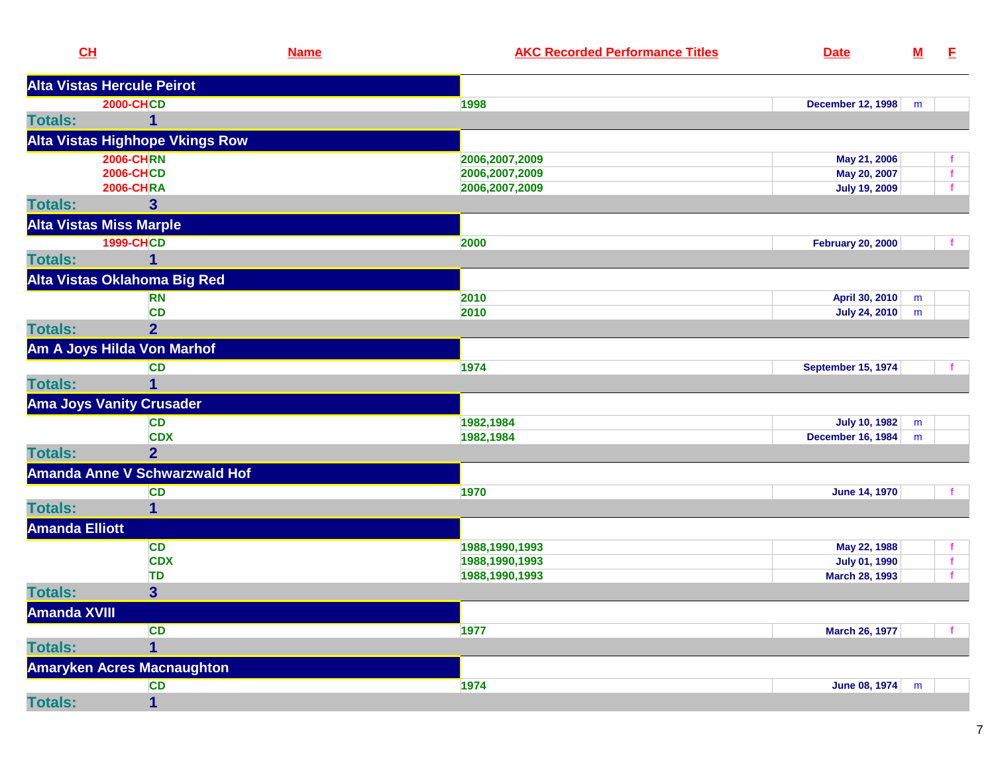| CL                    |                                      | <b>Name</b> | <b>AKC Recorded Performance Titles</b> | <b>Date</b>               | $M$ | E            |
|-----------------------|--------------------------------------|-------------|----------------------------------------|---------------------------|-----|--------------|
|                       | <b>Alta Vistas Hercule Peirot</b>    |             |                                        |                           |     |              |
|                       | <b>2000-CHCD</b>                     |             | 1998                                   | <b>December 12, 1998</b>  | m   |              |
| <b>Totals:</b>        |                                      |             |                                        |                           |     |              |
|                       | Alta Vistas Highhope Vkings Row      |             |                                        |                           |     |              |
|                       | <b>2006-CHRN</b>                     |             | 2006,2007,2009                         | May 21, 2006              |     |              |
|                       | <b>2006-CHCD</b>                     |             | 2006,2007,2009                         | May 20, 2007              |     | $\mathbf{f}$ |
|                       | <b>2006-CHRA</b>                     |             | 2006,2007,2009                         | <b>July 19, 2009</b>      |     | $\mathbf{f}$ |
| <b>Totals:</b>        | 3                                    |             |                                        |                           |     |              |
|                       | <b>Alta Vistas Miss Marple</b>       |             |                                        |                           |     |              |
|                       | <b>1999-CHCD</b>                     |             | 2000                                   | <b>February 20, 2000</b>  |     | f.           |
| <b>Totals:</b>        | 1                                    |             |                                        |                           |     |              |
|                       | Alta Vistas Oklahoma Big Red         |             |                                        |                           |     |              |
|                       | <b>RN</b>                            |             | 2010                                   | April 30, 2010            | m   |              |
|                       | <b>CD</b>                            |             | 2010                                   | <b>July 24, 2010</b>      | m   |              |
| <b>Totals:</b>        | $\overline{2}$                       |             |                                        |                           |     |              |
|                       | Am A Joys Hilda Von Marhof           |             |                                        |                           |     |              |
|                       | <b>CD</b>                            |             | 1974                                   | <b>September 15, 1974</b> |     |              |
| <b>Totals:</b>        |                                      |             |                                        |                           |     |              |
|                       | <b>Ama Joys Vanity Crusader</b>      |             |                                        |                           |     |              |
|                       | <b>CD</b>                            |             | 1982,1984                              | <b>July 10, 1982</b>      | m   |              |
|                       | <b>CDX</b>                           |             | 1982,1984                              | <b>December 16, 1984</b>  | m   |              |
| <b>Totals:</b>        | $\overline{2}$                       |             |                                        |                           |     |              |
|                       | <b>Amanda Anne V Schwarzwald Hof</b> |             |                                        |                           |     |              |
|                       | <b>CD</b>                            |             | 1970                                   | <b>June 14, 1970</b>      |     | f            |
| <b>Totals:</b>        | 1                                    |             |                                        |                           |     |              |
| <b>Amanda Elliott</b> |                                      |             |                                        |                           |     |              |
|                       | <b>CD</b>                            |             | 1988,1990,1993                         | May 22, 1988              |     | f            |
|                       | <b>CDX</b>                           |             | 1988,1990,1993                         | <b>July 01, 1990</b>      |     | f            |
|                       | TD                                   |             | 1988,1990,1993                         | March 28, 1993            |     | f.           |
| <b>Totals:</b>        | $\overline{\mathbf{3}}$              |             |                                        |                           |     |              |
| <b>Amanda XVIII</b>   |                                      |             |                                        |                           |     |              |
|                       | <b>CD</b>                            |             | 1977                                   | <b>March 26, 1977</b>     |     | $\mathbf{f}$ |
| <b>Totals:</b>        | 1                                    |             |                                        |                           |     |              |
|                       | <b>Amaryken Acres Macnaughton</b>    |             |                                        |                           |     |              |
|                       | <b>CD</b>                            |             | 1974                                   | <b>June 08, 1974</b>      | m   |              |
| <b>Totals:</b>        | $\mathbf{1}$                         |             |                                        |                           |     |              |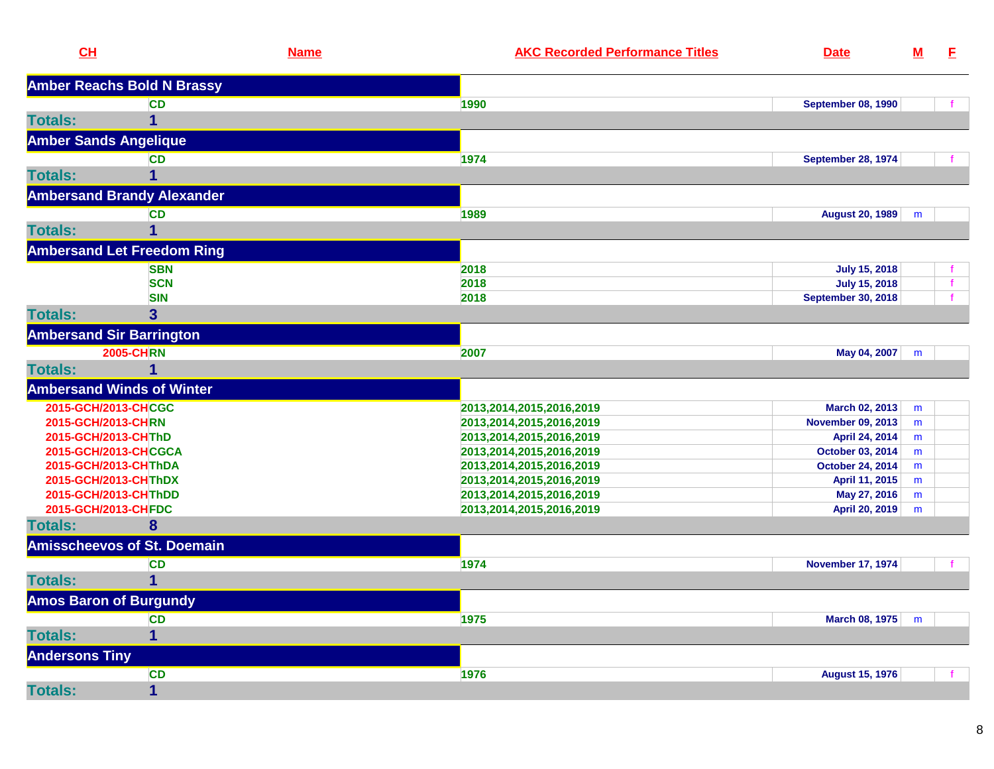| CL                                          |                                    | <b>Name</b> | <b>AKC Recorded Performance Titles</b>               | <b>Date</b>                    | ${\bf M}$ | E. |
|---------------------------------------------|------------------------------------|-------------|------------------------------------------------------|--------------------------------|-----------|----|
|                                             | <b>Amber Reachs Bold N Brassy</b>  |             |                                                      |                                |           |    |
|                                             | <b>CD</b>                          |             | 1990                                                 | <b>September 08, 1990</b>      |           |    |
| <b>Totals:</b>                              | 1                                  |             |                                                      |                                |           |    |
| <b>Amber Sands Angelique</b>                |                                    |             |                                                      |                                |           |    |
|                                             | <b>CD</b>                          |             | 1974                                                 | <b>September 28, 1974</b>      |           |    |
| <b>Totals:</b>                              |                                    |             |                                                      |                                |           |    |
|                                             | <b>Ambersand Brandy Alexander</b>  |             |                                                      |                                |           |    |
|                                             | <b>CD</b>                          |             | 1989                                                 | August 20, 1989                | m         |    |
| <b>Totals:</b>                              | 1                                  |             |                                                      |                                |           |    |
|                                             | <b>Ambersand Let Freedom Ring</b>  |             |                                                      |                                |           |    |
|                                             | <b>SBN</b>                         |             | 2018                                                 | <b>July 15, 2018</b>           |           |    |
|                                             | <b>SCN</b>                         |             | 2018                                                 | <b>July 15, 2018</b>           |           | f  |
|                                             | <b>SIN</b>                         |             | 2018                                                 | <b>September 30, 2018</b>      |           |    |
| <b>Totals:</b>                              | $\overline{\mathbf{3}}$            |             |                                                      |                                |           |    |
| <b>Ambersand Sir Barrington</b>             |                                    |             |                                                      |                                |           |    |
|                                             | <b>2005-CHRN</b>                   |             | 2007                                                 | May 04, 2007                   | m         |    |
| <b>Totals:</b>                              | 1                                  |             |                                                      |                                |           |    |
|                                             | <b>Ambersand Winds of Winter</b>   |             |                                                      |                                |           |    |
| 2015-GCH/2013-CHCGC                         |                                    |             | 2013, 2014, 2015, 2016, 2019                         | March 02, 2013                 | m         |    |
| 2015-GCH/2013-CHRN                          |                                    |             | 2013, 2014, 2015, 2016, 2019                         | <b>November 09, 2013</b>       | m         |    |
| 2015-GCH/2013-CHThD                         |                                    |             | 2013, 2014, 2015, 2016, 2019                         | April 24, 2014                 | m         |    |
| 2015-GCH/2013-CHCGCA                        |                                    |             | 2013, 2014, 2015, 2016, 2019                         | October 03, 2014               | m         |    |
| 2015-GCH/2013-CHThDA                        |                                    |             | 2013, 2014, 2015, 2016, 2019                         | <b>October 24, 2014</b>        | m         |    |
| 2015-GCH/2013-CHThDX                        |                                    |             | 2013,2014,2015,2016,2019                             | April 11, 2015                 | m         |    |
| 2015-GCH/2013-CHThDD<br>2015-GCH/2013-CHFDC |                                    |             | 2013,2014,2015,2016,2019<br>2013,2014,2015,2016,2019 | May 27, 2016<br>April 20, 2019 | m<br>m    |    |
| <b>Totals:</b>                              | 8                                  |             |                                                      |                                |           |    |
|                                             | <b>Amisscheevos of St. Doemain</b> |             |                                                      |                                |           |    |
|                                             | <b>CD</b>                          |             | 1974                                                 | <b>November 17, 1974</b>       |           |    |
| <b>Totals:</b>                              |                                    |             |                                                      |                                |           |    |
| <b>Amos Baron of Burgundy</b>               |                                    |             |                                                      |                                |           |    |
|                                             | <b>CD</b>                          |             | 1975                                                 | March 08, 1975                 | m         |    |
| <b>Totals:</b>                              | $\mathbf 1$                        |             |                                                      |                                |           |    |
| <b>Andersons Tiny</b>                       |                                    |             |                                                      |                                |           |    |
|                                             | <b>CD</b>                          |             | 1976                                                 | <b>August 15, 1976</b>         |           |    |
| <b>Totals:</b>                              | $\mathbf 1$                        |             |                                                      |                                |           |    |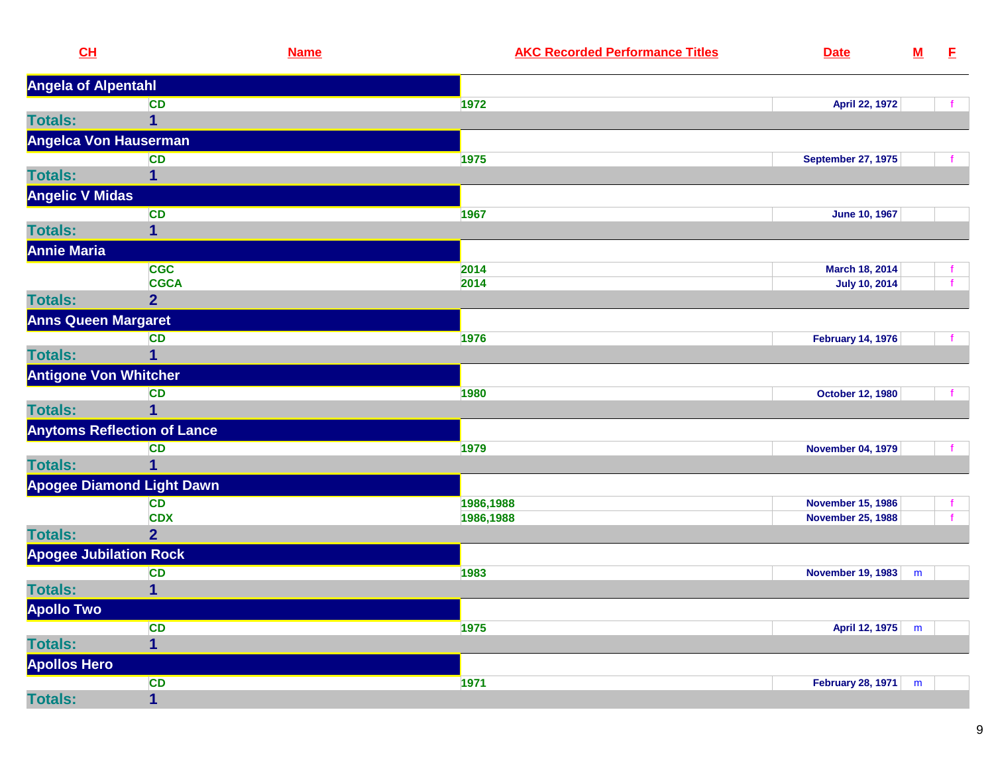| CL                            | <b>Name</b>                        | <b>AKC Recorded Performance Titles</b> | <b>Date</b>               | ${\bf M}$ | E            |
|-------------------------------|------------------------------------|----------------------------------------|---------------------------|-----------|--------------|
| <b>Angela of Alpentahl</b>    |                                    |                                        |                           |           |              |
|                               | <b>CD</b>                          | 1972                                   | April 22, 1972            |           |              |
| <b>Totals:</b>                | 1                                  |                                        |                           |           |              |
| Angelca Von Hauserman         |                                    |                                        |                           |           |              |
|                               | <b>CD</b>                          | 1975                                   | <b>September 27, 1975</b> |           |              |
| <b>Totals:</b>                | 1                                  |                                        |                           |           |              |
| <b>Angelic V Midas</b>        |                                    |                                        |                           |           |              |
|                               | CD                                 | 1967                                   | <b>June 10, 1967</b>      |           |              |
| <b>Totals:</b>                | 1                                  |                                        |                           |           |              |
| <b>Annie Maria</b>            |                                    |                                        |                           |           |              |
|                               | <b>CGC</b>                         | 2014                                   | March 18, 2014            |           | f.           |
|                               | <b>CGCA</b>                        | 2014                                   | <b>July 10, 2014</b>      |           | $\mathbf{f}$ |
| <b>Totals:</b>                | $\overline{2}$                     |                                        |                           |           |              |
| <b>Anns Queen Margaret</b>    |                                    |                                        |                           |           |              |
|                               | <b>CD</b>                          | 1976                                   | <b>February 14, 1976</b>  |           |              |
| <b>Totals:</b>                | $\mathbf{1}$                       |                                        |                           |           |              |
| <b>Antigone Von Whitcher</b>  |                                    |                                        |                           |           |              |
|                               | <b>CD</b>                          | 1980                                   | <b>October 12, 1980</b>   |           |              |
| <b>Totals:</b>                | $\mathbf{1}$                       |                                        |                           |           |              |
|                               | <b>Anytoms Reflection of Lance</b> |                                        |                           |           |              |
|                               | CD                                 | 1979                                   | <b>November 04, 1979</b>  |           |              |
| <b>Totals:</b>                | 1                                  |                                        |                           |           |              |
|                               | <b>Apogee Diamond Light Dawn</b>   |                                        |                           |           |              |
|                               | <b>CD</b>                          | 1986,1988                              | <b>November 15, 1986</b>  |           |              |
|                               | <b>CDX</b>                         | 1986,1988                              | <b>November 25, 1988</b>  |           |              |
| <b>Totals:</b>                | $\overline{2}$                     |                                        |                           |           |              |
| <b>Apogee Jubilation Rock</b> |                                    |                                        |                           |           |              |
|                               | <b>CD</b>                          | 1983                                   | <b>November 19, 1983</b>  | ${\sf m}$ |              |
| <b>Totals:</b>                | 1                                  |                                        |                           |           |              |
| <b>Apollo Two</b>             |                                    |                                        |                           |           |              |
|                               | <b>CD</b>                          | 1975                                   | April 12, 1975            | m         |              |
| <b>Totals:</b>                | 1                                  |                                        |                           |           |              |
| <b>Apollos Hero</b>           |                                    |                                        |                           |           |              |
|                               | <b>CD</b>                          | 1971                                   | <b>February 28, 1971</b>  | m         |              |
| <b>Totals:</b>                | $\mathbf{1}$                       |                                        |                           |           |              |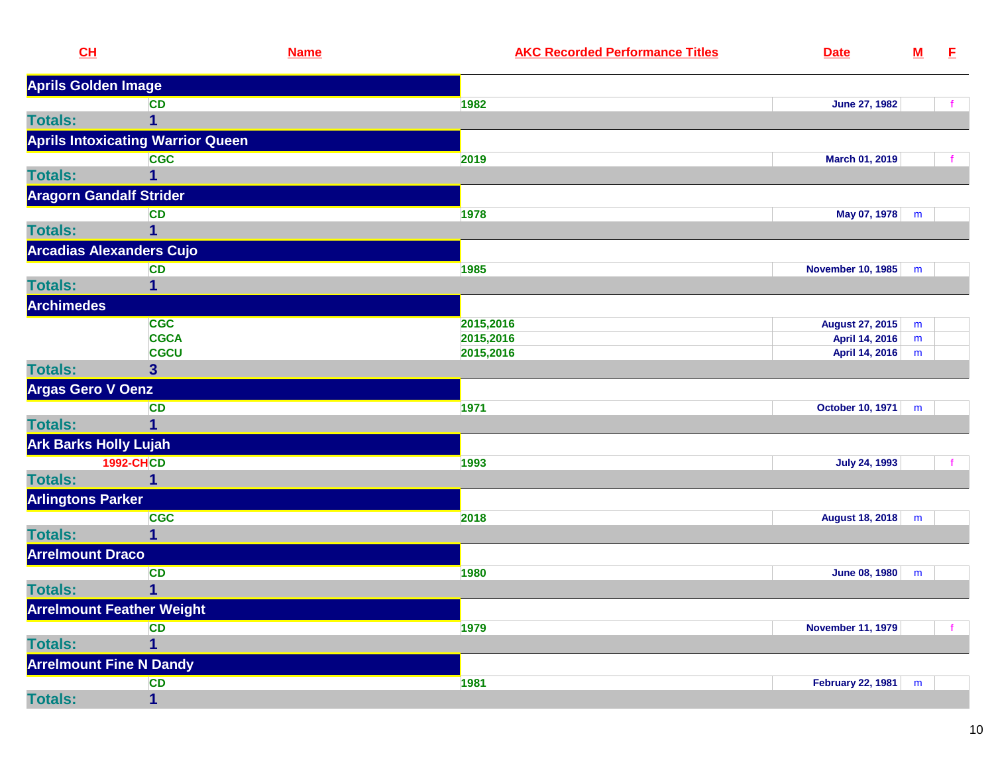| CL                           | <b>Name</b>                              | <b>AKC Recorded Performance Titles</b> | <b>Date</b>              | $\underline{\mathsf{M}}$ | E |
|------------------------------|------------------------------------------|----------------------------------------|--------------------------|--------------------------|---|
| <b>Aprils Golden Image</b>   |                                          |                                        |                          |                          |   |
|                              | <b>CD</b>                                | 1982                                   | <b>June 27, 1982</b>     |                          |   |
| <b>Totals:</b>               | 1                                        |                                        |                          |                          |   |
|                              | <b>Aprils Intoxicating Warrior Queen</b> |                                        |                          |                          |   |
|                              | <b>CGC</b>                               | 2019                                   | March 01, 2019           |                          |   |
| <b>Totals:</b>               |                                          |                                        |                          |                          |   |
|                              | <b>Aragorn Gandalf Strider</b>           |                                        |                          |                          |   |
|                              | <b>CD</b>                                | 1978                                   | May 07, 1978             | m                        |   |
| <b>Totals:</b>               | 1                                        |                                        |                          |                          |   |
|                              | <b>Arcadias Alexanders Cujo</b>          |                                        |                          |                          |   |
|                              | <b>CD</b>                                | 1985                                   | <b>November 10, 1985</b> | m                        |   |
| <b>Totals:</b>               | 1                                        |                                        |                          |                          |   |
| <b>Archimedes</b>            |                                          |                                        |                          |                          |   |
|                              | <b>CGC</b>                               | 2015,2016                              | <b>August 27, 2015</b>   | m                        |   |
|                              | <b>CGCA</b>                              | 2015,2016                              | April 14, 2016           | m                        |   |
|                              | <b>CGCU</b>                              | 2015,2016                              | April 14, 2016           | m                        |   |
| <b>Totals:</b>               | 3 <sup>5</sup>                           |                                        |                          |                          |   |
| <b>Argas Gero V Oenz</b>     |                                          |                                        |                          |                          |   |
|                              | <b>CD</b>                                | 1971                                   | October 10, 1971         | m                        |   |
| <b>Totals:</b>               |                                          |                                        |                          |                          |   |
| <b>Ark Barks Holly Lujah</b> |                                          |                                        |                          |                          |   |
|                              | <b>1992-CHCD</b>                         | 1993                                   | <b>July 24, 1993</b>     |                          |   |
| <b>Totals:</b>               | 1                                        |                                        |                          |                          |   |
| <b>Arlingtons Parker</b>     |                                          |                                        |                          |                          |   |
|                              | <b>CGC</b>                               | 2018                                   | August 18, 2018          | m                        |   |
| <b>Totals:</b>               | 1                                        |                                        |                          |                          |   |
| <b>Arrelmount Draco</b>      |                                          |                                        |                          |                          |   |
|                              | <b>CD</b>                                | 1980                                   | June 08, 1980            | m                        |   |
| <b>Totals:</b>               | 1                                        |                                        |                          |                          |   |
|                              | <b>Arrelmount Feather Weight</b>         |                                        |                          |                          |   |
|                              | <b>CD</b>                                | 1979                                   | <b>November 11, 1979</b> |                          |   |
| <b>Totals:</b>               | 1                                        |                                        |                          |                          |   |
|                              | <b>Arrelmount Fine N Dandy</b>           |                                        |                          |                          |   |
|                              | <b>CD</b>                                | 1981                                   | <b>February 22, 1981</b> | m                        |   |
| <b>Totals:</b>               | 1                                        |                                        |                          |                          |   |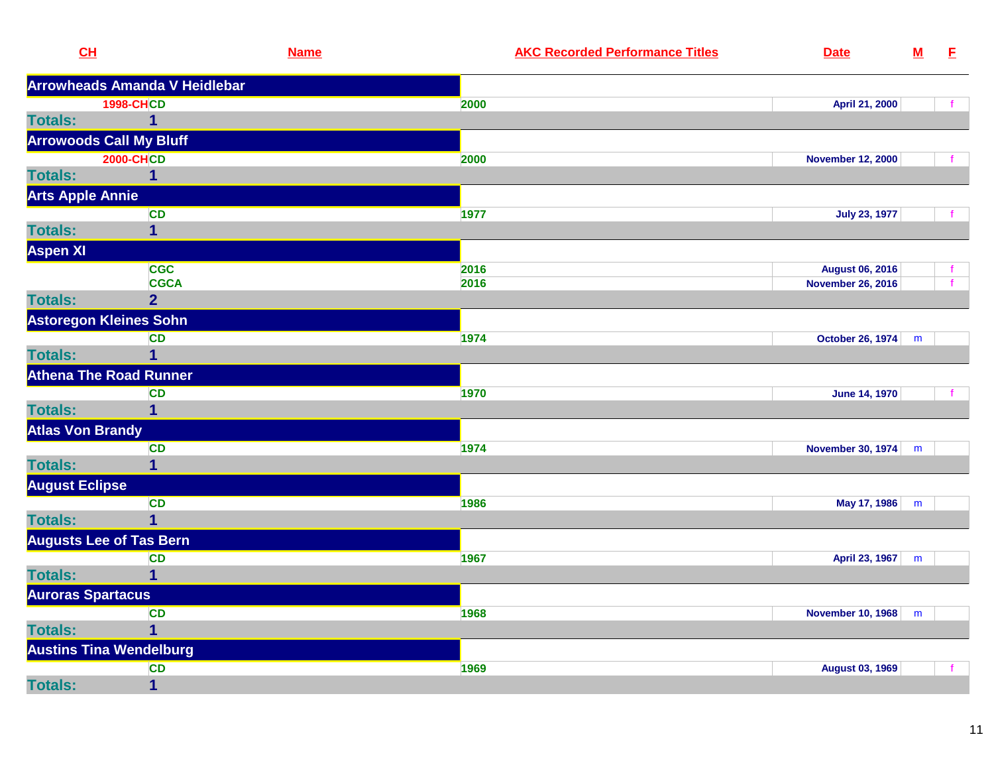| CL                             | <b>Name</b>                          | <b>AKC Recorded Performance Titles</b> | <b>Date</b>              | $\underline{\mathsf{M}}$ | E            |
|--------------------------------|--------------------------------------|----------------------------------------|--------------------------|--------------------------|--------------|
|                                | <b>Arrowheads Amanda V Heidlebar</b> |                                        |                          |                          |              |
|                                | <b>1998-CHCD</b>                     | 2000                                   | April 21, 2000           |                          | $\mathbf{f}$ |
| <b>Totals:</b>                 | $\mathbf 1$                          |                                        |                          |                          |              |
| <b>Arrowoods Call My Bluff</b> |                                      |                                        |                          |                          |              |
|                                | <b>2000-CHCD</b>                     | 2000                                   | <b>November 12, 2000</b> |                          | f.           |
| <b>Totals:</b>                 | 1                                    |                                        |                          |                          |              |
| <b>Arts Apple Annie</b>        |                                      |                                        |                          |                          |              |
|                                | <b>CD</b>                            | 1977                                   | <b>July 23, 1977</b>     |                          |              |
| <b>Totals:</b>                 | $\overline{\mathbf{1}}$              |                                        |                          |                          |              |
| <b>Aspen XI</b>                |                                      |                                        |                          |                          |              |
|                                | <b>CGC</b>                           | 2016                                   | <b>August 06, 2016</b>   |                          | f            |
|                                | <b>CGCA</b>                          | 2016                                   | <b>November 26, 2016</b> |                          |              |
| <b>Totals:</b>                 | $\overline{2}$                       |                                        |                          |                          |              |
| <b>Astoregon Kleines Sohn</b>  |                                      |                                        |                          |                          |              |
|                                | <b>CD</b>                            | 1974                                   | October 26, 1974         | m                        |              |
| <b>Totals:</b>                 | $\mathbf 1$                          |                                        |                          |                          |              |
| <b>Athena The Road Runner</b>  |                                      |                                        |                          |                          |              |
|                                | <b>CD</b>                            | 1970                                   | <b>June 14, 1970</b>     |                          |              |
| <b>Totals:</b>                 | $\overline{1}$                       |                                        |                          |                          |              |
| <b>Atlas Von Brandy</b>        |                                      |                                        |                          |                          |              |
|                                | CD                                   | 1974                                   | <b>November 30, 1974</b> | m                        |              |
| <b>Totals:</b>                 | $\overline{1}$                       |                                        |                          |                          |              |
| <b>August Eclipse</b>          |                                      |                                        |                          |                          |              |
|                                | <b>CD</b>                            | 1986                                   | May 17, 1986             | m                        |              |
| <b>Totals:</b>                 | $\overline{1}$                       |                                        |                          |                          |              |
| <b>Augusts Lee of Tas Bern</b> |                                      |                                        |                          |                          |              |
|                                | <b>CD</b>                            | 1967                                   | April 23, 1967           | m                        |              |
| <b>Totals:</b>                 | $\overline{1}$                       |                                        |                          |                          |              |
| <b>Auroras Spartacus</b>       |                                      |                                        |                          |                          |              |
|                                | CD                                   | 1968                                   | <b>November 10, 1968</b> | m                        |              |
| <b>Totals:</b>                 | $\mathbf 1$                          |                                        |                          |                          |              |
| <b>Austins Tina Wendelburg</b> |                                      |                                        |                          |                          |              |
|                                | CD                                   | 1969                                   | <b>August 03, 1969</b>   |                          | $\mathbf{f}$ |
| <b>Totals:</b>                 | $\mathbf{1}$                         |                                        |                          |                          |              |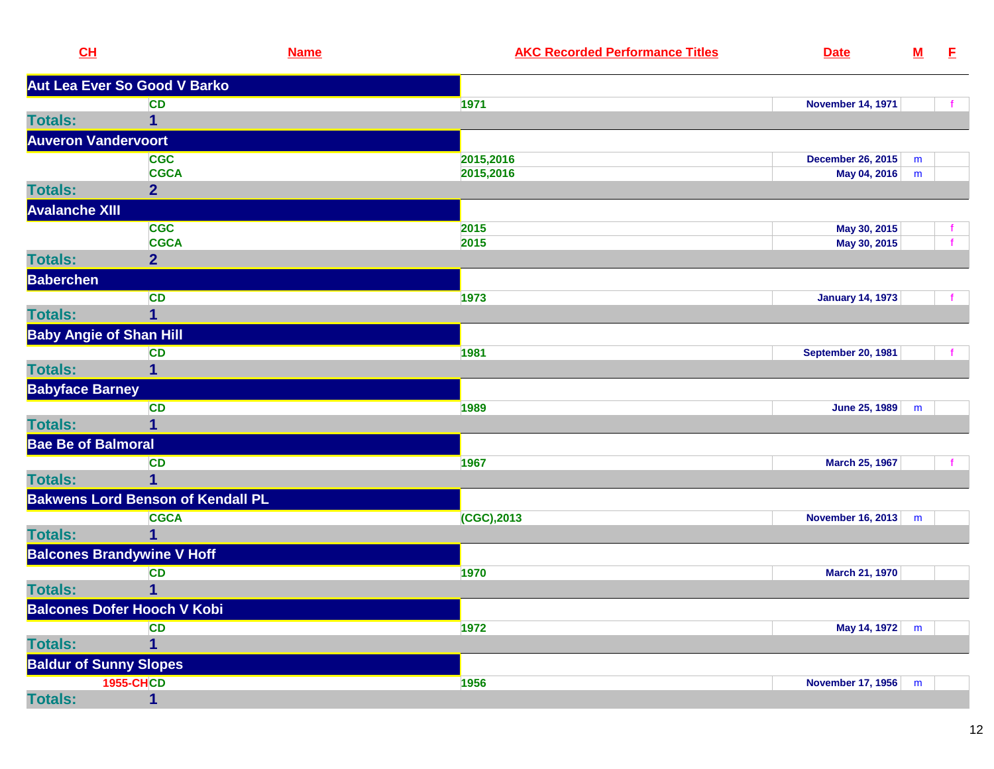| CL                             |                                          | <b>Name</b> | <b>AKC Recorded Performance Titles</b> | <b>Date</b>               | ${\bf M}$ | E |
|--------------------------------|------------------------------------------|-------------|----------------------------------------|---------------------------|-----------|---|
|                                | Aut Lea Ever So Good V Barko             |             |                                        |                           |           |   |
|                                | <b>CD</b>                                |             | 1971                                   | <b>November 14, 1971</b>  |           |   |
| <b>Totals:</b>                 | 1                                        |             |                                        |                           |           |   |
| <b>Auveron Vandervoort</b>     |                                          |             |                                        |                           |           |   |
|                                | <b>CGC</b>                               |             | 2015,2016                              | <b>December 26, 2015</b>  | m         |   |
|                                | <b>CGCA</b>                              |             | 2015,2016                              | May 04, 2016              | ${\sf m}$ |   |
| <b>Totals:</b>                 | $\overline{2}$                           |             |                                        |                           |           |   |
| <b>Avalanche XIII</b>          |                                          |             |                                        |                           |           |   |
|                                | <b>CGC</b>                               |             | 2015                                   | May 30, 2015              |           |   |
|                                | <b>CGCA</b>                              |             | 2015                                   | May 30, 2015              |           |   |
| <b>Totals:</b>                 | $\overline{2}$                           |             |                                        |                           |           |   |
| <b>Baberchen</b>               |                                          |             |                                        |                           |           |   |
|                                | <b>CD</b>                                |             | 1973                                   | <b>January 14, 1973</b>   |           |   |
| <b>Totals:</b>                 | 1                                        |             |                                        |                           |           |   |
| <b>Baby Angie of Shan Hill</b> |                                          |             |                                        |                           |           |   |
|                                | <b>CD</b>                                |             | 1981                                   | <b>September 20, 1981</b> |           |   |
| <b>Totals:</b>                 | 1                                        |             |                                        |                           |           |   |
| <b>Babyface Barney</b>         |                                          |             |                                        |                           |           |   |
|                                | <b>CD</b>                                |             | 1989                                   | June 25, 1989             | m         |   |
| <b>Totals:</b>                 |                                          |             |                                        |                           |           |   |
| <b>Bae Be of Balmoral</b>      |                                          |             |                                        |                           |           |   |
|                                | <b>CD</b>                                |             | 1967                                   | <b>March 25, 1967</b>     |           |   |
| <b>Totals:</b>                 | $\overline{1}$                           |             |                                        |                           |           |   |
|                                | <b>Bakwens Lord Benson of Kendall PL</b> |             |                                        |                           |           |   |
|                                | <b>CGCA</b>                              |             | $(CGC)$ , 2013                         | November 16, 2013         | m         |   |
| <b>Totals:</b>                 | 1                                        |             |                                        |                           |           |   |
|                                | <b>Balcones Brandywine V Hoff</b>        |             |                                        |                           |           |   |
|                                | <b>CD</b>                                |             | 1970                                   | March 21, 1970            |           |   |
| <b>Totals:</b>                 | 1                                        |             |                                        |                           |           |   |
|                                | <b>Balcones Dofer Hooch V Kobi</b>       |             |                                        |                           |           |   |
|                                | <b>CD</b>                                |             | 1972                                   | May 14, 1972              | m         |   |
| <b>Totals:</b>                 | 1                                        |             |                                        |                           |           |   |
| <b>Baldur of Sunny Slopes</b>  |                                          |             |                                        |                           |           |   |
|                                | <b>1955-CHCD</b>                         |             | 1956                                   | November 17, 1956         | m         |   |
| <b>Totals:</b>                 | 1                                        |             |                                        |                           |           |   |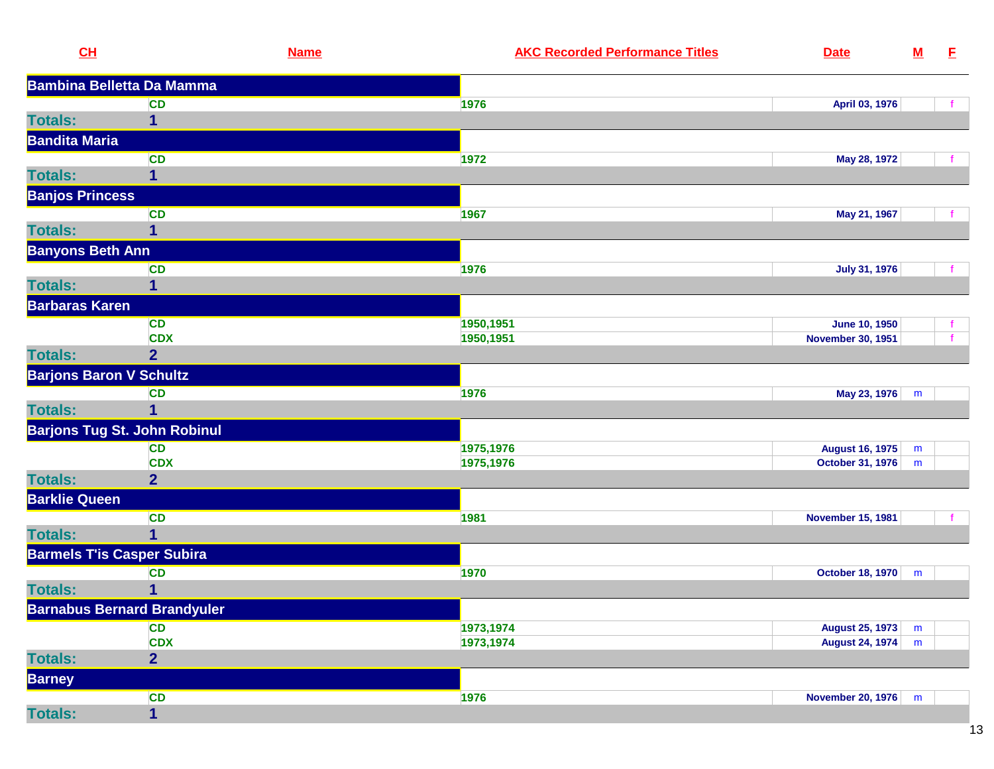| CL                             | <b>Name</b>                         | <b>AKC Recorded Performance Titles</b><br><b>Date</b> | ${\bf M}$ | E |
|--------------------------------|-------------------------------------|-------------------------------------------------------|-----------|---|
|                                | <b>Bambina Belletta Da Mamma</b>    |                                                       |           |   |
|                                | <b>CD</b>                           | 1976<br>April 03, 1976                                |           |   |
| <b>Totals:</b>                 | $\mathbf{1}$                        |                                                       |           |   |
| <b>Bandita Maria</b>           |                                     |                                                       |           |   |
|                                | <b>CD</b>                           | 1972<br>May 28, 1972                                  |           |   |
| <b>Totals:</b>                 | 1                                   |                                                       |           |   |
| <b>Banjos Princess</b>         |                                     |                                                       |           |   |
|                                | <b>CD</b>                           | 1967<br>May 21, 1967                                  |           |   |
| <b>Totals:</b>                 | 1                                   |                                                       |           |   |
| <b>Banyons Beth Ann</b>        |                                     |                                                       |           |   |
|                                | <b>CD</b>                           | 1976<br><b>July 31, 1976</b>                          |           |   |
| <b>Totals:</b>                 | 1                                   |                                                       |           |   |
| <b>Barbaras Karen</b>          |                                     |                                                       |           |   |
|                                | <b>CD</b>                           | 1950,1951<br><b>June 10, 1950</b>                     |           |   |
|                                | <b>CDX</b>                          | 1950,1951<br><b>November 30, 1951</b>                 |           |   |
| <b>Totals:</b>                 | $\overline{2}$                      |                                                       |           |   |
| <b>Barjons Baron V Schultz</b> |                                     |                                                       |           |   |
|                                | <b>CD</b>                           | 1976<br>May 23, 1976                                  | m         |   |
| <b>Totals:</b>                 | 1                                   |                                                       |           |   |
|                                | <b>Barjons Tug St. John Robinul</b> |                                                       |           |   |
|                                | <b>CD</b>                           | 1975,1976<br><b>August 16, 1975</b>                   | m         |   |
|                                | <b>CDX</b>                          | 1975,1976<br><b>October 31, 1976</b>                  | m         |   |
| <b>Totals:</b>                 | $\overline{2}$                      |                                                       |           |   |
| <b>Barklie Queen</b>           |                                     |                                                       |           |   |
|                                | <b>CD</b>                           | 1981<br><b>November 15, 1981</b>                      |           |   |
| <b>Totals:</b>                 | $\mathbf{1}$                        |                                                       |           |   |
|                                | <b>Barmels T'is Casper Subira</b>   |                                                       |           |   |
|                                | <b>CD</b>                           | 1970<br>October 18, 1970                              | m         |   |
| <b>Totals:</b>                 | 1                                   |                                                       |           |   |
|                                | <b>Barnabus Bernard Brandyuler</b>  |                                                       |           |   |
|                                | <b>CD</b>                           | 1973,1974<br><b>August 25, 1973</b>                   | m         |   |
|                                | <b>CDX</b>                          | 1973,1974<br><b>August 24, 1974</b>                   | m         |   |
| <b>Totals:</b>                 | $\overline{2}$                      |                                                       |           |   |
| <b>Barney</b>                  |                                     |                                                       |           |   |
|                                | <b>CD</b>                           | 1976<br>November 20, 1976                             | m         |   |
| <b>Totals:</b>                 | $\overline{\mathbf{1}}$             |                                                       |           |   |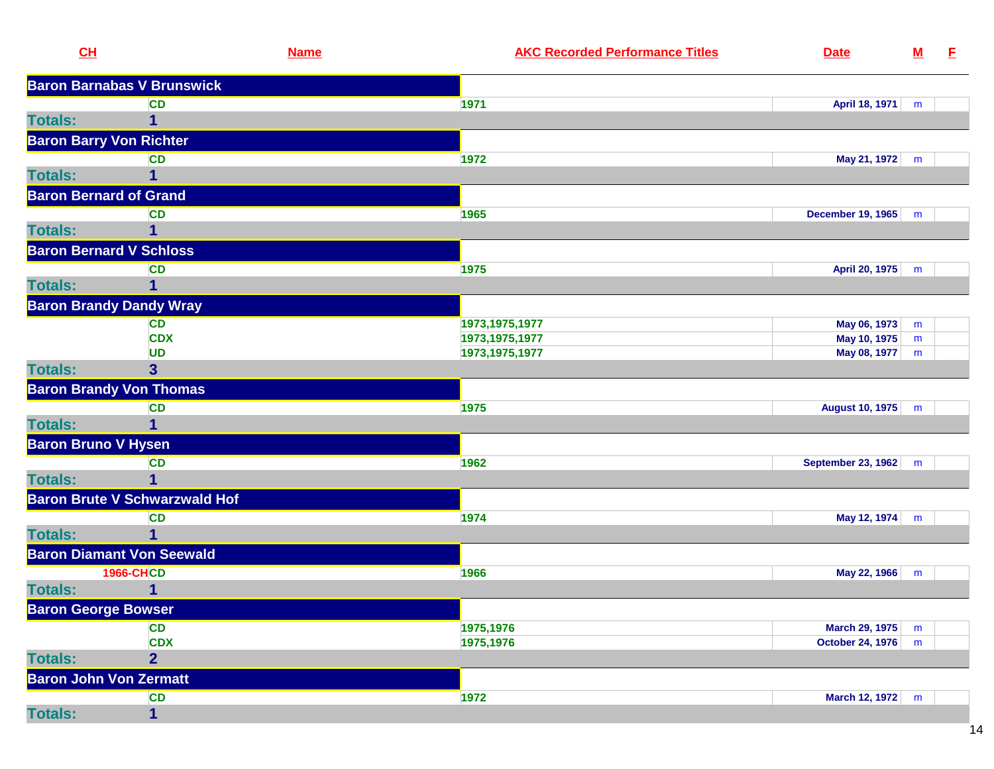| CL                             |                                      | <b>Name</b> | <b>AKC Recorded Performance Titles</b> | <b>Date</b>               | <u>M</u> | E, |
|--------------------------------|--------------------------------------|-------------|----------------------------------------|---------------------------|----------|----|
|                                | <b>Baron Barnabas V Brunswick</b>    |             |                                        |                           |          |    |
|                                | <b>CD</b>                            |             | 1971                                   | April 18, 1971            | m        |    |
| <b>Totals:</b>                 | 1                                    |             |                                        |                           |          |    |
| <b>Baron Barry Von Richter</b> |                                      |             |                                        |                           |          |    |
|                                | <b>CD</b>                            |             | 1972                                   | May 21, 1972              | m        |    |
| <b>Totals:</b>                 |                                      |             |                                        |                           |          |    |
| <b>Baron Bernard of Grand</b>  |                                      |             |                                        |                           |          |    |
|                                | <b>CD</b>                            |             | 1965                                   | <b>December 19, 1965</b>  | m        |    |
| <b>Totals:</b>                 | 1                                    |             |                                        |                           |          |    |
| <b>Baron Bernard V Schloss</b> |                                      |             |                                        |                           |          |    |
|                                | <b>CD</b>                            |             | 1975                                   | April 20, 1975            | m        |    |
| <b>Totals:</b>                 | 1                                    |             |                                        |                           |          |    |
|                                | <b>Baron Brandy Dandy Wray</b>       |             |                                        |                           |          |    |
|                                | <b>CD</b>                            |             | 1973, 1975, 1977                       | May 06, 1973              | m        |    |
|                                | <b>CDX</b>                           |             | 1973, 1975, 1977                       | May 10, 1975              | m        |    |
|                                | <b>UD</b>                            |             | 1973, 1975, 1977                       | May 08, 1977              | m        |    |
| <b>Totals:</b>                 | $\mathbf{3}$                         |             |                                        |                           |          |    |
|                                | <b>Baron Brandy Von Thomas</b>       |             |                                        |                           |          |    |
|                                | <b>CD</b>                            |             | 1975                                   | <b>August 10, 1975</b>    | m        |    |
| <b>Totals:</b>                 |                                      |             |                                        |                           |          |    |
| <b>Baron Bruno V Hysen</b>     |                                      |             |                                        |                           |          |    |
|                                | <b>CD</b>                            |             | 1962                                   | <b>September 23, 1962</b> | m        |    |
| <b>Totals:</b>                 | 1                                    |             |                                        |                           |          |    |
|                                | <b>Baron Brute V Schwarzwald Hof</b> |             |                                        |                           |          |    |
|                                | <b>CD</b>                            |             | 1974                                   | May 12, 1974              | m        |    |
| <b>Totals:</b>                 | 1                                    |             |                                        |                           |          |    |
|                                | <b>Baron Diamant Von Seewald</b>     |             |                                        |                           |          |    |
|                                | <b>1966-CHCD</b>                     |             | 1966                                   | May 22, 1966              | m        |    |
| <b>Totals:</b>                 |                                      |             |                                        |                           |          |    |
| <b>Baron George Bowser</b>     |                                      |             |                                        |                           |          |    |
|                                | <b>CD</b>                            |             | 1975,1976                              | <b>March 29, 1975</b>     | m        |    |
|                                | <b>CDX</b>                           |             | 1975,1976                              | October 24, 1976          | m        |    |
| <b>Totals:</b>                 | $\overline{2}$                       |             |                                        |                           |          |    |
| <b>Baron John Von Zermatt</b>  |                                      |             |                                        |                           |          |    |
|                                | <b>CD</b>                            |             | 1972                                   | March 12, 1972            | m        |    |
| <b>Totals:</b>                 | $\mathbf 1$                          |             |                                        |                           |          |    |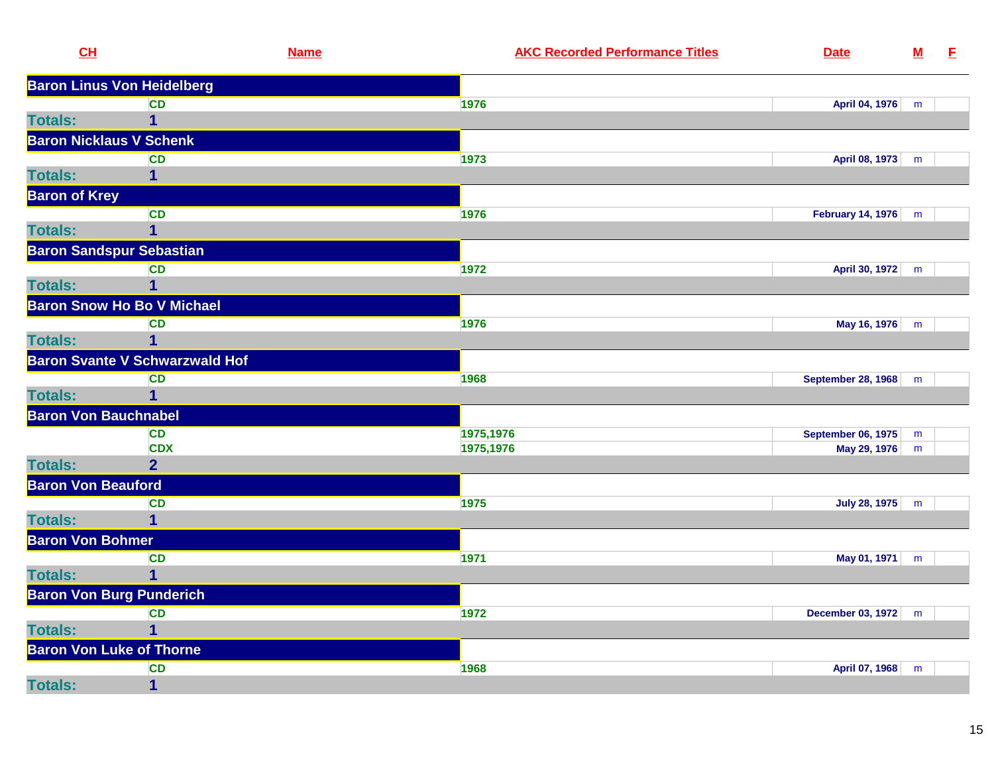| CL                              | <b>Name</b>                           | <b>AKC Recorded Performance Titles</b> | <b>Date</b>               | ${\bf M}$ | E |
|---------------------------------|---------------------------------------|----------------------------------------|---------------------------|-----------|---|
|                                 | <b>Baron Linus Von Heidelberg</b>     |                                        |                           |           |   |
|                                 | <b>CD</b>                             | 1976                                   | April 04, 1976            | m         |   |
| <b>Totals:</b>                  | $\mathbf 1$                           |                                        |                           |           |   |
| <b>Baron Nicklaus V Schenk</b>  |                                       |                                        |                           |           |   |
|                                 | <b>CD</b>                             | 1973                                   | April 08, 1973            | m         |   |
| <b>Totals:</b>                  | 1                                     |                                        |                           |           |   |
| <b>Baron of Krey</b>            |                                       |                                        |                           |           |   |
|                                 | <b>CD</b>                             | 1976                                   | <b>February 14, 1976</b>  | m         |   |
| <b>Totals:</b>                  | $\mathbf{1}$                          |                                        |                           |           |   |
| <b>Baron Sandspur Sebastian</b> |                                       |                                        |                           |           |   |
|                                 | <b>CD</b>                             | 1972                                   | April 30, 1972            | m         |   |
| <b>Totals:</b>                  | $\mathbf{1}$                          |                                        |                           |           |   |
|                                 | <b>Baron Snow Ho Bo V Michael</b>     |                                        |                           |           |   |
|                                 | <b>CD</b>                             | 1976                                   | May 16, 1976              | m         |   |
| <b>Totals:</b>                  | $\overline{\mathbf{1}}$               |                                        |                           |           |   |
|                                 | <b>Baron Svante V Schwarzwald Hof</b> |                                        |                           |           |   |
|                                 | <b>CD</b>                             | 1968                                   | <b>September 28, 1968</b> | m         |   |
| <b>Totals:</b>                  | $\overline{1}$                        |                                        |                           |           |   |
| <b>Baron Von Bauchnabel</b>     |                                       |                                        |                           |           |   |
|                                 | <b>CD</b>                             | 1975,1976                              | <b>September 06, 1975</b> | m         |   |
|                                 | <b>CDX</b>                            | 1975,1976                              | May 29, 1976              | m         |   |
| <b>Totals:</b>                  | 2 <sup>1</sup>                        |                                        |                           |           |   |
| <b>Baron Von Beauford</b>       |                                       |                                        |                           |           |   |
|                                 | <b>CD</b>                             | 1975                                   | <b>July 28, 1975</b>      | m         |   |
| <b>Totals:</b>                  | $\overline{1}$                        |                                        |                           |           |   |
| <b>Baron Von Bohmer</b>         |                                       |                                        |                           |           |   |
|                                 | <b>CD</b>                             | 1971                                   | May 01, 1971              | m         |   |
| <b>Totals:</b>                  | $\mathbf 1$                           |                                        |                           |           |   |
| <b>Baron Von Burg Punderich</b> |                                       |                                        |                           |           |   |
|                                 | <b>CD</b>                             | 1972                                   | December 03, 1972         | m         |   |
| <b>Totals:</b>                  | $\mathbf 1$                           |                                        |                           |           |   |
| <b>Baron Von Luke of Thorne</b> |                                       |                                        |                           |           |   |
|                                 | <b>CD</b>                             | 1968                                   | April 07, 1968            | m         |   |
| <b>Totals:</b>                  | $\mathbf 1$                           |                                        |                           |           |   |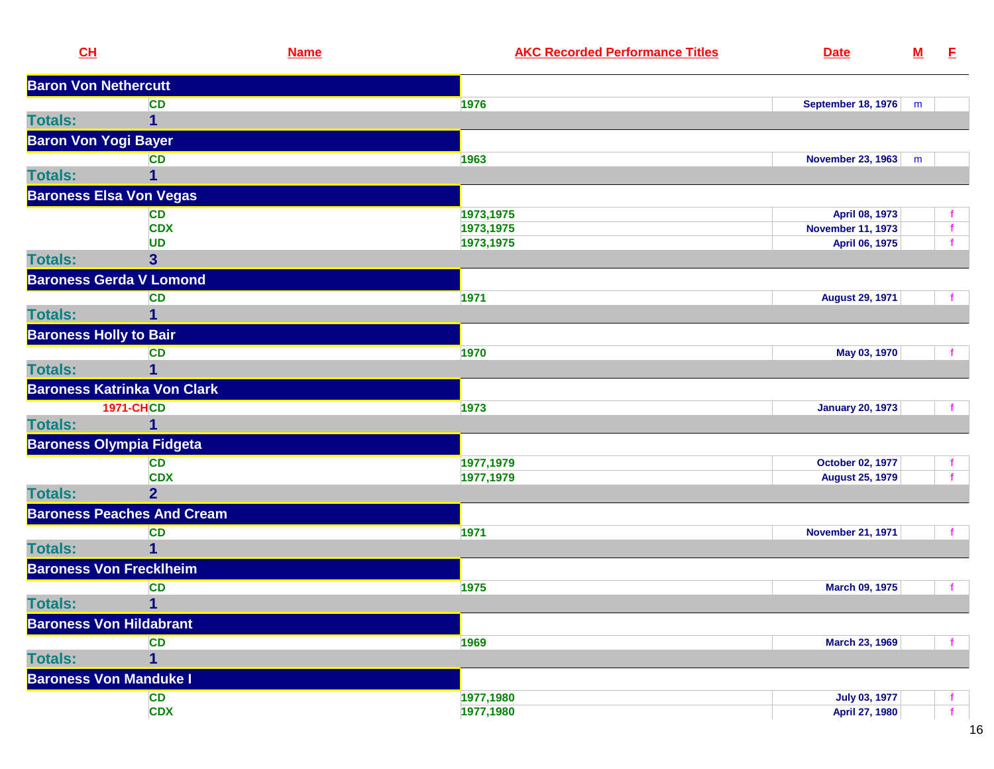| CL             |                                    | <b>Name</b> | <b>AKC Recorded Performance Titles</b> | <b>Date</b>               | ${\bf M}$ | E            |
|----------------|------------------------------------|-------------|----------------------------------------|---------------------------|-----------|--------------|
|                | <b>Baron Von Nethercutt</b>        |             |                                        |                           |           |              |
|                | <b>CD</b>                          |             | 1976                                   | <b>September 18, 1976</b> | m         |              |
| <b>Totals:</b> | 1                                  |             |                                        |                           |           |              |
|                | <b>Baron Von Yogi Bayer</b>        |             |                                        |                           |           |              |
|                | <b>CD</b>                          |             | 1963                                   | <b>November 23, 1963</b>  | m         |              |
| <b>Totals:</b> | 1                                  |             |                                        |                           |           |              |
|                | <b>Baroness Elsa Von Vegas</b>     |             |                                        |                           |           |              |
|                | <b>CD</b>                          |             | 1973,1975                              | April 08, 1973            |           | $\mathbf f$  |
|                | <b>CDX</b>                         |             | 1973,1975                              | <b>November 11, 1973</b>  |           | $\mathbf{f}$ |
|                | <b>UD</b>                          |             | 1973,1975                              | April 06, 1975            |           |              |
| <b>Totals:</b> | 3                                  |             |                                        |                           |           |              |
|                | <b>Baroness Gerda V Lomond</b>     |             |                                        |                           |           |              |
|                | <b>CD</b>                          |             | 1971                                   | <b>August 29, 1971</b>    |           |              |
| <b>Totals:</b> | 1                                  |             |                                        |                           |           |              |
|                | <b>Baroness Holly to Bair</b>      |             |                                        |                           |           |              |
|                | <b>CD</b>                          |             | 1970                                   | May 03, 1970              |           | $\mathbf{f}$ |
| <b>Totals:</b> | 1                                  |             |                                        |                           |           |              |
|                | <b>Baroness Katrinka Von Clark</b> |             |                                        |                           |           |              |
|                | <b>1971-CHCD</b>                   |             | 1973                                   | <b>January 20, 1973</b>   |           |              |
| <b>Totals:</b> |                                    |             |                                        |                           |           |              |
|                | <b>Baroness Olympia Fidgeta</b>    |             |                                        |                           |           |              |
|                | <b>CD</b>                          |             | 1977,1979                              | October 02, 1977          |           |              |
|                | <b>CDX</b>                         |             | 1977,1979                              | <b>August 25, 1979</b>    |           |              |
| <b>Totals:</b> | $\overline{2}$                     |             |                                        |                           |           |              |
|                | <b>Baroness Peaches And Cream</b>  |             |                                        |                           |           |              |
|                | <b>CD</b>                          |             | 1971                                   | <b>November 21, 1971</b>  |           |              |
| <b>Totals:</b> |                                    |             |                                        |                           |           |              |
|                | <b>Baroness Von Frecklheim</b>     |             |                                        |                           |           |              |
|                | <b>CD</b>                          |             | 1975                                   | March 09, 1975            |           |              |
| <b>Totals:</b> | $\mathbf{1}$                       |             |                                        |                           |           |              |
|                | <b>Baroness Von Hildabrant</b>     |             |                                        |                           |           |              |
|                | <b>CD</b>                          |             | 1969                                   | <b>March 23, 1969</b>     |           |              |
| <b>Totals:</b> | 1                                  |             |                                        |                           |           |              |
|                | <b>Baroness Von Manduke I</b>      |             |                                        |                           |           |              |
|                | <b>CD</b>                          |             | 1977,1980                              | <b>July 03, 1977</b>      |           |              |
|                | <b>CDX</b>                         |             | 1977,1980                              | April 27, 1980            |           | $\mathbf{f}$ |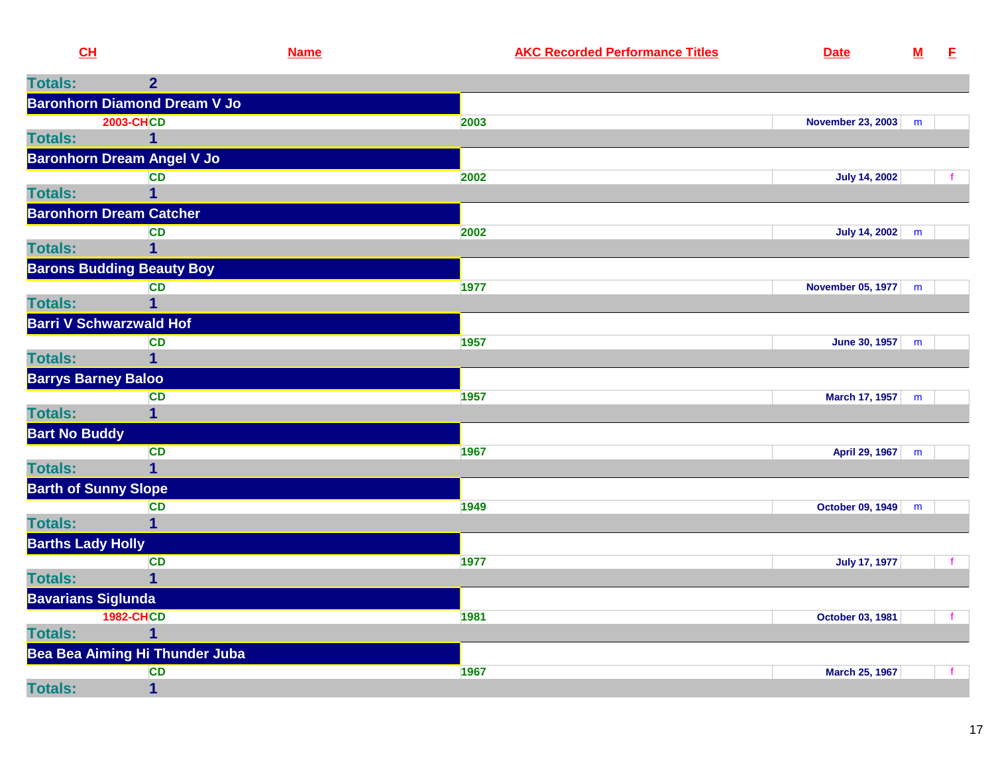| CL                          |                                     | <b>Name</b> | <b>AKC Recorded Performance Titles</b> | <b>Date</b>           | ${\bf M}$ | E |
|-----------------------------|-------------------------------------|-------------|----------------------------------------|-----------------------|-----------|---|
| <b>Totals:</b>              | $\overline{2}$                      |             |                                        |                       |           |   |
|                             | <b>Baronhorn Diamond Dream V Jo</b> |             |                                        |                       |           |   |
|                             | <b>2003-CHCD</b>                    |             | 2003                                   | November 23, 2003 m   |           |   |
| <b>Totals:</b>              |                                     |             |                                        |                       |           |   |
|                             | <b>Baronhorn Dream Angel V Jo</b>   |             |                                        |                       |           |   |
|                             | <b>CD</b>                           |             | 2002                                   | <b>July 14, 2002</b>  |           |   |
| <b>Totals:</b>              | 1                                   |             |                                        |                       |           |   |
|                             | <b>Baronhorn Dream Catcher</b>      |             |                                        |                       |           |   |
|                             | <b>CD</b>                           |             | 2002                                   | July 14, 2002 m       |           |   |
| <b>Totals:</b>              |                                     |             |                                        |                       |           |   |
|                             | <b>Barons Budding Beauty Boy</b>    |             |                                        |                       |           |   |
| <b>Totals:</b>              | <b>CD</b>                           |             | 1977                                   | November 05, 1977   m |           |   |
|                             |                                     |             |                                        |                       |           |   |
|                             | <b>Barri V Schwarzwald Hof</b>      |             |                                        |                       |           |   |
| <b>Totals:</b>              | <b>CD</b>                           |             | 1957                                   | June 30, 1957         | m         |   |
| <b>Barrys Barney Baloo</b>  |                                     |             |                                        |                       |           |   |
|                             | <b>CD</b>                           |             | 1957                                   | March 17, 1957 m      |           |   |
| <b>Totals:</b>              | $\mathbf 1$                         |             |                                        |                       |           |   |
| <b>Bart No Buddy</b>        |                                     |             |                                        |                       |           |   |
|                             | <b>CD</b>                           |             | 1967                                   | April 29, 1967 m      |           |   |
| <b>Totals:</b>              | 1                                   |             |                                        |                       |           |   |
| <b>Barth of Sunny Slope</b> |                                     |             |                                        |                       |           |   |
|                             | <b>CD</b>                           |             | 1949                                   | October 09, 1949 m    |           |   |
| <b>Totals:</b>              | 1                                   |             |                                        |                       |           |   |
| <b>Barths Lady Holly</b>    |                                     |             |                                        |                       |           |   |
|                             | <b>CD</b>                           |             | 1977                                   | <b>July 17, 1977</b>  |           |   |
| <b>Totals:</b>              |                                     |             |                                        |                       |           |   |
| <b>Bavarians Siglunda</b>   |                                     |             |                                        |                       |           |   |
|                             | <b>1982-CHCD</b>                    |             | 1981                                   | October 03, 1981      |           | f |
| <b>Totals:</b>              |                                     |             |                                        |                       |           |   |
|                             | Bea Bea Aiming Hi Thunder Juba      |             |                                        |                       |           |   |
|                             | <b>CD</b>                           |             | 1967                                   | <b>March 25, 1967</b> |           |   |
| <b>Totals:</b>              | $\overline{\mathbf{1}}$             |             |                                        |                       |           |   |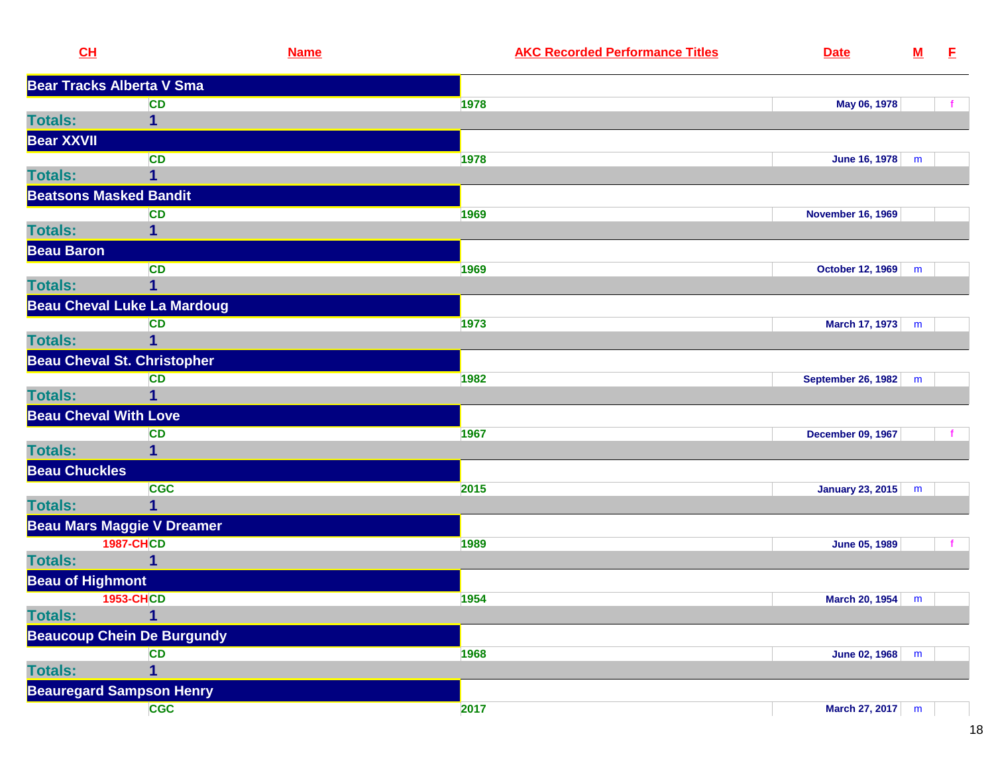| CL                      |                                    | <b>Name</b> | <b>AKC Recorded Performance Titles</b> | <b>Date</b>               | $\underline{\mathbf{M}}$ | E,           |
|-------------------------|------------------------------------|-------------|----------------------------------------|---------------------------|--------------------------|--------------|
|                         | <b>Bear Tracks Alberta V Sma</b>   |             |                                        |                           |                          |              |
|                         | <b>CD</b>                          | 1978        |                                        | May 06, 1978              |                          |              |
| <b>Totals:</b>          | 1                                  |             |                                        |                           |                          |              |
| <b>Bear XXVII</b>       |                                    |             |                                        |                           |                          |              |
|                         | <b>CD</b>                          | 1978        |                                        | June 16, 1978             | m                        |              |
| <b>Totals:</b>          | 1                                  |             |                                        |                           |                          |              |
|                         | <b>Beatsons Masked Bandit</b>      |             |                                        |                           |                          |              |
|                         | <b>CD</b>                          | 1969        |                                        | <b>November 16, 1969</b>  |                          |              |
| <b>Totals:</b>          | 1                                  |             |                                        |                           |                          |              |
| <b>Beau Baron</b>       |                                    |             |                                        |                           |                          |              |
|                         | <b>CD</b>                          | 1969        |                                        | October 12, 1969          | m                        |              |
| <b>Totals:</b>          | 1                                  |             |                                        |                           |                          |              |
|                         | <b>Beau Cheval Luke La Mardoug</b> |             |                                        |                           |                          |              |
|                         | <b>CD</b>                          | 1973        |                                        | March 17, 1973            | m                        |              |
| <b>Totals:</b>          | 1                                  |             |                                        |                           |                          |              |
|                         | <b>Beau Cheval St. Christopher</b> |             |                                        |                           |                          |              |
|                         | <b>CD</b>                          | 1982        |                                        | <b>September 26, 1982</b> | m                        |              |
| <b>Totals:</b>          | 1                                  |             |                                        |                           |                          |              |
|                         | <b>Beau Cheval With Love</b>       |             |                                        |                           |                          |              |
|                         | <b>CD</b>                          | 1967        |                                        | <b>December 09, 1967</b>  |                          |              |
| <b>Totals:</b>          | 1                                  |             |                                        |                           |                          |              |
| <b>Beau Chuckles</b>    |                                    |             |                                        |                           |                          |              |
|                         | <b>CGC</b>                         | 2015        |                                        | <b>January 23, 2015</b>   | m                        |              |
| <b>Totals:</b>          | 1                                  |             |                                        |                           |                          |              |
|                         | <b>Beau Mars Maggie V Dreamer</b>  |             |                                        |                           |                          |              |
|                         | <b>1987-CHCD</b>                   | 1989        |                                        | <b>June 05, 1989</b>      |                          | $\mathbf{f}$ |
| <b>Totals:</b>          |                                    |             |                                        |                           |                          |              |
| <b>Beau of Highmont</b> |                                    |             |                                        |                           |                          |              |
|                         | <b>1953-CHCD</b>                   | 1954        |                                        | March 20, 1954            | m                        |              |
| <b>Totals:</b>          | 1                                  |             |                                        |                           |                          |              |
|                         | <b>Beaucoup Chein De Burgundy</b>  |             |                                        |                           |                          |              |
|                         | <b>CD</b>                          | 1968        |                                        | June 02, 1968             | m                        |              |
| <b>Totals:</b>          | 1                                  |             |                                        |                           |                          |              |
|                         | <b>Beauregard Sampson Henry</b>    |             |                                        |                           |                          |              |
|                         | <b>CGC</b>                         | 2017        |                                        | March 27, 2017 m          |                          |              |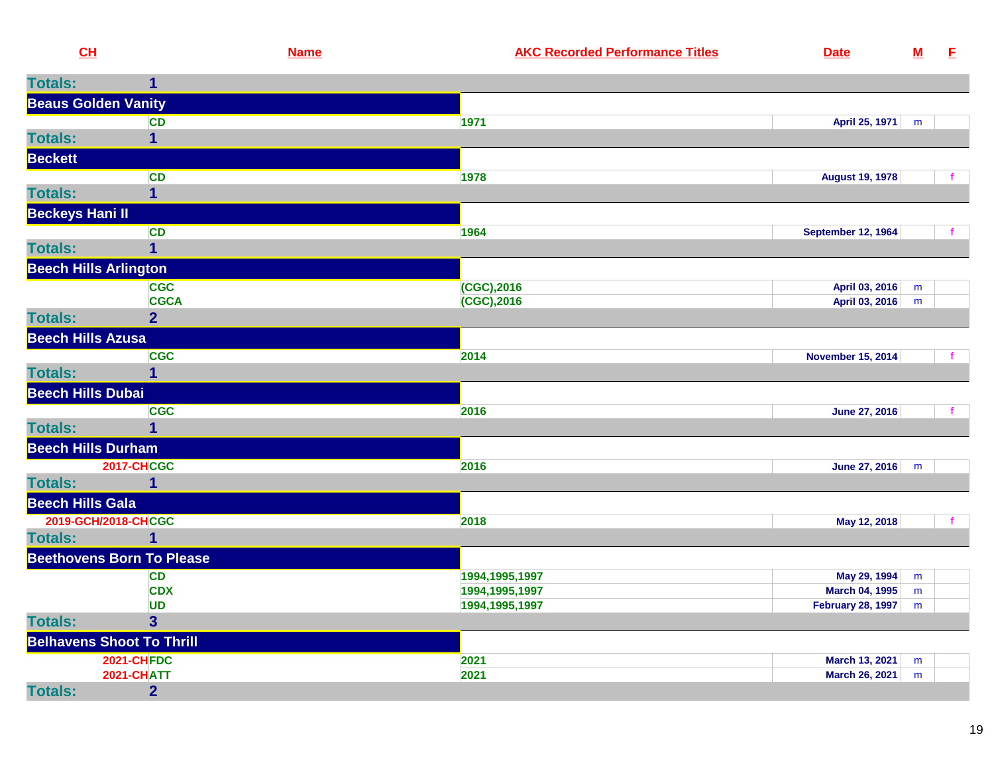| <b>Totals:</b><br>1<br><b>Beaus Golden Vanity</b><br>1971<br>April 25, 1971<br><b>CD</b><br>m<br>1<br><b>Beckett</b><br><b>CD</b><br>1978<br><b>August 19, 1978</b><br>1<br><b>Beckeys Hani II</b><br><b>CD</b><br>1964<br><b>September 12, 1964</b><br>$\overline{1}$<br><b>Beech Hills Arlington</b><br><b>CGC</b><br>(CGC), 2016<br>April 03, 2016<br>m<br><b>CGCA</b><br>$(CGC)$ , 2016<br>April 03, 2016<br>m<br><b>Totals:</b><br>$\overline{2}$<br><b>Beech Hills Azusa</b><br><b>CGC</b><br>2014<br><b>November 15, 2014</b><br><b>Totals:</b><br><b>Beech Hills Dubai</b><br><b>CGC</b><br>2016<br>June 27, 2016<br>$\mathbf{f}$<br><b>Totals:</b><br>1<br><b>Beech Hills Durham</b><br><b>2017-CHCGC</b><br>2016<br>June 27, 2016 m<br><b>Totals:</b><br><b>Beech Hills Gala</b><br>2019-GCH/2018-CHCGC<br>2018<br>May 12, 2018<br><b>Totals:</b><br>1<br><b>Beethovens Born To Please</b><br>May 29, 1994<br><b>CD</b><br>1994, 1995, 1997<br>m<br><b>CDX</b><br>1994, 1995, 1997<br>March 04, 1995<br>m<br><b>UD</b><br>1994, 1995, 1997<br><b>February 28, 1997</b><br>m<br>$\overline{3}$<br><b>Totals:</b><br><b>Belhavens Shoot To Thrill</b><br><b>2021-CHFDC</b><br>2021<br>March 13, 2021<br>m<br><b>2021-CHATT</b><br>2021<br><b>March 26, 2021</b><br>m<br>$\overline{2}$<br><b>Totals:</b> | CL             | <b>Name</b> | <b>AKC Recorded Performance Titles</b> | <b>Date</b> | $\underline{\mathsf{M}}$ | E |
|------------------------------------------------------------------------------------------------------------------------------------------------------------------------------------------------------------------------------------------------------------------------------------------------------------------------------------------------------------------------------------------------------------------------------------------------------------------------------------------------------------------------------------------------------------------------------------------------------------------------------------------------------------------------------------------------------------------------------------------------------------------------------------------------------------------------------------------------------------------------------------------------------------------------------------------------------------------------------------------------------------------------------------------------------------------------------------------------------------------------------------------------------------------------------------------------------------------------------------------------------------------------------------------------------------------|----------------|-------------|----------------------------------------|-------------|--------------------------|---|
|                                                                                                                                                                                                                                                                                                                                                                                                                                                                                                                                                                                                                                                                                                                                                                                                                                                                                                                                                                                                                                                                                                                                                                                                                                                                                                                  |                |             |                                        |             |                          |   |
|                                                                                                                                                                                                                                                                                                                                                                                                                                                                                                                                                                                                                                                                                                                                                                                                                                                                                                                                                                                                                                                                                                                                                                                                                                                                                                                  |                |             |                                        |             |                          |   |
|                                                                                                                                                                                                                                                                                                                                                                                                                                                                                                                                                                                                                                                                                                                                                                                                                                                                                                                                                                                                                                                                                                                                                                                                                                                                                                                  |                |             |                                        |             |                          |   |
|                                                                                                                                                                                                                                                                                                                                                                                                                                                                                                                                                                                                                                                                                                                                                                                                                                                                                                                                                                                                                                                                                                                                                                                                                                                                                                                  | <b>Totals:</b> |             |                                        |             |                          |   |
|                                                                                                                                                                                                                                                                                                                                                                                                                                                                                                                                                                                                                                                                                                                                                                                                                                                                                                                                                                                                                                                                                                                                                                                                                                                                                                                  |                |             |                                        |             |                          |   |
|                                                                                                                                                                                                                                                                                                                                                                                                                                                                                                                                                                                                                                                                                                                                                                                                                                                                                                                                                                                                                                                                                                                                                                                                                                                                                                                  |                |             |                                        |             |                          |   |
|                                                                                                                                                                                                                                                                                                                                                                                                                                                                                                                                                                                                                                                                                                                                                                                                                                                                                                                                                                                                                                                                                                                                                                                                                                                                                                                  | <b>Totals:</b> |             |                                        |             |                          |   |
|                                                                                                                                                                                                                                                                                                                                                                                                                                                                                                                                                                                                                                                                                                                                                                                                                                                                                                                                                                                                                                                                                                                                                                                                                                                                                                                  |                |             |                                        |             |                          |   |
|                                                                                                                                                                                                                                                                                                                                                                                                                                                                                                                                                                                                                                                                                                                                                                                                                                                                                                                                                                                                                                                                                                                                                                                                                                                                                                                  |                |             |                                        |             |                          |   |
|                                                                                                                                                                                                                                                                                                                                                                                                                                                                                                                                                                                                                                                                                                                                                                                                                                                                                                                                                                                                                                                                                                                                                                                                                                                                                                                  | <b>Totals:</b> |             |                                        |             |                          |   |
|                                                                                                                                                                                                                                                                                                                                                                                                                                                                                                                                                                                                                                                                                                                                                                                                                                                                                                                                                                                                                                                                                                                                                                                                                                                                                                                  |                |             |                                        |             |                          |   |
|                                                                                                                                                                                                                                                                                                                                                                                                                                                                                                                                                                                                                                                                                                                                                                                                                                                                                                                                                                                                                                                                                                                                                                                                                                                                                                                  |                |             |                                        |             |                          |   |
|                                                                                                                                                                                                                                                                                                                                                                                                                                                                                                                                                                                                                                                                                                                                                                                                                                                                                                                                                                                                                                                                                                                                                                                                                                                                                                                  |                |             |                                        |             |                          |   |
|                                                                                                                                                                                                                                                                                                                                                                                                                                                                                                                                                                                                                                                                                                                                                                                                                                                                                                                                                                                                                                                                                                                                                                                                                                                                                                                  |                |             |                                        |             |                          |   |
|                                                                                                                                                                                                                                                                                                                                                                                                                                                                                                                                                                                                                                                                                                                                                                                                                                                                                                                                                                                                                                                                                                                                                                                                                                                                                                                  |                |             |                                        |             |                          |   |
|                                                                                                                                                                                                                                                                                                                                                                                                                                                                                                                                                                                                                                                                                                                                                                                                                                                                                                                                                                                                                                                                                                                                                                                                                                                                                                                  |                |             |                                        |             |                          |   |
|                                                                                                                                                                                                                                                                                                                                                                                                                                                                                                                                                                                                                                                                                                                                                                                                                                                                                                                                                                                                                                                                                                                                                                                                                                                                                                                  |                |             |                                        |             |                          |   |
|                                                                                                                                                                                                                                                                                                                                                                                                                                                                                                                                                                                                                                                                                                                                                                                                                                                                                                                                                                                                                                                                                                                                                                                                                                                                                                                  |                |             |                                        |             |                          |   |
|                                                                                                                                                                                                                                                                                                                                                                                                                                                                                                                                                                                                                                                                                                                                                                                                                                                                                                                                                                                                                                                                                                                                                                                                                                                                                                                  |                |             |                                        |             |                          |   |
|                                                                                                                                                                                                                                                                                                                                                                                                                                                                                                                                                                                                                                                                                                                                                                                                                                                                                                                                                                                                                                                                                                                                                                                                                                                                                                                  |                |             |                                        |             |                          |   |
|                                                                                                                                                                                                                                                                                                                                                                                                                                                                                                                                                                                                                                                                                                                                                                                                                                                                                                                                                                                                                                                                                                                                                                                                                                                                                                                  |                |             |                                        |             |                          |   |
|                                                                                                                                                                                                                                                                                                                                                                                                                                                                                                                                                                                                                                                                                                                                                                                                                                                                                                                                                                                                                                                                                                                                                                                                                                                                                                                  |                |             |                                        |             |                          |   |
|                                                                                                                                                                                                                                                                                                                                                                                                                                                                                                                                                                                                                                                                                                                                                                                                                                                                                                                                                                                                                                                                                                                                                                                                                                                                                                                  |                |             |                                        |             |                          |   |
|                                                                                                                                                                                                                                                                                                                                                                                                                                                                                                                                                                                                                                                                                                                                                                                                                                                                                                                                                                                                                                                                                                                                                                                                                                                                                                                  |                |             |                                        |             |                          |   |
|                                                                                                                                                                                                                                                                                                                                                                                                                                                                                                                                                                                                                                                                                                                                                                                                                                                                                                                                                                                                                                                                                                                                                                                                                                                                                                                  |                |             |                                        |             |                          |   |
|                                                                                                                                                                                                                                                                                                                                                                                                                                                                                                                                                                                                                                                                                                                                                                                                                                                                                                                                                                                                                                                                                                                                                                                                                                                                                                                  |                |             |                                        |             |                          |   |
|                                                                                                                                                                                                                                                                                                                                                                                                                                                                                                                                                                                                                                                                                                                                                                                                                                                                                                                                                                                                                                                                                                                                                                                                                                                                                                                  |                |             |                                        |             |                          |   |
|                                                                                                                                                                                                                                                                                                                                                                                                                                                                                                                                                                                                                                                                                                                                                                                                                                                                                                                                                                                                                                                                                                                                                                                                                                                                                                                  |                |             |                                        |             |                          |   |
|                                                                                                                                                                                                                                                                                                                                                                                                                                                                                                                                                                                                                                                                                                                                                                                                                                                                                                                                                                                                                                                                                                                                                                                                                                                                                                                  |                |             |                                        |             |                          |   |
|                                                                                                                                                                                                                                                                                                                                                                                                                                                                                                                                                                                                                                                                                                                                                                                                                                                                                                                                                                                                                                                                                                                                                                                                                                                                                                                  |                |             |                                        |             |                          |   |
|                                                                                                                                                                                                                                                                                                                                                                                                                                                                                                                                                                                                                                                                                                                                                                                                                                                                                                                                                                                                                                                                                                                                                                                                                                                                                                                  |                |             |                                        |             |                          |   |
|                                                                                                                                                                                                                                                                                                                                                                                                                                                                                                                                                                                                                                                                                                                                                                                                                                                                                                                                                                                                                                                                                                                                                                                                                                                                                                                  |                |             |                                        |             |                          |   |
|                                                                                                                                                                                                                                                                                                                                                                                                                                                                                                                                                                                                                                                                                                                                                                                                                                                                                                                                                                                                                                                                                                                                                                                                                                                                                                                  |                |             |                                        |             |                          |   |
|                                                                                                                                                                                                                                                                                                                                                                                                                                                                                                                                                                                                                                                                                                                                                                                                                                                                                                                                                                                                                                                                                                                                                                                                                                                                                                                  |                |             |                                        |             |                          |   |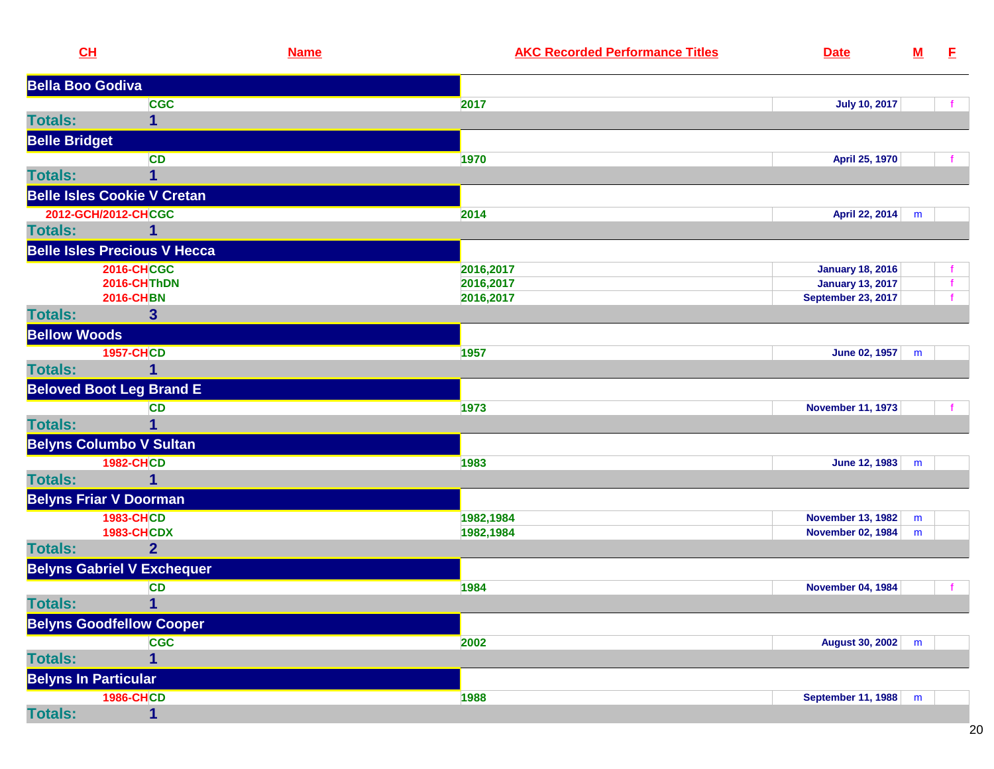| CL                      |                                     | <b>Name</b> | <b>AKC Recorded Performance Titles</b> | <b>Date</b>               | ${\bf M}$ | E,           |
|-------------------------|-------------------------------------|-------------|----------------------------------------|---------------------------|-----------|--------------|
| <b>Bella Boo Godiva</b> |                                     |             |                                        |                           |           |              |
|                         | <b>CGC</b>                          |             | 2017                                   | <b>July 10, 2017</b>      |           |              |
| <b>Totals:</b>          | 1                                   |             |                                        |                           |           |              |
| <b>Belle Bridget</b>    |                                     |             |                                        |                           |           |              |
|                         | <b>CD</b>                           |             | 1970                                   | April 25, 1970            |           |              |
| <b>Totals:</b>          |                                     |             |                                        |                           |           |              |
|                         | <b>Belle Isles Cookie V Cretan</b>  |             |                                        |                           |           |              |
|                         | 2012-GCH/2012-CHCGC                 |             | 2014                                   | April 22, 2014            | m         |              |
| <b>Totals:</b>          |                                     |             |                                        |                           |           |              |
|                         | <b>Belle Isles Precious V Hecca</b> |             |                                        |                           |           |              |
|                         | <b>2016-CHCGC</b>                   |             | 2016,2017                              | <b>January 18, 2016</b>   |           | f.           |
|                         | 2016-CHThDN                         |             | 2016,2017                              | <b>January 13, 2017</b>   |           | $\mathbf{f}$ |
|                         | <b>2016-CHBN</b>                    |             | 2016,2017                              | <b>September 23, 2017</b> |           |              |
| <b>Totals:</b>          | 3                                   |             |                                        |                           |           |              |
| <b>Bellow Woods</b>     |                                     |             |                                        |                           |           |              |
|                         | <b>1957-CHCD</b>                    |             | 1957                                   | June 02, 1957             | m         |              |
| <b>Totals:</b>          | 1                                   |             |                                        |                           |           |              |
|                         | <b>Beloved Boot Leg Brand E</b>     |             |                                        |                           |           |              |
|                         | <b>CD</b>                           |             | 1973                                   | <b>November 11, 1973</b>  |           |              |
| <b>Totals:</b>          |                                     |             |                                        |                           |           |              |
|                         | <b>Belyns Columbo V Sultan</b>      |             |                                        |                           |           |              |
|                         | <b>1982-CHCD</b>                    |             | 1983                                   | June 12, 1983             | m         |              |
| <b>Totals:</b>          | 1                                   |             |                                        |                           |           |              |
|                         | <b>Belyns Friar V Doorman</b>       |             |                                        |                           |           |              |
|                         | <b>1983-CHCD</b>                    |             | 1982,1984                              | <b>November 13, 1982</b>  | m         |              |
|                         | <b>1983-CHCDX</b>                   |             | 1982,1984                              | <b>November 02, 1984</b>  | m         |              |
| <b>Totals:</b>          | $\overline{2}$                      |             |                                        |                           |           |              |
|                         | <b>Belyns Gabriel V Exchequer</b>   |             |                                        |                           |           |              |
|                         | <b>CD</b>                           |             | 1984                                   | <b>November 04, 1984</b>  |           |              |
| <b>Totals:</b>          | $\blacksquare$                      |             |                                        |                           |           |              |
|                         | <b>Belyns Goodfellow Cooper</b>     |             |                                        |                           |           |              |
|                         | <b>CGC</b>                          |             | 2002                                   | <b>August 30, 2002</b>    | m         |              |
| <b>Totals:</b>          | 1                                   |             |                                        |                           |           |              |
|                         | <b>Belyns In Particular</b>         |             |                                        |                           |           |              |
|                         | <b>1986-CHCD</b>                    |             | 1988                                   | <b>September 11, 1988</b> | m         |              |
| <b>Totals:</b>          | $\mathbf{1}$                        |             |                                        |                           |           |              |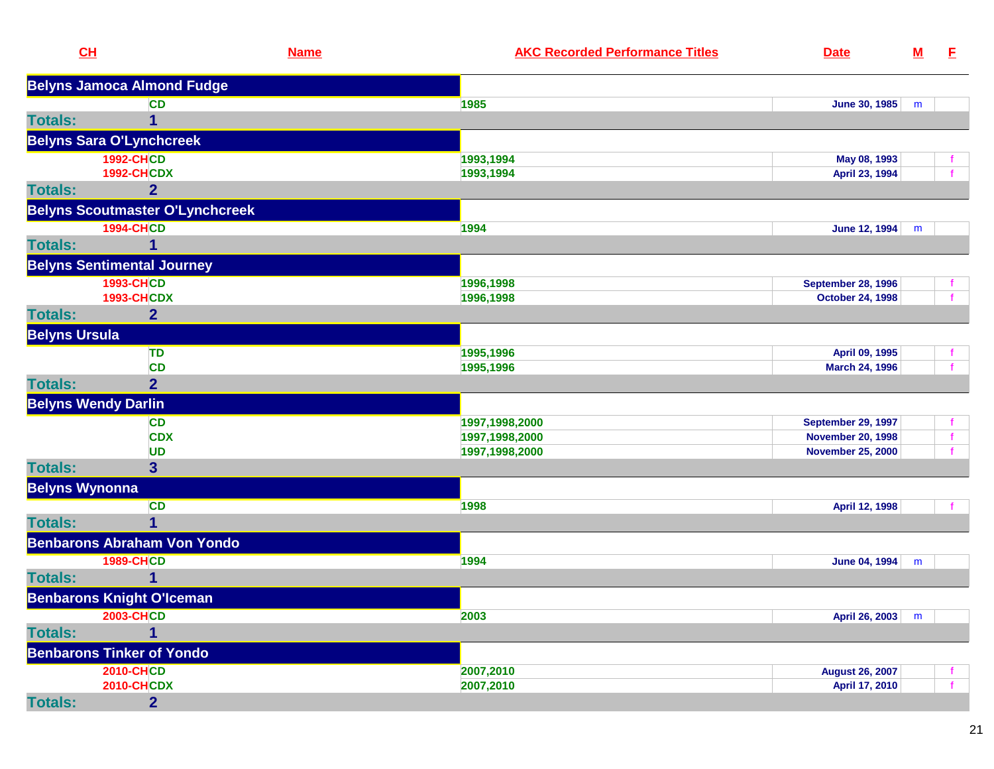| CL                    |                                        | <b>Name</b> | <b>AKC Recorded Performance Titles</b> | <b>Date</b>               | $\underline{\mathsf{M}}$ | E. |
|-----------------------|----------------------------------------|-------------|----------------------------------------|---------------------------|--------------------------|----|
|                       | <b>Belyns Jamoca Almond Fudge</b>      |             |                                        |                           |                          |    |
|                       | <b>CD</b>                              |             | 1985                                   | <b>June 30, 1985</b>      | m                        |    |
| <b>Totals:</b>        | 1                                      |             |                                        |                           |                          |    |
|                       | <b>Belyns Sara O'Lynchcreek</b>        |             |                                        |                           |                          |    |
|                       | <b>1992-CHCD</b>                       |             | 1993,1994                              | May 08, 1993              |                          |    |
|                       | <b>1992-CHCDX</b>                      |             | 1993,1994                              | April 23, 1994            |                          |    |
| <b>Totals:</b>        | $\overline{2}$                         |             |                                        |                           |                          |    |
|                       | <b>Belyns Scoutmaster O'Lynchcreek</b> |             |                                        |                           |                          |    |
|                       | <b>1994-CHCD</b>                       |             | 1994                                   | June 12, 1994             | m                        |    |
| <b>Totals:</b>        |                                        |             |                                        |                           |                          |    |
|                       | <b>Belyns Sentimental Journey</b>      |             |                                        |                           |                          |    |
|                       | <b>1993-CHCD</b>                       |             | 1996,1998                              | <b>September 28, 1996</b> |                          |    |
|                       | <b>1993-CHCDX</b>                      |             | 1996,1998                              | <b>October 24, 1998</b>   |                          |    |
| <b>Totals:</b>        | $\overline{2}$                         |             |                                        |                           |                          |    |
| <b>Belyns Ursula</b>  |                                        |             |                                        |                           |                          |    |
|                       | TD                                     |             | 1995,1996                              | April 09, 1995            |                          | t. |
|                       | <b>CD</b>                              |             | 1995,1996                              | March 24, 1996            |                          | f  |
| <b>Totals:</b>        | $\overline{2}$                         |             |                                        |                           |                          |    |
|                       | <b>Belyns Wendy Darlin</b>             |             |                                        |                           |                          |    |
|                       | <b>CD</b>                              |             | 1997,1998,2000                         | <b>September 29, 1997</b> |                          | f. |
|                       | <b>CDX</b>                             |             | 1997,1998,2000                         | <b>November 20, 1998</b>  |                          | f. |
|                       | <b>UD</b>                              |             | 1997,1998,2000                         | <b>November 25, 2000</b>  |                          |    |
| <b>Totals:</b>        | 3 <sup>5</sup>                         |             |                                        |                           |                          |    |
| <b>Belyns Wynonna</b> |                                        |             |                                        |                           |                          |    |
|                       | <b>CD</b>                              |             | 1998                                   | April 12, 1998            |                          |    |
| <b>Totals:</b>        |                                        |             |                                        |                           |                          |    |
|                       | <b>Benbarons Abraham Von Yondo</b>     |             |                                        |                           |                          |    |
|                       | <b>1989-CHCD</b>                       |             | 1994                                   | June 04, 1994             | m                        |    |
| <b>Totals:</b>        | 1                                      |             |                                        |                           |                          |    |
|                       | <b>Benbarons Knight O'Iceman</b>       |             |                                        |                           |                          |    |
|                       | <b>2003-CHCD</b>                       |             | 2003                                   | April 26, 2003            | m                        |    |
| <b>Totals:</b>        | 1                                      |             |                                        |                           |                          |    |
|                       | <b>Benbarons Tinker of Yondo</b>       |             |                                        |                           |                          |    |
|                       | <b>2010-CHCD</b>                       |             | 2007,2010                              | <b>August 26, 2007</b>    |                          |    |
|                       | <b>2010-CHCDX</b>                      |             | 2007,2010                              | April 17, 2010            |                          |    |
| <b>Totals:</b>        | $\overline{2}$                         |             |                                        |                           |                          |    |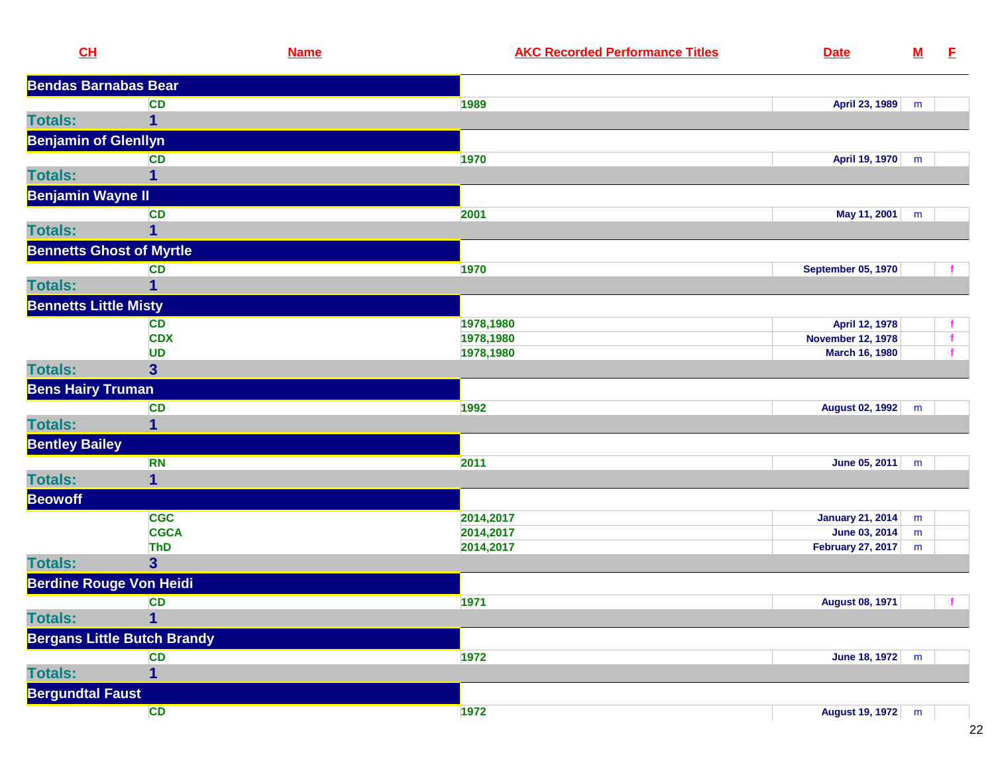|                         | CL                                 | <b>Name</b> | <b>AKC Recorded Performance Titles</b> | <b>Date</b>                 | $\underline{\mathbf{M}}$ | E.           |
|-------------------------|------------------------------------|-------------|----------------------------------------|-----------------------------|--------------------------|--------------|
|                         | <b>Bendas Barnabas Bear</b>        |             |                                        |                             |                          |              |
|                         | <b>CD</b>                          |             | 1989                                   | April 23, 1989              | m                        |              |
| <b>Totals:</b>          | $\mathbf 1$                        |             |                                        |                             |                          |              |
|                         | <b>Benjamin of Glenllyn</b>        |             |                                        |                             |                          |              |
|                         | <b>CD</b>                          |             | 1970                                   | April 19, 1970              | m                        |              |
| <b>Totals:</b>          | 1                                  |             |                                        |                             |                          |              |
|                         | <b>Benjamin Wayne II</b>           |             |                                        |                             |                          |              |
|                         | <b>CD</b>                          |             | 2001                                   | May 11, 2001                | m                        |              |
| <b>Totals:</b>          | 1                                  |             |                                        |                             |                          |              |
|                         | <b>Bennetts Ghost of Myrtle</b>    |             |                                        |                             |                          |              |
|                         | <b>CD</b>                          |             | 1970                                   | <b>September 05, 1970</b>   |                          |              |
| <b>Totals:</b>          | 1                                  |             |                                        |                             |                          |              |
|                         | <b>Bennetts Little Misty</b>       |             |                                        |                             |                          |              |
|                         | <b>CD</b>                          |             | 1978,1980                              | April 12, 1978              |                          |              |
|                         | <b>CDX</b>                         |             | 1978,1980                              | <b>November 12, 1978</b>    |                          | $\mathbf f$  |
|                         | <b>UD</b>                          |             | 1978,1980                              | <b>March 16, 1980</b>       |                          |              |
| <b>Totals:</b>          | $\overline{\mathbf{3}}$            |             |                                        |                             |                          |              |
|                         | <b>Bens Hairy Truman</b>           |             |                                        |                             |                          |              |
|                         | <b>CD</b>                          |             | 1992                                   | August 02, 1992             | m                        |              |
| <b>Totals:</b>          | 1                                  |             |                                        |                             |                          |              |
| <b>Bentley Bailey</b>   |                                    |             |                                        |                             |                          |              |
|                         | <b>RN</b>                          |             | 2011                                   | June 05, 2011               | m                        |              |
| <b>Totals:</b>          | $\mathbf{1}$                       |             |                                        |                             |                          |              |
| <b>Beowoff</b>          |                                    |             |                                        |                             |                          |              |
|                         | <b>CGC</b>                         |             | 2014,2017                              | January 21, 2014            | m                        |              |
|                         | <b>CGCA</b>                        |             | 2014,2017                              | <b>June 03, 2014</b>        | m                        |              |
|                         | <b>ThD</b>                         |             | 2014,2017                              | <b>February 27, 2017</b>    | m                        |              |
| <b>Totals:</b>          | $\overline{\mathbf{3}}$            |             |                                        |                             |                          |              |
|                         | <b>Berdine Rouge Von Heidi</b>     |             |                                        |                             |                          |              |
|                         | <b>CD</b>                          |             | 1971                                   | August 08, 1971             |                          | $\mathbf{f}$ |
| <b>Totals:</b>          | $\overline{1}$                     |             |                                        |                             |                          |              |
|                         | <b>Bergans Little Butch Brandy</b> |             |                                        |                             |                          |              |
|                         | <b>CD</b>                          |             | 1972                                   | June 18, 1972 $\mid m \mid$ |                          |              |
| <b>Totals:</b>          | $\mathbf{1}$                       |             |                                        |                             |                          |              |
| <b>Bergundtal Faust</b> |                                    |             |                                        |                             |                          |              |
|                         | CD                                 |             | 1972                                   | August 19, 1972 m           |                          |              |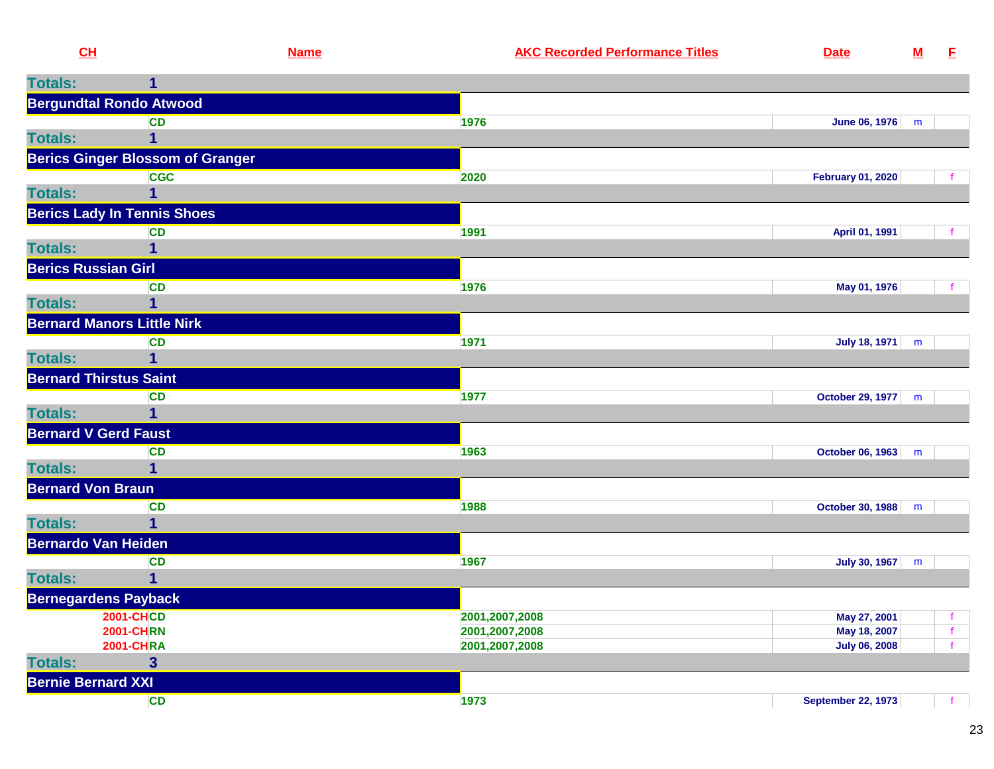| CH                         |                                         | <b>Name</b> | <b>AKC Recorded Performance Titles</b> | <b>Date</b>                          | ${\bf M}$ | E.           |
|----------------------------|-----------------------------------------|-------------|----------------------------------------|--------------------------------------|-----------|--------------|
| <b>Totals:</b>             | 1                                       |             |                                        |                                      |           |              |
|                            | <b>Bergundtal Rondo Atwood</b>          |             |                                        |                                      |           |              |
|                            | <b>CD</b>                               |             | 1976                                   | June 06, 1976 m                      |           |              |
| <b>Totals:</b>             |                                         |             |                                        |                                      |           |              |
|                            | <b>Berics Ginger Blossom of Granger</b> |             |                                        |                                      |           |              |
|                            | <b>CGC</b>                              |             | 2020                                   | <b>February 01, 2020</b>             |           |              |
| <b>Totals:</b>             |                                         |             |                                        |                                      |           |              |
|                            | <b>Berics Lady In Tennis Shoes</b>      |             |                                        |                                      |           |              |
|                            | <b>CD</b>                               |             | 1991                                   | April 01, 1991                       |           |              |
| <b>Totals:</b>             |                                         |             |                                        |                                      |           |              |
| <b>Berics Russian Girl</b> |                                         |             |                                        |                                      |           |              |
|                            | <b>CD</b>                               |             | 1976                                   | May 01, 1976                         |           | f            |
| <b>Totals:</b>             |                                         |             |                                        |                                      |           |              |
|                            | <b>Bernard Manors Little Nirk</b>       |             |                                        |                                      |           |              |
|                            | <b>CD</b>                               |             | 1971                                   | <b>July 18, 1971</b>                 | m         |              |
| <b>Totals:</b>             |                                         |             |                                        |                                      |           |              |
|                            | <b>Bernard Thirstus Saint</b>           |             |                                        |                                      |           |              |
|                            | <b>CD</b>                               |             | 1977                                   | October 29, 1977                     | m         |              |
| <b>Totals:</b>             | 1                                       |             |                                        |                                      |           |              |
|                            | <b>Bernard V Gerd Faust</b>             |             |                                        |                                      |           |              |
|                            | <b>CD</b>                               |             | 1963                                   | October 06, 1963 m                   |           |              |
| <b>Totals:</b>             |                                         |             |                                        |                                      |           |              |
| <b>Bernard Von Braun</b>   |                                         |             |                                        |                                      |           |              |
|                            | <b>CD</b>                               |             | 1988                                   | October 30, 1988                     | m         |              |
| <b>Totals:</b>             |                                         |             |                                        |                                      |           |              |
|                            | <b>Bernardo Van Heiden</b>              |             |                                        |                                      |           |              |
|                            | <b>CD</b>                               |             | 1967                                   | July 30, 1967                        | m         |              |
| <b>Totals:</b>             |                                         |             |                                        |                                      |           |              |
|                            | Bernegardens Payback                    |             |                                        |                                      |           |              |
|                            | <b>2001-CHCD</b>                        |             | 2001,2007,2008                         | May 27, 2001                         |           | $\mathbf{f}$ |
|                            | <b>2001-CHRN</b><br><b>2001-CHRA</b>    |             | 2001,2007,2008<br>2001,2007,2008       | May 18, 2007<br><b>July 06, 2008</b> |           | f<br>−f.     |
| <b>Totals:</b>             | $\mathbf{3}$                            |             |                                        |                                      |           |              |
| <b>Bernie Bernard XXI</b>  |                                         |             |                                        |                                      |           |              |
|                            | <b>CD</b>                               |             | 1973                                   | <b>September 22, 1973</b>            |           | f.           |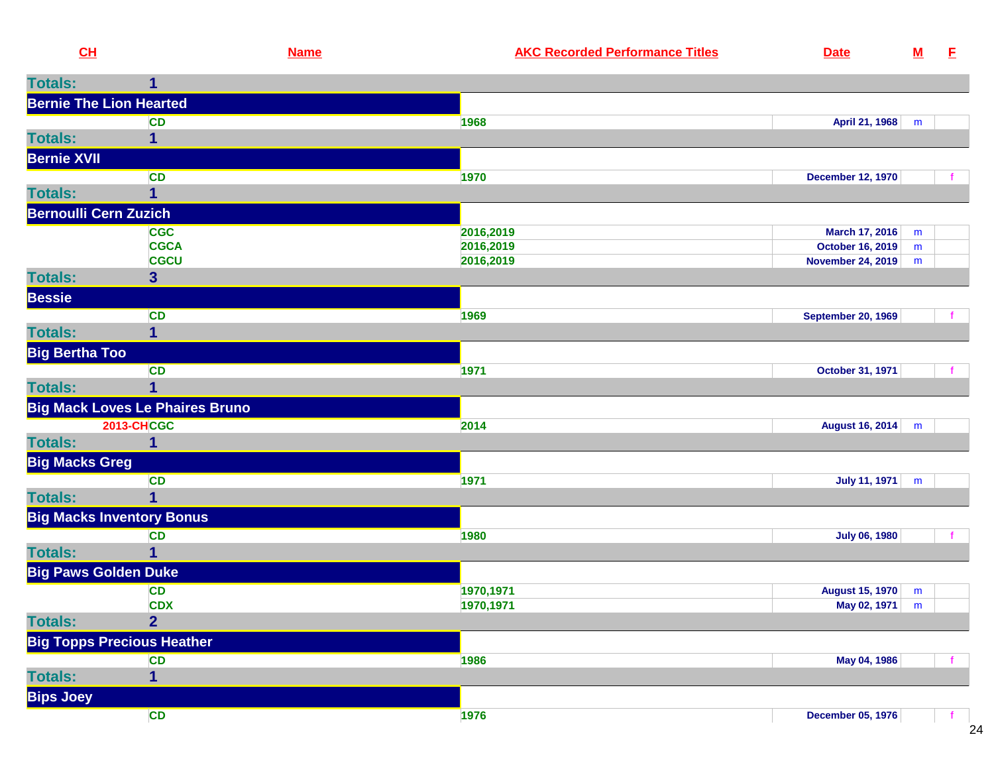| CL                             | <b>Name</b>                            | <b>AKC Recorded Performance Titles</b> | <b>Date</b>               | ${\bf M}$ | Е |
|--------------------------------|----------------------------------------|----------------------------------------|---------------------------|-----------|---|
| <b>Totals:</b>                 | 1                                      |                                        |                           |           |   |
| <b>Bernie The Lion Hearted</b> |                                        |                                        |                           |           |   |
|                                | <b>CD</b>                              | 1968                                   | April 21, 1968            | m         |   |
| <b>Totals:</b>                 |                                        |                                        |                           |           |   |
| <b>Bernie XVII</b>             |                                        |                                        |                           |           |   |
|                                | CD                                     | 1970                                   | <b>December 12, 1970</b>  |           |   |
| <b>Totals:</b>                 | $\mathbf 1$                            |                                        |                           |           |   |
| <b>Bernoulli Cern Zuzich</b>   |                                        |                                        |                           |           |   |
|                                | <b>CGC</b>                             | 2016,2019                              | March 17, 2016            | m         |   |
|                                | <b>CGCA</b>                            | 2016,2019                              | <b>October 16, 2019</b>   | m         |   |
|                                | <b>CGCU</b>                            | 2016,2019                              | <b>November 24, 2019</b>  | m         |   |
| <b>Totals:</b>                 | $\overline{\mathbf{3}}$                |                                        |                           |           |   |
| <b>Bessie</b>                  |                                        |                                        |                           |           |   |
|                                | CD                                     | 1969                                   | <b>September 20, 1969</b> |           |   |
| <b>Totals:</b>                 | $\mathbf{1}$                           |                                        |                           |           |   |
| <b>Big Bertha Too</b>          |                                        |                                        |                           |           |   |
|                                | CD                                     | 1971                                   | October 31, 1971          |           |   |
| <b>Totals:</b>                 |                                        |                                        |                           |           |   |
|                                | <b>Big Mack Loves Le Phaires Bruno</b> |                                        |                           |           |   |
|                                | <b>2013-CHCGC</b>                      | 2014                                   | <b>August 16, 2014</b>    | m         |   |
| <b>Totals:</b>                 | 1                                      |                                        |                           |           |   |
| <b>Big Macks Greg</b>          |                                        |                                        |                           |           |   |
|                                | <b>CD</b>                              | 1971                                   | <b>July 11, 1971</b>      | m         |   |
| <b>Totals:</b>                 | 1                                      |                                        |                           |           |   |
|                                | <b>Big Macks Inventory Bonus</b>       |                                        |                           |           |   |
|                                | <b>CD</b>                              | 1980                                   | <b>July 06, 1980</b>      |           |   |
| <b>Totals:</b>                 |                                        |                                        |                           |           |   |
| <b>Big Paws Golden Duke</b>    |                                        |                                        |                           |           |   |
|                                | CD                                     | 1970,1971                              | <b>August 15, 1970</b>    | m         |   |
|                                | <b>CDX</b>                             | 1970,1971                              | May 02, 1971              | m         |   |
| <b>Totals:</b>                 | $\overline{2}$                         |                                        |                           |           |   |
|                                | <b>Big Topps Precious Heather</b>      |                                        |                           |           |   |
|                                | <b>CD</b>                              | 1986                                   | May 04, 1986              |           |   |
| <b>Totals:</b>                 | $\overline{1}$                         |                                        |                           |           |   |
| <b>Bips Joey</b>               |                                        |                                        |                           |           |   |
|                                | CD                                     | 1976                                   | <b>December 05, 1976</b>  |           |   |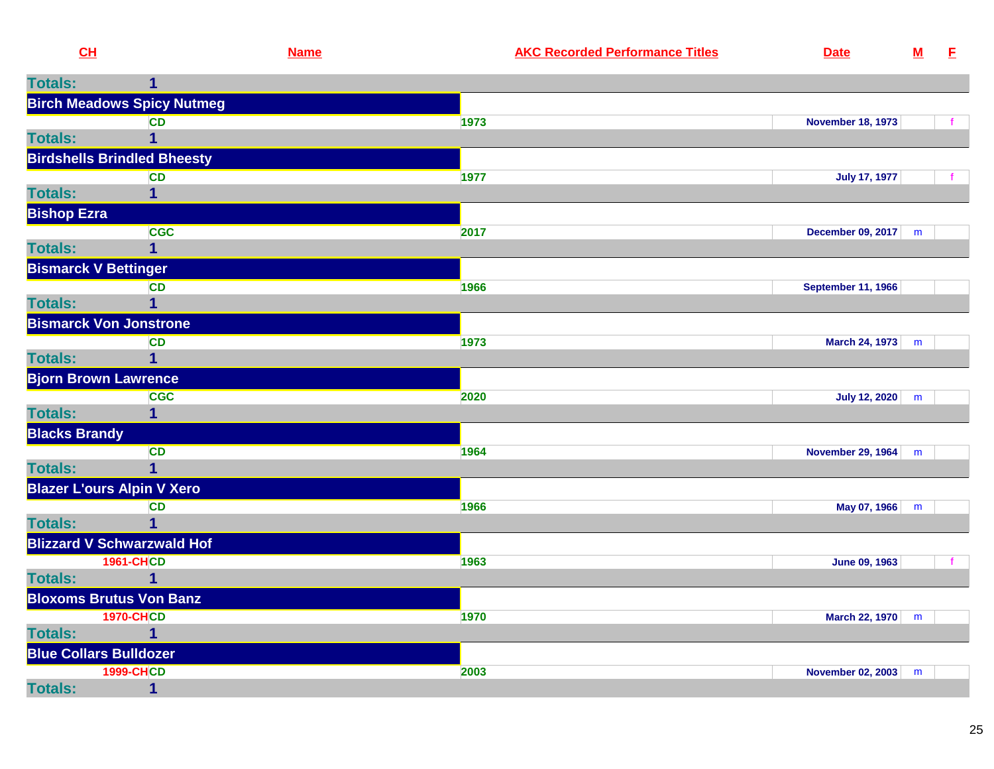| CL                   |                                           | <b>Name</b> | <b>AKC Recorded Performance Titles</b> | <b>Date</b>               | ${\bf M}$ | $\mathbf{E}$ |
|----------------------|-------------------------------------------|-------------|----------------------------------------|---------------------------|-----------|--------------|
| <b>Totals:</b>       |                                           |             |                                        |                           |           |              |
|                      | <b>Birch Meadows Spicy Nutmeg</b>         |             |                                        |                           |           |              |
|                      | <b>CD</b>                                 |             | 1973                                   | <b>November 18, 1973</b>  |           |              |
| <b>Totals:</b>       |                                           |             |                                        |                           |           |              |
|                      | <b>Birdshells Brindled Bheesty</b>        |             |                                        |                           |           |              |
|                      | <b>CD</b>                                 |             | 1977                                   | <b>July 17, 1977</b>      |           |              |
| <b>Totals:</b>       | 1                                         |             |                                        |                           |           |              |
| <b>Bishop Ezra</b>   |                                           |             |                                        |                           |           |              |
|                      | <b>CGC</b>                                |             | 2017                                   | December 09, 2017         | m         |              |
| <b>Totals:</b>       | 1                                         |             |                                        |                           |           |              |
|                      | <b>Bismarck V Bettinger</b>               |             |                                        |                           |           |              |
|                      | <b>CD</b>                                 |             | 1966                                   | <b>September 11, 1966</b> |           |              |
| <b>Totals:</b>       | 1                                         |             |                                        |                           |           |              |
|                      | <b>Bismarck Von Jonstrone</b>             |             |                                        |                           |           |              |
| <b>Totals:</b>       | <b>CD</b>                                 |             | 1973                                   | March 24, 1973            | m         |              |
|                      |                                           |             |                                        |                           |           |              |
|                      | <b>Bjorn Brown Lawrence</b><br><b>CGC</b> |             | 2020                                   | <b>July 12, 2020</b>      |           |              |
| <b>Totals:</b>       | $\mathbf{1}$                              |             |                                        |                           | m         |              |
| <b>Blacks Brandy</b> |                                           |             |                                        |                           |           |              |
|                      | <b>CD</b>                                 |             | 1964                                   | <b>November 29, 1964</b>  | m         |              |
| <b>Totals:</b>       | 1                                         |             |                                        |                           |           |              |
|                      | <b>Blazer L'ours Alpin V Xero</b>         |             |                                        |                           |           |              |
|                      | <b>CD</b>                                 |             | 1966                                   | May 07, 1966              | m         |              |
| <b>Totals:</b>       |                                           |             |                                        |                           |           |              |
|                      | <b>Blizzard V Schwarzwald Hof</b>         |             |                                        |                           |           |              |
|                      | <b>1961-CHCD</b>                          |             | 1963                                   | June 09, 1963             |           | f            |
| <b>Totals:</b>       |                                           |             |                                        |                           |           |              |
|                      | <b>Bloxoms Brutus Von Banz</b>            |             |                                        |                           |           |              |
|                      | <b>1970-CHCD</b>                          |             | 1970                                   | March 22, 1970 m          |           |              |
| <b>Totals:</b>       |                                           |             |                                        |                           |           |              |
|                      | <b>Blue Collars Bulldozer</b>             |             |                                        |                           |           |              |
|                      | <b>1999-CHCD</b>                          |             | 2003                                   | November 02, 2003         | m         |              |
| <b>Totals:</b>       | $\mathbf 1$                               |             |                                        |                           |           |              |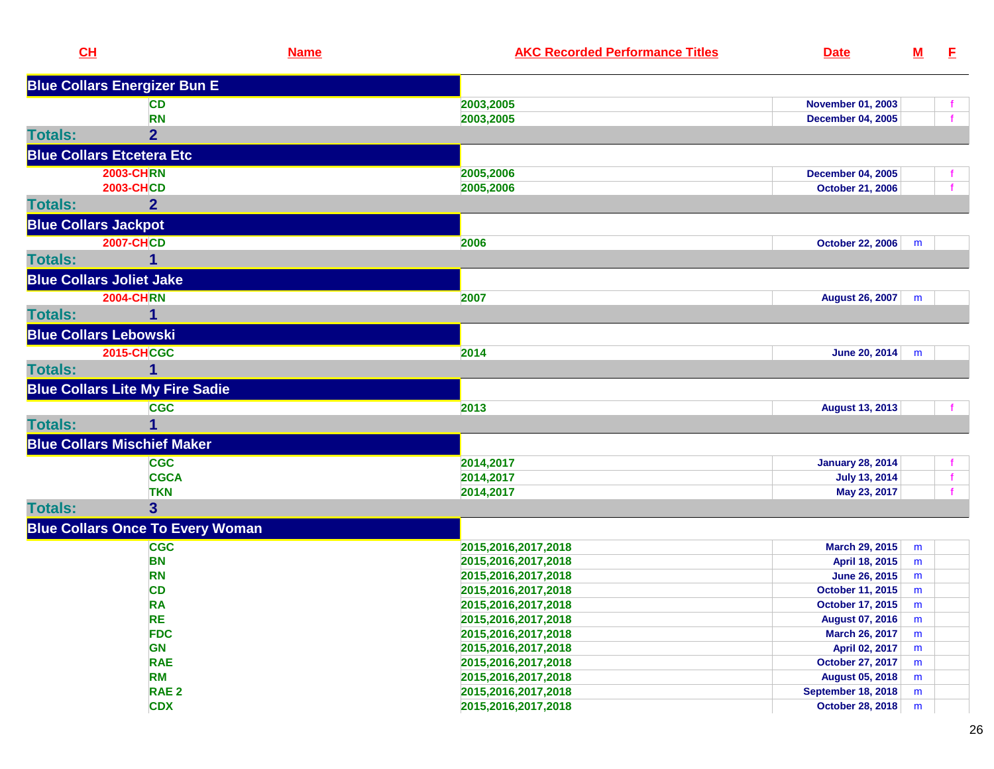| CL                               |                                         | <b>Name</b> | <b>AKC Recorded Performance Titles</b> | <b>Date</b>               | $\underline{\mathbf{M}}$ | E. |
|----------------------------------|-----------------------------------------|-------------|----------------------------------------|---------------------------|--------------------------|----|
|                                  | <b>Blue Collars Energizer Bun E</b>     |             |                                        |                           |                          |    |
|                                  | <b>CD</b>                               |             | 2003,2005                              | <b>November 01, 2003</b>  |                          |    |
|                                  | <b>RN</b>                               |             | 2003,2005                              | <b>December 04, 2005</b>  |                          |    |
| <b>Totals:</b>                   | $\overline{2}$                          |             |                                        |                           |                          |    |
| <b>Blue Collars Etcetera Etc</b> |                                         |             |                                        |                           |                          |    |
|                                  | <b>2003-CHRN</b>                        |             | 2005,2006                              | <b>December 04, 2005</b>  |                          |    |
|                                  | <b>2003-CHCD</b>                        |             | 2005,2006                              | <b>October 21, 2006</b>   |                          |    |
| <b>Totals:</b>                   | $\mathbf{2}$                            |             |                                        |                           |                          |    |
| <b>Blue Collars Jackpot</b>      |                                         |             |                                        |                           |                          |    |
|                                  | <b>2007-CHCD</b>                        |             | 2006                                   | <b>October 22, 2006</b>   | m                        |    |
| <b>Totals:</b>                   |                                         |             |                                        |                           |                          |    |
| <b>Blue Collars Joliet Jake</b>  |                                         |             |                                        |                           |                          |    |
|                                  | <b>2004-CHRN</b>                        |             | 2007                                   | <b>August 26, 2007</b>    | m                        |    |
| <b>Totals:</b>                   | 1                                       |             |                                        |                           |                          |    |
| <b>Blue Collars Lebowski</b>     |                                         |             |                                        |                           |                          |    |
|                                  | <b>2015-CHCGC</b>                       |             | 2014                                   | June 20, 2014             | m                        |    |
| <b>Totals:</b>                   |                                         |             |                                        |                           |                          |    |
|                                  | <b>Blue Collars Lite My Fire Sadie</b>  |             |                                        |                           |                          |    |
|                                  | <b>CGC</b>                              |             | 2013                                   | <b>August 13, 2013</b>    |                          |    |
| <b>Totals:</b>                   |                                         |             |                                        |                           |                          |    |
|                                  | <b>Blue Collars Mischief Maker</b>      |             |                                        |                           |                          |    |
|                                  | <b>CGC</b>                              |             | 2014,2017                              | <b>January 28, 2014</b>   |                          |    |
|                                  | <b>CGCA</b>                             |             | 2014,2017                              | <b>July 13, 2014</b>      |                          |    |
|                                  | <b>TKN</b>                              |             | 2014,2017                              | May 23, 2017              |                          |    |
| <b>Totals:</b>                   | 3                                       |             |                                        |                           |                          |    |
|                                  | <b>Blue Collars Once To Every Woman</b> |             |                                        |                           |                          |    |
|                                  | <b>CGC</b>                              |             | 2015, 2016, 2017, 2018                 | March 29, 2015            | m                        |    |
|                                  | <b>BN</b>                               |             | 2015,2016,2017,2018                    | April 18, 2015            | m                        |    |
|                                  | <b>RN</b>                               |             | 2015,2016,2017,2018                    | June 26, 2015             | m                        |    |
|                                  | <b>CD</b>                               |             | 2015,2016,2017,2018                    | October 11, 2015          | m                        |    |
|                                  | <b>RA</b>                               |             | 2015,2016,2017,2018                    | October 17, 2015          | m                        |    |
|                                  | <b>RE</b>                               |             | 2015,2016,2017,2018                    | <b>August 07, 2016</b>    | m                        |    |
|                                  | <b>FDC</b>                              |             | 2015,2016,2017,2018                    | March 26, 2017            | m                        |    |
|                                  | <b>GN</b>                               |             | 2015,2016,2017,2018                    | April 02, 2017            | m                        |    |
|                                  | <b>RAE</b>                              |             | 2015,2016,2017,2018                    | <b>October 27, 2017</b>   | m                        |    |
|                                  | <b>RM</b>                               |             | 2015,2016,2017,2018                    | <b>August 05, 2018</b>    | m                        |    |
|                                  | RAE <sub>2</sub>                        |             | 2015,2016,2017,2018                    | <b>September 18, 2018</b> | m                        |    |
|                                  | <b>CDX</b>                              |             | 2015,2016,2017,2018                    | October 28, 2018          | m                        |    |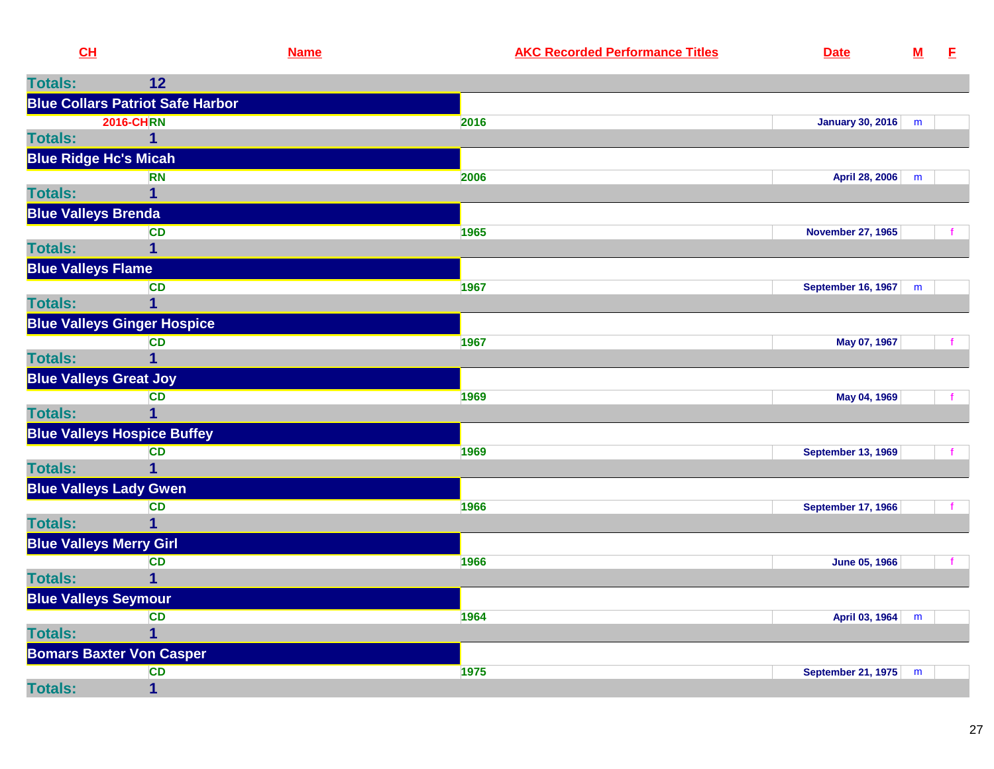|                | CL                                      | <b>Name</b> | <b>AKC Recorded Performance Titles</b> | <b>Date</b>               | ${\bf M}$ | E                                 |
|----------------|-----------------------------------------|-------------|----------------------------------------|---------------------------|-----------|-----------------------------------|
| <b>Totals:</b> | 12                                      |             |                                        |                           |           |                                   |
|                | <b>Blue Collars Patriot Safe Harbor</b> |             |                                        |                           |           |                                   |
|                | <b>2016-CHRN</b>                        |             | 2016                                   | January 30, 2016          | m         |                                   |
| <b>Totals:</b> |                                         |             |                                        |                           |           |                                   |
|                | <b>Blue Ridge Hc's Micah</b>            |             |                                        |                           |           |                                   |
|                | <b>RN</b>                               |             | 2006                                   | April 28, 2006            | m         |                                   |
| <b>Totals:</b> |                                         |             |                                        |                           |           |                                   |
|                | <b>Blue Valleys Brenda</b>              |             |                                        |                           |           |                                   |
|                | <b>CD</b>                               |             | 1965                                   | <b>November 27, 1965</b>  |           |                                   |
| <b>Totals:</b> |                                         |             |                                        |                           |           |                                   |
|                | <b>Blue Valleys Flame</b>               |             |                                        |                           |           |                                   |
|                | <b>CD</b>                               |             | 1967                                   | <b>September 16, 1967</b> | m         |                                   |
| <b>Totals:</b> |                                         |             |                                        |                           |           |                                   |
|                | <b>Blue Valleys Ginger Hospice</b>      |             |                                        |                           |           |                                   |
|                | <b>CD</b>                               |             | 1967                                   | May 07, 1967              |           |                                   |
| <b>Totals:</b> |                                         |             |                                        |                           |           |                                   |
|                | <b>Blue Valleys Great Joy</b>           |             |                                        |                           |           |                                   |
|                | $\sim$                                  |             | $\sqrt{2}$                             | <b>MALLO A ADOO</b>       |           | <b>Contract Contract Contract</b> |

|                                | <b>CD</b>                          | 1969 | May 04, 1969              |   |  |
|--------------------------------|------------------------------------|------|---------------------------|---|--|
| <b>Totals:</b>                 |                                    |      |                           |   |  |
|                                | <b>Blue Valleys Hospice Buffey</b> |      |                           |   |  |
|                                | <b>CD</b>                          | 1969 | <b>September 13, 1969</b> |   |  |
| <b>Totals:</b>                 |                                    |      |                           |   |  |
|                                | <b>Blue Valleys Lady Gwen</b>      |      |                           |   |  |
|                                | <b>CD</b>                          | 1966 | <b>September 17, 1966</b> |   |  |
| <b>Totals:</b>                 |                                    |      |                           |   |  |
| <b>Blue Valleys Merry Girl</b> |                                    |      |                           |   |  |
|                                | CD                                 | 1966 | <b>June 05, 1966</b>      |   |  |
| <b>Totals:</b>                 |                                    |      |                           |   |  |
| <b>Blue Valleys Seymour</b>    |                                    |      |                           |   |  |
|                                | CD                                 | 1964 | April 03, 1964            | m |  |
| <b>Totals:</b>                 |                                    |      |                           |   |  |
|                                | <b>Bomars Baxter Von Casper</b>    |      |                           |   |  |
|                                | <b>CD</b>                          | 1975 | <b>September 21, 1975</b> | m |  |
| <b>Totals:</b>                 |                                    |      |                           |   |  |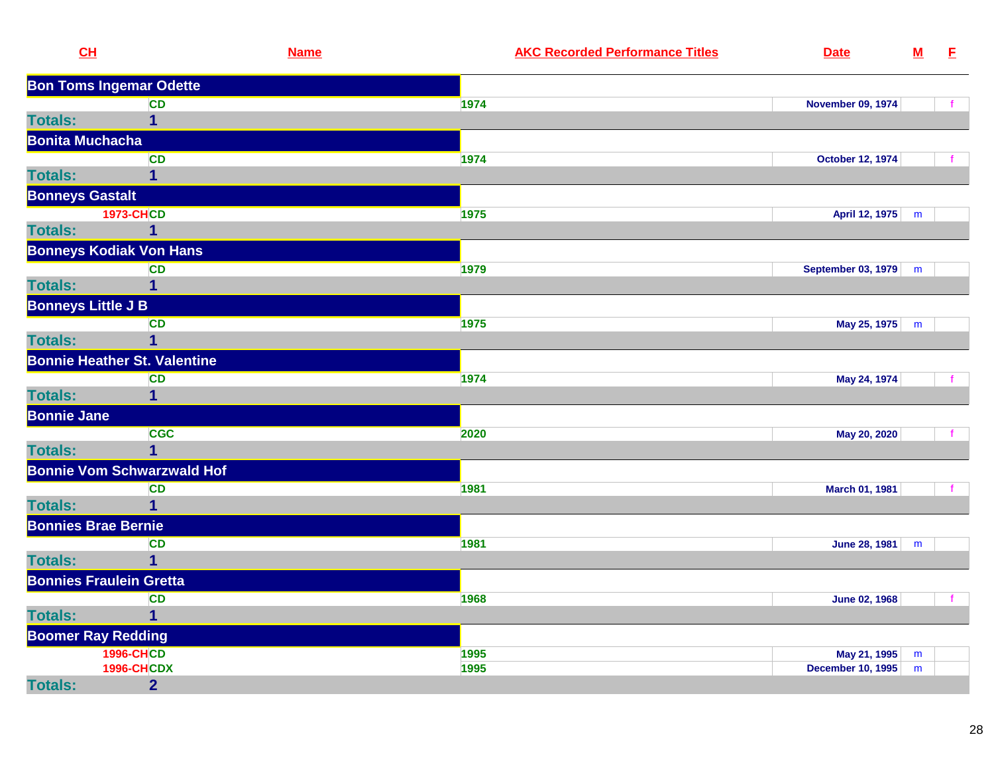| CL                             |                                     | <b>Name</b> | <b>AKC Recorded Performance Titles</b> | <b>Date</b>               | ${\bf M}$ | E            |
|--------------------------------|-------------------------------------|-------------|----------------------------------------|---------------------------|-----------|--------------|
|                                | <b>Bon Toms Ingemar Odette</b>      |             |                                        |                           |           |              |
|                                | CD                                  |             | 1974                                   | <b>November 09, 1974</b>  |           |              |
| <b>Totals:</b>                 | $\overline{\mathbf{1}}$             |             |                                        |                           |           |              |
| <b>Bonita Muchacha</b>         |                                     |             |                                        |                           |           |              |
|                                | <b>CD</b>                           |             | 1974                                   | <b>October 12, 1974</b>   |           |              |
| <b>Totals:</b>                 | 1                                   |             |                                        |                           |           |              |
| <b>Bonneys Gastalt</b>         |                                     |             |                                        |                           |           |              |
|                                | <b>1973-CHCD</b>                    |             | 1975                                   | April 12, 1975            | m         |              |
| <b>Totals:</b>                 | $\overline{1}$                      |             |                                        |                           |           |              |
|                                | <b>Bonneys Kodiak Von Hans</b>      |             |                                        |                           |           |              |
|                                | <b>CD</b>                           |             | 1979                                   | <b>September 03, 1979</b> | m         |              |
| <b>Totals:</b>                 | $\mathbf 1$                         |             |                                        |                           |           |              |
| <b>Bonneys Little J B</b>      |                                     |             |                                        |                           |           |              |
|                                | <b>CD</b>                           |             | 1975                                   | May 25, 1975              | m         |              |
| <b>Totals:</b>                 | $\mathbf 1$                         |             |                                        |                           |           |              |
|                                | <b>Bonnie Heather St. Valentine</b> |             |                                        |                           |           |              |
|                                | <b>CD</b>                           |             | 1974                                   | May 24, 1974              |           |              |
| <b>Totals:</b>                 | $\mathbf 1$                         |             |                                        |                           |           |              |
| <b>Bonnie Jane</b>             |                                     |             |                                        |                           |           |              |
|                                | <b>CGC</b>                          |             | 2020                                   | May 20, 2020              |           | $\mathbf{f}$ |
| <b>Totals:</b>                 | $\overline{1}$                      |             |                                        |                           |           |              |
|                                | <b>Bonnie Vom Schwarzwald Hof</b>   |             |                                        |                           |           |              |
|                                | <b>CD</b>                           |             | 1981                                   | March 01, 1981            |           |              |
| <b>Totals:</b>                 | $\mathbf{1}$                        |             |                                        |                           |           |              |
| <b>Bonnies Brae Bernie</b>     |                                     |             |                                        |                           |           |              |
|                                | <b>CD</b>                           |             | 1981                                   | <b>June 28, 1981</b>      | ${\sf m}$ |              |
| <b>Totals:</b>                 | $\mathbf 1$                         |             |                                        |                           |           |              |
| <b>Bonnies Fraulein Gretta</b> |                                     |             |                                        |                           |           |              |
|                                | <b>CD</b>                           |             | 1968                                   | <b>June 02, 1968</b>      |           |              |
| <b>Totals:</b>                 | $\overline{1}$                      |             |                                        |                           |           |              |
| <b>Boomer Ray Redding</b>      |                                     |             |                                        |                           |           |              |
|                                | <b>1996-CHCD</b>                    |             | 1995                                   | May 21, 1995              | m         |              |
|                                | <b>1996-CHCDX</b>                   |             | 1995                                   | <b>December 10, 1995</b>  | m         |              |
| <b>Totals:</b>                 | $\overline{2}$                      |             |                                        |                           |           |              |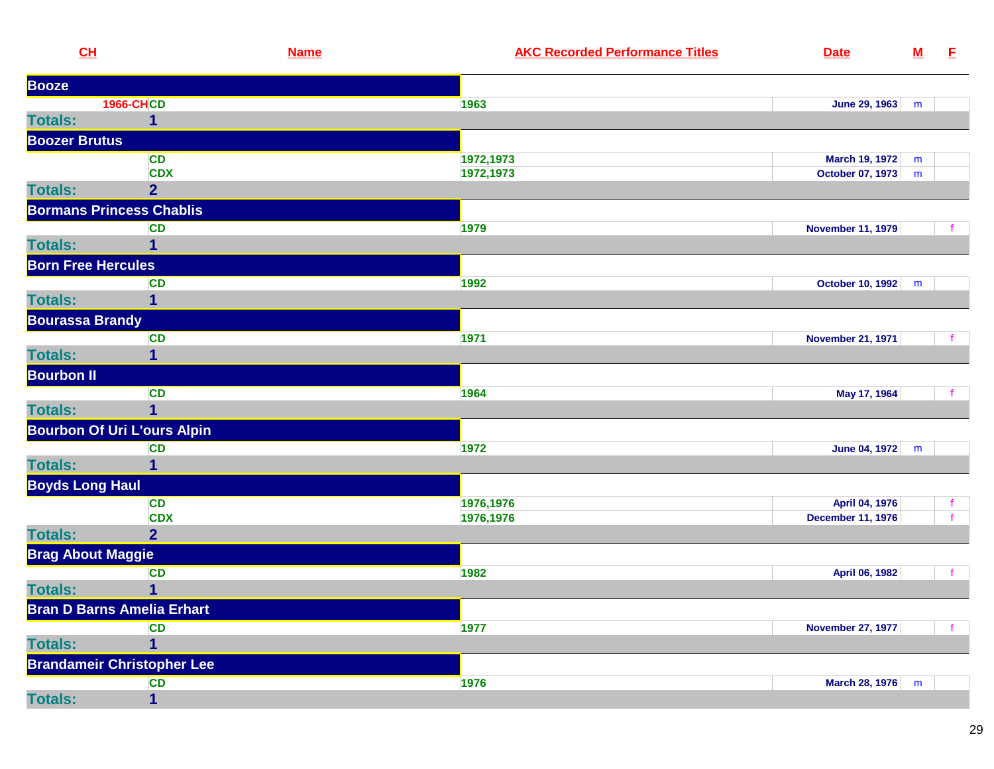| CL                        |                                    | <b>Name</b> | <b>AKC Recorded Performance Titles</b> | <b>Date</b>              | ${\bf M}$ | E            |
|---------------------------|------------------------------------|-------------|----------------------------------------|--------------------------|-----------|--------------|
| <b>Booze</b>              |                                    |             |                                        |                          |           |              |
|                           | <b>1966-CHCD</b>                   |             | 1963                                   | <b>June 29, 1963</b>     | m         |              |
| <b>Totals:</b>            | 1                                  |             |                                        |                          |           |              |
| <b>Boozer Brutus</b>      |                                    |             |                                        |                          |           |              |
|                           | <b>CD</b>                          |             | 1972,1973                              | March 19, 1972           | m         |              |
|                           | <b>CDX</b>                         |             | 1972,1973                              | <b>October 07, 1973</b>  | m         |              |
| <b>Totals:</b>            | $\overline{2}$                     |             |                                        |                          |           |              |
|                           | <b>Bormans Princess Chablis</b>    |             |                                        |                          |           |              |
|                           | <b>CD</b>                          |             | 1979                                   | <b>November 11, 1979</b> |           |              |
| <b>Totals:</b>            | 1                                  |             |                                        |                          |           |              |
| <b>Born Free Hercules</b> |                                    |             |                                        |                          |           |              |
|                           | <b>CD</b>                          |             | 1992                                   | October 10, 1992         | m         |              |
| <b>Totals:</b>            | 1                                  |             |                                        |                          |           |              |
| <b>Bourassa Brandy</b>    |                                    |             |                                        |                          |           |              |
|                           | <b>CD</b>                          |             | 1971                                   | <b>November 21, 1971</b> |           |              |
| <b>Totals:</b>            | 1                                  |             |                                        |                          |           |              |
| <b>Bourbon II</b>         |                                    |             |                                        |                          |           |              |
|                           | <b>CD</b>                          |             | 1964                                   | May 17, 1964             |           | $\mathbf{f}$ |
| <b>Totals:</b>            | 1                                  |             |                                        |                          |           |              |
|                           | <b>Bourbon Of Uri L'ours Alpin</b> |             |                                        |                          |           |              |
|                           | <b>CD</b>                          |             | 1972                                   | June 04, 1972            | m         |              |
| <b>Totals:</b>            | 1                                  |             |                                        |                          |           |              |
| <b>Boyds Long Haul</b>    |                                    |             |                                        |                          |           |              |
|                           | <b>CD</b>                          |             | 1976,1976                              | April 04, 1976           |           | f.           |
|                           | <b>CDX</b>                         |             | 1976,1976                              | <b>December 11, 1976</b> |           |              |
| <b>Totals:</b>            | 2 <sup>1</sup>                     |             |                                        |                          |           |              |
| <b>Brag About Maggie</b>  |                                    |             |                                        |                          |           |              |
|                           | <b>CD</b>                          |             | 1982                                   | April 06, 1982           |           | $\mathbf{f}$ |
| <b>Totals:</b>            | 1                                  |             |                                        |                          |           |              |
|                           | <b>Bran D Barns Amelia Erhart</b>  |             |                                        |                          |           |              |
|                           | <b>CD</b>                          |             | 1977                                   | <b>November 27, 1977</b> |           |              |
| <b>Totals:</b>            | 1                                  |             |                                        |                          |           |              |
|                           | <b>Brandameir Christopher Lee</b>  |             |                                        |                          |           |              |
|                           | CD                                 |             | 1976                                   | March 28, 1976           | m         |              |
| <b>Totals:</b>            | 1                                  |             |                                        |                          |           |              |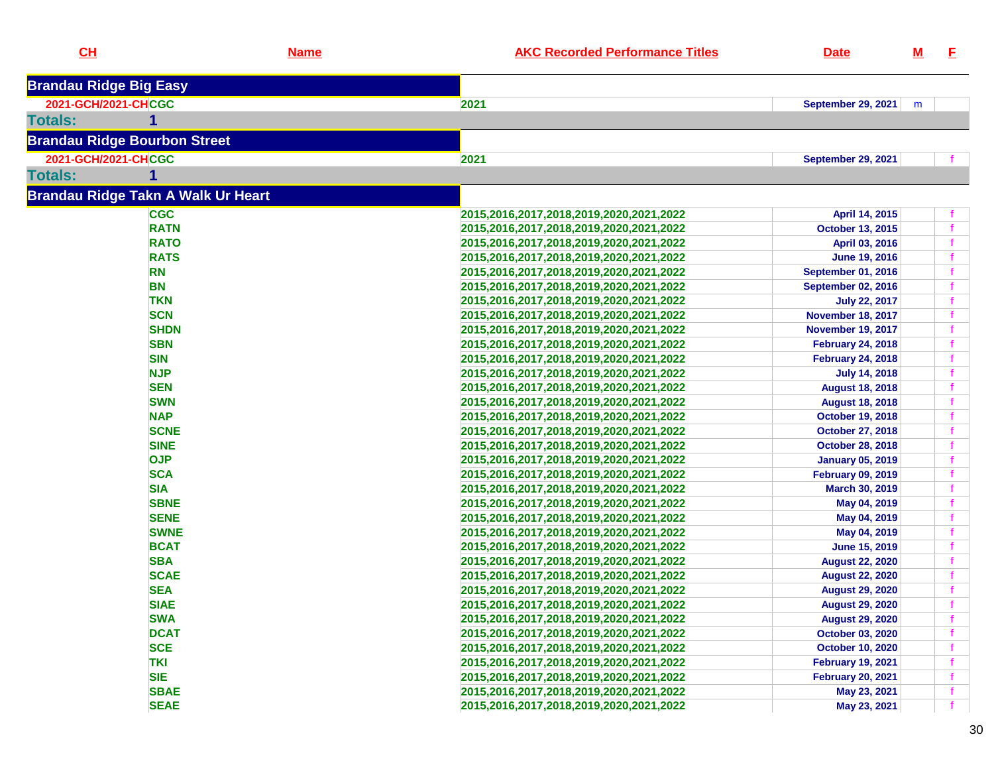| CL                                        | <b>Name</b> | <b>AKC Recorded Performance Titles</b>  | <b>Date</b>               | $\underline{\mathsf{M}}$ | E.                         |
|-------------------------------------------|-------------|-----------------------------------------|---------------------------|--------------------------|----------------------------|
| <b>Brandau Ridge Big Easy</b>             |             |                                         |                           |                          |                            |
| 2021-GCH/2021-CHCGC                       |             | 2021                                    | <b>September 29, 2021</b> | m                        |                            |
| <b>Totals:</b>                            |             |                                         |                           |                          |                            |
| <b>Brandau Ridge Bourbon Street</b>       |             |                                         |                           |                          |                            |
| 2021-GCH/2021-CHCGC                       |             | 2021                                    | <b>September 29, 2021</b> |                          | f.                         |
| <b>Totals:</b>                            |             |                                         |                           |                          |                            |
| <b>Brandau Ridge Takn A Walk Ur Heart</b> |             |                                         |                           |                          |                            |
| <b>CGC</b>                                |             | 2015,2016,2017,2018,2019,2020,2021,2022 | April 14, 2015            |                          | f.                         |
| <b>RATN</b>                               |             | 2015,2016,2017,2018,2019,2020,2021,2022 | <b>October 13, 2015</b>   |                          | $\mathbf{f}$               |
| <b>RATO</b>                               |             | 2015,2016,2017,2018,2019,2020,2021,2022 | April 03, 2016            |                          | $\mathbf{f}$               |
| <b>RATS</b>                               |             | 2015,2016,2017,2018,2019,2020,2021,2022 | <b>June 19, 2016</b>      |                          | $\mathbf{f}$               |
| <b>RN</b>                                 |             | 2015,2016,2017,2018,2019,2020,2021,2022 | <b>September 01, 2016</b> |                          | $\mathbf f$                |
| <b>BN</b>                                 |             | 2015,2016,2017,2018,2019,2020,2021,2022 | <b>September 02, 2016</b> |                          | f                          |
| <b>TKN</b>                                |             | 2015,2016,2017,2018,2019,2020,2021,2022 | <b>July 22, 2017</b>      |                          | $\mathbf f$                |
| <b>SCN</b>                                |             | 2015,2016,2017,2018,2019,2020,2021,2022 | <b>November 18, 2017</b>  |                          | $\mathbf f$                |
| <b>SHDN</b>                               |             |                                         | <b>November 19, 2017</b>  |                          | $\mathbf f$                |
| <b>SBN</b>                                |             | 2015,2016,2017,2018,2019,2020,2021,2022 |                           |                          |                            |
|                                           |             | 2015,2016,2017,2018,2019,2020,2021,2022 | <b>February 24, 2018</b>  |                          | $\mathbf f$<br>$\mathbf f$ |
| <b>SIN</b>                                |             | 2015,2016,2017,2018,2019,2020,2021,2022 | <b>February 24, 2018</b>  |                          |                            |
| <b>NJP</b>                                |             | 2015,2016,2017,2018,2019,2020,2021,2022 | <b>July 14, 2018</b>      |                          | $\mathbf f$                |
| <b>SEN</b>                                |             | 2015,2016,2017,2018,2019,2020,2021,2022 | <b>August 18, 2018</b>    |                          | $\mathbf f$                |
| <b>SWN</b>                                |             | 2015,2016,2017,2018,2019,2020,2021,2022 | <b>August 18, 2018</b>    |                          | $\mathbf{f}$               |
| <b>NAP</b>                                |             | 2015,2016,2017,2018,2019,2020,2021,2022 | <b>October 19, 2018</b>   |                          | $\mathbf{f}$               |
| <b>SCNE</b>                               |             | 2015,2016,2017,2018,2019,2020,2021,2022 | <b>October 27, 2018</b>   |                          | f                          |
| <b>SINE</b>                               |             | 2015,2016,2017,2018,2019,2020,2021,2022 | <b>October 28, 2018</b>   |                          | $\mathbf{f}$               |
| <b>OJP</b>                                |             | 2015,2016,2017,2018,2019,2020,2021,2022 | <b>January 05, 2019</b>   |                          | $\mathbf f$                |
| <b>SCA</b>                                |             | 2015,2016,2017,2018,2019,2020,2021,2022 | <b>February 09, 2019</b>  |                          | $\mathbf f$                |
| <b>SIA</b>                                |             | 2015,2016,2017,2018,2019,2020,2021,2022 | March 30, 2019            |                          | $\mathbf f$                |
| <b>SBNE</b>                               |             | 2015,2016,2017,2018,2019,2020,2021,2022 | May 04, 2019              |                          | $\mathbf f$                |
| <b>SENE</b>                               |             | 2015,2016,2017,2018,2019,2020,2021,2022 | May 04, 2019              |                          | $\mathbf{f}$               |
| <b>SWNE</b>                               |             | 2015,2016,2017,2018,2019,2020,2021,2022 | May 04, 2019              |                          | $\mathbf f$                |
| <b>BCAT</b>                               |             | 2015,2016,2017,2018,2019,2020,2021,2022 | June 15, 2019             |                          | $\mathbf f$                |
| <b>SBA</b>                                |             | 2015,2016,2017,2018,2019,2020,2021,2022 | <b>August 22, 2020</b>    |                          | $\mathbf f$                |
| <b>SCAE</b>                               |             | 2015,2016,2017,2018,2019,2020,2021,2022 | <b>August 22, 2020</b>    |                          | $\mathbf{f}$               |
| <b>SEA</b>                                |             | 2015,2016,2017,2018,2019,2020,2021,2022 | <b>August 29, 2020</b>    |                          | $\mathbf{f}$               |
| <b>SIAE</b>                               |             | 2015,2016,2017,2018,2019,2020,2021,2022 | <b>August 29, 2020</b>    |                          |                            |
| <b>SWA</b>                                |             | 2015,2016,2017,2018,2019,2020,2021,2022 | <b>August 29, 2020</b>    |                          | f.                         |
| <b>DCAT</b>                               |             | 2015,2016,2017,2018,2019,2020,2021,2022 | October 03, 2020          |                          | f.                         |
| <b>SCE</b>                                |             | 2015,2016,2017,2018,2019,2020,2021,2022 | <b>October 10, 2020</b>   |                          | $\mathbf f$                |
| <b>TKI</b>                                |             | 2015,2016,2017,2018,2019,2020,2021,2022 | <b>February 19, 2021</b>  |                          | $\mathbf f$                |
| <b>SIE</b>                                |             | 2015,2016,2017,2018,2019,2020,2021,2022 | <b>February 20, 2021</b>  |                          | $\mathbf{f}$               |
| <b>SBAE</b>                               |             | 2015,2016,2017,2018,2019,2020,2021,2022 |                           |                          |                            |
|                                           |             |                                         | May 23, 2021              |                          | $\mathbf{f}$               |
| <b>SEAE</b>                               |             | 2015,2016,2017,2018,2019,2020,2021,2022 | May 23, 2021              |                          | $-f$                       |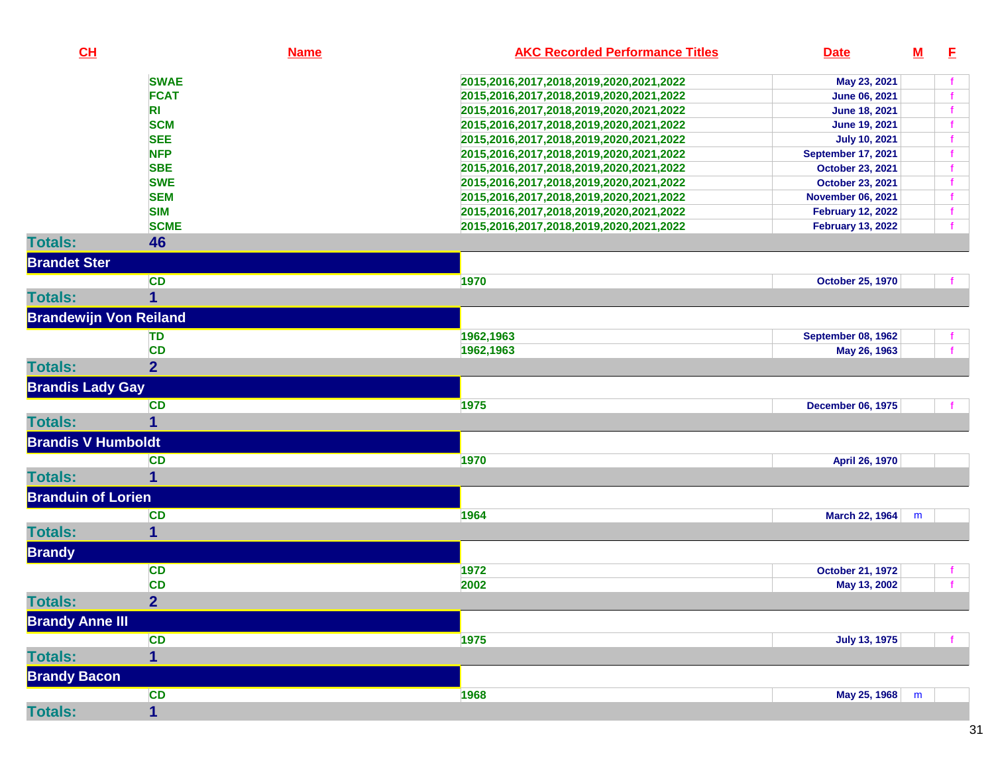| CL                            | <b>Name</b>             | <b>AKC Recorded Performance Titles</b>  | <b>Date</b>               | $\underline{\mathbf{M}}$ | E           |
|-------------------------------|-------------------------|-----------------------------------------|---------------------------|--------------------------|-------------|
|                               | <b>SWAE</b>             | 2015,2016,2017,2018,2019,2020,2021,2022 | May 23, 2021              |                          |             |
|                               | <b>FCAT</b>             | 2015,2016,2017,2018,2019,2020,2021,2022 | <b>June 06, 2021</b>      |                          |             |
|                               | R <sub>l</sub>          | 2015,2016,2017,2018,2019,2020,2021,2022 | <b>June 18, 2021</b>      |                          |             |
|                               | <b>SCM</b>              | 2015,2016,2017,2018,2019,2020,2021,2022 | <b>June 19, 2021</b>      |                          |             |
|                               | <b>SEE</b>              | 2015,2016,2017,2018,2019,2020,2021,2022 | <b>July 10, 2021</b>      |                          |             |
|                               | <b>NFP</b>              | 2015,2016,2017,2018,2019,2020,2021,2022 | <b>September 17, 2021</b> |                          |             |
|                               | <b>SBE</b>              | 2015,2016,2017,2018,2019,2020,2021,2022 | October 23, 2021          |                          |             |
|                               | <b>SWE</b>              | 2015,2016,2017,2018,2019,2020,2021,2022 | October 23, 2021          |                          |             |
|                               | <b>SEM</b>              | 2015,2016,2017,2018,2019,2020,2021,2022 | <b>November 06, 2021</b>  |                          |             |
|                               | <b>SIM</b>              | 2015,2016,2017,2018,2019,2020,2021,2022 | <b>February 12, 2022</b>  |                          | $\mathbf f$ |
|                               | <b>SCME</b>             | 2015,2016,2017,2018,2019,2020,2021,2022 | <b>February 13, 2022</b>  |                          |             |
| <b>Totals:</b>                | 46                      |                                         |                           |                          |             |
| <b>Brandet Ster</b>           |                         |                                         |                           |                          |             |
|                               | <b>CD</b>               | 1970                                    | <b>October 25, 1970</b>   |                          |             |
| <b>Totals:</b>                | 1                       |                                         |                           |                          |             |
| <b>Brandewijn Von Reiland</b> |                         |                                         |                           |                          |             |
|                               | TD                      | 1962,1963                               | <b>September 08, 1962</b> |                          |             |
|                               | <b>CD</b>               | 1962,1963                               | May 26, 1963              |                          |             |
| <b>Totals:</b>                | $\overline{2}$          |                                         |                           |                          |             |
| <b>Brandis Lady Gay</b>       |                         |                                         |                           |                          |             |
|                               | <b>CD</b>               | 1975                                    | <b>December 06, 1975</b>  |                          |             |
| <b>Totals:</b>                | 1                       |                                         |                           |                          |             |
| <b>Brandis V Humboldt</b>     |                         |                                         |                           |                          |             |
|                               | <b>CD</b>               | 1970                                    | April 26, 1970            |                          |             |
| <b>Totals:</b>                | 1                       |                                         |                           |                          |             |
| <b>Branduin of Lorien</b>     |                         |                                         |                           |                          |             |
|                               | <b>CD</b>               | 1964                                    | <b>March 22, 1964</b>     | m                        |             |
| <b>Totals:</b>                | 1                       |                                         |                           |                          |             |
| <b>Brandy</b>                 |                         |                                         |                           |                          |             |
|                               | <b>CD</b>               | 1972                                    | <b>October 21, 1972</b>   |                          |             |
|                               | <b>CD</b>               | 2002                                    | May 13, 2002              |                          |             |
| <b>Totals:</b>                | $\overline{2}$          |                                         |                           |                          |             |
| <b>Brandy Anne III</b>        |                         |                                         |                           |                          |             |
|                               | <b>CD</b>               | 1975                                    | <b>July 13, 1975</b>      |                          |             |
| <b>Totals:</b>                | $\overline{\mathbf{1}}$ |                                         |                           |                          |             |
| <b>Brandy Bacon</b>           |                         |                                         |                           |                          |             |
|                               | <b>CD</b>               | 1968                                    | May 25, 1968              | m                        |             |
| <b>Totals:</b>                | 1                       |                                         |                           |                          |             |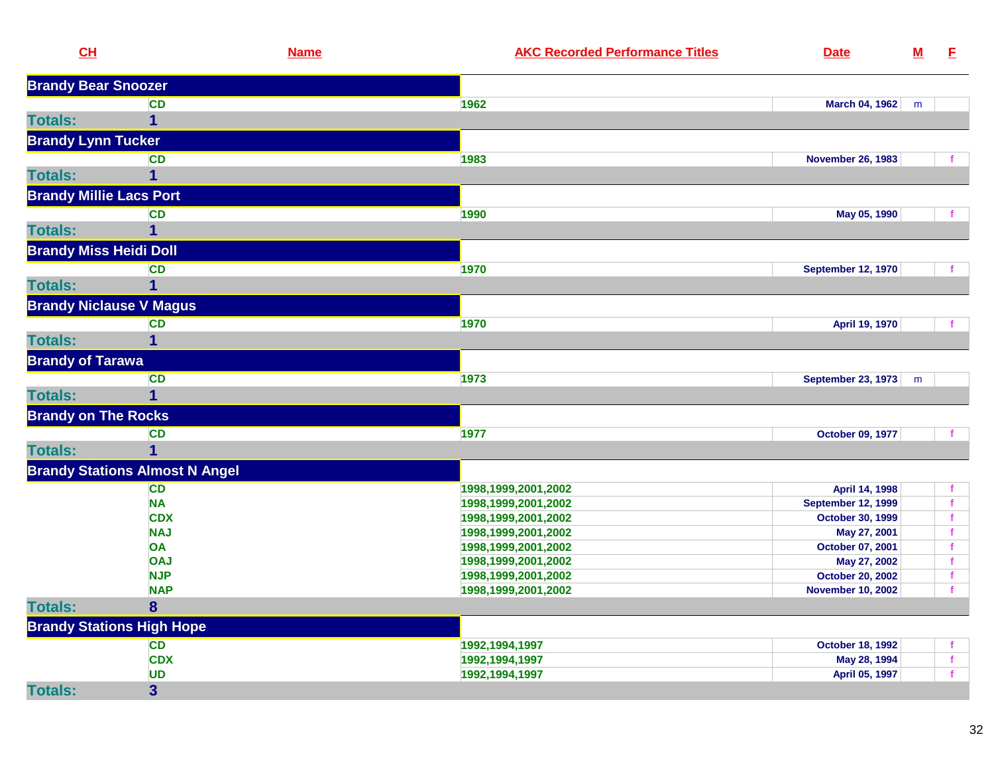| CH                             |                                       | <b>Name</b> | <b>AKC Recorded Performance Titles</b> | <b>Date</b>               | ${\bf M}$ | E            |
|--------------------------------|---------------------------------------|-------------|----------------------------------------|---------------------------|-----------|--------------|
| <b>Brandy Bear Snoozer</b>     |                                       |             |                                        |                           |           |              |
|                                | <b>CD</b>                             |             | 1962                                   | <b>March 04, 1962</b>     | m         |              |
| <b>Totals:</b>                 | 1                                     |             |                                        |                           |           |              |
| <b>Brandy Lynn Tucker</b>      |                                       |             |                                        |                           |           |              |
|                                | <b>CD</b>                             |             | 1983                                   | <b>November 26, 1983</b>  |           |              |
| <b>Totals:</b>                 | 1                                     |             |                                        |                           |           |              |
| <b>Brandy Millie Lacs Port</b> |                                       |             |                                        |                           |           |              |
|                                | CD                                    |             | 1990                                   | May 05, 1990              |           |              |
| <b>Totals:</b>                 |                                       |             |                                        |                           |           |              |
| <b>Brandy Miss Heidi Doll</b>  |                                       |             |                                        |                           |           |              |
|                                | <b>CD</b>                             |             | 1970                                   | <b>September 12, 1970</b> |           |              |
| <b>Totals:</b>                 | 1                                     |             |                                        |                           |           |              |
| <b>Brandy Niclause V Magus</b> |                                       |             |                                        |                           |           |              |
|                                | <b>CD</b>                             |             | 1970                                   | April 19, 1970            |           |              |
| <b>Totals:</b>                 |                                       |             |                                        |                           |           |              |
| <b>Brandy of Tarawa</b>        |                                       |             |                                        |                           |           |              |
|                                | <b>CD</b>                             |             | 1973                                   | September 23, 1973        | m         |              |
| <b>Totals:</b>                 | 1                                     |             |                                        |                           |           |              |
| <b>Brandy on The Rocks</b>     |                                       |             |                                        |                           |           |              |
|                                | <b>CD</b>                             |             | 1977                                   | October 09, 1977          |           |              |
| <b>Totals:</b>                 | 1                                     |             |                                        |                           |           |              |
|                                | <b>Brandy Stations Almost N Angel</b> |             |                                        |                           |           |              |
|                                | <b>CD</b>                             |             | 1998, 1999, 2001, 2002                 | April 14, 1998            |           |              |
|                                | <b>NA</b>                             |             | 1998, 1999, 2001, 2002                 | <b>September 12, 1999</b> |           |              |
|                                | <b>CDX</b>                            |             | 1998,1999,2001,2002                    | October 30, 1999          |           |              |
|                                | <b>NAJ</b>                            |             | 1998, 1999, 2001, 2002                 | May 27, 2001              |           |              |
|                                | OA                                    |             | 1998, 1999, 2001, 2002                 | October 07, 2001          |           |              |
|                                | <b>OAJ</b>                            |             | 1998,1999,2001,2002                    | May 27, 2002              |           |              |
|                                | <b>NJP</b>                            |             | 1998,1999,2001,2002                    | <b>October 20, 2002</b>   |           |              |
|                                | <b>NAP</b>                            |             | 1998, 1999, 2001, 2002                 | <b>November 10, 2002</b>  |           |              |
| <b>Totals:</b>                 | 8                                     |             |                                        |                           |           |              |
|                                | <b>Brandy Stations High Hope</b>      |             |                                        |                           |           |              |
|                                | <b>CD</b>                             |             | 1992, 1994, 1997                       | October 18, 1992          |           |              |
|                                | <b>CDX</b>                            |             | 1992, 1994, 1997                       | May 28, 1994              |           | $\mathbf{f}$ |
|                                | <b>UD</b>                             |             | 1992, 1994, 1997                       | April 05, 1997            |           | $\mathbf{f}$ |
| <b>Totals:</b>                 | $\overline{\mathbf{3}}$               |             |                                        |                           |           |              |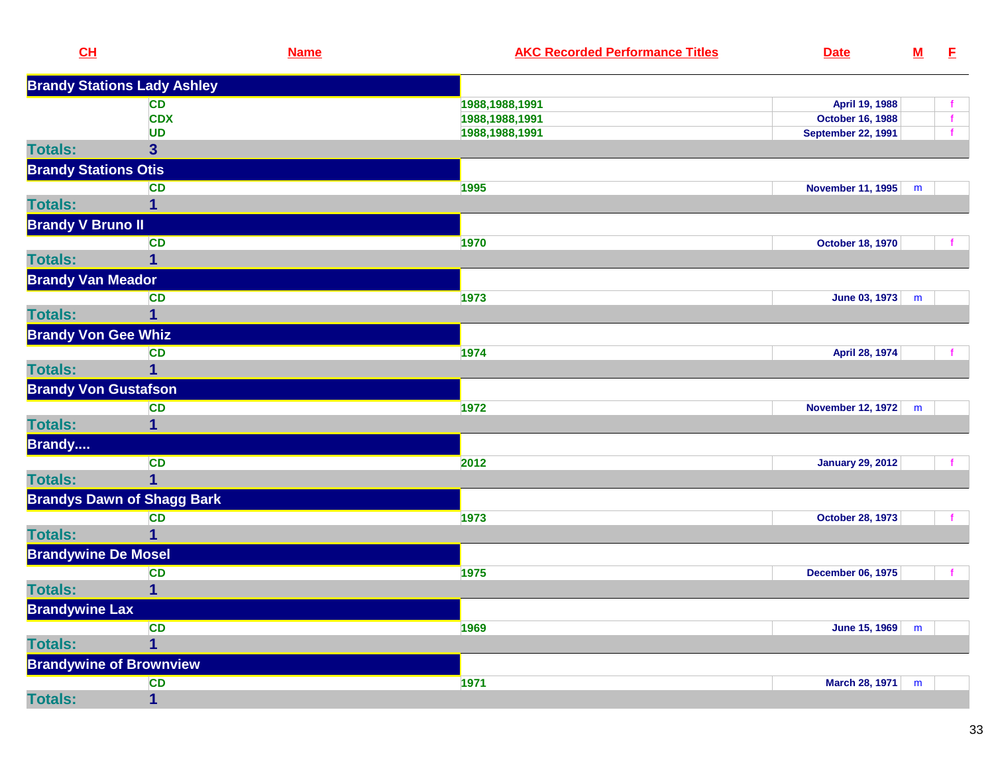| CL                          |                                    | <b>Name</b> | <b>AKC Recorded Performance Titles</b> | <b>Date</b>               | $M$ | E           |
|-----------------------------|------------------------------------|-------------|----------------------------------------|---------------------------|-----|-------------|
|                             | <b>Brandy Stations Lady Ashley</b> |             |                                        |                           |     |             |
|                             | CD                                 |             | 1988,1988,1991                         | April 19, 1988            |     |             |
|                             | <b>CDX</b>                         |             | 1988,1988,1991                         | <b>October 16, 1988</b>   |     | $\mathbf f$ |
|                             | <b>UD</b>                          |             | 1988,1988,1991                         | <b>September 22, 1991</b> |     |             |
| <b>Totals:</b>              | 3                                  |             |                                        |                           |     |             |
| <b>Brandy Stations Otis</b> |                                    |             |                                        |                           |     |             |
|                             | <b>CD</b>                          |             | 1995                                   | November 11, 1995         | m   |             |
| <b>Totals:</b>              | 1                                  |             |                                        |                           |     |             |
| <b>Brandy V Bruno II</b>    |                                    |             |                                        |                           |     |             |
|                             | <b>CD</b>                          |             | 1970                                   | <b>October 18, 1970</b>   |     |             |
| <b>Totals:</b>              | $\mathbf{1}$                       |             |                                        |                           |     |             |
| <b>Brandy Van Meador</b>    |                                    |             |                                        |                           |     |             |
|                             | <b>CD</b>                          |             | 1973                                   | June 03, 1973             | m   |             |
| <b>Totals:</b>              | 1                                  |             |                                        |                           |     |             |
| <b>Brandy Von Gee Whiz</b>  |                                    |             |                                        |                           |     |             |
|                             | <b>CD</b>                          |             | 1974                                   | April 28, 1974            |     |             |
| <b>Totals:</b>              | 1                                  |             |                                        |                           |     |             |
| <b>Brandy Von Gustafson</b> |                                    |             |                                        |                           |     |             |
|                             | <b>CD</b>                          |             | 1972                                   | <b>November 12, 1972</b>  | m   |             |
| <b>Totals:</b>              | 1                                  |             |                                        |                           |     |             |
| <b>Brandy</b>               |                                    |             |                                        |                           |     |             |
|                             | <b>CD</b>                          |             | 2012                                   | <b>January 29, 2012</b>   |     |             |
| <b>Totals:</b>              | $\overline{1}$                     |             |                                        |                           |     |             |
|                             | <b>Brandys Dawn of Shagg Bark</b>  |             |                                        |                           |     |             |
|                             |                                    |             |                                        |                           |     |             |
| <b>Totals:</b>              | <b>CD</b><br>1                     |             | 1973                                   | <b>October 28, 1973</b>   |     |             |
|                             |                                    |             |                                        |                           |     |             |
| <b>Brandywine De Mosel</b>  |                                    |             |                                        |                           |     |             |
|                             | <b>CD</b>                          |             | 1975                                   | <b>December 06, 1975</b>  |     |             |
| <b>Totals:</b>              | 1                                  |             |                                        |                           |     |             |
| <b>Brandywine Lax</b>       |                                    |             |                                        |                           |     |             |
|                             | <b>CD</b>                          |             | 1969                                   | June 15, 1969             | m   |             |
| <b>Totals:</b>              | $\overline{\mathbf{1}}$            |             |                                        |                           |     |             |
|                             | <b>Brandywine of Brownview</b>     |             |                                        |                           |     |             |
|                             | <b>CD</b>                          |             | 1971                                   | <b>March 28, 1971</b>     | m   |             |
| <b>Totals:</b>              | $\mathbf 1$                        |             |                                        |                           |     |             |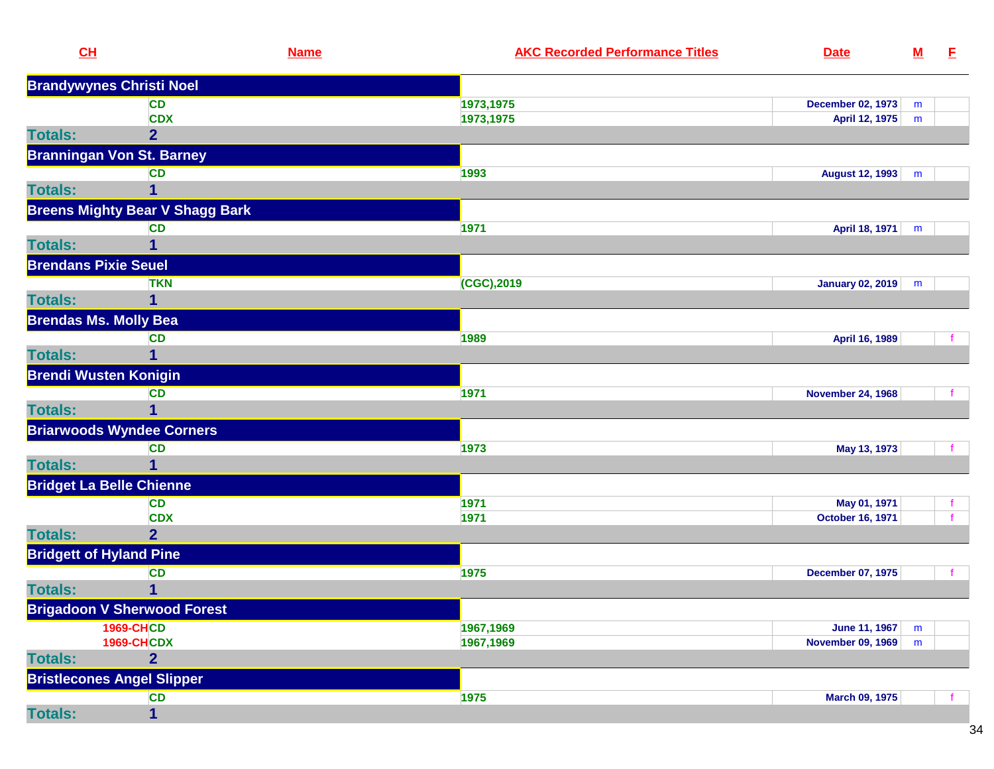| CL                                | <b>Name</b>                            | <b>AKC Recorded Performance Titles</b> | <b>Date</b>              | $\underline{\mathbf{M}}$ | E. |
|-----------------------------------|----------------------------------------|----------------------------------------|--------------------------|--------------------------|----|
| <b>Brandywynes Christi Noel</b>   |                                        |                                        |                          |                          |    |
|                                   | <b>CD</b>                              | 1973,1975                              | <b>December 02, 1973</b> | m                        |    |
|                                   | <b>CDX</b>                             | 1973,1975                              | April 12, 1975           | m                        |    |
| <b>Totals:</b>                    | $\overline{2}$                         |                                        |                          |                          |    |
|                                   | <b>Branningan Von St. Barney</b>       |                                        |                          |                          |    |
|                                   | <b>CD</b>                              | 1993                                   | August 12, 1993          | m                        |    |
| <b>Totals:</b>                    | 1                                      |                                        |                          |                          |    |
|                                   | <b>Breens Mighty Bear V Shagg Bark</b> |                                        |                          |                          |    |
|                                   | <b>CD</b>                              | 1971                                   | April 18, 1971           | m                        |    |
| <b>Totals:</b>                    |                                        |                                        |                          |                          |    |
| <b>Brendans Pixie Seuel</b>       |                                        |                                        |                          |                          |    |
|                                   | <b>TKN</b>                             | (CGC),2019                             | January 02, 2019         | m                        |    |
| <b>Totals:</b>                    | 1                                      |                                        |                          |                          |    |
| <b>Brendas Ms. Molly Bea</b>      |                                        |                                        |                          |                          |    |
|                                   | <b>CD</b>                              | 1989                                   | April 16, 1989           |                          |    |
| <b>Totals:</b>                    | 1                                      |                                        |                          |                          |    |
| <b>Brendi Wusten Konigin</b>      |                                        |                                        |                          |                          |    |
|                                   | <b>CD</b>                              | 1971                                   | <b>November 24, 1968</b> |                          |    |
| <b>Totals:</b>                    | 1                                      |                                        |                          |                          |    |
|                                   | <b>Briarwoods Wyndee Corners</b>       |                                        |                          |                          |    |
|                                   | <b>CD</b>                              | 1973                                   | May 13, 1973             |                          |    |
| <b>Totals:</b>                    | 1                                      |                                        |                          |                          |    |
| <b>Bridget La Belle Chienne</b>   |                                        |                                        |                          |                          |    |
|                                   | <b>CD</b>                              | 1971                                   | May 01, 1971             |                          |    |
|                                   | <b>CDX</b>                             | 1971                                   | <b>October 16, 1971</b>  |                          |    |
| <b>Totals:</b>                    | $\overline{2}$                         |                                        |                          |                          |    |
| <b>Bridgett of Hyland Pine</b>    |                                        |                                        |                          |                          |    |
|                                   | <b>CD</b>                              | 1975                                   | <b>December 07, 1975</b> |                          |    |
| <b>Totals:</b>                    | 1                                      |                                        |                          |                          |    |
|                                   | <b>Brigadoon V Sherwood Forest</b>     |                                        |                          |                          |    |
|                                   | <b>1969-CHCD</b>                       | 1967,1969                              | <b>June 11, 1967</b>     | m                        |    |
|                                   | <b>1969-CHCDX</b>                      | 1967,1969                              | <b>November 09, 1969</b> | m                        |    |
| <b>Totals:</b>                    | $\overline{2}$                         |                                        |                          |                          |    |
| <b>Bristlecones Angel Slipper</b> |                                        |                                        |                          |                          |    |
|                                   | <b>CD</b>                              | 1975                                   | <b>March 09, 1975</b>    |                          |    |
| <b>Totals:</b>                    | $\mathbf{1}$                           |                                        |                          |                          |    |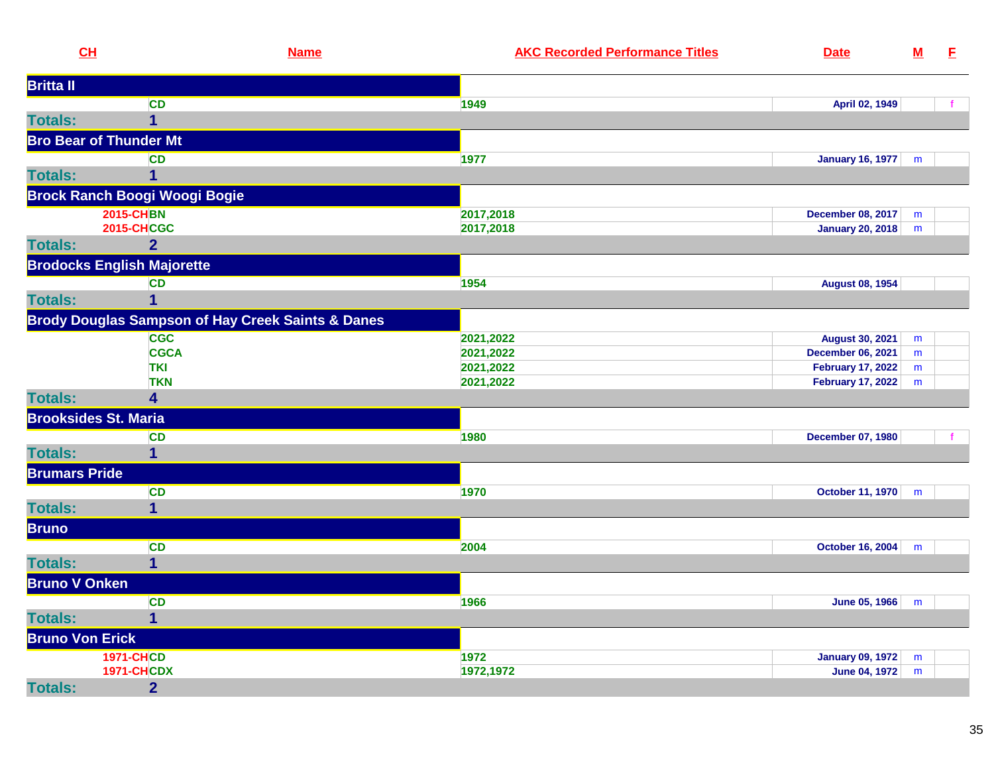| CH                            | <b>Name</b>                                                  | <b>AKC Recorded Performance Titles</b> | <b>Date</b>              | ${\bf M}$ | E |
|-------------------------------|--------------------------------------------------------------|----------------------------------------|--------------------------|-----------|---|
| <b>Britta II</b>              |                                                              |                                        |                          |           |   |
|                               | <b>CD</b>                                                    | 1949                                   | April 02, 1949           |           |   |
| <b>Totals:</b>                | $\mathbf{1}$                                                 |                                        |                          |           |   |
| <b>Bro Bear of Thunder Mt</b> |                                                              |                                        |                          |           |   |
|                               | <b>CD</b>                                                    | 1977                                   | January 16, 1977         | m         |   |
| <b>Totals:</b>                | 1                                                            |                                        |                          |           |   |
|                               | <b>Brock Ranch Boogi Woogi Bogie</b>                         |                                        |                          |           |   |
|                               | <b>2015-CHBN</b>                                             | 2017,2018                              | <b>December 08, 2017</b> | m         |   |
|                               | <b>2015-CHCGC</b>                                            | 2017,2018                              | January 20, 2018         | m         |   |
| <b>Totals:</b>                | $\overline{2}$                                               |                                        |                          |           |   |
|                               | <b>Brodocks English Majorette</b>                            |                                        |                          |           |   |
|                               | <b>CD</b>                                                    | 1954                                   | <b>August 08, 1954</b>   |           |   |
| <b>Totals:</b>                | $\mathbf{1}$                                                 |                                        |                          |           |   |
|                               | <b>Brody Douglas Sampson of Hay Creek Saints &amp; Danes</b> |                                        |                          |           |   |
|                               | <b>CGC</b>                                                   | 2021,2022                              | <b>August 30, 2021</b>   | m         |   |
|                               | <b>CGCA</b>                                                  | 2021,2022                              | <b>December 06, 2021</b> | m         |   |
|                               | <b>TKI</b>                                                   | 2021,2022                              | <b>February 17, 2022</b> | m         |   |
|                               | <b>TKN</b>                                                   | 2021,2022                              | February 17, 2022        | m         |   |
| <b>Totals:</b>                | 4                                                            |                                        |                          |           |   |
| <b>Brooksides St. Maria</b>   |                                                              |                                        |                          |           |   |
|                               | <b>CD</b>                                                    | 1980                                   | <b>December 07, 1980</b> |           |   |
| <b>Totals:</b>                | $\mathbf{1}$                                                 |                                        |                          |           |   |
| <b>Brumars Pride</b>          |                                                              |                                        |                          |           |   |
|                               | <b>CD</b>                                                    | 1970                                   | October 11, 1970         | m         |   |
| <b>Totals:</b>                | $\mathbf{1}$                                                 |                                        |                          |           |   |
| <b>Bruno</b>                  |                                                              |                                        |                          |           |   |
|                               | <b>CD</b>                                                    | 2004                                   | <b>October 16, 2004</b>  | m         |   |
| <b>Totals:</b>                | $\mathbf 1$                                                  |                                        |                          |           |   |
| <b>Bruno V Onken</b>          |                                                              |                                        |                          |           |   |
|                               | <b>CD</b>                                                    | 1966                                   | June 05, 1966            | m         |   |
| <b>Totals:</b>                | $\overline{1}$                                               |                                        |                          |           |   |
| <b>Bruno Von Erick</b>        |                                                              |                                        |                          |           |   |
|                               | <b>1971-CHCD</b>                                             | 1972                                   | <b>January 09, 1972</b>  | m         |   |
|                               | <b>1971-CHCDX</b>                                            | 1972,1972                              | <b>June 04, 1972</b>     | ${\sf m}$ |   |
| <b>Totals:</b>                | $\overline{2}$                                               |                                        |                          |           |   |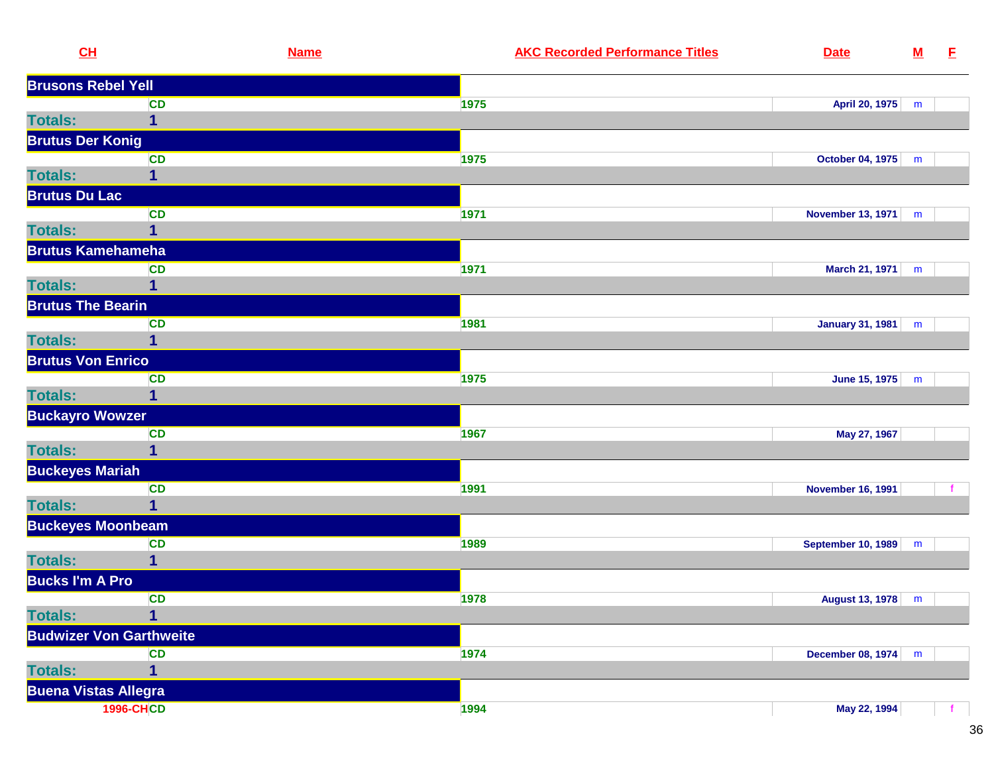|                | CL                             | <b>Name</b> | <b>AKC Recorded Performance Titles</b> | <b>Date</b>               | ${\bf M}$ | E |
|----------------|--------------------------------|-------------|----------------------------------------|---------------------------|-----------|---|
|                | <b>Brusons Rebel Yell</b>      |             |                                        |                           |           |   |
|                | <b>CD</b>                      |             | 1975                                   | April 20, 1975            | m         |   |
| <b>Totals:</b> | $\mathbf{1}$                   |             |                                        |                           |           |   |
|                | <b>Brutus Der Konig</b>        |             |                                        |                           |           |   |
|                | <b>CD</b>                      |             | 1975                                   | October 04, 1975          | m         |   |
| <b>Totals:</b> | 1                              |             |                                        |                           |           |   |
|                | <b>Brutus Du Lac</b>           |             |                                        |                           |           |   |
|                | CD                             |             | 1971                                   | <b>November 13, 1971</b>  | m         |   |
| <b>Totals:</b> | $\mathbf{1}$                   |             |                                        |                           |           |   |
|                | <b>Brutus Kamehameha</b>       |             |                                        |                           |           |   |
|                | <b>CD</b>                      |             | 1971                                   | <b>March 21, 1971</b>     | m         |   |
| <b>Totals:</b> | $\mathbf{1}$                   |             |                                        |                           |           |   |
|                | <b>Brutus The Bearin</b>       |             |                                        |                           |           |   |
|                | <b>CD</b>                      |             | 1981                                   | <b>January 31, 1981</b>   | m         |   |
| <b>Totals:</b> | $\overline{\mathbf{1}}$        |             |                                        |                           |           |   |
|                | <b>Brutus Von Enrico</b>       |             |                                        |                           |           |   |
|                | <b>CD</b>                      |             | 1975                                   | June 15, 1975             | m         |   |
| <b>Totals:</b> | $\mathbf{1}$                   |             |                                        |                           |           |   |
|                | <b>Buckayro Wowzer</b>         |             |                                        |                           |           |   |
|                | <b>CD</b>                      |             | 1967                                   | May 27, 1967              |           |   |
| <b>Totals:</b> | 1                              |             |                                        |                           |           |   |
|                | <b>Buckeyes Mariah</b>         |             |                                        |                           |           |   |
|                | CD                             |             | 1991                                   | <b>November 16, 1991</b>  |           |   |
| <b>Totals:</b> | $\overline{1}$                 |             |                                        |                           |           |   |
|                | <b>Buckeyes Moonbeam</b>       |             |                                        |                           |           |   |
|                | <b>CD</b>                      |             | 1989                                   | <b>September 10, 1989</b> | m         |   |
| <b>Totals:</b> | $\mathbf{1}$                   |             |                                        |                           |           |   |
|                | <b>Bucks I'm A Pro</b>         |             |                                        |                           |           |   |
|                | <b>CD</b>                      |             | 1978                                   | <b>August 13, 1978</b>    | m         |   |
| <b>Totals:</b> | $\overline{\mathbf{1}}$        |             |                                        |                           |           |   |
|                | <b>Budwizer Von Garthweite</b> |             |                                        |                           |           |   |
|                | <b>CD</b>                      |             | 1974                                   | December 08, 1974         | m         |   |
| <b>Totals:</b> | $\overline{1}$                 |             |                                        |                           |           |   |
|                | <b>Buena Vistas Allegra</b>    |             |                                        |                           |           |   |
|                | <b>1996-CHCD</b>               |             | 1994                                   | May 22, 1994              |           |   |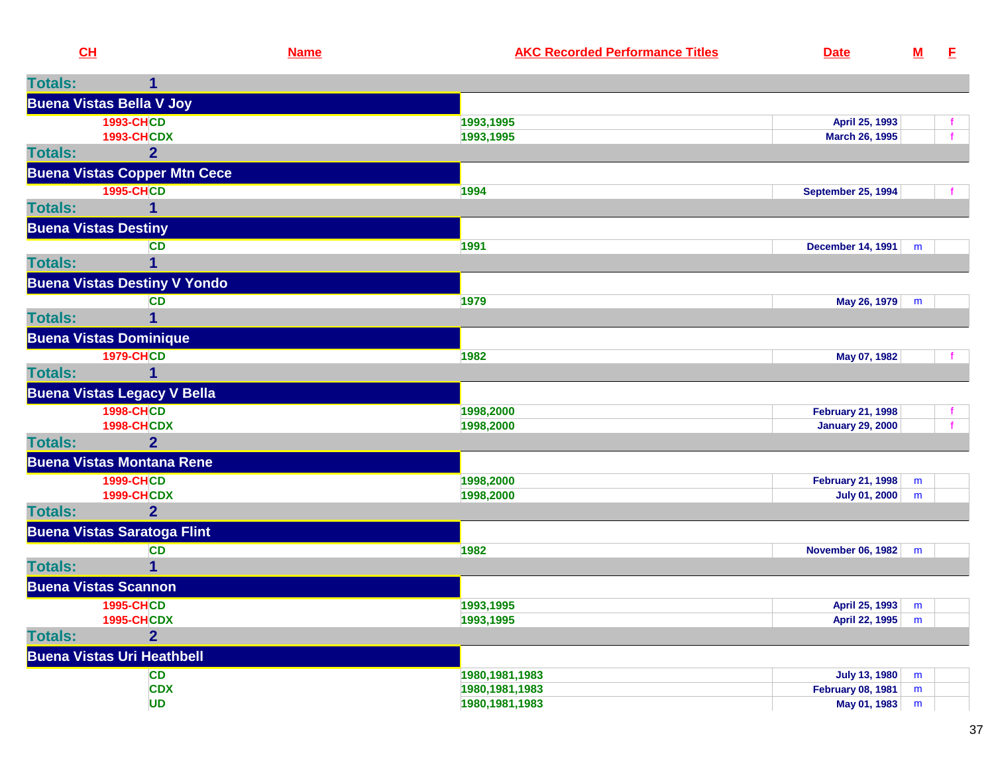| CH             |                                       | <b>Name</b> | <b>AKC Recorded Performance Titles</b> | <b>Date</b>                                      | ${\bf M}$ | $\mathbf{E}$ |
|----------------|---------------------------------------|-------------|----------------------------------------|--------------------------------------------------|-----------|--------------|
| <b>Totals:</b> | 1                                     |             |                                        |                                                  |           |              |
|                | <b>Buena Vistas Bella V Joy</b>       |             |                                        |                                                  |           |              |
|                | <b>1993-CHCD</b>                      |             | 1993,1995                              | April 25, 1993                                   |           | Ť.           |
|                | <b>1993-CHCDX</b>                     |             | 1993,1995                              | March 26, 1995                                   |           | $\mathbf{f}$ |
| <b>Totals:</b> | $\overline{2}$                        |             |                                        |                                                  |           |              |
|                | <b>Buena Vistas Copper Mtn Cece</b>   |             |                                        |                                                  |           |              |
| <b>Totals:</b> | <b>1995-CHCD</b><br>1                 |             | 1994                                   | <b>September 25, 1994</b>                        |           |              |
|                | <b>Buena Vistas Destiny</b>           |             |                                        |                                                  |           |              |
|                | <b>CD</b>                             |             | 1991                                   | <b>December 14, 1991</b>                         |           |              |
| <b>Totals:</b> | 1                                     |             |                                        |                                                  | m         |              |
|                | <b>Buena Vistas Destiny V Yondo</b>   |             |                                        |                                                  |           |              |
|                | <b>CD</b>                             |             | 1979                                   | May 26, 1979                                     | m         |              |
| <b>Totals:</b> |                                       |             |                                        |                                                  |           |              |
|                | <b>Buena Vistas Dominique</b>         |             |                                        |                                                  |           |              |
|                | <b>1979-CHCD</b>                      |             | 1982                                   | May 07, 1982                                     |           |              |
| <b>Totals:</b> | 1                                     |             |                                        |                                                  |           |              |
|                | <b>Buena Vistas Legacy V Bella</b>    |             |                                        |                                                  |           |              |
|                | <b>1998-CHCD</b>                      |             | 1998,2000                              | <b>February 21, 1998</b>                         |           | Ť.           |
|                | <b>1998-CHCDX</b>                     |             | 1998,2000                              | <b>January 29, 2000</b>                          |           |              |
| <b>Totals:</b> | $\overline{2}$                        |             |                                        |                                                  |           |              |
|                | <b>Buena Vistas Montana Rene</b>      |             |                                        |                                                  |           |              |
|                | <b>1999-CHCD</b><br><b>1999-CHCDX</b> |             | 1998,2000<br>1998,2000                 | <b>February 21, 1998</b><br><b>July 01, 2000</b> | m<br>m    |              |
| <b>Totals:</b> | $\overline{2}$                        |             |                                        |                                                  |           |              |
|                | <b>Buena Vistas Saratoga Flint</b>    |             |                                        |                                                  |           |              |
|                | <b>CD</b>                             |             | 1982                                   | <b>November 06, 1982</b>                         | m         |              |
| <b>Totals:</b> | 1                                     |             |                                        |                                                  |           |              |
|                | <b>Buena Vistas Scannon</b>           |             |                                        |                                                  |           |              |
|                | <b>1995-CHCD</b>                      |             | 1993,1995                              | April 25, 1993                                   | m         |              |
|                | <b>1995-CHCDX</b>                     |             | 1993,1995                              | April 22, 1995                                   | m         |              |
| <b>Totals:</b> | $\overline{2}$                        |             |                                        |                                                  |           |              |
|                | <b>Buena Vistas Uri Heathbell</b>     |             |                                        |                                                  |           |              |
|                | <b>CD</b>                             |             | 1980, 1981, 1983                       | <b>July 13, 1980</b>                             | m         |              |
|                | <b>CDX</b><br><b>UD</b>               |             | 1980, 1981, 1983<br>1980, 1981, 1983   | <b>February 08, 1981</b><br>May 01, 1983         | m<br>m    |              |
|                |                                       |             |                                        |                                                  |           |              |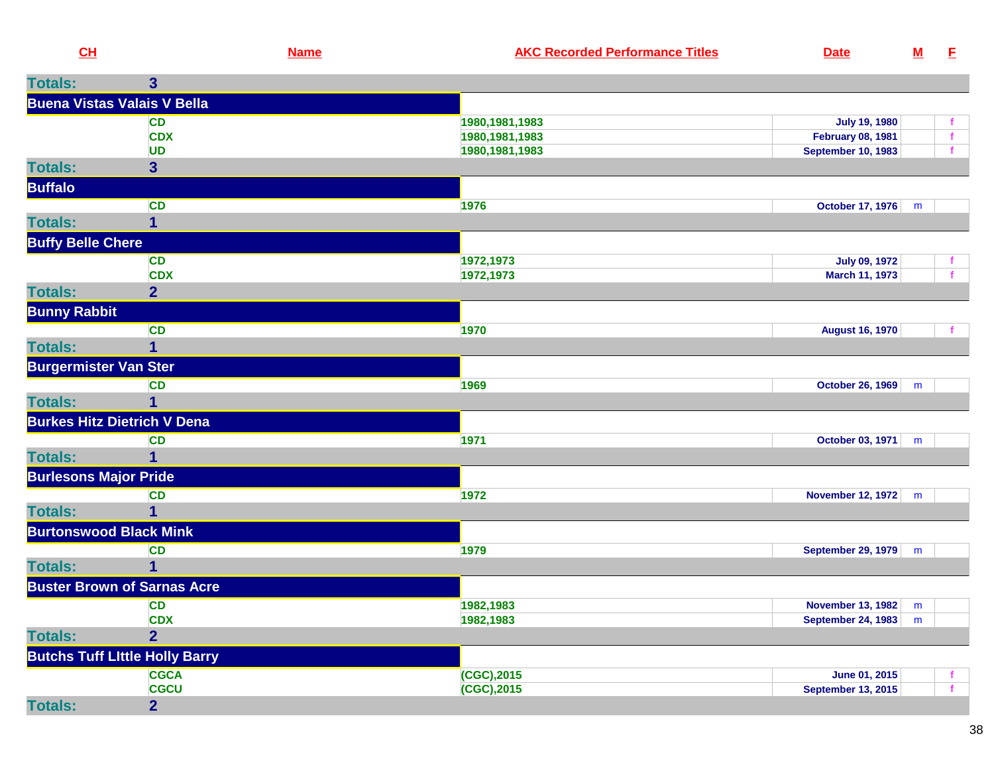| $CH$           |                                    | <b>Name</b> | <b>AKC Recorded Performance Titles</b> | <b>Date</b>               |  |
|----------------|------------------------------------|-------------|----------------------------------------|---------------------------|--|
| <b>Totals:</b> |                                    |             |                                        |                           |  |
|                | <b>Buena Vistas Valais V Bella</b> |             |                                        |                           |  |
|                | CD                                 |             | 1980,1981,1983                         | July 19, 1980             |  |
|                | <b>CDX</b>                         |             | 1980,1981,1983                         | <b>February 08, 1981</b>  |  |
|                | UD                                 |             | 1980.1981.1983                         | <b>September 10, 1983</b> |  |

|                               | <b>UD</b>                             | 1980, 1981, 1983 | <b>September 10, 1983</b> |   |              |
|-------------------------------|---------------------------------------|------------------|---------------------------|---|--------------|
| <b>Totals:</b>                | $\overline{\mathbf{3}}$               |                  |                           |   |              |
| <b>Buffalo</b>                |                                       |                  |                           |   |              |
|                               | <b>CD</b>                             | 1976             | October 17, 1976          | m |              |
| <b>Totals:</b>                | 1                                     |                  |                           |   |              |
| <b>Buffy Belle Chere</b>      |                                       |                  |                           |   |              |
|                               | <b>CD</b>                             | 1972,1973        | <b>July 09, 1972</b>      |   |              |
|                               | <b>CDX</b>                            | 1972,1973        | <b>March 11, 1973</b>     |   |              |
| <b>Totals:</b>                | 2 <sup>1</sup>                        |                  |                           |   |              |
| <b>Bunny Rabbit</b>           |                                       |                  |                           |   |              |
|                               | <b>CD</b>                             | 1970             | <b>August 16, 1970</b>    |   |              |
| <b>Totals:</b>                | 1                                     |                  |                           |   |              |
| <b>Burgermister Van Ster</b>  |                                       |                  |                           |   |              |
|                               | <b>CD</b>                             | 1969             | October 26, 1969          | m |              |
| <b>Totals:</b>                |                                       |                  |                           |   |              |
|                               | <b>Burkes Hitz Dietrich V Dena</b>    |                  |                           |   |              |
|                               | <b>CD</b>                             | 1971             | October 03, 1971          | m |              |
| <b>Totals:</b>                |                                       |                  |                           |   |              |
| <b>Burlesons Major Pride</b>  |                                       |                  |                           |   |              |
|                               | <b>CD</b>                             | 1972             | <b>November 12, 1972</b>  | m |              |
| <b>Totals:</b>                | 1                                     |                  |                           |   |              |
| <b>Burtonswood Black Mink</b> |                                       |                  |                           |   |              |
|                               | <b>CD</b>                             | 1979             | <b>September 29, 1979</b> | m |              |
| <b>Totals:</b>                |                                       |                  |                           |   |              |
|                               | <b>Buster Brown of Sarnas Acre</b>    |                  |                           |   |              |
|                               | <b>CD</b>                             | 1982,1983        | <b>November 13, 1982</b>  | m |              |
|                               | <b>CDX</b>                            | 1982,1983        | <b>September 24, 1983</b> | m |              |
| <b>Totals:</b>                | $\overline{2}$                        |                  |                           |   |              |
|                               | <b>Butchs Tuff Little Holly Barry</b> |                  |                           |   |              |
|                               | <b>CGCA</b>                           | (CGC), 2015      | June 01, 2015             |   | f.           |
|                               | <b>CGCU</b>                           | (CGC), 2015      | <b>September 13, 2015</b> |   | $\mathbf{f}$ |
| <b>Totals:</b>                | $\overline{2}$                        |                  |                           |   |              |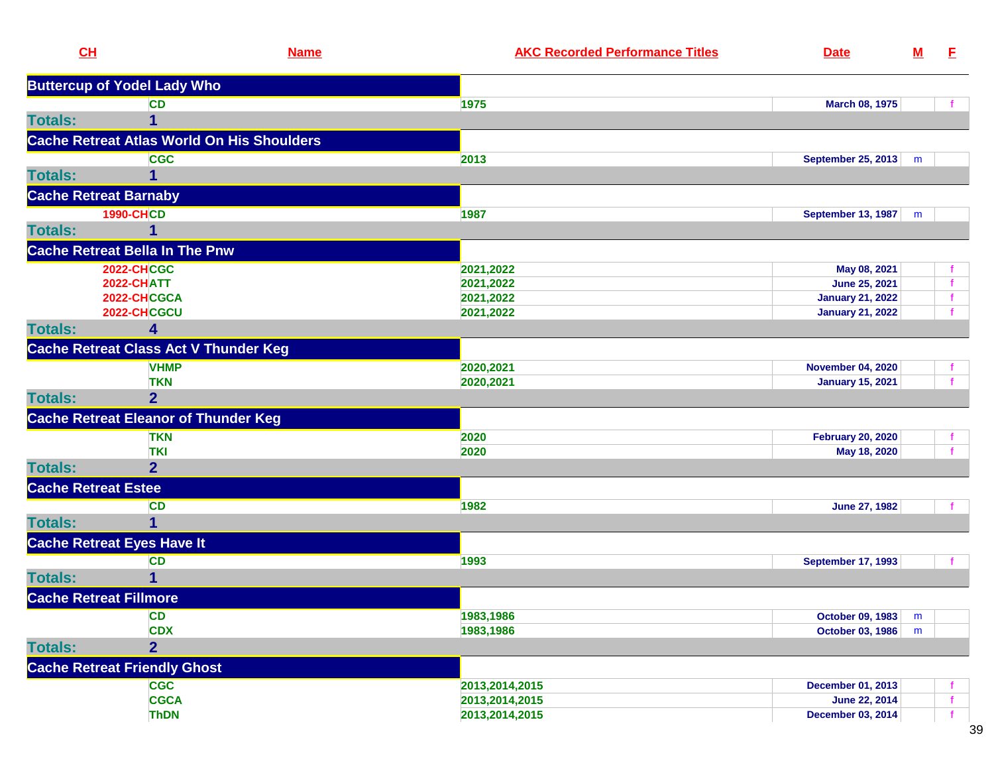| CL                            | <b>Name</b>                                  | <b>AKC Recorded Performance Titles</b> | <b>Date</b>               | ${\bf M}$ | E. |
|-------------------------------|----------------------------------------------|----------------------------------------|---------------------------|-----------|----|
|                               | <b>Buttercup of Yodel Lady Who</b>           |                                        |                           |           |    |
|                               | <b>CD</b>                                    | 1975                                   | March 08, 1975            |           |    |
| <b>Totals:</b>                |                                              |                                        |                           |           |    |
|                               | Cache Retreat Atlas World On His Shoulders   |                                        |                           |           |    |
|                               | <b>CGC</b>                                   | 2013                                   | September 25, 2013        | m         |    |
| <b>Totals:</b>                | 1                                            |                                        |                           |           |    |
| <b>Cache Retreat Barnaby</b>  |                                              |                                        |                           |           |    |
|                               | <b>1990-CHCD</b>                             | 1987                                   | <b>September 13, 1987</b> | m         |    |
| <b>Totals:</b>                | 1                                            |                                        |                           |           |    |
|                               | <b>Cache Retreat Bella In The Pnw</b>        |                                        |                           |           |    |
|                               | <b>2022-CHCGC</b>                            | 2021,2022                              | May 08, 2021              |           |    |
|                               | 2022-CHATT                                   | 2021,2022                              | June 25, 2021             |           |    |
|                               | 2022-CHCGCA                                  | 2021,2022                              | <b>January 21, 2022</b>   |           |    |
|                               | 2022-CHCGCU                                  | 2021,2022                              | <b>January 21, 2022</b>   |           |    |
| <b>Totals:</b>                | 4                                            |                                        |                           |           |    |
|                               | <b>Cache Retreat Class Act V Thunder Keg</b> |                                        |                           |           |    |
|                               | <b>VHMP</b>                                  | 2020,2021                              | <b>November 04, 2020</b>  |           |    |
|                               | <b>TKN</b>                                   | 2020,2021                              | <b>January 15, 2021</b>   |           |    |
| <b>Totals:</b>                | $\overline{2}$                               |                                        |                           |           |    |
|                               | <b>Cache Retreat Eleanor of Thunder Keg</b>  |                                        |                           |           |    |
|                               | <b>TKN</b>                                   | 2020                                   | <b>February 20, 2020</b>  |           |    |
|                               | <b>TKI</b>                                   | 2020                                   | May 18, 2020              |           |    |
| <b>Totals:</b>                | $\overline{2}$                               |                                        |                           |           |    |
| <b>Cache Retreat Estee</b>    |                                              |                                        |                           |           |    |
|                               | <b>CD</b>                                    | 1982                                   | <b>June 27, 1982</b>      |           |    |
| <b>Totals:</b>                | 1                                            |                                        |                           |           |    |
|                               | <b>Cache Retreat Eyes Have It</b>            |                                        |                           |           |    |
|                               | <b>CD</b>                                    | 1993                                   | <b>September 17, 1993</b> |           |    |
| <b>Totals:</b>                | 1                                            |                                        |                           |           |    |
| <b>Cache Retreat Fillmore</b> |                                              |                                        |                           |           |    |
|                               | <b>CD</b>                                    | 1983,1986                              | October 09, 1983          | m         |    |
|                               | <b>CDX</b>                                   | 1983,1986                              | <b>October 03, 1986</b>   | m         |    |
| <b>Totals:</b>                | $\overline{2}$                               |                                        |                           |           |    |
|                               | <b>Cache Retreat Friendly Ghost</b>          |                                        |                           |           |    |
|                               | <b>CGC</b>                                   | 2013,2014,2015                         | <b>December 01, 2013</b>  |           |    |
|                               | <b>CGCA</b>                                  | 2013,2014,2015                         | June 22, 2014             |           |    |
|                               | <b>ThDN</b>                                  | 2013,2014,2015                         | <b>December 03, 2014</b>  |           |    |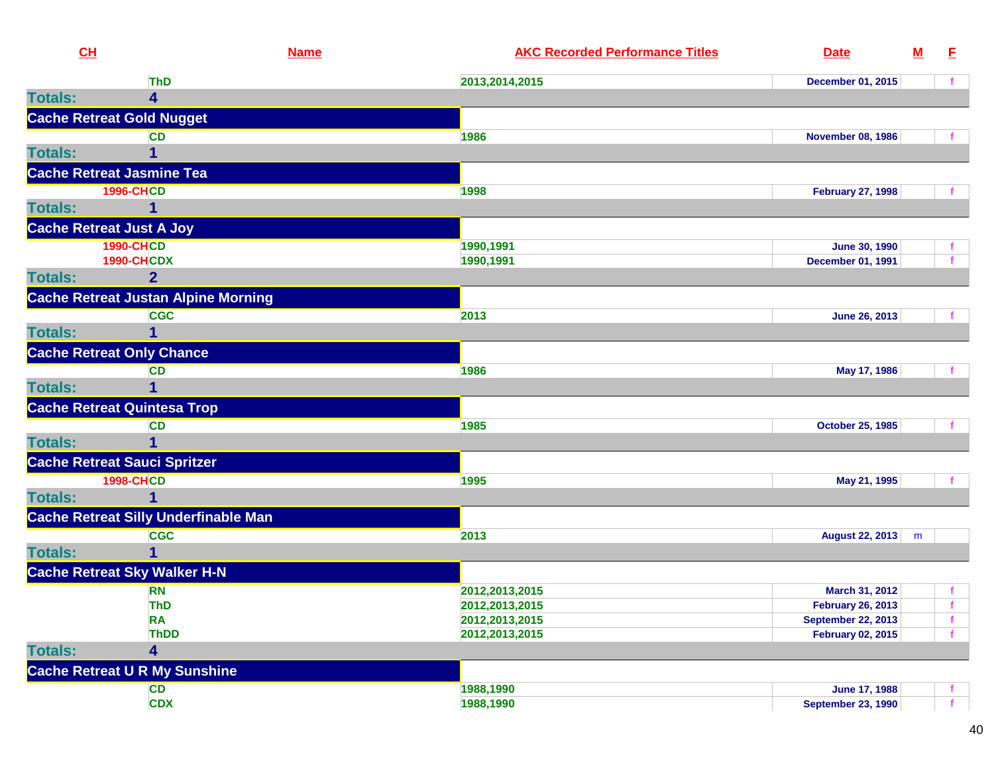| CH             |                                             | <b>Name</b> | <b>AKC Recorded Performance Titles</b> | <b>Date</b>               | ${\bf M}$ | E.           |
|----------------|---------------------------------------------|-------------|----------------------------------------|---------------------------|-----------|--------------|
|                | <b>ThD</b>                                  |             | 2013,2014,2015                         | <b>December 01, 2015</b>  |           |              |
| <b>Totals:</b> | 4                                           |             |                                        |                           |           |              |
|                | <b>Cache Retreat Gold Nugget</b>            |             |                                        |                           |           |              |
|                | <b>CD</b>                                   |             | 1986                                   | <b>November 08, 1986</b>  |           |              |
| <b>Totals:</b> |                                             |             |                                        |                           |           |              |
|                | <b>Cache Retreat Jasmine Tea</b>            |             |                                        |                           |           |              |
|                | <b>1996-CHCD</b>                            |             | 1998                                   | <b>February 27, 1998</b>  |           |              |
| <b>Totals:</b> | 1                                           |             |                                        |                           |           |              |
|                | <b>Cache Retreat Just A Joy</b>             |             |                                        |                           |           |              |
|                | <b>1990-CHCD</b>                            |             | 1990,1991                              | <b>June 30, 1990</b>      |           |              |
|                | <b>1990-CHCDX</b>                           |             | 1990,1991                              | <b>December 01, 1991</b>  |           |              |
| <b>Totals:</b> | $\mathbf{2}$                                |             |                                        |                           |           |              |
|                | <b>Cache Retreat Justan Alpine Morning</b>  |             |                                        |                           |           |              |
|                | <b>CGC</b>                                  |             | 2013                                   | June 26, 2013             |           |              |
| <b>Totals:</b> | 1                                           |             |                                        |                           |           |              |
|                | <b>Cache Retreat Only Chance</b>            |             |                                        |                           |           |              |
|                | <b>CD</b>                                   |             | 1986                                   | May 17, 1986              |           |              |
| <b>Totals:</b> | 1                                           |             |                                        |                           |           |              |
|                | <b>Cache Retreat Quintesa Trop</b>          |             |                                        |                           |           |              |
|                | <b>CD</b>                                   |             | 1985                                   | <b>October 25, 1985</b>   |           |              |
| <b>Totals:</b> |                                             |             |                                        |                           |           |              |
|                | <b>Cache Retreat Sauci Spritzer</b>         |             |                                        |                           |           |              |
|                | <b>1998-CHCD</b>                            |             | 1995                                   | May 21, 1995              |           |              |
| <b>Totals:</b> | 1                                           |             |                                        |                           |           |              |
|                | <b>Cache Retreat Silly Underfinable Man</b> |             |                                        |                           |           |              |
|                | <b>CGC</b>                                  |             | 2013                                   | August 22, 2013           | m         |              |
| <b>Totals:</b> | 1                                           |             |                                        |                           |           |              |
|                | <b>Cache Retreat Sky Walker H-N</b>         |             |                                        |                           |           |              |
|                | <b>RN</b>                                   |             | 2012, 2013, 2015                       | March 31, 2012            |           |              |
|                | <b>ThD</b>                                  |             | 2012, 2013, 2015                       | <b>February 26, 2013</b>  |           |              |
|                | <b>RA</b>                                   |             | 2012, 2013, 2015                       | <b>September 22, 2013</b> |           | $\mathbf f$  |
|                | <b>ThDD</b>                                 |             | 2012, 2013, 2015                       | <b>February 02, 2015</b>  |           |              |
| <b>Totals:</b> | 4                                           |             |                                        |                           |           |              |
|                | <b>Cache Retreat U R My Sunshine</b>        |             |                                        |                           |           |              |
|                | CD                                          |             | 1988,1990                              | June 17, 1988             |           |              |
|                | <b>CDX</b>                                  |             | 1988,1990                              | <b>September 23, 1990</b> |           | $\mathbf{f}$ |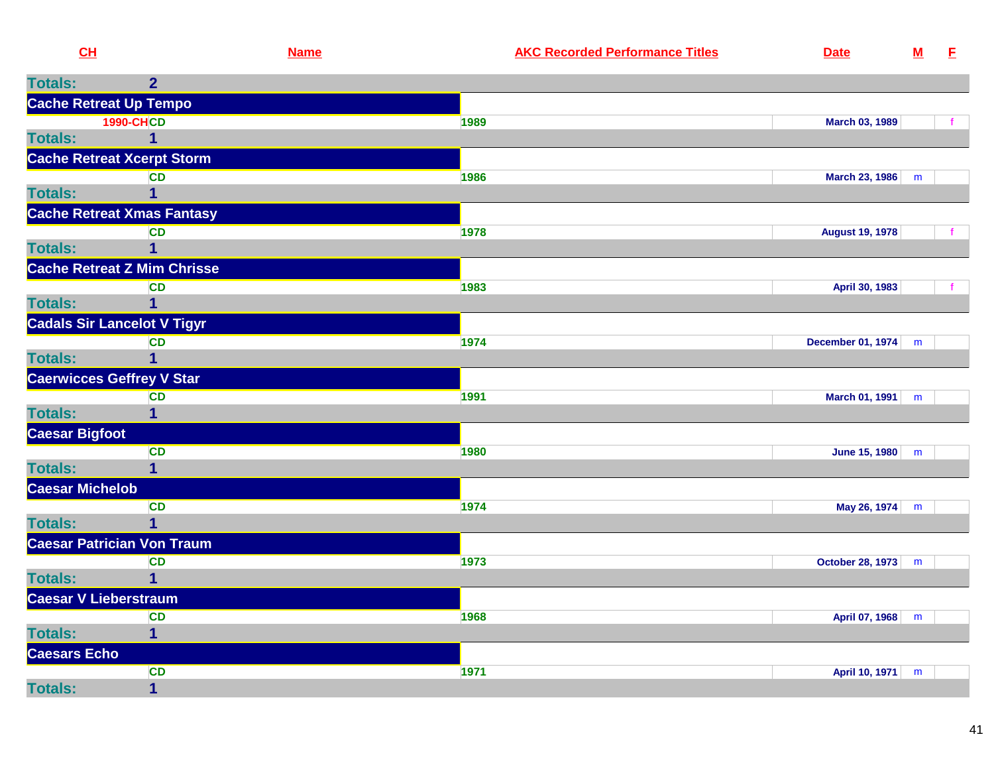| CH                     |                                    | <b>Name</b> | <b>AKC Recorded Performance Titles</b> | <b>Date</b>             | $\underline{\mathbf{M}}$ | E. |
|------------------------|------------------------------------|-------------|----------------------------------------|-------------------------|--------------------------|----|
| <b>Totals:</b>         | $\overline{2}$                     |             |                                        |                         |                          |    |
|                        | <b>Cache Retreat Up Tempo</b>      |             |                                        |                         |                          |    |
|                        | <b>1990-CHCD</b>                   |             | 1989                                   | March 03, 1989          |                          | f  |
| <b>Totals:</b>         | 1                                  |             |                                        |                         |                          |    |
|                        | <b>Cache Retreat Xcerpt Storm</b>  |             |                                        |                         |                          |    |
|                        | <b>CD</b>                          |             | 1986                                   | <b>March 23, 1986</b>   | m                        |    |
| <b>Totals:</b>         | $\overline{1}$                     |             |                                        |                         |                          |    |
|                        | <b>Cache Retreat Xmas Fantasy</b>  |             |                                        |                         |                          |    |
|                        | CD                                 |             | 1978                                   | <b>August 19, 1978</b>  |                          |    |
| <b>Totals:</b>         | 1                                  |             |                                        |                         |                          |    |
|                        | <b>Cache Retreat Z Mim Chrisse</b> |             |                                        |                         |                          |    |
|                        | <b>CD</b>                          |             | 1983                                   | April 30, 1983          |                          |    |
| <b>Totals:</b>         | 1                                  |             |                                        |                         |                          |    |
|                        | <b>Cadals Sir Lancelot V Tigyr</b> |             |                                        |                         |                          |    |
|                        | <b>CD</b>                          |             | 1974                                   | December 01, 1974       | m                        |    |
| <b>Totals:</b>         | 1                                  |             |                                        |                         |                          |    |
|                        | <b>Caerwicces Geffrey V Star</b>   |             |                                        |                         |                          |    |
|                        | <b>CD</b>                          |             | 1991                                   | March 01, 1991          | m                        |    |
| <b>Totals:</b>         | $\overline{\mathbf{1}}$            |             |                                        |                         |                          |    |
| <b>Caesar Bigfoot</b>  |                                    |             |                                        |                         |                          |    |
|                        | <b>CD</b>                          |             | 1980                                   | June 15, 1980           | m                        |    |
| <b>Totals:</b>         | $\mathbf{1}$                       |             |                                        |                         |                          |    |
| <b>Caesar Michelob</b> |                                    |             |                                        |                         |                          |    |
|                        | CD                                 |             | 1974                                   | May 26, 1974            | m                        |    |
| <b>Totals:</b>         | 1                                  |             |                                        |                         |                          |    |
|                        | <b>Caesar Patrician Von Traum</b>  |             |                                        |                         |                          |    |
|                        | <b>CD</b>                          |             | 1973                                   | <b>October 28, 1973</b> | m                        |    |
| <b>Totals:</b>         | $\overline{1}$                     |             |                                        |                         |                          |    |
| Caesar V Lieberstraum  |                                    |             |                                        |                         |                          |    |
|                        | <b>CD</b>                          |             | 1968                                   | April 07, 1968          | m                        |    |
| <b>Totals:</b>         | $\overline{\mathbf{1}}$            |             |                                        |                         |                          |    |
| <b>Caesars Echo</b>    |                                    |             |                                        |                         |                          |    |
|                        | <b>CD</b>                          |             | 1971                                   | April 10, 1971          | m                        |    |
| <b>Totals:</b>         | $\overline{\mathbf{1}}$            |             |                                        |                         |                          |    |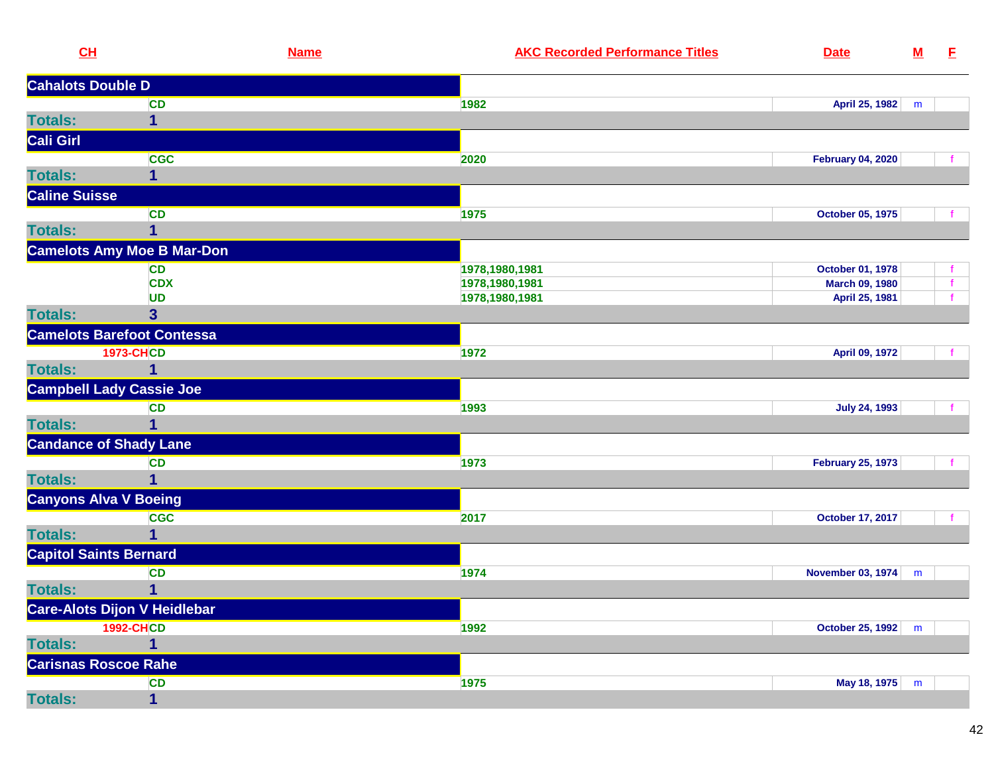| CL                            | <b>Name</b>                         |                | <b>AKC Recorded Performance Titles</b> | <b>Date</b>              | ${\bf M}$ | E.           |
|-------------------------------|-------------------------------------|----------------|----------------------------------------|--------------------------|-----------|--------------|
| <b>Cahalots Double D</b>      |                                     |                |                                        |                          |           |              |
|                               | <b>CD</b>                           | 1982           |                                        | April 25, 1982           | m         |              |
| <b>Totals:</b>                | $\mathbf{1}$                        |                |                                        |                          |           |              |
| Cali Girl                     |                                     |                |                                        |                          |           |              |
|                               | <b>CGC</b>                          | 2020           |                                        | <b>February 04, 2020</b> |           |              |
| <b>Totals:</b>                | 1                                   |                |                                        |                          |           |              |
| <b>Caline Suisse</b>          |                                     |                |                                        |                          |           |              |
|                               | CD                                  | 1975           |                                        | October 05, 1975         |           |              |
| <b>Totals:</b>                | $\mathbf 1$                         |                |                                        |                          |           |              |
|                               | <b>Camelots Amy Moe B Mar-Don</b>   |                |                                        |                          |           |              |
|                               | <b>CD</b>                           | 1978,1980,1981 |                                        | October 01, 1978         |           |              |
|                               | <b>CDX</b>                          | 1978,1980,1981 |                                        | March 09, 1980           |           | $\mathbf{f}$ |
|                               | UD                                  | 1978,1980,1981 |                                        | April 25, 1981           |           |              |
| <b>Totals:</b>                | $\overline{\mathbf{3}}$             |                |                                        |                          |           |              |
|                               | <b>Camelots Barefoot Contessa</b>   |                |                                        |                          |           |              |
|                               | <b>1973-CHCD</b>                    | 1972           |                                        | April 09, 1972           |           |              |
| <b>Totals:</b>                | $\overline{\mathbf{1}}$             |                |                                        |                          |           |              |
|                               | <b>Campbell Lady Cassie Joe</b>     |                |                                        |                          |           |              |
|                               | <b>CD</b>                           | 1993           |                                        | <b>July 24, 1993</b>     |           |              |
| <b>Totals:</b>                | 1                                   |                |                                        |                          |           |              |
|                               | <b>Candance of Shady Lane</b>       |                |                                        |                          |           |              |
|                               | <b>CD</b>                           | 1973           |                                        | <b>February 25, 1973</b> |           |              |
| <b>Totals:</b>                | $\mathbf 1$                         |                |                                        |                          |           |              |
| <b>Canyons Alva V Boeing</b>  |                                     |                |                                        |                          |           |              |
|                               | <b>CGC</b>                          | 2017           |                                        | <b>October 17, 2017</b>  |           |              |
| <b>Totals:</b>                | $\mathbf{1}$                        |                |                                        |                          |           |              |
| <b>Capitol Saints Bernard</b> |                                     |                |                                        |                          |           |              |
|                               | <b>CD</b>                           | 1974           |                                        | <b>November 03, 1974</b> | m         |              |
| <b>Totals:</b>                | 1                                   |                |                                        |                          |           |              |
|                               | <b>Care-Alots Dijon V Heidlebar</b> |                |                                        |                          |           |              |
|                               | <b>1992-CHCD</b>                    | 1992           |                                        | October 25, 1992         | m         |              |
| <b>Totals:</b>                | $\mathbf{1}$                        |                |                                        |                          |           |              |
| <b>Carisnas Roscoe Rahe</b>   |                                     |                |                                        |                          |           |              |
|                               | <b>CD</b>                           | 1975           |                                        | May 18, 1975             | m         |              |
| <b>Totals:</b>                | $\mathbf 1$                         |                |                                        |                          |           |              |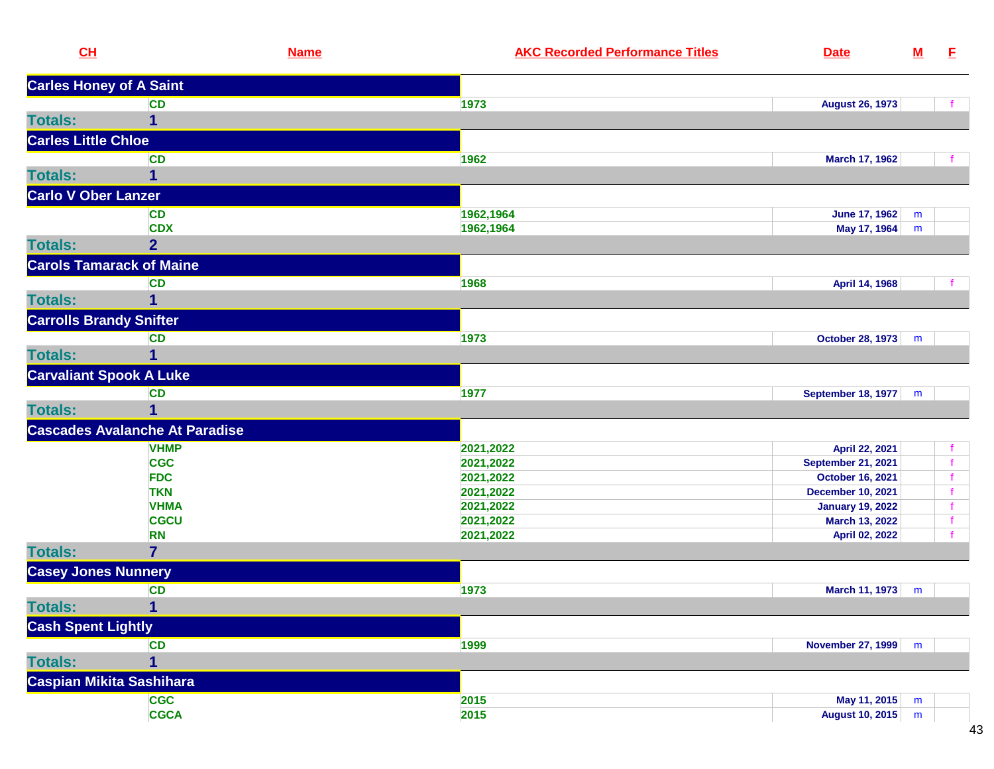| CH                              | <b>Name</b>                           | <b>AKC Recorded Performance Titles</b> | <b>Date</b>               | ${\bf M}$ | E. |
|---------------------------------|---------------------------------------|----------------------------------------|---------------------------|-----------|----|
| <b>Carles Honey of A Saint</b>  |                                       |                                        |                           |           |    |
|                                 | <b>CD</b>                             | 1973                                   | <b>August 26, 1973</b>    |           |    |
| <b>Totals:</b>                  | 1                                     |                                        |                           |           |    |
| <b>Carles Little Chloe</b>      |                                       |                                        |                           |           |    |
|                                 | <b>CD</b>                             | 1962                                   | March 17, 1962            |           |    |
| <b>Totals:</b>                  | 1                                     |                                        |                           |           |    |
| <b>Carlo V Ober Lanzer</b>      |                                       |                                        |                           |           |    |
|                                 | <b>CD</b>                             | 1962,1964                              | <b>June 17, 1962</b>      | m         |    |
|                                 | <b>CDX</b>                            | 1962,1964                              | May 17, 1964              | m         |    |
| <b>Totals:</b>                  | $\overline{2}$                        |                                        |                           |           |    |
| <b>Carols Tamarack of Maine</b> |                                       |                                        |                           |           |    |
|                                 | <b>CD</b>                             | 1968                                   | April 14, 1968            |           |    |
| <b>Totals:</b>                  | 1                                     |                                        |                           |           |    |
| <b>Carrolls Brandy Snifter</b>  |                                       |                                        |                           |           |    |
|                                 | <b>CD</b>                             | 1973                                   | October 28, 1973          |           |    |
| <b>Totals:</b>                  | 1                                     |                                        |                           | m         |    |
| <b>Carvaliant Spook A Luke</b>  |                                       |                                        |                           |           |    |
|                                 |                                       |                                        |                           |           |    |
|                                 | <b>CD</b>                             | 1977                                   | <b>September 18, 1977</b> | m         |    |
| <b>Totals:</b>                  | 1                                     |                                        |                           |           |    |
|                                 | <b>Cascades Avalanche At Paradise</b> |                                        |                           |           |    |
|                                 | <b>VHMP</b>                           | 2021,2022                              | April 22, 2021            |           |    |
|                                 | <b>CGC</b>                            | 2021,2022                              | <b>September 21, 2021</b> |           |    |
|                                 | <b>FDC</b>                            | 2021,2022                              | <b>October 16, 2021</b>   |           |    |
|                                 | <b>TKN</b>                            | 2021,2022                              | <b>December 10, 2021</b>  |           |    |
|                                 | <b>VHMA</b>                           | 2021,2022                              | <b>January 19, 2022</b>   |           |    |
|                                 | <b>CGCU</b>                           | 2021,2022                              | March 13, 2022            |           |    |
|                                 | <b>RN</b>                             | 2021,2022                              | April 02, 2022            |           |    |
| <b>Totals:</b>                  | $\overline{7}$                        |                                        |                           |           |    |
| <b>Casey Jones Nunnery</b>      |                                       |                                        |                           |           |    |
|                                 | CD                                    | 1973                                   | March 11, 1973            | m         |    |
| <b>Totals:</b>                  | $\overline{1}$                        |                                        |                           |           |    |
| <b>Cash Spent Lightly</b>       |                                       |                                        |                           |           |    |
|                                 | <b>CD</b>                             | 1999                                   | <b>November 27, 1999</b>  | m         |    |
| <b>Totals:</b>                  | 1                                     |                                        |                           |           |    |
| Caspian Mikita Sashihara        |                                       |                                        |                           |           |    |
|                                 | <b>CGC</b>                            | 2015                                   | May 11, 2015              | m         |    |
|                                 | <b>CGCA</b>                           | 2015                                   | <b>August 10, 2015</b>    | m         |    |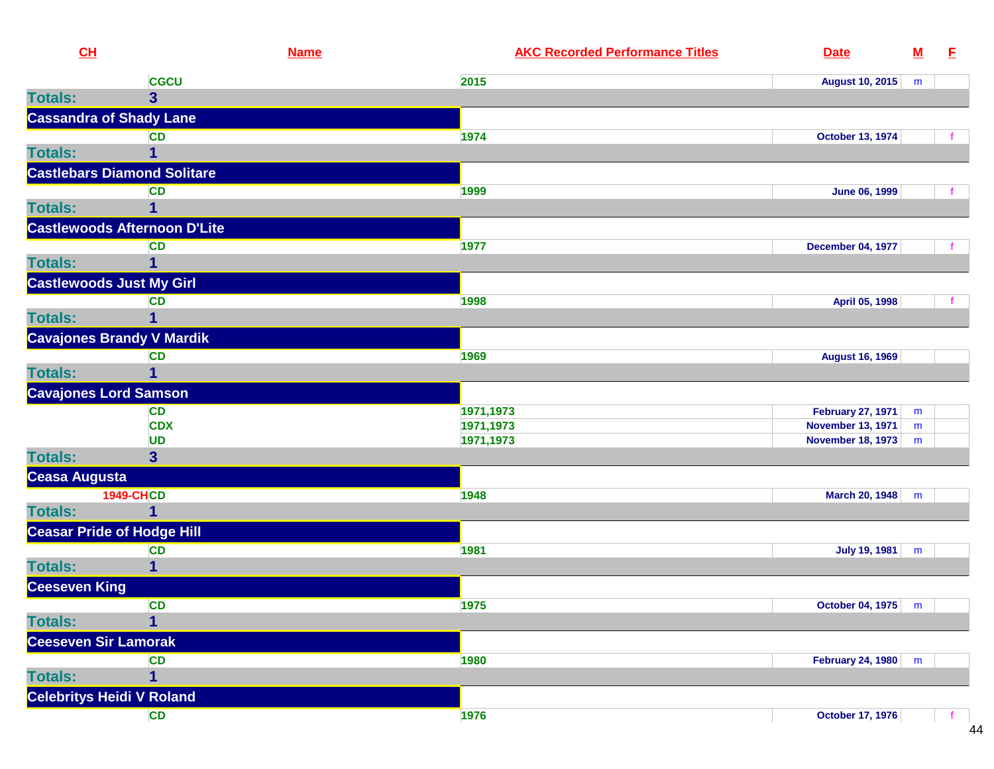| CH                               |                                      | <b>Name</b> | <b>AKC Recorded Performance Titles</b> | <b>Date</b>              | ${\bf M}$ | E |
|----------------------------------|--------------------------------------|-------------|----------------------------------------|--------------------------|-----------|---|
|                                  | <b>CGCU</b>                          |             | 2015                                   | <b>August 10, 2015</b>   | m         |   |
| <b>Totals:</b>                   | $\overline{\mathbf{3}}$              |             |                                        |                          |           |   |
| <b>Cassandra of Shady Lane</b>   |                                      |             |                                        |                          |           |   |
|                                  | <b>CD</b>                            |             | 1974                                   | <b>October 13, 1974</b>  |           |   |
| <b>Totals:</b>                   | 1                                    |             |                                        |                          |           |   |
|                                  | <b>Castlebars Diamond Solitare</b>   |             |                                        |                          |           |   |
|                                  | <b>CD</b>                            |             | 1999                                   | <b>June 06, 1999</b>     |           |   |
| <b>Totals:</b>                   | 1                                    |             |                                        |                          |           |   |
|                                  | <b>Castlewoods Afternoon D'Lite</b>  |             |                                        |                          |           |   |
|                                  | <b>CD</b>                            |             | 1977                                   | <b>December 04, 1977</b> |           |   |
| <b>Totals:</b>                   | $\mathbf{1}$                         |             |                                        |                          |           |   |
| <b>Castlewoods Just My Girl</b>  |                                      |             |                                        |                          |           |   |
|                                  | <b>CD</b>                            |             | 1998                                   | April 05, 1998           |           |   |
| <b>Totals:</b>                   | 1                                    |             |                                        |                          |           |   |
|                                  | <b>Cavajones Brandy V Mardik</b>     |             |                                        |                          |           |   |
|                                  | <b>CD</b>                            |             | 1969                                   | <b>August 16, 1969</b>   |           |   |
| <b>Totals:</b>                   | $\mathbf{1}$                         |             |                                        |                          |           |   |
| <b>Cavajones Lord Samson</b>     |                                      |             |                                        |                          |           |   |
|                                  | <b>CD</b>                            |             | 1971,1973                              | <b>February 27, 1971</b> | m         |   |
|                                  | <b>CDX</b>                           |             | 1971,1973                              | <b>November 13, 1971</b> | m         |   |
| <b>Totals:</b>                   | <b>UD</b><br>$\overline{\mathbf{3}}$ |             | 1971,1973                              | <b>November 18, 1973</b> | m         |   |
|                                  |                                      |             |                                        |                          |           |   |
| Ceasa Augusta                    | <b>1949-CHCD</b>                     |             |                                        |                          |           |   |
| <b>Totals:</b>                   | $\overline{1}$                       |             | 1948                                   | <b>March 20, 1948</b>    | m         |   |
|                                  | <b>Ceasar Pride of Hodge Hill</b>    |             |                                        |                          |           |   |
|                                  | <b>CD</b>                            |             | 1981                                   | <b>July 19, 1981</b>     | m         |   |
| <b>Totals:</b>                   | 1                                    |             |                                        |                          |           |   |
| <b>Ceeseven King</b>             |                                      |             |                                        |                          |           |   |
|                                  | <b>CD</b>                            |             | 1975                                   | October 04, 1975 m       |           |   |
| <b>Totals:</b>                   | $\overline{1}$                       |             |                                        |                          |           |   |
| <b>Ceeseven Sir Lamorak</b>      |                                      |             |                                        |                          |           |   |
|                                  | CD                                   |             | 1980                                   | <b>February 24, 1980</b> | m         |   |
| <b>Totals:</b>                   | $\mathbf{1}$                         |             |                                        |                          |           |   |
| <b>Celebritys Heidi V Roland</b> |                                      |             |                                        |                          |           |   |
|                                  | CD                                   |             | 1976                                   | <b>October 17, 1976</b>  |           |   |
|                                  |                                      |             |                                        |                          |           |   |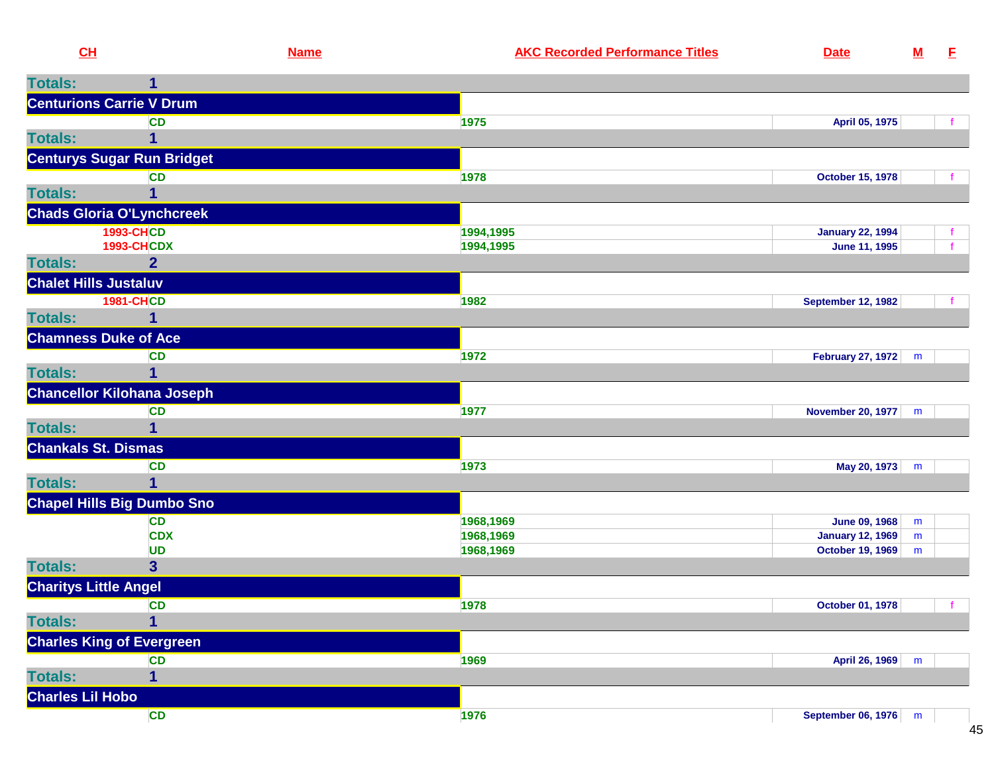| CL                           |                                   | <b>Name</b> | <b>AKC Recorded Performance Titles</b> | <b>Date</b>               | ${\bf M}$ | E            |
|------------------------------|-----------------------------------|-------------|----------------------------------------|---------------------------|-----------|--------------|
| <b>Totals:</b>               |                                   |             |                                        |                           |           |              |
|                              | <b>Centurions Carrie V Drum</b>   |             |                                        |                           |           |              |
|                              | <b>CD</b>                         |             | 1975                                   | April 05, 1975            |           | $\mathbf{f}$ |
| <b>Totals:</b>               |                                   |             |                                        |                           |           |              |
|                              | <b>Centurys Sugar Run Bridget</b> |             |                                        |                           |           |              |
|                              | <b>CD</b>                         |             | 1978                                   | <b>October 15, 1978</b>   |           |              |
| <b>Totals:</b>               |                                   |             |                                        |                           |           |              |
|                              | <b>Chads Gloria O'Lynchcreek</b>  |             |                                        |                           |           |              |
|                              | <b>1993-CHCD</b>                  |             | 1994,1995                              | <b>January 22, 1994</b>   |           | t.           |
|                              | <b>1993-CHCDX</b>                 |             | 1994,1995                              | June 11, 1995             |           | $\mathbf{f}$ |
| <b>Totals:</b>               | $\overline{2}$                    |             |                                        |                           |           |              |
| <b>Chalet Hills Justaluv</b> |                                   |             |                                        |                           |           |              |
|                              | <b>1981-CHCD</b>                  |             | 1982                                   | <b>September 12, 1982</b> |           | $\mathbf{f}$ |
| <b>Totals:</b>               |                                   |             |                                        |                           |           |              |
| <b>Chamness Duke of Ace</b>  |                                   |             |                                        |                           |           |              |
|                              | <b>CD</b>                         |             | 1972                                   | <b>February 27, 1972</b>  | m         |              |
| <b>Totals:</b>               | 1                                 |             |                                        |                           |           |              |
|                              | <b>Chancellor Kilohana Joseph</b> |             |                                        |                           |           |              |
|                              | <b>CD</b>                         |             | 1977                                   | <b>November 20, 1977</b>  | m         |              |
| <b>Totals:</b>               | 1                                 |             |                                        |                           |           |              |
| <b>Chankals St. Dismas</b>   |                                   |             |                                        |                           |           |              |
|                              | <b>CD</b>                         |             | 1973                                   | May 20, 1973              | m         |              |
| <b>Totals:</b>               |                                   |             |                                        |                           |           |              |
|                              | <b>Chapel Hills Big Dumbo Sno</b> |             |                                        |                           |           |              |
|                              | <b>CD</b>                         |             | 1968,1969                              | <b>June 09, 1968</b>      | m         |              |
|                              | <b>CDX</b>                        |             | 1968,1969                              | <b>January 12, 1969</b>   | m         |              |
|                              | <b>UD</b>                         |             | 1968,1969                              | <b>October 19, 1969</b>   | m         |              |
| <b>Totals:</b>               | $\overline{\mathbf{3}}$           |             |                                        |                           |           |              |
| <b>Charitys Little Angel</b> |                                   |             |                                        |                           |           |              |
|                              | CD                                |             | 1978                                   | October 01, 1978          |           | f.           |
| <b>Totals:</b>               | 1                                 |             |                                        |                           |           |              |
|                              | <b>Charles King of Evergreen</b>  |             |                                        |                           |           |              |
|                              | CD                                |             | 1969                                   | April 26, 1969            | m         |              |
| <b>Totals:</b>               | 1                                 |             |                                        |                           |           |              |
| <b>Charles Lil Hobo</b>      |                                   |             |                                        |                           |           |              |
|                              | <b>CD</b>                         |             | 1976                                   | September 06, 1976        | m         |              |

45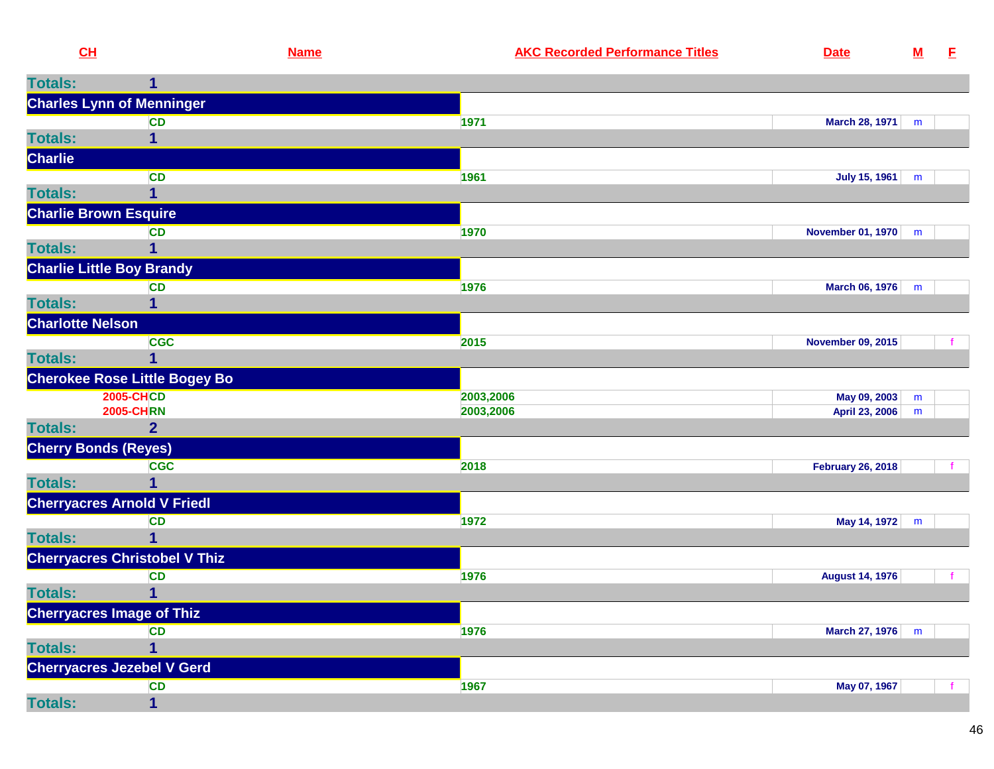| CH                               |                                      | <b>Name</b> | <b>AKC Recorded Performance Titles</b> | <b>Date</b>              | ${\bf M}$ | E |
|----------------------------------|--------------------------------------|-------------|----------------------------------------|--------------------------|-----------|---|
| <b>Totals:</b>                   | 1                                    |             |                                        |                          |           |   |
|                                  | <b>Charles Lynn of Menninger</b>     |             |                                        |                          |           |   |
|                                  | <b>CD</b>                            |             | 1971                                   | March 28, 1971           | m         |   |
| <b>Totals:</b>                   | 1                                    |             |                                        |                          |           |   |
| <b>Charlie</b>                   |                                      |             |                                        |                          |           |   |
|                                  | <b>CD</b>                            |             | 1961                                   | <b>July 15, 1961</b>     | m         |   |
| <b>Totals:</b>                   | 1                                    |             |                                        |                          |           |   |
| <b>Charlie Brown Esquire</b>     |                                      |             |                                        |                          |           |   |
|                                  | <b>CD</b>                            |             | 1970                                   | <b>November 01, 1970</b> | m         |   |
| <b>Totals:</b>                   | 1                                    |             |                                        |                          |           |   |
| <b>Charlie Little Boy Brandy</b> |                                      |             |                                        |                          |           |   |
|                                  | <b>CD</b>                            |             | 1976                                   | March 06, 1976           | m         |   |
| <b>Totals:</b>                   | 1                                    |             |                                        |                          |           |   |
| <b>Charlotte Nelson</b>          |                                      |             |                                        |                          |           |   |
|                                  | <b>CGC</b>                           |             | 2015                                   | <b>November 09, 2015</b> |           |   |
| <b>Totals:</b>                   | 1                                    |             |                                        |                          |           |   |
|                                  | <b>Cherokee Rose Little Bogey Bo</b> |             |                                        |                          |           |   |
|                                  | <b>2005-CHCD</b>                     |             | 2003,2006                              | May 09, 2003             | ${\bf m}$ |   |
|                                  | <b>2005-CHRN</b>                     |             | 2003,2006                              | April 23, 2006           | m         |   |
| <b>Totals:</b>                   | $\overline{2}$                       |             |                                        |                          |           |   |
| <b>Cherry Bonds (Reyes)</b>      |                                      |             |                                        |                          |           |   |
|                                  | <b>CGC</b>                           |             | 2018                                   | <b>February 26, 2018</b> |           |   |
| <b>Totals:</b>                   | $\mathbf 1$                          |             |                                        |                          |           |   |
|                                  | <b>Cherryacres Arnold V Friedl</b>   |             |                                        |                          |           |   |
|                                  | <b>CD</b>                            |             | 1972                                   | May 14, 1972             | m         |   |
| <b>Totals:</b>                   | $\mathbf 1$                          |             |                                        |                          |           |   |
|                                  | <b>Cherryacres Christobel V Thiz</b> |             |                                        |                          |           |   |
|                                  | <b>CD</b>                            |             | 1976                                   | <b>August 14, 1976</b>   |           |   |
| <b>Totals:</b>                   | $\mathbf 1$                          |             |                                        |                          |           |   |
| <b>Cherryacres Image of Thiz</b> |                                      |             |                                        |                          |           |   |
|                                  | <b>CD</b>                            |             | 1976                                   | <b>March 27, 1976</b>    | m         |   |
| <b>Totals:</b>                   |                                      |             |                                        |                          |           |   |
|                                  | <b>Cherryacres Jezebel V Gerd</b>    |             |                                        |                          |           |   |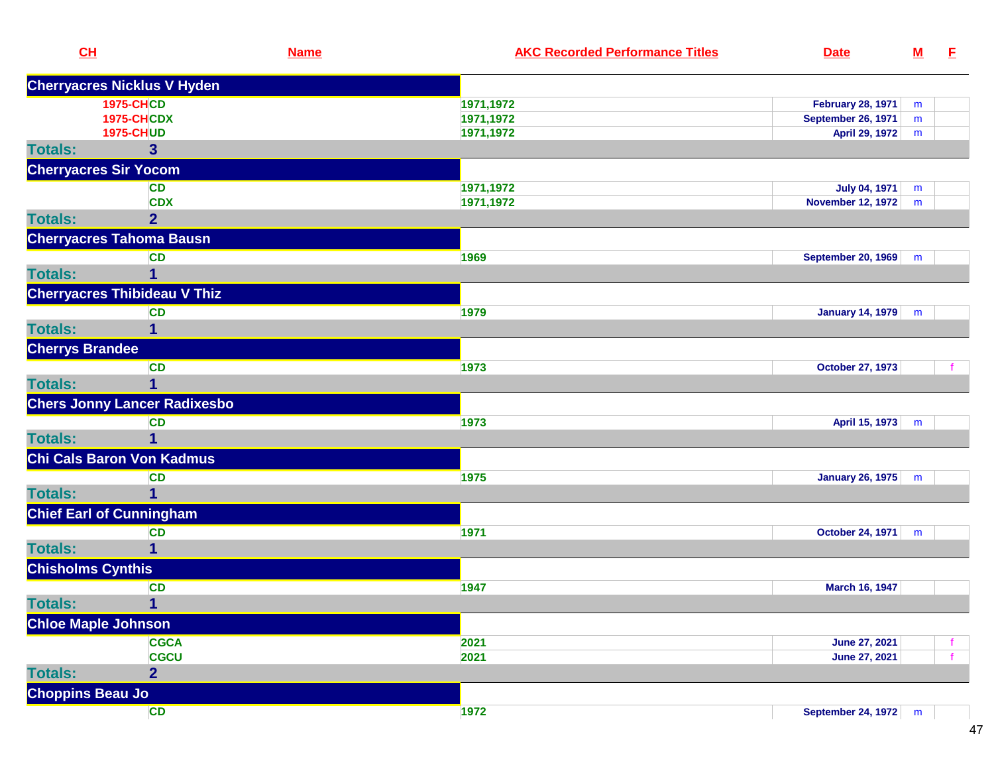| CL                              |                                     | <b>Name</b> | <b>AKC Recorded Performance Titles</b> | <b>Date</b>                                  | $M$ | E                  |
|---------------------------------|-------------------------------------|-------------|----------------------------------------|----------------------------------------------|-----|--------------------|
|                                 | <b>Cherryacres Nicklus V Hyden</b>  |             |                                        |                                              |     |                    |
|                                 | <b>1975-CHCD</b>                    |             | 1971,1972                              | <b>February 28, 1971</b>                     | m   |                    |
|                                 | <b>1975-CHCDX</b>                   |             | 1971,1972                              | <b>September 26, 1971</b>                    | m   |                    |
|                                 | <b>1975-CHUD</b>                    |             | 1971,1972                              | April 29, 1972                               | m   |                    |
| <b>Totals:</b>                  | $\overline{\mathbf{3}}$             |             |                                        |                                              |     |                    |
| <b>Cherryacres Sir Yocom</b>    |                                     |             |                                        |                                              |     |                    |
|                                 | <b>CD</b>                           |             | 1971,1972                              | <b>July 04, 1971</b>                         | m   |                    |
|                                 | <b>CDX</b>                          |             | 1971,1972                              | <b>November 12, 1972</b>                     | m   |                    |
| <b>Totals:</b>                  | $\overline{2}$                      |             |                                        |                                              |     |                    |
|                                 | <b>Cherryacres Tahoma Bausn</b>     |             |                                        |                                              |     |                    |
|                                 | <b>CD</b>                           |             | 1969                                   | <b>September 20, 1969</b>                    | m   |                    |
| <b>Totals:</b>                  |                                     |             |                                        |                                              |     |                    |
|                                 | <b>Cherryacres Thibideau V Thiz</b> |             |                                        |                                              |     |                    |
|                                 | <b>CD</b>                           |             | 1979                                   | January 14, 1979                             | m   |                    |
| <b>Totals:</b>                  | 1                                   |             |                                        |                                              |     |                    |
| <b>Cherrys Brandee</b>          |                                     |             |                                        |                                              |     |                    |
|                                 | <b>CD</b>                           |             | 1973                                   | <b>October 27, 1973</b>                      |     | $\mathbf{f}$       |
| <b>Totals:</b>                  |                                     |             |                                        |                                              |     |                    |
|                                 | <b>Chers Jonny Lancer Radixesbo</b> |             |                                        |                                              |     |                    |
|                                 | <b>CD</b>                           |             | 1973                                   | April 15, 1973                               | m   |                    |
| <b>Totals:</b>                  | 1                                   |             |                                        |                                              |     |                    |
|                                 | Chi Cals Baron Von Kadmus           |             |                                        |                                              |     |                    |
|                                 | <b>CD</b>                           |             | 1975                                   | January 26, 1975                             | m   |                    |
| <b>Totals:</b>                  | 1                                   |             |                                        |                                              |     |                    |
| <b>Chief Earl of Cunningham</b> |                                     |             |                                        |                                              |     |                    |
|                                 | <b>CD</b>                           |             | 1971                                   | October 24, 1971                             | m   |                    |
| <b>Totals:</b>                  |                                     |             |                                        |                                              |     |                    |
| <b>Chisholms Cynthis</b>        |                                     |             |                                        |                                              |     |                    |
|                                 | <b>CD</b>                           |             | 1947                                   | March 16, 1947                               |     |                    |
| <b>Totals:</b>                  | $\overline{1}$                      |             |                                        |                                              |     |                    |
|                                 |                                     |             |                                        |                                              |     |                    |
| <b>Chloe Maple Johnson</b>      |                                     |             |                                        |                                              |     |                    |
|                                 | <b>CGCA</b><br><b>CGCU</b>          |             | 2021<br>2021                           | <b>June 27, 2021</b><br><b>June 27, 2021</b> |     | f.<br>$\mathbf{f}$ |
| <b>Totals:</b>                  | $\overline{2}$                      |             |                                        |                                              |     |                    |
|                                 |                                     |             |                                        |                                              |     |                    |
| <b>Choppins Beau Jo</b>         |                                     |             |                                        |                                              |     |                    |
|                                 | <b>CD</b>                           |             | 1972                                   | September 24, 1972 m                         |     |                    |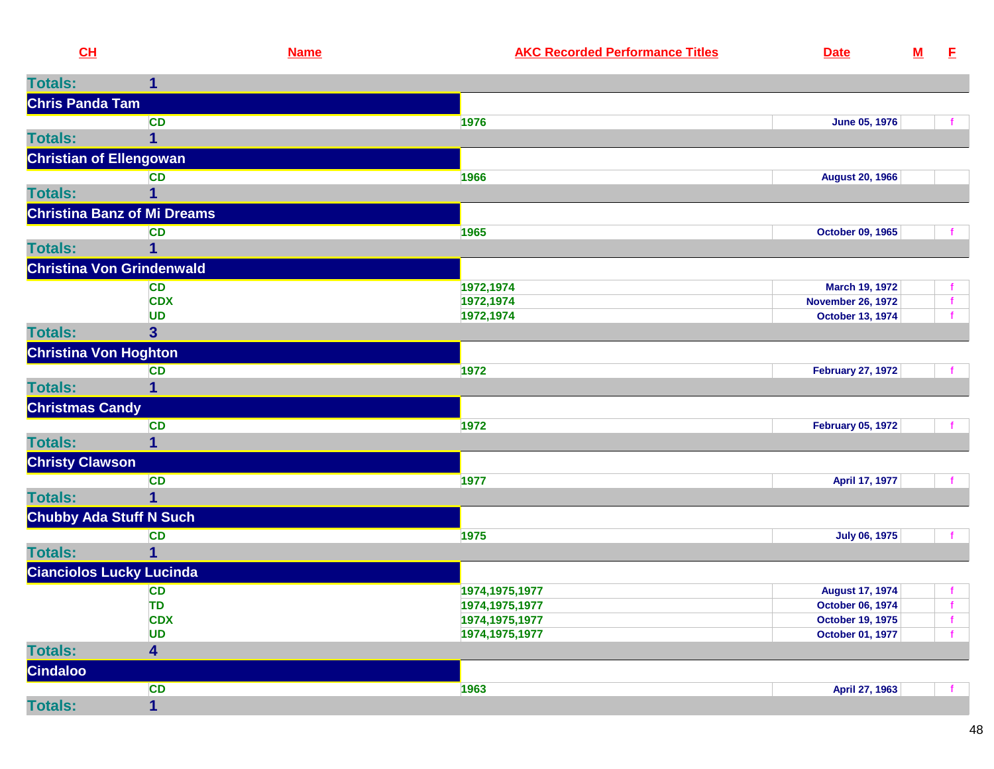| <b>Totals:</b><br>$\mathbf{1}$<br><b>Chris Panda Tam</b><br><b>CD</b><br>1976<br><b>June 05, 1976</b><br>1<br><b>Christian of Ellengowan</b><br><b>CD</b><br>1966<br><b>August 20, 1966</b><br><b>Totals:</b><br><b>Christina Banz of Mi Dreams</b><br><b>CD</b><br>October 09, 1965<br>1965<br><b>Totals:</b><br>1<br><b>Christina Von Grindenwald</b><br><b>CD</b><br>1972,1974<br><b>March 19, 1972</b><br><b>CDX</b><br>1972,1974<br><b>November 26, 1972</b><br>$\mathbf f$<br><b>UD</b><br>1972,1974<br><b>October 13, 1974</b><br>3 <sup>5</sup><br><b>Christina Von Hoghton</b><br><b>CD</b><br>1972<br><b>February 27, 1972</b><br><b>Totals:</b><br>1<br><b>Christmas Candy</b><br><b>CD</b><br>1972<br><b>February 05, 1972</b><br>f<br><b>Totals:</b><br>1<br><b>Christy Clawson</b><br><b>CD</b><br>1977<br>April 17, 1977<br>$\overline{\mathbf{1}}$<br><b>Totals:</b><br><b>Chubby Ada Stuff N Such</b><br><b>CD</b><br>1975<br><b>July 06, 1975</b><br><b>Totals:</b><br>$\mathbf{1}$<br><b>Cianciolos Lucky Lucinda</b><br><b>CD</b><br>1974, 1975, 1977<br><b>August 17, 1974</b><br><b>TD</b><br>1974, 1975, 1977<br>October 06, 1974<br><b>CDX</b><br>October 19, 1975<br>1974, 1975, 1977<br>$\mathbf{f}$<br><b>UD</b><br>October 01, 1977<br>1974, 1975, 1977<br><b>Totals:</b><br>4<br><b>Cindaloo</b><br><b>CD</b><br>1963<br>April 27, 1963<br>$-f$ | CH             |                         | <b>Name</b> | <b>AKC Recorded Performance Titles</b> | <b>Date</b> | ${\bf M}$ | E |
|------------------------------------------------------------------------------------------------------------------------------------------------------------------------------------------------------------------------------------------------------------------------------------------------------------------------------------------------------------------------------------------------------------------------------------------------------------------------------------------------------------------------------------------------------------------------------------------------------------------------------------------------------------------------------------------------------------------------------------------------------------------------------------------------------------------------------------------------------------------------------------------------------------------------------------------------------------------------------------------------------------------------------------------------------------------------------------------------------------------------------------------------------------------------------------------------------------------------------------------------------------------------------------------------------------------------------------------------------------------------------|----------------|-------------------------|-------------|----------------------------------------|-------------|-----------|---|
|                                                                                                                                                                                                                                                                                                                                                                                                                                                                                                                                                                                                                                                                                                                                                                                                                                                                                                                                                                                                                                                                                                                                                                                                                                                                                                                                                                              |                |                         |             |                                        |             |           |   |
|                                                                                                                                                                                                                                                                                                                                                                                                                                                                                                                                                                                                                                                                                                                                                                                                                                                                                                                                                                                                                                                                                                                                                                                                                                                                                                                                                                              |                |                         |             |                                        |             |           |   |
|                                                                                                                                                                                                                                                                                                                                                                                                                                                                                                                                                                                                                                                                                                                                                                                                                                                                                                                                                                                                                                                                                                                                                                                                                                                                                                                                                                              |                |                         |             |                                        |             |           |   |
|                                                                                                                                                                                                                                                                                                                                                                                                                                                                                                                                                                                                                                                                                                                                                                                                                                                                                                                                                                                                                                                                                                                                                                                                                                                                                                                                                                              | <b>Totals:</b> |                         |             |                                        |             |           |   |
|                                                                                                                                                                                                                                                                                                                                                                                                                                                                                                                                                                                                                                                                                                                                                                                                                                                                                                                                                                                                                                                                                                                                                                                                                                                                                                                                                                              |                |                         |             |                                        |             |           |   |
|                                                                                                                                                                                                                                                                                                                                                                                                                                                                                                                                                                                                                                                                                                                                                                                                                                                                                                                                                                                                                                                                                                                                                                                                                                                                                                                                                                              |                |                         |             |                                        |             |           |   |
|                                                                                                                                                                                                                                                                                                                                                                                                                                                                                                                                                                                                                                                                                                                                                                                                                                                                                                                                                                                                                                                                                                                                                                                                                                                                                                                                                                              |                |                         |             |                                        |             |           |   |
|                                                                                                                                                                                                                                                                                                                                                                                                                                                                                                                                                                                                                                                                                                                                                                                                                                                                                                                                                                                                                                                                                                                                                                                                                                                                                                                                                                              |                |                         |             |                                        |             |           |   |
|                                                                                                                                                                                                                                                                                                                                                                                                                                                                                                                                                                                                                                                                                                                                                                                                                                                                                                                                                                                                                                                                                                                                                                                                                                                                                                                                                                              |                |                         |             |                                        |             |           |   |
|                                                                                                                                                                                                                                                                                                                                                                                                                                                                                                                                                                                                                                                                                                                                                                                                                                                                                                                                                                                                                                                                                                                                                                                                                                                                                                                                                                              |                |                         |             |                                        |             |           |   |
|                                                                                                                                                                                                                                                                                                                                                                                                                                                                                                                                                                                                                                                                                                                                                                                                                                                                                                                                                                                                                                                                                                                                                                                                                                                                                                                                                                              |                |                         |             |                                        |             |           |   |
|                                                                                                                                                                                                                                                                                                                                                                                                                                                                                                                                                                                                                                                                                                                                                                                                                                                                                                                                                                                                                                                                                                                                                                                                                                                                                                                                                                              |                |                         |             |                                        |             |           |   |
|                                                                                                                                                                                                                                                                                                                                                                                                                                                                                                                                                                                                                                                                                                                                                                                                                                                                                                                                                                                                                                                                                                                                                                                                                                                                                                                                                                              |                |                         |             |                                        |             |           |   |
|                                                                                                                                                                                                                                                                                                                                                                                                                                                                                                                                                                                                                                                                                                                                                                                                                                                                                                                                                                                                                                                                                                                                                                                                                                                                                                                                                                              |                |                         |             |                                        |             |           |   |
|                                                                                                                                                                                                                                                                                                                                                                                                                                                                                                                                                                                                                                                                                                                                                                                                                                                                                                                                                                                                                                                                                                                                                                                                                                                                                                                                                                              | <b>Totals:</b> |                         |             |                                        |             |           |   |
|                                                                                                                                                                                                                                                                                                                                                                                                                                                                                                                                                                                                                                                                                                                                                                                                                                                                                                                                                                                                                                                                                                                                                                                                                                                                                                                                                                              |                |                         |             |                                        |             |           |   |
|                                                                                                                                                                                                                                                                                                                                                                                                                                                                                                                                                                                                                                                                                                                                                                                                                                                                                                                                                                                                                                                                                                                                                                                                                                                                                                                                                                              |                |                         |             |                                        |             |           |   |
|                                                                                                                                                                                                                                                                                                                                                                                                                                                                                                                                                                                                                                                                                                                                                                                                                                                                                                                                                                                                                                                                                                                                                                                                                                                                                                                                                                              |                |                         |             |                                        |             |           |   |
|                                                                                                                                                                                                                                                                                                                                                                                                                                                                                                                                                                                                                                                                                                                                                                                                                                                                                                                                                                                                                                                                                                                                                                                                                                                                                                                                                                              |                |                         |             |                                        |             |           |   |
|                                                                                                                                                                                                                                                                                                                                                                                                                                                                                                                                                                                                                                                                                                                                                                                                                                                                                                                                                                                                                                                                                                                                                                                                                                                                                                                                                                              |                |                         |             |                                        |             |           |   |
|                                                                                                                                                                                                                                                                                                                                                                                                                                                                                                                                                                                                                                                                                                                                                                                                                                                                                                                                                                                                                                                                                                                                                                                                                                                                                                                                                                              |                |                         |             |                                        |             |           |   |
|                                                                                                                                                                                                                                                                                                                                                                                                                                                                                                                                                                                                                                                                                                                                                                                                                                                                                                                                                                                                                                                                                                                                                                                                                                                                                                                                                                              |                |                         |             |                                        |             |           |   |
|                                                                                                                                                                                                                                                                                                                                                                                                                                                                                                                                                                                                                                                                                                                                                                                                                                                                                                                                                                                                                                                                                                                                                                                                                                                                                                                                                                              |                |                         |             |                                        |             |           |   |
|                                                                                                                                                                                                                                                                                                                                                                                                                                                                                                                                                                                                                                                                                                                                                                                                                                                                                                                                                                                                                                                                                                                                                                                                                                                                                                                                                                              |                |                         |             |                                        |             |           |   |
|                                                                                                                                                                                                                                                                                                                                                                                                                                                                                                                                                                                                                                                                                                                                                                                                                                                                                                                                                                                                                                                                                                                                                                                                                                                                                                                                                                              |                |                         |             |                                        |             |           |   |
|                                                                                                                                                                                                                                                                                                                                                                                                                                                                                                                                                                                                                                                                                                                                                                                                                                                                                                                                                                                                                                                                                                                                                                                                                                                                                                                                                                              |                |                         |             |                                        |             |           |   |
|                                                                                                                                                                                                                                                                                                                                                                                                                                                                                                                                                                                                                                                                                                                                                                                                                                                                                                                                                                                                                                                                                                                                                                                                                                                                                                                                                                              |                |                         |             |                                        |             |           |   |
|                                                                                                                                                                                                                                                                                                                                                                                                                                                                                                                                                                                                                                                                                                                                                                                                                                                                                                                                                                                                                                                                                                                                                                                                                                                                                                                                                                              |                |                         |             |                                        |             |           |   |
|                                                                                                                                                                                                                                                                                                                                                                                                                                                                                                                                                                                                                                                                                                                                                                                                                                                                                                                                                                                                                                                                                                                                                                                                                                                                                                                                                                              |                |                         |             |                                        |             |           |   |
|                                                                                                                                                                                                                                                                                                                                                                                                                                                                                                                                                                                                                                                                                                                                                                                                                                                                                                                                                                                                                                                                                                                                                                                                                                                                                                                                                                              |                |                         |             |                                        |             |           |   |
|                                                                                                                                                                                                                                                                                                                                                                                                                                                                                                                                                                                                                                                                                                                                                                                                                                                                                                                                                                                                                                                                                                                                                                                                                                                                                                                                                                              |                |                         |             |                                        |             |           |   |
|                                                                                                                                                                                                                                                                                                                                                                                                                                                                                                                                                                                                                                                                                                                                                                                                                                                                                                                                                                                                                                                                                                                                                                                                                                                                                                                                                                              |                |                         |             |                                        |             |           |   |
|                                                                                                                                                                                                                                                                                                                                                                                                                                                                                                                                                                                                                                                                                                                                                                                                                                                                                                                                                                                                                                                                                                                                                                                                                                                                                                                                                                              |                |                         |             |                                        |             |           |   |
|                                                                                                                                                                                                                                                                                                                                                                                                                                                                                                                                                                                                                                                                                                                                                                                                                                                                                                                                                                                                                                                                                                                                                                                                                                                                                                                                                                              |                |                         |             |                                        |             |           |   |
|                                                                                                                                                                                                                                                                                                                                                                                                                                                                                                                                                                                                                                                                                                                                                                                                                                                                                                                                                                                                                                                                                                                                                                                                                                                                                                                                                                              |                |                         |             |                                        |             |           |   |
|                                                                                                                                                                                                                                                                                                                                                                                                                                                                                                                                                                                                                                                                                                                                                                                                                                                                                                                                                                                                                                                                                                                                                                                                                                                                                                                                                                              | <b>Totals:</b> | $\overline{\mathbf{1}}$ |             |                                        |             |           |   |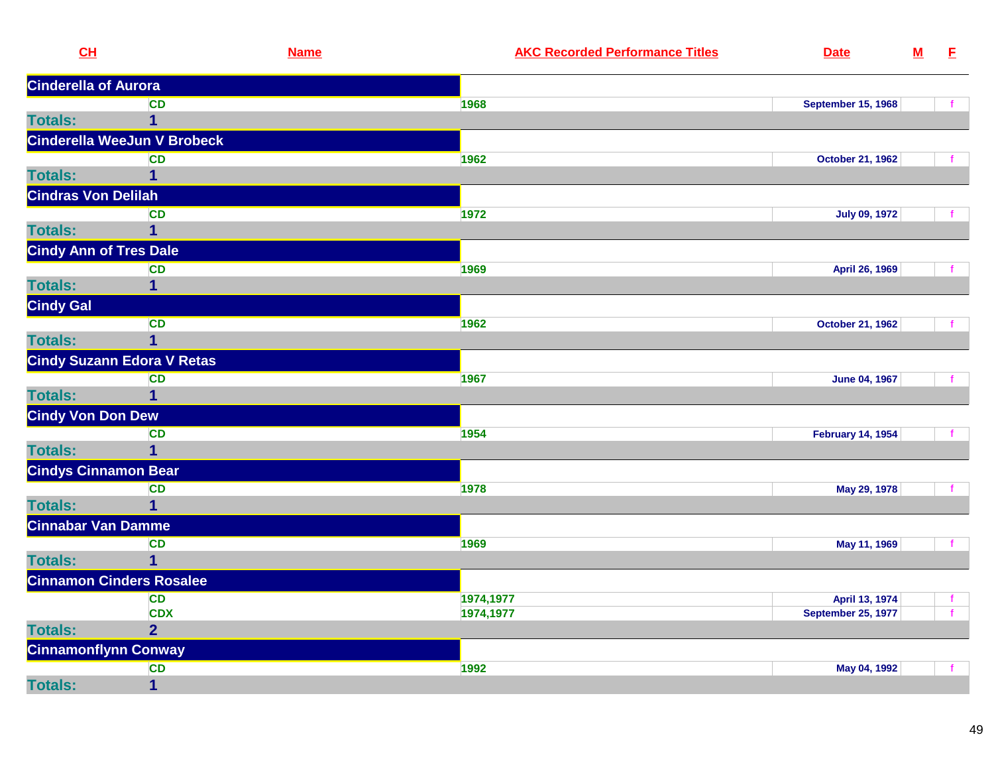| CL                              | <b>Name</b>                       | <b>AKC Recorded Performance Titles</b> | <b>Date</b>               | $\underline{\mathsf{M}}$ | E            |
|---------------------------------|-----------------------------------|----------------------------------------|---------------------------|--------------------------|--------------|
| <b>Cinderella of Aurora</b>     |                                   |                                        |                           |                          |              |
|                                 | <b>CD</b>                         | 1968                                   | <b>September 15, 1968</b> |                          |              |
| <b>Totals:</b>                  | $\mathbf 1$                       |                                        |                           |                          |              |
|                                 | Cinderella WeeJun V Brobeck       |                                        |                           |                          |              |
|                                 | <b>CD</b>                         | 1962                                   | <b>October 21, 1962</b>   |                          |              |
| <b>Totals:</b>                  | $\mathbf 1$                       |                                        |                           |                          |              |
| <b>Cindras Von Delilah</b>      |                                   |                                        |                           |                          |              |
|                                 | <b>CD</b>                         | 1972                                   | <b>July 09, 1972</b>      |                          |              |
| <b>Totals:</b>                  | $\overline{\mathbf{1}}$           |                                        |                           |                          |              |
| <b>Cindy Ann of Tres Dale</b>   |                                   |                                        |                           |                          |              |
|                                 | <b>CD</b>                         | 1969                                   | April 26, 1969            |                          |              |
| <b>Totals:</b>                  | 1                                 |                                        |                           |                          |              |
| <b>Cindy Gal</b>                |                                   |                                        |                           |                          |              |
|                                 | <b>CD</b>                         | 1962                                   | <b>October 21, 1962</b>   |                          |              |
| <b>Totals:</b>                  | $\mathbf 1$                       |                                        |                           |                          |              |
|                                 | <b>Cindy Suzann Edora V Retas</b> |                                        |                           |                          |              |
|                                 | <b>CD</b>                         | 1967                                   | <b>June 04, 1967</b>      |                          |              |
| <b>Totals:</b>                  | 1                                 |                                        |                           |                          |              |
| <b>Cindy Von Don Dew</b>        |                                   |                                        |                           |                          |              |
|                                 | <b>CD</b>                         | 1954                                   | <b>February 14, 1954</b>  |                          | $\mathbf{f}$ |
| <b>Totals:</b>                  | 1                                 |                                        |                           |                          |              |
| <b>Cindys Cinnamon Bear</b>     |                                   |                                        |                           |                          |              |
|                                 | <b>CD</b>                         | 1978                                   | May 29, 1978              |                          | $\mathbf{f}$ |
| <b>Totals:</b>                  | $\mathbf{1}$                      |                                        |                           |                          |              |
| <b>Cinnabar Van Damme</b>       |                                   |                                        |                           |                          |              |
|                                 | <b>CD</b>                         | 1969                                   | May 11, 1969              |                          | f.           |
| <b>Totals:</b>                  | $\mathbf 1$                       |                                        |                           |                          |              |
| <b>Cinnamon Cinders Rosalee</b> |                                   |                                        |                           |                          |              |
|                                 | <b>CD</b>                         | 1974,1977                              | April 13, 1974            |                          | $\mathbf{f}$ |
|                                 | <b>CDX</b>                        | 1974,1977                              | <b>September 25, 1977</b> |                          | f.           |
| <b>Totals:</b>                  | $\overline{2}$                    |                                        |                           |                          |              |
| <b>Cinnamonflynn Conway</b>     |                                   |                                        |                           |                          |              |
|                                 | <b>CD</b>                         | 1992                                   | May 04, 1992              |                          |              |
| <b>Totals:</b>                  | $\overline{\mathbf{1}}$           |                                        |                           |                          |              |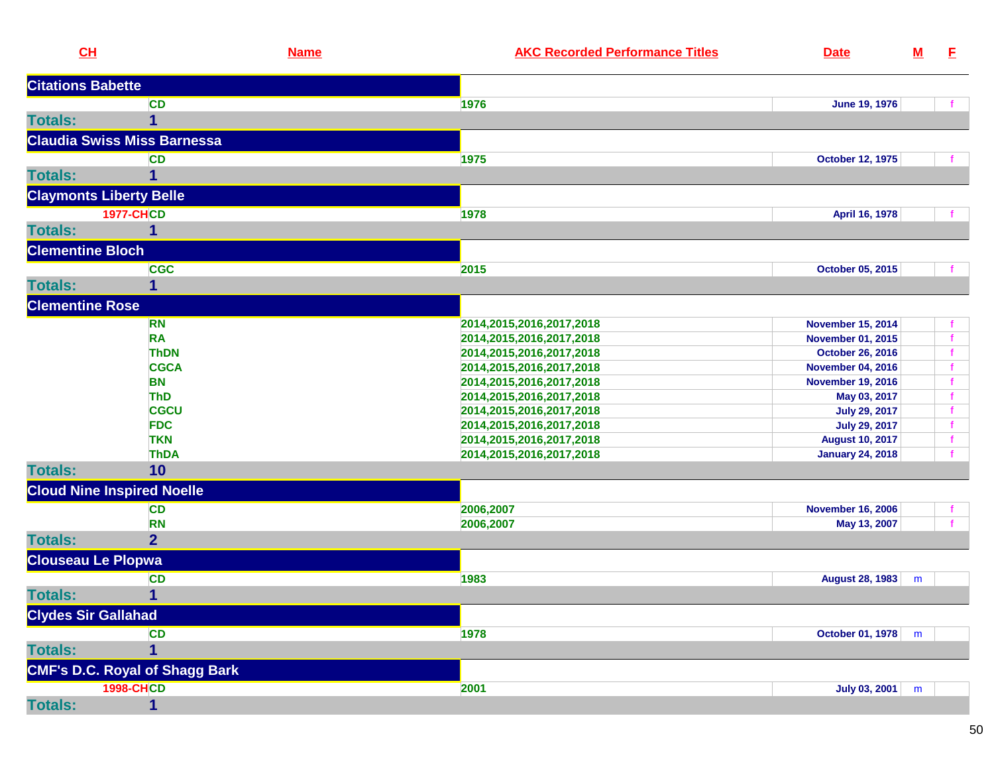| CL                         |                                       | <b>Name</b> | <b>AKC Recorded Performance Titles</b> | <b>Date</b>                                       | $\underline{\mathsf{M}}$ | E            |
|----------------------------|---------------------------------------|-------------|----------------------------------------|---------------------------------------------------|--------------------------|--------------|
| <b>Citations Babette</b>   |                                       |             |                                        |                                                   |                          |              |
|                            | <b>CD</b>                             |             | 1976                                   | June 19, 1976                                     |                          |              |
| <b>Totals:</b>             | $\mathbf{1}$                          |             |                                        |                                                   |                          |              |
|                            | <b>Claudia Swiss Miss Barnessa</b>    |             |                                        |                                                   |                          |              |
|                            | <b>CD</b>                             |             | 1975                                   | <b>October 12, 1975</b>                           |                          | - f          |
| <b>Totals:</b>             | 1                                     |             |                                        |                                                   |                          |              |
|                            | <b>Claymonts Liberty Belle</b>        |             |                                        |                                                   |                          |              |
|                            | <b>1977-CHCD</b>                      |             | 1978                                   | April 16, 1978                                    |                          | $\mathbf{f}$ |
| <b>Totals:</b>             | 1                                     |             |                                        |                                                   |                          |              |
| <b>Clementine Bloch</b>    |                                       |             |                                        |                                                   |                          |              |
|                            | <b>CGC</b>                            |             | 2015                                   | October 05, 2015                                  |                          |              |
| <b>Totals:</b>             | 1                                     |             |                                        |                                                   |                          |              |
| <b>Clementine Rose</b>     |                                       |             |                                        |                                                   |                          |              |
|                            | <b>RN</b>                             |             | 2014, 2015, 2016, 2017, 2018           | <b>November 15, 2014</b>                          |                          | f.           |
|                            | <b>RA</b>                             |             | 2014, 2015, 2016, 2017, 2018           | <b>November 01, 2015</b>                          |                          | $\mathbf{f}$ |
|                            | <b>ThDN</b>                           |             | 2014, 2015, 2016, 2017, 2018           | October 26, 2016                                  |                          | $\mathbf f$  |
|                            | <b>CGCA</b>                           |             | 2014, 2015, 2016, 2017, 2018           | <b>November 04, 2016</b>                          |                          | $\mathbf{f}$ |
|                            | <b>BN</b>                             |             | 2014, 2015, 2016, 2017, 2018           | <b>November 19, 2016</b>                          |                          | $\mathbf{f}$ |
|                            | <b>ThD</b>                            |             | 2014, 2015, 2016, 2017, 2018           | May 03, 2017                                      |                          | $\mathbf{f}$ |
|                            | <b>CGCU</b>                           |             | 2014, 2015, 2016, 2017, 2018           | <b>July 29, 2017</b>                              |                          | $\mathbf{f}$ |
|                            | <b>FDC</b>                            |             | 2014, 2015, 2016, 2017, 2018           | <b>July 29, 2017</b>                              |                          | $\mathbf{f}$ |
|                            | <b>TKN</b>                            |             |                                        |                                                   |                          | $\mathbf{f}$ |
|                            | <b>ThDA</b>                           |             | 2014, 2015, 2016, 2017, 2018           | <b>August 10, 2017</b><br><b>January 24, 2018</b> |                          | $\mathbf f$  |
| <b>Totals:</b>             | 10                                    |             | 2014, 2015, 2016, 2017, 2018           |                                                   |                          |              |
|                            | <b>Cloud Nine Inspired Noelle</b>     |             |                                        |                                                   |                          |              |
|                            | <b>CD</b>                             |             | 2006,2007                              | <b>November 16, 2006</b>                          |                          | f.           |
|                            | <b>RN</b>                             |             | 2006,2007                              | May 13, 2007                                      |                          | f            |
| <b>Totals:</b>             | $\overline{2}$                        |             |                                        |                                                   |                          |              |
| <b>Clouseau Le Plopwa</b>  |                                       |             |                                        |                                                   |                          |              |
|                            | <b>CD</b>                             |             | 1983                                   | <b>August 28, 1983</b>                            | m                        |              |
| <b>Totals:</b>             | $\mathbf{1}$                          |             |                                        |                                                   |                          |              |
| <b>Clydes Sir Gallahad</b> |                                       |             |                                        |                                                   |                          |              |
|                            | <b>CD</b>                             |             | 1978                                   | <b>October 01, 1978</b>                           | m                        |              |
| <b>Totals:</b>             | $\mathbf{1}$                          |             |                                        |                                                   |                          |              |
|                            | <b>CMF's D.C. Royal of Shagg Bark</b> |             |                                        |                                                   |                          |              |
|                            | <b>1998-CHCD</b>                      |             | 2001                                   | July 03, 2001                                     | m                        |              |
| <b>Totals:</b>             | 1                                     |             |                                        |                                                   |                          |              |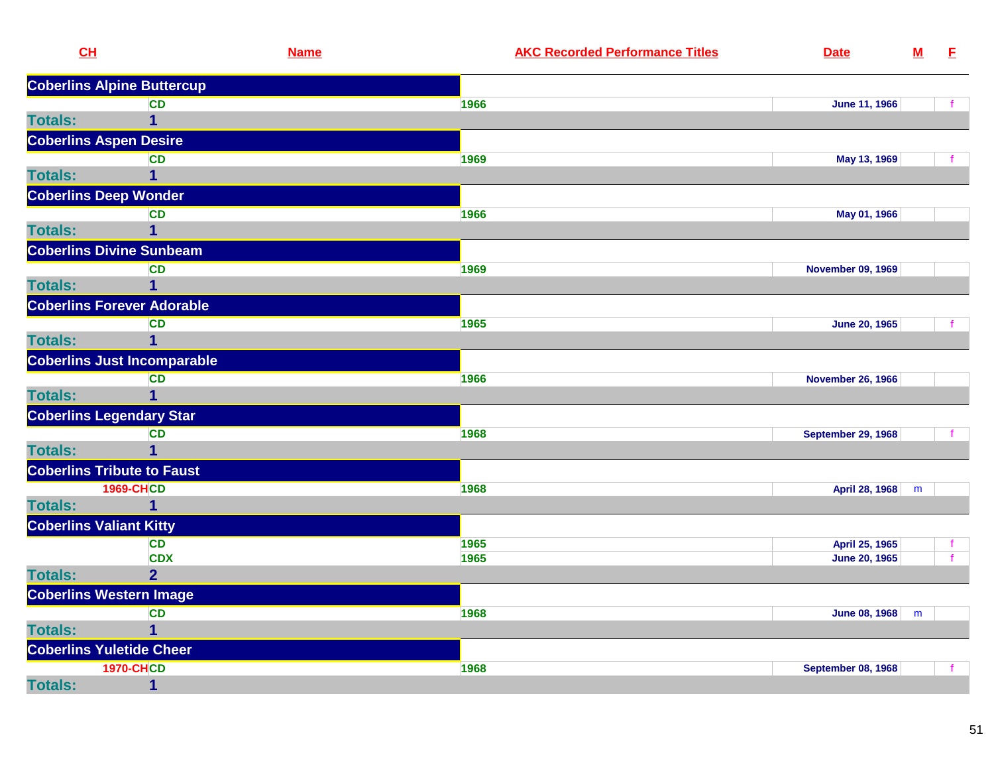| CL                              |                                    | <b>Name</b> | <b>AKC Recorded Performance Titles</b> | <b>Date</b>               | $\underline{\mathsf{M}}$ | E |
|---------------------------------|------------------------------------|-------------|----------------------------------------|---------------------------|--------------------------|---|
|                                 | <b>Coberlins Alpine Buttercup</b>  |             |                                        |                           |                          |   |
|                                 | <b>CD</b>                          |             | 1966                                   | <b>June 11, 1966</b>      |                          | f |
| <b>Totals:</b>                  | $\mathbf 1$                        |             |                                        |                           |                          |   |
| <b>Coberlins Aspen Desire</b>   |                                    |             |                                        |                           |                          |   |
|                                 | <b>CD</b>                          |             | 1969                                   | May 13, 1969              |                          |   |
| <b>Totals:</b>                  | $\mathbf 1$                        |             |                                        |                           |                          |   |
| <b>Coberlins Deep Wonder</b>    |                                    |             |                                        |                           |                          |   |
|                                 | <b>CD</b>                          |             | 1966                                   | May 01, 1966              |                          |   |
| <b>Totals:</b>                  | 1                                  |             |                                        |                           |                          |   |
|                                 | <b>Coberlins Divine Sunbeam</b>    |             |                                        |                           |                          |   |
|                                 | <b>CD</b>                          |             | 1969                                   | <b>November 09, 1969</b>  |                          |   |
| <b>Totals:</b>                  | 1                                  |             |                                        |                           |                          |   |
|                                 | <b>Coberlins Forever Adorable</b>  |             |                                        |                           |                          |   |
|                                 | <b>CD</b>                          |             | 1965                                   | <b>June 20, 1965</b>      |                          |   |
| <b>Totals:</b>                  | $\mathbf 1$                        |             |                                        |                           |                          |   |
|                                 | <b>Coberlins Just Incomparable</b> |             |                                        |                           |                          |   |
|                                 | <b>CD</b>                          |             | 1966                                   | <b>November 26, 1966</b>  |                          |   |
| <b>Totals:</b>                  | $\overline{1}$                     |             |                                        |                           |                          |   |
|                                 | <b>Coberlins Legendary Star</b>    |             |                                        |                           |                          |   |
|                                 | <b>CD</b>                          |             | 1968                                   | <b>September 29, 1968</b> |                          |   |
| <b>Totals:</b>                  | $\overline{1}$                     |             |                                        |                           |                          |   |
|                                 | <b>Coberlins Tribute to Faust</b>  |             |                                        |                           |                          |   |
|                                 | <b>1969-CHCD</b>                   |             | 1968                                   | April 28, 1968            | m                        |   |
| <b>Totals:</b>                  | 1                                  |             |                                        |                           |                          |   |
| <b>Coberlins Valiant Kitty</b>  |                                    |             |                                        |                           |                          |   |
|                                 | <b>CD</b>                          |             | 1965                                   | April 25, 1965            |                          |   |
|                                 | <b>CDX</b>                         |             | 1965                                   | <b>June 20, 1965</b>      |                          | f |
| <b>Totals:</b>                  | $\overline{2}$                     |             |                                        |                           |                          |   |
| <b>Coberlins Western Image</b>  |                                    |             |                                        |                           |                          |   |
|                                 | <b>CD</b>                          |             | 1968                                   | June 08, 1968             | m                        |   |
| <b>Totals:</b>                  | $\mathbf{1}$                       |             |                                        |                           |                          |   |
| <b>Coberlins Yuletide Cheer</b> |                                    |             |                                        |                           |                          |   |
|                                 | <b>1970-CHCD</b>                   |             | 1968                                   | <b>September 08, 1968</b> |                          | f |
| <b>Totals:</b>                  | $\mathbf{1}$                       |             |                                        |                           |                          |   |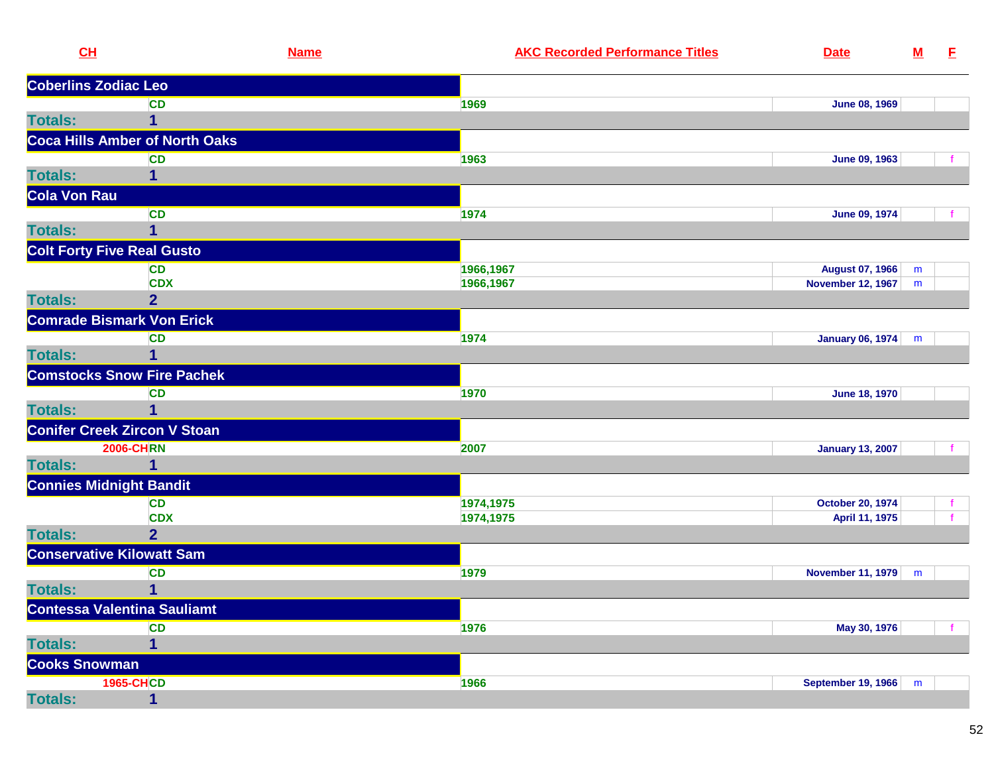| CL                                | <b>Name</b>                           | <b>AKC Recorded Performance Titles</b> | <b>Date</b>               | ${\bf M}$ | E |
|-----------------------------------|---------------------------------------|----------------------------------------|---------------------------|-----------|---|
| <b>Coberlins Zodiac Leo</b>       |                                       |                                        |                           |           |   |
|                                   | <b>CD</b>                             | 1969                                   | <b>June 08, 1969</b>      |           |   |
| <b>Totals:</b>                    | 1                                     |                                        |                           |           |   |
|                                   | <b>Coca Hills Amber of North Oaks</b> |                                        |                           |           |   |
|                                   | <b>CD</b>                             | 1963                                   | June 09, 1963             |           |   |
| <b>Totals:</b>                    |                                       |                                        |                           |           |   |
| Cola Von Rau                      |                                       |                                        |                           |           |   |
|                                   | <b>CD</b>                             | 1974                                   | June 09, 1974             |           |   |
| <b>Totals:</b>                    | 1                                     |                                        |                           |           |   |
| <b>Colt Forty Five Real Gusto</b> |                                       |                                        |                           |           |   |
|                                   | <b>CD</b>                             | 1966,1967                              | August 07, 1966           | m         |   |
|                                   | <b>CDX</b>                            | 1966,1967                              | <b>November 12, 1967</b>  | m         |   |
| <b>Totals:</b>                    | $\overline{2}$                        |                                        |                           |           |   |
|                                   | <b>Comrade Bismark Von Erick</b>      |                                        |                           |           |   |
|                                   | <b>CD</b>                             | 1974                                   | January 06, 1974          | m         |   |
| <b>Totals:</b>                    |                                       |                                        |                           |           |   |
|                                   | <b>Comstocks Snow Fire Pachek</b>     |                                        |                           |           |   |
|                                   | <b>CD</b>                             | 1970                                   | <b>June 18, 1970</b>      |           |   |
| <b>Totals:</b>                    | 1                                     |                                        |                           |           |   |
|                                   | <b>Conifer Creek Zircon V Stoan</b>   |                                        |                           |           |   |
|                                   | <b>2006-CHRN</b>                      | 2007                                   | <b>January 13, 2007</b>   |           |   |
| <b>Totals:</b>                    | 1                                     |                                        |                           |           |   |
| <b>Connies Midnight Bandit</b>    |                                       |                                        |                           |           |   |
|                                   | <b>CD</b>                             | 1974,1975                              | <b>October 20, 1974</b>   |           |   |
|                                   | <b>CDX</b>                            | 1974,1975                              | April 11, 1975            |           |   |
| <b>Totals:</b>                    | $\overline{2}$                        |                                        |                           |           |   |
| <b>Conservative Kilowatt Sam</b>  |                                       |                                        |                           |           |   |
|                                   | <b>CD</b>                             | 1979                                   | <b>November 11, 1979</b>  | m         |   |
| <b>Totals:</b>                    | 1                                     |                                        |                           |           |   |
|                                   | <b>Contessa Valentina Sauliamt</b>    |                                        |                           |           |   |
|                                   | <b>CD</b>                             | 1976                                   | May 30, 1976              |           |   |
| <b>Totals:</b>                    | 1                                     |                                        |                           |           |   |
| <b>Cooks Snowman</b>              |                                       |                                        |                           |           |   |
|                                   | <b>1965-CHCD</b>                      | 1966                                   | <b>September 19, 1966</b> | m         |   |
| <b>Totals:</b>                    | 1                                     |                                        |                           |           |   |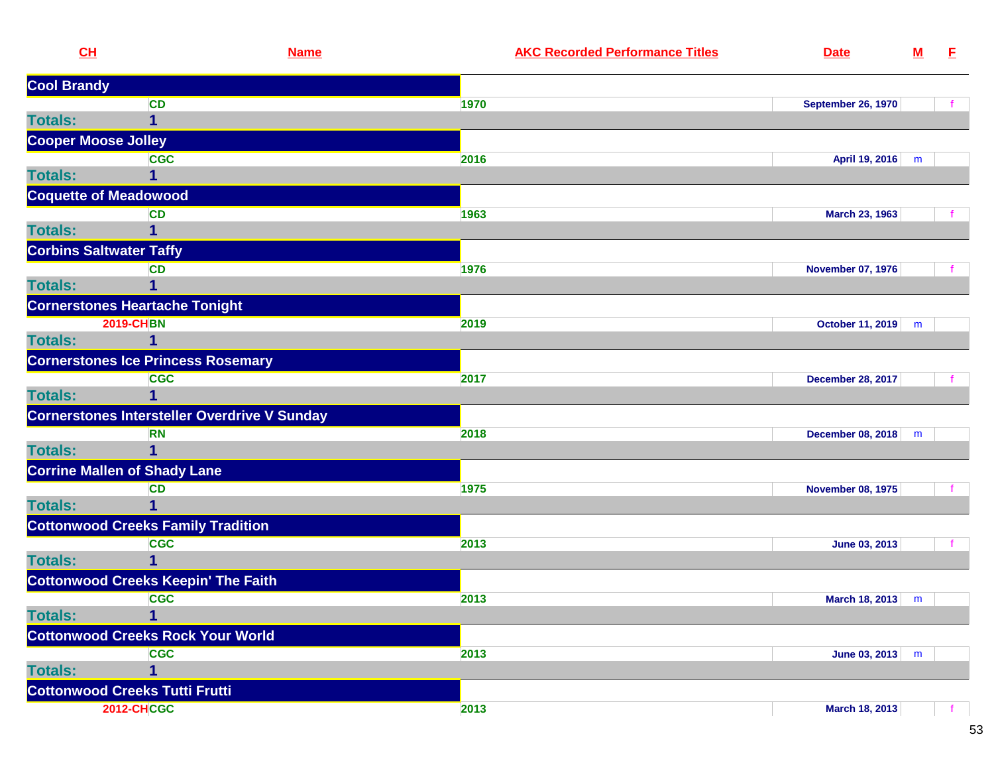| CL                         | <b>Name</b>                                         |      | <b>AKC Recorded Performance Titles</b> | <b>Date</b>               | ${\bf M}$ | E. |
|----------------------------|-----------------------------------------------------|------|----------------------------------------|---------------------------|-----------|----|
| <b>Cool Brandy</b>         |                                                     |      |                                        |                           |           |    |
|                            | <b>CD</b>                                           | 1970 |                                        | <b>September 26, 1970</b> |           |    |
| <b>Totals:</b>             | 1                                                   |      |                                        |                           |           |    |
| <b>Cooper Moose Jolley</b> |                                                     |      |                                        |                           |           |    |
|                            | <b>CGC</b>                                          | 2016 |                                        | April 19, 2016            | m         |    |
| <b>Totals:</b>             |                                                     |      |                                        |                           |           |    |
|                            | <b>Coquette of Meadowood</b>                        |      |                                        |                           |           |    |
|                            | <b>CD</b>                                           | 1963 |                                        | March 23, 1963            |           |    |
| <b>Totals:</b>             | 1                                                   |      |                                        |                           |           |    |
|                            | <b>Corbins Saltwater Taffy</b>                      |      |                                        |                           |           |    |
|                            | <b>CD</b>                                           | 1976 |                                        | <b>November 07, 1976</b>  |           |    |
| <b>Totals:</b>             |                                                     |      |                                        |                           |           |    |
|                            | <b>Cornerstones Heartache Tonight</b>               |      |                                        |                           |           |    |
|                            | <b>2019-CHBN</b>                                    | 2019 |                                        | October 11, 2019          | m         |    |
| <b>Totals:</b>             | 1                                                   |      |                                        |                           |           |    |
|                            | <b>Cornerstones Ice Princess Rosemary</b>           |      |                                        |                           |           |    |
|                            | <b>CGC</b>                                          | 2017 |                                        | <b>December 28, 2017</b>  |           |    |
| <b>Totals:</b>             | 1                                                   |      |                                        |                           |           |    |
|                            | <b>Cornerstones Intersteller Overdrive V Sunday</b> |      |                                        |                           |           |    |
|                            | <b>RN</b>                                           | 2018 |                                        | December 08, 2018         | m         |    |
| <b>Totals:</b>             |                                                     |      |                                        |                           |           |    |
|                            | <b>Corrine Mallen of Shady Lane</b>                 |      |                                        |                           |           |    |
|                            | <b>CD</b>                                           | 1975 |                                        | <b>November 08, 1975</b>  |           |    |
| <b>Totals:</b>             | 1                                                   |      |                                        |                           |           |    |
|                            | <b>Cottonwood Creeks Family Tradition</b>           |      |                                        |                           |           |    |
|                            | <b>CGC</b>                                          | 2013 |                                        | June 03, 2013             |           |    |
| <b>Totals:</b>             |                                                     |      |                                        |                           |           |    |
|                            | <b>Cottonwood Creeks Keepin' The Faith</b>          |      |                                        |                           |           |    |
|                            | <b>CGC</b>                                          | 2013 |                                        | March 18, 2013            | m         |    |
| <b>Totals:</b>             | 1                                                   |      |                                        |                           |           |    |
|                            | <b>Cottonwood Creeks Rock Your World</b>            |      |                                        |                           |           |    |
|                            | <b>CGC</b>                                          | 2013 |                                        | June 03, 2013             | m         |    |
| <b>Totals:</b>             | 1                                                   |      |                                        |                           |           |    |
|                            | <b>Cottonwood Creeks Tutti Frutti</b>               |      |                                        |                           |           |    |
|                            | <b>2012-CHCGC</b>                                   | 2013 |                                        | March 18, 2013            |           |    |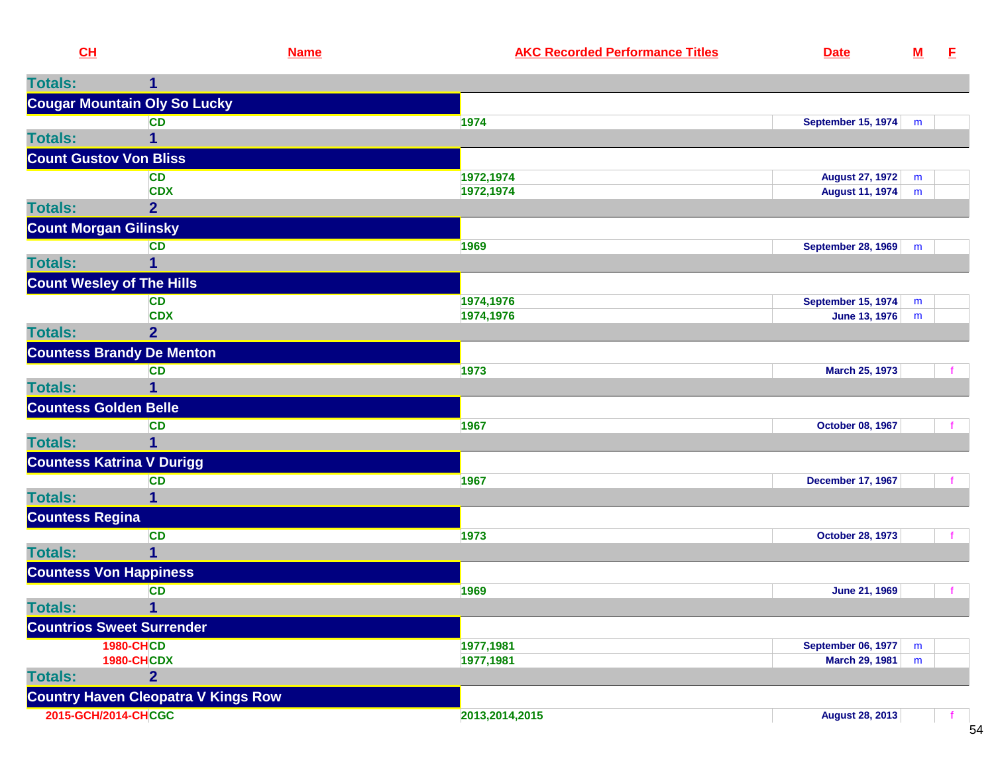| CL                            |                                            | <b>Name</b> | <b>AKC Recorded Performance Titles</b> | <b>Date</b>               | $M$    | $\mathbf{E}$ |
|-------------------------------|--------------------------------------------|-------------|----------------------------------------|---------------------------|--------|--------------|
| <b>Totals:</b>                | 1                                          |             |                                        |                           |        |              |
|                               | <b>Cougar Mountain Oly So Lucky</b>        |             |                                        |                           |        |              |
|                               | <b>CD</b>                                  |             | 1974                                   | <b>September 15, 1974</b> | m      |              |
| <b>Totals:</b>                | 1                                          |             |                                        |                           |        |              |
| <b>Count Gustov Von Bliss</b> |                                            |             |                                        |                           |        |              |
|                               | <b>CD</b>                                  |             | 1972,1974                              | <b>August 27, 1972</b>    | m      |              |
|                               | <b>CDX</b>                                 |             | 1972,1974                              | <b>August 11, 1974</b>    | m      |              |
| <b>Totals:</b>                | $\overline{2}$                             |             |                                        |                           |        |              |
| <b>Count Morgan Gilinsky</b>  |                                            |             |                                        |                           |        |              |
|                               | <b>CD</b>                                  |             | 1969                                   | September 28, 1969        | m      |              |
| <b>Totals:</b>                | 1                                          |             |                                        |                           |        |              |
|                               | <b>Count Wesley of The Hills</b>           |             |                                        |                           |        |              |
|                               | <b>CD</b><br><b>CDX</b>                    |             | 1974,1976<br>1974,1976                 | <b>September 15, 1974</b> | m<br>m |              |
| <b>Totals:</b>                | $\overline{2}$                             |             |                                        | June 13, 1976             |        |              |
|                               | <b>Countess Brandy De Menton</b>           |             |                                        |                           |        |              |
|                               | <b>CD</b>                                  |             | 1973                                   | March 25, 1973            |        |              |
| <b>Totals:</b>                | 1                                          |             |                                        |                           |        |              |
| <b>Countess Golden Belle</b>  |                                            |             |                                        |                           |        |              |
|                               | <b>CD</b>                                  |             | 1967                                   | October 08, 1967          |        |              |
| <b>Totals:</b>                |                                            |             |                                        |                           |        |              |
|                               | <b>Countess Katrina V Durigg</b>           |             |                                        |                           |        |              |
|                               | <b>CD</b>                                  |             | 1967                                   | <b>December 17, 1967</b>  |        |              |
| <b>Totals:</b>                | 1                                          |             |                                        |                           |        |              |
| <b>Countess Regina</b>        |                                            |             |                                        |                           |        |              |
|                               | <b>CD</b>                                  |             | 1973                                   | <b>October 28, 1973</b>   |        | f.           |
| <b>Totals:</b>                | 1                                          |             |                                        |                           |        |              |
| <b>Countess Von Happiness</b> |                                            |             |                                        |                           |        |              |
|                               | <b>CD</b>                                  |             | 1969                                   | <b>June 21, 1969</b>      |        | $\mathbf{f}$ |
| <b>Totals:</b>                | $\mathbf{1}$                               |             |                                        |                           |        |              |
|                               | <b>Countrios Sweet Surrender</b>           |             |                                        |                           |        |              |
|                               | <b>1980-CHCD</b>                           |             | 1977,1981                              | <b>September 06, 1977</b> | m      |              |
|                               | <b>1980-CHCDX</b>                          |             | 1977,1981                              | <b>March 29, 1981</b>     | m      |              |
| <b>Totals:</b>                | $\overline{2}$                             |             |                                        |                           |        |              |
|                               | <b>Country Haven Cleopatra V Kings Row</b> |             |                                        |                           |        |              |
| 2015-GCH/2014-CHCGC           |                                            |             | 2013,2014,2015                         | <b>August 28, 2013</b>    |        |              |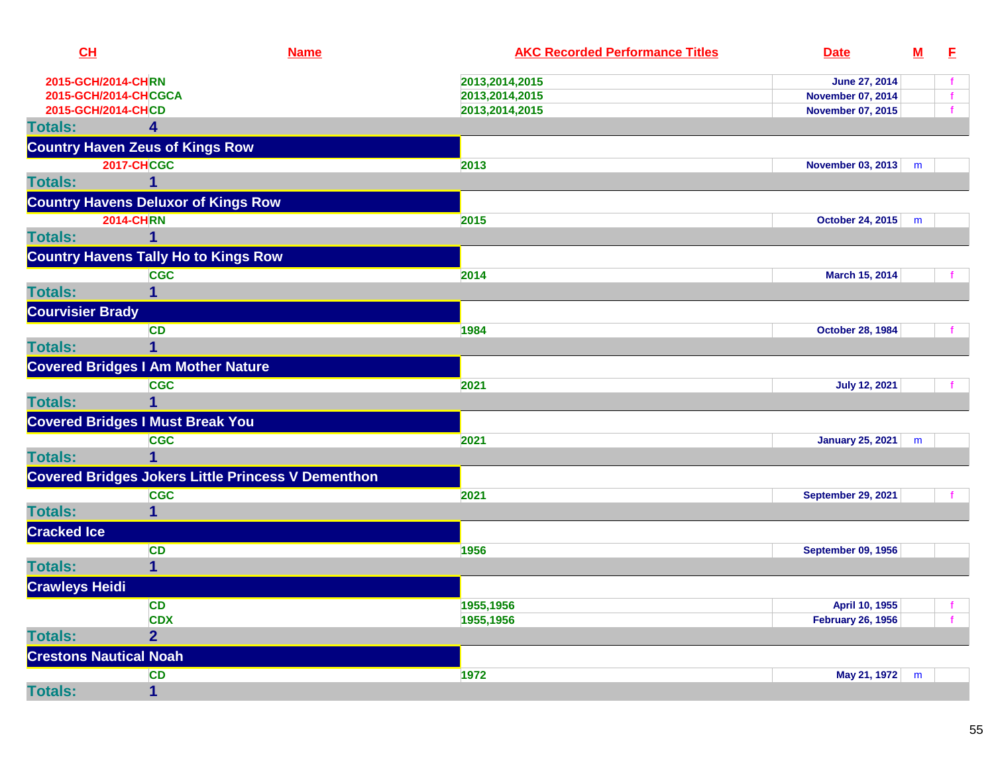| CH                            | <b>Name</b>                                               | <b>AKC Recorded Performance Titles</b> | <b>Date</b>               | $\underline{\mathbf{M}}$ | E |
|-------------------------------|-----------------------------------------------------------|----------------------------------------|---------------------------|--------------------------|---|
| 2015-GCH/2014-CHRN            |                                                           | 2013,2014,2015                         | June 27, 2014             |                          |   |
|                               | 2015-GCH/2014-CHCGCA                                      | 2013,2014,2015                         | <b>November 07, 2014</b>  |                          |   |
| 2015-GCH/2014-CHCD            |                                                           | 2013,2014,2015                         | <b>November 07, 2015</b>  |                          |   |
| <b>Totals:</b>                | 4                                                         |                                        |                           |                          |   |
|                               | <b>Country Haven Zeus of Kings Row</b>                    |                                        |                           |                          |   |
|                               | <b>2017-CHCGC</b>                                         | 2013                                   | <b>November 03, 2013</b>  | m                        |   |
| <b>Totals:</b>                | 1                                                         |                                        |                           |                          |   |
|                               | <b>Country Havens Deluxor of Kings Row</b>                |                                        |                           |                          |   |
|                               | <b>2014-CHRN</b>                                          | 2015                                   | <b>October 24, 2015</b>   | m                        |   |
| <b>Totals:</b>                | 1                                                         |                                        |                           |                          |   |
|                               | <b>Country Havens Tally Ho to Kings Row</b>               |                                        |                           |                          |   |
|                               | <b>CGC</b>                                                | 2014                                   | March 15, 2014            |                          |   |
| <b>Totals:</b>                | 1                                                         |                                        |                           |                          |   |
| <b>Courvisier Brady</b>       |                                                           |                                        |                           |                          |   |
|                               | <b>CD</b>                                                 | 1984                                   | <b>October 28, 1984</b>   |                          |   |
| <b>Totals:</b>                | 1                                                         |                                        |                           |                          |   |
|                               | <b>Covered Bridges I Am Mother Nature</b>                 |                                        |                           |                          |   |
|                               | <b>CGC</b>                                                | 2021                                   | <b>July 12, 2021</b>      |                          |   |
| <b>Totals:</b>                | 1                                                         |                                        |                           |                          |   |
|                               | <b>Covered Bridges I Must Break You</b>                   |                                        |                           |                          |   |
|                               | <b>CGC</b>                                                | 2021                                   | <b>January 25, 2021</b>   | m                        |   |
| <b>Totals:</b>                |                                                           |                                        |                           |                          |   |
|                               | <b>Covered Bridges Jokers Little Princess V Dementhon</b> |                                        |                           |                          |   |
|                               | <b>CGC</b>                                                | 2021                                   | <b>September 29, 2021</b> |                          |   |
| <b>Totals:</b>                | $\overline{1}$                                            |                                        |                           |                          |   |
| <b>Cracked Ice</b>            |                                                           |                                        |                           |                          |   |
|                               | <b>CD</b>                                                 | 1956                                   | September 09, 1956        |                          |   |
| <b>Totals:</b>                | $\mathbf 1$                                               |                                        |                           |                          |   |
| <b>Crawleys Heidi</b>         |                                                           |                                        |                           |                          |   |
|                               | <b>CD</b>                                                 | 1955,1956                              | April 10, 1955            |                          | f |
|                               | <b>CDX</b>                                                | 1955,1956                              | <b>February 26, 1956</b>  |                          |   |
| <b>Totals:</b>                | $\overline{2}$                                            |                                        |                           |                          |   |
| <b>Crestons Nautical Noah</b> |                                                           |                                        |                           |                          |   |
|                               | <b>CD</b>                                                 | 1972                                   | May 21, 1972              | m                        |   |
| <b>Totals:</b>                | $\mathbf{1}$                                              |                                        |                           |                          |   |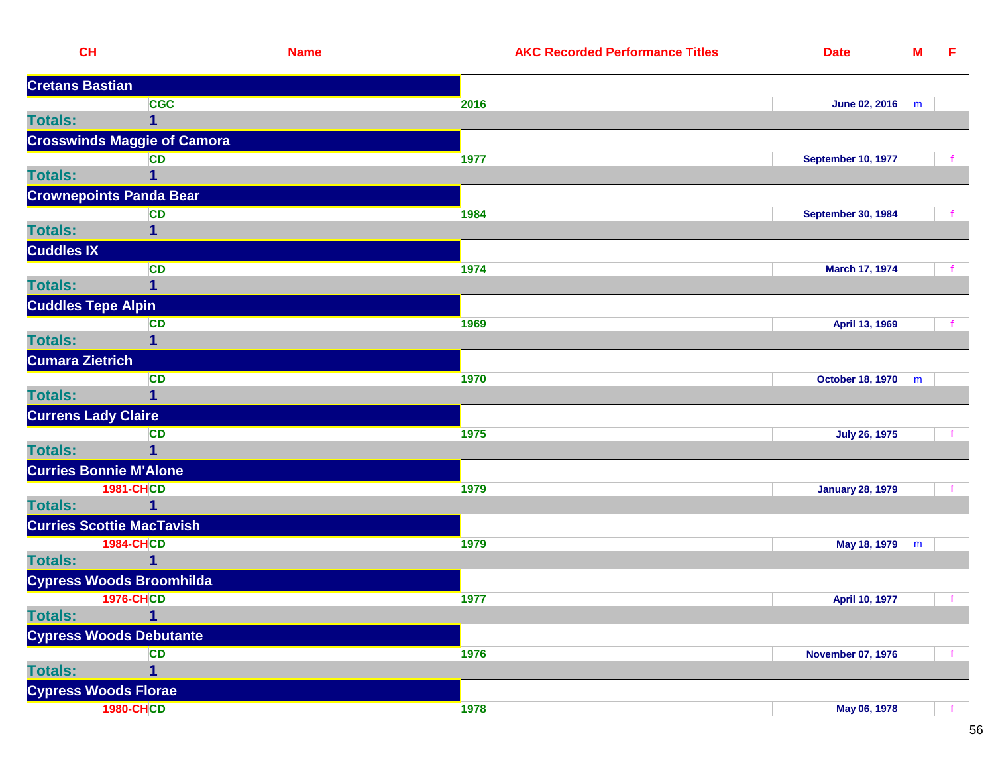|                        | CL                                 | <b>Name</b> | <b>AKC Recorded Performance Titles</b> | <b>Date</b>               | ${\bf M}$ | E. |
|------------------------|------------------------------------|-------------|----------------------------------------|---------------------------|-----------|----|
| <b>Cretans Bastian</b> |                                    |             |                                        |                           |           |    |
|                        | <b>CGC</b>                         |             | 2016                                   | June 02, 2016             | m         |    |
| <b>Totals:</b>         | $\mathbf{1}$                       |             |                                        |                           |           |    |
|                        | <b>Crosswinds Maggie of Camora</b> |             |                                        |                           |           |    |
|                        | <b>CD</b>                          |             | 1977                                   | <b>September 10, 1977</b> |           |    |
| <b>Totals:</b>         | 1                                  |             |                                        |                           |           |    |
|                        | <b>Crownepoints Panda Bear</b>     |             |                                        |                           |           |    |
|                        | <b>CD</b>                          |             | 1984                                   | <b>September 30, 1984</b> |           |    |
| <b>Totals:</b>         | 1                                  |             |                                        |                           |           |    |
| <b>Cuddles IX</b>      |                                    |             |                                        |                           |           |    |
|                        | <b>CD</b>                          |             | 1974                                   | March 17, 1974            |           |    |
| <b>Totals:</b>         | 1                                  |             |                                        |                           |           |    |
|                        | <b>Cuddles Tepe Alpin</b>          |             |                                        |                           |           |    |
|                        | <b>CD</b>                          |             | 1969                                   | April 13, 1969            |           |    |
| <b>Totals:</b>         | 1                                  |             |                                        |                           |           |    |
| <b>Cumara Zietrich</b> |                                    |             |                                        |                           |           |    |
|                        | <b>CD</b>                          |             | 1970                                   | October 18, 1970          | m         |    |
| <b>Totals:</b>         | 1                                  |             |                                        |                           |           |    |
|                        | <b>Currens Lady Claire</b>         |             |                                        |                           |           |    |
|                        | <b>CD</b>                          |             | 1975                                   | <b>July 26, 1975</b>      |           |    |
| <b>Totals:</b>         | 1                                  |             |                                        |                           |           |    |
|                        | <b>Curries Bonnie M'Alone</b>      |             |                                        |                           |           |    |
|                        | <b>1981-CHCD</b>                   |             | 1979                                   | <b>January 28, 1979</b>   |           |    |
| <b>Totals:</b>         | $\mathbf{1}$                       |             |                                        |                           |           |    |
|                        | <b>Curries Scottie MacTavish</b>   |             |                                        |                           |           |    |
|                        | <b>1984-CHCD</b>                   |             | 1979                                   | May 18, 1979              | m         |    |
| <b>Totals:</b>         | 1                                  |             |                                        |                           |           |    |
|                        | <b>Cypress Woods Broomhilda</b>    |             |                                        |                           |           |    |
|                        | <b>1976-CHCD</b>                   |             | 1977                                   | April 10, 1977            |           | f  |
| <b>Totals:</b>         | 1                                  |             |                                        |                           |           |    |
|                        | <b>Cypress Woods Debutante</b>     |             |                                        |                           |           |    |
|                        | <b>CD</b>                          |             | 1976                                   | <b>November 07, 1976</b>  |           |    |
| <b>Totals:</b>         | 1                                  |             |                                        |                           |           |    |
|                        | <b>Cypress Woods Florae</b>        |             |                                        |                           |           |    |
|                        | <b>1980-CHCD</b>                   |             | 1978                                   | May 06, 1978              |           |    |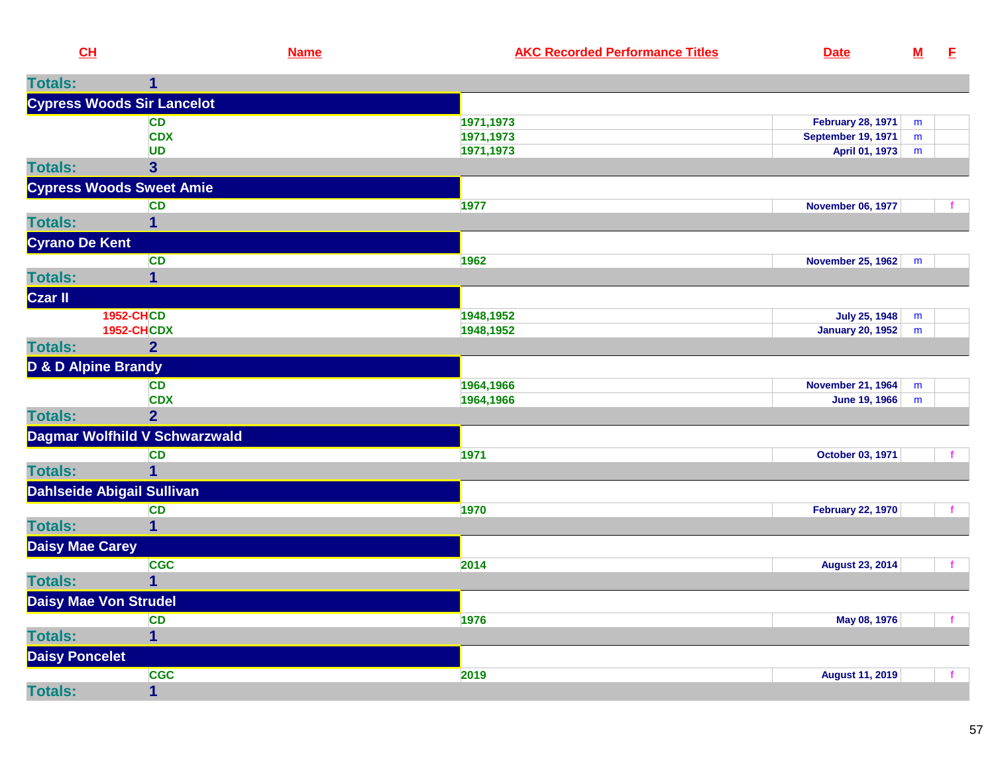| CH                             |                                   | <b>Name</b> | <b>AKC Recorded Performance Titles</b> | <b>Date</b>               | ${\bf M}$ | E            |
|--------------------------------|-----------------------------------|-------------|----------------------------------------|---------------------------|-----------|--------------|
| <b>Totals:</b>                 | 1                                 |             |                                        |                           |           |              |
|                                | <b>Cypress Woods Sir Lancelot</b> |             |                                        |                           |           |              |
|                                | <b>CD</b>                         |             | 1971,1973                              | <b>February 28, 1971</b>  | m         |              |
|                                | <b>CDX</b>                        |             | 1971,1973                              | <b>September 19, 1971</b> | m         |              |
|                                | <b>UD</b>                         |             | 1971,1973                              | April 01, 1973            | m         |              |
| <b>Totals:</b>                 | $\overline{\mathbf{3}}$           |             |                                        |                           |           |              |
|                                | <b>Cypress Woods Sweet Amie</b>   |             |                                        |                           |           |              |
|                                | <b>CD</b>                         |             | 1977                                   | <b>November 06, 1977</b>  |           |              |
| <b>Totals:</b>                 | 1                                 |             |                                        |                           |           |              |
| <b>Cyrano De Kent</b>          |                                   |             |                                        |                           |           |              |
|                                | <b>CD</b>                         |             | 1962                                   | <b>November 25, 1962</b>  | m         |              |
| <b>Totals:</b>                 |                                   |             |                                        |                           |           |              |
| Czar II                        |                                   |             |                                        |                           |           |              |
|                                | <b>1952-CHCD</b>                  |             | 1948,1952                              | <b>July 25, 1948</b>      | m         |              |
|                                | <b>1952-CHCDX</b>                 |             | 1948,1952                              | <b>January 20, 1952</b>   | m         |              |
| <b>Totals:</b>                 | $\overline{2}$                    |             |                                        |                           |           |              |
| <b>D &amp; D Alpine Brandy</b> |                                   |             |                                        |                           |           |              |
|                                | <b>CD</b>                         |             | 1964,1966                              | <b>November 21, 1964</b>  | m         |              |
|                                | <b>CDX</b>                        |             | 1964,1966                              | <b>June 19, 1966</b>      | m         |              |
| <b>Totals:</b>                 | 2 <sup>1</sup>                    |             |                                        |                           |           |              |
|                                | Dagmar Wolfhild V Schwarzwald     |             |                                        |                           |           |              |
|                                | <b>CD</b>                         |             | 1971                                   | October 03, 1971          |           |              |
| <b>Totals:</b>                 | $\overline{1}$                    |             |                                        |                           |           |              |
|                                | <b>Dahlseide Abigail Sullivan</b> |             |                                        |                           |           |              |
|                                | <b>CD</b>                         |             | 1970                                   | <b>February 22, 1970</b>  |           | $\mathbf{f}$ |
| <b>Totals:</b>                 | $\mathbf{1}$                      |             |                                        |                           |           |              |
| <b>Daisy Mae Carey</b>         |                                   |             |                                        |                           |           |              |
|                                | <b>CGC</b>                        |             | 2014                                   | <b>August 23, 2014</b>    |           | $\mathbf{f}$ |
| <b>Totals:</b>                 | 1                                 |             |                                        |                           |           |              |
|                                | <b>Daisy Mae Von Strudel</b>      |             |                                        |                           |           |              |

**<sup>1976</sup> May 08, 1976** <sup>f</sup>

**<sup>2019</sup> August 11, 2019** <sup>f</sup>

**CD**

**<sup>1</sup>**

**<sup>1</sup>**

**CGC**

**Totals:**

**Totals:**

**Daisy Poncelet**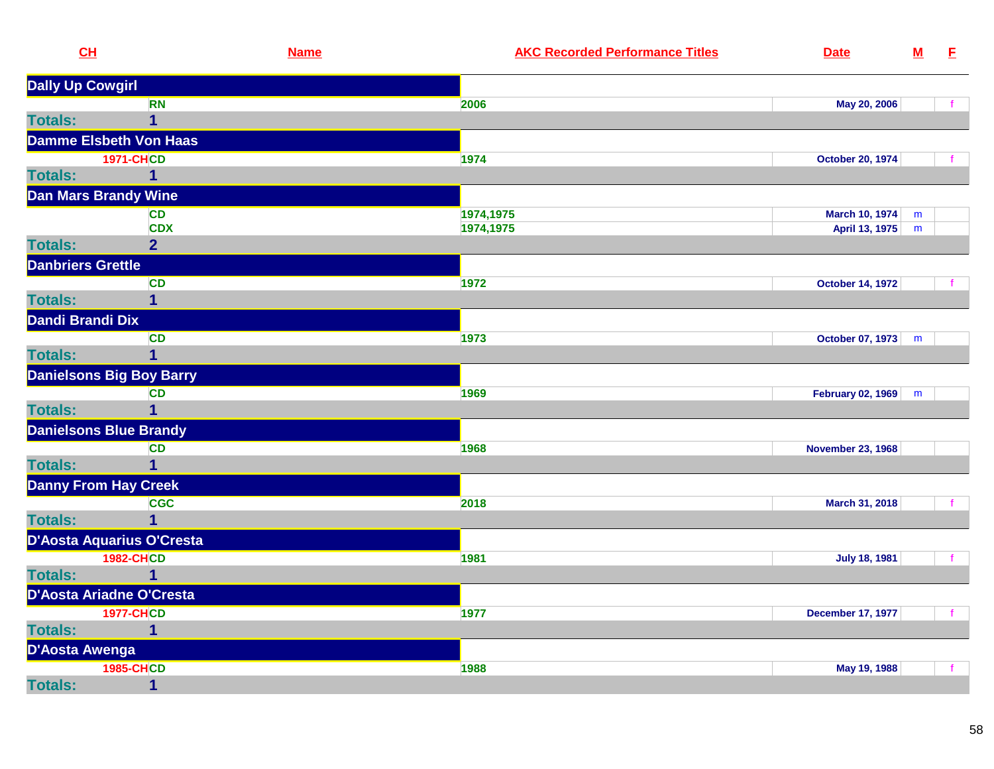| CL                       |                                 | <b>Name</b> | <b>AKC Recorded Performance Titles</b> | <b>Date</b>              | <u>M</u> | E            |
|--------------------------|---------------------------------|-------------|----------------------------------------|--------------------------|----------|--------------|
| <b>Dally Up Cowgirl</b>  |                                 |             |                                        |                          |          |              |
|                          | <b>RN</b>                       |             | 2006                                   | May 20, 2006             |          |              |
| <b>Totals:</b>           | $\mathbf 1$                     |             |                                        |                          |          |              |
|                          | <b>Damme Elsbeth Von Haas</b>   |             |                                        |                          |          |              |
|                          | <b>1971-CHCD</b>                |             | 1974                                   | <b>October 20, 1974</b>  |          |              |
| <b>Totals:</b>           | $\mathbf 1$                     |             |                                        |                          |          |              |
|                          | <b>Dan Mars Brandy Wine</b>     |             |                                        |                          |          |              |
|                          | <b>CD</b>                       |             | 1974,1975                              | March 10, 1974           | m        |              |
|                          | <b>CDX</b>                      |             | 1974,1975                              | April 13, 1975           | m        |              |
| <b>Totals:</b>           | 2 <sup>1</sup>                  |             |                                        |                          |          |              |
| <b>Danbriers Grettle</b> |                                 |             |                                        |                          |          |              |
|                          | <b>CD</b>                       |             | 1972                                   | <b>October 14, 1972</b>  |          |              |
| <b>Totals:</b>           | $\mathbf 1$                     |             |                                        |                          |          |              |
| Dandi Brandi Dix         |                                 |             |                                        |                          |          |              |
|                          | <b>CD</b>                       |             | 1973                                   | October 07, 1973         | m        |              |
| <b>Totals:</b>           | $\mathbf 1$                     |             |                                        |                          |          |              |
|                          | <b>Danielsons Big Boy Barry</b> |             |                                        |                          |          |              |
|                          | <b>CD</b>                       |             | 1969                                   | February 02, 1969        | m        |              |
| <b>Totals:</b>           | 1                               |             |                                        |                          |          |              |
|                          | <b>Danielsons Blue Brandy</b>   |             |                                        |                          |          |              |
|                          | <b>CD</b>                       |             | 1968                                   | <b>November 23, 1968</b> |          |              |
| <b>Totals:</b>           | $\mathbf 1$                     |             |                                        |                          |          |              |
|                          | <b>Danny From Hay Creek</b>     |             |                                        |                          |          |              |
|                          | <b>CGC</b>                      |             | 2018                                   | March 31, 2018           |          |              |
| <b>Totals:</b>           | $\overline{1}$                  |             |                                        |                          |          |              |
|                          | D'Aosta Aquarius O'Cresta       |             |                                        |                          |          |              |
|                          | <b>1982-CHCD</b>                |             | 1981                                   | <b>July 18, 1981</b>     |          | $\mathbf{f}$ |
| <b>Totals:</b>           | $\mathbf{1}$                    |             |                                        |                          |          |              |
|                          | D'Aosta Ariadne O'Cresta        |             |                                        |                          |          |              |
|                          | <b>1977-CHCD</b>                |             | 1977                                   | <b>December 17, 1977</b> |          |              |
| <b>Totals:</b>           | $\mathbf{1}$                    |             |                                        |                          |          |              |
| D'Aosta Awenga           |                                 |             |                                        |                          |          |              |
|                          | <b>1985-CHCD</b>                |             | 1988                                   | May 19, 1988             |          |              |
| <b>Totals:</b>           | $\mathbf{1}$                    |             |                                        |                          |          |              |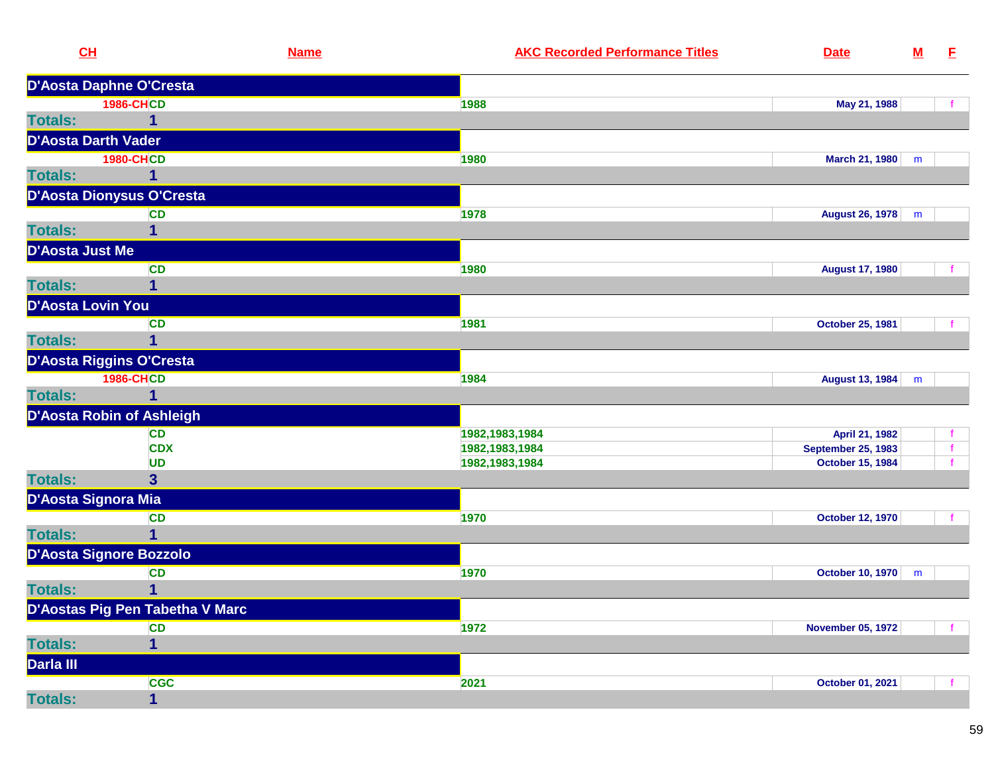| CL                     |                                 | <b>Name</b> | <b>AKC Recorded Performance Titles</b> | <b>Date</b>               | ${\bf M}$ | E |
|------------------------|---------------------------------|-------------|----------------------------------------|---------------------------|-----------|---|
|                        | D'Aosta Daphne O'Cresta         |             |                                        |                           |           |   |
|                        | <b>1986-CHCD</b>                |             | 1988                                   | May 21, 1988              |           |   |
| <b>Totals:</b>         | 1                               |             |                                        |                           |           |   |
|                        | <b>D'Aosta Darth Vader</b>      |             |                                        |                           |           |   |
|                        | <b>1980-CHCD</b>                |             | 1980                                   | March 21, 1980            | m         |   |
| <b>Totals:</b>         | 1                               |             |                                        |                           |           |   |
|                        | D'Aosta Dionysus O'Cresta       |             |                                        |                           |           |   |
|                        | <b>CD</b>                       |             | 1978                                   | August 26, 1978           | m         |   |
| <b>Totals:</b>         | 1                               |             |                                        |                           |           |   |
| <b>D'Aosta Just Me</b> |                                 |             |                                        |                           |           |   |
|                        | <b>CD</b>                       |             | 1980                                   | <b>August 17, 1980</b>    |           |   |
| <b>Totals:</b>         | 1                               |             |                                        |                           |           |   |
|                        | D'Aosta Lovin You               |             |                                        |                           |           |   |
|                        | <b>CD</b>                       |             | 1981                                   | <b>October 25, 1981</b>   |           |   |
| <b>Totals:</b>         | 1                               |             |                                        |                           |           |   |
|                        | D'Aosta Riggins O'Cresta        |             |                                        |                           |           |   |
|                        | <b>1986-CHCD</b>                |             | 1984                                   | August 13, 1984           | m         |   |
| <b>Totals:</b>         | 1                               |             |                                        |                           |           |   |
|                        | D'Aosta Robin of Ashleigh       |             |                                        |                           |           |   |
|                        | <b>CD</b>                       |             | 1982,1983,1984                         | April 21, 1982            |           |   |
|                        | <b>CDX</b>                      |             | 1982, 1983, 1984                       | <b>September 25, 1983</b> |           |   |
| <b>Totals:</b>         | <b>UD</b>                       |             | 1982, 1983, 1984                       | <b>October 15, 1984</b>   |           |   |
|                        | $\overline{\mathbf{3}}$         |             |                                        |                           |           |   |
|                        | D'Aosta Signora Mia             |             |                                        |                           |           |   |
| <b>Totals:</b>         | <b>CD</b><br>$\mathbf{1}$       |             | 1970                                   | <b>October 12, 1970</b>   |           |   |
|                        |                                 |             |                                        |                           |           |   |
|                        | D'Aosta Signore Bozzolo         |             |                                        |                           |           |   |
| <b>Totals:</b>         | <b>CD</b><br>1                  |             | 1970                                   | October 10, 1970          | m         |   |
|                        |                                 |             |                                        |                           |           |   |
|                        | D'Aostas Pig Pen Tabetha V Marc |             |                                        |                           |           |   |
| <b>Totals:</b>         | <b>CD</b><br>1                  |             | 1972                                   | <b>November 05, 1972</b>  |           |   |
| Darla III              |                                 |             |                                        |                           |           |   |
|                        |                                 |             |                                        |                           |           |   |
| <b>Totals:</b>         | <b>CGC</b><br>$\mathbf{1}$      |             | 2021                                   | October 01, 2021          |           |   |
|                        |                                 |             |                                        |                           |           |   |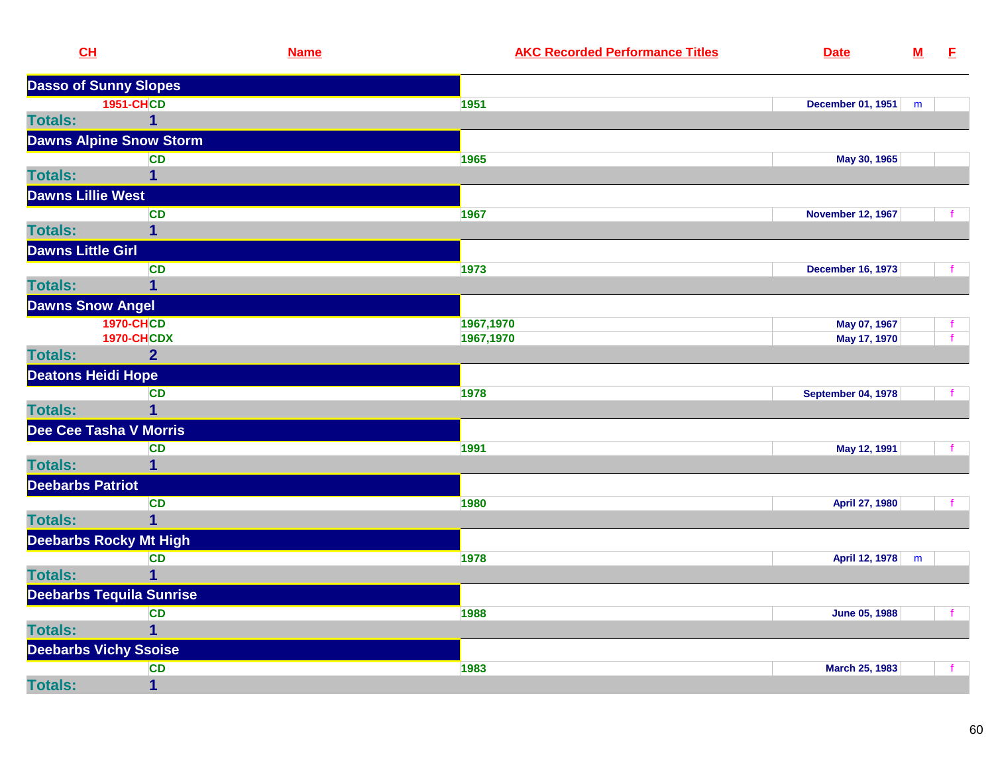| CL                        |                                 | <b>Name</b> | <b>AKC Recorded Performance Titles</b> | <b>Date</b>               | ${\bf M}$ | E           |
|---------------------------|---------------------------------|-------------|----------------------------------------|---------------------------|-----------|-------------|
|                           | <b>Dasso of Sunny Slopes</b>    |             |                                        |                           |           |             |
|                           | <b>1951-CHCD</b>                |             | 1951                                   | <b>December 01, 1951</b>  | m         |             |
| <b>Totals:</b>            | $\mathbf 1$                     |             |                                        |                           |           |             |
|                           | <b>Dawns Alpine Snow Storm</b>  |             |                                        |                           |           |             |
|                           | <b>CD</b>                       |             | 1965                                   | May 30, 1965              |           |             |
| <b>Totals:</b>            | 1                               |             |                                        |                           |           |             |
| <b>Dawns Lillie West</b>  |                                 |             |                                        |                           |           |             |
|                           | CD                              |             | 1967                                   | <b>November 12, 1967</b>  |           |             |
| <b>Totals:</b>            | $\overline{\mathbf{1}}$         |             |                                        |                           |           |             |
| <b>Dawns Little Girl</b>  |                                 |             |                                        |                           |           |             |
|                           | <b>CD</b>                       |             | 1973                                   | <b>December 16, 1973</b>  |           | f.          |
| <b>Totals:</b>            | $\mathbf 1$                     |             |                                        |                           |           |             |
| <b>Dawns Snow Angel</b>   |                                 |             |                                        |                           |           |             |
|                           | <b>1970-CHCD</b>                |             | 1967,1970                              | May 07, 1967              |           | f.          |
|                           | <b>1970-CHCDX</b>               |             | 1967,1970                              | May 17, 1970              |           | $\mathbf f$ |
| <b>Totals:</b>            | $\overline{2}$                  |             |                                        |                           |           |             |
| <b>Deatons Heidi Hope</b> |                                 |             |                                        |                           |           |             |
|                           | <b>CD</b>                       |             | 1978                                   | <b>September 04, 1978</b> |           |             |
| <b>Totals:</b>            | $\mathbf 1$                     |             |                                        |                           |           |             |
|                           | Dee Cee Tasha V Morris          |             |                                        |                           |           |             |
|                           | <b>CD</b>                       |             | 1991                                   | May 12, 1991              |           |             |
| <b>Totals:</b>            | $\mathbf 1$                     |             |                                        |                           |           |             |
| <b>Deebarbs Patriot</b>   |                                 |             |                                        |                           |           |             |
|                           | <b>CD</b>                       |             | 1980                                   | April 27, 1980            |           |             |
| <b>Totals:</b>            | $\overline{1}$                  |             |                                        |                           |           |             |
|                           | <b>Deebarbs Rocky Mt High</b>   |             |                                        |                           |           |             |
|                           | CD                              |             | 1978                                   | April 12, 1978            | m         |             |
| <b>Totals:</b>            | $\overline{1}$                  |             |                                        |                           |           |             |
|                           | <b>Deebarbs Tequila Sunrise</b> |             |                                        |                           |           |             |
|                           | CD                              |             | 1988                                   | June 05, 1988             |           | f.          |
| <b>Totals:</b>            | $\mathbf 1$                     |             |                                        |                           |           |             |
|                           | <b>Deebarbs Vichy Ssoise</b>    |             |                                        |                           |           |             |
|                           | <b>CD</b>                       |             | 1983                                   | March 25, 1983            |           |             |
| <b>Totals:</b>            | $\mathbf 1$                     |             |                                        |                           |           |             |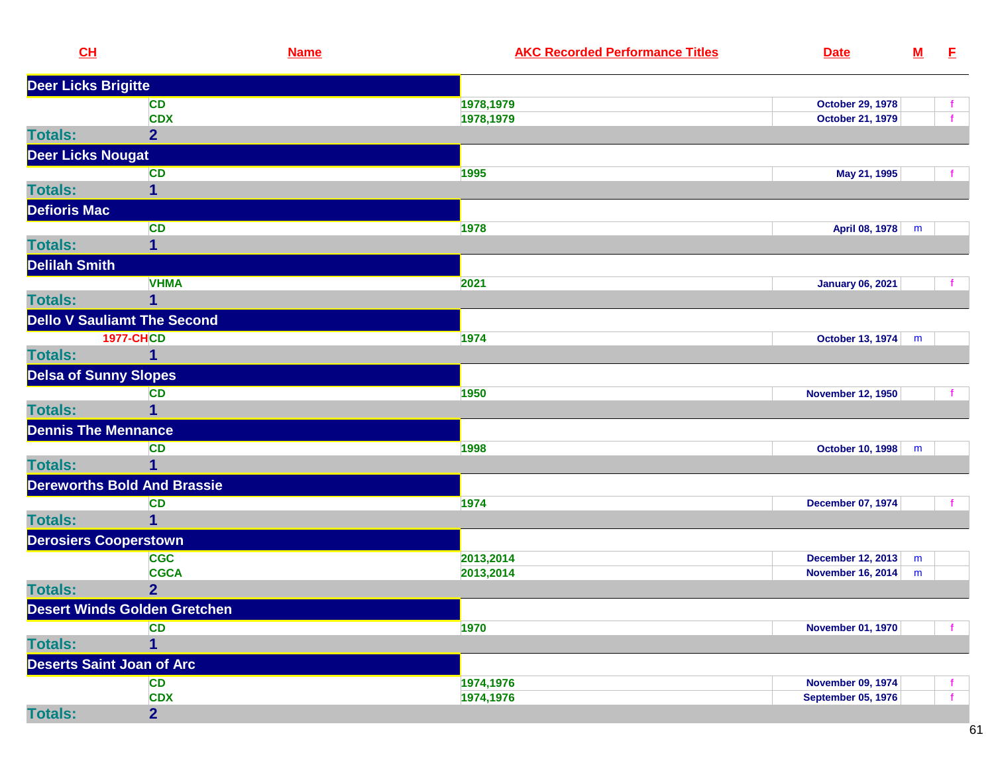| CL                           |                                     | <b>Name</b> | <b>AKC Recorded Performance Titles</b> | <b>Date</b>               | ${\bf M}$ | E. |
|------------------------------|-------------------------------------|-------------|----------------------------------------|---------------------------|-----------|----|
| <b>Deer Licks Brigitte</b>   |                                     |             |                                        |                           |           |    |
|                              | <b>CD</b>                           |             | 1978,1979                              | <b>October 29, 1978</b>   |           |    |
|                              | <b>CDX</b>                          |             | 1978,1979                              | <b>October 21, 1979</b>   |           |    |
| <b>Totals:</b>               | $\overline{2}$                      |             |                                        |                           |           |    |
| <b>Deer Licks Nougat</b>     |                                     |             |                                        |                           |           |    |
|                              | CD                                  |             | 1995                                   | May 21, 1995              |           |    |
| <b>Totals:</b>               | $\mathbf{1}$                        |             |                                        |                           |           |    |
| <b>Defioris Mac</b>          |                                     |             |                                        |                           |           |    |
|                              | <b>CD</b>                           |             | 1978                                   | April 08, 1978            | m         |    |
| <b>Totals:</b>               | 1                                   |             |                                        |                           |           |    |
| <b>Delilah Smith</b>         |                                     |             |                                        |                           |           |    |
|                              | <b>VHMA</b>                         |             | 2021                                   | <b>January 06, 2021</b>   |           |    |
| <b>Totals:</b>               | 1                                   |             |                                        |                           |           |    |
|                              | <b>Dello V Sauliamt The Second</b>  |             |                                        |                           |           |    |
|                              | <b>1977-CHCD</b>                    |             | 1974                                   | October 13, 1974          | m         |    |
| <b>Totals:</b>               | $\mathbf{1}$                        |             |                                        |                           |           |    |
| <b>Delsa of Sunny Slopes</b> |                                     |             |                                        |                           |           |    |
|                              | <b>CD</b>                           |             | 1950                                   | <b>November 12, 1950</b>  |           |    |
| <b>Totals:</b>               | 1                                   |             |                                        |                           |           |    |
| <b>Dennis The Mennance</b>   |                                     |             |                                        |                           |           |    |
|                              | <b>CD</b>                           |             | 1998                                   | <b>October 10, 1998</b>   | m         |    |
| <b>Totals:</b>               | 1                                   |             |                                        |                           |           |    |
|                              | <b>Dereworths Bold And Brassie</b>  |             |                                        |                           |           |    |
|                              | CD                                  |             | 1974                                   | <b>December 07, 1974</b>  |           |    |
| <b>Totals:</b>               | 1                                   |             |                                        |                           |           |    |
| <b>Derosiers Cooperstown</b> |                                     |             |                                        |                           |           |    |
|                              | <b>CGC</b>                          |             | 2013,2014                              | <b>December 12, 2013</b>  | m         |    |
|                              | <b>CGCA</b>                         |             | 2013,2014                              | <b>November 16, 2014</b>  | m         |    |
| <b>Totals:</b>               | $\overline{2}$                      |             |                                        |                           |           |    |
|                              | <b>Desert Winds Golden Gretchen</b> |             |                                        |                           |           |    |
|                              | <b>CD</b>                           |             | 1970                                   | <b>November 01, 1970</b>  |           |    |
| <b>Totals:</b>               | 1                                   |             |                                        |                           |           |    |
|                              | <b>Deserts Saint Joan of Arc</b>    |             |                                        |                           |           |    |
|                              | <b>CD</b>                           |             | 1974,1976                              | <b>November 09, 1974</b>  |           |    |
|                              | <b>CDX</b>                          |             | 1974,1976                              | <b>September 05, 1976</b> |           |    |
| <b>Totals:</b>               | $\overline{2}$                      |             |                                        |                           |           |    |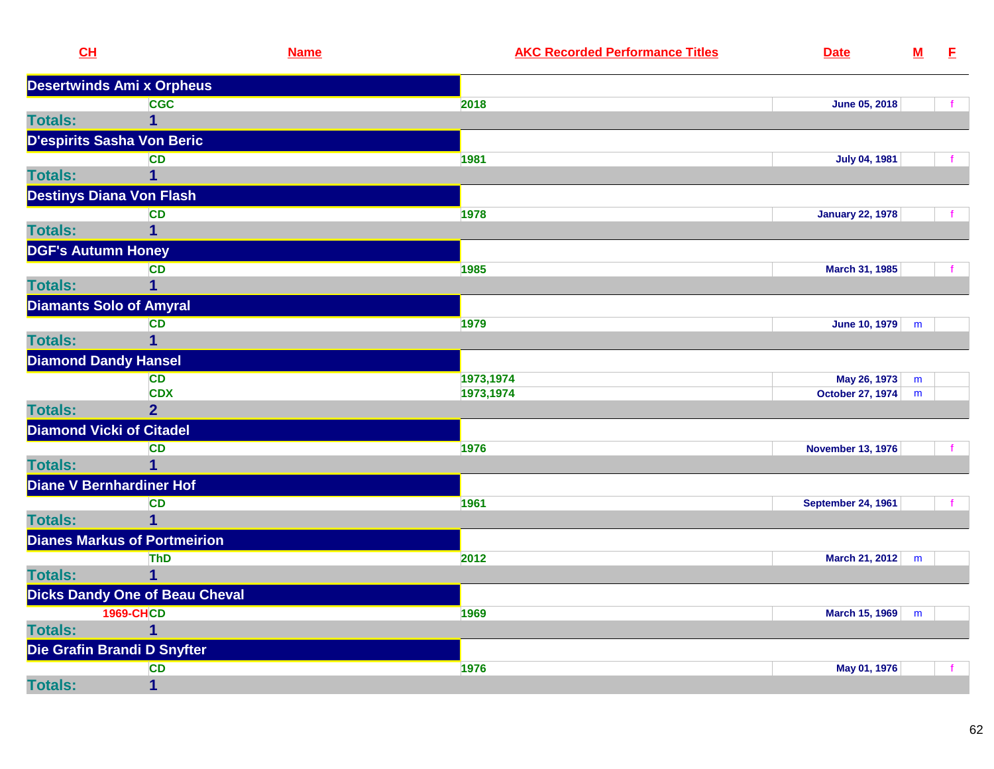| CL                              | <b>Name</b>                           |           | <b>AKC Recorded Performance Titles</b> | <b>Date</b>               | ${\bf M}$ | E |
|---------------------------------|---------------------------------------|-----------|----------------------------------------|---------------------------|-----------|---|
|                                 | <b>Desertwinds Ami x Orpheus</b>      |           |                                        |                           |           |   |
|                                 | <b>CGC</b>                            | 2018      |                                        | June 05, 2018             |           |   |
| <b>Totals:</b>                  | 1                                     |           |                                        |                           |           |   |
| D'espirits Sasha Von Beric      |                                       |           |                                        |                           |           |   |
|                                 | <b>CD</b>                             | 1981      |                                        | <b>July 04, 1981</b>      |           |   |
| <b>Totals:</b>                  | 1                                     |           |                                        |                           |           |   |
| <b>Destinys Diana Von Flash</b> |                                       |           |                                        |                           |           |   |
|                                 | <b>CD</b>                             | 1978      |                                        | <b>January 22, 1978</b>   |           |   |
| <b>Totals:</b>                  | 1                                     |           |                                        |                           |           |   |
| <b>DGF's Autumn Honey</b>       |                                       |           |                                        |                           |           |   |
|                                 | <b>CD</b>                             | 1985      |                                        | March 31, 1985            |           |   |
| <b>Totals:</b>                  | 1                                     |           |                                        |                           |           |   |
| <b>Diamants Solo of Amyral</b>  |                                       |           |                                        |                           |           |   |
|                                 | <b>CD</b>                             | 1979      |                                        | June 10, 1979             | m         |   |
| <b>Totals:</b>                  | $\overline{\mathbf{1}}$               |           |                                        |                           |           |   |
| <b>Diamond Dandy Hansel</b>     |                                       |           |                                        |                           |           |   |
|                                 | <b>CD</b>                             | 1973,1974 |                                        | May 26, 1973              | ${\sf m}$ |   |
|                                 | <b>CDX</b>                            | 1973,1974 |                                        | October 27, 1974          | m         |   |
| <b>Totals:</b>                  | 2 <sup>1</sup>                        |           |                                        |                           |           |   |
| <b>Diamond Vicki of Citadel</b> |                                       |           |                                        |                           |           |   |
|                                 | <b>CD</b>                             | 1976      |                                        | <b>November 13, 1976</b>  |           |   |
| <b>Totals:</b>                  | $\overline{1}$                        |           |                                        |                           |           |   |
| <b>Diane V Bernhardiner Hof</b> |                                       |           |                                        |                           |           |   |
|                                 | <b>CD</b>                             | 1961      |                                        | <b>September 24, 1961</b> |           |   |
| <b>Totals:</b>                  |                                       |           |                                        |                           |           |   |
|                                 | <b>Dianes Markus of Portmeirion</b>   |           |                                        |                           |           |   |
|                                 | ThD                                   | 2012      |                                        | March 21, 2012            | m         |   |
| <b>Totals:</b>                  | $\mathbf{1}$                          |           |                                        |                           |           |   |
|                                 | <b>Dicks Dandy One of Beau Cheval</b> |           |                                        |                           |           |   |
|                                 | <b>1969-CHCD</b>                      | 1969      |                                        | March 15, 1969            | m         |   |
| <b>Totals:</b>                  | 1                                     |           |                                        |                           |           |   |
| Die Grafin Brandi D Snyfter     |                                       |           |                                        |                           |           |   |
|                                 | <b>CD</b>                             | 1976      |                                        | May 01, 1976              |           |   |
| <b>Totals:</b>                  | $\mathbf{1}$                          |           |                                        |                           |           |   |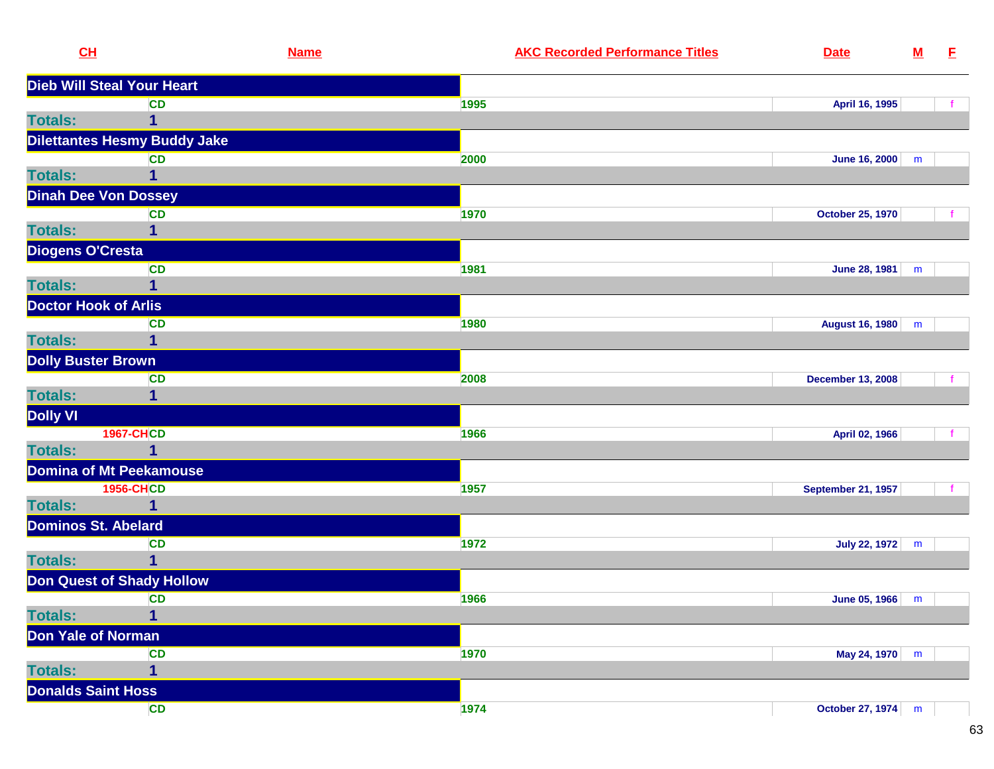|                | CL                                  | <b>Name</b> | <b>AKC Recorded Performance Titles</b> | <b>Date</b>               | ${\bf M}$ | E |
|----------------|-------------------------------------|-------------|----------------------------------------|---------------------------|-----------|---|
|                | <b>Dieb Will Steal Your Heart</b>   |             |                                        |                           |           |   |
|                | <b>CD</b>                           |             | 1995                                   | April 16, 1995            |           |   |
| <b>Totals:</b> | 1                                   |             |                                        |                           |           |   |
|                | <b>Dilettantes Hesmy Buddy Jake</b> |             |                                        |                           |           |   |
|                | <b>CD</b>                           |             | 2000                                   | <b>June 16, 2000</b>      | m         |   |
| <b>Totals:</b> | $\mathbf{1}$                        |             |                                        |                           |           |   |
|                | <b>Dinah Dee Von Dossey</b>         |             |                                        |                           |           |   |
|                | CD                                  |             | 1970                                   | October 25, 1970          |           | f |
| <b>Totals:</b> | 1                                   |             |                                        |                           |           |   |
|                | <b>Diogens O'Cresta</b>             |             |                                        |                           |           |   |
|                | <b>CD</b>                           |             | 1981                                   | <b>June 28, 1981</b>      | m         |   |
| <b>Totals:</b> | $\mathbf{1}$                        |             |                                        |                           |           |   |
|                | <b>Doctor Hook of Arlis</b>         |             |                                        |                           |           |   |
|                | <b>CD</b>                           |             | 1980                                   | <b>August 16, 1980</b>    | m         |   |
| <b>Totals:</b> | 1                                   |             |                                        |                           |           |   |
|                | <b>Dolly Buster Brown</b>           |             |                                        |                           |           |   |
|                | <b>CD</b>                           |             | 2008                                   | <b>December 13, 2008</b>  |           |   |
| <b>Totals:</b> | 1                                   |             |                                        |                           |           |   |
| Dolly VI       |                                     |             |                                        |                           |           |   |
|                | <b>1967-CHCD</b>                    |             | 1966                                   | April 02, 1966            |           |   |
| <b>Totals:</b> | 1                                   |             |                                        |                           |           |   |
|                | <b>Domina of Mt Peekamouse</b>      |             |                                        |                           |           |   |
|                | <b>1956-CHCD</b>                    |             | 1957                                   | <b>September 21, 1957</b> |           |   |
| <b>Totals:</b> | 1                                   |             |                                        |                           |           |   |
|                | <b>Dominos St. Abelard</b>          |             |                                        |                           |           |   |
|                | <b>CD</b>                           |             | 1972                                   | July 22, 1972             | m         |   |
| <b>Totals:</b> | 1                                   |             |                                        |                           |           |   |
|                | <b>Don Quest of Shady Hollow</b>    |             |                                        |                           |           |   |
|                | <b>CD</b>                           |             | 1966                                   | June 05, 1966             | m         |   |
| <b>Totals:</b> | 1                                   |             |                                        |                           |           |   |
|                | Don Yale of Norman                  |             |                                        |                           |           |   |
|                | <b>CD</b>                           |             | 1970                                   | May 24, 1970              | m         |   |
| <b>Totals:</b> | $\overline{\mathbf{1}}$             |             |                                        |                           |           |   |
|                | <b>Donalds Saint Hoss</b>           |             |                                        |                           |           |   |
|                | <b>CD</b>                           |             | 1974                                   | October 27, 1974 m        |           |   |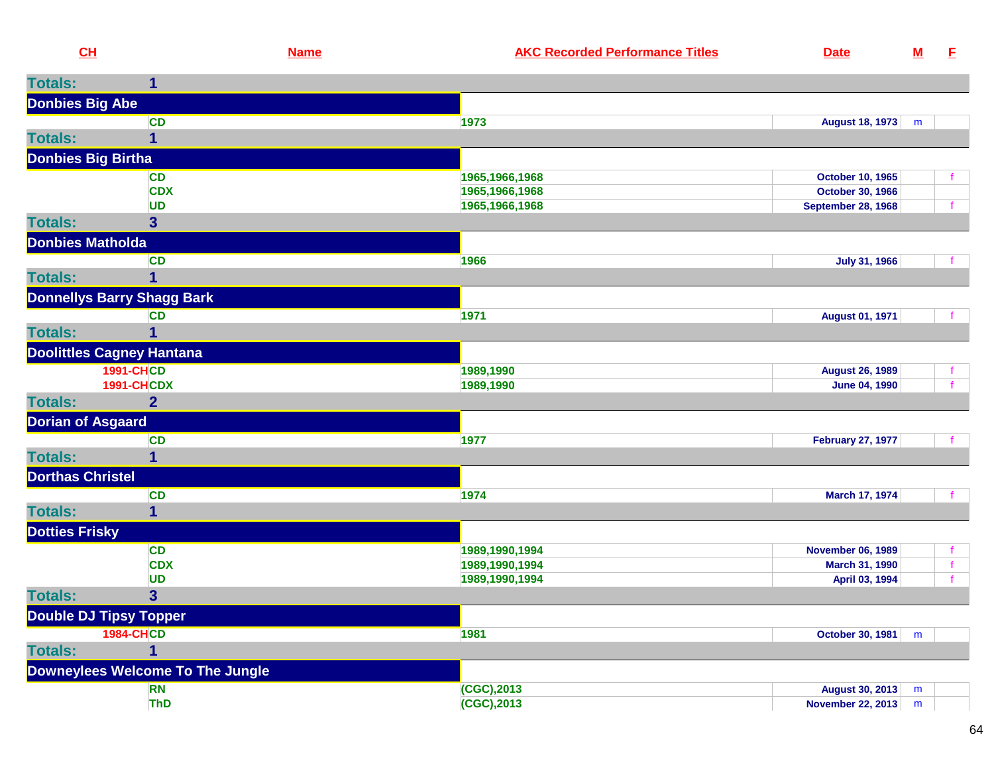|                         | CL                                | <b>Name</b> | <b>AKC Recorded Performance Titles</b> | <b>Date</b>               | $M$ | E            |
|-------------------------|-----------------------------------|-------------|----------------------------------------|---------------------------|-----|--------------|
| <b>Totals:</b>          | 1                                 |             |                                        |                           |     |              |
| <b>Donbies Big Abe</b>  |                                   |             |                                        |                           |     |              |
|                         | <b>CD</b>                         |             | 1973                                   | August 18, 1973           | m   |              |
| <b>Totals:</b>          | 1                                 |             |                                        |                           |     |              |
|                         | <b>Donbies Big Birtha</b>         |             |                                        |                           |     |              |
|                         | <b>CD</b>                         |             | 1965,1966,1968                         | <b>October 10, 1965</b>   |     |              |
|                         | <b>CDX</b>                        |             | 1965, 1966, 1968                       | October 30, 1966          |     |              |
|                         | <b>UD</b>                         |             | 1965,1966,1968                         | <b>September 28, 1968</b> |     | f.           |
| <b>Totals:</b>          | 3 <sup>5</sup>                    |             |                                        |                           |     |              |
|                         | <b>Donbies Matholda</b>           |             |                                        |                           |     |              |
|                         | <b>CD</b>                         |             | 1966                                   | <b>July 31, 1966</b>      |     |              |
| <b>Totals:</b>          |                                   |             |                                        |                           |     |              |
|                         | <b>Donnellys Barry Shagg Bark</b> |             |                                        |                           |     |              |
|                         | <b>CD</b>                         |             | 1971                                   | <b>August 01, 1971</b>    |     |              |
| <b>Totals:</b>          | 1                                 |             |                                        |                           |     |              |
|                         | <b>Doolittles Cagney Hantana</b>  |             |                                        |                           |     |              |
|                         | <b>1991-CHCD</b>                  |             | 1989,1990                              | <b>August 26, 1989</b>    |     |              |
|                         | <b>1991-CHCDX</b>                 |             | 1989,1990                              | <b>June 04, 1990</b>      |     | $\mathbf{f}$ |
| <b>Totals:</b>          | $\overline{2}$                    |             |                                        |                           |     |              |
|                         | <b>Dorian of Asgaard</b>          |             |                                        |                           |     |              |
|                         | <b>CD</b>                         |             | 1977                                   | <b>February 27, 1977</b>  |     |              |
| <b>Totals:</b>          | 1                                 |             |                                        |                           |     |              |
| <b>Dorthas Christel</b> |                                   |             |                                        |                           |     |              |
|                         | <b>CD</b>                         |             | 1974                                   | March 17, 1974            |     |              |
| <b>Totals:</b>          | 1                                 |             |                                        |                           |     |              |
| <b>Dotties Frisky</b>   |                                   |             |                                        |                           |     |              |
|                         | <b>CD</b>                         |             | 1989,1990,1994                         | <b>November 06, 1989</b>  |     |              |
|                         | <b>CDX</b>                        |             | 1989,1990,1994                         | March 31, 1990            |     | $\mathbf{f}$ |
|                         | <b>UD</b>                         |             | 1989,1990,1994                         | April 03, 1994            |     |              |
| <b>Totals:</b>          | 3 <sup>5</sup>                    |             |                                        |                           |     |              |
|                         | <b>Double DJ Tipsy Topper</b>     |             |                                        |                           |     |              |
|                         | <b>1984-CHCD</b>                  |             | 1981                                   | October 30, 1981          | m   |              |
| <b>Totals:</b>          |                                   |             |                                        |                           |     |              |
|                         | Downeylees Welcome To The Jungle  |             |                                        |                           |     |              |
|                         | <b>RN</b>                         |             | (CGC), 2013                            | <b>August 30, 2013</b>    | m   |              |
|                         | <b>ThD</b>                        |             | (CGC), 2013                            | <b>November 22, 2013</b>  | m   |              |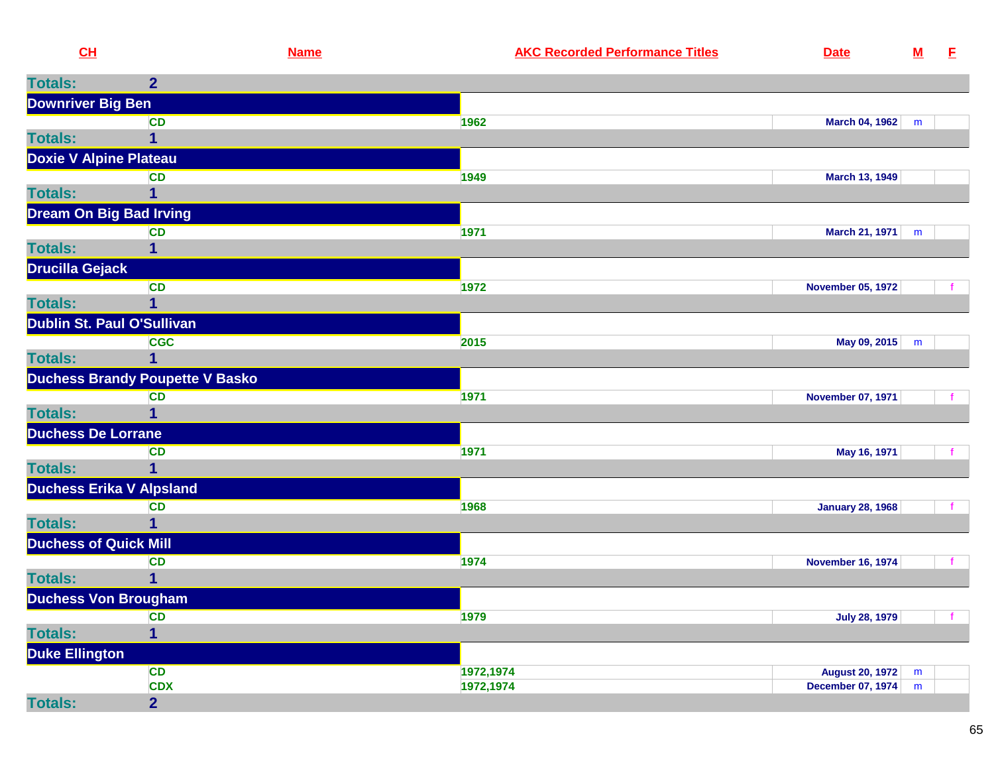| CL                             | <b>Name</b>                            | <b>AKC Recorded Performance Titles</b> | <b>Date</b>              | ${\bf M}$ | E.           |
|--------------------------------|----------------------------------------|----------------------------------------|--------------------------|-----------|--------------|
| <b>Totals:</b>                 | $\overline{2}$                         |                                        |                          |           |              |
| <b>Downriver Big Ben</b>       |                                        |                                        |                          |           |              |
|                                | <b>CD</b>                              | 1962                                   | <b>March 04, 1962</b>    | m         |              |
| <b>Totals:</b>                 | 1                                      |                                        |                          |           |              |
| <b>Doxie V Alpine Plateau</b>  |                                        |                                        |                          |           |              |
|                                | <b>CD</b>                              | 1949                                   | <b>March 13, 1949</b>    |           |              |
| <b>Totals:</b>                 |                                        |                                        |                          |           |              |
| <b>Dream On Big Bad Irving</b> |                                        |                                        |                          |           |              |
|                                | <b>CD</b>                              | 1971                                   | March 21, 1971           | m         |              |
| <b>Totals:</b>                 | 1                                      |                                        |                          |           |              |
| <b>Drucilla Gejack</b>         |                                        |                                        |                          |           |              |
|                                | <b>CD</b>                              | 1972                                   | <b>November 05, 1972</b> |           |              |
| <b>Totals:</b>                 | 1                                      |                                        |                          |           |              |
|                                | Dublin St. Paul O'Sullivan             |                                        |                          |           |              |
|                                | <b>CGC</b>                             | 2015                                   | May 09, 2015             | m         |              |
| <b>Totals:</b>                 | 1                                      |                                        |                          |           |              |
|                                | <b>Duchess Brandy Poupette V Basko</b> |                                        |                          |           |              |
|                                | <b>CD</b>                              | 1971                                   | <b>November 07, 1971</b> |           | f.           |
| <b>Totals:</b>                 | 1                                      |                                        |                          |           |              |
| <b>Duchess De Lorrane</b>      |                                        |                                        |                          |           |              |
|                                | <b>CD</b>                              | 1971                                   | May 16, 1971             |           |              |
| <b>Totals:</b>                 |                                        |                                        |                          |           |              |
|                                | <b>Duchess Erika V Alpsland</b>        |                                        |                          |           |              |
|                                | <b>CD</b>                              | 1968                                   | <b>January 28, 1968</b>  |           |              |
| <b>Totals:</b>                 | 1                                      |                                        |                          |           |              |
| <b>Duchess of Quick Mill</b>   |                                        |                                        |                          |           |              |
|                                | <b>CD</b>                              | 1974                                   | <b>November 16, 1974</b> |           | −f.          |
| <b>Totals:</b>                 |                                        |                                        |                          |           |              |
| <b>Duchess Von Brougham</b>    |                                        |                                        |                          |           |              |
|                                | <b>CD</b>                              | 1979                                   | <b>July 28, 1979</b>     |           | $\mathbf{f}$ |
| <b>Totals:</b>                 | $\overline{\mathbf{1}}$                |                                        |                          |           |              |
| Duke Ellington                 |                                        |                                        |                          |           |              |
|                                | <b>CD</b>                              | 1972,1974                              | <b>August 20, 1972</b>   | m         |              |
|                                | <b>CDX</b>                             | 1972,1974                              | <b>December 07, 1974</b> | m         |              |
| <b>Totals:</b>                 | $\overline{2}$                         |                                        |                          |           |              |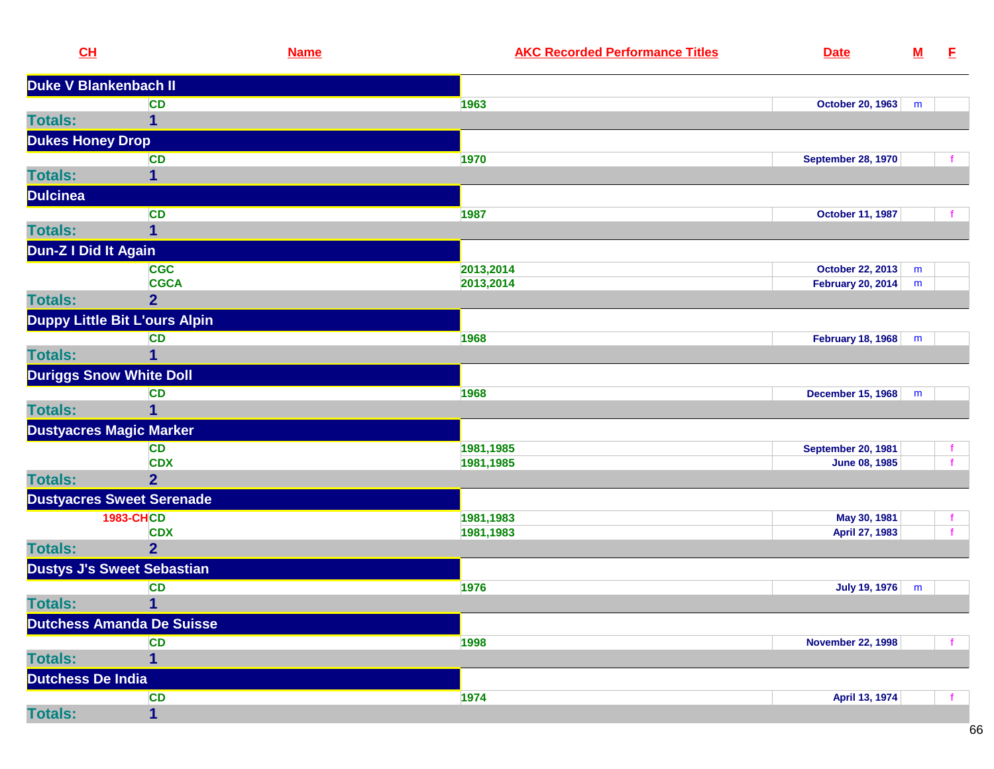|                 | CL                                | <b>Name</b> | <b>AKC Recorded Performance Titles</b> | <b>Date</b>               | ${\bf M}$ | E  |
|-----------------|-----------------------------------|-------------|----------------------------------------|---------------------------|-----------|----|
|                 | Duke V Blankenbach II             |             |                                        |                           |           |    |
|                 | <b>CD</b>                         |             | 1963                                   | October 20, 1963          | m         |    |
| <b>Totals:</b>  | 1                                 |             |                                        |                           |           |    |
|                 | <b>Dukes Honey Drop</b>           |             |                                        |                           |           |    |
|                 | <b>CD</b>                         |             | 1970                                   | <b>September 28, 1970</b> |           |    |
| <b>Totals:</b>  | $\mathbf 1$                       |             |                                        |                           |           |    |
| <b>Dulcinea</b> |                                   |             |                                        |                           |           |    |
|                 | <b>CD</b>                         |             | 1987                                   | <b>October 11, 1987</b>   |           |    |
| <b>Totals:</b>  | 1                                 |             |                                        |                           |           |    |
|                 | Dun-Z I Did It Again              |             |                                        |                           |           |    |
|                 | <b>CGC</b>                        |             | 2013,2014                              | October 22, 2013          | m         |    |
|                 | <b>CGCA</b>                       |             | 2013,2014                              | <b>February 20, 2014</b>  | m         |    |
| <b>Totals:</b>  | $\overline{2}$                    |             |                                        |                           |           |    |
|                 | Duppy Little Bit L'ours Alpin     |             |                                        |                           |           |    |
|                 | <b>CD</b>                         |             | 1968                                   | February 18, 1968         | m         |    |
| <b>Totals:</b>  | $\mathbf 1$                       |             |                                        |                           |           |    |
|                 | <b>Duriggs Snow White Doll</b>    |             |                                        |                           |           |    |
|                 | <b>CD</b>                         |             | 1968                                   | <b>December 15, 1968</b>  | m         |    |
| <b>Totals:</b>  |                                   |             |                                        |                           |           |    |
|                 | <b>Dustyacres Magic Marker</b>    |             |                                        |                           |           |    |
|                 | CD                                |             | 1981,1985                              | <b>September 20, 1981</b> |           |    |
|                 | <b>CDX</b>                        |             | 1981,1985                              | <b>June 08, 1985</b>      |           |    |
| <b>Totals:</b>  | $\overline{2}$                    |             |                                        |                           |           |    |
|                 | <b>Dustyacres Sweet Serenade</b>  |             |                                        |                           |           |    |
|                 | <b>1983-CHCD</b>                  |             | 1981,1983                              | May 30, 1981              |           | f. |
|                 | <b>CDX</b>                        |             | 1981,1983                              | April 27, 1983            |           |    |
| <b>Totals:</b>  | $\overline{2}$                    |             |                                        |                           |           |    |
|                 | <b>Dustys J's Sweet Sebastian</b> |             |                                        |                           |           |    |
|                 | <b>CD</b>                         |             | 1976                                   | <b>July 19, 1976</b>      | m         |    |
| <b>Totals:</b>  | $\mathbf{1}$                      |             |                                        |                           |           |    |
|                 | <b>Dutchess Amanda De Suisse</b>  |             |                                        |                           |           |    |
|                 | <b>CD</b>                         |             | 1998                                   | <b>November 22, 1998</b>  |           |    |
| <b>Totals:</b>  | 1                                 |             |                                        |                           |           |    |
|                 | Dutchess De India                 |             |                                        |                           |           |    |
|                 | CD                                |             | 1974                                   | April 13, 1974            |           |    |
| <b>Totals:</b>  | $\overline{1}$                    |             |                                        |                           |           |    |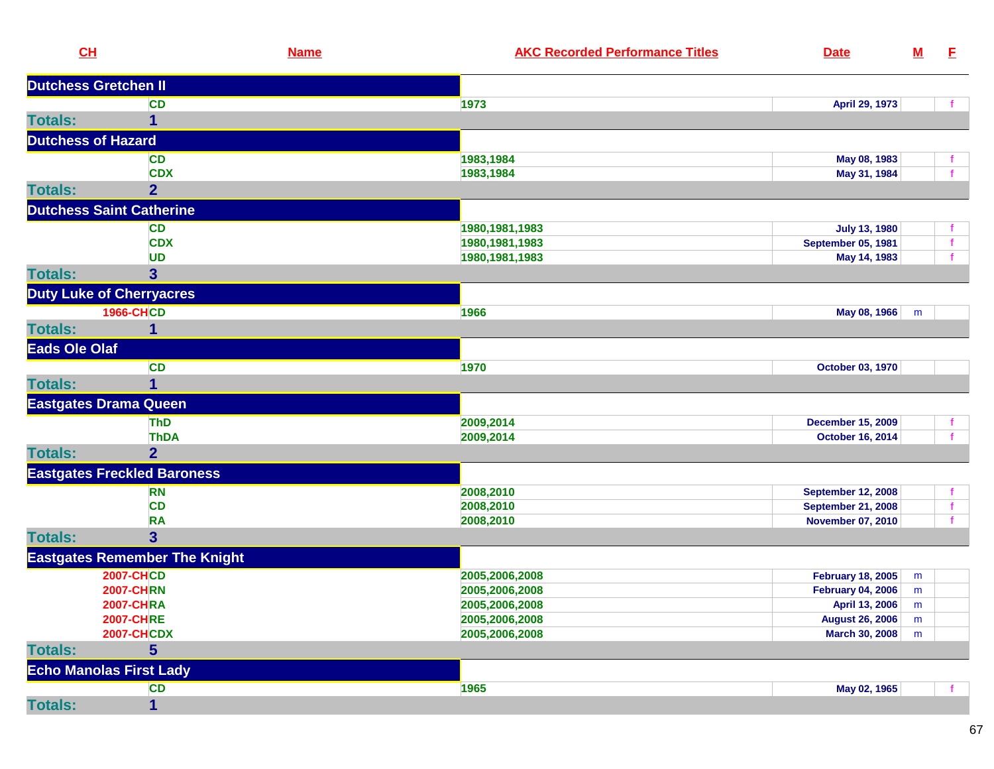| CL                           |                                      | <b>Name</b><br><b>AKC Recorded Performance Titles</b><br><b>Date</b> |                           | $\underline{\mathsf{M}}$ | E.           |
|------------------------------|--------------------------------------|----------------------------------------------------------------------|---------------------------|--------------------------|--------------|
| <b>Dutchess Gretchen II</b>  |                                      |                                                                      |                           |                          |              |
|                              | CD                                   | 1973                                                                 | April 29, 1973            |                          |              |
| <b>Totals:</b>               | 1                                    |                                                                      |                           |                          |              |
| <b>Dutchess of Hazard</b>    |                                      |                                                                      |                           |                          |              |
|                              | <b>CD</b>                            | 1983,1984                                                            | May 08, 1983              |                          | f.           |
|                              | <b>CDX</b>                           | 1983,1984                                                            | May 31, 1984              |                          | f            |
| <b>Totals:</b>               | $\overline{2}$                       |                                                                      |                           |                          |              |
|                              | <b>Dutchess Saint Catherine</b>      |                                                                      |                           |                          |              |
|                              | <b>CD</b>                            | 1980, 1981, 1983                                                     | <b>July 13, 1980</b>      |                          | $\mathbf{f}$ |
|                              | <b>CDX</b>                           | 1980, 1981, 1983                                                     | <b>September 05, 1981</b> |                          | $\mathbf{f}$ |
|                              | <b>UD</b>                            | 1980, 1981, 1983                                                     | May 14, 1983              |                          | $\mathbf{f}$ |
| <b>Totals:</b>               | $\overline{\mathbf{3}}$              |                                                                      |                           |                          |              |
|                              | <b>Duty Luke of Cherryacres</b>      |                                                                      |                           |                          |              |
|                              | <b>1966-CHCD</b>                     | 1966                                                                 | May 08, 1966              | m                        |              |
| <b>Totals:</b>               | 1                                    |                                                                      |                           |                          |              |
| <b>Eads Ole Olaf</b>         |                                      |                                                                      |                           |                          |              |
|                              | <b>CD</b>                            | 1970                                                                 | October 03, 1970          |                          |              |
| <b>Totals:</b>               | 1                                    |                                                                      |                           |                          |              |
| <b>Eastgates Drama Queen</b> |                                      |                                                                      |                           |                          |              |
|                              | <b>ThD</b>                           | 2009,2014                                                            | <b>December 15, 2009</b>  |                          | f.           |
|                              | <b>ThDA</b>                          | 2009,2014                                                            | <b>October 16, 2014</b>   |                          | f.           |
| <b>Totals:</b>               | $\overline{2}$                       |                                                                      |                           |                          |              |
|                              | <b>Eastgates Freckled Baroness</b>   |                                                                      |                           |                          |              |
|                              | RN                                   | 2008,2010                                                            | <b>September 12, 2008</b> |                          | $\mathbf{f}$ |
|                              | <b>CD</b>                            | 2008,2010                                                            | <b>September 21, 2008</b> |                          | $\mathbf{f}$ |
|                              | <b>RA</b>                            | 2008,2010                                                            | <b>November 07, 2010</b>  |                          | $\mathbf{f}$ |
| <b>Totals:</b>               | $\overline{\mathbf{3}}$              |                                                                      |                           |                          |              |
|                              | <b>Eastgates Remember The Knight</b> |                                                                      |                           |                          |              |
|                              | <b>2007-CHCD</b>                     | 2005,2006,2008                                                       | <b>February 18, 2005</b>  | m                        |              |
|                              | <b>2007-CHRN</b>                     | 2005,2006,2008                                                       | <b>February 04, 2006</b>  | m                        |              |
|                              | <b>2007-CHRA</b>                     | 2005,2006,2008                                                       | April 13, 2006            | m                        |              |
|                              | <b>2007-CHRE</b>                     | 2005,2006,2008                                                       | <b>August 26, 2006</b>    | m                        |              |
|                              | <b>2007-CHCDX</b>                    | 2005,2006,2008                                                       | <b>March 30, 2008</b>     | m                        |              |
| <b>Totals:</b>               | $5\phantom{1}$                       |                                                                      |                           |                          |              |
|                              | <b>Echo Manolas First Lady</b>       |                                                                      |                           |                          |              |
|                              | CD                                   | 1965                                                                 | May 02, 1965              |                          |              |
| <b>Totals:</b>               | 1                                    |                                                                      |                           |                          |              |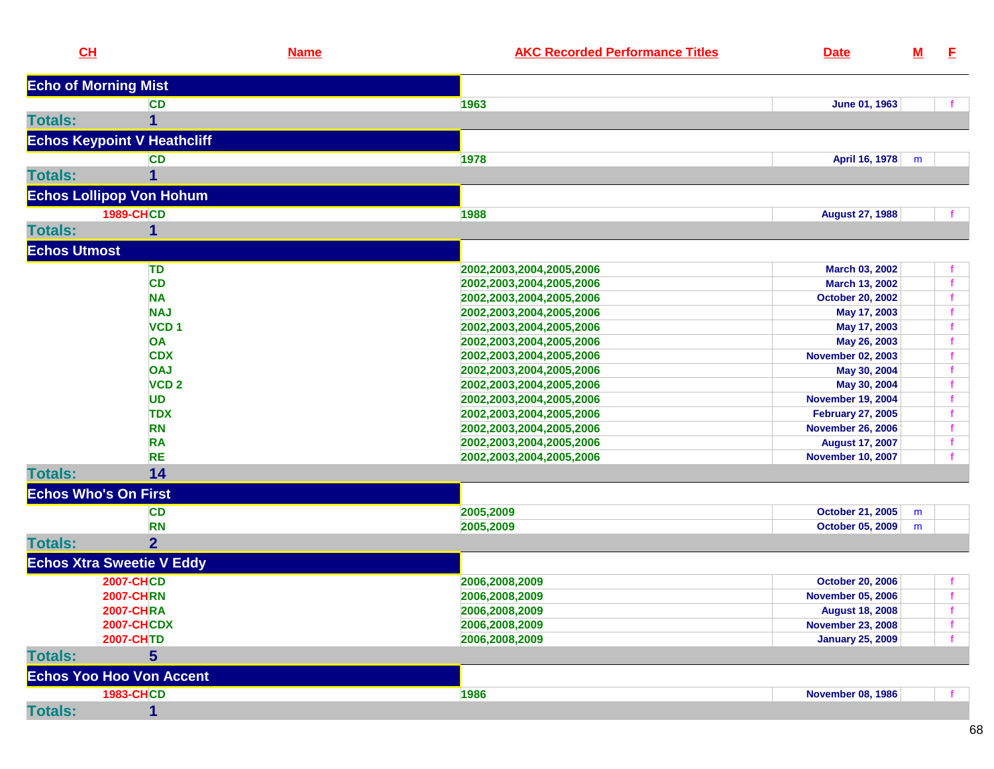|                     | CL                                 | <b>Name</b> | <b>AKC Recorded Performance Titles</b> | <b>Date</b>              | <u>M</u> | E  |
|---------------------|------------------------------------|-------------|----------------------------------------|--------------------------|----------|----|
|                     | <b>Echo of Morning Mist</b>        |             |                                        |                          |          |    |
|                     | <b>CD</b>                          |             | 1963                                   | June 01, 1963            |          |    |
| <b>Totals:</b>      | 1                                  |             |                                        |                          |          |    |
|                     |                                    |             |                                        |                          |          |    |
|                     | <b>Echos Keypoint V Heathcliff</b> |             |                                        |                          |          |    |
|                     | <b>CD</b>                          |             | 1978                                   | April 16, 1978           | m        |    |
| <b>Totals:</b>      |                                    |             |                                        |                          |          |    |
|                     | <b>Echos Lollipop Von Hohum</b>    |             |                                        |                          |          |    |
|                     | <b>1989-CHCD</b>                   |             | 1988                                   | <b>August 27, 1988</b>   |          |    |
| <b>Totals:</b>      | 1                                  |             |                                        |                          |          |    |
| <b>Echos Utmost</b> |                                    |             |                                        |                          |          |    |
|                     |                                    |             |                                        |                          |          |    |
|                     | TD                                 |             | 2002,2003,2004,2005,2006               | March 03, 2002           |          |    |
|                     | <b>CD</b>                          |             | 2002,2003,2004,2005,2006               | March 13, 2002           |          |    |
|                     | <b>NA</b>                          |             | 2002,2003,2004,2005,2006               | <b>October 20, 2002</b>  |          |    |
|                     | <b>NAJ</b>                         |             | 2002,2003,2004,2005,2006               | May 17, 2003             |          |    |
|                     | VCD <sub>1</sub>                   |             | 2002,2003,2004,2005,2006               | May 17, 2003             |          | f  |
|                     | <b>OA</b>                          |             | 2002,2003,2004,2005,2006               | May 26, 2003             |          |    |
|                     | <b>CDX</b>                         |             | 2002,2003,2004,2005,2006               | <b>November 02, 2003</b> |          |    |
|                     | <b>OAJ</b>                         |             | 2002,2003,2004,2005,2006               | May 30, 2004             |          |    |
|                     | VCD <sub>2</sub>                   |             | 2002,2003,2004,2005,2006               | May 30, 2004             |          |    |
|                     | <b>UD</b>                          |             | 2002,2003,2004,2005,2006               | <b>November 19, 2004</b> |          |    |
|                     | <b>TDX</b>                         |             | 2002,2003,2004,2005,2006               | <b>February 27, 2005</b> |          | f  |
|                     | <b>RN</b>                          |             | 2002,2003,2004,2005,2006               | <b>November 26, 2006</b> |          | f. |
|                     | <b>RA</b>                          |             | 2002,2003,2004,2005,2006               | <b>August 17, 2007</b>   |          | f  |
|                     | <b>RE</b>                          |             | 2002,2003,2004,2005,2006               | <b>November 10, 2007</b> |          |    |
| <b>Totals:</b>      | 14                                 |             |                                        |                          |          |    |
|                     | <b>Echos Who's On First</b>        |             |                                        |                          |          |    |
|                     | <b>CD</b>                          |             | 2005,2009                              | <b>October 21, 2005</b>  | m        |    |
|                     | <b>RN</b>                          |             | 2005,2009                              | <b>October 05, 2009</b>  | m        |    |
| <b>Totals:</b>      | $\overline{2}$                     |             |                                        |                          |          |    |
|                     | <b>Echos Xtra Sweetie V Eddy</b>   |             |                                        |                          |          |    |
|                     | <b>2007-CHCD</b>                   |             | 2006,2008,2009                         | <b>October 20, 2006</b>  |          |    |
|                     | <b>2007-CHRN</b>                   |             | 2006,2008,2009                         | <b>November 05, 2006</b> |          |    |
|                     | <b>2007-CHRA</b>                   |             | 2006,2008,2009                         | <b>August 18, 2008</b>   |          |    |
|                     | <b>2007-CHCDX</b>                  |             | 2006,2008,2009                         | <b>November 23, 2008</b> |          | f. |
|                     | <b>2007-CHTD</b>                   |             | 2006,2008,2009                         | <b>January 25, 2009</b>  |          |    |
| <b>Totals:</b>      | $5\phantom{1}$                     |             |                                        |                          |          |    |
|                     | <b>Echos Yoo Hoo Von Accent</b>    |             |                                        |                          |          |    |
|                     |                                    |             |                                        |                          |          |    |
|                     | <b>1983-CHCD</b>                   |             | 1986                                   | <b>November 08, 1986</b> |          |    |
| <b>Totals:</b>      | 1                                  |             |                                        |                          |          |    |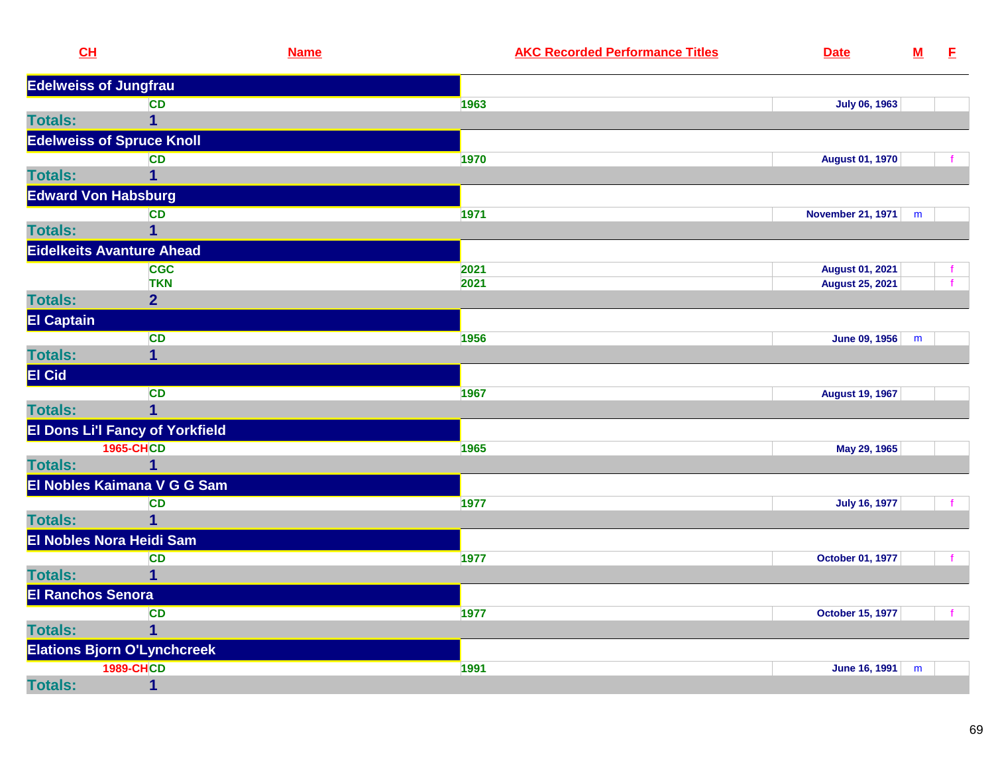| CL                           | <b>Name</b>                            | <b>AKC Recorded Performance Titles</b> | <b>Date</b>             | ${\bf M}$ | E. |
|------------------------------|----------------------------------------|----------------------------------------|-------------------------|-----------|----|
| <b>Edelweiss of Jungfrau</b> |                                        |                                        |                         |           |    |
|                              | <b>CD</b>                              | 1963                                   | <b>July 06, 1963</b>    |           |    |
| <b>Totals:</b>               | $\overline{1}$                         |                                        |                         |           |    |
|                              | <b>Edelweiss of Spruce Knoll</b>       |                                        |                         |           |    |
|                              | <b>CD</b>                              | 1970                                   | <b>August 01, 1970</b>  |           |    |
| <b>Totals:</b>               | $\mathbf 1$                            |                                        |                         |           |    |
| <b>Edward Von Habsburg</b>   |                                        |                                        |                         |           |    |
|                              | <b>CD</b>                              | 1971                                   | November 21, 1971       | m         |    |
| <b>Totals:</b>               | $\overline{1}$                         |                                        |                         |           |    |
|                              | <b>Eidelkeits Avanture Ahead</b>       |                                        |                         |           |    |
|                              | <b>CGC</b>                             | 2021                                   | <b>August 01, 2021</b>  |           |    |
|                              | <b>TKN</b>                             | 2021                                   | <b>August 25, 2021</b>  |           |    |
| <b>Totals:</b>               | $\overline{2}$                         |                                        |                         |           |    |
| <b>El Captain</b>            |                                        |                                        |                         |           |    |
|                              | <b>CD</b>                              | 1956                                   | <b>June 09, 1956</b>    | m         |    |
| <b>Totals:</b>               | $\mathbf 1$                            |                                        |                         |           |    |
| <b>El Cid</b>                |                                        |                                        |                         |           |    |
|                              | <b>CD</b>                              | 1967                                   | <b>August 19, 1967</b>  |           |    |
| <b>Totals:</b>               | $\overline{1}$                         |                                        |                         |           |    |
|                              | <b>El Dons Li'l Fancy of Yorkfield</b> |                                        |                         |           |    |
|                              | <b>1965-CHCD</b>                       | 1965                                   | May 29, 1965            |           |    |
| <b>Totals:</b>               | $\overline{1}$                         |                                        |                         |           |    |
|                              | El Nobles Kaimana V G G Sam            |                                        |                         |           |    |
|                              | <b>CD</b>                              | 1977                                   | <b>July 16, 1977</b>    |           |    |
| <b>Totals:</b>               | $\overline{1}$                         |                                        |                         |           |    |
|                              | El Nobles Nora Heidi Sam               |                                        |                         |           |    |
|                              | <b>CD</b>                              | 1977                                   | October 01, 1977        |           |    |
| <b>Totals:</b>               | $\mathbf 1$                            |                                        |                         |           |    |
| <b>El Ranchos Senora</b>     |                                        |                                        |                         |           |    |
|                              | <b>CD</b>                              | 1977                                   | <b>October 15, 1977</b> |           |    |
| <b>Totals:</b>               | 1                                      |                                        |                         |           |    |
|                              | <b>Elations Bjorn O'Lynchcreek</b>     |                                        |                         |           |    |
|                              | <b>1989-CHCD</b>                       | 1991                                   | <b>June 16, 1991</b>    | m         |    |
| <b>Totals:</b>               | $\mathbf 1$                            |                                        |                         |           |    |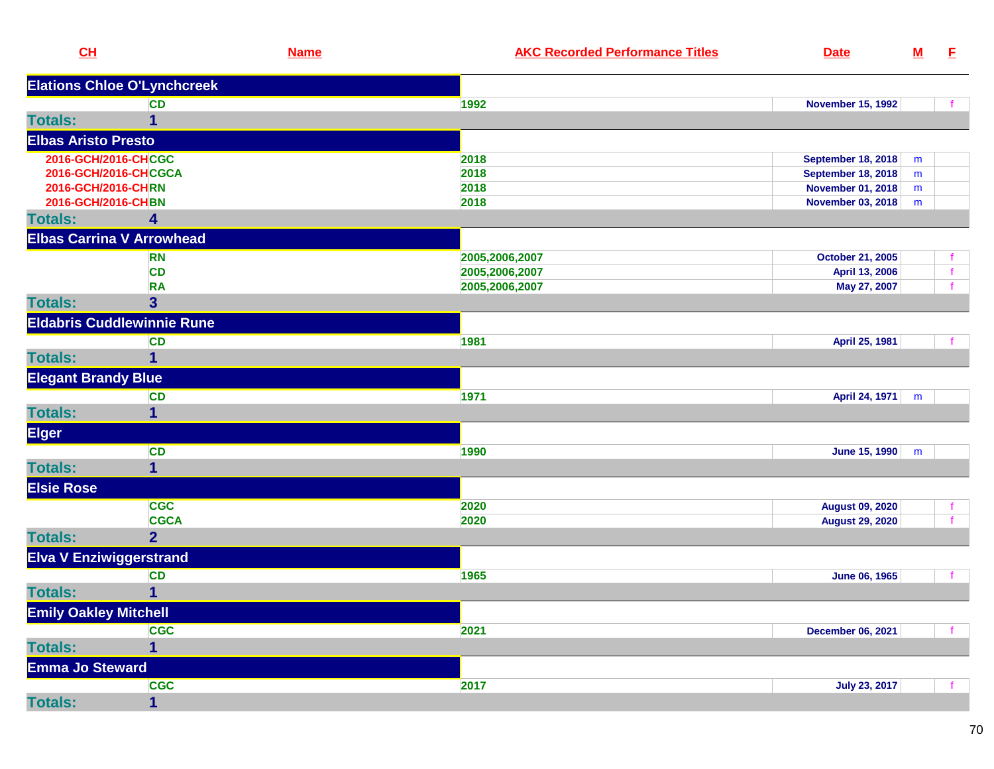| CL                                 | <b>Name</b>    | <b>AKC Recorded Performance Titles</b> | <b>Date</b>               | ${\bf M}$ | E. |
|------------------------------------|----------------|----------------------------------------|---------------------------|-----------|----|
| <b>Elations Chloe O'Lynchcreek</b> |                |                                        |                           |           |    |
|                                    | <b>CD</b>      | 1992                                   | <b>November 15, 1992</b>  |           |    |
| <b>Totals:</b>                     | 1              |                                        |                           |           |    |
| <b>Elbas Aristo Presto</b>         |                |                                        |                           |           |    |
| 2016-GCH/2016-CHCGC                |                | 2018                                   | <b>September 18, 2018</b> | m         |    |
| 2016-GCH/2016-CHCGCA               |                | 2018                                   | <b>September 18, 2018</b> | m         |    |
| 2016-GCH/2016-CHRN                 |                | 2018                                   | <b>November 01, 2018</b>  | m         |    |
| 2016-GCH/2016-CHBN                 |                | 2018                                   | <b>November 03, 2018</b>  | m         |    |
| <b>Totals:</b>                     | 4              |                                        |                           |           |    |
| <b>Elbas Carrina V Arrowhead</b>   |                |                                        |                           |           |    |
|                                    | <b>RN</b>      | 2005,2006,2007                         | <b>October 21, 2005</b>   |           |    |
|                                    | <b>CD</b>      | 2005,2006,2007                         | April 13, 2006            |           | f  |
|                                    | <b>RA</b>      | 2005,2006,2007                         | May 27, 2007              |           |    |
| <b>Totals:</b>                     | 3 <sup>5</sup> |                                        |                           |           |    |
| <b>Eldabris Cuddlewinnie Rune</b>  |                |                                        |                           |           |    |
|                                    | <b>CD</b>      | 1981                                   | April 25, 1981            |           |    |
| <b>Totals:</b>                     | 1              |                                        |                           |           |    |
| <b>Elegant Brandy Blue</b>         |                |                                        |                           |           |    |
|                                    | <b>CD</b>      | 1971                                   | April 24, 1971            | m         |    |
| <b>Totals:</b>                     | 1              |                                        |                           |           |    |
| <b>Elger</b>                       |                |                                        |                           |           |    |
|                                    | <b>CD</b>      | 1990                                   | <b>June 15, 1990</b>      | m         |    |
| <b>Totals:</b>                     | $\mathbf{1}$   |                                        |                           |           |    |
| <b>Elsie Rose</b>                  |                |                                        |                           |           |    |
|                                    | <b>CGC</b>     | 2020                                   | <b>August 09, 2020</b>    |           |    |
|                                    | <b>CGCA</b>    | 2020                                   | <b>August 29, 2020</b>    |           |    |
| <b>Totals:</b>                     | $\overline{2}$ |                                        |                           |           |    |
| <b>Elva V Enziwiggerstrand</b>     |                |                                        |                           |           |    |
|                                    | <b>CD</b>      | 1965                                   | <b>June 06, 1965</b>      |           |    |
| <b>Totals:</b>                     | 1              |                                        |                           |           |    |
| <b>Emily Oakley Mitchell</b>       |                |                                        |                           |           |    |
|                                    | <b>CGC</b>     | 2021                                   | <b>December 06, 2021</b>  |           |    |
| <b>Totals:</b>                     | 1              |                                        |                           |           |    |
| <b>Emma Jo Steward</b>             |                |                                        |                           |           |    |
|                                    | <b>CGC</b>     | 2017                                   | <b>July 23, 2017</b>      |           |    |
| <b>Totals:</b>                     | $\mathbf{1}$   |                                        |                           |           |    |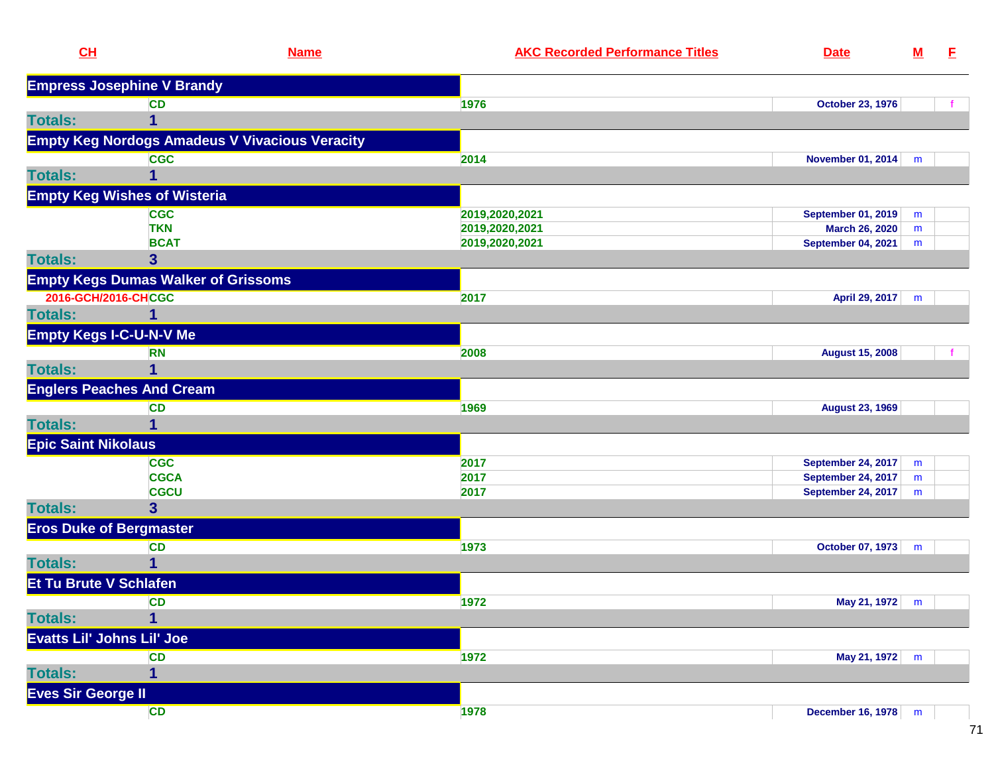| CL                                | <b>Name</b>                                           | <b>AKC Recorded Performance Titles</b> | <b>Date</b>               | $\underline{\mathsf{M}}$ | E. |
|-----------------------------------|-------------------------------------------------------|----------------------------------------|---------------------------|--------------------------|----|
|                                   | <b>Empress Josephine V Brandy</b>                     |                                        |                           |                          |    |
|                                   | <b>CD</b>                                             | 1976                                   | <b>October 23, 1976</b>   |                          |    |
| <b>Totals:</b>                    | 1                                                     |                                        |                           |                          |    |
|                                   | <b>Empty Keg Nordogs Amadeus V Vivacious Veracity</b> |                                        |                           |                          |    |
|                                   | <b>CGC</b>                                            | 2014                                   | <b>November 01, 2014</b>  | m                        |    |
| <b>Totals:</b>                    | 1                                                     |                                        |                           |                          |    |
|                                   | <b>Empty Keg Wishes of Wisteria</b>                   |                                        |                           |                          |    |
|                                   | <b>CGC</b>                                            | 2019,2020,2021                         | <b>September 01, 2019</b> | m                        |    |
|                                   | <b>TKN</b>                                            | 2019,2020,2021                         | <b>March 26, 2020</b>     | m                        |    |
|                                   | <b>BCAT</b>                                           | 2019,2020,2021                         | <b>September 04, 2021</b> | m                        |    |
| <b>Totals:</b>                    | 3                                                     |                                        |                           |                          |    |
|                                   | <b>Empty Kegs Dumas Walker of Grissoms</b>            |                                        |                           |                          |    |
| 2016-GCH/2016-CHCGC               |                                                       | 2017                                   | April 29, 2017            | m                        |    |
| <b>Totals:</b>                    | 1                                                     |                                        |                           |                          |    |
| <b>Empty Kegs I-C-U-N-V Me</b>    |                                                       |                                        |                           |                          |    |
|                                   | <b>RN</b>                                             | 2008                                   | <b>August 15, 2008</b>    |                          |    |
| <b>Totals:</b>                    | 1                                                     |                                        |                           |                          |    |
|                                   | <b>Englers Peaches And Cream</b>                      |                                        |                           |                          |    |
|                                   | <b>CD</b>                                             | 1969                                   | <b>August 23, 1969</b>    |                          |    |
| <b>Totals:</b>                    | 1                                                     |                                        |                           |                          |    |
| <b>Epic Saint Nikolaus</b>        |                                                       |                                        |                           |                          |    |
|                                   | <b>CGC</b>                                            | 2017                                   | <b>September 24, 2017</b> | m                        |    |
|                                   | <b>CGCA</b>                                           | 2017                                   | <b>September 24, 2017</b> | m                        |    |
|                                   | <b>CGCU</b>                                           | 2017                                   | <b>September 24, 2017</b> | m                        |    |
| <b>Totals:</b>                    | $\overline{\mathbf{3}}$                               |                                        |                           |                          |    |
| <b>Eros Duke of Bergmaster</b>    |                                                       |                                        |                           |                          |    |
|                                   | <b>CD</b>                                             | 1973                                   | <b>October 07, 1973</b>   | m                        |    |
| <b>Totals:</b>                    | 1                                                     |                                        |                           |                          |    |
| <b>Et Tu Brute V Schlafen</b>     |                                                       |                                        |                           |                          |    |
|                                   | <b>CD</b>                                             | 1972                                   | May 21, 1972              | m                        |    |
| <b>Totals:</b>                    | 1                                                     |                                        |                           |                          |    |
| <b>Evatts Lil' Johns Lil' Joe</b> |                                                       |                                        |                           |                          |    |
|                                   | <b>CD</b>                                             | 1972                                   | May 21, 1972              | ${\sf m}$                |    |
| <b>Totals:</b>                    | 1                                                     |                                        |                           |                          |    |
| <b>Eves Sir George II</b>         |                                                       |                                        |                           |                          |    |
|                                   | CD                                                    | 1978                                   | <b>December 16, 1978</b>  | m                        |    |
|                                   |                                                       |                                        |                           |                          |    |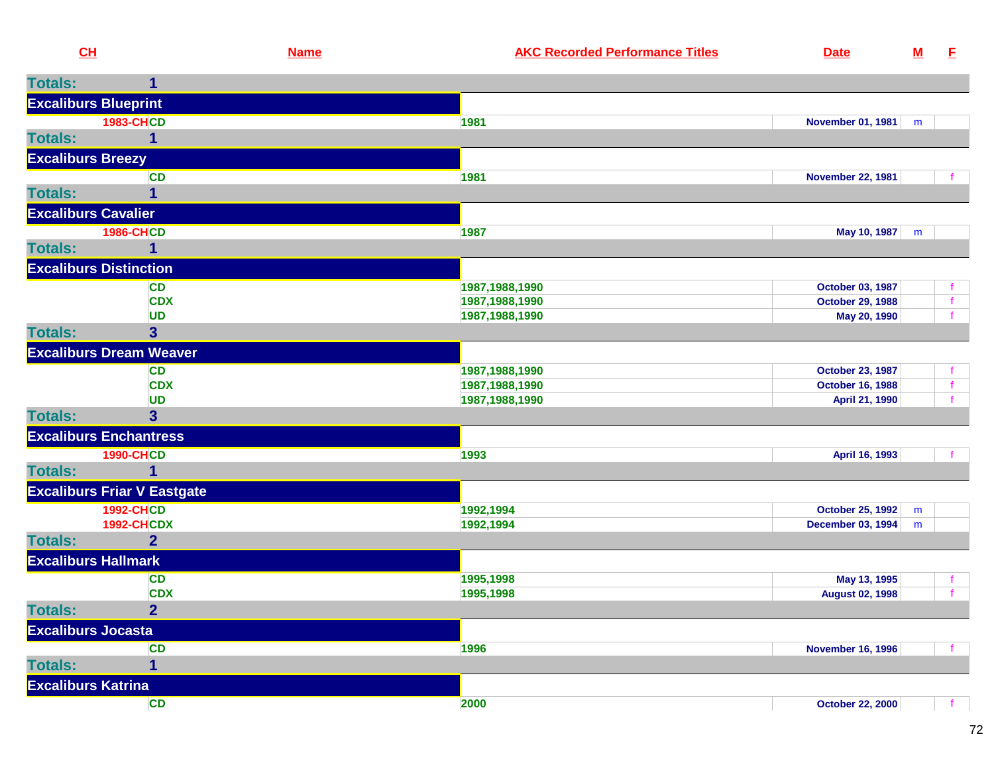| CH                         |                                    | <b>Name</b> | <b>AKC Recorded Performance Titles</b> | <b>Date</b>                                 | ${\bf M}$ | E            |
|----------------------------|------------------------------------|-------------|----------------------------------------|---------------------------------------------|-----------|--------------|
| <b>Totals:</b>             |                                    |             |                                        |                                             |           |              |
|                            | <b>Excaliburs Blueprint</b>        |             |                                        |                                             |           |              |
|                            | <b>1983-CHCD</b>                   |             | 1981                                   | November 01, 1981                           | m         |              |
| <b>Totals:</b>             |                                    |             |                                        |                                             |           |              |
| <b>Excaliburs Breezy</b>   |                                    |             |                                        |                                             |           |              |
|                            | <b>CD</b>                          |             | 1981                                   | <b>November 22, 1981</b>                    |           |              |
| <b>Totals:</b>             |                                    |             |                                        |                                             |           |              |
| <b>Excaliburs Cavalier</b> |                                    |             |                                        |                                             |           |              |
|                            | <b>1986-CHCD</b>                   |             | 1987                                   | May 10, 1987                                | m         |              |
| <b>Totals:</b>             |                                    |             |                                        |                                             |           |              |
|                            | <b>Excaliburs Distinction</b>      |             |                                        |                                             |           |              |
|                            | <b>CD</b>                          |             | 1987, 1988, 1990                       | October 03, 1987                            |           |              |
|                            | <b>CDX</b>                         |             | 1987, 1988, 1990                       | <b>October 29, 1988</b>                     |           | $\mathbf{f}$ |
| <b>Totals:</b>             | <b>UD</b><br>3 <sup>5</sup>        |             | 1987, 1988, 1990                       | May 20, 1990                                |           |              |
|                            |                                    |             |                                        |                                             |           |              |
|                            | <b>Excaliburs Dream Weaver</b>     |             |                                        |                                             |           |              |
|                            | <b>CD</b><br><b>CDX</b>            |             | 1987, 1988, 1990<br>1987, 1988, 1990   | October 23, 1987<br><b>October 16, 1988</b> |           |              |
|                            | <b>UD</b>                          |             | 1987, 1988, 1990                       | April 21, 1990                              |           |              |
| <b>Totals:</b>             | 3 <sup>1</sup>                     |             |                                        |                                             |           |              |
|                            | <b>Excaliburs Enchantress</b>      |             |                                        |                                             |           |              |
|                            | <b>1990-CHCD</b>                   |             | 1993                                   | April 16, 1993                              |           |              |
| <b>Totals:</b>             |                                    |             |                                        |                                             |           |              |
|                            | <b>Excaliburs Friar V Eastgate</b> |             |                                        |                                             |           |              |
|                            | <b>1992-CHCD</b>                   |             | 1992,1994                              | <b>October 25, 1992</b>                     | m         |              |
|                            | <b>1992-CHCDX</b>                  |             | 1992,1994                              | <b>December 03, 1994</b>                    | m         |              |
| <b>Totals:</b>             | $\overline{2}$                     |             |                                        |                                             |           |              |
|                            | <b>Excaliburs Hallmark</b>         |             |                                        |                                             |           |              |
|                            | <b>CD</b>                          |             | 1995,1998                              | May 13, 1995                                |           | Ť.           |
|                            | <b>CDX</b>                         |             | 1995,1998                              | <b>August 02, 1998</b>                      |           | $\mathbf{f}$ |
| Totals:                    | 2 <sup>1</sup>                     |             |                                        |                                             |           |              |
| <b>Excaliburs Jocasta</b>  |                                    |             |                                        |                                             |           |              |
|                            | <b>CD</b>                          |             | 1996                                   | <b>November 16, 1996</b>                    |           |              |
| <b>Totals:</b>             |                                    |             |                                        |                                             |           |              |
| <b>Excaliburs Katrina</b>  |                                    |             |                                        |                                             |           |              |
|                            | CD                                 |             | 2000                                   | <b>October 22, 2000</b>                     |           |              |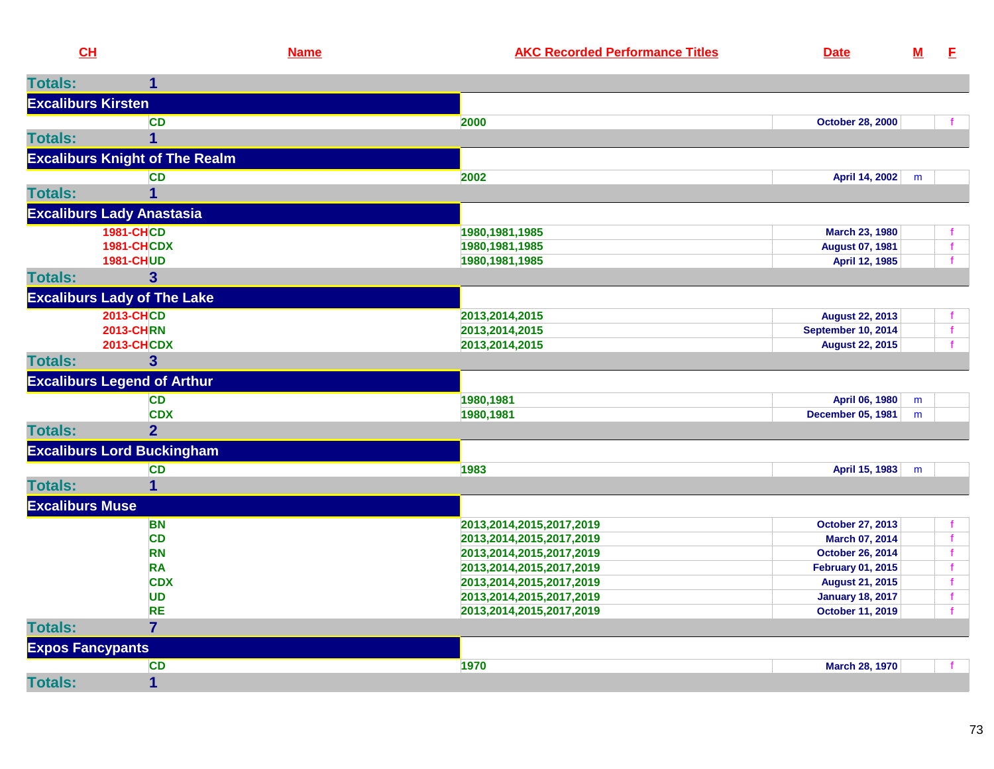| CL                        |                                       | <b>Name</b> | <b>AKC Recorded Performance Titles</b> | <b>Date</b>               | $\underline{\mathsf{M}}$ | E            |
|---------------------------|---------------------------------------|-------------|----------------------------------------|---------------------------|--------------------------|--------------|
| <b>Totals:</b>            | 1                                     |             |                                        |                           |                          |              |
| <b>Excaliburs Kirsten</b> |                                       |             |                                        |                           |                          |              |
|                           | <b>CD</b>                             |             | 2000                                   | <b>October 28, 2000</b>   |                          |              |
| <b>Totals:</b>            | $\overline{1}$                        |             |                                        |                           |                          |              |
|                           | <b>Excaliburs Knight of The Realm</b> |             |                                        |                           |                          |              |
|                           | <b>CD</b>                             |             | 2002                                   | April 14, 2002            | m                        |              |
| <b>Totals:</b>            | $\mathbf 1$                           |             |                                        |                           |                          |              |
|                           | <b>Excaliburs Lady Anastasia</b>      |             |                                        |                           |                          |              |
|                           | <b>1981-CHCD</b>                      |             | 1980, 1981, 1985                       | <b>March 23, 1980</b>     |                          |              |
|                           | <b>1981-CHCDX</b>                     |             | 1980, 1981, 1985                       | <b>August 07, 1981</b>    |                          | $\mathbf{f}$ |
|                           | <b>1981-CHUD</b>                      |             | 1980, 1981, 1985                       | April 12, 1985            |                          |              |
| <b>Totals:</b>            | 3 <sup>5</sup>                        |             |                                        |                           |                          |              |
|                           | <b>Excaliburs Lady of The Lake</b>    |             |                                        |                           |                          |              |
|                           | <b>2013-CHCD</b>                      |             | 2013,2014,2015                         | <b>August 22, 2013</b>    |                          |              |
|                           | <b>2013-CHRN</b>                      |             | 2013,2014,2015                         | <b>September 10, 2014</b> |                          | $\mathbf f$  |
|                           | <b>2013-CHCDX</b>                     |             | 2013,2014,2015                         | <b>August 22, 2015</b>    |                          |              |
| <b>Totals:</b>            | $\overline{\mathbf{3}}$               |             |                                        |                           |                          |              |
|                           | <b>Excaliburs Legend of Arthur</b>    |             |                                        |                           |                          |              |
|                           | <b>CD</b>                             |             | 1980,1981                              | April 06, 1980            | m                        |              |
|                           | <b>CDX</b>                            |             | 1980,1981                              | <b>December 05, 1981</b>  | m                        |              |
| <b>Totals:</b>            | $\overline{2}$                        |             |                                        |                           |                          |              |
|                           | <b>Excaliburs Lord Buckingham</b>     |             |                                        |                           |                          |              |
|                           | <b>CD</b>                             |             | 1983                                   | April 15, 1983            | m                        |              |
| <b>Totals:</b>            | $\mathbf 1$                           |             |                                        |                           |                          |              |
| <b>Excaliburs Muse</b>    |                                       |             |                                        |                           |                          |              |
|                           | <b>BN</b>                             |             | 2013,2014,2015,2017,2019               | <b>October 27, 2013</b>   |                          | f            |
|                           | <b>CD</b>                             |             | 2013, 2014, 2015, 2017, 2019           | March 07, 2014            |                          | f            |
|                           | <b>RN</b>                             |             | 2013,2014,2015,2017,2019               | <b>October 26, 2014</b>   |                          | $\mathbf f$  |
|                           | <b>RA</b>                             |             | 2013, 2014, 2015, 2017, 2019           | <b>February 01, 2015</b>  |                          | $\mathbf{f}$ |
|                           | <b>CDX</b>                            |             | 2013, 2014, 2015, 2017, 2019           | <b>August 21, 2015</b>    |                          |              |
|                           | <b>UD</b>                             |             | 2013, 2014, 2015, 2017, 2019           | <b>January 18, 2017</b>   |                          | $\mathbf f$  |
|                           | <b>RE</b>                             |             | 2013,2014,2015,2017,2019               | <b>October 11, 2019</b>   |                          |              |
| <b>Totals:</b>            | $\overline{7}$                        |             |                                        |                           |                          |              |
| <b>Expos Fancypants</b>   |                                       |             |                                        |                           |                          |              |
|                           | <b>CD</b>                             |             | 1970                                   | <b>March 28, 1970</b>     |                          | $\mathbf{f}$ |
| <b>Totals:</b>            | $\mathbf 1$                           |             |                                        |                           |                          |              |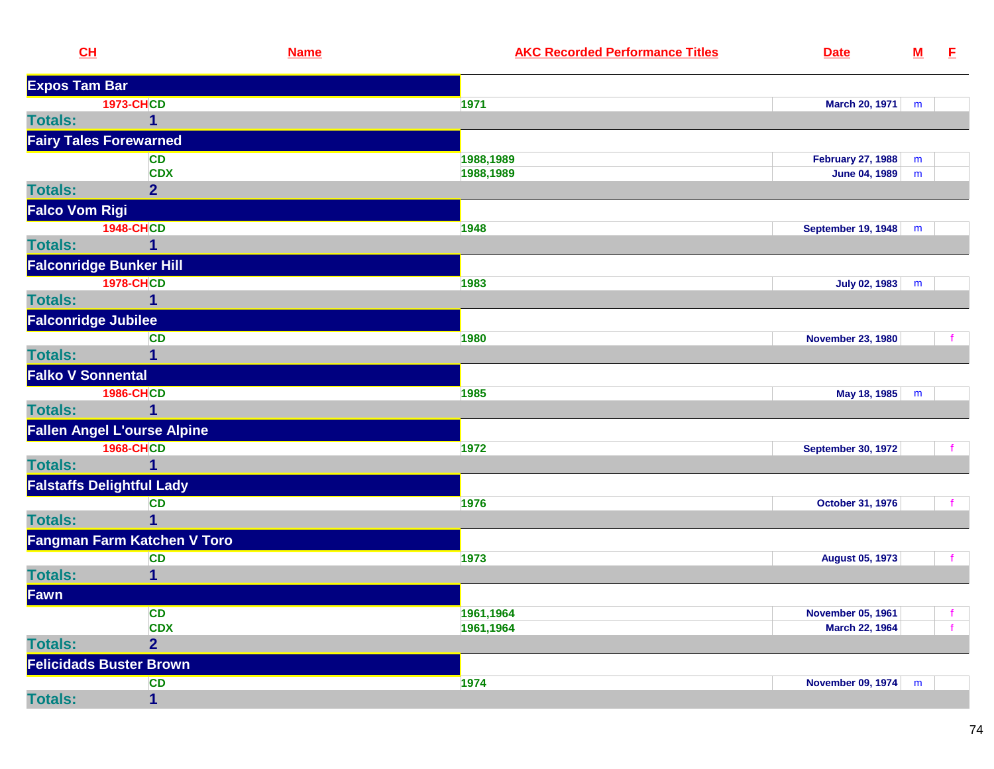| CL                       |                                    | <b>Name</b> | <b>AKC Recorded Performance Titles</b> | <b>Date</b>               | ${\bf M}$ | E            |
|--------------------------|------------------------------------|-------------|----------------------------------------|---------------------------|-----------|--------------|
| <b>Expos Tam Bar</b>     |                                    |             |                                        |                           |           |              |
|                          | <b>1973-CHCD</b>                   |             | 1971                                   | March 20, 1971            | m         |              |
| <b>Totals:</b>           | 1                                  |             |                                        |                           |           |              |
|                          | <b>Fairy Tales Forewarned</b>      |             |                                        |                           |           |              |
|                          | <b>CD</b>                          |             | 1988,1989                              | <b>February 27, 1988</b>  | m         |              |
|                          | <b>CDX</b>                         |             | 1988,1989                              | <b>June 04, 1989</b>      | m         |              |
| <b>Totals:</b>           | 2 <sup>1</sup>                     |             |                                        |                           |           |              |
| <b>Falco Vom Rigi</b>    |                                    |             |                                        |                           |           |              |
|                          | <b>1948-CHCD</b>                   |             | 1948                                   | <b>September 19, 1948</b> | m         |              |
| <b>Totals:</b>           | 1                                  |             |                                        |                           |           |              |
|                          | <b>Falconridge Bunker Hill</b>     |             |                                        |                           |           |              |
|                          | <b>1978-CHCD</b>                   |             | 1983                                   | July 02, 1983             | m         |              |
| <b>Totals:</b>           | 1                                  |             |                                        |                           |           |              |
|                          | <b>Falconridge Jubilee</b>         |             |                                        |                           |           |              |
|                          | <b>CD</b>                          |             | 1980                                   | <b>November 23, 1980</b>  |           |              |
| <b>Totals:</b>           | 1                                  |             |                                        |                           |           |              |
| <b>Falko V Sonnental</b> |                                    |             |                                        |                           |           |              |
|                          | <b>1986-CHCD</b>                   |             | 1985                                   | May 18, 1985              | m         |              |
| <b>Totals:</b>           |                                    |             |                                        |                           |           |              |
|                          | <b>Fallen Angel L'ourse Alpine</b> |             |                                        |                           |           |              |
|                          | <b>1968-CHCD</b>                   |             | 1972                                   | <b>September 30, 1972</b> |           |              |
| <b>Totals:</b>           | $\mathbf{1}$                       |             |                                        |                           |           |              |
|                          | <b>Falstaffs Delightful Lady</b>   |             |                                        |                           |           |              |
|                          | <b>CD</b>                          |             | 1976                                   | October 31, 1976          |           | $\mathbf{f}$ |
| <b>Totals:</b>           | 1                                  |             |                                        |                           |           |              |
|                          | Fangman Farm Katchen V Toro        |             |                                        |                           |           |              |
|                          | <b>CD</b>                          |             | 1973                                   | <b>August 05, 1973</b>    |           |              |
| <b>Totals:</b>           | 1                                  |             |                                        |                           |           |              |
| Fawn                     |                                    |             |                                        |                           |           |              |
|                          | <b>CD</b>                          |             | 1961,1964                              | <b>November 05, 1961</b>  |           | f.           |
|                          | <b>CDX</b>                         |             | 1961,1964                              | <b>March 22, 1964</b>     |           |              |
| <b>Totals:</b>           | $\overline{2}$                     |             |                                        |                           |           |              |
|                          | <b>Felicidads Buster Brown</b>     |             |                                        |                           |           |              |
|                          | <b>CD</b>                          |             | 1974                                   | November 09, 1974         | m         |              |
| <b>Totals:</b>           | $\mathbf{1}$                       |             |                                        |                           |           |              |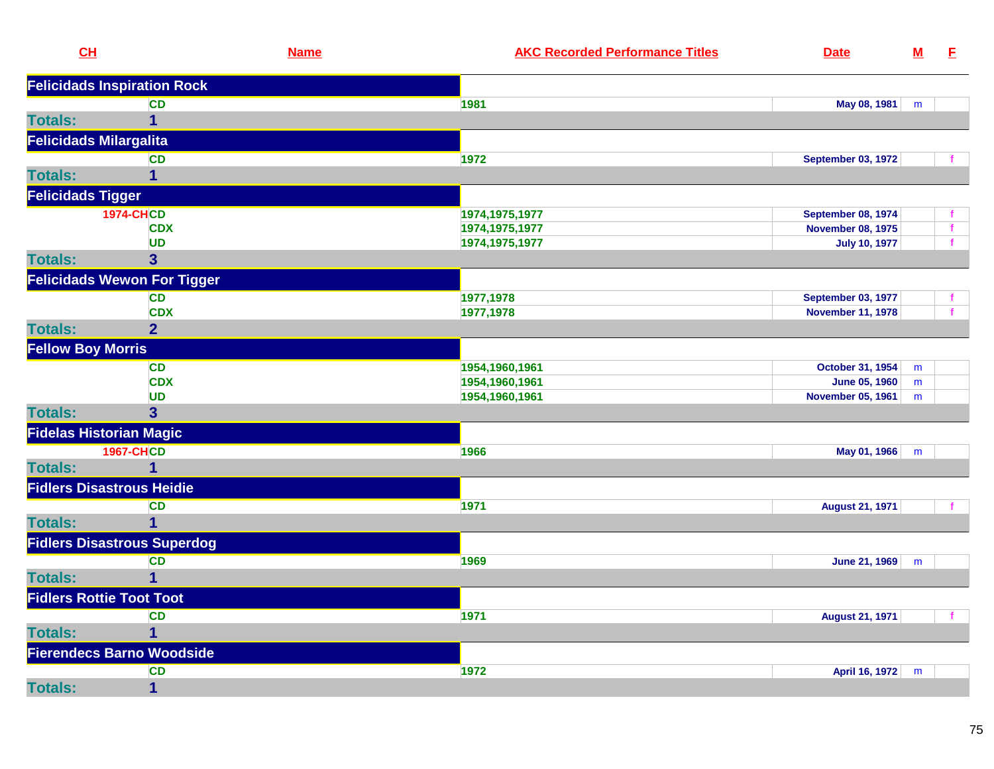| CL                               |                                    | <b>Name</b> | <b>AKC Recorded Performance Titles</b> | <b>Date</b>               | $M$ | E           |
|----------------------------------|------------------------------------|-------------|----------------------------------------|---------------------------|-----|-------------|
|                                  | <b>Felicidads Inspiration Rock</b> |             |                                        |                           |     |             |
|                                  | <b>CD</b>                          |             | 1981                                   | May 08, 1981              | m   |             |
| <b>Totals:</b>                   | $\overline{1}$                     |             |                                        |                           |     |             |
| <b>Felicidads Milargalita</b>    |                                    |             |                                        |                           |     |             |
|                                  | <b>CD</b>                          |             | 1972                                   | <b>September 03, 1972</b> |     |             |
| <b>Totals:</b>                   | $\mathbf 1$                        |             |                                        |                           |     |             |
| <b>Felicidads Tigger</b>         |                                    |             |                                        |                           |     |             |
|                                  | <b>1974-CHCD</b>                   |             | 1974, 1975, 1977                       | <b>September 08, 1974</b> |     |             |
|                                  | <b>CDX</b>                         |             | 1974, 1975, 1977                       | <b>November 08, 1975</b>  |     | f           |
|                                  | <b>UD</b>                          |             | 1974, 1975, 1977                       | <b>July 10, 1977</b>      |     | $\mathbf f$ |
| <b>Totals:</b>                   | 3                                  |             |                                        |                           |     |             |
|                                  | <b>Felicidads Wewon For Tigger</b> |             |                                        |                           |     |             |
|                                  | <b>CD</b>                          |             | 1977,1978                              | <b>September 03, 1977</b> |     |             |
|                                  | <b>CDX</b>                         |             | 1977,1978                              | <b>November 11, 1978</b>  |     |             |
| <b>Totals:</b>                   | $\overline{2}$                     |             |                                        |                           |     |             |
| <b>Fellow Boy Morris</b>         |                                    |             |                                        |                           |     |             |
|                                  | <b>CD</b>                          |             | 1954,1960,1961                         | <b>October 31, 1954</b>   | m   |             |
|                                  | <b>CDX</b>                         |             | 1954,1960,1961                         | <b>June 05, 1960</b>      | m   |             |
|                                  | <b>UD</b>                          |             | 1954,1960,1961                         | <b>November 05, 1961</b>  | m   |             |
| <b>Totals:</b>                   | 3                                  |             |                                        |                           |     |             |
| <b>Fidelas Historian Magic</b>   |                                    |             |                                        |                           |     |             |
|                                  | <b>1967-CHCD</b>                   |             | 1966                                   | May 01, 1966              | m   |             |
| <b>Totals:</b>                   | $\mathbf 1$                        |             |                                        |                           |     |             |
| <b>Fidlers Disastrous Heidie</b> |                                    |             |                                        |                           |     |             |
|                                  | <b>CD</b>                          |             | 1971                                   | <b>August 21, 1971</b>    |     |             |
| <b>Totals:</b>                   | $\overline{1}$                     |             |                                        |                           |     |             |
|                                  | <b>Fidlers Disastrous Superdog</b> |             |                                        |                           |     |             |
|                                  | <b>CD</b>                          |             | 1969                                   | June 21, 1969             | m   |             |
| <b>Totals:</b>                   | $\overline{1}$                     |             |                                        |                           |     |             |
| <b>Fidlers Rottie Toot Toot</b>  |                                    |             |                                        |                           |     |             |
|                                  | <b>CD</b>                          |             | 1971                                   | <b>August 21, 1971</b>    |     |             |
| <b>Totals:</b>                   | $\overline{1}$                     |             |                                        |                           |     |             |
|                                  | <b>Fierendecs Barno Woodside</b>   |             |                                        |                           |     |             |
|                                  | <b>CD</b>                          |             | 1972                                   | April 16, 1972            | m   |             |
| <b>Totals:</b>                   | $\mathbf{1}$                       |             |                                        |                           |     |             |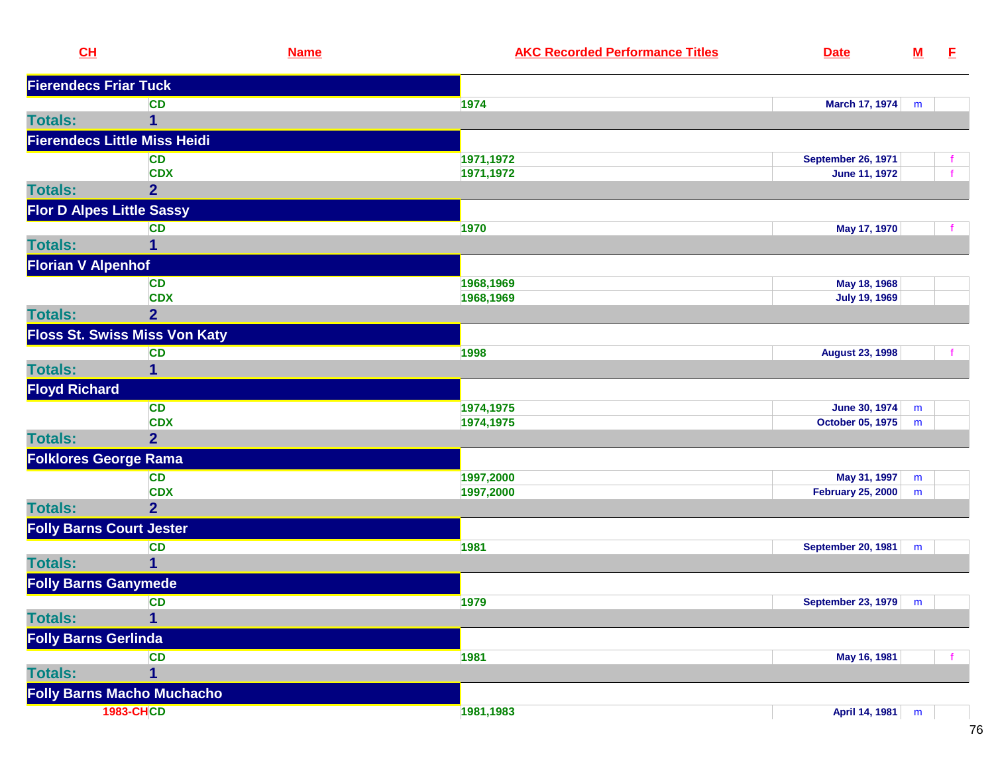| CL                          |                                      | <b>Name</b> | <b>AKC Recorded Performance Titles</b> | <b>Date</b>                 | $\underline{\mathsf{M}}$ | E |
|-----------------------------|--------------------------------------|-------------|----------------------------------------|-----------------------------|--------------------------|---|
|                             | <b>Fierendecs Friar Tuck</b>         |             |                                        |                             |                          |   |
|                             | <b>CD</b>                            |             | 1974                                   | <b>March 17, 1974</b>       | m                        |   |
| <b>Totals:</b>              | 1                                    |             |                                        |                             |                          |   |
|                             | <b>Fierendecs Little Miss Heidi</b>  |             |                                        |                             |                          |   |
|                             | <b>CD</b>                            |             | 1971,1972                              | <b>September 26, 1971</b>   |                          |   |
|                             | <b>CDX</b>                           |             | 1971,1972                              | <b>June 11, 1972</b>        |                          |   |
| <b>Totals:</b>              | $\overline{2}$                       |             |                                        |                             |                          |   |
|                             | <b>Flor D Alpes Little Sassy</b>     |             |                                        |                             |                          |   |
|                             | <b>CD</b>                            |             | 1970                                   | May 17, 1970                |                          |   |
| <b>Totals:</b>              | 1                                    |             |                                        |                             |                          |   |
| <b>Florian V Alpenhof</b>   |                                      |             |                                        |                             |                          |   |
|                             | <b>CD</b>                            |             | 1968,1969                              | May 18, 1968                |                          |   |
|                             | <b>CDX</b>                           |             | 1968,1969                              | <b>July 19, 1969</b>        |                          |   |
| <b>Totals:</b>              | $\overline{2}$                       |             |                                        |                             |                          |   |
|                             | <b>Floss St. Swiss Miss Von Katy</b> |             |                                        |                             |                          |   |
|                             | <b>CD</b>                            |             | 1998                                   | <b>August 23, 1998</b>      |                          |   |
| <b>Totals:</b>              | 1                                    |             |                                        |                             |                          |   |
| <b>Floyd Richard</b>        |                                      |             |                                        |                             |                          |   |
|                             | <b>CD</b>                            |             | 1974,1975                              | <b>June 30, 1974</b>        | m                        |   |
|                             | <b>CDX</b>                           |             | 1974,1975                              | October 05, 1975            | m                        |   |
| <b>Totals:</b>              | $\overline{2}$                       |             |                                        |                             |                          |   |
|                             | <b>Folklores George Rama</b>         |             |                                        |                             |                          |   |
|                             | <b>CD</b>                            |             | 1997,2000                              | May 31, 1997                | m                        |   |
|                             | <b>CDX</b>                           |             | 1997,2000                              | <b>February 25, 2000</b>    | m                        |   |
| <b>Totals:</b>              | $\overline{2}$                       |             |                                        |                             |                          |   |
|                             | <b>Folly Barns Court Jester</b>      |             |                                        |                             |                          |   |
|                             | <b>CD</b>                            |             | 1981                                   | <b>September 20, 1981</b>   | m                        |   |
| <b>Totals:</b>              | 1                                    |             |                                        |                             |                          |   |
|                             | <b>Folly Barns Ganymede</b>          |             |                                        |                             |                          |   |
|                             | <b>CD</b>                            |             | 1979                                   | <b>September 23, 1979</b> m |                          |   |
| <b>Totals:</b>              | $\overline{\mathbf{1}}$              |             |                                        |                             |                          |   |
| <b>Folly Barns Gerlinda</b> |                                      |             |                                        |                             |                          |   |
|                             | <b>CD</b>                            |             | 1981                                   | May 16, 1981                |                          |   |
| <b>Totals:</b>              | 1                                    |             |                                        |                             |                          |   |
|                             | <b>Folly Barns Macho Muchacho</b>    |             |                                        |                             |                          |   |
|                             | <b>1983-CHCD</b>                     |             | 1981,1983                              | April 14, 1981              | m                        |   |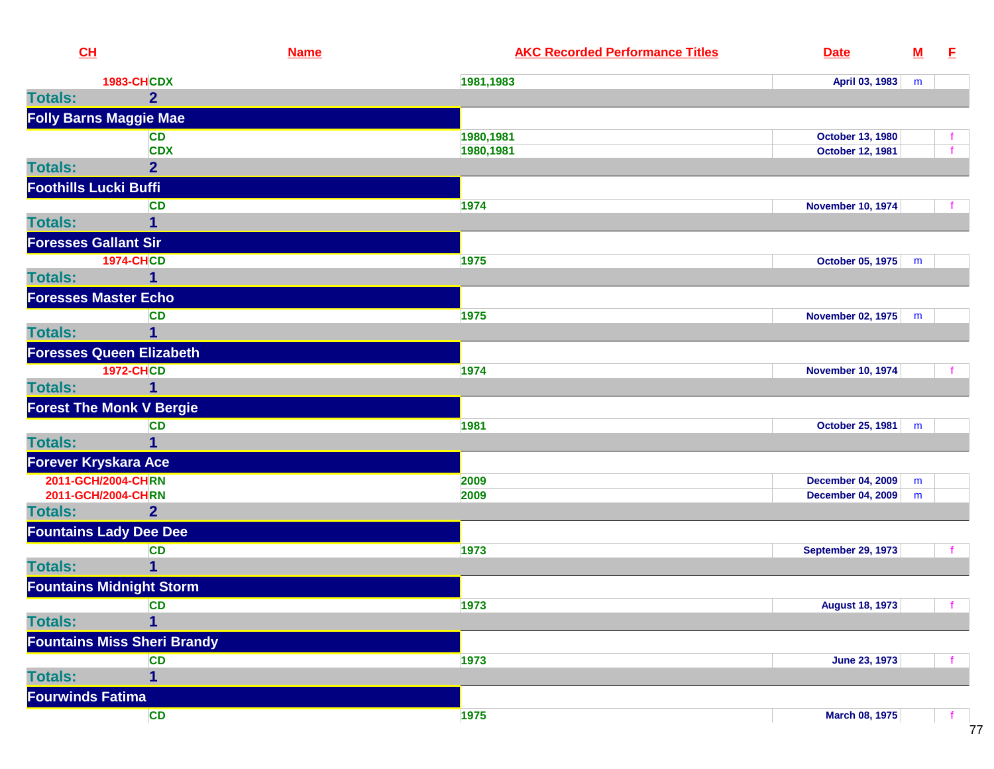| CH                           |                                    | <b>Name</b> | <b>AKC Recorded Performance Titles</b> | <b>Date</b>               | ${\bf M}$ | E |
|------------------------------|------------------------------------|-------------|----------------------------------------|---------------------------|-----------|---|
|                              | <b>1983-CHCDX</b>                  |             | 1981,1983                              | April 03, 1983            | m         |   |
| <b>Totals:</b>               | $\overline{2}$                     |             |                                        |                           |           |   |
|                              | <b>Folly Barns Maggie Mae</b>      |             |                                        |                           |           |   |
|                              | <b>CD</b>                          |             | 1980,1981                              | <b>October 13, 1980</b>   |           |   |
|                              | <b>CDX</b>                         |             | 1980,1981                              | <b>October 12, 1981</b>   |           |   |
| <b>Totals:</b>               | $\overline{2}$                     |             |                                        |                           |           |   |
| <b>Foothills Lucki Buffi</b> |                                    |             |                                        |                           |           |   |
|                              | <b>CD</b>                          |             | 1974                                   | <b>November 10, 1974</b>  |           |   |
| <b>Totals:</b>               | $\mathbf{1}$                       |             |                                        |                           |           |   |
| <b>Foresses Gallant Sir</b>  |                                    |             |                                        |                           |           |   |
|                              | <b>1974-CHCD</b>                   |             | 1975                                   | October 05, 1975          | m         |   |
| <b>Totals:</b>               | 1                                  |             |                                        |                           |           |   |
| <b>Foresses Master Echo</b>  |                                    |             |                                        |                           |           |   |
|                              | <b>CD</b>                          |             | 1975                                   | <b>November 02, 1975</b>  | m         |   |
| <b>Totals:</b>               | $\overline{1}$                     |             |                                        |                           |           |   |
|                              | <b>Foresses Queen Elizabeth</b>    |             |                                        |                           |           |   |
|                              | <b>1972-CHCD</b>                   |             | 1974                                   | <b>November 10, 1974</b>  |           |   |
| <b>Totals:</b>               | $\mathbf{1}$                       |             |                                        |                           |           |   |
|                              | <b>Forest The Monk V Bergie</b>    |             |                                        |                           |           |   |
|                              | CD                                 |             | 1981                                   | October 25, 1981          | m         |   |
| <b>Totals:</b>               | 1                                  |             |                                        |                           |           |   |
| Forever Kryskara Ace         |                                    |             |                                        |                           |           |   |
|                              | 2011-GCH/2004-CHRN                 |             | 2009                                   | <b>December 04, 2009</b>  | m         |   |
|                              | 2011-GCH/2004-CHRN                 |             | 2009                                   | <b>December 04, 2009</b>  | m         |   |
| <b>Totals:</b>               | $\overline{2}$                     |             |                                        |                           |           |   |
|                              | <b>Fountains Lady Dee Dee</b>      |             |                                        |                           |           |   |
|                              | <b>CD</b>                          |             | 1973                                   | <b>September 29, 1973</b> |           |   |
| <b>Totals:</b>               | $\mathbf{1}$                       |             |                                        |                           |           |   |
|                              | <b>Fountains Midnight Storm</b>    |             |                                        |                           |           |   |
|                              | <b>CD</b>                          |             | 1973                                   | <b>August 18, 1973</b>    |           |   |
| <b>Totals:</b>               | $\overline{1}$                     |             |                                        |                           |           |   |
|                              | <b>Fountains Miss Sheri Brandy</b> |             |                                        |                           |           |   |
|                              | CD                                 |             | 1973                                   | <b>June 23, 1973</b>      |           |   |
| <b>Totals:</b>               | $\mathbf{1}$                       |             |                                        |                           |           |   |
| <b>Fourwinds Fatima</b>      |                                    |             |                                        |                           |           |   |
|                              | <b>CD</b>                          |             | 1975                                   | <b>March 08, 1975</b>     |           |   |
|                              |                                    |             |                                        |                           |           |   |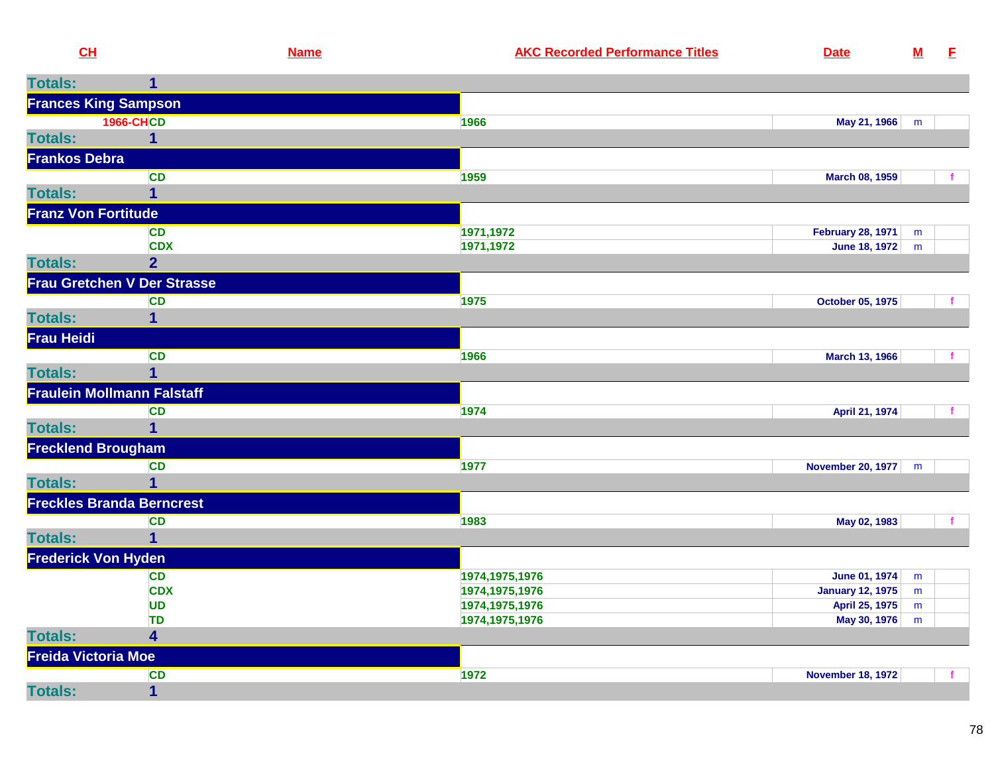| CH                   |                                    | <b>Name</b> | <b>AKC Recorded Performance Titles</b> | <b>Date</b>                    | ${\bf M}$ | E |
|----------------------|------------------------------------|-------------|----------------------------------------|--------------------------------|-----------|---|
| <b>Totals:</b>       | 1                                  |             |                                        |                                |           |   |
|                      | <b>Frances King Sampson</b>        |             |                                        |                                |           |   |
|                      | <b>1966-CHCD</b>                   |             | 1966                                   | May 21, 1966                   | m         |   |
| <b>Totals:</b>       | 1                                  |             |                                        |                                |           |   |
| <b>Frankos Debra</b> |                                    |             |                                        |                                |           |   |
|                      | <b>CD</b>                          |             | 1959                                   | March 08, 1959                 |           |   |
| <b>Totals:</b>       |                                    |             |                                        |                                |           |   |
|                      | <b>Franz Von Fortitude</b>         |             |                                        |                                |           |   |
|                      | <b>CD</b>                          |             | 1971,1972                              | <b>February 28, 1971</b>       | m         |   |
|                      | <b>CDX</b>                         |             | 1971,1972                              | <b>June 18, 1972</b>           | m         |   |
| <b>Totals:</b>       | $\overline{2}$                     |             |                                        |                                |           |   |
|                      | <b>Frau Gretchen V Der Strasse</b> |             |                                        |                                |           |   |
|                      | <b>CD</b>                          |             | 1975                                   | October 05, 1975               |           |   |
| <b>Totals:</b>       |                                    |             |                                        |                                |           |   |
| <b>Frau Heidi</b>    |                                    |             |                                        |                                |           |   |
|                      | <b>CD</b>                          |             | 1966                                   | March 13, 1966                 |           |   |
| <b>Totals:</b>       | 1                                  |             |                                        |                                |           |   |
|                      | <b>Fraulein Mollmann Falstaff</b>  |             |                                        |                                |           |   |
|                      | <b>CD</b>                          |             | 1974                                   | April 21, 1974                 |           |   |
| <b>Totals:</b>       |                                    |             |                                        |                                |           |   |
|                      | <b>Frecklend Brougham</b>          |             |                                        |                                |           |   |
|                      | CD                                 |             | 1977                                   | <b>November 20, 1977</b>       | m         |   |
| <b>Totals:</b>       | 1                                  |             |                                        |                                |           |   |
|                      | <b>Freckles Branda Berncrest</b>   |             |                                        |                                |           |   |
|                      | <b>CD</b>                          |             | 1983                                   | May 02, 1983                   |           |   |
| <b>Totals:</b>       |                                    |             |                                        |                                |           |   |
|                      | <b>Frederick Von Hyden</b>         |             |                                        |                                |           |   |
|                      | <b>CD</b>                          |             | 1974, 1975, 1976                       | <b>June 01, 1974</b>           | m         |   |
|                      | <b>CDX</b>                         |             | 1974, 1975, 1976                       | <b>January 12, 1975</b>        | m         |   |
|                      | UD<br><b>TD</b>                    |             | 1974, 1975, 1976<br>1974, 1975, 1976   | April 25, 1975<br>May 30, 1976 | m<br>m    |   |
| <b>Totals:</b>       | 4                                  |             |                                        |                                |           |   |
| Freida Victoria Moe  |                                    |             |                                        |                                |           |   |
|                      | <b>CD</b>                          |             | 1972                                   | <b>November 18, 1972</b>       |           |   |
| <b>Totals:</b>       | $\mathbf{1}$                       |             |                                        |                                |           |   |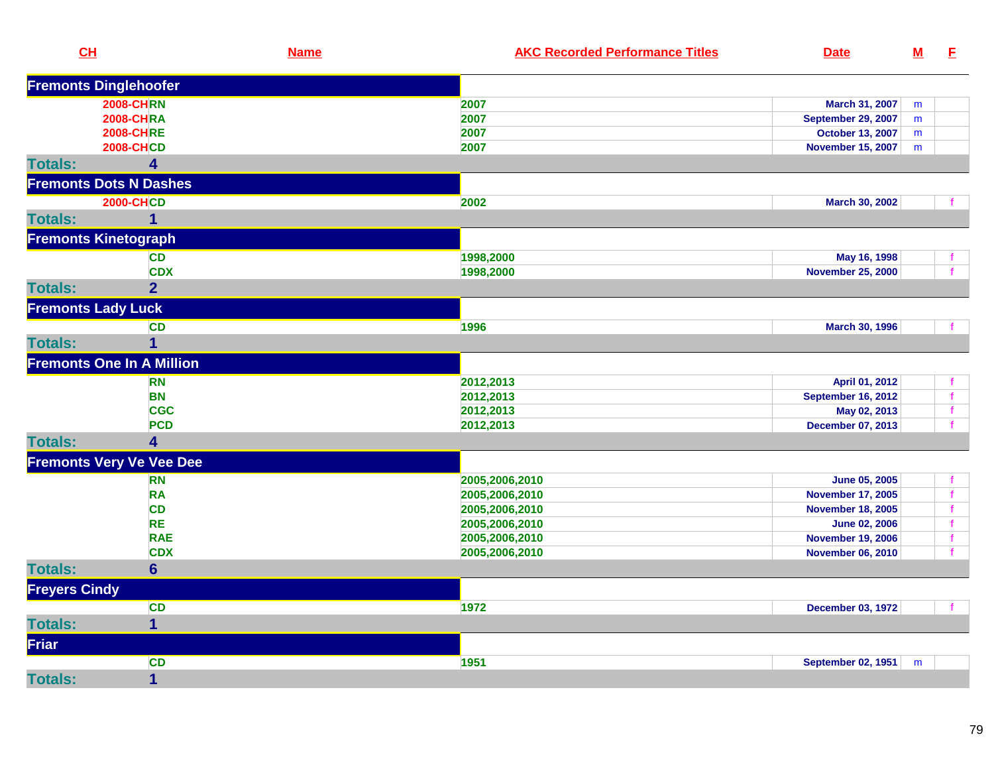| CH                          |                                  | <b>Name</b> | <b>AKC Recorded Performance Titles</b> | <b>Date</b>               | ${\bf M}$ | E            |
|-----------------------------|----------------------------------|-------------|----------------------------------------|---------------------------|-----------|--------------|
|                             | <b>Fremonts Dinglehoofer</b>     |             |                                        |                           |           |              |
|                             | <b>2008-CHRN</b>                 |             | 2007                                   | March 31, 2007            | m         |              |
|                             | <b>2008-CHRA</b>                 |             | 2007                                   | <b>September 29, 2007</b> | m         |              |
|                             | <b>2008-CHRE</b>                 |             | 2007                                   | October 13, 2007          | m         |              |
|                             | <b>2008-CHCD</b>                 |             | 2007                                   | <b>November 15, 2007</b>  | m         |              |
| <b>Totals:</b>              | 4                                |             |                                        |                           |           |              |
|                             | <b>Fremonts Dots N Dashes</b>    |             |                                        |                           |           |              |
|                             | <b>2000-CHCD</b>                 |             | 2002                                   | March 30, 2002            |           |              |
| <b>Totals:</b>              | $\mathbf 1$                      |             |                                        |                           |           |              |
| <b>Fremonts Kinetograph</b> |                                  |             |                                        |                           |           |              |
|                             | <b>CD</b>                        |             | 1998,2000                              | May 16, 1998              |           | f.           |
|                             | <b>CDX</b>                       |             | 1998,2000                              | <b>November 25, 2000</b>  |           | $\mathbf{f}$ |
| <b>Totals:</b>              | $\overline{2}$                   |             |                                        |                           |           |              |
| <b>Fremonts Lady Luck</b>   |                                  |             |                                        |                           |           |              |
|                             | <b>CD</b>                        |             | 1996                                   | March 30, 1996            |           | $\mathbf{f}$ |
| <b>Totals:</b>              | $\overline{1}$                   |             |                                        |                           |           |              |
|                             | <b>Fremonts One In A Million</b> |             |                                        |                           |           |              |
|                             | <b>RN</b>                        |             | 2012,2013                              | April 01, 2012            |           | $\mathbf f$  |
|                             | <b>BN</b>                        |             | 2012,2013                              | <b>September 16, 2012</b> |           | $\mathbf{f}$ |
|                             | <b>CGC</b>                       |             | 2012,2013                              | May 02, 2013              |           | f            |
|                             | <b>PCD</b>                       |             | 2012,2013                              | December 07, 2013         |           | $\mathbf{f}$ |
| <b>Totals:</b>              | 4                                |             |                                        |                           |           |              |
|                             | <b>Fremonts Very Ve Vee Dee</b>  |             |                                        |                           |           |              |
|                             | <b>RN</b>                        |             | 2005,2006,2010                         | June 05, 2005             |           | $\mathbf f$  |
|                             | <b>RA</b>                        |             | 2005,2006,2010                         | <b>November 17, 2005</b>  |           | $\mathbf{f}$ |
|                             | <b>CD</b>                        |             | 2005,2006,2010                         | <b>November 18, 2005</b>  |           | $\mathbf{f}$ |
|                             | <b>RE</b>                        |             | 2005,2006,2010                         | <b>June 02, 2006</b>      |           | $\mathbf{f}$ |
|                             | <b>RAE</b>                       |             | 2005,2006,2010                         | <b>November 19, 2006</b>  |           | $\mathbf{f}$ |
|                             | <b>CDX</b>                       |             | 2005,2006,2010                         | <b>November 06, 2010</b>  |           | $\mathbf{f}$ |
| <b>Totals:</b>              | $6\phantom{1}$                   |             |                                        |                           |           |              |
| <b>Freyers Cindy</b>        |                                  |             |                                        |                           |           |              |
|                             | <b>CD</b>                        |             | 1972                                   | <b>December 03, 1972</b>  |           |              |
| <b>Totals:</b>              | $\mathbf 1$                      |             |                                        |                           |           |              |
| Friar                       |                                  |             |                                        |                           |           |              |
|                             | <b>CD</b>                        |             | 1951                                   | <b>September 02, 1951</b> | m         |              |
| <b>Totals:</b>              | $\mathbf{1}$                     |             |                                        |                           |           |              |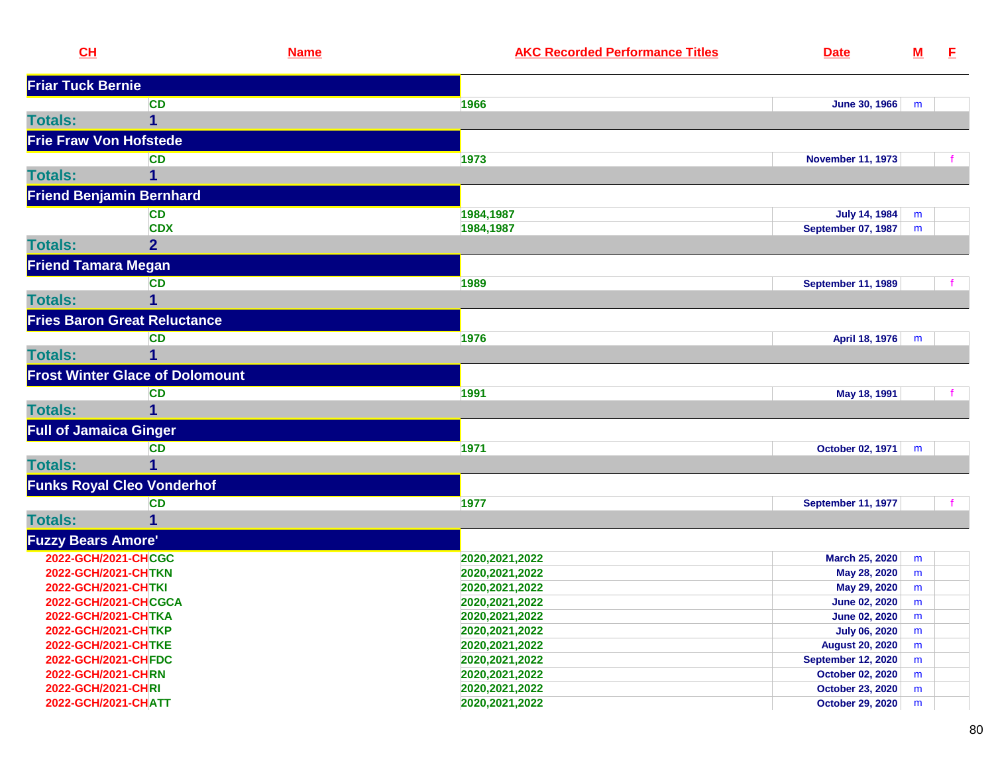| CH                              |                                        | <b>Name</b> | <b>AKC Recorded Performance Titles</b> | <b>Date</b>               | $\underline{\mathbf{M}}$ | E. |
|---------------------------------|----------------------------------------|-------------|----------------------------------------|---------------------------|--------------------------|----|
| <b>Friar Tuck Bernie</b>        |                                        |             |                                        |                           |                          |    |
|                                 | <b>CD</b>                              |             | 1966                                   | <b>June 30, 1966</b>      | m                        |    |
| <b>Totals:</b>                  | 1                                      |             |                                        |                           |                          |    |
| <b>Frie Fraw Von Hofstede</b>   |                                        |             |                                        |                           |                          |    |
|                                 | <b>CD</b>                              |             | 1973                                   | <b>November 11, 1973</b>  |                          |    |
| <b>Totals:</b>                  | 1                                      |             |                                        |                           |                          |    |
| <b>Friend Benjamin Bernhard</b> |                                        |             |                                        |                           |                          |    |
|                                 | <b>CD</b>                              |             | 1984,1987                              | <b>July 14, 1984</b>      | m                        |    |
|                                 | <b>CDX</b>                             |             | 1984,1987                              | September 07, 1987        | m                        |    |
| <b>Totals:</b>                  | $\overline{2}$                         |             |                                        |                           |                          |    |
| <b>Friend Tamara Megan</b>      |                                        |             |                                        |                           |                          |    |
|                                 | <b>CD</b>                              |             | 1989                                   | <b>September 11, 1989</b> |                          |    |
| <b>Totals:</b>                  | 1                                      |             |                                        |                           |                          |    |
|                                 | <b>Fries Baron Great Reluctance</b>    |             |                                        |                           |                          |    |
|                                 | <b>CD</b>                              |             | 1976                                   | April 18, 1976            | m                        |    |
| <b>Totals:</b>                  |                                        |             |                                        |                           |                          |    |
|                                 | <b>Frost Winter Glace of Dolomount</b> |             |                                        |                           |                          |    |
|                                 | <b>CD</b>                              |             | 1991                                   | May 18, 1991              |                          |    |
| <b>Totals:</b>                  | 1                                      |             |                                        |                           |                          |    |
| <b>Full of Jamaica Ginger</b>   |                                        |             |                                        |                           |                          |    |
|                                 | <b>CD</b>                              |             | 1971                                   | October 02, 1971          | m                        |    |
| <b>Totals:</b>                  |                                        |             |                                        |                           |                          |    |
|                                 | <b>Funks Royal Cleo Vonderhof</b>      |             |                                        |                           |                          |    |
|                                 | <b>CD</b>                              |             | 1977                                   | <b>September 11, 1977</b> |                          |    |
| <b>Totals:</b>                  | 1                                      |             |                                        |                           |                          |    |
| <b>Fuzzy Bears Amore'</b>       |                                        |             |                                        |                           |                          |    |
| 2022-GCH/2021-CHCGC             |                                        |             | 2020, 2021, 2022                       | March 25, 2020            | m                        |    |
| 2022-GCH/2021-CHTKN             |                                        |             | 2020, 2021, 2022                       | May 28, 2020              | m                        |    |
| 2022-GCH/2021-CHTKI             |                                        |             | 2020, 2021, 2022                       | May 29, 2020              | m                        |    |
| 2022-GCH/2021-CHCGCA            |                                        |             | 2020, 2021, 2022                       | <b>June 02, 2020</b>      | m                        |    |
| 2022-GCH/2021-CHTKA             |                                        |             | 2020, 2021, 2022                       | <b>June 02, 2020</b>      | m                        |    |
| 2022-GCH/2021-CHTKP             |                                        |             | 2020, 2021, 2022                       | <b>July 06, 2020</b>      | m                        |    |
| 2022-GCH/2021-CHTKE             |                                        |             | 2020, 2021, 2022                       | <b>August 20, 2020</b>    | m                        |    |
| 2022-GCH/2021-CHFDC             |                                        |             | 2020, 2021, 2022                       | <b>September 12, 2020</b> | m                        |    |
| 2022-GCH/2021-CHRN              |                                        |             | 2020, 2021, 2022                       | October 02, 2020          | m                        |    |
| 2022-GCH/2021-CHRI              |                                        |             | 2020, 2021, 2022                       | <b>October 23, 2020</b>   | m                        |    |
| 2022-GCH/2021-CHATT             |                                        |             | 2020, 2021, 2022                       | October 29, 2020          | m                        |    |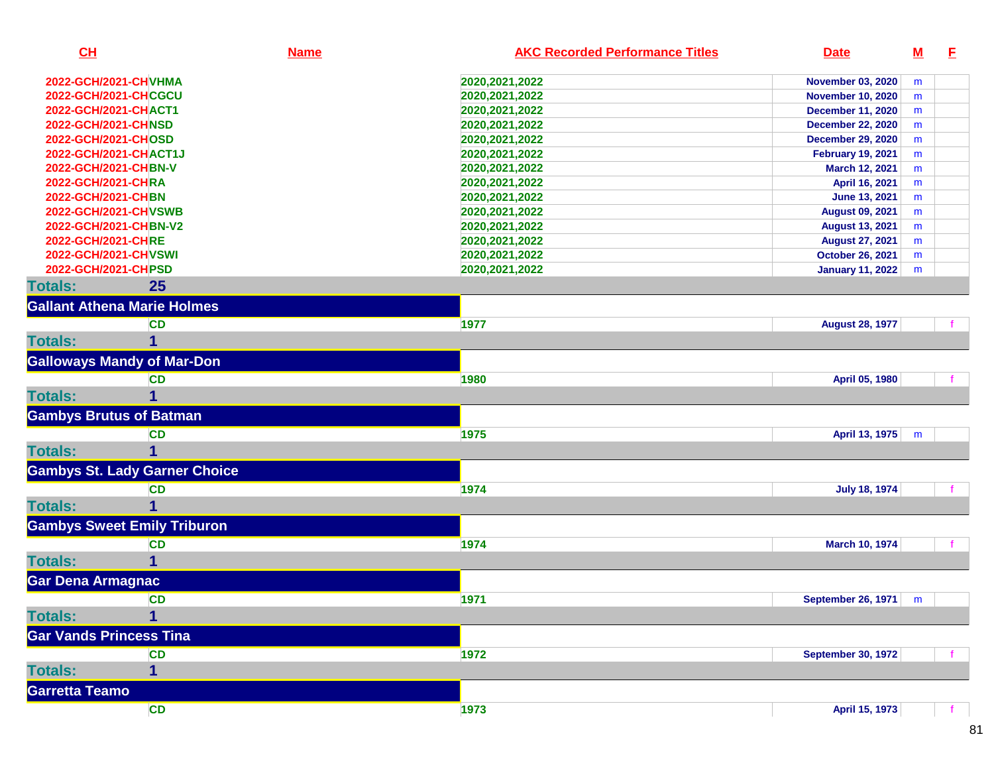| CL                                            |                                      | <b>Name</b> | <b>AKC Recorded Performance Titles</b> | <b>Date</b>                                       | ${\bf M}$ | E |
|-----------------------------------------------|--------------------------------------|-------------|----------------------------------------|---------------------------------------------------|-----------|---|
| 2022-GCH/2021-CHVHMA                          |                                      |             | 2020, 2021, 2022                       | <b>November 03, 2020</b>                          | m         |   |
| 2022-GCH/2021-CHCGCU                          |                                      |             | 2020, 2021, 2022                       | <b>November 10, 2020</b>                          | m         |   |
| 2022-GCH/2021-CHACT1                          |                                      |             | 2020, 2021, 2022                       | <b>December 11, 2020</b>                          | m         |   |
| 2022-GCH/2021-CHNSD                           |                                      |             | 2020, 2021, 2022                       | <b>December 22, 2020</b>                          | m         |   |
| 2022-GCH/2021-CHOSD                           |                                      |             | 2020, 2021, 2022                       | <b>December 29, 2020</b>                          | m         |   |
| 2022-GCH/2021-CHACT1J                         |                                      |             | 2020, 2021, 2022                       | <b>February 19, 2021</b>                          | m         |   |
| 2022-GCH/2021-CHBN-V                          |                                      |             | 2020, 2021, 2022                       | March 12, 2021                                    | m         |   |
| 2022-GCH/2021-CHRA                            |                                      |             | 2020, 2021, 2022                       | April 16, 2021                                    | m         |   |
| 2022-GCH/2021-CHBN                            |                                      |             | 2020, 2021, 2022                       | <b>June 13, 2021</b>                              | m         |   |
| 2022-GCH/2021-CHVSWB<br>2022-GCH/2021-CHBN-V2 |                                      |             | 2020, 2021, 2022                       | <b>August 09, 2021</b>                            | m         |   |
| 2022-GCH/2021-CHRE                            |                                      |             | 2020, 2021, 2022<br>2020, 2021, 2022   | <b>August 13, 2021</b>                            | m         |   |
| 2022-GCH/2021-CHVSWI                          |                                      |             | 2020, 2021, 2022                       | <b>August 27, 2021</b><br><b>October 26, 2021</b> | m<br>m    |   |
| 2022-GCH/2021-CHPSD                           |                                      |             | 2020, 2021, 2022                       | <b>January 11, 2022</b>                           | m         |   |
| <b>Totals:</b>                                | 25                                   |             |                                        |                                                   |           |   |
| <b>Gallant Athena Marie Holmes</b>            |                                      |             |                                        |                                                   |           |   |
|                                               | <b>CD</b>                            |             | 1977                                   | <b>August 28, 1977</b>                            |           |   |
| <b>Totals:</b>                                |                                      |             |                                        |                                                   |           |   |
| <b>Galloways Mandy of Mar-Don</b>             |                                      |             |                                        |                                                   |           |   |
|                                               | <b>CD</b>                            |             | 1980                                   | April 05, 1980                                    |           |   |
| <b>Totals:</b>                                |                                      |             |                                        |                                                   |           |   |
| <b>Gambys Brutus of Batman</b>                |                                      |             |                                        |                                                   |           |   |
|                                               | <b>CD</b>                            |             | 1975                                   | April 13, 1975                                    | m         |   |
| <b>Totals:</b>                                |                                      |             |                                        |                                                   |           |   |
|                                               | <b>Gambys St. Lady Garner Choice</b> |             |                                        |                                                   |           |   |
|                                               | <b>CD</b>                            |             | 1974                                   | <b>July 18, 1974</b>                              |           |   |
| <b>Totals:</b>                                |                                      |             |                                        |                                                   |           |   |
| <b>Gambys Sweet Emily Triburon</b>            |                                      |             |                                        |                                                   |           |   |
|                                               | <b>CD</b>                            |             | 1974                                   | March 10, 1974                                    |           |   |
| <b>Totals:</b>                                |                                      |             |                                        |                                                   |           |   |
| Gar Dena Armagnac                             |                                      |             |                                        |                                                   |           |   |
|                                               | <b>CD</b>                            |             | 1971                                   | <b>September 26, 1971</b>                         | m         |   |
| <b>Totals:</b>                                | 1                                    |             |                                        |                                                   |           |   |
| <b>Gar Vands Princess Tina</b>                |                                      |             |                                        |                                                   |           |   |
|                                               | <b>CD</b>                            |             | 1972                                   | <b>September 30, 1972</b>                         |           |   |
| <b>Totals:</b>                                | 1                                    |             |                                        |                                                   |           |   |
| <b>Garretta Teamo</b>                         |                                      |             |                                        |                                                   |           |   |
|                                               | <b>CD</b>                            |             | 1973                                   | April 15, 1973                                    |           |   |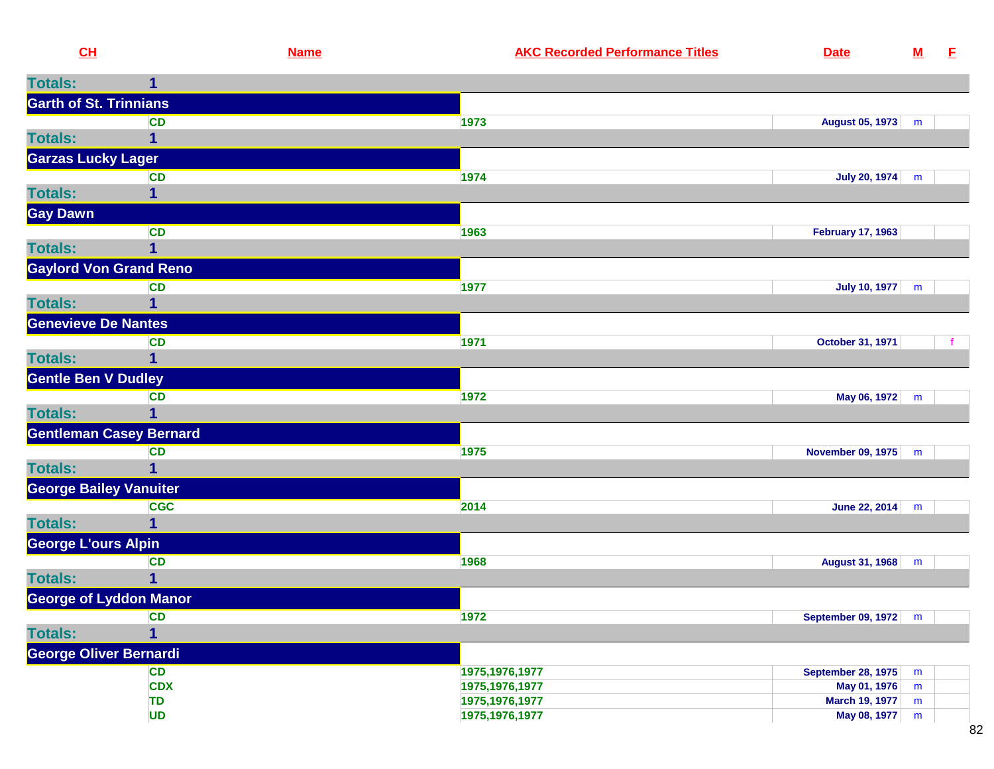| <b>Totals:</b><br>1<br><b>Garth of St. Trinnians</b><br><b>CD</b><br>1973<br>August 05, 1973<br>m<br>1<br><b>Garzas Lucky Lager</b><br><b>CD</b><br>1974<br>July 20, 1974<br>m<br>1<br><b>CD</b><br>1963<br><b>February 17, 1963</b><br><b>Totals:</b><br><b>Gaylord Von Grand Reno</b><br>1977<br>July 10, 1977<br><b>CD</b><br>m<br><b>Totals:</b><br>1<br><b>Genevieve De Nantes</b><br>1971<br>October 31, 1971<br><b>CD</b><br><b>Totals:</b><br><b>Gentle Ben V Dudley</b><br><b>CD</b><br>1972<br>May 06, 1972<br>m<br><b>Totals:</b><br><b>Gentleman Casey Bernard</b><br>November 09, 1975<br>1975<br><b>CD</b><br>m<br><b>Totals:</b><br>1<br><b>George Bailey Vanuiter</b><br><b>CGC</b><br>2014<br>June 22, 2014<br>m<br><b>Totals:</b><br><b>George L'ours Alpin</b><br><b>CD</b><br>1968<br>August 31, 1968<br>m<br><b>Totals:</b><br>George of Lyddon Manor<br>1972<br><b>September 09, 1972</b><br>CD<br>m<br><b>Totals:</b><br>1<br>George Oliver Bernardi<br><b>CD</b><br>1975, 1976, 1977<br><b>September 28, 1975</b><br>m<br><b>CDX</b><br>May 01, 1976<br>1975, 1976, 1977<br>m<br><b>TD</b><br>1975, 1976, 1977<br><b>March 19, 1977</b><br>m<br><b>UD</b><br>1975, 1976, 1977<br>May 08, 1977<br>${\sf m}$ | CH              | <b>Name</b> | <b>AKC Recorded Performance Titles</b> | <b>Date</b> | ${\bf M}$ | E |
|------------------------------------------------------------------------------------------------------------------------------------------------------------------------------------------------------------------------------------------------------------------------------------------------------------------------------------------------------------------------------------------------------------------------------------------------------------------------------------------------------------------------------------------------------------------------------------------------------------------------------------------------------------------------------------------------------------------------------------------------------------------------------------------------------------------------------------------------------------------------------------------------------------------------------------------------------------------------------------------------------------------------------------------------------------------------------------------------------------------------------------------------------------------------------------------------------------------------------------|-----------------|-------------|----------------------------------------|-------------|-----------|---|
|                                                                                                                                                                                                                                                                                                                                                                                                                                                                                                                                                                                                                                                                                                                                                                                                                                                                                                                                                                                                                                                                                                                                                                                                                                    |                 |             |                                        |             |           |   |
|                                                                                                                                                                                                                                                                                                                                                                                                                                                                                                                                                                                                                                                                                                                                                                                                                                                                                                                                                                                                                                                                                                                                                                                                                                    |                 |             |                                        |             |           |   |
|                                                                                                                                                                                                                                                                                                                                                                                                                                                                                                                                                                                                                                                                                                                                                                                                                                                                                                                                                                                                                                                                                                                                                                                                                                    |                 |             |                                        |             |           |   |
|                                                                                                                                                                                                                                                                                                                                                                                                                                                                                                                                                                                                                                                                                                                                                                                                                                                                                                                                                                                                                                                                                                                                                                                                                                    | <b>Totals:</b>  |             |                                        |             |           |   |
|                                                                                                                                                                                                                                                                                                                                                                                                                                                                                                                                                                                                                                                                                                                                                                                                                                                                                                                                                                                                                                                                                                                                                                                                                                    |                 |             |                                        |             |           |   |
|                                                                                                                                                                                                                                                                                                                                                                                                                                                                                                                                                                                                                                                                                                                                                                                                                                                                                                                                                                                                                                                                                                                                                                                                                                    |                 |             |                                        |             |           |   |
|                                                                                                                                                                                                                                                                                                                                                                                                                                                                                                                                                                                                                                                                                                                                                                                                                                                                                                                                                                                                                                                                                                                                                                                                                                    | <b>Totals:</b>  |             |                                        |             |           |   |
|                                                                                                                                                                                                                                                                                                                                                                                                                                                                                                                                                                                                                                                                                                                                                                                                                                                                                                                                                                                                                                                                                                                                                                                                                                    | <b>Gay Dawn</b> |             |                                        |             |           |   |
|                                                                                                                                                                                                                                                                                                                                                                                                                                                                                                                                                                                                                                                                                                                                                                                                                                                                                                                                                                                                                                                                                                                                                                                                                                    |                 |             |                                        |             |           |   |
|                                                                                                                                                                                                                                                                                                                                                                                                                                                                                                                                                                                                                                                                                                                                                                                                                                                                                                                                                                                                                                                                                                                                                                                                                                    |                 |             |                                        |             |           |   |
|                                                                                                                                                                                                                                                                                                                                                                                                                                                                                                                                                                                                                                                                                                                                                                                                                                                                                                                                                                                                                                                                                                                                                                                                                                    |                 |             |                                        |             |           |   |
|                                                                                                                                                                                                                                                                                                                                                                                                                                                                                                                                                                                                                                                                                                                                                                                                                                                                                                                                                                                                                                                                                                                                                                                                                                    |                 |             |                                        |             |           |   |
|                                                                                                                                                                                                                                                                                                                                                                                                                                                                                                                                                                                                                                                                                                                                                                                                                                                                                                                                                                                                                                                                                                                                                                                                                                    |                 |             |                                        |             |           |   |
|                                                                                                                                                                                                                                                                                                                                                                                                                                                                                                                                                                                                                                                                                                                                                                                                                                                                                                                                                                                                                                                                                                                                                                                                                                    |                 |             |                                        |             |           |   |
|                                                                                                                                                                                                                                                                                                                                                                                                                                                                                                                                                                                                                                                                                                                                                                                                                                                                                                                                                                                                                                                                                                                                                                                                                                    |                 |             |                                        |             |           |   |
|                                                                                                                                                                                                                                                                                                                                                                                                                                                                                                                                                                                                                                                                                                                                                                                                                                                                                                                                                                                                                                                                                                                                                                                                                                    |                 |             |                                        |             |           |   |
|                                                                                                                                                                                                                                                                                                                                                                                                                                                                                                                                                                                                                                                                                                                                                                                                                                                                                                                                                                                                                                                                                                                                                                                                                                    |                 |             |                                        |             |           |   |
|                                                                                                                                                                                                                                                                                                                                                                                                                                                                                                                                                                                                                                                                                                                                                                                                                                                                                                                                                                                                                                                                                                                                                                                                                                    |                 |             |                                        |             |           |   |
|                                                                                                                                                                                                                                                                                                                                                                                                                                                                                                                                                                                                                                                                                                                                                                                                                                                                                                                                                                                                                                                                                                                                                                                                                                    |                 |             |                                        |             |           |   |
|                                                                                                                                                                                                                                                                                                                                                                                                                                                                                                                                                                                                                                                                                                                                                                                                                                                                                                                                                                                                                                                                                                                                                                                                                                    |                 |             |                                        |             |           |   |
|                                                                                                                                                                                                                                                                                                                                                                                                                                                                                                                                                                                                                                                                                                                                                                                                                                                                                                                                                                                                                                                                                                                                                                                                                                    |                 |             |                                        |             |           |   |
|                                                                                                                                                                                                                                                                                                                                                                                                                                                                                                                                                                                                                                                                                                                                                                                                                                                                                                                                                                                                                                                                                                                                                                                                                                    |                 |             |                                        |             |           |   |
|                                                                                                                                                                                                                                                                                                                                                                                                                                                                                                                                                                                                                                                                                                                                                                                                                                                                                                                                                                                                                                                                                                                                                                                                                                    |                 |             |                                        |             |           |   |
|                                                                                                                                                                                                                                                                                                                                                                                                                                                                                                                                                                                                                                                                                                                                                                                                                                                                                                                                                                                                                                                                                                                                                                                                                                    |                 |             |                                        |             |           |   |
|                                                                                                                                                                                                                                                                                                                                                                                                                                                                                                                                                                                                                                                                                                                                                                                                                                                                                                                                                                                                                                                                                                                                                                                                                                    |                 |             |                                        |             |           |   |
|                                                                                                                                                                                                                                                                                                                                                                                                                                                                                                                                                                                                                                                                                                                                                                                                                                                                                                                                                                                                                                                                                                                                                                                                                                    |                 |             |                                        |             |           |   |
|                                                                                                                                                                                                                                                                                                                                                                                                                                                                                                                                                                                                                                                                                                                                                                                                                                                                                                                                                                                                                                                                                                                                                                                                                                    |                 |             |                                        |             |           |   |
|                                                                                                                                                                                                                                                                                                                                                                                                                                                                                                                                                                                                                                                                                                                                                                                                                                                                                                                                                                                                                                                                                                                                                                                                                                    |                 |             |                                        |             |           |   |
|                                                                                                                                                                                                                                                                                                                                                                                                                                                                                                                                                                                                                                                                                                                                                                                                                                                                                                                                                                                                                                                                                                                                                                                                                                    |                 |             |                                        |             |           |   |
|                                                                                                                                                                                                                                                                                                                                                                                                                                                                                                                                                                                                                                                                                                                                                                                                                                                                                                                                                                                                                                                                                                                                                                                                                                    |                 |             |                                        |             |           |   |
|                                                                                                                                                                                                                                                                                                                                                                                                                                                                                                                                                                                                                                                                                                                                                                                                                                                                                                                                                                                                                                                                                                                                                                                                                                    |                 |             |                                        |             |           |   |
|                                                                                                                                                                                                                                                                                                                                                                                                                                                                                                                                                                                                                                                                                                                                                                                                                                                                                                                                                                                                                                                                                                                                                                                                                                    |                 |             |                                        |             |           |   |
|                                                                                                                                                                                                                                                                                                                                                                                                                                                                                                                                                                                                                                                                                                                                                                                                                                                                                                                                                                                                                                                                                                                                                                                                                                    |                 |             |                                        |             |           |   |
|                                                                                                                                                                                                                                                                                                                                                                                                                                                                                                                                                                                                                                                                                                                                                                                                                                                                                                                                                                                                                                                                                                                                                                                                                                    |                 |             |                                        |             |           |   |
|                                                                                                                                                                                                                                                                                                                                                                                                                                                                                                                                                                                                                                                                                                                                                                                                                                                                                                                                                                                                                                                                                                                                                                                                                                    |                 |             |                                        |             |           |   |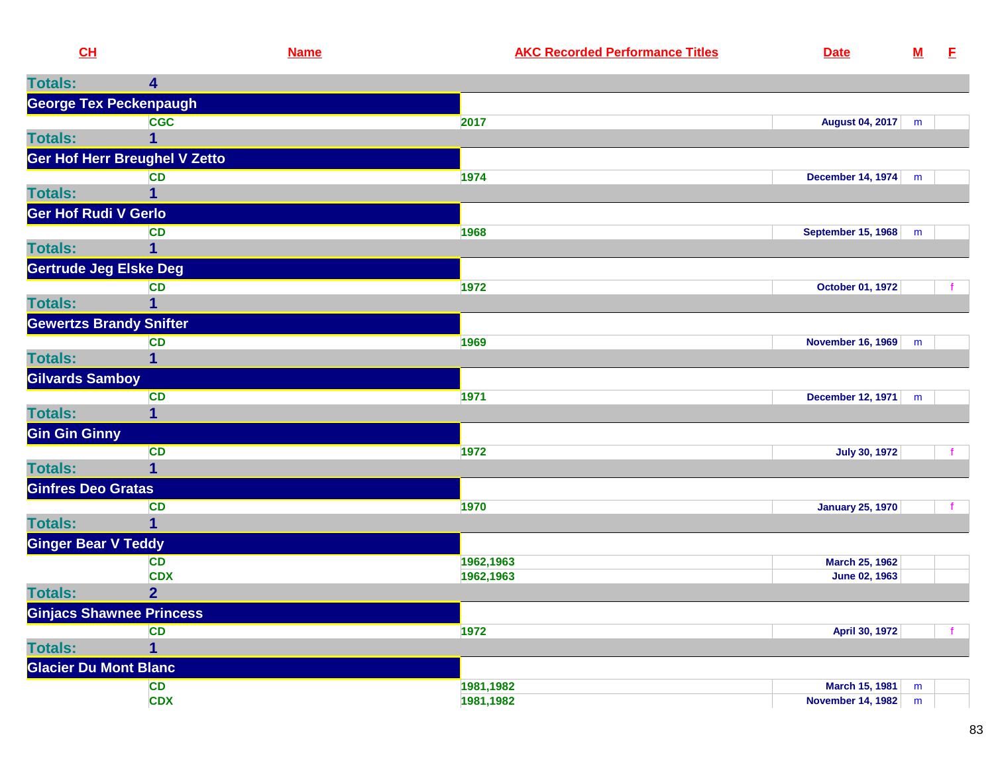| CH                             |                                 | <b>Name</b>            | <b>AKC Recorded Performance Titles</b> | <b>Date</b>                     | ${\bf M}$ | E |
|--------------------------------|---------------------------------|------------------------|----------------------------------------|---------------------------------|-----------|---|
| <b>Totals:</b>                 | 4                               |                        |                                        |                                 |           |   |
|                                | <b>George Tex Peckenpaugh</b>   |                        |                                        |                                 |           |   |
|                                | <b>CGC</b>                      | 2017                   |                                        | August 04, 2017   m             |           |   |
| <b>Totals:</b>                 |                                 |                        |                                        |                                 |           |   |
|                                | Ger Hof Herr Breughel V Zetto   |                        |                                        |                                 |           |   |
|                                | <b>CD</b>                       | 1974                   |                                        | <b>December 14, 1974</b>        | m         |   |
| <b>Totals:</b>                 |                                 |                        |                                        |                                 |           |   |
| <b>Ger Hof Rudi V Gerlo</b>    |                                 |                        |                                        |                                 |           |   |
|                                | <b>CD</b>                       | 1968                   |                                        | <b>September 15, 1968</b>       | m         |   |
| <b>Totals:</b>                 |                                 |                        |                                        |                                 |           |   |
| <b>Gertrude Jeg Elske Deg</b>  |                                 |                        |                                        |                                 |           |   |
|                                | <b>CD</b>                       | 1972                   |                                        | October 01, 1972                |           |   |
| <b>Totals:</b>                 | 1                               |                        |                                        |                                 |           |   |
| <b>Gewertzs Brandy Snifter</b> |                                 |                        |                                        |                                 |           |   |
|                                | <b>CD</b>                       | 1969                   |                                        | <b>November 16, 1969</b>        | m         |   |
| <b>Totals:</b>                 | 1                               |                        |                                        |                                 |           |   |
| <b>Gilvards Samboy</b>         |                                 |                        |                                        |                                 |           |   |
|                                | <b>CD</b>                       | 1971                   |                                        | <b>December 12, 1971</b>        | m         |   |
| <b>Totals:</b>                 | 1                               |                        |                                        |                                 |           |   |
| <b>Gin Gin Ginny</b>           |                                 |                        |                                        |                                 |           |   |
|                                | <b>CD</b>                       | 1972                   |                                        | <b>July 30, 1972</b>            |           |   |
| <b>Totals:</b>                 | 1                               |                        |                                        |                                 |           |   |
| <b>Ginfres Deo Gratas</b>      |                                 |                        |                                        |                                 |           |   |
|                                | <b>CD</b>                       | 1970                   |                                        | <b>January 25, 1970</b>         |           |   |
| <b>Totals:</b>                 | 1                               |                        |                                        |                                 |           |   |
| <b>Ginger Bear V Teddy</b>     |                                 |                        |                                        |                                 |           |   |
|                                | <b>CD</b><br><b>CDX</b>         | 1962,1963<br>1962,1963 |                                        | March 25, 1962<br>June 02, 1963 |           |   |
| <b>Totals:</b>                 | $\overline{2}$                  |                        |                                        |                                 |           |   |
|                                | <b>Ginjacs Shawnee Princess</b> |                        |                                        |                                 |           |   |
|                                | <b>CD</b>                       | 1972                   |                                        | April 30, 1972                  |           |   |
| <b>Totals:</b>                 | 1                               |                        |                                        |                                 |           |   |
| <b>Glacier Du Mont Blanc</b>   |                                 |                        |                                        |                                 |           |   |
|                                | CD                              | 1981,1982              |                                        | March 15, 1981                  | m         |   |
|                                | <b>CDX</b>                      | 1981,1982              |                                        | <b>November 14, 1982</b>        | m         |   |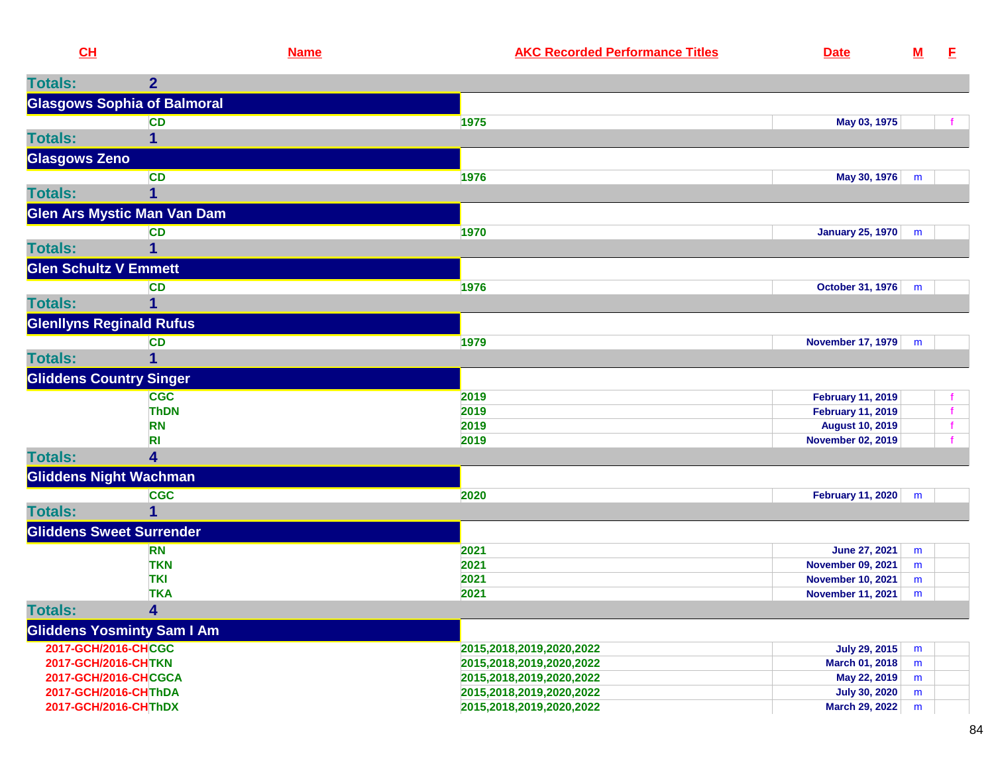| CL                              | <b>Name</b>                        | <b>AKC Recorded Performance Titles</b><br><b>Date</b> |                      | <u>M</u> | E            |
|---------------------------------|------------------------------------|-------------------------------------------------------|----------------------|----------|--------------|
| <b>Totals:</b>                  | $\overline{2}$                     |                                                       |                      |          |              |
|                                 | <b>Glasgows Sophia of Balmoral</b> |                                                       |                      |          |              |
|                                 | <b>CD</b>                          | 1975                                                  | May 03, 1975         |          | f            |
| <b>Totals:</b>                  | 1                                  |                                                       |                      |          |              |
| <b>Glasgows Zeno</b>            |                                    |                                                       |                      |          |              |
|                                 | <b>CD</b>                          | 1976                                                  | May 30, 1976         | m        |              |
| <b>Totals:</b>                  | 1                                  |                                                       |                      |          |              |
|                                 | <b>Glen Ars Mystic Man Van Dam</b> |                                                       |                      |          |              |
|                                 | <b>CD</b>                          | 1970<br>January 25, 1970                              |                      | m        |              |
| <b>Totals:</b>                  | 1                                  |                                                       |                      |          |              |
| <b>Glen Schultz V Emmett</b>    |                                    |                                                       |                      |          |              |
|                                 | <b>CD</b>                          | 1976<br>October 31, 1976   m                          |                      |          |              |
| <b>Totals:</b>                  |                                    |                                                       |                      |          |              |
| <b>Glenllyns Reginald Rufus</b> |                                    |                                                       |                      |          |              |
|                                 | <b>CD</b>                          | 1979<br><b>November 17, 1979</b>                      |                      | m        |              |
| <b>Totals:</b>                  | 1                                  |                                                       |                      |          |              |
| <b>Gliddens Country Singer</b>  |                                    |                                                       |                      |          |              |
|                                 | <b>CGC</b>                         | 2019<br><b>February 11, 2019</b>                      |                      |          |              |
|                                 | <b>ThDN</b>                        | 2019<br><b>February 11, 2019</b>                      |                      |          | $\mathbf{f}$ |
|                                 | <b>RN</b>                          | 2019<br><b>August 10, 2019</b>                        |                      |          |              |
|                                 | RI                                 | 2019<br><b>November 02, 2019</b>                      |                      |          |              |
| <b>Totals:</b>                  | 4                                  |                                                       |                      |          |              |
| <b>Gliddens Night Wachman</b>   |                                    |                                                       |                      |          |              |
|                                 | <b>CGC</b>                         | 2020<br><b>February 11, 2020</b>                      |                      | m        |              |
| <b>Totals:</b>                  | $\mathbf 1$                        |                                                       |                      |          |              |
| <b>Gliddens Sweet Surrender</b> |                                    |                                                       |                      |          |              |
|                                 | <b>RN</b>                          | 2021<br><b>June 27, 2021</b>                          |                      | m        |              |
|                                 | <b>TKN</b>                         | 2021<br><b>November 09, 2021</b>                      |                      | m        |              |
|                                 | <b>TKI</b>                         | 2021<br><b>November 10, 2021</b>                      |                      | m        |              |
|                                 | <b>TKA</b>                         | 2021<br><b>November 11, 2021</b>                      |                      | m        |              |
| <b>Totals:</b>                  | 4                                  |                                                       |                      |          |              |
|                                 | <b>Gliddens Yosminty Sam I Am</b>  |                                                       |                      |          |              |
| 2017-GCH/2016-CHCGC             |                                    | 2015,2018,2019,2020,2022                              | <b>July 29, 2015</b> | m        |              |
| 2017-GCH/2016-CHTKN             |                                    | March 01, 2018<br>2015,2018,2019,2020,2022            |                      | m        |              |
| 2017-GCH/2016-CHCGCA            |                                    | 2015,2018,2019,2020,2022                              | May 22, 2019         | m        |              |
| 2017-GCH/2016-CHThDA            |                                    | 2015,2018,2019,2020,2022                              | <b>July 30, 2020</b> | m        |              |
| 2017-GCH/2016-CHThDX            |                                    | 2015,2018,2019,2020,2022<br>March 29, 2022            |                      | m        |              |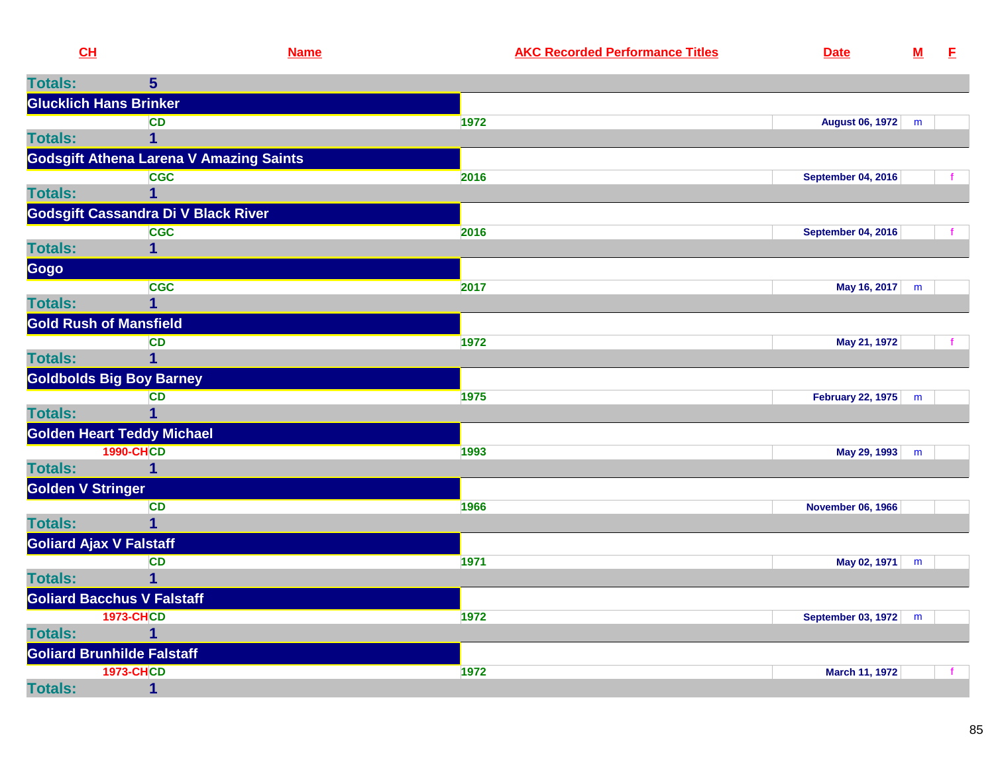| CL                       | <b>Name</b>                                    |      | <b>AKC Recorded Performance Titles</b> | <b>Date</b>               | $\underline{\mathsf{M}}$ | E |
|--------------------------|------------------------------------------------|------|----------------------------------------|---------------------------|--------------------------|---|
| <b>Totals:</b>           | 5 <sup>5</sup>                                 |      |                                        |                           |                          |   |
|                          | <b>Glucklich Hans Brinker</b>                  |      |                                        |                           |                          |   |
|                          | <b>CD</b>                                      | 1972 |                                        | <b>August 06, 1972</b>    | m                        |   |
| <b>Totals:</b>           | 1                                              |      |                                        |                           |                          |   |
|                          | <b>Godsgift Athena Larena V Amazing Saints</b> |      |                                        |                           |                          |   |
|                          | <b>CGC</b>                                     | 2016 |                                        | <b>September 04, 2016</b> |                          |   |
| <b>Totals:</b>           |                                                |      |                                        |                           |                          |   |
|                          | Godsgift Cassandra Di V Black River            |      |                                        |                           |                          |   |
|                          | <b>CGC</b>                                     | 2016 |                                        | <b>September 04, 2016</b> |                          |   |
| <b>Totals:</b>           | 1                                              |      |                                        |                           |                          |   |
| Gogo                     | <b>CGC</b>                                     | 2017 |                                        | May 16, 2017   m          |                          |   |
| <b>Totals:</b>           |                                                |      |                                        |                           |                          |   |
|                          | <b>Gold Rush of Mansfield</b>                  |      |                                        |                           |                          |   |
|                          | <b>CD</b>                                      | 1972 |                                        | May 21, 1972              |                          |   |
| <b>Totals:</b>           | 1                                              |      |                                        |                           |                          |   |
|                          | <b>Goldbolds Big Boy Barney</b>                |      |                                        |                           |                          |   |
|                          | <b>CD</b>                                      | 1975 |                                        | February 22, 1975 m       |                          |   |
| <b>Totals:</b>           | 1                                              |      |                                        |                           |                          |   |
|                          | <b>Golden Heart Teddy Michael</b>              |      |                                        |                           |                          |   |
|                          | <b>1990-CHCD</b>                               | 1993 |                                        | May 29, 1993              | m                        |   |
| <b>Totals:</b>           |                                                |      |                                        |                           |                          |   |
| <b>Golden V Stringer</b> |                                                |      |                                        |                           |                          |   |
|                          | <b>CD</b>                                      | 1966 |                                        | <b>November 06, 1966</b>  |                          |   |
| <b>Totals:</b>           | 1                                              |      |                                        |                           |                          |   |
|                          | <b>Goliard Ajax V Falstaff</b>                 |      |                                        |                           |                          |   |
| <b>Totals:</b>           | <b>CD</b>                                      | 1971 |                                        | May 02, 1971              | m                        |   |
|                          | <b>Goliard Bacchus V Falstaff</b>              |      |                                        |                           |                          |   |
|                          | <b>1973-CHCD</b>                               | 1972 |                                        | September 03, 1972 m      |                          |   |
| <b>Totals:</b>           | 1                                              |      |                                        |                           |                          |   |
|                          | <b>Goliard Brunhilde Falstaff</b>              |      |                                        |                           |                          |   |
|                          | <b>1973-CHCD</b>                               | 1972 |                                        | March 11, 1972            |                          |   |
| <b>Totals:</b>           | 1                                              |      |                                        |                           |                          |   |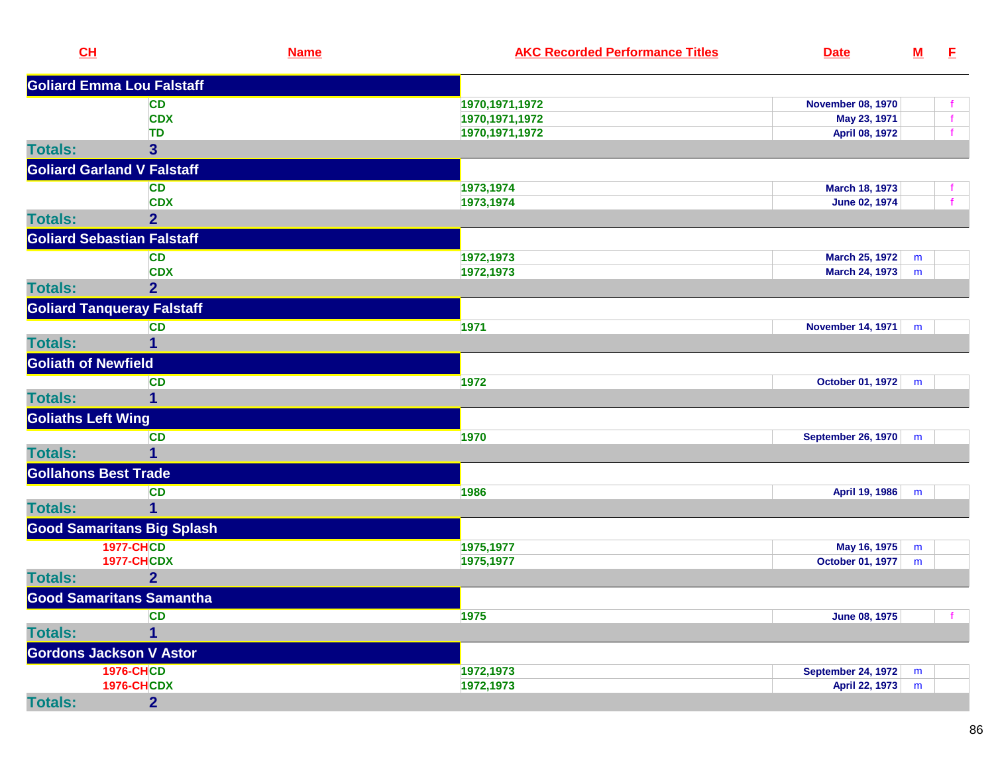| $CH$                        |                                   | <b>Name</b> | <b>AKC Recorded Performance Titles</b> | <b>Date</b>               | <u>M</u> | E            |
|-----------------------------|-----------------------------------|-------------|----------------------------------------|---------------------------|----------|--------------|
|                             | <b>Goliard Emma Lou Falstaff</b>  |             |                                        |                           |          |              |
|                             | <b>CD</b>                         |             | 1970, 1971, 1972                       | <b>November 08, 1970</b>  |          | f            |
|                             | <b>CDX</b>                        |             | 1970, 1971, 1972                       | May 23, 1971              |          | f            |
|                             | TD                                |             | 1970, 1971, 1972                       | April 08, 1972            |          | f            |
| <b>Totals:</b>              | 3                                 |             |                                        |                           |          |              |
|                             | <b>Goliard Garland V Falstaff</b> |             |                                        |                           |          |              |
|                             | <b>CD</b>                         |             | 1973,1974                              | March 18, 1973            |          | $\mathbf{f}$ |
|                             | <b>CDX</b>                        |             | 1973,1974                              | June 02, 1974             |          | $\mathbf{f}$ |
| <b>Totals:</b>              | $\overline{2}$                    |             |                                        |                           |          |              |
|                             | <b>Goliard Sebastian Falstaff</b> |             |                                        |                           |          |              |
|                             | <b>CD</b>                         |             | 1972,1973                              | <b>March 25, 1972</b>     | m        |              |
|                             | <b>CDX</b>                        |             | 1972,1973                              | <b>March 24, 1973</b>     | m        |              |
| <b>Totals:</b>              | $\overline{2}$                    |             |                                        |                           |          |              |
|                             | <b>Goliard Tanqueray Falstaff</b> |             |                                        |                           |          |              |
|                             | <b>CD</b>                         |             | 1971                                   | <b>November 14, 1971</b>  | m        |              |
| <b>Totals:</b>              | 1                                 |             |                                        |                           |          |              |
| <b>Goliath of Newfield</b>  |                                   |             |                                        |                           |          |              |
|                             | <b>CD</b>                         |             | 1972                                   | October 01, 1972          | m        |              |
| <b>Totals:</b>              | 1                                 |             |                                        |                           |          |              |
| <b>Goliaths Left Wing</b>   |                                   |             |                                        |                           |          |              |
|                             | <b>CD</b>                         |             | 1970                                   | <b>September 26, 1970</b> | m        |              |
| <b>Totals:</b>              | $\mathbf{1}$                      |             |                                        |                           |          |              |
| <b>Gollahons Best Trade</b> |                                   |             |                                        |                           |          |              |
|                             | <b>CD</b>                         |             | 1986                                   | April 19, 1986            | m        |              |
| <b>Totals:</b>              | 1                                 |             |                                        |                           |          |              |
|                             | <b>Good Samaritans Big Splash</b> |             |                                        |                           |          |              |
|                             | <b>1977-CHCD</b>                  |             | 1975,1977                              | May 16, 1975              | m        |              |
|                             | <b>1977-CHCDX</b>                 |             | 1975,1977                              | October 01, 1977          | m        |              |
| <b>Totals:</b>              | $\overline{2}$                    |             |                                        |                           |          |              |
|                             | <b>Good Samaritans Samantha</b>   |             |                                        |                           |          |              |
|                             | <b>CD</b>                         |             | 1975                                   | <b>June 08, 1975</b>      |          |              |
| <b>Totals:</b>              | $\overline{1}$                    |             |                                        |                           |          |              |
|                             | <b>Gordons Jackson V Astor</b>    |             |                                        |                           |          |              |
|                             | <b>1976-CHCD</b>                  |             | 1972,1973                              | <b>September 24, 1972</b> | m        |              |
|                             | <b>1976-CHCDX</b>                 |             | 1972,1973                              | April 22, 1973            | m        |              |
| <b>Totals:</b>              | $\overline{2}$                    |             |                                        |                           |          |              |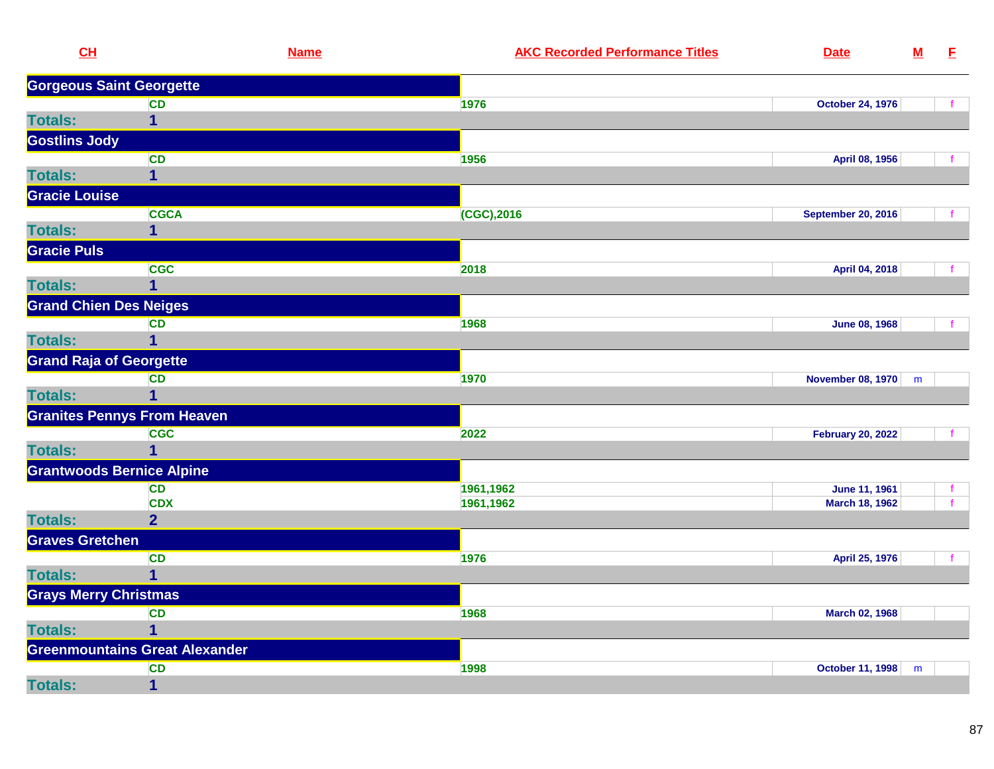| CH                               |                                       | <b>Name</b> | <b>AKC Recorded Performance Titles</b> | <b>Date</b>               | ${\bf M}$ | E            |
|----------------------------------|---------------------------------------|-------------|----------------------------------------|---------------------------|-----------|--------------|
| <b>Gorgeous Saint Georgette</b>  |                                       |             |                                        |                           |           |              |
|                                  | <b>CD</b>                             |             | 1976                                   | <b>October 24, 1976</b>   |           |              |
| <b>Totals:</b>                   | $\overline{\mathbf{1}}$               |             |                                        |                           |           |              |
| <b>Gostlins Jody</b>             |                                       |             |                                        |                           |           |              |
|                                  | <b>CD</b>                             |             | 1956                                   | April 08, 1956            |           |              |
| <b>Totals:</b>                   | $\overline{1}$                        |             |                                        |                           |           |              |
| <b>Gracie Louise</b>             |                                       |             |                                        |                           |           |              |
|                                  | <b>CGCA</b>                           |             | (CGC),2016                             | <b>September 20, 2016</b> |           |              |
| <b>Totals:</b>                   | 1                                     |             |                                        |                           |           |              |
| <b>Gracie Puls</b>               |                                       |             |                                        |                           |           |              |
|                                  | <b>CGC</b>                            |             | 2018                                   | April 04, 2018            |           |              |
| <b>Totals:</b>                   | $\overline{\mathbf{1}}$               |             |                                        |                           |           |              |
| <b>Grand Chien Des Neiges</b>    |                                       |             |                                        |                           |           |              |
|                                  | <b>CD</b>                             |             | 1968                                   | <b>June 08, 1968</b>      |           |              |
| <b>Totals:</b>                   | $\mathbf{1}$                          |             |                                        |                           |           |              |
| <b>Grand Raja of Georgette</b>   |                                       |             |                                        |                           |           |              |
|                                  | <b>CD</b>                             |             | 1970                                   | November 08, 1970         | m         |              |
| <b>Totals:</b>                   | 1                                     |             |                                        |                           |           |              |
|                                  | <b>Granites Pennys From Heaven</b>    |             |                                        |                           |           |              |
|                                  | <b>CGC</b>                            |             | 2022                                   | <b>February 20, 2022</b>  |           | $\mathbf{f}$ |
| <b>Totals:</b>                   | $\mathbf 1$                           |             |                                        |                           |           |              |
| <b>Grantwoods Bernice Alpine</b> |                                       |             |                                        |                           |           |              |
|                                  | <b>CD</b>                             |             | 1961,1962                              | June 11, 1961             |           |              |
|                                  | <b>CDX</b>                            |             | 1961,1962                              | March 18, 1962            |           |              |
| <b>Totals:</b>                   | $\overline{2}$                        |             |                                        |                           |           |              |
| <b>Graves Gretchen</b>           |                                       |             |                                        |                           |           |              |
|                                  | <b>CD</b>                             |             | 1976                                   | April 25, 1976            |           | $\mathbf{f}$ |
| <b>Totals:</b>                   | $\mathbf 1$                           |             |                                        |                           |           |              |
| <b>Grays Merry Christmas</b>     |                                       |             |                                        |                           |           |              |
|                                  | <b>CD</b>                             |             | 1968                                   | March 02, 1968            |           |              |
| <b>Totals:</b>                   | 1                                     |             |                                        |                           |           |              |
|                                  | <b>Greenmountains Great Alexander</b> |             |                                        |                           |           |              |
|                                  | <b>CD</b>                             |             | 1998                                   | <b>October 11, 1998</b>   | m         |              |
| <b>Totals:</b>                   | $\overline{\mathbf{1}}$               |             |                                        |                           |           |              |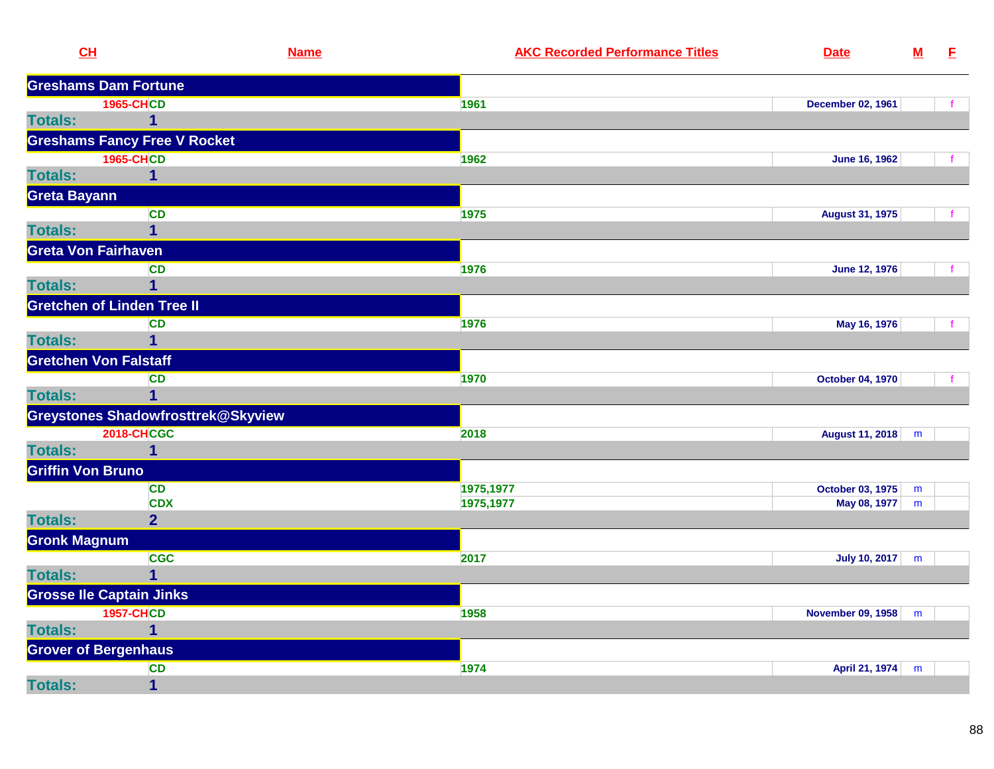| CL                           | <b>Name</b>                         |           | <b>AKC Recorded Performance Titles</b> | <b>Date</b>                 | ${\bf M}$ | E |
|------------------------------|-------------------------------------|-----------|----------------------------------------|-----------------------------|-----------|---|
|                              | <b>Greshams Dam Fortune</b>         |           |                                        |                             |           |   |
|                              | <b>1965-CHCD</b>                    | 1961      |                                        | <b>December 02, 1961</b>    |           |   |
| <b>Totals:</b>               | 1                                   |           |                                        |                             |           |   |
|                              | <b>Greshams Fancy Free V Rocket</b> |           |                                        |                             |           |   |
|                              | <b>1965-CHCD</b>                    | 1962      |                                        | <b>June 16, 1962</b>        |           |   |
| <b>Totals:</b>               | 1                                   |           |                                        |                             |           |   |
| <b>Greta Bayann</b>          |                                     |           |                                        |                             |           |   |
|                              | <b>CD</b>                           | 1975      |                                        | <b>August 31, 1975</b>      |           |   |
| <b>Totals:</b>               | $\overline{1}$                      |           |                                        |                             |           |   |
| <b>Greta Von Fairhaven</b>   |                                     |           |                                        |                             |           |   |
|                              | <b>CD</b>                           | 1976      |                                        | <b>June 12, 1976</b>        |           |   |
| <b>Totals:</b>               | $\overline{1}$                      |           |                                        |                             |           |   |
|                              | <b>Gretchen of Linden Tree II</b>   |           |                                        |                             |           |   |
|                              | <b>CD</b>                           | 1976      |                                        | May 16, 1976                |           |   |
| <b>Totals:</b>               | $\overline{1}$                      |           |                                        |                             |           |   |
| <b>Gretchen Von Falstaff</b> |                                     |           |                                        |                             |           |   |
|                              | <b>CD</b>                           | 1970      |                                        | October 04, 1970            |           |   |
| <b>Totals:</b>               | $\overline{1}$                      |           |                                        |                             |           |   |
|                              | Greystones Shadowfrosttrek@Skyview  |           |                                        |                             |           |   |
|                              | <b>2018-CHCGC</b>                   | 2018      |                                        | <b>August 11, 2018</b>      | m         |   |
| <b>Totals:</b>               | $\overline{1}$                      |           |                                        |                             |           |   |
| <b>Griffin Von Bruno</b>     |                                     |           |                                        |                             |           |   |
|                              | <b>CD</b>                           | 1975,1977 |                                        | October 03, 1975            | m         |   |
|                              | <b>CDX</b>                          | 1975,1977 |                                        | May 08, 1977                | m         |   |
| <b>Totals:</b>               | $\overline{2}$                      |           |                                        |                             |           |   |
| <b>Gronk Magnum</b>          |                                     |           |                                        |                             |           |   |
|                              | <b>CGC</b>                          | 2017      |                                        | July 10, 2017 $\mid m \mid$ |           |   |
| <b>Totals:</b>               | $\overline{1}$                      |           |                                        |                             |           |   |
|                              | <b>Grosse Ile Captain Jinks</b>     |           |                                        |                             |           |   |
|                              | <b>1957-CHCD</b>                    | 1958      |                                        | November 09, 1958           | m         |   |
| <b>Totals:</b>               | 1                                   |           |                                        |                             |           |   |
| <b>Grover of Bergenhaus</b>  |                                     |           |                                        |                             |           |   |
|                              | CD                                  | 1974      |                                        | April 21, 1974              | m         |   |
| <b>Totals:</b>               | $\mathbf 1$                         |           |                                        |                             |           |   |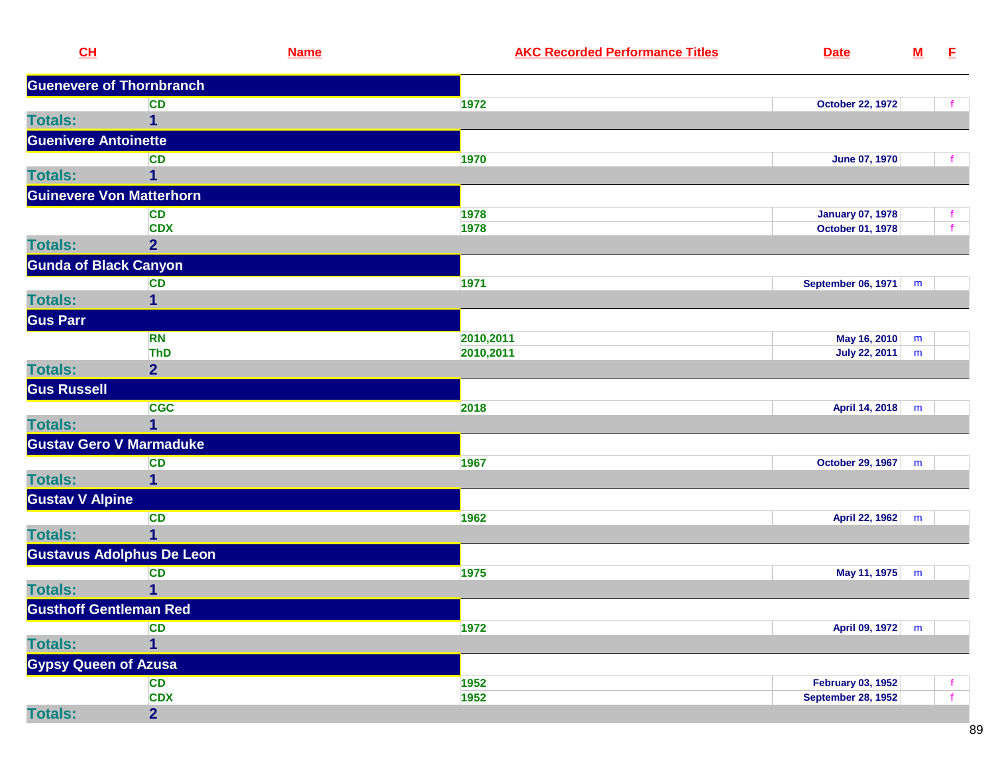| CL                     | <b>Name</b>                      | <b>AKC Recorded Performance Titles</b> | <b>Date</b>               | ${\bf M}$ | E            |
|------------------------|----------------------------------|----------------------------------------|---------------------------|-----------|--------------|
|                        | <b>Guenevere of Thornbranch</b>  |                                        |                           |           |              |
|                        | <b>CD</b>                        | 1972                                   | <b>October 22, 1972</b>   |           |              |
| <b>Totals:</b>         | $\mathbf{1}$                     |                                        |                           |           |              |
|                        | <b>Guenivere Antoinette</b>      |                                        |                           |           |              |
|                        | <b>CD</b>                        | 1970                                   | <b>June 07, 1970</b>      |           |              |
| <b>Totals:</b>         | 1                                |                                        |                           |           |              |
|                        | <b>Guinevere Von Matterhorn</b>  |                                        |                           |           |              |
|                        | <b>CD</b>                        | 1978                                   | <b>January 07, 1978</b>   |           |              |
|                        | <b>CDX</b>                       | 1978                                   | October 01, 1978          |           |              |
| <b>Totals:</b>         | $\overline{2}$                   |                                        |                           |           |              |
|                        | <b>Gunda of Black Canyon</b>     |                                        |                           |           |              |
|                        | <b>CD</b>                        | 1971                                   | September 06, 1971        | m         |              |
| <b>Totals:</b>         | 1                                |                                        |                           |           |              |
| <b>Gus Parr</b>        |                                  |                                        |                           |           |              |
|                        | <b>RN</b>                        | 2010,2011                              | May 16, 2010              | m         |              |
|                        | <b>ThD</b>                       | 2010,2011                              | <b>July 22, 2011</b>      | m         |              |
| <b>Totals:</b>         | $\overline{2}$                   |                                        |                           |           |              |
| <b>Gus Russell</b>     |                                  |                                        |                           |           |              |
|                        | <b>CGC</b>                       | 2018                                   | April 14, 2018            | m         |              |
| <b>Totals:</b>         | 1                                |                                        |                           |           |              |
|                        | <b>Gustav Gero V Marmaduke</b>   |                                        |                           |           |              |
|                        | <b>CD</b>                        | 1967                                   | October 29, 1967          | m         |              |
| <b>Totals:</b>         | 1                                |                                        |                           |           |              |
| <b>Gustav V Alpine</b> |                                  |                                        |                           |           |              |
|                        | <b>CD</b>                        | 1962                                   | April 22, 1962            | m         |              |
| <b>Totals:</b>         | 1                                |                                        |                           |           |              |
|                        | <b>Gustavus Adolphus De Leon</b> |                                        |                           |           |              |
|                        | <b>CD</b>                        | 1975                                   | May 11, 1975              | m         |              |
| <b>Totals:</b>         | 1                                |                                        |                           |           |              |
|                        | <b>Gusthoff Gentleman Red</b>    |                                        |                           |           |              |
|                        | <b>CD</b>                        | 1972                                   | April 09, 1972            | m         |              |
| <b>Totals:</b>         | 1                                |                                        |                           |           |              |
|                        | <b>Gypsy Queen of Azusa</b>      |                                        |                           |           |              |
|                        | <b>CD</b>                        | 1952                                   | <b>February 03, 1952</b>  |           | Ť.           |
|                        | <b>CDX</b>                       | 1952                                   | <b>September 28, 1952</b> |           | $\mathbf{f}$ |
| <b>Totals:</b>         | $\overline{2}$                   |                                        |                           |           |              |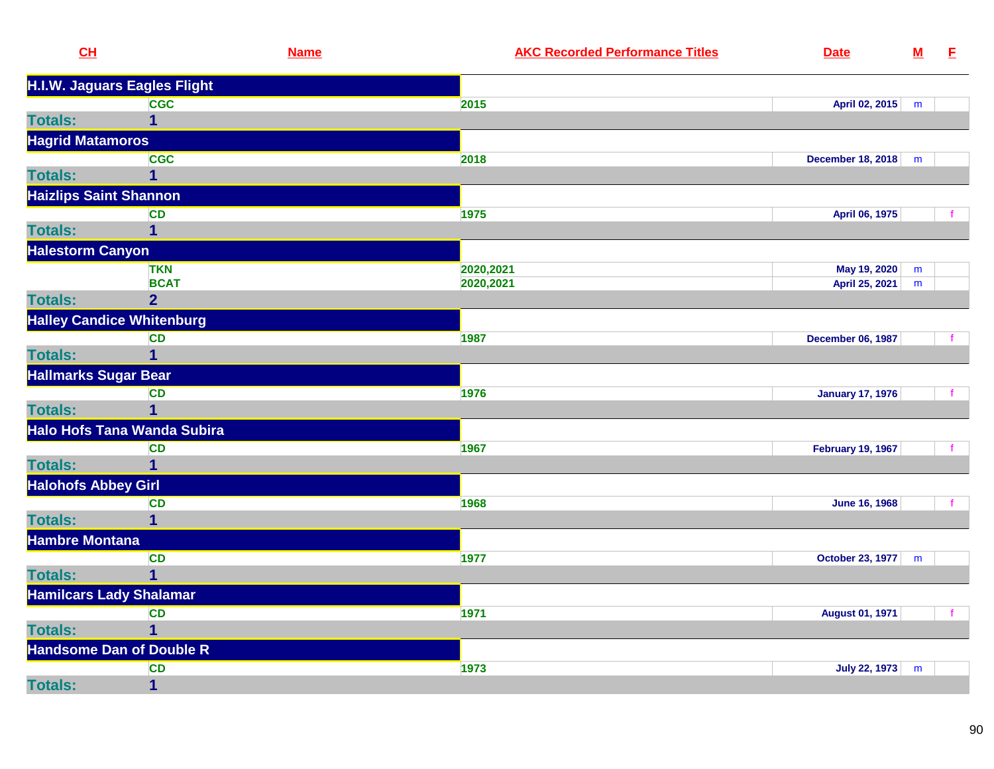| CL                                 | <b>Name</b> | <b>AKC Recorded Performance Titles</b> | <b>Date</b>              | ${\bf M}$ | E |
|------------------------------------|-------------|----------------------------------------|--------------------------|-----------|---|
| H.I.W. Jaguars Eagles Flight       |             |                                        |                          |           |   |
| <b>CGC</b>                         |             | 2015                                   | April 02, 2015           | m         |   |
| <b>Totals:</b><br>1                |             |                                        |                          |           |   |
| <b>Hagrid Matamoros</b>            |             |                                        |                          |           |   |
| <b>CGC</b>                         |             | 2018                                   | <b>December 18, 2018</b> | m         |   |
| <b>Totals:</b><br>1                |             |                                        |                          |           |   |
| <b>Haizlips Saint Shannon</b>      |             |                                        |                          |           |   |
| <b>CD</b>                          |             | 1975                                   | April 06, 1975           |           |   |
| <b>Totals:</b><br>1                |             |                                        |                          |           |   |
| <b>Halestorm Canyon</b>            |             |                                        |                          |           |   |
| <b>TKN</b>                         |             | 2020,2021                              | May 19, 2020             | m         |   |
| <b>BCAT</b>                        |             | 2020,2021                              | April 25, 2021           | m         |   |
| <b>Totals:</b><br>2 <sup>1</sup>   |             |                                        |                          |           |   |
| <b>Halley Candice Whitenburg</b>   |             |                                        |                          |           |   |
| <b>CD</b>                          |             | 1987                                   | <b>December 06, 1987</b> |           |   |
| <b>Totals:</b><br>1                |             |                                        |                          |           |   |
| <b>Hallmarks Sugar Bear</b>        |             |                                        |                          |           |   |
| CD                                 |             | 1976                                   | <b>January 17, 1976</b>  |           |   |
| <b>Totals:</b><br>$\mathbf{1}$     |             |                                        |                          |           |   |
| <b>Halo Hofs Tana Wanda Subira</b> |             |                                        |                          |           |   |
| <b>CD</b>                          |             | 1967                                   | <b>February 19, 1967</b> |           |   |
| <b>Totals:</b><br>$\mathbf{1}$     |             |                                        |                          |           |   |
| <b>Halohofs Abbey Girl</b>         |             |                                        |                          |           |   |
| <b>CD</b>                          |             | 1968                                   | <b>June 16, 1968</b>     |           |   |
| <b>Totals:</b><br>1                |             |                                        |                          |           |   |
| <b>Hambre Montana</b>              |             |                                        |                          |           |   |
| <b>CD</b>                          |             | 1977                                   | October 23, 1977   m     |           |   |
| <b>Totals:</b><br>$\mathbf{1}$     |             |                                        |                          |           |   |
| <b>Hamilcars Lady Shalamar</b>     |             |                                        |                          |           |   |
| <b>CD</b>                          |             | 1971                                   | <b>August 01, 1971</b>   |           |   |
| <b>Totals:</b><br>1                |             |                                        |                          |           |   |
| <b>Handsome Dan of Double R</b>    |             |                                        |                          |           |   |
| <b>CD</b>                          |             |                                        |                          |           |   |
|                                    |             | 1973                                   | <b>July 22, 1973</b>     | m         |   |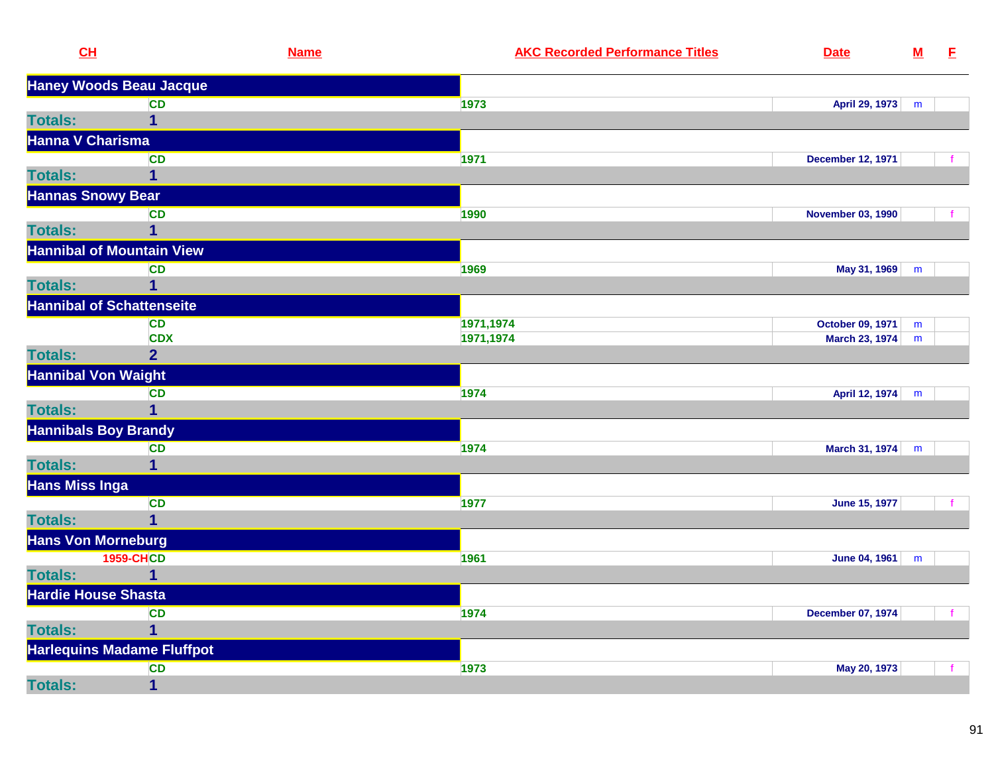| CL                               |                                   | <b>Name</b> | <b>AKC Recorded Performance Titles</b> | <b>Date</b>              | ${\bf M}$ | E            |
|----------------------------------|-----------------------------------|-------------|----------------------------------------|--------------------------|-----------|--------------|
| <b>Haney Woods Beau Jacque</b>   |                                   |             |                                        |                          |           |              |
|                                  | <b>CD</b>                         |             | 1973                                   | April 29, 1973           | m         |              |
| <b>Totals:</b>                   | 1                                 |             |                                        |                          |           |              |
| <b>Hanna V Charisma</b>          |                                   |             |                                        |                          |           |              |
|                                  | CD                                |             | 1971                                   | <b>December 12, 1971</b> |           |              |
| <b>Totals:</b>                   | 1                                 |             |                                        |                          |           |              |
| <b>Hannas Snowy Bear</b>         |                                   |             |                                        |                          |           |              |
|                                  | <b>CD</b>                         |             | 1990                                   | <b>November 03, 1990</b> |           |              |
| <b>Totals:</b>                   | $\mathbf{1}$                      |             |                                        |                          |           |              |
| <b>Hannibal of Mountain View</b> |                                   |             |                                        |                          |           |              |
|                                  | CD                                |             | 1969                                   | May 31, 1969             | m         |              |
| <b>Totals:</b>                   | $\mathbf{1}$                      |             |                                        |                          |           |              |
| <b>Hannibal of Schattenseite</b> |                                   |             |                                        |                          |           |              |
|                                  | <b>CD</b>                         |             | 1971,1974                              | October 09, 1971         | m         |              |
|                                  | <b>CDX</b>                        |             | 1971,1974                              | March 23, 1974           | m         |              |
| <b>Totals:</b>                   | 2 <sup>1</sup>                    |             |                                        |                          |           |              |
| <b>Hannibal Von Waight</b>       |                                   |             |                                        |                          |           |              |
|                                  | <b>CD</b>                         |             | 1974                                   | April 12, 1974           | m         |              |
| <b>Totals:</b>                   | $\mathbf{1}$                      |             |                                        |                          |           |              |
| <b>Hannibals Boy Brandy</b>      |                                   |             |                                        |                          |           |              |
|                                  | <b>CD</b>                         |             | 1974                                   | <b>March 31, 1974</b>    | m         |              |
| <b>Totals:</b>                   | $\mathbf{1}$                      |             |                                        |                          |           |              |
| <b>Hans Miss Inga</b>            |                                   |             |                                        |                          |           |              |
|                                  | <b>CD</b>                         |             | 1977                                   | <b>June 15, 1977</b>     |           | $\mathbf{f}$ |
| <b>Totals:</b>                   | $\overline{1}$                    |             |                                        |                          |           |              |
| <b>Hans Von Morneburg</b>        |                                   |             |                                        |                          |           |              |
|                                  | <b>1959-CHCD</b>                  |             | 1961                                   | June 04, 1961            | m         |              |
| <b>Totals:</b>                   | $\mathbf{1}$                      |             |                                        |                          |           |              |
| <b>Hardie House Shasta</b>       |                                   |             |                                        |                          |           |              |
|                                  | CD                                |             | 1974                                   | <b>December 07, 1974</b> |           | $\mathbf{f}$ |
| <b>Totals:</b>                   | $\mathbf{1}$                      |             |                                        |                          |           |              |
|                                  | <b>Harlequins Madame Fluffpot</b> |             |                                        |                          |           |              |
|                                  | <b>CD</b>                         |             | 1973                                   | May 20, 1973             |           | $\mathbf{f}$ |
| <b>Totals:</b>                   | $\overline{\mathbf{1}}$           |             |                                        |                          |           |              |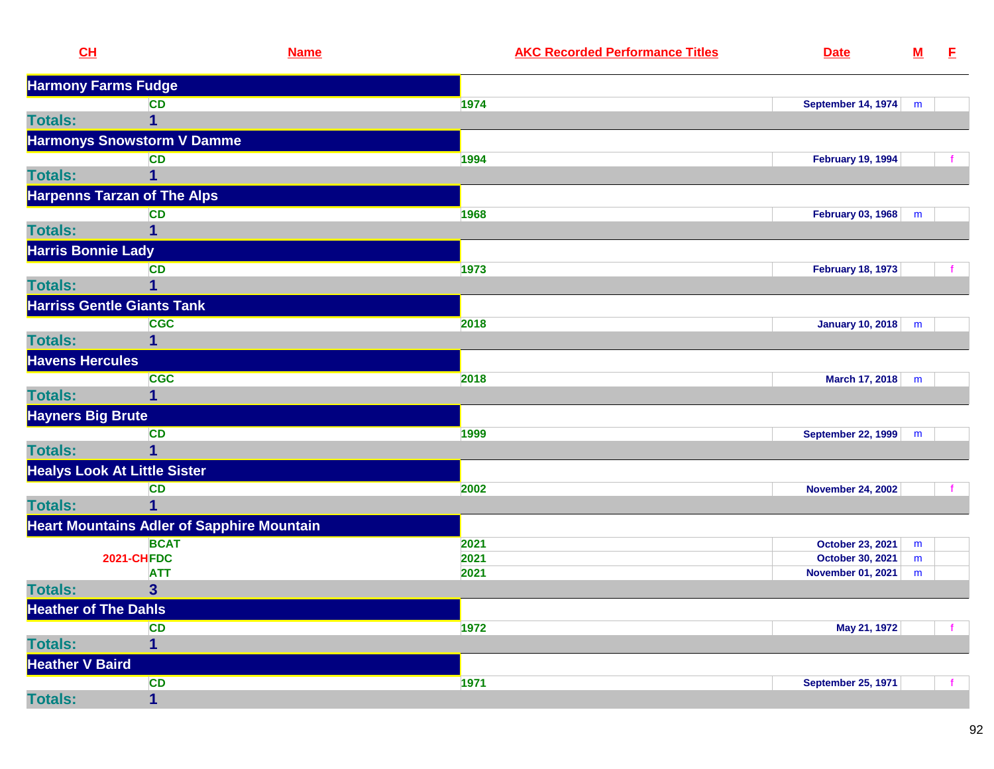| <b>Harmony Farms Fudge</b><br><b>CD</b><br>1974<br>September 14, 1974<br>m<br>1<br><b>Harmonys Snowstorm V Damme</b><br>1994<br><b>February 19, 1994</b><br><b>CD</b><br>1<br><b>Harpenns Tarzan of The Alps</b><br>1968<br>February 03, 1968<br><b>CD</b><br>m<br>1<br><b>Harris Bonnie Lady</b><br>1973<br><b>CD</b><br><b>February 18, 1973</b><br>1<br><b>Harriss Gentle Giants Tank</b><br><b>CGC</b><br>2018<br>January 10, 2018<br>m<br>$\mathbf{1}$<br><b>Totals:</b><br><b>Havens Hercules</b><br><b>CGC</b><br>2018<br>March 17, 2018<br>m<br><b>Totals:</b><br>1<br><b>Hayners Big Brute</b><br>1999<br>CD<br>September 22, 1999<br>m<br><b>Totals:</b><br>1<br><b>Healys Look At Little Sister</b><br><b>CD</b><br>2002<br><b>November 24, 2002</b><br>1<br><b>Totals:</b><br><b>Heart Mountains Adler of Sapphire Mountain</b><br><b>BCAT</b><br><b>October 23, 2021</b><br>2021<br>m<br><b>2021-CHFDC</b><br>2021<br>October 30, 2021<br>m<br><b>ATT</b><br>2021<br><b>November 01, 2021</b><br>m<br>$\overline{\mathbf{3}}$<br><b>Totals:</b><br><b>Heather of The Dahls</b><br>1972<br><b>CD</b><br>May 21, 1972<br><b>Totals:</b><br>$\overline{\mathbf{1}}$<br><b>Heather V Baird</b><br><b>CD</b><br>1971<br><b>September 25, 1971</b> | CL             | <b>Name</b> | <b>AKC Recorded Performance Titles</b> | <b>Date</b> | ${\bf M}$ | E. |
|-----------------------------------------------------------------------------------------------------------------------------------------------------------------------------------------------------------------------------------------------------------------------------------------------------------------------------------------------------------------------------------------------------------------------------------------------------------------------------------------------------------------------------------------------------------------------------------------------------------------------------------------------------------------------------------------------------------------------------------------------------------------------------------------------------------------------------------------------------------------------------------------------------------------------------------------------------------------------------------------------------------------------------------------------------------------------------------------------------------------------------------------------------------------------------------------------------------------------------------------------------------|----------------|-------------|----------------------------------------|-------------|-----------|----|
|                                                                                                                                                                                                                                                                                                                                                                                                                                                                                                                                                                                                                                                                                                                                                                                                                                                                                                                                                                                                                                                                                                                                                                                                                                                           |                |             |                                        |             |           |    |
|                                                                                                                                                                                                                                                                                                                                                                                                                                                                                                                                                                                                                                                                                                                                                                                                                                                                                                                                                                                                                                                                                                                                                                                                                                                           |                |             |                                        |             |           |    |
|                                                                                                                                                                                                                                                                                                                                                                                                                                                                                                                                                                                                                                                                                                                                                                                                                                                                                                                                                                                                                                                                                                                                                                                                                                                           | <b>Totals:</b> |             |                                        |             |           |    |
|                                                                                                                                                                                                                                                                                                                                                                                                                                                                                                                                                                                                                                                                                                                                                                                                                                                                                                                                                                                                                                                                                                                                                                                                                                                           |                |             |                                        |             |           |    |
|                                                                                                                                                                                                                                                                                                                                                                                                                                                                                                                                                                                                                                                                                                                                                                                                                                                                                                                                                                                                                                                                                                                                                                                                                                                           |                |             |                                        |             |           |    |
|                                                                                                                                                                                                                                                                                                                                                                                                                                                                                                                                                                                                                                                                                                                                                                                                                                                                                                                                                                                                                                                                                                                                                                                                                                                           | <b>Totals:</b> |             |                                        |             |           |    |
|                                                                                                                                                                                                                                                                                                                                                                                                                                                                                                                                                                                                                                                                                                                                                                                                                                                                                                                                                                                                                                                                                                                                                                                                                                                           |                |             |                                        |             |           |    |
|                                                                                                                                                                                                                                                                                                                                                                                                                                                                                                                                                                                                                                                                                                                                                                                                                                                                                                                                                                                                                                                                                                                                                                                                                                                           |                |             |                                        |             |           |    |
|                                                                                                                                                                                                                                                                                                                                                                                                                                                                                                                                                                                                                                                                                                                                                                                                                                                                                                                                                                                                                                                                                                                                                                                                                                                           | <b>Totals:</b> |             |                                        |             |           |    |
|                                                                                                                                                                                                                                                                                                                                                                                                                                                                                                                                                                                                                                                                                                                                                                                                                                                                                                                                                                                                                                                                                                                                                                                                                                                           |                |             |                                        |             |           |    |
|                                                                                                                                                                                                                                                                                                                                                                                                                                                                                                                                                                                                                                                                                                                                                                                                                                                                                                                                                                                                                                                                                                                                                                                                                                                           |                |             |                                        |             |           |    |
|                                                                                                                                                                                                                                                                                                                                                                                                                                                                                                                                                                                                                                                                                                                                                                                                                                                                                                                                                                                                                                                                                                                                                                                                                                                           | <b>Totals:</b> |             |                                        |             |           |    |
|                                                                                                                                                                                                                                                                                                                                                                                                                                                                                                                                                                                                                                                                                                                                                                                                                                                                                                                                                                                                                                                                                                                                                                                                                                                           |                |             |                                        |             |           |    |
|                                                                                                                                                                                                                                                                                                                                                                                                                                                                                                                                                                                                                                                                                                                                                                                                                                                                                                                                                                                                                                                                                                                                                                                                                                                           |                |             |                                        |             |           |    |
|                                                                                                                                                                                                                                                                                                                                                                                                                                                                                                                                                                                                                                                                                                                                                                                                                                                                                                                                                                                                                                                                                                                                                                                                                                                           |                |             |                                        |             |           |    |
|                                                                                                                                                                                                                                                                                                                                                                                                                                                                                                                                                                                                                                                                                                                                                                                                                                                                                                                                                                                                                                                                                                                                                                                                                                                           |                |             |                                        |             |           |    |
|                                                                                                                                                                                                                                                                                                                                                                                                                                                                                                                                                                                                                                                                                                                                                                                                                                                                                                                                                                                                                                                                                                                                                                                                                                                           |                |             |                                        |             |           |    |
|                                                                                                                                                                                                                                                                                                                                                                                                                                                                                                                                                                                                                                                                                                                                                                                                                                                                                                                                                                                                                                                                                                                                                                                                                                                           |                |             |                                        |             |           |    |
|                                                                                                                                                                                                                                                                                                                                                                                                                                                                                                                                                                                                                                                                                                                                                                                                                                                                                                                                                                                                                                                                                                                                                                                                                                                           |                |             |                                        |             |           |    |
|                                                                                                                                                                                                                                                                                                                                                                                                                                                                                                                                                                                                                                                                                                                                                                                                                                                                                                                                                                                                                                                                                                                                                                                                                                                           |                |             |                                        |             |           |    |
|                                                                                                                                                                                                                                                                                                                                                                                                                                                                                                                                                                                                                                                                                                                                                                                                                                                                                                                                                                                                                                                                                                                                                                                                                                                           |                |             |                                        |             |           |    |
|                                                                                                                                                                                                                                                                                                                                                                                                                                                                                                                                                                                                                                                                                                                                                                                                                                                                                                                                                                                                                                                                                                                                                                                                                                                           |                |             |                                        |             |           |    |
|                                                                                                                                                                                                                                                                                                                                                                                                                                                                                                                                                                                                                                                                                                                                                                                                                                                                                                                                                                                                                                                                                                                                                                                                                                                           |                |             |                                        |             |           |    |
|                                                                                                                                                                                                                                                                                                                                                                                                                                                                                                                                                                                                                                                                                                                                                                                                                                                                                                                                                                                                                                                                                                                                                                                                                                                           |                |             |                                        |             |           |    |
|                                                                                                                                                                                                                                                                                                                                                                                                                                                                                                                                                                                                                                                                                                                                                                                                                                                                                                                                                                                                                                                                                                                                                                                                                                                           |                |             |                                        |             |           |    |
|                                                                                                                                                                                                                                                                                                                                                                                                                                                                                                                                                                                                                                                                                                                                                                                                                                                                                                                                                                                                                                                                                                                                                                                                                                                           |                |             |                                        |             |           |    |
|                                                                                                                                                                                                                                                                                                                                                                                                                                                                                                                                                                                                                                                                                                                                                                                                                                                                                                                                                                                                                                                                                                                                                                                                                                                           |                |             |                                        |             |           |    |
|                                                                                                                                                                                                                                                                                                                                                                                                                                                                                                                                                                                                                                                                                                                                                                                                                                                                                                                                                                                                                                                                                                                                                                                                                                                           |                |             |                                        |             |           |    |
|                                                                                                                                                                                                                                                                                                                                                                                                                                                                                                                                                                                                                                                                                                                                                                                                                                                                                                                                                                                                                                                                                                                                                                                                                                                           |                |             |                                        |             |           |    |
|                                                                                                                                                                                                                                                                                                                                                                                                                                                                                                                                                                                                                                                                                                                                                                                                                                                                                                                                                                                                                                                                                                                                                                                                                                                           |                |             |                                        |             |           |    |
|                                                                                                                                                                                                                                                                                                                                                                                                                                                                                                                                                                                                                                                                                                                                                                                                                                                                                                                                                                                                                                                                                                                                                                                                                                                           |                |             |                                        |             |           |    |
|                                                                                                                                                                                                                                                                                                                                                                                                                                                                                                                                                                                                                                                                                                                                                                                                                                                                                                                                                                                                                                                                                                                                                                                                                                                           |                |             |                                        |             |           |    |
|                                                                                                                                                                                                                                                                                                                                                                                                                                                                                                                                                                                                                                                                                                                                                                                                                                                                                                                                                                                                                                                                                                                                                                                                                                                           |                |             |                                        |             |           |    |
|                                                                                                                                                                                                                                                                                                                                                                                                                                                                                                                                                                                                                                                                                                                                                                                                                                                                                                                                                                                                                                                                                                                                                                                                                                                           | <b>Totals:</b> | $\mathbf 1$ |                                        |             |           |    |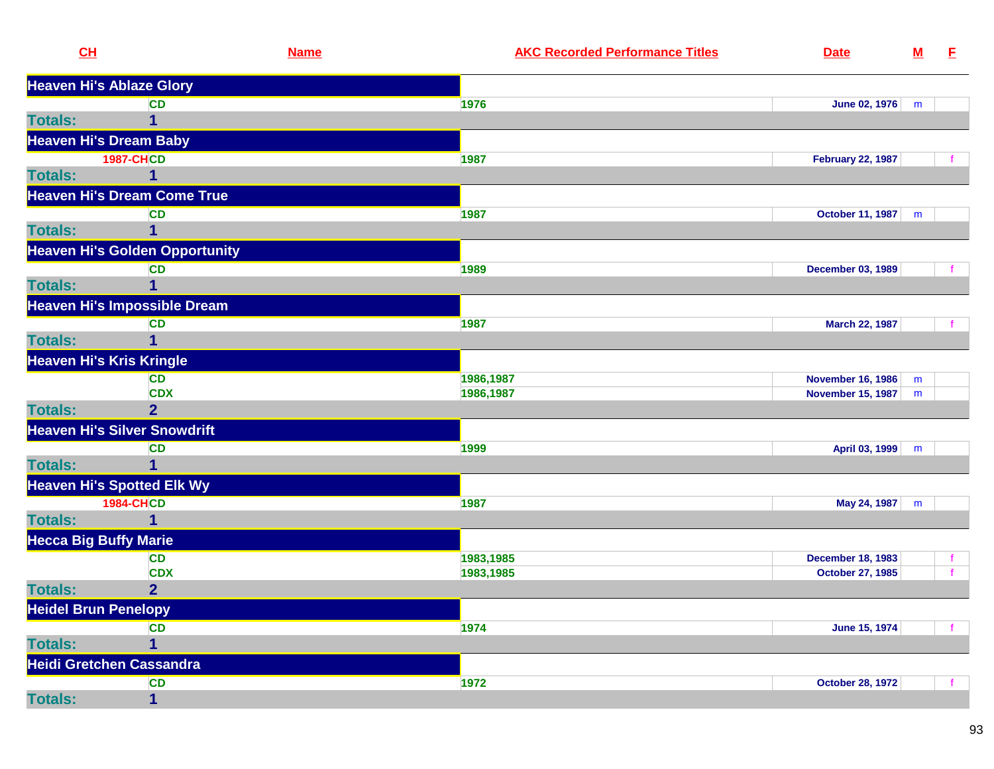| CL                              | <b>Name</b>                           |           | <b>AKC Recorded Performance Titles</b> | <b>Date</b>              | ${\bf M}$ | E. |
|---------------------------------|---------------------------------------|-----------|----------------------------------------|--------------------------|-----------|----|
| <b>Heaven Hi's Ablaze Glory</b> |                                       |           |                                        |                          |           |    |
|                                 | <b>CD</b>                             | 1976      |                                        | June 02, 1976            | m         |    |
| <b>Totals:</b>                  | 1                                     |           |                                        |                          |           |    |
| <b>Heaven Hi's Dream Baby</b>   |                                       |           |                                        |                          |           |    |
|                                 | <b>1987-CHCD</b>                      | 1987      |                                        | <b>February 22, 1987</b> |           |    |
| <b>Totals:</b>                  |                                       |           |                                        |                          |           |    |
|                                 | <b>Heaven Hi's Dream Come True</b>    |           |                                        |                          |           |    |
|                                 | <b>CD</b>                             | 1987      |                                        | <b>October 11, 1987</b>  | m         |    |
| <b>Totals:</b>                  | 1                                     |           |                                        |                          |           |    |
|                                 | <b>Heaven Hi's Golden Opportunity</b> |           |                                        |                          |           |    |
|                                 | <b>CD</b>                             | 1989      |                                        | <b>December 03, 1989</b> |           |    |
| <b>Totals:</b>                  |                                       |           |                                        |                          |           |    |
|                                 | <b>Heaven Hi's Impossible Dream</b>   |           |                                        |                          |           |    |
|                                 | <b>CD</b>                             | 1987      |                                        | March 22, 1987           |           |    |
| <b>Totals:</b>                  | $\mathbf{1}$                          |           |                                        |                          |           |    |
| <b>Heaven Hi's Kris Kringle</b> |                                       |           |                                        |                          |           |    |
|                                 | <b>CD</b>                             | 1986,1987 |                                        | <b>November 16, 1986</b> | m         |    |
|                                 | <b>CDX</b>                            | 1986,1987 |                                        | <b>November 15, 1987</b> | m         |    |
| <b>Totals:</b>                  | $\overline{2}$                        |           |                                        |                          |           |    |
|                                 | <b>Heaven Hi's Silver Snowdrift</b>   |           |                                        |                          |           |    |
|                                 | <b>CD</b>                             | 1999      |                                        | April 03, 1999           | m         |    |
| <b>Totals:</b>                  |                                       |           |                                        |                          |           |    |
|                                 | <b>Heaven Hi's Spotted Elk Wy</b>     |           |                                        |                          |           |    |
|                                 | <b>1984-CHCD</b>                      | 1987      |                                        | May 24, 1987             | m         |    |
| <b>Totals:</b>                  | 1                                     |           |                                        |                          |           |    |
| <b>Hecca Big Buffy Marie</b>    |                                       |           |                                        |                          |           |    |
|                                 | CD                                    | 1983,1985 |                                        | <b>December 18, 1983</b> |           |    |
|                                 | <b>CDX</b>                            | 1983,1985 |                                        | <b>October 27, 1985</b>  |           |    |
| <b>Totals:</b>                  | $\overline{2}$                        |           |                                        |                          |           |    |
| <b>Heidel Brun Penelopy</b>     |                                       |           |                                        |                          |           |    |
|                                 | <b>CD</b>                             | 1974      |                                        | June 15, 1974            |           |    |
| <b>Totals:</b>                  | 1                                     |           |                                        |                          |           |    |
|                                 | <b>Heidi Gretchen Cassandra</b>       |           |                                        |                          |           |    |
|                                 | <b>CD</b>                             | 1972      |                                        | <b>October 28, 1972</b>  |           |    |
| <b>Totals:</b>                  | 1                                     |           |                                        |                          |           |    |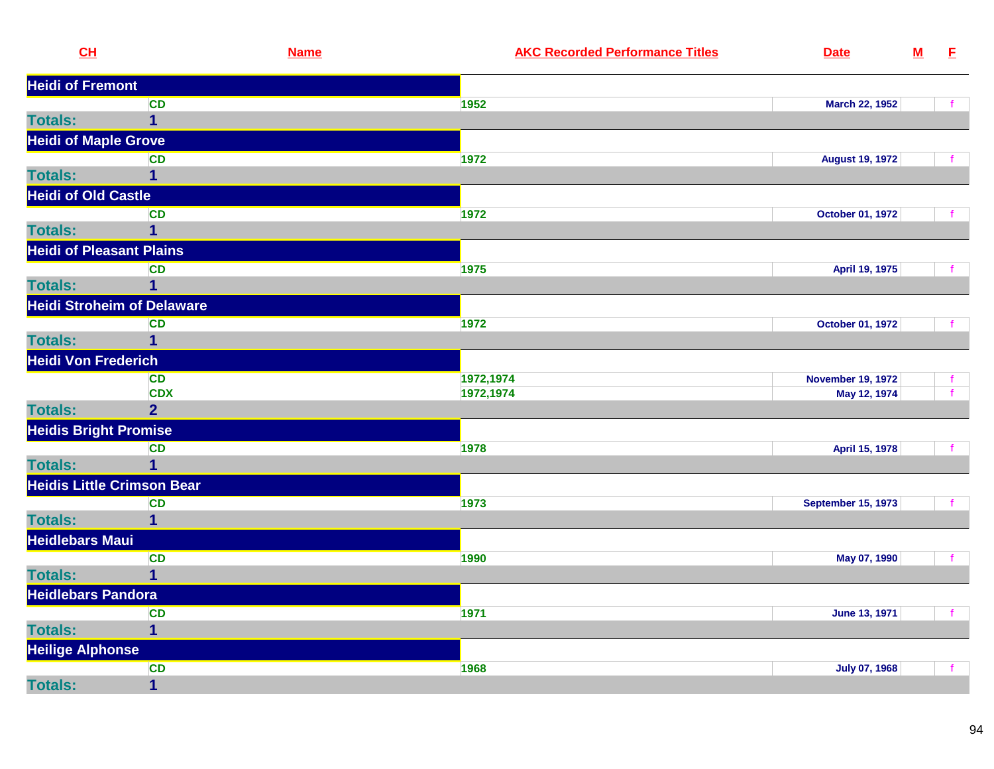| CL                                | <b>Name</b>             | <b>AKC Recorded Performance Titles</b> | <b>Date</b>               | $\underline{\mathsf{M}}$ | E            |
|-----------------------------------|-------------------------|----------------------------------------|---------------------------|--------------------------|--------------|
| <b>Heidi of Fremont</b>           |                         |                                        |                           |                          |              |
|                                   | <b>CD</b>               | 1952                                   | <b>March 22, 1952</b>     |                          |              |
| <b>Totals:</b>                    | $\mathbf 1$             |                                        |                           |                          |              |
| <b>Heidi of Maple Grove</b>       |                         |                                        |                           |                          |              |
|                                   | <b>CD</b>               | 1972                                   | <b>August 19, 1972</b>    |                          |              |
| <b>Totals:</b>                    | 1                       |                                        |                           |                          |              |
| <b>Heidi of Old Castle</b>        |                         |                                        |                           |                          |              |
|                                   | <b>CD</b>               | 1972                                   | <b>October 01, 1972</b>   |                          |              |
| <b>Totals:</b>                    | $\overline{\mathbf{1}}$ |                                        |                           |                          |              |
| <b>Heidi of Pleasant Plains</b>   |                         |                                        |                           |                          |              |
|                                   | <b>CD</b>               | 1975                                   | April 19, 1975            |                          |              |
| <b>Totals:</b>                    | 1                       |                                        |                           |                          |              |
| <b>Heidi Stroheim of Delaware</b> |                         |                                        |                           |                          |              |
|                                   | <b>CD</b>               | 1972                                   | October 01, 1972          |                          |              |
| <b>Totals:</b>                    | 1                       |                                        |                           |                          |              |
| <b>Heidi Von Frederich</b>        |                         |                                        |                           |                          |              |
|                                   | <b>CD</b>               | 1972,1974                              | <b>November 19, 1972</b>  |                          |              |
|                                   | <b>CDX</b>              | 1972,1974                              | May 12, 1974              |                          |              |
| <b>Totals:</b>                    | $\overline{2}$          |                                        |                           |                          |              |
| <b>Heidis Bright Promise</b>      |                         |                                        |                           |                          |              |
|                                   | <b>CD</b>               | 1978                                   | April 15, 1978            |                          |              |
| <b>Totals:</b>                    | $\overline{1}$          |                                        |                           |                          |              |
| <b>Heidis Little Crimson Bear</b> |                         |                                        |                           |                          |              |
|                                   | <b>CD</b>               | 1973                                   | <b>September 15, 1973</b> |                          |              |
| <b>Totals:</b>                    | 1                       |                                        |                           |                          |              |
| <b>Heidlebars Maui</b>            |                         |                                        |                           |                          |              |
|                                   | <b>CD</b>               | 1990                                   | May 07, 1990              |                          | $\mathbf{f}$ |
| <b>Totals:</b>                    | $\mathbf{1}$            |                                        |                           |                          |              |
| <b>Heidlebars Pandora</b>         |                         |                                        |                           |                          |              |
|                                   | <b>CD</b>               | 1971                                   | June 13, 1971             |                          |              |
| <b>Totals:</b>                    | 1                       |                                        |                           |                          |              |
| <b>Heilige Alphonse</b>           |                         |                                        |                           |                          |              |
|                                   | <b>CD</b>               | 1968                                   | <b>July 07, 1968</b>      |                          |              |
| <b>Totals:</b>                    | $\overline{\mathbf{1}}$ |                                        |                           |                          |              |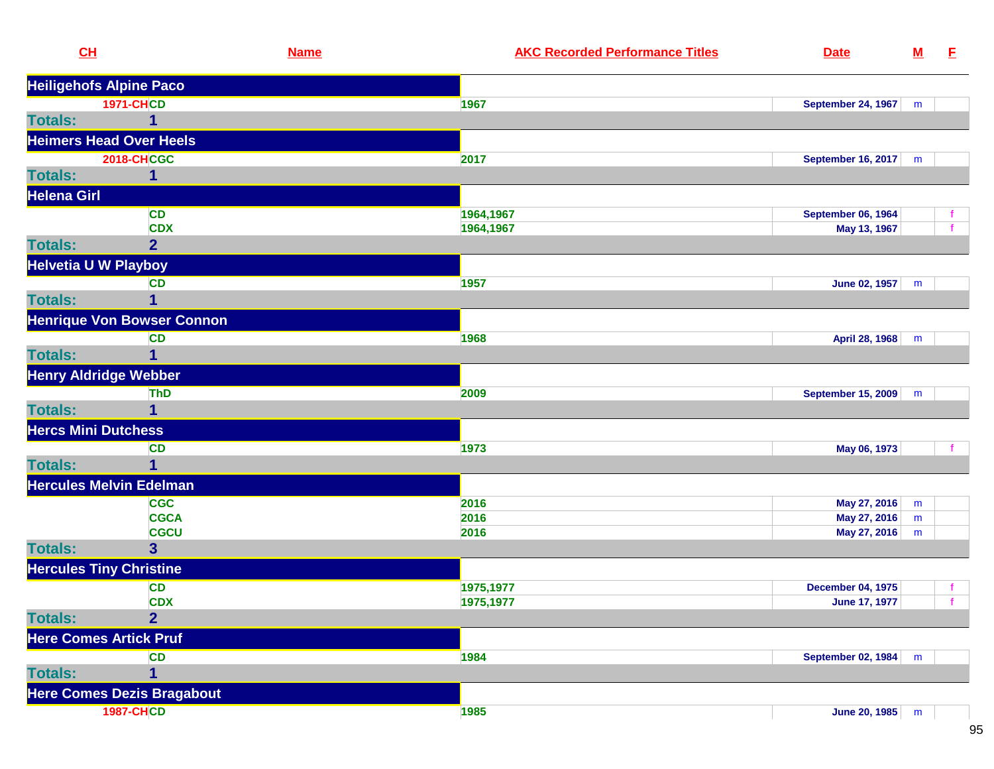|                | CL                                | <b>Name</b>             | <b>AKC Recorded Performance Titles</b> | <b>Date</b>               | ${\bf M}$ | E            |
|----------------|-----------------------------------|-------------------------|----------------------------------------|---------------------------|-----------|--------------|
|                | <b>Heiligehofs Alpine Paco</b>    |                         |                                        |                           |           |              |
|                | <b>1971-CHCD</b>                  |                         | 1967                                   | <b>September 24, 1967</b> | m         |              |
| <b>Totals:</b> |                                   | 1                       |                                        |                           |           |              |
|                | <b>Heimers Head Over Heels</b>    |                         |                                        |                           |           |              |
|                | <b>2018-CHCGC</b>                 |                         | 2017                                   | September 16, 2017        | m         |              |
| <b>Totals:</b> |                                   | 1                       |                                        |                           |           |              |
| Helena Girl    |                                   |                         |                                        |                           |           |              |
|                |                                   | <b>CD</b>               | 1964,1967                              | <b>September 06, 1964</b> |           | f.           |
|                |                                   | <b>CDX</b>              | 1964,1967                              | May 13, 1967              |           | $\mathbf{f}$ |
| <b>Totals:</b> |                                   | $\overline{2}$          |                                        |                           |           |              |
|                | <b>Helvetia U W Playboy</b>       |                         |                                        |                           |           |              |
|                |                                   | <b>CD</b>               | 1957                                   | June 02, 1957             | m         |              |
| <b>Totals:</b> |                                   | $\mathbf 1$             |                                        |                           |           |              |
|                | <b>Henrique Von Bowser Connon</b> |                         |                                        |                           |           |              |
|                |                                   | <b>CD</b>               | 1968                                   | April 28, 1968            | m         |              |
| <b>Totals:</b> |                                   | 1                       |                                        |                           |           |              |
|                | <b>Henry Aldridge Webber</b>      |                         |                                        |                           |           |              |
|                |                                   | <b>ThD</b>              | 2009                                   | <b>September 15, 2009</b> | m         |              |
| <b>Totals:</b> |                                   | 1                       |                                        |                           |           |              |
|                | <b>Hercs Mini Dutchess</b>        |                         |                                        |                           |           |              |
|                |                                   | <b>CD</b>               | 1973                                   | May 06, 1973              |           |              |
| <b>Totals:</b> |                                   | $\mathbf 1$             |                                        |                           |           |              |
|                | <b>Hercules Melvin Edelman</b>    |                         |                                        |                           |           |              |
|                |                                   | <b>CGC</b>              | 2016                                   | May 27, 2016              | m         |              |
|                |                                   | <b>CGCA</b>             | 2016                                   | May 27, 2016              | m         |              |
|                |                                   | <b>CGCU</b>             | 2016                                   | May 27, 2016              | m         |              |
| <b>Totals:</b> |                                   | $\overline{\mathbf{3}}$ |                                        |                           |           |              |
|                | <b>Hercules Tiny Christine</b>    |                         |                                        |                           |           |              |
|                |                                   | <b>CD</b>               | 1975,1977                              | <b>December 04, 1975</b>  |           |              |
|                |                                   | <b>CDX</b>              | 1975,1977                              | <b>June 17, 1977</b>      |           |              |
| <b>Totals:</b> |                                   | $\overline{2}$          |                                        |                           |           |              |
|                | <b>Here Comes Artick Pruf</b>     |                         |                                        |                           |           |              |
|                |                                   | <b>CD</b>               | 1984                                   | September 02, 1984 m      |           |              |
| <b>Totals:</b> |                                   | $\overline{1}$          |                                        |                           |           |              |
|                | <b>Here Comes Dezis Bragabout</b> |                         |                                        |                           |           |              |
|                | <b>1987-CHCD</b>                  |                         | 1985                                   | June 20, 1985 m           |           |              |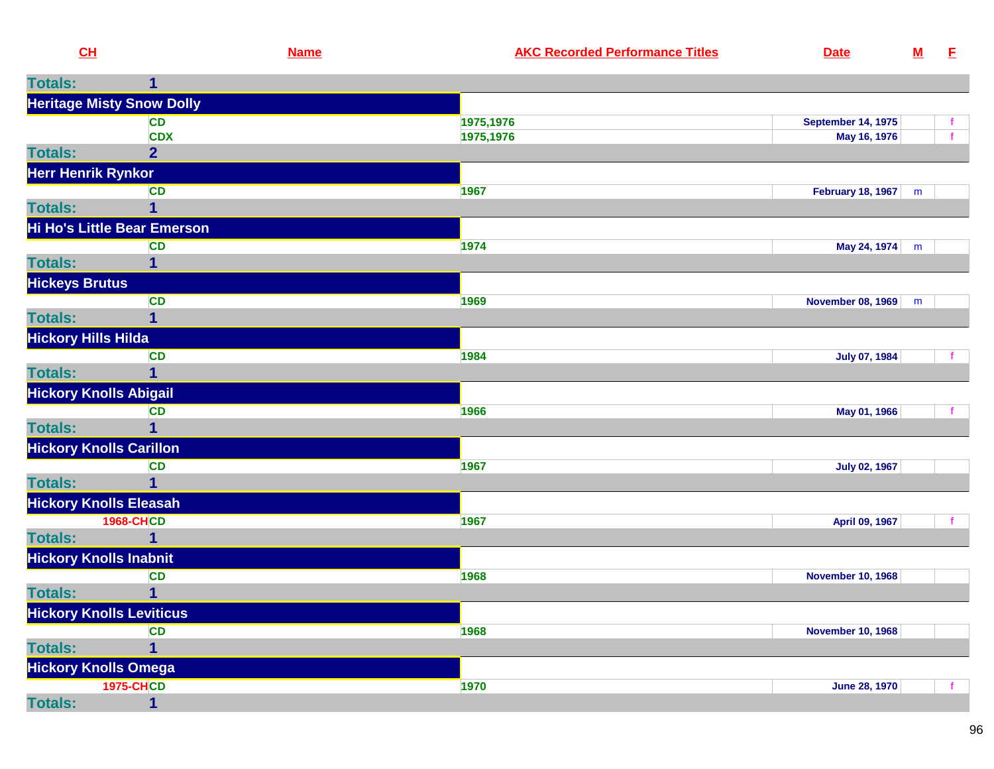| <u>CH</u>                  |                                          | <b>Name</b> | <b>AKC Recorded Performance Titles</b> | <b>Date</b>               | <u>M</u> | E            |
|----------------------------|------------------------------------------|-------------|----------------------------------------|---------------------------|----------|--------------|
| <b>Totals:</b>             | 1                                        |             |                                        |                           |          |              |
|                            | <b>Heritage Misty Snow Dolly</b>         |             |                                        |                           |          |              |
|                            | <b>CD</b>                                |             | 1975,1976                              | <b>September 14, 1975</b> |          | $\mathbf{f}$ |
|                            | <b>CDX</b>                               |             | 1975,1976                              | May 16, 1976              |          | $\mathbf{f}$ |
| <b>Totals:</b>             | $\overline{2}$                           |             |                                        |                           |          |              |
| Herr Henrik Rynkor         |                                          |             |                                        |                           |          |              |
| <b>Totals:</b>             | <b>CD</b><br>1                           |             | 1967                                   | <b>February 18, 1967</b>  | m        |              |
|                            |                                          |             |                                        |                           |          |              |
|                            | Hi Ho's Little Bear Emerson<br><b>CD</b> |             | 1974                                   | May 24, 1974              | m        |              |
| <b>Totals:</b>             | 1                                        |             |                                        |                           |          |              |
| <b>Hickeys Brutus</b>      |                                          |             |                                        |                           |          |              |
|                            | <b>CD</b>                                |             | 1969                                   | <b>November 08, 1969</b>  | m        |              |
| <b>Totals:</b>             | $\overline{\mathbf{1}}$                  |             |                                        |                           |          |              |
| <b>Hickory Hills Hilda</b> |                                          |             |                                        |                           |          |              |
|                            | <b>CD</b>                                |             | 1984                                   | <b>July 07, 1984</b>      |          | $\mathbf{f}$ |
| <b>Totals:</b>             | 1                                        |             |                                        |                           |          |              |
|                            | <b>Hickory Knolls Abigail</b>            |             |                                        |                           |          |              |
|                            | <b>CD</b>                                |             | 1966                                   | May 01, 1966              |          |              |
| <b>Totals:</b>             | 1                                        |             |                                        |                           |          |              |
|                            | <b>Hickory Knolls Carillon</b>           |             |                                        |                           |          |              |
|                            | <b>CD</b>                                |             | 1967                                   | <b>July 02, 1967</b>      |          |              |
| <b>Totals:</b>             | 1                                        |             |                                        |                           |          |              |
|                            | <b>Hickory Knolls Eleasah</b>            |             |                                        |                           |          |              |
|                            | <b>1968-CHCD</b>                         |             | 1967                                   | April 09, 1967            |          | $-f$         |
| <b>Totals:</b>             |                                          |             |                                        |                           |          |              |
|                            | <b>Hickory Knolls Inabnit</b>            |             |                                        |                           |          |              |
| <b>Totals:</b>             | <b>CD</b><br>1                           |             | 1968                                   | <b>November 10, 1968</b>  |          |              |
|                            | <b>Hickory Knolls Leviticus</b>          |             |                                        |                           |          |              |
|                            | <b>CD</b>                                |             | 1968                                   | <b>November 10, 1968</b>  |          |              |
| <b>Totals:</b>             | $\mathbf{1}$                             |             |                                        |                           |          |              |
|                            | <b>Hickory Knolls Omega</b>              |             |                                        |                           |          |              |
|                            | <b>1975-CHCD</b>                         |             | 1970                                   | <b>June 28, 1970</b>      |          |              |
| <b>Totals:</b>             | 1                                        |             |                                        |                           |          |              |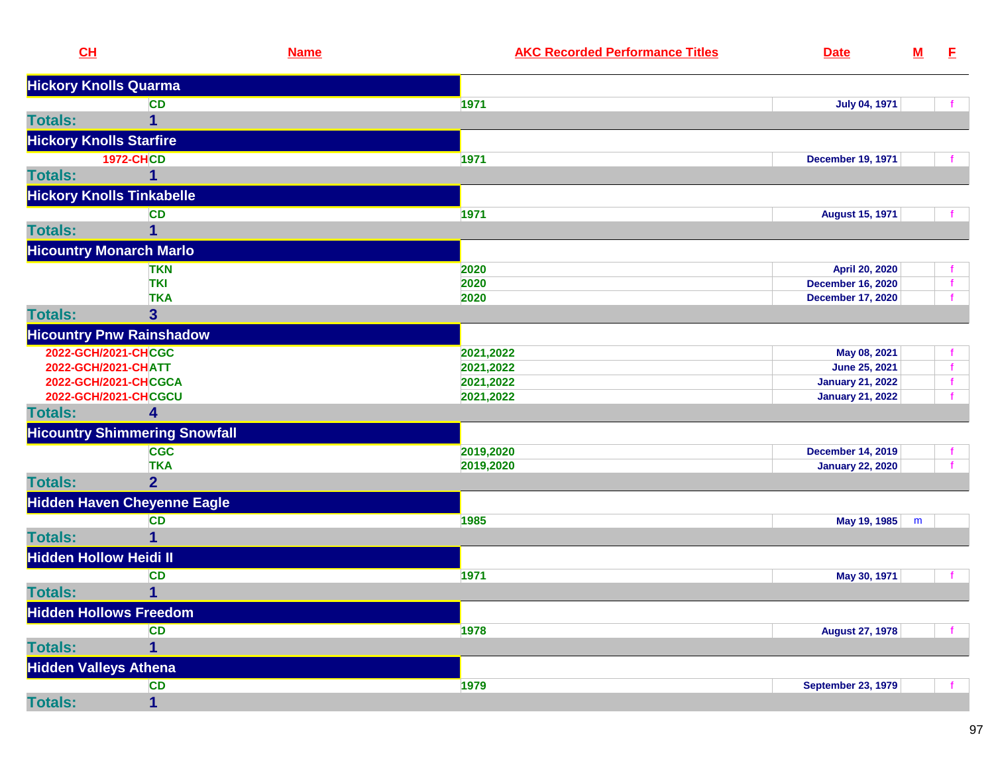| CL                             |                                      | <b>Name</b> | <b>AKC Recorded Performance Titles</b> | <b>Date</b>               | ${\bf M}$ | E. |
|--------------------------------|--------------------------------------|-------------|----------------------------------------|---------------------------|-----------|----|
|                                | <b>Hickory Knolls Quarma</b>         |             |                                        |                           |           |    |
|                                | <b>CD</b>                            |             | 1971                                   | <b>July 04, 1971</b>      |           |    |
| <b>Totals:</b>                 | 1                                    |             |                                        |                           |           |    |
| <b>Hickory Knolls Starfire</b> |                                      |             |                                        |                           |           |    |
|                                | <b>1972-CHCD</b>                     |             | 1971                                   | <b>December 19, 1971</b>  |           |    |
| <b>Totals:</b>                 |                                      |             |                                        |                           |           |    |
|                                | <b>Hickory Knolls Tinkabelle</b>     |             |                                        |                           |           |    |
|                                | <b>CD</b>                            |             | 1971                                   | <b>August 15, 1971</b>    |           |    |
| <b>Totals:</b>                 | 1                                    |             |                                        |                           |           |    |
|                                | <b>Hicountry Monarch Marlo</b>       |             |                                        |                           |           |    |
|                                | <b>TKN</b>                           |             | 2020                                   | April 20, 2020            |           |    |
|                                | <b>TKI</b>                           |             | 2020                                   | <b>December 16, 2020</b>  |           |    |
|                                | <b>TKA</b>                           |             | 2020                                   | <b>December 17, 2020</b>  |           |    |
| <b>Totals:</b>                 | $\overline{\mathbf{3}}$              |             |                                        |                           |           |    |
|                                | <b>Hicountry Pnw Rainshadow</b>      |             |                                        |                           |           |    |
|                                | 2022-GCH/2021-CHCGC                  |             | 2021,2022                              | May 08, 2021              |           |    |
|                                | 2022-GCH/2021-CHATT                  |             | 2021,2022                              | June 25, 2021             |           |    |
|                                | 2022-GCH/2021-CHCGCA                 |             | 2021,2022                              | <b>January 21, 2022</b>   |           |    |
|                                | 2022-GCH/2021-CHCGCU                 |             | 2021,2022                              | <b>January 21, 2022</b>   |           |    |
| <b>Totals:</b>                 | 4                                    |             |                                        |                           |           |    |
|                                | <b>Hicountry Shimmering Snowfall</b> |             |                                        |                           |           |    |
|                                | <b>CGC</b>                           |             | 2019,2020                              | <b>December 14, 2019</b>  |           |    |
|                                | <b>TKA</b>                           |             | 2019,2020                              | <b>January 22, 2020</b>   |           |    |
| <b>Totals:</b>                 | $\overline{2}$                       |             |                                        |                           |           |    |
|                                | <b>Hidden Haven Cheyenne Eagle</b>   |             |                                        |                           |           |    |
|                                | <b>CD</b>                            |             | 1985                                   | May 19, 1985              | m         |    |
| <b>Totals:</b>                 |                                      |             |                                        |                           |           |    |
| <b>Hidden Hollow Heidi II</b>  |                                      |             |                                        |                           |           |    |
|                                | <b>CD</b>                            |             | 1971                                   | May 30, 1971              |           |    |
| <b>Totals:</b>                 | 1                                    |             |                                        |                           |           |    |
|                                | <b>Hidden Hollows Freedom</b>        |             |                                        |                           |           |    |
|                                | <b>CD</b>                            |             | 1978                                   | <b>August 27, 1978</b>    |           |    |
| <b>Totals:</b>                 | 1                                    |             |                                        |                           |           |    |
| <b>Hidden Valleys Athena</b>   |                                      |             |                                        |                           |           |    |
|                                | <b>CD</b>                            |             | 1979                                   | <b>September 23, 1979</b> |           |    |
| <b>Totals:</b>                 | 1                                    |             |                                        |                           |           |    |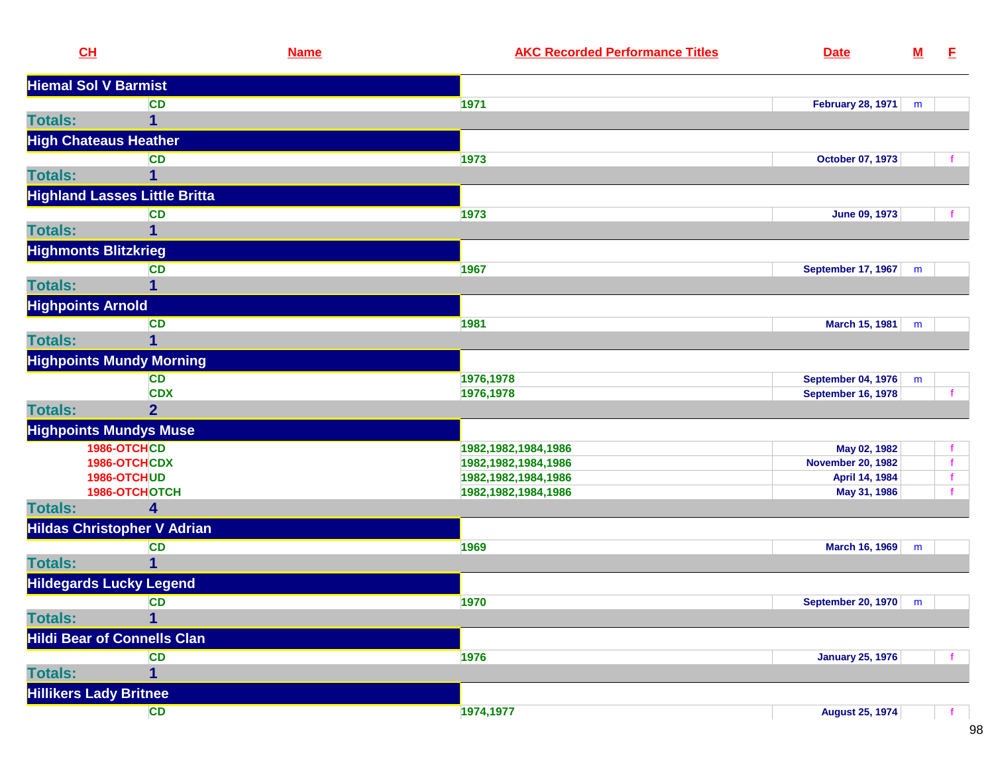| CL                             |                                      | <b>Name</b> | <b>AKC Recorded Performance Titles</b> | <b>Date</b>                 | ${\bf M}$ | E.           |
|--------------------------------|--------------------------------------|-------------|----------------------------------------|-----------------------------|-----------|--------------|
| <b>Hiemal Sol V Barmist</b>    |                                      |             |                                        |                             |           |              |
|                                | <b>CD</b>                            |             | 1971                                   | <b>February 28, 1971</b>    | m         |              |
| <b>Totals:</b>                 | 1                                    |             |                                        |                             |           |              |
| <b>High Chateaus Heather</b>   |                                      |             |                                        |                             |           |              |
|                                | <b>CD</b>                            |             | 1973                                   | October 07, 1973            |           |              |
| <b>Totals:</b>                 |                                      |             |                                        |                             |           |              |
|                                | <b>Highland Lasses Little Britta</b> |             |                                        |                             |           |              |
|                                | <b>CD</b>                            |             | 1973                                   | <b>June 09, 1973</b>        |           |              |
| <b>Totals:</b>                 | 1                                    |             |                                        |                             |           |              |
| <b>Highmonts Blitzkrieg</b>    |                                      |             |                                        |                             |           |              |
|                                | <b>CD</b>                            |             | 1967                                   | <b>September 17, 1967</b>   | m         |              |
| <b>Totals:</b>                 |                                      |             |                                        |                             |           |              |
| <b>Highpoints Arnold</b>       |                                      |             |                                        |                             |           |              |
|                                | <b>CD</b>                            |             | 1981                                   | <b>March 15, 1981</b>       | m         |              |
| <b>Totals:</b>                 | 1                                    |             |                                        |                             |           |              |
|                                | <b>Highpoints Mundy Morning</b>      |             |                                        |                             |           |              |
|                                | <b>CD</b>                            |             | 1976,1978                              | <b>September 04, 1976</b>   | m         |              |
|                                | <b>CDX</b>                           |             | 1976,1978                              | <b>September 16, 1978</b>   |           |              |
| <b>Totals:</b>                 | $\overline{2}$                       |             |                                        |                             |           |              |
| <b>Highpoints Mundys Muse</b>  |                                      |             |                                        |                             |           |              |
|                                | 1986-OTCHCD                          |             | 1982, 1982, 1984, 1986                 | May 02, 1982                |           |              |
|                                | 1986-OTCHCDX                         |             | 1982, 1982, 1984, 1986                 | <b>November 20, 1982</b>    |           |              |
|                                | 1986-OTCHUD                          |             | 1982, 1982, 1984, 1986                 | April 14, 1984              |           | $\mathbf{f}$ |
|                                | 1986-OTCHOTCH                        |             | 1982, 1982, 1984, 1986                 | May 31, 1986                |           |              |
| <b>Totals:</b>                 | 4                                    |             |                                        |                             |           |              |
|                                | <b>Hildas Christopher V Adrian</b>   |             |                                        |                             |           |              |
|                                | <b>CD</b>                            |             | 1969                                   | March 16, 1969              | m         |              |
| <b>Totals:</b>                 |                                      |             |                                        |                             |           |              |
| <b>Hildegards Lucky Legend</b> |                                      |             |                                        |                             |           |              |
|                                | <b>CD</b>                            |             | 1970                                   | <b>September 20, 1970</b> m |           |              |
| <b>Totals:</b>                 | $\overline{1}$                       |             |                                        |                             |           |              |
|                                | <b>Hildi Bear of Connells Clan</b>   |             |                                        |                             |           |              |
|                                | <b>CD</b>                            |             | 1976                                   | <b>January 25, 1976</b>     |           |              |
| <b>Totals:</b>                 |                                      |             |                                        |                             |           |              |
| <b>Hillikers Lady Britnee</b>  |                                      |             |                                        |                             |           |              |
|                                | <b>CD</b>                            |             | 1974,1977                              | <b>August 25, 1974</b>      |           | $\mathbf{f}$ |
|                                |                                      |             |                                        |                             |           |              |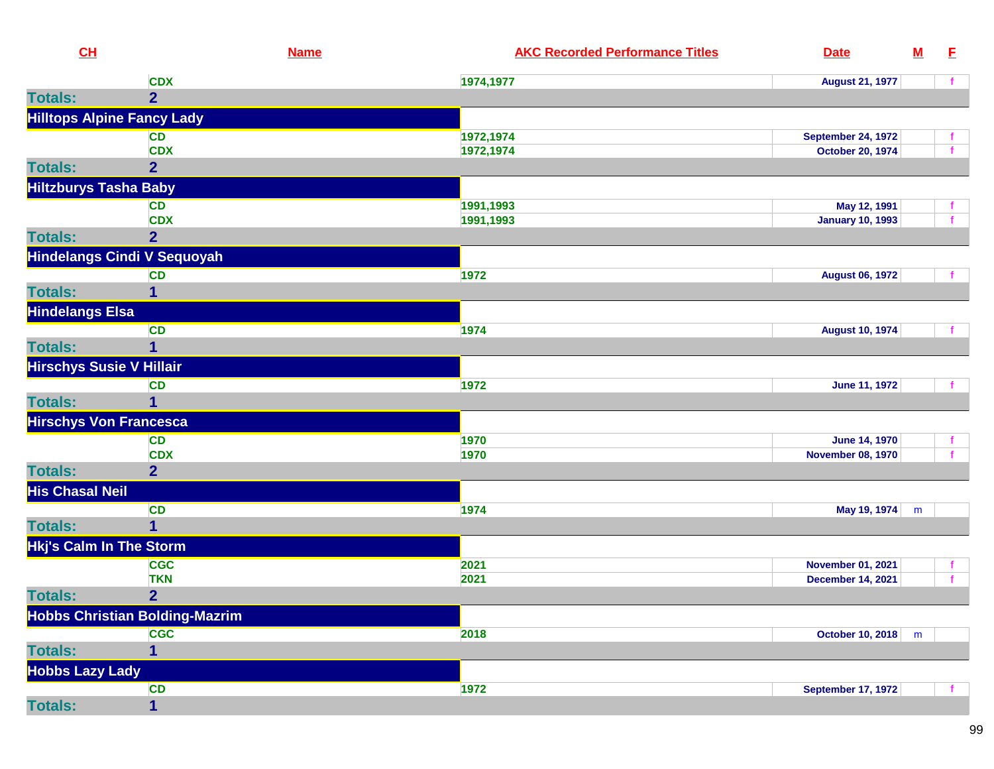| CL                              |                                       | <b>Name</b> | <b>AKC Recorded Performance Titles</b> | <b>Date</b>               | ${\bf M}$ | E |
|---------------------------------|---------------------------------------|-------------|----------------------------------------|---------------------------|-----------|---|
|                                 | <b>CDX</b>                            |             | 1974,1977                              | <b>August 21, 1977</b>    |           |   |
| <b>Totals:</b>                  | 2 <sup>1</sup>                        |             |                                        |                           |           |   |
|                                 | <b>Hilltops Alpine Fancy Lady</b>     |             |                                        |                           |           |   |
|                                 | <b>CD</b>                             |             | 1972,1974                              | <b>September 24, 1972</b> |           |   |
|                                 | <b>CDX</b>                            |             | 1972,1974                              | <b>October 20, 1974</b>   |           |   |
| <b>Totals:</b>                  | $\overline{2}$                        |             |                                        |                           |           |   |
| <b>Hiltzburys Tasha Baby</b>    |                                       |             |                                        |                           |           |   |
|                                 | <b>CD</b>                             |             | 1991,1993                              | May 12, 1991              |           |   |
|                                 | <b>CDX</b>                            |             | 1991,1993                              | <b>January 10, 1993</b>   |           |   |
| <b>Totals:</b>                  | $\overline{2}$                        |             |                                        |                           |           |   |
|                                 | <b>Hindelangs Cindi V Sequoyah</b>    |             |                                        |                           |           |   |
|                                 | <b>CD</b>                             |             | 1972                                   | <b>August 06, 1972</b>    |           |   |
| <b>Totals:</b>                  | 1                                     |             |                                        |                           |           |   |
| <b>Hindelangs Elsa</b>          |                                       |             |                                        |                           |           |   |
|                                 | <b>CD</b>                             |             | 1974                                   | <b>August 10, 1974</b>    |           |   |
| <b>Totals:</b>                  | 1                                     |             |                                        |                           |           |   |
| <b>Hirschys Susie V Hillair</b> |                                       |             |                                        |                           |           |   |
|                                 | <b>CD</b>                             |             | 1972                                   | <b>June 11, 1972</b>      |           |   |
| <b>Totals:</b>                  | $\mathbf{1}$                          |             |                                        |                           |           |   |
| <b>Hirschys Von Francesca</b>   |                                       |             |                                        |                           |           |   |
|                                 | <b>CD</b>                             |             | 1970                                   | <b>June 14, 1970</b>      |           |   |
|                                 | <b>CDX</b>                            |             | 1970                                   | <b>November 08, 1970</b>  |           |   |
| <b>Totals:</b>                  | 2 <sup>1</sup>                        |             |                                        |                           |           |   |
| <b>His Chasal Neil</b>          |                                       |             |                                        |                           |           |   |
|                                 | <b>CD</b>                             |             | 1974                                   | May 19, 1974              | m         |   |
| <b>Totals:</b>                  | $\mathbf{1}$                          |             |                                        |                           |           |   |
| <b>Hkj's Calm In The Storm</b>  |                                       |             |                                        |                           |           |   |
|                                 | <b>CGC</b>                            |             | 2021                                   | <b>November 01, 2021</b>  |           |   |
|                                 | <b>TKN</b>                            |             | 2021                                   | <b>December 14, 2021</b>  |           |   |
| <b>Totals:</b>                  | $\overline{2}$                        |             |                                        |                           |           |   |
|                                 | <b>Hobbs Christian Bolding-Mazrim</b> |             |                                        |                           |           |   |
|                                 | <b>CGC</b>                            |             | 2018                                   | October 10, 2018          | m         |   |
| <b>Totals:</b>                  | 1                                     |             |                                        |                           |           |   |
| <b>Hobbs Lazy Lady</b>          |                                       |             |                                        |                           |           |   |
|                                 | <b>CD</b>                             |             | 1972                                   | <b>September 17, 1972</b> |           |   |
| <b>Totals:</b>                  | 1                                     |             |                                        |                           |           |   |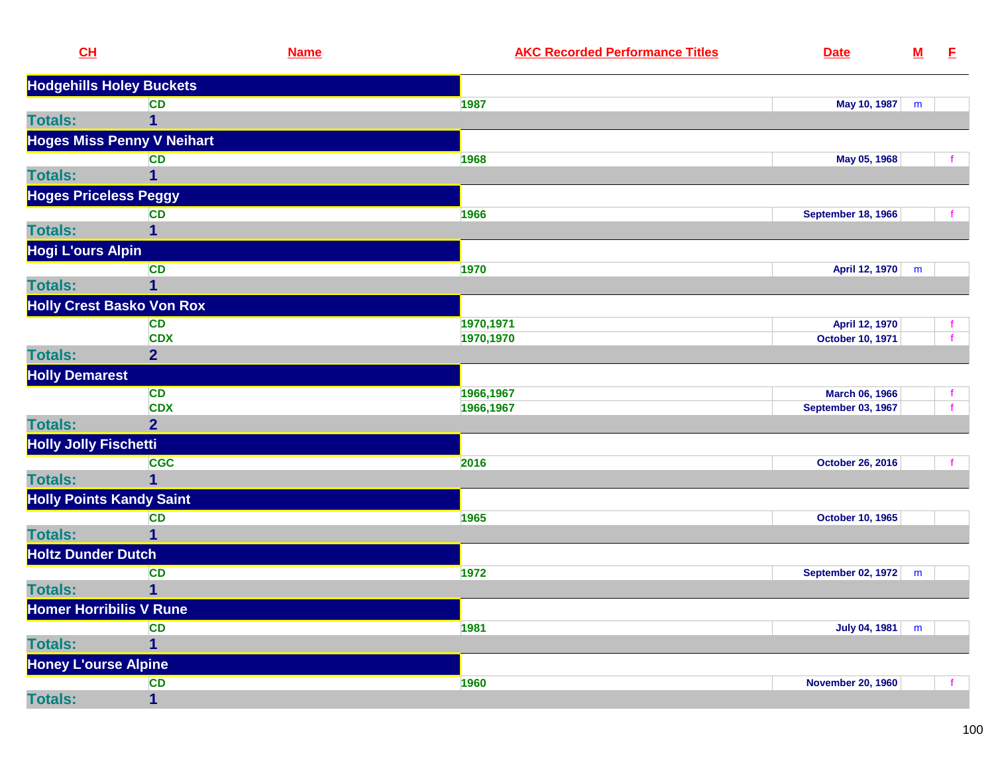| CL                              | <b>Name</b>                       | <b>AKC Recorded Performance Titles</b><br><b>Date</b> | ${\bf M}$ | E |
|---------------------------------|-----------------------------------|-------------------------------------------------------|-----------|---|
|                                 | <b>Hodgehills Holey Buckets</b>   |                                                       |           |   |
|                                 | <b>CD</b>                         | 1987<br>May 10, 1987                                  | m         |   |
| <b>Totals:</b>                  | 1                                 |                                                       |           |   |
|                                 | <b>Hoges Miss Penny V Neihart</b> |                                                       |           |   |
|                                 | <b>CD</b>                         | 1968<br>May 05, 1968                                  |           |   |
| <b>Totals:</b>                  | 1                                 |                                                       |           |   |
| <b>Hoges Priceless Peggy</b>    |                                   |                                                       |           |   |
|                                 | <b>CD</b>                         | 1966<br><b>September 18, 1966</b>                     |           |   |
| <b>Totals:</b>                  | 1                                 |                                                       |           |   |
| <b>Hogi L'ours Alpin</b>        |                                   |                                                       |           |   |
|                                 | <b>CD</b>                         | 1970<br>April 12, 1970                                | m         |   |
| <b>Totals:</b>                  | 1                                 |                                                       |           |   |
|                                 | <b>Holly Crest Basko Von Rox</b>  |                                                       |           |   |
|                                 | <b>CD</b>                         | 1970,1971<br>April 12, 1970                           |           |   |
|                                 | <b>CDX</b>                        | 1970,1970<br><b>October 10, 1971</b>                  |           |   |
| <b>Totals:</b>                  | $\overline{2}$                    |                                                       |           |   |
| <b>Holly Demarest</b>           |                                   |                                                       |           |   |
|                                 | <b>CD</b>                         | 1966,1967<br><b>March 06, 1966</b>                    |           |   |
|                                 | <b>CDX</b>                        | 1966,1967<br><b>September 03, 1967</b>                |           |   |
| <b>Totals:</b>                  | $\overline{2}$                    |                                                       |           |   |
| <b>Holly Jolly Fischetti</b>    |                                   |                                                       |           |   |
|                                 | <b>CGC</b>                        | 2016<br><b>October 26, 2016</b>                       |           |   |
| <b>Totals:</b>                  | 1                                 |                                                       |           |   |
| <b>Holly Points Kandy Saint</b> |                                   |                                                       |           |   |
|                                 | <b>CD</b>                         | 1965<br><b>October 10, 1965</b>                       |           |   |
| <b>Totals:</b>                  | 1                                 |                                                       |           |   |
| <b>Holtz Dunder Dutch</b>       |                                   |                                                       |           |   |
|                                 | <b>CD</b>                         | 1972<br>September 02, 1972                            | m         |   |
| <b>Totals:</b>                  | 1                                 |                                                       |           |   |
| <b>Homer Horribilis V Rune</b>  |                                   |                                                       |           |   |
|                                 | <b>CD</b>                         | 1981<br>July 04, 1981                                 | m         |   |
| <b>Totals:</b>                  | 1                                 |                                                       |           |   |
| <b>Honey L'ourse Alpine</b>     |                                   |                                                       |           |   |
|                                 | <b>CD</b>                         | 1960<br><b>November 20, 1960</b>                      |           |   |
| <b>Totals:</b>                  | $\mathbf{1}$                      |                                                       |           |   |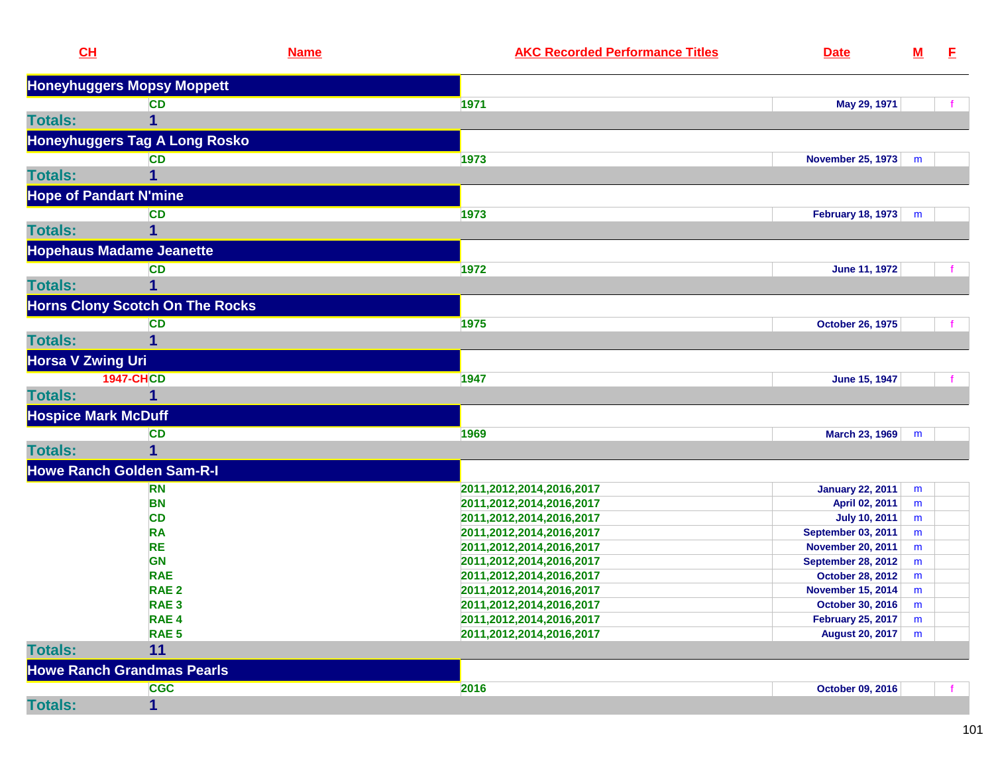|                | CL                                     | <b>Name</b> | <b>AKC Recorded Performance Titles</b> | <b>Date</b>               | ${\bf M}$ | E. |
|----------------|----------------------------------------|-------------|----------------------------------------|---------------------------|-----------|----|
|                | <b>Honeyhuggers Mopsy Moppett</b>      |             |                                        |                           |           |    |
|                | <b>CD</b>                              |             | 1971                                   | May 29, 1971              |           |    |
| <b>Totals:</b> | 1                                      |             |                                        |                           |           |    |
|                | <b>Honeyhuggers Tag A Long Rosko</b>   |             |                                        |                           |           |    |
|                | <b>CD</b>                              |             | 1973                                   | <b>November 25, 1973</b>  | m         |    |
| <b>Totals:</b> |                                        |             |                                        |                           |           |    |
|                | <b>Hope of Pandart N'mine</b>          |             |                                        |                           |           |    |
|                | <b>CD</b>                              |             | 1973                                   | <b>February 18, 1973</b>  | m         |    |
| <b>Totals:</b> | 1                                      |             |                                        |                           |           |    |
|                | <b>Hopehaus Madame Jeanette</b>        |             |                                        |                           |           |    |
|                | <b>CD</b>                              |             | 1972                                   | <b>June 11, 1972</b>      |           |    |
| <b>Totals:</b> |                                        |             |                                        |                           |           |    |
|                |                                        |             |                                        |                           |           |    |
|                | <b>Horns Clony Scotch On The Rocks</b> |             |                                        |                           |           |    |
| <b>Totals:</b> | <b>CD</b><br>1                         |             | 1975                                   | <b>October 26, 1975</b>   |           |    |
|                |                                        |             |                                        |                           |           |    |
|                | <b>Horsa V Zwing Uri</b>               |             |                                        |                           |           |    |
|                | <b>1947-CHCD</b>                       |             | 1947                                   | June 15, 1947             |           |    |
| <b>Totals:</b> | 1                                      |             |                                        |                           |           |    |
|                | <b>Hospice Mark McDuff</b>             |             |                                        |                           |           |    |
|                | <b>CD</b>                              |             | 1969                                   | <b>March 23, 1969</b>     | m         |    |
| <b>Totals:</b> |                                        |             |                                        |                           |           |    |
|                | <b>Howe Ranch Golden Sam-R-I</b>       |             |                                        |                           |           |    |
|                | <b>RN</b>                              |             | 2011,2012,2014,2016,2017               | <b>January 22, 2011</b>   | m         |    |
|                | <b>BN</b>                              |             | 2011,2012,2014,2016,2017               | April 02, 2011            | m         |    |
|                | <b>CD</b>                              |             | 2011,2012,2014,2016,2017               | <b>July 10, 2011</b>      | m         |    |
|                | <b>RA</b>                              |             | 2011,2012,2014,2016,2017               | <b>September 03, 2011</b> | m         |    |
|                | <b>RE</b>                              |             | 2011,2012,2014,2016,2017               | <b>November 20, 2011</b>  | m         |    |
|                | <b>GN</b>                              |             | 2011,2012,2014,2016,2017               | <b>September 28, 2012</b> | m         |    |
|                | <b>RAE</b>                             |             | 2011,2012,2014,2016,2017               | <b>October 28, 2012</b>   | m         |    |
|                | RAE <sub>2</sub>                       |             | 2011,2012,2014,2016,2017               | <b>November 15, 2014</b>  | m         |    |
|                | RAE <sub>3</sub>                       |             | 2011,2012,2014,2016,2017               | October 30, 2016          | m         |    |
|                | RAE <sub>4</sub>                       |             | 2011,2012,2014,2016,2017               | <b>February 25, 2017</b>  | m         |    |
|                | RAE <sub>5</sub>                       |             | 2011,2012,2014,2016,2017               | August 20, 2017           | m         |    |
| <b>Totals:</b> | 11                                     |             |                                        |                           |           |    |
|                | <b>Howe Ranch Grandmas Pearls</b>      |             |                                        |                           |           |    |
|                | <b>CGC</b>                             |             | 2016                                   | October 09, 2016          |           |    |
| <b>Totals:</b> | $\mathbf 1$                            |             |                                        |                           |           |    |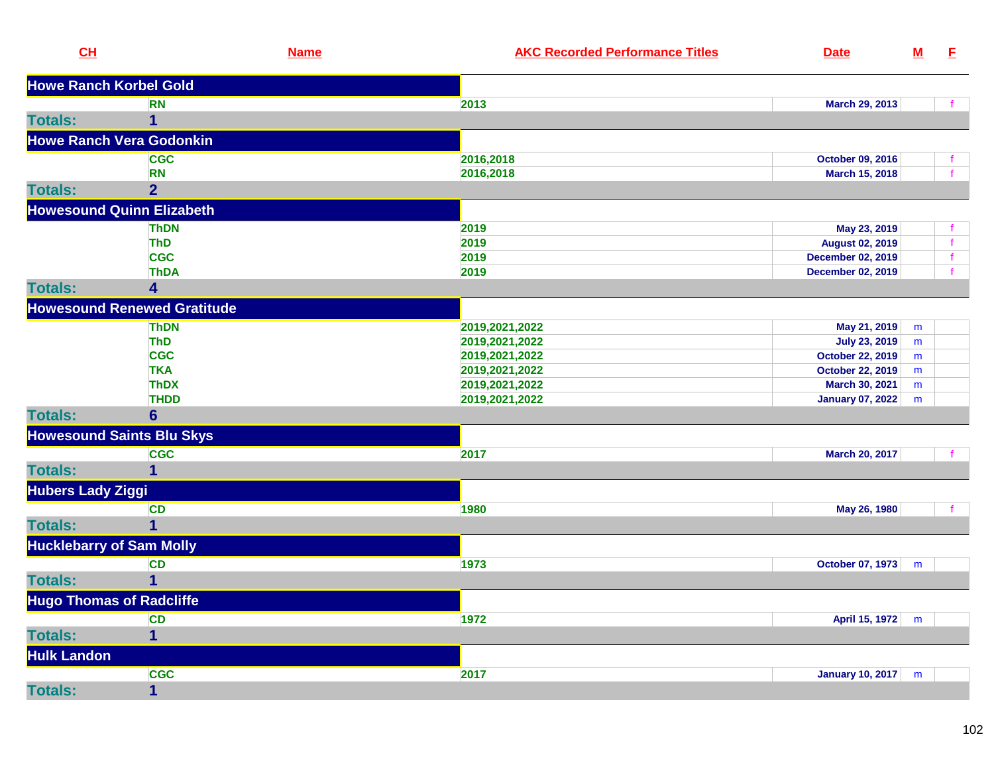| CL                              | <b>Name</b>                        | <b>AKC Recorded Performance Titles</b> | <b>Date</b>             | $\underline{\mathsf{M}}$ | E. |
|---------------------------------|------------------------------------|----------------------------------------|-------------------------|--------------------------|----|
| <b>Howe Ranch Korbel Gold</b>   |                                    |                                        |                         |                          |    |
|                                 | <b>RN</b>                          | 2013                                   | March 29, 2013          |                          |    |
| <b>Totals:</b>                  | 1                                  |                                        |                         |                          |    |
|                                 | <b>Howe Ranch Vera Godonkin</b>    |                                        |                         |                          |    |
|                                 | <b>CGC</b>                         | 2016,2018                              | October 09, 2016        |                          |    |
|                                 | <b>RN</b>                          | 2016,2018                              | March 15, 2018          |                          |    |
| <b>Totals:</b>                  | 2 <sup>1</sup>                     |                                        |                         |                          |    |
|                                 | <b>Howesound Quinn Elizabeth</b>   |                                        |                         |                          |    |
|                                 | <b>ThDN</b>                        | 2019                                   | May 23, 2019            |                          |    |
|                                 | <b>ThD</b>                         | 2019                                   | <b>August 02, 2019</b>  |                          |    |
|                                 | <b>CGC</b>                         | 2019                                   | December 02, 2019       |                          |    |
|                                 | <b>ThDA</b>                        | 2019                                   | December 02, 2019       |                          |    |
| <b>Totals:</b>                  | 4                                  |                                        |                         |                          |    |
|                                 | <b>Howesound Renewed Gratitude</b> |                                        |                         |                          |    |
|                                 | <b>ThDN</b>                        | 2019,2021,2022                         | May 21, 2019            | m                        |    |
|                                 | <b>ThD</b>                         | 2019,2021,2022                         | <b>July 23, 2019</b>    | m                        |    |
|                                 | <b>CGC</b>                         | 2019,2021,2022                         | <b>October 22, 2019</b> | m                        |    |
|                                 | <b>TKA</b>                         | 2019,2021,2022                         | October 22, 2019        | m                        |    |
|                                 | <b>ThDX</b>                        | 2019,2021,2022                         | March 30, 2021          | m                        |    |
|                                 | <b>THDD</b>                        | 2019,2021,2022                         | <b>January 07, 2022</b> | m                        |    |
| <b>Totals:</b>                  | $6\phantom{1}6$                    |                                        |                         |                          |    |
|                                 | <b>Howesound Saints Blu Skys</b>   |                                        |                         |                          |    |
|                                 | <b>CGC</b>                         | 2017                                   | March 20, 2017          |                          |    |
| <b>Totals:</b>                  | 1                                  |                                        |                         |                          |    |
| <b>Hubers Lady Ziggi</b>        |                                    |                                        |                         |                          |    |
|                                 | <b>CD</b>                          | 1980                                   | May 26, 1980            |                          |    |
| <b>Totals:</b>                  | 1                                  |                                        |                         |                          |    |
| <b>Hucklebarry of Sam Molly</b> |                                    |                                        |                         |                          |    |
|                                 | <b>CD</b>                          | 1973                                   | October 07, 1973        | m                        |    |
| <b>Totals:</b>                  |                                    |                                        |                         |                          |    |
| <b>Hugo Thomas of Radcliffe</b> |                                    |                                        |                         |                          |    |
|                                 | <b>CD</b>                          | 1972                                   | April 15, 1972          | m                        |    |
| <b>Totals:</b>                  | $\mathbf{1}$                       |                                        |                         |                          |    |
| <b>Hulk Landon</b>              |                                    |                                        |                         |                          |    |
|                                 | <b>CGC</b>                         | 2017                                   | <b>January 10, 2017</b> | m                        |    |
| <b>Totals:</b>                  | 1                                  |                                        |                         |                          |    |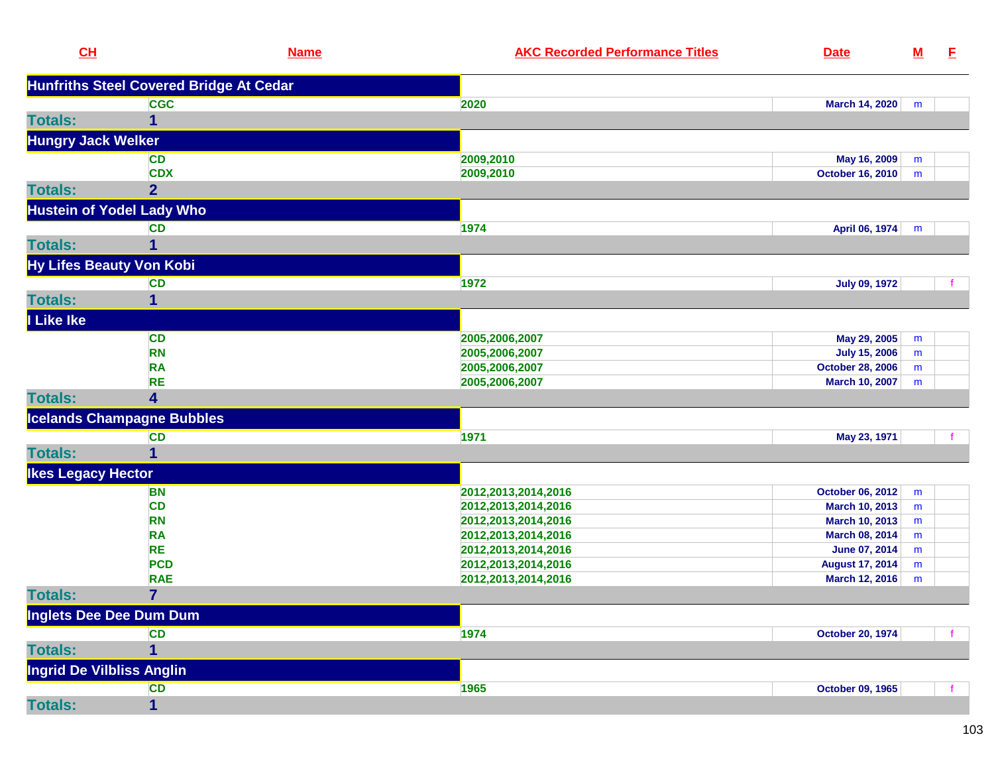| CL                              | <b>Name</b>                                    | <b>AKC Recorded Performance Titles</b> | <b>Date</b>             | $\underline{\mathsf{M}}$ | E. |
|---------------------------------|------------------------------------------------|----------------------------------------|-------------------------|--------------------------|----|
|                                 | <b>Hunfriths Steel Covered Bridge At Cedar</b> |                                        |                         |                          |    |
|                                 | <b>CGC</b>                                     | 2020                                   | March 14, 2020          | m                        |    |
| <b>Totals:</b>                  | 1                                              |                                        |                         |                          |    |
| <b>Hungry Jack Welker</b>       |                                                |                                        |                         |                          |    |
|                                 | <b>CD</b>                                      | 2009,2010                              | May 16, 2009            | m                        |    |
|                                 | <b>CDX</b>                                     | 2009,2010                              | <b>October 16, 2010</b> | m                        |    |
| <b>Totals:</b>                  | $\overline{2}$                                 |                                        |                         |                          |    |
|                                 | <b>Hustein of Yodel Lady Who</b>               |                                        |                         |                          |    |
|                                 | <b>CD</b>                                      | 1974                                   | April 06, 1974          | m                        |    |
| <b>Totals:</b>                  | 1                                              |                                        |                         |                          |    |
| <b>Hy Lifes Beauty Von Kobi</b> |                                                |                                        |                         |                          |    |
|                                 | <b>CD</b>                                      | 1972                                   | <b>July 09, 1972</b>    |                          |    |
| <b>Totals:</b>                  | 1                                              |                                        |                         |                          |    |
| <b>I</b> Like Ike               |                                                |                                        |                         |                          |    |
|                                 | <b>CD</b>                                      | 2005,2006,2007                         | May 29, 2005            | m                        |    |
|                                 | <b>RN</b>                                      | 2005,2006,2007                         | <b>July 15, 2006</b>    | m                        |    |
|                                 | <b>RA</b>                                      | 2005,2006,2007                         | <b>October 28, 2006</b> | m                        |    |
|                                 | <b>RE</b>                                      | 2005,2006,2007                         | <b>March 10, 2007</b>   | m                        |    |
| <b>Totals:</b>                  | 4                                              |                                        |                         |                          |    |
|                                 | <b>Icelands Champagne Bubbles</b>              |                                        |                         |                          |    |
|                                 | <b>CD</b>                                      | 1971                                   | May 23, 1971            |                          |    |
| <b>Totals:</b>                  | 1                                              |                                        |                         |                          |    |
| <b>Ikes Legacy Hector</b>       |                                                |                                        |                         |                          |    |
|                                 | <b>BN</b>                                      | 2012, 2013, 2014, 2016                 | October 06, 2012        | m                        |    |
|                                 | <b>CD</b>                                      | 2012, 2013, 2014, 2016                 | March 10, 2013          | m                        |    |
|                                 | <b>RN</b>                                      | 2012, 2013, 2014, 2016                 | March 10, 2013          | m                        |    |
|                                 | <b>RA</b>                                      | 2012, 2013, 2014, 2016                 | March 08, 2014          | m                        |    |
|                                 | <b>RE</b>                                      | 2012, 2013, 2014, 2016                 | June 07, 2014           | m                        |    |
|                                 | <b>PCD</b>                                     | 2012, 2013, 2014, 2016                 | <b>August 17, 2014</b>  | m                        |    |
|                                 | <b>RAE</b>                                     | 2012, 2013, 2014, 2016                 | March 12, 2016          | m                        |    |
| <b>Totals:</b>                  | $\overline{\mathbf{7}}$                        |                                        |                         |                          |    |
| Inglets Dee Dee Dum Dum         |                                                |                                        |                         |                          |    |
|                                 | <b>CD</b>                                      | 1974                                   | <b>October 20, 1974</b> |                          |    |
| <b>Totals:</b>                  | 1                                              |                                        |                         |                          |    |
| Ingrid De Vilbliss Anglin       |                                                |                                        |                         |                          |    |
|                                 | <b>CD</b>                                      | 1965                                   | October 09, 1965        |                          |    |
| <b>Totals:</b>                  | 1                                              |                                        |                         |                          |    |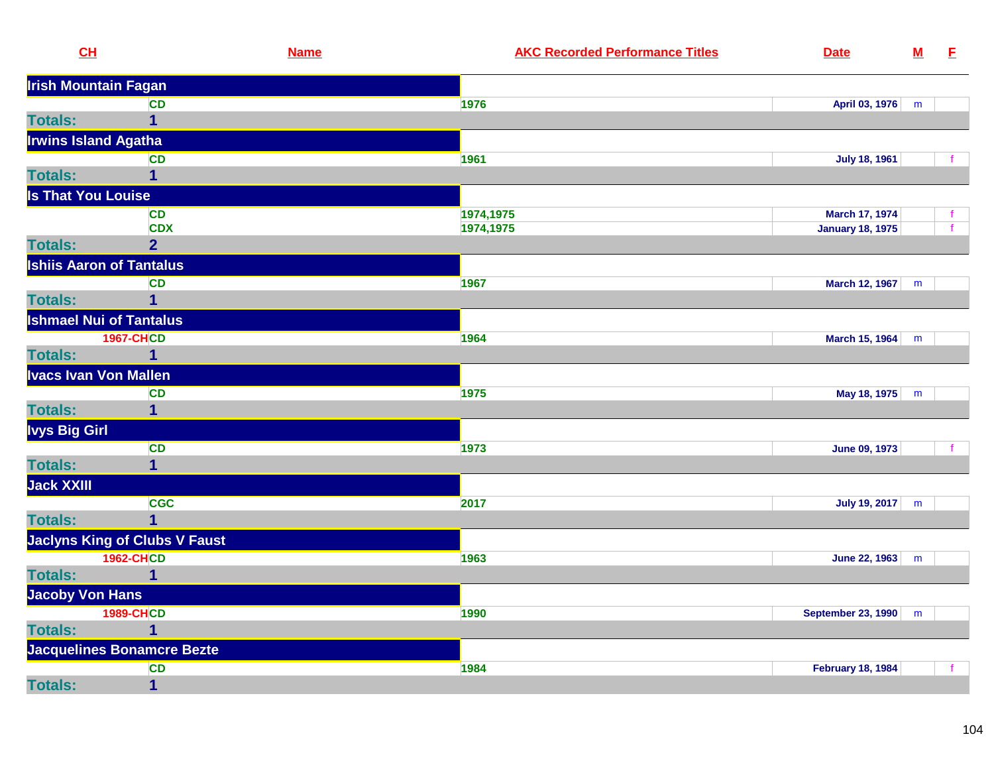| CL                              | <b>Name</b>                       | <b>AKC Recorded Performance Titles</b><br><b>Date</b> | $\underline{\mathsf{M}}$ | E            |
|---------------------------------|-----------------------------------|-------------------------------------------------------|--------------------------|--------------|
| <b>Irish Mountain Fagan</b>     |                                   |                                                       |                          |              |
|                                 | <b>CD</b>                         | 1976<br>April 03, 1976                                | m                        |              |
| <b>Totals:</b>                  | $\mathbf 1$                       |                                                       |                          |              |
| <b>Irwins Island Agatha</b>     |                                   |                                                       |                          |              |
|                                 | CD                                | 1961<br><b>July 18, 1961</b>                          |                          |              |
| <b>Totals:</b>                  | $\mathbf 1$                       |                                                       |                          |              |
| <b>Is That You Louise</b>       |                                   |                                                       |                          |              |
|                                 | <b>CD</b>                         | 1974,1975<br><b>March 17, 1974</b>                    |                          | f.           |
|                                 | <b>CDX</b>                        | 1974,1975<br><b>January 18, 1975</b>                  |                          | $\mathbf{f}$ |
| <b>Totals:</b>                  | $\overline{2}$                    |                                                       |                          |              |
| <b>Ishiis Aaron of Tantalus</b> |                                   |                                                       |                          |              |
|                                 | <b>CD</b>                         | 1967<br>March 12, 1967                                | m                        |              |
| <b>Totals:</b>                  | $\overline{1}$                    |                                                       |                          |              |
| <b>Ishmael Nui of Tantalus</b>  |                                   |                                                       |                          |              |
|                                 | <b>1967-CHCD</b>                  | 1964<br>March 15, 1964                                | m                        |              |
| <b>Totals:</b>                  | $\mathbf 1$                       |                                                       |                          |              |
| <b>Ivacs Ivan Von Mallen</b>    |                                   |                                                       |                          |              |
|                                 | <b>CD</b>                         | 1975<br>May 18, 1975                                  | m                        |              |
| <b>Totals:</b>                  | $\mathbf 1$                       |                                                       |                          |              |
| <b>Ivys Big Girl</b>            |                                   |                                                       |                          |              |
|                                 | <b>CD</b>                         | 1973<br><b>June 09, 1973</b>                          |                          |              |
| <b>Totals:</b>                  | $\mathbf 1$                       |                                                       |                          |              |
| Jack XXIII                      |                                   |                                                       |                          |              |
|                                 | <b>CGC</b>                        | 2017<br>July 19, 2017                                 | m                        |              |
| <b>Totals:</b>                  | $\overline{1}$                    |                                                       |                          |              |
|                                 | Jaclyns King of Clubs V Faust     |                                                       |                          |              |
|                                 | <b>1962-CHCD</b>                  | 1963<br>June 22, 1963                                 | m                        |              |
| <b>Totals:</b>                  | $\mathbf 1$                       |                                                       |                          |              |
| <b>Jacoby Von Hans</b>          |                                   |                                                       |                          |              |
|                                 | <b>1989-CHCD</b>                  | 1990<br><b>September 23, 1990</b>                     | m                        |              |
| <b>Totals:</b>                  | $\mathbf{1}$                      |                                                       |                          |              |
|                                 | <b>Jacquelines Bonamcre Bezte</b> |                                                       |                          |              |
|                                 | <b>CD</b>                         | 1984<br><b>February 18, 1984</b>                      |                          | $\mathbf{f}$ |
| <b>Totals:</b>                  | $\mathbf{1}$                      |                                                       |                          |              |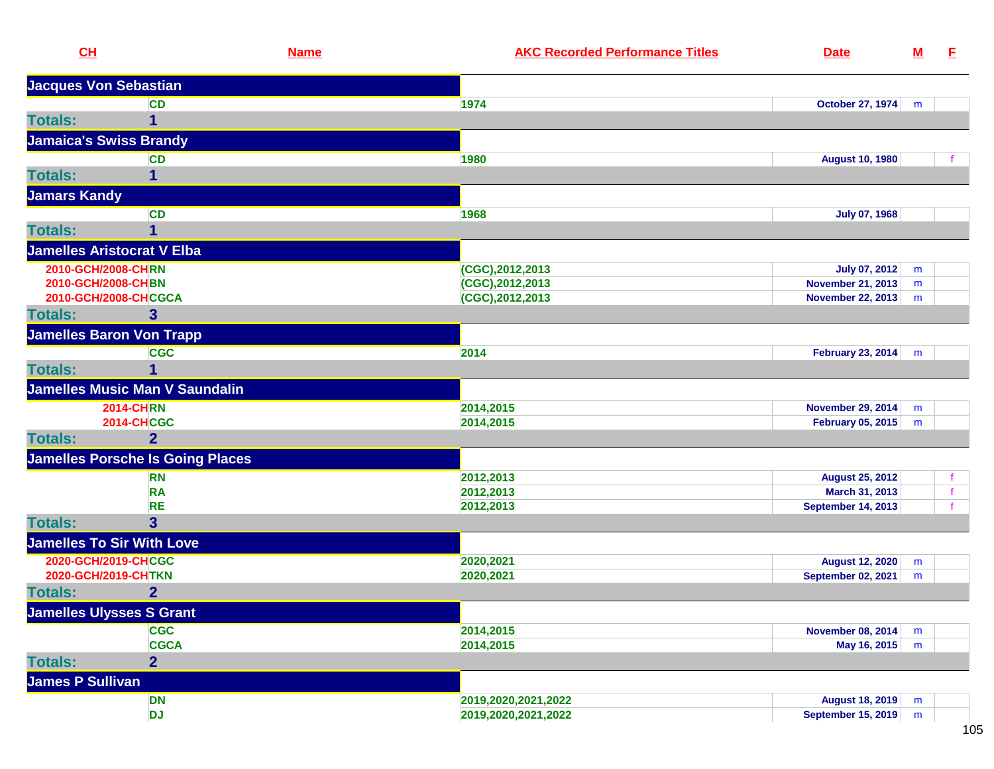| <b>Jacques Von Sebastian</b><br>October 27, 1974<br><b>CD</b><br>1974<br>m<br><b>Totals:</b><br>1<br><b>Jamaica's Swiss Brandy</b><br>1980<br><b>CD</b><br><b>August 10, 1980</b><br><b>Totals:</b><br>$\mathbf{1}$<br><b>Jamars Kandy</b><br><b>CD</b><br>1968<br><b>July 07, 1968</b><br><b>Totals:</b><br>1<br><b>Jamelles Aristocrat V Elba</b><br>2010-GCH/2008-CHRN<br>(CGC), 2012, 2013<br><b>July 07, 2012</b><br>m<br>2010-GCH/2008-CHBN<br>(CGC), 2012, 2013<br><b>November 21, 2013</b><br>m<br>2010-GCH/2008-CHCGCA<br>(CGC), 2012, 2013<br><b>November 22, 2013</b><br>m<br>$\overline{\mathbf{3}}$<br><b>Totals:</b><br><b>Jamelles Baron Von Trapp</b><br><b>CGC</b><br>2014<br>February 23, 2014<br>m<br><b>Totals:</b><br><b>Jamelles Music Man V Saundalin</b><br><b>2014-CHRN</b><br>2014,2015<br><b>November 29, 2014</b><br>m<br><b>2014-CHCGC</b><br><b>February 05, 2015</b><br>2014,2015<br>m<br>$\overline{2}$<br><b>Totals:</b><br><b>Jamelles Porsche Is Going Places</b><br>2012,2013<br><b>August 25, 2012</b><br><b>RN</b><br><b>RA</b><br>2012,2013<br>March 31, 2013<br><b>RE</b><br><b>September 14, 2013</b><br>2012,2013<br>$\overline{3}$<br><b>Totals:</b><br><b>Jamelles To Sir With Love</b><br>2020-GCH/2019-CHCGC<br>2020,2021<br><b>August 12, 2020</b><br>m<br>2020-GCH/2019-CHTKN<br>2020,2021<br><b>September 02, 2021</b><br>m<br>$\overline{2}$<br><b>Jamelles Ulysses S Grant</b><br><b>CGC</b><br>2014,2015<br><b>November 08, 2014</b><br>m<br><b>CGCA</b><br>2014,2015<br>May 16, 2015<br>m<br>$\overline{2}$<br>James P Sullivan<br><b>DN</b><br>2019,2020,2021,2022<br><b>August 18, 2019</b><br>m<br><b>DJ</b><br>September 15, 2019<br>2019,2020,2021,2022<br>m | CH             | <b>Name</b> | <b>AKC Recorded Performance Titles</b> | <b>Date</b> | $\underline{\mathsf{M}}$ | E |
|------------------------------------------------------------------------------------------------------------------------------------------------------------------------------------------------------------------------------------------------------------------------------------------------------------------------------------------------------------------------------------------------------------------------------------------------------------------------------------------------------------------------------------------------------------------------------------------------------------------------------------------------------------------------------------------------------------------------------------------------------------------------------------------------------------------------------------------------------------------------------------------------------------------------------------------------------------------------------------------------------------------------------------------------------------------------------------------------------------------------------------------------------------------------------------------------------------------------------------------------------------------------------------------------------------------------------------------------------------------------------------------------------------------------------------------------------------------------------------------------------------------------------------------------------------------------------------------------------------------------------------------------------------------------------------------------------------------------|----------------|-------------|----------------------------------------|-------------|--------------------------|---|
|                                                                                                                                                                                                                                                                                                                                                                                                                                                                                                                                                                                                                                                                                                                                                                                                                                                                                                                                                                                                                                                                                                                                                                                                                                                                                                                                                                                                                                                                                                                                                                                                                                                                                                                        |                |             |                                        |             |                          |   |
|                                                                                                                                                                                                                                                                                                                                                                                                                                                                                                                                                                                                                                                                                                                                                                                                                                                                                                                                                                                                                                                                                                                                                                                                                                                                                                                                                                                                                                                                                                                                                                                                                                                                                                                        |                |             |                                        |             |                          |   |
|                                                                                                                                                                                                                                                                                                                                                                                                                                                                                                                                                                                                                                                                                                                                                                                                                                                                                                                                                                                                                                                                                                                                                                                                                                                                                                                                                                                                                                                                                                                                                                                                                                                                                                                        |                |             |                                        |             |                          |   |
|                                                                                                                                                                                                                                                                                                                                                                                                                                                                                                                                                                                                                                                                                                                                                                                                                                                                                                                                                                                                                                                                                                                                                                                                                                                                                                                                                                                                                                                                                                                                                                                                                                                                                                                        |                |             |                                        |             |                          |   |
|                                                                                                                                                                                                                                                                                                                                                                                                                                                                                                                                                                                                                                                                                                                                                                                                                                                                                                                                                                                                                                                                                                                                                                                                                                                                                                                                                                                                                                                                                                                                                                                                                                                                                                                        |                |             |                                        |             |                          |   |
|                                                                                                                                                                                                                                                                                                                                                                                                                                                                                                                                                                                                                                                                                                                                                                                                                                                                                                                                                                                                                                                                                                                                                                                                                                                                                                                                                                                                                                                                                                                                                                                                                                                                                                                        |                |             |                                        |             |                          |   |
|                                                                                                                                                                                                                                                                                                                                                                                                                                                                                                                                                                                                                                                                                                                                                                                                                                                                                                                                                                                                                                                                                                                                                                                                                                                                                                                                                                                                                                                                                                                                                                                                                                                                                                                        |                |             |                                        |             |                          |   |
|                                                                                                                                                                                                                                                                                                                                                                                                                                                                                                                                                                                                                                                                                                                                                                                                                                                                                                                                                                                                                                                                                                                                                                                                                                                                                                                                                                                                                                                                                                                                                                                                                                                                                                                        |                |             |                                        |             |                          |   |
|                                                                                                                                                                                                                                                                                                                                                                                                                                                                                                                                                                                                                                                                                                                                                                                                                                                                                                                                                                                                                                                                                                                                                                                                                                                                                                                                                                                                                                                                                                                                                                                                                                                                                                                        |                |             |                                        |             |                          |   |
|                                                                                                                                                                                                                                                                                                                                                                                                                                                                                                                                                                                                                                                                                                                                                                                                                                                                                                                                                                                                                                                                                                                                                                                                                                                                                                                                                                                                                                                                                                                                                                                                                                                                                                                        |                |             |                                        |             |                          |   |
|                                                                                                                                                                                                                                                                                                                                                                                                                                                                                                                                                                                                                                                                                                                                                                                                                                                                                                                                                                                                                                                                                                                                                                                                                                                                                                                                                                                                                                                                                                                                                                                                                                                                                                                        |                |             |                                        |             |                          |   |
|                                                                                                                                                                                                                                                                                                                                                                                                                                                                                                                                                                                                                                                                                                                                                                                                                                                                                                                                                                                                                                                                                                                                                                                                                                                                                                                                                                                                                                                                                                                                                                                                                                                                                                                        |                |             |                                        |             |                          |   |
|                                                                                                                                                                                                                                                                                                                                                                                                                                                                                                                                                                                                                                                                                                                                                                                                                                                                                                                                                                                                                                                                                                                                                                                                                                                                                                                                                                                                                                                                                                                                                                                                                                                                                                                        |                |             |                                        |             |                          |   |
|                                                                                                                                                                                                                                                                                                                                                                                                                                                                                                                                                                                                                                                                                                                                                                                                                                                                                                                                                                                                                                                                                                                                                                                                                                                                                                                                                                                                                                                                                                                                                                                                                                                                                                                        |                |             |                                        |             |                          |   |
|                                                                                                                                                                                                                                                                                                                                                                                                                                                                                                                                                                                                                                                                                                                                                                                                                                                                                                                                                                                                                                                                                                                                                                                                                                                                                                                                                                                                                                                                                                                                                                                                                                                                                                                        |                |             |                                        |             |                          |   |
|                                                                                                                                                                                                                                                                                                                                                                                                                                                                                                                                                                                                                                                                                                                                                                                                                                                                                                                                                                                                                                                                                                                                                                                                                                                                                                                                                                                                                                                                                                                                                                                                                                                                                                                        |                |             |                                        |             |                          |   |
|                                                                                                                                                                                                                                                                                                                                                                                                                                                                                                                                                                                                                                                                                                                                                                                                                                                                                                                                                                                                                                                                                                                                                                                                                                                                                                                                                                                                                                                                                                                                                                                                                                                                                                                        |                |             |                                        |             |                          |   |
|                                                                                                                                                                                                                                                                                                                                                                                                                                                                                                                                                                                                                                                                                                                                                                                                                                                                                                                                                                                                                                                                                                                                                                                                                                                                                                                                                                                                                                                                                                                                                                                                                                                                                                                        |                |             |                                        |             |                          |   |
|                                                                                                                                                                                                                                                                                                                                                                                                                                                                                                                                                                                                                                                                                                                                                                                                                                                                                                                                                                                                                                                                                                                                                                                                                                                                                                                                                                                                                                                                                                                                                                                                                                                                                                                        |                |             |                                        |             |                          |   |
|                                                                                                                                                                                                                                                                                                                                                                                                                                                                                                                                                                                                                                                                                                                                                                                                                                                                                                                                                                                                                                                                                                                                                                                                                                                                                                                                                                                                                                                                                                                                                                                                                                                                                                                        |                |             |                                        |             |                          |   |
|                                                                                                                                                                                                                                                                                                                                                                                                                                                                                                                                                                                                                                                                                                                                                                                                                                                                                                                                                                                                                                                                                                                                                                                                                                                                                                                                                                                                                                                                                                                                                                                                                                                                                                                        |                |             |                                        |             |                          |   |
|                                                                                                                                                                                                                                                                                                                                                                                                                                                                                                                                                                                                                                                                                                                                                                                                                                                                                                                                                                                                                                                                                                                                                                                                                                                                                                                                                                                                                                                                                                                                                                                                                                                                                                                        |                |             |                                        |             |                          |   |
|                                                                                                                                                                                                                                                                                                                                                                                                                                                                                                                                                                                                                                                                                                                                                                                                                                                                                                                                                                                                                                                                                                                                                                                                                                                                                                                                                                                                                                                                                                                                                                                                                                                                                                                        |                |             |                                        |             |                          |   |
|                                                                                                                                                                                                                                                                                                                                                                                                                                                                                                                                                                                                                                                                                                                                                                                                                                                                                                                                                                                                                                                                                                                                                                                                                                                                                                                                                                                                                                                                                                                                                                                                                                                                                                                        |                |             |                                        |             |                          |   |
|                                                                                                                                                                                                                                                                                                                                                                                                                                                                                                                                                                                                                                                                                                                                                                                                                                                                                                                                                                                                                                                                                                                                                                                                                                                                                                                                                                                                                                                                                                                                                                                                                                                                                                                        |                |             |                                        |             |                          |   |
|                                                                                                                                                                                                                                                                                                                                                                                                                                                                                                                                                                                                                                                                                                                                                                                                                                                                                                                                                                                                                                                                                                                                                                                                                                                                                                                                                                                                                                                                                                                                                                                                                                                                                                                        |                |             |                                        |             |                          |   |
|                                                                                                                                                                                                                                                                                                                                                                                                                                                                                                                                                                                                                                                                                                                                                                                                                                                                                                                                                                                                                                                                                                                                                                                                                                                                                                                                                                                                                                                                                                                                                                                                                                                                                                                        |                |             |                                        |             |                          |   |
|                                                                                                                                                                                                                                                                                                                                                                                                                                                                                                                                                                                                                                                                                                                                                                                                                                                                                                                                                                                                                                                                                                                                                                                                                                                                                                                                                                                                                                                                                                                                                                                                                                                                                                                        |                |             |                                        |             |                          |   |
|                                                                                                                                                                                                                                                                                                                                                                                                                                                                                                                                                                                                                                                                                                                                                                                                                                                                                                                                                                                                                                                                                                                                                                                                                                                                                                                                                                                                                                                                                                                                                                                                                                                                                                                        |                |             |                                        |             |                          |   |
|                                                                                                                                                                                                                                                                                                                                                                                                                                                                                                                                                                                                                                                                                                                                                                                                                                                                                                                                                                                                                                                                                                                                                                                                                                                                                                                                                                                                                                                                                                                                                                                                                                                                                                                        |                |             |                                        |             |                          |   |
|                                                                                                                                                                                                                                                                                                                                                                                                                                                                                                                                                                                                                                                                                                                                                                                                                                                                                                                                                                                                                                                                                                                                                                                                                                                                                                                                                                                                                                                                                                                                                                                                                                                                                                                        | <b>Totals:</b> |             |                                        |             |                          |   |
|                                                                                                                                                                                                                                                                                                                                                                                                                                                                                                                                                                                                                                                                                                                                                                                                                                                                                                                                                                                                                                                                                                                                                                                                                                                                                                                                                                                                                                                                                                                                                                                                                                                                                                                        |                |             |                                        |             |                          |   |
|                                                                                                                                                                                                                                                                                                                                                                                                                                                                                                                                                                                                                                                                                                                                                                                                                                                                                                                                                                                                                                                                                                                                                                                                                                                                                                                                                                                                                                                                                                                                                                                                                                                                                                                        |                |             |                                        |             |                          |   |
|                                                                                                                                                                                                                                                                                                                                                                                                                                                                                                                                                                                                                                                                                                                                                                                                                                                                                                                                                                                                                                                                                                                                                                                                                                                                                                                                                                                                                                                                                                                                                                                                                                                                                                                        |                |             |                                        |             |                          |   |
|                                                                                                                                                                                                                                                                                                                                                                                                                                                                                                                                                                                                                                                                                                                                                                                                                                                                                                                                                                                                                                                                                                                                                                                                                                                                                                                                                                                                                                                                                                                                                                                                                                                                                                                        | <b>Totals:</b> |             |                                        |             |                          |   |
|                                                                                                                                                                                                                                                                                                                                                                                                                                                                                                                                                                                                                                                                                                                                                                                                                                                                                                                                                                                                                                                                                                                                                                                                                                                                                                                                                                                                                                                                                                                                                                                                                                                                                                                        |                |             |                                        |             |                          |   |
|                                                                                                                                                                                                                                                                                                                                                                                                                                                                                                                                                                                                                                                                                                                                                                                                                                                                                                                                                                                                                                                                                                                                                                                                                                                                                                                                                                                                                                                                                                                                                                                                                                                                                                                        |                |             |                                        |             |                          |   |
|                                                                                                                                                                                                                                                                                                                                                                                                                                                                                                                                                                                                                                                                                                                                                                                                                                                                                                                                                                                                                                                                                                                                                                                                                                                                                                                                                                                                                                                                                                                                                                                                                                                                                                                        |                |             |                                        |             |                          |   |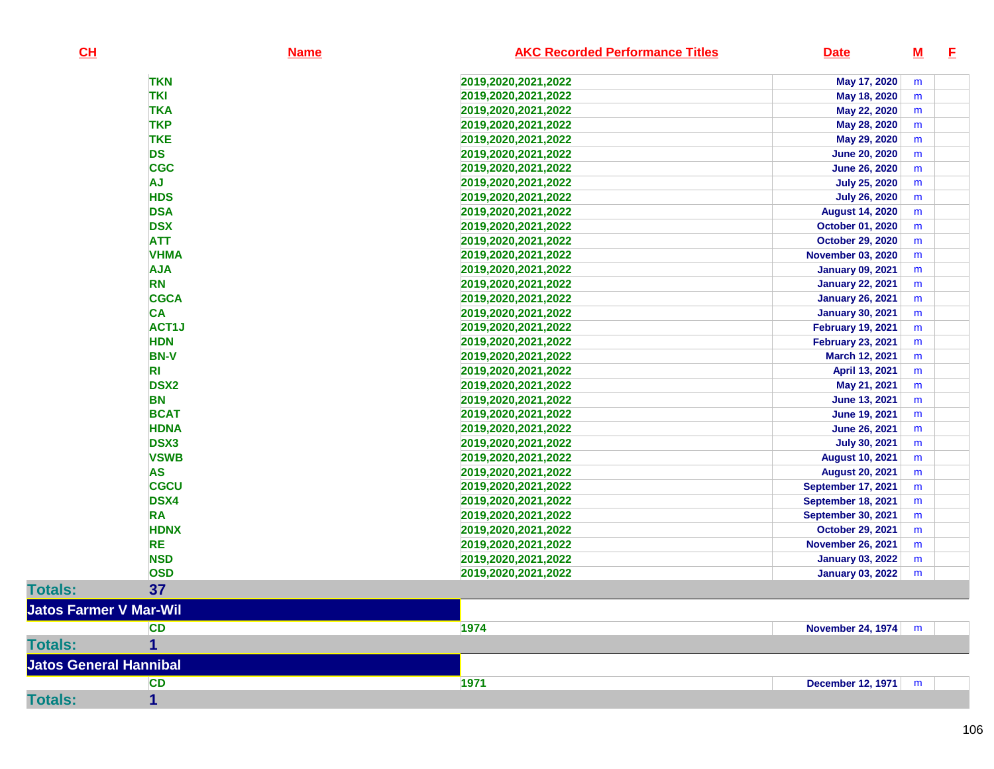| CL                            | <b>Name</b>    | <b>AKC Recorded Performance Titles</b><br><b>Date</b> | $\underline{\mathbf{M}}$ | E |
|-------------------------------|----------------|-------------------------------------------------------|--------------------------|---|
|                               | <b>TKN</b>     | May 17, 2020<br>2019, 2020, 2021, 2022                | m                        |   |
|                               | <b>TKI</b>     | 2019,2020,2021,2022<br>May 18, 2020                   | m                        |   |
|                               | <b>TKA</b>     | 2019,2020,2021,2022<br>May 22, 2020                   | m                        |   |
|                               | <b>TKP</b>     | May 28, 2020<br>2019,2020,2021,2022                   | m                        |   |
|                               | <b>TKE</b>     | 2019,2020,2021,2022<br>May 29, 2020                   | m                        |   |
|                               | <b>DS</b>      | <b>June 20, 2020</b><br>2019, 2020, 2021, 2022        | m                        |   |
|                               | <b>CGC</b>     | <b>June 26, 2020</b><br>2019, 2020, 2021, 2022        | m                        |   |
|                               | <b>AJ</b>      | 2019,2020,2021,2022<br><b>July 25, 2020</b>           | m                        |   |
|                               | <b>HDS</b>     | <b>July 26, 2020</b><br>2019, 2020, 2021, 2022        | m                        |   |
|                               | <b>DSA</b>     | <b>August 14, 2020</b><br>2019,2020,2021,2022         | m                        |   |
|                               | <b>DSX</b>     | 2019, 2020, 2021, 2022<br>October 01, 2020            | m                        |   |
|                               | <b>ATT</b>     | <b>October 29, 2020</b><br>2019, 2020, 2021, 2022     | m                        |   |
|                               | <b>VHMA</b>    | <b>November 03, 2020</b><br>2019, 2020, 2021, 2022    | m                        |   |
|                               | <b>AJA</b>     | 2019, 2020, 2021, 2022<br><b>January 09, 2021</b>     | m                        |   |
|                               | <b>RN</b>      | 2019, 2020, 2021, 2022<br><b>January 22, 2021</b>     | m                        |   |
|                               | <b>CGCA</b>    | 2019,2020,2021,2022<br><b>January 26, 2021</b>        | m                        |   |
|                               | <b>CA</b>      | 2019,2020,2021,2022<br><b>January 30, 2021</b>        | m                        |   |
|                               | ACT1J          | 2019,2020,2021,2022<br><b>February 19, 2021</b>       | m                        |   |
|                               | <b>HDN</b>     | <b>February 23, 2021</b><br>2019, 2020, 2021, 2022    | m                        |   |
|                               | <b>BN-V</b>    | 2019,2020,2021,2022<br>March 12, 2021                 | m                        |   |
|                               | R <sub>l</sub> | April 13, 2021<br>2019, 2020, 2021, 2022              | m                        |   |
|                               | <b>DSX2</b>    | May 21, 2021<br>2019, 2020, 2021, 2022                | m                        |   |
|                               | <b>BN</b>      | 2019, 2020, 2021, 2022<br><b>June 13, 2021</b>        | m                        |   |
|                               | <b>BCAT</b>    | 2019, 2020, 2021, 2022<br><b>June 19, 2021</b>        | m                        |   |
|                               | <b>HDNA</b>    | <b>June 26, 2021</b><br>2019, 2020, 2021, 2022        | m                        |   |
|                               | <b>DSX3</b>    | <b>July 30, 2021</b><br>2019, 2020, 2021, 2022        | m                        |   |
|                               | <b>VSWB</b>    | 2019, 2020, 2021, 2022<br><b>August 10, 2021</b>      | m                        |   |
|                               | <b>AS</b>      | <b>August 20, 2021</b><br>2019, 2020, 2021, 2022      | m                        |   |
|                               | <b>CGCU</b>    | <b>September 17, 2021</b><br>2019, 2020, 2021, 2022   | m                        |   |
|                               | <b>DSX4</b>    | 2019,2020,2021,2022<br><b>September 18, 2021</b>      | m                        |   |
|                               | <b>RA</b>      | <b>September 30, 2021</b><br>2019, 2020, 2021, 2022   | m                        |   |
|                               | <b>HDNX</b>    | 2019, 2020, 2021, 2022<br><b>October 29, 2021</b>     | m                        |   |
|                               | <b>RE</b>      | 2019,2020,2021,2022<br><b>November 26, 2021</b>       | m                        |   |
|                               | <b>NSD</b>     | 2019,2020,2021,2022<br><b>January 03, 2022</b>        | m                        |   |
|                               | <b>OSD</b>     | 2019, 2020, 2021, 2022<br><b>January 03, 2022</b>     | m                        |   |
| <b>Totals:</b>                | 37             |                                                       |                          |   |
| <b>Jatos Farmer V Mar-Wil</b> |                |                                                       |                          |   |
|                               | <b>CD</b>      | 1974<br>November 24, 1974                             | m                        |   |
| <b>Totals:</b>                | 1              |                                                       |                          |   |
| <b>Jatos General Hannibal</b> |                |                                                       |                          |   |
|                               | <b>CD</b>      | 1971<br><b>December 12, 1971</b>                      | m                        |   |
| <b>Totals:</b>                | 1              |                                                       |                          |   |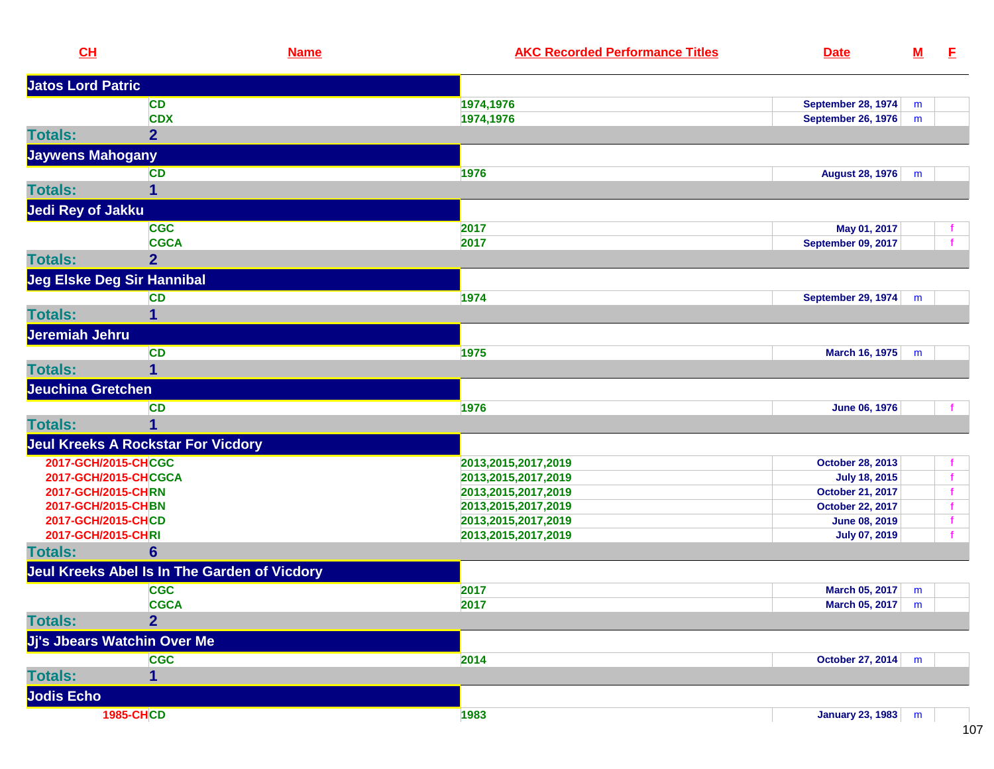| CL                       |                                              | <b>Name</b> | <b>AKC Recorded Performance Titles</b> | <b>Date</b>                 | $\underline{\mathsf{M}}$ | E.           |
|--------------------------|----------------------------------------------|-------------|----------------------------------------|-----------------------------|--------------------------|--------------|
| <b>Jatos Lord Patric</b> |                                              |             |                                        |                             |                          |              |
|                          | <b>CD</b>                                    |             | 1974,1976                              | <b>September 28, 1974</b>   | m                        |              |
|                          | <b>CDX</b>                                   |             | 1974,1976                              | <b>September 26, 1976</b>   | m                        |              |
| <b>Totals:</b>           | $\overline{2}$                               |             |                                        |                             |                          |              |
| <b>Jaywens Mahogany</b>  |                                              |             |                                        |                             |                          |              |
|                          | <b>CD</b>                                    |             | 1976                                   | <b>August 28, 1976</b>      | m                        |              |
| <b>Totals:</b>           | 1                                            |             |                                        |                             |                          |              |
| <b>Jedi Rey of Jakku</b> |                                              |             |                                        |                             |                          |              |
|                          | <b>CGC</b>                                   |             | 2017                                   | May 01, 2017                |                          | $\mathbf{f}$ |
|                          | <b>CGCA</b>                                  |             | 2017                                   | September 09, 2017          |                          | $\mathbf{f}$ |
| <b>Totals:</b>           | $\overline{2}$                               |             |                                        |                             |                          |              |
|                          | <b>Jeg Elske Deg Sir Hannibal</b>            |             |                                        |                             |                          |              |
|                          | <b>CD</b>                                    |             | 1974                                   | <b>September 29, 1974</b>   | m                        |              |
| <b>Totals:</b>           | 1                                            |             |                                        |                             |                          |              |
| Jeremiah Jehru           |                                              |             |                                        |                             |                          |              |
|                          | <b>CD</b>                                    |             | 1975                                   | March 16, 1975              | m                        |              |
| <b>Totals:</b>           | 1                                            |             |                                        |                             |                          |              |
| <b>Jeuchina Gretchen</b> |                                              |             |                                        |                             |                          |              |
|                          | <b>CD</b>                                    |             | 1976                                   | <b>June 06, 1976</b>        |                          |              |
| <b>Totals:</b>           |                                              |             |                                        |                             |                          |              |
|                          | <b>Jeul Kreeks A Rockstar For Vicdory</b>    |             |                                        |                             |                          |              |
| 2017-GCH/2015-CHCGC      |                                              |             | 2013,2015,2017,2019                    | October 28, 2013            |                          | $\mathbf{f}$ |
|                          | 2017-GCH/2015-CHCGCA                         |             | 2013,2015,2017,2019                    | <b>July 18, 2015</b>        |                          | $\mathbf{f}$ |
| 2017-GCH/2015-CHRN       |                                              |             | 2013, 2015, 2017, 2019                 | October 21, 2017            |                          | f.           |
| 2017-GCH/2015-CHBN       |                                              |             | 2013,2015,2017,2019                    | October 22, 2017            |                          | $\mathbf f$  |
| 2017-GCH/2015-CHCD       |                                              |             | 2013,2015,2017,2019                    | <b>June 08, 2019</b>        |                          | $\mathbf{f}$ |
| 2017-GCH/2015-CHRI       |                                              |             | 2013, 2015, 2017, 2019                 | <b>July 07, 2019</b>        |                          | f.           |
| <b>Totals:</b>           | $6\phantom{1}$                               |             |                                        |                             |                          |              |
|                          | Jeul Kreeks Abel Is In The Garden of Vicdory |             |                                        |                             |                          |              |
|                          | <b>CGC</b>                                   |             | 2017                                   | March 05, 2017              | m                        |              |
|                          | <b>CGCA</b>                                  |             | 2017                                   | <b>March 05, 2017</b>   $m$ |                          |              |
| <b>Totals:</b>           | $\overline{2}$                               |             |                                        |                             |                          |              |
|                          | Jj's Jbears Watchin Over Me                  |             |                                        |                             |                          |              |
|                          | <b>CGC</b>                                   |             | 2014                                   | October 27, 2014            | m                        |              |
| <b>Totals:</b>           | 1                                            |             |                                        |                             |                          |              |
| <b>Jodis Echo</b>        |                                              |             |                                        |                             |                          |              |
|                          | <b>1985-CHCD</b>                             |             | 1983                                   | January 23, 1983 m          |                          |              |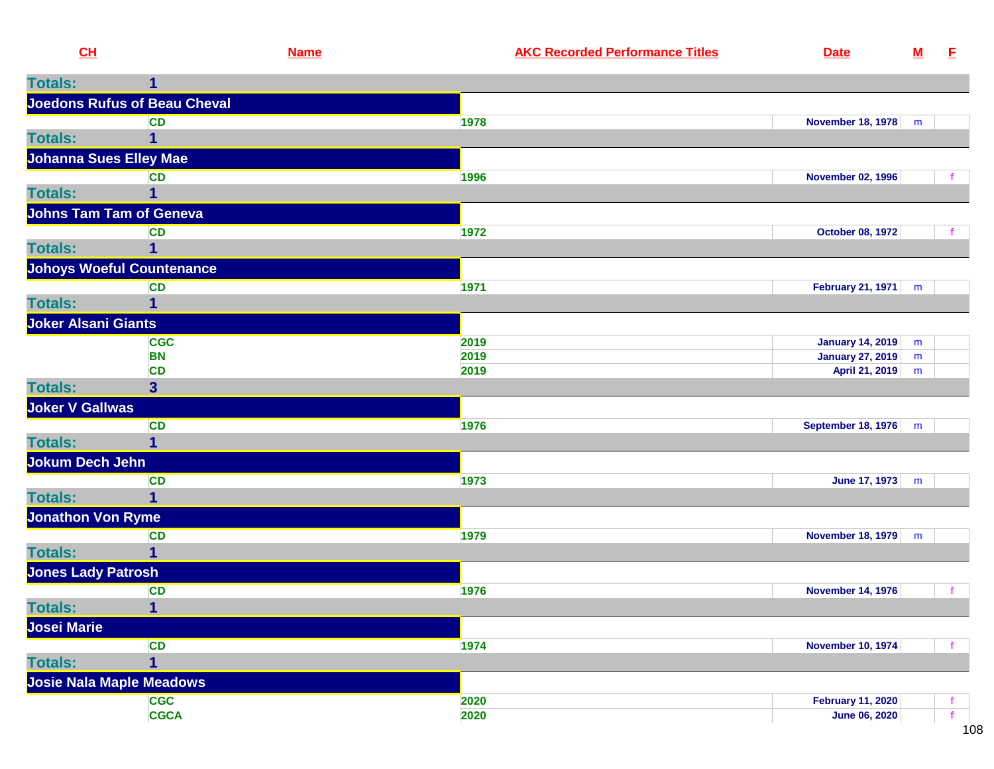|  | <b>Recorde</b><br>. en Pertormance '<br>-шиек |  |  |
|--|-----------------------------------------------|--|--|
|  |                                               |  |  |

| <b>Joedons Rufus of Beau Cheval</b><br><b>CD</b><br>1978<br>November 18, 1978<br>m<br>1<br><b>Johanna Sues Elley Mae</b><br><b>CD</b><br>1996<br><b>November 02, 1996</b><br><b>Totals:</b><br>1<br><b>Johns Tam Tam of Geneva</b><br><b>CD</b><br>1972<br><b>October 08, 1972</b><br><b>Totals:</b><br>1<br><b>Johoys Woeful Countenance</b><br>CD<br>1971<br><b>February 21, 1971</b><br>m<br><b>Totals:</b><br>1<br><b>Joker Alsani Giants</b><br><b>CGC</b><br>2019<br><b>January 14, 2019</b><br>m<br><b>BN</b><br>2019<br><b>January 27, 2019</b><br>${\bf m}$<br><b>CD</b><br>2019<br>April 21, 2019<br>m<br>3 <sup>1</sup><br><b>Joker V Gallwas</b><br><b>CD</b><br>1976<br>September 18, 1976<br>m<br>1<br>Jokum Dech Jehn<br><b>CD</b><br>1973<br>June 17, 1973<br>m<br>1<br><b>Jonathon Von Ryme</b><br><b>CD</b><br>1979<br><b>November 18, 1979</b><br>m<br>$\mathbf{1}$<br><b>Jones Lady Patrosh</b><br><b>CD</b><br>1976<br><b>November 14, 1976</b><br>1<br><b>Josei Marie</b><br><b>CD</b><br>1974<br><b>November 10, 1974</b><br>$\mathbf 1$<br><b>Josie Nala Maple Meadows</b><br><b>CGC</b><br>2020<br><b>February 11, 2020</b><br><b>CGCA</b><br>2020<br><b>June 06, 2020</b><br>$\mathbf{f}$ | <b>Totals:</b> |  |  |
|---------------------------------------------------------------------------------------------------------------------------------------------------------------------------------------------------------------------------------------------------------------------------------------------------------------------------------------------------------------------------------------------------------------------------------------------------------------------------------------------------------------------------------------------------------------------------------------------------------------------------------------------------------------------------------------------------------------------------------------------------------------------------------------------------------------------------------------------------------------------------------------------------------------------------------------------------------------------------------------------------------------------------------------------------------------------------------------------------------------------------------------------------------------------------------------------------------------------|----------------|--|--|
|                                                                                                                                                                                                                                                                                                                                                                                                                                                                                                                                                                                                                                                                                                                                                                                                                                                                                                                                                                                                                                                                                                                                                                                                                     |                |  |  |
|                                                                                                                                                                                                                                                                                                                                                                                                                                                                                                                                                                                                                                                                                                                                                                                                                                                                                                                                                                                                                                                                                                                                                                                                                     |                |  |  |
|                                                                                                                                                                                                                                                                                                                                                                                                                                                                                                                                                                                                                                                                                                                                                                                                                                                                                                                                                                                                                                                                                                                                                                                                                     | <b>Totals:</b> |  |  |
|                                                                                                                                                                                                                                                                                                                                                                                                                                                                                                                                                                                                                                                                                                                                                                                                                                                                                                                                                                                                                                                                                                                                                                                                                     |                |  |  |
|                                                                                                                                                                                                                                                                                                                                                                                                                                                                                                                                                                                                                                                                                                                                                                                                                                                                                                                                                                                                                                                                                                                                                                                                                     |                |  |  |
|                                                                                                                                                                                                                                                                                                                                                                                                                                                                                                                                                                                                                                                                                                                                                                                                                                                                                                                                                                                                                                                                                                                                                                                                                     |                |  |  |
|                                                                                                                                                                                                                                                                                                                                                                                                                                                                                                                                                                                                                                                                                                                                                                                                                                                                                                                                                                                                                                                                                                                                                                                                                     |                |  |  |
|                                                                                                                                                                                                                                                                                                                                                                                                                                                                                                                                                                                                                                                                                                                                                                                                                                                                                                                                                                                                                                                                                                                                                                                                                     |                |  |  |
|                                                                                                                                                                                                                                                                                                                                                                                                                                                                                                                                                                                                                                                                                                                                                                                                                                                                                                                                                                                                                                                                                                                                                                                                                     |                |  |  |
|                                                                                                                                                                                                                                                                                                                                                                                                                                                                                                                                                                                                                                                                                                                                                                                                                                                                                                                                                                                                                                                                                                                                                                                                                     |                |  |  |
|                                                                                                                                                                                                                                                                                                                                                                                                                                                                                                                                                                                                                                                                                                                                                                                                                                                                                                                                                                                                                                                                                                                                                                                                                     |                |  |  |
|                                                                                                                                                                                                                                                                                                                                                                                                                                                                                                                                                                                                                                                                                                                                                                                                                                                                                                                                                                                                                                                                                                                                                                                                                     |                |  |  |
|                                                                                                                                                                                                                                                                                                                                                                                                                                                                                                                                                                                                                                                                                                                                                                                                                                                                                                                                                                                                                                                                                                                                                                                                                     |                |  |  |
|                                                                                                                                                                                                                                                                                                                                                                                                                                                                                                                                                                                                                                                                                                                                                                                                                                                                                                                                                                                                                                                                                                                                                                                                                     |                |  |  |
|                                                                                                                                                                                                                                                                                                                                                                                                                                                                                                                                                                                                                                                                                                                                                                                                                                                                                                                                                                                                                                                                                                                                                                                                                     |                |  |  |
|                                                                                                                                                                                                                                                                                                                                                                                                                                                                                                                                                                                                                                                                                                                                                                                                                                                                                                                                                                                                                                                                                                                                                                                                                     |                |  |  |
|                                                                                                                                                                                                                                                                                                                                                                                                                                                                                                                                                                                                                                                                                                                                                                                                                                                                                                                                                                                                                                                                                                                                                                                                                     | <b>Totals:</b> |  |  |
|                                                                                                                                                                                                                                                                                                                                                                                                                                                                                                                                                                                                                                                                                                                                                                                                                                                                                                                                                                                                                                                                                                                                                                                                                     |                |  |  |
|                                                                                                                                                                                                                                                                                                                                                                                                                                                                                                                                                                                                                                                                                                                                                                                                                                                                                                                                                                                                                                                                                                                                                                                                                     |                |  |  |
|                                                                                                                                                                                                                                                                                                                                                                                                                                                                                                                                                                                                                                                                                                                                                                                                                                                                                                                                                                                                                                                                                                                                                                                                                     | <b>Totals:</b> |  |  |
|                                                                                                                                                                                                                                                                                                                                                                                                                                                                                                                                                                                                                                                                                                                                                                                                                                                                                                                                                                                                                                                                                                                                                                                                                     |                |  |  |
|                                                                                                                                                                                                                                                                                                                                                                                                                                                                                                                                                                                                                                                                                                                                                                                                                                                                                                                                                                                                                                                                                                                                                                                                                     |                |  |  |
|                                                                                                                                                                                                                                                                                                                                                                                                                                                                                                                                                                                                                                                                                                                                                                                                                                                                                                                                                                                                                                                                                                                                                                                                                     | <b>Totals:</b> |  |  |
|                                                                                                                                                                                                                                                                                                                                                                                                                                                                                                                                                                                                                                                                                                                                                                                                                                                                                                                                                                                                                                                                                                                                                                                                                     |                |  |  |
|                                                                                                                                                                                                                                                                                                                                                                                                                                                                                                                                                                                                                                                                                                                                                                                                                                                                                                                                                                                                                                                                                                                                                                                                                     |                |  |  |
|                                                                                                                                                                                                                                                                                                                                                                                                                                                                                                                                                                                                                                                                                                                                                                                                                                                                                                                                                                                                                                                                                                                                                                                                                     | <b>Totals:</b> |  |  |
|                                                                                                                                                                                                                                                                                                                                                                                                                                                                                                                                                                                                                                                                                                                                                                                                                                                                                                                                                                                                                                                                                                                                                                                                                     |                |  |  |
|                                                                                                                                                                                                                                                                                                                                                                                                                                                                                                                                                                                                                                                                                                                                                                                                                                                                                                                                                                                                                                                                                                                                                                                                                     |                |  |  |
|                                                                                                                                                                                                                                                                                                                                                                                                                                                                                                                                                                                                                                                                                                                                                                                                                                                                                                                                                                                                                                                                                                                                                                                                                     | <b>Totals:</b> |  |  |
|                                                                                                                                                                                                                                                                                                                                                                                                                                                                                                                                                                                                                                                                                                                                                                                                                                                                                                                                                                                                                                                                                                                                                                                                                     |                |  |  |
|                                                                                                                                                                                                                                                                                                                                                                                                                                                                                                                                                                                                                                                                                                                                                                                                                                                                                                                                                                                                                                                                                                                                                                                                                     |                |  |  |
|                                                                                                                                                                                                                                                                                                                                                                                                                                                                                                                                                                                                                                                                                                                                                                                                                                                                                                                                                                                                                                                                                                                                                                                                                     | <b>Totals:</b> |  |  |
|                                                                                                                                                                                                                                                                                                                                                                                                                                                                                                                                                                                                                                                                                                                                                                                                                                                                                                                                                                                                                                                                                                                                                                                                                     |                |  |  |
|                                                                                                                                                                                                                                                                                                                                                                                                                                                                                                                                                                                                                                                                                                                                                                                                                                                                                                                                                                                                                                                                                                                                                                                                                     |                |  |  |
|                                                                                                                                                                                                                                                                                                                                                                                                                                                                                                                                                                                                                                                                                                                                                                                                                                                                                                                                                                                                                                                                                                                                                                                                                     |                |  |  |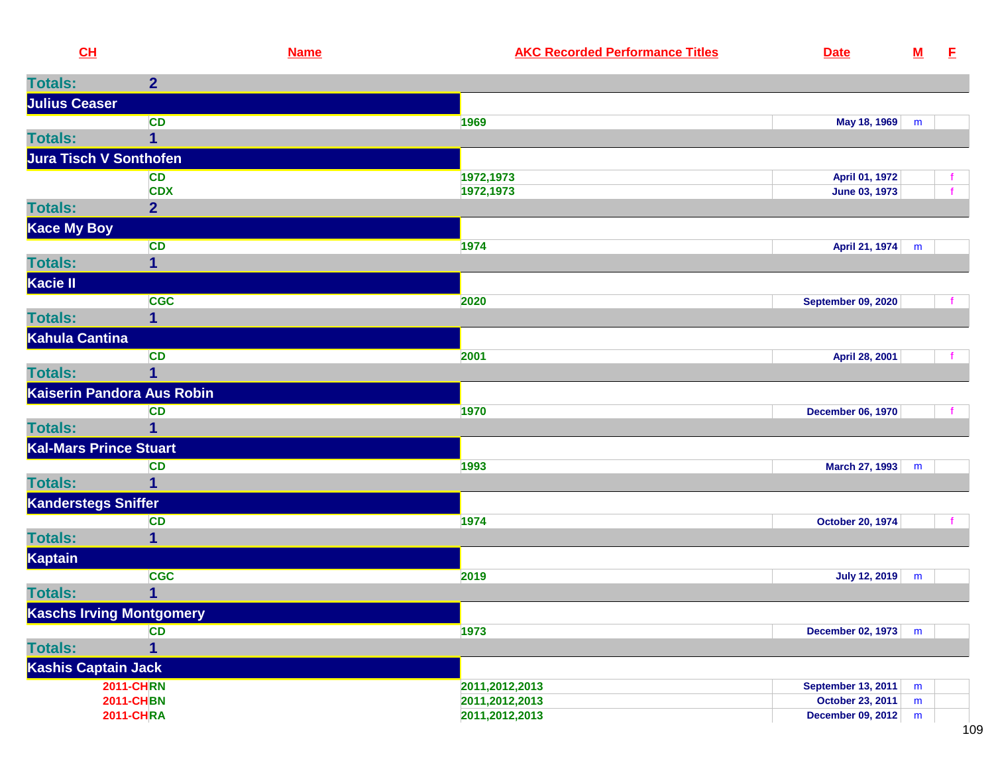| CL                            |                                      | <b>Name</b> | <b>AKC Recorded Performance Titles</b> | <b>Date</b>                                  | ${\bf M}$ | E |
|-------------------------------|--------------------------------------|-------------|----------------------------------------|----------------------------------------------|-----------|---|
| <b>Totals:</b>                | $\overline{2}$                       |             |                                        |                                              |           |   |
| <b>Julius Ceaser</b>          |                                      |             |                                        |                                              |           |   |
|                               | <b>CD</b>                            | 1969        |                                        | May 18, 1969                                 | m         |   |
| <b>Totals:</b>                | 1                                    |             |                                        |                                              |           |   |
| <b>Jura Tisch V Sonthofen</b> |                                      |             |                                        |                                              |           |   |
|                               | <b>CD</b>                            |             | 1972,1973                              | April 01, 1972                               |           |   |
|                               | <b>CDX</b>                           |             | 1972,1973                              | June 03, 1973                                |           |   |
| <b>Totals:</b>                | $\overline{2}$                       |             |                                        |                                              |           |   |
| <b>Kace My Boy</b>            |                                      |             |                                        |                                              |           |   |
|                               | <b>CD</b>                            | 1974        |                                        | April 21, 1974                               | m         |   |
| <b>Totals:</b>                | 1                                    |             |                                        |                                              |           |   |
| Kacie II                      |                                      |             |                                        |                                              |           |   |
|                               | <b>CGC</b>                           | 2020        |                                        | <b>September 09, 2020</b>                    |           |   |
| <b>Totals:</b>                | 1                                    |             |                                        |                                              |           |   |
| <b>Kahula Cantina</b>         |                                      |             |                                        |                                              |           |   |
|                               | <b>CD</b>                            | 2001        |                                        | April 28, 2001                               |           |   |
| <b>Totals:</b>                | 1                                    |             |                                        |                                              |           |   |
|                               | Kaiserin Pandora Aus Robin           |             |                                        |                                              |           |   |
|                               | <b>CD</b>                            | 1970        |                                        | <b>December 06, 1970</b>                     |           |   |
| <b>Totals:</b>                | 1                                    |             |                                        |                                              |           |   |
| <b>Kal-Mars Prince Stuart</b> |                                      |             |                                        |                                              |           |   |
|                               | <b>CD</b>                            | 1993        |                                        | March 27, 1993                               | m         |   |
| <b>Totals:</b>                | 1                                    |             |                                        |                                              |           |   |
| Kanderstegs Sniffer           |                                      |             |                                        |                                              |           |   |
|                               | <b>CD</b>                            | 1974        |                                        | <b>October 20, 1974</b>                      |           |   |
| <b>Totals:</b>                | 1                                    |             |                                        |                                              |           |   |
| Kaptain                       |                                      |             |                                        |                                              |           |   |
|                               | <b>CGC</b>                           | 2019        |                                        | <b>July 12, 2019</b>                         | m         |   |
| <b>Totals:</b>                | 1                                    |             |                                        |                                              |           |   |
|                               | <b>Kaschs Irving Montgomery</b>      |             |                                        |                                              |           |   |
|                               | <b>CD</b>                            | 1973        |                                        | December 02, 1973                            | m         |   |
| <b>Totals:</b>                | 1                                    |             |                                        |                                              |           |   |
| <b>Kashis Captain Jack</b>    |                                      |             |                                        |                                              |           |   |
|                               | <b>2011-CHRN</b>                     |             | 2011,2012,2013                         | <b>September 13, 2011</b>                    | m         |   |
|                               | <b>2011-CHBN</b><br><b>2011-CHRA</b> |             | 2011,2012,2013<br>2011,2012,2013       | October 23, 2011<br><b>December 09, 2012</b> | m<br>m    |   |
|                               |                                      |             |                                        |                                              |           |   |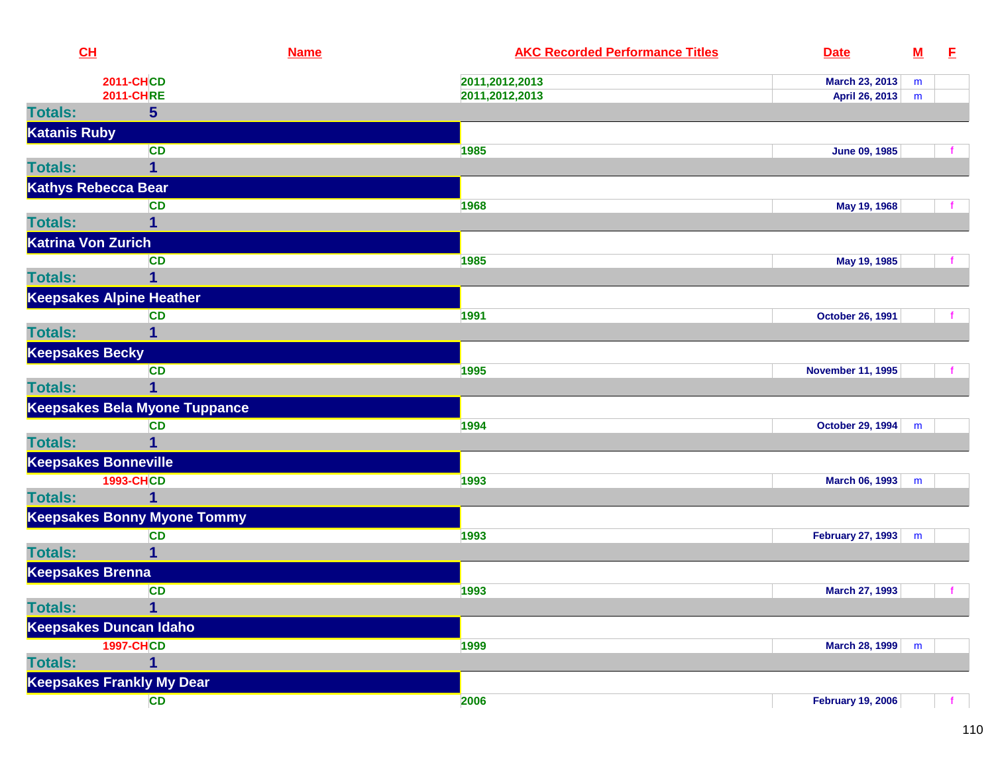| CL                          |                                      | <b>Name</b> | <b>AKC Recorded Performance Titles</b> | <b>Date</b>              | $\underline{\mathsf{M}}$ | E |
|-----------------------------|--------------------------------------|-------------|----------------------------------------|--------------------------|--------------------------|---|
|                             | <b>2011-CHCD</b>                     |             | 2011,2012,2013                         | March 23, 2013           | m                        |   |
|                             | <b>2011-CHRE</b>                     |             | 2011,2012,2013                         | April 26, 2013           | m                        |   |
| <b>Totals:</b>              | 5                                    |             |                                        |                          |                          |   |
| <b>Katanis Ruby</b>         |                                      |             |                                        |                          |                          |   |
|                             | <b>CD</b>                            |             | 1985                                   | <b>June 09, 1985</b>     |                          |   |
| <b>Totals:</b>              | $\overline{1}$                       |             |                                        |                          |                          |   |
| <b>Kathys Rebecca Bear</b>  |                                      |             |                                        |                          |                          |   |
|                             | <b>CD</b>                            |             | 1968                                   | May 19, 1968             |                          |   |
| <b>Totals:</b>              |                                      |             |                                        |                          |                          |   |
| <b>Katrina Von Zurich</b>   |                                      |             |                                        |                          |                          |   |
|                             | <b>CD</b>                            |             | 1985                                   | May 19, 1985             |                          |   |
| <b>Totals:</b>              | 1                                    |             |                                        |                          |                          |   |
|                             | <b>Keepsakes Alpine Heather</b>      |             |                                        |                          |                          |   |
|                             | <b>CD</b>                            |             | 1991                                   | <b>October 26, 1991</b>  |                          |   |
| <b>Totals:</b>              | 1                                    |             |                                        |                          |                          |   |
| <b>Keepsakes Becky</b>      |                                      |             |                                        |                          |                          |   |
|                             | <b>CD</b>                            |             | 1995                                   | <b>November 11, 1995</b> |                          |   |
| <b>Totals:</b>              | 1                                    |             |                                        |                          |                          |   |
|                             | <b>Keepsakes Bela Myone Tuppance</b> |             |                                        |                          |                          |   |
|                             | <b>CD</b>                            |             | 1994                                   | October 29, 1994         | m                        |   |
| <b>Totals:</b>              | 1                                    |             |                                        |                          |                          |   |
| <b>Keepsakes Bonneville</b> |                                      |             |                                        |                          |                          |   |
|                             | <b>1993-CHCD</b>                     |             | 1993                                   | <b>March 06, 1993</b>    | m                        |   |
| <b>Totals:</b>              | 1                                    |             |                                        |                          |                          |   |
|                             | <b>Keepsakes Bonny Myone Tommy</b>   |             |                                        |                          |                          |   |
|                             | <b>CD</b>                            |             | 1993                                   | <b>February 27, 1993</b> | m                        |   |
| <b>Totals:</b>              | 1                                    |             |                                        |                          |                          |   |
| <b>Keepsakes Brenna</b>     |                                      |             |                                        |                          |                          |   |
|                             | <b>CD</b>                            |             | 1993                                   | <b>March 27, 1993</b>    |                          |   |
| <b>Totals:</b>              | $\mathbf{1}$                         |             |                                        |                          |                          |   |
| Keepsakes Duncan Idaho      |                                      |             |                                        |                          |                          |   |
|                             | <b>1997-CHCD</b>                     |             | 1999                                   | <b>March 28, 1999</b>    | m                        |   |
| <b>Totals:</b>              | 1                                    |             |                                        |                          |                          |   |
|                             | <b>Keepsakes Frankly My Dear</b>     |             |                                        |                          |                          |   |
|                             | <b>CD</b>                            |             | 2006                                   | <b>February 19, 2006</b> |                          |   |
|                             |                                      |             |                                        |                          |                          |   |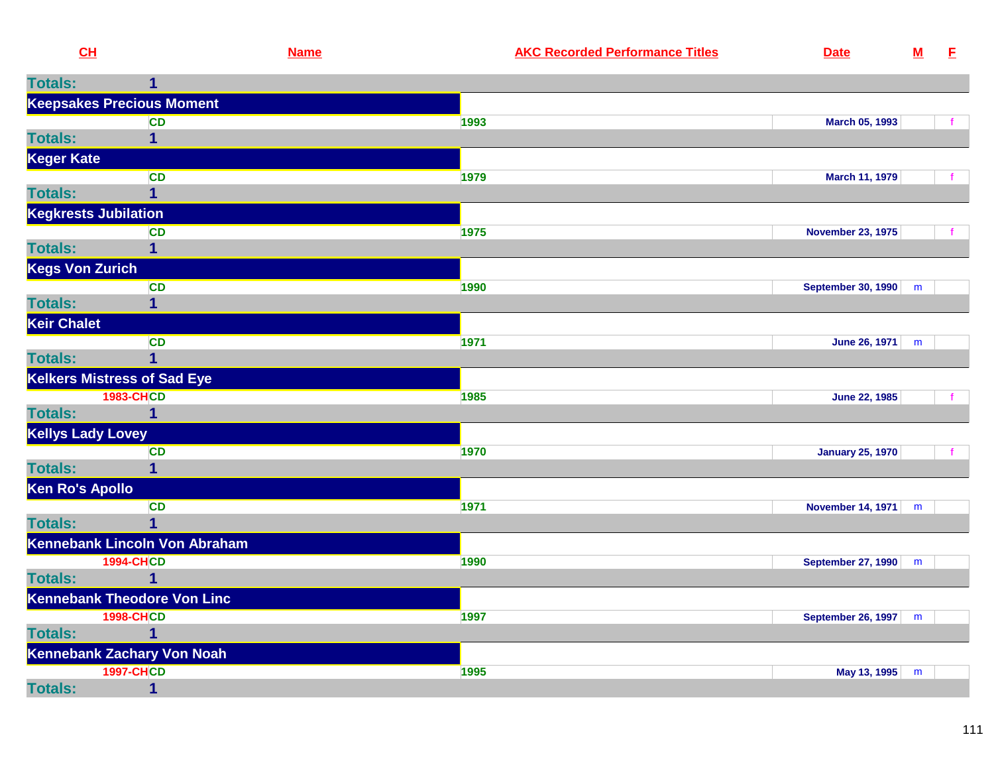| CL                          |                                                                                                                                                                                                                                      | <b>Name</b> | <b>AKC Recorded Performance Titles</b> | <b>Date</b>    | $\underline{\mathsf{M}}$        | F |
|-----------------------------|--------------------------------------------------------------------------------------------------------------------------------------------------------------------------------------------------------------------------------------|-------------|----------------------------------------|----------------|---------------------------------|---|
| <b>Totals:</b>              |                                                                                                                                                                                                                                      |             |                                        |                |                                 |   |
|                             | <b>Keepsakes Precious Moment</b>                                                                                                                                                                                                     |             |                                        |                |                                 |   |
|                             | <b>CD</b>                                                                                                                                                                                                                            |             | 1993                                   | March 05, 1993 |                                 |   |
| <b>Totals:</b>              |                                                                                                                                                                                                                                      |             |                                        |                |                                 |   |
| Keger Kate                  |                                                                                                                                                                                                                                      |             |                                        |                |                                 |   |
|                             | <b>CD</b>                                                                                                                                                                                                                            |             | 1979                                   | March 11, 1979 |                                 |   |
| <b>Totals:</b>              |                                                                                                                                                                                                                                      |             |                                        |                |                                 |   |
| <b>Kegkrests Jubilation</b> |                                                                                                                                                                                                                                      |             |                                        |                |                                 |   |
|                             | <u> The Common Section of the Common Section of the Common Section of the Common Section of the Common Section of the Common Section of the Common Section of the Common Section of the Common Section of the Common Section of </u> |             | ___                                    |                | the contract of the contract of |   |

|                          | <b>CD</b>                          | 1975 | <b>November 23, 1975</b>  |   |  |
|--------------------------|------------------------------------|------|---------------------------|---|--|
| <b>Totals:</b>           |                                    |      |                           |   |  |
| <b>Kegs Von Zurich</b>   |                                    |      |                           |   |  |
|                          | <b>CD</b>                          | 1990 | <b>September 30, 1990</b> | m |  |
| <b>Totals:</b>           | 1                                  |      |                           |   |  |
| <b>Keir Chalet</b>       |                                    |      |                           |   |  |
|                          | <b>CD</b>                          | 1971 | June 26, 1971             | m |  |
| <b>Totals:</b>           |                                    |      |                           |   |  |
|                          | <b>Kelkers Mistress of Sad Eye</b> |      |                           |   |  |
|                          | <b>1983-CHCD</b>                   | 1985 | <b>June 22, 1985</b>      |   |  |
| <b>Totals:</b>           | 1                                  |      |                           |   |  |
| <b>Kellys Lady Lovey</b> |                                    |      |                           |   |  |
|                          | <b>CD</b>                          | 1970 | <b>January 25, 1970</b>   |   |  |
| <b>Totals:</b>           |                                    |      |                           |   |  |
| <b>Ken Ro's Apollo</b>   |                                    |      |                           |   |  |
|                          | <b>CD</b>                          | 1971 | <b>November 14, 1971</b>  | m |  |
| <b>Totals:</b>           |                                    |      |                           |   |  |
|                          | Kennebank Lincoln Von Abraham      |      |                           |   |  |
|                          | <b>1994-CHCD</b>                   | 1990 | <b>September 27, 1990</b> | m |  |
| <b>Totals:</b>           |                                    |      |                           |   |  |
|                          | <b>Kennebank Theodore Von Linc</b> |      |                           |   |  |
|                          | <b>1998-CHCD</b>                   | 1997 | <b>September 26, 1997</b> | m |  |
| <b>Totals:</b>           | 1                                  |      |                           |   |  |
|                          | Kennebank Zachary Von Noah         |      |                           |   |  |
|                          | <b>1997-CHCD</b>                   | 1995 | May 13, 1995              | m |  |
| <b>Totals:</b>           |                                    |      |                           |   |  |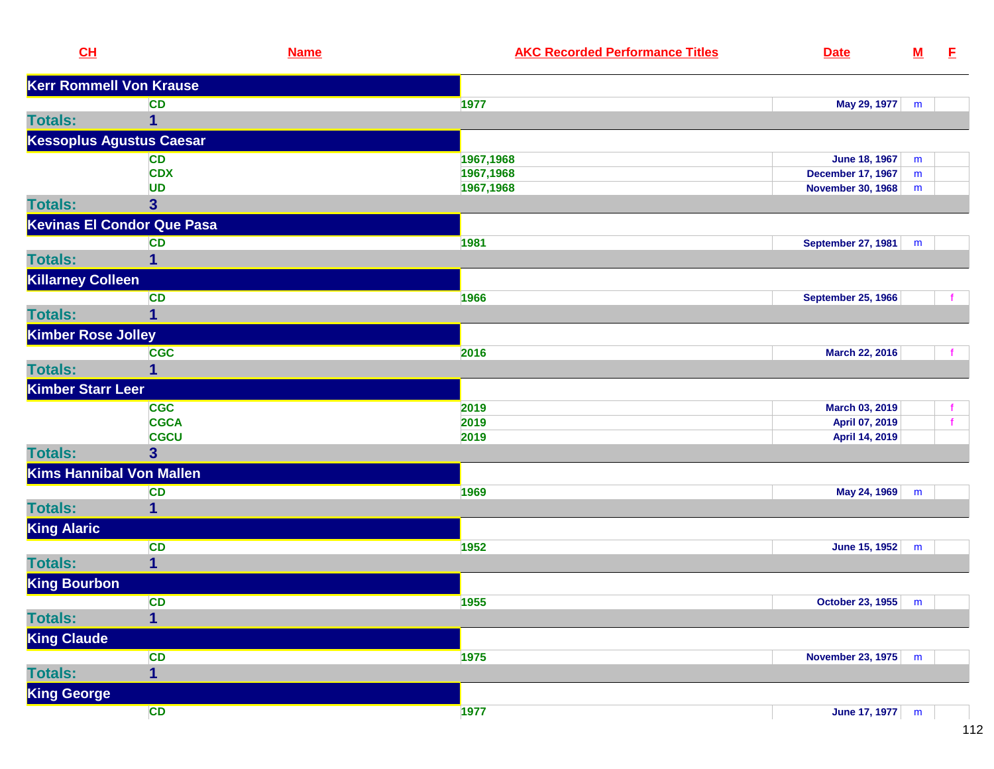| CL                             | <b>Name</b>                       | <b>AKC Recorded Performance Titles</b> | <b>Date</b>               | $\underline{\mathbf{M}}$ | E,           |
|--------------------------------|-----------------------------------|----------------------------------------|---------------------------|--------------------------|--------------|
| <b>Kerr Rommell Von Krause</b> |                                   |                                        |                           |                          |              |
|                                | <b>CD</b>                         | 1977                                   | May 29, 1977              | m                        |              |
| <b>Totals:</b>                 | 1                                 |                                        |                           |                          |              |
|                                | <b>Kessoplus Agustus Caesar</b>   |                                        |                           |                          |              |
|                                | <b>CD</b>                         | 1967,1968                              | <b>June 18, 1967</b>      | m                        |              |
|                                | <b>CDX</b>                        | 1967,1968                              | <b>December 17, 1967</b>  | m                        |              |
|                                | <b>UD</b>                         | 1967,1968                              | <b>November 30, 1968</b>  | m                        |              |
| <b>Totals:</b>                 | $\overline{\mathbf{3}}$           |                                        |                           |                          |              |
|                                | <b>Kevinas El Condor Que Pasa</b> |                                        |                           |                          |              |
|                                | <b>CD</b>                         | 1981                                   | September 27, 1981        | m                        |              |
| <b>Totals:</b>                 | 1                                 |                                        |                           |                          |              |
| <b>Killarney Colleen</b>       |                                   |                                        |                           |                          |              |
|                                | <b>CD</b>                         | 1966                                   | <b>September 25, 1966</b> |                          |              |
| <b>Totals:</b>                 | $\mathbf{1}$                      |                                        |                           |                          |              |
| <b>Kimber Rose Jolley</b>      |                                   |                                        |                           |                          |              |
|                                | <b>CGC</b>                        | 2016                                   | March 22, 2016            |                          |              |
| <b>Totals:</b>                 | 1                                 |                                        |                           |                          |              |
| <b>Kimber Starr Leer</b>       |                                   |                                        |                           |                          |              |
|                                | <b>CGC</b>                        | 2019                                   | March 03, 2019            |                          |              |
|                                | <b>CGCA</b>                       | 2019                                   | April 07, 2019            |                          | $\mathbf{f}$ |
|                                | <b>CGCU</b>                       | 2019                                   | April 14, 2019            |                          |              |
| <b>Totals:</b>                 | 3 <sup>5</sup>                    |                                        |                           |                          |              |
|                                | <b>Kims Hannibal Von Mallen</b>   |                                        |                           |                          |              |
|                                | <b>CD</b>                         | 1969                                   | May 24, 1969              | m                        |              |
| <b>Totals:</b>                 | 1                                 |                                        |                           |                          |              |
| <b>King Alaric</b>             |                                   |                                        |                           |                          |              |
|                                | CD                                | 1952                                   | June 15, 1952             | m                        |              |
| <b>Totals:</b>                 | $\mathbf{1}$                      |                                        |                           |                          |              |
| <b>King Bourbon</b>            |                                   |                                        |                           |                          |              |
|                                | <b>CD</b>                         | 1955                                   | October 23, 1955   m      |                          |              |
| <b>Totals:</b>                 | $\mathbf{1}$                      |                                        |                           |                          |              |
| <b>King Claude</b>             |                                   |                                        |                           |                          |              |
|                                | CD                                | 1975                                   | November 23, 1975         | m                        |              |
| <b>Totals:</b>                 | $\overline{\mathbf{1}}$           |                                        |                           |                          |              |
| <b>King George</b>             |                                   |                                        |                           |                          |              |
|                                | CD                                | 1977                                   | June 17, 1977             | m                        |              |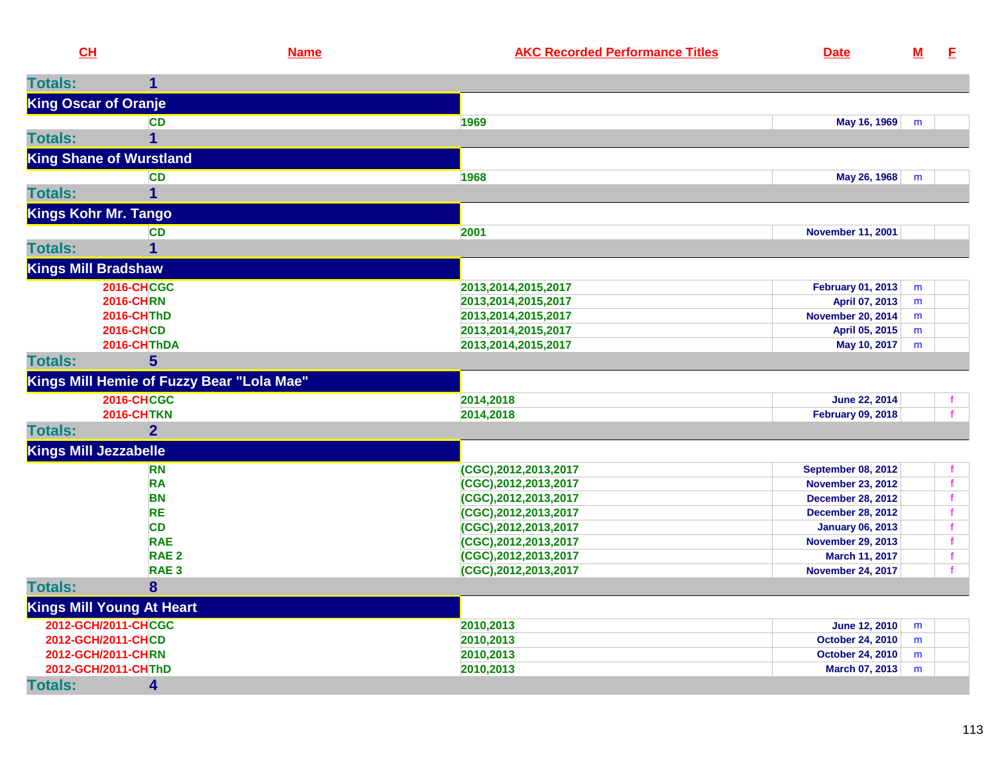|                | CH                                        | <b>Name</b> | <b>AKC Recorded Performance Titles</b> | <b>Date</b>               | $\underline{\mathbf{M}}$ | E            |
|----------------|-------------------------------------------|-------------|----------------------------------------|---------------------------|--------------------------|--------------|
| <b>Totals:</b> | 1                                         |             |                                        |                           |                          |              |
|                | <b>King Oscar of Oranje</b>               |             |                                        |                           |                          |              |
|                | <b>CD</b>                                 |             | 1969                                   | May 16, 1969              | m                        |              |
| <b>Totals:</b> | $\overline{1}$                            |             |                                        |                           |                          |              |
|                | <b>King Shane of Wurstland</b>            |             |                                        |                           |                          |              |
|                | <b>CD</b>                                 |             | 1968                                   | May 26, 1968              | m                        |              |
| <b>Totals:</b> | $\mathbf 1$                               |             |                                        |                           |                          |              |
|                | <b>Kings Kohr Mr. Tango</b>               |             |                                        |                           |                          |              |
|                | CD                                        |             | 2001                                   | <b>November 11, 2001</b>  |                          |              |
| <b>Totals:</b> | $\mathbf 1$                               |             |                                        |                           |                          |              |
|                | <b>Kings Mill Bradshaw</b>                |             |                                        |                           |                          |              |
|                | <b>2016-CHCGC</b>                         |             | 2013, 2014, 2015, 2017                 | <b>February 01, 2013</b>  | m                        |              |
|                | <b>2016-CHRN</b>                          |             | 2013,2014,2015,2017                    | April 07, 2013            | m                        |              |
|                | <b>2016-CHThD</b>                         |             | 2013,2014,2015,2017                    | <b>November 20, 2014</b>  | m                        |              |
|                | <b>2016-CHCD</b>                          |             | 2013,2014,2015,2017                    | April 05, 2015            | m                        |              |
|                | 2016-CHThDA                               |             | 2013,2014,2015,2017                    | May 10, 2017              | m                        |              |
| <b>Totals:</b> | $5\phantom{1}$                            |             |                                        |                           |                          |              |
|                | Kings Mill Hemie of Fuzzy Bear "Lola Mae" |             |                                        |                           |                          |              |
|                | <b>2016-CHCGC</b>                         |             | 2014,2018                              | June 22, 2014             |                          |              |
|                | <b>2016-CHTKN</b>                         |             | 2014,2018                              | <b>February 09, 2018</b>  |                          |              |
| <b>Totals:</b> | 2 <sup>1</sup>                            |             |                                        |                           |                          |              |
|                | <b>Kings Mill Jezzabelle</b>              |             |                                        |                           |                          |              |
|                | <b>RN</b>                                 |             | (CGC),2012,2013,2017                   | <b>September 08, 2012</b> |                          |              |
|                | <b>RA</b>                                 |             | (CGC),2012,2013,2017                   | <b>November 23, 2012</b>  |                          | $\mathbf{f}$ |
|                | <b>BN</b>                                 |             | (CGC),2012,2013,2017                   | <b>December 28, 2012</b>  |                          | f            |
|                | <b>RE</b>                                 |             | (CGC),2012,2013,2017                   | <b>December 28, 2012</b>  |                          | $\mathbf f$  |
|                | <b>CD</b>                                 |             | (CGC),2012,2013,2017                   | <b>January 06, 2013</b>   |                          | f            |
|                | <b>RAE</b>                                |             | (CGC),2012,2013,2017                   | <b>November 29, 2013</b>  |                          | f            |
|                | RAE <sub>2</sub>                          |             | (CGC),2012,2013,2017                   | March 11, 2017            |                          | f            |
|                | RAE <sub>3</sub>                          |             | (CGC),2012,2013,2017                   | <b>November 24, 2017</b>  |                          |              |
| <b>Totals:</b> | 8                                         |             |                                        |                           |                          |              |
|                | <b>Kings Mill Young At Heart</b>          |             |                                        |                           |                          |              |
|                | 2012-GCH/2011-CHCGC                       |             | 2010,2013                              | <b>June 12, 2010</b>      | m                        |              |
|                | 2012-GCH/2011-CHCD                        |             | 2010,2013                              | <b>October 24, 2010</b>   | m                        |              |
|                | 2012-GCH/2011-CHRN                        |             | 2010,2013                              | <b>October 24, 2010</b>   | m                        |              |
|                | 2012-GCH/2011-CHThD                       |             | 2010,2013                              | March 07, 2013            | m                        |              |
| <b>Totals:</b> | 4                                         |             |                                        |                           |                          |              |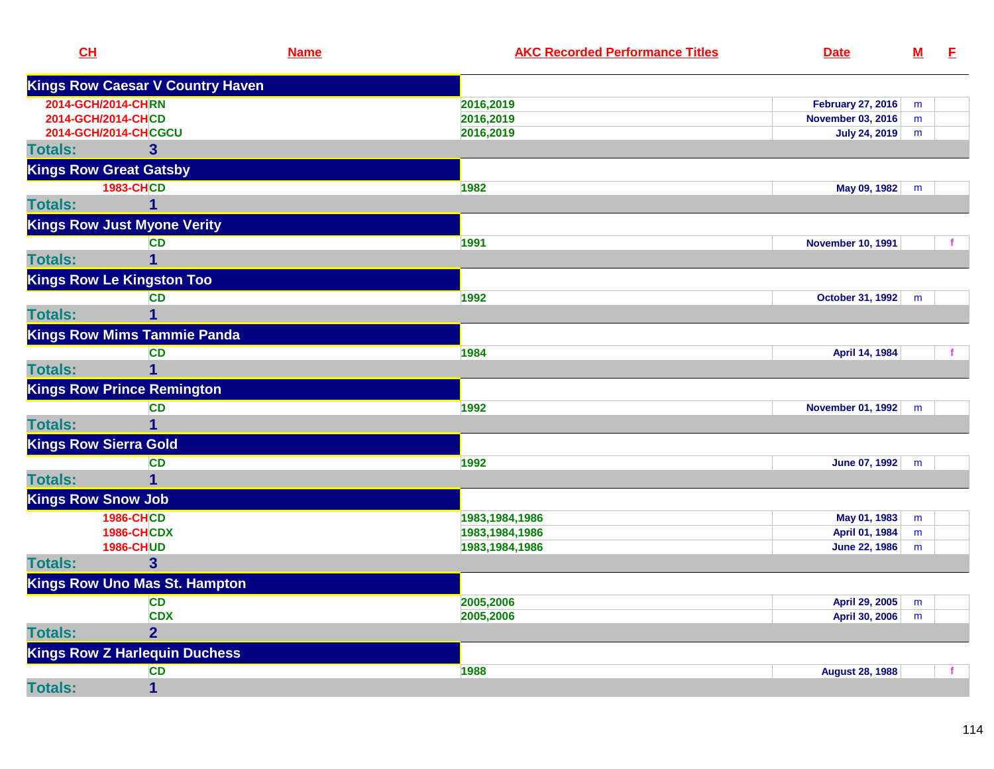| CL                            |                                         | <b>Name</b> | <b>AKC Recorded Performance Titles</b> | <b>Date</b>              | $M$ | E |
|-------------------------------|-----------------------------------------|-------------|----------------------------------------|--------------------------|-----|---|
|                               | <b>Kings Row Caesar V Country Haven</b> |             |                                        |                          |     |   |
| 2014-GCH/2014-CHRN            |                                         |             | 2016,2019                              | <b>February 27, 2016</b> | m   |   |
| 2014-GCH/2014-CHCD            |                                         |             | 2016,2019                              | <b>November 03, 2016</b> | m   |   |
|                               | 2014-GCH/2014-CHCGCU                    |             | 2016,2019                              | July 24, 2019            | m   |   |
| <b>Totals:</b>                | 3                                       |             |                                        |                          |     |   |
| <b>Kings Row Great Gatsby</b> |                                         |             |                                        |                          |     |   |
|                               | <b>1983-CHCD</b>                        |             | 1982                                   | May 09, 1982             | m   |   |
| <b>Totals:</b>                | 1                                       |             |                                        |                          |     |   |
|                               | <b>Kings Row Just Myone Verity</b>      |             |                                        |                          |     |   |
|                               | <b>CD</b>                               |             | 1991                                   | <b>November 10, 1991</b> |     |   |
| <b>Totals:</b>                | 1                                       |             |                                        |                          |     |   |
|                               | <b>Kings Row Le Kingston Too</b>        |             |                                        |                          |     |   |
|                               | <b>CD</b>                               |             | 1992                                   | October 31, 1992         | m   |   |
| <b>Totals:</b>                |                                         |             |                                        |                          |     |   |
|                               | <b>Kings Row Mims Tammie Panda</b>      |             |                                        |                          |     |   |
|                               | <b>CD</b>                               |             | 1984                                   | April 14, 1984           |     |   |
| <b>Totals:</b>                | 1                                       |             |                                        |                          |     |   |
|                               | <b>Kings Row Prince Remington</b>       |             |                                        |                          |     |   |
|                               | <b>CD</b>                               |             | 1992                                   | November 01, 1992        | m   |   |
| <b>Totals:</b>                | 1                                       |             |                                        |                          |     |   |
| <b>Kings Row Sierra Gold</b>  |                                         |             |                                        |                          |     |   |
|                               | <b>CD</b>                               |             | 1992                                   | June 07, 1992            | m   |   |
| <b>Totals:</b>                | 1                                       |             |                                        |                          |     |   |
| <b>Kings Row Snow Job</b>     |                                         |             |                                        |                          |     |   |
|                               | <b>1986-CHCD</b>                        |             | 1983, 1984, 1986                       | May 01, 1983             | m   |   |
|                               | <b>1986-CHCDX</b>                       |             | 1983,1984,1986                         | April 01, 1984           | m   |   |
|                               | <b>1986-CHUD</b>                        |             | 1983, 1984, 1986                       | <b>June 22, 1986</b>     | m   |   |
| <b>Totals:</b>                | 3                                       |             |                                        |                          |     |   |
|                               | <b>Kings Row Uno Mas St. Hampton</b>    |             |                                        |                          |     |   |
|                               | CD                                      |             | 2005,2006                              | April 29, 2005           | m   |   |
|                               | <b>CDX</b>                              |             | 2005,2006                              | April 30, 2006           | m   |   |
| <b>Totals:</b>                | $\overline{2}$                          |             |                                        |                          |     |   |
|                               | <b>Kings Row Z Harlequin Duchess</b>    |             |                                        |                          |     |   |
|                               | CD                                      |             | 1988                                   | <b>August 28, 1988</b>   |     |   |
| <b>Totals:</b>                | $\mathbf{1}$                            |             |                                        |                          |     |   |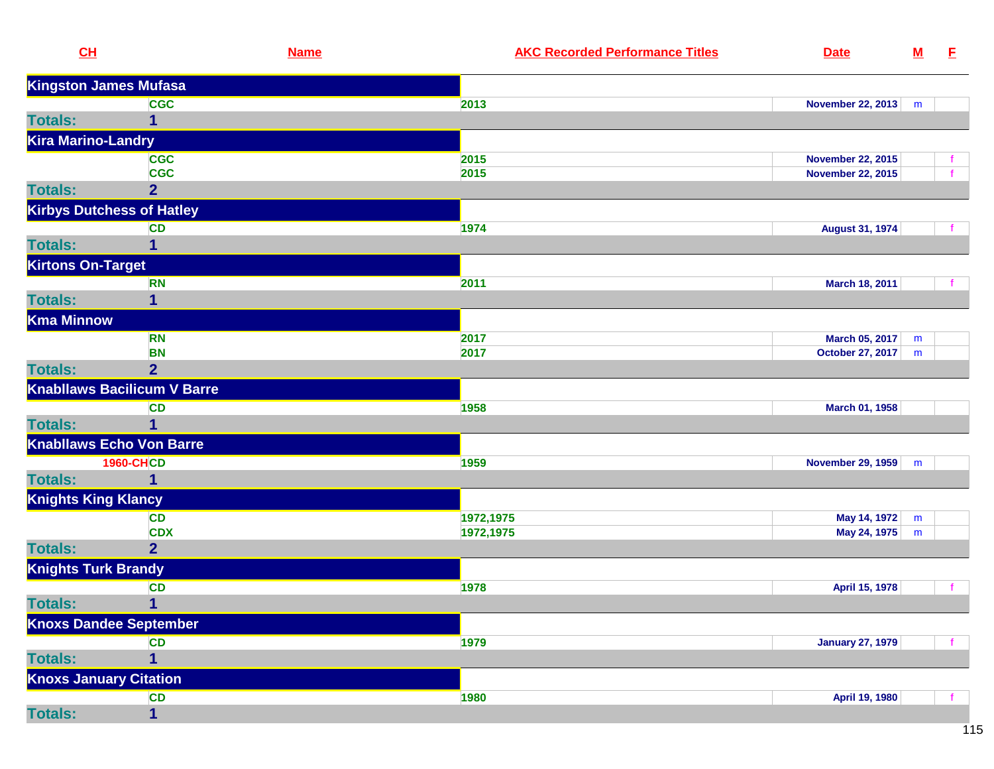| CL                         | <b>Name</b>                        | <b>AKC Recorded Performance Titles</b> | <b>Date</b>              | ${\bf M}$ | E |
|----------------------------|------------------------------------|----------------------------------------|--------------------------|-----------|---|
|                            | <b>Kingston James Mufasa</b>       |                                        |                          |           |   |
|                            | <b>CGC</b>                         | 2013                                   | November 22, 2013        | m         |   |
| <b>Totals:</b>             | 1                                  |                                        |                          |           |   |
| <b>Kira Marino-Landry</b>  |                                    |                                        |                          |           |   |
|                            | <b>CGC</b>                         | 2015                                   | <b>November 22, 2015</b> |           |   |
|                            | <b>CGC</b>                         | 2015                                   | <b>November 22, 2015</b> |           |   |
| <b>Totals:</b>             | 2 <sup>1</sup>                     |                                        |                          |           |   |
|                            | <b>Kirbys Dutchess of Hatley</b>   |                                        |                          |           |   |
|                            | <b>CD</b>                          | 1974                                   | <b>August 31, 1974</b>   |           |   |
| <b>Totals:</b>             | 1                                  |                                        |                          |           |   |
| <b>Kirtons On-Target</b>   |                                    |                                        |                          |           |   |
|                            | <b>RN</b>                          | 2011                                   | March 18, 2011           |           |   |
| <b>Totals:</b>             | 1                                  |                                        |                          |           |   |
| <b>Kma Minnow</b>          |                                    |                                        |                          |           |   |
|                            | <b>RN</b>                          | 2017                                   | March 05, 2017           | m         |   |
|                            | <b>BN</b>                          | 2017                                   | October 27, 2017         | m         |   |
| <b>Totals:</b>             | $\overline{2}$                     |                                        |                          |           |   |
|                            | <b>Knabliaws Bacilicum V Barre</b> |                                        |                          |           |   |
|                            | <b>CD</b>                          | 1958                                   | March 01, 1958           |           |   |
| <b>Totals:</b>             |                                    |                                        |                          |           |   |
|                            | <b>Knabllaws Echo Von Barre</b>    |                                        |                          |           |   |
|                            | <b>1960-CHCD</b>                   | 1959                                   | <b>November 29, 1959</b> | m         |   |
| <b>Totals:</b>             | 1                                  |                                        |                          |           |   |
| <b>Knights King Klancy</b> |                                    |                                        |                          |           |   |
|                            | CD                                 | 1972,1975                              | May 14, 1972             | m         |   |
|                            | <b>CDX</b>                         | 1972,1975                              | May 24, 1975             | m         |   |
| <b>Totals:</b>             | $\overline{2}$                     |                                        |                          |           |   |
|                            | <b>Knights Turk Brandy</b>         |                                        |                          |           |   |
|                            | <b>CD</b>                          | 1978                                   | April 15, 1978           |           |   |
| <b>Totals:</b>             | $\mathbf{1}$                       |                                        |                          |           |   |
|                            | <b>Knoxs Dandee September</b>      |                                        |                          |           |   |
|                            | <b>CD</b>                          | 1979                                   | <b>January 27, 1979</b>  |           |   |
| <b>Totals:</b>             | 1                                  |                                        |                          |           |   |
|                            | <b>Knoxs January Citation</b>      |                                        |                          |           |   |
|                            | <b>CD</b>                          | 1980                                   | April 19, 1980           |           |   |
| <b>Totals:</b>             | $\mathbf{1}$                       |                                        |                          |           |   |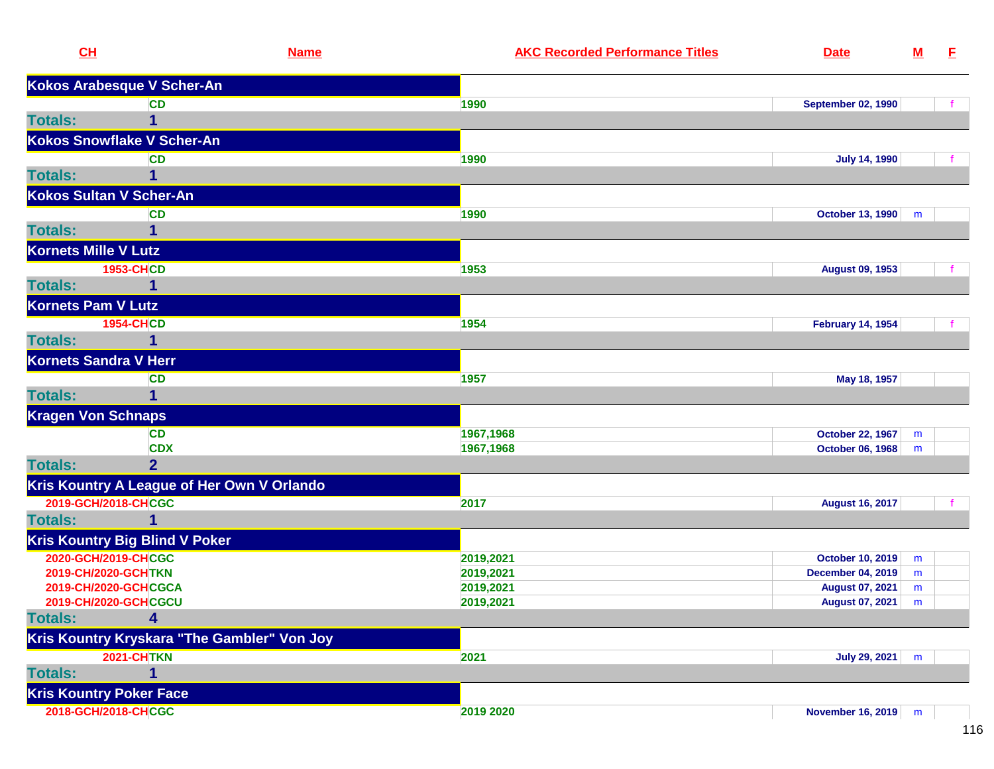| CH                             | <b>Name</b>                                     | <b>AKC Recorded Performance Titles</b> | <b>Date</b>               | ${\bf M}$ | E. |
|--------------------------------|-------------------------------------------------|----------------------------------------|---------------------------|-----------|----|
|                                | Kokos Arabesque V Scher-An                      |                                        |                           |           |    |
|                                | <b>CD</b>                                       | 1990                                   | <b>September 02, 1990</b> |           |    |
| <b>Totals:</b>                 | 1                                               |                                        |                           |           |    |
|                                | Kokos Snowflake V Scher-An                      |                                        |                           |           |    |
|                                | <b>CD</b>                                       | 1990                                   | <b>July 14, 1990</b>      |           |    |
| <b>Totals:</b>                 | 1                                               |                                        |                           |           |    |
| Kokos Sultan V Scher-An        |                                                 |                                        |                           |           |    |
|                                | <b>CD</b>                                       | 1990                                   | October 13, 1990          | m         |    |
| <b>Totals:</b>                 |                                                 |                                        |                           |           |    |
| Kornets Mille V Lutz           |                                                 |                                        |                           |           |    |
|                                | <b>1953-CHCD</b>                                | 1953                                   | <b>August 09, 1953</b>    |           |    |
| <b>Totals:</b>                 | 1                                               |                                        |                           |           |    |
| <b>Kornets Pam V Lutz</b>      |                                                 |                                        |                           |           |    |
|                                | <b>1954-CHCD</b>                                | 1954                                   | <b>February 14, 1954</b>  |           |    |
| <b>Totals:</b>                 |                                                 |                                        |                           |           |    |
| <b>Kornets Sandra V Herr</b>   |                                                 |                                        |                           |           |    |
|                                | <b>CD</b>                                       | 1957                                   | May 18, 1957              |           |    |
| <b>Totals:</b>                 | 1                                               |                                        |                           |           |    |
| <b>Kragen Von Schnaps</b>      |                                                 |                                        |                           |           |    |
|                                | <b>CD</b>                                       | 1967,1968                              | <b>October 22, 1967</b>   | m         |    |
|                                | <b>CDX</b>                                      | 1967,1968                              | October 06, 1968          | m         |    |
| <b>Totals:</b>                 | $\overline{2}$                                  |                                        |                           |           |    |
|                                | Kris Kountry A League of Her Own V Orlando      |                                        |                           |           |    |
| 2019-GCH/2018-CHCGC            |                                                 | 2017                                   | <b>August 16, 2017</b>    |           |    |
| <b>Totals:</b>                 | $\mathbf{1}$                                    |                                        |                           |           |    |
|                                | <b>Kris Kountry Big Blind V Poker</b>           |                                        |                           |           |    |
| 2020-GCH/2019-CHCGC            |                                                 | 2019,2021                              | <b>October 10, 2019</b>   | m         |    |
| 2019-CH/2020-GCHTKN            |                                                 | 2019,2021                              | <b>December 04, 2019</b>  | m         |    |
|                                | 2019-CH/2020-GCHCGCA                            | 2019,2021                              | <b>August 07, 2021</b>    | m         |    |
| <b>Totals:</b>                 | 2019-CH/2020-GCHCGCU<br>$\overline{\mathbf{4}}$ | 2019,2021                              | August 07, 2021   m       |           |    |
|                                |                                                 |                                        |                           |           |    |
|                                | Kris Kountry Kryskara "The Gambler" Von Joy     |                                        |                           |           |    |
|                                | <b>2021-CHTKN</b>                               | 2021                                   | July 29, 2021             | m         |    |
| <b>Totals:</b>                 | 1                                               |                                        |                           |           |    |
| <b>Kris Kountry Poker Face</b> |                                                 |                                        |                           |           |    |
| 2018-GCH/2018-CHCGC            |                                                 | 2019 2020                              | November 16, 2019   m     |           |    |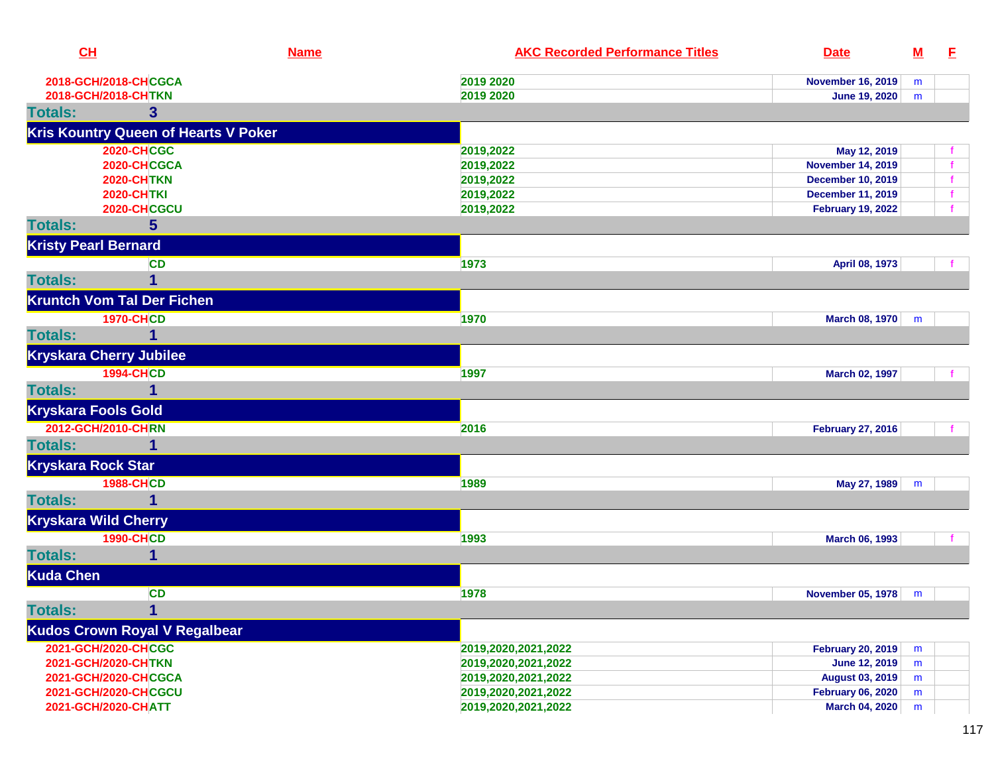| CL                                | <b>Name</b>                                 | <b>AKC Recorded Performance Titles</b> | <b>Date</b>              | $\underline{\mathsf{M}}$ | E |
|-----------------------------------|---------------------------------------------|----------------------------------------|--------------------------|--------------------------|---|
| 2018-GCH/2018-CHCGCA              |                                             | 2019 2020                              | <b>November 16, 2019</b> | m                        |   |
| 2018-GCH/2018-CHTKN               |                                             | 2019 2020                              | June 19, 2020            | m                        |   |
| <b>Totals:</b>                    | 3                                           |                                        |                          |                          |   |
|                                   | <b>Kris Kountry Queen of Hearts V Poker</b> |                                        |                          |                          |   |
|                                   | <b>2020-CHCGC</b>                           | 2019,2022                              | May 12, 2019             |                          |   |
|                                   | 2020-CHCGCA                                 | 2019,2022                              | <b>November 14, 2019</b> |                          |   |
|                                   | <b>2020-CHTKN</b>                           | 2019,2022                              | <b>December 10, 2019</b> |                          |   |
|                                   | <b>2020-CHTKI</b>                           | 2019,2022                              | <b>December 11, 2019</b> |                          |   |
|                                   | 2020-CHCGCU                                 | 2019,2022                              | <b>February 19, 2022</b> |                          |   |
| <b>Totals:</b>                    | $5\phantom{.}$                              |                                        |                          |                          |   |
| <b>Kristy Pearl Bernard</b>       |                                             |                                        |                          |                          |   |
|                                   | <b>CD</b>                                   | 1973                                   | April 08, 1973           |                          |   |
| <b>Totals:</b>                    | 1                                           |                                        |                          |                          |   |
| <b>Kruntch Vom Tal Der Fichen</b> |                                             |                                        |                          |                          |   |
|                                   | <b>1970-CHCD</b>                            | 1970                                   | March 08, 1970           | m                        |   |
| <b>Totals:</b>                    |                                             |                                        |                          |                          |   |
| <b>Kryskara Cherry Jubilee</b>    |                                             |                                        |                          |                          |   |
|                                   | <b>1994-CHCD</b>                            | 1997                                   | March 02, 1997           |                          |   |
| <b>Totals:</b>                    | 1                                           |                                        |                          |                          |   |
| <b>Kryskara Fools Gold</b>        |                                             |                                        |                          |                          |   |
| 2012-GCH/2010-CHRN                |                                             | 2016                                   | <b>February 27, 2016</b> |                          |   |
| <b>Totals:</b>                    | 1                                           |                                        |                          |                          |   |
| <b>Kryskara Rock Star</b>         |                                             |                                        |                          |                          |   |
|                                   | <b>1988-CHCD</b>                            | 1989                                   | May 27, 1989             | m                        |   |
| <b>Totals:</b>                    |                                             |                                        |                          |                          |   |
| <b>Kryskara Wild Cherry</b>       |                                             |                                        |                          |                          |   |
|                                   | <b>1990-CHCD</b>                            | 1993                                   | March 06, 1993           |                          |   |
| <b>Totals:</b>                    | 1                                           |                                        |                          |                          |   |
| <b>Kuda Chen</b>                  |                                             |                                        |                          |                          |   |
|                                   | <b>CD</b>                                   | 1978                                   | <b>November 05, 1978</b> | m                        |   |
| <b>Totals:</b>                    | 1                                           |                                        |                          |                          |   |
|                                   | <b>Kudos Crown Royal V Regalbear</b>        |                                        |                          |                          |   |
| 2021-GCH/2020-CHCGC               |                                             | 2019,2020,2021,2022                    | <b>February 20, 2019</b> | m                        |   |
| 2021-GCH/2020-CHTKN               |                                             | 2019,2020,2021,2022                    | <b>June 12, 2019</b>     | m                        |   |
| 2021-GCH/2020-CHCGCA              |                                             | 2019,2020,2021,2022                    | <b>August 03, 2019</b>   | m                        |   |
| 2021-GCH/2020-CHCGCU              |                                             | 2019,2020,2021,2022                    | <b>February 06, 2020</b> | m                        |   |
| 2021-GCH/2020-CHATT               |                                             | 2019,2020,2021,2022                    | March 04, 2020           | m                        |   |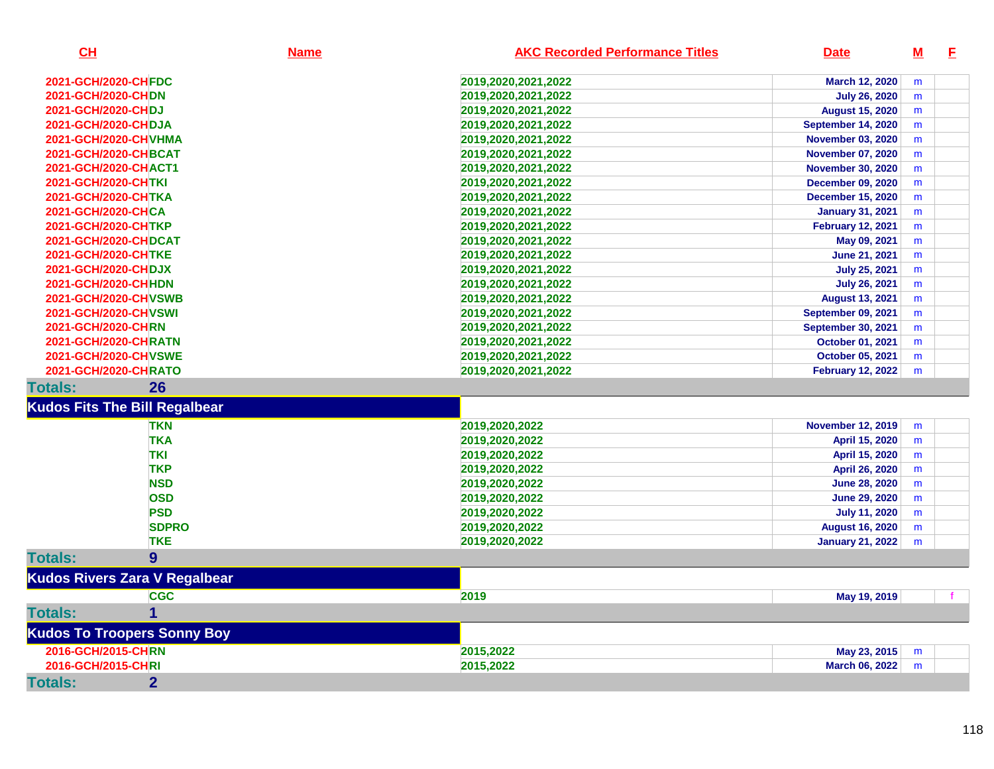| CH                                   | <b>Name</b>  | <b>AKC Recorded Performance Titles</b> | <b>Date</b>               | $M$       | E |
|--------------------------------------|--------------|----------------------------------------|---------------------------|-----------|---|
| 2021-GCH/2020-CHFDC                  |              | 2019,2020,2021,2022                    | March 12, 2020            | m         |   |
| 2021-GCH/2020-CHDN                   |              | 2019,2020,2021,2022                    | <b>July 26, 2020</b>      | m         |   |
| 2021-GCH/2020-CHDJ                   |              | 2019,2020,2021,2022                    | <b>August 15, 2020</b>    | m         |   |
| 2021-GCH/2020-CHDJA                  |              | 2019,2020,2021,2022                    | September 14, 2020        | m         |   |
| 2021-GCH/2020-CHVHMA                 |              | 2019,2020,2021,2022                    | <b>November 03, 2020</b>  | m         |   |
| <b>2021-GCH/2020-CHBCAT</b>          |              | 2019,2020,2021,2022                    | <b>November 07, 2020</b>  | m         |   |
| 2021-GCH/2020-CHACT1                 |              | 2019,2020,2021,2022                    | <b>November 30, 2020</b>  | m         |   |
| 2021-GCH/2020-CHTKI                  |              | 2019,2020,2021,2022                    | <b>December 09, 2020</b>  | m         |   |
| 2021-GCH/2020-CHTKA                  |              | 2019,2020,2021,2022                    | <b>December 15, 2020</b>  | m         |   |
| 2021-GCH/2020-CHCA                   |              | 2019,2020,2021,2022                    | <b>January 31, 2021</b>   | m         |   |
| 2021-GCH/2020-CHTKP                  |              | 2019,2020,2021,2022                    | <b>February 12, 2021</b>  | m         |   |
| <b>2021-GCH/2020-CHDCAT</b>          |              | 2019,2020,2021,2022                    | May 09, 2021              | ${\sf m}$ |   |
| 2021-GCH/2020-CHTKE                  |              | 2019,2020,2021,2022                    | June 21, 2021             | m         |   |
| 2021-GCH/2020-CHDJX                  |              | 2019,2020,2021,2022                    | <b>July 25, 2021</b>      | m         |   |
| 2021-GCH/2020-CHHDN                  |              | 2019,2020,2021,2022                    | <b>July 26, 2021</b>      | m         |   |
| <b>2021-GCH/2020-CHVSWB</b>          |              | 2019,2020,2021,2022                    | <b>August 13, 2021</b>    | m         |   |
| 2021-GCH/2020-CHVSWI                 |              | 2019,2020,2021,2022                    | September 09, 2021        | m         |   |
| 2021-GCH/2020-CHRN                   |              | 2019,2020,2021,2022                    | <b>September 30, 2021</b> | m         |   |
| <b>2021-GCH/2020-CHRATN</b>          |              | 2019,2020,2021,2022                    | <b>October 01, 2021</b>   | m         |   |
| 2021-GCH/2020-CHVSWE                 |              | 2019,2020,2021,2022                    | October 05, 2021          | m         |   |
| 2021-GCH/2020-CHRATO                 |              | 2019,2020,2021,2022                    | <b>February 12, 2022</b>  | m         |   |
| 26<br><b>Totals:</b>                 |              |                                        |                           |           |   |
| <b>Kudos Fits The Bill Regalbear</b> |              |                                        |                           |           |   |
| <b>TKN</b>                           |              | 2019,2020,2022                         | <b>November 12, 2019</b>  | m         |   |
| <b>TKA</b>                           |              | 2019,2020,2022                         | April 15, 2020            | m         |   |
| <b>TKI</b>                           |              | 2019,2020,2022                         | April 15, 2020            | m         |   |
| <b>TKP</b>                           |              | 2019,2020,2022                         | April 26, 2020            | m         |   |
| <b>NSD</b>                           |              | 2019,2020,2022                         | <b>June 28, 2020</b>      | m         |   |
| <b>OSD</b>                           |              | 2019,2020,2022                         | <b>June 29, 2020</b>      | m         |   |
| <b>PSD</b>                           |              | 2019,2020,2022                         | <b>July 11, 2020</b>      | m         |   |
|                                      | <b>SDPRO</b> | 2019,2020,2022                         | <b>August 16, 2020</b>    | m         |   |
| <b>TKE</b>                           |              | 2019,2020,2022                         | <b>January 21, 2022</b>   | m         |   |
| <b>Totals:</b><br>9                  |              |                                        |                           |           |   |
| <b>Kudos Rivers Zara V Regalbear</b> |              |                                        |                           |           |   |
| <b>CGC</b>                           |              | 2019                                   | May 19, 2019              |           |   |
| <b>Totals:</b><br>1                  |              |                                        |                           |           |   |
| <b>Kudos To Troopers Sonny Boy</b>   |              |                                        |                           |           |   |
| 2016-GCH/2015-CHRN                   |              | 2015,2022                              | May 23, 2015              | m         |   |
| 2016-GCH/2015-CHRI                   |              | 2015,2022                              | March 06, 2022            | m         |   |
| <b>Totals:</b><br>$\overline{2}$     |              |                                        |                           |           |   |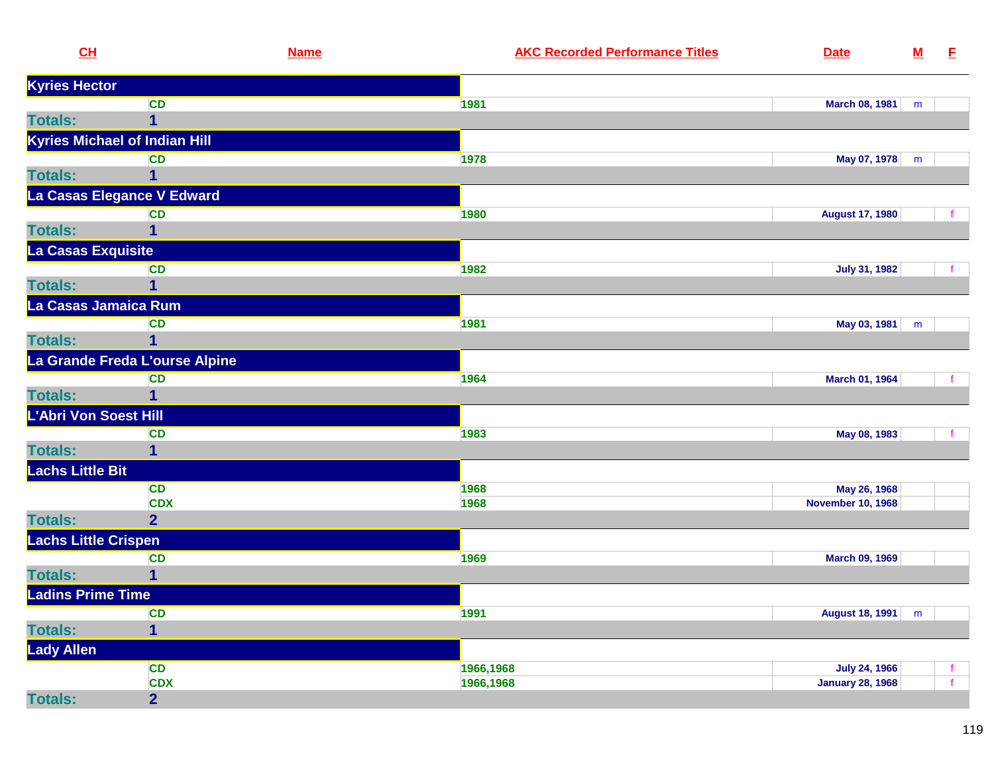| CL                                   |                                | <b>Name</b> | <b>AKC Recorded Performance Titles</b> | <b>Date</b>              | ${\bf M}$ | E. |
|--------------------------------------|--------------------------------|-------------|----------------------------------------|--------------------------|-----------|----|
| <b>Kyries Hector</b>                 |                                |             |                                        |                          |           |    |
|                                      | <b>CD</b>                      |             | 1981                                   | March 08, 1981           | m         |    |
| <b>Totals:</b>                       | $\mathbf{1}$                   |             |                                        |                          |           |    |
| <b>Kyries Michael of Indian Hill</b> |                                |             |                                        |                          |           |    |
|                                      | <b>CD</b>                      |             | 1978                                   | May 07, 1978             | m         |    |
| <b>Totals:</b>                       | 1                              |             |                                        |                          |           |    |
|                                      | La Casas Elegance V Edward     |             |                                        |                          |           |    |
|                                      | <b>CD</b>                      |             | 1980                                   | <b>August 17, 1980</b>   |           |    |
| <b>Totals:</b>                       | 1                              |             |                                        |                          |           |    |
| La Casas Exquisite                   |                                |             |                                        |                          |           |    |
|                                      | <b>CD</b>                      |             | 1982                                   | <b>July 31, 1982</b>     |           |    |
| <b>Totals:</b>                       | 1                              |             |                                        |                          |           |    |
| La Casas Jamaica Rum                 |                                |             |                                        |                          |           |    |
|                                      | <b>CD</b>                      |             | 1981                                   | May 03, 1981             | m         |    |
| <b>Totals:</b>                       |                                |             |                                        |                          |           |    |
|                                      | La Grande Freda L'ourse Alpine |             |                                        |                          |           |    |
|                                      | <b>CD</b>                      |             | 1964                                   | March 01, 1964           |           |    |
| <b>Totals:</b>                       | 1                              |             |                                        |                          |           |    |
| L'Abri Von Soest Hill                |                                |             |                                        |                          |           |    |
|                                      | <b>CD</b>                      |             | 1983                                   | May 08, 1983             |           |    |
| <b>Totals:</b>                       | 1                              |             |                                        |                          |           |    |
| <b>Lachs Little Bit</b>              |                                |             |                                        |                          |           |    |
|                                      | <b>CD</b>                      |             | 1968                                   | May 26, 1968             |           |    |
|                                      | <b>CDX</b>                     |             | 1968                                   | <b>November 10, 1968</b> |           |    |
| <b>Totals:</b>                       | 2 <sup>1</sup>                 |             |                                        |                          |           |    |
| <b>Lachs Little Crispen</b>          |                                |             |                                        |                          |           |    |
|                                      | <b>CD</b>                      |             | 1969                                   | March 09, 1969           |           |    |
| <b>Totals:</b>                       | 1                              |             |                                        |                          |           |    |
| <b>Ladins Prime Time</b>             |                                |             |                                        |                          |           |    |
|                                      | <b>CD</b>                      |             | 1991                                   | <b>August 18, 1991</b>   | m         |    |
| <b>Totals:</b>                       | $\overline{1}$                 |             |                                        |                          |           |    |
| <b>Lady Allen</b>                    |                                |             |                                        |                          |           |    |
|                                      | <b>CD</b>                      |             | 1966,1968                              | <b>July 24, 1966</b>     |           |    |
|                                      | <b>CDX</b>                     |             | 1966,1968                              | <b>January 28, 1968</b>  |           |    |
| <b>Totals:</b>                       | $\overline{2}$                 |             |                                        |                          |           |    |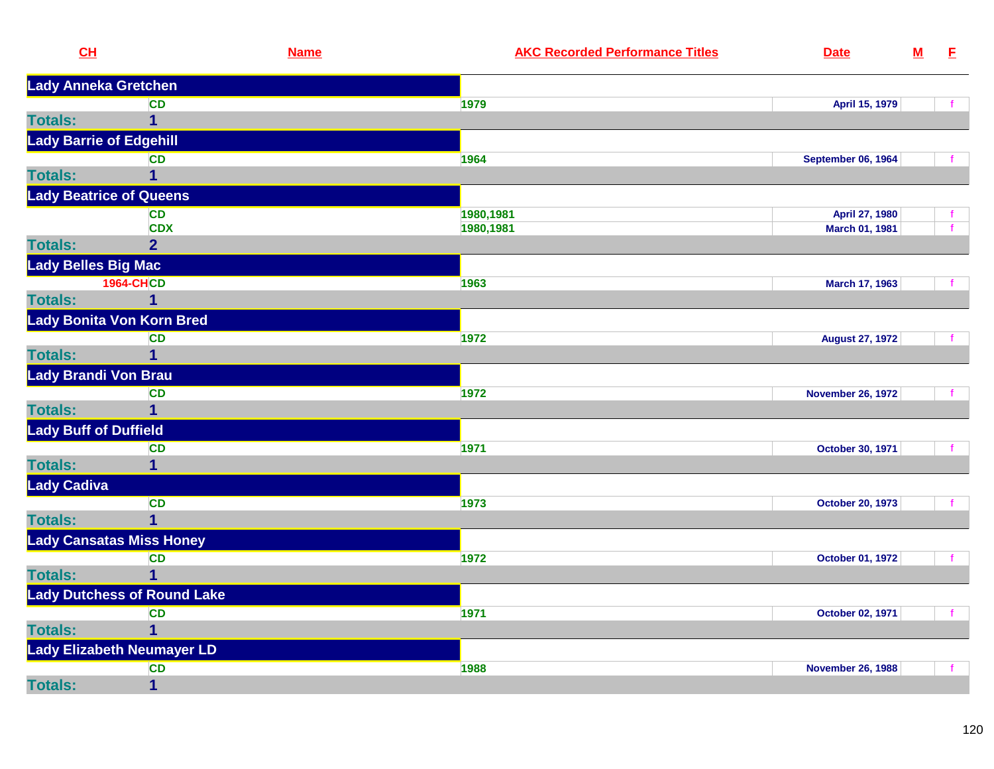| CL                              |                                    | <b>Name</b> | <b>AKC Recorded Performance Titles</b> | <b>Date</b>               | ${\bf M}$ | E            |
|---------------------------------|------------------------------------|-------------|----------------------------------------|---------------------------|-----------|--------------|
| Lady Anneka Gretchen            |                                    |             |                                        |                           |           |              |
|                                 | <b>CD</b>                          |             | 1979                                   | April 15, 1979            |           |              |
| <b>Totals:</b>                  | 1                                  |             |                                        |                           |           |              |
| <b>Lady Barrie of Edgehill</b>  |                                    |             |                                        |                           |           |              |
|                                 | <b>CD</b>                          |             | 1964                                   | <b>September 06, 1964</b> |           |              |
| <b>Totals:</b>                  | 1                                  |             |                                        |                           |           |              |
| <b>Lady Beatrice of Queens</b>  |                                    |             |                                        |                           |           |              |
|                                 | <b>CD</b>                          |             | 1980,1981                              | April 27, 1980            |           |              |
|                                 | <b>CDX</b>                         |             | 1980,1981                              | March 01, 1981            |           | $\mathbf{f}$ |
| <b>Totals:</b>                  | $\overline{2}$                     |             |                                        |                           |           |              |
| Lady Belles Big Mac             |                                    |             |                                        |                           |           |              |
|                                 | <b>1964-CHCD</b>                   |             | 1963                                   | March 17, 1963            |           |              |
| <b>Totals:</b>                  | 1                                  |             |                                        |                           |           |              |
|                                 | Lady Bonita Von Korn Bred          |             |                                        |                           |           |              |
|                                 | <b>CD</b>                          |             | 1972                                   | <b>August 27, 1972</b>    |           |              |
| <b>Totals:</b>                  | $\overline{1}$                     |             |                                        |                           |           |              |
| <b>Lady Brandi Von Brau</b>     |                                    |             |                                        |                           |           |              |
|                                 | CD                                 |             | 1972                                   | <b>November 26, 1972</b>  |           |              |
| <b>Totals:</b>                  | 1                                  |             |                                        |                           |           |              |
| <b>Lady Buff of Duffield</b>    |                                    |             |                                        |                           |           |              |
|                                 | <b>CD</b>                          |             | 1971                                   | October 30, 1971          |           |              |
| <b>Totals:</b>                  | $\mathbf 1$                        |             |                                        |                           |           |              |
| Lady Cadiva                     |                                    |             |                                        |                           |           |              |
|                                 | <b>CD</b>                          |             | 1973                                   | <b>October 20, 1973</b>   |           |              |
| <b>Totals:</b>                  | 1                                  |             |                                        |                           |           |              |
| <b>Lady Cansatas Miss Honey</b> |                                    |             |                                        |                           |           |              |
|                                 | <b>CD</b>                          |             | 1972                                   | October 01, 1972          |           | f            |
| <b>Totals:</b>                  | $\overline{1}$                     |             |                                        |                           |           |              |
|                                 | <b>Lady Dutchess of Round Lake</b> |             |                                        |                           |           |              |
|                                 | <b>CD</b>                          |             | 1971                                   | October 02, 1971          |           |              |
| <b>Totals:</b>                  | 1                                  |             |                                        |                           |           |              |
|                                 | Lady Elizabeth Neumayer LD         |             |                                        |                           |           |              |
|                                 | <b>CD</b>                          |             | 1988                                   | <b>November 26, 1988</b>  |           |              |
| <b>Totals:</b>                  | 1                                  |             |                                        |                           |           |              |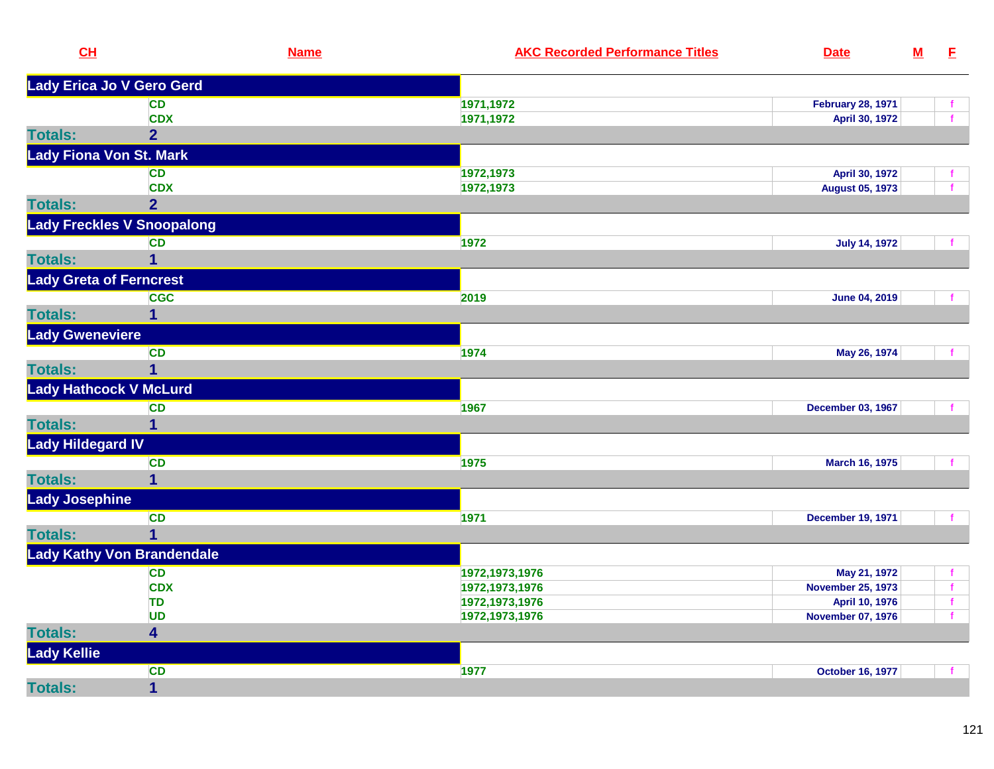| CL                             | <b>Name</b>                       | <b>AKC Recorded Performance Titles</b> | <b>Date</b>              | $\underline{\mathbf{M}}$ | E            |
|--------------------------------|-----------------------------------|----------------------------------------|--------------------------|--------------------------|--------------|
|                                | Lady Erica Jo V Gero Gerd         |                                        |                          |                          |              |
|                                | <b>CD</b>                         | 1971, 1972                             | <b>February 28, 1971</b> |                          |              |
|                                | <b>CDX</b>                        | 1971,1972                              | April 30, 1972           |                          |              |
| <b>Totals:</b>                 | $\overline{2}$                    |                                        |                          |                          |              |
| <b>Lady Fiona Von St. Mark</b> |                                   |                                        |                          |                          |              |
|                                | <b>CD</b>                         | 1972,1973                              | April 30, 1972           |                          |              |
|                                | <b>CDX</b>                        | 1972,1973                              | <b>August 05, 1973</b>   |                          | $\mathbf{f}$ |
| <b>Totals:</b>                 | 2 <sup>1</sup>                    |                                        |                          |                          |              |
|                                | <b>Lady Freckles V Snoopalong</b> |                                        |                          |                          |              |
|                                | <b>CD</b>                         | 1972                                   | <b>July 14, 1972</b>     |                          |              |
| <b>Totals:</b>                 | $\overline{1}$                    |                                        |                          |                          |              |
| <b>Lady Greta of Ferncrest</b> |                                   |                                        |                          |                          |              |
|                                | <b>CGC</b>                        | 2019                                   | <b>June 04, 2019</b>     |                          |              |
| <b>Totals:</b>                 | $\mathbf 1$                       |                                        |                          |                          |              |
| <b>Lady Gweneviere</b>         |                                   |                                        |                          |                          |              |
|                                | <b>CD</b>                         | 1974                                   | May 26, 1974             |                          |              |
| <b>Totals:</b>                 | $\overline{1}$                    |                                        |                          |                          |              |
| <b>Lady Hathcock V McLurd</b>  |                                   |                                        |                          |                          |              |
|                                | <b>CD</b>                         | 1967                                   | <b>December 03, 1967</b> |                          |              |
| <b>Totals:</b>                 | $\overline{1}$                    |                                        |                          |                          |              |
| <b>Lady Hildegard IV</b>       |                                   |                                        |                          |                          |              |
|                                | <b>CD</b>                         | 1975                                   | March 16, 1975           |                          |              |
| <b>Totals:</b>                 | $\mathbf{1}$                      |                                        |                          |                          |              |
| <b>Lady Josephine</b>          |                                   |                                        |                          |                          |              |
|                                | <b>CD</b>                         | 1971                                   | <b>December 19, 1971</b> |                          |              |
| <b>Totals:</b>                 | $\overline{1}$                    |                                        |                          |                          |              |
|                                | <b>Lady Kathy Von Brandendale</b> |                                        |                          |                          |              |
|                                | <b>CD</b>                         | 1972, 1973, 1976                       | May 21, 1972             |                          | f            |
|                                | <b>CDX</b>                        | 1972, 1973, 1976                       | <b>November 25, 1973</b> |                          |              |
|                                | <b>TD</b>                         | 1972, 1973, 1976                       | April 10, 1976           |                          | $\mathbf f$  |
|                                | <b>UD</b>                         | 1972, 1973, 1976                       | <b>November 07, 1976</b> |                          | $\mathbf f$  |
| <b>Totals:</b>                 | 4                                 |                                        |                          |                          |              |
| <b>Lady Kellie</b>             |                                   |                                        |                          |                          |              |
|                                | <b>CD</b>                         | 1977                                   | <b>October 16, 1977</b>  |                          |              |
| <b>Totals:</b>                 | $\overline{1}$                    |                                        |                          |                          |              |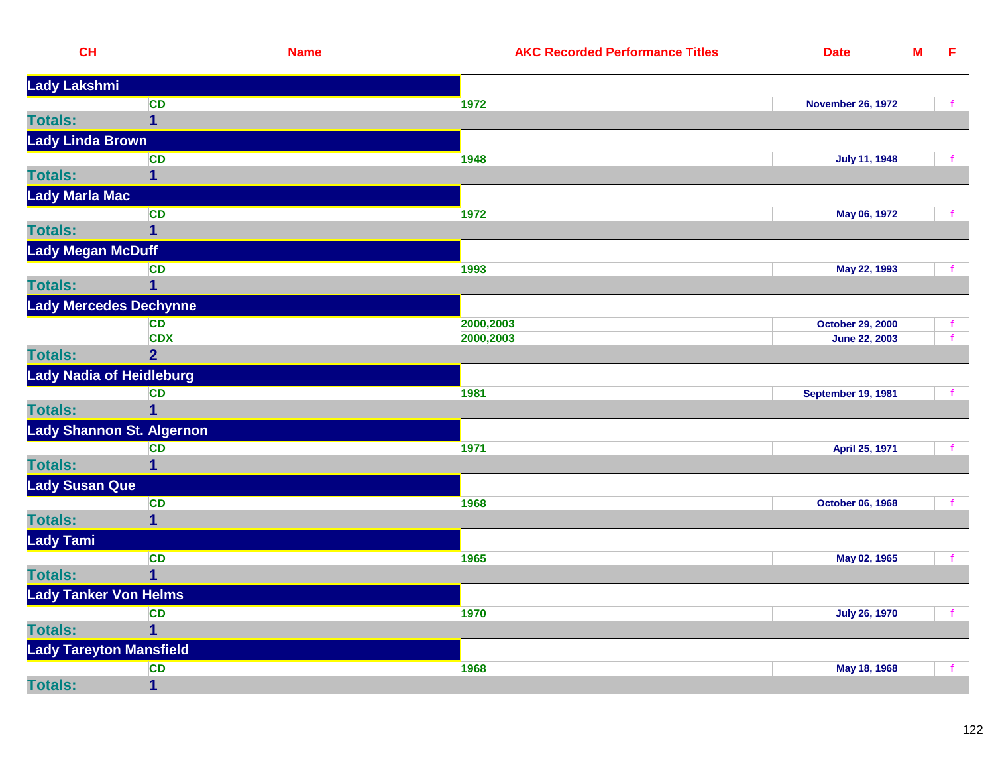| CL                               | <b>Name</b>             | <b>AKC Recorded Performance Titles</b><br><b>Date</b> |                      | <u>M</u> | E            |
|----------------------------------|-------------------------|-------------------------------------------------------|----------------------|----------|--------------|
| Lady Lakshmi                     |                         |                                                       |                      |          |              |
|                                  | <b>CD</b>               | 1972<br><b>November 26, 1972</b>                      |                      |          | f            |
| <b>Totals:</b>                   | $\overline{1}$          |                                                       |                      |          |              |
| <b>Lady Linda Brown</b>          |                         |                                                       |                      |          |              |
|                                  | <b>CD</b>               | 1948                                                  | <b>July 11, 1948</b> |          | f.           |
| <b>Totals:</b>                   | $\mathbf 1$             |                                                       |                      |          |              |
| <b>Lady Marla Mac</b>            |                         |                                                       |                      |          |              |
|                                  | <b>CD</b>               | 1972                                                  | May 06, 1972         |          |              |
| <b>Totals:</b>                   | $\overline{1}$          |                                                       |                      |          |              |
| <b>Lady Megan McDuff</b>         |                         |                                                       |                      |          |              |
|                                  | <b>CD</b>               | 1993                                                  | May 22, 1993         |          | $\mathbf{f}$ |
| <b>Totals:</b>                   | $\overline{1}$          |                                                       |                      |          |              |
| <b>Lady Mercedes Dechynne</b>    |                         |                                                       |                      |          |              |
|                                  | <b>CD</b>               | 2000,2003<br><b>October 29, 2000</b>                  |                      |          | f.           |
|                                  | <b>CDX</b>              | 2000,2003                                             | <b>June 22, 2003</b> |          | f            |
| <b>Totals:</b>                   | $\overline{2}$          |                                                       |                      |          |              |
| <b>Lady Nadia of Heidleburg</b>  |                         |                                                       |                      |          |              |
|                                  | <b>CD</b>               | 1981<br><b>September 19, 1981</b>                     |                      |          |              |
| <b>Totals:</b>                   | $\overline{1}$          |                                                       |                      |          |              |
| <b>Lady Shannon St. Algernon</b> |                         |                                                       |                      |          |              |
|                                  | <b>CD</b>               | 1971                                                  | April 25, 1971       |          | $\mathbf{f}$ |
| <b>Totals:</b>                   | $\mathbf{1}$            |                                                       |                      |          |              |
| Lady Susan Que                   |                         |                                                       |                      |          |              |
|                                  | <b>CD</b>               | 1968<br><b>October 06, 1968</b>                       |                      |          | f            |
| <b>Totals:</b>                   | $\overline{1}$          |                                                       |                      |          |              |
| <b>Lady Tami</b>                 |                         |                                                       |                      |          |              |
|                                  | <b>CD</b>               | 1965                                                  | May 02, 1965         |          | f.           |
| <b>Totals:</b>                   | $\overline{\mathbf{1}}$ |                                                       |                      |          |              |
| <b>Lady Tanker Von Helms</b>     |                         |                                                       |                      |          |              |
|                                  | <b>CD</b>               | 1970                                                  | <b>July 26, 1970</b> |          | f            |
| <b>Totals:</b>                   | $\mathbf{1}$            |                                                       |                      |          |              |
| <b>Lady Tareyton Mansfield</b>   |                         |                                                       |                      |          |              |
|                                  | <b>CD</b>               | 1968                                                  | May 18, 1968         |          | $\mathbf{f}$ |
| <b>Totals:</b>                   | $\mathbf{1}$            |                                                       |                      |          |              |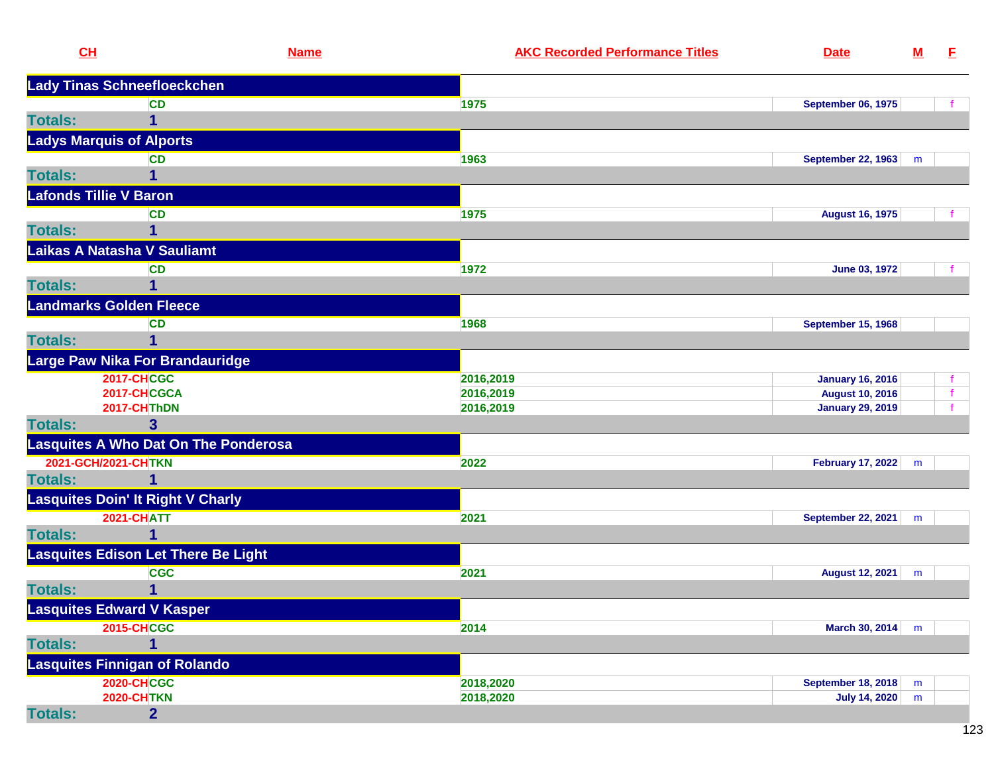| CH             |                                             | <b>Name</b> | <b>AKC Recorded Performance Titles</b> | <b>Date</b>               | $\underline{\mathsf{M}}$ | E |
|----------------|---------------------------------------------|-------------|----------------------------------------|---------------------------|--------------------------|---|
|                | Lady Tinas Schneefloeckchen                 |             |                                        |                           |                          |   |
|                | <b>CD</b>                                   |             | 1975                                   | <b>September 06, 1975</b> |                          |   |
| <b>Totals:</b> | 1                                           |             |                                        |                           |                          |   |
|                | <b>Ladys Marquis of Alports</b>             |             |                                        |                           |                          |   |
|                | <b>CD</b>                                   |             | 1963                                   | <b>September 22, 1963</b> | m                        |   |
| <b>Totals:</b> |                                             |             |                                        |                           |                          |   |
|                | <b>Lafonds Tillie V Baron</b>               |             |                                        |                           |                          |   |
|                | <b>CD</b>                                   |             | 1975                                   | <b>August 16, 1975</b>    |                          |   |
| <b>Totals:</b> | 1                                           |             |                                        |                           |                          |   |
|                | Laikas A Natasha V Sauliamt                 |             |                                        |                           |                          |   |
|                | <b>CD</b>                                   |             | 1972                                   | <b>June 03, 1972</b>      |                          |   |
| <b>Totals:</b> | 1                                           |             |                                        |                           |                          |   |
|                | <b>Landmarks Golden Fleece</b>              |             |                                        |                           |                          |   |
|                | <b>CD</b>                                   |             | 1968                                   | <b>September 15, 1968</b> |                          |   |
| <b>Totals:</b> | 1                                           |             |                                        |                           |                          |   |
|                | Large Paw Nika For Brandauridge             |             |                                        |                           |                          |   |
|                | <b>2017-CHCGC</b>                           |             | 2016,2019                              | <b>January 16, 2016</b>   |                          |   |
|                | 2017-CHCGCA                                 |             | 2016,2019                              | <b>August 10, 2016</b>    |                          |   |
|                | 2017-CHThDN                                 |             | 2016,2019                              | <b>January 29, 2019</b>   |                          |   |
| <b>Totals:</b> | 3                                           |             |                                        |                           |                          |   |
|                | <b>Lasquites A Who Dat On The Ponderosa</b> |             |                                        |                           |                          |   |
|                | 2021-GCH/2021-CHTKN                         |             | 2022                                   | <b>February 17, 2022</b>  | m                        |   |
| <b>Totals:</b> | 1                                           |             |                                        |                           |                          |   |
|                | <b>Lasquites Doin' It Right V Charly</b>    |             |                                        |                           |                          |   |
|                | <b>2021-CHATT</b>                           |             | 2021                                   | <b>September 22, 2021</b> | m                        |   |
| <b>Totals:</b> | 1                                           |             |                                        |                           |                          |   |
|                | Lasquites Edison Let There Be Light         |             |                                        |                           |                          |   |
|                | <b>CGC</b>                                  |             | 2021                                   | <b>August 12, 2021</b>    | m                        |   |
| <b>Totals:</b> | 1                                           |             |                                        |                           |                          |   |
|                | <b>Lasquites Edward V Kasper</b>            |             |                                        |                           |                          |   |
|                | <b>2015-CHCGC</b>                           |             | 2014                                   | March 30, 2014            | m                        |   |
| <b>Totals:</b> | 1                                           |             |                                        |                           |                          |   |
|                | <b>Lasquites Finnigan of Rolando</b>        |             |                                        |                           |                          |   |
|                | <b>2020-CHCGC</b>                           |             | 2018,2020                              | <b>September 18, 2018</b> | m                        |   |
|                | <b>2020-CHTKN</b>                           |             | 2018,2020                              | <b>July 14, 2020</b>      | m                        |   |
| <b>Totals:</b> | $\overline{2}$                              |             |                                        |                           |                          |   |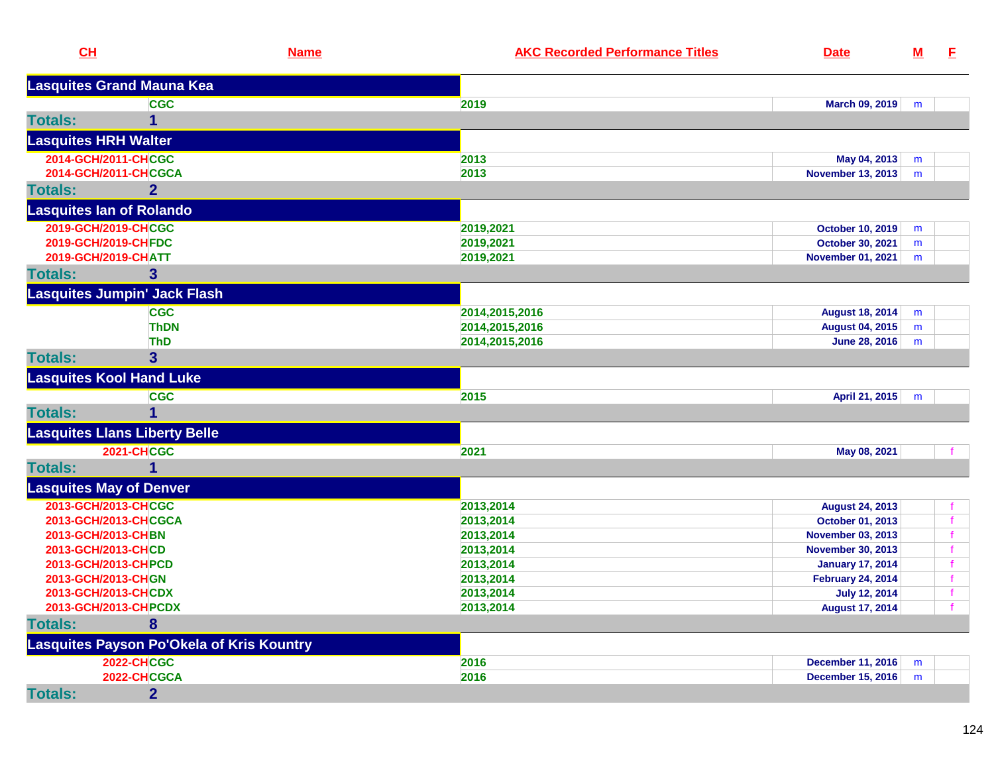| CL                              |                                           | <b>Name</b> | <b>AKC Recorded Performance Titles</b> | <b>Date</b>              | <u>M</u> | E            |
|---------------------------------|-------------------------------------------|-------------|----------------------------------------|--------------------------|----------|--------------|
|                                 | <b>Lasquites Grand Mauna Kea</b>          |             |                                        |                          |          |              |
|                                 | <b>CGC</b>                                |             | 2019                                   | March 09, 2019           | m        |              |
| <b>Totals:</b>                  |                                           |             |                                        |                          |          |              |
| <b>Lasquites HRH Walter</b>     |                                           |             |                                        |                          |          |              |
| 2014-GCH/2011-CHCGC             |                                           |             | 2013                                   | May 04, 2013             | m        |              |
| 2014-GCH/2011-CHCGCA            |                                           |             | 2013                                   | November 13, 2013        | m        |              |
| <b>Totals:</b>                  | $\mathbf{2}$                              |             |                                        |                          |          |              |
| <b>Lasquites lan of Rolando</b> |                                           |             |                                        |                          |          |              |
| 2019-GCH/2019-CHCGC             |                                           |             | 2019,2021                              | <b>October 10, 2019</b>  | m        |              |
| 2019-GCH/2019-CHFDC             |                                           |             | 2019,2021                              | October 30, 2021         | m        |              |
| 2019-GCH/2019-CHATT             |                                           |             | 2019,2021                              | <b>November 01, 2021</b> | m        |              |
| <b>Totals:</b>                  | $\mathbf{3}$                              |             |                                        |                          |          |              |
|                                 | <b>Lasquites Jumpin' Jack Flash</b>       |             |                                        |                          |          |              |
|                                 | <b>CGC</b>                                |             | 2014,2015,2016                         | <b>August 18, 2014</b>   | m        |              |
|                                 | <b>ThDN</b>                               |             | 2014,2015,2016                         | <b>August 04, 2015</b>   | m        |              |
|                                 | <b>ThD</b>                                |             | 2014, 2015, 2016                       | <b>June 28, 2016</b>     | m        |              |
| <b>Totals:</b>                  | 3 <sup>5</sup>                            |             |                                        |                          |          |              |
|                                 | <b>Lasquites Kool Hand Luke</b>           |             |                                        |                          |          |              |
|                                 | <b>CGC</b>                                |             | 2015                                   | April 21, 2015           | m        |              |
| <b>Totals:</b>                  |                                           |             |                                        |                          |          |              |
|                                 | <b>Lasquites Llans Liberty Belle</b>      |             |                                        |                          |          |              |
|                                 | <b>2021-CHCGC</b>                         |             | 2021                                   | May 08, 2021             |          |              |
| <b>Totals:</b>                  |                                           |             |                                        |                          |          |              |
| <b>Lasquites May of Denver</b>  |                                           |             |                                        |                          |          |              |
| 2013-GCH/2013-CHCGC             |                                           |             | 2013,2014                              | <b>August 24, 2013</b>   |          |              |
| 2013-GCH/2013-CHCGCA            |                                           |             | 2013,2014                              | October 01, 2013         |          | f            |
| 2013-GCH/2013-CHBN              |                                           |             | 2013,2014                              | <b>November 03, 2013</b> |          | f.           |
| 2013-GCH/2013-CHCD              |                                           |             | 2013,2014                              | <b>November 30, 2013</b> |          |              |
| 2013-GCH/2013-CHPCD             |                                           |             | 2013,2014                              | <b>January 17, 2014</b>  |          |              |
| 2013-GCH/2013-CHGN              |                                           |             | 2013,2014                              | <b>February 24, 2014</b> |          |              |
| 2013-GCH/2013-CHCDX             |                                           |             | 2013,2014                              | <b>July 12, 2014</b>     |          | $\mathbf{f}$ |
| 2013-GCH/2013-CH PCDX           |                                           |             | 2013,2014                              | <b>August 17, 2014</b>   |          | $\mathbf{f}$ |
| <b>Totals:</b>                  | 8                                         |             |                                        |                          |          |              |
|                                 | Lasquites Payson Po'Okela of Kris Kountry |             |                                        |                          |          |              |
|                                 | <b>2022-CHCGC</b>                         |             | 2016                                   | December 11, 2016        | m        |              |
|                                 | 2022-CHCGCA                               |             | 2016                                   | December 15, 2016        | m        |              |
| <b>Totals:</b>                  | $\overline{2}$                            |             |                                        |                          |          |              |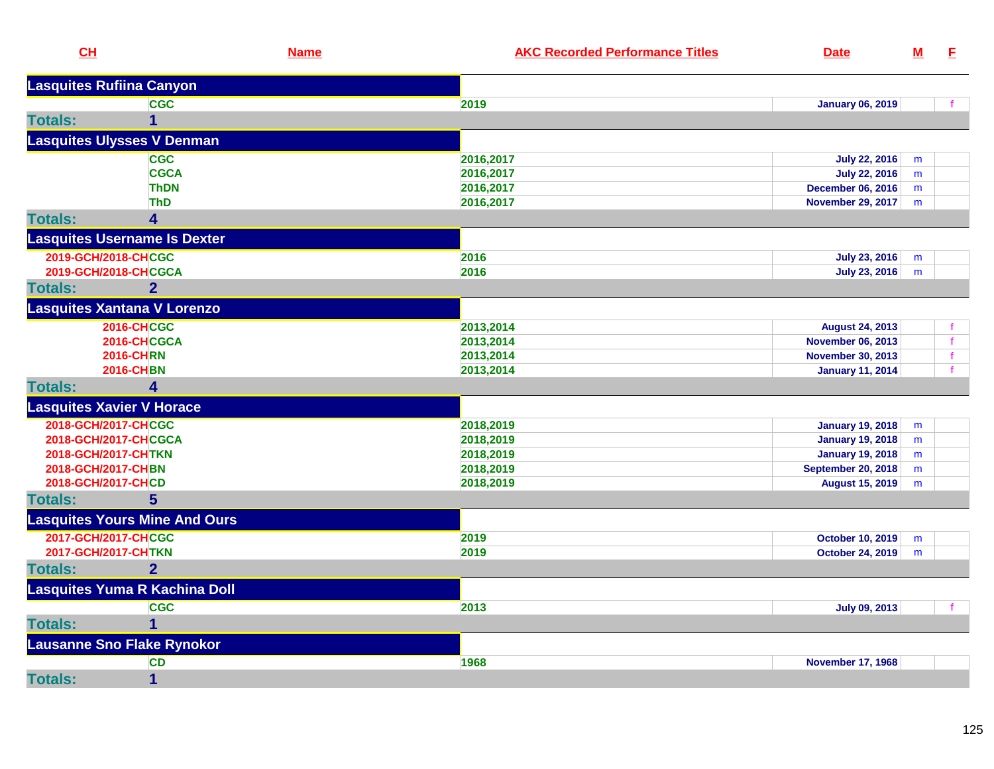| CH                              |                                      | <b>Name</b> | <b>AKC Recorded Performance Titles</b> | <b>Date</b>               | $M$ | E            |
|---------------------------------|--------------------------------------|-------------|----------------------------------------|---------------------------|-----|--------------|
| <b>Lasquites Rufiina Canyon</b> |                                      |             |                                        |                           |     |              |
|                                 | <b>CGC</b>                           |             | 2019                                   | <b>January 06, 2019</b>   |     |              |
| <b>Totals:</b>                  | 1                                    |             |                                        |                           |     |              |
|                                 | <b>Lasquites Ulysses V Denman</b>    |             |                                        |                           |     |              |
|                                 | <b>CGC</b>                           |             | 2016,2017                              | <b>July 22, 2016</b>      | m   |              |
|                                 | <b>CGCA</b>                          |             | 2016,2017                              | <b>July 22, 2016</b>      | m   |              |
|                                 | <b>ThDN</b>                          |             | 2016,2017                              | <b>December 06, 2016</b>  | m   |              |
|                                 | <b>ThD</b>                           |             | 2016,2017                              | <b>November 29, 2017</b>  | m   |              |
| <b>Totals:</b>                  | 4                                    |             |                                        |                           |     |              |
|                                 | <b>Lasquites Username Is Dexter</b>  |             |                                        |                           |     |              |
| 2019-GCH/2018-CHCGC             |                                      |             | 2016                                   | <b>July 23, 2016</b>      | m   |              |
|                                 | 2019-GCH/2018-CHCGCA                 |             | 2016                                   | July 23, 2016             | m   |              |
| <b>Totals:</b>                  | $\overline{2}$                       |             |                                        |                           |     |              |
|                                 | <b>Lasquites Xantana V Lorenzo</b>   |             |                                        |                           |     |              |
|                                 | <b>2016-CHCGC</b>                    |             | 2013,2014                              | <b>August 24, 2013</b>    |     |              |
|                                 | 2016-CHCGCA                          |             | 2013,2014                              | <b>November 06, 2013</b>  |     | $\mathbf{f}$ |
|                                 | <b>2016-CHRN</b>                     |             | 2013,2014                              | <b>November 30, 2013</b>  |     |              |
|                                 | <b>2016-CHBN</b>                     |             | 2013,2014                              | <b>January 11, 2014</b>   |     |              |
| <b>Totals:</b>                  | 4                                    |             |                                        |                           |     |              |
|                                 | <b>Lasquites Xavier V Horace</b>     |             |                                        |                           |     |              |
| 2018-GCH/2017-CHCGC             |                                      |             | 2018,2019                              | <b>January 19, 2018</b>   | m   |              |
|                                 | 2018-GCH/2017-CHCGCA                 |             | 2018,2019                              | <b>January 19, 2018</b>   | m   |              |
| 2018-GCH/2017-CHTKN             |                                      |             | 2018,2019                              | <b>January 19, 2018</b>   | m   |              |
| 2018-GCH/2017-CHBN              |                                      |             | 2018,2019                              | <b>September 20, 2018</b> | m   |              |
| 2018-GCH/2017-CHCD              |                                      |             | 2018,2019                              | <b>August 15, 2019</b>    | m   |              |
| <b>Totals:</b>                  | 5 <sup>5</sup>                       |             |                                        |                           |     |              |
|                                 | <b>Lasquites Yours Mine And Ours</b> |             |                                        |                           |     |              |
| 2017-GCH/2017-CHCGC             |                                      |             | 2019                                   | <b>October 10, 2019</b>   | m   |              |
| 2017-GCH/2017-CHTKN             |                                      |             | 2019                                   | October 24, 2019          | m   |              |
| <b>Totals:</b>                  | $\overline{2}$                       |             |                                        |                           |     |              |
|                                 | <b>Lasquites Yuma R Kachina Doll</b> |             |                                        |                           |     |              |
|                                 | <b>CGC</b>                           |             | 2013                                   | <b>July 09, 2013</b>      |     |              |
| <b>Totals:</b>                  | $\overline{1}$                       |             |                                        |                           |     |              |
|                                 | <b>Lausanne Sno Flake Rynokor</b>    |             |                                        |                           |     |              |
|                                 | <b>CD</b>                            |             | 1968                                   | <b>November 17, 1968</b>  |     |              |
| <b>Totals:</b>                  | $\mathbf{1}$                         |             |                                        |                           |     |              |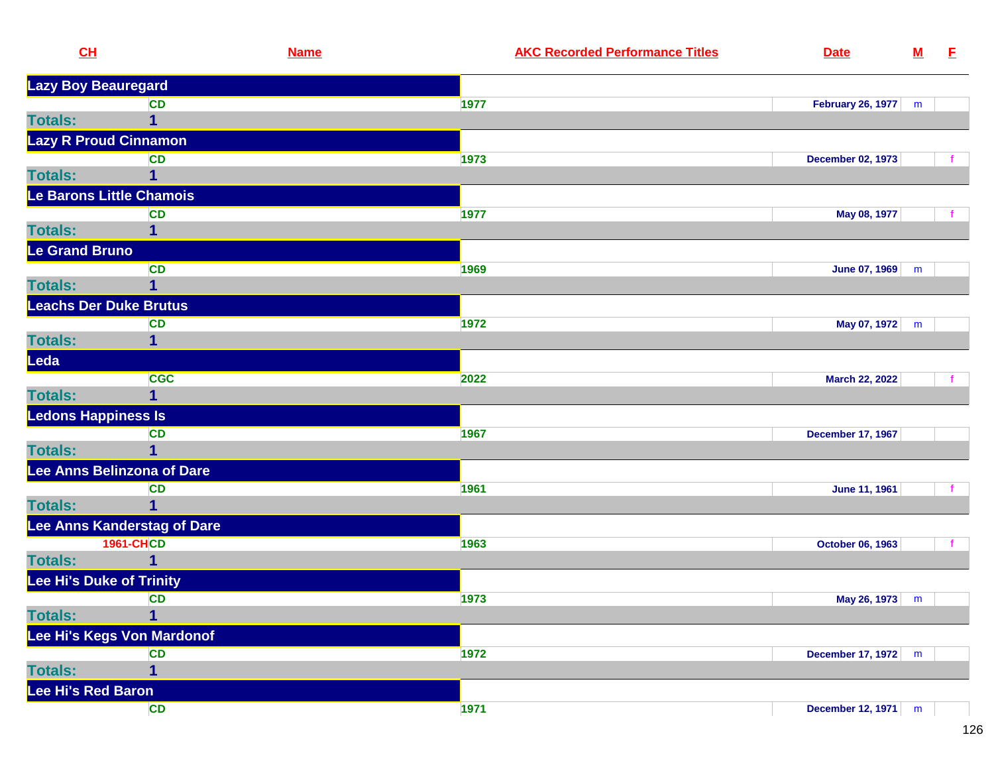| CL                         | <b>Name</b>                   |      | <b>AKC Recorded Performance Titles</b> | <b>Date</b>              | <u>M</u> | E. |
|----------------------------|-------------------------------|------|----------------------------------------|--------------------------|----------|----|
| <b>Lazy Boy Beauregard</b> |                               |      |                                        |                          |          |    |
|                            | <b>CD</b>                     | 1977 |                                        | <b>February 26, 1977</b> | m        |    |
| <b>Totals:</b>             | 1                             |      |                                        |                          |          |    |
|                            | <b>Lazy R Proud Cinnamon</b>  |      |                                        |                          |          |    |
|                            | <b>CD</b>                     | 1973 |                                        | <b>December 02, 1973</b> |          |    |
| <b>Totals:</b>             |                               |      |                                        |                          |          |    |
|                            | Le Barons Little Chamois      |      |                                        |                          |          |    |
|                            | CD                            | 1977 |                                        | May 08, 1977             |          |    |
| <b>Totals:</b>             |                               |      |                                        |                          |          |    |
| Le Grand Bruno             |                               |      |                                        |                          |          |    |
|                            | <b>CD</b>                     | 1969 |                                        | June 07, 1969            | m        |    |
| <b>Totals:</b>             |                               |      |                                        |                          |          |    |
|                            | <b>Leachs Der Duke Brutus</b> |      |                                        |                          |          |    |
|                            | <b>CD</b>                     | 1972 |                                        | May 07, 1972             | m        |    |
| <b>Totals:</b>             |                               |      |                                        |                          |          |    |
| Leda                       |                               |      |                                        |                          |          |    |
|                            | <b>CGC</b>                    | 2022 |                                        | March 22, 2022           |          |    |
| <b>Totals:</b>             | 1                             |      |                                        |                          |          |    |
| <b>Ledons Happiness Is</b> |                               |      |                                        |                          |          |    |
|                            | <b>CD</b>                     | 1967 |                                        | <b>December 17, 1967</b> |          |    |
| <b>Totals:</b>             |                               |      |                                        |                          |          |    |
|                            | Lee Anns Belinzona of Dare    |      |                                        |                          |          |    |
|                            | <b>CD</b>                     | 1961 |                                        | June 11, 1961            |          |    |
| <b>Totals:</b>             |                               |      |                                        |                          |          |    |
|                            | Lee Anns Kanderstag of Dare   |      |                                        |                          |          |    |
|                            | <b>1961-CHCD</b>              | 1963 |                                        | October 06, 1963         |          |    |
| <b>Totals:</b>             |                               |      |                                        |                          |          |    |
|                            | Lee Hi's Duke of Trinity      |      |                                        |                          |          |    |
|                            | <b>CD</b>                     | 1973 |                                        | May 26, 1973             | m        |    |
| <b>Totals:</b>             | 1                             |      |                                        |                          |          |    |
|                            | Lee Hi's Kegs Von Mardonof    |      |                                        |                          |          |    |
|                            | <b>CD</b>                     | 1972 |                                        | <b>December 17, 1972</b> | m        |    |
| <b>Totals:</b>             | 1                             |      |                                        |                          |          |    |
| Lee Hi's Red Baron         |                               |      |                                        |                          |          |    |
|                            | <b>CD</b>                     | 1971 |                                        | December 12, 1971        | m        |    |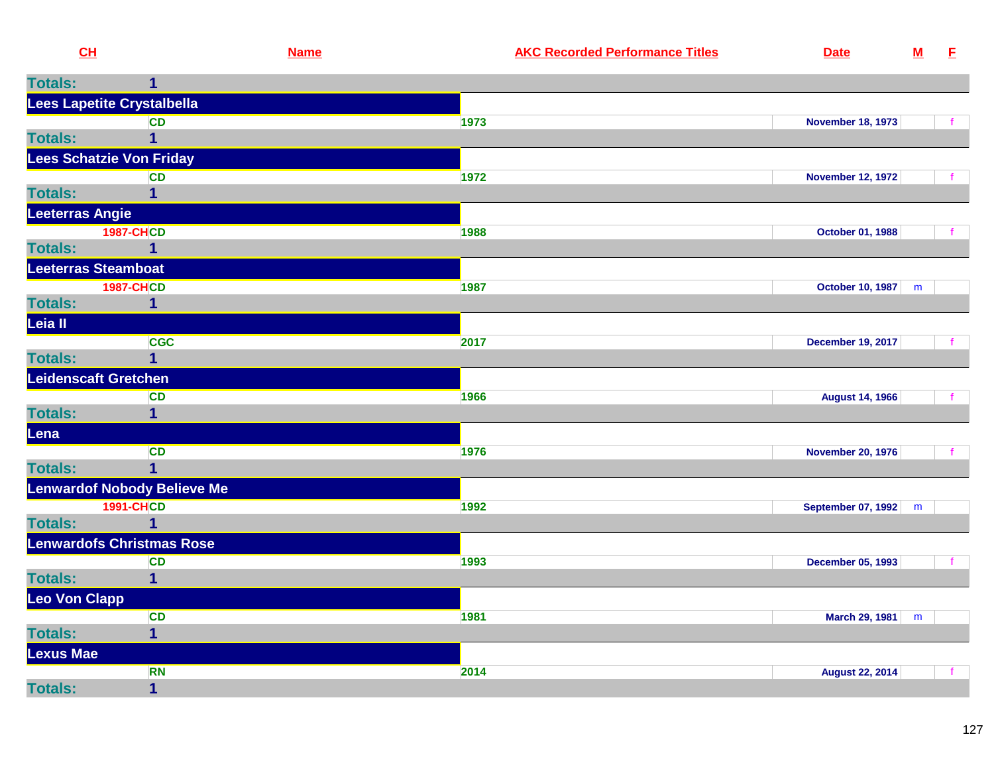| CL                                            | <b>Name</b>      | <b>AKC Recorded Performance Titles</b> | <b>Date</b>               | $\underline{\mathsf{M}}$ | E.  |
|-----------------------------------------------|------------------|----------------------------------------|---------------------------|--------------------------|-----|
| <b>Totals:</b>                                | 1                |                                        |                           |                          |     |
| Lees Lapetite Crystalbella                    |                  |                                        |                           |                          |     |
|                                               | <b>CD</b>        | 1973                                   | <b>November 18, 1973</b>  |                          | −f. |
| <b>Totals:</b>                                | 1                |                                        |                           |                          |     |
| <b>Lees Schatzie Von Friday</b>               |                  |                                        |                           |                          |     |
| <b>Totals:</b>                                | <b>CD</b>        | 1972                                   | <b>November 12, 1972</b>  |                          |     |
| <b>Leeterras Angie</b>                        |                  |                                        |                           |                          |     |
|                                               | <b>1987-CHCD</b> | 1988                                   | October 01, 1988          |                          |     |
| <b>Totals:</b>                                | 1                |                                        |                           |                          |     |
| <b>Leeterras Steamboat</b>                    |                  |                                        |                           |                          |     |
|                                               | <b>1987-CHCD</b> | 1987                                   | October 10, 1987   m      |                          |     |
| <b>Totals:</b>                                | 1                |                                        |                           |                          |     |
| Leia II                                       |                  |                                        |                           |                          |     |
|                                               | <b>CGC</b><br>1  | 2017                                   | <b>December 19, 2017</b>  |                          |     |
| <b>Totals:</b><br><b>Leidenscaft Gretchen</b> |                  |                                        |                           |                          |     |
|                                               | <b>CD</b>        | 1966                                   | <b>August 14, 1966</b>    |                          |     |
| <b>Totals:</b>                                | 1                |                                        |                           |                          |     |
| Lena                                          |                  |                                        |                           |                          |     |
|                                               | <b>CD</b>        | 1976                                   | <b>November 20, 1976</b>  |                          | f   |
| <b>Totals:</b>                                |                  |                                        |                           |                          |     |
| <b>Lenwardof Nobody Believe Me</b>            |                  |                                        |                           |                          |     |
|                                               | <b>1991-CHCD</b> | 1992                                   | <b>September 07, 1992</b> | m                        |     |
| <b>Totals:</b>                                | 1                |                                        |                           |                          |     |
| <b>Lenwardofs Christmas Rose</b>              |                  |                                        |                           |                          |     |
| <b>Totals:</b>                                | <b>CD</b><br>1   | 1993                                   | <b>December 05, 1993</b>  |                          |     |
| Leo Von Clapp                                 |                  |                                        |                           |                          |     |
|                                               | CD               | 1981                                   | <b>March 29, 1981</b>     | m                        |     |
| <b>Totals:</b>                                | $\mathbf{1}$     |                                        |                           |                          |     |
| <b>Lexus Mae</b>                              |                  |                                        |                           |                          |     |
|                                               | <b>RN</b>        | 2014                                   | <b>August 22, 2014</b>    |                          | f   |
| <b>Totals:</b>                                | $\mathbf 1$      |                                        |                           |                          |     |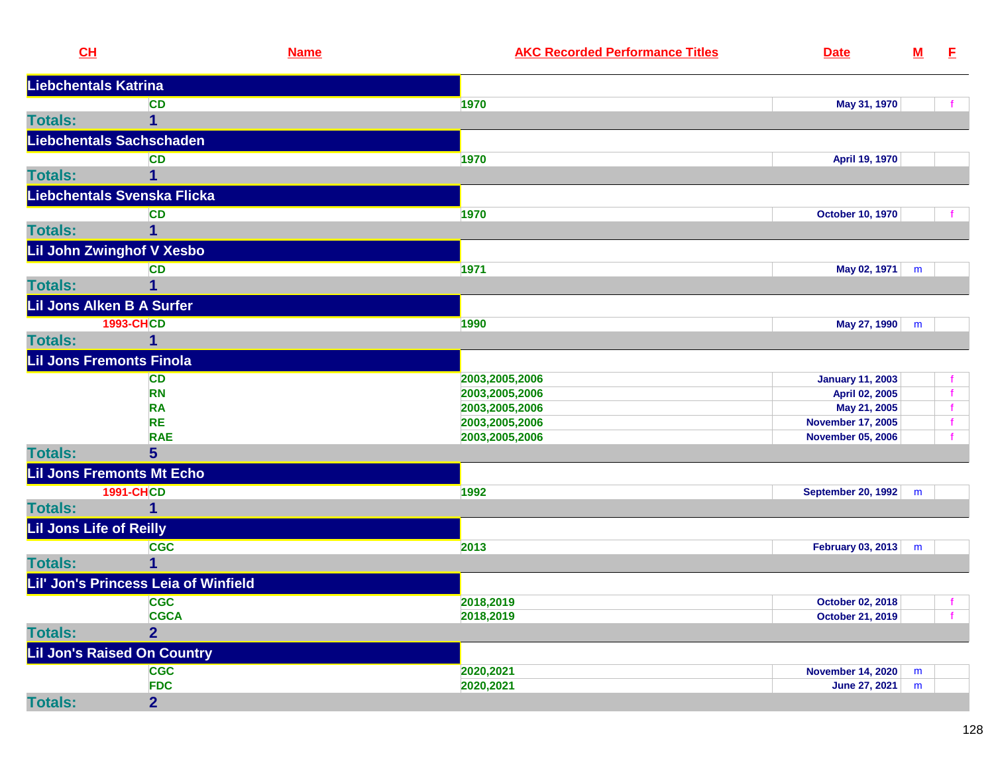| CH                             |                                      | <b>Name</b> | <b>AKC Recorded Performance Titles</b> | <b>Date</b>                               | ${\bf M}$ | E.           |
|--------------------------------|--------------------------------------|-------------|----------------------------------------|-------------------------------------------|-----------|--------------|
| <b>Liebchentals Katrina</b>    |                                      |             |                                        |                                           |           |              |
|                                | <b>CD</b>                            | 1970        |                                        | May 31, 1970                              |           |              |
| <b>Totals:</b>                 | 1                                    |             |                                        |                                           |           |              |
|                                | <b>Liebchentals Sachschaden</b>      |             |                                        |                                           |           |              |
|                                | <b>CD</b>                            | 1970        |                                        | April 19, 1970                            |           |              |
| <b>Totals:</b>                 |                                      |             |                                        |                                           |           |              |
|                                | Liebchentals Svenska Flicka          |             |                                        |                                           |           |              |
|                                | <b>CD</b>                            | 1970        |                                        | <b>October 10, 1970</b>                   |           |              |
| <b>Totals:</b>                 | 1                                    |             |                                        |                                           |           |              |
|                                | Lil John Zwinghof V Xesbo            |             |                                        |                                           |           |              |
|                                | <b>CD</b>                            | 1971        |                                        | May 02, 1971                              | m         |              |
| <b>Totals:</b>                 | 1                                    |             |                                        |                                           |           |              |
|                                | Lil Jons Alken B A Surfer            |             |                                        |                                           |           |              |
|                                | <b>1993-CHCD</b>                     | 1990        |                                        | May 27, 1990                              |           |              |
| <b>Totals:</b>                 | 1                                    |             |                                        |                                           | m         |              |
|                                | <b>Lil Jons Fremonts Finola</b>      |             |                                        |                                           |           |              |
|                                | <b>CD</b>                            |             | 2003,2005,2006                         |                                           |           |              |
|                                | <b>RN</b>                            |             | 2003,2005,2006                         | <b>January 11, 2003</b><br>April 02, 2005 |           |              |
|                                | <b>RA</b>                            |             | 2003,2005,2006                         | May 21, 2005                              |           |              |
|                                | <b>RE</b>                            |             | 2003,2005,2006                         | <b>November 17, 2005</b>                  |           |              |
|                                | <b>RAE</b>                           |             | 2003,2005,2006                         | <b>November 05, 2006</b>                  |           |              |
| <b>Totals:</b>                 | 5 <sup>5</sup>                       |             |                                        |                                           |           |              |
|                                | <b>Lil Jons Fremonts Mt Echo</b>     |             |                                        |                                           |           |              |
|                                | <b>1991-CHCD</b>                     | 1992        |                                        | <b>September 20, 1992</b>                 | m         |              |
| <b>Totals:</b>                 | 1                                    |             |                                        |                                           |           |              |
| <b>Lil Jons Life of Reilly</b> |                                      |             |                                        |                                           |           |              |
|                                | <b>CGC</b>                           | 2013        |                                        | February 03, 2013 m                       |           |              |
| <b>Totals:</b>                 |                                      |             |                                        |                                           |           |              |
|                                | Lil' Jon's Princess Leia of Winfield |             |                                        |                                           |           |              |
|                                | <b>CGC</b>                           |             | 2018,2019                              | October 02, 2018                          |           | $\mathbf{f}$ |
|                                | <b>CGCA</b>                          |             | 2018,2019                              | <b>October 21, 2019</b>                   |           |              |
| <b>Totals:</b>                 | $\overline{2}$                       |             |                                        |                                           |           |              |
|                                | <b>Lil Jon's Raised On Country</b>   |             |                                        |                                           |           |              |
|                                | <b>CGC</b>                           |             | 2020,2021                              | <b>November 14, 2020</b>                  | m         |              |
|                                | <b>FDC</b>                           |             | 2020,2021                              | June 27, 2021                             | m         |              |
| <b>Totals:</b>                 | 2 <sup>1</sup>                       |             |                                        |                                           |           |              |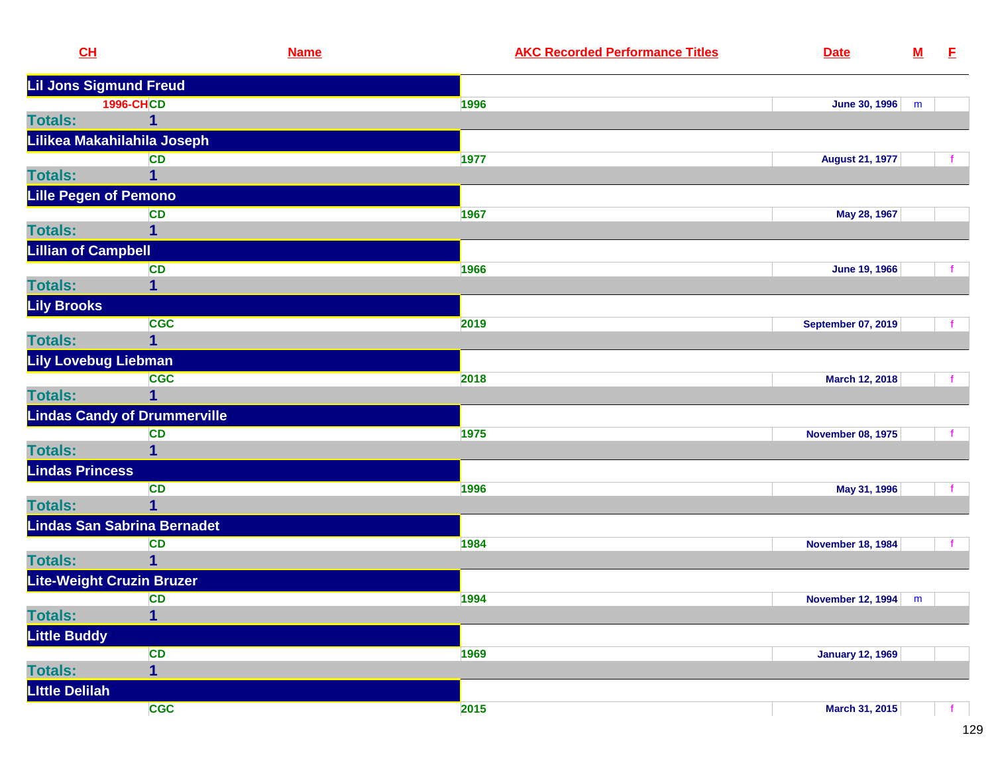|                       | CH                                  | <b>Name</b> | <b>AKC Recorded Performance Titles</b> | <b>Date</b>               | ${\bf M}$ | E |
|-----------------------|-------------------------------------|-------------|----------------------------------------|---------------------------|-----------|---|
|                       | <b>Lil Jons Sigmund Freud</b>       |             |                                        |                           |           |   |
|                       | <b>1996-CHCD</b>                    | 1996        |                                        | <b>June 30, 1996</b>      | m         |   |
| <b>Totals:</b>        | $\mathbf{1}$                        |             |                                        |                           |           |   |
|                       | Lilikea Makahilahila Joseph         |             |                                        |                           |           |   |
|                       | <b>CD</b>                           | 1977        |                                        | <b>August 21, 1977</b>    |           |   |
| <b>Totals:</b>        | 1                                   |             |                                        |                           |           |   |
|                       | <b>Lille Pegen of Pemono</b>        |             |                                        |                           |           |   |
|                       | <b>CD</b>                           | 1967        |                                        | May 28, 1967              |           |   |
| <b>Totals:</b>        | 1                                   |             |                                        |                           |           |   |
|                       | <b>Lillian of Campbell</b>          |             |                                        |                           |           |   |
|                       | <b>CD</b>                           | 1966        |                                        | <b>June 19, 1966</b>      |           |   |
| <b>Totals:</b>        | $\mathbf 1$                         |             |                                        |                           |           |   |
| <b>Lily Brooks</b>    |                                     |             |                                        |                           |           |   |
|                       | <b>CGC</b>                          | 2019        |                                        | <b>September 07, 2019</b> |           |   |
| <b>Totals:</b>        | $\mathbf 1$                         |             |                                        |                           |           |   |
|                       | <b>Lily Lovebug Liebman</b>         |             |                                        |                           |           |   |
|                       | <b>CGC</b>                          | 2018        |                                        | March 12, 2018            |           |   |
| <b>Totals:</b>        | 1                                   |             |                                        |                           |           |   |
|                       | <b>Lindas Candy of Drummerville</b> |             |                                        |                           |           |   |
|                       | <b>CD</b>                           | 1975        |                                        | <b>November 08, 1975</b>  |           |   |
| <b>Totals:</b>        | 1                                   |             |                                        |                           |           |   |
|                       | <b>Lindas Princess</b>              |             |                                        |                           |           |   |
|                       | <b>CD</b>                           | 1996        |                                        | May 31, 1996              |           |   |
| <b>Totals:</b>        | $\mathbf 1$                         |             |                                        |                           |           |   |
|                       | <b>Lindas San Sabrina Bernadet</b>  |             |                                        |                           |           |   |
|                       | <b>CD</b>                           | 1984        |                                        | <b>November 18, 1984</b>  |           |   |
| <b>Totals:</b>        | $\mathbf 1$                         |             |                                        |                           |           |   |
|                       | Lite-Weight Cruzin Bruzer           |             |                                        |                           |           |   |
|                       | <b>CD</b>                           | 1994        |                                        | <b>November 12, 1994</b>  | m         |   |
| <b>Totals:</b>        | 1                                   |             |                                        |                           |           |   |
| <b>Little Buddy</b>   |                                     |             |                                        |                           |           |   |
|                       | <b>CD</b>                           | 1969        |                                        | <b>January 12, 1969</b>   |           |   |
| <b>Totals:</b>        | $\overline{1}$                      |             |                                        |                           |           |   |
| <b>Little Delilah</b> |                                     |             |                                        |                           |           |   |
|                       | <b>CGC</b>                          | 2015        |                                        | March 31, 2015            |           |   |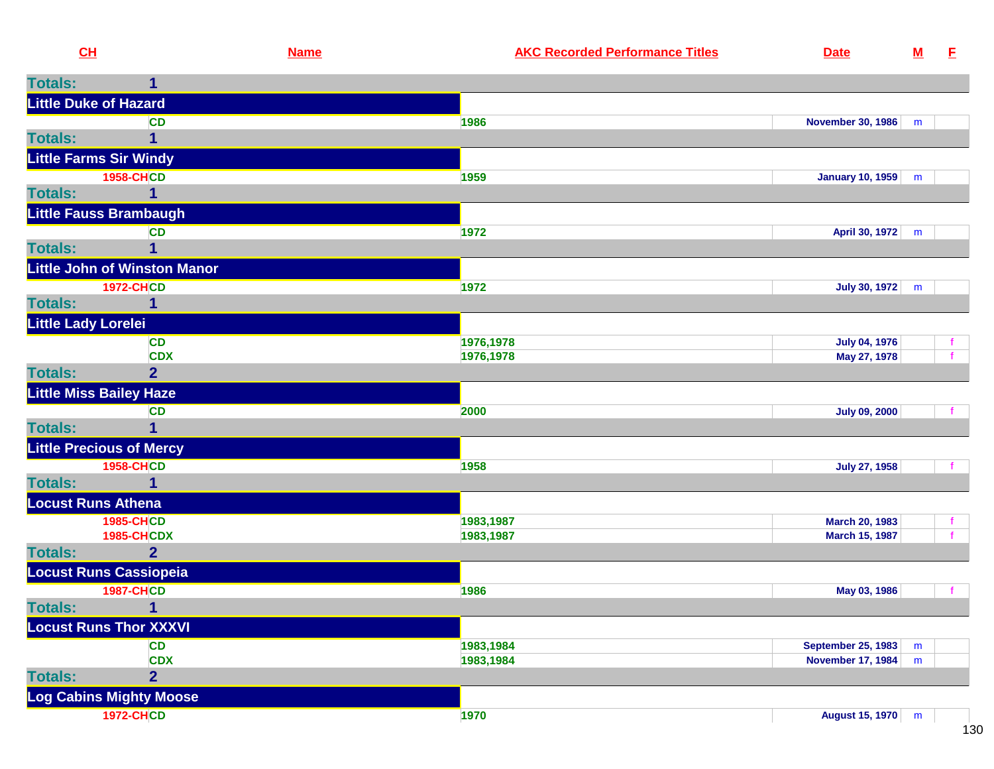| CL                         |                                                     | <b>Name</b> | <b>AKC Recorded Performance Titles</b> | <b>Date</b>               | ${\bf M}$ | E    |
|----------------------------|-----------------------------------------------------|-------------|----------------------------------------|---------------------------|-----------|------|
| <b>Totals:</b>             | 1                                                   |             |                                        |                           |           |      |
|                            | <b>Little Duke of Hazard</b>                        |             |                                        |                           |           |      |
|                            | <b>CD</b>                                           |             | 1986                                   | <b>November 30, 1986</b>  | m         |      |
| <b>Totals:</b>             |                                                     |             |                                        |                           |           |      |
|                            | <b>Little Farms Sir Windy</b>                       |             |                                        |                           |           |      |
|                            | <b>1958-CHCD</b>                                    |             | 1959                                   | January 10, 1959          | m         |      |
| <b>Totals:</b>             |                                                     |             |                                        |                           |           |      |
|                            | <b>Little Fauss Brambaugh</b>                       |             |                                        |                           |           |      |
|                            | <b>CD</b>                                           |             | 1972                                   | April 30, 1972            | m         |      |
| <b>Totals:</b>             |                                                     |             |                                        |                           |           |      |
|                            | <b>Little John of Winston Manor</b>                 |             |                                        |                           |           |      |
|                            | <b>1972-CHCD</b>                                    |             | 1972                                   | July 30, 1972             | m         |      |
| <b>Totals:</b>             |                                                     |             |                                        |                           |           |      |
| <b>Little Lady Lorelei</b> |                                                     |             |                                        |                           |           |      |
|                            | <b>CD</b>                                           |             | 1976,1978                              | <b>July 04, 1976</b>      |           |      |
| <b>Totals:</b>             | <b>CDX</b><br>2 <sup>1</sup>                        |             | 1976,1978                              | May 27, 1978              |           |      |
|                            |                                                     |             |                                        |                           |           |      |
|                            | <b>Little Miss Bailey Haze</b>                      |             |                                        |                           |           |      |
| <b>Totals:</b>             | <b>CD</b>                                           |             | 2000                                   | <b>July 09, 2000</b>      |           | f    |
|                            |                                                     |             |                                        |                           |           |      |
|                            | <b>Little Precious of Mercy</b><br><b>1958-CHCD</b> |             | 1958                                   | <b>July 27, 1958</b>      |           |      |
| <b>Totals:</b>             |                                                     |             |                                        |                           |           |      |
| <b>Locust Runs Athena</b>  |                                                     |             |                                        |                           |           |      |
|                            | <b>1985-CHCD</b>                                    |             | 1983,1987                              | March 20, 1983            |           |      |
|                            | <b>1985-CHCDX</b>                                   |             | 1983,1987                              | March 15, 1987            |           |      |
| <b>Totals:</b>             | $\overline{2}$                                      |             |                                        |                           |           |      |
|                            | <b>Locust Runs Cassiopeia</b>                       |             |                                        |                           |           |      |
|                            | <b>1987-CHCD</b>                                    |             | 1986                                   | May 03, 1986              |           | $-f$ |
| <b>Totals:</b>             |                                                     |             |                                        |                           |           |      |
|                            | <b>Locust Runs Thor XXXVI</b>                       |             |                                        |                           |           |      |
|                            | <b>CD</b>                                           |             | 1983,1984                              | <b>September 25, 1983</b> | m         |      |
|                            | <b>CDX</b>                                          |             | 1983,1984                              | <b>November 17, 1984</b>  | m         |      |
| <b>Totals:</b>             | $\overline{2}$                                      |             |                                        |                           |           |      |
|                            | <b>Log Cabins Mighty Moose</b>                      |             |                                        |                           |           |      |
|                            | <b>1972-CHCD</b>                                    |             | 1970                                   | <b>August 15, 1970</b>    | m         |      |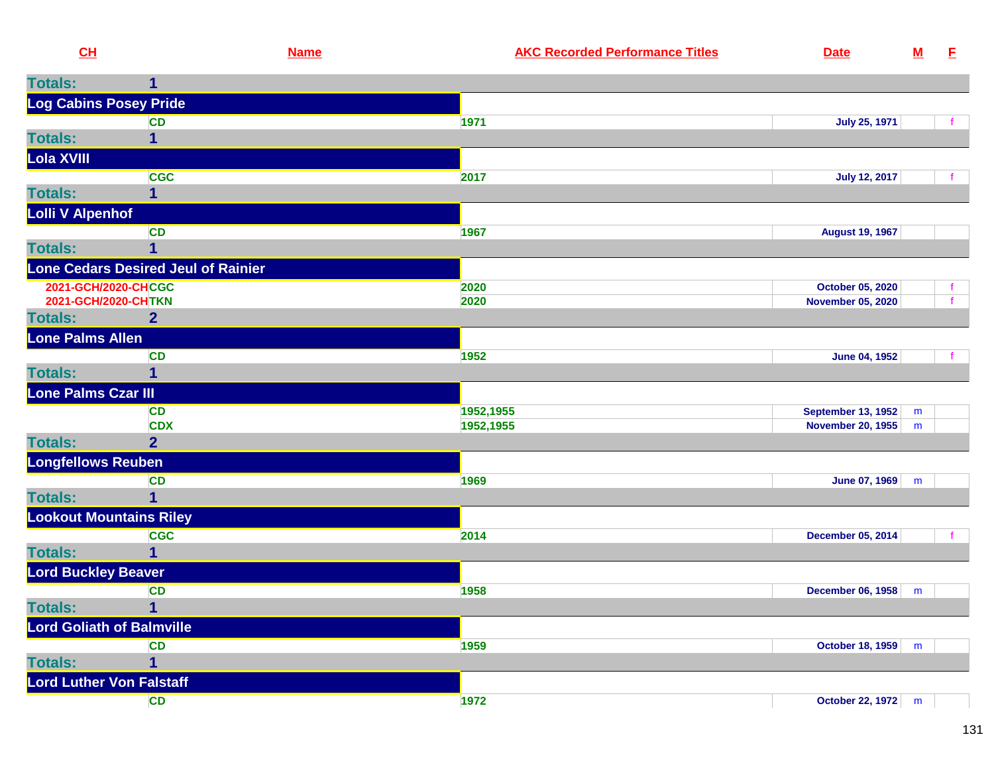| CL                                         |                                            | <b>Name</b> | <b>AKC Recorded Performance Titles</b> | <b>Date</b>                                           | $\underline{\mathsf{M}}$ | E                  |
|--------------------------------------------|--------------------------------------------|-------------|----------------------------------------|-------------------------------------------------------|--------------------------|--------------------|
| <b>Totals:</b>                             | 1                                          |             |                                        |                                                       |                          |                    |
| Log Cabins Posey Pride                     |                                            |             |                                        |                                                       |                          |                    |
|                                            | <b>CD</b>                                  |             | 1971                                   | <b>July 25, 1971</b>                                  |                          | $\mathbf{f}$       |
| <b>Totals:</b>                             | 1                                          |             |                                        |                                                       |                          |                    |
| Lola XVIII                                 |                                            |             |                                        |                                                       |                          |                    |
|                                            | <b>CGC</b>                                 |             | 2017                                   | <b>July 12, 2017</b>                                  |                          |                    |
| <b>Totals:</b>                             |                                            |             |                                        |                                                       |                          |                    |
| <b>Lolli V Alpenhof</b>                    |                                            |             |                                        |                                                       |                          |                    |
|                                            | <b>CD</b>                                  |             | 1967                                   | <b>August 19, 1967</b>                                |                          |                    |
| <b>Totals:</b>                             | 1                                          |             |                                        |                                                       |                          |                    |
|                                            |                                            |             |                                        |                                                       |                          |                    |
|                                            | <b>Lone Cedars Desired Jeul of Rainier</b> |             |                                        |                                                       |                          |                    |
| 2021-GCH/2020-CHCGC<br>2021-GCH/2020-CHTKN |                                            |             | 2020<br>2020                           | October 05, 2020<br><b>November 05, 2020</b>          |                          | f.<br>$\mathbf{f}$ |
| <b>Totals:</b>                             | 2 <sup>1</sup>                             |             |                                        |                                                       |                          |                    |
| <b>Lone Palms Allen</b>                    |                                            |             |                                        |                                                       |                          |                    |
|                                            | <b>CD</b>                                  |             | 1952                                   |                                                       |                          |                    |
| <b>Totals:</b>                             | 1                                          |             |                                        | <b>June 04, 1952</b>                                  |                          |                    |
| Lone Palms Czar III                        |                                            |             |                                        |                                                       |                          |                    |
|                                            |                                            |             |                                        |                                                       |                          |                    |
|                                            | <b>CD</b><br><b>CDX</b>                    |             | 1952,1955<br>1952,1955                 | <b>September 13, 1952</b><br><b>November 20, 1955</b> | m<br>m                   |                    |
| <b>Totals:</b>                             | $\overline{2}$                             |             |                                        |                                                       |                          |                    |
| <b>Longfellows Reuben</b>                  |                                            |             |                                        |                                                       |                          |                    |
|                                            | <b>CD</b>                                  |             | 1969                                   | <b>June 07, 1969</b>                                  | m                        |                    |
| <b>Totals:</b>                             | 1                                          |             |                                        |                                                       |                          |                    |
| <b>Lookout Mountains Riley</b>             |                                            |             |                                        |                                                       |                          |                    |
|                                            |                                            |             |                                        |                                                       |                          |                    |
| <b>Totals:</b>                             | <b>CGC</b>                                 |             | 2014                                   | December 05, 2014                                     |                          |                    |
|                                            |                                            |             |                                        |                                                       |                          |                    |
| <b>Lord Buckley Beaver</b>                 |                                            |             |                                        |                                                       |                          |                    |
|                                            | <b>CD</b>                                  |             | 1958                                   | <b>December 06, 1958</b>                              | m                        |                    |
| <b>Totals:</b>                             | 1                                          |             |                                        |                                                       |                          |                    |
| <b>Lord Goliath of Balmville</b>           |                                            |             |                                        |                                                       |                          |                    |
|                                            | <b>CD</b>                                  |             | 1959                                   | <b>October 18, 1959</b>                               | m                        |                    |
| <b>Totals:</b>                             | 1                                          |             |                                        |                                                       |                          |                    |
| <b>Lord Luther Von Falstaff</b>            |                                            |             |                                        |                                                       |                          |                    |
|                                            | <b>CD</b>                                  |             | 1972                                   | October 22, 1972 m                                    |                          |                    |
|                                            |                                            |             |                                        |                                                       |                          |                    |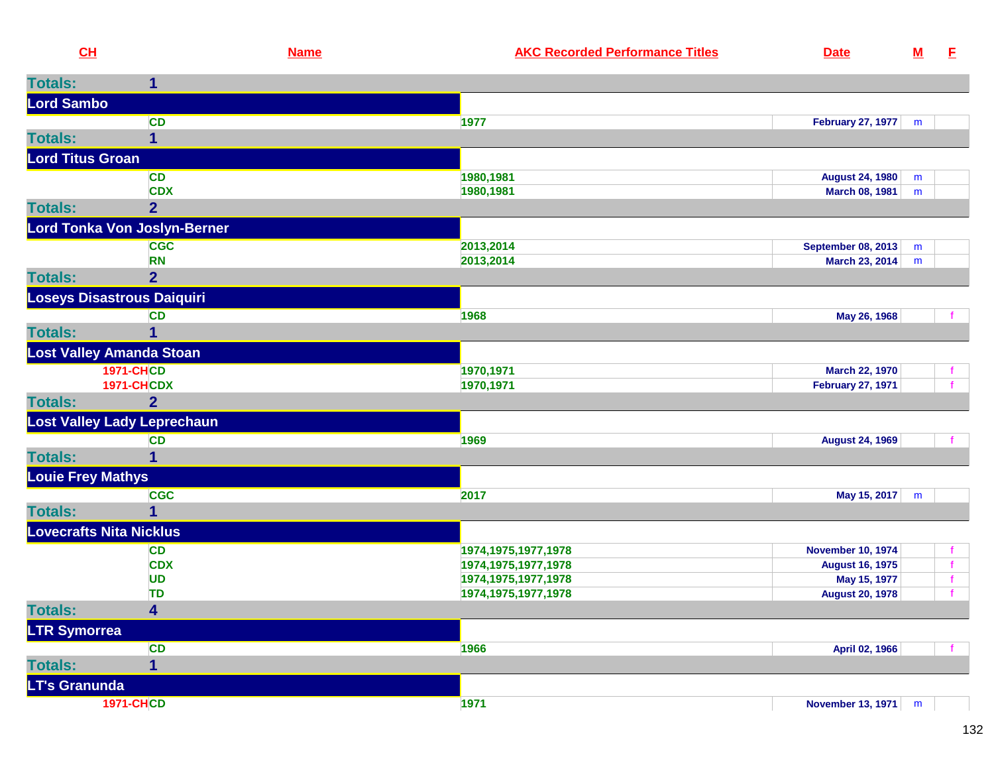| CH                       |                                     | <b>Name</b> | <b>AKC Recorded Performance Titles</b> | <b>Date</b>               | $\underline{\mathbf{M}}$ | E            |
|--------------------------|-------------------------------------|-------------|----------------------------------------|---------------------------|--------------------------|--------------|
| <b>Totals:</b>           | $\mathbf{1}$                        |             |                                        |                           |                          |              |
| <b>Lord Sambo</b>        |                                     |             |                                        |                           |                          |              |
|                          | <b>CD</b>                           |             | 1977                                   | <b>February 27, 1977</b>  | m                        |              |
| <b>Totals:</b>           | 1                                   |             |                                        |                           |                          |              |
| <b>Lord Titus Groan</b>  |                                     |             |                                        |                           |                          |              |
|                          | <b>CD</b>                           |             | 1980,1981                              | <b>August 24, 1980</b>    | m                        |              |
|                          | <b>CDX</b>                          |             | 1980,1981                              | <b>March 08, 1981</b>     | m                        |              |
| <b>Totals:</b>           | $\overline{2}$                      |             |                                        |                           |                          |              |
|                          | <b>Lord Tonka Von Joslyn-Berner</b> |             |                                        |                           |                          |              |
|                          | <b>CGC</b>                          |             | 2013,2014                              | <b>September 08, 2013</b> | m                        |              |
|                          | <b>RN</b>                           |             | 2013,2014                              | March 23, 2014            | m                        |              |
| <b>Totals:</b>           | $\overline{2}$                      |             |                                        |                           |                          |              |
|                          | Loseys Disastrous Daiquiri          |             |                                        |                           |                          |              |
|                          | CD                                  |             | 1968                                   | May 26, 1968              |                          |              |
| <b>Totals:</b>           | 1                                   |             |                                        |                           |                          |              |
|                          | <b>Lost Valley Amanda Stoan</b>     |             |                                        |                           |                          |              |
|                          | <b>1971-CHCD</b>                    |             | 1970,1971                              | <b>March 22, 1970</b>     |                          | f.           |
|                          | <b>1971-CHCDX</b>                   |             | 1970,1971                              | <b>February 27, 1971</b>  |                          | f            |
| <b>Totals:</b>           | $\overline{2}$                      |             |                                        |                           |                          |              |
|                          | <b>Lost Valley Lady Leprechaun</b>  |             |                                        |                           |                          |              |
|                          | <b>CD</b>                           |             | 1969                                   | <b>August 24, 1969</b>    |                          |              |
| <b>Totals:</b>           | 1                                   |             |                                        |                           |                          |              |
| <b>Louie Frey Mathys</b> |                                     |             |                                        |                           |                          |              |
|                          | <b>CGC</b>                          |             | 2017                                   | May 15, 2017              | m                        |              |
| <b>Totals:</b>           | 1                                   |             |                                        |                           |                          |              |
|                          | <b>Lovecrafts Nita Nicklus</b>      |             |                                        |                           |                          |              |
|                          | CD                                  |             | 1974, 1975, 1977, 1978                 | <b>November 10, 1974</b>  |                          |              |
|                          | <b>CDX</b>                          |             | 1974, 1975, 1977, 1978                 | <b>August 16, 1975</b>    |                          | $\mathbf{f}$ |
|                          | <b>UD</b>                           |             | 1974, 1975, 1977, 1978                 | May 15, 1977              |                          | $\mathbf{f}$ |
|                          | <b>TD</b>                           |             | 1974, 1975, 1977, 1978                 | <b>August 20, 1978</b>    |                          | $\mathbf{f}$ |
| <b>Totals:</b>           | $\overline{\mathbf{4}}$             |             |                                        |                           |                          |              |
| <b>LTR Symorrea</b>      |                                     |             |                                        |                           |                          |              |
|                          | <b>CD</b>                           |             | 1966                                   | April 02, 1966            |                          |              |
| <b>Totals:</b>           | 1                                   |             |                                        |                           |                          |              |
| <b>LT's Granunda</b>     |                                     |             |                                        |                           |                          |              |
|                          | <b>1971-CHCD</b>                    |             | 1971                                   | November 13, 1971         | m                        |              |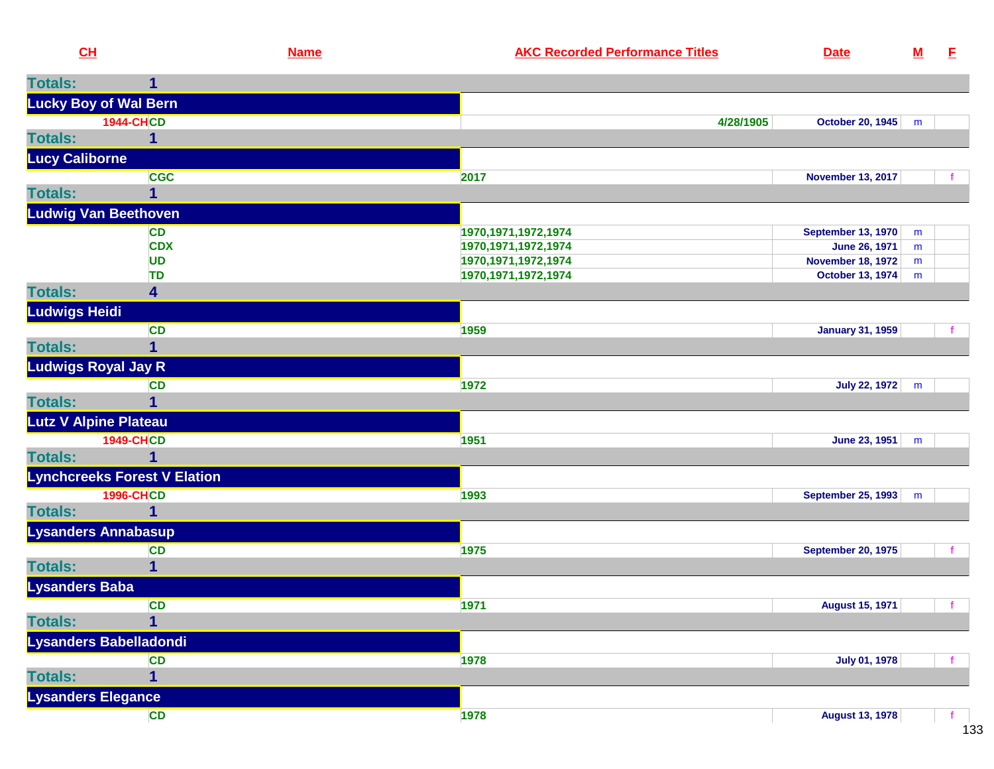| CH                           |                                     | <b>Name</b> | <b>AKC Recorded Performance Titles</b> | <b>Date</b>               | $\underline{\mathsf{M}}$ | E  |
|------------------------------|-------------------------------------|-------------|----------------------------------------|---------------------------|--------------------------|----|
| <b>Totals:</b>               | $\mathbf{1}$                        |             |                                        |                           |                          |    |
| <b>Lucky Boy of Wal Bern</b> |                                     |             |                                        |                           |                          |    |
|                              | <b>1944-CHCD</b>                    |             | 4/28/1905                              | October 20, 1945          | m                        |    |
| <b>Totals:</b>               | 1                                   |             |                                        |                           |                          |    |
| <b>Lucy Caliborne</b>        |                                     |             |                                        |                           |                          |    |
|                              | <b>CGC</b>                          |             | 2017                                   | <b>November 13, 2017</b>  |                          |    |
| <b>Totals:</b>               | $\overline{1}$                      |             |                                        |                           |                          |    |
| <b>Ludwig Van Beethoven</b>  |                                     |             |                                        |                           |                          |    |
|                              | <b>CD</b>                           |             | 1970, 1971, 1972, 1974                 | <b>September 13, 1970</b> | m                        |    |
|                              | <b>CDX</b>                          |             | 1970, 1971, 1972, 1974                 | June 26, 1971             | m                        |    |
|                              | <b>UD</b>                           |             | 1970, 1971, 1972, 1974                 | <b>November 18, 1972</b>  | m                        |    |
|                              | <b>TD</b>                           |             | 1970, 1971, 1972, 1974                 | <b>October 13, 1974</b>   | m                        |    |
| <b>Totals:</b>               | 4                                   |             |                                        |                           |                          |    |
| <b>Ludwigs Heidi</b>         |                                     |             |                                        |                           |                          |    |
|                              | <b>CD</b>                           |             | 1959                                   | <b>January 31, 1959</b>   |                          |    |
| <b>Totals:</b>               | 1                                   |             |                                        |                           |                          |    |
| <b>Ludwigs Royal Jay R</b>   |                                     |             |                                        |                           |                          |    |
|                              | CD                                  |             | 1972                                   | <b>July 22, 1972</b>      | m                        |    |
| <b>Totals:</b>               | 1                                   |             |                                        |                           |                          |    |
| Lutz V Alpine Plateau        |                                     |             |                                        |                           |                          |    |
|                              | <b>1949-CHCD</b>                    |             | 1951                                   | June 23, 1951             | m                        |    |
| <b>Totals:</b>               | $\mathbf{1}$                        |             |                                        |                           |                          |    |
|                              | <b>Lynchcreeks Forest V Elation</b> |             |                                        |                           |                          |    |
|                              | <b>1996-CHCD</b>                    |             | 1993                                   | <b>September 25, 1993</b> | m                        |    |
| <b>Totals:</b>               | 1                                   |             |                                        |                           |                          |    |
| <b>Lysanders Annabasup</b>   |                                     |             |                                        |                           |                          |    |
|                              | <b>CD</b>                           |             | 1975                                   | <b>September 20, 1975</b> |                          |    |
| <b>Totals:</b>               | $\overline{1}$                      |             |                                        |                           |                          |    |
| <b>Lysanders Baba</b>        |                                     |             |                                        |                           |                          |    |
|                              | <b>CD</b>                           |             | 1971                                   | <b>August 15, 1971</b>    |                          | t. |
| <b>Totals:</b>               | $\overline{1}$                      |             |                                        |                           |                          |    |
|                              | Lysanders Babelladondi              |             |                                        |                           |                          |    |
|                              | CD                                  |             | 1978                                   | <b>July 01, 1978</b>      |                          |    |
| <b>Totals:</b>               | $\mathbf{1}$                        |             |                                        |                           |                          |    |
| <b>Lysanders Elegance</b>    |                                     |             |                                        |                           |                          |    |
|                              | CD                                  |             | 1978                                   | <b>August 13, 1978</b>    |                          | -f |
|                              |                                     |             |                                        |                           |                          |    |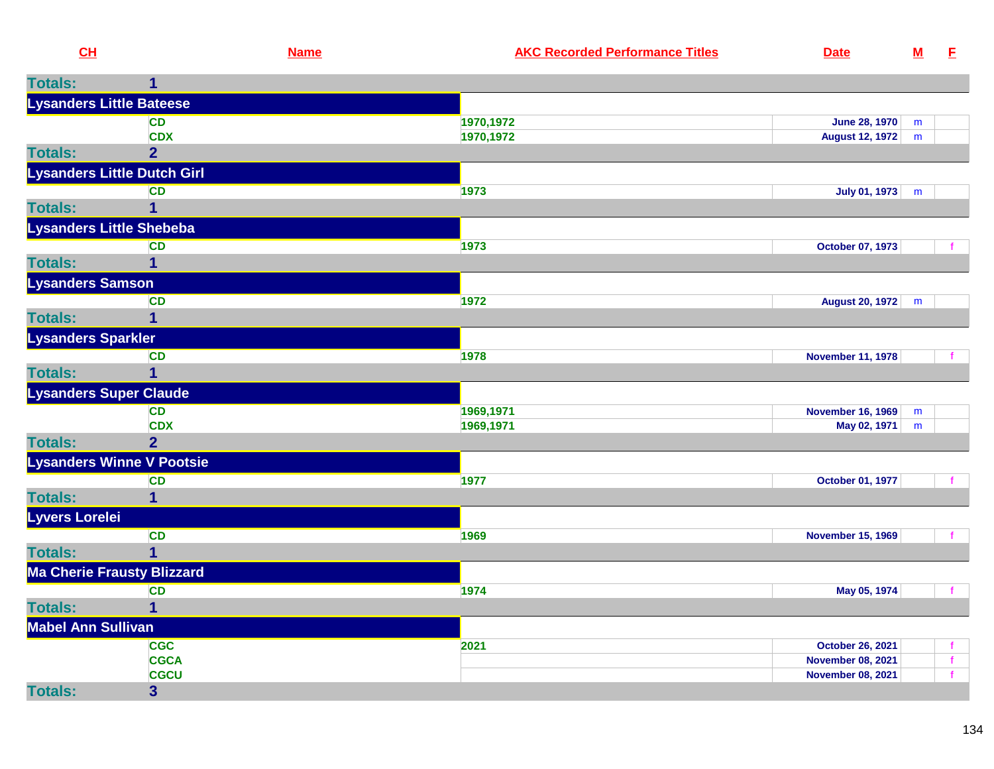| CL                              |                                    | <b>Name</b> | <b>AKC Recorded Performance Titles</b> | <b>Date</b>              | ${\bf M}$ | E            |
|---------------------------------|------------------------------------|-------------|----------------------------------------|--------------------------|-----------|--------------|
| <b>Totals:</b>                  | $\mathbf{1}$                       |             |                                        |                          |           |              |
| <b>Lysanders Little Bateese</b> |                                    |             |                                        |                          |           |              |
|                                 | <b>CD</b>                          |             | 1970, 1972                             | <b>June 28, 1970</b>     | m         |              |
|                                 | <b>CDX</b>                         |             | 1970,1972                              | <b>August 12, 1972</b>   | m         |              |
| <b>Totals:</b>                  | $\overline{2}$                     |             |                                        |                          |           |              |
|                                 | <b>Lysanders Little Dutch Girl</b> |             |                                        |                          |           |              |
|                                 | <b>CD</b>                          |             | 1973                                   | July 01, 1973            | m         |              |
| <b>Totals:</b>                  | 1                                  |             |                                        |                          |           |              |
| Lysanders Little Shebeba        |                                    |             |                                        |                          |           |              |
|                                 | <b>CD</b>                          |             | 1973                                   | October 07, 1973         |           |              |
| <b>Totals:</b>                  | 1                                  |             |                                        |                          |           |              |
| <b>Lysanders Samson</b>         |                                    |             |                                        |                          |           |              |
|                                 | <b>CD</b>                          |             | 1972                                   | August 20, 1972          | m         |              |
| <b>Totals:</b>                  | $\overline{\mathbf{1}}$            |             |                                        |                          |           |              |
| <b>Lysanders Sparkler</b>       |                                    |             |                                        |                          |           |              |
|                                 | <b>CD</b>                          |             | 1978                                   | <b>November 11, 1978</b> |           | $\mathbf{f}$ |
| <b>Totals:</b>                  | $\overline{1}$                     |             |                                        |                          |           |              |
| <b>Lysanders Super Claude</b>   |                                    |             |                                        |                          |           |              |
|                                 | <b>CD</b>                          |             | 1969,1971                              | <b>November 16, 1969</b> | m         |              |
|                                 | <b>CDX</b>                         |             | 1969,1971                              | May 02, 1971             | m         |              |
| <b>Totals:</b>                  | $\overline{2}$                     |             |                                        |                          |           |              |
|                                 | <b>Lysanders Winne V Pootsie</b>   |             |                                        |                          |           |              |
|                                 | <b>CD</b>                          |             | 1977                                   | October 01, 1977         |           | f.           |
| <b>Totals:</b>                  | $\mathbf{1}$                       |             |                                        |                          |           |              |
| Lyvers Lorelei                  |                                    |             |                                        |                          |           |              |
|                                 | CD                                 |             | 1969                                   | <b>November 15, 1969</b> |           | $\mathbf{f}$ |
| <b>Totals:</b>                  | $\overline{1}$                     |             |                                        |                          |           |              |
|                                 | <b>Ma Cherie Frausty Blizzard</b>  |             |                                        |                          |           |              |
|                                 | <b>CD</b>                          |             | 1974                                   | May 05, 1974             |           | $\mathbf{f}$ |
| <b>Totals:</b>                  | 1                                  |             |                                        |                          |           |              |
| <b>Mabel Ann Sullivan</b>       |                                    |             |                                        |                          |           |              |
|                                 | <b>CGC</b>                         |             | 2021                                   | <b>October 26, 2021</b>  |           | $\mathbf{f}$ |
|                                 | <b>CGCA</b>                        |             |                                        | <b>November 08, 2021</b> |           | f            |
|                                 | <b>CGCU</b>                        |             |                                        | <b>November 08, 2021</b> |           | $\mathbf{f}$ |
| <b>Totals:</b>                  | $\overline{\mathbf{3}}$            |             |                                        |                          |           |              |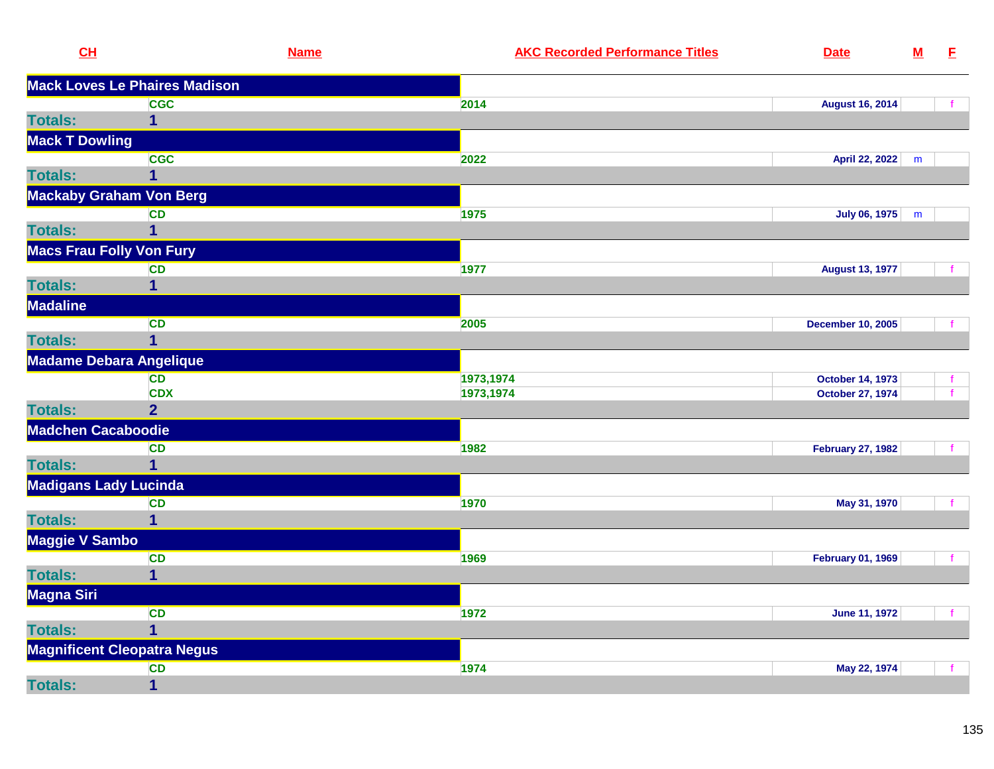| CL                              | <b>Name</b>                          | <b>AKC Recorded Performance Titles</b> | <b>Date</b>              | ${\bf M}$ | E            |
|---------------------------------|--------------------------------------|----------------------------------------|--------------------------|-----------|--------------|
|                                 | <b>Mack Loves Le Phaires Madison</b> |                                        |                          |           |              |
|                                 | <b>CGC</b>                           | 2014                                   | <b>August 16, 2014</b>   |           |              |
| <b>Totals:</b>                  | 1                                    |                                        |                          |           |              |
| <b>Mack T Dowling</b>           |                                      |                                        |                          |           |              |
|                                 | <b>CGC</b>                           | 2022                                   | April 22, 2022           | m         |              |
| <b>Totals:</b>                  | 1                                    |                                        |                          |           |              |
| <b>Mackaby Graham Von Berg</b>  |                                      |                                        |                          |           |              |
|                                 | CD                                   | 1975                                   | July 06, 1975            | m         |              |
| <b>Totals:</b>                  | 1                                    |                                        |                          |           |              |
| <b>Macs Frau Folly Von Fury</b> |                                      |                                        |                          |           |              |
|                                 | <b>CD</b>                            | 1977                                   | <b>August 13, 1977</b>   |           |              |
| <b>Totals:</b>                  | 1                                    |                                        |                          |           |              |
| <b>Madaline</b>                 |                                      |                                        |                          |           |              |
|                                 | <b>CD</b>                            | 2005                                   | <b>December 10, 2005</b> |           |              |
| <b>Totals:</b>                  | $\overline{1}$                       |                                        |                          |           |              |
| <b>Madame Debara Angelique</b>  |                                      |                                        |                          |           |              |
|                                 | <b>CD</b>                            | 1973,1974                              | <b>October 14, 1973</b>  |           |              |
|                                 | <b>CDX</b>                           | 1973,1974                              | <b>October 27, 1974</b>  |           | $\mathbf{f}$ |
| <b>Totals:</b>                  | $\overline{2}$                       |                                        |                          |           |              |
| <b>Madchen Cacaboodie</b>       |                                      |                                        |                          |           |              |
|                                 | <b>CD</b>                            | 1982                                   | <b>February 27, 1982</b> |           |              |
| <b>Totals:</b>                  | $\overline{1}$                       |                                        |                          |           |              |
| <b>Madigans Lady Lucinda</b>    |                                      |                                        |                          |           |              |
|                                 | CD                                   | 1970                                   | May 31, 1970             |           |              |
| <b>Totals:</b>                  | 1                                    |                                        |                          |           |              |
| <b>Maggie V Sambo</b>           |                                      |                                        |                          |           |              |
|                                 | <b>CD</b>                            | 1969                                   | <b>February 01, 1969</b> |           | f.           |
| <b>Totals:</b>                  | 1                                    |                                        |                          |           |              |
| <b>Magna Siri</b>               |                                      |                                        |                          |           |              |
|                                 | <b>CD</b>                            | 1972                                   | <b>June 11, 1972</b>     |           | f            |
| <b>Totals:</b>                  | $\overline{1}$                       |                                        |                          |           |              |
|                                 | <b>Magnificent Cleopatra Negus</b>   |                                        |                          |           |              |
|                                 | CD                                   | 1974                                   | May 22, 1974             |           |              |
| <b>Totals:</b>                  | 1                                    |                                        |                          |           |              |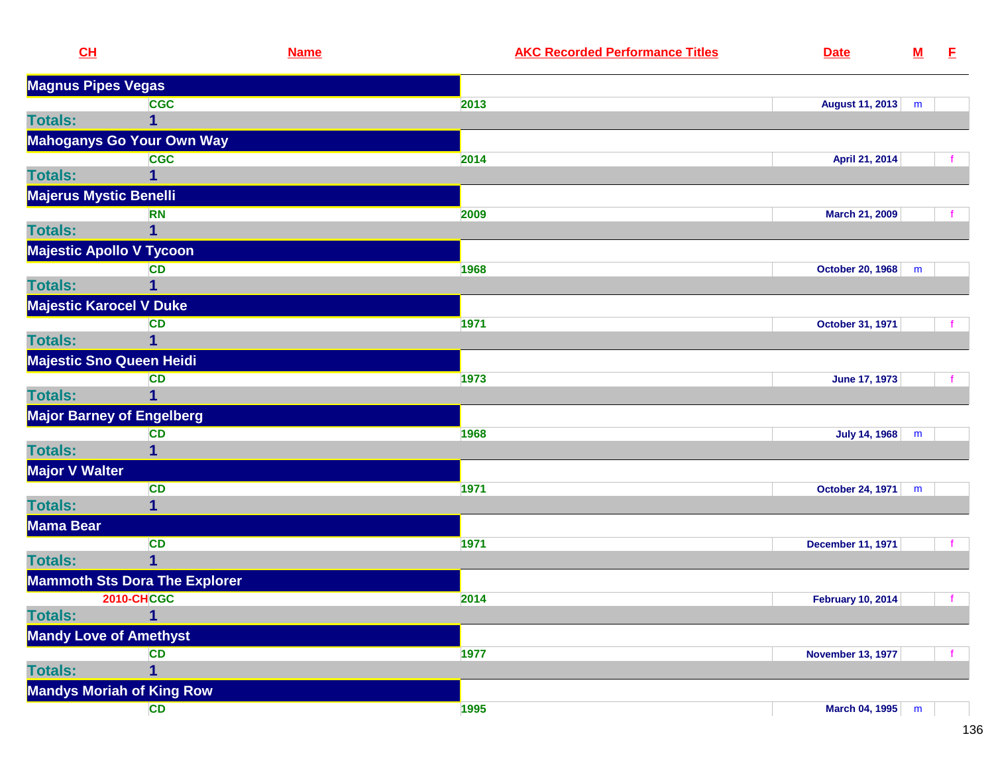| CL                               | <b>Name</b>                          | <b>AKC Recorded Performance Titles</b> | <b>Date</b>              | ${\bf M}$ | E            |
|----------------------------------|--------------------------------------|----------------------------------------|--------------------------|-----------|--------------|
| <b>Magnus Pipes Vegas</b>        |                                      |                                        |                          |           |              |
|                                  | <b>CGC</b>                           | 2013                                   | <b>August 11, 2013</b>   | m         |              |
| <b>Totals:</b>                   | $\overline{1}$                       |                                        |                          |           |              |
|                                  | Mahoganys Go Your Own Way            |                                        |                          |           |              |
|                                  | <b>CGC</b>                           | 2014                                   | April 21, 2014           |           |              |
| <b>Totals:</b>                   | 1                                    |                                        |                          |           |              |
| Majerus Mystic Benelli           |                                      |                                        |                          |           |              |
|                                  | <b>RN</b>                            | 2009                                   | March 21, 2009           |           |              |
| <b>Totals:</b>                   | 1                                    |                                        |                          |           |              |
| <b>Majestic Apollo V Tycoon</b>  |                                      |                                        |                          |           |              |
|                                  | <b>CD</b>                            | 1968                                   | <b>October 20, 1968</b>  | m         |              |
| <b>Totals:</b>                   | 1                                    |                                        |                          |           |              |
| <b>Majestic Karocel V Duke</b>   |                                      |                                        |                          |           |              |
|                                  | <b>CD</b>                            | 1971                                   | October 31, 1971         |           |              |
| <b>Totals:</b>                   | $\overline{1}$                       |                                        |                          |           |              |
| <b>Majestic Sno Queen Heidi</b>  |                                      |                                        |                          |           |              |
|                                  | <b>CD</b>                            | 1973                                   | <b>June 17, 1973</b>     |           |              |
| <b>Totals:</b>                   | $\overline{1}$                       |                                        |                          |           |              |
| <b>Major Barney of Engelberg</b> |                                      |                                        |                          |           |              |
|                                  | <b>CD</b>                            | 1968                                   | <b>July 14, 1968</b>     | m         |              |
| <b>Totals:</b>                   | 1                                    |                                        |                          |           |              |
| <b>Major V Walter</b>            |                                      |                                        |                          |           |              |
|                                  | <b>CD</b>                            | 1971                                   | <b>October 24, 1971</b>  | m         |              |
| <b>Totals:</b>                   | $\overline{\mathbf{1}}$              |                                        |                          |           |              |
| <b>Mama Bear</b>                 |                                      |                                        |                          |           |              |
|                                  | <b>CD</b>                            | 1971                                   | <b>December 11, 1971</b> |           |              |
| <b>Totals:</b>                   | 1                                    |                                        |                          |           |              |
|                                  | <b>Mammoth Sts Dora The Explorer</b> |                                        |                          |           |              |
|                                  | <b>2010-CHCGC</b>                    | 2014                                   | <b>February 10, 2014</b> |           | $\mathbf{f}$ |
| <b>Totals:</b>                   | $\overline{\mathbf{1}}$              |                                        |                          |           |              |
| <b>Mandy Love of Amethyst</b>    |                                      |                                        |                          |           |              |
|                                  | <b>CD</b>                            | 1977                                   | <b>November 13, 1977</b> |           |              |
| <b>Totals:</b>                   | $\overline{\mathbf{1}}$              |                                        |                          |           |              |
|                                  | <b>Mandys Moriah of King Row</b>     |                                        |                          |           |              |
|                                  | <b>CD</b>                            | 1995                                   | March 04, 1995 m         |           |              |
|                                  |                                      |                                        |                          |           |              |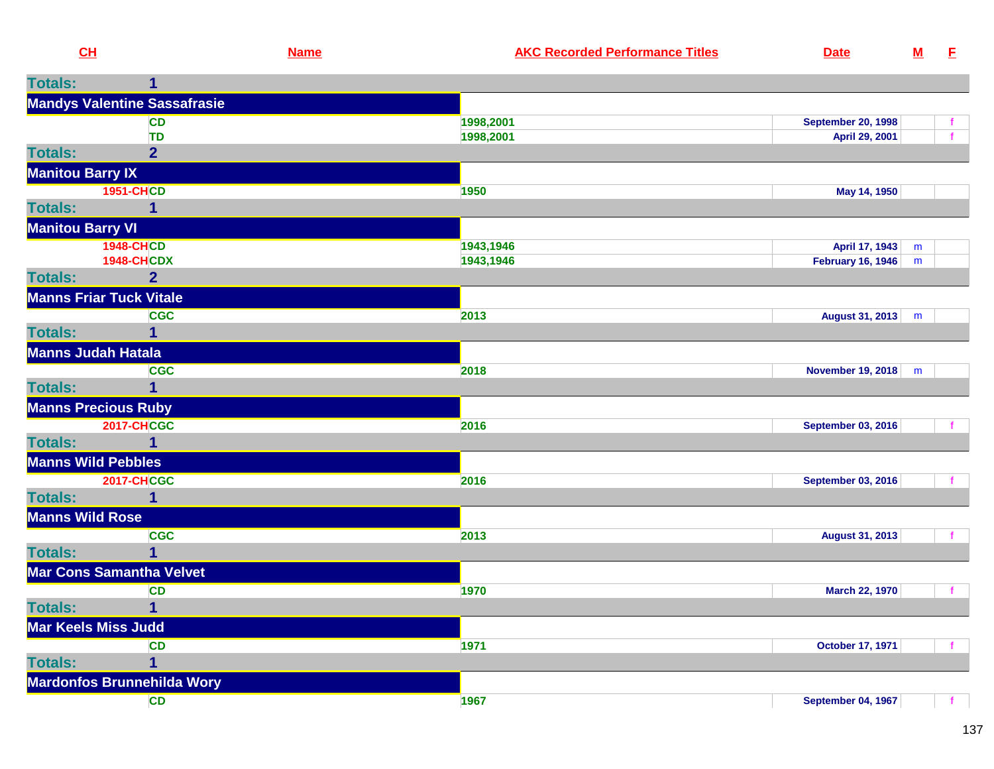| <b>Totals:</b>          | 1                                   |           |                           |   |  |
|-------------------------|-------------------------------------|-----------|---------------------------|---|--|
|                         | <b>Mandys Valentine Sassafrasie</b> |           |                           |   |  |
|                         | <b>CD</b>                           | 1998,2001 | <b>September 20, 1998</b> |   |  |
|                         | <b>TD</b>                           | 1998,2001 | April 29, 2001            |   |  |
| <b>Totals:</b>          | $\overline{2}$                      |           |                           |   |  |
| <b>Manitou Barry IX</b> |                                     |           |                           |   |  |
|                         | <b>1951-CHCD</b>                    | 1950      | May 14, 1950              |   |  |
| <b>Totals:</b>          | 1                                   |           |                           |   |  |
| <b>Manitou Barry VI</b> |                                     |           |                           |   |  |
|                         | <b>1948-CHCD</b>                    | 1943,1946 | April 17, 1943            | m |  |
|                         | <b>1948-CHCDX</b>                   | 1943,1946 | <b>February 16, 1946</b>  | m |  |
| <b>Totals:</b>          | 2 <sup>1</sup>                      |           |                           |   |  |
|                         | <b>Manns Friar Tuck Vitale</b>      |           |                           |   |  |
|                         | <b>CGC</b>                          | 2013      | August 31, 2013           | m |  |
| <b>Totals:</b>          | 1                                   |           |                           |   |  |
|                         | <b>Manns Judah Hatala</b>           |           |                           |   |  |
|                         | <b>CGC</b>                          | 2018      | <b>November 19, 2018</b>  | m |  |
| <b>Totals:</b>          | $\mathbf 1$                         |           |                           |   |  |
|                         | <b>Manns Precious Ruby</b>          |           |                           |   |  |
|                         | <b>2017-CHCGC</b>                   | 2016      | <b>September 03, 2016</b> |   |  |
| <b>Totals:</b>          | 1                                   |           |                           |   |  |
|                         | <b>Manns Wild Pebbles</b>           |           |                           |   |  |
|                         | <b>2017-CHCGC</b>                   | 2016      | <b>September 03, 2016</b> |   |  |
| <b>Totals:</b>          | 1                                   |           |                           |   |  |
| <b>Manns Wild Rose</b>  |                                     |           |                           |   |  |
|                         | <b>CGC</b>                          | 2013      | <b>August 31, 2013</b>    |   |  |
| <b>Totals:</b>          |                                     |           |                           |   |  |
|                         | <b>Mar Cons Samantha Velvet</b>     |           |                           |   |  |
|                         | <b>CD</b>                           | 1970      | March 22, 1970            |   |  |
| <b>Totals:</b>          | 1                                   |           |                           |   |  |
|                         | Mar Keels Miss Judd                 |           |                           |   |  |
|                         | <b>CD</b>                           | 1971      | <b>October 17, 1971</b>   |   |  |
| <b>Totals:</b>          | 1                                   |           |                           |   |  |
|                         | <b>Mardonfos Brunnehilda Wory</b>   |           |                           |   |  |
|                         | <b>CD</b>                           | 1967      | <b>September 04, 1967</b> |   |  |
|                         |                                     |           |                           |   |  |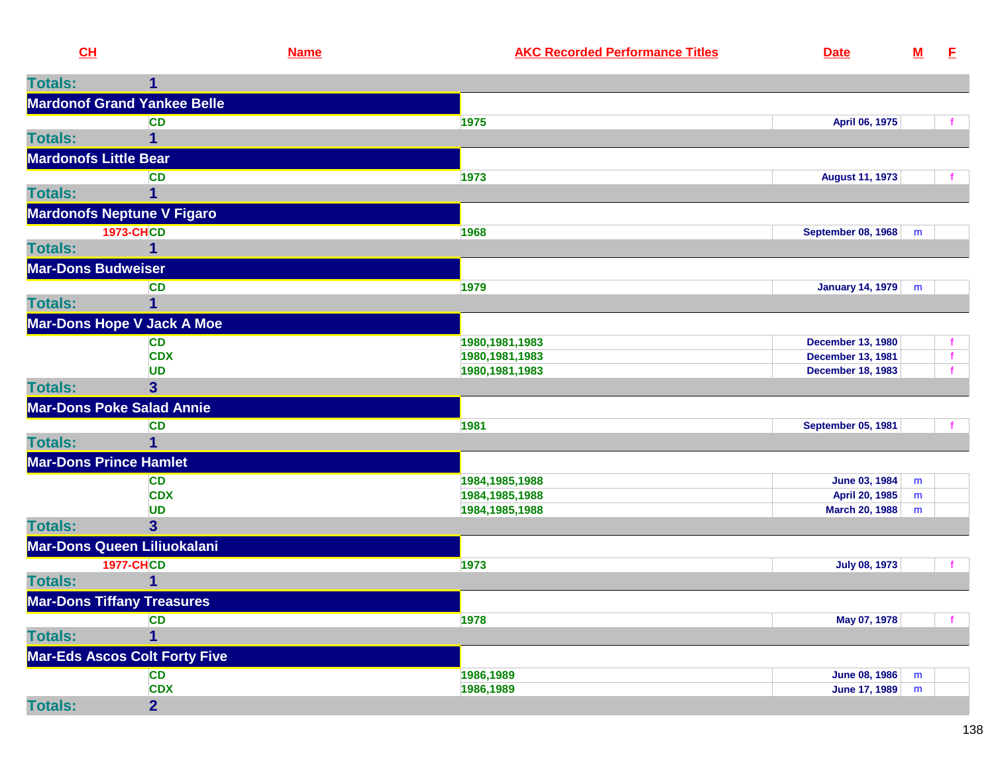| <b>Totals:</b><br>1<br><b>Mardonof Grand Yankee Belle</b><br><b>CD</b><br>1975<br>April 06, 1975<br>$\overline{1}$<br><b>Totals:</b><br><b>Mardonofs Little Bear</b><br>1973<br><b>August 11, 1973</b><br><b>CD</b><br><b>Totals:</b><br>$\overline{1}$<br><b>Mardonofs Neptune V Figaro</b> | Е            |
|----------------------------------------------------------------------------------------------------------------------------------------------------------------------------------------------------------------------------------------------------------------------------------------------|--------------|
|                                                                                                                                                                                                                                                                                              |              |
|                                                                                                                                                                                                                                                                                              |              |
|                                                                                                                                                                                                                                                                                              |              |
|                                                                                                                                                                                                                                                                                              |              |
|                                                                                                                                                                                                                                                                                              |              |
|                                                                                                                                                                                                                                                                                              |              |
|                                                                                                                                                                                                                                                                                              |              |
|                                                                                                                                                                                                                                                                                              |              |
| <b>1973-CHCD</b><br><b>September 08, 1968</b><br>1968<br>m                                                                                                                                                                                                                                   |              |
| $\overline{1}$<br><b>Totals:</b>                                                                                                                                                                                                                                                             |              |
|                                                                                                                                                                                                                                                                                              |              |
| <b>Mar-Dons Budweiser</b>                                                                                                                                                                                                                                                                    |              |
| <b>CD</b><br>1979<br>January 14, 1979<br>m                                                                                                                                                                                                                                                   |              |
| <b>Totals:</b><br>$\overline{1}$                                                                                                                                                                                                                                                             |              |
| <b>Mar-Dons Hope V Jack A Moe</b>                                                                                                                                                                                                                                                            |              |
| 1980, 1981, 1983<br><b>December 13, 1980</b><br><b>CD</b>                                                                                                                                                                                                                                    |              |
| <b>CDX</b><br>1980, 1981, 1983<br><b>December 13, 1981</b>                                                                                                                                                                                                                                   | $\mathbf{f}$ |
| <b>UD</b><br>1980, 1981, 1983<br><b>December 18, 1983</b>                                                                                                                                                                                                                                    |              |
| <b>Totals:</b><br>$\overline{\mathbf{3}}$                                                                                                                                                                                                                                                    |              |
| <b>Mar-Dons Poke Salad Annie</b>                                                                                                                                                                                                                                                             |              |
| 1981<br><b>CD</b><br><b>September 05, 1981</b>                                                                                                                                                                                                                                               |              |
| $\overline{1}$<br><b>Totals:</b>                                                                                                                                                                                                                                                             |              |
| <b>Mar-Dons Prince Hamlet</b>                                                                                                                                                                                                                                                                |              |
| June 03, 1984<br><b>CD</b><br>1984, 1985, 1988<br>m                                                                                                                                                                                                                                          |              |
| <b>CDX</b><br>1984, 1985, 1988<br>April 20, 1985<br>m                                                                                                                                                                                                                                        |              |
| <b>UD</b><br>1984, 1985, 1988<br><b>March 20, 1988</b><br>m                                                                                                                                                                                                                                  |              |
| <b>Totals:</b><br>$\overline{\mathbf{3}}$                                                                                                                                                                                                                                                    |              |
| Mar-Dons Queen Liliuokalani                                                                                                                                                                                                                                                                  |              |
| <b>1977-CHCD</b><br>1973<br><b>July 08, 1973</b>                                                                                                                                                                                                                                             |              |
| <b>Totals:</b><br>$\overline{1}$                                                                                                                                                                                                                                                             |              |
| <b>Mar-Dons Tiffany Treasures</b>                                                                                                                                                                                                                                                            |              |
| 1978<br><b>CD</b><br>May 07, 1978                                                                                                                                                                                                                                                            |              |
| <b>Totals:</b><br>1                                                                                                                                                                                                                                                                          |              |
| <b>Mar-Eds Ascos Colt Forty Five</b>                                                                                                                                                                                                                                                         |              |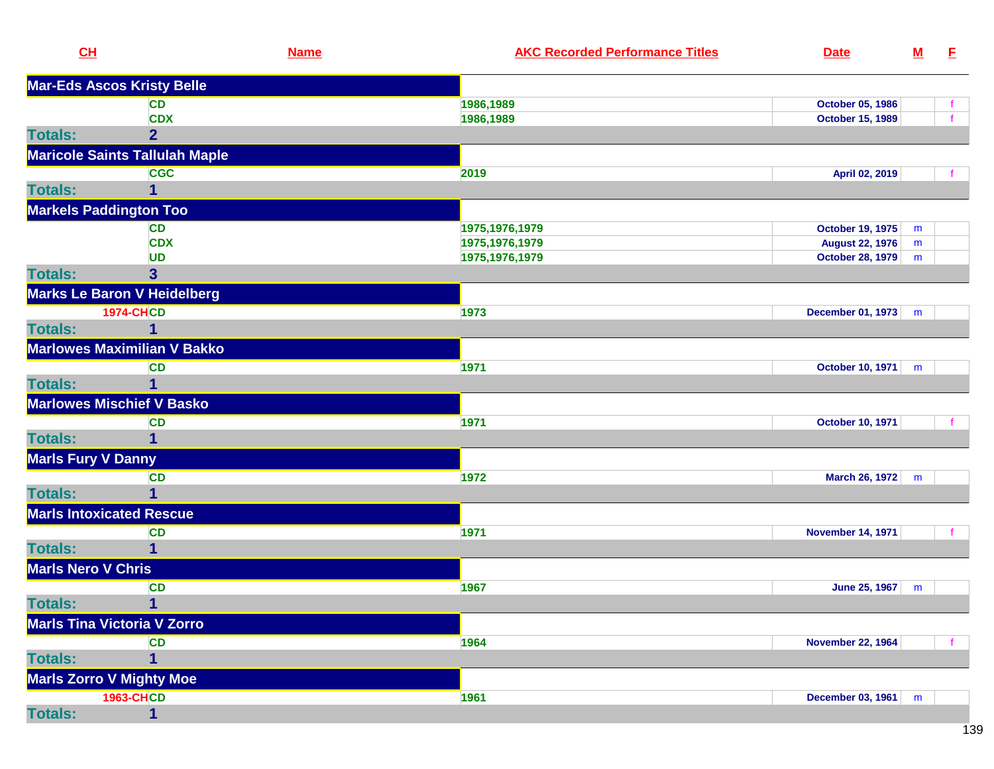| <b>Mar-Eds Ascos Kristy Belle</b><br>1986,1989<br><b>CD</b><br>October 05, 1986<br><b>CDX</b><br>1986,1989<br><b>October 15, 1989</b><br>2 <sup>1</sup><br><b>Totals:</b><br><b>Maricole Saints Tallulah Maple</b><br><b>CGC</b><br>2019<br>April 02, 2019<br><b>Totals:</b><br><b>Markels Paddington Too</b><br><b>CD</b><br>1975, 1976, 1979<br><b>October 19, 1975</b><br>m<br><b>CDX</b><br>1975, 1976, 1979<br><b>August 22, 1976</b><br>m<br><b>UD</b><br>1975, 1976, 1979<br><b>October 28, 1979</b><br>m<br><b>Totals:</b><br>$\overline{\mathbf{3}}$<br>Marks Le Baron V Heidelberg<br><b>1974-CHCD</b><br>1973<br>December 01, 1973 m<br><b>Totals:</b><br>1<br><b>Marlowes Maximilian V Bakko</b><br><b>CD</b><br>1971<br><b>October 10, 1971</b><br>m<br><b>Totals:</b><br>1<br><b>Marlowes Mischief V Basko</b><br>1971<br><b>CD</b><br><b>October 10, 1971</b><br><b>Totals:</b><br>1<br><b>Marls Fury V Danny</b><br>1972<br><b>CD</b><br>March 26, 1972 m<br><b>Totals:</b><br>1<br><b>Marls Intoxicated Rescue</b><br><b>CD</b><br>1971<br><b>November 14, 1971</b><br><b>Totals:</b><br>1<br><b>Marls Nero V Chris</b><br><b>CD</b><br>1967<br>June 25, 1967<br>m<br><b>Totals:</b><br>$\mathbf{1}$<br><b>Marls Tina Victoria V Zorro</b><br><b>CD</b><br>1964<br><b>November 22, 1964</b><br><b>Totals:</b><br>1<br><b>Marls Zorro V Mighty Moe</b><br><b>1963-CHCD</b><br>1961<br>December 03, 1961<br>m | CL             | <b>Name</b> | <b>AKC Recorded Performance Titles</b> | <b>Date</b> | $\underline{\mathbf{M}}$ | E |
|------------------------------------------------------------------------------------------------------------------------------------------------------------------------------------------------------------------------------------------------------------------------------------------------------------------------------------------------------------------------------------------------------------------------------------------------------------------------------------------------------------------------------------------------------------------------------------------------------------------------------------------------------------------------------------------------------------------------------------------------------------------------------------------------------------------------------------------------------------------------------------------------------------------------------------------------------------------------------------------------------------------------------------------------------------------------------------------------------------------------------------------------------------------------------------------------------------------------------------------------------------------------------------------------------------------------------------------------------------------------------------------------------------------------------|----------------|-------------|----------------------------------------|-------------|--------------------------|---|
|                                                                                                                                                                                                                                                                                                                                                                                                                                                                                                                                                                                                                                                                                                                                                                                                                                                                                                                                                                                                                                                                                                                                                                                                                                                                                                                                                                                                                              |                |             |                                        |             |                          |   |
|                                                                                                                                                                                                                                                                                                                                                                                                                                                                                                                                                                                                                                                                                                                                                                                                                                                                                                                                                                                                                                                                                                                                                                                                                                                                                                                                                                                                                              |                |             |                                        |             |                          |   |
|                                                                                                                                                                                                                                                                                                                                                                                                                                                                                                                                                                                                                                                                                                                                                                                                                                                                                                                                                                                                                                                                                                                                                                                                                                                                                                                                                                                                                              |                |             |                                        |             |                          |   |
|                                                                                                                                                                                                                                                                                                                                                                                                                                                                                                                                                                                                                                                                                                                                                                                                                                                                                                                                                                                                                                                                                                                                                                                                                                                                                                                                                                                                                              |                |             |                                        |             |                          |   |
|                                                                                                                                                                                                                                                                                                                                                                                                                                                                                                                                                                                                                                                                                                                                                                                                                                                                                                                                                                                                                                                                                                                                                                                                                                                                                                                                                                                                                              |                |             |                                        |             |                          |   |
|                                                                                                                                                                                                                                                                                                                                                                                                                                                                                                                                                                                                                                                                                                                                                                                                                                                                                                                                                                                                                                                                                                                                                                                                                                                                                                                                                                                                                              |                |             |                                        |             |                          |   |
|                                                                                                                                                                                                                                                                                                                                                                                                                                                                                                                                                                                                                                                                                                                                                                                                                                                                                                                                                                                                                                                                                                                                                                                                                                                                                                                                                                                                                              |                |             |                                        |             |                          |   |
|                                                                                                                                                                                                                                                                                                                                                                                                                                                                                                                                                                                                                                                                                                                                                                                                                                                                                                                                                                                                                                                                                                                                                                                                                                                                                                                                                                                                                              |                |             |                                        |             |                          |   |
|                                                                                                                                                                                                                                                                                                                                                                                                                                                                                                                                                                                                                                                                                                                                                                                                                                                                                                                                                                                                                                                                                                                                                                                                                                                                                                                                                                                                                              |                |             |                                        |             |                          |   |
|                                                                                                                                                                                                                                                                                                                                                                                                                                                                                                                                                                                                                                                                                                                                                                                                                                                                                                                                                                                                                                                                                                                                                                                                                                                                                                                                                                                                                              |                |             |                                        |             |                          |   |
|                                                                                                                                                                                                                                                                                                                                                                                                                                                                                                                                                                                                                                                                                                                                                                                                                                                                                                                                                                                                                                                                                                                                                                                                                                                                                                                                                                                                                              |                |             |                                        |             |                          |   |
|                                                                                                                                                                                                                                                                                                                                                                                                                                                                                                                                                                                                                                                                                                                                                                                                                                                                                                                                                                                                                                                                                                                                                                                                                                                                                                                                                                                                                              |                |             |                                        |             |                          |   |
|                                                                                                                                                                                                                                                                                                                                                                                                                                                                                                                                                                                                                                                                                                                                                                                                                                                                                                                                                                                                                                                                                                                                                                                                                                                                                                                                                                                                                              |                |             |                                        |             |                          |   |
|                                                                                                                                                                                                                                                                                                                                                                                                                                                                                                                                                                                                                                                                                                                                                                                                                                                                                                                                                                                                                                                                                                                                                                                                                                                                                                                                                                                                                              |                |             |                                        |             |                          |   |
|                                                                                                                                                                                                                                                                                                                                                                                                                                                                                                                                                                                                                                                                                                                                                                                                                                                                                                                                                                                                                                                                                                                                                                                                                                                                                                                                                                                                                              |                |             |                                        |             |                          |   |
|                                                                                                                                                                                                                                                                                                                                                                                                                                                                                                                                                                                                                                                                                                                                                                                                                                                                                                                                                                                                                                                                                                                                                                                                                                                                                                                                                                                                                              |                |             |                                        |             |                          |   |
|                                                                                                                                                                                                                                                                                                                                                                                                                                                                                                                                                                                                                                                                                                                                                                                                                                                                                                                                                                                                                                                                                                                                                                                                                                                                                                                                                                                                                              |                |             |                                        |             |                          |   |
|                                                                                                                                                                                                                                                                                                                                                                                                                                                                                                                                                                                                                                                                                                                                                                                                                                                                                                                                                                                                                                                                                                                                                                                                                                                                                                                                                                                                                              |                |             |                                        |             |                          |   |
|                                                                                                                                                                                                                                                                                                                                                                                                                                                                                                                                                                                                                                                                                                                                                                                                                                                                                                                                                                                                                                                                                                                                                                                                                                                                                                                                                                                                                              |                |             |                                        |             |                          |   |
|                                                                                                                                                                                                                                                                                                                                                                                                                                                                                                                                                                                                                                                                                                                                                                                                                                                                                                                                                                                                                                                                                                                                                                                                                                                                                                                                                                                                                              |                |             |                                        |             |                          |   |
|                                                                                                                                                                                                                                                                                                                                                                                                                                                                                                                                                                                                                                                                                                                                                                                                                                                                                                                                                                                                                                                                                                                                                                                                                                                                                                                                                                                                                              |                |             |                                        |             |                          |   |
|                                                                                                                                                                                                                                                                                                                                                                                                                                                                                                                                                                                                                                                                                                                                                                                                                                                                                                                                                                                                                                                                                                                                                                                                                                                                                                                                                                                                                              |                |             |                                        |             |                          |   |
|                                                                                                                                                                                                                                                                                                                                                                                                                                                                                                                                                                                                                                                                                                                                                                                                                                                                                                                                                                                                                                                                                                                                                                                                                                                                                                                                                                                                                              |                |             |                                        |             |                          |   |
|                                                                                                                                                                                                                                                                                                                                                                                                                                                                                                                                                                                                                                                                                                                                                                                                                                                                                                                                                                                                                                                                                                                                                                                                                                                                                                                                                                                                                              |                |             |                                        |             |                          |   |
|                                                                                                                                                                                                                                                                                                                                                                                                                                                                                                                                                                                                                                                                                                                                                                                                                                                                                                                                                                                                                                                                                                                                                                                                                                                                                                                                                                                                                              |                |             |                                        |             |                          |   |
|                                                                                                                                                                                                                                                                                                                                                                                                                                                                                                                                                                                                                                                                                                                                                                                                                                                                                                                                                                                                                                                                                                                                                                                                                                                                                                                                                                                                                              |                |             |                                        |             |                          |   |
|                                                                                                                                                                                                                                                                                                                                                                                                                                                                                                                                                                                                                                                                                                                                                                                                                                                                                                                                                                                                                                                                                                                                                                                                                                                                                                                                                                                                                              |                |             |                                        |             |                          |   |
|                                                                                                                                                                                                                                                                                                                                                                                                                                                                                                                                                                                                                                                                                                                                                                                                                                                                                                                                                                                                                                                                                                                                                                                                                                                                                                                                                                                                                              |                |             |                                        |             |                          |   |
|                                                                                                                                                                                                                                                                                                                                                                                                                                                                                                                                                                                                                                                                                                                                                                                                                                                                                                                                                                                                                                                                                                                                                                                                                                                                                                                                                                                                                              |                |             |                                        |             |                          |   |
|                                                                                                                                                                                                                                                                                                                                                                                                                                                                                                                                                                                                                                                                                                                                                                                                                                                                                                                                                                                                                                                                                                                                                                                                                                                                                                                                                                                                                              |                |             |                                        |             |                          |   |
|                                                                                                                                                                                                                                                                                                                                                                                                                                                                                                                                                                                                                                                                                                                                                                                                                                                                                                                                                                                                                                                                                                                                                                                                                                                                                                                                                                                                                              |                |             |                                        |             |                          |   |
|                                                                                                                                                                                                                                                                                                                                                                                                                                                                                                                                                                                                                                                                                                                                                                                                                                                                                                                                                                                                                                                                                                                                                                                                                                                                                                                                                                                                                              |                |             |                                        |             |                          |   |
|                                                                                                                                                                                                                                                                                                                                                                                                                                                                                                                                                                                                                                                                                                                                                                                                                                                                                                                                                                                                                                                                                                                                                                                                                                                                                                                                                                                                                              |                |             |                                        |             |                          |   |
|                                                                                                                                                                                                                                                                                                                                                                                                                                                                                                                                                                                                                                                                                                                                                                                                                                                                                                                                                                                                                                                                                                                                                                                                                                                                                                                                                                                                                              |                |             |                                        |             |                          |   |
|                                                                                                                                                                                                                                                                                                                                                                                                                                                                                                                                                                                                                                                                                                                                                                                                                                                                                                                                                                                                                                                                                                                                                                                                                                                                                                                                                                                                                              |                |             |                                        |             |                          |   |
|                                                                                                                                                                                                                                                                                                                                                                                                                                                                                                                                                                                                                                                                                                                                                                                                                                                                                                                                                                                                                                                                                                                                                                                                                                                                                                                                                                                                                              | <b>Totals:</b> | 1           |                                        |             |                          |   |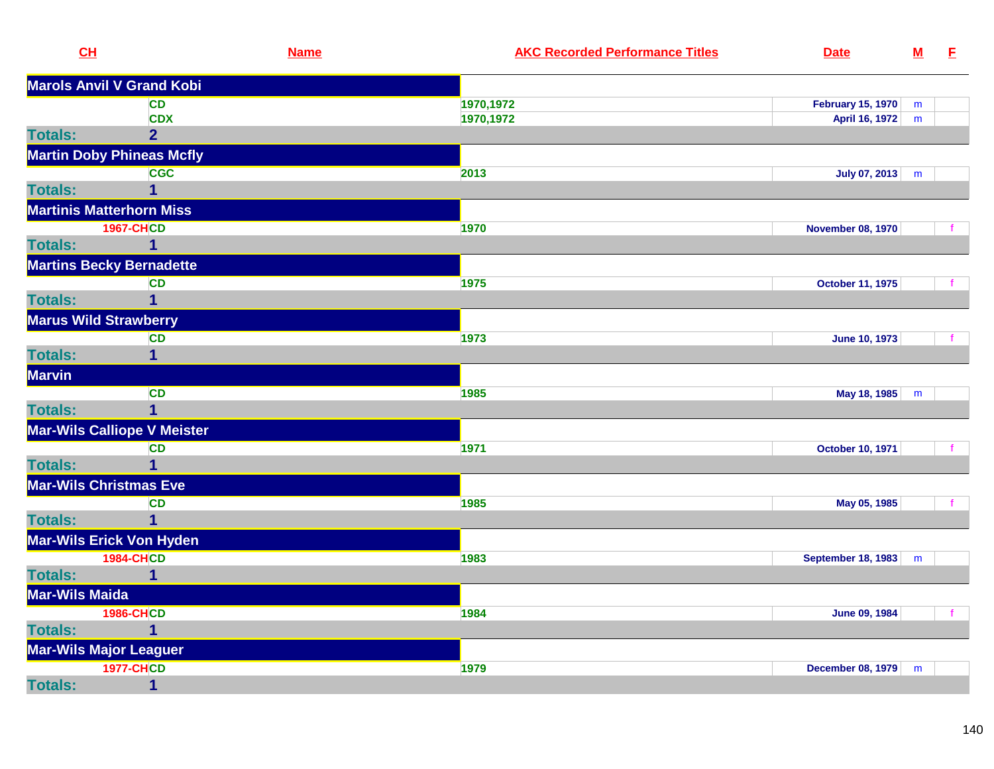| CL                           |                                    | <b>Name</b> | <b>AKC Recorded Performance Titles</b> | <b>Date</b>              | ${\bf M}$ | E |
|------------------------------|------------------------------------|-------------|----------------------------------------|--------------------------|-----------|---|
|                              | <b>Marols Anvil V Grand Kobi</b>   |             |                                        |                          |           |   |
|                              | <b>CD</b>                          | 1970, 1972  |                                        | <b>February 15, 1970</b> | m         |   |
|                              | <b>CDX</b>                         | 1970,1972   |                                        | April 16, 1972           | m         |   |
| <b>Totals:</b>               | 2 <sup>1</sup>                     |             |                                        |                          |           |   |
|                              | <b>Martin Doby Phineas Mcfly</b>   |             |                                        |                          |           |   |
|                              | <b>CGC</b>                         | 2013        |                                        | July 07, 2013            | m         |   |
| <b>Totals:</b>               | $\overline{\mathbf{1}}$            |             |                                        |                          |           |   |
|                              | <b>Martinis Matterhorn Miss</b>    |             |                                        |                          |           |   |
|                              | <b>1967-CHCD</b>                   | 1970        |                                        | <b>November 08, 1970</b> |           |   |
| <b>Totals:</b>               | $\mathbf{1}$                       |             |                                        |                          |           |   |
|                              | <b>Martins Becky Bernadette</b>    |             |                                        |                          |           |   |
|                              | <b>CD</b>                          | 1975        |                                        | <b>October 11, 1975</b>  |           |   |
| <b>Totals:</b>               | $\overline{1}$                     |             |                                        |                          |           |   |
| <b>Marus Wild Strawberry</b> |                                    |             |                                        |                          |           |   |
|                              | <b>CD</b>                          | 1973        |                                        | <b>June 10, 1973</b>     |           |   |
| <b>Totals:</b>               | 1                                  |             |                                        |                          |           |   |
| <b>Marvin</b>                |                                    |             |                                        |                          |           |   |
|                              | <b>CD</b>                          | 1985        |                                        | May 18, 1985             | m         |   |
| <b>Totals:</b>               | $\mathbf 1$                        |             |                                        |                          |           |   |
|                              | <b>Mar-Wils Calliope V Meister</b> |             |                                        |                          |           |   |
|                              | <b>CD</b>                          | 1971        |                                        | <b>October 10, 1971</b>  |           |   |
| <b>Totals:</b>               | $\mathbf 1$                        |             |                                        |                          |           |   |
|                              | <b>Mar-Wils Christmas Eve</b>      |             |                                        |                          |           |   |
|                              | <b>CD</b>                          | 1985        |                                        | May 05, 1985             |           |   |
| <b>Totals:</b>               | $\overline{1}$                     |             |                                        |                          |           |   |
|                              | Mar-Wils Erick Von Hyden           |             |                                        |                          |           |   |
|                              | <b>1984-CHCD</b>                   | 1983        |                                        | September 18, 1983       | m         |   |
| <b>Totals:</b>               | $\overline{\mathbf{1}}$            |             |                                        |                          |           |   |
| <b>Mar-Wils Maida</b>        |                                    |             |                                        |                          |           |   |
|                              | <b>1986-CHCD</b>                   | 1984        |                                        | June 09, 1984            |           |   |
| <b>Totals:</b>               | 1                                  |             |                                        |                          |           |   |
| Mar-Wils Major Leaguer       |                                    |             |                                        |                          |           |   |
|                              | <b>1977-CHCD</b>                   | 1979        |                                        | <b>December 08, 1979</b> | m         |   |
| <b>Totals:</b>               | $\mathbf 1$                        |             |                                        |                          |           |   |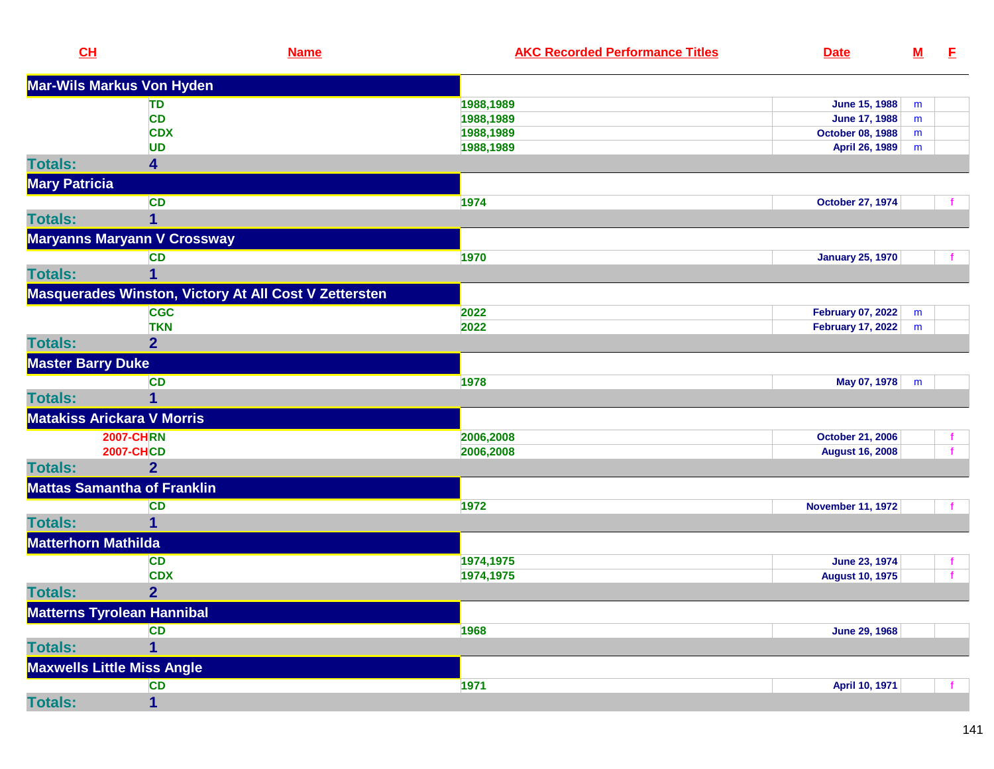| CL                         | <b>Name</b>                                           | <b>AKC Recorded Performance Titles</b> | <b>Date</b>              | $\underline{\mathsf{M}}$ | E.           |
|----------------------------|-------------------------------------------------------|----------------------------------------|--------------------------|--------------------------|--------------|
|                            | Mar-Wils Markus Von Hyden                             |                                        |                          |                          |              |
|                            | TD                                                    | 1988,1989                              | <b>June 15, 1988</b>     | m                        |              |
|                            | <b>CD</b>                                             | 1988,1989                              | <b>June 17, 1988</b>     | m                        |              |
|                            | <b>CDX</b>                                            | 1988,1989                              | <b>October 08, 1988</b>  | m                        |              |
|                            | <b>UD</b>                                             | 1988,1989                              | April 26, 1989           | m                        |              |
| <b>Totals:</b>             | 4                                                     |                                        |                          |                          |              |
| <b>Mary Patricia</b>       |                                                       |                                        |                          |                          |              |
|                            | <b>CD</b>                                             | 1974                                   | <b>October 27, 1974</b>  |                          | f.           |
| <b>Totals:</b>             | 1                                                     |                                        |                          |                          |              |
|                            | Maryanns Maryann V Crossway                           |                                        |                          |                          |              |
|                            | <b>CD</b>                                             | 1970                                   | <b>January 25, 1970</b>  |                          |              |
| <b>Totals:</b>             |                                                       |                                        |                          |                          |              |
|                            | Masquerades Winston, Victory At All Cost V Zettersten |                                        |                          |                          |              |
|                            | <b>CGC</b>                                            | 2022                                   | <b>February 07, 2022</b> | m                        |              |
|                            | <b>TKN</b>                                            | 2022                                   | <b>February 17, 2022</b> | m                        |              |
| <b>Totals:</b>             | $\overline{2}$                                        |                                        |                          |                          |              |
| <b>Master Barry Duke</b>   |                                                       |                                        |                          |                          |              |
|                            | <b>CD</b>                                             | 1978                                   | May 07, 1978             | m                        |              |
| <b>Totals:</b>             |                                                       |                                        |                          |                          |              |
|                            | <b>Matakiss Arickara V Morris</b>                     |                                        |                          |                          |              |
|                            | <b>2007-CHRN</b>                                      | 2006,2008                              | <b>October 21, 2006</b>  |                          | Ť.           |
|                            | <b>2007-CHCD</b>                                      | 2006,2008                              | <b>August 16, 2008</b>   |                          | $\mathbf{f}$ |
| <b>Totals:</b>             | 2 <sup>1</sup>                                        |                                        |                          |                          |              |
|                            | <b>Mattas Samantha of Franklin</b>                    |                                        |                          |                          |              |
|                            | <b>CD</b>                                             | 1972                                   | <b>November 11, 1972</b> |                          |              |
| <b>Totals:</b>             |                                                       |                                        |                          |                          |              |
| <b>Matterhorn Mathilda</b> |                                                       |                                        |                          |                          |              |
|                            | CD                                                    | 1974,1975                              | June 23, 1974            |                          |              |
|                            | <b>CDX</b>                                            | 1974,1975                              | <b>August 10, 1975</b>   |                          |              |
| <b>Totals:</b>             | $\overline{2}$                                        |                                        |                          |                          |              |
|                            | <b>Matterns Tyrolean Hannibal</b>                     |                                        |                          |                          |              |
|                            | <b>CD</b>                                             | 1968                                   | <b>June 29, 1968</b>     |                          |              |
| <b>Totals:</b>             | 1                                                     |                                        |                          |                          |              |
|                            | <b>Maxwells Little Miss Angle</b>                     |                                        |                          |                          |              |
|                            | <b>CD</b>                                             | 1971                                   | April 10, 1971           |                          |              |
| <b>Totals:</b>             | $\mathbf{1}$                                          |                                        |                          |                          |              |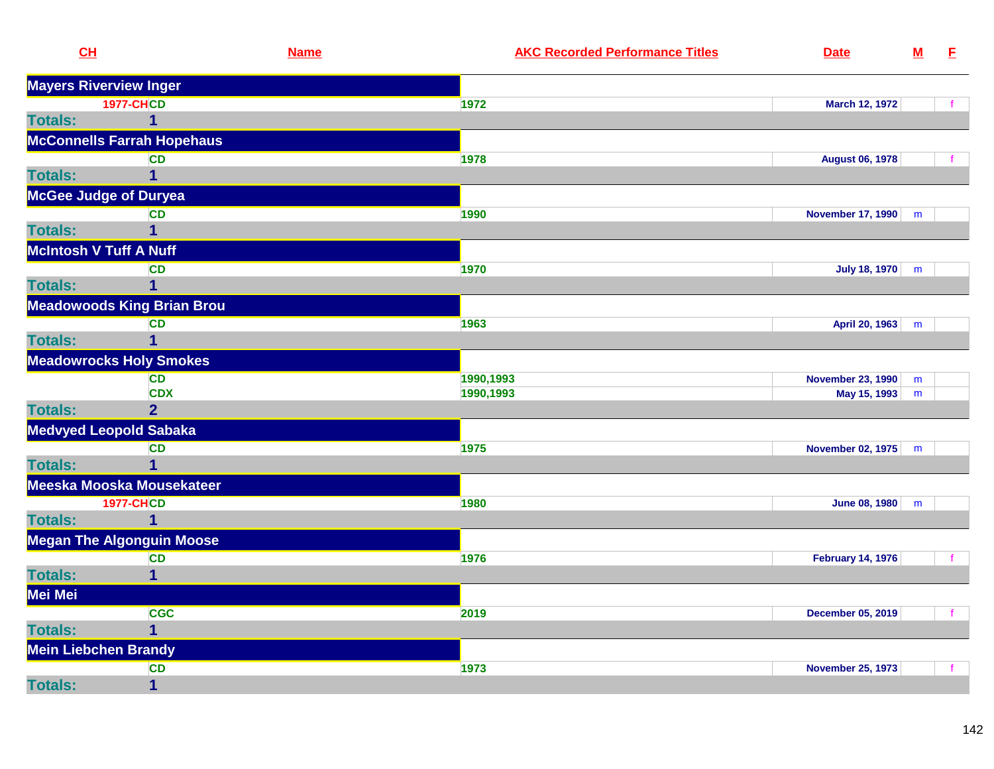| CL                            | <b>Name</b>                       |           | <b>AKC Recorded Performance Titles</b> | <b>Date</b>              | ${\bf M}$ | E            |
|-------------------------------|-----------------------------------|-----------|----------------------------------------|--------------------------|-----------|--------------|
| <b>Mayers Riverview Inger</b> |                                   |           |                                        |                          |           |              |
|                               | <b>1977-CHCD</b>                  | 1972      |                                        | March 12, 1972           |           | f            |
| <b>Totals:</b>                | $\mathbf{1}$                      |           |                                        |                          |           |              |
|                               | <b>McConnells Farrah Hopehaus</b> |           |                                        |                          |           |              |
|                               | <b>CD</b>                         | 1978      |                                        | <b>August 06, 1978</b>   |           |              |
| <b>Totals:</b>                | 1                                 |           |                                        |                          |           |              |
| <b>McGee Judge of Duryea</b>  |                                   |           |                                        |                          |           |              |
|                               | CD                                | 1990      |                                        | <b>November 17, 1990</b> | m         |              |
| <b>Totals:</b>                | $\overline{1}$                    |           |                                        |                          |           |              |
| <b>McIntosh V Tuff A Nuff</b> |                                   |           |                                        |                          |           |              |
|                               | <b>CD</b>                         | 1970      |                                        | <b>July 18, 1970</b>     | m         |              |
| <b>Totals:</b>                | $\mathbf 1$                       |           |                                        |                          |           |              |
|                               | <b>Meadowoods King Brian Brou</b> |           |                                        |                          |           |              |
|                               | <b>CD</b>                         | 1963      |                                        | April 20, 1963           | m         |              |
| <b>Totals:</b>                | $\overline{1}$                    |           |                                        |                          |           |              |
|                               | <b>Meadowrocks Holy Smokes</b>    |           |                                        |                          |           |              |
|                               | <b>CD</b>                         | 1990,1993 |                                        | <b>November 23, 1990</b> | m         |              |
|                               | <b>CDX</b>                        | 1990,1993 |                                        | May 15, 1993             | m         |              |
| <b>Totals:</b>                | $\overline{2}$                    |           |                                        |                          |           |              |
|                               | <b>Medvyed Leopold Sabaka</b>     |           |                                        |                          |           |              |
|                               | <b>CD</b>                         | 1975      |                                        | <b>November 02, 1975</b> | m         |              |
| <b>Totals:</b>                | $\overline{1}$                    |           |                                        |                          |           |              |
|                               | Meeska Mooska Mousekateer         |           |                                        |                          |           |              |
|                               | <b>1977-CHCD</b>                  | 1980      |                                        | June 08, 1980            | m         |              |
| <b>Totals:</b>                | $\overline{1}$                    |           |                                        |                          |           |              |
|                               | <b>Megan The Algonguin Moose</b>  |           |                                        |                          |           |              |
|                               | <b>CD</b>                         | 1976      |                                        | <b>February 14, 1976</b> |           | f.           |
| <b>Totals:</b>                | $\overline{1}$                    |           |                                        |                          |           |              |
| Mei Mei                       |                                   |           |                                        |                          |           |              |
|                               | <b>CGC</b>                        | 2019      |                                        | <b>December 05, 2019</b> |           | $\mathbf{f}$ |
| <b>Totals:</b>                | $\mathbf 1$                       |           |                                        |                          |           |              |
| <b>Mein Liebchen Brandy</b>   |                                   |           |                                        |                          |           |              |
|                               | CD                                | 1973      |                                        | <b>November 25, 1973</b> |           | f            |
| <b>Totals:</b>                | $\overline{1}$                    |           |                                        |                          |           |              |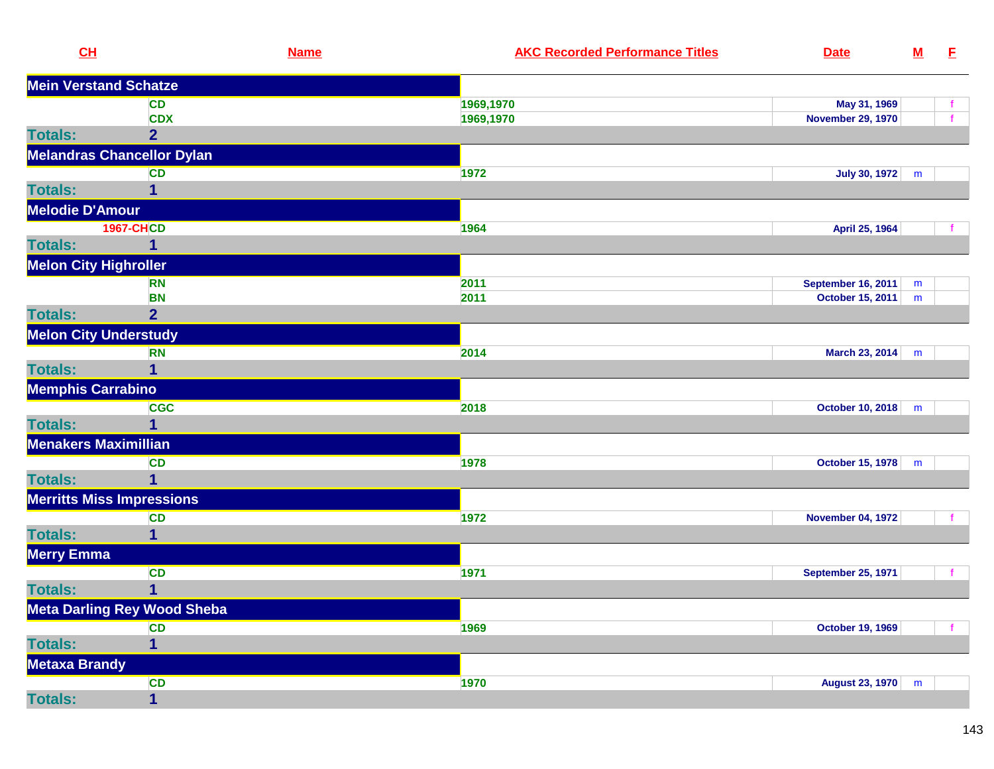| CL                           |                                    | <b>Name</b> | <b>AKC Recorded Performance Titles</b> | <b>Date</b>               | $\underline{\mathsf{M}}$ | E            |
|------------------------------|------------------------------------|-------------|----------------------------------------|---------------------------|--------------------------|--------------|
| <b>Mein Verstand Schatze</b> |                                    |             |                                        |                           |                          |              |
|                              | CD                                 |             | 1969,1970                              | May 31, 1969              |                          | t.           |
|                              | <b>CDX</b>                         |             | 1969,1970                              | <b>November 29, 1970</b>  |                          | f.           |
| <b>Totals:</b>               | $\overline{2}$                     |             |                                        |                           |                          |              |
|                              | <b>Melandras Chancellor Dylan</b>  |             |                                        |                           |                          |              |
|                              | <b>CD</b>                          |             | 1972                                   | <b>July 30, 1972</b>      | m                        |              |
| <b>Totals:</b>               |                                    |             |                                        |                           |                          |              |
| <b>Melodie D'Amour</b>       |                                    |             |                                        |                           |                          |              |
|                              | <b>1967-CHCD</b>                   |             | 1964                                   | April 25, 1964            |                          |              |
| <b>Totals:</b>               | 1                                  |             |                                        |                           |                          |              |
| <b>Melon City Highroller</b> |                                    |             |                                        |                           |                          |              |
|                              | <b>RN</b>                          |             | 2011                                   | <b>September 16, 2011</b> | m                        |              |
|                              | <b>BN</b>                          |             | 2011                                   | October 15, 2011          | m                        |              |
| <b>Totals:</b>               | $\overline{2}$                     |             |                                        |                           |                          |              |
| <b>Melon City Understudy</b> |                                    |             |                                        |                           |                          |              |
|                              | <b>RN</b>                          |             | 2014                                   | <b>March 23, 2014</b>     | m                        |              |
| <b>Totals:</b>               | 1                                  |             |                                        |                           |                          |              |
| <b>Memphis Carrabino</b>     |                                    |             |                                        |                           |                          |              |
|                              | <b>CGC</b>                         |             | 2018                                   | <b>October 10, 2018</b>   | m                        |              |
| <b>Totals:</b>               | 1                                  |             |                                        |                           |                          |              |
| <b>Menakers Maximillian</b>  |                                    |             |                                        |                           |                          |              |
|                              | <b>CD</b>                          |             | 1978                                   | <b>October 15, 1978</b>   | m                        |              |
| <b>Totals:</b>               | $\overline{1}$                     |             |                                        |                           |                          |              |
|                              | <b>Merritts Miss Impressions</b>   |             |                                        |                           |                          |              |
|                              | <b>CD</b>                          |             | 1972                                   | <b>November 04, 1972</b>  |                          | $\mathbf{f}$ |
| <b>Totals:</b>               | 1                                  |             |                                        |                           |                          |              |
| Merry Emma                   |                                    |             |                                        |                           |                          |              |
|                              | <b>CD</b>                          |             | 1971                                   | <b>September 25, 1971</b> |                          | $\mathbf{f}$ |
| <b>Totals:</b>               | 1                                  |             |                                        |                           |                          |              |
|                              | <b>Meta Darling Rey Wood Sheba</b> |             |                                        |                           |                          |              |
|                              | <b>CD</b>                          |             | 1969                                   | <b>October 19, 1969</b>   |                          | $\mathbf{f}$ |
| <b>Totals:</b>               | $\overline{\mathbf{1}}$            |             |                                        |                           |                          |              |
| <b>Metaxa Brandy</b>         |                                    |             |                                        |                           |                          |              |
|                              | <b>CD</b>                          |             | 1970                                   | <b>August 23, 1970</b>    | m                        |              |
| <b>Totals:</b>               | $\mathbf{1}$                       |             |                                        |                           |                          |              |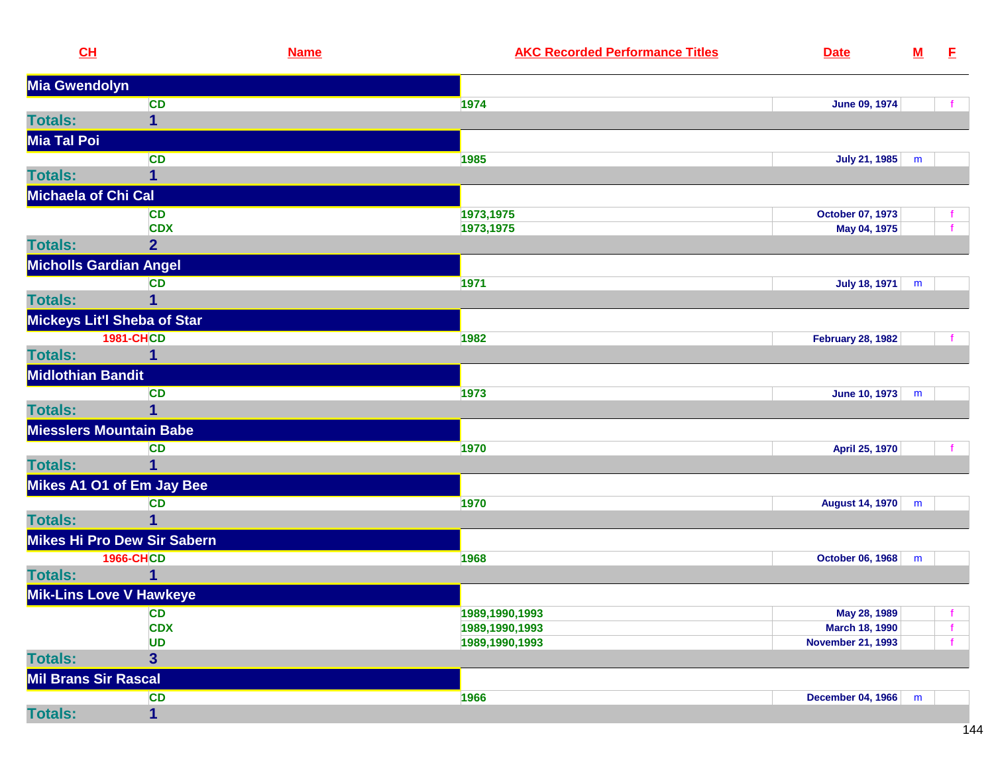| CL                             |                                    | <b>Name</b> | <b>AKC Recorded Performance Titles</b> | <b>Date</b>              | ${\bf M}$ | E            |
|--------------------------------|------------------------------------|-------------|----------------------------------------|--------------------------|-----------|--------------|
| Mia Gwendolyn                  |                                    |             |                                        |                          |           |              |
|                                | <b>CD</b>                          |             | 1974                                   | <b>June 09, 1974</b>     |           |              |
| <b>Totals:</b>                 | $\mathbf 1$                        |             |                                        |                          |           |              |
| Mia Tal Poi                    |                                    |             |                                        |                          |           |              |
|                                | <b>CD</b>                          |             | 1985                                   | July 21, 1985            | m         |              |
| <b>Totals:</b>                 | 1                                  |             |                                        |                          |           |              |
| Michaela of Chi Cal            |                                    |             |                                        |                          |           |              |
|                                | <b>CD</b>                          |             | 1973,1975                              | October 07, 1973         |           |              |
|                                | <b>CDX</b>                         |             | 1973,1975                              | May 04, 1975             |           | $\mathbf{f}$ |
| <b>Totals:</b>                 | 2 <sub>1</sub>                     |             |                                        |                          |           |              |
| <b>Micholls Gardian Angel</b>  |                                    |             |                                        |                          |           |              |
|                                | <b>CD</b>                          |             | 1971                                   | July 18, 1971            | m         |              |
| <b>Totals:</b>                 | 1                                  |             |                                        |                          |           |              |
|                                | <b>Mickeys Lit'l Sheba of Star</b> |             |                                        |                          |           |              |
|                                | <b>1981-CHCD</b>                   |             | 1982                                   | <b>February 28, 1982</b> |           |              |
| <b>Totals:</b>                 | 1                                  |             |                                        |                          |           |              |
| <b>Midlothian Bandit</b>       |                                    |             |                                        |                          |           |              |
|                                | <b>CD</b>                          |             | 1973                                   | June 10, 1973            | m         |              |
| <b>Totals:</b>                 | 1                                  |             |                                        |                          |           |              |
| <b>Miesslers Mountain Babe</b> |                                    |             |                                        |                          |           |              |
|                                | <b>CD</b>                          |             | 1970                                   | April 25, 1970           |           |              |
| <b>Totals:</b>                 | 1                                  |             |                                        |                          |           |              |
|                                | Mikes A1 O1 of Em Jay Bee          |             |                                        |                          |           |              |
|                                | <b>CD</b>                          |             | 1970                                   | August 14, 1970          | m         |              |
| <b>Totals:</b>                 | 1                                  |             |                                        |                          |           |              |
|                                | <b>Mikes Hi Pro Dew Sir Sabern</b> |             |                                        |                          |           |              |
|                                | <b>1966-CHCD</b>                   |             | 1968                                   | October 06, 1968         | m         |              |
| <b>Totals:</b>                 |                                    |             |                                        |                          |           |              |
| <b>Mik-Lins Love V Hawkeye</b> |                                    |             |                                        |                          |           |              |
|                                | <b>CD</b>                          |             | 1989,1990,1993                         | May 28, 1989             |           | f            |
|                                | <b>CDX</b>                         |             | 1989,1990,1993                         | March 18, 1990           |           | $\mathbf f$  |
|                                | <b>UD</b>                          |             | 1989,1990,1993                         | <b>November 21, 1993</b> |           | $\mathbf{f}$ |
| <b>Totals:</b>                 | 3                                  |             |                                        |                          |           |              |
| <b>Mil Brans Sir Rascal</b>    |                                    |             |                                        |                          |           |              |
|                                | <b>CD</b>                          |             | 1966                                   | <b>December 04, 1966</b> | m         |              |
| <b>Totals:</b>                 | $\mathbf{1}$                       |             |                                        |                          |           |              |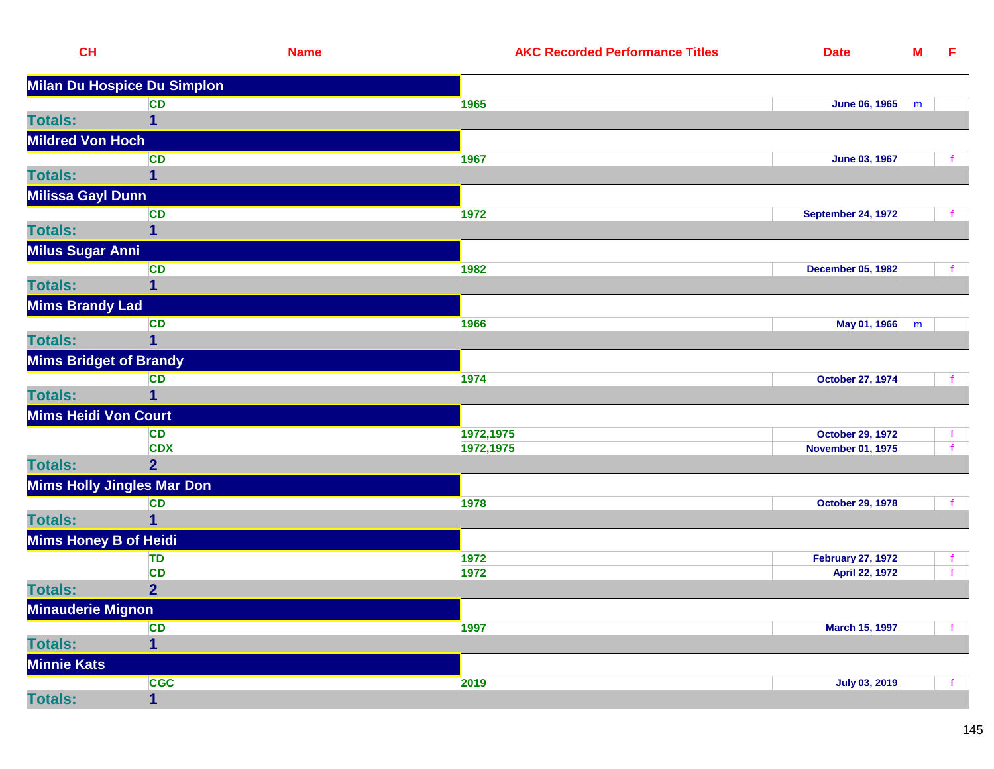| CL                            | <b>Name</b>                 | <b>AKC Recorded Performance Titles</b> | <b>Date</b>               | ${\bf M}$ | E            |
|-------------------------------|-----------------------------|----------------------------------------|---------------------------|-----------|--------------|
|                               | Milan Du Hospice Du Simplon |                                        |                           |           |              |
|                               | <b>CD</b>                   | 1965                                   | <b>June 06, 1965</b>      | m         |              |
| <b>Totals:</b>                | $\mathbf{1}$                |                                        |                           |           |              |
| <b>Mildred Von Hoch</b>       |                             |                                        |                           |           |              |
|                               | <b>CD</b>                   | 1967                                   | June 03, 1967             |           |              |
| <b>Totals:</b>                | 1                           |                                        |                           |           |              |
| Milissa Gayl Dunn             |                             |                                        |                           |           |              |
|                               | <b>CD</b>                   | 1972                                   | <b>September 24, 1972</b> |           |              |
| <b>Totals:</b>                | 1                           |                                        |                           |           |              |
| <b>Milus Sugar Anni</b>       |                             |                                        |                           |           |              |
|                               | <b>CD</b>                   | 1982                                   | <b>December 05, 1982</b>  |           |              |
| <b>Totals:</b>                | 1                           |                                        |                           |           |              |
| <b>Mims Brandy Lad</b>        |                             |                                        |                           |           |              |
|                               | <b>CD</b>                   | 1966                                   | May 01, 1966              | m         |              |
| <b>Totals:</b>                | 1                           |                                        |                           |           |              |
| <b>Mims Bridget of Brandy</b> |                             |                                        |                           |           |              |
|                               | <b>CD</b>                   | 1974                                   | <b>October 27, 1974</b>   |           |              |
| <b>Totals:</b>                | 1                           |                                        |                           |           |              |
| Mims Heidi Von Court          |                             |                                        |                           |           |              |
|                               | <b>CD</b>                   | 1972,1975                              | <b>October 29, 1972</b>   |           | f.           |
|                               | <b>CDX</b>                  | 1972,1975                              | <b>November 01, 1975</b>  |           | $\mathbf{f}$ |
| <b>Totals:</b>                | $\overline{2}$              |                                        |                           |           |              |
| Mims Holly Jingles Mar Don    |                             |                                        |                           |           |              |
|                               | <b>CD</b>                   | 1978                                   | <b>October 29, 1978</b>   |           |              |
| <b>Totals:</b>                | $\overline{1}$              |                                        |                           |           |              |
| Mims Honey B of Heidi         |                             |                                        |                           |           |              |
|                               | <b>TD</b>                   | 1972                                   | <b>February 27, 1972</b>  |           | f.           |
|                               | <b>CD</b>                   | 1972                                   | April 22, 1972            |           | $\mathbf{f}$ |
| <b>Totals:</b>                | $\overline{2}$              |                                        |                           |           |              |
| <b>Minauderie Mignon</b>      |                             |                                        |                           |           |              |
|                               | <b>CD</b>                   | 1997                                   | <b>March 15, 1997</b>     |           |              |
| <b>Totals:</b>                | 1                           |                                        |                           |           |              |
| <b>Minnie Kats</b>            |                             |                                        |                           |           |              |
|                               | <b>CGC</b>                  | 2019                                   | <b>July 03, 2019</b>      |           |              |
| <b>Totals:</b>                | 1                           |                                        |                           |           |              |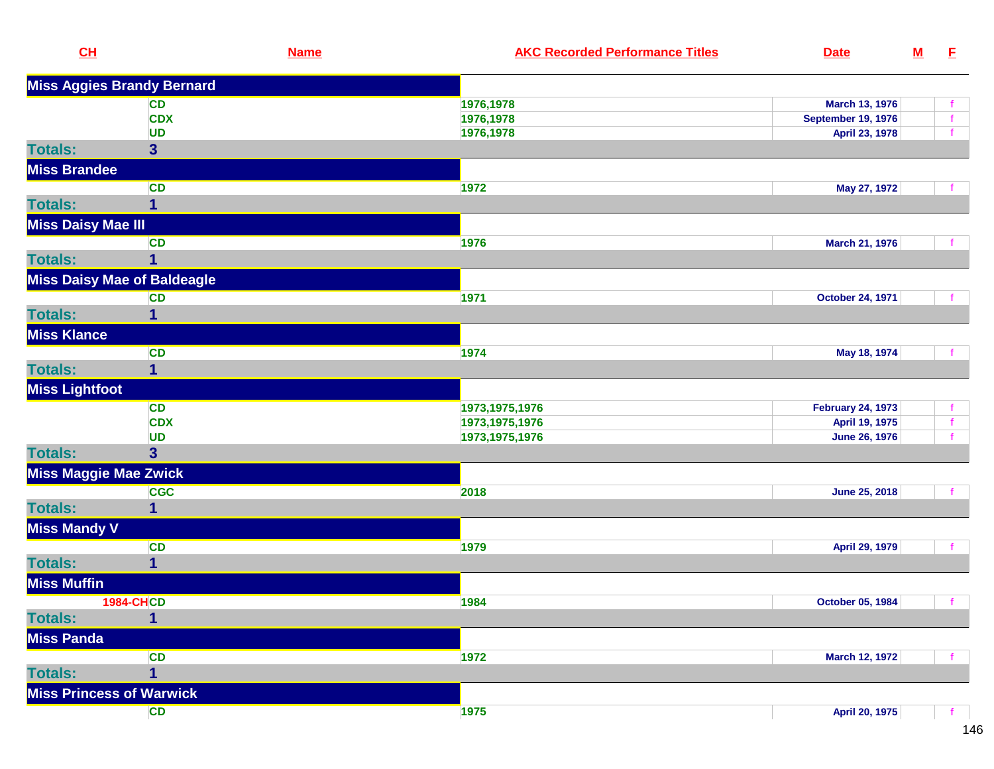| CL                                 | <b>Name</b>             | <b>AKC Recorded Performance Titles</b> | <b>Date</b>               | ${\bf M}$ | E. |
|------------------------------------|-------------------------|----------------------------------------|---------------------------|-----------|----|
| <b>Miss Aggies Brandy Bernard</b>  |                         |                                        |                           |           |    |
|                                    | <b>CD</b>               | 1976,1978                              | March 13, 1976            |           |    |
|                                    | <b>CDX</b>              | 1976,1978                              | <b>September 19, 1976</b> |           | f. |
|                                    | <b>UD</b>               | 1976,1978                              | April 23, 1978            |           |    |
| <b>Totals:</b>                     | $\overline{\mathbf{3}}$ |                                        |                           |           |    |
| <b>Miss Brandee</b>                |                         |                                        |                           |           |    |
|                                    | <b>CD</b>               | 1972                                   | May 27, 1972              |           |    |
| <b>Totals:</b>                     | $\overline{\mathbf{1}}$ |                                        |                           |           |    |
| <b>Miss Daisy Mae III</b>          |                         |                                        |                           |           |    |
|                                    | <b>CD</b>               | 1976                                   | March 21, 1976            |           |    |
| <b>Totals:</b>                     | 1                       |                                        |                           |           |    |
| <b>Miss Daisy Mae of Baldeagle</b> |                         |                                        |                           |           |    |
|                                    | <b>CD</b>               | 1971                                   | October 24, 1971          |           |    |
| <b>Totals:</b>                     | $\mathbf{1}$            |                                        |                           |           |    |
| <b>Miss Klance</b>                 |                         |                                        |                           |           |    |
|                                    | <b>CD</b>               | 1974                                   | May 18, 1974              |           |    |
| <b>Totals:</b>                     | $\mathbf{1}$            |                                        |                           |           |    |
| <b>Miss Lightfoot</b>              |                         |                                        |                           |           |    |
|                                    | <b>CD</b>               | 1973, 1975, 1976                       | <b>February 24, 1973</b>  |           |    |
|                                    | <b>CDX</b>              | 1973, 1975, 1976                       | April 19, 1975            |           |    |
|                                    | <b>UD</b>               | 1973, 1975, 1976                       | <b>June 26, 1976</b>      |           |    |
| <b>Totals:</b>                     | $\overline{\mathbf{3}}$ |                                        |                           |           |    |
| <b>Miss Maggie Mae Zwick</b>       |                         |                                        |                           |           |    |
|                                    | <b>CGC</b>              | 2018                                   | June 25, 2018             |           |    |
| <b>Totals:</b>                     | 1                       |                                        |                           |           |    |
| <b>Miss Mandy V</b>                |                         |                                        |                           |           |    |
|                                    | <b>CD</b>               | 1979                                   | April 29, 1979            |           | f. |
| <b>Totals:</b>                     | 1                       |                                        |                           |           |    |
| <b>Miss Muffin</b>                 |                         |                                        |                           |           |    |
|                                    | <b>1984-CHCD</b>        | 1984                                   | October 05, 1984          |           | f  |
| <b>Totals:</b>                     | $\mathbf{1}$            |                                        |                           |           |    |
| <b>Miss Panda</b>                  |                         |                                        |                           |           |    |
|                                    | <b>CD</b>               | 1972                                   | <b>March 12, 1972</b>     |           |    |
| <b>Totals:</b>                     | 1                       |                                        |                           |           |    |
| <b>Miss Princess of Warwick</b>    |                         |                                        |                           |           |    |
|                                    | <b>CD</b>               | 1975                                   | April 20, 1975            |           |    |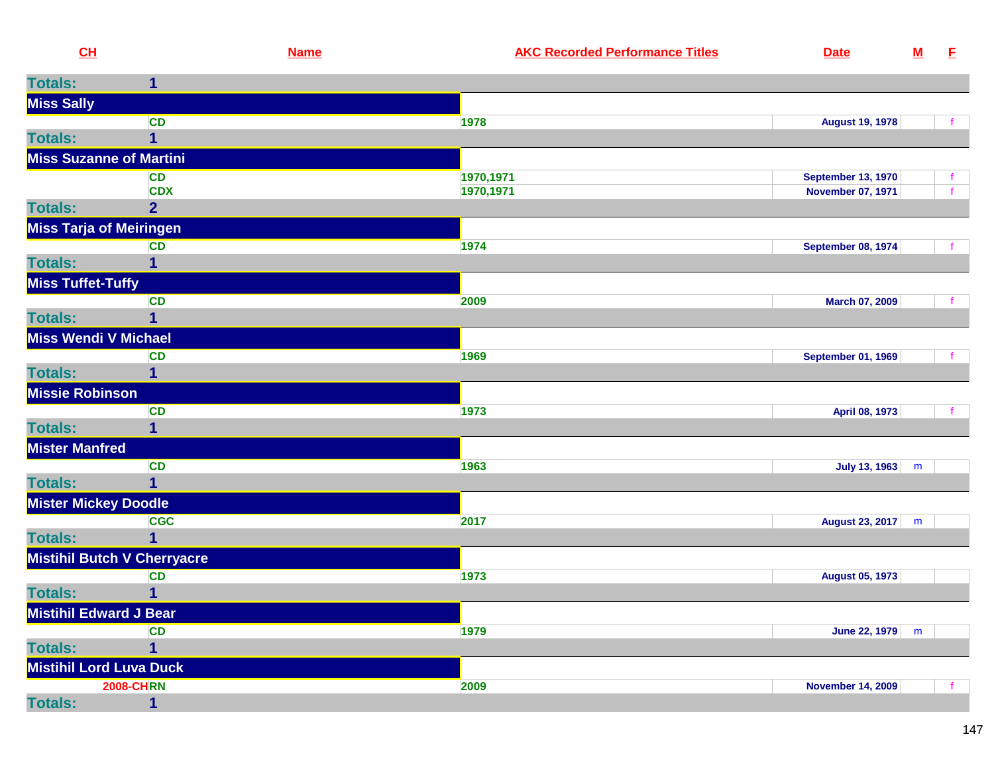| CL                             |                                    | <b>Name</b> | <b>AKC Recorded Performance Titles</b> | <b>Date</b>               | ${\bf M}$ | E            |
|--------------------------------|------------------------------------|-------------|----------------------------------------|---------------------------|-----------|--------------|
| <b>Totals:</b>                 | 1                                  |             |                                        |                           |           |              |
| <b>Miss Sally</b>              |                                    |             |                                        |                           |           |              |
|                                | <b>CD</b>                          |             | 1978                                   | <b>August 19, 1978</b>    |           | f.           |
| <b>Totals:</b>                 | $\overline{1}$                     |             |                                        |                           |           |              |
| <b>Miss Suzanne of Martini</b> |                                    |             |                                        |                           |           |              |
|                                | <b>CD</b>                          |             | 1970,1971                              | <b>September 13, 1970</b> |           | f.           |
|                                | <b>CDX</b>                         |             | 1970,1971                              | <b>November 07, 1971</b>  |           | $\mathbf{f}$ |
| <b>Totals:</b>                 | $\overline{2}$                     |             |                                        |                           |           |              |
| <b>Miss Tarja of Meiringen</b> |                                    |             |                                        |                           |           |              |
|                                | <b>CD</b>                          |             | 1974                                   | <b>September 08, 1974</b> |           | $\mathbf{f}$ |
| <b>Totals:</b>                 | 1                                  |             |                                        |                           |           |              |
| <b>Miss Tuffet-Tuffy</b>       |                                    |             |                                        |                           |           |              |
|                                | <b>CD</b>                          |             | 2009                                   | March 07, 2009            |           | $\mathbf{f}$ |
| <b>Totals:</b>                 | 1                                  |             |                                        |                           |           |              |
| <b>Miss Wendi V Michael</b>    |                                    |             |                                        |                           |           |              |
|                                | <b>CD</b>                          |             | 1969                                   | <b>September 01, 1969</b> |           |              |
| <b>Totals:</b>                 | 1                                  |             |                                        |                           |           |              |
| <b>Missie Robinson</b>         |                                    |             |                                        |                           |           |              |
|                                | <b>CD</b>                          |             | 1973                                   | April 08, 1973            |           | $\mathbf{f}$ |
| <b>Totals:</b>                 | 1                                  |             |                                        |                           |           |              |
| <b>Mister Manfred</b>          |                                    |             |                                        |                           |           |              |
| <b>Totals:</b>                 | <b>CD</b><br>$\overline{1}$        |             | 1963                                   | <b>July 13, 1963</b>      | m         |              |
|                                |                                    |             |                                        |                           |           |              |
| <b>Mister Mickey Doodle</b>    |                                    |             |                                        |                           |           |              |
| <b>Totals:</b>                 | <b>CGC</b><br>1                    |             | 2017                                   | August 23, 2017           | m         |              |
|                                |                                    |             |                                        |                           |           |              |
|                                | <b>Mistihil Butch V Cherryacre</b> |             |                                        |                           |           |              |
| <b>Totals:</b>                 | <b>CD</b><br>1                     |             | 1973                                   | <b>August 05, 1973</b>    |           |              |
|                                |                                    |             |                                        |                           |           |              |
| <b>Mistihil Edward J Bear</b>  |                                    |             |                                        |                           |           |              |
| <b>Totals:</b>                 | <b>CD</b><br>1                     |             | 1979                                   | <b>June 22, 1979</b>      | m         |              |
| <b>Mistihil Lord Luva Duck</b> |                                    |             |                                        |                           |           |              |
|                                |                                    |             |                                        |                           |           |              |
| <b>Totals:</b>                 | <b>2008-CHRN</b><br>$\mathbf{1}$   |             | 2009                                   | <b>November 14, 2009</b>  |           |              |
|                                |                                    |             |                                        |                           |           |              |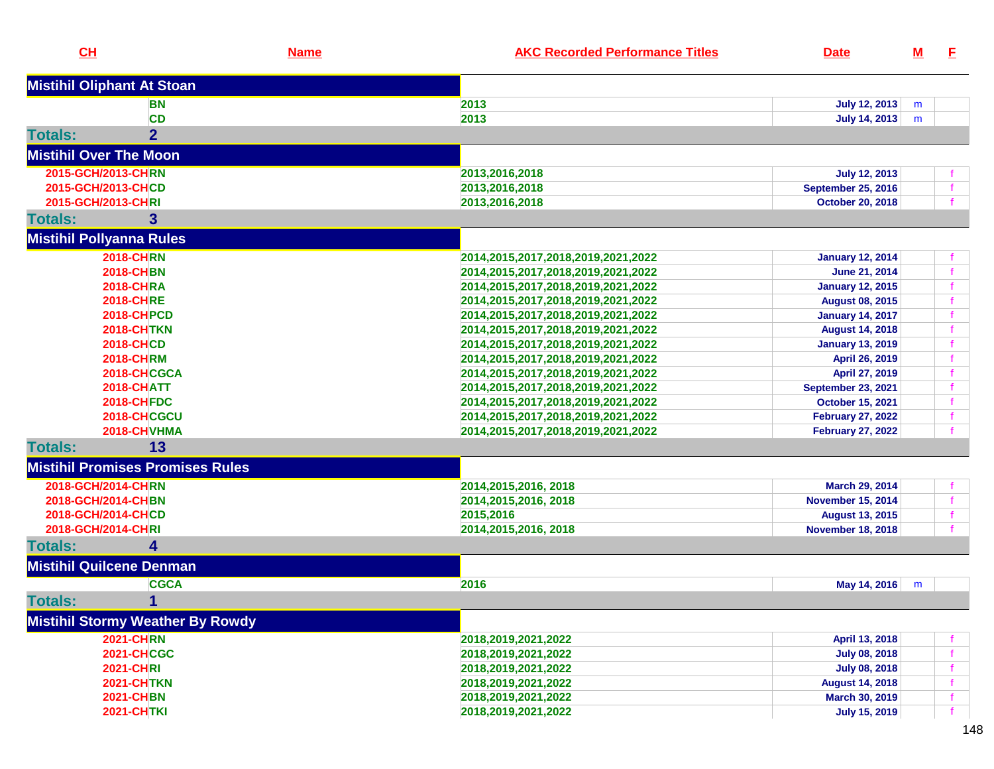| CH                                      | <b>Name</b> | <b>AKC Recorded Performance Titles</b> | <b>Date</b>               | <u>M</u> | E |
|-----------------------------------------|-------------|----------------------------------------|---------------------------|----------|---|
| <b>Mistihil Oliphant At Stoan</b>       |             |                                        |                           |          |   |
| <b>BN</b>                               |             | 2013                                   | <b>July 12, 2013</b>      | m        |   |
| <b>CD</b>                               |             | 2013                                   | July 14, 2013             | m        |   |
| $\overline{2}$<br><b>Totals:</b>        |             |                                        |                           |          |   |
| <b>Mistihil Over The Moon</b>           |             |                                        |                           |          |   |
| 2015-GCH/2013-CHRN                      |             | 2013,2016,2018                         | <b>July 12, 2013</b>      |          |   |
| 2015-GCH/2013-CHCD                      |             | 2013,2016,2018                         | <b>September 25, 2016</b> |          |   |
| 2015-GCH/2013-CHRI                      |             | 2013,2016,2018                         | <b>October 20, 2018</b>   |          |   |
| <b>Totals:</b><br>3                     |             |                                        |                           |          |   |
| <b>Mistihil Pollyanna Rules</b>         |             |                                        |                           |          |   |
| <b>2018-CHRN</b>                        |             | 2014,2015,2017,2018,2019,2021,2022     | <b>January 12, 2014</b>   |          |   |
| <b>2018-CHBN</b>                        |             | 2014,2015,2017,2018,2019,2021,2022     | June 21, 2014             |          |   |
| <b>2018-CHRA</b>                        |             | 2014,2015,2017,2018,2019,2021,2022     | <b>January 12, 2015</b>   |          |   |
| <b>2018-CHRE</b>                        |             | 2014,2015,2017,2018,2019,2021,2022     | <b>August 08, 2015</b>    |          |   |
| <b>2018-CHPCD</b>                       |             | 2014,2015,2017,2018,2019,2021,2022     | <b>January 14, 2017</b>   |          |   |
| <b>2018-CHTKN</b>                       |             | 2014,2015,2017,2018,2019,2021,2022     | <b>August 14, 2018</b>    |          |   |
| <b>2018-CHCD</b>                        |             | 2014,2015,2017,2018,2019,2021,2022     | <b>January 13, 2019</b>   |          |   |
| <b>2018-CHRM</b>                        |             | 2014,2015,2017,2018,2019,2021,2022     | April 26, 2019            |          |   |
| 2018-CHCGCA                             |             | 2014,2015,2017,2018,2019,2021,2022     | April 27, 2019            |          |   |
| <b>2018-CHATT</b>                       |             | 2014,2015,2017,2018,2019,2021,2022     | <b>September 23, 2021</b> |          |   |
| <b>2018-CHFDC</b>                       |             | 2014,2015,2017,2018,2019,2021,2022     | <b>October 15, 2021</b>   |          |   |
| 2018-CHCGCU                             |             | 2014,2015,2017,2018,2019,2021,2022     | <b>February 27, 2022</b>  |          |   |
| 2018-CHVHMA                             |             | 2014,2015,2017,2018,2019,2021,2022     | <b>February 27, 2022</b>  |          |   |
| 13<br><b>Totals:</b>                    |             |                                        |                           |          |   |
| <b>Mistihil Promises Promises Rules</b> |             |                                        |                           |          |   |
| 2018-GCH/2014-CHRN                      |             | 2014, 2015, 2016, 2018                 | March 29, 2014            |          |   |
| 2018-GCH/2014-CHBN                      |             | 2014, 2015, 2016, 2018                 | <b>November 15, 2014</b>  |          |   |
| 2018-GCH/2014-CHCD                      |             | 2015,2016                              | <b>August 13, 2015</b>    |          |   |
| 2018-GCH/2014-CHRI                      |             | 2014, 2015, 2016, 2018                 | <b>November 18, 2018</b>  |          |   |
| <b>Totals:</b><br>4                     |             |                                        |                           |          |   |
| <b>Mistihil Quilcene Denman</b>         |             |                                        |                           |          |   |
| <b>CGCA</b>                             |             | 2016                                   | May 14, 2016              | m        |   |
| 1<br><b>Totals:</b>                     |             |                                        |                           |          |   |
| <b>Mistihil Stormy Weather By Rowdy</b> |             |                                        |                           |          |   |
| <b>2021-CHRN</b>                        |             | 2018,2019,2021,2022                    | April 13, 2018            |          |   |
| <b>2021-CHCGC</b>                       |             | 2018, 2019, 2021, 2022                 | <b>July 08, 2018</b>      |          |   |
| <b>2021-CHRI</b>                        |             | 2018, 2019, 2021, 2022                 | <b>July 08, 2018</b>      |          |   |
| <b>2021-CHTKN</b>                       |             | 2018, 2019, 2021, 2022                 | <b>August 14, 2018</b>    |          |   |
| <b>2021-CHBN</b>                        |             | 2018, 2019, 2021, 2022                 | <b>March 30, 2019</b>     |          |   |
| <b>2021-CHTKI</b>                       |             | 2018, 2019, 2021, 2022                 | <b>July 15, 2019</b>      |          |   |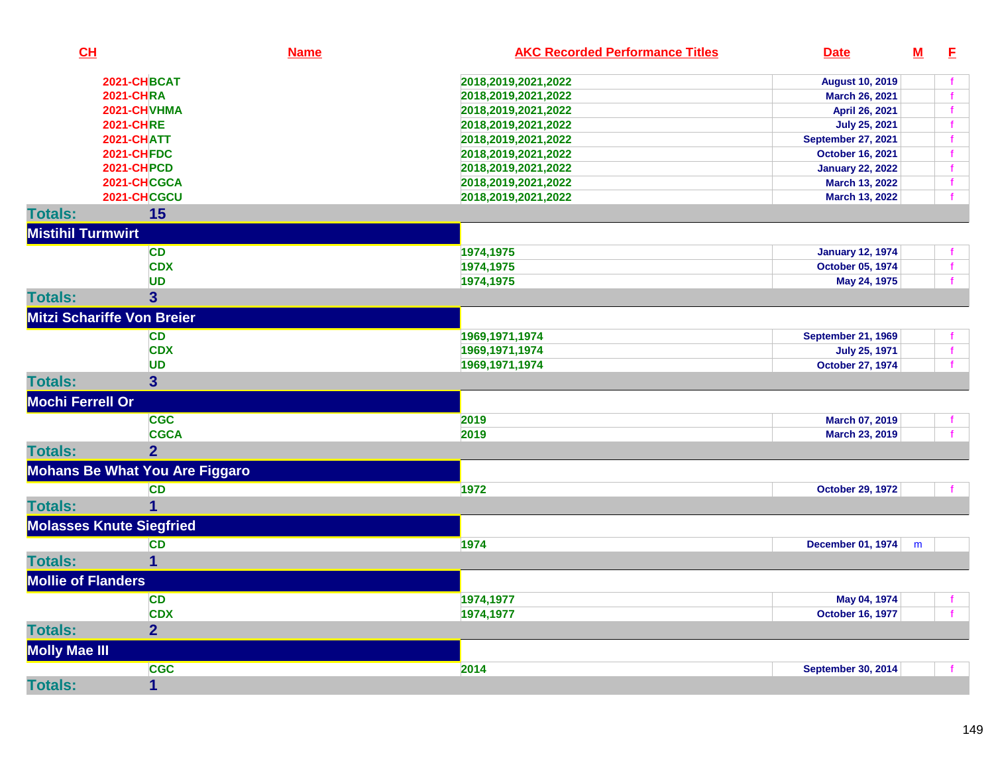| CL                                | <b>Name</b>                           | <b>AKC Recorded Performance Titles</b><br><b>Date</b> | $M$ | E            |
|-----------------------------------|---------------------------------------|-------------------------------------------------------|-----|--------------|
|                                   | 2021-CHBCAT                           | 2018,2019,2021,2022<br><b>August 10, 2019</b>         |     | $\mathbf f$  |
|                                   | <b>2021-CHRA</b>                      | 2018,2019,2021,2022<br>March 26, 2021                 |     | $\mathbf{f}$ |
|                                   | 2021-CHVHMA                           | 2018,2019,2021,2022<br>April 26, 2021                 |     | $\mathbf{f}$ |
|                                   | <b>2021-CHRE</b>                      | <b>July 25, 2021</b><br>2018,2019,2021,2022           |     | $\mathbf{f}$ |
|                                   | <b>2021-CHATT</b>                     | 2018,2019,2021,2022<br>September 27, 2021             |     | $\mathbf f$  |
|                                   | <b>2021-CHFDC</b>                     | <b>October 16, 2021</b><br>2018,2019,2021,2022        |     | $\mathbf f$  |
|                                   | <b>2021-CHPCD</b>                     | 2018,2019,2021,2022<br><b>January 22, 2022</b>        |     | $\mathbf f$  |
|                                   | 2021-CHCGCA                           | March 13, 2022<br>2018, 2019, 2021, 2022              |     | $\mathbf f$  |
|                                   | 2021-CHCGCU                           | 2018,2019,2021,2022<br>March 13, 2022                 |     |              |
| <b>Totals:</b>                    | 15                                    |                                                       |     |              |
| <b>Mistihil Turmwirt</b>          |                                       |                                                       |     |              |
|                                   | CD                                    | 1974,1975<br><b>January 12, 1974</b>                  |     | $\mathbf{f}$ |
|                                   | <b>CDX</b>                            | 1974,1975<br>October 05, 1974                         |     | $\mathbf{f}$ |
|                                   | <b>UD</b>                             | 1974,1975<br>May 24, 1975                             |     | $\mathbf{f}$ |
| <b>Totals:</b>                    | 3                                     |                                                       |     |              |
| <b>Mitzi Schariffe Von Breier</b> |                                       |                                                       |     |              |
|                                   | CD                                    | 1969, 1971, 1974<br><b>September 21, 1969</b>         |     |              |
|                                   | <b>CDX</b>                            | 1969, 1971, 1974<br><b>July 25, 1971</b>              |     | $\mathbf{f}$ |
|                                   | <b>UD</b>                             | <b>October 27, 1974</b><br>1969, 1971, 1974           |     | $\mathbf{f}$ |
| <b>Totals:</b>                    | 3 <sup>5</sup>                        |                                                       |     |              |
| <b>Mochi Ferrell Or</b>           |                                       |                                                       |     |              |
|                                   | <b>CGC</b>                            | 2019<br>March 07, 2019                                |     |              |
|                                   | <b>CGCA</b>                           | 2019<br>March 23, 2019                                |     | $\mathbf{f}$ |
| <b>Totals:</b>                    | $\overline{2}$                        |                                                       |     |              |
|                                   | <b>Mohans Be What You Are Figgaro</b> |                                                       |     |              |
|                                   | <b>CD</b>                             | 1972<br><b>October 29, 1972</b>                       |     |              |
| <b>Totals:</b>                    | $\overline{1}$                        |                                                       |     |              |
| <b>Molasses Knute Siegfried</b>   |                                       |                                                       |     |              |
|                                   | <b>CD</b>                             | 1974<br>December 01, 1974                             | m   |              |
| <b>Totals:</b>                    | 1                                     |                                                       |     |              |
| <b>Mollie of Flanders</b>         |                                       |                                                       |     |              |
|                                   | <b>CD</b>                             | 1974,1977<br>May 04, 1974                             |     | f.           |
|                                   | <b>CDX</b>                            | 1974,1977<br><b>October 16, 1977</b>                  |     | $\mathbf{f}$ |
| <b>Totals:</b>                    | $\overline{2}$                        |                                                       |     |              |
| <b>Molly Mae III</b>              |                                       |                                                       |     |              |
|                                   | <b>CGC</b>                            | 2014<br>September 30, 2014                            |     |              |
| <b>Totals:</b>                    | $\mathbf 1$                           |                                                       |     |              |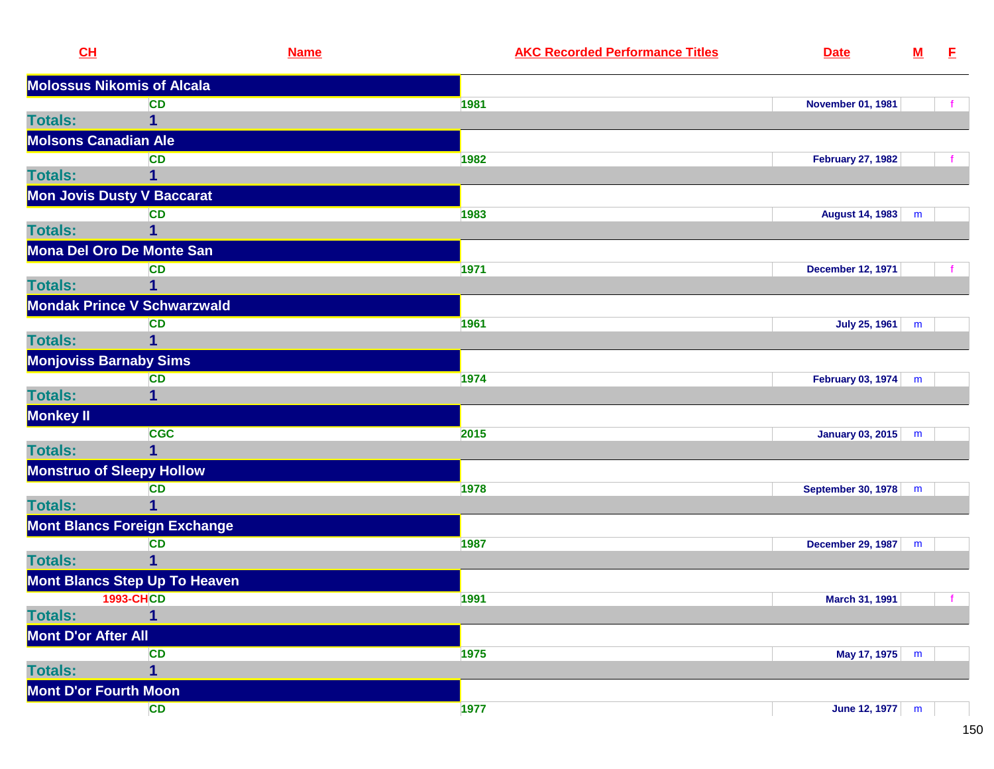| CH                            | <b>Name</b>                          | <b>AKC Recorded Performance Titles</b> | <b>Date</b>               | ${\bf M}$ | E. |
|-------------------------------|--------------------------------------|----------------------------------------|---------------------------|-----------|----|
|                               | <b>Molossus Nikomis of Alcala</b>    |                                        |                           |           |    |
|                               | <b>CD</b>                            | 1981                                   | <b>November 01, 1981</b>  |           |    |
| <b>Totals:</b>                | $\mathbf 1$                          |                                        |                           |           |    |
| <b>Molsons Canadian Ale</b>   |                                      |                                        |                           |           |    |
|                               | <b>CD</b>                            | 1982                                   | <b>February 27, 1982</b>  |           |    |
| <b>Totals:</b>                | 1                                    |                                        |                           |           |    |
|                               | <b>Mon Jovis Dusty V Baccarat</b>    |                                        |                           |           |    |
|                               | <b>CD</b>                            | 1983                                   | <b>August 14, 1983</b>    | m         |    |
| <b>Totals:</b>                |                                      |                                        |                           |           |    |
|                               | Mona Del Oro De Monte San            |                                        |                           |           |    |
|                               | <b>CD</b>                            | 1971                                   | <b>December 12, 1971</b>  |           |    |
| <b>Totals:</b>                | 1                                    |                                        |                           |           |    |
|                               | <b>Mondak Prince V Schwarzwald</b>   |                                        |                           |           |    |
|                               | <b>CD</b>                            | 1961                                   | July 25, 1961             | m         |    |
| <b>Totals:</b>                |                                      |                                        |                           |           |    |
| <b>Monjoviss Barnaby Sims</b> |                                      |                                        |                           |           |    |
|                               | <b>CD</b>                            | 1974                                   | February 03, 1974         | m         |    |
| <b>Totals:</b>                | 1                                    |                                        |                           |           |    |
| Monkey II                     |                                      |                                        |                           |           |    |
|                               | <b>CGC</b>                           | 2015                                   | <b>January 03, 2015</b>   | m         |    |
| <b>Totals:</b>                | 1                                    |                                        |                           |           |    |
|                               | <b>Monstruo of Sleepy Hollow</b>     |                                        |                           |           |    |
|                               | <b>CD</b>                            | 1978                                   | <b>September 30, 1978</b> | m         |    |
| <b>Totals:</b>                | 1                                    |                                        |                           |           |    |
|                               | <b>Mont Blancs Foreign Exchange</b>  |                                        |                           |           |    |
|                               | <b>CD</b>                            | 1987                                   | December 29, 1987         | m         |    |
| <b>Totals:</b>                | 1                                    |                                        |                           |           |    |
|                               | <b>Mont Blancs Step Up To Heaven</b> |                                        |                           |           |    |
|                               | <b>1993-CHCD</b>                     | 1991                                   | March 31, 1991            |           | f  |
| <b>Totals:</b>                | 1                                    |                                        |                           |           |    |
| <b>Mont D'or After All</b>    |                                      |                                        |                           |           |    |
|                               | <b>CD</b>                            | 1975                                   | May 17, 1975 m            |           |    |
| <b>Totals:</b>                | 1                                    |                                        |                           |           |    |
| <b>Mont D'or Fourth Moon</b>  |                                      |                                        |                           |           |    |
|                               | CD                                   | 1977                                   | June 12, 1977 m           |           |    |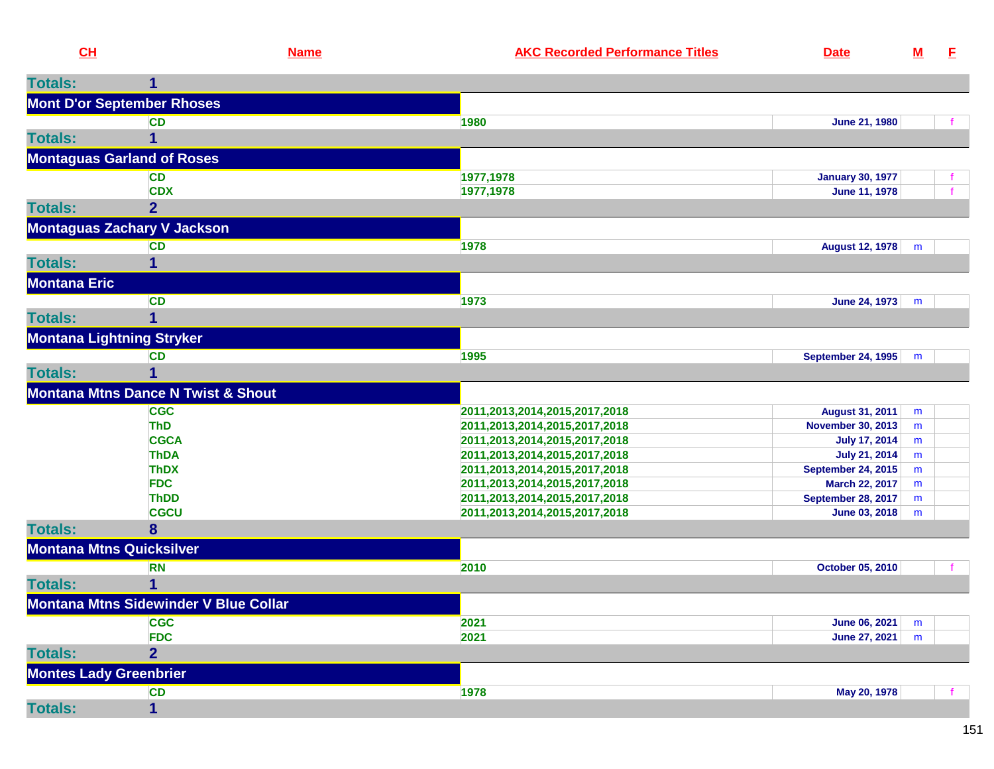|                     | CL                                            | <b>Name</b> | <b>AKC Recorded Performance Titles</b>                         | <b>Date</b>                                | $\underline{\mathsf{M}}$ | E. |
|---------------------|-----------------------------------------------|-------------|----------------------------------------------------------------|--------------------------------------------|--------------------------|----|
| <b>Totals:</b>      | 1                                             |             |                                                                |                                            |                          |    |
|                     | <b>Mont D'or September Rhoses</b>             |             |                                                                |                                            |                          |    |
|                     | <b>CD</b>                                     |             | 1980                                                           | <b>June 21, 1980</b>                       |                          |    |
| <b>Totals:</b>      | 1                                             |             |                                                                |                                            |                          |    |
|                     | <b>Montaguas Garland of Roses</b>             |             |                                                                |                                            |                          |    |
|                     | <b>CD</b>                                     |             | 1977,1978                                                      | <b>January 30, 1977</b>                    |                          |    |
|                     | <b>CDX</b>                                    |             | 1977,1978                                                      | June 11, 1978                              |                          |    |
| <b>Totals:</b>      | $\overline{2}$                                |             |                                                                |                                            |                          |    |
|                     | <b>Montaguas Zachary V Jackson</b>            |             |                                                                |                                            |                          |    |
|                     | <b>CD</b>                                     |             | 1978                                                           | <b>August 12, 1978</b>                     | m                        |    |
| <b>Totals:</b>      | 1                                             |             |                                                                |                                            |                          |    |
| <b>Montana Eric</b> |                                               |             |                                                                |                                            |                          |    |
|                     | <b>CD</b>                                     |             | 1973                                                           | June 24, 1973                              | m                        |    |
| <b>Totals:</b>      | $\mathbf 1$                                   |             |                                                                |                                            |                          |    |
|                     | <b>Montana Lightning Stryker</b>              |             |                                                                |                                            |                          |    |
|                     | <b>CD</b>                                     |             | 1995                                                           | <b>September 24, 1995</b>                  | m                        |    |
| <b>Totals:</b>      | 1                                             |             |                                                                |                                            |                          |    |
|                     | <b>Montana Mtns Dance N Twist &amp; Shout</b> |             |                                                                |                                            |                          |    |
|                     | <b>CGC</b>                                    |             | 2011,2013,2014,2015,2017,2018                                  | <b>August 31, 2011</b>                     | m                        |    |
|                     | <b>ThD</b>                                    |             | 2011,2013,2014,2015,2017,2018                                  | <b>November 30, 2013</b>                   | m                        |    |
|                     | <b>CGCA</b>                                   |             | 2011,2013,2014,2015,2017,2018                                  | <b>July 17, 2014</b>                       | m                        |    |
|                     | <b>ThDA</b>                                   |             | 2011,2013,2014,2015,2017,2018                                  | <b>July 21, 2014</b>                       | m                        |    |
|                     | <b>ThDX</b>                                   |             | 2011,2013,2014,2015,2017,2018                                  | <b>September 24, 2015</b>                  | m                        |    |
|                     | <b>FDC</b>                                    |             | 2011,2013,2014,2015,2017,2018                                  | March 22, 2017                             | m                        |    |
|                     | <b>ThDD</b><br><b>CGCU</b>                    |             | 2011,2013,2014,2015,2017,2018<br>2011,2013,2014,2015,2017,2018 | <b>September 28, 2017</b><br>June 03, 2018 | m<br>m                   |    |
| <b>Totals:</b>      | 8                                             |             |                                                                |                                            |                          |    |
|                     | <b>Montana Mtns Quicksilver</b>               |             |                                                                |                                            |                          |    |
|                     | <b>RN</b>                                     |             | 2010                                                           | October 05, 2010                           |                          |    |
| <b>Totals:</b>      | 1                                             |             |                                                                |                                            |                          |    |
|                     | Montana Mtns Sidewinder V Blue Collar         |             |                                                                |                                            |                          |    |
|                     | <b>CGC</b>                                    |             | 2021                                                           | <b>June 06, 2021</b>                       | m                        |    |
|                     | <b>FDC</b>                                    |             | 2021                                                           | June 27, 2021                              | m                        |    |
| <b>Totals:</b>      | $\overline{2}$                                |             |                                                                |                                            |                          |    |
|                     | <b>Montes Lady Greenbrier</b>                 |             |                                                                |                                            |                          |    |
|                     | <b>CD</b>                                     |             | 1978                                                           | May 20, 1978                               |                          |    |
| <b>Totals:</b>      | 1                                             |             |                                                                |                                            |                          |    |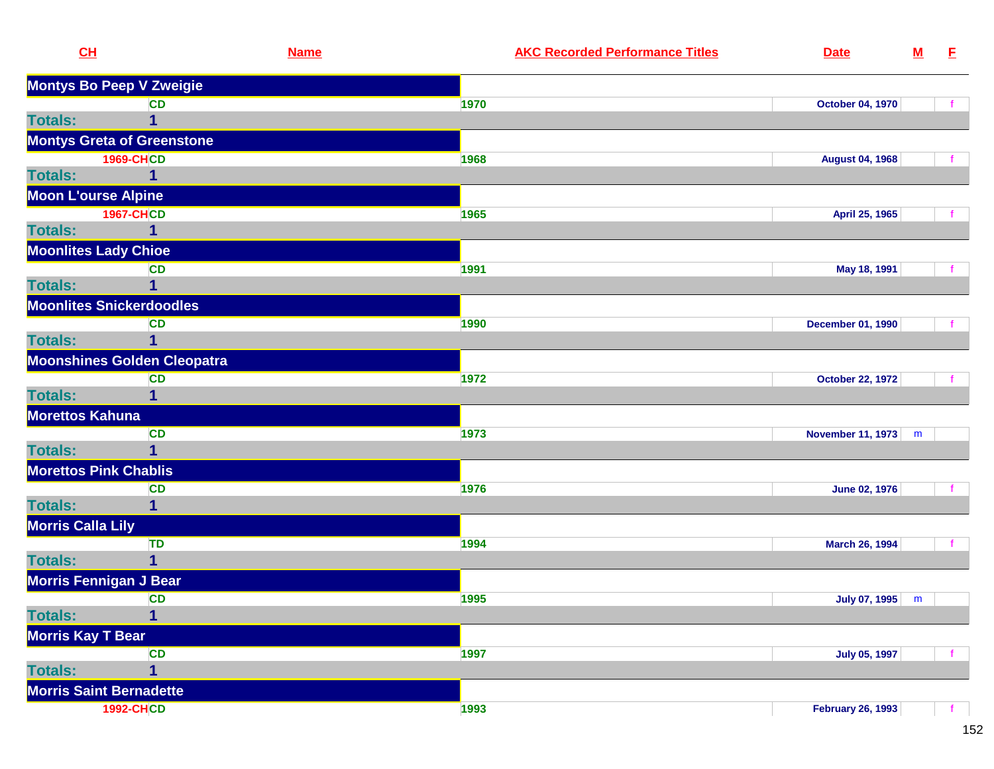| CH                         |                                    | <b>Name</b> | <b>AKC Recorded Performance Titles</b> | <b>Date</b>              | ${\bf M}$ | E |
|----------------------------|------------------------------------|-------------|----------------------------------------|--------------------------|-----------|---|
|                            | <b>Montys Bo Peep V Zweigie</b>    |             |                                        |                          |           |   |
|                            | <b>CD</b>                          |             | 1970                                   | <b>October 04, 1970</b>  |           |   |
| <b>Totals:</b>             | 1                                  |             |                                        |                          |           |   |
|                            | <b>Montys Greta of Greenstone</b>  |             |                                        |                          |           |   |
|                            | <b>1969-CHCD</b>                   |             | 1968                                   | <b>August 04, 1968</b>   |           |   |
| <b>Totals:</b>             | 1                                  |             |                                        |                          |           |   |
| <b>Moon L'ourse Alpine</b> |                                    |             |                                        |                          |           |   |
|                            | <b>1967-CHCD</b>                   |             | 1965                                   | April 25, 1965           |           |   |
| <b>Totals:</b>             | 1                                  |             |                                        |                          |           |   |
|                            | <b>Moonlites Lady Chioe</b>        |             |                                        |                          |           |   |
|                            | <b>CD</b>                          |             | 1991                                   | May 18, 1991             |           |   |
| <b>Totals:</b>             | $\overline{1}$                     |             |                                        |                          |           |   |
|                            | <b>Moonlites Snickerdoodles</b>    |             |                                        |                          |           |   |
|                            | <b>CD</b>                          |             | 1990                                   | <b>December 01, 1990</b> |           |   |
| <b>Totals:</b>             | 1                                  |             |                                        |                          |           |   |
|                            | <b>Moonshines Golden Cleopatra</b> |             |                                        |                          |           |   |
|                            | <b>CD</b>                          |             | 1972                                   | <b>October 22, 1972</b>  |           |   |
| <b>Totals:</b>             | 1                                  |             |                                        |                          |           |   |
| Morettos Kahuna            |                                    |             |                                        |                          |           |   |
|                            | <b>CD</b>                          |             | 1973                                   | <b>November 11, 1973</b> | m         |   |
| <b>Totals:</b>             | $\overline{1}$                     |             |                                        |                          |           |   |
|                            | <b>Morettos Pink Chablis</b>       |             |                                        |                          |           |   |
|                            | <b>CD</b>                          |             | 1976                                   | <b>June 02, 1976</b>     |           |   |
| <b>Totals:</b>             | 1                                  |             |                                        |                          |           |   |
| <b>Morris Calla Lily</b>   |                                    |             |                                        |                          |           |   |
|                            | TD                                 |             | 1994                                   | <b>March 26, 1994</b>    |           |   |
| <b>Totals:</b>             | $\mathbf 1$                        |             |                                        |                          |           |   |
|                            | Morris Fennigan J Bear             |             |                                        |                          |           |   |
|                            | <b>CD</b>                          |             | 1995                                   | July 07, 1995            | m         |   |
| <b>Totals:</b>             | $\overline{\mathbf{1}}$            |             |                                        |                          |           |   |
| <b>Morris Kay T Bear</b>   |                                    |             |                                        |                          |           |   |
|                            | <b>CD</b>                          |             | 1997                                   | <b>July 05, 1997</b>     |           |   |
| <b>Totals:</b>             | $\overline{\mathbf{1}}$            |             |                                        |                          |           |   |
|                            | <b>Morris Saint Bernadette</b>     |             |                                        |                          |           |   |
|                            | <b>1992-CHCD</b>                   |             | 1993                                   | <b>February 26, 1993</b> |           |   |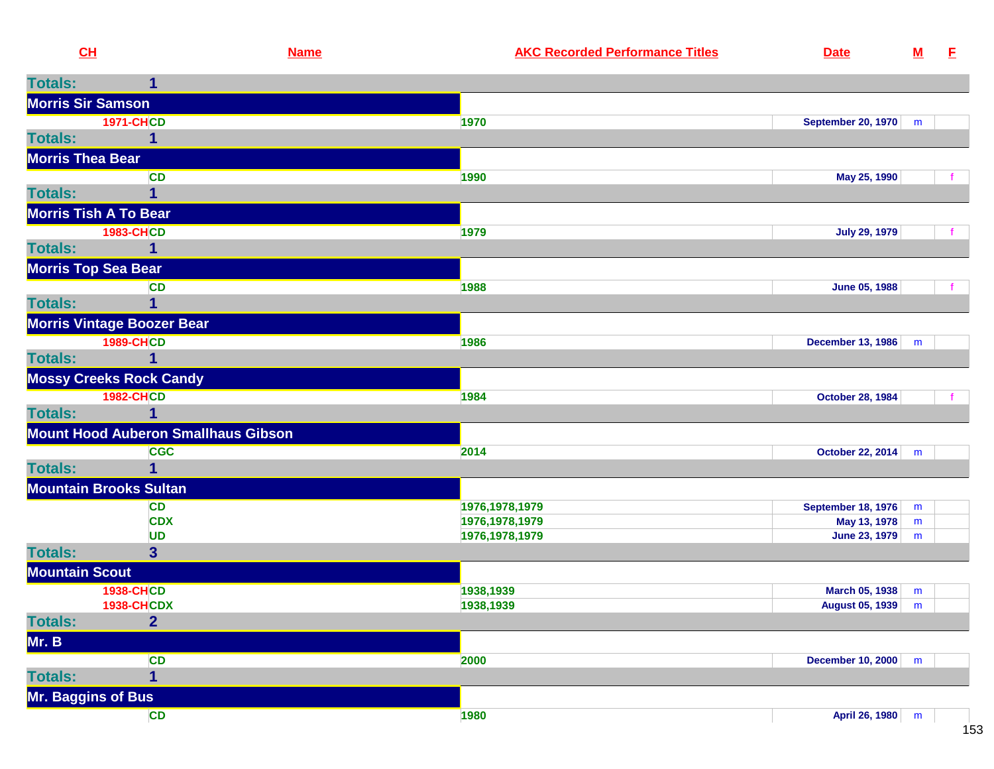| CH                       |                                            | <b>Name</b> | <b>AKC Recorded Performance Titles</b> | <b>Date</b>             | ${\bf M}$ | E |
|--------------------------|--------------------------------------------|-------------|----------------------------------------|-------------------------|-----------|---|
| <b>Totals:</b>           | 1                                          |             |                                        |                         |           |   |
| <b>Morris Sir Samson</b> |                                            |             |                                        |                         |           |   |
|                          | <b>1971-CHCD</b>                           | 1970        |                                        | September 20, 1970   m  |           |   |
| <b>Totals:</b>           | 1                                          |             |                                        |                         |           |   |
| <b>Morris Thea Bear</b>  |                                            |             |                                        |                         |           |   |
|                          | CD                                         | 1990        |                                        | May 25, 1990            |           |   |
| <b>Totals:</b>           |                                            |             |                                        |                         |           |   |
|                          | <b>Morris Tish A To Bear</b>               |             |                                        |                         |           |   |
|                          | <b>1983-CHCD</b>                           | 1979        |                                        | <b>July 29, 1979</b>    |           |   |
| <b>Totals:</b>           | 1                                          |             |                                        |                         |           |   |
| Morris Top Sea Bear      |                                            |             |                                        |                         |           |   |
|                          | <b>CD</b>                                  | 1988        |                                        | June 05, 1988           |           |   |
| <b>Totals:</b>           |                                            |             |                                        |                         |           |   |
|                          | <b>Morris Vintage Boozer Bear</b>          |             |                                        |                         |           |   |
|                          | <b>1989-CHCD</b>                           | 1986        |                                        | December 13, 1986       | m         |   |
| <b>Totals:</b>           | 1                                          |             |                                        |                         |           |   |
|                          | <b>Mossy Creeks Rock Candy</b>             |             |                                        |                         |           |   |
|                          | <b>1982-CHCD</b>                           | 1984        |                                        | <b>October 28, 1984</b> |           |   |
| <b>Totals:</b>           |                                            |             |                                        |                         |           |   |
|                          | <b>Mount Hood Auberon Smallhaus Gibson</b> |             |                                        |                         |           |   |
|                          | <b>CGC</b>                                 | 2014        |                                        | October 22, 2014 m      |           |   |
| <b>Totals:</b>           |                                            |             |                                        |                         |           |   |
|                          | <b>Mountain Brooks Sultan</b>              |             |                                        |                         |           |   |
|                          | <b>CD</b>                                  |             | 1976, 1978, 1979                       | September 18, 1976      | m         |   |
|                          | <b>CDX</b>                                 |             | 1976, 1978, 1979                       | May 13, 1978            | m         |   |
|                          | <b>UD</b>                                  |             | 1976, 1978, 1979                       | June 23, 1979           | m         |   |
| <b>Totals:</b>           | 3 <sup>1</sup>                             |             |                                        |                         |           |   |
| <b>Mountain Scout</b>    |                                            |             |                                        |                         |           |   |
|                          | <b>1938-CHCD</b>                           |             | 1938,1939                              | March 05, 1938 m        |           |   |
|                          | <b>1938-CHCDX</b>                          |             | 1938,1939                              | August 05, 1939   m     |           |   |
| <b>Totals:</b>           | $\overline{2}$                             |             |                                        |                         |           |   |
| Mr. B                    |                                            |             |                                        |                         |           |   |
|                          | <b>CD</b>                                  | 2000        |                                        | December 10, 2000 m     |           |   |
| <b>Totals:</b>           | $\overline{\mathbf{1}}$                    |             |                                        |                         |           |   |
| Mr. Baggins of Bus       |                                            |             |                                        |                         |           |   |
|                          | <b>CD</b>                                  | 1980        |                                        | April 26, 1980 m        |           |   |
|                          |                                            |             |                                        |                         |           |   |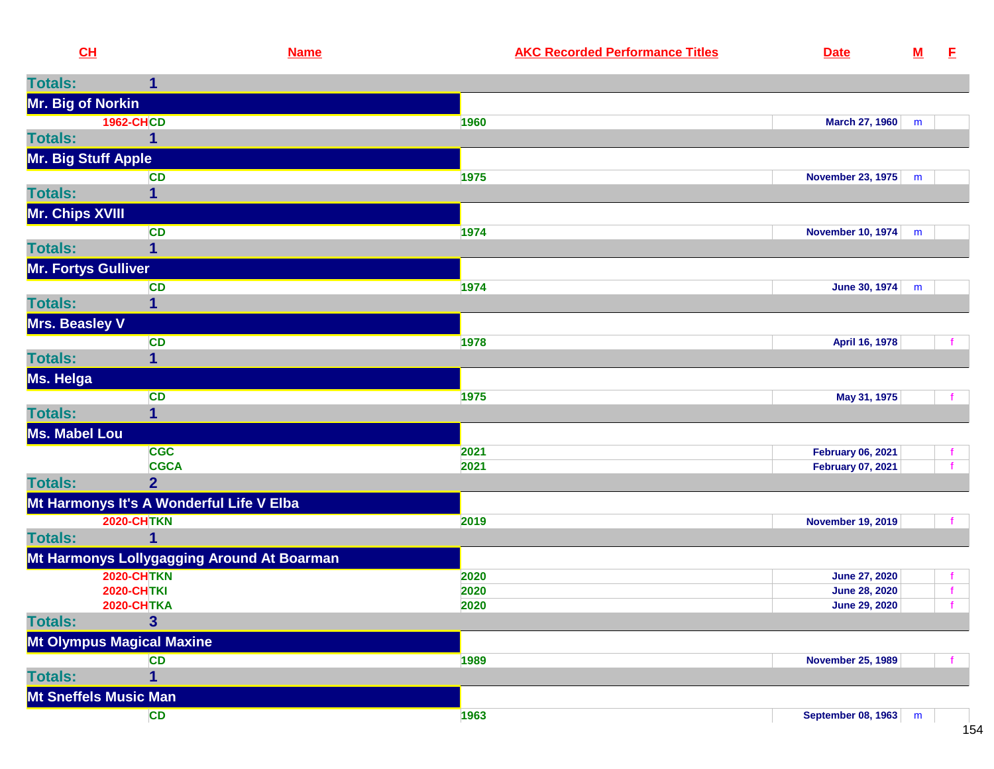| CH                   |                                            | <b>Name</b> | <b>AKC Recorded Performance Titles</b> | <b>Date</b>              | ${\bf M}$ | E. |
|----------------------|--------------------------------------------|-------------|----------------------------------------|--------------------------|-----------|----|
| <b>Totals:</b>       | 1                                          |             |                                        |                          |           |    |
| Mr. Big of Norkin    |                                            |             |                                        |                          |           |    |
|                      | <b>1962-CHCD</b>                           | 1960        |                                        | March 27, 1960           | m         |    |
| <b>Totals:</b>       | 1                                          |             |                                        |                          |           |    |
| Mr. Big Stuff Apple  |                                            |             |                                        |                          |           |    |
|                      | <b>CD</b>                                  | 1975        |                                        | November 23, 1975        | m         |    |
| <b>Totals:</b>       |                                            |             |                                        |                          |           |    |
| Mr. Chips XVIII      |                                            |             |                                        |                          |           |    |
|                      | <b>CD</b>                                  | 1974        |                                        | November 10, 1974        | m         |    |
| <b>Totals:</b>       | 1                                          |             |                                        |                          |           |    |
| Mr. Fortys Gulliver  |                                            |             |                                        |                          |           |    |
|                      | <b>CD</b>                                  | 1974        |                                        | June 30, 1974            | m         |    |
| <b>Totals:</b>       | 1                                          |             |                                        |                          |           |    |
| Mrs. Beasley V       |                                            |             |                                        |                          |           |    |
|                      | <b>CD</b>                                  | 1978        |                                        | April 16, 1978           |           |    |
| <b>Totals:</b>       | 1                                          |             |                                        |                          |           |    |
| Ms. Helga            |                                            |             |                                        |                          |           |    |
|                      | CD                                         | 1975        |                                        | May 31, 1975             |           |    |
| <b>Totals:</b>       | 1                                          |             |                                        |                          |           |    |
| <b>Ms. Mabel Lou</b> |                                            |             |                                        |                          |           |    |
|                      | <b>CGC</b>                                 | 2021        |                                        | <b>February 06, 2021</b> |           |    |
|                      | <b>CGCA</b>                                | 2021        |                                        | <b>February 07, 2021</b> |           |    |
| <b>Totals:</b>       | 2 <sup>1</sup>                             |             |                                        |                          |           |    |
|                      | Mt Harmonys It's A Wonderful Life V Elba   |             |                                        |                          |           |    |
|                      | <b>2020-CHTKN</b>                          | 2019        |                                        | <b>November 19, 2019</b> |           |    |
| <b>Totals:</b>       |                                            |             |                                        |                          |           |    |
|                      | Mt Harmonys Lollygagging Around At Boarman |             |                                        |                          |           |    |
|                      | <b>2020-CHTKN</b>                          | 2020        |                                        | <b>June 27, 2020</b>     |           |    |
|                      | <b>2020-CHTKI</b>                          | 2020        |                                        | <b>June 28, 2020</b>     |           |    |
|                      | <b>2020-CHTKA</b>                          | 2020        |                                        | <b>June 29, 2020</b>     |           |    |
| <b>Totals:</b>       | $\overline{3}$                             |             |                                        |                          |           |    |
|                      | <b>Mt Olympus Magical Maxine</b>           |             |                                        |                          |           |    |
|                      | <b>CD</b>                                  | 1989        |                                        | <b>November 25, 1989</b> |           |    |
| <b>Totals:</b>       | 1                                          |             |                                        |                          |           |    |
|                      | <b>Mt Sneffels Music Man</b>               |             |                                        |                          |           |    |
|                      | <b>CD</b>                                  | 1963        |                                        | September 08, 1963       | m         |    |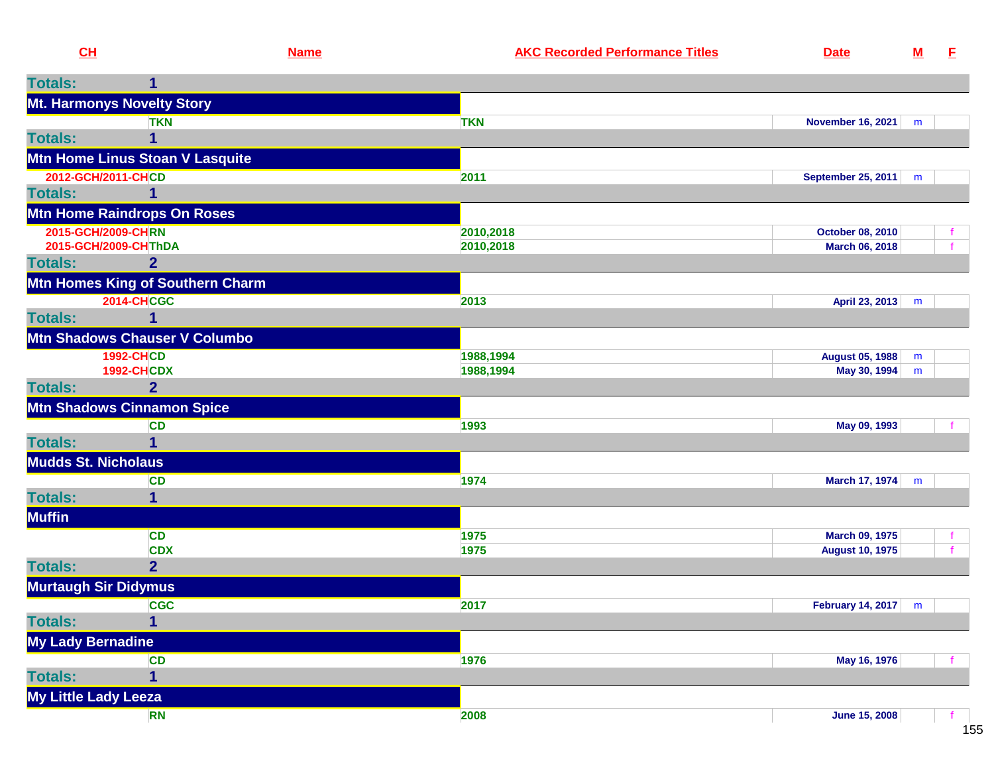| CH                |                                    | <b>Name</b> | <b>AKC Recorded Performance Titles</b> | <b>Date</b>                | $M$ | - E |
|-------------------|------------------------------------|-------------|----------------------------------------|----------------------------|-----|-----|
| <b>Totals:</b>    | 1                                  |             |                                        |                            |     |     |
|                   | Mt. Harmonys Novelty Story         |             |                                        |                            |     |     |
|                   | <b>TKN</b>                         |             | <b>TKN</b>                             | <b>November 16, 2021</b>   | m   |     |
| <b>Totals:</b>    | 1                                  |             |                                        |                            |     |     |
|                   | Mtn Home Linus Stoan V Lasquite    |             |                                        |                            |     |     |
|                   | 2012-GCH/2011-CHCD                 |             | 2011                                   | <b>September 25, 2011</b>  | m   |     |
| <b>Totals:</b>    | 1                                  |             |                                        |                            |     |     |
|                   | <b>Mtn Home Raindrops On Roses</b> |             |                                        |                            |     |     |
|                   | 2015-GCH/2009-CHRN                 |             | 2010,2018                              | October 08, 2010           |     |     |
|                   | 2015-GCH/2009-CHThDA               |             | 2010,2018                              | March 06, 2018             |     |     |
| <b>Totals:</b>    | $\overline{2}$                     |             |                                        |                            |     |     |
|                   | Mtn Homes King of Southern Charm   |             |                                        |                            |     |     |
|                   | <b>2014-CHCGC</b>                  |             | 2013                                   | April 23, 2013             | m   |     |
| <b>Totals:</b>    | 1                                  |             |                                        |                            |     |     |
|                   | Mtn Shadows Chauser V Columbo      |             |                                        |                            |     |     |
|                   | <b>1992-CHCD</b>                   |             | 1988,1994                              | <b>August 05, 1988</b>     | m   |     |
|                   | <b>1992-CHCDX</b>                  |             | 1988,1994                              | May 30, 1994               | m   |     |
| <b>Totals:</b>    | $\overline{2}$                     |             |                                        |                            |     |     |
|                   | <b>Mtn Shadows Cinnamon Spice</b>  |             |                                        |                            |     |     |
|                   | CD                                 |             | 1993                                   | May 09, 1993               |     |     |
| <b>Totals:</b>    | 1                                  |             |                                        |                            |     |     |
|                   | <b>Mudds St. Nicholaus</b>         |             |                                        |                            |     |     |
|                   | CD                                 |             | 1974                                   | March 17, 1974             | m   |     |
| <b>Totals:</b>    | $\mathbf 1$                        |             |                                        |                            |     |     |
| <b>Muffin</b>     |                                    |             |                                        |                            |     |     |
|                   | <b>CD</b>                          |             | 1975                                   | March 09, 1975             |     | f.  |
|                   | <b>CDX</b>                         |             | 1975                                   | <b>August 10, 1975</b>     |     | f   |
| <b>Totals:</b>    | $\overline{2}$                     |             |                                        |                            |     |     |
|                   | <b>Murtaugh Sir Didymus</b>        |             |                                        |                            |     |     |
|                   | <b>CGC</b>                         |             | 2017                                   | <b>February 14, 2017</b> m |     |     |
| Totals:           | $\overline{\mathbf{1}}$            |             |                                        |                            |     |     |
| My Lady Bernadine |                                    |             |                                        |                            |     |     |
|                   | <b>CD</b>                          |             | 1976                                   | May 16, 1976               |     |     |
| <b>Totals:</b>    | 1                                  |             |                                        |                            |     |     |
|                   | My Little Lady Leeza               |             |                                        |                            |     |     |
|                   | <b>RN</b>                          |             | 2008                                   | <b>June 15, 2008</b>       |     |     |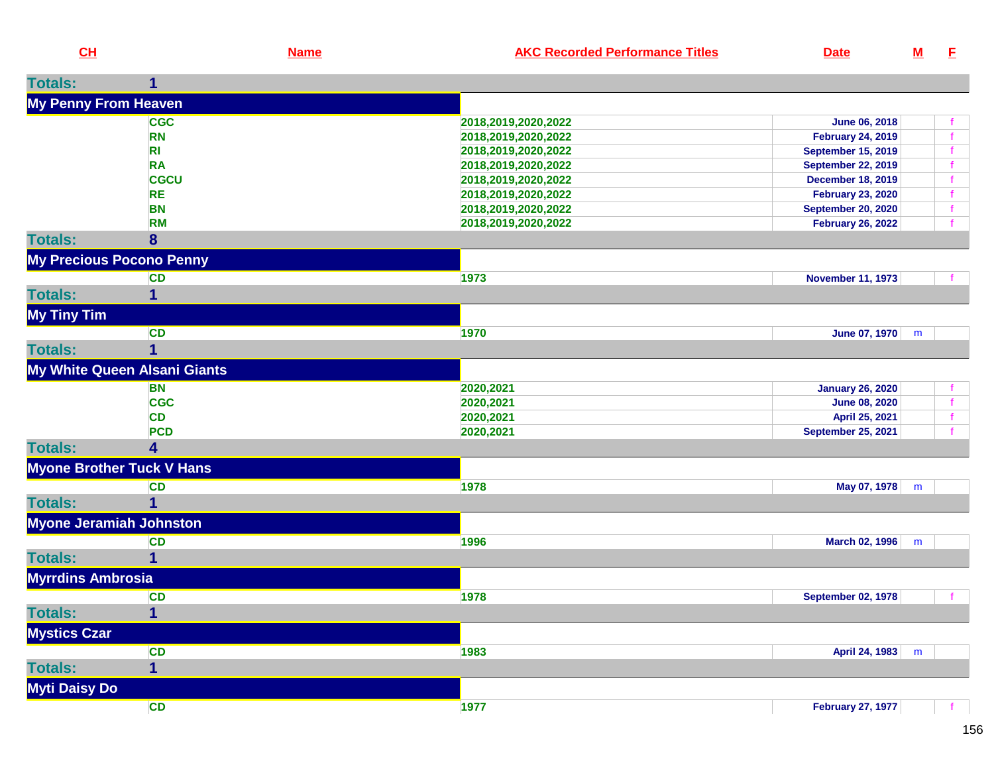| CL                          | <b>Name</b>                      | <b>AKC Recorded Performance Titles</b> | <b>Date</b>               | $\underline{\mathbf{M}}$ | E |
|-----------------------------|----------------------------------|----------------------------------------|---------------------------|--------------------------|---|
| <b>Totals:</b>              | $\mathbf{1}$                     |                                        |                           |                          |   |
| <b>My Penny From Heaven</b> |                                  |                                        |                           |                          |   |
|                             | <b>CGC</b>                       | 2018,2019,2020,2022                    | June 06, 2018             |                          |   |
|                             | <b>RN</b>                        | 2018,2019,2020,2022                    | <b>February 24, 2019</b>  |                          |   |
|                             | R <sub>l</sub>                   | 2018,2019,2020,2022                    | <b>September 15, 2019</b> |                          |   |
|                             | <b>RA</b>                        | 2018, 2019, 2020, 2022                 | <b>September 22, 2019</b> |                          |   |
|                             | <b>CGCU</b>                      | 2018,2019,2020,2022                    | <b>December 18, 2019</b>  |                          |   |
|                             | <b>RE</b>                        | 2018,2019,2020,2022                    | <b>February 23, 2020</b>  |                          |   |
|                             | <b>BN</b>                        | 2018, 2019, 2020, 2022                 | <b>September 20, 2020</b> |                          |   |
|                             | <b>RM</b>                        | 2018, 2019, 2020, 2022                 | <b>February 26, 2022</b>  |                          |   |
| <b>Totals:</b>              | 8                                |                                        |                           |                          |   |
|                             | <b>My Precious Pocono Penny</b>  |                                        |                           |                          |   |
|                             | <b>CD</b>                        | 1973                                   | <b>November 11, 1973</b>  |                          |   |
| <b>Totals:</b>              | 1                                |                                        |                           |                          |   |
| <b>My Tiny Tim</b>          |                                  |                                        |                           |                          |   |
|                             | CD                               | 1970                                   | June 07, 1970             | m                        |   |
| <b>Totals:</b>              | $\mathbf{1}$                     |                                        |                           |                          |   |
|                             | My White Queen Alsani Giants     |                                        |                           |                          |   |
|                             | <b>BN</b>                        | 2020,2021                              | <b>January 26, 2020</b>   |                          |   |
|                             | <b>CGC</b>                       | 2020,2021                              | <b>June 08, 2020</b>      |                          |   |
|                             | <b>CD</b>                        | 2020,2021                              | April 25, 2021            |                          |   |
|                             | <b>PCD</b>                       | 2020,2021                              | <b>September 25, 2021</b> |                          |   |
| <b>Totals:</b>              | 4                                |                                        |                           |                          |   |
|                             | <b>Myone Brother Tuck V Hans</b> |                                        |                           |                          |   |
|                             | <b>CD</b>                        | 1978                                   | May 07, 1978              | m                        |   |
| <b>Totals:</b>              | 1                                |                                        |                           |                          |   |
|                             | <b>Myone Jeramiah Johnston</b>   |                                        |                           |                          |   |
|                             | <b>CD</b>                        | 1996                                   | <b>March 02, 1996</b>     | m                        |   |
| <b>Totals:</b>              | 1                                |                                        |                           |                          |   |
| <b>Myrrdins Ambrosia</b>    |                                  |                                        |                           |                          |   |
|                             | <b>CD</b>                        | 1978                                   | <b>September 02, 1978</b> |                          |   |
| <b>Totals:</b>              | 1                                |                                        |                           |                          |   |
| <b>Mystics Czar</b>         |                                  |                                        |                           |                          |   |
|                             | <b>CD</b>                        | 1983                                   | April 24, 1983            | m                        |   |
| <b>Totals:</b>              | $\mathbf{1}$                     |                                        |                           |                          |   |
| Myti Daisy Do               |                                  |                                        |                           |                          |   |
|                             | CD                               | 1977                                   | <b>February 27, 1977</b>  |                          |   |
|                             |                                  |                                        |                           |                          |   |

156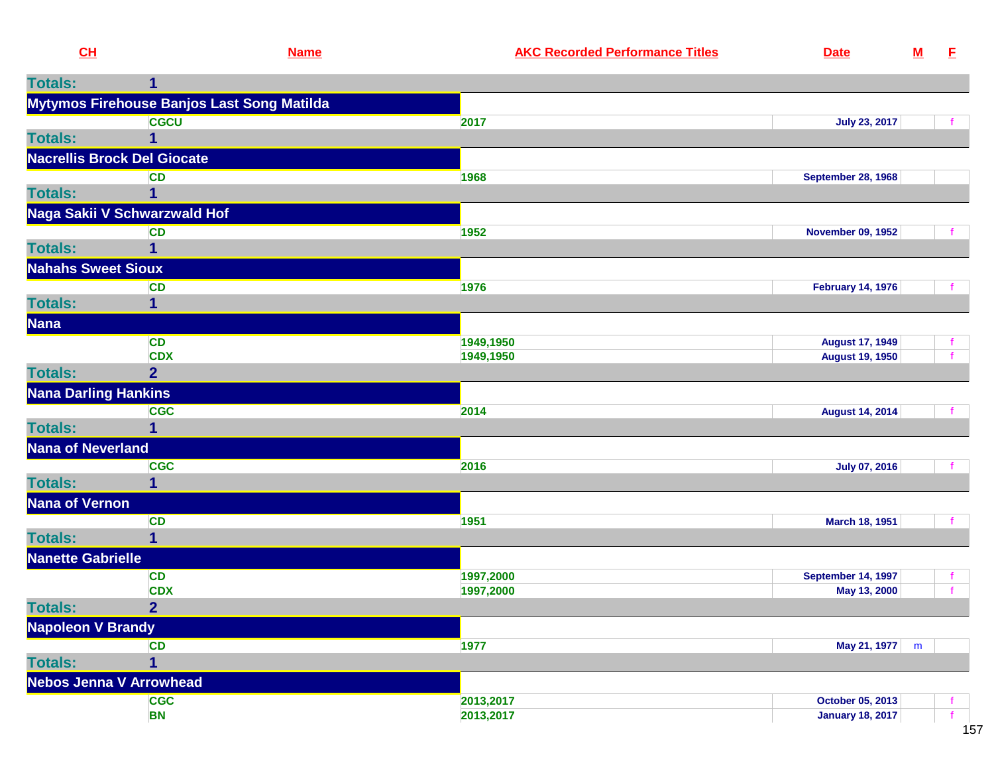| 1<br>Mytymos Firehouse Banjos Last Song Matilda<br><b>CGCU</b><br>2017<br><b>July 23, 2017</b><br>1<br><b>Nacrellis Brock Del Giocate</b><br><b>CD</b><br>1968<br><b>September 28, 1968</b><br>1<br>Naga Sakii V Schwarzwald Hof<br><b>CD</b><br>1952<br><b>November 09, 1952</b><br>1<br><b>Nahahs Sweet Sioux</b><br>1976<br><b>February 14, 1976</b><br><b>CD</b><br>1<br><b>CD</b><br>1949,1950<br><b>August 17, 1949</b><br><b>CDX</b><br>1949,1950<br>f<br><b>August 19, 1950</b><br><b>Totals:</b><br>$\overline{2}$<br><b>Nana Darling Hankins</b><br><b>CGC</b><br>2014<br><b>August 14, 2014</b><br><b>Totals:</b><br>$\mathbf{1}$<br>Nana of Neverland<br><b>CGC</b><br>2016<br><b>July 07, 2016</b><br><b>Totals:</b><br>1<br><b>Nana of Vernon</b><br><b>CD</b><br>1951<br>March 18, 1951<br>$\overline{1}$<br><b>Totals:</b><br><b>Nanette Gabrielle</b><br><b>CD</b><br>1997,2000<br><b>September 14, 1997</b><br>f.<br><b>CDX</b><br>f<br>1997,2000<br>May 13, 2000<br><b>Totals:</b><br>$\overline{2}$<br><b>Napoleon V Brandy</b><br><b>CD</b><br>1977<br>May 21, 1977 m<br><b>Totals:</b><br>$\mathbf 1$<br><b>Nebos Jenna V Arrowhead</b><br>2013,2017<br><b>CGC</b><br>October 05, 2013<br>2013,2017<br><b>BN</b><br><b>January 18, 2017</b><br>f | CL             | <b>Name</b> | <b>AKC Recorded Performance Titles</b> | <b>Date</b> | ${\bf M}$ | - E |
|------------------------------------------------------------------------------------------------------------------------------------------------------------------------------------------------------------------------------------------------------------------------------------------------------------------------------------------------------------------------------------------------------------------------------------------------------------------------------------------------------------------------------------------------------------------------------------------------------------------------------------------------------------------------------------------------------------------------------------------------------------------------------------------------------------------------------------------------------------------------------------------------------------------------------------------------------------------------------------------------------------------------------------------------------------------------------------------------------------------------------------------------------------------------------------------------------------------------------------------------------------------------|----------------|-------------|----------------------------------------|-------------|-----------|-----|
|                                                                                                                                                                                                                                                                                                                                                                                                                                                                                                                                                                                                                                                                                                                                                                                                                                                                                                                                                                                                                                                                                                                                                                                                                                                                        | <b>Totals:</b> |             |                                        |             |           |     |
|                                                                                                                                                                                                                                                                                                                                                                                                                                                                                                                                                                                                                                                                                                                                                                                                                                                                                                                                                                                                                                                                                                                                                                                                                                                                        |                |             |                                        |             |           |     |
|                                                                                                                                                                                                                                                                                                                                                                                                                                                                                                                                                                                                                                                                                                                                                                                                                                                                                                                                                                                                                                                                                                                                                                                                                                                                        |                |             |                                        |             |           |     |
|                                                                                                                                                                                                                                                                                                                                                                                                                                                                                                                                                                                                                                                                                                                                                                                                                                                                                                                                                                                                                                                                                                                                                                                                                                                                        | <b>Totals:</b> |             |                                        |             |           |     |
|                                                                                                                                                                                                                                                                                                                                                                                                                                                                                                                                                                                                                                                                                                                                                                                                                                                                                                                                                                                                                                                                                                                                                                                                                                                                        |                |             |                                        |             |           |     |
|                                                                                                                                                                                                                                                                                                                                                                                                                                                                                                                                                                                                                                                                                                                                                                                                                                                                                                                                                                                                                                                                                                                                                                                                                                                                        |                |             |                                        |             |           |     |
|                                                                                                                                                                                                                                                                                                                                                                                                                                                                                                                                                                                                                                                                                                                                                                                                                                                                                                                                                                                                                                                                                                                                                                                                                                                                        | <b>Totals:</b> |             |                                        |             |           |     |
|                                                                                                                                                                                                                                                                                                                                                                                                                                                                                                                                                                                                                                                                                                                                                                                                                                                                                                                                                                                                                                                                                                                                                                                                                                                                        |                |             |                                        |             |           |     |
|                                                                                                                                                                                                                                                                                                                                                                                                                                                                                                                                                                                                                                                                                                                                                                                                                                                                                                                                                                                                                                                                                                                                                                                                                                                                        |                |             |                                        |             |           |     |
|                                                                                                                                                                                                                                                                                                                                                                                                                                                                                                                                                                                                                                                                                                                                                                                                                                                                                                                                                                                                                                                                                                                                                                                                                                                                        | <b>Totals:</b> |             |                                        |             |           |     |
|                                                                                                                                                                                                                                                                                                                                                                                                                                                                                                                                                                                                                                                                                                                                                                                                                                                                                                                                                                                                                                                                                                                                                                                                                                                                        |                |             |                                        |             |           |     |
|                                                                                                                                                                                                                                                                                                                                                                                                                                                                                                                                                                                                                                                                                                                                                                                                                                                                                                                                                                                                                                                                                                                                                                                                                                                                        |                |             |                                        |             |           |     |
|                                                                                                                                                                                                                                                                                                                                                                                                                                                                                                                                                                                                                                                                                                                                                                                                                                                                                                                                                                                                                                                                                                                                                                                                                                                                        | <b>Totals:</b> |             |                                        |             |           |     |
|                                                                                                                                                                                                                                                                                                                                                                                                                                                                                                                                                                                                                                                                                                                                                                                                                                                                                                                                                                                                                                                                                                                                                                                                                                                                        | <b>Nana</b>    |             |                                        |             |           |     |
|                                                                                                                                                                                                                                                                                                                                                                                                                                                                                                                                                                                                                                                                                                                                                                                                                                                                                                                                                                                                                                                                                                                                                                                                                                                                        |                |             |                                        |             |           |     |
|                                                                                                                                                                                                                                                                                                                                                                                                                                                                                                                                                                                                                                                                                                                                                                                                                                                                                                                                                                                                                                                                                                                                                                                                                                                                        |                |             |                                        |             |           |     |
|                                                                                                                                                                                                                                                                                                                                                                                                                                                                                                                                                                                                                                                                                                                                                                                                                                                                                                                                                                                                                                                                                                                                                                                                                                                                        |                |             |                                        |             |           |     |
|                                                                                                                                                                                                                                                                                                                                                                                                                                                                                                                                                                                                                                                                                                                                                                                                                                                                                                                                                                                                                                                                                                                                                                                                                                                                        |                |             |                                        |             |           |     |
|                                                                                                                                                                                                                                                                                                                                                                                                                                                                                                                                                                                                                                                                                                                                                                                                                                                                                                                                                                                                                                                                                                                                                                                                                                                                        |                |             |                                        |             |           |     |
|                                                                                                                                                                                                                                                                                                                                                                                                                                                                                                                                                                                                                                                                                                                                                                                                                                                                                                                                                                                                                                                                                                                                                                                                                                                                        |                |             |                                        |             |           |     |
|                                                                                                                                                                                                                                                                                                                                                                                                                                                                                                                                                                                                                                                                                                                                                                                                                                                                                                                                                                                                                                                                                                                                                                                                                                                                        |                |             |                                        |             |           |     |
|                                                                                                                                                                                                                                                                                                                                                                                                                                                                                                                                                                                                                                                                                                                                                                                                                                                                                                                                                                                                                                                                                                                                                                                                                                                                        |                |             |                                        |             |           |     |
|                                                                                                                                                                                                                                                                                                                                                                                                                                                                                                                                                                                                                                                                                                                                                                                                                                                                                                                                                                                                                                                                                                                                                                                                                                                                        |                |             |                                        |             |           |     |
|                                                                                                                                                                                                                                                                                                                                                                                                                                                                                                                                                                                                                                                                                                                                                                                                                                                                                                                                                                                                                                                                                                                                                                                                                                                                        |                |             |                                        |             |           |     |
|                                                                                                                                                                                                                                                                                                                                                                                                                                                                                                                                                                                                                                                                                                                                                                                                                                                                                                                                                                                                                                                                                                                                                                                                                                                                        |                |             |                                        |             |           |     |
|                                                                                                                                                                                                                                                                                                                                                                                                                                                                                                                                                                                                                                                                                                                                                                                                                                                                                                                                                                                                                                                                                                                                                                                                                                                                        |                |             |                                        |             |           |     |
|                                                                                                                                                                                                                                                                                                                                                                                                                                                                                                                                                                                                                                                                                                                                                                                                                                                                                                                                                                                                                                                                                                                                                                                                                                                                        |                |             |                                        |             |           |     |
|                                                                                                                                                                                                                                                                                                                                                                                                                                                                                                                                                                                                                                                                                                                                                                                                                                                                                                                                                                                                                                                                                                                                                                                                                                                                        |                |             |                                        |             |           |     |
|                                                                                                                                                                                                                                                                                                                                                                                                                                                                                                                                                                                                                                                                                                                                                                                                                                                                                                                                                                                                                                                                                                                                                                                                                                                                        |                |             |                                        |             |           |     |
|                                                                                                                                                                                                                                                                                                                                                                                                                                                                                                                                                                                                                                                                                                                                                                                                                                                                                                                                                                                                                                                                                                                                                                                                                                                                        |                |             |                                        |             |           |     |
|                                                                                                                                                                                                                                                                                                                                                                                                                                                                                                                                                                                                                                                                                                                                                                                                                                                                                                                                                                                                                                                                                                                                                                                                                                                                        |                |             |                                        |             |           |     |
|                                                                                                                                                                                                                                                                                                                                                                                                                                                                                                                                                                                                                                                                                                                                                                                                                                                                                                                                                                                                                                                                                                                                                                                                                                                                        |                |             |                                        |             |           |     |
|                                                                                                                                                                                                                                                                                                                                                                                                                                                                                                                                                                                                                                                                                                                                                                                                                                                                                                                                                                                                                                                                                                                                                                                                                                                                        |                |             |                                        |             |           |     |
|                                                                                                                                                                                                                                                                                                                                                                                                                                                                                                                                                                                                                                                                                                                                                                                                                                                                                                                                                                                                                                                                                                                                                                                                                                                                        |                |             |                                        |             |           |     |
|                                                                                                                                                                                                                                                                                                                                                                                                                                                                                                                                                                                                                                                                                                                                                                                                                                                                                                                                                                                                                                                                                                                                                                                                                                                                        |                |             |                                        |             |           |     |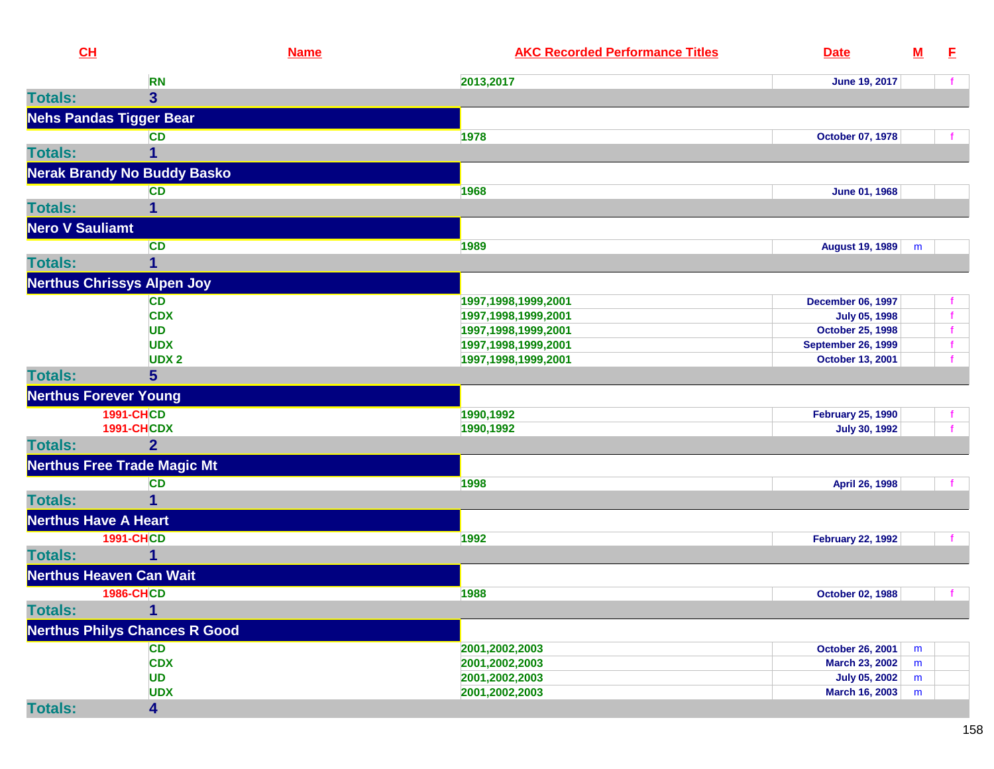| CH                           |                                      | <b>Name</b> | <b>AKC Recorded Performance Titles</b> | <b>Date</b>               | $\underline{\mathbf{M}}$ | E |
|------------------------------|--------------------------------------|-------------|----------------------------------------|---------------------------|--------------------------|---|
|                              | <b>RN</b>                            |             | 2013,2017                              | June 19, 2017             |                          |   |
| <b>Totals:</b>               | $\overline{3}$                       |             |                                        |                           |                          |   |
|                              | <b>Nehs Pandas Tigger Bear</b>       |             |                                        |                           |                          |   |
|                              | <b>CD</b>                            |             | 1978                                   | October 07, 1978          |                          |   |
| <b>Totals:</b>               | 1                                    |             |                                        |                           |                          |   |
|                              | <b>Nerak Brandy No Buddy Basko</b>   |             |                                        |                           |                          |   |
|                              | <b>CD</b>                            |             | 1968                                   | June 01, 1968             |                          |   |
| <b>Totals:</b>               | 1                                    |             |                                        |                           |                          |   |
| <b>Nero V Sauliamt</b>       |                                      |             |                                        |                           |                          |   |
|                              | <b>CD</b>                            |             | 1989                                   | August 19, 1989           | m                        |   |
| <b>Totals:</b>               | 1                                    |             |                                        |                           |                          |   |
|                              | <b>Nerthus Chrissys Alpen Joy</b>    |             |                                        |                           |                          |   |
|                              | CD                                   |             | 1997,1998,1999,2001                    | <b>December 06, 1997</b>  |                          |   |
|                              | <b>CDX</b>                           |             | 1997,1998,1999,2001                    | <b>July 05, 1998</b>      |                          |   |
|                              | <b>UD</b>                            |             | 1997,1998,1999,2001                    | <b>October 25, 1998</b>   |                          |   |
|                              | <b>UDX</b>                           |             | 1997,1998,1999,2001                    | <b>September 26, 1999</b> |                          |   |
|                              | <b>UDX2</b>                          |             | 1997,1998,1999,2001                    | <b>October 13, 2001</b>   |                          |   |
| <b>Totals:</b>               | 5                                    |             |                                        |                           |                          |   |
| <b>Nerthus Forever Young</b> |                                      |             |                                        |                           |                          |   |
|                              | <b>1991-CHCD</b>                     |             | 1990,1992                              | <b>February 25, 1990</b>  |                          |   |
|                              | <b>1991-CHCDX</b>                    |             | 1990,1992                              | <b>July 30, 1992</b>      |                          |   |
| <b>Totals:</b>               | $\overline{2}$                       |             |                                        |                           |                          |   |
|                              | <b>Nerthus Free Trade Magic Mt</b>   |             |                                        |                           |                          |   |
|                              | <b>CD</b>                            |             | 1998                                   | April 26, 1998            |                          |   |
| <b>Totals:</b>               | 1                                    |             |                                        |                           |                          |   |
| <b>Nerthus Have A Heart</b>  |                                      |             |                                        |                           |                          |   |
|                              | <b>1991-CHCD</b>                     |             | 1992                                   | <b>February 22, 1992</b>  |                          |   |
| <b>Totals:</b>               | 1                                    |             |                                        |                           |                          |   |
|                              | <b>Nerthus Heaven Can Wait</b>       |             |                                        |                           |                          |   |
|                              | <b>1986-CHCD</b>                     |             | 1988                                   | October 02, 1988          |                          |   |
| <b>Totals:</b>               | 1                                    |             |                                        |                           |                          |   |
|                              | <b>Nerthus Philys Chances R Good</b> |             |                                        |                           |                          |   |
|                              | <b>CD</b>                            |             | 2001,2002,2003                         | October 26, 2001          | m                        |   |
|                              | <b>CDX</b>                           |             | 2001,2002,2003                         | <b>March 23, 2002</b>     | m                        |   |
|                              | <b>UD</b>                            |             | 2001,2002,2003                         | <b>July 05, 2002</b>      | m                        |   |
|                              | <b>UDX</b>                           |             | 2001,2002,2003                         | <b>March 16, 2003</b>     | m                        |   |
| <b>Totals:</b>               | 4                                    |             |                                        |                           |                          |   |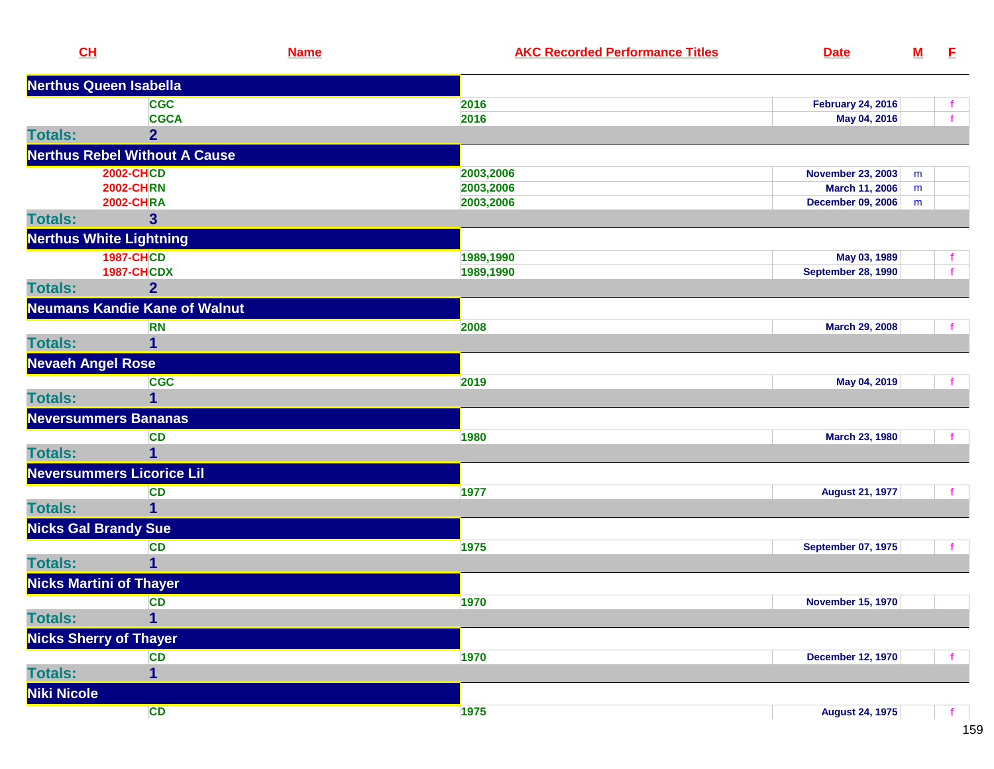| CL                               |                                      | <b>Name</b> | <b>AKC Recorded Performance Titles</b> | <b>Date</b>               | ${\bf M}$ | E |
|----------------------------------|--------------------------------------|-------------|----------------------------------------|---------------------------|-----------|---|
| <b>Nerthus Queen Isabella</b>    |                                      |             |                                        |                           |           |   |
|                                  | <b>CGC</b>                           |             | 2016                                   | <b>February 24, 2016</b>  |           |   |
|                                  | <b>CGCA</b>                          |             | 2016                                   | May 04, 2016              |           |   |
| <b>Totals:</b>                   | $\overline{2}$                       |             |                                        |                           |           |   |
|                                  | <b>Nerthus Rebel Without A Cause</b> |             |                                        |                           |           |   |
|                                  | <b>2002-CHCD</b>                     |             | 2003,2006                              | <b>November 23, 2003</b>  | m         |   |
|                                  | <b>2002-CHRN</b>                     |             | 2003,2006                              | <b>March 11, 2006</b>     | m         |   |
|                                  | <b>2002-CHRA</b>                     |             | 2003,2006                              | <b>December 09, 2006</b>  | m         |   |
| <b>Totals:</b>                   | 3                                    |             |                                        |                           |           |   |
| <b>Nerthus White Lightning</b>   |                                      |             |                                        |                           |           |   |
|                                  | <b>1987-CHCD</b>                     |             | 1989,1990                              | May 03, 1989              |           |   |
|                                  | <b>1987-CHCDX</b>                    |             | 1989,1990                              | <b>September 28, 1990</b> |           |   |
| <b>Totals:</b>                   | $\overline{2}$                       |             |                                        |                           |           |   |
|                                  | <b>Neumans Kandie Kane of Walnut</b> |             |                                        |                           |           |   |
|                                  | <b>RN</b>                            |             | 2008                                   | <b>March 29, 2008</b>     |           |   |
| <b>Totals:</b>                   | 1                                    |             |                                        |                           |           |   |
| <b>Nevaeh Angel Rose</b>         |                                      |             |                                        |                           |           |   |
|                                  | <b>CGC</b>                           |             | 2019                                   | May 04, 2019              |           |   |
| <b>Totals:</b>                   | 1                                    |             |                                        |                           |           |   |
| <b>Neversummers Bananas</b>      |                                      |             |                                        |                           |           |   |
|                                  | <b>CD</b>                            |             | 1980                                   | March 23, 1980            |           |   |
| <b>Totals:</b>                   | 1                                    |             |                                        |                           |           |   |
| <b>Neversummers Licorice Lil</b> |                                      |             |                                        |                           |           |   |
|                                  | <b>CD</b>                            |             | 1977                                   | <b>August 21, 1977</b>    |           |   |
| <b>Totals:</b>                   | 1                                    |             |                                        |                           |           |   |
| <b>Nicks Gal Brandy Sue</b>      |                                      |             |                                        |                           |           |   |
|                                  | <b>CD</b>                            |             | 1975                                   | <b>September 07, 1975</b> |           |   |
| <b>Totals:</b>                   | 1                                    |             |                                        |                           |           |   |
| <b>Nicks Martini of Thayer</b>   |                                      |             |                                        |                           |           |   |
|                                  | <b>CD</b>                            |             | 1970                                   | <b>November 15, 1970</b>  |           |   |
| <b>Totals:</b>                   | $\mathbf{1}$                         |             |                                        |                           |           |   |
| <b>Nicks Sherry of Thayer</b>    |                                      |             |                                        |                           |           |   |
|                                  | <b>CD</b>                            |             | 1970                                   | <b>December 12, 1970</b>  |           |   |
| <b>Totals:</b>                   | $\overline{\mathbf{1}}$              |             |                                        |                           |           |   |
| Niki Nicole                      |                                      |             |                                        |                           |           |   |
|                                  | CD                                   |             | 1975                                   | <b>August 24, 1975</b>    |           |   |
|                                  |                                      |             |                                        |                           |           |   |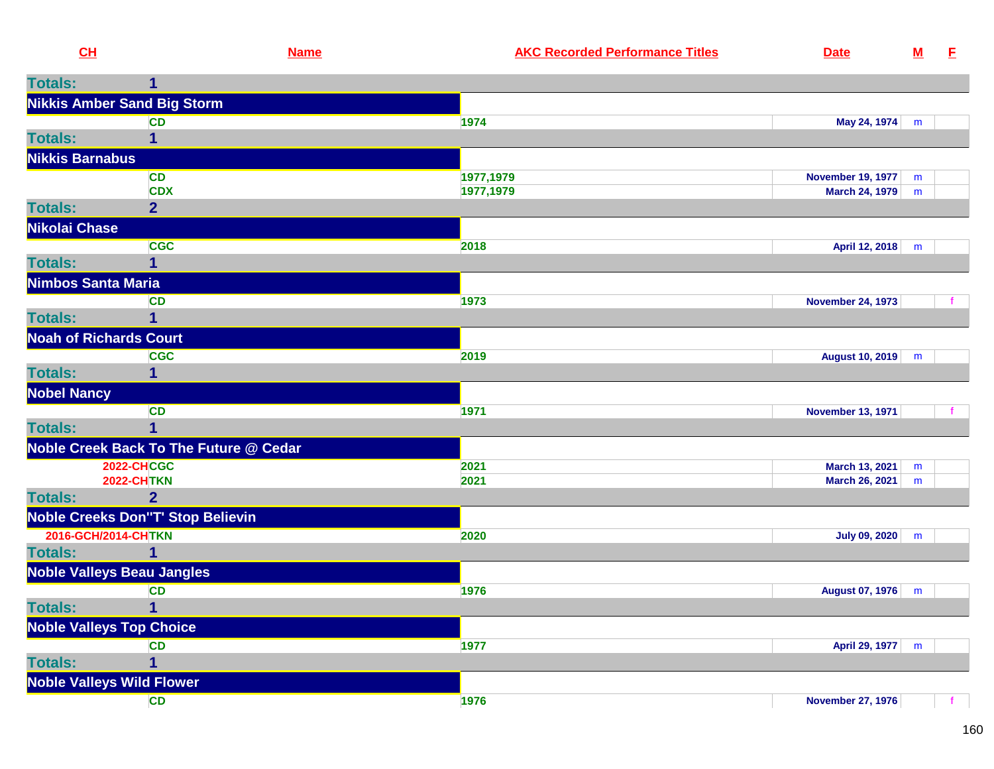| CL                              | <b>Name</b>                              | <b>AKC Recorded Performance Titles</b> | <b>Date</b>                      | ${\bf M}$ | - E |
|---------------------------------|------------------------------------------|----------------------------------------|----------------------------------|-----------|-----|
| <b>Totals:</b>                  | 1                                        |                                        |                                  |           |     |
|                                 | <b>Nikkis Amber Sand Big Storm</b>       |                                        |                                  |           |     |
|                                 | <b>CD</b>                                | 1974                                   | May 24, 1974                     | m         |     |
| <b>Totals:</b>                  |                                          |                                        |                                  |           |     |
| <b>Nikkis Barnabus</b>          |                                          |                                        |                                  |           |     |
|                                 | <b>CD</b>                                | 1977,1979                              | <b>November 19, 1977</b>         | m         |     |
|                                 | <b>CDX</b>                               | 1977,1979                              | March 24, 1979                   | m         |     |
| <b>Totals:</b>                  | $\overline{2}$                           |                                        |                                  |           |     |
| Nikolai Chase                   |                                          |                                        |                                  |           |     |
|                                 | <b>CGC</b>                               | 2018                                   | April 12, 2018                   | m         |     |
| <b>Totals:</b>                  | 1                                        |                                        |                                  |           |     |
| <b>Nimbos Santa Maria</b>       |                                          |                                        |                                  |           |     |
|                                 | <b>CD</b>                                | 1973                                   | <b>November 24, 1973</b>         |           |     |
| <b>Totals:</b>                  | 1                                        |                                        |                                  |           |     |
| <b>Noah of Richards Court</b>   |                                          |                                        |                                  |           |     |
|                                 | <b>CGC</b>                               | 2019                                   | August 10, 2019                  | m         |     |
| <b>Totals:</b>                  | 1                                        |                                        |                                  |           |     |
| <b>Nobel Nancy</b>              |                                          |                                        |                                  |           |     |
|                                 | <b>CD</b>                                | 1971                                   | <b>November 13, 1971</b>         |           |     |
| <b>Totals:</b>                  | 1                                        |                                        |                                  |           |     |
|                                 | Noble Creek Back To The Future @ Cedar   |                                        |                                  |           |     |
|                                 | <b>2022-CHCGC</b><br><b>2022-CHTKN</b>   | 2021<br>2021                           | March 13, 2021<br>March 26, 2021 | m<br>m    |     |
| <b>Totals:</b>                  | 2 <sup>1</sup>                           |                                        |                                  |           |     |
|                                 | <b>Noble Creeks Don"T' Stop Believin</b> |                                        |                                  |           |     |
| 2016-GCH/2014-CHTKN             |                                          | 2020                                   | <b>July 09, 2020</b>             | m         |     |
| <b>Totals:</b>                  | $\mathbf 1$                              |                                        |                                  |           |     |
|                                 | <b>Noble Valleys Beau Jangles</b>        |                                        |                                  |           |     |
|                                 | <b>CD</b>                                | 1976                                   | August 07, 1976                  | m         |     |
| Totals:                         | $\mathbf 1$                              |                                        |                                  |           |     |
| <b>Noble Valleys Top Choice</b> |                                          |                                        |                                  |           |     |
|                                 | <b>CD</b>                                | 1977                                   | April 29, 1977                   | m         |     |
| <b>Totals:</b>                  | 1                                        |                                        |                                  |           |     |
|                                 | <b>Noble Valleys Wild Flower</b>         |                                        |                                  |           |     |
|                                 | <b>CD</b>                                | 1976                                   | <b>November 27, 1976</b>         |           |     |
|                                 |                                          |                                        |                                  |           |     |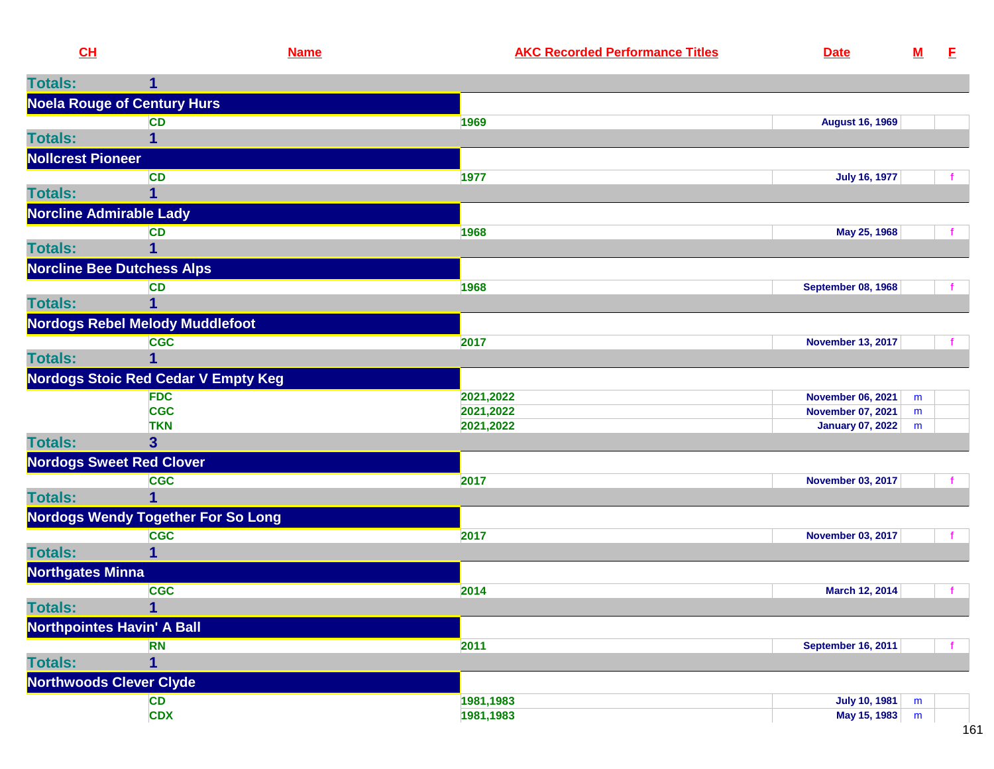|                          | CH                                         | <b>Name</b> | <b>AKC Recorded Performance Titles</b> | <b>Date</b>               | ${\bf M}$ | E |
|--------------------------|--------------------------------------------|-------------|----------------------------------------|---------------------------|-----------|---|
| <b>Totals:</b>           | 1                                          |             |                                        |                           |           |   |
|                          | <b>Noela Rouge of Century Hurs</b>         |             |                                        |                           |           |   |
|                          | <b>CD</b>                                  |             | 1969                                   | <b>August 16, 1969</b>    |           |   |
| <b>Totals:</b>           |                                            |             |                                        |                           |           |   |
| <b>Nollcrest Pioneer</b> |                                            |             |                                        |                           |           |   |
|                          | <b>CD</b>                                  |             | 1977                                   | <b>July 16, 1977</b>      |           |   |
| <b>Totals:</b>           | 1                                          |             |                                        |                           |           |   |
|                          | <b>Norcline Admirable Lady</b>             |             |                                        |                           |           |   |
|                          | <b>CD</b>                                  |             | 1968                                   | May 25, 1968              |           |   |
| <b>Totals:</b>           |                                            |             |                                        |                           |           |   |
|                          | <b>Norcline Bee Dutchess Alps</b>          |             |                                        |                           |           |   |
|                          | <b>CD</b>                                  |             | 1968                                   | <b>September 08, 1968</b> |           |   |
| <b>Totals:</b>           |                                            |             |                                        |                           |           |   |
|                          | <b>Nordogs Rebel Melody Muddlefoot</b>     |             |                                        |                           |           |   |
|                          | <b>CGC</b>                                 |             | 2017                                   | <b>November 13, 2017</b>  |           |   |
| <b>Totals:</b>           |                                            |             |                                        |                           |           |   |
|                          | <b>Nordogs Stoic Red Cedar V Empty Keg</b> |             |                                        |                           |           |   |
|                          | <b>FDC</b>                                 |             | 2021,2022                              | <b>November 06, 2021</b>  | m         |   |
|                          | <b>CGC</b>                                 |             | 2021,2022                              | <b>November 07, 2021</b>  | m         |   |

|                                   | <b>TKN</b>                                | 2021,2022 | <b>January 07, 2022</b>  | m |  |
|-----------------------------------|-------------------------------------------|-----------|--------------------------|---|--|
| <b>Totals:</b>                    |                                           |           |                          |   |  |
| <b>Nordogs Sweet Red Clover</b>   |                                           |           |                          |   |  |
|                                   | <b>CGC</b>                                | 2017      | <b>November 03, 2017</b> |   |  |
| <b>Totals:</b>                    |                                           |           |                          |   |  |
|                                   | <b>Nordogs Wendy Together For So Long</b> |           |                          |   |  |
|                                   | <b>CGC</b>                                | 2017      | <b>November 03, 2017</b> |   |  |
| <b>Totals:</b>                    |                                           |           |                          |   |  |
| <b>Northgates Minna</b>           |                                           |           |                          |   |  |
|                                   | <b>CGC</b>                                | 2014      | March 12, 2014           |   |  |
| <b>Totals:</b>                    |                                           |           |                          |   |  |
| <b>Northpointes Havin' A Ball</b> |                                           |           |                          |   |  |

|                                | RN         | 2011      | <b>September 16, 2011</b>   |
|--------------------------------|------------|-----------|-----------------------------|
| <b>Totals:</b>                 |            |           |                             |
| <b>Northwoods Clever Clyde</b> |            |           |                             |
|                                | <b>CD</b>  | 1981,1983 | July 10, 1981<br>m          |
|                                | <b>CDX</b> | 1981,1983 | May 15, 1983<br>m<br>$\sim$ |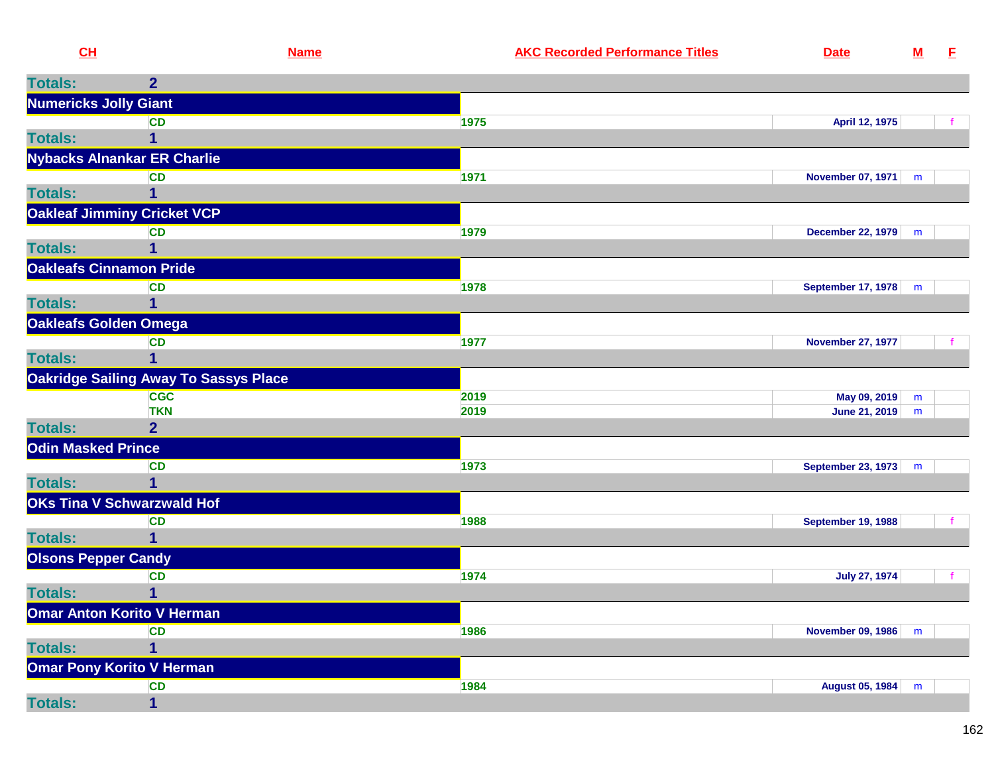| CH                        | <b>Name</b>                                  | <b>AKC Recorded Performance Titles</b> | <b>Date</b>               | ${\bf M}$ | E            |
|---------------------------|----------------------------------------------|----------------------------------------|---------------------------|-----------|--------------|
| <b>Totals:</b>            | $\overline{2}$                               |                                        |                           |           |              |
|                           | <b>Numericks Jolly Giant</b>                 |                                        |                           |           |              |
|                           | <b>CD</b>                                    | 1975                                   | April 12, 1975            |           |              |
| <b>Totals:</b>            | 1                                            |                                        |                           |           |              |
|                           | Nybacks Alnankar ER Charlie                  |                                        |                           |           |              |
|                           | <b>CD</b>                                    | 1971                                   | November 07, 1971         | m         |              |
| <b>Totals:</b>            | 1                                            |                                        |                           |           |              |
|                           | <b>Oakleaf Jimminy Cricket VCP</b>           |                                        |                           |           |              |
|                           | <b>CD</b>                                    | 1979                                   | December 22, 1979         | m         |              |
| <b>Totals:</b>            | 1                                            |                                        |                           |           |              |
|                           | <b>Oakleafs Cinnamon Pride</b>               |                                        |                           |           |              |
| <b>Totals:</b>            | <b>CD</b><br>1                               | 1978                                   | <b>September 17, 1978</b> | m         |              |
|                           |                                              |                                        |                           |           |              |
|                           | Oakleafs Golden Omega<br><b>CD</b>           | 1977                                   | <b>November 27, 1977</b>  |           |              |
| <b>Totals:</b>            | 1                                            |                                        |                           |           |              |
|                           | <b>Oakridge Sailing Away To Sassys Place</b> |                                        |                           |           |              |
|                           | <b>CGC</b>                                   | 2019                                   | May 09, 2019              | m         |              |
|                           | <b>TKN</b>                                   | 2019                                   | June 21, 2019             | m         |              |
| <b>Totals:</b>            | $\overline{2}$                               |                                        |                           |           |              |
| <b>Odin Masked Prince</b> |                                              |                                        |                           |           |              |
|                           | <b>CD</b>                                    | 1973                                   | September 23, 1973        | m         |              |
| <b>Totals:</b>            |                                              |                                        |                           |           |              |
|                           | <b>OKs Tina V Schwarzwald Hof</b>            |                                        |                           |           |              |
|                           | <b>CD</b>                                    | 1988                                   | <b>September 19, 1988</b> |           |              |
| <b>Totals:</b>            | $\overline{1}$                               |                                        |                           |           |              |
|                           | <b>Olsons Pepper Candy</b>                   |                                        |                           |           |              |
| <b>Totals:</b>            | <b>CD</b><br>1                               | 1974                                   | <b>July 27, 1974</b>      |           | $\mathbf{f}$ |
|                           | <b>Omar Anton Korito V Herman</b>            |                                        |                           |           |              |
|                           | <b>CD</b>                                    | 1986                                   | November 09, 1986         | m         |              |
| <b>Totals:</b>            | $\mathbf 1$                                  |                                        |                           |           |              |
|                           | <b>Omar Pony Korito V Herman</b>             |                                        |                           |           |              |
|                           | <b>CD</b>                                    | 1984                                   | August 05, 1984           | m         |              |
| <b>Totals:</b>            | $\mathbf 1$                                  |                                        |                           |           |              |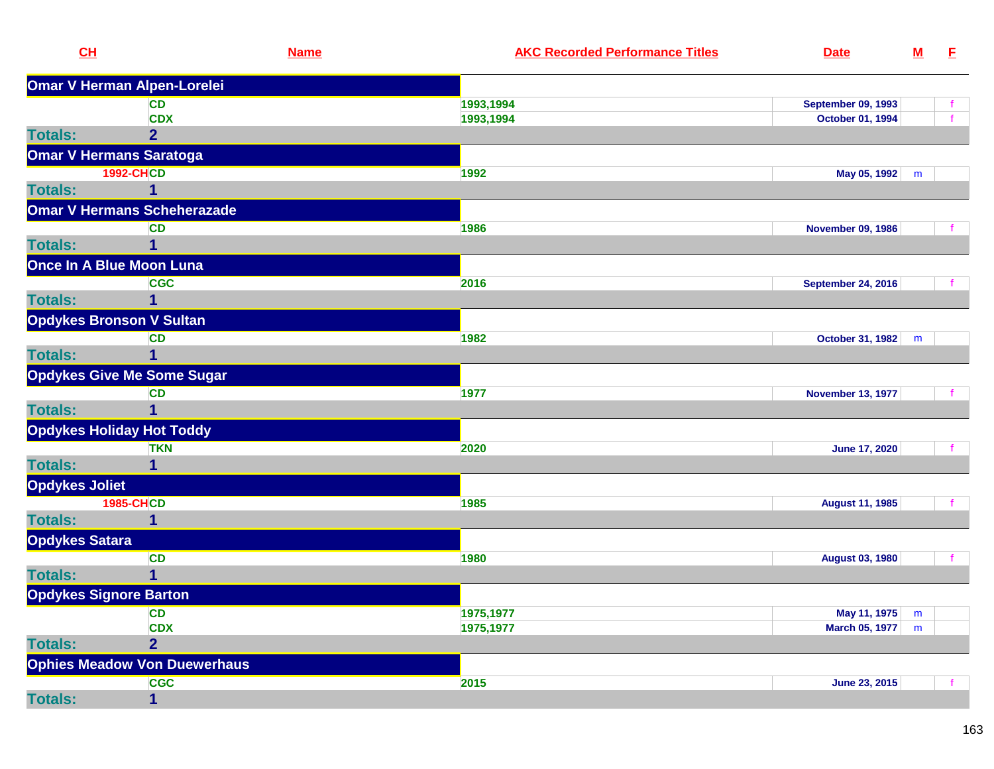| $CH$                          |                                     | <b>Name</b> | <b>AKC Recorded Performance Titles</b> | <b>Date</b>               | $\underline{\mathbf{M}}$ | E |
|-------------------------------|-------------------------------------|-------------|----------------------------------------|---------------------------|--------------------------|---|
|                               | Omar V Herman Alpen-Lorelei         |             |                                        |                           |                          |   |
|                               | <b>CD</b>                           |             | 1993,1994                              | <b>September 09, 1993</b> |                          |   |
|                               | <b>CDX</b>                          |             | 1993,1994                              | October 01, 1994          |                          |   |
| <b>Totals:</b>                | $\overline{2}$                      |             |                                        |                           |                          |   |
|                               | <b>Omar V Hermans Saratoga</b>      |             |                                        |                           |                          |   |
|                               | <b>1992-CHCD</b>                    |             | 1992                                   | May 05, 1992 m            |                          |   |
| <b>Totals:</b>                | 1                                   |             |                                        |                           |                          |   |
|                               | <b>Omar V Hermans Scheherazade</b>  |             |                                        |                           |                          |   |
|                               | <b>CD</b>                           |             | 1986                                   | <b>November 09, 1986</b>  |                          |   |
| <b>Totals:</b>                | 1                                   |             |                                        |                           |                          |   |
|                               | Once In A Blue Moon Luna            |             |                                        |                           |                          |   |
|                               | <b>CGC</b>                          |             | 2016                                   | <b>September 24, 2016</b> |                          |   |
| <b>Totals:</b>                | 1                                   |             |                                        |                           |                          |   |
|                               | <b>Opdykes Bronson V Sultan</b>     |             |                                        |                           |                          |   |
|                               | <b>CD</b>                           |             | 1982                                   | October 31, 1982          | m                        |   |
| <b>Totals:</b>                | 1                                   |             |                                        |                           |                          |   |
|                               | <b>Opdykes Give Me Some Sugar</b>   |             |                                        |                           |                          |   |
|                               | <b>CD</b>                           |             | 1977                                   | <b>November 13, 1977</b>  |                          |   |
| <b>Totals:</b>                | 1                                   |             |                                        |                           |                          |   |
|                               | <b>Opdykes Holiday Hot Toddy</b>    |             |                                        |                           |                          |   |
|                               | <b>TKN</b>                          |             | 2020                                   | <b>June 17, 2020</b>      |                          |   |
| <b>Totals:</b>                | 1                                   |             |                                        |                           |                          |   |
| <b>Opdykes Joliet</b>         |                                     |             |                                        |                           |                          |   |
|                               | <b>1985-CHCD</b>                    |             | 1985                                   | <b>August 11, 1985</b>    |                          |   |
| <b>Totals:</b>                | 1                                   |             |                                        |                           |                          |   |
| <b>Opdykes Satara</b>         |                                     |             |                                        |                           |                          |   |
|                               | <b>CD</b>                           |             | 1980                                   | <b>August 03, 1980</b>    |                          |   |
| <b>Totals:</b>                | 1                                   |             |                                        |                           |                          |   |
| <b>Opdykes Signore Barton</b> |                                     |             |                                        |                           |                          |   |
|                               | <b>CD</b>                           |             | 1975,1977                              | May 11, 1975              | m                        |   |
|                               | <b>CDX</b>                          |             | 1975,1977                              | <b>March 05, 1977</b>     | m                        |   |
| <b>Totals:</b>                | $\overline{2}$                      |             |                                        |                           |                          |   |
|                               | <b>Ophies Meadow Von Duewerhaus</b> |             |                                        |                           |                          |   |
|                               | <b>CGC</b>                          |             | 2015                                   | June 23, 2015             |                          |   |
| <b>Totals:</b>                | 1                                   |             |                                        |                           |                          |   |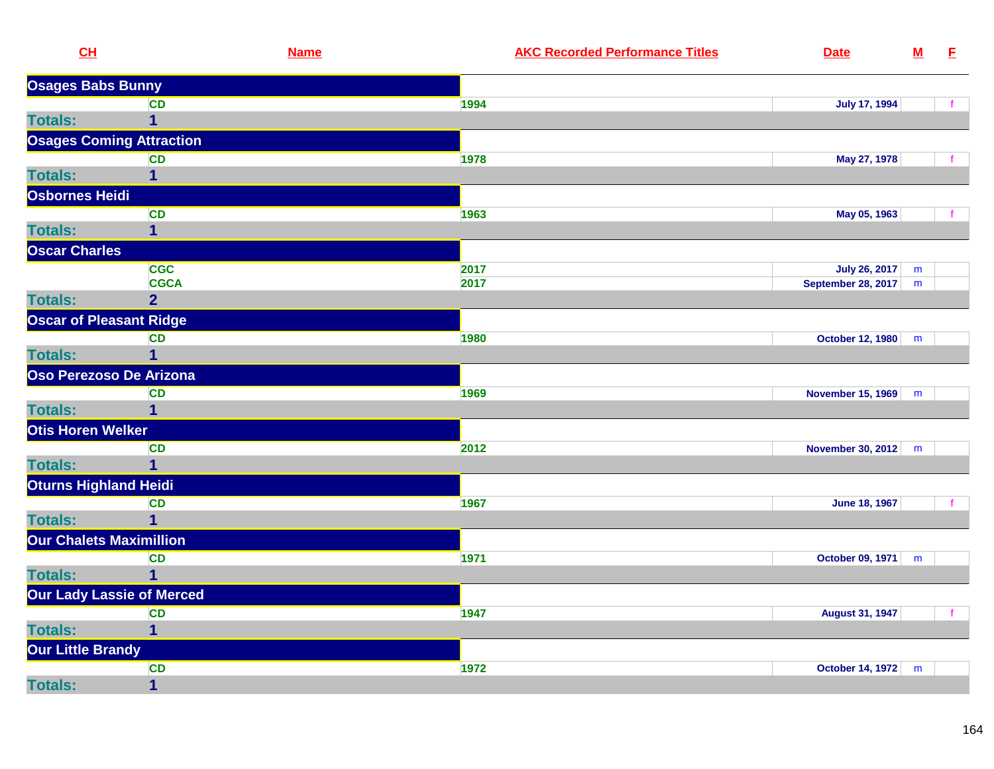| CL                       | <b>Name</b>                      | <b>AKC Recorded Performance Titles</b><br><b>Date</b> |                           | ${\bf M}$ | E            |
|--------------------------|----------------------------------|-------------------------------------------------------|---------------------------|-----------|--------------|
| <b>Osages Babs Bunny</b> |                                  |                                                       |                           |           |              |
|                          | <b>CD</b>                        | 1994                                                  | <b>July 17, 1994</b>      |           | $\mathbf{f}$ |
| <b>Totals:</b>           | $\mathbf 1$                      |                                                       |                           |           |              |
|                          | <b>Osages Coming Attraction</b>  |                                                       |                           |           |              |
|                          | <b>CD</b>                        | 1978                                                  | May 27, 1978              |           |              |
| <b>Totals:</b>           | $\mathbf{1}$                     |                                                       |                           |           |              |
| Osbornes Heidi           |                                  |                                                       |                           |           |              |
|                          | CD                               | 1963                                                  | May 05, 1963              |           |              |
| <b>Totals:</b>           | $\overline{1}$                   |                                                       |                           |           |              |
| <b>Oscar Charles</b>     |                                  |                                                       |                           |           |              |
|                          | <b>CGC</b>                       | 2017                                                  | <b>July 26, 2017</b>      | m         |              |
|                          | <b>CGCA</b>                      | 2017                                                  | <b>September 28, 2017</b> | m         |              |
| <b>Totals:</b>           | $\overline{2}$                   |                                                       |                           |           |              |
|                          | <b>Oscar of Pleasant Ridge</b>   |                                                       |                           |           |              |
|                          | <b>CD</b>                        | 1980                                                  | October 12, 1980          | m         |              |
| <b>Totals:</b>           | $\overline{1}$                   |                                                       |                           |           |              |
|                          | Oso Perezoso De Arizona          |                                                       |                           |           |              |
|                          | <b>CD</b>                        | 1969                                                  | <b>November 15, 1969</b>  | m         |              |
| <b>Totals:</b>           | $\overline{1}$                   |                                                       |                           |           |              |
| Otis Horen Welker        |                                  |                                                       |                           |           |              |
|                          | <b>CD</b>                        | 2012                                                  | <b>November 30, 2012</b>  | m         |              |
| <b>Totals:</b>           | $\overline{1}$                   |                                                       |                           |           |              |
| Oturns Highland Heidi    |                                  |                                                       |                           |           |              |
|                          | <b>CD</b>                        | 1967                                                  | <b>June 18, 1967</b>      |           |              |
| <b>Totals:</b>           | $\overline{1}$                   |                                                       |                           |           |              |
|                          | <b>Our Chalets Maximillion</b>   |                                                       |                           |           |              |
|                          | <b>CD</b>                        | 1971                                                  | October 09, 1971          | m         |              |
| <b>Totals:</b>           | $\overline{1}$                   |                                                       |                           |           |              |
|                          | <b>Our Lady Lassie of Merced</b> |                                                       |                           |           |              |
|                          | CD                               | 1947                                                  | <b>August 31, 1947</b>    |           | f            |
| <b>Totals:</b>           | $\mathbf{1}$                     |                                                       |                           |           |              |
| <b>Our Little Brandy</b> |                                  |                                                       |                           |           |              |
|                          | CD                               | 1972                                                  | <b>October 14, 1972</b>   | m         |              |
| <b>Totals:</b>           | $\overline{1}$                   |                                                       |                           |           |              |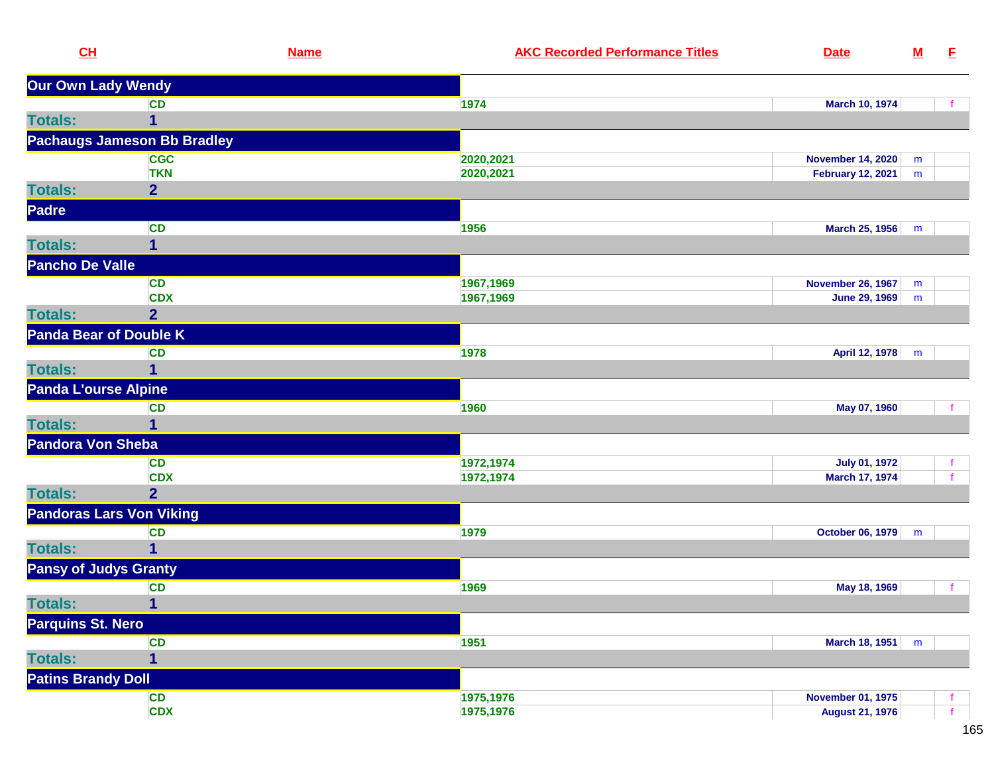| CL                            | <b>Name</b>                        | <b>AKC Recorded Performance Titles</b> | <b>Date</b>              | ${\bf M}$ | E. |
|-------------------------------|------------------------------------|----------------------------------------|--------------------------|-----------|----|
| Our Own Lady Wendy            |                                    |                                        |                          |           |    |
|                               | <b>CD</b>                          | 1974                                   | <b>March 10, 1974</b>    |           |    |
| <b>Totals:</b>                | 1                                  |                                        |                          |           |    |
|                               | <b>Pachaugs Jameson Bb Bradley</b> |                                        |                          |           |    |
|                               | <b>CGC</b>                         | 2020,2021                              | <b>November 14, 2020</b> | m         |    |
|                               | <b>TKN</b>                         | 2020,2021                              | <b>February 12, 2021</b> | m         |    |
| <b>Totals:</b>                | $\overline{2}$                     |                                        |                          |           |    |
| Padre                         |                                    |                                        |                          |           |    |
|                               | <b>CD</b>                          | 1956                                   | March 25, 1956           | m         |    |
| <b>Totals:</b>                | 1                                  |                                        |                          |           |    |
| <b>Pancho De Valle</b>        |                                    |                                        |                          |           |    |
|                               | <b>CD</b>                          | 1967,1969                              | <b>November 26, 1967</b> | m         |    |
|                               | <b>CDX</b>                         | 1967,1969                              | June 29, 1969            | m         |    |
| <b>Totals:</b>                | $\overline{2}$                     |                                        |                          |           |    |
| <b>Panda Bear of Double K</b> |                                    |                                        |                          |           |    |
|                               | <b>CD</b>                          | 1978                                   | April 12, 1978           | m         |    |
| <b>Totals:</b>                | 1                                  |                                        |                          |           |    |
| <b>Panda L'ourse Alpine</b>   |                                    |                                        |                          |           |    |
|                               | <b>CD</b>                          | 1960                                   | May 07, 1960             |           |    |
| <b>Totals:</b>                | 1                                  |                                        |                          |           |    |
| <b>Pandora Von Sheba</b>      |                                    |                                        |                          |           |    |
|                               | <b>CD</b>                          | 1972,1974                              | <b>July 01, 1972</b>     |           |    |
|                               | <b>CDX</b>                         | 1972,1974                              | March 17, 1974           |           |    |
| <b>Totals:</b>                | $\overline{2}$                     |                                        |                          |           |    |
|                               | <b>Pandoras Lars Von Viking</b>    |                                        |                          |           |    |
|                               | <b>CD</b>                          | 1979                                   | October 06, 1979         | m         |    |
| <b>Totals:</b>                | $\mathbf 1$                        |                                        |                          |           |    |
| <b>Pansy of Judys Granty</b>  |                                    |                                        |                          |           |    |
|                               | <b>CD</b>                          | 1969                                   | May 18, 1969             |           | f. |
| <b>Totals:</b>                | $\mathbf{1}$                       |                                        |                          |           |    |
| Parquins St. Nero             |                                    |                                        |                          |           |    |
|                               | <b>CD</b>                          | 1951                                   | March 18, 1951           | m         |    |
| <b>Totals:</b>                | 1                                  |                                        |                          |           |    |
| <b>Patins Brandy Doll</b>     |                                    |                                        |                          |           |    |
|                               | CD                                 | 1975,1976                              | <b>November 01, 1975</b> |           |    |
|                               | <b>CDX</b>                         | 1975,1976                              | <b>August 21, 1976</b>   |           |    |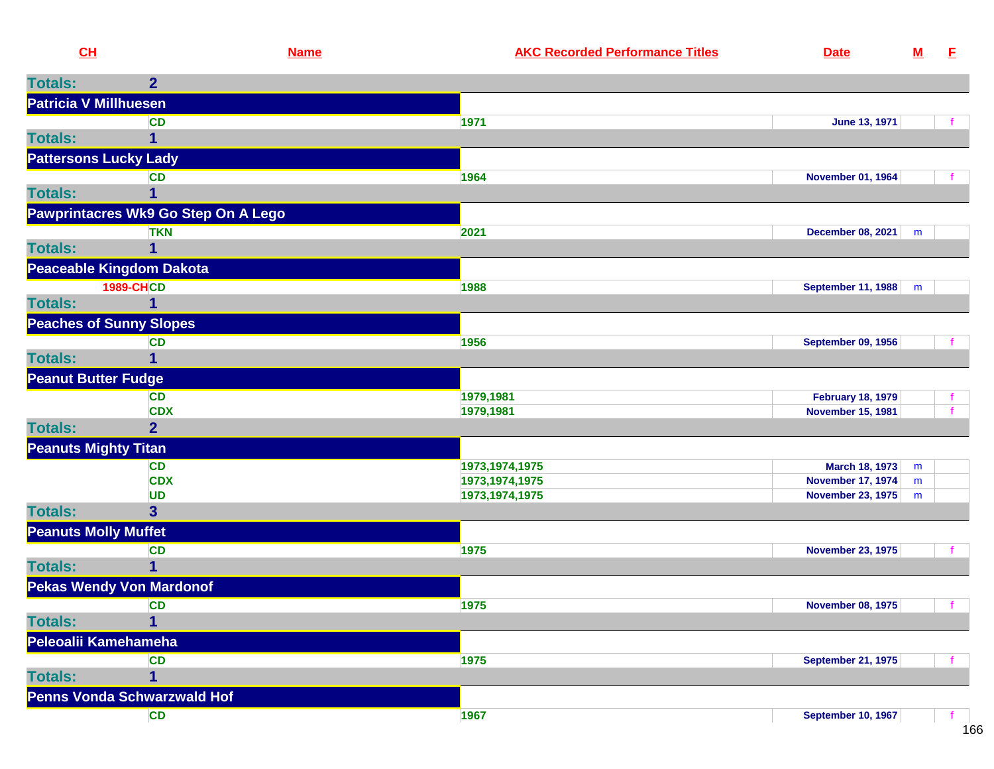| CH                           | <b>Name</b>                         | <b>AKC Recorded Performance Titles</b> | <b>Date</b>                                          | ${\bf M}$ | E        |
|------------------------------|-------------------------------------|----------------------------------------|------------------------------------------------------|-----------|----------|
| <b>Totals:</b>               | 2 <sup>1</sup>                      |                                        |                                                      |           |          |
| <b>Patricia V Millhuesen</b> |                                     |                                        |                                                      |           |          |
|                              | <b>CD</b>                           | 1971                                   | <b>June 13, 1971</b>                                 |           |          |
| <b>Totals:</b>               | 1                                   |                                        |                                                      |           |          |
| <b>Pattersons Lucky Lady</b> |                                     |                                        |                                                      |           |          |
|                              | <b>CD</b>                           | 1964                                   | <b>November 01, 1964</b>                             |           |          |
| <b>Totals:</b>               |                                     |                                        |                                                      |           |          |
|                              | Pawprintacres Wk9 Go Step On A Lego |                                        |                                                      |           |          |
|                              | <b>TKN</b>                          | 2021                                   | <b>December 08, 2021</b>                             | m         |          |
| <b>Totals:</b>               |                                     |                                        |                                                      |           |          |
|                              | <b>Peaceable Kingdom Dakota</b>     |                                        |                                                      |           |          |
|                              | <b>1989-CHCD</b>                    | 1988                                   | <b>September 11, 1988</b>                            | m         |          |
| <b>Totals:</b>               |                                     |                                        |                                                      |           |          |
|                              | <b>Peaches of Sunny Slopes</b>      |                                        |                                                      |           |          |
|                              | <b>CD</b>                           | 1956                                   | <b>September 09, 1956</b>                            |           |          |
| <b>Totals:</b>               |                                     |                                        |                                                      |           |          |
| <b>Peanut Butter Fudge</b>   |                                     |                                        |                                                      |           |          |
|                              | <b>CD</b>                           | 1979,1981                              | <b>February 18, 1979</b>                             |           |          |
|                              | <b>CDX</b>                          | 1979,1981                              | <b>November 15, 1981</b>                             |           |          |
| <b>Totals:</b>               | $\overline{2}$                      |                                        |                                                      |           |          |
| <b>Peanuts Mighty Titan</b>  |                                     |                                        |                                                      |           |          |
|                              | <b>CD</b>                           | 1973, 1974, 1975                       | March 18, 1973                                       | m         |          |
|                              | <b>CDX</b><br><b>UD</b>             | 1973, 1974, 1975<br>1973, 1974, 1975   | <b>November 17, 1974</b><br><b>November 23, 1975</b> | m<br>m    |          |
| <b>Totals:</b>               | 3 <sup>1</sup>                      |                                        |                                                      |           |          |
| <b>Peanuts Molly Muffet</b>  |                                     |                                        |                                                      |           |          |
|                              | <b>CD</b>                           | 1975                                   | <b>November 23, 1975</b>                             |           |          |
| <b>Totals:</b>               | 1                                   |                                        |                                                      |           |          |
|                              | <b>Pekas Wendy Von Mardonof</b>     |                                        |                                                      |           |          |
|                              | <b>CD</b>                           | 1975                                   | <b>November 08, 1975</b>                             |           | <b>f</b> |
| <b>Totals:</b>               | 4                                   |                                        |                                                      |           |          |
| Peleoalii Kamehameha         |                                     |                                        |                                                      |           |          |
|                              | <b>CD</b>                           | 1975                                   | <b>September 21, 1975</b>                            |           |          |
| <b>Totals:</b>               |                                     |                                        |                                                      |           |          |
|                              | Penns Vonda Schwarzwald Hof         |                                        |                                                      |           |          |
|                              | <b>CD</b>                           | 1967                                   | <b>September 10, 1967</b>                            |           |          |
|                              |                                     |                                        |                                                      |           |          |

 $166$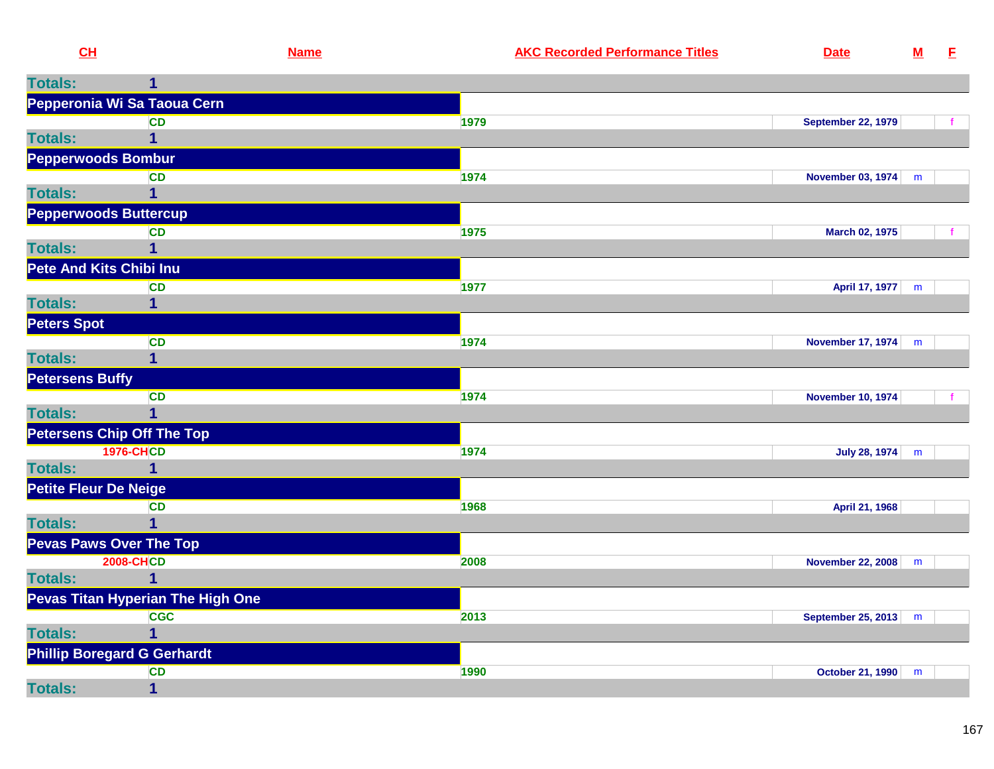| CH                           |                                    | <b>Name</b> | <b>AKC Recorded Performance Titles</b> | <b>Date</b>               | $\mathbf M$ | E |
|------------------------------|------------------------------------|-------------|----------------------------------------|---------------------------|-------------|---|
| <b>Totals:</b>               |                                    |             |                                        |                           |             |   |
|                              | Pepperonia Wi Sa Taoua Cern        |             |                                        |                           |             |   |
|                              | <b>CD</b>                          | 1979        |                                        | <b>September 22, 1979</b> |             |   |
| <b>Totals:</b>               |                                    |             |                                        |                           |             |   |
|                              | <b>Pepperwoods Bombur</b>          |             |                                        |                           |             |   |
|                              | <b>CD</b>                          | 1974        |                                        | November 03, 1974 m       |             |   |
| <b>Totals:</b>               |                                    |             |                                        |                           |             |   |
|                              | <b>Pepperwoods Buttercup</b>       |             |                                        |                           |             |   |
|                              | <b>CD</b>                          | 1975        |                                        | March 02, 1975            |             |   |
| <b>Totals:</b>               |                                    |             |                                        |                           |             |   |
|                              | <b>Pete And Kits Chibi Inu</b>     |             |                                        |                           |             |   |
|                              | <b>CD</b>                          | 1977        |                                        | April 17, 1977            | m           |   |
| <b>Totals:</b>               |                                    |             |                                        |                           |             |   |
| <b>Peters Spot</b>           |                                    |             |                                        |                           |             |   |
|                              | <b>CD</b>                          | 1974        |                                        | November 17, 1974         | m           |   |
| <b>Totals:</b>               |                                    |             |                                        |                           |             |   |
| <b>Petersens Buffy</b>       |                                    |             |                                        |                           |             |   |
|                              | <b>CD</b>                          | 1974        |                                        | <b>November 10, 1974</b>  |             |   |
| <b>Totals:</b>               |                                    |             |                                        |                           |             |   |
|                              | <b>Petersens Chip Off The Top</b>  |             |                                        |                           |             |   |
| <b>Totals:</b>               | <b>1976-CHCD</b><br>1              | 1974        |                                        | <b>July 28, 1974</b>      | m           |   |
|                              |                                    |             |                                        |                           |             |   |
| <b>Petite Fleur De Neige</b> | <b>CD</b>                          | 1968        |                                        | April 21, 1968            |             |   |
| <b>Totals:</b>               |                                    |             |                                        |                           |             |   |
|                              | <b>Pevas Paws Over The Top</b>     |             |                                        |                           |             |   |
|                              | <b>2008-CHCD</b>                   | 2008        |                                        | <b>November 22, 2008</b>  | m           |   |
| <b>Totals:</b>               |                                    |             |                                        |                           |             |   |
|                              | Pevas Titan Hyperian The High One  |             |                                        |                           |             |   |
|                              | <b>CGC</b>                         | 2013        |                                        | <b>September 25, 2013</b> | m           |   |
| <b>Totals:</b>               |                                    |             |                                        |                           |             |   |
|                              | <b>Phillip Boregard G Gerhardt</b> |             |                                        |                           |             |   |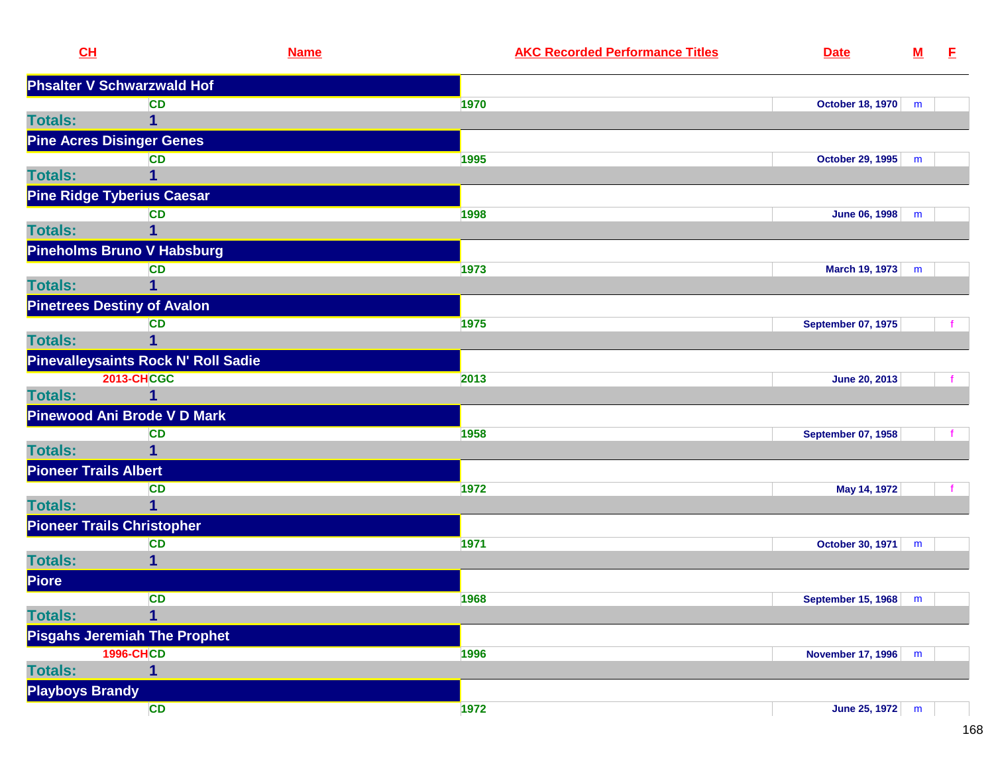|                | CL                                 | <b>Name</b>                         | <b>AKC Recorded Performance Titles</b> | <b>Date</b>               | ${\bf M}$ | E. |
|----------------|------------------------------------|-------------------------------------|----------------------------------------|---------------------------|-----------|----|
|                | <b>Phsalter V Schwarzwald Hof</b>  |                                     |                                        |                           |           |    |
|                |                                    | <b>CD</b>                           | 1970                                   | October 18, 1970          | m         |    |
| <b>Totals:</b> |                                    | 1                                   |                                        |                           |           |    |
|                | <b>Pine Acres Disinger Genes</b>   |                                     |                                        |                           |           |    |
|                |                                    | <b>CD</b>                           | 1995                                   | October 29, 1995          | m         |    |
| <b>Totals:</b> |                                    | 1                                   |                                        |                           |           |    |
|                | <b>Pine Ridge Tyberius Caesar</b>  |                                     |                                        |                           |           |    |
|                |                                    | <b>CD</b>                           | 1998                                   | June 06, 1998             | m         |    |
| <b>Totals:</b> |                                    | 1                                   |                                        |                           |           |    |
|                |                                    | <b>Pineholms Bruno V Habsburg</b>   |                                        |                           |           |    |
|                |                                    | <b>CD</b>                           | 1973                                   | March 19, 1973            | m         |    |
| <b>Totals:</b> |                                    | 1                                   |                                        |                           |           |    |
|                | <b>Pinetrees Destiny of Avalon</b> |                                     |                                        |                           |           |    |
|                |                                    | <b>CD</b>                           | 1975                                   | <b>September 07, 1975</b> |           |    |
| <b>Totals:</b> |                                    | $\overline{1}$                      |                                        |                           |           |    |
|                |                                    | Pinevalleysaints Rock N' Roll Sadie |                                        |                           |           |    |
|                | <b>2013-CHCGC</b>                  |                                     | 2013                                   | June 20, 2013             |           |    |
| <b>Totals:</b> |                                    | 1                                   |                                        |                           |           |    |
|                |                                    | Pinewood Ani Brode V D Mark         |                                        |                           |           |    |
|                |                                    | <b>CD</b>                           | 1958                                   | <b>September 07, 1958</b> |           |    |
| <b>Totals:</b> |                                    | 1                                   |                                        |                           |           |    |
|                | <b>Pioneer Trails Albert</b>       |                                     |                                        |                           |           |    |
|                |                                    | <b>CD</b>                           | 1972                                   | May 14, 1972              |           |    |
| <b>Totals:</b> |                                    | 1                                   |                                        |                           |           |    |
|                | <b>Pioneer Trails Christopher</b>  |                                     |                                        |                           |           |    |
|                |                                    | <b>CD</b>                           | 1971                                   | October 30, 1971          | m         |    |
| <b>Totals:</b> |                                    | 1                                   |                                        |                           |           |    |
| Piore          |                                    |                                     |                                        |                           |           |    |
|                |                                    | <b>CD</b>                           | 1968                                   | September 15, 1968        | m         |    |
| <b>Totals:</b> |                                    | $\overline{\mathbf{1}}$             |                                        |                           |           |    |
|                |                                    | <b>Pisgahs Jeremiah The Prophet</b> |                                        |                           |           |    |
|                | <b>1996-CHCD</b>                   |                                     | 1996                                   | <b>November 17, 1996</b>  | m         |    |
| <b>Totals:</b> |                                    | 1                                   |                                        |                           |           |    |
|                | <b>Playboys Brandy</b>             |                                     |                                        |                           |           |    |
|                |                                    | <b>CD</b>                           | 1972                                   | June 25, 1972             | m         |    |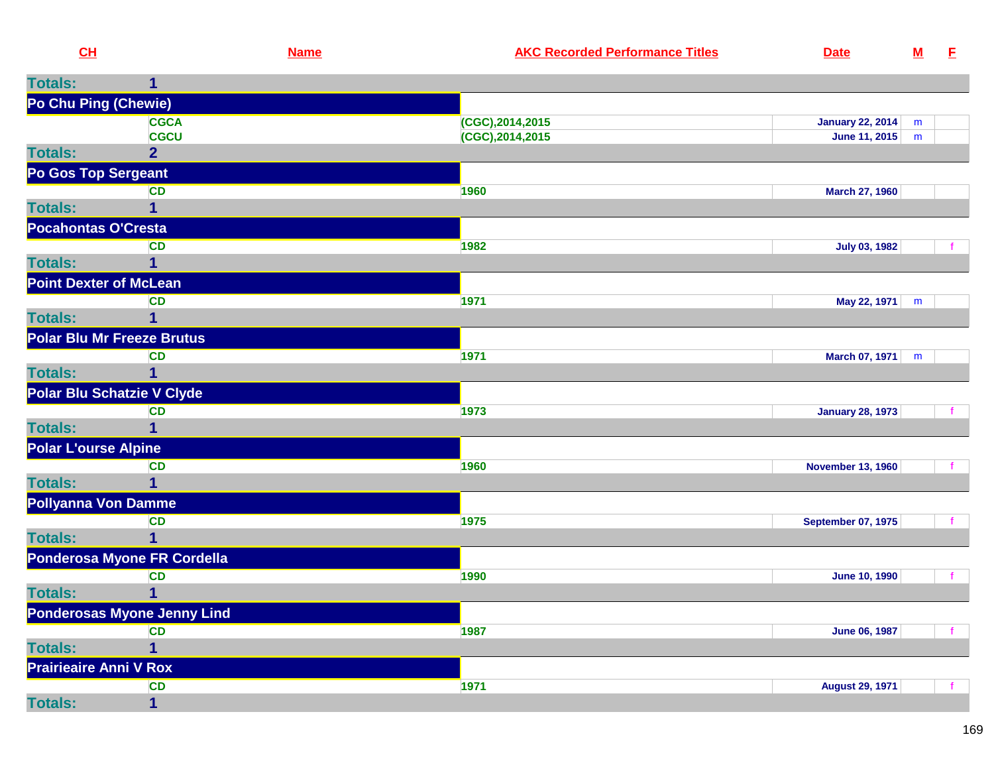| <u>CH</u>                         |                                    | <b>Name</b> | <b>AKC Recorded Performance Titles</b> | <b>Date</b>               | <u>M</u>  | E |
|-----------------------------------|------------------------------------|-------------|----------------------------------------|---------------------------|-----------|---|
| <b>Totals:</b>                    | 1                                  |             |                                        |                           |           |   |
| Po Chu Ping (Chewie)              |                                    |             |                                        |                           |           |   |
|                                   | <b>CGCA</b>                        |             | (CGC), 2014, 2015                      | <b>January 22, 2014</b>   | ${\sf m}$ |   |
|                                   | <b>CGCU</b>                        |             | (CGC), 2014, 2015                      | June 11, 2015             | m         |   |
| <b>Totals:</b>                    | $\overline{2}$                     |             |                                        |                           |           |   |
| Po Gos Top Sergeant               |                                    |             |                                        |                           |           |   |
| <b>Totals:</b>                    | <b>CD</b><br>1                     |             | 1960                                   | March 27, 1960            |           |   |
| <b>Pocahontas O'Cresta</b>        |                                    |             |                                        |                           |           |   |
|                                   | <b>CD</b>                          |             | 1982                                   | <b>July 03, 1982</b>      |           | f |
| <b>Totals:</b>                    | 1                                  |             |                                        |                           |           |   |
| <b>Point Dexter of McLean</b>     |                                    |             |                                        |                           |           |   |
|                                   | <b>CD</b>                          |             | 1971                                   | May 22, 1971              | m         |   |
| <b>Totals:</b>                    | 1                                  |             |                                        |                           |           |   |
| <b>Polar Blu Mr Freeze Brutus</b> |                                    |             |                                        |                           |           |   |
|                                   | <b>CD</b>                          |             | 1971                                   | March 07, 1971            | m         |   |
| <b>Totals:</b>                    | 1                                  |             |                                        |                           |           |   |
| Polar Blu Schatzie V Clyde        |                                    |             |                                        |                           |           |   |
| <b>Totals:</b>                    | <b>CD</b><br>1                     |             | 1973                                   | <b>January 28, 1973</b>   |           |   |
| <b>Polar L'ourse Alpine</b>       |                                    |             |                                        |                           |           |   |
|                                   | <b>CD</b>                          |             | 1960                                   | <b>November 13, 1960</b>  |           | f |
| <b>Totals:</b>                    | $\mathbf{1}$                       |             |                                        |                           |           |   |
| <b>Pollyanna Von Damme</b>        |                                    |             |                                        |                           |           |   |
|                                   | <b>CD</b>                          |             | 1975                                   | <b>September 07, 1975</b> |           | f |
| <b>Totals:</b>                    | 1                                  |             |                                        |                           |           |   |
|                                   | Ponderosa Myone FR Cordella        |             |                                        |                           |           |   |
|                                   | <b>CD</b>                          |             | 1990                                   | <b>June 10, 1990</b>      |           |   |
| <b>Totals:</b>                    | 1                                  |             |                                        |                           |           |   |
|                                   | <b>Ponderosas Myone Jenny Lind</b> |             |                                        |                           |           |   |
|                                   | CD<br>$\mathbf{1}$                 |             | 1987                                   | <b>June 06, 1987</b>      |           | f |
| <b>Totals:</b>                    |                                    |             |                                        |                           |           |   |
| <b>Prairieaire Anni V Rox</b>     | <b>CD</b>                          |             | 1971                                   | <b>August 29, 1971</b>    |           |   |
| <b>Totals:</b>                    | $\mathbf{1}$                       |             |                                        |                           |           |   |
|                                   |                                    |             |                                        |                           |           |   |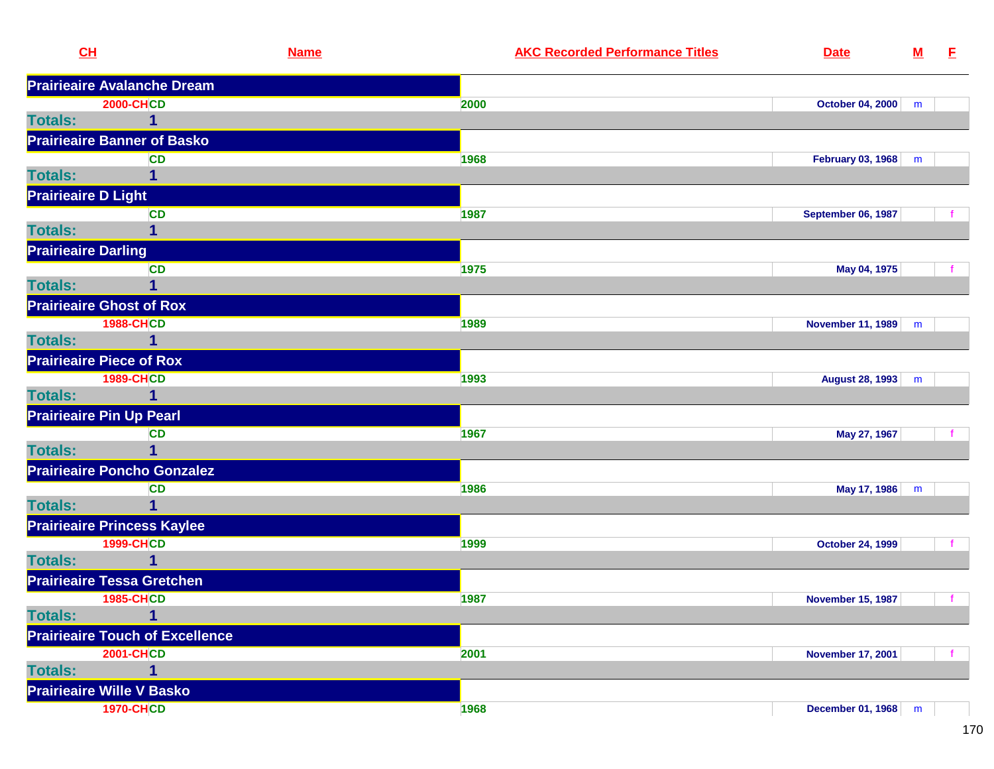|                | CL                                     | <b>Name</b> | <b>AKC Recorded Performance Titles</b> | <b>Date</b>               | ${\bf M}$ | E.           |
|----------------|----------------------------------------|-------------|----------------------------------------|---------------------------|-----------|--------------|
|                | <b>Prairieaire Avalanche Dream</b>     |             |                                        |                           |           |              |
|                | <b>2000-CHCD</b>                       |             | 2000                                   | October 04, 2000          | m         |              |
| <b>Totals:</b> | $\mathbf{1}$                           |             |                                        |                           |           |              |
|                | <b>Prairieaire Banner of Basko</b>     |             |                                        |                           |           |              |
|                | <b>CD</b>                              |             | 1968                                   | February 03, 1968         | m         |              |
| <b>Totals:</b> | 1                                      |             |                                        |                           |           |              |
|                | <b>Prairieaire D Light</b>             |             |                                        |                           |           |              |
|                | <b>CD</b>                              |             | 1987                                   | <b>September 06, 1987</b> |           |              |
| <b>Totals:</b> | 1                                      |             |                                        |                           |           |              |
|                | <b>Prairieaire Darling</b>             |             |                                        |                           |           |              |
|                | <b>CD</b>                              |             | 1975                                   | May 04, 1975              |           |              |
| <b>Totals:</b> | 1                                      |             |                                        |                           |           |              |
|                | <b>Prairieaire Ghost of Rox</b>        |             |                                        |                           |           |              |
|                | <b>1988-CHCD</b>                       |             | 1989                                   | <b>November 11, 1989</b>  | m         |              |
| <b>Totals:</b> | $\mathbf{1}$                           |             |                                        |                           |           |              |
|                | <b>Prairieaire Piece of Rox</b>        |             |                                        |                           |           |              |
|                | <b>1989-CHCD</b>                       |             | 1993                                   | August 28, 1993           | m         |              |
| <b>Totals:</b> | 1                                      |             |                                        |                           |           |              |
|                | <b>Prairieaire Pin Up Pearl</b>        |             |                                        |                           |           |              |
|                | <b>CD</b>                              |             | 1967                                   | May 27, 1967              |           |              |
| <b>Totals:</b> | 1                                      |             |                                        |                           |           |              |
|                | <b>Prairieaire Poncho Gonzalez</b>     |             |                                        |                           |           |              |
|                | <b>CD</b>                              |             | 1986                                   | May 17, 1986              | m         |              |
| <b>Totals:</b> | $\mathbf{1}$                           |             |                                        |                           |           |              |
|                | <b>Prairieaire Princess Kaylee</b>     |             |                                        |                           |           |              |
|                | <b>1999-CHCD</b>                       |             | 1999                                   | <b>October 24, 1999</b>   |           |              |
| <b>Totals:</b> | 1                                      |             |                                        |                           |           |              |
|                | <b>Prairieaire Tessa Gretchen</b>      |             |                                        |                           |           |              |
|                | <b>1985-CHCD</b>                       |             | 1987                                   | <b>November 15, 1987</b>  |           | $\mathbf{f}$ |
| <b>Totals:</b> | $\overline{\mathbf{1}}$                |             |                                        |                           |           |              |
|                | <b>Prairieaire Touch of Excellence</b> |             |                                        |                           |           |              |
|                | <b>2001-CHCD</b>                       |             | 2001                                   | <b>November 17, 2001</b>  |           |              |
| <b>Totals:</b> | $\mathbf{1}$                           |             |                                        |                           |           |              |
|                | <b>Prairieaire Wille V Basko</b>       |             |                                        |                           |           |              |
|                | <b>1970-CHCD</b>                       |             | 1968                                   | <b>December 01, 1968</b>  | m         |              |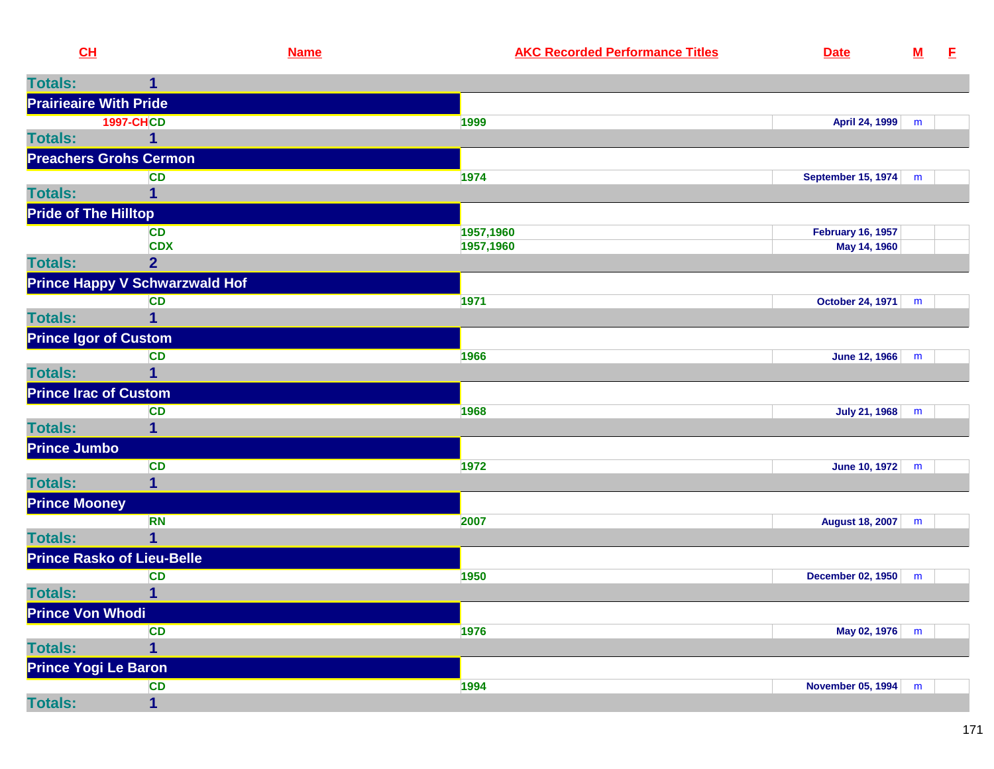| CL                            |                                       | <b>Name</b> | <b>AKC Recorded Performance Titles</b> | <b>Date</b>              | ${\bf M}$ | E |
|-------------------------------|---------------------------------------|-------------|----------------------------------------|--------------------------|-----------|---|
| <b>Totals:</b>                | 1                                     |             |                                        |                          |           |   |
| <b>Prairieaire With Pride</b> |                                       |             |                                        |                          |           |   |
|                               | <b>1997-CHCD</b>                      |             | 1999                                   | April 24, 1999           | m         |   |
| <b>Totals:</b>                | 1                                     |             |                                        |                          |           |   |
|                               | <b>Preachers Grohs Cermon</b>         |             |                                        |                          |           |   |
|                               | CD                                    |             | 1974                                   | September 15, 1974 m     |           |   |
| <b>Totals:</b>                |                                       |             |                                        |                          |           |   |
| <b>Pride of The Hilltop</b>   |                                       |             |                                        |                          |           |   |
|                               | <b>CD</b>                             |             | 1957,1960                              | <b>February 16, 1957</b> |           |   |
|                               | <b>CDX</b>                            |             | 1957,1960                              | May 14, 1960             |           |   |
| <b>Totals:</b>                | $\overline{2}$                        |             |                                        |                          |           |   |
|                               | <b>Prince Happy V Schwarzwald Hof</b> |             |                                        |                          |           |   |
|                               | CD                                    |             | 1971                                   | <b>October 24, 1971</b>  | m         |   |
| <b>Totals:</b>                |                                       |             |                                        |                          |           |   |
| <b>Prince Igor of Custom</b>  |                                       |             |                                        |                          |           |   |
|                               | <b>CD</b>                             |             | 1966                                   | June 12, 1966            | m         |   |
| <b>Totals:</b>                | 1                                     |             |                                        |                          |           |   |
| <b>Prince Irac of Custom</b>  |                                       |             |                                        |                          |           |   |
| <b>Totals:</b>                | <b>CD</b><br>1                        |             | 1968                                   | July 21, 1968 m          |           |   |
|                               |                                       |             |                                        |                          |           |   |
| <b>Prince Jumbo</b>           | CD                                    |             | 1972                                   | June 10, 1972            |           |   |
| <b>Totals:</b>                | 1                                     |             |                                        |                          | m         |   |
| <b>Prince Mooney</b>          |                                       |             |                                        |                          |           |   |
|                               | <b>RN</b>                             |             | 2007                                   | August 18, 2007          | m         |   |
| <b>Totals:</b>                | 1                                     |             |                                        |                          |           |   |
|                               | <b>Prince Rasko of Lieu-Belle</b>     |             |                                        |                          |           |   |
|                               | CD                                    |             | 1950                                   | December 02, 1950 m      |           |   |
| <b>Totals:</b>                | 1                                     |             |                                        |                          |           |   |
| <b>Prince Von Whodi</b>       |                                       |             |                                        |                          |           |   |
|                               | <b>CD</b>                             |             | 1976                                   | May 02, 1976 m           |           |   |
| <b>Totals:</b>                | 1                                     |             |                                        |                          |           |   |
| Prince Yogi Le Baron          |                                       |             |                                        |                          |           |   |
|                               | <b>CD</b>                             |             | 1994                                   | November 05, 1994        | m         |   |
| <b>Totals:</b>                | 1                                     |             |                                        |                          |           |   |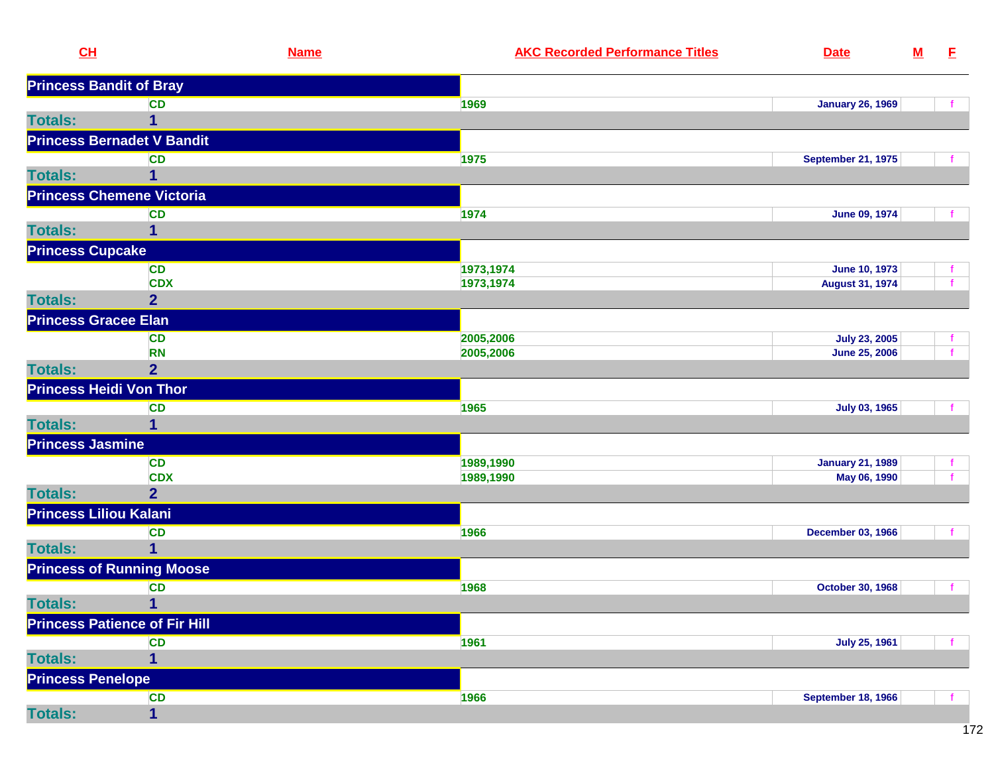| CL                       |                                      | <b>Name</b> | <b>AKC Recorded Performance Titles</b> | <b>Date</b>               | ${\bf M}$ | E  |
|--------------------------|--------------------------------------|-------------|----------------------------------------|---------------------------|-----------|----|
|                          | <b>Princess Bandit of Bray</b>       |             |                                        |                           |           |    |
|                          | <b>CD</b>                            | 1969        |                                        | <b>January 26, 1969</b>   |           |    |
| <b>Totals:</b>           | 1                                    |             |                                        |                           |           |    |
|                          | <b>Princess Bernadet V Bandit</b>    |             |                                        |                           |           |    |
|                          | <b>CD</b>                            | 1975        |                                        | <b>September 21, 1975</b> |           |    |
| <b>Totals:</b>           |                                      |             |                                        |                           |           |    |
|                          | <b>Princess Chemene Victoria</b>     |             |                                        |                           |           |    |
|                          | <b>CD</b>                            | 1974        |                                        | <b>June 09, 1974</b>      |           |    |
| <b>Totals:</b>           | 1                                    |             |                                        |                           |           |    |
| <b>Princess Cupcake</b>  |                                      |             |                                        |                           |           |    |
|                          | <b>CD</b>                            | 1973,1974   |                                        | <b>June 10, 1973</b>      |           |    |
|                          | <b>CDX</b>                           | 1973,1974   |                                        | <b>August 31, 1974</b>    |           | f. |
| <b>Totals:</b>           | $\overline{2}$                       |             |                                        |                           |           |    |
|                          | <b>Princess Gracee Elan</b>          |             |                                        |                           |           |    |
|                          | <b>CD</b>                            | 2005,2006   |                                        | <b>July 23, 2005</b>      |           |    |
|                          | <b>RN</b>                            | 2005,2006   |                                        | <b>June 25, 2006</b>      |           |    |
| <b>Totals:</b>           | $\overline{2}$                       |             |                                        |                           |           |    |
|                          | <b>Princess Heidi Von Thor</b>       |             |                                        |                           |           |    |
|                          | <b>CD</b>                            | 1965        |                                        | July 03, 1965             |           |    |
| <b>Totals:</b>           |                                      |             |                                        |                           |           |    |
| <b>Princess Jasmine</b>  |                                      |             |                                        |                           |           |    |
|                          | <b>CD</b>                            | 1989,1990   |                                        | <b>January 21, 1989</b>   |           |    |
|                          | <b>CDX</b>                           | 1989,1990   |                                        | May 06, 1990              |           |    |
| <b>Totals:</b>           | $\overline{2}$                       |             |                                        |                           |           |    |
|                          | <b>Princess Liliou Kalani</b>        |             |                                        |                           |           |    |
|                          | <b>CD</b>                            | 1966        |                                        | <b>December 03, 1966</b>  |           |    |
| <b>Totals:</b>           | 1                                    |             |                                        |                           |           |    |
|                          | <b>Princess of Running Moose</b>     |             |                                        |                           |           |    |
|                          | <b>CD</b>                            | 1968        |                                        | <b>October 30, 1968</b>   |           |    |
| <b>Totals:</b>           | $\mathbf{1}$                         |             |                                        |                           |           |    |
|                          | <b>Princess Patience of Fir Hill</b> |             |                                        |                           |           |    |
|                          | <b>CD</b>                            | 1961        |                                        | <b>July 25, 1961</b>      |           |    |
| <b>Totals:</b>           | 1                                    |             |                                        |                           |           |    |
| <b>Princess Penelope</b> |                                      |             |                                        |                           |           |    |
|                          | <b>CD</b>                            | 1966        |                                        | <b>September 18, 1966</b> |           |    |
| <b>Totals:</b>           | 1                                    |             |                                        |                           |           |    |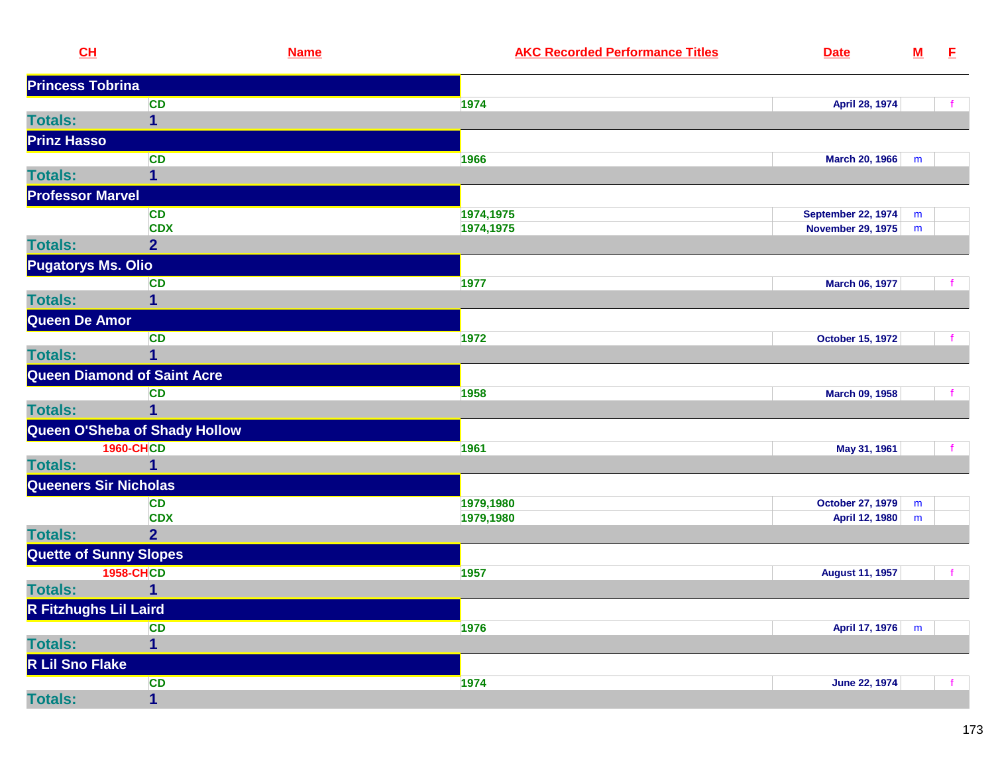| CL                            |                                    | <b>Name</b> | <b>AKC Recorded Performance Titles</b> | <b>Date</b>               | ${\bf M}$ | E            |
|-------------------------------|------------------------------------|-------------|----------------------------------------|---------------------------|-----------|--------------|
| <b>Princess Tobrina</b>       |                                    |             |                                        |                           |           |              |
|                               | <b>CD</b>                          |             | 1974                                   | April 28, 1974            |           |              |
| <b>Totals:</b>                | 1                                  |             |                                        |                           |           |              |
| <b>Prinz Hasso</b>            |                                    |             |                                        |                           |           |              |
|                               | <b>CD</b>                          |             | 1966                                   | March 20, 1966            | m         |              |
| <b>Totals:</b>                | 1                                  |             |                                        |                           |           |              |
| <b>Professor Marvel</b>       |                                    |             |                                        |                           |           |              |
|                               | <b>CD</b>                          |             | 1974,1975                              | <b>September 22, 1974</b> | m         |              |
|                               | <b>CDX</b>                         |             | 1974,1975                              | <b>November 29, 1975</b>  | m         |              |
| <b>Totals:</b>                | $\overline{2}$                     |             |                                        |                           |           |              |
| <b>Pugatorys Ms. Olio</b>     |                                    |             |                                        |                           |           |              |
|                               | <b>CD</b>                          |             | 1977                                   | March 06, 1977            |           |              |
| <b>Totals:</b>                | 1                                  |             |                                        |                           |           |              |
| Queen De Amor                 |                                    |             |                                        |                           |           |              |
|                               | <b>CD</b>                          |             | 1972                                   | <b>October 15, 1972</b>   |           |              |
| <b>Totals:</b>                |                                    |             |                                        |                           |           |              |
|                               | <b>Queen Diamond of Saint Acre</b> |             |                                        |                           |           |              |
|                               | <b>CD</b>                          |             | 1958                                   | March 09, 1958            |           |              |
| <b>Totals:</b>                | 1                                  |             |                                        |                           |           |              |
|                               | Queen O'Sheba of Shady Hollow      |             |                                        |                           |           |              |
|                               | <b>1960-CHCD</b>                   |             | 1961                                   | May 31, 1961              |           |              |
| <b>Totals:</b>                | 1                                  |             |                                        |                           |           |              |
| Queeners Sir Nicholas         |                                    |             |                                        |                           |           |              |
|                               | <b>CD</b>                          |             | 1979,1980                              | <b>October 27, 1979</b>   | m         |              |
|                               | <b>CDX</b>                         |             | 1979,1980                              | April 12, 1980            | ${\sf m}$ |              |
| <b>Totals:</b>                | $\overline{2}$                     |             |                                        |                           |           |              |
| <b>Quette of Sunny Slopes</b> |                                    |             |                                        |                           |           |              |
|                               | <b>1958-CHCD</b>                   |             | 1957                                   | <b>August 11, 1957</b>    |           | $\mathbf{f}$ |
| <b>Totals:</b>                |                                    |             |                                        |                           |           |              |
| R Fitzhughs Lil Laird         |                                    |             |                                        |                           |           |              |
|                               | <b>CD</b>                          |             | 1976                                   | April 17, 1976            | m         |              |
| <b>Totals:</b>                | $\mathbf{1}$                       |             |                                        |                           |           |              |
| R Lil Sno Flake               |                                    |             |                                        |                           |           |              |
|                               | <b>CD</b>                          |             | 1974                                   | <b>June 22, 1974</b>      |           |              |
| <b>Totals:</b>                | $\mathbf{1}$                       |             |                                        |                           |           |              |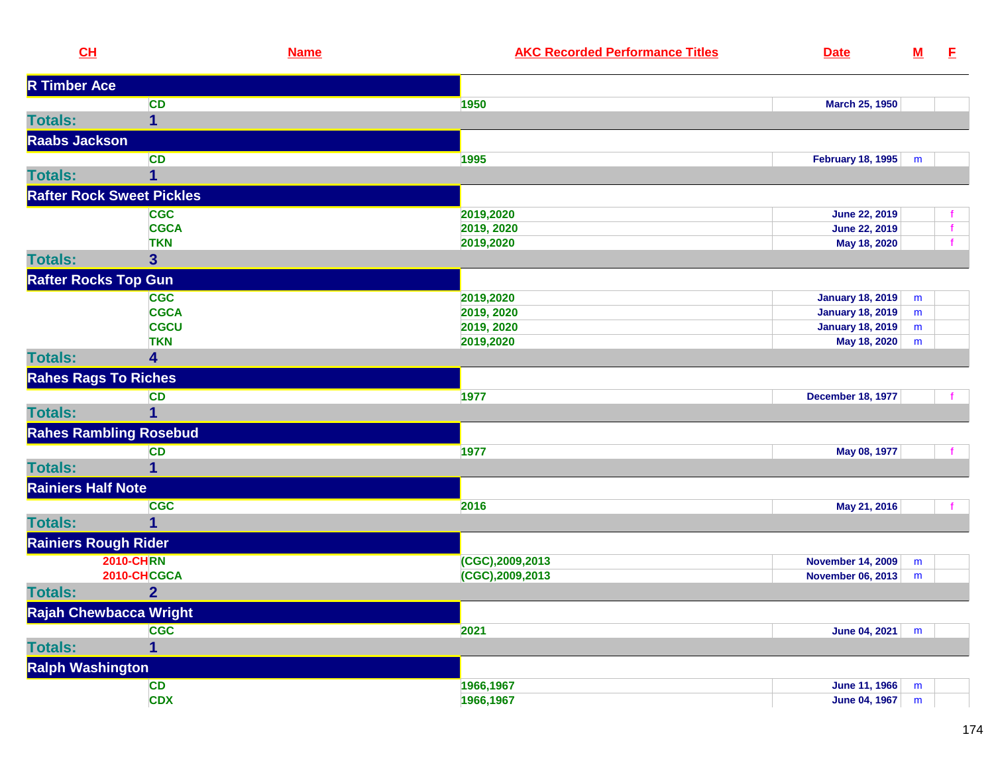| CL                        |                                  | <b>Name</b> | <b>AKC Recorded Performance Titles</b> | <b>Date</b>              | ${\bf M}$ | E            |
|---------------------------|----------------------------------|-------------|----------------------------------------|--------------------------|-----------|--------------|
| <b>R Timber Ace</b>       |                                  |             |                                        |                          |           |              |
|                           | <b>CD</b>                        |             | 1950                                   | <b>March 25, 1950</b>    |           |              |
| <b>Totals:</b>            | 1                                |             |                                        |                          |           |              |
| <b>Raabs Jackson</b>      |                                  |             |                                        |                          |           |              |
|                           | <b>CD</b>                        |             | 1995                                   | February 18, 1995        | m         |              |
| <b>Totals:</b>            | $\mathbf{1}$                     |             |                                        |                          |           |              |
|                           | <b>Rafter Rock Sweet Pickles</b> |             |                                        |                          |           |              |
|                           | <b>CGC</b>                       |             | 2019,2020                              | June 22, 2019            |           |              |
|                           | <b>CGCA</b>                      |             | 2019, 2020                             | June 22, 2019            |           |              |
|                           | <b>TKN</b>                       |             | 2019,2020                              | May 18, 2020             |           | $\mathbf{f}$ |
| <b>Totals:</b>            | $\overline{\mathbf{3}}$          |             |                                        |                          |           |              |
|                           | <b>Rafter Rocks Top Gun</b>      |             |                                        |                          |           |              |
|                           | <b>CGC</b>                       |             | 2019,2020                              | <b>January 18, 2019</b>  | m         |              |
|                           | <b>CGCA</b>                      |             | 2019, 2020                             | <b>January 18, 2019</b>  | m         |              |
|                           | <b>CGCU</b>                      |             | 2019, 2020                             | <b>January 18, 2019</b>  | m         |              |
|                           | <b>TKN</b>                       |             | 2019,2020                              | May 18, 2020             | m         |              |
| <b>Totals:</b>            | 4                                |             |                                        |                          |           |              |
|                           | <b>Rahes Rags To Riches</b>      |             |                                        |                          |           |              |
|                           | <b>CD</b>                        |             | 1977                                   | <b>December 18, 1977</b> |           |              |
| <b>Totals:</b>            | 1                                |             |                                        |                          |           |              |
|                           | <b>Rahes Rambling Rosebud</b>    |             |                                        |                          |           |              |
|                           | <b>CD</b>                        |             | 1977                                   | May 08, 1977             |           |              |
| <b>Totals:</b>            | 1                                |             |                                        |                          |           |              |
| <b>Rainiers Half Note</b> |                                  |             |                                        |                          |           |              |
|                           | <b>CGC</b>                       |             | 2016                                   | May 21, 2016             |           |              |
| <b>Totals:</b>            | 1                                |             |                                        |                          |           |              |
|                           | <b>Rainiers Rough Rider</b>      |             |                                        |                          |           |              |
|                           | <b>2010-CHRN</b>                 |             | (CGC),2009,2013                        | <b>November 14, 2009</b> | m         |              |
|                           | 2010-CHCGCA                      |             | (CGC),2009,2013                        | <b>November 06, 2013</b> | m         |              |
| <b>Totals:</b>            | $\overline{2}$                   |             |                                        |                          |           |              |
|                           | Rajah Chewbacca Wright           |             |                                        |                          |           |              |
|                           | <b>CGC</b>                       |             | 2021                                   | June 04, 2021            | m         |              |
| <b>Totals:</b>            | 1                                |             |                                        |                          |           |              |
|                           | <b>Ralph Washington</b>          |             |                                        |                          |           |              |
|                           | <b>CD</b>                        |             | 1966,1967                              | <b>June 11, 1966</b>     | m         |              |
|                           | <b>CDX</b>                       |             | 1966,1967                              | <b>June 04, 1967</b>     | ${\sf m}$ |              |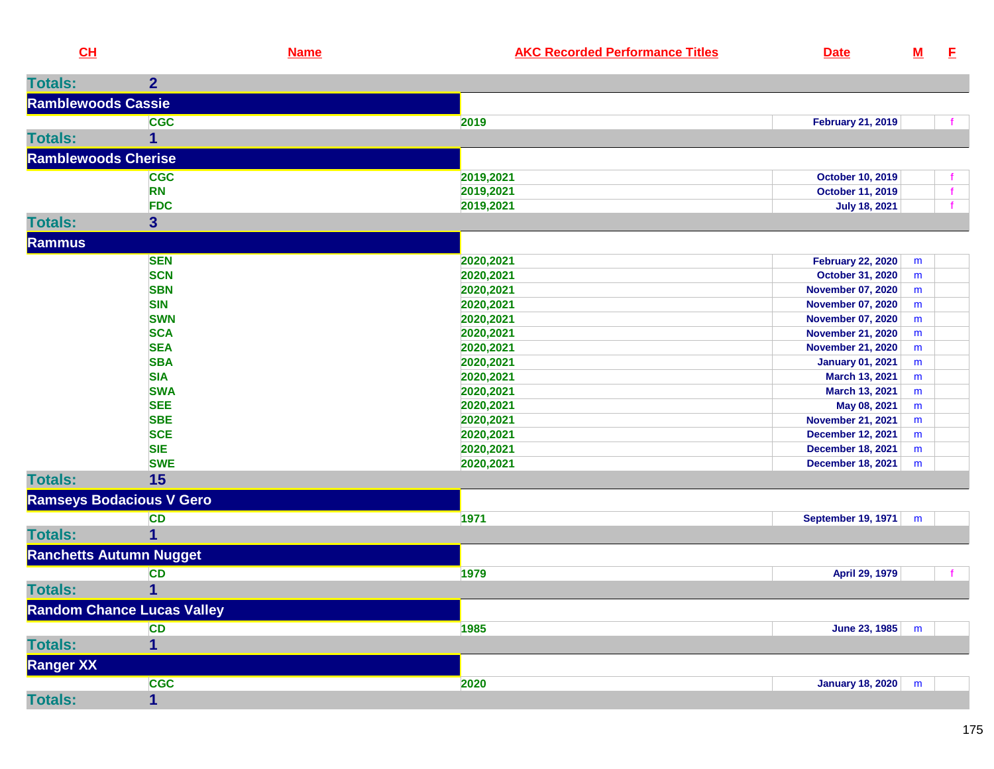| CL                         |                                   | <b>Name</b> | <b>AKC Recorded Performance Titles</b> | <b>Date</b>              | ${\bf M}$ | E            |
|----------------------------|-----------------------------------|-------------|----------------------------------------|--------------------------|-----------|--------------|
| <b>Totals:</b>             | 2 <sup>1</sup>                    |             |                                        |                          |           |              |
| <b>Ramblewoods Cassie</b>  |                                   |             |                                        |                          |           |              |
|                            | <b>CGC</b>                        |             | 2019                                   | <b>February 21, 2019</b> |           |              |
| <b>Totals:</b>             | 1                                 |             |                                        |                          |           |              |
| <b>Ramblewoods Cherise</b> |                                   |             |                                        |                          |           |              |
|                            | <b>CGC</b>                        |             | 2019,2021                              | <b>October 10, 2019</b>  |           | t.           |
|                            | <b>RN</b>                         |             | 2019,2021                              | October 11, 2019         |           | $\mathbf{f}$ |
|                            | <b>FDC</b>                        |             | 2019,2021                              | <b>July 18, 2021</b>     |           | $\mathbf{f}$ |
| <b>Totals:</b>             | $\mathbf{3}$                      |             |                                        |                          |           |              |
| <b>Rammus</b>              |                                   |             |                                        |                          |           |              |
|                            | <b>SEN</b>                        |             | 2020,2021                              | <b>February 22, 2020</b> | m         |              |
|                            | <b>SCN</b>                        |             | 2020,2021                              | October 31, 2020         | m         |              |
|                            | <b>SBN</b>                        |             | 2020,2021                              | <b>November 07, 2020</b> | m         |              |
|                            | <b>SIN</b>                        |             | 2020,2021                              | <b>November 07, 2020</b> | m         |              |
|                            | <b>SWN</b>                        |             | 2020,2021                              | <b>November 07, 2020</b> | m         |              |
|                            | <b>SCA</b>                        |             | 2020,2021                              | <b>November 21, 2020</b> | m         |              |
|                            | <b>SEA</b>                        |             | 2020,2021                              | <b>November 21, 2020</b> | m         |              |
|                            | <b>SBA</b>                        |             | 2020,2021                              | <b>January 01, 2021</b>  | m         |              |
|                            | <b>SIA</b>                        |             | 2020,2021                              | March 13, 2021           | m         |              |
|                            | <b>SWA</b>                        |             | 2020,2021                              | March 13, 2021           | m         |              |
|                            | <b>SEE</b>                        |             | 2020,2021                              | May 08, 2021             | m         |              |
|                            | <b>SBE</b>                        |             | 2020,2021                              | <b>November 21, 2021</b> | m         |              |
|                            | <b>SCE</b>                        |             | 2020,2021                              | <b>December 12, 2021</b> | m         |              |
|                            | <b>SIE</b>                        |             | 2020,2021                              | <b>December 18, 2021</b> | m         |              |
|                            | <b>SWE</b>                        |             | 2020,2021                              | <b>December 18, 2021</b> | m         |              |
| <b>Totals:</b>             | 15                                |             |                                        |                          |           |              |
|                            | <b>Ramseys Bodacious V Gero</b>   |             |                                        |                          |           |              |
|                            | <b>CD</b>                         |             | 1971                                   | September 19, 1971       | m         |              |
| <b>Totals:</b>             | 1                                 |             |                                        |                          |           |              |
|                            | <b>Ranchetts Autumn Nugget</b>    |             |                                        |                          |           |              |
|                            | <b>CD</b>                         |             | 1979                                   | April 29, 1979           |           |              |
| <b>Totals:</b>             | $\mathbf{1}$                      |             |                                        |                          |           |              |
|                            | <b>Random Chance Lucas Valley</b> |             |                                        |                          |           |              |
|                            | <b>CD</b>                         |             | 1985                                   | June 23, 1985            | m         |              |
| <b>Totals:</b>             | $\mathbf{1}$                      |             |                                        |                          |           |              |
| <b>Ranger XX</b>           |                                   |             |                                        |                          |           |              |
|                            | <b>CGC</b>                        |             | 2020                                   | January 18, 2020         | m         |              |
| <b>Totals:</b>             | $\mathbf{1}$                      |             |                                        |                          |           |              |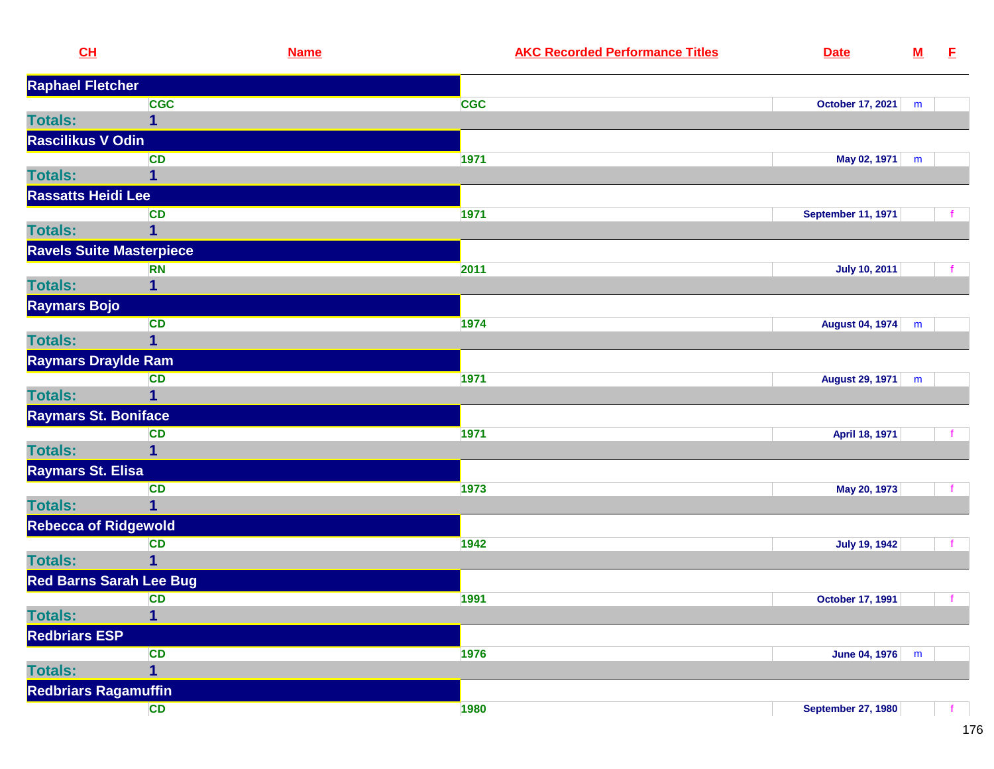| CL                              | <b>Name</b>             |            | <b>AKC Recorded Performance Titles</b> | <b>Date</b>               | ${\bf M}$ | E            |
|---------------------------------|-------------------------|------------|----------------------------------------|---------------------------|-----------|--------------|
| <b>Raphael Fletcher</b>         |                         |            |                                        |                           |           |              |
|                                 | <b>CGC</b>              | <b>CGC</b> |                                        | <b>October 17, 2021</b>   | m         |              |
| <b>Totals:</b>                  | $\overline{1}$          |            |                                        |                           |           |              |
| Rascilikus V Odin               |                         |            |                                        |                           |           |              |
|                                 | <b>CD</b>               | 1971       |                                        | May 02, 1971              | m         |              |
| <b>Totals:</b>                  | 1                       |            |                                        |                           |           |              |
| <b>Rassatts Heidi Lee</b>       |                         |            |                                        |                           |           |              |
|                                 | CD                      | 1971       |                                        | <b>September 11, 1971</b> |           |              |
| <b>Totals:</b>                  | $\mathbf{1}$            |            |                                        |                           |           |              |
| <b>Ravels Suite Masterpiece</b> |                         |            |                                        |                           |           |              |
|                                 | <b>RN</b>               | 2011       |                                        | <b>July 10, 2011</b>      |           |              |
| <b>Totals:</b>                  | $\mathbf{1}$            |            |                                        |                           |           |              |
| Raymars Bojo                    |                         |            |                                        |                           |           |              |
|                                 | <b>CD</b>               | 1974       |                                        | <b>August 04, 1974</b>    | m         |              |
| <b>Totals:</b>                  | $\overline{1}$          |            |                                        |                           |           |              |
| <b>Raymars Draylde Ram</b>      |                         |            |                                        |                           |           |              |
|                                 | <b>CD</b>               | 1971       |                                        | <b>August 29, 1971</b>    | m         |              |
| <b>Totals:</b>                  | $\mathbf{1}$            |            |                                        |                           |           |              |
| Raymars St. Boniface            |                         |            |                                        |                           |           |              |
|                                 | <b>CD</b>               | 1971       |                                        | April 18, 1971            |           |              |
| <b>Totals:</b>                  | 1                       |            |                                        |                           |           |              |
| Raymars St. Elisa               |                         |            |                                        |                           |           |              |
|                                 | <b>CD</b>               | 1973       |                                        | May 20, 1973              |           |              |
| <b>Totals:</b>                  | $\overline{1}$          |            |                                        |                           |           |              |
| <b>Rebecca of Ridgewold</b>     |                         |            |                                        |                           |           |              |
|                                 | <b>CD</b>               | 1942       |                                        | <b>July 19, 1942</b>      |           | $\mathbf{f}$ |
| <b>Totals:</b>                  | $\mathbf{1}$            |            |                                        |                           |           |              |
| <b>Red Barns Sarah Lee Bug</b>  |                         |            |                                        |                           |           |              |
|                                 | <b>CD</b>               | 1991       |                                        | <b>October 17, 1991</b>   |           | $\mathbf{f}$ |
| <b>Totals:</b>                  | $\overline{\mathbf{1}}$ |            |                                        |                           |           |              |
| <b>Redbriars ESP</b>            |                         |            |                                        |                           |           |              |
|                                 | <b>CD</b>               | 1976       |                                        | June 04, 1976             | m         |              |
| <b>Totals:</b>                  | $\mathbf{1}$            |            |                                        |                           |           |              |
| <b>Redbriars Ragamuffin</b>     |                         |            |                                        |                           |           |              |
|                                 | CD                      | 1980       |                                        | <b>September 27, 1980</b> |           |              |
|                                 |                         |            |                                        |                           |           |              |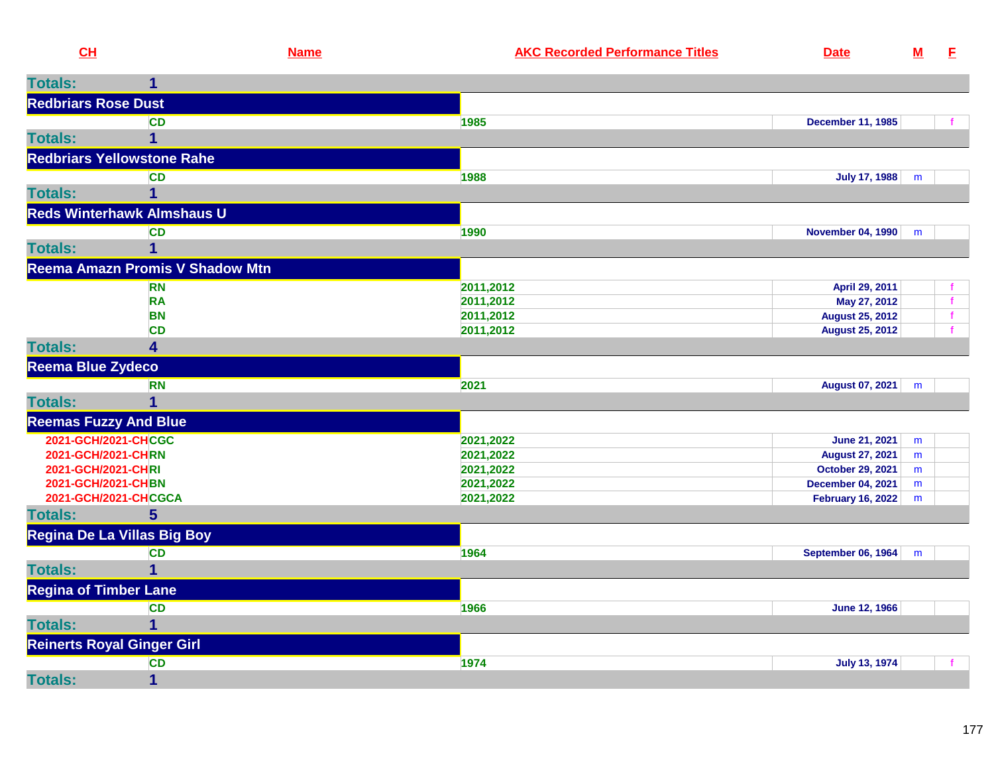| CL                           |                                   | <b>Name</b> | <b>AKC Recorded Performance Titles</b> | <b>Date</b>              | <u>M</u> | E |
|------------------------------|-----------------------------------|-------------|----------------------------------------|--------------------------|----------|---|
| <b>Totals:</b>               |                                   |             |                                        |                          |          |   |
| <b>Redbriars Rose Dust</b>   |                                   |             |                                        |                          |          |   |
|                              | <b>CD</b>                         |             | 1985                                   | <b>December 11, 1985</b> |          |   |
| <b>Totals:</b>               |                                   |             |                                        |                          |          |   |
|                              | <b>Redbriars Yellowstone Rahe</b> |             |                                        |                          |          |   |
|                              | <b>CD</b>                         |             | 1988                                   | July 17, 1988            | m        |   |
| <b>Totals:</b>               |                                   |             |                                        |                          |          |   |
|                              | <b>Reds Winterhawk Almshaus U</b> |             |                                        |                          |          |   |
|                              | <b>CD</b>                         |             | 1990                                   | November 04, 1990        | m        |   |
| <b>Totals:</b>               |                                   |             |                                        |                          |          |   |
|                              | Reema Amazn Promis V Shadow Mtn   |             |                                        |                          |          |   |
|                              | <b>RN</b>                         |             | 2011,2012                              | April 29, 2011           |          |   |
|                              | <b>RA</b>                         |             | 2011,2012                              | May 27, 2012             |          |   |
|                              | <b>BN</b>                         |             | 2011,2012                              | <b>August 25, 2012</b>   |          |   |
|                              | <b>CD</b>                         |             | 2011,2012                              | <b>August 25, 2012</b>   |          |   |
| <b>Totals:</b>               | 4                                 |             |                                        |                          |          |   |
| Reema Blue Zydeco            |                                   |             |                                        |                          |          |   |
|                              | <b>RN</b>                         |             | 2021                                   | August 07, 2021          | m        |   |
| <b>Totals:</b>               |                                   |             |                                        |                          |          |   |
| <b>Reemas Fuzzy And Blue</b> |                                   |             |                                        |                          |          |   |
|                              | 2021-GCH/2021-CHCGC               |             | 2021,2022                              | June 21, 2021            | m        |   |
| 2021-GCH/2021-CHRN           |                                   |             | 2021,2022                              | <b>August 27, 2021</b>   | m        |   |
| 2021-GCH/2021-CHRI           |                                   |             | 2021,2022                              | <b>October 29, 2021</b>  | m        |   |
| ABAL ABUJASAL BURNI          |                                   |             | 0.001000                               | <b>PERSONAL PROPERTY</b> |          |   |

| 2021-GCH/2021-CHBN                |           | 2021,2022 | <b>December 04, 2021</b><br>m  |
|-----------------------------------|-----------|-----------|--------------------------------|
| 2021-GCH/2021-CHCGCA              |           | 2021,2022 | <b>February 16, 2022</b><br>m  |
| <b>Totals:</b>                    |           |           |                                |
| Regina De La Villas Big Boy       |           |           |                                |
|                                   | <b>CD</b> | 1964      | <b>September 06, 1964</b><br>m |
| <b>Totals:</b>                    |           |           |                                |
| <b>Regina of Timber Lane</b>      |           |           |                                |
|                                   | <b>CD</b> | 1966      | June 12, 1966                  |
| <b>Totals:</b>                    |           |           |                                |
| <b>Reinerts Royal Ginger Girl</b> |           |           |                                |
|                                   | <b>CD</b> | 1974      | <b>July 13, 1974</b>           |
| <b>Totals:</b>                    |           |           |                                |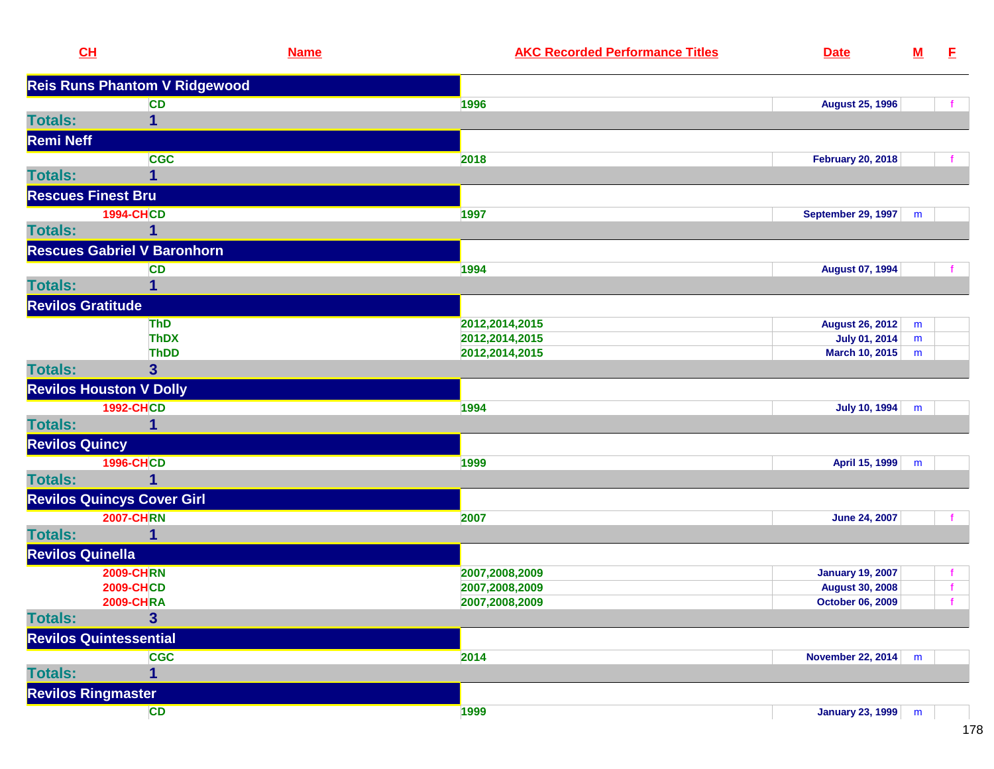| CH                       |                                      | <b>Name</b> | <b>AKC Recorded Performance Titles</b> | <b>Date</b>              | $\underline{\mathsf{M}}$ | E            |
|--------------------------|--------------------------------------|-------------|----------------------------------------|--------------------------|--------------------------|--------------|
|                          | <b>Reis Runs Phantom V Ridgewood</b> |             |                                        |                          |                          |              |
|                          | CD                                   | 1996        |                                        | <b>August 25, 1996</b>   |                          |              |
| <b>Totals:</b>           | $\overline{1}$                       |             |                                        |                          |                          |              |
| <b>Remi Neff</b>         |                                      |             |                                        |                          |                          |              |
|                          | <b>CGC</b>                           | 2018        |                                        | <b>February 20, 2018</b> |                          |              |
| <b>Totals:</b>           | 1                                    |             |                                        |                          |                          |              |
|                          | <b>Rescues Finest Bru</b>            |             |                                        |                          |                          |              |
|                          | <b>1994-CHCD</b>                     | 1997        |                                        | September 29, 1997   m   |                          |              |
| <b>Totals:</b>           | 1                                    |             |                                        |                          |                          |              |
|                          | <b>Rescues Gabriel V Baronhorn</b>   |             |                                        |                          |                          |              |
|                          | <b>CD</b>                            | 1994        |                                        | <b>August 07, 1994</b>   |                          |              |
| <b>Totals:</b>           | $\overline{1}$                       |             |                                        |                          |                          |              |
| <b>Revilos Gratitude</b> |                                      |             |                                        |                          |                          |              |
|                          | <b>ThD</b>                           |             | 2012,2014,2015                         | <b>August 26, 2012</b>   | m                        |              |
|                          | <b>ThDX</b>                          |             | 2012, 2014, 2015                       | <b>July 01, 2014</b>     | m                        |              |
|                          | <b>ThDD</b>                          |             | 2012,2014,2015                         | <b>March 10, 2015</b>    | m                        |              |
| <b>Totals:</b>           | $\overline{\mathbf{3}}$              |             |                                        |                          |                          |              |
|                          | <b>Revilos Houston V Dolly</b>       |             |                                        |                          |                          |              |
|                          | <b>1992-CHCD</b>                     | 1994        |                                        | July 10, 1994            | m                        |              |
| <b>Totals:</b>           | 1                                    |             |                                        |                          |                          |              |
| <b>Revilos Quincy</b>    |                                      |             |                                        |                          |                          |              |
|                          | <b>1996-CHCD</b>                     | 1999        |                                        | April 15, 1999           | m                        |              |
| <b>Totals:</b>           | 1                                    |             |                                        |                          |                          |              |
|                          | <b>Revilos Quincys Cover Girl</b>    |             |                                        |                          |                          |              |
|                          | <b>2007-CHRN</b>                     | 2007        |                                        | <b>June 24, 2007</b>     |                          |              |
| <b>Totals:</b>           | $\mathbf{1}$                         |             |                                        |                          |                          |              |
| <b>Revilos Quinella</b>  |                                      |             |                                        |                          |                          |              |
|                          | <b>2009-CHRN</b>                     |             | 2007,2008,2009                         | <b>January 19, 2007</b>  |                          | $\mathbf{f}$ |
|                          | <b>2009-CHCD</b>                     |             | 2007,2008,2009                         | <b>August 30, 2008</b>   |                          | $\mathbf{f}$ |
|                          | <b>2009-CHRA</b>                     |             | 2007,2008,2009                         | October 06, 2009         |                          | $\vert$ f    |
| <b>Totals:</b>           | $\mathbf{3}$                         |             |                                        |                          |                          |              |
|                          | <b>Revilos Quintessential</b>        |             |                                        |                          |                          |              |
|                          | <b>CGC</b>                           | 2014        |                                        | November 22, 2014   m    |                          |              |
| <b>Totals:</b>           | $\overline{\mathbf{1}}$              |             |                                        |                          |                          |              |
|                          | <b>Revilos Ringmaster</b>            |             |                                        |                          |                          |              |
|                          | <b>CD</b>                            | 1999        |                                        | January 23, 1999 m       |                          |              |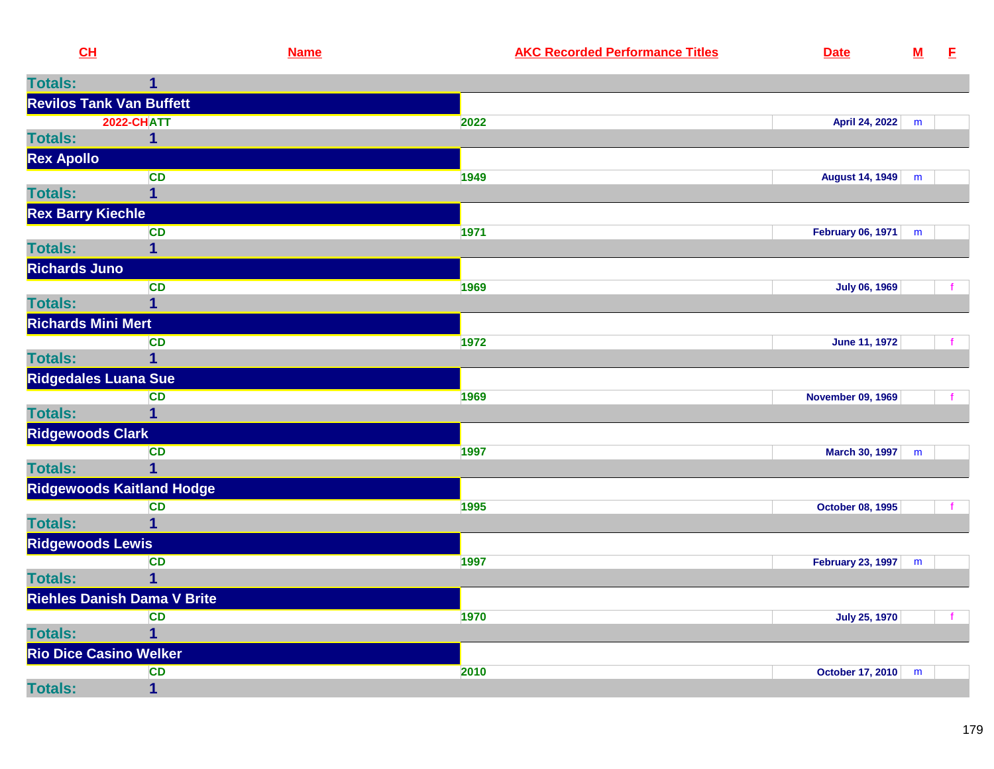| CH                                 | <b>Name</b>              | <b>AKC Recorded Performance Titles</b> | <b>Date</b>              | ${\bf M}$ | E |
|------------------------------------|--------------------------|----------------------------------------|--------------------------|-----------|---|
| <b>Totals:</b>                     |                          |                                        |                          |           |   |
| <b>Revilos Tank Van Buffett</b>    |                          |                                        |                          |           |   |
|                                    | <b>2022-CHATT</b>        | 2022                                   | April 24, 2022           | m         |   |
| <b>Totals:</b>                     | $\mathbf{1}$             |                                        |                          |           |   |
| <b>Rex Apollo</b>                  |                          |                                        |                          |           |   |
|                                    | <b>CD</b>                | 1949                                   | August 14, 1949          | m         |   |
| <b>Totals:</b>                     |                          |                                        |                          |           |   |
| <b>Rex Barry Kiechle</b>           |                          |                                        |                          |           |   |
| <b>Totals:</b>                     | <b>CD</b><br>$\mathbf 1$ | 1971                                   | February 06, 1971        | m         |   |
| <b>Richards Juno</b>               |                          |                                        |                          |           |   |
|                                    | <b>CD</b>                | 1969                                   | <b>July 06, 1969</b>     |           |   |
| <b>Totals:</b>                     |                          |                                        |                          |           |   |
| <b>Richards Mini Mert</b>          |                          |                                        |                          |           |   |
|                                    | <b>CD</b>                | 1972                                   | <b>June 11, 1972</b>     |           |   |
| <b>Totals:</b>                     |                          |                                        |                          |           |   |
| <b>Ridgedales Luana Sue</b>        |                          |                                        |                          |           |   |
|                                    | <b>CD</b>                | 1969                                   | <b>November 09, 1969</b> |           |   |
| <b>Totals:</b>                     |                          |                                        |                          |           |   |
| <b>Ridgewoods Clark</b>            |                          |                                        |                          |           |   |
|                                    | <b>CD</b>                | 1997                                   | March 30, 1997           | m         |   |
| <b>Totals:</b>                     | 1                        |                                        |                          |           |   |
| <b>Ridgewoods Kaitland Hodge</b>   |                          |                                        |                          |           |   |
| <b>Totals:</b>                     | <b>CD</b>                | 1995                                   | October 08, 1995         |           |   |
| <b>Ridgewoods Lewis</b>            |                          |                                        |                          |           |   |
|                                    | <b>CD</b>                | 1997                                   | February 23, 1997        | m         |   |
| <b>Totals:</b>                     |                          |                                        |                          |           |   |
| <b>Riehles Danish Dama V Brite</b> |                          |                                        |                          |           |   |
|                                    | <b>CD</b>                | 1970                                   | <b>July 25, 1970</b>     |           |   |
| <b>Totals:</b>                     |                          |                                        |                          |           |   |
| <b>Rio Dice Casino Welker</b>      |                          |                                        |                          |           |   |
|                                    | <b>CD</b>                | 2010                                   | October 17, 2010         | m         |   |
| <b>Totals:</b>                     | $\mathbf{1}$             |                                        |                          |           |   |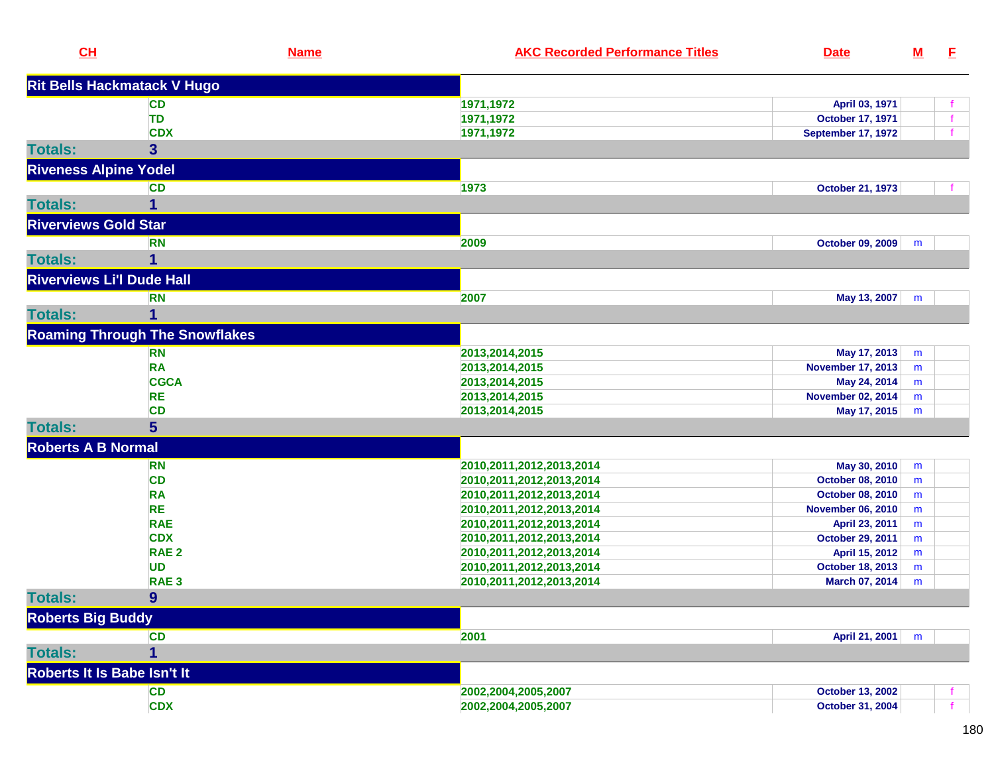| CL                               | <b>Name</b>                           | <b>AKC Recorded Performance Titles</b> | <b>Date</b>               | <u>M</u> | E. |
|----------------------------------|---------------------------------------|----------------------------------------|---------------------------|----------|----|
|                                  | <b>Rit Bells Hackmatack V Hugo</b>    |                                        |                           |          |    |
|                                  | <b>CD</b>                             | 1971,1972                              | April 03, 1971            |          |    |
|                                  | <b>TD</b>                             | 1971, 1972                             | <b>October 17, 1971</b>   |          |    |
|                                  | <b>CDX</b>                            | 1971,1972                              | <b>September 17, 1972</b> |          |    |
| <b>Totals:</b>                   | 3                                     |                                        |                           |          |    |
| <b>Riveness Alpine Yodel</b>     |                                       |                                        |                           |          |    |
|                                  | <b>CD</b>                             | 1973                                   | <b>October 21, 1973</b>   |          |    |
| <b>Totals:</b>                   | 1                                     |                                        |                           |          |    |
| <b>Riverviews Gold Star</b>      |                                       |                                        |                           |          |    |
|                                  | <b>RN</b>                             | 2009                                   | <b>October 09, 2009</b>   | m        |    |
| <b>Totals:</b>                   | 1                                     |                                        |                           |          |    |
| <b>Riverviews Li'l Dude Hall</b> |                                       |                                        |                           |          |    |
|                                  | <b>RN</b>                             | 2007                                   | May 13, 2007              | m        |    |
| <b>Totals:</b>                   | 1                                     |                                        |                           |          |    |
|                                  | <b>Roaming Through The Snowflakes</b> |                                        |                           |          |    |
|                                  | <b>RN</b>                             | 2013,2014,2015                         | May 17, 2013              | m        |    |
|                                  | <b>RA</b>                             | 2013,2014,2015                         | <b>November 17, 2013</b>  | m        |    |
|                                  | <b>CGCA</b>                           | 2013,2014,2015                         | May 24, 2014              | m        |    |
|                                  | <b>RE</b>                             | 2013,2014,2015                         | <b>November 02, 2014</b>  | m        |    |
|                                  | <b>CD</b>                             | 2013,2014,2015                         | May 17, 2015              | m        |    |
| <b>Totals:</b>                   | $5\phantom{1}$                        |                                        |                           |          |    |
| <b>Roberts A B Normal</b>        |                                       |                                        |                           |          |    |
|                                  | <b>RN</b>                             | 2010, 2011, 2012, 2013, 2014           | May 30, 2010              | m        |    |
|                                  | <b>CD</b>                             | 2010, 2011, 2012, 2013, 2014           | October 08, 2010          | m        |    |
|                                  | <b>RA</b>                             | 2010, 2011, 2012, 2013, 2014           | October 08, 2010          | m        |    |
|                                  | <b>RE</b>                             | 2010, 2011, 2012, 2013, 2014           | <b>November 06, 2010</b>  | m        |    |
|                                  | <b>RAE</b>                            | 2010, 2011, 2012, 2013, 2014           | April 23, 2011            | m        |    |
|                                  | <b>CDX</b>                            | 2010, 2011, 2012, 2013, 2014           | October 29, 2011          | m        |    |
|                                  | RAE <sub>2</sub>                      | 2010, 2011, 2012, 2013, 2014           | April 15, 2012            | m        |    |
|                                  | <b>UD</b>                             | 2010, 2011, 2012, 2013, 2014           | <b>October 18, 2013</b>   | m        |    |
|                                  | RAE <sub>3</sub>                      | 2010, 2011, 2012, 2013, 2014           | March 07, 2014            | m        |    |
| <b>Totals:</b>                   | 9                                     |                                        |                           |          |    |
| <b>Roberts Big Buddy</b>         |                                       |                                        |                           |          |    |
|                                  | <b>CD</b>                             | 2001                                   | April 21, 2001            | m        |    |
| <b>Totals:</b>                   | 1                                     |                                        |                           |          |    |
| Roberts It Is Babe Isn't It      |                                       |                                        |                           |          |    |
|                                  | <b>CD</b>                             | 2002,2004,2005,2007                    | <b>October 13, 2002</b>   |          |    |
|                                  | <b>CDX</b>                            | 2002,2004,2005,2007                    | October 31, 2004          |          |    |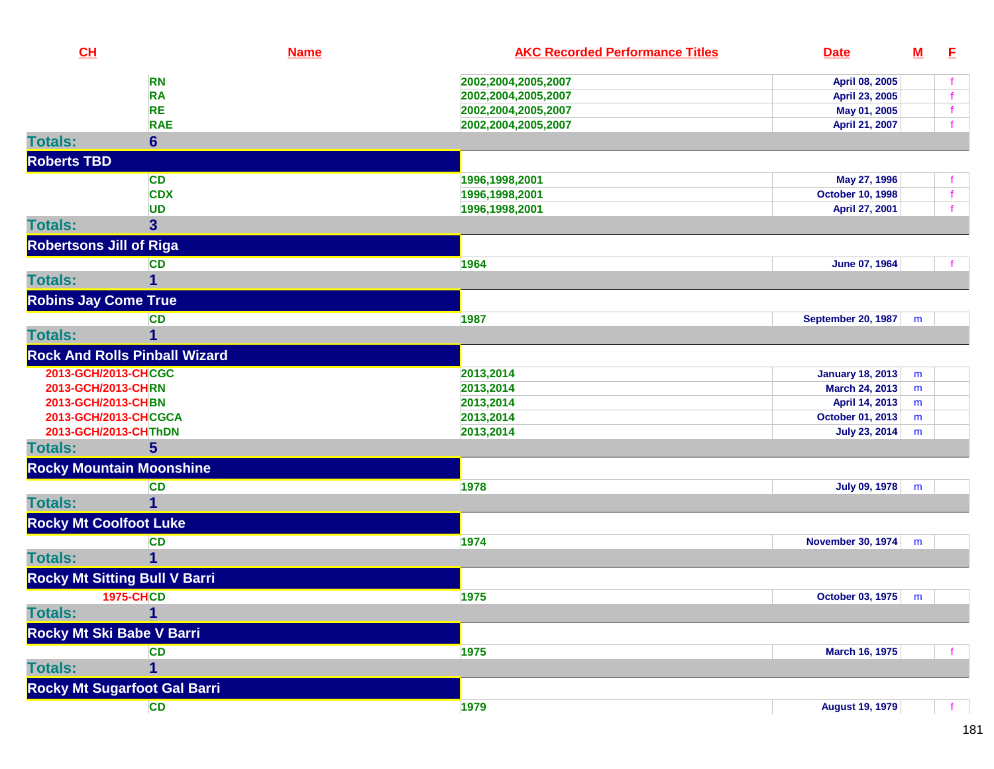| CL                             |                                      | <b>Name</b> | <b>AKC Recorded Performance Titles</b> | <b>Date</b>               | <u>M</u> | E            |
|--------------------------------|--------------------------------------|-------------|----------------------------------------|---------------------------|----------|--------------|
|                                | <b>RN</b>                            |             | 2002,2004,2005,2007                    | April 08, 2005            |          |              |
|                                | <b>RA</b>                            |             | 2002,2004,2005,2007                    | April 23, 2005            |          | $\mathbf{f}$ |
|                                | <b>RE</b>                            |             | 2002,2004,2005,2007                    | May 01, 2005              |          | $\mathbf f$  |
|                                | <b>RAE</b>                           |             | 2002,2004,2005,2007                    | April 21, 2007            |          |              |
| <b>Totals:</b>                 | $6\phantom{a}$                       |             |                                        |                           |          |              |
| <b>Roberts TBD</b>             |                                      |             |                                        |                           |          |              |
|                                | <b>CD</b>                            |             | 1996,1998,2001                         | May 27, 1996              |          | -1           |
|                                | <b>CDX</b>                           |             | 1996,1998,2001                         | <b>October 10, 1998</b>   |          | $\mathbf{f}$ |
|                                | <b>UD</b>                            |             | 1996,1998,2001                         | April 27, 2001            |          | $\mathbf{f}$ |
| <b>Totals:</b>                 | 3                                    |             |                                        |                           |          |              |
| <b>Robertsons Jill of Riga</b> |                                      |             |                                        |                           |          |              |
|                                | <b>CD</b>                            |             | 1964                                   | June 07, 1964             |          |              |
| <b>Totals:</b>                 | $\mathbf{1}$                         |             |                                        |                           |          |              |
| <b>Robins Jay Come True</b>    |                                      |             |                                        |                           |          |              |
|                                | <b>CD</b>                            |             | 1987                                   | <b>September 20, 1987</b> | m        |              |
| <b>Totals:</b>                 | 1                                    |             |                                        |                           |          |              |
|                                | <b>Rock And Rolls Pinball Wizard</b> |             |                                        |                           |          |              |
| 2013-GCH/2013-CHCGC            |                                      |             | 2013,2014                              | <b>January 18, 2013</b>   | m        |              |
| 2013-GCH/2013-CHRN             |                                      |             | 2013,2014                              | March 24, 2013            | m        |              |
| 2013-GCH/2013-CHBN             |                                      |             | 2013,2014                              | April 14, 2013            | m        |              |
| 2013-GCH/2013-CHCGCA           |                                      |             | 2013,2014                              | October 01, 2013          | m        |              |
| 2013-GCH/2013-CHThDN           |                                      |             | 2013,2014                              | <b>July 23, 2014</b>      | m        |              |
| <b>Totals:</b>                 | 5                                    |             |                                        |                           |          |              |
|                                | <b>Rocky Mountain Moonshine</b>      |             |                                        |                           |          |              |
|                                | <b>CD</b>                            |             | 1978                                   | July 09, 1978             | m        |              |
| <b>Totals:</b>                 | 1                                    |             |                                        |                           |          |              |
| <b>Rocky Mt Coolfoot Luke</b>  |                                      |             |                                        |                           |          |              |
|                                | <b>CD</b>                            |             | 1974                                   | <b>November 30, 1974</b>  | m        |              |
| <b>Totals:</b>                 | 1                                    |             |                                        |                           |          |              |
|                                | <b>Rocky Mt Sitting Bull V Barri</b> |             |                                        |                           |          |              |
|                                | <b>1975-CHCD</b>                     |             | 1975                                   | October 03, 1975          | m        |              |
| <b>Totals:</b>                 |                                      |             |                                        |                           |          |              |
| Rocky Mt Ski Babe V Barri      |                                      |             |                                        |                           |          |              |
|                                | <b>CD</b>                            |             | 1975                                   | <b>March 16, 1975</b>     |          |              |
| <b>Totals:</b>                 | 1                                    |             |                                        |                           |          |              |
|                                | <b>Rocky Mt Sugarfoot Gal Barri</b>  |             |                                        |                           |          |              |
|                                | <b>CD</b>                            |             | 1979                                   | <b>August 19, 1979</b>    |          |              |
|                                |                                      |             |                                        |                           |          |              |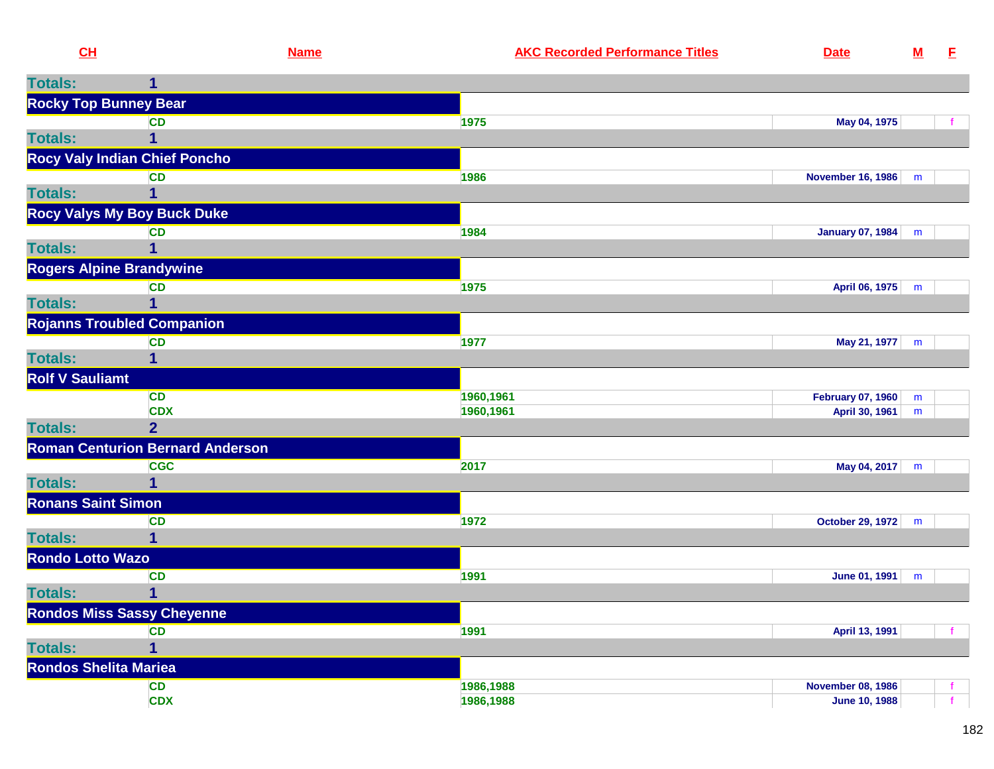| CH                              | <b>Name</b>                             | <b>AKC Recorded Performance Titles</b> | <b>Date</b>                                      | ${\bf M}$ | E |
|---------------------------------|-----------------------------------------|----------------------------------------|--------------------------------------------------|-----------|---|
| <b>Totals:</b>                  | 1                                       |                                        |                                                  |           |   |
| <b>Rocky Top Bunney Bear</b>    |                                         |                                        |                                                  |           |   |
|                                 | <b>CD</b>                               | 1975                                   | May 04, 1975                                     |           |   |
| <b>Totals:</b>                  |                                         |                                        |                                                  |           |   |
|                                 | <b>Rocy Valy Indian Chief Poncho</b>    |                                        |                                                  |           |   |
|                                 | <b>CD</b>                               | 1986                                   | <b>November 16, 1986</b>                         | m         |   |
| <b>Totals:</b>                  |                                         |                                        |                                                  |           |   |
|                                 | <b>Rocy Valys My Boy Buck Duke</b>      |                                        |                                                  |           |   |
|                                 | <b>CD</b>                               | 1984                                   | <b>January 07, 1984</b>                          | m         |   |
| <b>Totals:</b>                  |                                         |                                        |                                                  |           |   |
| <b>Rogers Alpine Brandywine</b> |                                         |                                        |                                                  |           |   |
|                                 | <b>CD</b>                               | 1975                                   | April 06, 1975 m                                 |           |   |
| <b>Totals:</b>                  |                                         |                                        |                                                  |           |   |
|                                 | <b>Rojanns Troubled Companion</b>       |                                        |                                                  |           |   |
| <b>Totals:</b>                  | <b>CD</b><br>1                          | 1977                                   | May 21, 1977                                     | m         |   |
| <b>Rolf V Sauliamt</b>          |                                         |                                        |                                                  |           |   |
|                                 | <b>CD</b>                               | 1960,1961                              | February 07, 1960                                |           |   |
|                                 | <b>CDX</b>                              | 1960,1961                              | April 30, 1961                                   | m<br>m    |   |
| <b>Totals:</b>                  | $\overline{2}$                          |                                        |                                                  |           |   |
|                                 | <b>Roman Centurion Bernard Anderson</b> |                                        |                                                  |           |   |
|                                 | <b>CGC</b>                              | 2017                                   | May 04, 2017                                     | m         |   |
| <b>Totals:</b>                  |                                         |                                        |                                                  |           |   |
| <b>Ronans Saint Simon</b>       |                                         |                                        |                                                  |           |   |
|                                 | <b>CD</b>                               | 1972                                   | October 29, 1972   m                             |           |   |
| <b>Totals:</b>                  |                                         |                                        |                                                  |           |   |
| <b>Rondo Lotto Wazo</b>         |                                         |                                        |                                                  |           |   |
|                                 | <b>CD</b>                               | 1991                                   | June 01, 1991                                    | m         |   |
| <b>Totals:</b>                  | 1                                       |                                        |                                                  |           |   |
|                                 | <b>Rondos Miss Sassy Cheyenne</b>       |                                        |                                                  |           |   |
|                                 | <b>CD</b>                               | 1991                                   | April 13, 1991                                   |           |   |
| <b>Totals:</b>                  | 1                                       |                                        |                                                  |           |   |
| <b>Rondos Shelita Mariea</b>    |                                         |                                        |                                                  |           |   |
|                                 | <b>CD</b><br><b>CDX</b>                 | 1986,1988<br>1986,1988                 | <b>November 08, 1986</b><br><b>June 10, 1988</b> |           |   |
|                                 |                                         |                                        |                                                  |           |   |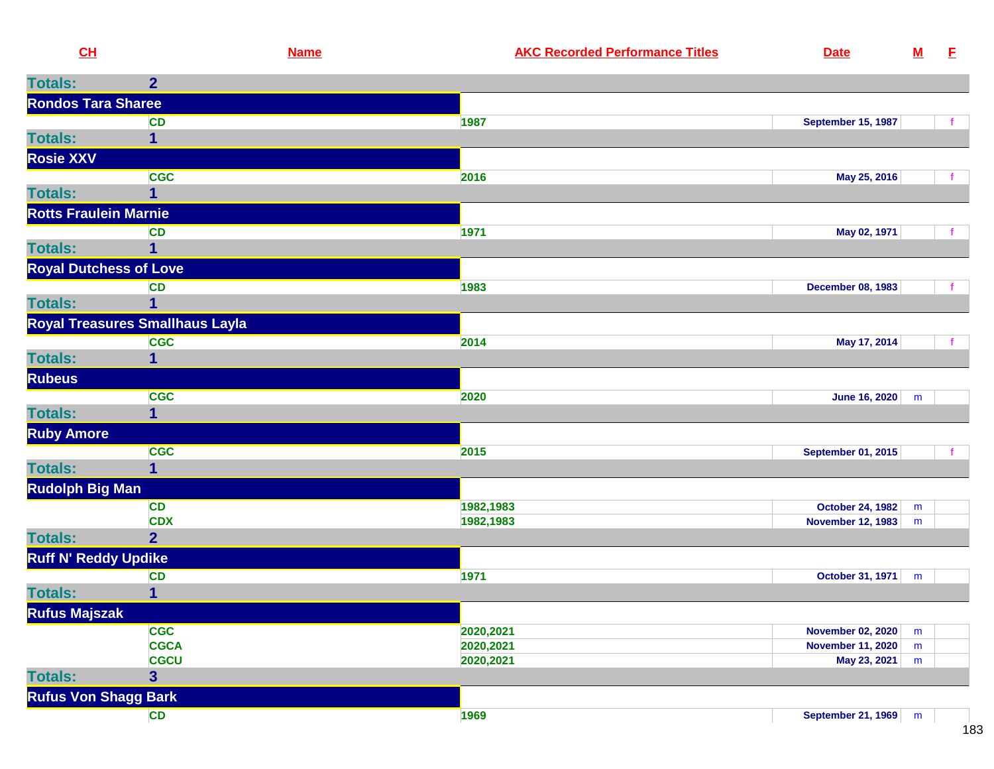| CL                            | <b>Name</b>                            | <b>AKC Recorded Performance Titles</b> | <b>Date</b>               | ${\bf M}$ | E |
|-------------------------------|----------------------------------------|----------------------------------------|---------------------------|-----------|---|
| <b>Totals:</b>                | $\overline{2}$                         |                                        |                           |           |   |
| <b>Rondos Tara Sharee</b>     |                                        |                                        |                           |           |   |
|                               | <b>CD</b>                              | 1987                                   | <b>September 15, 1987</b> |           |   |
| <b>Totals:</b>                | 1                                      |                                        |                           |           |   |
| <b>Rosie XXV</b>              |                                        |                                        |                           |           |   |
|                               | <b>CGC</b>                             | 2016                                   | May 25, 2016              |           |   |
| <b>Totals:</b>                | 1                                      |                                        |                           |           |   |
| <b>Rotts Fraulein Marnie</b>  |                                        |                                        |                           |           |   |
|                               | <b>CD</b>                              | 1971                                   | May 02, 1971              |           |   |
| <b>Totals:</b>                |                                        |                                        |                           |           |   |
| <b>Royal Dutchess of Love</b> |                                        |                                        |                           |           |   |
|                               | <b>CD</b>                              | 1983                                   | <b>December 08, 1983</b>  |           |   |
| <b>Totals:</b>                | 1                                      |                                        |                           |           |   |
|                               | Royal Treasures Smallhaus Layla        |                                        |                           |           |   |
|                               | <b>CGC</b>                             | 2014                                   | May 17, 2014              |           |   |
| <b>Totals:</b>                | 1                                      |                                        |                           |           |   |
| <b>Rubeus</b>                 |                                        |                                        |                           |           |   |
|                               | <b>CGC</b>                             | 2020                                   | June 16, 2020             | m         |   |
| <b>Totals:</b>                | 1                                      |                                        |                           |           |   |
| <b>Ruby Amore</b>             |                                        |                                        |                           |           |   |
|                               | <b>CGC</b>                             | 2015                                   | <b>September 01, 2015</b> |           |   |
| <b>Totals:</b>                | 1                                      |                                        |                           |           |   |
| <b>Rudolph Big Man</b>        |                                        |                                        |                           |           |   |
|                               | <b>CD</b>                              | 1982,1983                              | October 24, 1982          | m         |   |
|                               | <b>CDX</b>                             | 1982,1983                              | <b>November 12, 1983</b>  | m         |   |
| <b>Totals:</b>                | $\overline{2}$                         |                                        |                           |           |   |
| <b>Ruff N' Reddy Updike</b>   |                                        |                                        |                           |           |   |
|                               | <b>CD</b>                              | 1971                                   | October 31, 1971          | m         |   |
| <b>Totals:</b>                | 1                                      |                                        |                           |           |   |
| <b>Rufus Majszak</b>          |                                        |                                        |                           |           |   |
|                               | <b>CGC</b>                             | 2020,2021                              | <b>November 02, 2020</b>  | m         |   |
|                               | <b>CGCA</b>                            | 2020,2021                              | November 11, 2020         | ${\sf m}$ |   |
| <b>Totals:</b>                | <b>CGCU</b><br>$\overline{\mathbf{3}}$ | 2020,2021                              | May 23, 2021              | ${\sf m}$ |   |
|                               |                                        |                                        |                           |           |   |
| <b>Rufus Von Shagg Bark</b>   |                                        |                                        |                           |           |   |
|                               | CD                                     | 1969                                   | September 21, 1969        | m         |   |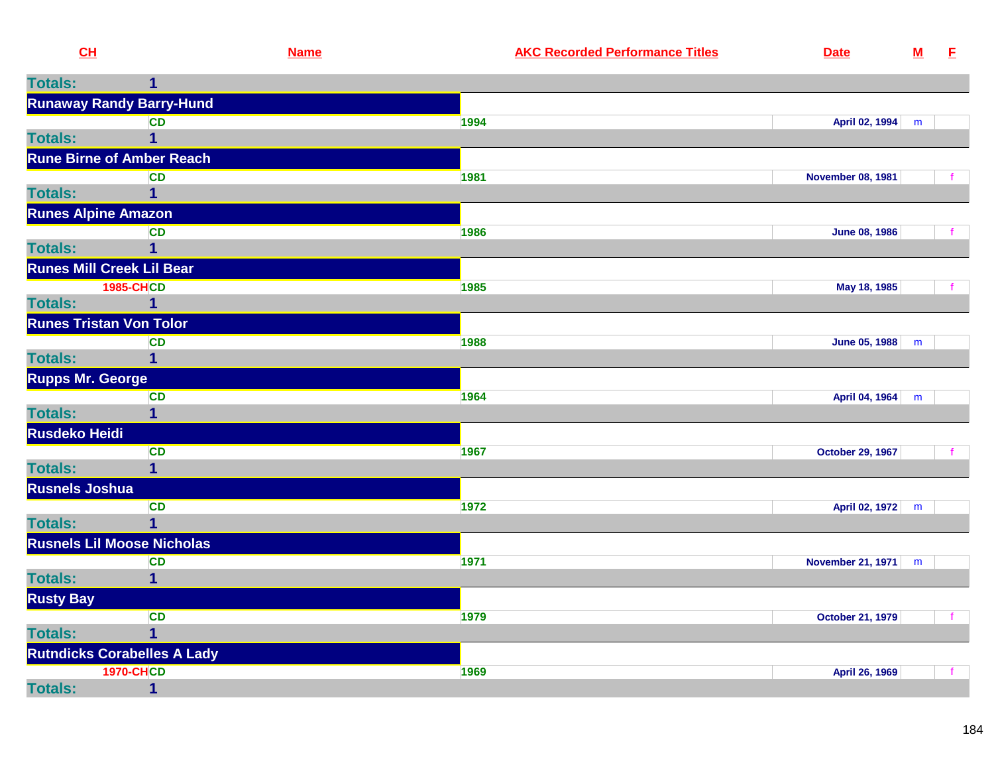| CL                      |                                      | <b>Name</b> | <b>AKC Recorded Performance Titles</b> | <b>Date</b>              | $\underline{\mathsf{M}}$ | E |
|-------------------------|--------------------------------------|-------------|----------------------------------------|--------------------------|--------------------------|---|
| <b>Totals:</b>          | 1                                    |             |                                        |                          |                          |   |
|                         | <b>Runaway Randy Barry-Hund</b>      |             |                                        |                          |                          |   |
|                         | <b>CD</b>                            |             | 1994                                   | April 02, 1994           | m                        |   |
| <b>Totals:</b>          | 1                                    |             |                                        |                          |                          |   |
|                         | <b>Rune Birne of Amber Reach</b>     |             |                                        |                          |                          |   |
|                         | <b>CD</b>                            |             | 1981                                   | <b>November 08, 1981</b> |                          |   |
| <b>Totals:</b>          | 1                                    |             |                                        |                          |                          |   |
|                         | <b>Runes Alpine Amazon</b>           |             |                                        |                          |                          |   |
|                         | <b>CD</b>                            |             | 1986                                   | <b>June 08, 1986</b>     |                          |   |
| <b>Totals:</b>          |                                      |             |                                        |                          |                          |   |
|                         | <b>Runes Mill Creek Lil Bear</b>     |             |                                        |                          |                          |   |
|                         | <b>1985-CHCD</b>                     |             | 1985                                   | May 18, 1985             |                          |   |
| <b>Totals:</b>          | 1                                    |             |                                        |                          |                          |   |
|                         | <b>Runes Tristan Von Tolor</b>       |             |                                        |                          |                          |   |
|                         | <b>CD</b>                            |             | 1988                                   | <b>June 05, 1988</b>     | m                        |   |
| <b>Totals:</b>          | 1                                    |             |                                        |                          |                          |   |
| <b>Rupps Mr. George</b> |                                      |             |                                        |                          |                          |   |
| <b>Totals:</b>          | <b>CD</b><br>$\overline{\mathbf{1}}$ |             | 1964                                   | April 04, 1964           | m                        |   |
|                         |                                      |             |                                        |                          |                          |   |
| <b>Rusdeko Heidi</b>    |                                      |             |                                        |                          |                          |   |
| <b>Totals:</b>          | <b>CD</b><br>1                       |             | 1967                                   | <b>October 29, 1967</b>  |                          |   |
| <b>Rusnels Joshua</b>   |                                      |             |                                        |                          |                          |   |
|                         | <b>CD</b>                            |             | 1972                                   | April 02, 1972           | ${\sf m}$                |   |
| <b>Totals:</b>          | 1                                    |             |                                        |                          |                          |   |
|                         | <b>Rusnels Lil Moose Nicholas</b>    |             |                                        |                          |                          |   |
|                         | <b>CD</b>                            |             | 1971                                   | <b>November 21, 1971</b> | m                        |   |
| <b>Totals:</b>          | $\mathbf{1}$                         |             |                                        |                          |                          |   |
| <b>Rusty Bay</b>        |                                      |             |                                        |                          |                          |   |
|                         | <b>CD</b>                            |             | 1979                                   | <b>October 21, 1979</b>  |                          | f |
| <b>Totals:</b>          | 1                                    |             |                                        |                          |                          |   |
|                         | <b>Rutndicks Corabelles A Lady</b>   |             |                                        |                          |                          |   |
|                         | <b>1970-CHCD</b>                     |             | 1969                                   | April 26, 1969           |                          |   |
| <b>Totals:</b>          | $\mathbf{1}$                         |             |                                        |                          |                          |   |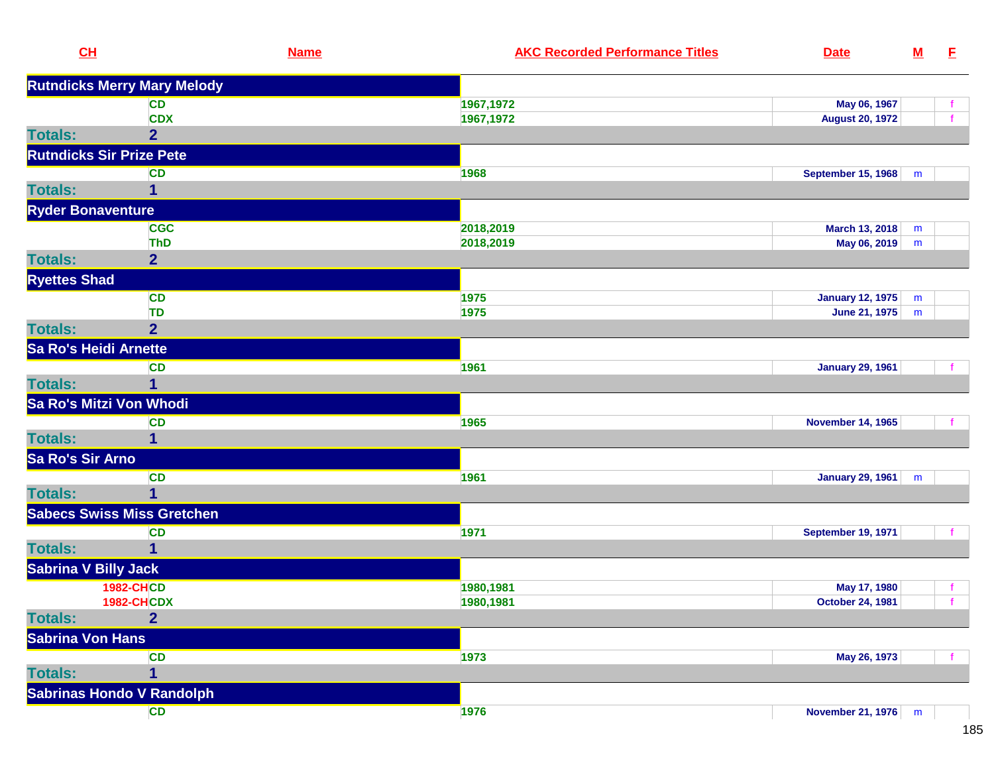| <b>Rutndicks Merry Mary Melody</b><br>1967,1972<br>May 06, 1967<br><b>CD</b><br>f.<br><b>CDX</b><br>1967,1972<br>f<br><b>August 20, 1972</b><br><b>Totals:</b><br>$\overline{2}$<br><b>Rutndicks Sir Prize Pete</b><br><b>CD</b><br>1968<br><b>September 15, 1968</b><br>m<br><b>Totals:</b><br>1<br><b>Ryder Bonaventure</b><br><b>CGC</b><br>2018,2019<br>March 13, 2018<br>m<br>2018,2019<br>May 06, 2019<br><b>ThD</b><br>m<br><b>Totals:</b><br>$\overline{2}$<br><b>Ryettes Shad</b><br><b>CD</b><br>1975<br><b>January 12, 1975</b><br>m<br>1975<br><b>TD</b><br>June 21, 1975<br>m<br><b>Totals:</b><br>$\overline{2}$<br>Sa Ro's Heidi Arnette<br><b>January 29, 1961</b><br><b>CD</b><br>1961<br>f<br><b>Totals:</b><br>1<br>Sa Ro's Mitzi Von Whodi<br><b>CD</b><br>1965<br><b>November 14, 1965</b><br><b>Totals:</b><br>1<br>Sa Ro's Sir Arno<br><b>CD</b><br>1961<br><b>January 29, 1961</b><br>m<br><b>Totals:</b><br>1<br><b>Sabecs Swiss Miss Gretchen</b><br>1971<br><b>CD</b><br><b>September 19, 1971</b><br>$\mathbf{f}$<br><b>Totals:</b><br>1<br><b>Sabrina V Billy Jack</b><br><b>1982-CHCD</b><br>1980,1981<br>May 17, 1980<br>f.<br><b>1982-CHCDX</b><br>1980,1981<br><b>October 24, 1981</b><br>f<br>$\overline{2}$<br><b>Sabrina Von Hans</b><br><b>CD</b><br>1973<br>May 26, 1973<br><b>Totals:</b><br>$\mathbf{1}$<br><b>Sabrinas Hondo V Randolph</b><br><b>CD</b><br>1976<br>November 21, 1976   m | CL             | <b>Name</b> | <b>AKC Recorded Performance Titles</b> | <b>Date</b> | $\underline{\mathsf{M}}$ | E. |
|------------------------------------------------------------------------------------------------------------------------------------------------------------------------------------------------------------------------------------------------------------------------------------------------------------------------------------------------------------------------------------------------------------------------------------------------------------------------------------------------------------------------------------------------------------------------------------------------------------------------------------------------------------------------------------------------------------------------------------------------------------------------------------------------------------------------------------------------------------------------------------------------------------------------------------------------------------------------------------------------------------------------------------------------------------------------------------------------------------------------------------------------------------------------------------------------------------------------------------------------------------------------------------------------------------------------------------------------------------------------------------------------------------------------------------|----------------|-------------|----------------------------------------|-------------|--------------------------|----|
|                                                                                                                                                                                                                                                                                                                                                                                                                                                                                                                                                                                                                                                                                                                                                                                                                                                                                                                                                                                                                                                                                                                                                                                                                                                                                                                                                                                                                                    |                |             |                                        |             |                          |    |
|                                                                                                                                                                                                                                                                                                                                                                                                                                                                                                                                                                                                                                                                                                                                                                                                                                                                                                                                                                                                                                                                                                                                                                                                                                                                                                                                                                                                                                    |                |             |                                        |             |                          |    |
|                                                                                                                                                                                                                                                                                                                                                                                                                                                                                                                                                                                                                                                                                                                                                                                                                                                                                                                                                                                                                                                                                                                                                                                                                                                                                                                                                                                                                                    |                |             |                                        |             |                          |    |
|                                                                                                                                                                                                                                                                                                                                                                                                                                                                                                                                                                                                                                                                                                                                                                                                                                                                                                                                                                                                                                                                                                                                                                                                                                                                                                                                                                                                                                    |                |             |                                        |             |                          |    |
|                                                                                                                                                                                                                                                                                                                                                                                                                                                                                                                                                                                                                                                                                                                                                                                                                                                                                                                                                                                                                                                                                                                                                                                                                                                                                                                                                                                                                                    |                |             |                                        |             |                          |    |
|                                                                                                                                                                                                                                                                                                                                                                                                                                                                                                                                                                                                                                                                                                                                                                                                                                                                                                                                                                                                                                                                                                                                                                                                                                                                                                                                                                                                                                    |                |             |                                        |             |                          |    |
|                                                                                                                                                                                                                                                                                                                                                                                                                                                                                                                                                                                                                                                                                                                                                                                                                                                                                                                                                                                                                                                                                                                                                                                                                                                                                                                                                                                                                                    |                |             |                                        |             |                          |    |
|                                                                                                                                                                                                                                                                                                                                                                                                                                                                                                                                                                                                                                                                                                                                                                                                                                                                                                                                                                                                                                                                                                                                                                                                                                                                                                                                                                                                                                    |                |             |                                        |             |                          |    |
|                                                                                                                                                                                                                                                                                                                                                                                                                                                                                                                                                                                                                                                                                                                                                                                                                                                                                                                                                                                                                                                                                                                                                                                                                                                                                                                                                                                                                                    |                |             |                                        |             |                          |    |
|                                                                                                                                                                                                                                                                                                                                                                                                                                                                                                                                                                                                                                                                                                                                                                                                                                                                                                                                                                                                                                                                                                                                                                                                                                                                                                                                                                                                                                    |                |             |                                        |             |                          |    |
|                                                                                                                                                                                                                                                                                                                                                                                                                                                                                                                                                                                                                                                                                                                                                                                                                                                                                                                                                                                                                                                                                                                                                                                                                                                                                                                                                                                                                                    |                |             |                                        |             |                          |    |
|                                                                                                                                                                                                                                                                                                                                                                                                                                                                                                                                                                                                                                                                                                                                                                                                                                                                                                                                                                                                                                                                                                                                                                                                                                                                                                                                                                                                                                    |                |             |                                        |             |                          |    |
|                                                                                                                                                                                                                                                                                                                                                                                                                                                                                                                                                                                                                                                                                                                                                                                                                                                                                                                                                                                                                                                                                                                                                                                                                                                                                                                                                                                                                                    |                |             |                                        |             |                          |    |
|                                                                                                                                                                                                                                                                                                                                                                                                                                                                                                                                                                                                                                                                                                                                                                                                                                                                                                                                                                                                                                                                                                                                                                                                                                                                                                                                                                                                                                    |                |             |                                        |             |                          |    |
|                                                                                                                                                                                                                                                                                                                                                                                                                                                                                                                                                                                                                                                                                                                                                                                                                                                                                                                                                                                                                                                                                                                                                                                                                                                                                                                                                                                                                                    |                |             |                                        |             |                          |    |
|                                                                                                                                                                                                                                                                                                                                                                                                                                                                                                                                                                                                                                                                                                                                                                                                                                                                                                                                                                                                                                                                                                                                                                                                                                                                                                                                                                                                                                    |                |             |                                        |             |                          |    |
|                                                                                                                                                                                                                                                                                                                                                                                                                                                                                                                                                                                                                                                                                                                                                                                                                                                                                                                                                                                                                                                                                                                                                                                                                                                                                                                                                                                                                                    |                |             |                                        |             |                          |    |
|                                                                                                                                                                                                                                                                                                                                                                                                                                                                                                                                                                                                                                                                                                                                                                                                                                                                                                                                                                                                                                                                                                                                                                                                                                                                                                                                                                                                                                    |                |             |                                        |             |                          |    |
|                                                                                                                                                                                                                                                                                                                                                                                                                                                                                                                                                                                                                                                                                                                                                                                                                                                                                                                                                                                                                                                                                                                                                                                                                                                                                                                                                                                                                                    |                |             |                                        |             |                          |    |
|                                                                                                                                                                                                                                                                                                                                                                                                                                                                                                                                                                                                                                                                                                                                                                                                                                                                                                                                                                                                                                                                                                                                                                                                                                                                                                                                                                                                                                    |                |             |                                        |             |                          |    |
|                                                                                                                                                                                                                                                                                                                                                                                                                                                                                                                                                                                                                                                                                                                                                                                                                                                                                                                                                                                                                                                                                                                                                                                                                                                                                                                                                                                                                                    |                |             |                                        |             |                          |    |
|                                                                                                                                                                                                                                                                                                                                                                                                                                                                                                                                                                                                                                                                                                                                                                                                                                                                                                                                                                                                                                                                                                                                                                                                                                                                                                                                                                                                                                    |                |             |                                        |             |                          |    |
|                                                                                                                                                                                                                                                                                                                                                                                                                                                                                                                                                                                                                                                                                                                                                                                                                                                                                                                                                                                                                                                                                                                                                                                                                                                                                                                                                                                                                                    |                |             |                                        |             |                          |    |
|                                                                                                                                                                                                                                                                                                                                                                                                                                                                                                                                                                                                                                                                                                                                                                                                                                                                                                                                                                                                                                                                                                                                                                                                                                                                                                                                                                                                                                    |                |             |                                        |             |                          |    |
|                                                                                                                                                                                                                                                                                                                                                                                                                                                                                                                                                                                                                                                                                                                                                                                                                                                                                                                                                                                                                                                                                                                                                                                                                                                                                                                                                                                                                                    |                |             |                                        |             |                          |    |
|                                                                                                                                                                                                                                                                                                                                                                                                                                                                                                                                                                                                                                                                                                                                                                                                                                                                                                                                                                                                                                                                                                                                                                                                                                                                                                                                                                                                                                    |                |             |                                        |             |                          |    |
|                                                                                                                                                                                                                                                                                                                                                                                                                                                                                                                                                                                                                                                                                                                                                                                                                                                                                                                                                                                                                                                                                                                                                                                                                                                                                                                                                                                                                                    |                |             |                                        |             |                          |    |
|                                                                                                                                                                                                                                                                                                                                                                                                                                                                                                                                                                                                                                                                                                                                                                                                                                                                                                                                                                                                                                                                                                                                                                                                                                                                                                                                                                                                                                    |                |             |                                        |             |                          |    |
|                                                                                                                                                                                                                                                                                                                                                                                                                                                                                                                                                                                                                                                                                                                                                                                                                                                                                                                                                                                                                                                                                                                                                                                                                                                                                                                                                                                                                                    |                |             |                                        |             |                          |    |
|                                                                                                                                                                                                                                                                                                                                                                                                                                                                                                                                                                                                                                                                                                                                                                                                                                                                                                                                                                                                                                                                                                                                                                                                                                                                                                                                                                                                                                    |                |             |                                        |             |                          |    |
|                                                                                                                                                                                                                                                                                                                                                                                                                                                                                                                                                                                                                                                                                                                                                                                                                                                                                                                                                                                                                                                                                                                                                                                                                                                                                                                                                                                                                                    | <b>Totals:</b> |             |                                        |             |                          |    |
|                                                                                                                                                                                                                                                                                                                                                                                                                                                                                                                                                                                                                                                                                                                                                                                                                                                                                                                                                                                                                                                                                                                                                                                                                                                                                                                                                                                                                                    |                |             |                                        |             |                          |    |
|                                                                                                                                                                                                                                                                                                                                                                                                                                                                                                                                                                                                                                                                                                                                                                                                                                                                                                                                                                                                                                                                                                                                                                                                                                                                                                                                                                                                                                    |                |             |                                        |             |                          |    |
|                                                                                                                                                                                                                                                                                                                                                                                                                                                                                                                                                                                                                                                                                                                                                                                                                                                                                                                                                                                                                                                                                                                                                                                                                                                                                                                                                                                                                                    |                |             |                                        |             |                          |    |
|                                                                                                                                                                                                                                                                                                                                                                                                                                                                                                                                                                                                                                                                                                                                                                                                                                                                                                                                                                                                                                                                                                                                                                                                                                                                                                                                                                                                                                    |                |             |                                        |             |                          |    |
|                                                                                                                                                                                                                                                                                                                                                                                                                                                                                                                                                                                                                                                                                                                                                                                                                                                                                                                                                                                                                                                                                                                                                                                                                                                                                                                                                                                                                                    |                |             |                                        |             |                          |    |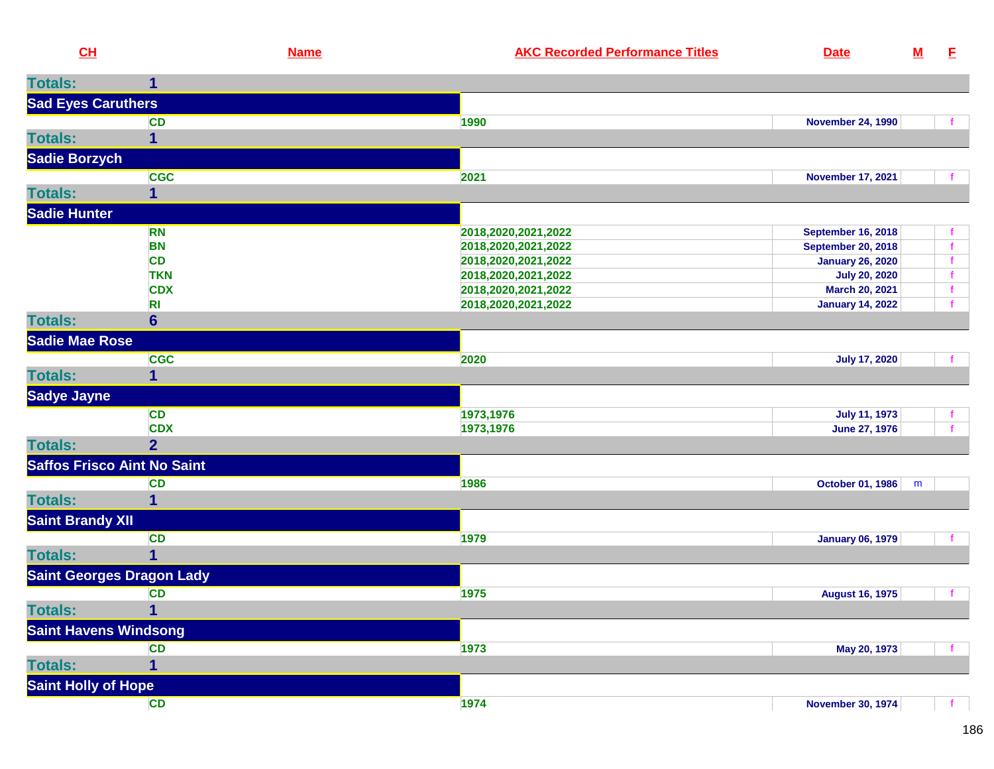| CL                           | <b>Name</b>                        | <b>AKC Recorded Performance Titles</b>     | <b>Date</b>                                   | ${\bf M}$ | E                            |
|------------------------------|------------------------------------|--------------------------------------------|-----------------------------------------------|-----------|------------------------------|
| <b>Totals:</b>               | 1                                  |                                            |                                               |           |                              |
| <b>Sad Eyes Caruthers</b>    |                                    |                                            |                                               |           |                              |
|                              | <b>CD</b>                          | 1990                                       | <b>November 24, 1990</b>                      |           |                              |
| <b>Totals:</b>               | 1                                  |                                            |                                               |           |                              |
| Sadie Borzych                |                                    |                                            |                                               |           |                              |
|                              | <b>CGC</b>                         | 2021                                       | <b>November 17, 2021</b>                      |           |                              |
| <b>Totals:</b>               | $\mathbf{1}$                       |                                            |                                               |           |                              |
|                              |                                    |                                            |                                               |           |                              |
| <b>Sadie Hunter</b>          |                                    |                                            |                                               |           |                              |
|                              | <b>RN</b>                          | 2018,2020,2021,2022                        | <b>September 16, 2018</b>                     |           |                              |
|                              | <b>BN</b>                          | 2018,2020,2021,2022                        | <b>September 20, 2018</b>                     |           | $\mathbf{f}$                 |
|                              | <b>CD</b><br><b>TKN</b>            | 2018,2020,2021,2022                        | <b>January 26, 2020</b>                       |           | $\mathbf{f}$<br>$\mathbf{f}$ |
|                              | <b>CDX</b>                         | 2018,2020,2021,2022<br>2018,2020,2021,2022 | <b>July 20, 2020</b><br><b>March 20, 2021</b> |           | $\mathbf{f}$                 |
|                              | R <sub>l</sub>                     | 2018,2020,2021,2022                        | <b>January 14, 2022</b>                       |           | f                            |
| <b>Totals:</b>               | $6\phantom{a}$                     |                                            |                                               |           |                              |
| Sadie Mae Rose               |                                    |                                            |                                               |           |                              |
|                              | <b>CGC</b>                         | 2020                                       | <b>July 17, 2020</b>                          |           |                              |
| <b>Totals:</b>               | 1                                  |                                            |                                               |           |                              |
| <b>Sadye Jayne</b>           |                                    |                                            |                                               |           |                              |
|                              | <b>CD</b>                          | 1973,1976                                  | <b>July 11, 1973</b>                          |           |                              |
|                              | <b>CDX</b>                         | 1973,1976                                  | June 27, 1976                                 |           | $\mathbf{f}$                 |
| <b>Totals:</b>               | $\overline{2}$                     |                                            |                                               |           |                              |
|                              | <b>Saffos Frisco Aint No Saint</b> |                                            |                                               |           |                              |
|                              | <b>CD</b>                          | 1986                                       | October 01, 1986   m                          |           |                              |
| <b>Totals:</b>               | 1                                  |                                            |                                               |           |                              |
| <b>Saint Brandy XII</b>      |                                    |                                            |                                               |           |                              |
|                              | <b>CD</b>                          | 1979                                       | <b>January 06, 1979</b>                       |           |                              |
| <b>Totals:</b>               | $\mathbf{1}$                       |                                            |                                               |           |                              |
|                              | <b>Saint Georges Dragon Lady</b>   |                                            |                                               |           |                              |
|                              | <b>CD</b>                          | 1975                                       | <b>August 16, 1975</b>                        |           | f                            |
| <b>Totals:</b>               | 1                                  |                                            |                                               |           |                              |
| <b>Saint Havens Windsong</b> |                                    |                                            |                                               |           |                              |
|                              | <b>CD</b>                          | 1973                                       | May 20, 1973                                  |           |                              |
| <b>Totals:</b>               | $\mathbf{1}$                       |                                            |                                               |           |                              |
|                              |                                    |                                            |                                               |           |                              |
| <b>Saint Holly of Hope</b>   |                                    |                                            |                                               |           |                              |
|                              | <b>CD</b>                          | 1974                                       | <b>November 30, 1974</b>                      |           |                              |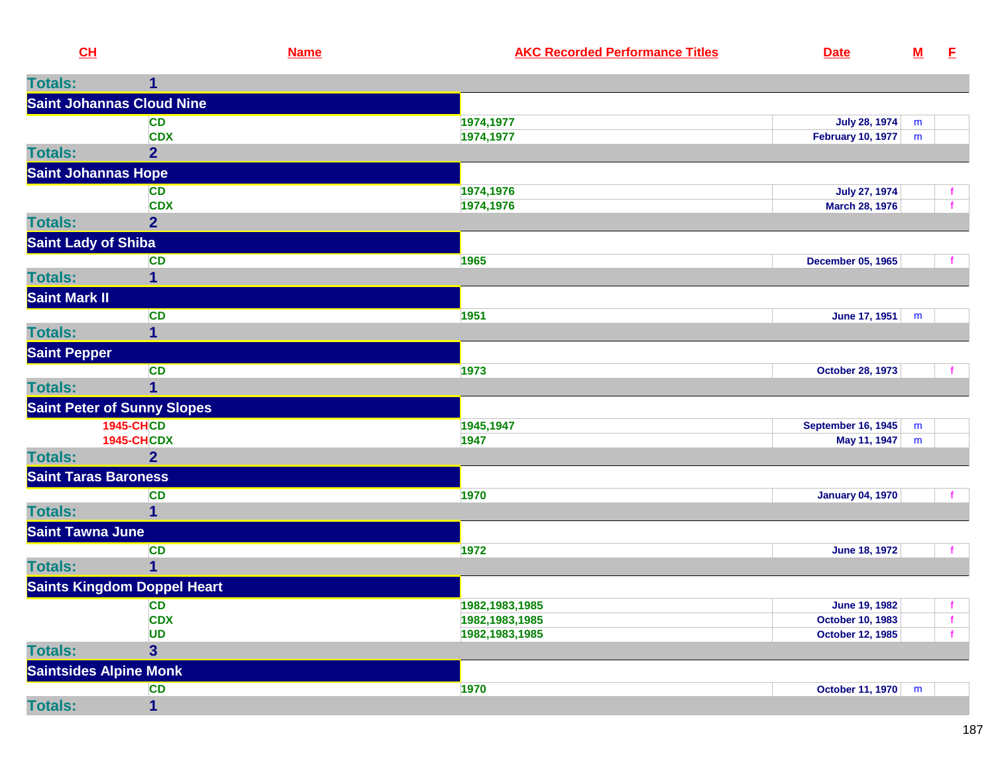| amc | <b>AKC Recorded Performance Titles</b> | Date |  |
|-----|----------------------------------------|------|--|
|-----|----------------------------------------|------|--|

| <b>Totals:</b>             | 1                                  |                  |                           |   |              |
|----------------------------|------------------------------------|------------------|---------------------------|---|--------------|
|                            | <b>Saint Johannas Cloud Nine</b>   |                  |                           |   |              |
|                            | <b>CD</b>                          | 1974,1977        | <b>July 28, 1974</b>      | m |              |
|                            | <b>CDX</b>                         | 1974,1977        | February 10, 1977         | m |              |
| <b>Totals:</b>             | $\overline{2}$                     |                  |                           |   |              |
|                            | <b>Saint Johannas Hope</b>         |                  |                           |   |              |
|                            | CD                                 | 1974,1976        | <b>July 27, 1974</b>      |   |              |
|                            | <b>CDX</b>                         | 1974,1976        | March 28, 1976            |   |              |
| <b>Totals:</b>             | $\overline{2}$                     |                  |                           |   |              |
| <b>Saint Lady of Shiba</b> |                                    |                  |                           |   |              |
|                            | <b>CD</b>                          | 1965             | <b>December 05, 1965</b>  |   |              |
| <b>Totals:</b>             | $\mathbf 1$                        |                  |                           |   |              |
| Saint Mark II              |                                    |                  |                           |   |              |
|                            | <b>CD</b>                          | 1951             | June 17, 1951             | m |              |
| <b>Totals:</b>             | $\mathbf 1$                        |                  |                           |   |              |
| <b>Saint Pepper</b>        |                                    |                  |                           |   |              |
|                            | <b>CD</b>                          | 1973             | <b>October 28, 1973</b>   |   |              |
| <b>Totals:</b>             | $\overline{1}$                     |                  |                           |   |              |
|                            | <b>Saint Peter of Sunny Slopes</b> |                  |                           |   |              |
|                            | <b>1945-CHCD</b>                   | 1945,1947        | <b>September 16, 1945</b> | m |              |
|                            | <b>1945-CHCDX</b>                  | 1947             | May 11, 1947              | m |              |
| <b>Totals:</b>             | $\overline{2}$                     |                  |                           |   |              |
|                            | <b>Saint Taras Baroness</b>        |                  |                           |   |              |
|                            | <b>CD</b>                          | 1970             | <b>January 04, 1970</b>   |   |              |
| <b>Totals:</b>             | $\mathbf{1}$                       |                  |                           |   |              |
| <b>Saint Tawna June</b>    |                                    |                  |                           |   |              |
|                            | <b>CD</b>                          | 1972             | June 18, 1972             |   |              |
| <b>Totals:</b>             | $\mathbf 1$                        |                  |                           |   |              |
|                            | <b>Saints Kingdom Doppel Heart</b> |                  |                           |   |              |
|                            | <b>CD</b>                          | 1982, 1983, 1985 | <b>June 19, 1982</b>      |   |              |
|                            | <b>CDX</b>                         | 1982, 1983, 1985 | <b>October 10, 1983</b>   |   | $\mathbf{f}$ |
|                            | <b>UD</b>                          | 1982, 1983, 1985 | <b>October 12, 1985</b>   |   |              |
| <b>Totals:</b>             | 3 <sup>5</sup>                     |                  |                           |   |              |
|                            | <b>Saintsides Alpine Monk</b>      |                  |                           |   |              |
|                            | <b>CD</b>                          | 1970             | <b>October 11, 1970</b>   | m |              |
| <b>Totals:</b>             | $\overline{1}$                     |                  |                           |   |              |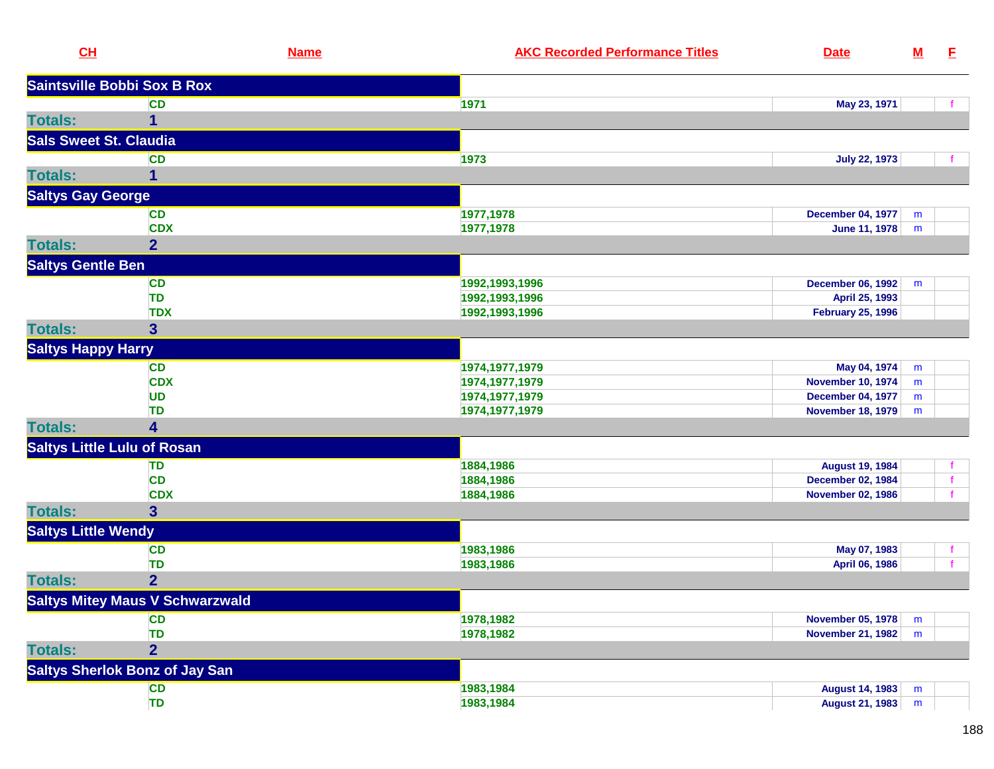| CL                                 | <b>Name</b>                            | <b>AKC Recorded Performance Titles</b> | <b>Date</b>              | ${\bf M}$ | E            |
|------------------------------------|----------------------------------------|----------------------------------------|--------------------------|-----------|--------------|
|                                    | <b>Saintsville Bobbi Sox B Rox</b>     |                                        |                          |           |              |
|                                    | <b>CD</b>                              | 1971                                   | May 23, 1971             |           |              |
| <b>Totals:</b>                     | 1                                      |                                        |                          |           |              |
| <b>Sals Sweet St. Claudia</b>      |                                        |                                        |                          |           |              |
|                                    | <b>CD</b>                              | 1973                                   | <b>July 22, 1973</b>     |           |              |
| <b>Totals:</b>                     | 1                                      |                                        |                          |           |              |
| <b>Saltys Gay George</b>           |                                        |                                        |                          |           |              |
|                                    | <b>CD</b>                              | 1977,1978                              | <b>December 04, 1977</b> | m         |              |
|                                    | <b>CDX</b>                             | 1977,1978                              | June 11, 1978            | m         |              |
| <b>Totals:</b>                     | $\overline{2}$                         |                                        |                          |           |              |
| <b>Saltys Gentle Ben</b>           |                                        |                                        |                          |           |              |
|                                    | <b>CD</b>                              | 1992,1993,1996                         | <b>December 06, 1992</b> | m         |              |
|                                    | TD                                     | 1992, 1993, 1996                       | April 25, 1993           |           |              |
|                                    | <b>TDX</b>                             | 1992, 1993, 1996                       | <b>February 25, 1996</b> |           |              |
| <b>Totals:</b>                     | $\overline{\mathbf{3}}$                |                                        |                          |           |              |
| <b>Saltys Happy Harry</b>          |                                        |                                        |                          |           |              |
|                                    | <b>CD</b>                              | 1974, 1977, 1979                       | May 04, 1974             | m         |              |
|                                    | <b>CDX</b>                             | 1974, 1977, 1979                       | <b>November 10, 1974</b> | m         |              |
|                                    | <b>UD</b>                              | 1974, 1977, 1979                       | <b>December 04, 1977</b> | m         |              |
|                                    | TD                                     | 1974, 1977, 1979                       | <b>November 18, 1979</b> | m         |              |
| <b>Totals:</b>                     | 4                                      |                                        |                          |           |              |
| <b>Saltys Little Lulu of Rosan</b> |                                        |                                        |                          |           |              |
|                                    | TD                                     | 1884,1986                              | <b>August 19, 1984</b>   |           |              |
|                                    | <b>CD</b>                              | 1884,1986                              | <b>December 02, 1984</b> |           | $\mathbf{f}$ |
|                                    | <b>CDX</b>                             | 1884,1986                              | <b>November 02, 1986</b> |           |              |
| <b>Totals:</b>                     | $\mathbf{3}$                           |                                        |                          |           |              |
| <b>Saltys Little Wendy</b>         |                                        |                                        |                          |           |              |
|                                    | <b>CD</b>                              | 1983,1986                              | May 07, 1983             |           |              |
|                                    | <b>TD</b>                              | 1983,1986                              | April 06, 1986           |           |              |
| <b>Totals:</b>                     | $\overline{2}$                         |                                        |                          |           |              |
|                                    | <b>Saltys Mitey Maus V Schwarzwald</b> |                                        |                          |           |              |
|                                    | <b>CD</b>                              | 1978,1982                              | <b>November 05, 1978</b> | m         |              |
|                                    | <b>TD</b>                              | 1978,1982                              | <b>November 21, 1982</b> | m         |              |
| <b>Totals:</b>                     | $\overline{\mathbf{2}}$                |                                        |                          |           |              |
|                                    | <b>Saltys Sherlok Bonz of Jay San</b>  |                                        |                          |           |              |
|                                    | <b>CD</b>                              | 1983,1984                              | <b>August 14, 1983</b>   | m         |              |
|                                    | <b>TD</b>                              | 1983,1984                              | <b>August 21, 1983</b>   | m         |              |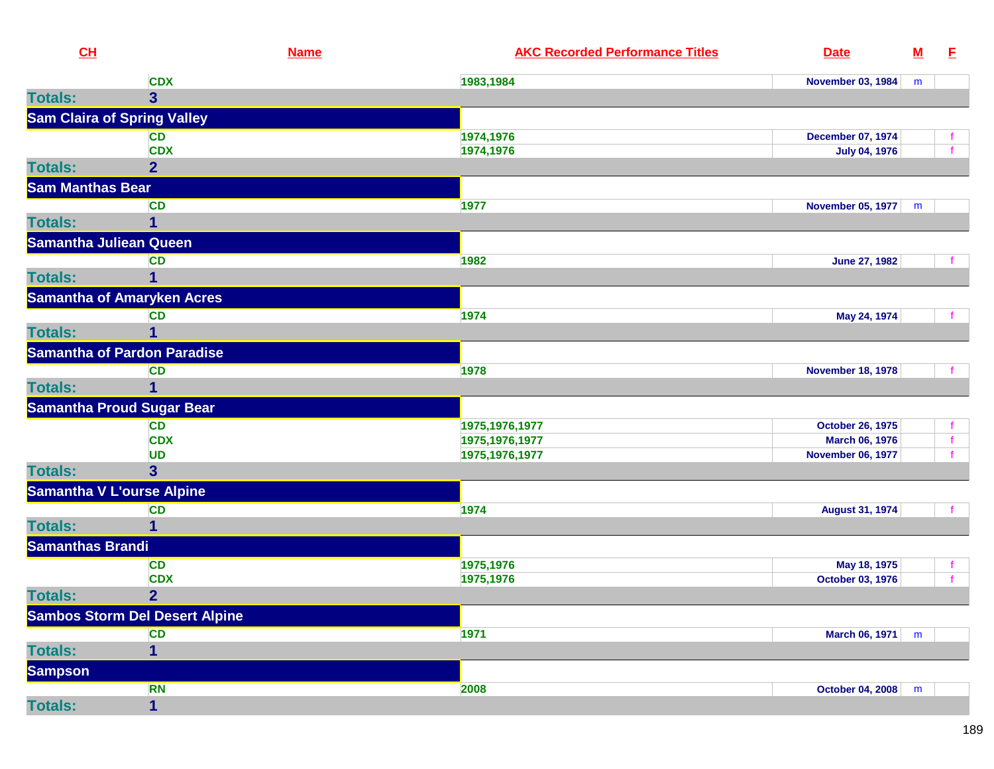| CL                      |                                       | <b>Name</b> | <b>AKC Recorded Performance Titles</b> | <b>Date</b>              | ${\bf M}$ | E |
|-------------------------|---------------------------------------|-------------|----------------------------------------|--------------------------|-----------|---|
|                         | <b>CDX</b>                            |             | 1983,1984                              | <b>November 03, 1984</b> | m         |   |
| <b>Totals:</b>          | 3 <sup>5</sup>                        |             |                                        |                          |           |   |
|                         | <b>Sam Claira of Spring Valley</b>    |             |                                        |                          |           |   |
|                         | <b>CD</b>                             |             | 1974,1976                              | December 07, 1974        |           |   |
|                         | <b>CDX</b>                            |             | 1974,1976                              | <b>July 04, 1976</b>     |           |   |
| <b>Totals:</b>          | $\overline{2}$                        |             |                                        |                          |           |   |
| <b>Sam Manthas Bear</b> |                                       |             |                                        |                          |           |   |
|                         | CD                                    |             | 1977                                   | <b>November 05, 1977</b> | m         |   |
| <b>Totals:</b>          | 1                                     |             |                                        |                          |           |   |
|                         | <b>Samantha Juliean Queen</b>         |             |                                        |                          |           |   |
|                         | <b>CD</b>                             |             | 1982                                   | <b>June 27, 1982</b>     |           |   |
| <b>Totals:</b>          | 1                                     |             |                                        |                          |           |   |
|                         | <b>Samantha of Amaryken Acres</b>     |             |                                        |                          |           |   |
|                         | <b>CD</b>                             |             | 1974                                   | May 24, 1974             |           |   |
| <b>Totals:</b>          | $\overline{1}$                        |             |                                        |                          |           |   |
|                         | <b>Samantha of Pardon Paradise</b>    |             |                                        |                          |           |   |
|                         | <b>CD</b>                             |             | 1978                                   | <b>November 18, 1978</b> |           |   |
| <b>Totals:</b>          | 1                                     |             |                                        |                          |           |   |
|                         | <b>Samantha Proud Sugar Bear</b>      |             |                                        |                          |           |   |
|                         | <b>CD</b>                             |             | 1975, 1976, 1977                       | <b>October 26, 1975</b>  |           |   |
|                         | <b>CDX</b>                            |             | 1975, 1976, 1977                       | March 06, 1976           |           |   |
|                         | <b>UD</b>                             |             | 1975, 1976, 1977                       | <b>November 06, 1977</b> |           |   |
| <b>Totals:</b>          | 3 <sup>5</sup>                        |             |                                        |                          |           |   |
|                         | <b>Samantha V L'ourse Alpine</b>      |             |                                        |                          |           |   |
|                         | <b>CD</b>                             |             | 1974                                   | <b>August 31, 1974</b>   |           |   |
| <b>Totals:</b>          | 1                                     |             |                                        |                          |           |   |
| <b>Samanthas Brandi</b> |                                       |             |                                        |                          |           |   |
|                         | <b>CD</b>                             |             | 1975,1976                              | May 18, 1975             |           |   |
|                         | <b>CDX</b>                            |             | 1975,1976                              | October 03, 1976         |           |   |
| <b>Totals:</b>          | $\overline{2}$                        |             |                                        |                          |           |   |
|                         | <b>Sambos Storm Del Desert Alpine</b> |             |                                        |                          |           |   |
|                         | <b>CD</b>                             |             | 1971                                   | March 06, 1971           | m         |   |
| <b>Totals:</b>          | $\mathbf{1}$                          |             |                                        |                          |           |   |
| <b>Sampson</b>          |                                       |             |                                        |                          |           |   |
|                         | <b>RN</b>                             |             | 2008                                   | October 04, 2008         | m         |   |
| <b>Totals:</b>          | $\overline{\mathbf{1}}$               |             |                                        |                          |           |   |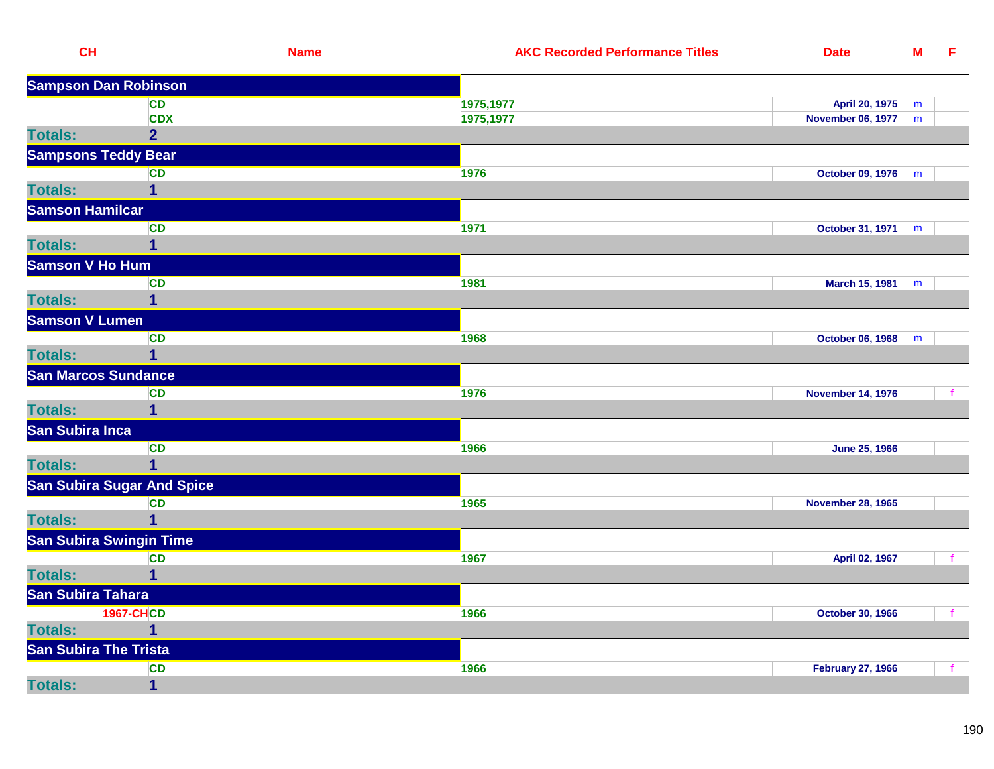| CL                           | <b>Name</b>                       | <b>AKC Recorded Performance Titles</b> | <b>Date</b>              | ${\bf M}$ | E            |
|------------------------------|-----------------------------------|----------------------------------------|--------------------------|-----------|--------------|
| <b>Sampson Dan Robinson</b>  |                                   |                                        |                          |           |              |
|                              | <b>CD</b>                         | 1975,1977                              | April 20, 1975           | m         |              |
|                              | <b>CDX</b>                        | 1975,1977                              | November 06, 1977        | m         |              |
| <b>Totals:</b>               | $\overline{2}$                    |                                        |                          |           |              |
| <b>Sampsons Teddy Bear</b>   |                                   |                                        |                          |           |              |
|                              | <b>CD</b>                         | 1976                                   | October 09, 1976         | m         |              |
| <b>Totals:</b>               | $\mathbf{1}$                      |                                        |                          |           |              |
| <b>Samson Hamilcar</b>       |                                   |                                        |                          |           |              |
|                              | <b>CD</b>                         | 1971                                   | October 31, 1971         | m         |              |
| <b>Totals:</b>               | 1                                 |                                        |                          |           |              |
| <b>Samson V Ho Hum</b>       |                                   |                                        |                          |           |              |
|                              | <b>CD</b>                         | 1981                                   | <b>March 15, 1981</b>    | m         |              |
| <b>Totals:</b>               | 1                                 |                                        |                          |           |              |
| <b>Samson V Lumen</b>        |                                   |                                        |                          |           |              |
|                              | <b>CD</b>                         | 1968                                   | <b>October 06, 1968</b>  | m         |              |
| <b>Totals:</b>               | 1                                 |                                        |                          |           |              |
| <b>San Marcos Sundance</b>   |                                   |                                        |                          |           |              |
|                              | <b>CD</b>                         | 1976                                   | <b>November 14, 1976</b> |           |              |
| <b>Totals:</b>               | $\mathbf 1$                       |                                        |                          |           |              |
| San Subira Inca              |                                   |                                        |                          |           |              |
|                              | <b>CD</b>                         | 1966                                   | <b>June 25, 1966</b>     |           |              |
| <b>Totals:</b>               | $\overline{1}$                    |                                        |                          |           |              |
|                              | <b>San Subira Sugar And Spice</b> |                                        |                          |           |              |
|                              | <b>CD</b>                         | 1965                                   | <b>November 28, 1965</b> |           |              |
| <b>Totals:</b>               | $\overline{\mathbf{1}}$           |                                        |                          |           |              |
| San Subira Swingin Time      |                                   |                                        |                          |           |              |
|                              | <b>CD</b>                         | 1967                                   | April 02, 1967           |           | f.           |
| <b>Totals:</b>               | $\mathbf{1}$                      |                                        |                          |           |              |
| San Subira Tahara            |                                   |                                        |                          |           |              |
|                              | <b>1967-CHCD</b>                  | 1966                                   | <b>October 30, 1966</b>  |           | $\mathbf{f}$ |
| <b>Totals:</b>               | 1                                 |                                        |                          |           |              |
| <b>San Subira The Trista</b> |                                   |                                        |                          |           |              |
|                              | <b>CD</b>                         | 1966                                   | <b>February 27, 1966</b> |           | $\mathbf{f}$ |
| <b>Totals:</b>               | $\mathbf 1$                       |                                        |                          |           |              |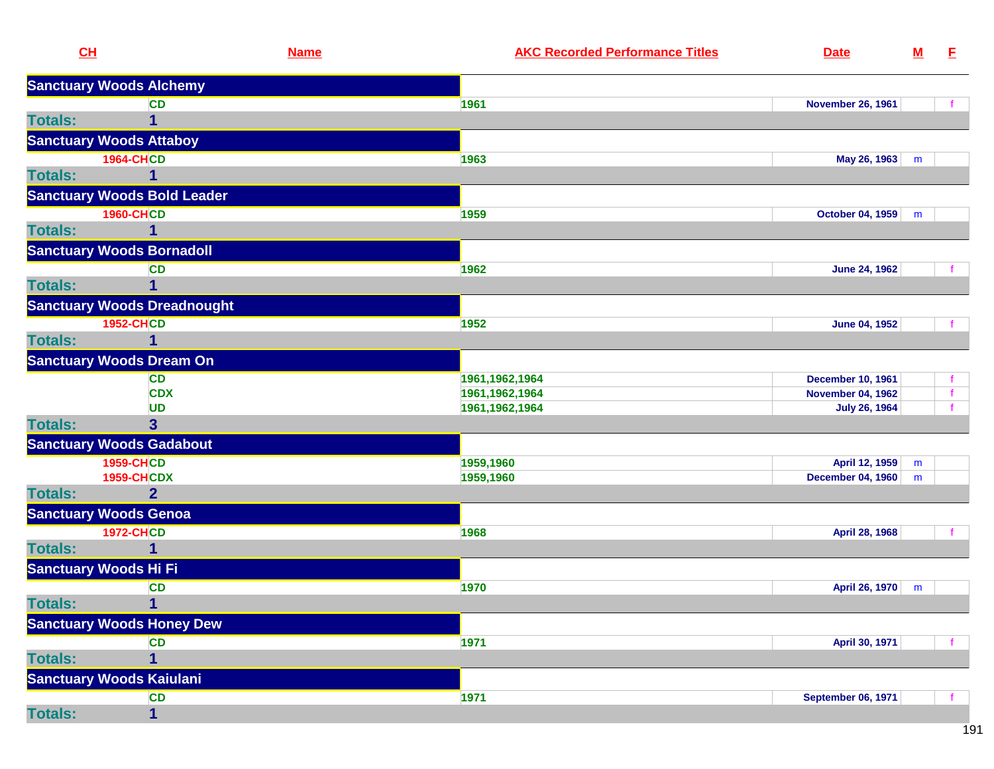| <b>Sanctuary Woods Alchemy</b><br><b>CD</b><br>1961<br><b>November 26, 1961</b><br>$\overline{1}$<br><b>Sanctuary Woods Attaboy</b><br><b>1964-CHCD</b><br>1963<br>May 26, 1963<br>m<br>1<br><b>Sanctuary Woods Bold Leader</b><br><b>1960-CHCD</b><br>1959<br>October 04, 1959<br>m<br>1<br><b>Sanctuary Woods Bornadoll</b><br><b>CD</b><br>1962<br><b>June 24, 1962</b><br>1<br><b>Sanctuary Woods Dreadnought</b><br><b>1952-CHCD</b><br>1952<br>June 04, 1952<br>1<br><b>Sanctuary Woods Dream On</b><br>1961, 1962, 1964<br><b>CD</b><br><b>December 10, 1961</b><br><b>CDX</b><br>1961, 1962, 1964<br><b>November 04, 1962</b><br>UD<br>1961, 1962, 1964<br><b>July 26, 1964</b><br><b>Totals:</b><br>3<br><b>Sanctuary Woods Gadabout</b><br><b>1959-CHCD</b><br>1959,1960<br>April 12, 1959<br>m<br><b>1959-CHCDX</b><br>1959,1960<br><b>December 04, 1960</b><br>m<br><b>Totals:</b><br>$\overline{2}$<br><b>Sanctuary Woods Genoa</b><br><b>1972-CHCD</b><br>1968<br>April 28, 1968<br><b>Totals:</b><br>1<br><b>Sanctuary Woods Hi Fi</b><br><b>CD</b><br>1970<br>April 26, 1970<br>m<br><b>Totals:</b><br>1 <sup>1</sup><br><b>Sanctuary Woods Honey Dew</b><br>1971<br>April 30, 1971<br><b>CD</b><br><b>Totals:</b><br>1<br><b>Sanctuary Woods Kaiulani</b><br>1971<br><b>CD</b><br><b>September 06, 1971</b><br>$\mathbf{1}$ | CH             | <b>Name</b> | <b>AKC Recorded Performance Titles</b> | <b>Date</b> | ${\bf M}$ | E. |
|----------------------------------------------------------------------------------------------------------------------------------------------------------------------------------------------------------------------------------------------------------------------------------------------------------------------------------------------------------------------------------------------------------------------------------------------------------------------------------------------------------------------------------------------------------------------------------------------------------------------------------------------------------------------------------------------------------------------------------------------------------------------------------------------------------------------------------------------------------------------------------------------------------------------------------------------------------------------------------------------------------------------------------------------------------------------------------------------------------------------------------------------------------------------------------------------------------------------------------------------------------------------------------------------------------------------------------------------|----------------|-------------|----------------------------------------|-------------|-----------|----|
|                                                                                                                                                                                                                                                                                                                                                                                                                                                                                                                                                                                                                                                                                                                                                                                                                                                                                                                                                                                                                                                                                                                                                                                                                                                                                                                                              |                |             |                                        |             |           |    |
|                                                                                                                                                                                                                                                                                                                                                                                                                                                                                                                                                                                                                                                                                                                                                                                                                                                                                                                                                                                                                                                                                                                                                                                                                                                                                                                                              |                |             |                                        |             |           |    |
|                                                                                                                                                                                                                                                                                                                                                                                                                                                                                                                                                                                                                                                                                                                                                                                                                                                                                                                                                                                                                                                                                                                                                                                                                                                                                                                                              | <b>Totals:</b> |             |                                        |             |           |    |
|                                                                                                                                                                                                                                                                                                                                                                                                                                                                                                                                                                                                                                                                                                                                                                                                                                                                                                                                                                                                                                                                                                                                                                                                                                                                                                                                              |                |             |                                        |             |           |    |
|                                                                                                                                                                                                                                                                                                                                                                                                                                                                                                                                                                                                                                                                                                                                                                                                                                                                                                                                                                                                                                                                                                                                                                                                                                                                                                                                              |                |             |                                        |             |           |    |
|                                                                                                                                                                                                                                                                                                                                                                                                                                                                                                                                                                                                                                                                                                                                                                                                                                                                                                                                                                                                                                                                                                                                                                                                                                                                                                                                              | <b>Totals:</b> |             |                                        |             |           |    |
|                                                                                                                                                                                                                                                                                                                                                                                                                                                                                                                                                                                                                                                                                                                                                                                                                                                                                                                                                                                                                                                                                                                                                                                                                                                                                                                                              |                |             |                                        |             |           |    |
|                                                                                                                                                                                                                                                                                                                                                                                                                                                                                                                                                                                                                                                                                                                                                                                                                                                                                                                                                                                                                                                                                                                                                                                                                                                                                                                                              |                |             |                                        |             |           |    |
|                                                                                                                                                                                                                                                                                                                                                                                                                                                                                                                                                                                                                                                                                                                                                                                                                                                                                                                                                                                                                                                                                                                                                                                                                                                                                                                                              | <b>Totals:</b> |             |                                        |             |           |    |
|                                                                                                                                                                                                                                                                                                                                                                                                                                                                                                                                                                                                                                                                                                                                                                                                                                                                                                                                                                                                                                                                                                                                                                                                                                                                                                                                              |                |             |                                        |             |           |    |
|                                                                                                                                                                                                                                                                                                                                                                                                                                                                                                                                                                                                                                                                                                                                                                                                                                                                                                                                                                                                                                                                                                                                                                                                                                                                                                                                              |                |             |                                        |             |           |    |
|                                                                                                                                                                                                                                                                                                                                                                                                                                                                                                                                                                                                                                                                                                                                                                                                                                                                                                                                                                                                                                                                                                                                                                                                                                                                                                                                              | <b>Totals:</b> |             |                                        |             |           |    |
|                                                                                                                                                                                                                                                                                                                                                                                                                                                                                                                                                                                                                                                                                                                                                                                                                                                                                                                                                                                                                                                                                                                                                                                                                                                                                                                                              |                |             |                                        |             |           |    |
|                                                                                                                                                                                                                                                                                                                                                                                                                                                                                                                                                                                                                                                                                                                                                                                                                                                                                                                                                                                                                                                                                                                                                                                                                                                                                                                                              |                |             |                                        |             |           |    |
|                                                                                                                                                                                                                                                                                                                                                                                                                                                                                                                                                                                                                                                                                                                                                                                                                                                                                                                                                                                                                                                                                                                                                                                                                                                                                                                                              | <b>Totals:</b> |             |                                        |             |           |    |
|                                                                                                                                                                                                                                                                                                                                                                                                                                                                                                                                                                                                                                                                                                                                                                                                                                                                                                                                                                                                                                                                                                                                                                                                                                                                                                                                              |                |             |                                        |             |           |    |
|                                                                                                                                                                                                                                                                                                                                                                                                                                                                                                                                                                                                                                                                                                                                                                                                                                                                                                                                                                                                                                                                                                                                                                                                                                                                                                                                              |                |             |                                        |             |           |    |
|                                                                                                                                                                                                                                                                                                                                                                                                                                                                                                                                                                                                                                                                                                                                                                                                                                                                                                                                                                                                                                                                                                                                                                                                                                                                                                                                              |                |             |                                        |             |           |    |
|                                                                                                                                                                                                                                                                                                                                                                                                                                                                                                                                                                                                                                                                                                                                                                                                                                                                                                                                                                                                                                                                                                                                                                                                                                                                                                                                              |                |             |                                        |             |           |    |
|                                                                                                                                                                                                                                                                                                                                                                                                                                                                                                                                                                                                                                                                                                                                                                                                                                                                                                                                                                                                                                                                                                                                                                                                                                                                                                                                              |                |             |                                        |             |           |    |
|                                                                                                                                                                                                                                                                                                                                                                                                                                                                                                                                                                                                                                                                                                                                                                                                                                                                                                                                                                                                                                                                                                                                                                                                                                                                                                                                              |                |             |                                        |             |           |    |
|                                                                                                                                                                                                                                                                                                                                                                                                                                                                                                                                                                                                                                                                                                                                                                                                                                                                                                                                                                                                                                                                                                                                                                                                                                                                                                                                              |                |             |                                        |             |           |    |
|                                                                                                                                                                                                                                                                                                                                                                                                                                                                                                                                                                                                                                                                                                                                                                                                                                                                                                                                                                                                                                                                                                                                                                                                                                                                                                                                              |                |             |                                        |             |           |    |
|                                                                                                                                                                                                                                                                                                                                                                                                                                                                                                                                                                                                                                                                                                                                                                                                                                                                                                                                                                                                                                                                                                                                                                                                                                                                                                                                              |                |             |                                        |             |           |    |
|                                                                                                                                                                                                                                                                                                                                                                                                                                                                                                                                                                                                                                                                                                                                                                                                                                                                                                                                                                                                                                                                                                                                                                                                                                                                                                                                              |                |             |                                        |             |           |    |
|                                                                                                                                                                                                                                                                                                                                                                                                                                                                                                                                                                                                                                                                                                                                                                                                                                                                                                                                                                                                                                                                                                                                                                                                                                                                                                                                              |                |             |                                        |             |           |    |
|                                                                                                                                                                                                                                                                                                                                                                                                                                                                                                                                                                                                                                                                                                                                                                                                                                                                                                                                                                                                                                                                                                                                                                                                                                                                                                                                              |                |             |                                        |             |           |    |
|                                                                                                                                                                                                                                                                                                                                                                                                                                                                                                                                                                                                                                                                                                                                                                                                                                                                                                                                                                                                                                                                                                                                                                                                                                                                                                                                              |                |             |                                        |             |           |    |
|                                                                                                                                                                                                                                                                                                                                                                                                                                                                                                                                                                                                                                                                                                                                                                                                                                                                                                                                                                                                                                                                                                                                                                                                                                                                                                                                              |                |             |                                        |             |           |    |
|                                                                                                                                                                                                                                                                                                                                                                                                                                                                                                                                                                                                                                                                                                                                                                                                                                                                                                                                                                                                                                                                                                                                                                                                                                                                                                                                              |                |             |                                        |             |           |    |
|                                                                                                                                                                                                                                                                                                                                                                                                                                                                                                                                                                                                                                                                                                                                                                                                                                                                                                                                                                                                                                                                                                                                                                                                                                                                                                                                              |                |             |                                        |             |           |    |
|                                                                                                                                                                                                                                                                                                                                                                                                                                                                                                                                                                                                                                                                                                                                                                                                                                                                                                                                                                                                                                                                                                                                                                                                                                                                                                                                              |                |             |                                        |             |           |    |
|                                                                                                                                                                                                                                                                                                                                                                                                                                                                                                                                                                                                                                                                                                                                                                                                                                                                                                                                                                                                                                                                                                                                                                                                                                                                                                                                              |                |             |                                        |             |           |    |
|                                                                                                                                                                                                                                                                                                                                                                                                                                                                                                                                                                                                                                                                                                                                                                                                                                                                                                                                                                                                                                                                                                                                                                                                                                                                                                                                              |                |             |                                        |             |           |    |
|                                                                                                                                                                                                                                                                                                                                                                                                                                                                                                                                                                                                                                                                                                                                                                                                                                                                                                                                                                                                                                                                                                                                                                                                                                                                                                                                              | <b>Totals:</b> |             |                                        |             |           |    |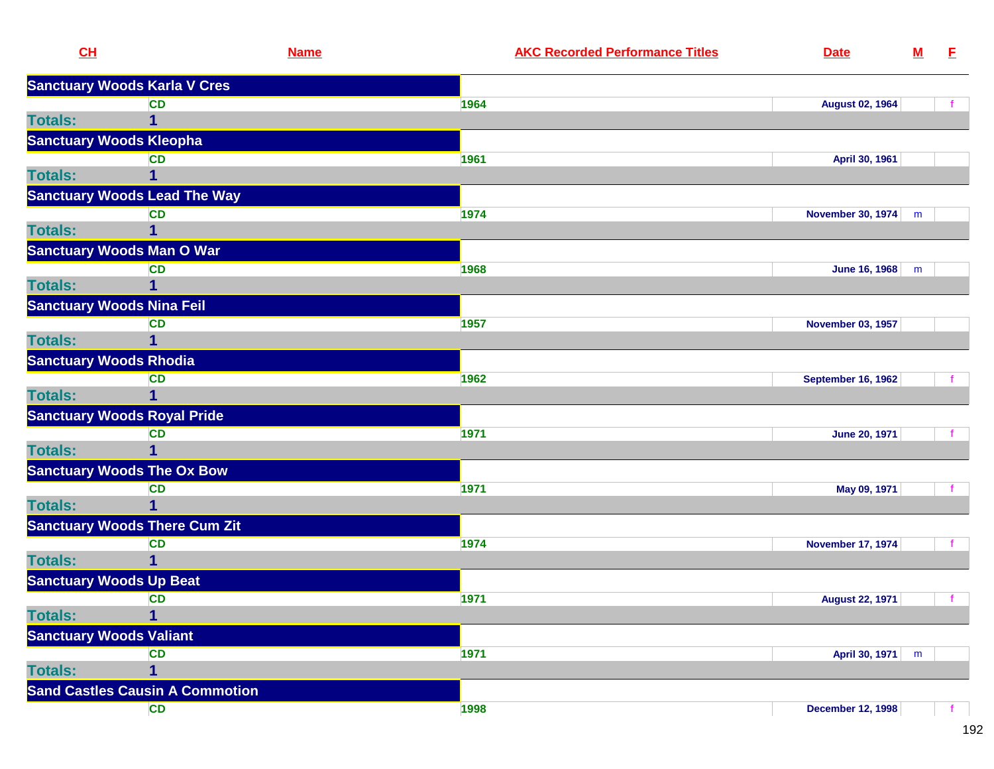| CH             | <b>Name</b>                            | <b>AKC Recorded Performance Titles</b> | <b>Date</b>               | $\underline{\mathbf{M}}$ | E.           |
|----------------|----------------------------------------|----------------------------------------|---------------------------|--------------------------|--------------|
|                | <b>Sanctuary Woods Karla V Cres</b>    |                                        |                           |                          |              |
|                | <b>CD</b>                              | 1964                                   | <b>August 02, 1964</b>    |                          |              |
| <b>Totals:</b> | 1                                      |                                        |                           |                          |              |
|                | <b>Sanctuary Woods Kleopha</b>         |                                        |                           |                          |              |
|                | <b>CD</b>                              | 1961                                   | April 30, 1961            |                          |              |
| <b>Totals:</b> | 1                                      |                                        |                           |                          |              |
|                | <b>Sanctuary Woods Lead The Way</b>    |                                        |                           |                          |              |
|                | <b>CD</b>                              | 1974                                   | <b>November 30, 1974</b>  | m                        |              |
| <b>Totals:</b> |                                        |                                        |                           |                          |              |
|                | <b>Sanctuary Woods Man O War</b>       |                                        |                           |                          |              |
|                | <b>CD</b>                              | 1968                                   | <b>June 16, 1968</b>      | m                        |              |
| <b>Totals:</b> | 1                                      |                                        |                           |                          |              |
|                | <b>Sanctuary Woods Nina Feil</b>       |                                        |                           |                          |              |
|                | <b>CD</b>                              | 1957                                   | <b>November 03, 1957</b>  |                          |              |
| <b>Totals:</b> |                                        |                                        |                           |                          |              |
|                | <b>Sanctuary Woods Rhodia</b>          |                                        |                           |                          |              |
|                | <b>CD</b>                              | 1962                                   | <b>September 16, 1962</b> |                          |              |
| <b>Totals:</b> | 1                                      |                                        |                           |                          |              |
|                | <b>Sanctuary Woods Royal Pride</b>     |                                        |                           |                          |              |
|                | <b>CD</b>                              | 1971                                   | <b>June 20, 1971</b>      |                          |              |
| <b>Totals:</b> | 1                                      |                                        |                           |                          |              |
|                | <b>Sanctuary Woods The Ox Bow</b>      |                                        |                           |                          |              |
|                | <b>CD</b>                              | 1971                                   | May 09, 1971              |                          |              |
| <b>Totals:</b> | 1                                      |                                        |                           |                          |              |
|                | <b>Sanctuary Woods There Cum Zit</b>   |                                        |                           |                          |              |
|                | <b>CD</b>                              | 1974                                   | <b>November 17, 1974</b>  |                          |              |
| <b>Totals:</b> | 1                                      |                                        |                           |                          |              |
|                | <b>Sanctuary Woods Up Beat</b>         |                                        |                           |                          |              |
|                | <b>CD</b>                              | 1971                                   | <b>August 22, 1971</b>    |                          | $\mathbf{f}$ |
| <b>Totals:</b> | 1                                      |                                        |                           |                          |              |
|                | <b>Sanctuary Woods Valiant</b>         |                                        |                           |                          |              |
|                | <b>CD</b>                              | 1971                                   | April 30, 1971            | m                        |              |
| <b>Totals:</b> | 1                                      |                                        |                           |                          |              |
|                | <b>Sand Castles Causin A Commotion</b> |                                        |                           |                          |              |
|                | <b>CD</b>                              | 1998                                   | <b>December 12, 1998</b>  |                          |              |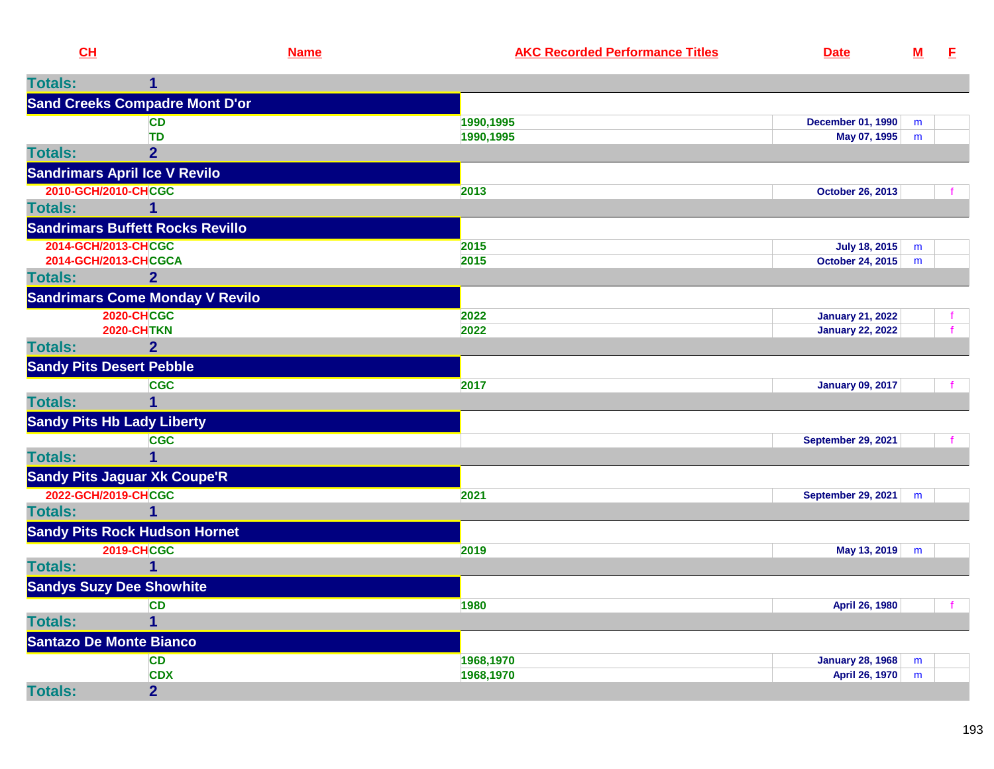| ---- |  |  |
|------|--|--|

| <b>Totals:</b>      |                                         |           |                           |   |  |
|---------------------|-----------------------------------------|-----------|---------------------------|---|--|
|                     | <b>Sand Creeks Compadre Mont D'or</b>   |           |                           |   |  |
|                     | <b>CD</b>                               | 1990,1995 | <b>December 01, 1990</b>  | m |  |
|                     | <b>TD</b>                               | 1990,1995 | May 07, 1995              | m |  |
| <b>Totals:</b>      | $\overline{2}$                          |           |                           |   |  |
|                     | <b>Sandrimars April Ice V Revilo</b>    |           |                           |   |  |
|                     | 2010-GCH/2010-CHCGC                     | 2013      | <b>October 26, 2013</b>   |   |  |
| <b>Totals:</b>      | 1                                       |           |                           |   |  |
|                     | <b>Sandrimars Buffett Rocks Revillo</b> |           |                           |   |  |
| 2014-GCH/2013-CHCGC |                                         | 2015      | July 18, 2015             | m |  |
|                     | 2014-GCH/2013-CHCGCA                    | 2015      | October 24, 2015          | m |  |
| <b>Totals:</b>      | $\overline{2}$                          |           |                           |   |  |
|                     | <b>Sandrimars Come Monday V Revilo</b>  |           |                           |   |  |
|                     | <b>2020-CHCGC</b>                       | 2022      | <b>January 21, 2022</b>   |   |  |
|                     | <b>2020-CHTKN</b>                       | 2022      | <b>January 22, 2022</b>   |   |  |
| <b>Totals:</b>      | 2 <sup>1</sup>                          |           |                           |   |  |
|                     | <b>Sandy Pits Desert Pebble</b>         |           |                           |   |  |
|                     | <b>CGC</b>                              | 2017      | <b>January 09, 2017</b>   |   |  |
| <b>Totals:</b>      | 1                                       |           |                           |   |  |
|                     | <b>Sandy Pits Hb Lady Liberty</b>       |           |                           |   |  |
|                     | <b>CGC</b>                              |           | <b>September 29, 2021</b> |   |  |
| <b>Totals:</b>      | 1                                       |           |                           |   |  |
|                     | <b>Sandy Pits Jaguar Xk Coupe'R</b>     |           |                           |   |  |
| 2022-GCH/2019-CHCGC |                                         | 2021      | <b>September 29, 2021</b> | m |  |
| <b>Totals:</b>      | 1                                       |           |                           |   |  |
|                     | <b>Sandy Pits Rock Hudson Hornet</b>    |           |                           |   |  |
|                     | <b>2019-CHCGC</b>                       | 2019      | May 13, 2019              | m |  |
| <b>Totals:</b>      | $\overline{1}$                          |           |                           |   |  |
|                     | <b>Sandys Suzy Dee Showhite</b>         |           |                           |   |  |
|                     | <b>CD</b>                               | 1980      | April 26, 1980            |   |  |
| <b>Totals:</b>      | 1                                       |           |                           |   |  |
|                     | <b>Santazo De Monte Bianco</b>          |           |                           |   |  |
|                     | <b>CD</b>                               | 1968,1970 | <b>January 28, 1968</b>   | m |  |
|                     | <b>CDX</b>                              | 1968,1970 | April 26, 1970            | m |  |
| <b>Totals:</b>      | $\overline{2}$                          |           |                           |   |  |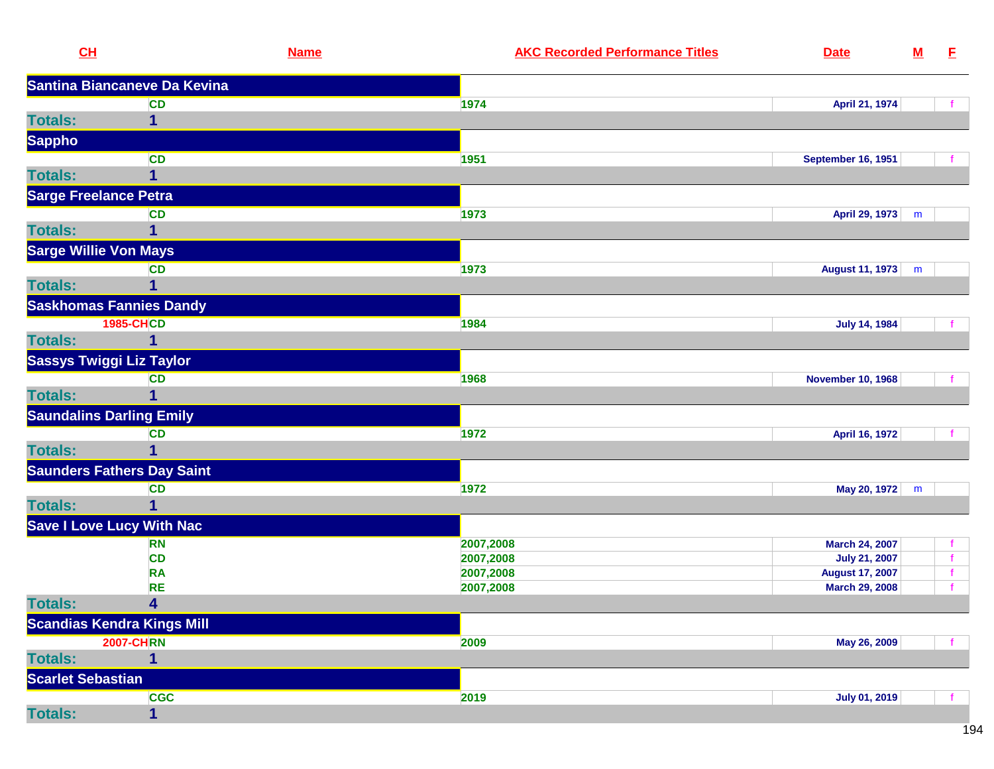| CL                              | <b>Name</b>                       |           | <b>AKC Recorded Performance Titles</b> | <b>Date</b>               | ${\bf M}$ | E            |
|---------------------------------|-----------------------------------|-----------|----------------------------------------|---------------------------|-----------|--------------|
|                                 | Santina Biancaneve Da Kevina      |           |                                        |                           |           |              |
|                                 | <b>CD</b>                         | 1974      |                                        | April 21, 1974            |           |              |
| <b>Totals:</b>                  | 1                                 |           |                                        |                           |           |              |
| <b>Sappho</b>                   |                                   |           |                                        |                           |           |              |
|                                 | <b>CD</b>                         | 1951      |                                        | <b>September 16, 1951</b> |           |              |
| <b>Totals:</b>                  | $\mathbf{1}$                      |           |                                        |                           |           |              |
| <b>Sarge Freelance Petra</b>    |                                   |           |                                        |                           |           |              |
|                                 | <b>CD</b>                         | 1973      |                                        | April 29, 1973            | m         |              |
| <b>Totals:</b>                  | 1                                 |           |                                        |                           |           |              |
| <b>Sarge Willie Von Mays</b>    |                                   |           |                                        |                           |           |              |
|                                 | <b>CD</b>                         | 1973      |                                        | August 11, 1973           | m         |              |
| <b>Totals:</b>                  | 1                                 |           |                                        |                           |           |              |
|                                 | <b>Saskhomas Fannies Dandy</b>    |           |                                        |                           |           |              |
|                                 | <b>1985-CHCD</b>                  | 1984      |                                        | <b>July 14, 1984</b>      |           |              |
| <b>Totals:</b>                  |                                   |           |                                        |                           |           |              |
| <b>Sassys Twiggi Liz Taylor</b> |                                   |           |                                        |                           |           |              |
|                                 | <b>CD</b>                         | 1968      |                                        | <b>November 10, 1968</b>  |           |              |
| <b>Totals:</b>                  | 1                                 |           |                                        |                           |           |              |
| <b>Saundalins Darling Emily</b> |                                   |           |                                        |                           |           |              |
|                                 | <b>CD</b>                         | 1972      |                                        | April 16, 1972            |           |              |
| <b>Totals:</b>                  | 1                                 |           |                                        |                           |           |              |
|                                 | <b>Saunders Fathers Day Saint</b> |           |                                        |                           |           |              |
|                                 | <b>CD</b>                         | 1972      |                                        | May 20, 1972              | m         |              |
| <b>Totals:</b>                  | 1                                 |           |                                        |                           |           |              |
|                                 | <b>Save I Love Lucy With Nac</b>  |           |                                        |                           |           |              |
|                                 | <b>RN</b>                         | 2007,2008 |                                        | March 24, 2007            |           | $\mathbf f$  |
|                                 | <b>CD</b>                         | 2007,2008 |                                        | <b>July 21, 2007</b>      |           | $\mathbf{f}$ |
|                                 | <b>RA</b>                         | 2007,2008 |                                        | <b>August 17, 2007</b>    |           | $\mathbf f$  |
|                                 | <b>RE</b>                         | 2007,2008 |                                        | March 29, 2008            |           | $\mathbf{f}$ |
| <b>Totals:</b>                  | 4                                 |           |                                        |                           |           |              |
|                                 | <b>Scandias Kendra Kings Mill</b> |           |                                        |                           |           |              |
|                                 | <b>2007-CHRN</b>                  | 2009      |                                        | May 26, 2009              |           |              |
| <b>Totals:</b>                  | 1                                 |           |                                        |                           |           |              |
| <b>Scarlet Sebastian</b>        |                                   |           |                                        |                           |           |              |
|                                 | <b>CGC</b>                        | 2019      |                                        | <b>July 01, 2019</b>      |           |              |
| <b>Totals:</b>                  | 1                                 |           |                                        |                           |           |              |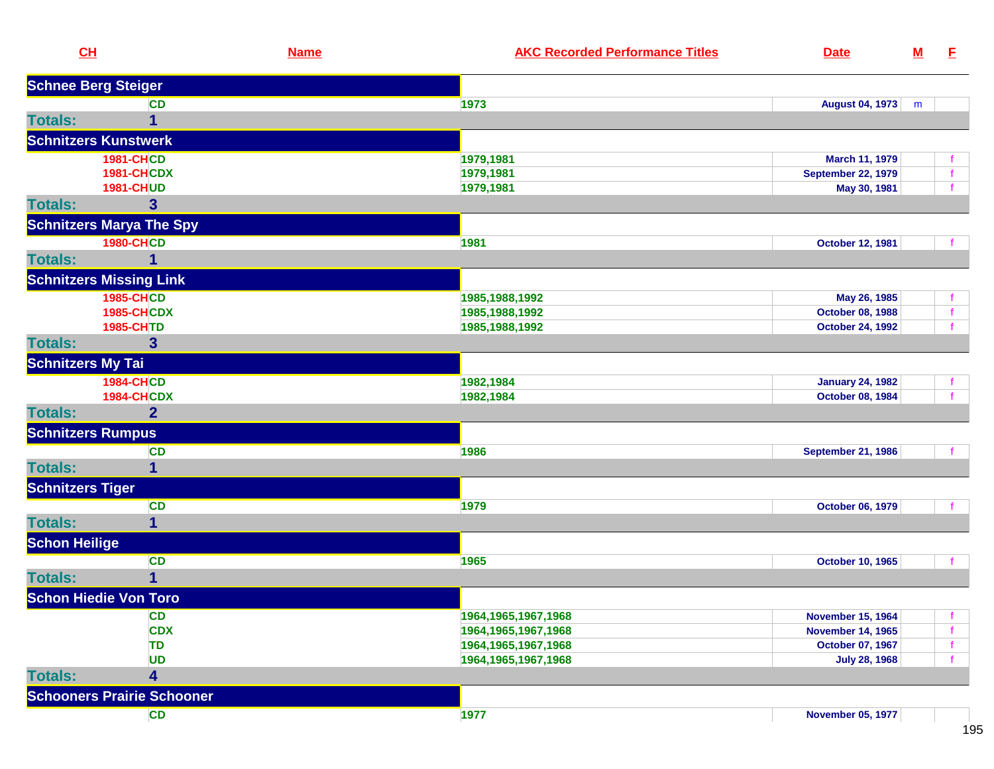| CL                       |                                   | <b>Name</b> | <b>AKC Recorded Performance Titles</b> | <b>Date</b>               | ${\bf M}$ | E           |
|--------------------------|-----------------------------------|-------------|----------------------------------------|---------------------------|-----------|-------------|
|                          | <b>Schnee Berg Steiger</b>        |             |                                        |                           |           |             |
|                          | <b>CD</b>                         |             | 1973                                   | August 04, 1973           | m         |             |
| <b>Totals:</b>           | 1                                 |             |                                        |                           |           |             |
|                          | <b>Schnitzers Kunstwerk</b>       |             |                                        |                           |           |             |
|                          | <b>1981-CHCD</b>                  |             | 1979,1981                              | March 11, 1979            |           |             |
|                          | <b>1981-CHCDX</b>                 |             | 1979,1981                              | <b>September 22, 1979</b> |           | f           |
|                          | <b>1981-CHUD</b>                  |             | 1979,1981                              | May 30, 1981              |           |             |
| <b>Totals:</b>           | 3                                 |             |                                        |                           |           |             |
|                          | <b>Schnitzers Marya The Spy</b>   |             |                                        |                           |           |             |
|                          | <b>1980-CHCD</b>                  |             | 1981                                   | October 12, 1981          |           |             |
| <b>Totals:</b>           |                                   |             |                                        |                           |           |             |
|                          | <b>Schnitzers Missing Link</b>    |             |                                        |                           |           |             |
|                          | <b>1985-CHCD</b>                  |             | 1985, 1988, 1992                       | May 26, 1985              |           |             |
|                          | <b>1985-CHCDX</b>                 |             | 1985, 1988, 1992                       | October 08, 1988          |           | $\mathbf f$ |
|                          | 1985-CHTD                         |             | 1985, 1988, 1992                       | <b>October 24, 1992</b>   |           |             |
| <b>Totals:</b>           | 3                                 |             |                                        |                           |           |             |
| <b>Schnitzers My Tai</b> |                                   |             |                                        |                           |           |             |
|                          | <b>1984-CHCD</b>                  |             | 1982,1984                              | <b>January 24, 1982</b>   |           |             |
|                          | <b>1984-CHCDX</b>                 |             | 1982,1984                              | <b>October 08, 1984</b>   |           |             |
| <b>Totals:</b>           | $\overline{2}$                    |             |                                        |                           |           |             |
|                          | <b>Schnitzers Rumpus</b>          |             |                                        |                           |           |             |
|                          | <b>CD</b>                         |             | 1986                                   | <b>September 21, 1986</b> |           |             |
| <b>Totals:</b>           | 1                                 |             |                                        |                           |           |             |
| <b>Schnitzers Tiger</b>  |                                   |             |                                        |                           |           |             |
|                          | <b>CD</b>                         |             | 1979                                   | October 06, 1979          |           |             |
| <b>Totals:</b>           | 1                                 |             |                                        |                           |           |             |
| <b>Schon Heilige</b>     |                                   |             |                                        |                           |           |             |
|                          | <b>CD</b>                         |             | 1965                                   | <b>October 10, 1965</b>   |           |             |
| <b>Totals:</b>           | 1                                 |             |                                        |                           |           |             |
|                          | <b>Schon Hiedie Von Toro</b>      |             |                                        |                           |           |             |
|                          | <b>CD</b>                         |             | 1964, 1965, 1967, 1968                 | <b>November 15, 1964</b>  |           |             |
|                          | <b>CDX</b>                        |             | 1964, 1965, 1967, 1968                 | <b>November 14, 1965</b>  |           |             |
|                          | TD                                |             | 1964, 1965, 1967, 1968                 | October 07, 1967          |           |             |
|                          | <b>UD</b>                         |             | 1964, 1965, 1967, 1968                 | <b>July 28, 1968</b>      |           |             |
| <b>Totals:</b>           | 4                                 |             |                                        |                           |           |             |
|                          | <b>Schooners Prairie Schooner</b> |             |                                        |                           |           |             |
|                          | CD                                |             | 1977                                   | <b>November 05, 1977</b>  |           |             |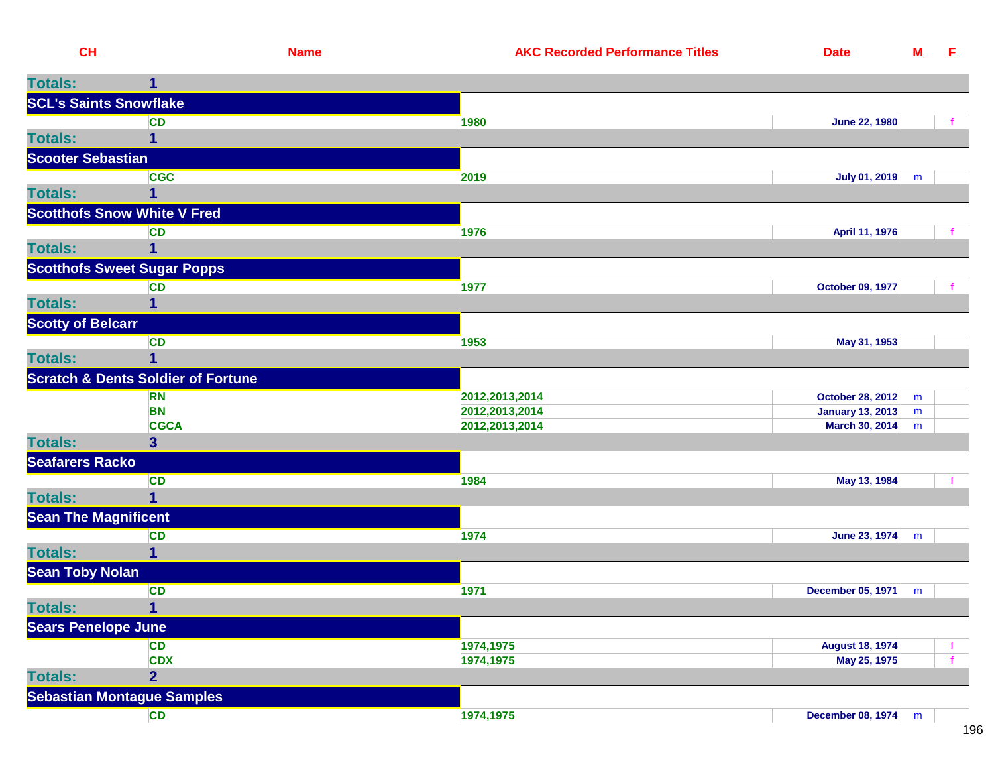| CL                            | <b>Name</b>                                   | <b>AKC Recorded Performance Titles</b> | <b>Date</b>             | ${\bf M}$ | E |
|-------------------------------|-----------------------------------------------|----------------------------------------|-------------------------|-----------|---|
| <b>Totals:</b>                | 1                                             |                                        |                         |           |   |
| <b>SCL's Saints Snowflake</b> |                                               |                                        |                         |           |   |
|                               | <b>CD</b>                                     | 1980                                   | <b>June 22, 1980</b>    |           | f |
| <b>Totals:</b>                | 1                                             |                                        |                         |           |   |
| <b>Scooter Sebastian</b>      |                                               |                                        |                         |           |   |
|                               | <b>CGC</b>                                    | 2019                                   | <b>July 01, 2019</b>    | m         |   |
| <b>Totals:</b>                |                                               |                                        |                         |           |   |
|                               | <b>Scotthofs Snow White V Fred</b>            |                                        |                         |           |   |
|                               | CD                                            | 1976                                   | April 11, 1976          |           |   |
| <b>Totals:</b>                | 1                                             |                                        |                         |           |   |
|                               | <b>Scotthofs Sweet Sugar Popps</b>            |                                        |                         |           |   |
|                               | CD                                            | 1977                                   | October 09, 1977        |           | f |
| <b>Totals:</b>                |                                               |                                        |                         |           |   |
| <b>Scotty of Belcarr</b>      |                                               |                                        |                         |           |   |
|                               | <b>CD</b>                                     | 1953                                   | May 31, 1953            |           |   |
| <b>Totals:</b>                |                                               |                                        |                         |           |   |
|                               | <b>Scratch &amp; Dents Soldier of Fortune</b> |                                        |                         |           |   |
|                               | <b>RN</b>                                     | 2012, 2013, 2014                       | October 28, 2012        | m         |   |
|                               | <b>BN</b>                                     | 2012, 2013, 2014                       | <b>January 13, 2013</b> | m         |   |
|                               | <b>CGCA</b>                                   | 2012, 2013, 2014                       | March 30, 2014          | m         |   |
| <b>Totals:</b>                | 3 <sup>5</sup>                                |                                        |                         |           |   |
| <b>Seafarers Racko</b>        |                                               |                                        |                         |           |   |
|                               | <b>CD</b>                                     | 1984                                   | May 13, 1984            |           |   |
| <b>Totals:</b>                | 1                                             |                                        |                         |           |   |
| <b>Sean The Magnificent</b>   |                                               |                                        |                         |           |   |
|                               | <b>CD</b>                                     | 1974                                   | June 23, 1974           | m         |   |
| <b>Totals:</b>                | 1                                             |                                        |                         |           |   |
| <b>Sean Toby Nolan</b>        |                                               |                                        |                         |           |   |
|                               | <b>CD</b>                                     | 1971                                   | December 05, 1971       | m         |   |
| <b>Totals:</b>                | 1                                             |                                        |                         |           |   |
| <b>Sears Penelope June</b>    |                                               |                                        |                         |           |   |
|                               | <b>CD</b>                                     | 1974,1975                              | <b>August 18, 1974</b>  |           |   |
|                               | <b>CDX</b>                                    | 1974,1975                              | May 25, 1975            |           | f |
| <b>Totals:</b>                | $\overline{\mathbf{2}}$                       |                                        |                         |           |   |
|                               | <b>Sebastian Montague Samples</b>             |                                        |                         |           |   |
|                               | CD                                            | 1974,1975                              | December 08, 1974 m     |           |   |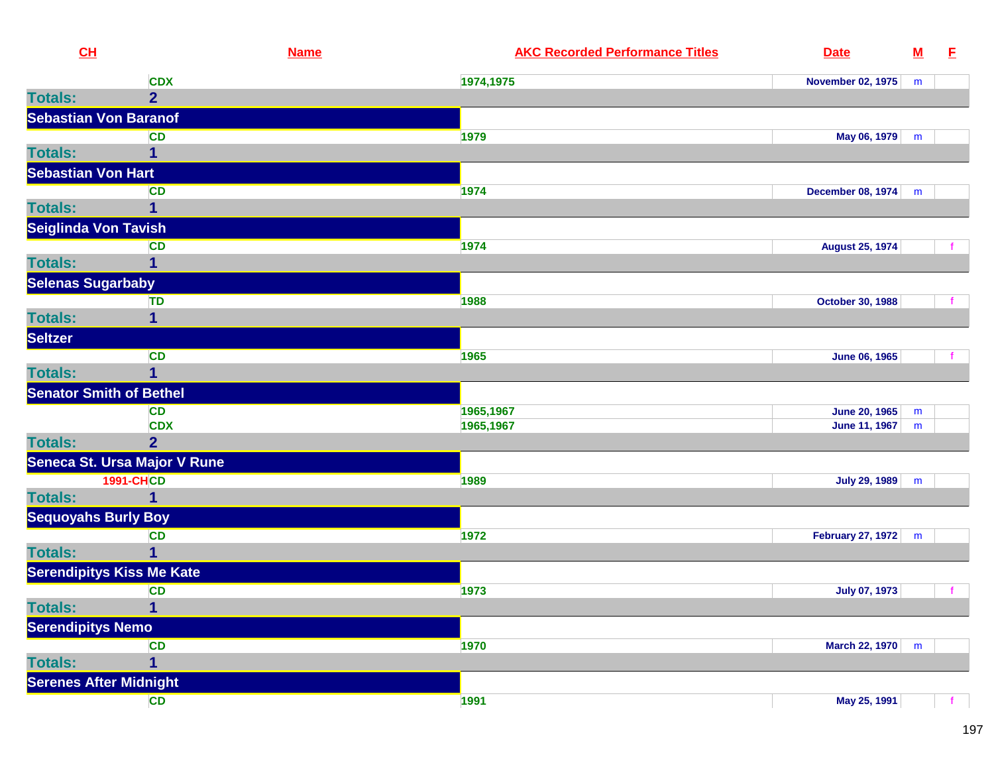| CL                         |                                  | <b>Name</b> | <b>AKC Recorded Performance Titles</b> | <b>Date</b>              | $\underline{\mathsf{M}}$ | E    |
|----------------------------|----------------------------------|-------------|----------------------------------------|--------------------------|--------------------------|------|
|                            | <b>CDX</b>                       |             | 1974,1975                              | <b>November 02, 1975</b> | m                        |      |
| <b>Totals:</b>             | $\overline{2}$                   |             |                                        |                          |                          |      |
|                            | <b>Sebastian Von Baranof</b>     |             |                                        |                          |                          |      |
|                            | <b>CD</b>                        |             | 1979                                   | May 06, 1979             | m                        |      |
| <b>Totals:</b>             |                                  |             |                                        |                          |                          |      |
| <b>Sebastian Von Hart</b>  |                                  |             |                                        |                          |                          |      |
|                            | <b>CD</b>                        |             | 1974                                   | <b>December 08, 1974</b> | m                        |      |
| <b>Totals:</b>             | 1                                |             |                                        |                          |                          |      |
| Seiglinda Von Tavish       |                                  |             |                                        |                          |                          |      |
|                            | <b>CD</b>                        |             | 1974                                   | <b>August 25, 1974</b>   |                          | t.   |
| <b>Totals:</b>             | 1                                |             |                                        |                          |                          |      |
| <b>Selenas Sugarbaby</b>   |                                  |             |                                        |                          |                          |      |
|                            | <b>TD</b>                        |             | 1988                                   | <b>October 30, 1988</b>  |                          |      |
| <b>Totals:</b>             | $\overline{\mathbf{1}}$          |             |                                        |                          |                          |      |
| Seltzer                    |                                  |             |                                        |                          |                          |      |
|                            | <b>CD</b>                        |             | 1965                                   | <b>June 06, 1965</b>     |                          |      |
| <b>Totals:</b>             | 1                                |             |                                        |                          |                          |      |
|                            | <b>Senator Smith of Bethel</b>   |             |                                        |                          |                          |      |
|                            | <b>CD</b>                        |             | 1965,1967                              | <b>June 20, 1965</b>     | m                        |      |
|                            | <b>CDX</b>                       |             | 1965,1967                              | June 11, 1967            | m                        |      |
| <b>Totals:</b>             | $\overline{2}$                   |             |                                        |                          |                          |      |
|                            | Seneca St. Ursa Major V Rune     |             |                                        |                          |                          |      |
|                            | <b>1991-CHCD</b>                 |             | 1989                                   | <b>July 29, 1989</b>     | m                        |      |
| <b>Totals:</b>             | $\overline{\mathbf{1}}$          |             |                                        |                          |                          |      |
| <b>Sequoyahs Burly Boy</b> |                                  |             |                                        |                          |                          |      |
|                            | <b>CD</b>                        |             | 1972                                   | <b>February 27, 1972</b> | m                        |      |
| <b>Totals:</b>             | 1                                |             |                                        |                          |                          |      |
|                            | <b>Serendipitys Kiss Me Kate</b> |             |                                        |                          |                          |      |
|                            | <b>CD</b>                        |             | 1973                                   | <b>July 07, 1973</b>     |                          | $-f$ |
| <b>Totals:</b>             | $\overline{1}$                   |             |                                        |                          |                          |      |
| <b>Serendipitys Nemo</b>   |                                  |             |                                        |                          |                          |      |
|                            | <b>CD</b>                        |             | 1970                                   | March 22, 1970           | m                        |      |
| <b>Totals:</b>             | 1                                |             |                                        |                          |                          |      |
|                            | <b>Serenes After Midnight</b>    |             |                                        |                          |                          |      |
|                            | <b>CD</b>                        |             | 1991                                   | May 25, 1991             |                          |      |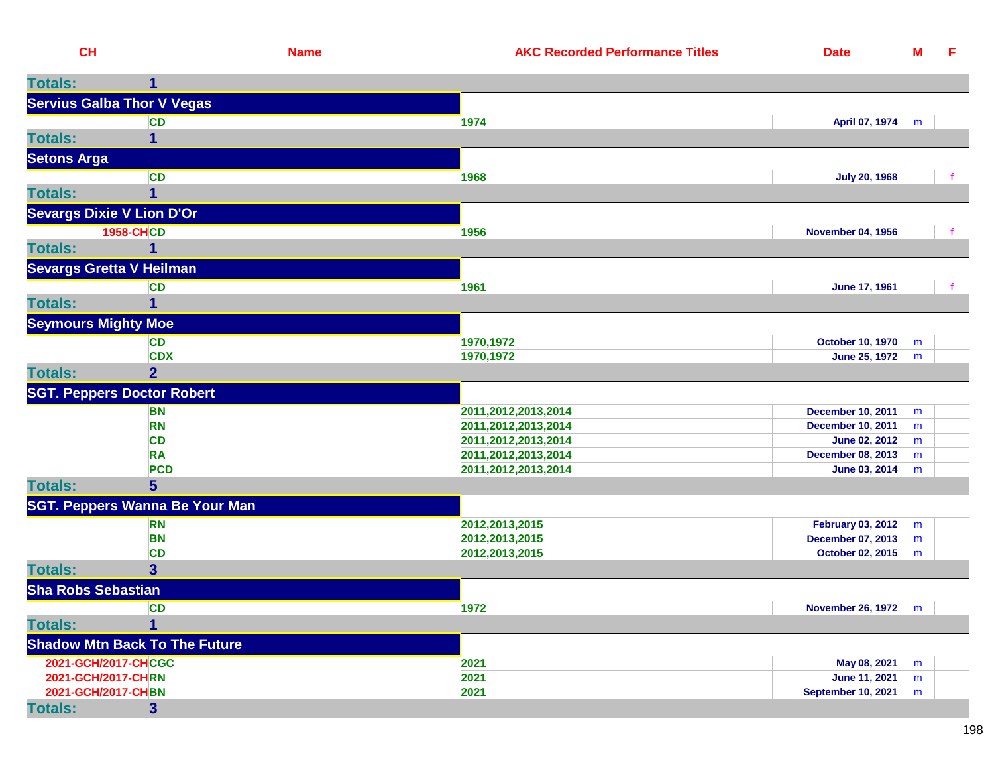| CL                         |                                       | <b>Name</b> | <b>AKC Recorded Performance Titles</b>     | <b>Date</b>                                          | $\underline{\mathbf{M}}$ | -E |
|----------------------------|---------------------------------------|-------------|--------------------------------------------|------------------------------------------------------|--------------------------|----|
| <b>Totals:</b>             | 1                                     |             |                                            |                                                      |                          |    |
|                            | <b>Servius Galba Thor V Vegas</b>     |             |                                            |                                                      |                          |    |
|                            | <b>CD</b>                             |             | 1974                                       | April 07, 1974                                       | m                        |    |
| <b>Totals:</b>             | 1                                     |             |                                            |                                                      |                          |    |
| <b>Setons Arga</b>         |                                       |             |                                            |                                                      |                          |    |
|                            | <b>CD</b>                             |             | 1968                                       | <b>July 20, 1968</b>                                 |                          |    |
| <b>Totals:</b>             |                                       |             |                                            |                                                      |                          |    |
|                            | <b>Sevargs Dixie V Lion D'Or</b>      |             |                                            |                                                      |                          |    |
|                            | <b>1958-CHCD</b>                      |             | 1956                                       | <b>November 04, 1956</b>                             |                          |    |
| <b>Totals:</b>             | 1                                     |             |                                            |                                                      |                          |    |
|                            | <b>Sevargs Gretta V Heilman</b>       |             |                                            |                                                      |                          |    |
|                            | <b>CD</b>                             |             | 1961                                       | June 17, 1961                                        |                          | f. |
| <b>Totals:</b>             |                                       |             |                                            |                                                      |                          |    |
|                            |                                       |             |                                            |                                                      |                          |    |
| <b>Seymours Mighty Moe</b> |                                       |             |                                            |                                                      |                          |    |
|                            | <b>CD</b><br><b>CDX</b>               |             | 1970,1972<br>1970, 1972                    | <b>October 10, 1970</b><br><b>June 25, 1972</b>      | m<br>m                   |    |
| <b>Totals:</b>             | $\overline{2}$                        |             |                                            |                                                      |                          |    |
|                            | <b>SGT. Peppers Doctor Robert</b>     |             |                                            |                                                      |                          |    |
|                            |                                       |             |                                            |                                                      |                          |    |
|                            | <b>BN</b><br><b>RN</b>                |             | 2011,2012,2013,2014<br>2011,2012,2013,2014 | <b>December 10, 2011</b><br><b>December 10, 2011</b> | m<br>m                   |    |
|                            | <b>CD</b>                             |             | 2011,2012,2013,2014                        | <b>June 02, 2012</b>                                 | m                        |    |
|                            | <b>RA</b>                             |             | 2011,2012,2013,2014                        | <b>December 08, 2013</b>                             | m                        |    |
|                            | <b>PCD</b>                            |             | 2011,2012,2013,2014                        | June 03, 2014                                        | m                        |    |
| <b>Totals:</b>             | 5 <sup>5</sup>                        |             |                                            |                                                      |                          |    |
|                            | <b>SGT. Peppers Wanna Be Your Man</b> |             |                                            |                                                      |                          |    |
|                            | <b>RN</b>                             |             | 2012, 2013, 2015                           | <b>February 03, 2012</b>                             | m                        |    |
|                            | <b>BN</b>                             |             | 2012, 2013, 2015                           | December 07, 2013                                    | m                        |    |
|                            | <b>CD</b>                             |             | 2012, 2013, 2015                           | October 02, 2015                                     | m                        |    |
| <b>Totals:</b>             | 3 <sup>5</sup>                        |             |                                            |                                                      |                          |    |
| <b>Sha Robs Sebastian</b>  |                                       |             |                                            |                                                      |                          |    |
|                            | <b>CD</b>                             |             | 1972                                       | <b>November 26, 1972</b>                             | m                        |    |
| <b>Totals:</b>             |                                       |             |                                            |                                                      |                          |    |
|                            | <b>Shadow Mtn Back To The Future</b>  |             |                                            |                                                      |                          |    |
| 2021-GCH/2017-CHCGC        |                                       |             | 2021                                       | May 08, 2021                                         | m                        |    |
| 2021-GCH/2017-CHRN         |                                       |             | 2021                                       | <b>June 11, 2021</b>                                 | m                        |    |
| 2021-GCH/2017-CHBN         |                                       |             | 2021                                       | <b>September 10, 2021</b>                            | m                        |    |
| <b>Totals:</b>             | 3 <sup>5</sup>                        |             |                                            |                                                      |                          |    |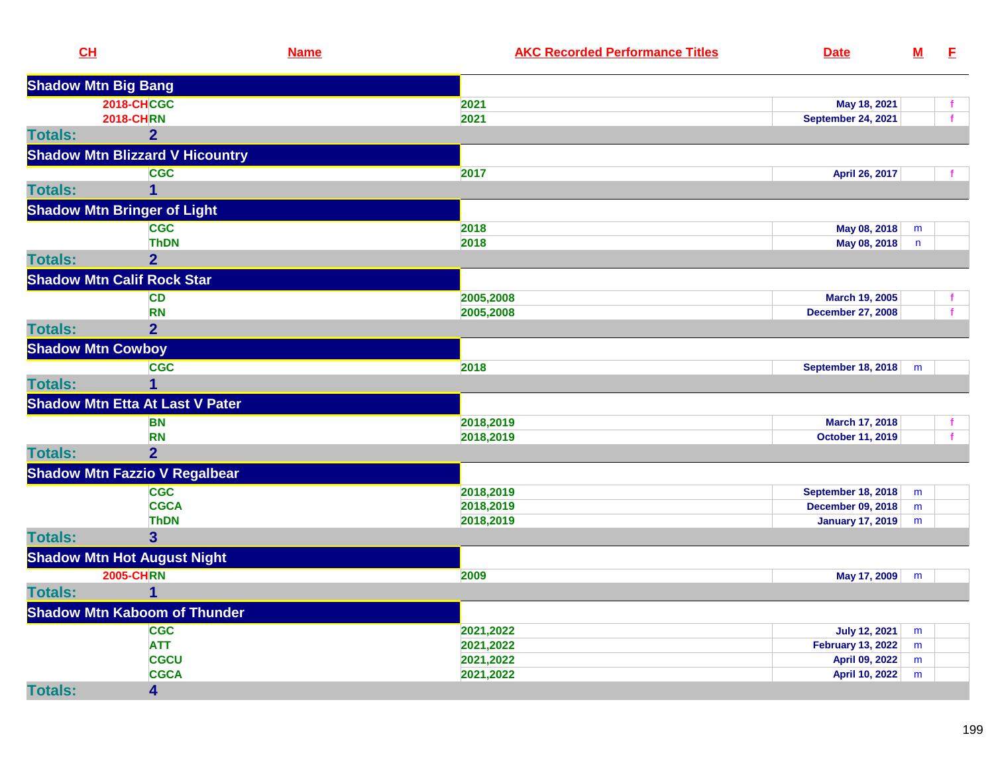| CH                         | <b>Name</b>                            | <b>AKC Recorded Performance Titles</b> | <b>Date</b>               | $\underline{\mathbf{M}}$ | E.           |
|----------------------------|----------------------------------------|----------------------------------------|---------------------------|--------------------------|--------------|
| <b>Shadow Mtn Big Bang</b> |                                        |                                        |                           |                          |              |
|                            | <b>2018-CHCGC</b>                      | 2021                                   | May 18, 2021              |                          | Ť.           |
|                            | <b>2018-CHRN</b>                       | 2021                                   | <b>September 24, 2021</b> |                          | f            |
| <b>Totals:</b>             | $\overline{2}$                         |                                        |                           |                          |              |
|                            | <b>Shadow Mtn Blizzard V Hicountry</b> |                                        |                           |                          |              |
|                            | <b>CGC</b>                             | 2017                                   | April 26, 2017            |                          |              |
| <b>Totals:</b>             | 1                                      |                                        |                           |                          |              |
|                            | <b>Shadow Mtn Bringer of Light</b>     |                                        |                           |                          |              |
|                            | <b>CGC</b>                             | 2018                                   | May 08, 2018              | m                        |              |
|                            | <b>ThDN</b>                            | 2018                                   | May 08, 2018              | $\mathsf{n}$             |              |
| <b>Totals:</b>             | $\overline{2}$                         |                                        |                           |                          |              |
|                            | <b>Shadow Mtn Calif Rock Star</b>      |                                        |                           |                          |              |
|                            | <b>CD</b>                              | 2005,2008                              | March 19, 2005            |                          |              |
|                            | <b>RN</b>                              | 2005,2008                              | <b>December 27, 2008</b>  |                          | $\mathbf{f}$ |
| <b>Totals:</b>             | $\overline{2}$                         |                                        |                           |                          |              |
| <b>Shadow Mtn Cowboy</b>   |                                        |                                        |                           |                          |              |
|                            | <b>CGC</b>                             | 2018                                   | <b>September 18, 2018</b> | m                        |              |
| <b>Totals:</b>             |                                        |                                        |                           |                          |              |
|                            | <b>Shadow Mtn Etta At Last V Pater</b> |                                        |                           |                          |              |
|                            | <b>BN</b>                              | 2018,2019                              | March 17, 2018            |                          |              |
|                            | <b>RN</b>                              | 2018,2019                              | <b>October 11, 2019</b>   |                          | $\mathbf{f}$ |
| <b>Totals:</b>             | $\overline{2}$                         |                                        |                           |                          |              |
|                            | <b>Shadow Mtn Fazzio V Regalbear</b>   |                                        |                           |                          |              |
|                            | <b>CGC</b>                             | 2018,2019                              | <b>September 18, 2018</b> | m                        |              |
|                            | <b>CGCA</b>                            | 2018,2019                              | <b>December 09, 2018</b>  | m                        |              |
|                            | <b>ThDN</b>                            | 2018,2019                              | <b>January 17, 2019</b>   | m                        |              |
| <b>Totals:</b>             | $\overline{\mathbf{3}}$                |                                        |                           |                          |              |
|                            | <b>Shadow Mtn Hot August Night</b>     |                                        |                           |                          |              |
|                            | <b>2005-CHRN</b>                       | 2009                                   | May 17, 2009              | m                        |              |
| <b>Totals:</b>             | 1                                      |                                        |                           |                          |              |
|                            | <b>Shadow Mtn Kaboom of Thunder</b>    |                                        |                           |                          |              |
|                            | <b>CGC</b>                             | 2021,2022                              | <b>July 12, 2021</b>      | m                        |              |
|                            | <b>ATT</b>                             | 2021,2022                              | <b>February 13, 2022</b>  | m                        |              |
|                            | <b>CGCU</b>                            | 2021,2022                              | April 09, 2022            | m                        |              |
|                            | <b>CGCA</b>                            | 2021,2022                              | <b>April 10, 2022</b>     | m                        |              |
| <b>Totals:</b>             | 4                                      |                                        |                           |                          |              |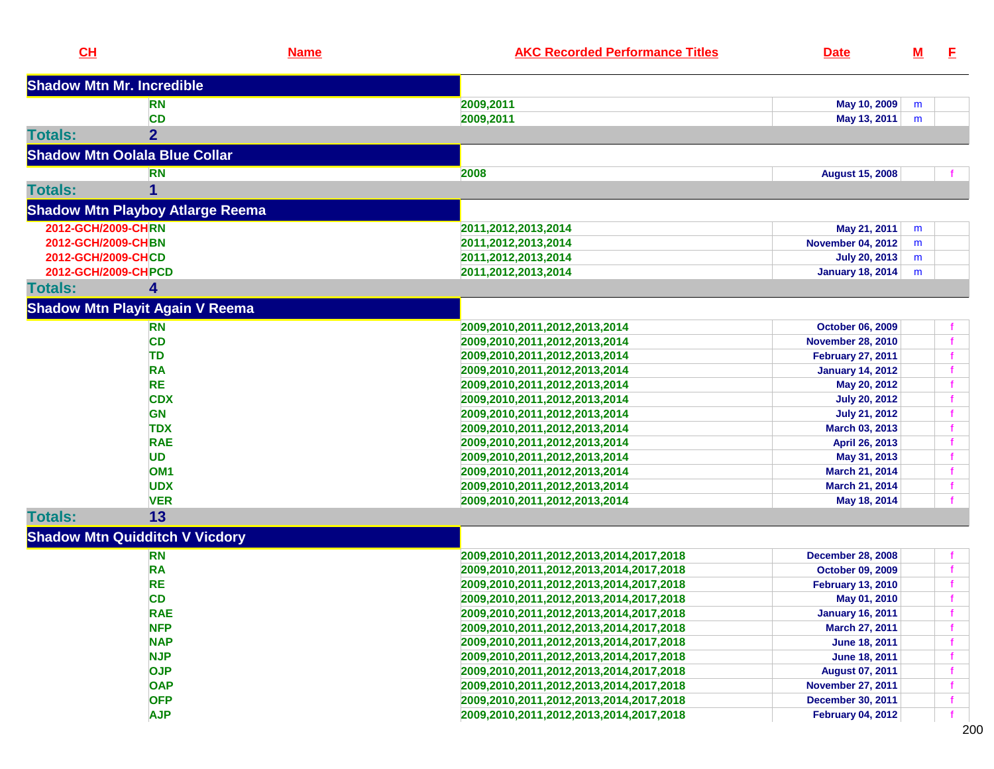| CH                               |                                         | <b>Name</b> | <b>AKC Recorded Performance Titles</b>  | <b>Date</b>              | <u>M</u> | E            |
|----------------------------------|-----------------------------------------|-------------|-----------------------------------------|--------------------------|----------|--------------|
| <b>Shadow Mtn Mr. Incredible</b> |                                         |             |                                         |                          |          |              |
|                                  | <b>RN</b>                               |             | 2009,2011                               | May 10, 2009             | m        |              |
|                                  | <b>CD</b>                               |             | 2009,2011                               | May 13, 2011             | m        |              |
| <b>Totals:</b>                   | $\overline{2}$                          |             |                                         |                          |          |              |
|                                  | <b>Shadow Mtn Oolala Blue Collar</b>    |             |                                         |                          |          |              |
|                                  | <b>RN</b>                               |             | 2008                                    | <b>August 15, 2008</b>   |          |              |
| <b>Totals:</b>                   |                                         |             |                                         |                          |          |              |
|                                  | <b>Shadow Mtn Playboy Atlarge Reema</b> |             |                                         |                          |          |              |
| 2012-GCH/2009-CHRN               |                                         |             | 2011,2012,2013,2014                     | May 21, 2011             | m        |              |
| 2012-GCH/2009-CHBN               |                                         |             | 2011,2012,2013,2014                     | <b>November 04, 2012</b> | m        |              |
| 2012-GCH/2009-CHCD               |                                         |             | 2011, 2012, 2013, 2014                  | <b>July 20, 2013</b>     | m        |              |
| 2012-GCH/2009-CHPCD              |                                         |             | 2011, 2012, 2013, 2014                  | <b>January 18, 2014</b>  | m        |              |
| <b>Totals:</b>                   | 4                                       |             |                                         |                          |          |              |
|                                  | <b>Shadow Mtn Playit Again V Reema</b>  |             |                                         |                          |          |              |
|                                  | <b>RN</b>                               |             | 2009,2010,2011,2012,2013,2014           | <b>October 06, 2009</b>  |          |              |
|                                  | <b>CD</b>                               |             | 2009,2010,2011,2012,2013,2014           | <b>November 28, 2010</b> |          |              |
|                                  | <b>TD</b>                               |             | 2009,2010,2011,2012,2013,2014           | <b>February 27, 2011</b> |          |              |
|                                  | <b>RA</b>                               |             | 2009,2010,2011,2012,2013,2014           | <b>January 14, 2012</b>  |          |              |
|                                  | <b>RE</b>                               |             | 2009,2010,2011,2012,2013,2014           | May 20, 2012             |          |              |
|                                  | <b>CDX</b>                              |             | 2009,2010,2011,2012,2013,2014           | <b>July 20, 2012</b>     |          |              |
|                                  | <b>GN</b>                               |             | 2009,2010,2011,2012,2013,2014           | <b>July 21, 2012</b>     |          |              |
|                                  | <b>TDX</b>                              |             | 2009,2010,2011,2012,2013,2014           | March 03, 2013           |          |              |
|                                  | <b>RAE</b>                              |             | 2009,2010,2011,2012,2013,2014           | April 26, 2013           |          |              |
|                                  | <b>UD</b>                               |             | 2009,2010,2011,2012,2013,2014           | May 31, 2013             |          |              |
|                                  | OM <sub>1</sub>                         |             | 2009,2010,2011,2012,2013,2014           | March 21, 2014           |          |              |
|                                  | <b>UDX</b>                              |             | 2009,2010,2011,2012,2013,2014           | March 21, 2014           |          | f.           |
|                                  | <b>VER</b>                              |             | 2009,2010,2011,2012,2013,2014           | May 18, 2014             |          |              |
| <b>Totals:</b>                   | 13                                      |             |                                         |                          |          |              |
|                                  | <b>Shadow Mtn Quidditch V Vicdory</b>   |             |                                         |                          |          |              |
|                                  | <b>RN</b>                               |             | 2009,2010,2011,2012,2013,2014,2017,2018 | <b>December 28, 2008</b> |          |              |
|                                  | <b>RA</b>                               |             | 2009,2010,2011,2012,2013,2014,2017,2018 | October 09, 2009         |          | $\mathbf{f}$ |
|                                  | <b>RE</b>                               |             | 2009,2010,2011,2012,2013,2014,2017,2018 | <b>February 13, 2010</b> |          | f.           |
|                                  | <b>CD</b>                               |             | 2009,2010,2011,2012,2013,2014,2017,2018 | May 01, 2010             |          | $\mathbf{f}$ |
|                                  | <b>RAE</b>                              |             | 2009,2010,2011,2012,2013,2014,2017,2018 | <b>January 16, 2011</b>  |          |              |
|                                  | <b>NFP</b>                              |             | 2009,2010,2011,2012,2013,2014,2017,2018 | March 27, 2011           |          |              |
|                                  | <b>NAP</b>                              |             | 2009,2010,2011,2012,2013,2014,2017,2018 | June 18, 2011            |          |              |
|                                  | <b>NJP</b>                              |             | 2009,2010,2011,2012,2013,2014,2017,2018 | June 18, 2011            |          |              |
|                                  | <b>OJP</b>                              |             | 2009,2010,2011,2012,2013,2014,2017,2018 | <b>August 07, 2011</b>   |          |              |
|                                  | <b>OAP</b>                              |             | 2009,2010,2011,2012,2013,2014,2017,2018 | <b>November 27, 2011</b> |          |              |
|                                  | <b>OFP</b>                              |             | 2009,2010,2011,2012,2013,2014,2017,2018 | <b>December 30, 2011</b> |          |              |
|                                  | <b>AJP</b>                              |             | 2009,2010,2011,2012,2013,2014,2017,2018 | <b>February 04, 2012</b> |          | f            |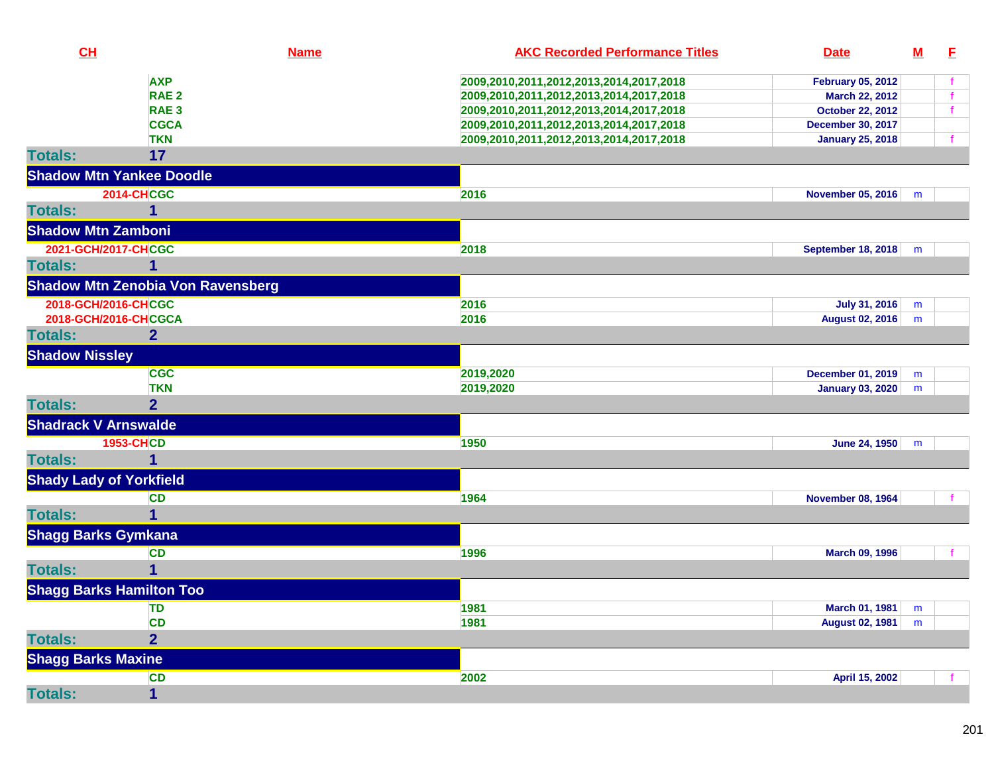| CH                              |                                          | <b>Name</b> | <b>AKC Recorded Performance Titles</b>  | <b>Date</b>               | $\underline{\mathbf{M}}$ | E            |
|---------------------------------|------------------------------------------|-------------|-----------------------------------------|---------------------------|--------------------------|--------------|
|                                 | <b>AXP</b>                               |             | 2009,2010,2011,2012,2013,2014,2017,2018 | <b>February 05, 2012</b>  |                          |              |
|                                 | RAE <sub>2</sub>                         |             | 2009,2010,2011,2012,2013,2014,2017,2018 | March 22, 2012            |                          | $\mathbf{f}$ |
|                                 | RAE <sub>3</sub>                         |             | 2009,2010,2011,2012,2013,2014,2017,2018 | <b>October 22, 2012</b>   |                          | $\mathbf{f}$ |
|                                 | <b>CGCA</b>                              |             | 2009,2010,2011,2012,2013,2014,2017,2018 | <b>December 30, 2017</b>  |                          |              |
|                                 | <b>TKN</b>                               |             | 2009,2010,2011,2012,2013,2014,2017,2018 | <b>January 25, 2018</b>   |                          |              |
| <b>Totals:</b>                  | 17                                       |             |                                         |                           |                          |              |
| <b>Shadow Mtn Yankee Doodle</b> |                                          |             |                                         |                           |                          |              |
|                                 | <b>2014-CHCGC</b>                        |             | 2016                                    | <b>November 05, 2016</b>  | m                        |              |
| <b>Totals:</b>                  | 1                                        |             |                                         |                           |                          |              |
| <b>Shadow Mtn Zamboni</b>       |                                          |             |                                         |                           |                          |              |
| 2021-GCH/2017-CHCGC             |                                          |             | 2018                                    | <b>September 18, 2018</b> | m                        |              |
| <b>Totals:</b>                  | $\overline{\mathbf{1}}$                  |             |                                         |                           |                          |              |
|                                 | <b>Shadow Mtn Zenobia Von Ravensberg</b> |             |                                         |                           |                          |              |
| 2018-GCH/2016-CHCGC             |                                          |             | 2016                                    | <b>July 31, 2016</b>      | m                        |              |
| 2018-GCH/2016-CHCGCA            |                                          |             | 2016                                    | <b>August 02, 2016</b>    | m                        |              |
| <b>Totals:</b>                  | $\overline{2}$                           |             |                                         |                           |                          |              |
| <b>Shadow Nissley</b>           |                                          |             |                                         |                           |                          |              |
|                                 | <b>CGC</b>                               |             | 2019,2020                               | <b>December 01, 2019</b>  | m                        |              |
|                                 | <b>TKN</b>                               |             | 2019,2020                               | <b>January 03, 2020</b>   | m                        |              |
| <b>Totals:</b>                  | $\overline{2}$                           |             |                                         |                           |                          |              |
| <b>Shadrack V Arnswalde</b>     |                                          |             |                                         |                           |                          |              |
|                                 | <b>1953-CHCD</b>                         |             | 1950                                    | June 24, 1950             | m                        |              |
| <b>Totals:</b>                  | 1                                        |             |                                         |                           |                          |              |
| <b>Shady Lady of Yorkfield</b>  |                                          |             |                                         |                           |                          |              |
|                                 | <b>CD</b>                                |             | 1964                                    | <b>November 08, 1964</b>  |                          |              |
| <b>Totals:</b>                  | $\overline{1}$                           |             |                                         |                           |                          |              |
| <b>Shagg Barks Gymkana</b>      |                                          |             |                                         |                           |                          |              |
|                                 | <b>CD</b>                                |             | 1996                                    | March 09, 1996            |                          |              |
| <b>Totals:</b>                  | 1                                        |             |                                         |                           |                          |              |
| <b>Shagg Barks Hamilton Too</b> |                                          |             |                                         |                           |                          |              |
|                                 | TD                                       |             | 1981                                    | <b>March 01, 1981</b>     | m                        |              |
|                                 | <b>CD</b>                                |             | 1981                                    | <b>August 02, 1981</b>    | m                        |              |
| <b>Totals:</b>                  | $\overline{2}$                           |             |                                         |                           |                          |              |
| <b>Shagg Barks Maxine</b>       |                                          |             |                                         |                           |                          |              |
|                                 | <b>CD</b>                                |             | 2002                                    | April 15, 2002            |                          |              |
| <b>Totals:</b>                  | $\mathbf{1}$                             |             |                                         |                           |                          |              |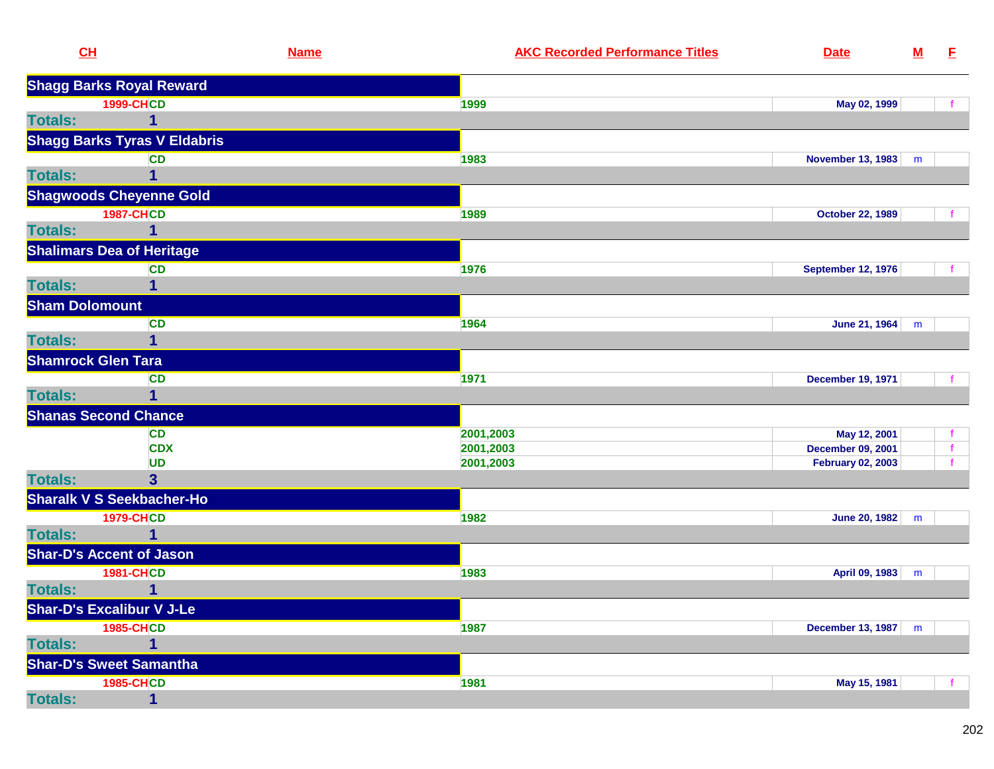|                | CL                                  | <b>Name</b> | <b>AKC Recorded Performance Titles</b> | <b>Date</b>               | ${\bf M}$ | E |
|----------------|-------------------------------------|-------------|----------------------------------------|---------------------------|-----------|---|
|                | <b>Shagg Barks Royal Reward</b>     |             |                                        |                           |           |   |
|                | <b>1999-CHCD</b>                    |             | 1999                                   | May 02, 1999              |           |   |
| <b>Totals:</b> | 1                                   |             |                                        |                           |           |   |
|                | <b>Shagg Barks Tyras V Eldabris</b> |             |                                        |                           |           |   |
|                | <b>CD</b>                           |             | 1983                                   | November 13, 1983         | m         |   |
| <b>Totals:</b> | 1                                   |             |                                        |                           |           |   |
|                | <b>Shagwoods Cheyenne Gold</b>      |             |                                        |                           |           |   |
|                | <b>1987-CHCD</b>                    |             | 1989                                   | <b>October 22, 1989</b>   |           |   |
| <b>Totals:</b> | 1                                   |             |                                        |                           |           |   |
|                | <b>Shalimars Dea of Heritage</b>    |             |                                        |                           |           |   |
|                | <b>CD</b>                           |             | 1976                                   | <b>September 12, 1976</b> |           |   |
| <b>Totals:</b> | 1                                   |             |                                        |                           |           |   |
|                | <b>Sham Dolomount</b>               |             |                                        |                           |           |   |
|                | <b>CD</b>                           |             | 1964                                   | June 21, 1964             | m         |   |
| <b>Totals:</b> | $\mathbf{1}$                        |             |                                        |                           |           |   |
|                | <b>Shamrock Glen Tara</b>           |             |                                        |                           |           |   |
|                | <b>CD</b>                           |             | 1971                                   | <b>December 19, 1971</b>  |           |   |
| <b>Totals:</b> | $\mathbf 1$                         |             |                                        |                           |           |   |
|                | <b>Shanas Second Chance</b>         |             |                                        |                           |           |   |
|                | <b>CD</b>                           |             | 2001,2003                              | May 12, 2001              |           |   |
|                | <b>CDX</b>                          |             | 2001,2003                              | <b>December 09, 2001</b>  |           |   |
|                | <b>UD</b>                           |             | 2001,2003                              | <b>February 02, 2003</b>  |           |   |
| <b>Totals:</b> | $\overline{\mathbf{3}}$             |             |                                        |                           |           |   |
|                | <b>Sharalk V S Seekbacher-Ho</b>    |             |                                        |                           |           |   |
|                | <b>1979-CHCD</b>                    |             | 1982                                   | June 20, 1982             | m         |   |
| <b>Totals:</b> | 1                                   |             |                                        |                           |           |   |
|                | <b>Shar-D's Accent of Jason</b>     |             |                                        |                           |           |   |
|                | <b>1981-CHCD</b>                    |             | 1983                                   | April 09, 1983            | m         |   |
| <b>Totals:</b> | 1                                   |             |                                        |                           |           |   |
|                | <b>Shar-D's Excalibur V J-Le</b>    |             |                                        |                           |           |   |
|                | <b>1985-CHCD</b>                    |             | 1987                                   | December 13, 1987         | m         |   |
| <b>Totals:</b> | 1                                   |             |                                        |                           |           |   |
|                | <b>Shar-D's Sweet Samantha</b>      |             |                                        |                           |           |   |
|                | <b>1985-CHCD</b>                    |             | 1981                                   | May 15, 1981              |           |   |
| <b>Totals:</b> | 1                                   |             |                                        |                           |           |   |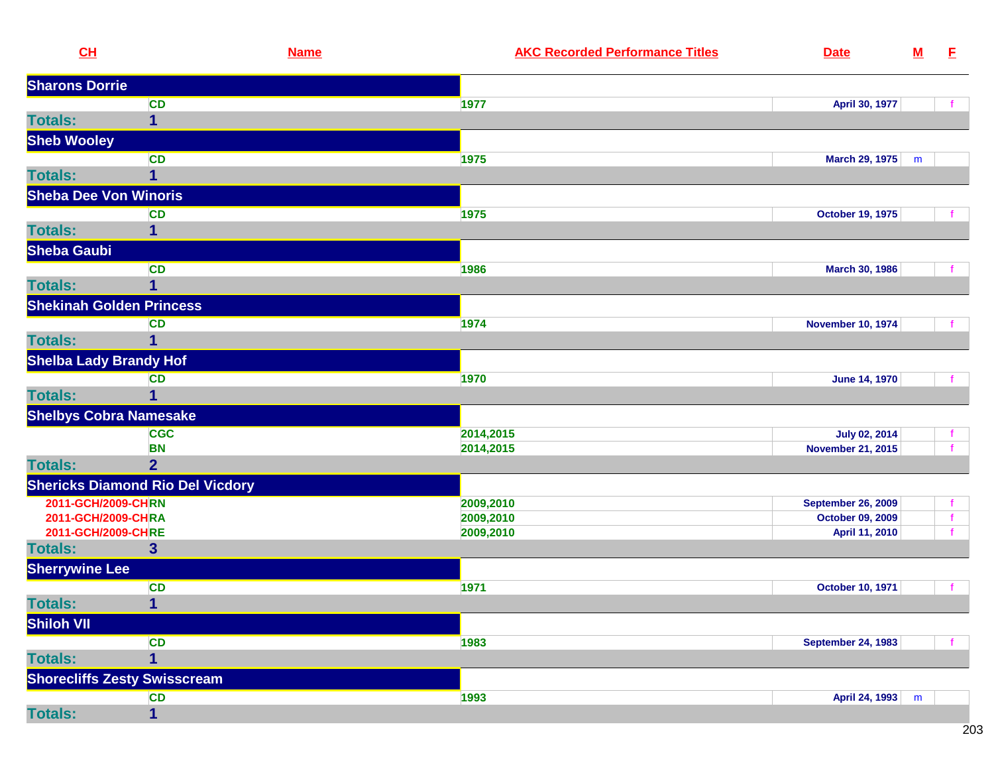| CL                           |                                         | <b>Name</b> | <b>AKC Recorded Performance Titles</b> | <b>Date</b>               | ${\bf M}$ | E            |
|------------------------------|-----------------------------------------|-------------|----------------------------------------|---------------------------|-----------|--------------|
| <b>Sharons Dorrie</b>        |                                         |             |                                        |                           |           |              |
|                              | <b>CD</b>                               |             | 1977                                   | April 30, 1977            |           |              |
| <b>Totals:</b>               | $\mathbf{1}$                            |             |                                        |                           |           |              |
| <b>Sheb Wooley</b>           |                                         |             |                                        |                           |           |              |
|                              | <b>CD</b>                               |             | 1975                                   | <b>March 29, 1975</b>     | m         |              |
| <b>Totals:</b>               | 1                                       |             |                                        |                           |           |              |
| <b>Sheba Dee Von Winoris</b> |                                         |             |                                        |                           |           |              |
|                              | <b>CD</b>                               |             | 1975                                   | <b>October 19, 1975</b>   |           |              |
| <b>Totals:</b>               | 1                                       |             |                                        |                           |           |              |
| Sheba Gaubi                  |                                         |             |                                        |                           |           |              |
|                              | <b>CD</b>                               |             | 1986                                   | March 30, 1986            |           |              |
| <b>Totals:</b>               | $\overline{1}$                          |             |                                        |                           |           |              |
|                              | <b>Shekinah Golden Princess</b>         |             |                                        |                           |           |              |
|                              | <b>CD</b>                               |             | 1974                                   | <b>November 10, 1974</b>  |           |              |
| <b>Totals:</b>               | 1                                       |             |                                        |                           |           |              |
|                              | <b>Shelba Lady Brandy Hof</b>           |             |                                        |                           |           |              |
|                              | <b>CD</b>                               |             | 1970                                   | <b>June 14, 1970</b>      |           |              |
| <b>Totals:</b>               | 1                                       |             |                                        |                           |           |              |
|                              | <b>Shelbys Cobra Namesake</b>           |             |                                        |                           |           |              |
|                              | <b>CGC</b>                              |             | 2014,2015                              | <b>July 02, 2014</b>      |           |              |
|                              | <b>BN</b>                               |             | 2014,2015                              | <b>November 21, 2015</b>  |           |              |
| <b>Totals:</b>               | $\overline{2}$                          |             |                                        |                           |           |              |
|                              | <b>Shericks Diamond Rio Del Vicdory</b> |             |                                        |                           |           |              |
| 2011-GCH/2009-CHRN           |                                         |             | 2009,2010                              | <b>September 26, 2009</b> |           |              |
| 2011-GCH/2009-CHRA           |                                         |             | 2009,2010                              | October 09, 2009          |           | $\mathbf{f}$ |
| 2011-GCH/2009-CHRE           |                                         |             | 2009,2010                              | April 11, 2010            |           |              |
| <b>Totals:</b>               | 3                                       |             |                                        |                           |           |              |
| <b>Sherrywine Lee</b>        |                                         |             |                                        |                           |           |              |
|                              | <b>CD</b>                               |             | 1971                                   | <b>October 10, 1971</b>   |           |              |
| <b>Totals:</b>               | $\mathbf{1}$                            |             |                                        |                           |           |              |
| <b>Shiloh VII</b>            |                                         |             |                                        |                           |           |              |
|                              | <b>CD</b>                               |             | 1983                                   | <b>September 24, 1983</b> |           |              |
| <b>Totals:</b>               | $\mathbf{1}$                            |             |                                        |                           |           |              |
|                              | <b>Shorecliffs Zesty Swisscream</b>     |             |                                        |                           |           |              |
|                              | <b>CD</b>                               |             | 1993                                   | April 24, 1993            | m         |              |
| <b>Totals:</b>               | $\mathbf{1}$                            |             |                                        |                           |           |              |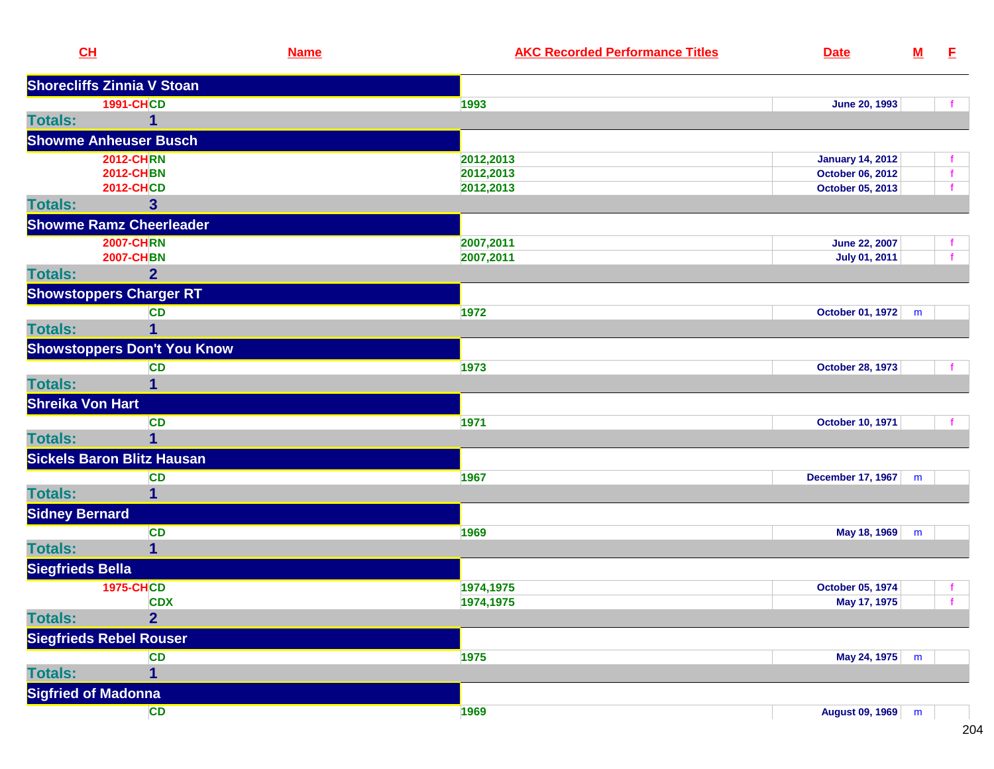| CL                      |                                    | <b>Name</b> | <b>AKC Recorded Performance Titles</b> | <b>Date</b>              | ${\bf M}$ | E |
|-------------------------|------------------------------------|-------------|----------------------------------------|--------------------------|-----------|---|
|                         | <b>Shorecliffs Zinnia V Stoan</b>  |             |                                        |                          |           |   |
|                         | <b>1991-CHCD</b>                   |             | 1993                                   | <b>June 20, 1993</b>     |           |   |
| <b>Totals:</b>          | 1                                  |             |                                        |                          |           |   |
|                         | <b>Showme Anheuser Busch</b>       |             |                                        |                          |           |   |
|                         | <b>2012-CHRN</b>                   |             | 2012,2013                              | <b>January 14, 2012</b>  |           |   |
|                         | <b>2012-CHBN</b>                   |             | 2012,2013                              | October 06, 2012         |           |   |
|                         | <b>2012-CHCD</b>                   |             | 2012,2013                              | October 05, 2013         |           |   |
| <b>Totals:</b>          | $\overline{\mathbf{3}}$            |             |                                        |                          |           |   |
|                         | <b>Showme Ramz Cheerleader</b>     |             |                                        |                          |           |   |
|                         | <b>2007-CHRN</b>                   |             | 2007,2011                              | <b>June 22, 2007</b>     |           |   |
|                         | <b>2007-CHBN</b>                   |             | 2007,2011                              | <b>July 01, 2011</b>     |           |   |
| <b>Totals:</b>          | $\overline{2}$                     |             |                                        |                          |           |   |
|                         | <b>Showstoppers Charger RT</b>     |             |                                        |                          |           |   |
|                         | <b>CD</b>                          |             | 1972                                   | October 01, 1972         | m         |   |
| <b>Totals:</b>          | 1                                  |             |                                        |                          |           |   |
|                         | <b>Showstoppers Don't You Know</b> |             |                                        |                          |           |   |
|                         | <b>CD</b>                          |             | 1973                                   | <b>October 28, 1973</b>  |           |   |
| <b>Totals:</b>          | 1                                  |             |                                        |                          |           |   |
| <b>Shreika Von Hart</b> |                                    |             |                                        |                          |           |   |
|                         | <b>CD</b>                          |             | 1971                                   | <b>October 10, 1971</b>  |           |   |
| <b>Totals:</b>          | $\overline{1}$                     |             |                                        |                          |           |   |
|                         | <b>Sickels Baron Blitz Hausan</b>  |             |                                        |                          |           |   |
|                         | <b>CD</b>                          |             | 1967                                   | <b>December 17, 1967</b> | m         |   |
| <b>Totals:</b>          | 1                                  |             |                                        |                          |           |   |
| <b>Sidney Bernard</b>   |                                    |             |                                        |                          |           |   |
|                         | <b>CD</b>                          |             | 1969                                   | May 18, 1969 m           |           |   |
| <b>Totals:</b>          | 1                                  |             |                                        |                          |           |   |
| <b>Siegfrieds Bella</b> |                                    |             |                                        |                          |           |   |
|                         | <b>1975-CHCD</b>                   |             | 1974,1975                              | October 05, 1974         |           |   |
|                         | <b>CDX</b>                         |             | 1974,1975                              | May 17, 1975             |           |   |
| <b>Totals:</b>          | $\overline{2}$                     |             |                                        |                          |           |   |
|                         | <b>Siegfrieds Rebel Rouser</b>     |             |                                        |                          |           |   |
|                         | <b>CD</b>                          |             | 1975                                   | May 24, 1975 m           |           |   |
| <b>Totals:</b>          | 1                                  |             |                                        |                          |           |   |
|                         | <b>Sigfried of Madonna</b>         |             |                                        |                          |           |   |
|                         | CD                                 |             | 1969                                   | August 09, 1969 m        |           |   |
|                         |                                    |             |                                        |                          |           |   |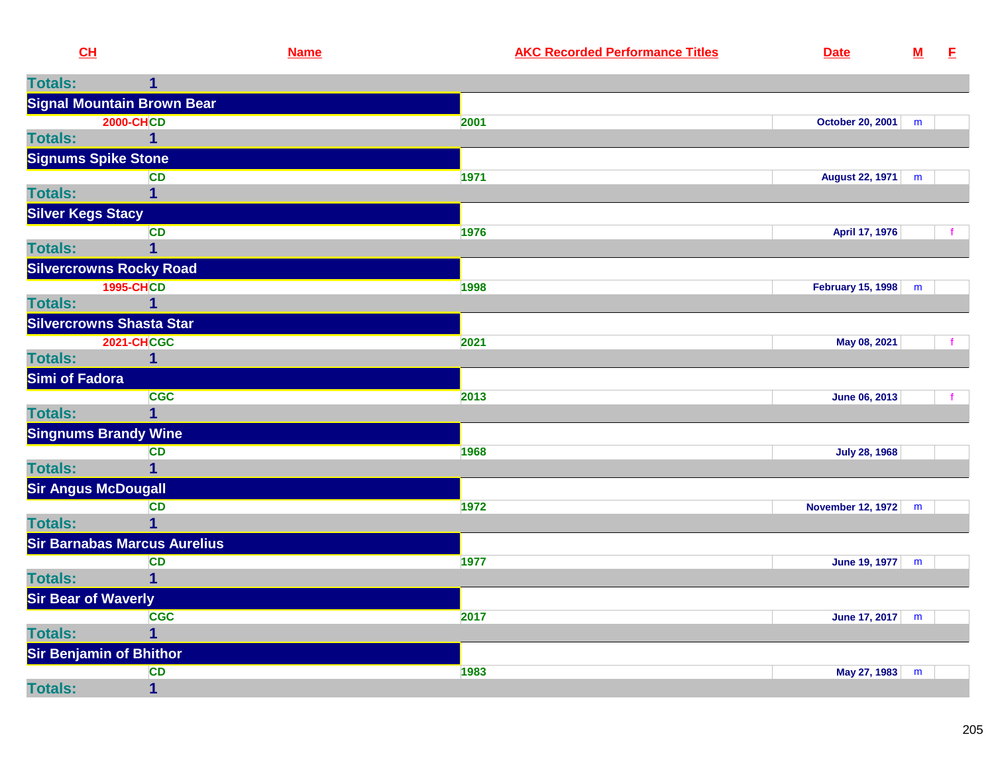|                | CH                                    | <b>Name</b> | <b>AKC Recorded Performance Titles</b> | <b>Date</b>            | ${\bf M}$ | E |
|----------------|---------------------------------------|-------------|----------------------------------------|------------------------|-----------|---|
| <b>Totals:</b> | 1                                     |             |                                        |                        |           |   |
|                | <b>Signal Mountain Brown Bear</b>     |             |                                        |                        |           |   |
|                | <b>2000-CHCD</b>                      |             | 2001                                   | October 20, 2001   m   |           |   |
| <b>Totals:</b> | 1                                     |             |                                        |                        |           |   |
|                | <b>Signums Spike Stone</b>            |             |                                        |                        |           |   |
|                | <b>CD</b>                             |             | 1971                                   | <b>August 22, 1971</b> | m         |   |
| <b>Totals:</b> |                                       |             |                                        |                        |           |   |
|                | <b>Silver Kegs Stacy</b><br><b>CD</b> |             | 1976                                   | April 17, 1976         |           |   |
| <b>Totals:</b> | 1                                     |             |                                        |                        |           |   |
|                | <b>Silvercrowns Rocky Road</b>        |             |                                        |                        |           |   |
|                | <b>1995-CHCD</b>                      |             | 1998                                   | February 15, 1998 m    |           |   |
| <b>Totals:</b> |                                       |             |                                        |                        |           |   |
|                | <b>Silvercrowns Shasta Star</b>       |             |                                        |                        |           |   |
|                | <b>2021-CHCGC</b>                     |             | 2021                                   | May 08, 2021           |           |   |
| <b>Totals:</b> | $\mathbf{1}$                          |             |                                        |                        |           |   |
| Simi of Fadora |                                       |             |                                        |                        |           |   |
| <b>Totals:</b> | <b>CGC</b><br>1                       |             | 2013                                   | June 06, 2013          |           |   |
|                | <b>Singnums Brandy Wine</b>           |             |                                        |                        |           |   |
|                | <b>CD</b>                             |             | 1968                                   | <b>July 28, 1968</b>   |           |   |
| <b>Totals:</b> | 1                                     |             |                                        |                        |           |   |
|                | <b>Sir Angus McDougall</b>            |             |                                        |                        |           |   |
|                | <b>CD</b>                             |             | 1972                                   | November 12, 1972 m    |           |   |
| <b>Totals:</b> | $\mathbf 1$                           |             |                                        |                        |           |   |
|                | <b>Sir Barnabas Marcus Aurelius</b>   |             |                                        |                        |           |   |
| <b>Totals:</b> | <b>CD</b>                             |             | 1977                                   | June 19, 1977   m      |           |   |
|                | <b>Sir Bear of Waverly</b>            |             |                                        |                        |           |   |
|                | <b>CGC</b>                            |             | 2017                                   | June 17, 2017   m      |           |   |
| <b>Totals:</b> | 1                                     |             |                                        |                        |           |   |
|                | <b>Sir Benjamin of Bhithor</b>        |             |                                        |                        |           |   |
|                | <b>CD</b>                             |             | 1983                                   | May 27, 1983 m         |           |   |
| <b>Totals:</b> | $\mathbf 1$                           |             |                                        |                        |           |   |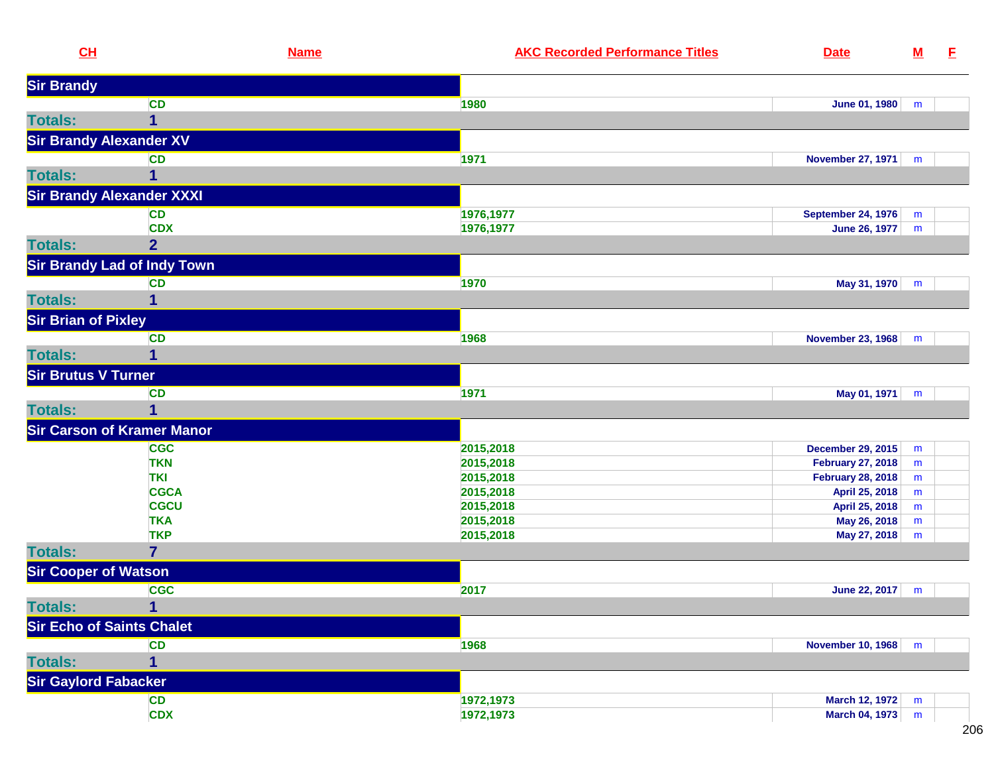| CL                               | <b>Name</b>                        | <b>AKC Recorded Performance Titles</b> | <b>Date</b>               | $\underline{\mathsf{M}}$ | E |
|----------------------------------|------------------------------------|----------------------------------------|---------------------------|--------------------------|---|
| <b>Sir Brandy</b>                |                                    |                                        |                           |                          |   |
|                                  | <b>CD</b>                          | 1980                                   | <b>June 01, 1980</b>      | m                        |   |
| <b>Totals:</b>                   | $\overline{1}$                     |                                        |                           |                          |   |
| <b>Sir Brandy Alexander XV</b>   |                                    |                                        |                           |                          |   |
|                                  | <b>CD</b>                          | 1971                                   | <b>November 27, 1971</b>  | m                        |   |
| <b>Totals:</b>                   | 1                                  |                                        |                           |                          |   |
|                                  | <b>Sir Brandy Alexander XXXI</b>   |                                        |                           |                          |   |
|                                  | <b>CD</b>                          |                                        | <b>September 24, 1976</b> |                          |   |
|                                  | <b>CDX</b>                         | 1976,1977<br>1976,1977                 | June 26, 1977             | m<br>m                   |   |
| <b>Totals:</b>                   | $\overline{2}$                     |                                        |                           |                          |   |
|                                  | <b>Sir Brandy Lad of Indy Town</b> |                                        |                           |                          |   |
|                                  |                                    |                                        |                           |                          |   |
| <b>Totals:</b>                   | <b>CD</b>                          | 1970                                   | May 31, 1970              | m                        |   |
|                                  | 1                                  |                                        |                           |                          |   |
| <b>Sir Brian of Pixley</b>       |                                    |                                        |                           |                          |   |
|                                  | <b>CD</b>                          | 1968                                   | November 23, 1968         | m                        |   |
| <b>Totals:</b>                   | $\mathbf{1}$                       |                                        |                           |                          |   |
| <b>Sir Brutus V Turner</b>       |                                    |                                        |                           |                          |   |
|                                  | CD                                 | 1971                                   | May 01, 1971              | m                        |   |
| <b>Totals:</b>                   | 1                                  |                                        |                           |                          |   |
|                                  | <b>Sir Carson of Kramer Manor</b>  |                                        |                           |                          |   |
|                                  | <b>CGC</b>                         | 2015,2018                              | <b>December 29, 2015</b>  | m                        |   |
|                                  | <b>TKN</b>                         | 2015,2018                              | <b>February 27, 2018</b>  | m                        |   |
|                                  | <b>TKI</b>                         | 2015,2018                              | <b>February 28, 2018</b>  | ${\sf m}$                |   |
|                                  | <b>CGCA</b>                        | 2015,2018                              | April 25, 2018            | ${\sf m}$                |   |
|                                  | <b>CGCU</b>                        | 2015,2018                              | April 25, 2018            | ${\sf m}$                |   |
|                                  | <b>TKA</b>                         | 2015,2018                              | May 26, 2018              | ${\sf m}$                |   |
|                                  | <b>TKP</b>                         | 2015,2018                              | May 27, 2018              | m                        |   |
| <b>Totals:</b>                   | $\overline{7}$                     |                                        |                           |                          |   |
| <b>Sir Cooper of Watson</b>      |                                    |                                        |                           |                          |   |
|                                  | <b>CGC</b>                         | 2017                                   | June 22, 2017             | m                        |   |
| <b>Totals:</b>                   | $\mathbf 1$                        |                                        |                           |                          |   |
| <b>Sir Echo of Saints Chalet</b> |                                    |                                        |                           |                          |   |
|                                  | <b>CD</b>                          | 1968                                   | <b>November 10, 1968</b>  | m                        |   |
| <b>Totals:</b>                   | 1                                  |                                        |                           |                          |   |
| <b>Sir Gaylord Fabacker</b>      |                                    |                                        |                           |                          |   |
|                                  | <b>CD</b>                          | 1972,1973                              | <b>March 12, 1972</b>     | m                        |   |
|                                  | <b>CDX</b>                         | 1972,1973                              | <b>March 04, 1973</b>     | ${\sf m}$                |   |
|                                  |                                    |                                        |                           |                          |   |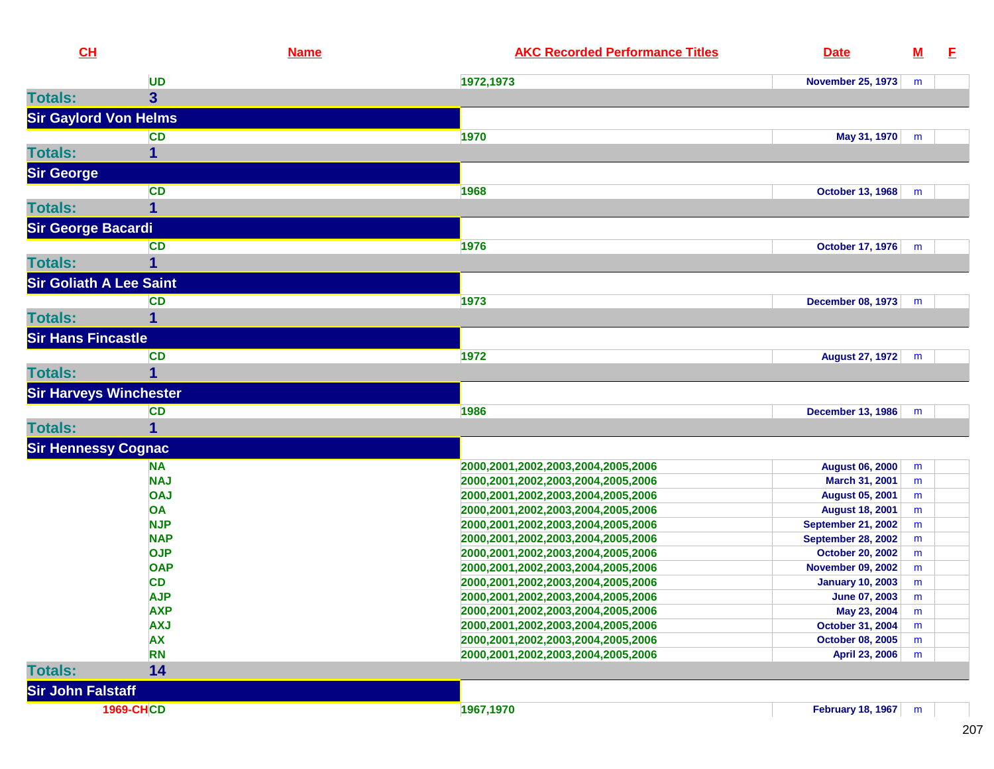| CL                             |                           | <b>Name</b> | <b>AKC Recorded Performance Titles</b>                                   | <b>Date</b>                                            | ${\bf M}$ | E |
|--------------------------------|---------------------------|-------------|--------------------------------------------------------------------------|--------------------------------------------------------|-----------|---|
|                                | <b>UD</b>                 |             | 1972,1973                                                                | <b>November 25, 1973</b>                               | m         |   |
| <b>Totals:</b>                 | $\overline{3}$            |             |                                                                          |                                                        |           |   |
| <b>Sir Gaylord Von Helms</b>   |                           |             |                                                                          |                                                        |           |   |
|                                | <b>CD</b>                 |             | 1970                                                                     | May 31, 1970                                           | m         |   |
| <b>Totals:</b>                 | 1                         |             |                                                                          |                                                        |           |   |
| <b>Sir George</b>              |                           |             |                                                                          |                                                        |           |   |
|                                | CD                        |             | 1968                                                                     | <b>October 13, 1968</b>                                | m         |   |
| <b>Totals:</b>                 | 1                         |             |                                                                          |                                                        |           |   |
| <b>Sir George Bacardi</b>      |                           |             |                                                                          |                                                        |           |   |
|                                | <b>CD</b>                 |             | 1976                                                                     | <b>October 17, 1976</b>                                | m         |   |
| <b>Totals:</b>                 | 1                         |             |                                                                          |                                                        |           |   |
| <b>Sir Goliath A Lee Saint</b> |                           |             |                                                                          |                                                        |           |   |
|                                | <b>CD</b>                 |             | 1973                                                                     | <b>December 08, 1973</b>                               | m         |   |
| <b>Totals:</b>                 | 1                         |             |                                                                          |                                                        |           |   |
| <b>Sir Hans Fincastle</b>      |                           |             |                                                                          |                                                        |           |   |
|                                |                           |             |                                                                          |                                                        |           |   |
| <b>Totals:</b>                 | <b>CD</b><br>$\mathbf{1}$ |             | 1972                                                                     | <b>August 27, 1972</b>                                 | m         |   |
|                                |                           |             |                                                                          |                                                        |           |   |
| <b>Sir Harveys Winchester</b>  |                           |             |                                                                          |                                                        |           |   |
|                                | <b>CD</b>                 |             | 1986                                                                     | <b>December 13, 1986</b>                               | m         |   |
| <b>Totals:</b>                 | 1                         |             |                                                                          |                                                        |           |   |
| <b>Sir Hennessy Cognac</b>     |                           |             |                                                                          |                                                        |           |   |
|                                | <b>NA</b>                 |             | 2000,2001,2002,2003,2004,2005,2006                                       | <b>August 06, 2000</b>                                 | m         |   |
|                                | <b>NAJ</b>                |             | 2000,2001,2002,2003,2004,2005,2006                                       | March 31, 2001                                         | m         |   |
|                                | <b>OAJ</b>                |             | 2000,2001,2002,2003,2004,2005,2006                                       | <b>August 05, 2001</b>                                 | m         |   |
|                                | OA<br><b>NJP</b>          |             | 2000,2001,2002,2003,2004,2005,2006                                       | <b>August 18, 2001</b>                                 | m         |   |
|                                | <b>NAP</b>                |             | 2000,2001,2002,2003,2004,2005,2006<br>2000,2001,2002,2003,2004,2005,2006 | <b>September 21, 2002</b><br><b>September 28, 2002</b> | m<br>m    |   |
|                                | <b>OJP</b>                |             | 2000,2001,2002,2003,2004,2005,2006                                       | <b>October 20, 2002</b>                                | m         |   |
|                                | <b>OAP</b>                |             | 2000,2001,2002,2003,2004,2005,2006                                       | <b>November 09, 2002</b>                               | m         |   |
|                                | <b>CD</b>                 |             | 2000,2001,2002,2003,2004,2005,2006                                       | <b>January 10, 2003</b>                                | m         |   |
|                                | <b>AJP</b>                |             | 2000, 2001, 2002, 2003, 2004, 2005, 2006                                 | June 07, 2003                                          | m         |   |
|                                | <b>AXP</b>                |             | 2000, 2001, 2002, 2003, 2004, 2005, 2006                                 | May 23, 2004                                           | m         |   |
|                                | <b>AXJ</b>                |             | 2000,2001,2002,2003,2004,2005,2006                                       | October 31, 2004                                       | m         |   |
|                                | <b>AX</b>                 |             | 2000,2001,2002,2003,2004,2005,2006                                       | <b>October 08, 2005</b>                                | m         |   |
|                                | <b>RN</b>                 |             | 2000,2001,2002,2003,2004,2005,2006                                       | April 23, 2006                                         | m         |   |
| <b>Totals:</b>                 | 14                        |             |                                                                          |                                                        |           |   |
| <b>Sir John Falstaff</b>       |                           |             |                                                                          |                                                        |           |   |
|                                | <b>1969-CHCD</b>          |             | 1967,1970                                                                | <b>February 18, 1967</b>                               | m         |   |
|                                |                           |             |                                                                          |                                                        |           |   |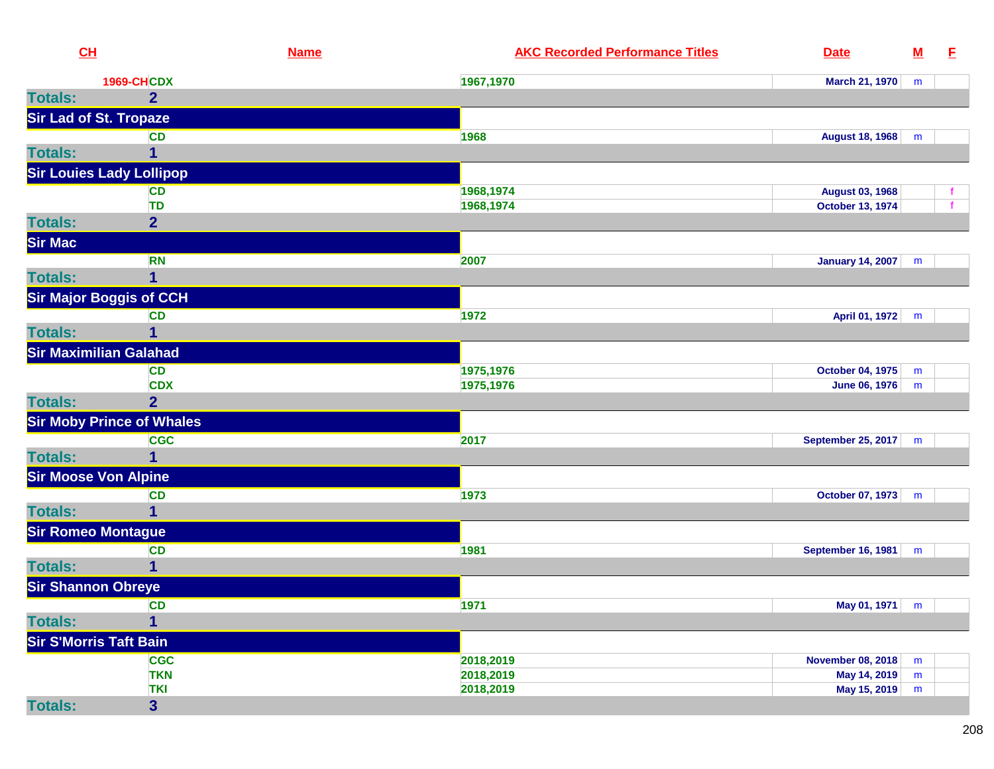| CH                              |                                  | <b>Name</b> | <b>AKC Recorded Performance Titles</b> | <b>Date</b>               | $\underline{\mathsf{M}}$ | E |
|---------------------------------|----------------------------------|-------------|----------------------------------------|---------------------------|--------------------------|---|
|                                 | <b>1969-CHCDX</b>                |             | 1967,1970                              | <b>March 21, 1970</b>     | m                        |   |
| <b>Totals:</b>                  | $\overline{2}$                   |             |                                        |                           |                          |   |
| <b>Sir Lad of St. Tropaze</b>   |                                  |             |                                        |                           |                          |   |
|                                 | <b>CD</b>                        |             | 1968                                   | <b>August 18, 1968</b>    | m                        |   |
| <b>Totals:</b>                  | 1                                |             |                                        |                           |                          |   |
| <b>Sir Louies Lady Lollipop</b> |                                  |             |                                        |                           |                          |   |
|                                 | <b>CD</b>                        |             | 1968,1974                              | <b>August 03, 1968</b>    |                          |   |
|                                 | <b>TD</b>                        |             | 1968,1974                              | October 13, 1974          |                          |   |
| <b>Totals:</b>                  | $\overline{2}$                   |             |                                        |                           |                          |   |
| <b>Sir Mac</b>                  |                                  |             |                                        |                           |                          |   |
|                                 | <b>RN</b>                        |             | 2007                                   | January 14, 2007          | m                        |   |
| <b>Totals:</b>                  | 1                                |             |                                        |                           |                          |   |
|                                 | <b>Sir Major Boggis of CCH</b>   |             |                                        |                           |                          |   |
|                                 | <b>CD</b>                        |             | 1972                                   | April 01, 1972            | m                        |   |
| <b>Totals:</b>                  | 1                                |             |                                        |                           |                          |   |
| <b>Sir Maximilian Galahad</b>   |                                  |             |                                        |                           |                          |   |
|                                 | <b>CD</b>                        |             | 1975,1976                              | <b>October 04, 1975</b>   | m                        |   |
|                                 | <b>CDX</b>                       |             | 1975,1976                              | <b>June 06, 1976</b>      | m                        |   |
| <b>Totals:</b>                  | $\overline{2}$                   |             |                                        |                           |                          |   |
|                                 | <b>Sir Moby Prince of Whales</b> |             |                                        |                           |                          |   |
|                                 | <b>CGC</b>                       |             | 2017                                   | September 25, 2017        | m                        |   |
| <b>Totals:</b>                  | 1                                |             |                                        |                           |                          |   |
| <b>Sir Moose Von Alpine</b>     |                                  |             |                                        |                           |                          |   |
|                                 | <b>CD</b>                        |             | 1973                                   | October 07, 1973          | m                        |   |
| <b>Totals:</b>                  | 1                                |             |                                        |                           |                          |   |
| <b>Sir Romeo Montague</b>       |                                  |             |                                        |                           |                          |   |
|                                 | <b>CD</b>                        |             | 1981                                   | <b>September 16, 1981</b> | m                        |   |
| <b>Totals:</b>                  | 1                                |             |                                        |                           |                          |   |
| <b>Sir Shannon Obreye</b>       |                                  |             |                                        |                           |                          |   |
|                                 | CD                               |             | 1971                                   | May 01, 1971 m            |                          |   |
| <b>Totals:</b>                  | $\overline{\mathbf{1}}$          |             |                                        |                           |                          |   |
| <b>Sir S'Morris Taft Bain</b>   |                                  |             |                                        |                           |                          |   |
|                                 | <b>CGC</b>                       |             | 2018,2019                              | <b>November 08, 2018</b>  | m                        |   |
|                                 | <b>TKN</b>                       |             | 2018,2019                              | May 14, 2019              | m                        |   |
|                                 | <b>TKI</b>                       |             | 2018,2019                              | May 15, 2019              | m                        |   |
| <b>Totals:</b>                  | $\mathbf{3}$                     |             |                                        |                           |                          |   |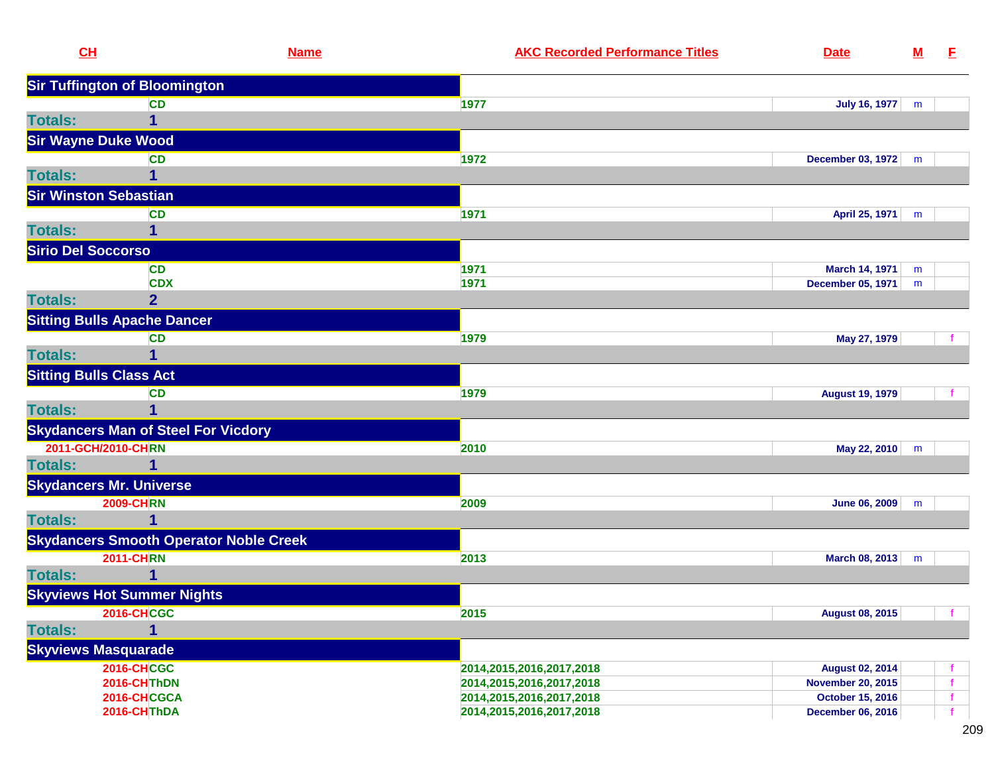| CH                             | <b>Name</b>                                   | <b>AKC Recorded Performance Titles</b><br><b>Date</b>    | $\underline{\mathsf{M}}$ | E. |
|--------------------------------|-----------------------------------------------|----------------------------------------------------------|--------------------------|----|
|                                | <b>Sir Tuffington of Bloomington</b>          |                                                          |                          |    |
|                                | <b>CD</b>                                     | 1977<br><b>July 16, 1977</b>                             | m                        |    |
| <b>Totals:</b>                 | 1                                             |                                                          |                          |    |
| <b>Sir Wayne Duke Wood</b>     |                                               |                                                          |                          |    |
|                                | <b>CD</b>                                     | 1972<br>December 03, 1972                                | m                        |    |
| <b>Totals:</b>                 |                                               |                                                          |                          |    |
| <b>Sir Winston Sebastian</b>   |                                               |                                                          |                          |    |
|                                | <b>CD</b>                                     | 1971<br>April 25, 1971                                   | m                        |    |
| <b>Totals:</b>                 | 1                                             |                                                          |                          |    |
| <b>Sirio Del Soccorso</b>      |                                               |                                                          |                          |    |
|                                | <b>CD</b>                                     | 1971<br><b>March 14, 1971</b>                            | m                        |    |
|                                | <b>CDX</b>                                    | 1971<br>December 05, 1971                                | m                        |    |
| <b>Totals:</b>                 | $\overline{2}$                                |                                                          |                          |    |
|                                | <b>Sitting Bulls Apache Dancer</b>            |                                                          |                          |    |
|                                | <b>CD</b>                                     | 1979<br>May 27, 1979                                     |                          |    |
| <b>Totals:</b>                 | $\mathbf{1}$                                  |                                                          |                          |    |
| <b>Sitting Bulls Class Act</b> |                                               |                                                          |                          |    |
|                                | <b>CD</b>                                     | 1979<br><b>August 19, 1979</b>                           |                          |    |
| <b>Totals:</b>                 | 1                                             |                                                          |                          |    |
|                                | <b>Skydancers Man of Steel For Vicdory</b>    |                                                          |                          |    |
| 2011-GCH/2010-CHRN             |                                               | 2010<br>May 22, 2010                                     | m                        |    |
| <b>Totals:</b>                 | 1                                             |                                                          |                          |    |
| <b>Skydancers Mr. Universe</b> |                                               |                                                          |                          |    |
|                                | <b>2009-CHRN</b>                              | <b>June 06, 2009</b><br>2009                             | m                        |    |
| <b>Totals:</b>                 | 1                                             |                                                          |                          |    |
|                                | <b>Skydancers Smooth Operator Noble Creek</b> |                                                          |                          |    |
|                                | <b>2011-CHRN</b>                              | 2013<br>March 08, 2013                                   | m                        |    |
| <b>Totals:</b>                 |                                               |                                                          |                          |    |
|                                | <b>Skyviews Hot Summer Nights</b>             |                                                          |                          |    |
|                                | <b>2016-CHCGC</b>                             | 2015<br><b>August 08, 2015</b>                           |                          |    |
| <b>Totals:</b>                 |                                               |                                                          |                          |    |
| <b>Skyviews Masquarade</b>     |                                               |                                                          |                          |    |
|                                | <b>2016-CHCGC</b>                             | 2014,2015,2016,2017,2018<br><b>August 02, 2014</b>       |                          |    |
|                                | 2016-CHThDN                                   | <b>November 20, 2015</b><br>2014, 2015, 2016, 2017, 2018 |                          |    |
|                                | 2016-CHCGCA                                   | <b>October 15, 2016</b><br>2014, 2015, 2016, 2017, 2018  |                          |    |
|                                | 2016-CHThDA                                   | <b>December 06, 2016</b><br>2014,2015,2016,2017,2018     |                          |    |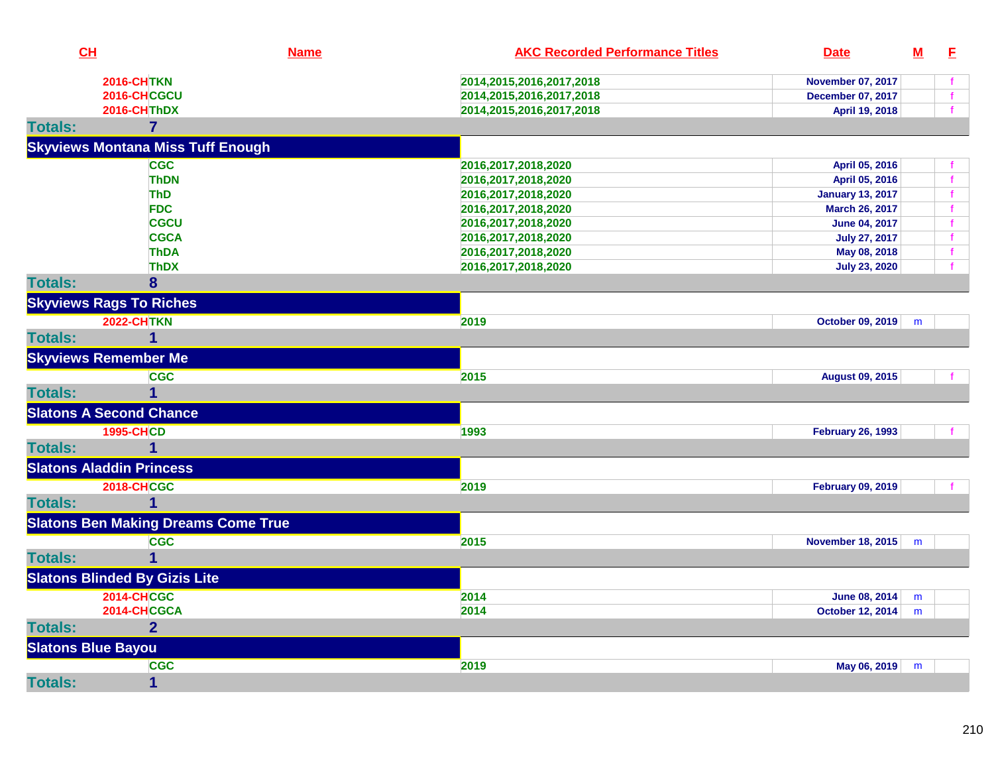| CH                        |                                            | <b>Name</b> | <b>AKC Recorded Performance Titles</b> | <b>Date</b>              | ${\bf M}$ | E            |
|---------------------------|--------------------------------------------|-------------|----------------------------------------|--------------------------|-----------|--------------|
|                           | <b>2016-CHTKN</b>                          |             | 2014, 2015, 2016, 2017, 2018           | <b>November 07, 2017</b> |           |              |
|                           | 2016-CHCGCU                                |             | 2014, 2015, 2016, 2017, 2018           | <b>December 07, 2017</b> |           | $\mathbf{f}$ |
|                           | 2016-CHThDX                                |             | 2014,2015,2016,2017,2018               | April 19, 2018           |           |              |
| <b>Totals:</b>            | $\overline{7}$                             |             |                                        |                          |           |              |
|                           | <b>Skyviews Montana Miss Tuff Enough</b>   |             |                                        |                          |           |              |
|                           | <b>CGC</b>                                 |             | 2016,2017,2018,2020                    | April 05, 2016           |           |              |
|                           | <b>ThDN</b>                                |             | 2016,2017,2018,2020                    | April 05, 2016           |           | $\mathbf f$  |
|                           | <b>ThD</b>                                 |             | 2016,2017,2018,2020                    | <b>January 13, 2017</b>  |           |              |
|                           | <b>FDC</b>                                 |             | 2016,2017,2018,2020                    | March 26, 2017           |           | $\mathbf f$  |
|                           | <b>CGCU</b>                                |             | 2016, 2017, 2018, 2020                 | <b>June 04, 2017</b>     |           | $\mathbf f$  |
|                           | <b>CGCA</b>                                |             | 2016, 2017, 2018, 2020                 | <b>July 27, 2017</b>     |           | $\mathbf f$  |
|                           | <b>ThDA</b>                                |             | 2016, 2017, 2018, 2020                 | May 08, 2018             |           | $\mathbf{f}$ |
|                           | <b>ThDX</b>                                |             | 2016, 2017, 2018, 2020                 | <b>July 23, 2020</b>     |           |              |
| <b>Totals:</b>            | 8                                          |             |                                        |                          |           |              |
|                           | <b>Skyviews Rags To Riches</b>             |             |                                        |                          |           |              |
|                           | <b>2022-CHTKN</b>                          |             | 2019                                   | October 09, 2019         | m         |              |
| <b>Totals:</b>            | 1                                          |             |                                        |                          |           |              |
|                           | <b>Skyviews Remember Me</b>                |             |                                        |                          |           |              |
|                           | <b>CGC</b>                                 |             | 2015                                   | <b>August 09, 2015</b>   |           |              |
| <b>Totals:</b>            |                                            |             |                                        |                          |           |              |
|                           | <b>Slatons A Second Chance</b>             |             |                                        |                          |           |              |
|                           | <b>1995-CHCD</b>                           |             | 1993                                   | <b>February 26, 1993</b> |           |              |
| <b>Totals:</b>            | $\overline{\mathbf{1}}$                    |             |                                        |                          |           |              |
|                           | <b>Slatons Aladdin Princess</b>            |             |                                        |                          |           |              |
|                           | <b>2018-CHCGC</b>                          |             | 2019                                   | <b>February 09, 2019</b> |           |              |
| <b>Totals:</b>            |                                            |             |                                        |                          |           |              |
|                           | <b>Slatons Ben Making Dreams Come True</b> |             |                                        |                          |           |              |
|                           | <b>CGC</b>                                 |             | 2015                                   | November 18, 2015        | m         |              |
| <b>Totals:</b>            |                                            |             |                                        |                          |           |              |
|                           | <b>Slatons Blinded By Gizis Lite</b>       |             |                                        |                          |           |              |
|                           | <b>2014-CHCGC</b>                          |             | 2014                                   | June 08, 2014            | m         |              |
|                           | 2014-CHCGCA                                |             | 2014                                   | <b>October 12, 2014</b>  | m         |              |
| <b>Totals:</b>            | $\overline{2}$                             |             |                                        |                          |           |              |
| <b>Slatons Blue Bayou</b> |                                            |             |                                        |                          |           |              |
|                           | <b>CGC</b>                                 |             | 2019                                   | May 06, 2019             | m         |              |
| <b>Totals:</b>            | $\mathbf{1}$                               |             |                                        |                          |           |              |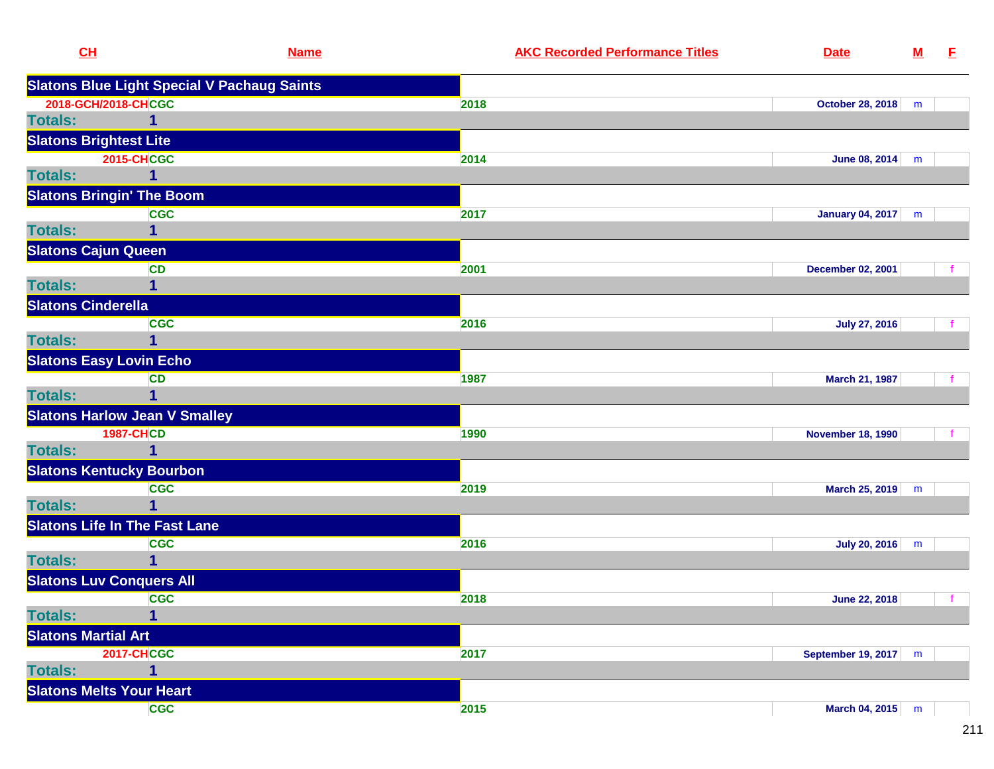| CL                              | <b>Name</b>                                        | <b>AKC Recorded Performance Titles</b> | <b>Date</b>              | $\underline{\mathsf{M}}$ | E |
|---------------------------------|----------------------------------------------------|----------------------------------------|--------------------------|--------------------------|---|
|                                 | <b>Slatons Blue Light Special V Pachaug Saints</b> |                                        |                          |                          |   |
| 2018-GCH/2018-CHCGC             |                                                    | 2018                                   | <b>October 28, 2018</b>  | m                        |   |
| <b>Totals:</b>                  | $\mathbf 1$                                        |                                        |                          |                          |   |
| <b>Slatons Brightest Lite</b>   |                                                    |                                        |                          |                          |   |
|                                 | <b>2015-CHCGC</b>                                  | 2014                                   | June 08, 2014            | m                        |   |
| <b>Totals:</b>                  | 1                                                  |                                        |                          |                          |   |
|                                 | <b>Slatons Bringin' The Boom</b>                   |                                        |                          |                          |   |
|                                 | <b>CGC</b>                                         | 2017                                   | January 04, 2017         | m                        |   |
| <b>Totals:</b>                  | 1                                                  |                                        |                          |                          |   |
| <b>Slatons Cajun Queen</b>      |                                                    |                                        |                          |                          |   |
|                                 | <b>CD</b>                                          | 2001                                   | <b>December 02, 2001</b> |                          |   |
| <b>Totals:</b>                  | 1                                                  |                                        |                          |                          |   |
| <b>Slatons Cinderella</b>       |                                                    |                                        |                          |                          |   |
|                                 | <b>CGC</b>                                         | 2016                                   | <b>July 27, 2016</b>     |                          |   |
| <b>Totals:</b>                  | 1                                                  |                                        |                          |                          |   |
| <b>Slatons Easy Lovin Echo</b>  |                                                    |                                        |                          |                          |   |
|                                 | <b>CD</b>                                          | 1987                                   | March 21, 1987           |                          |   |
| <b>Totals:</b>                  | 1                                                  |                                        |                          |                          |   |
|                                 | <b>Slatons Harlow Jean V Smalley</b>               |                                        |                          |                          |   |
|                                 | <b>1987-CHCD</b>                                   | 1990                                   | <b>November 18, 1990</b> |                          |   |
| <b>Totals:</b>                  | 1                                                  |                                        |                          |                          |   |
|                                 | <b>Slatons Kentucky Bourbon</b>                    |                                        |                          |                          |   |
|                                 | <b>CGC</b>                                         | 2019                                   | March 25, 2019           | m                        |   |
| <b>Totals:</b>                  | 1                                                  |                                        |                          |                          |   |
|                                 | <b>Slatons Life In The Fast Lane</b>               |                                        |                          |                          |   |
|                                 | <b>CGC</b>                                         | 2016                                   | <b>July 20, 2016</b>     | m                        |   |
| <b>Totals:</b>                  | 1                                                  |                                        |                          |                          |   |
| <b>Slatons Luv Conquers All</b> |                                                    |                                        |                          |                          |   |
|                                 | <b>CGC</b>                                         | 2018                                   | <b>June 22, 2018</b>     |                          |   |
| <b>Totals:</b>                  | 1                                                  |                                        |                          |                          |   |
| <b>Slatons Martial Art</b>      |                                                    |                                        |                          |                          |   |
|                                 | <b>2017-CHCGC</b>                                  | 2017                                   | September 19, 2017       | m                        |   |
| <b>Totals:</b>                  | 1                                                  |                                        |                          |                          |   |
| <b>Slatons Melts Your Heart</b> |                                                    |                                        |                          |                          |   |
|                                 | <b>CGC</b>                                         | 2015                                   | March 04, 2015           | m                        |   |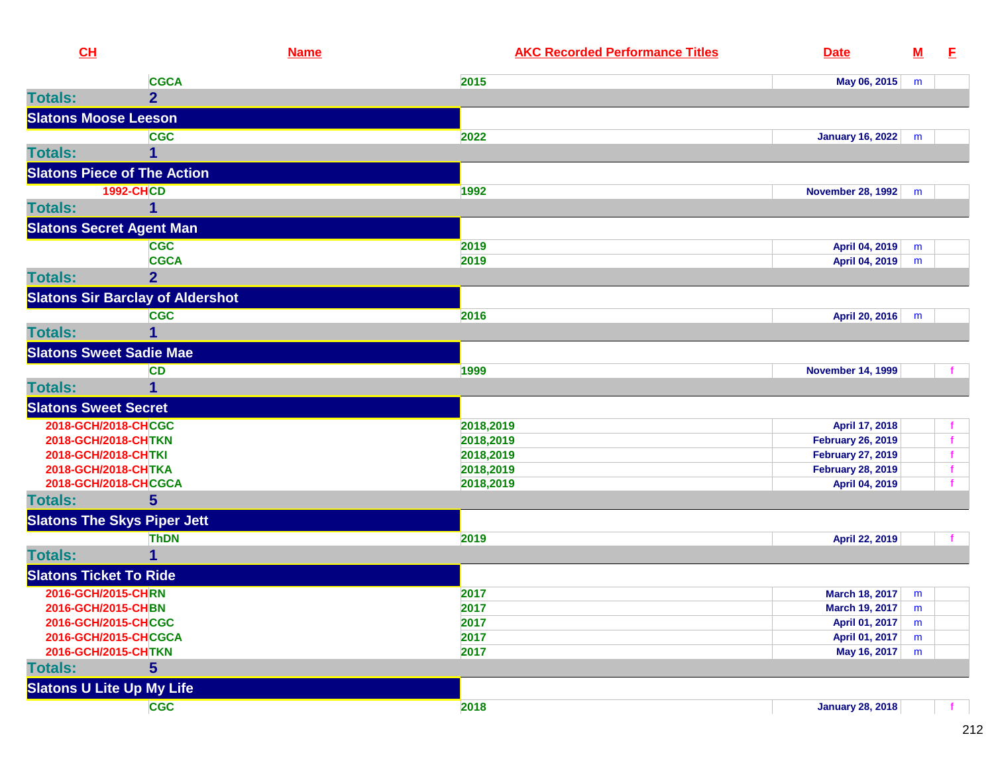| CL                                      | <b>Name</b>    | <b>AKC Recorded Performance Titles</b> | <b>Date</b>              | ${\bf M}$ | E.          |
|-----------------------------------------|----------------|----------------------------------------|--------------------------|-----------|-------------|
|                                         | <b>CGCA</b>    | 2015                                   | May 06, 2015             | m         |             |
| <b>Totals:</b>                          | $\overline{2}$ |                                        |                          |           |             |
| <b>Slatons Moose Leeson</b>             |                |                                        |                          |           |             |
|                                         | <b>CGC</b>     | 2022                                   | <b>January 16, 2022</b>  | m         |             |
| <b>Totals:</b>                          |                |                                        |                          |           |             |
| <b>Slatons Piece of The Action</b>      |                |                                        |                          |           |             |
| <b>1992-CHCD</b>                        |                | 1992                                   | <b>November 28, 1992</b> | m         |             |
| <b>Totals:</b>                          | 1              |                                        |                          |           |             |
| <b>Slatons Secret Agent Man</b>         |                |                                        |                          |           |             |
|                                         | <b>CGC</b>     | 2019                                   | April 04, 2019           | m         |             |
|                                         | <b>CGCA</b>    | 2019                                   | April 04, 2019           | m         |             |
| <b>Totals:</b>                          | $\overline{2}$ |                                        |                          |           |             |
| <b>Slatons Sir Barclay of Aldershot</b> |                |                                        |                          |           |             |
|                                         | <b>CGC</b>     | 2016                                   | April 20, 2016           | m         |             |
| <b>Totals:</b>                          | 1              |                                        |                          |           |             |
| <b>Slatons Sweet Sadie Mae</b>          |                |                                        |                          |           |             |
|                                         | <b>CD</b>      | 1999                                   | <b>November 14, 1999</b> |           |             |
| <b>Totals:</b>                          | 1              |                                        |                          |           |             |
| <b>Slatons Sweet Secret</b>             |                |                                        |                          |           |             |
| 2018-GCH/2018-CHCGC                     |                | 2018,2019                              | April 17, 2018           |           |             |
| 2018-GCH/2018-CHTKN                     |                | 2018,2019                              | <b>February 26, 2019</b> |           |             |
| 2018-GCH/2018-CHTKI                     |                | 2018,2019                              | <b>February 27, 2019</b> |           | f           |
| 2018-GCH/2018-CHTKA                     |                | 2018,2019                              | <b>February 28, 2019</b> |           | $\mathbf f$ |
| 2018-GCH/2018-CHCGCA                    |                | 2018,2019                              | April 04, 2019           |           |             |
| <b>Totals:</b>                          | 5              |                                        |                          |           |             |
| <b>Slatons The Skys Piper Jett</b>      |                |                                        |                          |           |             |
|                                         | <b>ThDN</b>    | 2019                                   | April 22, 2019           |           |             |
| <b>Totals:</b>                          | 1              |                                        |                          |           |             |
| <b>Slatons Ticket To Ride</b>           |                |                                        |                          |           |             |
| 2016-GCH/2015-CHRN                      |                | 2017                                   | March 18, 2017           | m         |             |
| 2016-GCH/2015-CHBN                      |                | 2017                                   | March 19, 2017           | m         |             |
| 2016-GCH/2015-CHCGC                     |                | 2017                                   | April 01, 2017           | m         |             |
| 2016-GCH/2015-CHCGCA                    |                | 2017                                   | April 01, 2017           | m         |             |
| 2016-GCH/2015-CHTKN                     |                | 2017                                   | May 16, 2017             | m         |             |
| <b>Totals:</b>                          | 5              |                                        |                          |           |             |
| <b>Slatons U Lite Up My Life</b>        |                |                                        |                          |           |             |
|                                         | <b>CGC</b>     | 2018                                   | <b>January 28, 2018</b>  |           |             |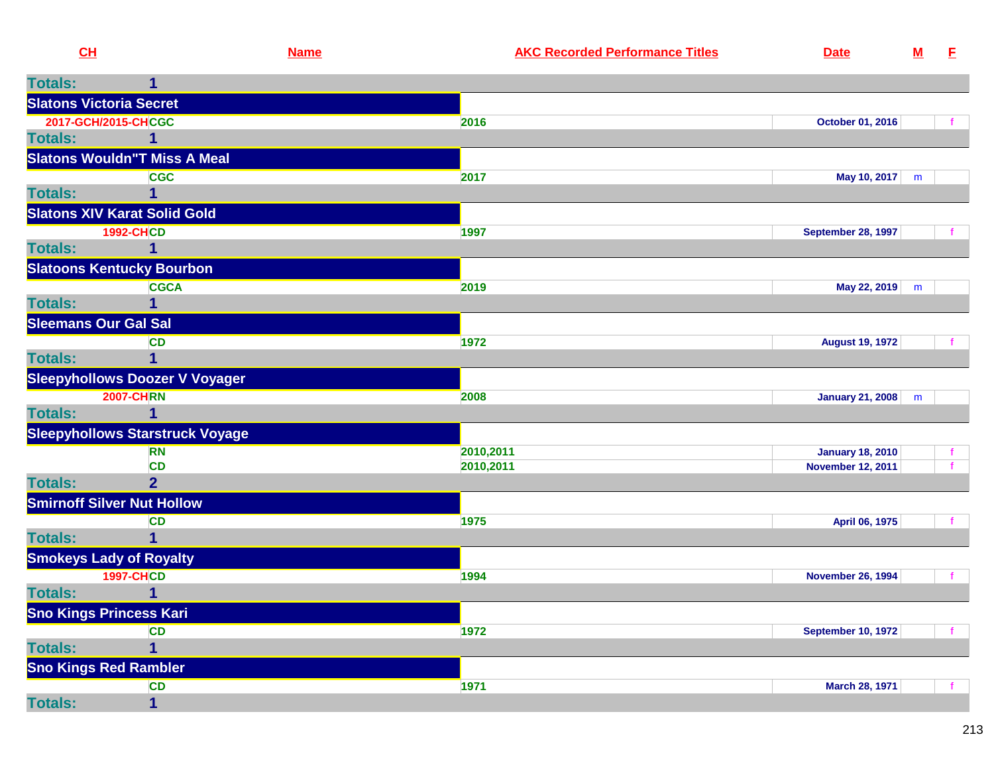| CH             |                                        | <b>Name</b> | <b>AKC Recorded Performance Titles</b> | <b>Date</b>              | ${\bf M}$ | E                  |
|----------------|----------------------------------------|-------------|----------------------------------------|--------------------------|-----------|--------------------|
| <b>Totals:</b> |                                        |             |                                        |                          |           |                    |
|                | <b>Slatons Victoria Secret</b>         |             |                                        |                          |           |                    |
|                | 2017-GCH/2015-CHCGC                    |             | 2016                                   | October 01, 2016         |           | $\mathbf{f}$       |
| <b>Totals:</b> | 1                                      |             |                                        |                          |           |                    |
|                | <b>Slatons Wouldn"T Miss A Meal</b>    |             |                                        |                          |           |                    |
|                | <b>CGC</b>                             |             | 2017                                   | May 10, 2017 m           |           |                    |
| <b>Totals:</b> | 1                                      |             |                                        |                          |           |                    |
|                | <b>Slatons XIV Karat Solid Gold</b>    |             |                                        |                          |           |                    |
|                | <b>1992-CHCD</b>                       |             | 1997                                   | September 28, 1997       |           |                    |
| <b>Totals:</b> | 1                                      |             |                                        |                          |           |                    |
|                | <b>Slatoons Kentucky Bourbon</b>       |             |                                        |                          |           |                    |
|                | <b>CGCA</b>                            |             | 2019                                   | May 22, 2019             | m         |                    |
| <b>Totals:</b> |                                        |             |                                        |                          |           |                    |
|                | <b>Sleemans Our Gal Sal</b>            |             |                                        |                          |           |                    |
|                | <b>CD</b>                              |             | 1972                                   | <b>August 19, 1972</b>   |           |                    |
| <b>Totals:</b> | 1                                      |             |                                        |                          |           |                    |
|                | <b>Sleepyhollows Doozer V Voyager</b>  |             |                                        |                          |           |                    |
|                | <b>2007-CHRN</b>                       |             | 2008                                   | January 21, 2008         | m         |                    |
| <b>Totals:</b> | $\mathbf 1$                            |             |                                        |                          |           |                    |
|                | <b>Sleepyhollows Starstruck Voyage</b> |             |                                        |                          |           |                    |
|                | <b>RN</b><br><b>CD</b>                 |             | 2010,2011                              | <b>January 18, 2010</b>  |           | f.<br>$\mathbf{f}$ |
| <b>Totals:</b> | 2 <sup>1</sup>                         |             | 2010,2011                              | <b>November 12, 2011</b> |           |                    |
|                | <b>Smirnoff Silver Nut Hollow</b>      |             |                                        |                          |           |                    |
|                | CD                                     |             | 1975                                   | April 06, 1975           |           | $\mathbf f$        |
| <b>Totals:</b> | $\overline{1}$                         |             |                                        |                          |           |                    |
|                | <b>Smokeys Lady of Royalty</b>         |             |                                        |                          |           |                    |
|                | <b>1997-CHCD</b>                       |             | 1994                                   | <b>November 26, 1994</b> |           | $\mathbf f$        |
| <b>Totals:</b> | 1                                      |             |                                        |                          |           |                    |
|                | <b>Sno Kings Princess Kari</b>         |             |                                        |                          |           |                    |
|                | CD                                     |             | 1972                                   | September 10, 1972       |           | $\mathbf{f}$       |
| <b>Totals:</b> | $\overline{1}$                         |             |                                        |                          |           |                    |
|                | <b>Sno Kings Red Rambler</b>           |             |                                        |                          |           |                    |
|                | <b>CD</b>                              |             | 1971                                   | March 28, 1971           |           | −f.                |
|                |                                        |             |                                        |                          |           |                    |

**Totals:**

**<sup>1</sup>**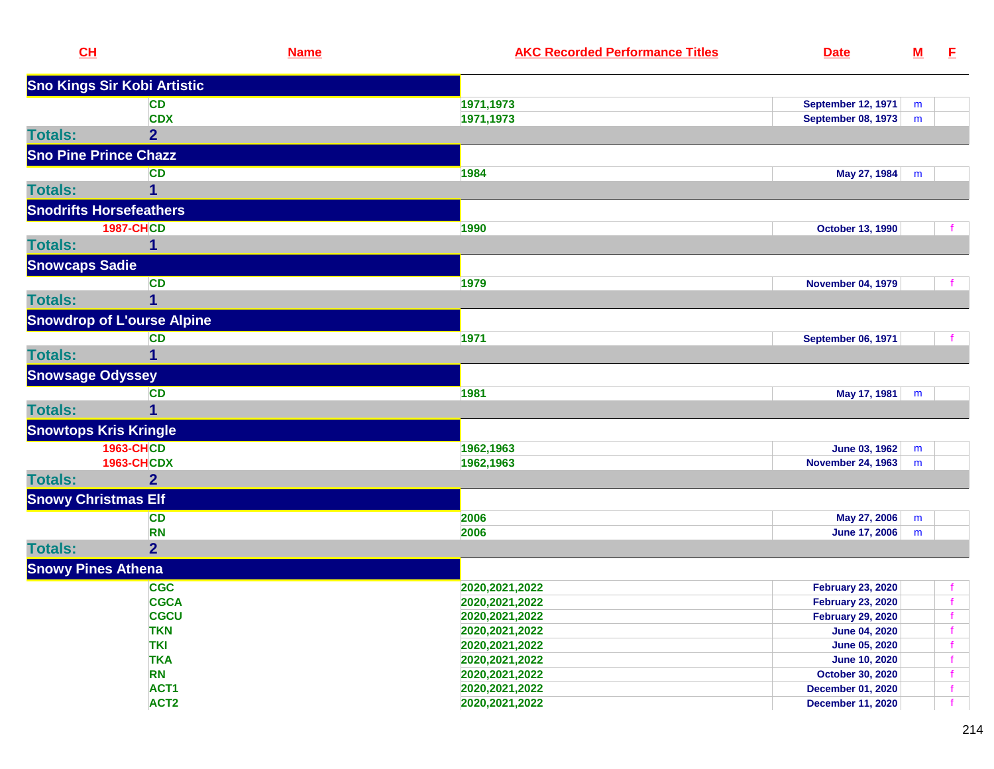| CL                           |                                       | <b>Name</b> | <b>AKC Recorded Performance Titles</b> | <b>Date</b>                               | $\underline{\mathsf{M}}$ | E            |
|------------------------------|---------------------------------------|-------------|----------------------------------------|-------------------------------------------|--------------------------|--------------|
|                              | <b>Sno Kings Sir Kobi Artistic</b>    |             |                                        |                                           |                          |              |
|                              | <b>CD</b>                             |             | 1971,1973                              | <b>September 12, 1971</b>                 | m                        |              |
|                              | <b>CDX</b>                            |             | 1971,1973                              | <b>September 08, 1973</b>                 | m                        |              |
| <b>Totals:</b>               | $\overline{2}$                        |             |                                        |                                           |                          |              |
| <b>Sno Pine Prince Chazz</b> |                                       |             |                                        |                                           |                          |              |
|                              | <b>CD</b>                             |             | 1984                                   | May 27, 1984                              | m                        |              |
| <b>Totals:</b>               | 1                                     |             |                                        |                                           |                          |              |
|                              | <b>Snodrifts Horsefeathers</b>        |             |                                        |                                           |                          |              |
|                              | <b>1987-CHCD</b>                      |             | 1990                                   | <b>October 13, 1990</b>                   |                          |              |
| <b>Totals:</b>               |                                       |             |                                        |                                           |                          |              |
| <b>Snowcaps Sadie</b>        |                                       |             |                                        |                                           |                          |              |
|                              | <b>CD</b>                             |             | 1979                                   | <b>November 04, 1979</b>                  |                          |              |
| <b>Totals:</b>               | 1                                     |             |                                        |                                           |                          |              |
|                              | <b>Snowdrop of L'ourse Alpine</b>     |             |                                        |                                           |                          |              |
|                              | <b>CD</b>                             |             | 1971                                   | <b>September 06, 1971</b>                 |                          | f            |
| <b>Totals:</b>               | 1                                     |             |                                        |                                           |                          |              |
| <b>Snowsage Odyssey</b>      |                                       |             |                                        |                                           |                          |              |
|                              | <b>CD</b>                             |             | 1981                                   | May 17, 1981                              | m                        |              |
| <b>Totals:</b>               | 1                                     |             |                                        |                                           |                          |              |
| <b>Snowtops Kris Kringle</b> |                                       |             |                                        |                                           |                          |              |
|                              |                                       |             |                                        |                                           |                          |              |
|                              | <b>1963-CHCD</b><br><b>1963-CHCDX</b> |             | 1962,1963<br>1962,1963                 | June 03, 1962<br><b>November 24, 1963</b> | m<br>m                   |              |
| <b>Totals:</b>               | $\overline{2}$                        |             |                                        |                                           |                          |              |
| <b>Snowy Christmas Elf</b>   |                                       |             |                                        |                                           |                          |              |
|                              | <b>CD</b>                             |             | 2006                                   | May 27, 2006                              | m                        |              |
|                              | <b>RN</b>                             |             | 2006                                   | <b>June 17, 2006</b>                      | m                        |              |
| <b>Totals:</b>               | $\overline{2}$                        |             |                                        |                                           |                          |              |
| <b>Snowy Pines Athena</b>    |                                       |             |                                        |                                           |                          |              |
|                              | <b>CGC</b>                            |             | 2020, 2021, 2022                       | <b>February 23, 2020</b>                  |                          | $\mathbf f$  |
|                              | <b>CGCA</b>                           |             | 2020, 2021, 2022                       | <b>February 23, 2020</b>                  |                          | $\mathbf{f}$ |
|                              | <b>CGCU</b>                           |             | 2020, 2021, 2022                       | <b>February 29, 2020</b>                  |                          |              |
|                              | <b>TKN</b>                            |             | 2020, 2021, 2022                       | <b>June 04, 2020</b>                      |                          | f            |
|                              | <b>TKI</b>                            |             | 2020, 2021, 2022                       | June 05, 2020                             |                          | $\mathbf f$  |
|                              | <b>TKA</b>                            |             | 2020, 2021, 2022                       | <b>June 10, 2020</b>                      |                          | $\mathbf f$  |
|                              | <b>RN</b>                             |             | 2020, 2021, 2022                       | October 30, 2020                          |                          | $\mathbf f$  |
|                              | ACT1                                  |             | 2020, 2021, 2022                       | <b>December 01, 2020</b>                  |                          | $\mathbf f$  |
|                              | ACT <sub>2</sub>                      |             | 2020, 2021, 2022                       | <b>December 11, 2020</b>                  |                          | $\mathbf{f}$ |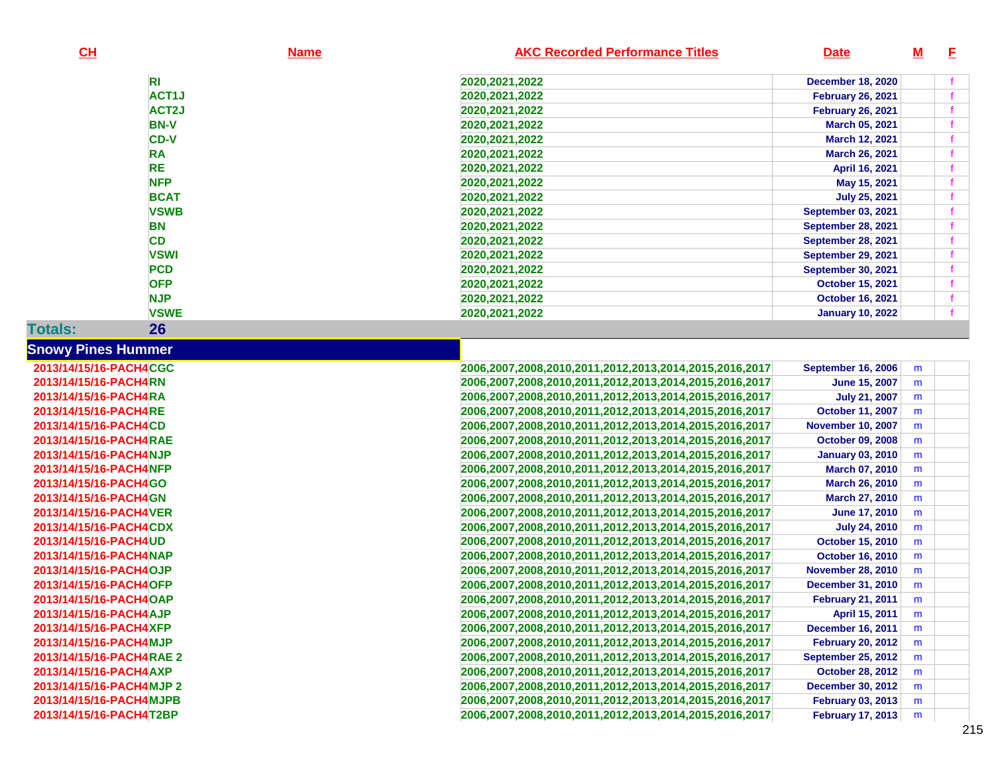| CL                        |                    | <b>Name</b>      | <b>AKC Recorded Performance Titles</b>                 | <b>Date</b>               | <u>M</u> | E |
|---------------------------|--------------------|------------------|--------------------------------------------------------|---------------------------|----------|---|
|                           | R <sub>1</sub>     | 2020, 2021, 2022 |                                                        | <b>December 18, 2020</b>  |          |   |
|                           | ACT1J              | 2020, 2021, 2022 |                                                        | <b>February 26, 2021</b>  |          |   |
|                           | ACT <sub>2</sub> J | 2020, 2021, 2022 |                                                        | <b>February 26, 2021</b>  |          |   |
|                           | <b>BN-V</b>        | 2020, 2021, 2022 |                                                        | March 05, 2021            |          |   |
|                           | <b>CD-V</b>        | 2020, 2021, 2022 |                                                        | March 12, 2021            |          |   |
|                           | <b>RA</b>          | 2020, 2021, 2022 |                                                        | March 26, 2021            |          |   |
|                           | <b>RE</b>          | 2020, 2021, 2022 |                                                        | April 16, 2021            |          |   |
|                           | <b>NFP</b>         | 2020, 2021, 2022 |                                                        | May 15, 2021              |          |   |
|                           | <b>BCAT</b>        | 2020, 2021, 2022 |                                                        | <b>July 25, 2021</b>      |          |   |
|                           | <b>VSWB</b>        | 2020, 2021, 2022 |                                                        | <b>September 03, 2021</b> |          |   |
|                           | <b>BN</b>          | 2020, 2021, 2022 |                                                        | <b>September 28, 2021</b> |          |   |
|                           | <b>CD</b>          | 2020, 2021, 2022 |                                                        | <b>September 28, 2021</b> |          |   |
|                           | <b>VSWI</b>        | 2020, 2021, 2022 |                                                        | September 29, 2021        |          |   |
|                           | <b>PCD</b>         | 2020, 2021, 2022 |                                                        | <b>September 30, 2021</b> |          |   |
|                           | <b>OFP</b>         | 2020, 2021, 2022 |                                                        | <b>October 15, 2021</b>   |          |   |
|                           | <b>NJP</b>         | 2020, 2021, 2022 |                                                        | <b>October 16, 2021</b>   |          |   |
|                           | <b>VSWE</b>        | 2020, 2021, 2022 |                                                        | <b>January 10, 2022</b>   |          |   |
| <b>Totals:</b>            | 26                 |                  |                                                        |                           |          |   |
| <b>Snowy Pines Hummer</b> |                    |                  |                                                        |                           |          |   |
| 2013/14/15/16-PACH4CGC    |                    |                  | 2006,2007,2008,2010,2011,2012,2013,2014,2015,2016,2017 | <b>September 16, 2006</b> | m        |   |
| 2013/14/15/16-PACH4RN     |                    |                  | 2006,2007,2008,2010,2011,2012,2013,2014,2015,2016,2017 | <b>June 15, 2007</b>      | m        |   |
| 2013/14/15/16-PACH4RA     |                    |                  | 2006,2007,2008,2010,2011,2012,2013,2014,2015,2016,2017 | <b>July 21, 2007</b>      | m        |   |
| 2013/14/15/16-PACH4RE     |                    |                  | 2006,2007,2008,2010,2011,2012,2013,2014,2015,2016,2017 | <b>October 11, 2007</b>   | m        |   |
| 2013/14/15/16-PACH4CD     |                    |                  | 2006,2007,2008,2010,2011,2012,2013,2014,2015,2016,2017 | <b>November 10, 2007</b>  | m        |   |
| 2013/14/15/16-PACH4RAE    |                    |                  | 2006,2007,2008,2010,2011,2012,2013,2014,2015,2016,2017 | <b>October 09, 2008</b>   | m        |   |
| 2013/14/15/16-PACH4NJP    |                    |                  | 2006,2007,2008,2010,2011,2012,2013,2014,2015,2016,2017 | <b>January 03, 2010</b>   | m        |   |
| 2013/14/15/16-PACH4NFP    |                    |                  | 2006,2007,2008,2010,2011,2012,2013,2014,2015,2016,2017 | <b>March 07, 2010</b>     | m        |   |
| 2013/14/15/16-PACH4GO     |                    |                  | 2006,2007,2008,2010,2011,2012,2013,2014,2015,2016,2017 | <b>March 26, 2010</b>     | m        |   |
| 2013/14/15/16-PACH4GN     |                    |                  | 2006,2007,2008,2010,2011,2012,2013,2014,2015,2016,2017 | <b>March 27, 2010</b>     | m        |   |
| 2013/14/15/16-PACH4VER    |                    |                  | 2006,2007,2008,2010,2011,2012,2013,2014,2015,2016,2017 | <b>June 17, 2010</b>      | m        |   |
| 2013/14/15/16-PACH4CDX    |                    |                  | 2006,2007,2008,2010,2011,2012,2013,2014,2015,2016,2017 | <b>July 24, 2010</b>      | m        |   |
| 2013/14/15/16-PACH4UD     |                    |                  | 2006,2007,2008,2010,2011,2012,2013,2014,2015,2016,2017 | <b>October 15, 2010</b>   | m        |   |
| 2013/14/15/16-PACH4NAP    |                    |                  | 2006,2007,2008,2010,2011,2012,2013,2014,2015,2016,2017 | <b>October 16, 2010</b>   | m        |   |
| 2013/14/15/16-PACH4OJP    |                    |                  | 2006,2007,2008,2010,2011,2012,2013,2014,2015,2016,2017 | <b>November 28, 2010</b>  | m        |   |
| 2013/14/15/16-PACH4OFP    |                    |                  | 2006,2007,2008,2010,2011,2012,2013,2014,2015,2016,2017 | <b>December 31, 2010</b>  | m        |   |
| 2013/14/15/16-PACH4OAP    |                    |                  | 2006,2007,2008,2010,2011,2012,2013,2014,2015,2016,2017 | <b>February 21, 2011</b>  | m        |   |
| 2013/14/15/16-PACH4 AJP   |                    |                  | 2006,2007,2008,2010,2011,2012,2013,2014,2015,2016,2017 | April 15, 2011            | m        |   |
| 2013/14/15/16-PACH4 XFP   |                    |                  | 2006,2007,2008,2010,2011,2012,2013,2014,2015,2016,2017 | <b>December 16, 2011</b>  | m        |   |
| 2013/14/15/16-PACH4MJP    |                    |                  | 2006,2007,2008,2010,2011,2012,2013,2014,2015,2016,2017 | <b>February 20, 2012</b>  | m        |   |
| 2013/14/15/16-PACH4RAE 2  |                    |                  | 2006,2007,2008,2010,2011,2012,2013,2014,2015,2016,2017 | <b>September 25, 2012</b> | m        |   |
| 2013/14/15/16-PACH4 AXP   |                    |                  | 2006,2007,2008,2010,2011,2012,2013,2014,2015,2016,2017 | <b>October 28, 2012</b>   | m        |   |
| 2013/14/15/16-PACH4MJP 2  |                    |                  | 2006,2007,2008,2010,2011,2012,2013,2014,2015,2016,2017 | <b>December 30, 2012</b>  | m        |   |
| 2013/14/15/16-PACH4MJPB   |                    |                  | 2006,2007,2008,2010,2011,2012,2013,2014,2015,2016,2017 | <b>February 03, 2013</b>  | m        |   |
| 2013/14/15/16-PACH4T2BP   |                    |                  | 2006,2007,2008,2010,2011,2012,2013,2014,2015,2016,2017 | <b>February 17, 2013</b>  | m        |   |
|                           |                    |                  |                                                        |                           |          |   |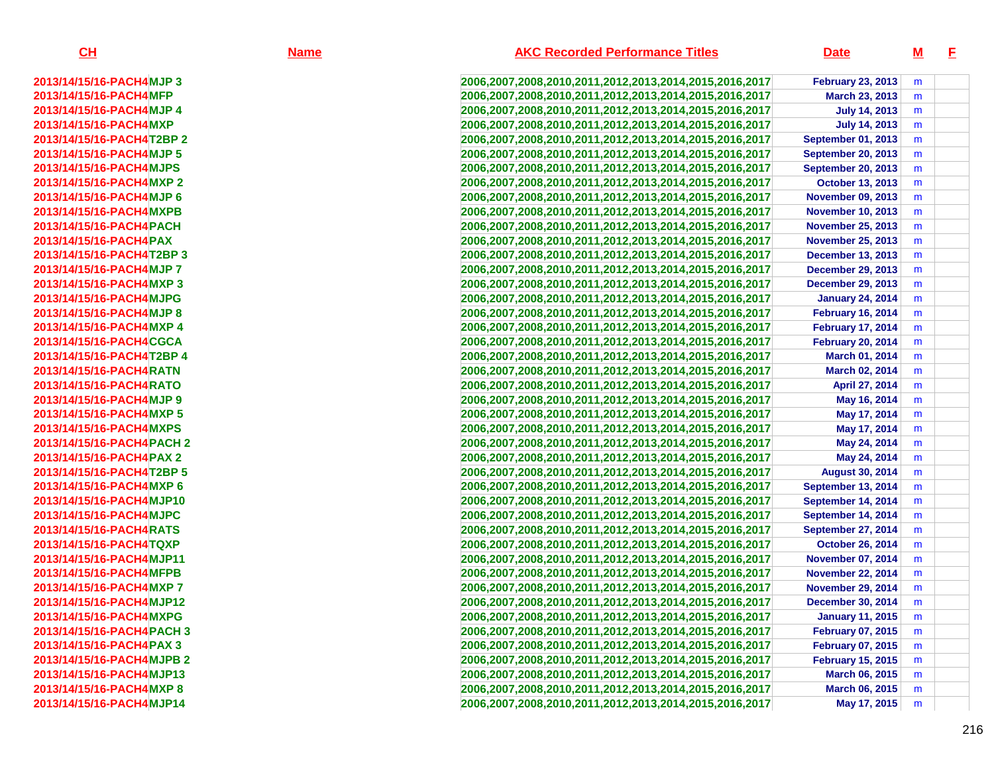| CH                         | <b>Name</b> | <b>AKC Recorded Performance Titles</b>                 | <b>Date</b>               | <u>M</u> | -E |
|----------------------------|-------------|--------------------------------------------------------|---------------------------|----------|----|
| 2013/14/15/16-PACH4MJP 3   |             | 2006,2007,2008,2010,2011,2012,2013,2014,2015,2016,2017 | <b>February 23, 2013</b>  | m        |    |
| 2013/14/15/16-PACH4MFP     |             | 2006,2007,2008,2010,2011,2012,2013,2014,2015,2016,2017 | March 23, 2013            | m        |    |
| 2013/14/15/16-PACH4MJP4    |             | 2006,2007,2008,2010,2011,2012,2013,2014,2015,2016,2017 | <b>July 14, 2013</b>      | m        |    |
| 2013/14/15/16-PACH4MXP     |             | 2006,2007,2008,2010,2011,2012,2013,2014,2015,2016,2017 | <b>July 14, 2013</b>      | m        |    |
| 2013/14/15/16-PACH4T2BP 2  |             | 2006,2007,2008,2010,2011,2012,2013,2014,2015,2016,2017 | <b>September 01, 2013</b> | m        |    |
| 2013/14/15/16-PACH4MJP 5   |             | 2006,2007,2008,2010,2011,2012,2013,2014,2015,2016,2017 | <b>September 20, 2013</b> | m        |    |
| 2013/14/15/16-PACH4MJPS    |             | 2006,2007,2008,2010,2011,2012,2013,2014,2015,2016,2017 | <b>September 20, 2013</b> | m        |    |
| 2013/14/15/16-PACH4MXP 2   |             | 2006,2007,2008,2010,2011,2012,2013,2014,2015,2016,2017 | October 13, 2013          | m        |    |
| 2013/14/15/16-PACH4MJP 6   |             | 2006,2007,2008,2010,2011,2012,2013,2014,2015,2016,2017 | <b>November 09, 2013</b>  | m        |    |
| 2013/14/15/16-PACH4MXPB    |             | 2006,2007,2008,2010,2011,2012,2013,2014,2015,2016,2017 | <b>November 10, 2013</b>  | m        |    |
| 2013/14/15/16-PACH4 PACH   |             | 2006,2007,2008,2010,2011,2012,2013,2014,2015,2016,2017 | <b>November 25, 2013</b>  | m        |    |
| 2013/14/15/16-PACH4 PAX    |             | 2006,2007,2008,2010,2011,2012,2013,2014,2015,2016,2017 | <b>November 25, 2013</b>  | m        |    |
| 2013/14/15/16-PACH4T2BP 3  |             | 2006,2007,2008,2010,2011,2012,2013,2014,2015,2016,2017 | <b>December 13, 2013</b>  | m        |    |
| 2013/14/15/16-PACH4MJP7    |             | 2006,2007,2008,2010,2011,2012,2013,2014,2015,2016,2017 | <b>December 29, 2013</b>  | m        |    |
| 2013/14/15/16-PACH4MXP3    |             | 2006,2007,2008,2010,2011,2012,2013,2014,2015,2016,2017 | <b>December 29, 2013</b>  | m        |    |
| 2013/14/15/16-PACH4MJPG    |             | 2006,2007,2008,2010,2011,2012,2013,2014,2015,2016,2017 | <b>January 24, 2014</b>   | m        |    |
| 2013/14/15/16-PACH4MJP8    |             | 2006,2007,2008,2010,2011,2012,2013,2014,2015,2016,2017 | <b>February 16, 2014</b>  | m        |    |
| 2013/14/15/16-PACH4MXP4    |             | 2006,2007,2008,2010,2011,2012,2013,2014,2015,2016,2017 | <b>February 17, 2014</b>  | m        |    |
| 2013/14/15/16-PACH4CGCA    |             | 2006,2007,2008,2010,2011,2012,2013,2014,2015,2016,2017 | <b>February 20, 2014</b>  | m        |    |
| 2013/14/15/16-PACH4T2BP 4  |             | 2006,2007,2008,2010,2011,2012,2013,2014,2015,2016,2017 | March 01, 2014            | m        |    |
| 2013/14/15/16-PACH4RATN    |             | 2006,2007,2008,2010,2011,2012,2013,2014,2015,2016,2017 | March 02, 2014            | m        |    |
| 2013/14/15/16-PACH4RATO    |             | 2006,2007,2008,2010,2011,2012,2013,2014,2015,2016,2017 | April 27, 2014            | m        |    |
| 2013/14/15/16-PACH4MJP 9   |             | 2006,2007,2008,2010,2011,2012,2013,2014,2015,2016,2017 | May 16, 2014              | m        |    |
| 2013/14/15/16-PACH4MXP 5   |             | 2006,2007,2008,2010,2011,2012,2013,2014,2015,2016,2017 | May 17, 2014              | m        |    |
| 2013/14/15/16-PACH4MXPS    |             | 2006,2007,2008,2010,2011,2012,2013,2014,2015,2016,2017 | May 17, 2014              | m        |    |
| 2013/14/15/16-PACH4 PACH 2 |             | 2006,2007,2008,2010,2011,2012,2013,2014,2015,2016,2017 | May 24, 2014              | m        |    |
| 2013/14/15/16-PACH4PAX 2   |             | 2006,2007,2008,2010,2011,2012,2013,2014,2015,2016,2017 | May 24, 2014              | m        |    |
| 2013/14/15/16-PACH4T2BP 5  |             | 2006,2007,2008,2010,2011,2012,2013,2014,2015,2016,2017 | <b>August 30, 2014</b>    | m        |    |
| 2013/14/15/16-PACH4MXP6    |             | 2006,2007,2008,2010,2011,2012,2013,2014,2015,2016,2017 | <b>September 13, 2014</b> | m        |    |
| 2013/14/15/16-PACH4MJP10   |             | 2006,2007,2008,2010,2011,2012,2013,2014,2015,2016,2017 | <b>September 14, 2014</b> | m        |    |
| 2013/14/15/16-PACH4MJPC    |             | 2006,2007,2008,2010,2011,2012,2013,2014,2015,2016,2017 | September 14, 2014        | m        |    |
| 2013/14/15/16-PACH4RATS    |             | 2006,2007,2008,2010,2011,2012,2013,2014,2015,2016,2017 | September 27, 2014        | m        |    |
| 2013/14/15/16-PACH4TQXP    |             | 2006,2007,2008,2010,2011,2012,2013,2014,2015,2016,2017 | <b>October 26, 2014</b>   | m        |    |
| 2013/14/15/16-PACH4MJP11   |             | 2006,2007,2008,2010,2011,2012,2013,2014,2015,2016,2017 | <b>November 07, 2014</b>  | m        |    |
| 2013/14/15/16-PACH4MFPB    |             | 2006,2007,2008,2010,2011,2012,2013,2014,2015,2016,2017 | <b>November 22, 2014</b>  | m        |    |
| 2013/14/15/16-PACH4MXP7    |             | 2006,2007,2008,2010,2011,2012,2013,2014,2015,2016,2017 | <b>November 29, 2014</b>  | m        |    |
| 2013/14/15/16-PACH4MJP12   |             | 2006,2007,2008,2010,2011,2012,2013,2014,2015,2016,2017 | <b>December 30, 2014</b>  | m        |    |
| 2013/14/15/16-PACH4MXPG    |             | 2006,2007,2008,2010,2011,2012,2013,2014,2015,2016,2017 | <b>January 11, 2015</b>   | m        |    |
| 2013/14/15/16-PACH4 PACH 3 |             | 2006,2007,2008,2010,2011,2012,2013,2014,2015,2016,2017 | <b>February 07, 2015</b>  | m        |    |
| 2013/14/15/16-PACH4 PAX 3  |             | 2006,2007,2008,2010,2011,2012,2013,2014,2015,2016,2017 | <b>February 07, 2015</b>  | m        |    |
| 2013/14/15/16-PACH4MJPB 2  |             | 2006,2007,2008,2010,2011,2012,2013,2014,2015,2016,2017 | <b>February 15, 2015</b>  | m        |    |
| 2013/14/15/16-PACH4MJP13   |             | 2006,2007,2008,2010,2011,2012,2013,2014,2015,2016,2017 | March 06, 2015            | m        |    |
| 2013/14/15/16-PACH4MXP8    |             | 2006,2007,2008,2010,2011,2012,2013,2014,2015,2016,2017 | March 06, 2015            | m        |    |
| 2013/14/15/16-PACH4MJP14   |             | 2006,2007,2008,2010,2011,2012,2013,2014,2015,2016,2017 | May 17, 2015              | m        |    |

216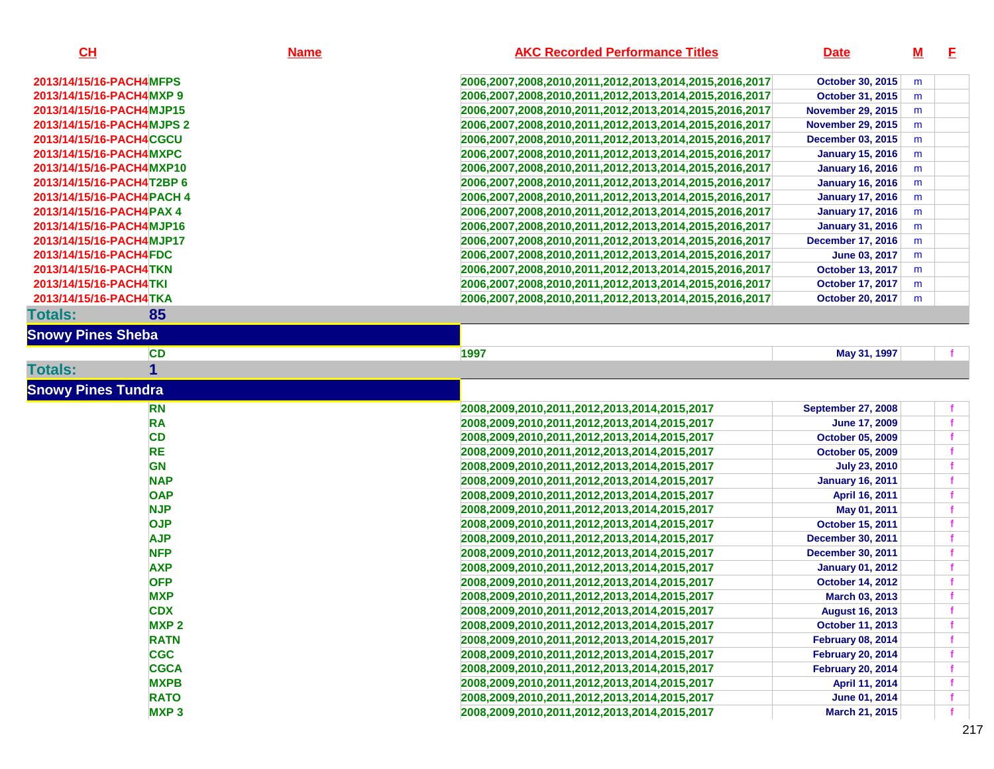| CL                         | <b>Name</b> | <b>AKC Recorded Performance Titles</b>                 | <b>Date</b>              | <u>M</u> | E.           |
|----------------------------|-------------|--------------------------------------------------------|--------------------------|----------|--------------|
| 2013/14/15/16-PACH4MFPS    |             | 2006,2007,2008,2010,2011,2012,2013,2014,2015,2016,2017 | October 30, 2015         | m        |              |
| 2013/14/15/16-PACH4MXP9    |             | 2006,2007,2008,2010,2011,2012,2013,2014,2015,2016,2017 | October 31, 2015         | m        |              |
| 2013/14/15/16-PACH4MJP15   |             | 2006,2007,2008,2010,2011,2012,2013,2014,2015,2016,2017 | <b>November 29, 2015</b> | m        |              |
| 2013/14/15/16-PACH4MJPS 2  |             | 2006,2007,2008,2010,2011,2012,2013,2014,2015,2016,2017 | <b>November 29, 2015</b> | m        |              |
| 2013/14/15/16-PACH4CGCU    |             | 2006,2007,2008,2010,2011,2012,2013,2014,2015,2016,2017 | <b>December 03, 2015</b> | m        |              |
| 2013/14/15/16-PACH4MXPC    |             | 2006,2007,2008,2010,2011,2012,2013,2014,2015,2016,2017 | <b>January 15, 2016</b>  | m        |              |
| 2013/14/15/16-PACH4MXP10   |             | 2006,2007,2008,2010,2011,2012,2013,2014,2015,2016,2017 | <b>January 16, 2016</b>  | m        |              |
| 2013/14/15/16-PACH4T2BP 6  |             | 2006,2007,2008,2010,2011,2012,2013,2014,2015,2016,2017 | <b>January 16, 2016</b>  | m        |              |
| 2013/14/15/16-PACH4 PACH 4 |             | 2006,2007,2008,2010,2011,2012,2013,2014,2015,2016,2017 | <b>January 17, 2016</b>  | m        |              |
| 2013/14/15/16-PACH4PAX 4   |             | 2006,2007,2008,2010,2011,2012,2013,2014,2015,2016,2017 | <b>January 17, 2016</b>  | m        |              |
| 2013/14/15/16-PACH4MJP16   |             | 2006,2007,2008,2010,2011,2012,2013,2014,2015,2016,2017 | <b>January 31, 2016</b>  | m        |              |
| 2013/14/15/16-PACH4MJP17   |             | 2006,2007,2008,2010,2011,2012,2013,2014,2015,2016,2017 | <b>December 17, 2016</b> | m        |              |
| 2013/14/15/16-PACH4FDC     |             | 2006,2007,2008,2010,2011,2012,2013,2014,2015,2016,2017 | June 03, 2017            | m        |              |
| 2013/14/15/16-PACH4TKN     |             | 2006,2007,2008,2010,2011,2012,2013,2014,2015,2016,2017 | <b>October 13, 2017</b>  | m        |              |
| 2013/14/15/16-PACH4TKI     |             | 2006,2007,2008,2010,2011,2012,2013,2014,2015,2016,2017 | <b>October 17, 2017</b>  | m        |              |
| 2013/14/15/16-PACH4TKA     |             | 2006,2007,2008,2010,2011,2012,2013,2014,2015,2016,2017 | <b>October 20, 2017</b>  | m        |              |
| <b>Totals:</b>             | 85          |                                                        |                          |          |              |
| <b>Snowy Pines Sheba</b>   |             |                                                        |                          |          |              |
|                            | <b>CD</b>   | 1997                                                   | May 31, 1997             |          |              |
| <b>Totals:</b>             |             |                                                        |                          |          |              |
| <b>Snowy Pines Tundra</b>  |             |                                                        |                          |          |              |
|                            | <b>RN</b>   | 2008,2009,2010,2011,2012,2013,2014,2015,2017           | September 27, 2008       |          |              |
|                            | <b>RA</b>   | 2008,2009,2010,2011,2012,2013,2014,2015,2017           | <b>June 17, 2009</b>     |          | f            |
|                            | <b>CD</b>   | 2008,2009,2010,2011,2012,2013,2014,2015,2017           | October 05, 2009         |          | $\mathbf f$  |
|                            | <b>RE</b>   | 2008,2009,2010,2011,2012,2013,2014,2015,2017           | October 05, 2009         |          | $\mathbf f$  |
|                            | <b>GN</b>   | 2008,2009,2010,2011,2012,2013,2014,2015,2017           | <b>July 23, 2010</b>     |          | $\mathbf f$  |
|                            | <b>NAP</b>  | 2008,2009,2010,2011,2012,2013,2014,2015,2017           | <b>January 16, 2011</b>  |          | f            |
|                            | <b>OAP</b>  | 2008,2009,2010,2011,2012,2013,2014,2015,2017           | April 16, 2011           |          |              |
|                            | <b>NJP</b>  | 2008,2009,2010,2011,2012,2013,2014,2015,2017           | May 01, 2011             |          |              |
|                            | <b>OJP</b>  | 2008,2009,2010,2011,2012,2013,2014,2015,2017           | October 15, 2011         |          |              |
|                            | <b>AJP</b>  | 2008,2009,2010,2011,2012,2013,2014,2015,2017           | <b>December 30, 2011</b> |          | $\mathbf f$  |
|                            | <b>NFP</b>  | 2008,2009,2010,2011,2012,2013,2014,2015,2017           | <b>December 30, 2011</b> |          | f            |
|                            | <b>AXP</b>  | 2008,2009,2010,2011,2012,2013,2014,2015,2017           | <b>January 01, 2012</b>  |          | $\mathbf f$  |
|                            | <b>OFP</b>  | 2008,2009,2010,2011,2012,2013,2014,2015,2017           | <b>October 14, 2012</b>  |          | f            |
|                            | <b>MXP</b>  | 2008,2009,2010,2011,2012,2013,2014,2015,2017           | March 03, 2013           |          |              |
|                            | <b>CDX</b>  | 2008,2009,2010,2011,2012,2013,2014,2015,2017           | <b>August 16, 2013</b>   |          |              |
|                            | <b>MXP2</b> | 2008,2009,2010,2011,2012,2013,2014,2015,2017           | October 11, 2013         |          | $\mathbf{f}$ |
|                            | <b>RATN</b> | 2008,2009,2010,2011,2012,2013,2014,2015,2017           | <b>February 08, 2014</b> |          | $\mathbf f$  |
|                            | <b>CGC</b>  | 2008,2009,2010,2011,2012,2013,2014,2015,2017           | <b>February 20, 2014</b> |          |              |
|                            | <b>CGCA</b> | 2008,2009,2010,2011,2012,2013,2014,2015,2017           | <b>February 20, 2014</b> |          |              |
|                            | <b>MXPB</b> | 2008,2009,2010,2011,2012,2013,2014,2015,2017           | April 11, 2014           |          |              |
|                            | <b>RATO</b> | 2008,2009,2010,2011,2012,2013,2014,2015,2017           | June 01, 2014            |          |              |
|                            | <b>MXP3</b> | 2008,2009,2010,2011,2012,2013,2014,2015,2017           | March 21, 2015           |          |              |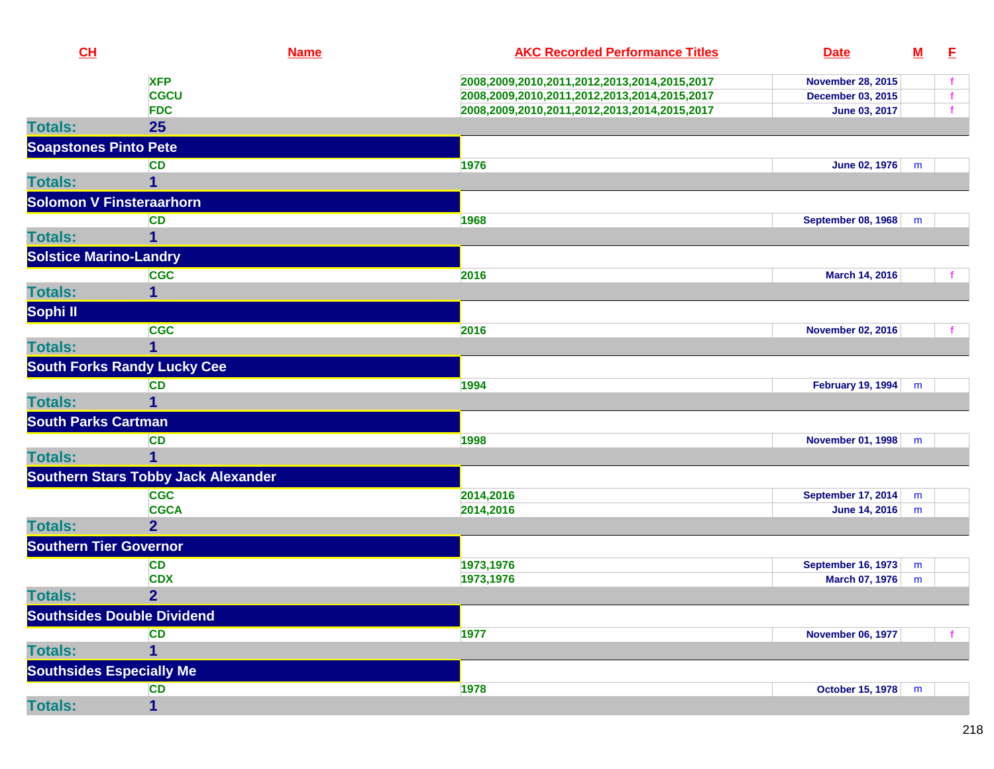| CH                              |                                            | <b>Name</b> | <b>AKC Recorded Performance Titles</b>       | <b>Date</b>               | <u>M</u> | E  |
|---------------------------------|--------------------------------------------|-------------|----------------------------------------------|---------------------------|----------|----|
|                                 | <b>XFP</b>                                 |             | 2008,2009,2010,2011,2012,2013,2014,2015,2017 | <b>November 28, 2015</b>  |          |    |
|                                 | <b>CGCU</b>                                |             | 2008,2009,2010,2011,2012,2013,2014,2015,2017 | December 03, 2015         |          | f. |
|                                 | <b>FDC</b>                                 |             | 2008,2009,2010,2011,2012,2013,2014,2015,2017 | June 03, 2017             |          |    |
| <b>Totals:</b>                  | 25                                         |             |                                              |                           |          |    |
| <b>Soapstones Pinto Pete</b>    |                                            |             |                                              |                           |          |    |
|                                 | <b>CD</b>                                  |             | 1976                                         | <b>June 02, 1976</b>      | m        |    |
| <b>Totals:</b>                  | 1                                          |             |                                              |                           |          |    |
| <b>Solomon V Finsteraarhorn</b> |                                            |             |                                              |                           |          |    |
|                                 | <b>CD</b>                                  |             | 1968                                         | September 08, 1968        | m        |    |
| <b>Totals:</b>                  | 1                                          |             |                                              |                           |          |    |
| <b>Solstice Marino-Landry</b>   |                                            |             |                                              |                           |          |    |
|                                 | <b>CGC</b>                                 |             | 2016                                         | March 14, 2016            |          |    |
| <b>Totals:</b>                  | 1                                          |             |                                              |                           |          |    |
| Sophi II                        |                                            |             |                                              |                           |          |    |
|                                 | <b>CGC</b>                                 |             | 2016                                         | <b>November 02, 2016</b>  |          |    |
| <b>Totals:</b>                  | 1                                          |             |                                              |                           |          |    |
|                                 | <b>South Forks Randy Lucky Cee</b>         |             |                                              |                           |          |    |
|                                 | <b>CD</b>                                  |             | 1994                                         | <b>February 19, 1994</b>  | m        |    |
| <b>Totals:</b>                  |                                            |             |                                              |                           |          |    |
| <b>South Parks Cartman</b>      |                                            |             |                                              |                           |          |    |
|                                 | <b>CD</b>                                  |             | 1998                                         | <b>November 01, 1998</b>  | m        |    |
| <b>Totals:</b>                  | 1                                          |             |                                              |                           |          |    |
|                                 | <b>Southern Stars Tobby Jack Alexander</b> |             |                                              |                           |          |    |
|                                 | <b>CGC</b>                                 |             | 2014,2016                                    | <b>September 17, 2014</b> | m        |    |
|                                 | <b>CGCA</b>                                |             | 2014,2016                                    | <b>June 14, 2016</b>      | m        |    |
| <b>Totals:</b>                  | $\overline{2}$                             |             |                                              |                           |          |    |
| <b>Southern Tier Governor</b>   |                                            |             |                                              |                           |          |    |
|                                 | <b>CD</b>                                  |             | 1973,1976                                    | <b>September 16, 1973</b> | m        |    |
|                                 | <b>CDX</b>                                 |             | 1973,1976                                    | March 07, 1976            | m        |    |
| <b>Totals:</b>                  | $\overline{2}$                             |             |                                              |                           |          |    |
|                                 | <b>Southsides Double Dividend</b>          |             |                                              |                           |          |    |
|                                 | <b>CD</b>                                  |             | 1977                                         | <b>November 06, 1977</b>  |          |    |
| <b>Totals:</b>                  | 1                                          |             |                                              |                           |          |    |
| <b>Southsides Especially Me</b> |                                            |             |                                              |                           |          |    |
|                                 | <b>CD</b>                                  |             | 1978                                         | <b>October 15, 1978</b>   | m        |    |
| <b>Totals:</b>                  | $\mathbf{1}$                               |             |                                              |                           |          |    |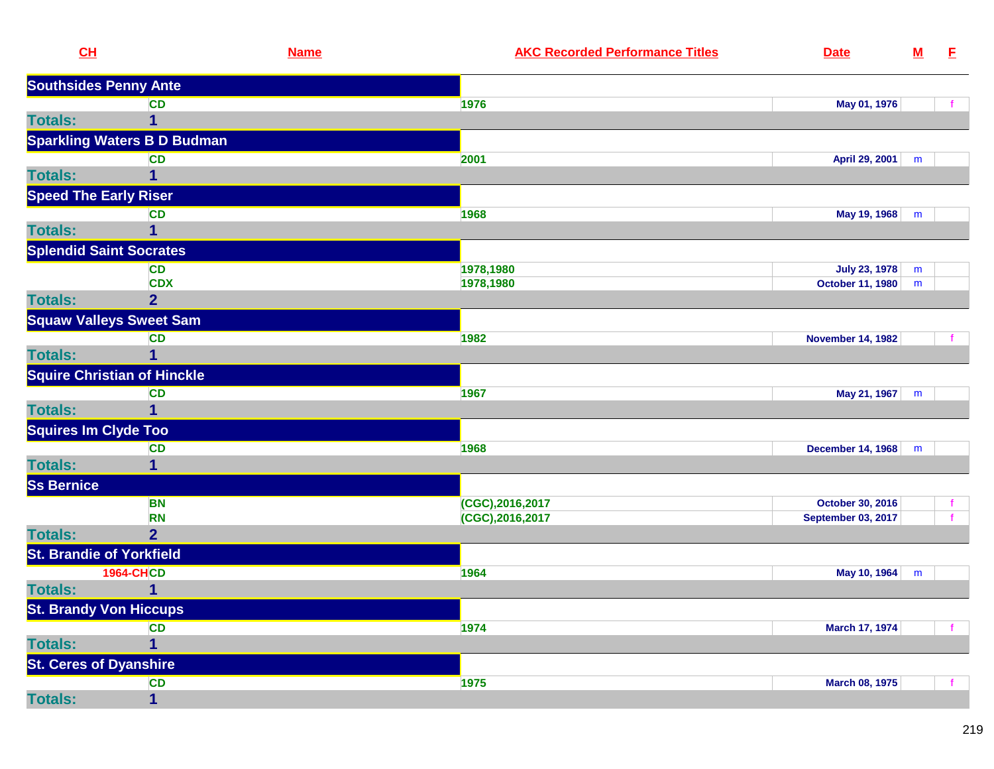| CL                              |                                    | <b>Name</b> | <b>AKC Recorded Performance Titles</b> | <b>Date</b>               | ${\bf M}$ | E |
|---------------------------------|------------------------------------|-------------|----------------------------------------|---------------------------|-----------|---|
| <b>Southsides Penny Ante</b>    |                                    |             |                                        |                           |           |   |
|                                 | <b>CD</b>                          | 1976        |                                        | May 01, 1976              |           |   |
| <b>Totals:</b>                  | 1                                  |             |                                        |                           |           |   |
|                                 | <b>Sparkling Waters B D Budman</b> |             |                                        |                           |           |   |
|                                 | <b>CD</b>                          | 2001        |                                        | April 29, 2001            | m         |   |
| <b>Totals:</b>                  | 1                                  |             |                                        |                           |           |   |
| <b>Speed The Early Riser</b>    |                                    |             |                                        |                           |           |   |
|                                 | <b>CD</b>                          | 1968        |                                        | May 19, 1968              | m         |   |
| <b>Totals:</b>                  | 1                                  |             |                                        |                           |           |   |
| <b>Splendid Saint Socrates</b>  |                                    |             |                                        |                           |           |   |
|                                 | <b>CD</b>                          |             | 1978,1980                              | <b>July 23, 1978</b>      | m         |   |
|                                 | <b>CDX</b>                         |             | 1978,1980                              | October 11, 1980          | m         |   |
| <b>Totals:</b>                  | $\overline{2}$                     |             |                                        |                           |           |   |
|                                 | <b>Squaw Valleys Sweet Sam</b>     |             |                                        |                           |           |   |
|                                 | <b>CD</b>                          | 1982        |                                        | <b>November 14, 1982</b>  |           |   |
| <b>Totals:</b>                  | $\mathbf{1}$                       |             |                                        |                           |           |   |
|                                 | <b>Squire Christian of Hinckle</b> |             |                                        |                           |           |   |
|                                 | <b>CD</b>                          | 1967        |                                        | May 21, 1967              | m         |   |
| <b>Totals:</b>                  | 1                                  |             |                                        |                           |           |   |
| <b>Squires Im Clyde Too</b>     |                                    |             |                                        |                           |           |   |
|                                 | <b>CD</b>                          | 1968        |                                        | <b>December 14, 1968</b>  | m         |   |
| <b>Totals:</b>                  | 1                                  |             |                                        |                           |           |   |
| <b>Ss Bernice</b>               |                                    |             |                                        |                           |           |   |
|                                 | <b>BN</b>                          |             | (CGC),2016,2017                        | October 30, 2016          |           |   |
|                                 | <b>RN</b>                          |             | $(CGC)$ , 2016, 2017                   | <b>September 03, 2017</b> |           |   |
| <b>Totals:</b>                  | $\overline{2}$                     |             |                                        |                           |           |   |
| <b>St. Brandie of Yorkfield</b> |                                    |             |                                        |                           |           |   |
|                                 | <b>1964-CHCD</b>                   | 1964        |                                        | May 10, 1964              | ${\sf m}$ |   |
| <b>Totals:</b>                  | 1                                  |             |                                        |                           |           |   |
| <b>St. Brandy Von Hiccups</b>   |                                    |             |                                        |                           |           |   |
|                                 | <b>CD</b>                          | 1974        |                                        | <b>March 17, 1974</b>     |           |   |
| <b>Totals:</b>                  | $\overline{\mathbf{1}}$            |             |                                        |                           |           |   |
| <b>St. Ceres of Dyanshire</b>   |                                    |             |                                        |                           |           |   |
|                                 | CD                                 | 1975        |                                        | <b>March 08, 1975</b>     |           |   |
| <b>Totals:</b>                  | $\mathbf{1}$                       |             |                                        |                           |           |   |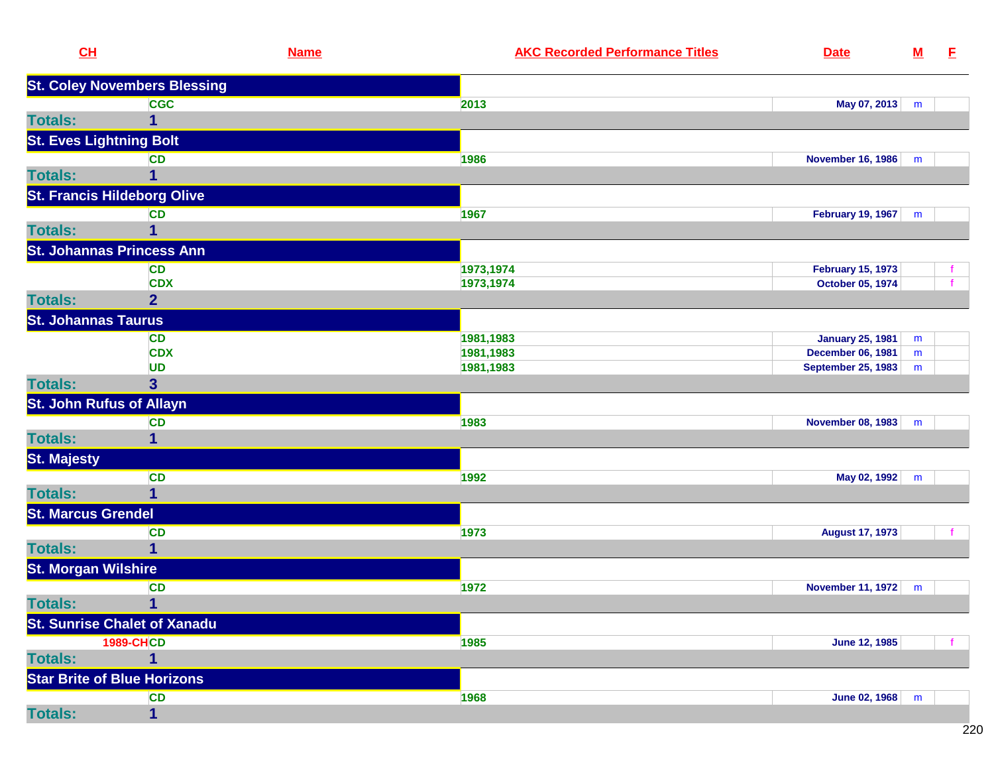|                    | CL                                  | <b>Name</b> | <b>AKC Recorded Performance Titles</b> | <b>Date</b>               | $\underline{\mathsf{M}}$ | E |
|--------------------|-------------------------------------|-------------|----------------------------------------|---------------------------|--------------------------|---|
|                    | <b>St. Coley Novembers Blessing</b> |             |                                        |                           |                          |   |
|                    | <b>CGC</b>                          |             | 2013                                   | May 07, 2013              | m                        |   |
| <b>Totals:</b>     | 1                                   |             |                                        |                           |                          |   |
|                    | <b>St. Eves Lightning Bolt</b>      |             |                                        |                           |                          |   |
|                    | <b>CD</b>                           |             | 1986                                   | <b>November 16, 1986</b>  | m                        |   |
| <b>Totals:</b>     | 1                                   |             |                                        |                           |                          |   |
|                    | <b>St. Francis Hildeborg Olive</b>  |             |                                        |                           |                          |   |
|                    | CD                                  |             | 1967                                   | <b>February 19, 1967</b>  | m                        |   |
| <b>Totals:</b>     | 1                                   |             |                                        |                           |                          |   |
|                    | <b>St. Johannas Princess Ann</b>    |             |                                        |                           |                          |   |
|                    | <b>CD</b>                           |             | 1973,1974                              | <b>February 15, 1973</b>  |                          |   |
|                    | <b>CDX</b>                          |             | 1973,1974                              | October 05, 1974          |                          |   |
| <b>Totals:</b>     | $\overline{2}$                      |             |                                        |                           |                          |   |
|                    | <b>St. Johannas Taurus</b>          |             |                                        |                           |                          |   |
|                    | <b>CD</b>                           |             | 1981,1983                              | <b>January 25, 1981</b>   | m                        |   |
|                    | <b>CDX</b>                          |             | 1981,1983                              | <b>December 06, 1981</b>  | m                        |   |
|                    | <b>UD</b>                           |             | 1981,1983                              | <b>September 25, 1983</b> | m                        |   |
| <b>Totals:</b>     | $\mathbf{3}$                        |             |                                        |                           |                          |   |
|                    | St. John Rufus of Allayn            |             |                                        |                           |                          |   |
|                    | <b>CD</b>                           |             | 1983                                   | <b>November 08, 1983</b>  | m                        |   |
| <b>Totals:</b>     | $\mathbf{1}$                        |             |                                        |                           |                          |   |
| <b>St. Majesty</b> |                                     |             |                                        |                           |                          |   |
|                    | <b>CD</b>                           |             | 1992                                   | May 02, 1992              | m                        |   |
| <b>Totals:</b>     | 1                                   |             |                                        |                           |                          |   |
|                    | <b>St. Marcus Grendel</b>           |             |                                        |                           |                          |   |
|                    | <b>CD</b>                           |             | 1973                                   | <b>August 17, 1973</b>    |                          |   |
| <b>Totals:</b>     | 1                                   |             |                                        |                           |                          |   |
|                    | <b>St. Morgan Wilshire</b>          |             |                                        |                           |                          |   |
|                    | <b>CD</b>                           |             | 1972                                   | <b>November 11, 1972</b>  | m                        |   |
| <b>Totals:</b>     | $\sim$ 1                            |             |                                        |                           |                          |   |
|                    | <b>St. Sunrise Chalet of Xanadu</b> |             |                                        |                           |                          |   |
|                    | <b>1989-CHCD</b>                    |             | 1985                                   | <b>June 12, 1985</b>      |                          |   |
| <b>Totals:</b>     | 1                                   |             |                                        |                           |                          |   |
|                    | <b>Star Brite of Blue Horizons</b>  |             |                                        |                           |                          |   |
|                    | <b>CD</b>                           |             | 1968                                   | June 02, 1968             | m                        |   |
| <b>Totals:</b>     | $\mathbf{1}$                        |             |                                        |                           |                          |   |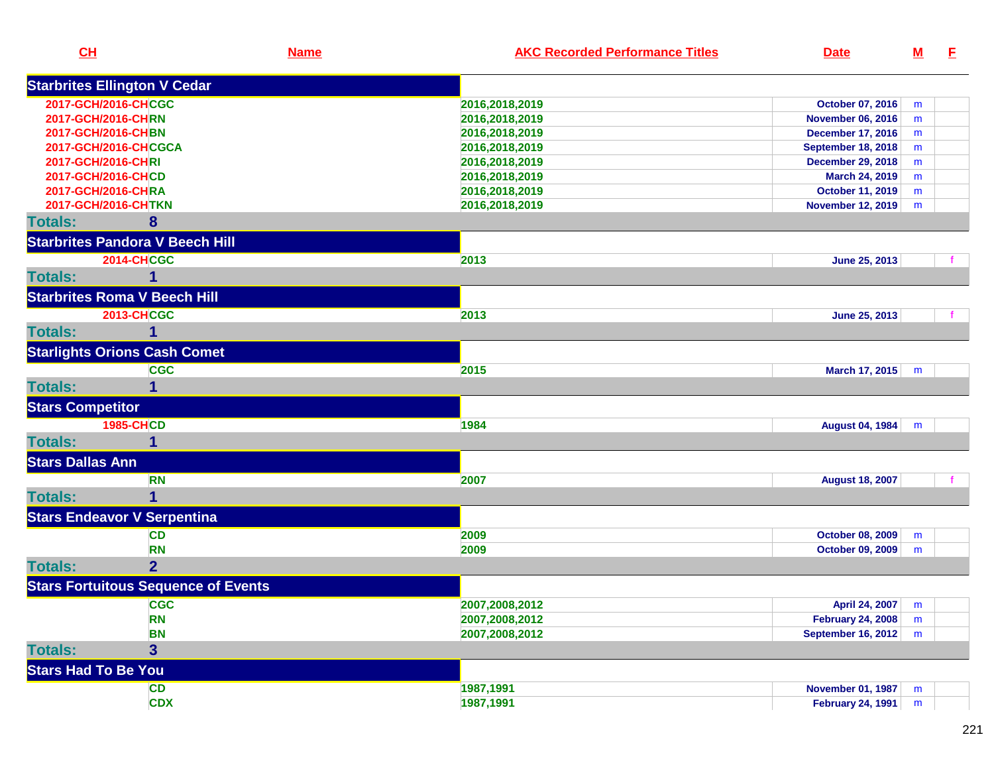| CH                                     | <b>Name</b>                                | <b>AKC Recorded Performance Titles</b> | <b>Date</b>               | $\underline{\mathbf{M}}$ | E |
|----------------------------------------|--------------------------------------------|----------------------------------------|---------------------------|--------------------------|---|
| <b>Starbrites Ellington V Cedar</b>    |                                            |                                        |                           |                          |   |
| 2017-GCH/2016-CHCGC                    |                                            | 2016,2018,2019                         | October 07, 2016          | m                        |   |
| 2017-GCH/2016-CHRN                     |                                            | 2016,2018,2019                         | <b>November 06, 2016</b>  | m                        |   |
| 2017-GCH/2016-CHBN                     |                                            | 2016,2018,2019                         | <b>December 17, 2016</b>  | m                        |   |
| 2017-GCH/2016-CHCGCA                   |                                            | 2016,2018,2019                         | <b>September 18, 2018</b> | m                        |   |
| 2017-GCH/2016-CHRI                     |                                            | 2016,2018,2019                         | <b>December 29, 2018</b>  | m                        |   |
| 2017-GCH/2016-CHCD                     |                                            | 2016,2018,2019                         | March 24, 2019            | m                        |   |
| 2017-GCH/2016-CHRA                     |                                            | 2016,2018,2019                         | <b>October 11, 2019</b>   | m                        |   |
| 2017-GCH/2016-CHTKN                    |                                            | 2016,2018,2019                         | <b>November 12, 2019</b>  | m                        |   |
| <b>Totals:</b>                         | 8                                          |                                        |                           |                          |   |
| <b>Starbrites Pandora V Beech Hill</b> |                                            |                                        |                           |                          |   |
| <b>2014-CHCGC</b>                      |                                            | 2013                                   | June 25, 2013             |                          |   |
| <b>Totals:</b>                         | 1                                          |                                        |                           |                          |   |
| <b>Starbrites Roma V Beech Hill</b>    |                                            |                                        |                           |                          |   |
| <b>2013-CHCGC</b>                      |                                            | 2013                                   | June 25, 2013             |                          |   |
| <b>Totals:</b>                         | 1                                          |                                        |                           |                          |   |
| <b>Starlights Orions Cash Comet</b>    |                                            |                                        |                           |                          |   |
|                                        | <b>CGC</b>                                 | 2015                                   | March 17, 2015            | m                        |   |
| <b>Totals:</b>                         | 1                                          |                                        |                           |                          |   |
| <b>Stars Competitor</b>                |                                            |                                        |                           |                          |   |
| <b>1985-CHCD</b>                       |                                            | 1984                                   | <b>August 04, 1984</b>    | m                        |   |
| <b>Totals:</b>                         | 1                                          |                                        |                           |                          |   |
| <b>Stars Dallas Ann</b>                |                                            |                                        |                           |                          |   |
|                                        | <b>RN</b>                                  | 2007                                   | <b>August 18, 2007</b>    |                          |   |
| <b>Totals:</b>                         | 1                                          |                                        |                           |                          |   |
| <b>Stars Endeavor V Serpentina</b>     |                                            |                                        |                           |                          |   |
|                                        | <b>CD</b>                                  | 2009                                   | October 08, 2009          | m                        |   |
|                                        | <b>RN</b>                                  | 2009                                   | <b>October 09, 2009</b>   | m                        |   |
| <b>Totals:</b>                         | $\overline{2}$                             |                                        |                           |                          |   |
|                                        | <b>Stars Fortuitous Sequence of Events</b> |                                        |                           |                          |   |
|                                        | <b>CGC</b>                                 | 2007,2008,2012                         | April 24, 2007 m          |                          |   |
|                                        | <b>RN</b>                                  | 2007,2008,2012                         | <b>February 24, 2008</b>  | m                        |   |
|                                        | <b>BN</b>                                  | 2007,2008,2012                         | <b>September 16, 2012</b> | m                        |   |
| <b>Totals:</b>                         | $\overline{\mathbf{3}}$                    |                                        |                           |                          |   |
| <b>Stars Had To Be You</b>             |                                            |                                        |                           |                          |   |
|                                        | <b>CD</b>                                  | 1987,1991                              | <b>November 01, 1987</b>  | m                        |   |
|                                        | <b>CDX</b>                                 | 1987,1991                              | <b>February 24, 1991</b>  | m                        |   |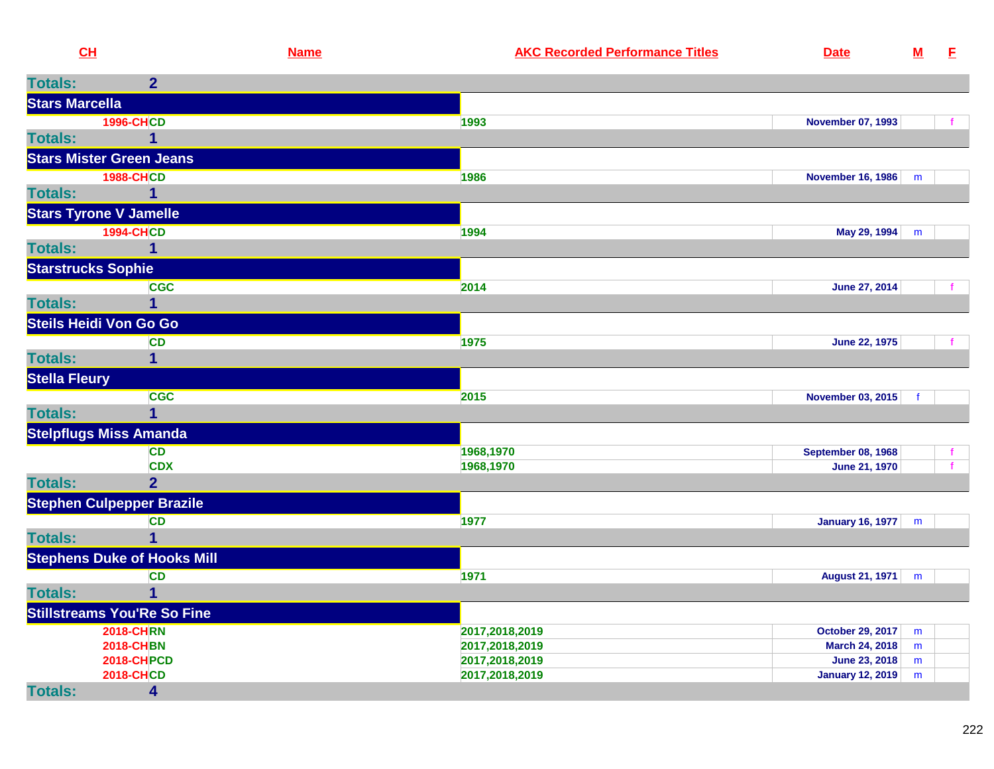| CH                        |                                      | <b>Name</b> | <b>AKC Recorded Performance Titles</b> | <b>Date</b>                     | $\underline{\mathsf{M}}$ | E            |
|---------------------------|--------------------------------------|-------------|----------------------------------------|---------------------------------|--------------------------|--------------|
| <b>Totals:</b>            | 2 <sup>1</sup>                       |             |                                        |                                 |                          |              |
| <b>Stars Marcella</b>     |                                      |             |                                        |                                 |                          |              |
|                           | <b>1996-CHCD</b>                     |             | 1993                                   | <b>November 07, 1993</b>        |                          |              |
| <b>Totals:</b>            | 1                                    |             |                                        |                                 |                          |              |
|                           | <b>Stars Mister Green Jeans</b>      |             |                                        |                                 |                          |              |
|                           | <b>1988-CHCD</b>                     |             | 1986                                   | <b>November 16, 1986</b>        | m                        |              |
| <b>Totals:</b>            | $\mathbf 1$                          |             |                                        |                                 |                          |              |
|                           | <b>Stars Tyrone V Jamelle</b>        |             |                                        |                                 |                          |              |
|                           | <b>1994-CHCD</b>                     |             | 1994                                   | May 29, 1994                    | m                        |              |
| <b>Totals:</b>            | 1                                    |             |                                        |                                 |                          |              |
| <b>Starstrucks Sophie</b> |                                      |             |                                        |                                 |                          |              |
|                           | <b>CGC</b>                           |             | 2014                                   | June 27, 2014                   |                          |              |
| <b>Totals:</b>            | 1                                    |             |                                        |                                 |                          |              |
|                           | Steils Heidi Von Go Go               |             |                                        |                                 |                          |              |
|                           | <b>CD</b>                            |             | 1975                                   | <b>June 22, 1975</b>            |                          |              |
| <b>Totals:</b>            | 1                                    |             |                                        |                                 |                          |              |
| <b>Stella Fleury</b>      |                                      |             |                                        |                                 |                          |              |
|                           | <b>CGC</b>                           |             | 2015                                   | <b>November 03, 2015</b>        | f                        |              |
| <b>Totals:</b>            | $\mathbf 1$                          |             |                                        |                                 |                          |              |
|                           | <b>Stelpflugs Miss Amanda</b>        |             |                                        |                                 |                          |              |
|                           | <b>CD</b>                            |             | 1968,1970                              | <b>September 08, 1968</b>       |                          | $\mathbf{f}$ |
|                           | <b>CDX</b>                           |             | 1968,1970                              | <b>June 21, 1970</b>            |                          | $\mathbf{f}$ |
| <b>Totals:</b>            | $\overline{2}$                       |             |                                        |                                 |                          |              |
|                           | <b>Stephen Culpepper Brazile</b>     |             |                                        |                                 |                          |              |
|                           | <b>CD</b>                            |             | 1977                                   | <b>January 16, 1977</b>         | m                        |              |
| <b>Totals:</b>            | $\mathbf 1$                          |             |                                        |                                 |                          |              |
|                           | <b>Stephens Duke of Hooks Mill</b>   |             |                                        |                                 |                          |              |
|                           | <b>CD</b>                            |             | 1971                                   | August 21, 1971                 | m                        |              |
| <b>Totals:</b>            | 1                                    |             |                                        |                                 |                          |              |
|                           | <b>Stillstreams You'Re So Fine</b>   |             |                                        |                                 |                          |              |
|                           | <b>2018-CHRN</b><br><b>2018-CHBN</b> |             | 2017,2018,2019                         | October 29, 2017                | m                        |              |
|                           | <b>2018-CHPCD</b>                    |             | 2017,2018,2019<br>2017,2018,2019       | March 24, 2018<br>June 23, 2018 | m<br>m                   |              |
|                           | <b>2018-CHCD</b>                     |             | 2017,2018,2019                         | January 12, 2019                | m                        |              |
| <b>Totals:</b>            | 4                                    |             |                                        |                                 |                          |              |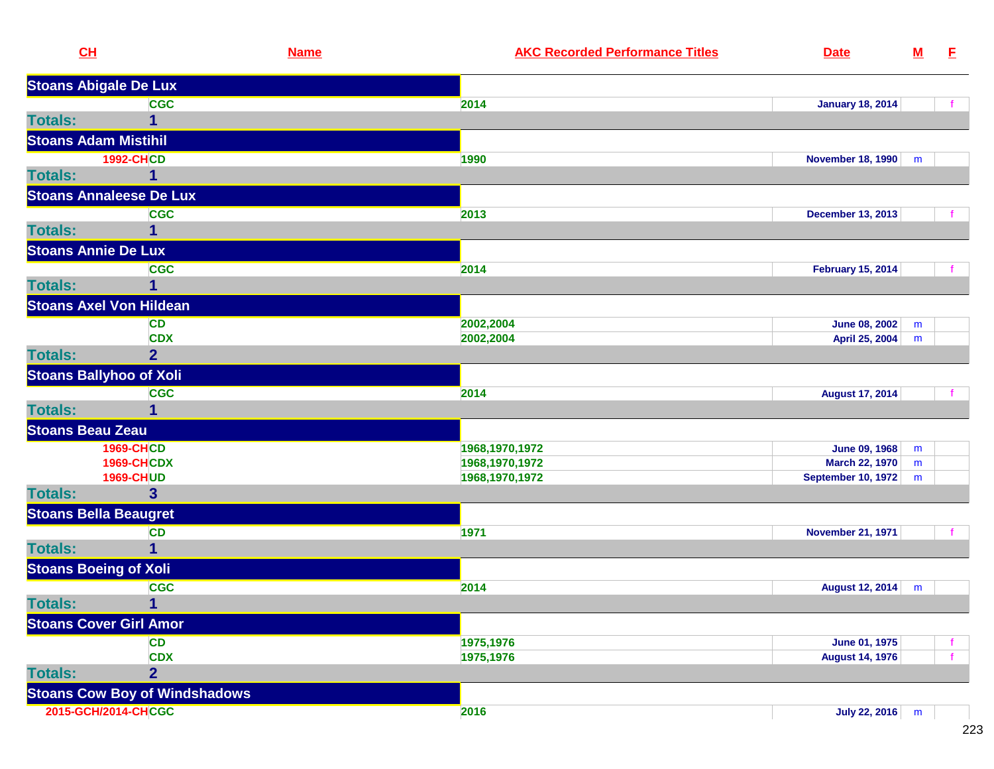| <b>Stoans Abigale De Lux</b><br><b>CGC</b><br>2014<br><b>January 18, 2014</b><br><b>Totals:</b><br>1<br><b>Stoans Adam Mistihil</b><br><b>1992-CHCD</b><br>1990<br><b>November 18, 1990</b><br>m<br><b>Totals:</b><br><b>Stoans Annaleese De Lux</b><br><b>CGC</b><br>2013<br><b>December 13, 2013</b><br><b>Totals:</b><br>1<br><b>Stoans Annie De Lux</b><br><b>CGC</b><br>2014<br><b>February 15, 2014</b><br><b>Totals:</b><br>1<br><b>Stoans Axel Von Hildean</b><br><b>CD</b><br>2002,2004<br><b>June 08, 2002</b><br>m<br><b>CDX</b><br>2002,2004<br>April 25, 2004<br>m<br>2 <sup>1</sup><br><b>Totals:</b><br><b>Stoans Ballyhoo of Xoli</b><br><b>CGC</b><br>2014<br><b>August 17, 2014</b><br><b>Totals:</b><br>1<br><b>Stoans Beau Zeau</b><br><b>1969-CHCD</b><br>1968, 1970, 1972<br><b>June 09, 1968</b><br>m<br><b>1969-CHCDX</b><br>1968, 1970, 1972<br><b>March 22, 1970</b><br>m<br><b>1969-CHUD</b><br>1968, 1970, 1972<br><b>September 10, 1972</b><br>m<br><b>Totals:</b><br>$\mathbf{3}$<br><b>Stoans Bella Beaugret</b><br>1971<br><b>CD</b><br><b>November 21, 1971</b><br><b>Totals:</b><br>1<br><b>Stoans Boeing of Xoli</b><br>2014<br><b>CGC</b><br><b>August 12, 2014</b><br>m<br><b>Totals:</b><br>$\mathbf{1}$<br><b>Stoans Cover Girl Amor</b><br><b>CD</b><br>1975,1976<br>June 01, 1975<br><b>CDX</b><br>1975,1976<br><b>August 14, 1976</b><br><b>Totals:</b><br>$\overline{2}$<br><b>Stoans Cow Boy of Windshadows</b><br>2015-GCH/2014-CHCGC<br><b>July 22, 2016</b><br>2016<br>m | CH | <b>Name</b> | <b>AKC Recorded Performance Titles</b> | <b>Date</b> | ${\bf M}$ | E |
|-------------------------------------------------------------------------------------------------------------------------------------------------------------------------------------------------------------------------------------------------------------------------------------------------------------------------------------------------------------------------------------------------------------------------------------------------------------------------------------------------------------------------------------------------------------------------------------------------------------------------------------------------------------------------------------------------------------------------------------------------------------------------------------------------------------------------------------------------------------------------------------------------------------------------------------------------------------------------------------------------------------------------------------------------------------------------------------------------------------------------------------------------------------------------------------------------------------------------------------------------------------------------------------------------------------------------------------------------------------------------------------------------------------------------------------------------------------------------------------------------------------------------|----|-------------|----------------------------------------|-------------|-----------|---|
|                                                                                                                                                                                                                                                                                                                                                                                                                                                                                                                                                                                                                                                                                                                                                                                                                                                                                                                                                                                                                                                                                                                                                                                                                                                                                                                                                                                                                                                                                                                         |    |             |                                        |             |           |   |
|                                                                                                                                                                                                                                                                                                                                                                                                                                                                                                                                                                                                                                                                                                                                                                                                                                                                                                                                                                                                                                                                                                                                                                                                                                                                                                                                                                                                                                                                                                                         |    |             |                                        |             |           |   |
|                                                                                                                                                                                                                                                                                                                                                                                                                                                                                                                                                                                                                                                                                                                                                                                                                                                                                                                                                                                                                                                                                                                                                                                                                                                                                                                                                                                                                                                                                                                         |    |             |                                        |             |           |   |
|                                                                                                                                                                                                                                                                                                                                                                                                                                                                                                                                                                                                                                                                                                                                                                                                                                                                                                                                                                                                                                                                                                                                                                                                                                                                                                                                                                                                                                                                                                                         |    |             |                                        |             |           |   |
|                                                                                                                                                                                                                                                                                                                                                                                                                                                                                                                                                                                                                                                                                                                                                                                                                                                                                                                                                                                                                                                                                                                                                                                                                                                                                                                                                                                                                                                                                                                         |    |             |                                        |             |           |   |
|                                                                                                                                                                                                                                                                                                                                                                                                                                                                                                                                                                                                                                                                                                                                                                                                                                                                                                                                                                                                                                                                                                                                                                                                                                                                                                                                                                                                                                                                                                                         |    |             |                                        |             |           |   |
|                                                                                                                                                                                                                                                                                                                                                                                                                                                                                                                                                                                                                                                                                                                                                                                                                                                                                                                                                                                                                                                                                                                                                                                                                                                                                                                                                                                                                                                                                                                         |    |             |                                        |             |           |   |
|                                                                                                                                                                                                                                                                                                                                                                                                                                                                                                                                                                                                                                                                                                                                                                                                                                                                                                                                                                                                                                                                                                                                                                                                                                                                                                                                                                                                                                                                                                                         |    |             |                                        |             |           |   |
|                                                                                                                                                                                                                                                                                                                                                                                                                                                                                                                                                                                                                                                                                                                                                                                                                                                                                                                                                                                                                                                                                                                                                                                                                                                                                                                                                                                                                                                                                                                         |    |             |                                        |             |           |   |
|                                                                                                                                                                                                                                                                                                                                                                                                                                                                                                                                                                                                                                                                                                                                                                                                                                                                                                                                                                                                                                                                                                                                                                                                                                                                                                                                                                                                                                                                                                                         |    |             |                                        |             |           |   |
|                                                                                                                                                                                                                                                                                                                                                                                                                                                                                                                                                                                                                                                                                                                                                                                                                                                                                                                                                                                                                                                                                                                                                                                                                                                                                                                                                                                                                                                                                                                         |    |             |                                        |             |           |   |
|                                                                                                                                                                                                                                                                                                                                                                                                                                                                                                                                                                                                                                                                                                                                                                                                                                                                                                                                                                                                                                                                                                                                                                                                                                                                                                                                                                                                                                                                                                                         |    |             |                                        |             |           |   |
|                                                                                                                                                                                                                                                                                                                                                                                                                                                                                                                                                                                                                                                                                                                                                                                                                                                                                                                                                                                                                                                                                                                                                                                                                                                                                                                                                                                                                                                                                                                         |    |             |                                        |             |           |   |
|                                                                                                                                                                                                                                                                                                                                                                                                                                                                                                                                                                                                                                                                                                                                                                                                                                                                                                                                                                                                                                                                                                                                                                                                                                                                                                                                                                                                                                                                                                                         |    |             |                                        |             |           |   |
|                                                                                                                                                                                                                                                                                                                                                                                                                                                                                                                                                                                                                                                                                                                                                                                                                                                                                                                                                                                                                                                                                                                                                                                                                                                                                                                                                                                                                                                                                                                         |    |             |                                        |             |           |   |
|                                                                                                                                                                                                                                                                                                                                                                                                                                                                                                                                                                                                                                                                                                                                                                                                                                                                                                                                                                                                                                                                                                                                                                                                                                                                                                                                                                                                                                                                                                                         |    |             |                                        |             |           |   |
|                                                                                                                                                                                                                                                                                                                                                                                                                                                                                                                                                                                                                                                                                                                                                                                                                                                                                                                                                                                                                                                                                                                                                                                                                                                                                                                                                                                                                                                                                                                         |    |             |                                        |             |           |   |
|                                                                                                                                                                                                                                                                                                                                                                                                                                                                                                                                                                                                                                                                                                                                                                                                                                                                                                                                                                                                                                                                                                                                                                                                                                                                                                                                                                                                                                                                                                                         |    |             |                                        |             |           |   |
|                                                                                                                                                                                                                                                                                                                                                                                                                                                                                                                                                                                                                                                                                                                                                                                                                                                                                                                                                                                                                                                                                                                                                                                                                                                                                                                                                                                                                                                                                                                         |    |             |                                        |             |           |   |
|                                                                                                                                                                                                                                                                                                                                                                                                                                                                                                                                                                                                                                                                                                                                                                                                                                                                                                                                                                                                                                                                                                                                                                                                                                                                                                                                                                                                                                                                                                                         |    |             |                                        |             |           |   |
|                                                                                                                                                                                                                                                                                                                                                                                                                                                                                                                                                                                                                                                                                                                                                                                                                                                                                                                                                                                                                                                                                                                                                                                                                                                                                                                                                                                                                                                                                                                         |    |             |                                        |             |           |   |
|                                                                                                                                                                                                                                                                                                                                                                                                                                                                                                                                                                                                                                                                                                                                                                                                                                                                                                                                                                                                                                                                                                                                                                                                                                                                                                                                                                                                                                                                                                                         |    |             |                                        |             |           |   |
|                                                                                                                                                                                                                                                                                                                                                                                                                                                                                                                                                                                                                                                                                                                                                                                                                                                                                                                                                                                                                                                                                                                                                                                                                                                                                                                                                                                                                                                                                                                         |    |             |                                        |             |           |   |
|                                                                                                                                                                                                                                                                                                                                                                                                                                                                                                                                                                                                                                                                                                                                                                                                                                                                                                                                                                                                                                                                                                                                                                                                                                                                                                                                                                                                                                                                                                                         |    |             |                                        |             |           |   |
|                                                                                                                                                                                                                                                                                                                                                                                                                                                                                                                                                                                                                                                                                                                                                                                                                                                                                                                                                                                                                                                                                                                                                                                                                                                                                                                                                                                                                                                                                                                         |    |             |                                        |             |           |   |
|                                                                                                                                                                                                                                                                                                                                                                                                                                                                                                                                                                                                                                                                                                                                                                                                                                                                                                                                                                                                                                                                                                                                                                                                                                                                                                                                                                                                                                                                                                                         |    |             |                                        |             |           |   |
|                                                                                                                                                                                                                                                                                                                                                                                                                                                                                                                                                                                                                                                                                                                                                                                                                                                                                                                                                                                                                                                                                                                                                                                                                                                                                                                                                                                                                                                                                                                         |    |             |                                        |             |           |   |
|                                                                                                                                                                                                                                                                                                                                                                                                                                                                                                                                                                                                                                                                                                                                                                                                                                                                                                                                                                                                                                                                                                                                                                                                                                                                                                                                                                                                                                                                                                                         |    |             |                                        |             |           |   |
|                                                                                                                                                                                                                                                                                                                                                                                                                                                                                                                                                                                                                                                                                                                                                                                                                                                                                                                                                                                                                                                                                                                                                                                                                                                                                                                                                                                                                                                                                                                         |    |             |                                        |             |           |   |
|                                                                                                                                                                                                                                                                                                                                                                                                                                                                                                                                                                                                                                                                                                                                                                                                                                                                                                                                                                                                                                                                                                                                                                                                                                                                                                                                                                                                                                                                                                                         |    |             |                                        |             |           |   |
|                                                                                                                                                                                                                                                                                                                                                                                                                                                                                                                                                                                                                                                                                                                                                                                                                                                                                                                                                                                                                                                                                                                                                                                                                                                                                                                                                                                                                                                                                                                         |    |             |                                        |             |           |   |
|                                                                                                                                                                                                                                                                                                                                                                                                                                                                                                                                                                                                                                                                                                                                                                                                                                                                                                                                                                                                                                                                                                                                                                                                                                                                                                                                                                                                                                                                                                                         |    |             |                                        |             |           |   |
|                                                                                                                                                                                                                                                                                                                                                                                                                                                                                                                                                                                                                                                                                                                                                                                                                                                                                                                                                                                                                                                                                                                                                                                                                                                                                                                                                                                                                                                                                                                         |    |             |                                        |             |           |   |
|                                                                                                                                                                                                                                                                                                                                                                                                                                                                                                                                                                                                                                                                                                                                                                                                                                                                                                                                                                                                                                                                                                                                                                                                                                                                                                                                                                                                                                                                                                                         |    |             |                                        |             |           |   |
|                                                                                                                                                                                                                                                                                                                                                                                                                                                                                                                                                                                                                                                                                                                                                                                                                                                                                                                                                                                                                                                                                                                                                                                                                                                                                                                                                                                                                                                                                                                         |    |             |                                        |             |           |   |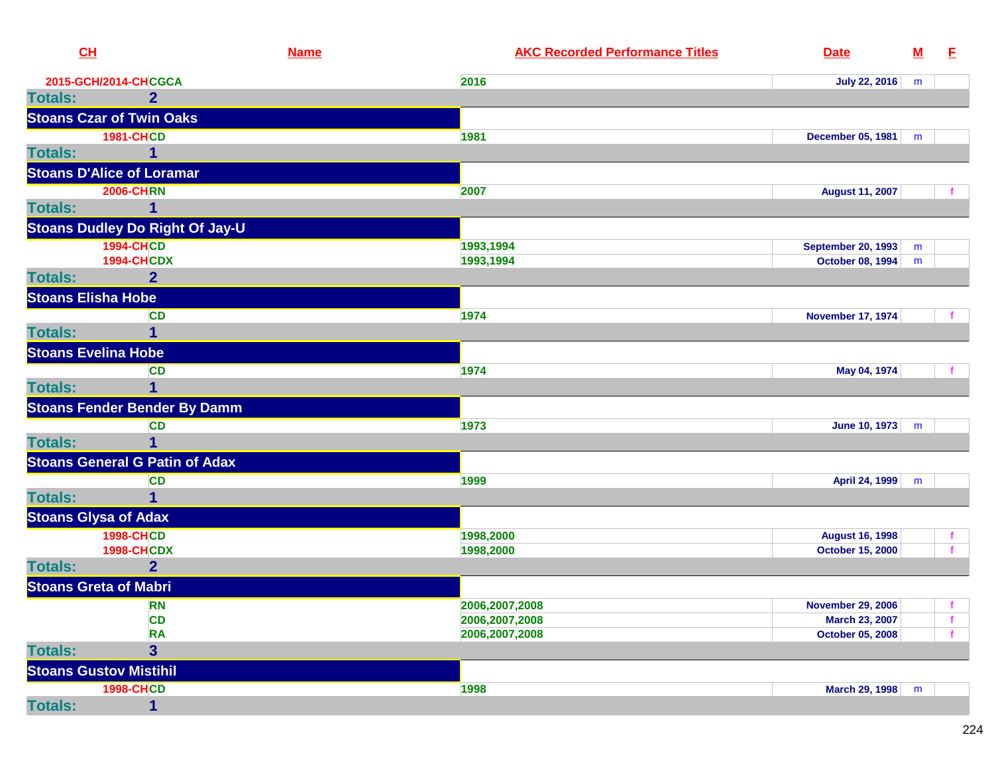| CL                         |                                        | <b>Name</b> | <b>AKC Recorded Performance Titles</b> | <b>Date</b>               | ${\bf M}$ | E |
|----------------------------|----------------------------------------|-------------|----------------------------------------|---------------------------|-----------|---|
|                            | 2015-GCH/2014-CHCGCA                   |             | 2016                                   | <b>July 22, 2016</b>      | m         |   |
| <b>Totals:</b>             | $\mathbf{2}$                           |             |                                        |                           |           |   |
|                            | <b>Stoans Czar of Twin Oaks</b>        |             |                                        |                           |           |   |
|                            | <b>1981-CHCD</b>                       |             | 1981                                   | <b>December 05, 1981</b>  | m         |   |
| <b>Totals:</b>             |                                        |             |                                        |                           |           |   |
|                            | <b>Stoans D'Alice of Loramar</b>       |             |                                        |                           |           |   |
|                            | <b>2006-CHRN</b>                       |             | 2007                                   | <b>August 11, 2007</b>    |           |   |
| <b>Totals:</b>             | 1                                      |             |                                        |                           |           |   |
|                            | <b>Stoans Dudley Do Right Of Jay-U</b> |             |                                        |                           |           |   |
|                            | <b>1994-CHCD</b>                       |             | 1993,1994                              | <b>September 20, 1993</b> | m         |   |
|                            | <b>1994-CHCDX</b>                      |             | 1993,1994                              | October 08, 1994          | m         |   |
| <b>Totals:</b>             | $\overline{2}$                         |             |                                        |                           |           |   |
| <b>Stoans Elisha Hobe</b>  |                                        |             |                                        |                           |           |   |
|                            | <b>CD</b>                              |             | 1974                                   | <b>November 17, 1974</b>  |           |   |
| <b>Totals:</b>             | 1                                      |             |                                        |                           |           |   |
| <b>Stoans Evelina Hobe</b> |                                        |             |                                        |                           |           |   |
|                            | <b>CD</b>                              |             | 1974                                   | May 04, 1974              |           |   |
| <b>Totals:</b>             | 1                                      |             |                                        |                           |           |   |
|                            | <b>Stoans Fender Bender By Damm</b>    |             |                                        |                           |           |   |
|                            | <b>CD</b>                              |             | 1973                                   | June 10, 1973             | m         |   |
| <b>Totals:</b>             | 1                                      |             |                                        |                           |           |   |
|                            | <b>Stoans General G Patin of Adax</b>  |             |                                        |                           |           |   |
|                            | <b>CD</b>                              |             | 1999                                   | April 24, 1999            | m         |   |
| <b>Totals:</b>             | 1                                      |             |                                        |                           |           |   |
|                            | <b>Stoans Glysa of Adax</b>            |             |                                        |                           |           |   |
|                            | <b>1998-CHCD</b>                       |             | 1998,2000                              | <b>August 16, 1998</b>    |           |   |
|                            | <b>1998-CHCDX</b>                      |             | 1998,2000                              | <b>October 15, 2000</b>   |           |   |
| <b>Totals:</b>             | $\overline{2}$                         |             |                                        |                           |           |   |
|                            | <b>Stoans Greta of Mabri</b>           |             |                                        |                           |           |   |
|                            | <b>RN</b>                              |             | 2006,2007,2008                         | <b>November 29, 2006</b>  |           |   |
|                            | <b>CD</b>                              |             | 2006,2007,2008                         | March 23, 2007            |           |   |
|                            | <b>RA</b>                              |             | 2006,2007,2008                         | <b>October 05, 2008</b>   |           |   |
| <b>Totals:</b>             | $\overline{\mathbf{3}}$                |             |                                        |                           |           |   |
|                            | <b>Stoans Gustov Mistihil</b>          |             |                                        |                           |           |   |
|                            | <b>1998-CHCD</b>                       |             | 1998                                   | March 29, 1998            | m         |   |
| <b>Totals:</b>             | $\mathbf{1}$                           |             |                                        |                           |           |   |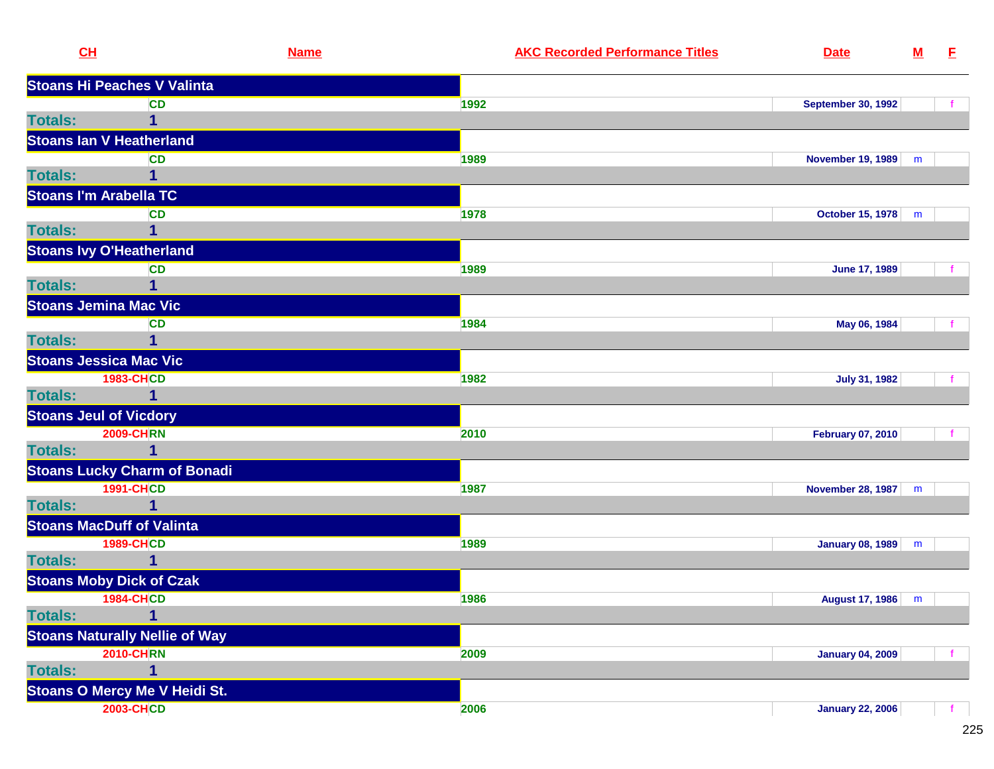|                | CL                                    | <b>Name</b> | <b>AKC Recorded Performance Titles</b> | <b>Date</b>               | $\underline{\mathbf{M}}$ | E. |
|----------------|---------------------------------------|-------------|----------------------------------------|---------------------------|--------------------------|----|
|                | <b>Stoans Hi Peaches V Valinta</b>    |             |                                        |                           |                          |    |
|                | <b>CD</b>                             |             | 1992                                   | <b>September 30, 1992</b> |                          |    |
| <b>Totals:</b> | 1                                     |             |                                        |                           |                          |    |
|                | <b>Stoans Ian V Heatherland</b>       |             |                                        |                           |                          |    |
|                | <b>CD</b>                             |             | 1989                                   | <b>November 19, 1989</b>  | m                        |    |
| <b>Totals:</b> |                                       |             |                                        |                           |                          |    |
|                | Stoans I'm Arabella TC                |             |                                        |                           |                          |    |
|                | <b>CD</b>                             |             | 1978                                   | October 15, 1978          | m                        |    |
| <b>Totals:</b> | 1                                     |             |                                        |                           |                          |    |
|                | <b>Stoans Ivy O'Heatherland</b>       |             |                                        |                           |                          |    |
|                | <b>CD</b>                             |             | 1989                                   | <b>June 17, 1989</b>      |                          |    |
| <b>Totals:</b> | 1                                     |             |                                        |                           |                          |    |
|                | <b>Stoans Jemina Mac Vic</b>          |             |                                        |                           |                          |    |
|                | <b>CD</b>                             |             | 1984                                   | May 06, 1984              |                          |    |
| <b>Totals:</b> | 1                                     |             |                                        |                           |                          |    |
|                | <b>Stoans Jessica Mac Vic</b>         |             |                                        |                           |                          |    |
|                | <b>1983-CHCD</b>                      |             | 1982                                   | <b>July 31, 1982</b>      |                          |    |
| <b>Totals:</b> | 1                                     |             |                                        |                           |                          |    |
|                | <b>Stoans Jeul of Vicdory</b>         |             |                                        |                           |                          |    |
|                | <b>2009-CHRN</b>                      |             | 2010                                   | <b>February 07, 2010</b>  |                          |    |
| <b>Totals:</b> | 1                                     |             |                                        |                           |                          |    |
|                | <b>Stoans Lucky Charm of Bonadi</b>   |             |                                        |                           |                          |    |
|                | <b>1991-CHCD</b>                      |             | 1987                                   | <b>November 28, 1987</b>  | m                        |    |
| <b>Totals:</b> | 1                                     |             |                                        |                           |                          |    |
|                | <b>Stoans MacDuff of Valinta</b>      |             |                                        |                           |                          |    |
|                | <b>1989-CHCD</b>                      |             | 1989                                   | January 08, 1989          | m                        |    |
| <b>Totals:</b> |                                       |             |                                        |                           |                          |    |
|                | <b>Stoans Moby Dick of Czak</b>       |             |                                        |                           |                          |    |
|                | <b>1984-CHCD</b>                      |             | 1986                                   | <b>August 17, 1986</b>    | m                        |    |
| <b>Totals:</b> | 1                                     |             |                                        |                           |                          |    |
|                | <b>Stoans Naturally Nellie of Way</b> |             |                                        |                           |                          |    |
|                | <b>2010-CHRN</b>                      |             | 2009                                   | <b>January 04, 2009</b>   |                          |    |
| <b>Totals:</b> | 1                                     |             |                                        |                           |                          |    |
|                | Stoans O Mercy Me V Heidi St.         |             |                                        |                           |                          |    |
|                | <b>2003-CHCD</b>                      |             | 2006                                   | <b>January 22, 2006</b>   |                          |    |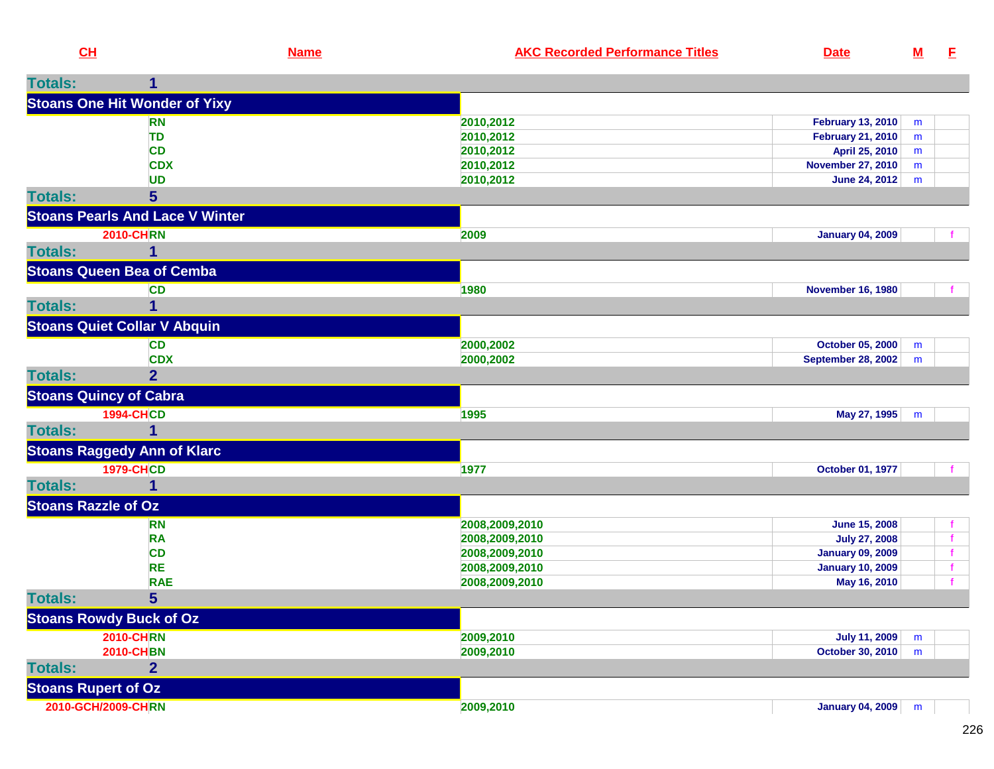| CH                         |                                        | <b>Name</b> | <b>AKC Recorded Performance Titles</b> | <b>Date</b>               | ${\bf M}$ | Е |
|----------------------------|----------------------------------------|-------------|----------------------------------------|---------------------------|-----------|---|
| <b>Totals:</b>             | 1                                      |             |                                        |                           |           |   |
|                            | <b>Stoans One Hit Wonder of Yixy</b>   |             |                                        |                           |           |   |
|                            | <b>RN</b>                              |             | 2010,2012                              | <b>February 13, 2010</b>  | m         |   |
|                            | TD                                     |             | 2010,2012                              | <b>February 21, 2010</b>  | m         |   |
|                            | <b>CD</b>                              |             | 2010,2012                              | April 25, 2010            | m         |   |
|                            | <b>CDX</b>                             |             | 2010,2012                              | <b>November 27, 2010</b>  | m         |   |
|                            | <b>UD</b>                              |             | 2010,2012                              | June 24, 2012             | m         |   |
| <b>Totals:</b>             | 5                                      |             |                                        |                           |           |   |
|                            | <b>Stoans Pearls And Lace V Winter</b> |             |                                        |                           |           |   |
|                            | <b>2010-CHRN</b>                       |             | 2009                                   | <b>January 04, 2009</b>   |           |   |
| <b>Totals:</b>             |                                        |             |                                        |                           |           |   |
|                            | <b>Stoans Queen Bea of Cemba</b>       |             |                                        |                           |           |   |
|                            | <b>CD</b>                              |             | 1980                                   | <b>November 16, 1980</b>  |           |   |
| <b>Totals:</b>             | 1                                      |             |                                        |                           |           |   |
|                            | <b>Stoans Quiet Collar V Abquin</b>    |             |                                        |                           |           |   |
|                            | <b>CD</b>                              |             | 2000,2002                              | October 05, 2000          | m         |   |
|                            | <b>CDX</b>                             |             | 2000,2002                              | <b>September 28, 2002</b> | m         |   |
| <b>Totals:</b>             | $\overline{2}$                         |             |                                        |                           |           |   |
|                            | <b>Stoans Quincy of Cabra</b>          |             |                                        |                           |           |   |
|                            | <b>1994-CHCD</b>                       |             | 1995                                   | May 27, 1995              | m         |   |
| <b>Totals:</b>             | 1                                      |             |                                        |                           |           |   |
|                            | <b>Stoans Raggedy Ann of Klarc</b>     |             |                                        |                           |           |   |
|                            | <b>1979-CHCD</b>                       |             | 1977                                   | October 01, 1977          |           |   |
| <b>Totals:</b>             | 1                                      |             |                                        |                           |           |   |
| <b>Stoans Razzle of Oz</b> |                                        |             |                                        |                           |           |   |
|                            | <b>RN</b>                              |             | 2008,2009,2010                         | <b>June 15, 2008</b>      |           |   |
|                            | <b>RA</b>                              |             | 2008,2009,2010                         | <b>July 27, 2008</b>      |           |   |
|                            | <b>CD</b>                              |             | 2008,2009,2010                         | <b>January 09, 2009</b>   |           |   |
|                            | <b>RE</b>                              |             | 2008,2009,2010                         | <b>January 10, 2009</b>   |           | f |
|                            | <b>RAE</b>                             |             | 2008,2009,2010                         | May 16, 2010              |           | f |
| <b>Totals:</b>             | 5                                      |             |                                        |                           |           |   |
|                            | <b>Stoans Rowdy Buck of Oz</b>         |             |                                        |                           |           |   |
|                            | <b>2010-CHRN</b>                       |             | 2009,2010                              | <b>July 11, 2009</b>      | m         |   |
|                            | <b>2010-CHBN</b>                       |             | 2009,2010                              | <b>October 30, 2010</b>   | m         |   |
| <b>Totals:</b>             | $\overline{2}$                         |             |                                        |                           |           |   |
| <b>Stoans Rupert of Oz</b> |                                        |             |                                        |                           |           |   |
|                            | 2010-GCH/2009-CHRN                     |             | 2009,2010                              | January 04, 2009          | m         |   |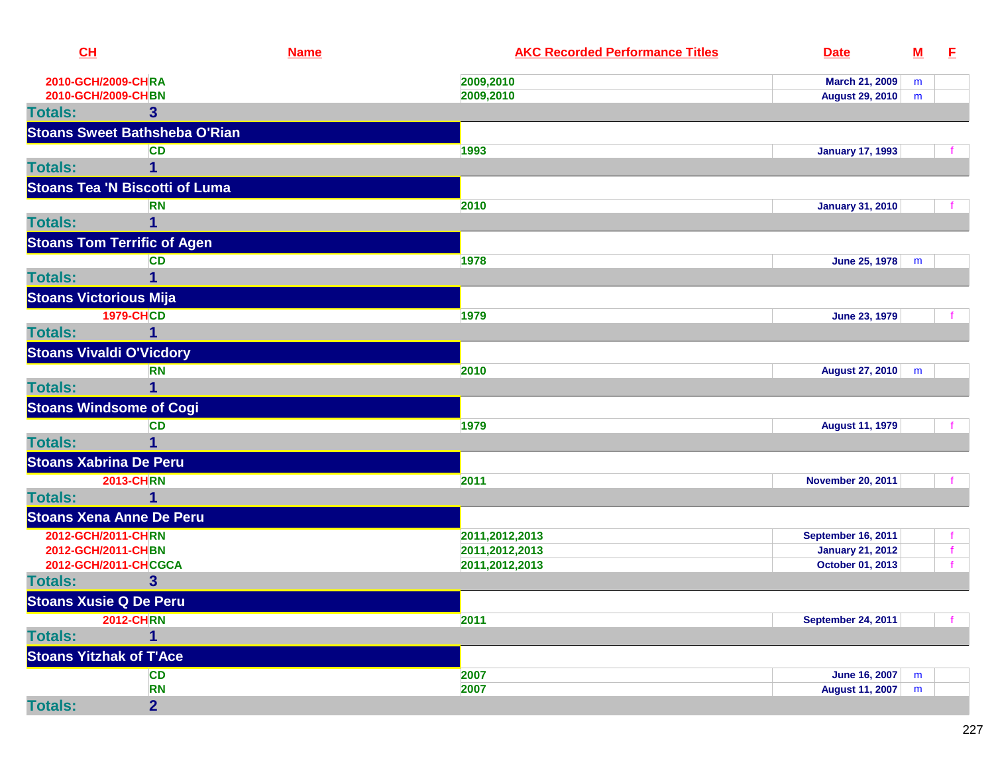| CL                              |                                       | <b>Name</b> | <b>AKC Recorded Performance Titles</b> | <b>Date</b>                                    | $\underline{\mathsf{M}}$ | E |
|---------------------------------|---------------------------------------|-------------|----------------------------------------|------------------------------------------------|--------------------------|---|
| 2010-GCH/2009-CHRA              |                                       |             | 2009,2010                              | March 21, 2009                                 | m                        |   |
| 2010-GCH/2009-CHBN              |                                       |             | 2009,2010                              | <b>August 29, 2010</b>                         | m                        |   |
| <b>Totals:</b>                  | 3                                     |             |                                        |                                                |                          |   |
|                                 | <b>Stoans Sweet Bathsheba O'Rian</b>  |             |                                        |                                                |                          |   |
|                                 | CD                                    |             | 1993                                   | <b>January 17, 1993</b>                        |                          |   |
| <b>Totals:</b>                  | 1                                     |             |                                        |                                                |                          |   |
|                                 | <b>Stoans Tea 'N Biscotti of Luma</b> |             |                                        |                                                |                          |   |
|                                 | <b>RN</b>                             |             | 2010                                   | <b>January 31, 2010</b>                        |                          |   |
| <b>Totals:</b>                  | 1                                     |             |                                        |                                                |                          |   |
|                                 | <b>Stoans Tom Terrific of Agen</b>    |             |                                        |                                                |                          |   |
|                                 | <b>CD</b>                             |             | 1978                                   | June 25, 1978                                  | m                        |   |
| <b>Totals:</b>                  | 1                                     |             |                                        |                                                |                          |   |
| <b>Stoans Victorious Mija</b>   |                                       |             |                                        |                                                |                          |   |
|                                 | <b>1979-CHCD</b>                      |             | 1979                                   | <b>June 23, 1979</b>                           |                          |   |
| <b>Totals:</b>                  | 1                                     |             |                                        |                                                |                          |   |
| <b>Stoans Vivaldi O'Vicdory</b> |                                       |             |                                        |                                                |                          |   |
|                                 | <b>RN</b>                             |             | 2010                                   | August 27, 2010                                | m                        |   |
| <b>Totals:</b>                  | $\overline{1}$                        |             |                                        |                                                |                          |   |
|                                 | <b>Stoans Windsome of Cogi</b>        |             |                                        |                                                |                          |   |
|                                 | <b>CD</b>                             |             | 1979                                   | <b>August 11, 1979</b>                         |                          |   |
| <b>Totals:</b>                  | 1                                     |             |                                        |                                                |                          |   |
| <b>Stoans Xabrina De Peru</b>   |                                       |             |                                        |                                                |                          |   |
|                                 | <b>2013-CHRN</b>                      |             | 2011                                   | <b>November 20, 2011</b>                       |                          |   |
| <b>Totals:</b>                  | 1                                     |             |                                        |                                                |                          |   |
|                                 | <b>Stoans Xena Anne De Peru</b>       |             |                                        |                                                |                          |   |
| 2012-GCH/2011-CHRN              |                                       |             | 2011,2012,2013                         | <b>September 16, 2011</b>                      |                          |   |
| 2012-GCH/2011-CHBN              |                                       |             | 2011,2012,2013                         | <b>January 21, 2012</b>                        |                          | f |
|                                 | 2012-GCH/2011-CHCGCA                  |             | 2011,2012,2013                         | October 01, 2013                               |                          |   |
| <b>Totals:</b>                  | 3                                     |             |                                        |                                                |                          |   |
| <b>Stoans Xusie Q De Peru</b>   |                                       |             |                                        |                                                |                          |   |
|                                 | <b>2012-CHRN</b>                      |             | 2011                                   | <b>September 24, 2011</b>                      |                          |   |
| <b>Totals:</b>                  | 1                                     |             |                                        |                                                |                          |   |
| <b>Stoans Yitzhak of T'Ace</b>  |                                       |             |                                        |                                                |                          |   |
|                                 | <b>CD</b>                             |             | 2007<br>2007                           | <b>June 16, 2007</b><br><b>August 11, 2007</b> | m                        |   |
| <b>Totals:</b>                  | <b>RN</b><br>$\overline{2}$           |             |                                        |                                                | m                        |   |
|                                 |                                       |             |                                        |                                                |                          |   |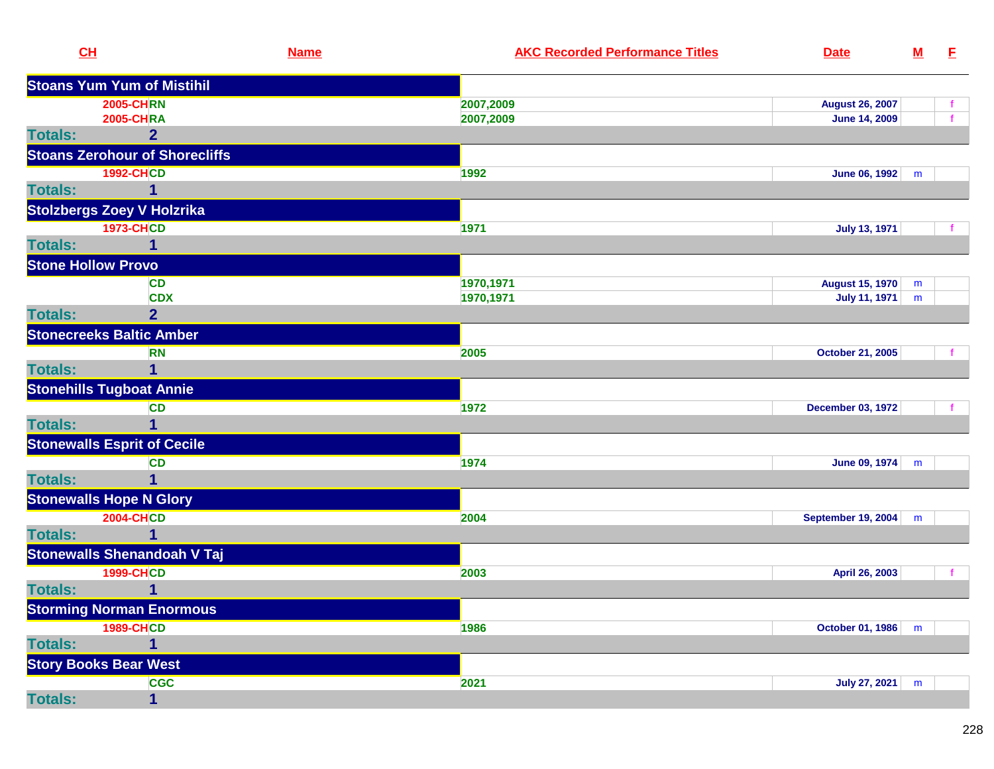| CL                           |                                       | <b>Name</b> | <b>AKC Recorded Performance Titles</b> | <b>Date</b>               | $\underline{\mathbf{M}}$ | E            |
|------------------------------|---------------------------------------|-------------|----------------------------------------|---------------------------|--------------------------|--------------|
|                              | <b>Stoans Yum Yum of Mistihil</b>     |             |                                        |                           |                          |              |
|                              | <b>2005-CHRN</b>                      |             | 2007,2009                              | <b>August 26, 2007</b>    |                          |              |
|                              | <b>2005-CHRA</b>                      |             | 2007,2009                              | <b>June 14, 2009</b>      |                          | $\mathbf{f}$ |
| <b>Totals:</b>               | $\overline{2}$                        |             |                                        |                           |                          |              |
|                              | <b>Stoans Zerohour of Shorecliffs</b> |             |                                        |                           |                          |              |
|                              | <b>1992-CHCD</b>                      |             | 1992                                   | <b>June 06, 1992</b>      | m                        |              |
| <b>Totals:</b>               | 1                                     |             |                                        |                           |                          |              |
|                              | <b>Stolzbergs Zoey V Holzrika</b>     |             |                                        |                           |                          |              |
|                              | <b>1973-CHCD</b>                      |             | 1971                                   | <b>July 13, 1971</b>      |                          |              |
| <b>Totals:</b>               |                                       |             |                                        |                           |                          |              |
| <b>Stone Hollow Provo</b>    |                                       |             |                                        |                           |                          |              |
|                              | <b>CD</b>                             |             | 1970,1971                              | August 15, 1970           | m                        |              |
|                              | <b>CDX</b>                            |             | 1970,1971                              | <b>July 11, 1971</b>      | m                        |              |
| <b>Totals:</b>               | $\overline{2}$                        |             |                                        |                           |                          |              |
|                              | <b>Stonecreeks Baltic Amber</b>       |             |                                        |                           |                          |              |
|                              | <b>RN</b>                             |             | 2005                                   | <b>October 21, 2005</b>   |                          |              |
| <b>Totals:</b>               |                                       |             |                                        |                           |                          |              |
|                              | <b>Stonehills Tugboat Annie</b>       |             |                                        |                           |                          |              |
|                              | <b>CD</b>                             |             | 1972                                   | <b>December 03, 1972</b>  |                          |              |
| <b>Totals:</b>               | 1                                     |             |                                        |                           |                          |              |
|                              | <b>Stonewalls Esprit of Cecile</b>    |             |                                        |                           |                          |              |
|                              | <b>CD</b>                             |             | 1974                                   | June 09, 1974             | m                        |              |
| <b>Totals:</b>               | 1                                     |             |                                        |                           |                          |              |
|                              | <b>Stonewalls Hope N Glory</b>        |             |                                        |                           |                          |              |
|                              | <b>2004-CHCD</b>                      |             | 2004                                   | <b>September 19, 2004</b> | m                        |              |
| <b>Totals:</b>               |                                       |             |                                        |                           |                          |              |
|                              | <b>Stonewalls Shenandoah V Taj</b>    |             |                                        |                           |                          |              |
|                              | <b>1999-CHCD</b>                      |             | 2003                                   | April 26, 2003            |                          |              |
| <b>Totals:</b>               | 1                                     |             |                                        |                           |                          |              |
|                              | <b>Storming Norman Enormous</b>       |             |                                        |                           |                          |              |
|                              | <b>1989-CHCD</b>                      |             | 1986                                   | October 01, 1986 m        |                          |              |
| <b>Totals:</b>               | 1                                     |             |                                        |                           |                          |              |
| <b>Story Books Bear West</b> |                                       |             |                                        |                           |                          |              |
|                              | <b>CGC</b>                            |             | 2021                                   | <b>July 27, 2021</b>      | m                        |              |
| <b>Totals:</b>               | $\mathbf{1}$                          |             |                                        |                           |                          |              |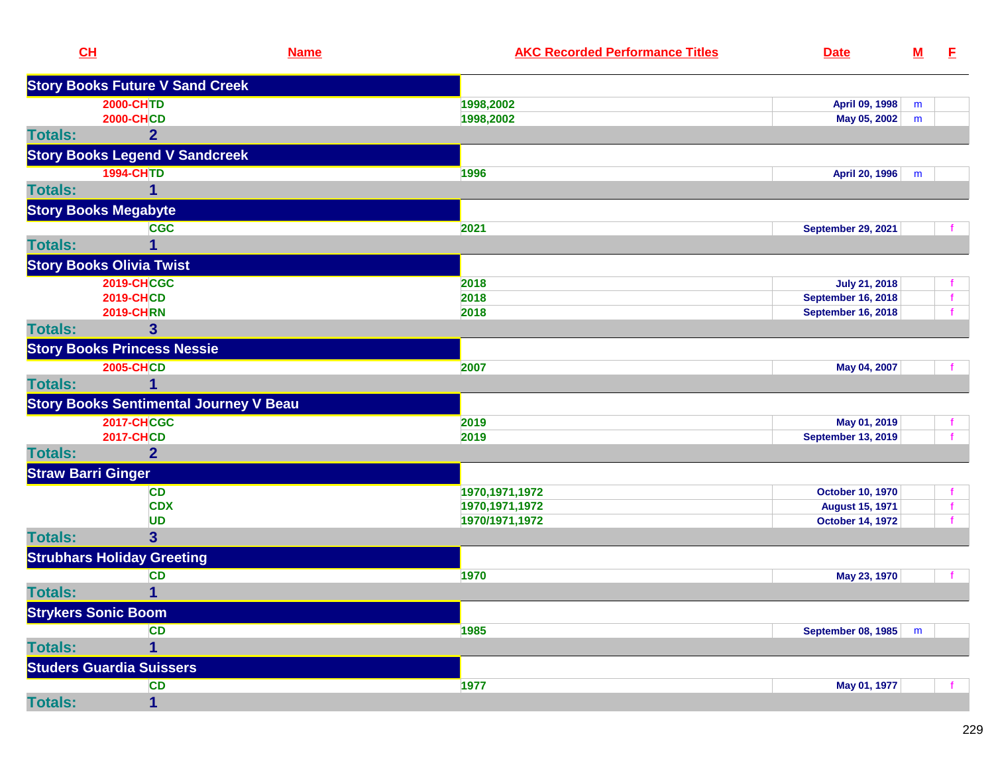| CL                          | <b>Name</b>                                   | <b>AKC Recorded Performance Titles</b> | <b>Date</b>               | $\underline{\mathbf{M}}$ | E.           |
|-----------------------------|-----------------------------------------------|----------------------------------------|---------------------------|--------------------------|--------------|
|                             | <b>Story Books Future V Sand Creek</b>        |                                        |                           |                          |              |
|                             | <b>2000-CHTD</b>                              | 1998,2002                              | April 09, 1998            | m                        |              |
|                             | <b>2000-CHCD</b>                              | 1998,2002                              | May 05, 2002              | m                        |              |
| <b>Totals:</b>              | $\overline{2}$                                |                                        |                           |                          |              |
|                             | <b>Story Books Legend V Sandcreek</b>         |                                        |                           |                          |              |
|                             | <b>1994-CHTD</b>                              | 1996                                   | April 20, 1996            | m                        |              |
| <b>Totals:</b>              | 1                                             |                                        |                           |                          |              |
| <b>Story Books Megabyte</b> |                                               |                                        |                           |                          |              |
|                             | <b>CGC</b>                                    | 2021                                   | <b>September 29, 2021</b> |                          |              |
| <b>Totals:</b>              | 1                                             |                                        |                           |                          |              |
|                             | <b>Story Books Olivia Twist</b>               |                                        |                           |                          |              |
|                             | <b>2019-CHCGC</b>                             | 2018                                   | <b>July 21, 2018</b>      |                          |              |
|                             | <b>2019-CHCD</b>                              | 2018                                   | <b>September 16, 2018</b> |                          | $\mathbf{f}$ |
|                             | <b>2019-CHRN</b>                              | 2018                                   | <b>September 16, 2018</b> |                          |              |
| <b>Totals:</b>              | $\mathbf{3}$                                  |                                        |                           |                          |              |
|                             | <b>Story Books Princess Nessie</b>            |                                        |                           |                          |              |
|                             | <b>2005-CHCD</b>                              | 2007                                   | May 04, 2007              |                          |              |
| <b>Totals:</b>              |                                               |                                        |                           |                          |              |
|                             | <b>Story Books Sentimental Journey V Beau</b> |                                        |                           |                          |              |
|                             | <b>2017-CHCGC</b>                             | 2019                                   | May 01, 2019              |                          |              |
|                             | <b>2017-CHCD</b>                              | 2019                                   | <b>September 13, 2019</b> |                          |              |
| <b>Totals:</b>              | $\overline{2}$                                |                                        |                           |                          |              |
| <b>Straw Barri Ginger</b>   |                                               |                                        |                           |                          |              |
|                             | <b>CD</b>                                     | 1970, 1971, 1972                       | <b>October 10, 1970</b>   |                          | f            |
|                             | <b>CDX</b>                                    | 1970, 1971, 1972                       | <b>August 15, 1971</b>    |                          | f            |
|                             | UD                                            | 1970/1971,1972                         | <b>October 14, 1972</b>   |                          | f            |
| <b>Totals:</b>              | $\overline{\mathbf{3}}$                       |                                        |                           |                          |              |
|                             | <b>Strubhars Holiday Greeting</b>             |                                        |                           |                          |              |
|                             | <b>CD</b>                                     | 1970                                   | May 23, 1970              |                          |              |
| <b>Totals:</b>              | 1                                             |                                        |                           |                          |              |
| <b>Strykers Sonic Boom</b>  |                                               |                                        |                           |                          |              |
|                             | <b>CD</b>                                     | 1985                                   | September 08, 1985        | m                        |              |
| <b>Totals:</b>              | 1                                             |                                        |                           |                          |              |
|                             | <b>Studers Guardia Suissers</b>               |                                        |                           |                          |              |
|                             | CD                                            | 1977                                   | May 01, 1977              |                          |              |
| <b>Totals:</b>              | $\mathbf{1}$                                  |                                        |                           |                          |              |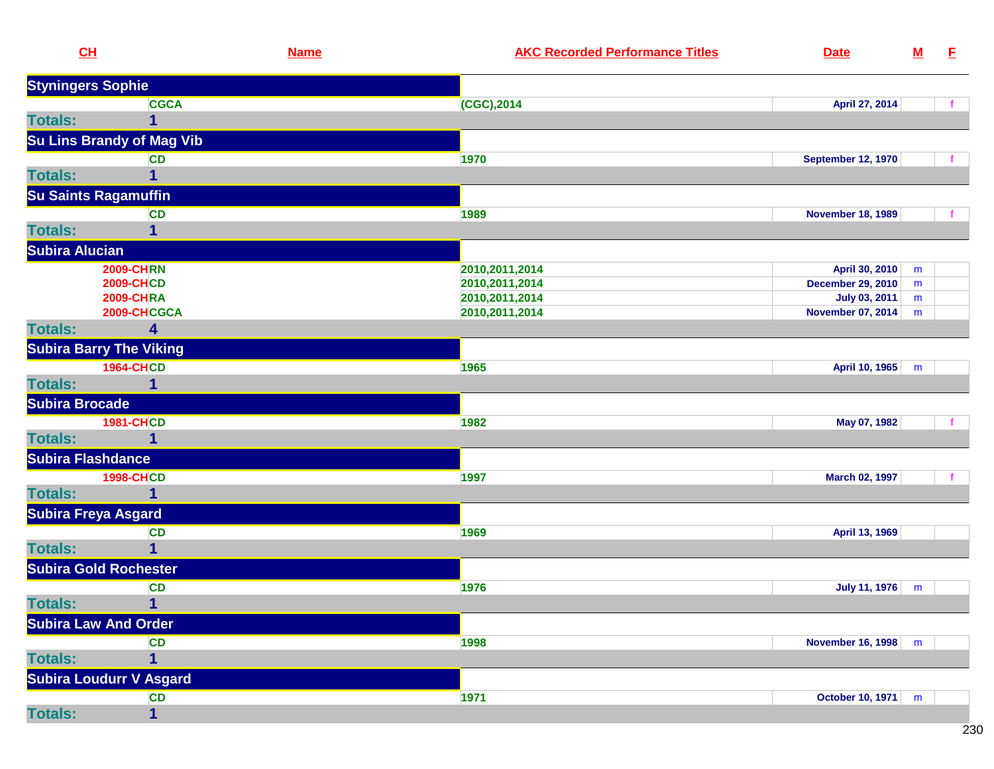|                | CL                               | <b>Name</b> | <b>AKC Recorded Performance Titles</b> | <b>Date</b>               | <u>M</u> | E |
|----------------|----------------------------------|-------------|----------------------------------------|---------------------------|----------|---|
|                | <b>Styningers Sophie</b>         |             |                                        |                           |          |   |
|                | <b>CGCA</b>                      |             | $(CGC)$ , 2014                         | April 27, 2014            |          |   |
| <b>Totals:</b> | 1                                |             |                                        |                           |          |   |
|                | <b>Su Lins Brandy of Mag Vib</b> |             |                                        |                           |          |   |
|                | <b>CD</b>                        |             | 1970                                   | <b>September 12, 1970</b> |          |   |
| <b>Totals:</b> | 1                                |             |                                        |                           |          |   |
|                | <b>Su Saints Ragamuffin</b>      |             |                                        |                           |          |   |
|                | <b>CD</b>                        |             | 1989                                   | <b>November 18, 1989</b>  |          |   |
| <b>Totals:</b> | 1                                |             |                                        |                           |          |   |
|                | <b>Subira Alucian</b>            |             |                                        |                           |          |   |
|                | <b>2009-CHRN</b>                 |             | 2010, 2011, 2014                       | April 30, 2010            | m        |   |
|                | <b>2009-CHCD</b>                 |             | 2010, 2011, 2014                       | <b>December 29, 2010</b>  | m        |   |
|                | <b>2009-CHRA</b>                 |             | 2010, 2011, 2014                       | July 03, 2011             | m        |   |
|                | 2009-CHCGCA                      |             | 2010, 2011, 2014                       | <b>November 07, 2014</b>  | m        |   |
| <b>Totals:</b> | 4                                |             |                                        |                           |          |   |
|                | <b>Subira Barry The Viking</b>   |             |                                        |                           |          |   |
|                | <b>1964-CHCD</b>                 |             | 1965                                   | April 10, 1965            | m        |   |
| <b>Totals:</b> | 1                                |             |                                        |                           |          |   |
|                | <b>Subira Brocade</b>            |             |                                        |                           |          |   |
|                | <b>1981-CHCD</b>                 |             | 1982                                   | May 07, 1982              |          |   |
| <b>Totals:</b> | 1                                |             |                                        |                           |          |   |
|                | <b>Subira Flashdance</b>         |             |                                        |                           |          |   |
|                | <b>1998-CHCD</b>                 |             | 1997                                   | March 02, 1997            |          |   |
| <b>Totals:</b> | 1                                |             |                                        |                           |          |   |
|                | <b>Subira Freya Asgard</b>       |             |                                        |                           |          |   |
|                | <b>CD</b>                        |             | 1969                                   | April 13, 1969            |          |   |
| <b>Totals:</b> | 1                                |             |                                        |                           |          |   |
|                | <b>Subira Gold Rochester</b>     |             |                                        |                           |          |   |
|                | <b>CD</b>                        |             | 1976                                   | <b>July 11, 1976</b>      | m        |   |
| <b>Totals:</b> | $\mathbf{1}$                     |             |                                        |                           |          |   |
|                | <b>Subira Law And Order</b>      |             |                                        |                           |          |   |
|                | <b>CD</b>                        |             | 1998                                   | November 16, 1998         | m        |   |
| <b>Totals:</b> | 1                                |             |                                        |                           |          |   |
|                | <b>Subira Loudurr V Asgard</b>   |             |                                        |                           |          |   |
|                | <b>CD</b>                        |             | 1971                                   | October 10, 1971          | m        |   |
| <b>Totals:</b> | $\mathbf{1}$                     |             |                                        |                           |          |   |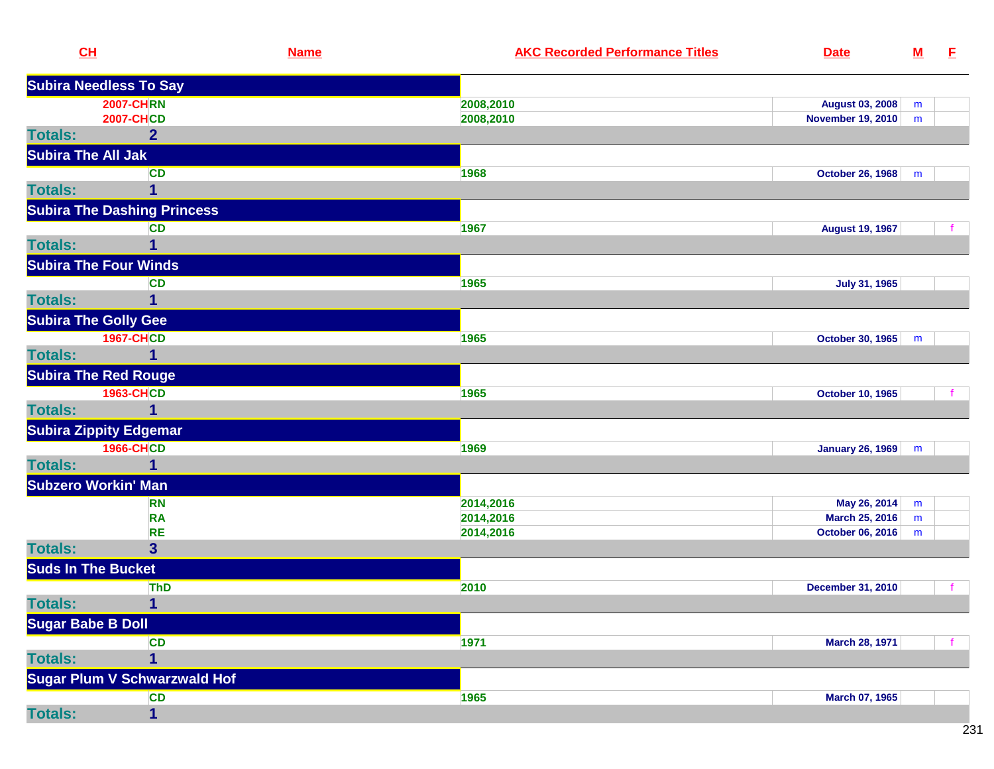| CH                        |                                     | <b>Name</b> | <b>AKC Recorded Performance Titles</b> | <b>Date</b>              | $M$       | E |
|---------------------------|-------------------------------------|-------------|----------------------------------------|--------------------------|-----------|---|
|                           | <b>Subira Needless To Say</b>       |             |                                        |                          |           |   |
|                           | <b>2007-CHRN</b>                    |             | 2008,2010                              | <b>August 03, 2008</b>   | m         |   |
|                           | <b>2007-CHCD</b>                    |             | 2008,2010                              | November 19, 2010        | ${\sf m}$ |   |
| <b>Totals:</b>            | $\overline{2}$                      |             |                                        |                          |           |   |
| <b>Subira The All Jak</b> |                                     |             |                                        |                          |           |   |
|                           | <b>CD</b>                           |             | 1968                                   | <b>October 26, 1968</b>  | m         |   |
| <b>Totals:</b>            | 1                                   |             |                                        |                          |           |   |
|                           | <b>Subira The Dashing Princess</b>  |             |                                        |                          |           |   |
|                           | <b>CD</b>                           |             | 1967                                   | <b>August 19, 1967</b>   |           |   |
| <b>Totals:</b>            | 1                                   |             |                                        |                          |           |   |
|                           | <b>Subira The Four Winds</b>        |             |                                        |                          |           |   |
|                           | <b>CD</b>                           |             | 1965                                   | <b>July 31, 1965</b>     |           |   |
| <b>Totals:</b>            | 1                                   |             |                                        |                          |           |   |
|                           | <b>Subira The Golly Gee</b>         |             |                                        |                          |           |   |
|                           | <b>1967-CHCD</b>                    |             | 1965                                   | October 30, 1965         | m         |   |
| <b>Totals:</b>            | 1                                   |             |                                        |                          |           |   |
|                           | <b>Subira The Red Rouge</b>         |             |                                        |                          |           |   |
|                           | <b>1963-CHCD</b>                    |             | 1965                                   | <b>October 10, 1965</b>  |           |   |
| <b>Totals:</b>            | 1                                   |             |                                        |                          |           |   |
|                           | <b>Subira Zippity Edgemar</b>       |             |                                        |                          |           |   |
|                           | <b>1966-CHCD</b>                    |             | 1969                                   | January 26, 1969         | m         |   |
| <b>Totals:</b>            | 1                                   |             |                                        |                          |           |   |
|                           | <b>Subzero Workin' Man</b>          |             |                                        |                          |           |   |
|                           | <b>RN</b>                           |             | 2014,2016                              | May 26, 2014             | m         |   |
|                           | <b>RA</b>                           |             | 2014,2016                              | March 25, 2016           | m         |   |
|                           | <b>RE</b>                           |             | 2014,2016                              | October 06, 2016         | m         |   |
| <b>Totals:</b>            | $\overline{\mathbf{3}}$             |             |                                        |                          |           |   |
| <b>Suds In The Bucket</b> |                                     |             |                                        |                          |           |   |
|                           | <b>ThD</b>                          |             | 2010                                   | <b>December 31, 2010</b> |           |   |
| <b>Totals:</b>            | $\mathbf{1}$                        |             |                                        |                          |           |   |
| <b>Sugar Babe B Doll</b>  |                                     |             |                                        |                          |           |   |
|                           | <b>CD</b>                           |             | 1971                                   | <b>March 28, 1971</b>    |           |   |
| <b>Totals:</b>            | 1                                   |             |                                        |                          |           |   |
|                           | <b>Sugar Plum V Schwarzwald Hof</b> |             |                                        |                          |           |   |
|                           | <b>CD</b>                           |             | 1965                                   | <b>March 07, 1965</b>    |           |   |
| <b>Totals:</b>            | $\overline{\mathbf{1}}$             |             |                                        |                          |           |   |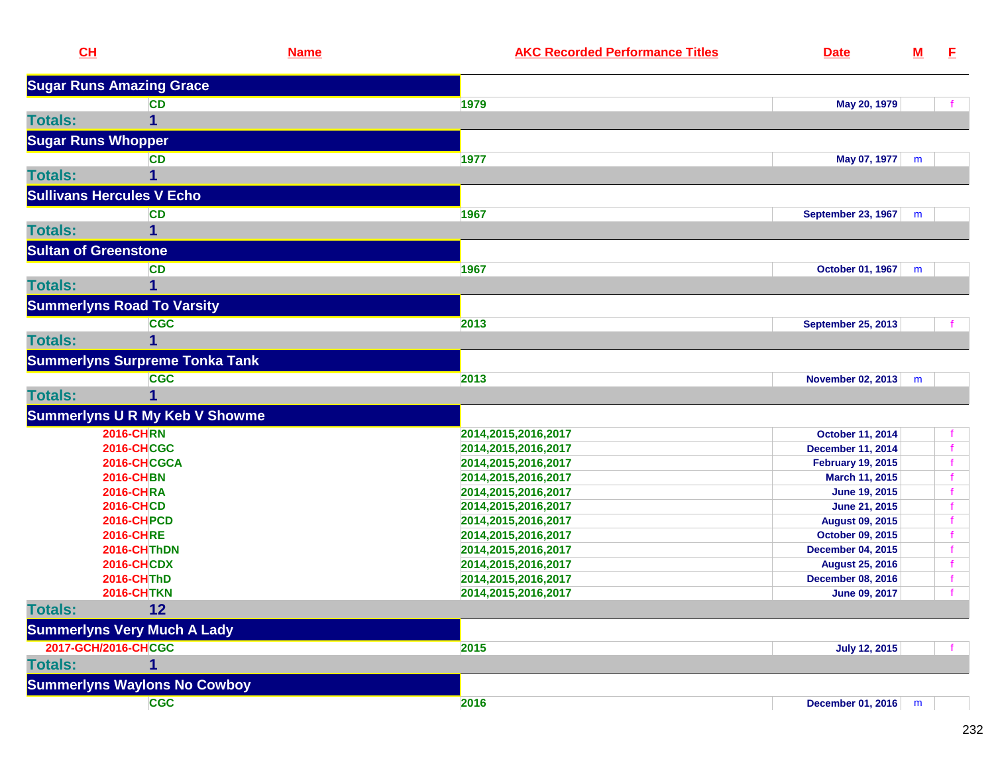| CL                               |                                       | <b>Name</b> | <b>AKC Recorded Performance Titles</b>     | <b>Date</b>                                | ${\bf M}$ | E. |
|----------------------------------|---------------------------------------|-------------|--------------------------------------------|--------------------------------------------|-----------|----|
|                                  | <b>Sugar Runs Amazing Grace</b>       |             |                                            |                                            |           |    |
|                                  | <b>CD</b>                             |             | 1979                                       | May 20, 1979                               |           |    |
| <b>Totals:</b>                   | 1                                     |             |                                            |                                            |           |    |
| <b>Sugar Runs Whopper</b>        |                                       |             |                                            |                                            |           |    |
|                                  | <b>CD</b>                             |             | 1977                                       | May 07, 1977                               | m         |    |
| <b>Totals:</b>                   | 1                                     |             |                                            |                                            |           |    |
|                                  |                                       |             |                                            |                                            |           |    |
| <b>Sullivans Hercules V Echo</b> |                                       |             |                                            |                                            |           |    |
|                                  | <b>CD</b>                             |             | 1967                                       | <b>September 23, 1967</b>                  | m         |    |
| <b>Totals:</b>                   | 1                                     |             |                                            |                                            |           |    |
| <b>Sultan of Greenstone</b>      |                                       |             |                                            |                                            |           |    |
|                                  | <b>CD</b>                             |             | 1967                                       | October 01, 1967                           | m         |    |
| <b>Totals:</b>                   | 1                                     |             |                                            |                                            |           |    |
|                                  | <b>Summerlyns Road To Varsity</b>     |             |                                            |                                            |           |    |
|                                  | <b>CGC</b>                            |             | 2013                                       | <b>September 25, 2013</b>                  |           |    |
| <b>Totals:</b>                   | 1                                     |             |                                            |                                            |           |    |
|                                  | <b>Summerlyns Surpreme Tonka Tank</b> |             |                                            |                                            |           |    |
|                                  | <b>CGC</b>                            |             | 2013                                       | November 02, 2013                          | m         |    |
| <b>Totals:</b>                   | 1                                     |             |                                            |                                            |           |    |
|                                  |                                       |             |                                            |                                            |           |    |
|                                  | <b>Summerlyns U R My Keb V Showme</b> |             |                                            |                                            |           |    |
|                                  | <b>2016-CHRN</b>                      |             | 2014, 2015, 2016, 2017                     | October 11, 2014                           |           |    |
|                                  | <b>2016-CHCGC</b><br>2016-CHCGCA      |             | 2014,2015,2016,2017                        | <b>December 11, 2014</b>                   |           |    |
|                                  | <b>2016-CHBN</b>                      |             | 2014,2015,2016,2017<br>2014,2015,2016,2017 | <b>February 19, 2015</b><br>March 11, 2015 |           |    |
|                                  | <b>2016-CHRA</b>                      |             | 2014,2015,2016,2017                        | June 19, 2015                              |           |    |
|                                  | <b>2016-CHCD</b>                      |             | 2014,2015,2016,2017                        | June 21, 2015                              |           |    |
|                                  | <b>2016-CHPCD</b>                     |             | 2014,2015,2016,2017                        | <b>August 09, 2015</b>                     |           |    |
|                                  | <b>2016-CHRE</b>                      |             | 2014,2015,2016,2017                        | October 09, 2015                           |           |    |
|                                  | 2016-CHThDN                           |             | 2014,2015,2016,2017                        | <b>December 04, 2015</b>                   |           |    |
|                                  | <b>2016-CHCDX</b>                     |             | 2014,2015,2016,2017                        | <b>August 25, 2016</b>                     |           |    |
|                                  | <b>2016-CHThD</b>                     |             | 2014,2015,2016,2017                        | <b>December 08, 2016</b>                   |           |    |
|                                  | <b>2016-CHTKN</b>                     |             | 2014, 2015, 2016, 2017                     | <b>June 09, 2017</b>                       |           |    |
| <b>Totals:</b>                   | 12                                    |             |                                            |                                            |           |    |
|                                  | <b>Summerlyns Very Much A Lady</b>    |             |                                            |                                            |           |    |
| 2017-GCH/2016-CHCGC              |                                       |             | 2015                                       | <b>July 12, 2015</b>                       |           |    |
| <b>Totals:</b>                   | 1                                     |             |                                            |                                            |           |    |
|                                  | <b>Summerlyns Waylons No Cowboy</b>   |             |                                            |                                            |           |    |
|                                  | <b>CGC</b>                            |             | 2016                                       | December 01, 2016                          | m         |    |
|                                  |                                       |             |                                            |                                            |           |    |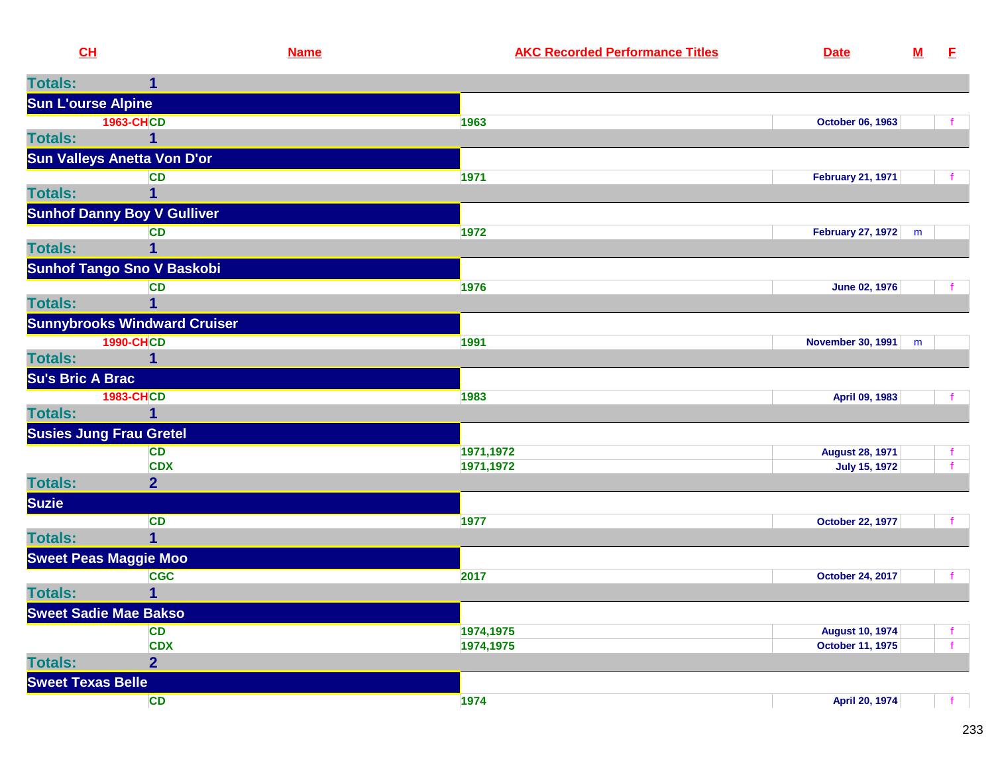| CL                      |                                     | <b>Name</b> | <b>AKC Recorded Performance Titles</b> | <b>Date</b>                                       | ${\bf M}$ | E.                |
|-------------------------|-------------------------------------|-------------|----------------------------------------|---------------------------------------------------|-----------|-------------------|
| <b>Totals:</b>          |                                     |             |                                        |                                                   |           |                   |
|                         | <b>Sun L'ourse Alpine</b>           |             |                                        |                                                   |           |                   |
|                         | <b>1963-CHCD</b>                    |             | 1963                                   | October 06, 1963                                  |           | f                 |
| <b>Totals:</b>          |                                     |             |                                        |                                                   |           |                   |
|                         | <b>Sun Valleys Anetta Von D'or</b>  |             |                                        |                                                   |           |                   |
|                         | <b>CD</b>                           |             | 1971                                   | <b>February 21, 1971</b>                          |           |                   |
| <b>Totals:</b>          |                                     |             |                                        |                                                   |           |                   |
|                         | <b>Sunhof Danny Boy V Gulliver</b>  |             |                                        |                                                   |           |                   |
| <b>Totals:</b>          | <b>CD</b>                           |             | 1972                                   | February 27, 1972                                 | m         |                   |
|                         | <b>Sunhof Tango Sno V Baskobi</b>   |             |                                        |                                                   |           |                   |
|                         | <b>CD</b>                           |             | 1976                                   | <b>June 02, 1976</b>                              |           | f.                |
| <b>Totals:</b>          |                                     |             |                                        |                                                   |           |                   |
|                         | <b>Sunnybrooks Windward Cruiser</b> |             |                                        |                                                   |           |                   |
|                         | <b>1990-CHCD</b>                    |             | 1991                                   | <b>November 30, 1991</b>                          | m         |                   |
| <b>Totals:</b>          | 1                                   |             |                                        |                                                   |           |                   |
| <b>Su's Bric A Brac</b> |                                     |             |                                        |                                                   |           |                   |
|                         | <b>1983-CHCD</b>                    |             | 1983                                   | April 09, 1983                                    |           |                   |
| <b>Totals:</b>          | 1                                   |             |                                        |                                                   |           |                   |
|                         | <b>Susies Jung Frau Gretel</b>      |             |                                        |                                                   |           |                   |
|                         | <b>CD</b><br><b>CDX</b>             |             | 1971,1972<br>1971,1972                 | <b>August 28, 1971</b><br><b>July 15, 1972</b>    |           |                   |
| <b>Totals:</b>          | $\overline{2}$                      |             |                                        |                                                   |           |                   |
| <b>Suzie</b>            |                                     |             |                                        |                                                   |           |                   |
|                         | <b>CD</b>                           |             | 1977                                   | <b>October 22, 1977</b>                           |           | f.                |
| <b>Totals:</b>          | 1.                                  |             |                                        |                                                   |           |                   |
|                         | <b>Sweet Peas Maggie Moo</b>        |             |                                        |                                                   |           |                   |
|                         | <b>CGC</b>                          |             | 2017                                   | <b>October 24, 2017</b>                           |           |                   |
| <b>Totals:</b>          | 1                                   |             |                                        |                                                   |           |                   |
|                         | <b>Sweet Sadie Mae Bakso</b>        |             |                                        |                                                   |           |                   |
|                         | <b>CD</b><br><b>CDX</b>             |             | 1974,1975<br>1974,1975                 | <b>August 10, 1974</b><br><b>October 11, 1975</b> |           | $\mathbf{f}$<br>f |
| <b>Totals:</b>          | $\overline{2}$                      |             |                                        |                                                   |           |                   |
|                         | <b>Sweet Texas Belle</b>            |             |                                        |                                                   |           |                   |
|                         | <b>CD</b>                           |             | 1974                                   | April 20, 1974                                    |           | f.                |
|                         |                                     |             |                                        |                                                   |           |                   |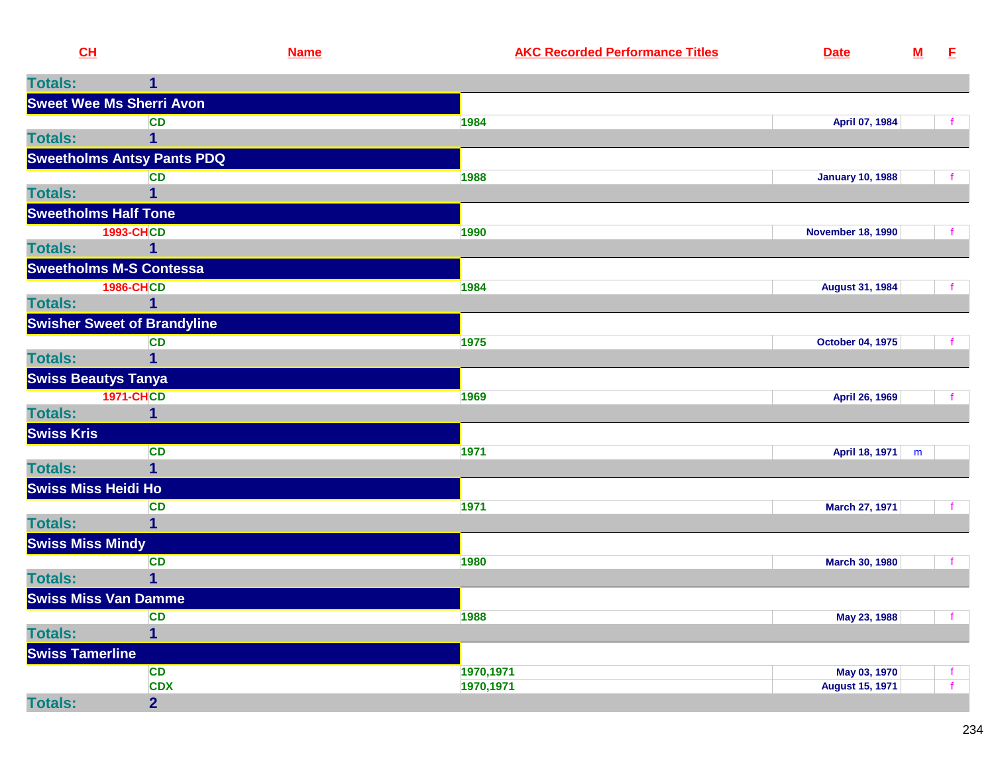| CL                              |                                    | <b>Name</b> | <b>AKC Recorded Performance Titles</b> | <b>Date</b>              | ${\bf M}$ | - E          |
|---------------------------------|------------------------------------|-------------|----------------------------------------|--------------------------|-----------|--------------|
| <b>Totals:</b>                  | 1                                  |             |                                        |                          |           |              |
| <b>Sweet Wee Ms Sherri Avon</b> |                                    |             |                                        |                          |           |              |
|                                 | <b>CD</b>                          |             | 1984                                   | April 07, 1984           |           | f.           |
| <b>Totals:</b>                  | 1                                  |             |                                        |                          |           |              |
|                                 | <b>Sweetholms Antsy Pants PDQ</b>  |             |                                        |                          |           |              |
|                                 | <b>CD</b>                          |             | 1988                                   | <b>January 10, 1988</b>  |           |              |
| <b>Totals:</b>                  |                                    |             |                                        |                          |           |              |
| <b>Sweetholms Half Tone</b>     |                                    |             |                                        |                          |           |              |
|                                 | <b>1993-CHCD</b>                   |             | 1990                                   | <b>November 18, 1990</b> |           |              |
| <b>Totals:</b>                  | $\mathbf 1$                        |             |                                        |                          |           |              |
| <b>Sweetholms M-S Contessa</b>  |                                    |             |                                        |                          |           |              |
|                                 | <b>1986-CHCD</b>                   |             | 1984                                   | <b>August 31, 1984</b>   |           | $\mathbf{f}$ |
| <b>Totals:</b>                  | 1                                  |             |                                        |                          |           |              |
|                                 | <b>Swisher Sweet of Brandyline</b> |             |                                        |                          |           |              |
|                                 | <b>CD</b>                          |             | 1975                                   | <b>October 04, 1975</b>  |           |              |
| <b>Totals:</b>                  | 1                                  |             |                                        |                          |           |              |
| <b>Swiss Beautys Tanya</b>      |                                    |             |                                        |                          |           |              |
|                                 | <b>1971-CHCD</b>                   |             | 1969                                   | April 26, 1969           |           |              |
| <b>Totals:</b>                  | 1                                  |             |                                        |                          |           |              |
| <b>Swiss Kris</b>               |                                    |             |                                        |                          |           |              |
|                                 | <b>CD</b>                          |             | 1971                                   | April 18, 1971 m         |           |              |
| <b>Totals:</b>                  | $\mathbf 1$                        |             |                                        |                          |           |              |
| <b>Swiss Miss Heidi Ho</b>      |                                    |             |                                        |                          |           |              |
|                                 | <b>CD</b>                          |             | 1971                                   | March 27, 1971           |           |              |
| <b>Totals:</b>                  | 1                                  |             |                                        |                          |           |              |
| <b>Swiss Miss Mindy</b>         |                                    |             |                                        |                          |           |              |
| <b>Totals:</b>                  | <b>CD</b>                          |             | 1980                                   | <b>March 30, 1980</b>    |           |              |
|                                 |                                    |             |                                        |                          |           |              |
| Swiss Miss Van Damme            |                                    |             | 1988                                   | May 23, 1988             |           |              |
| <b>Totals:</b>                  | <b>CD</b><br>$\mathbf{1}$          |             |                                        |                          |           |              |
| <b>Swiss Tamerline</b>          |                                    |             |                                        |                          |           |              |
|                                 | <b>CD</b>                          |             | 1970,1971                              | May 03, 1970             |           | f.           |
|                                 | <b>CDX</b>                         |             | 1970,1971                              | <b>August 15, 1971</b>   |           | f.           |
| <b>Totals:</b>                  | $\overline{2}$                     |             |                                        |                          |           |              |
|                                 |                                    |             |                                        |                          |           |              |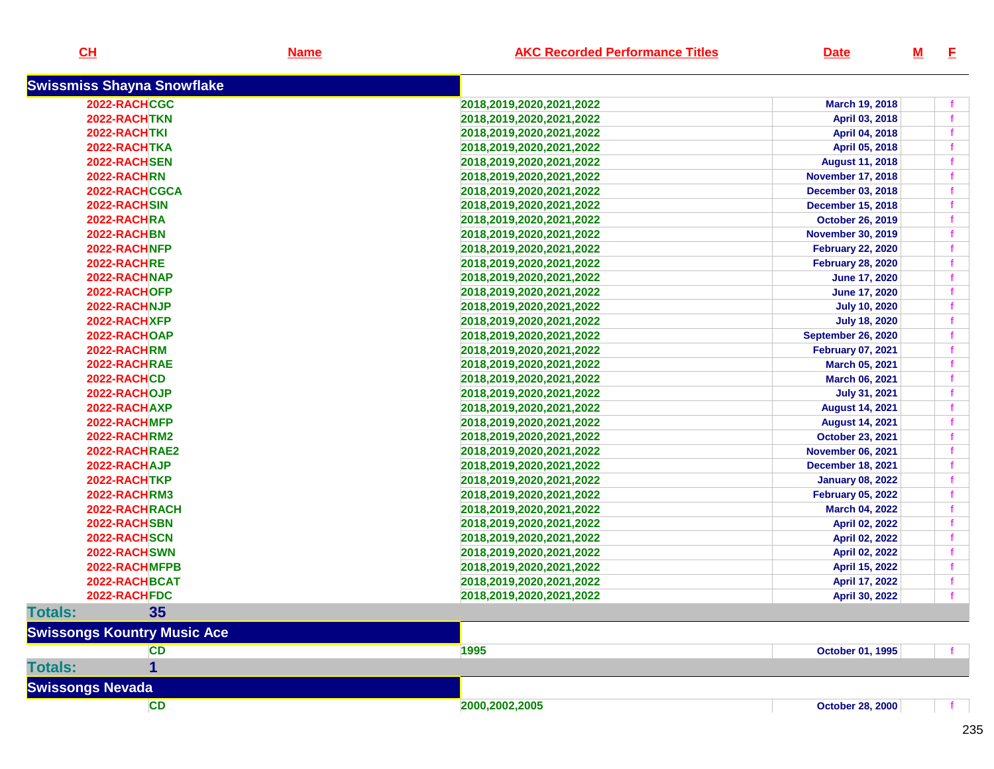| <u>CH</u>                          | <u>Name</u> | <b>AKC Recorded Performance Titles</b> | <b>Date</b>               | <u>M</u> | E |
|------------------------------------|-------------|----------------------------------------|---------------------------|----------|---|
| <b>Swissmiss Shayna Snowflake</b>  |             |                                        |                           |          |   |
| 2022-RACHCGC                       |             | 2018,2019,2020,2021,2022               | March 19, 2018            |          |   |
| 2022-RACHTKN                       |             | 2018,2019,2020,2021,2022               | April 03, 2018            |          |   |
| 2022-RACHTKI                       |             | 2018,2019,2020,2021,2022               | April 04, 2018            |          |   |
| 2022-RACHTKA                       |             | 2018,2019,2020,2021,2022               | April 05, 2018            |          |   |
| 2022-RACHSEN                       |             | 2018,2019,2020,2021,2022               | <b>August 11, 2018</b>    |          |   |
| 2022-RACHRN                        |             | 2018,2019,2020,2021,2022               | <b>November 17, 2018</b>  |          |   |
| 2022-RACHCGCA                      |             | 2018,2019,2020,2021,2022               | <b>December 03, 2018</b>  |          |   |
| 2022-RACHSIN                       |             | 2018,2019,2020,2021,2022               | <b>December 15, 2018</b>  |          |   |
| 2022-RACHRA                        |             | 2018,2019,2020,2021,2022               | <b>October 26, 2019</b>   |          |   |
| 2022-RACHBN                        |             | 2018,2019,2020,2021,2022               | <b>November 30, 2019</b>  |          |   |
| 2022-RACHNFP                       |             | 2018,2019,2020,2021,2022               | <b>February 22, 2020</b>  |          |   |
| 2022-RACHRE                        |             | 2018,2019,2020,2021,2022               | <b>February 28, 2020</b>  |          |   |
| 2022-RACHNAP                       |             | 2018,2019,2020,2021,2022               | June 17, 2020             |          |   |
| 2022-RACHOFP                       |             | 2018,2019,2020,2021,2022               | <b>June 17, 2020</b>      |          |   |
| 2022-RACHNJP                       |             | 2018,2019,2020,2021,2022               | <b>July 10, 2020</b>      |          |   |
| 2022-RACHXFP                       |             | 2018,2019,2020,2021,2022               | <b>July 18, 2020</b>      |          |   |
| 2022-RACHOAP                       |             | 2018, 2019, 2020, 2021, 2022           | <b>September 26, 2020</b> |          |   |
| 2022-RACHRM                        |             | 2018, 2019, 2020, 2021, 2022           | <b>February 07, 2021</b>  |          |   |
| 2022-RACHRAE                       |             | 2018,2019,2020,2021,2022               | March 05, 2021            |          |   |
| 2022-RACHCD                        |             | 2018,2019,2020,2021,2022               | March 06, 2021            |          |   |
| 2022-RACHOJP                       |             | 2018,2019,2020,2021,2022               | <b>July 31, 2021</b>      |          |   |
| 2022-RACHAXP                       |             | 2018,2019,2020,2021,2022               | <b>August 14, 2021</b>    |          |   |
| 2022-RACHMFP                       |             | 2018,2019,2020,2021,2022               | <b>August 14, 2021</b>    |          |   |
| 2022-RACHRM2                       |             | 2018,2019,2020,2021,2022               | October 23, 2021          |          |   |
| 2022-RACHRAE2                      |             | 2018,2019,2020,2021,2022               | <b>November 06, 2021</b>  |          |   |
| 2022-RACHAJP                       |             | 2018,2019,2020,2021,2022               | <b>December 18, 2021</b>  |          |   |
| 2022-RACHTKP                       |             | 2018,2019,2020,2021,2022               | <b>January 08, 2022</b>   |          |   |
| 2022-RACHRM3                       |             | 2018, 2019, 2020, 2021, 2022           | <b>February 05, 2022</b>  |          |   |
| 2022-RACHRACH                      |             | 2018,2019,2020,2021,2022               | March 04, 2022            |          |   |
| 2022-RACHSBN                       |             | 2018,2019,2020,2021,2022               | April 02, 2022            |          |   |
| 2022-RACHSCN                       |             | 2018,2019,2020,2021,2022               | April 02, 2022            |          |   |
| 2022-RACHSWN                       |             | 2018,2019,2020,2021,2022               | April 02, 2022            |          |   |
| 2022-RACHMFPB                      |             | 2018,2019,2020,2021,2022               | April 15, 2022            |          |   |
| 2022-RACHBCAT                      |             | 2018,2019,2020,2021,2022               | April 17, 2022            |          |   |
| 2022-RACHFDC                       |             | 2018,2019,2020,2021,2022               | April 30, 2022            |          |   |
| 35<br><b>Totals:</b>               |             |                                        |                           |          |   |
| <b>Swissongs Kountry Music Ace</b> |             |                                        |                           |          |   |
| <b>CD</b>                          |             | 1995                                   | <b>October 01, 1995</b>   |          |   |
|                                    |             |                                        |                           |          |   |
| <b>Totals:</b>                     |             |                                        |                           |          |   |
| <b>Swissongs Nevada</b>            |             |                                        |                           |          |   |
| <b>CD</b>                          |             | 2000,2002,2005                         | <b>October 28, 2000</b>   |          |   |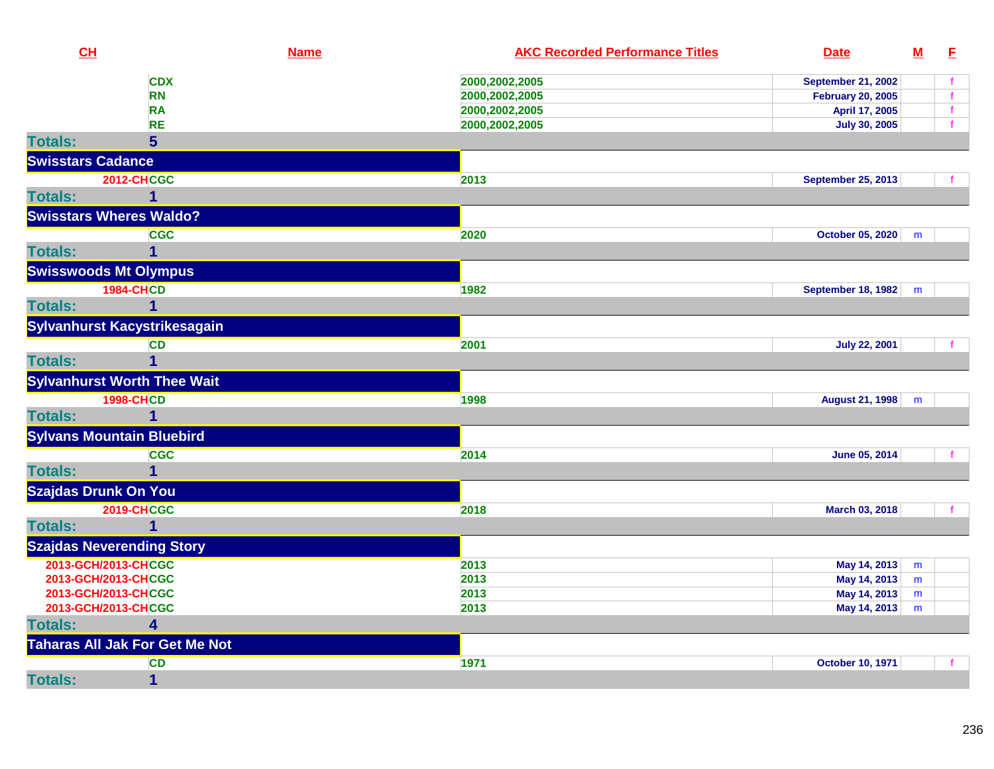| CH                       |                                            | <b>Name</b> | <b>AKC Recorded Performance Titles</b> | <b>Date</b>               | ${\bf M}$ | E            |
|--------------------------|--------------------------------------------|-------------|----------------------------------------|---------------------------|-----------|--------------|
|                          | <b>CDX</b>                                 |             | 2000,2002,2005                         | <b>September 21, 2002</b> |           | f            |
|                          | <b>RN</b>                                  |             | 2000,2002,2005                         | <b>February 20, 2005</b>  |           | f            |
|                          | <b>RA</b>                                  |             | 2000,2002,2005                         | April 17, 2005            |           | $\mathbf f$  |
|                          | <b>RE</b>                                  |             | 2000,2002,2005                         | <b>July 30, 2005</b>      |           | $\mathbf{f}$ |
| <b>Totals:</b>           | 5                                          |             |                                        |                           |           |              |
| <b>Swisstars Cadance</b> |                                            |             |                                        |                           |           |              |
|                          | <b>2012-CHCGC</b>                          |             | 2013                                   | <b>September 25, 2013</b> |           |              |
| <b>Totals:</b>           | 1                                          |             |                                        |                           |           |              |
|                          | <b>Swisstars Wheres Waldo?</b>             |             |                                        |                           |           |              |
|                          | <b>CGC</b>                                 |             | 2020                                   | <b>October 05, 2020</b>   | m         |              |
| <b>Totals:</b>           | 1                                          |             |                                        |                           |           |              |
|                          | <b>Swisswoods Mt Olympus</b>               |             |                                        |                           |           |              |
|                          | <b>1984-CHCD</b>                           |             | 1982                                   | September 18, 1982        | m         |              |
| <b>Totals:</b>           | $\mathbf{1}$                               |             |                                        |                           |           |              |
|                          | Sylvanhurst Kacystrikesagain               |             |                                        |                           |           |              |
|                          | <b>CD</b>                                  |             | 2001                                   | <b>July 22, 2001</b>      |           |              |
| <b>Totals:</b>           | $\mathbf 1$                                |             |                                        |                           |           |              |
|                          | <b>Sylvanhurst Worth Thee Wait</b>         |             |                                        |                           |           |              |
|                          | <b>1998-CHCD</b>                           |             | 1998                                   | August 21, 1998           |           |              |
| <b>Totals:</b>           | $\mathbf{1}$                               |             |                                        |                           | m         |              |
|                          |                                            |             |                                        |                           |           |              |
|                          | <b>Sylvans Mountain Bluebird</b>           |             |                                        |                           |           |              |
|                          | <b>CGC</b>                                 |             | 2014                                   | June 05, 2014             |           |              |
| <b>Totals:</b>           | 1                                          |             |                                        |                           |           |              |
|                          | <b>Szajdas Drunk On You</b>                |             |                                        |                           |           |              |
|                          | <b>2019-CHCGC</b>                          |             | 2018                                   | March 03, 2018            |           |              |
| <b>Totals:</b>           | $\mathbf{1}$                               |             |                                        |                           |           |              |
|                          | <b>Szajdas Neverending Story</b>           |             |                                        |                           |           |              |
|                          | 2013-GCH/2013-CHCGC                        |             | 2013                                   | May 14, 2013              | m         |              |
|                          | 2013-GCH/2013-CHCGC                        |             | 2013                                   | May 14, 2013              | m         |              |
|                          | 2013-GCH/2013-CHCGC<br>2013-GCH/2013-CHCGC |             | 2013<br>2013                           | May 14, 2013              | m         |              |
| <b>Totals:</b>           | 4                                          |             |                                        | May 14, 2013              | m         |              |
|                          |                                            |             |                                        |                           |           |              |
|                          | <b>Taharas All Jak For Get Me Not</b>      |             |                                        |                           |           |              |
|                          | <b>CD</b>                                  |             | 1971                                   | October 10, 1971          |           |              |
| <b>Totals:</b>           | $\mathbf{1}$                               |             |                                        |                           |           |              |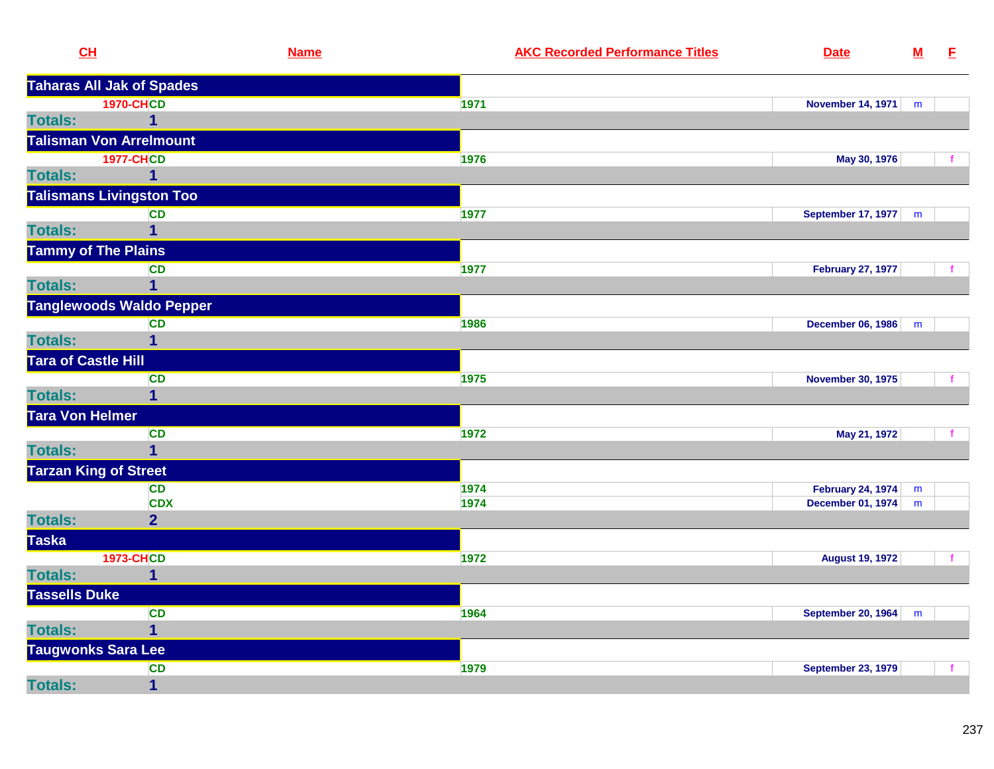| CL                           |                                  | <b>Name</b> | <b>AKC Recorded Performance Titles</b> | <b>Date</b>               | $\underline{\mathbf{M}}$ | E            |
|------------------------------|----------------------------------|-------------|----------------------------------------|---------------------------|--------------------------|--------------|
|                              | <b>Taharas All Jak of Spades</b> |             |                                        |                           |                          |              |
|                              | <b>1970-CHCD</b>                 |             | 1971                                   | November 14, 1971         | m                        |              |
| <b>Totals:</b>               | $\mathbf{1}$                     |             |                                        |                           |                          |              |
|                              | <b>Talisman Von Arrelmount</b>   |             |                                        |                           |                          |              |
|                              | <b>1977-CHCD</b>                 |             | 1976                                   | May 30, 1976              |                          |              |
| <b>Totals:</b>               | 1                                |             |                                        |                           |                          |              |
|                              | <b>Talismans Livingston Too</b>  |             |                                        |                           |                          |              |
|                              | <b>CD</b>                        |             | 1977                                   | September 17, 1977        | m                        |              |
| <b>Totals:</b>               | $\overline{1}$                   |             |                                        |                           |                          |              |
| <b>Tammy of The Plains</b>   |                                  |             |                                        |                           |                          |              |
|                              | <b>CD</b>                        |             | 1977                                   | <b>February 27, 1977</b>  |                          | $\mathbf{f}$ |
| <b>Totals:</b>               | $\mathbf{1}$                     |             |                                        |                           |                          |              |
|                              | <b>Tanglewoods Waldo Pepper</b>  |             |                                        |                           |                          |              |
|                              | <b>CD</b>                        |             | 1986                                   | <b>December 06, 1986</b>  | m                        |              |
| <b>Totals:</b>               | $\mathbf{1}$                     |             |                                        |                           |                          |              |
| <b>Tara of Castle Hill</b>   |                                  |             |                                        |                           |                          |              |
|                              | CD                               |             | 1975                                   | <b>November 30, 1975</b>  |                          |              |
| <b>Totals:</b>               | $\overline{1}$                   |             |                                        |                           |                          |              |
| <b>Tara Von Helmer</b>       |                                  |             |                                        |                           |                          |              |
|                              | <b>CD</b>                        |             | 1972                                   | May 21, 1972              |                          | $\mathbf{f}$ |
| <b>Totals:</b>               | $\overline{1}$                   |             |                                        |                           |                          |              |
| <b>Tarzan King of Street</b> |                                  |             |                                        |                           |                          |              |
|                              | <b>CD</b>                        |             | 1974                                   | <b>February 24, 1974</b>  | m                        |              |
|                              | <b>CDX</b>                       |             | 1974                                   | December 01, 1974         | m                        |              |
| <b>Totals:</b>               | $\overline{2}$                   |             |                                        |                           |                          |              |
| <b>Taska</b>                 |                                  |             |                                        |                           |                          |              |
|                              | <b>1973-CHCD</b>                 |             | 1972                                   | <b>August 19, 1972</b>    |                          | f            |
| <b>Totals:</b>               | $\mathbf 1$                      |             |                                        |                           |                          |              |
| <b>Tassells Duke</b>         |                                  |             |                                        |                           |                          |              |
|                              | CD                               |             | 1964                                   | <b>September 20, 1964</b> | m                        |              |
| <b>Totals:</b>               | $\overline{1}$                   |             |                                        |                           |                          |              |
| <b>Taugwonks Sara Lee</b>    |                                  |             |                                        |                           |                          |              |
|                              | CD                               |             | 1979                                   | <b>September 23, 1979</b> |                          | $\mathbf{f}$ |
| <b>Totals:</b>               | $\mathbf{1}$                     |             |                                        |                           |                          |              |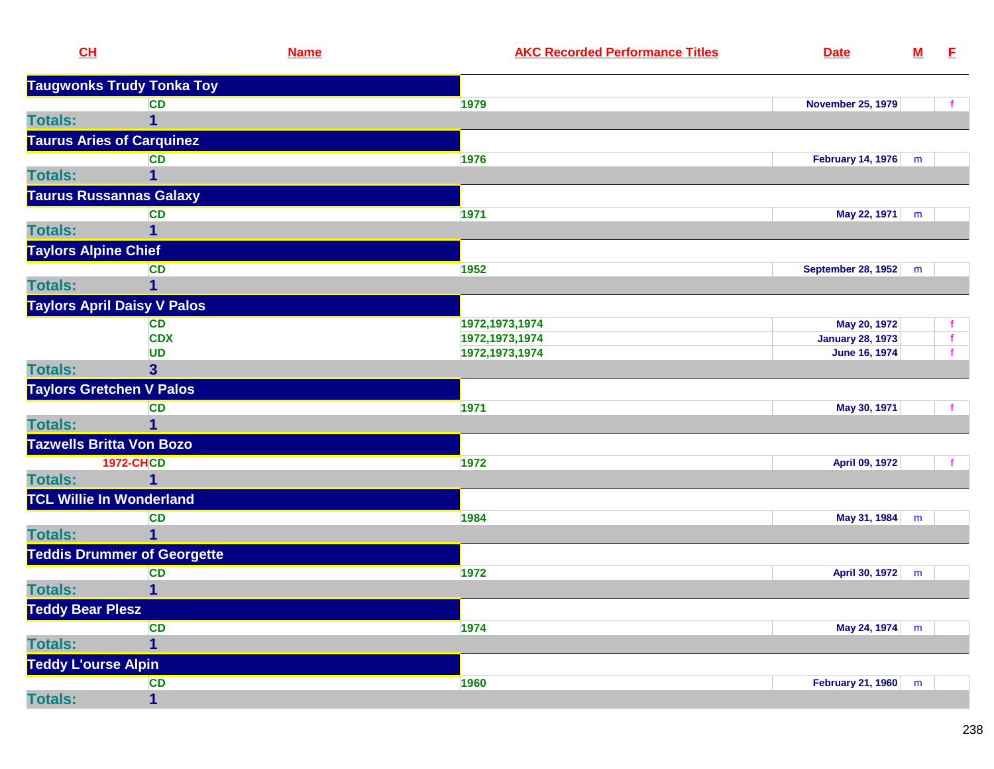| CL                                 |                                    | <b>Name</b> | <b>AKC Recorded Performance Titles</b> | <b>Date</b>              | ${\bf M}$ | E            |
|------------------------------------|------------------------------------|-------------|----------------------------------------|--------------------------|-----------|--------------|
|                                    | <b>Taugwonks Trudy Tonka Toy</b>   |             |                                        |                          |           |              |
|                                    | <b>CD</b>                          |             | 1979                                   | <b>November 25, 1979</b> |           |              |
| <b>Totals:</b>                     | 1                                  |             |                                        |                          |           |              |
| <b>Taurus Aries of Carquinez</b>   |                                    |             |                                        |                          |           |              |
|                                    | <b>CD</b>                          |             | 1976                                   | February 14, 1976        | m         |              |
| <b>Totals:</b>                     | 1                                  |             |                                        |                          |           |              |
| <b>Taurus Russannas Galaxy</b>     |                                    |             |                                        |                          |           |              |
|                                    | <b>CD</b>                          |             | 1971                                   | May 22, 1971             | m         |              |
| <b>Totals:</b>                     | 1                                  |             |                                        |                          |           |              |
| <b>Taylors Alpine Chief</b>        |                                    |             |                                        |                          |           |              |
|                                    | <b>CD</b>                          |             | 1952                                   | September 28, 1952       | m         |              |
| <b>Totals:</b>                     | 1                                  |             |                                        |                          |           |              |
| <b>Taylors April Daisy V Palos</b> |                                    |             |                                        |                          |           |              |
|                                    | <b>CD</b>                          |             | 1972, 1973, 1974                       | May 20, 1972             |           |              |
|                                    | <b>CDX</b>                         |             | 1972, 1973, 1974                       | <b>January 28, 1973</b>  |           | $\mathbf{f}$ |
|                                    | <b>UD</b>                          |             | 1972, 1973, 1974                       | <b>June 16, 1974</b>     |           | $\mathbf{f}$ |
| <b>Totals:</b>                     | 3 <sup>5</sup>                     |             |                                        |                          |           |              |
| <b>Taylors Gretchen V Palos</b>    |                                    |             |                                        |                          |           |              |
|                                    | <b>CD</b>                          |             | 1971                                   | May 30, 1971             |           |              |
| <b>Totals:</b>                     |                                    |             |                                        |                          |           |              |
| <b>Tazwells Britta Von Bozo</b>    |                                    |             |                                        |                          |           |              |
|                                    | <b>1972-CHCD</b>                   |             | 1972                                   | April 09, 1972           |           |              |
| <b>Totals:</b>                     | 1                                  |             |                                        |                          |           |              |
| <b>TCL Willie In Wonderland</b>    |                                    |             |                                        |                          |           |              |
|                                    | <b>CD</b>                          |             | 1984                                   | May 31, 1984             | m         |              |
| <b>Totals:</b>                     | 1                                  |             |                                        |                          |           |              |
|                                    | <b>Teddis Drummer of Georgette</b> |             |                                        |                          |           |              |
|                                    | <b>CD</b>                          |             | 1972                                   | April 30, 1972           | m         |              |
| <b>Totals:</b>                     | $\mathbf{1}$                       |             |                                        |                          |           |              |
| <b>Teddy Bear Plesz</b>            |                                    |             |                                        |                          |           |              |
|                                    | <b>CD</b>                          |             | 1974                                   | May 24, 1974             | m         |              |
| <b>Totals:</b>                     | 1                                  |             |                                        |                          |           |              |
| <b>Teddy L'ourse Alpin</b>         |                                    |             |                                        |                          |           |              |
|                                    | <b>CD</b>                          |             | 1960                                   | <b>February 21, 1960</b> | m         |              |
| <b>Totals:</b>                     | $\mathbf{1}$                       |             |                                        |                          |           |              |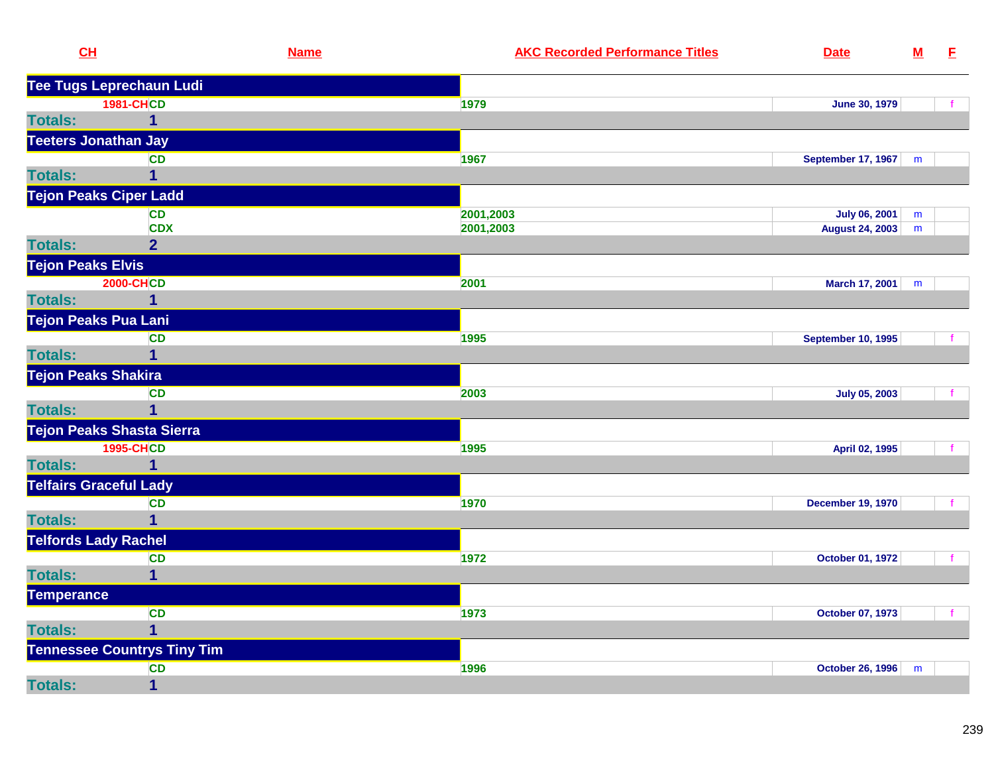| <b>Tee Tugs Leprechaun Ludi</b><br><b>1981-CHCD</b><br>1979<br><b>June 30, 1979</b><br>$\mathbf{f}$<br>$\mathbf 1$<br><b>Teeters Jonathan Jay</b><br><b>CD</b><br>1967<br><b>September 17, 1967</b><br>m<br>$\mathbf 1$<br><b>Tejon Peaks Ciper Ladd</b><br><b>CD</b><br>2001,2003<br><b>July 06, 2001</b><br>m<br><b>CDX</b><br>2001,2003<br><b>August 24, 2003</b><br>${\sf m}$<br><b>Totals:</b><br>$\overline{2}$<br><b>Tejon Peaks Elvis</b><br><b>2000-CHCD</b><br>2001<br>March 17, 2001<br>m<br>$\mathbf{1}$<br><b>Tejon Peaks Pua Lani</b><br><b>CD</b><br>1995<br><b>September 10, 1995</b><br>$\mathbf 1$<br><b>Tejon Peaks Shakira</b><br><b>CD</b><br>2003<br><b>July 05, 2003</b><br>$\overline{1}$<br><b>Tejon Peaks Shasta Sierra</b><br><b>1995-CHCD</b><br>1995<br>April 02, 1995<br>$\mathbf 1$<br><b>Telfairs Graceful Lady</b><br><b>CD</b><br>1970<br><b>December 19, 1970</b><br>$\mathbf f$<br><b>Totals:</b><br>$\overline{1}$<br><b>Telfords Lady Rachel</b><br><b>CD</b><br>1972<br>October 01, 1972<br>f<br>$\overline{1}$<br><b>Totals:</b><br><b>Temperance</b><br><b>CD</b><br>1973<br>October 07, 1973<br>f<br>$\overline{1}$<br><b>Totals:</b><br><b>Tennessee Countrys Tiny Tim</b><br>1996<br><b>CD</b><br><b>October 26, 1996</b><br>m | CL             | <b>Name</b>    | <b>AKC Recorded Performance Titles</b><br><b>Date</b> | $\underline{\mathsf{M}}$ | E |
|----------------------------------------------------------------------------------------------------------------------------------------------------------------------------------------------------------------------------------------------------------------------------------------------------------------------------------------------------------------------------------------------------------------------------------------------------------------------------------------------------------------------------------------------------------------------------------------------------------------------------------------------------------------------------------------------------------------------------------------------------------------------------------------------------------------------------------------------------------------------------------------------------------------------------------------------------------------------------------------------------------------------------------------------------------------------------------------------------------------------------------------------------------------------------------------------------------------------------------------------------------------------------|----------------|----------------|-------------------------------------------------------|--------------------------|---|
|                                                                                                                                                                                                                                                                                                                                                                                                                                                                                                                                                                                                                                                                                                                                                                                                                                                                                                                                                                                                                                                                                                                                                                                                                                                                            |                |                |                                                       |                          |   |
|                                                                                                                                                                                                                                                                                                                                                                                                                                                                                                                                                                                                                                                                                                                                                                                                                                                                                                                                                                                                                                                                                                                                                                                                                                                                            |                |                |                                                       |                          |   |
|                                                                                                                                                                                                                                                                                                                                                                                                                                                                                                                                                                                                                                                                                                                                                                                                                                                                                                                                                                                                                                                                                                                                                                                                                                                                            | <b>Totals:</b> |                |                                                       |                          |   |
|                                                                                                                                                                                                                                                                                                                                                                                                                                                                                                                                                                                                                                                                                                                                                                                                                                                                                                                                                                                                                                                                                                                                                                                                                                                                            |                |                |                                                       |                          |   |
|                                                                                                                                                                                                                                                                                                                                                                                                                                                                                                                                                                                                                                                                                                                                                                                                                                                                                                                                                                                                                                                                                                                                                                                                                                                                            |                |                |                                                       |                          |   |
|                                                                                                                                                                                                                                                                                                                                                                                                                                                                                                                                                                                                                                                                                                                                                                                                                                                                                                                                                                                                                                                                                                                                                                                                                                                                            | <b>Totals:</b> |                |                                                       |                          |   |
|                                                                                                                                                                                                                                                                                                                                                                                                                                                                                                                                                                                                                                                                                                                                                                                                                                                                                                                                                                                                                                                                                                                                                                                                                                                                            |                |                |                                                       |                          |   |
|                                                                                                                                                                                                                                                                                                                                                                                                                                                                                                                                                                                                                                                                                                                                                                                                                                                                                                                                                                                                                                                                                                                                                                                                                                                                            |                |                |                                                       |                          |   |
|                                                                                                                                                                                                                                                                                                                                                                                                                                                                                                                                                                                                                                                                                                                                                                                                                                                                                                                                                                                                                                                                                                                                                                                                                                                                            |                |                |                                                       |                          |   |
|                                                                                                                                                                                                                                                                                                                                                                                                                                                                                                                                                                                                                                                                                                                                                                                                                                                                                                                                                                                                                                                                                                                                                                                                                                                                            |                |                |                                                       |                          |   |
|                                                                                                                                                                                                                                                                                                                                                                                                                                                                                                                                                                                                                                                                                                                                                                                                                                                                                                                                                                                                                                                                                                                                                                                                                                                                            |                |                |                                                       |                          |   |
|                                                                                                                                                                                                                                                                                                                                                                                                                                                                                                                                                                                                                                                                                                                                                                                                                                                                                                                                                                                                                                                                                                                                                                                                                                                                            |                |                |                                                       |                          |   |
|                                                                                                                                                                                                                                                                                                                                                                                                                                                                                                                                                                                                                                                                                                                                                                                                                                                                                                                                                                                                                                                                                                                                                                                                                                                                            | <b>Totals:</b> |                |                                                       |                          |   |
|                                                                                                                                                                                                                                                                                                                                                                                                                                                                                                                                                                                                                                                                                                                                                                                                                                                                                                                                                                                                                                                                                                                                                                                                                                                                            |                |                |                                                       |                          |   |
|                                                                                                                                                                                                                                                                                                                                                                                                                                                                                                                                                                                                                                                                                                                                                                                                                                                                                                                                                                                                                                                                                                                                                                                                                                                                            |                |                |                                                       |                          |   |
|                                                                                                                                                                                                                                                                                                                                                                                                                                                                                                                                                                                                                                                                                                                                                                                                                                                                                                                                                                                                                                                                                                                                                                                                                                                                            | <b>Totals:</b> |                |                                                       |                          |   |
|                                                                                                                                                                                                                                                                                                                                                                                                                                                                                                                                                                                                                                                                                                                                                                                                                                                                                                                                                                                                                                                                                                                                                                                                                                                                            |                |                |                                                       |                          |   |
|                                                                                                                                                                                                                                                                                                                                                                                                                                                                                                                                                                                                                                                                                                                                                                                                                                                                                                                                                                                                                                                                                                                                                                                                                                                                            |                |                |                                                       |                          |   |
|                                                                                                                                                                                                                                                                                                                                                                                                                                                                                                                                                                                                                                                                                                                                                                                                                                                                                                                                                                                                                                                                                                                                                                                                                                                                            | <b>Totals:</b> |                |                                                       |                          |   |
|                                                                                                                                                                                                                                                                                                                                                                                                                                                                                                                                                                                                                                                                                                                                                                                                                                                                                                                                                                                                                                                                                                                                                                                                                                                                            |                |                |                                                       |                          |   |
|                                                                                                                                                                                                                                                                                                                                                                                                                                                                                                                                                                                                                                                                                                                                                                                                                                                                                                                                                                                                                                                                                                                                                                                                                                                                            |                |                |                                                       |                          |   |
|                                                                                                                                                                                                                                                                                                                                                                                                                                                                                                                                                                                                                                                                                                                                                                                                                                                                                                                                                                                                                                                                                                                                                                                                                                                                            | <b>Totals:</b> |                |                                                       |                          |   |
|                                                                                                                                                                                                                                                                                                                                                                                                                                                                                                                                                                                                                                                                                                                                                                                                                                                                                                                                                                                                                                                                                                                                                                                                                                                                            |                |                |                                                       |                          |   |
|                                                                                                                                                                                                                                                                                                                                                                                                                                                                                                                                                                                                                                                                                                                                                                                                                                                                                                                                                                                                                                                                                                                                                                                                                                                                            |                |                |                                                       |                          |   |
|                                                                                                                                                                                                                                                                                                                                                                                                                                                                                                                                                                                                                                                                                                                                                                                                                                                                                                                                                                                                                                                                                                                                                                                                                                                                            |                |                |                                                       |                          |   |
|                                                                                                                                                                                                                                                                                                                                                                                                                                                                                                                                                                                                                                                                                                                                                                                                                                                                                                                                                                                                                                                                                                                                                                                                                                                                            |                |                |                                                       |                          |   |
|                                                                                                                                                                                                                                                                                                                                                                                                                                                                                                                                                                                                                                                                                                                                                                                                                                                                                                                                                                                                                                                                                                                                                                                                                                                                            |                |                |                                                       |                          |   |
|                                                                                                                                                                                                                                                                                                                                                                                                                                                                                                                                                                                                                                                                                                                                                                                                                                                                                                                                                                                                                                                                                                                                                                                                                                                                            |                |                |                                                       |                          |   |
|                                                                                                                                                                                                                                                                                                                                                                                                                                                                                                                                                                                                                                                                                                                                                                                                                                                                                                                                                                                                                                                                                                                                                                                                                                                                            |                |                |                                                       |                          |   |
|                                                                                                                                                                                                                                                                                                                                                                                                                                                                                                                                                                                                                                                                                                                                                                                                                                                                                                                                                                                                                                                                                                                                                                                                                                                                            |                |                |                                                       |                          |   |
|                                                                                                                                                                                                                                                                                                                                                                                                                                                                                                                                                                                                                                                                                                                                                                                                                                                                                                                                                                                                                                                                                                                                                                                                                                                                            |                |                |                                                       |                          |   |
|                                                                                                                                                                                                                                                                                                                                                                                                                                                                                                                                                                                                                                                                                                                                                                                                                                                                                                                                                                                                                                                                                                                                                                                                                                                                            |                |                |                                                       |                          |   |
|                                                                                                                                                                                                                                                                                                                                                                                                                                                                                                                                                                                                                                                                                                                                                                                                                                                                                                                                                                                                                                                                                                                                                                                                                                                                            |                |                |                                                       |                          |   |
|                                                                                                                                                                                                                                                                                                                                                                                                                                                                                                                                                                                                                                                                                                                                                                                                                                                                                                                                                                                                                                                                                                                                                                                                                                                                            | <b>Totals:</b> | $\overline{1}$ |                                                       |                          |   |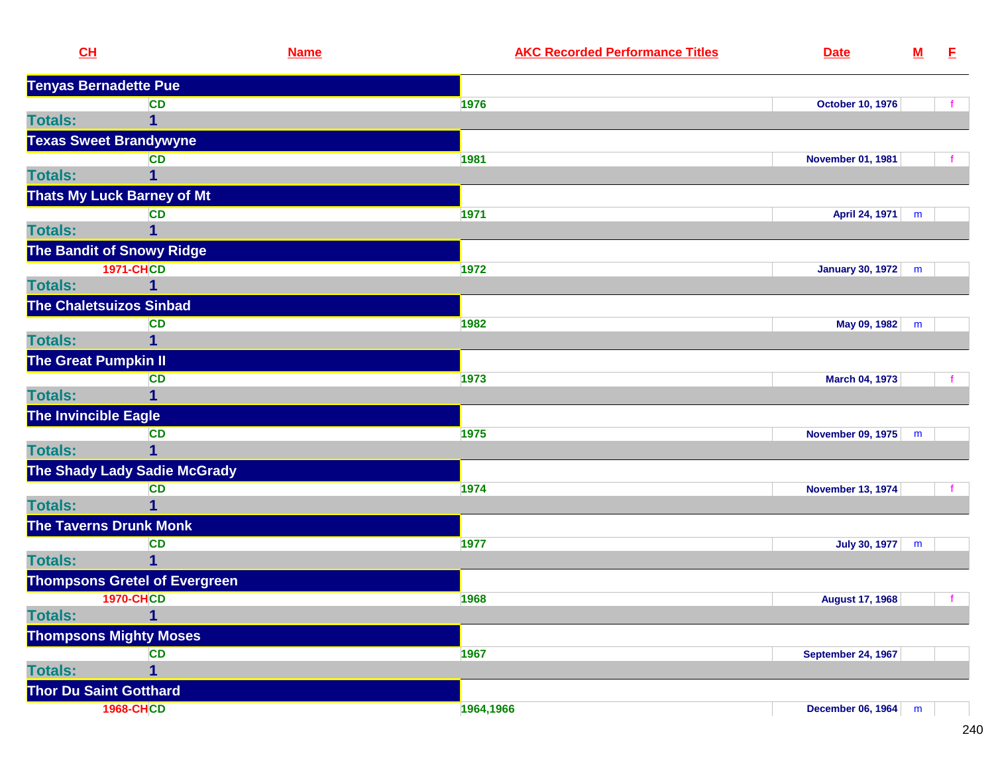|                | CL                                   | <b>Name</b> | <b>AKC Recorded Performance Titles</b> | <b>Date</b>               | ${\bf M}$ | E. |
|----------------|--------------------------------------|-------------|----------------------------------------|---------------------------|-----------|----|
|                | <b>Tenyas Bernadette Pue</b>         |             |                                        |                           |           |    |
|                | CD                                   |             | 1976                                   | <b>October 10, 1976</b>   |           |    |
| <b>Totals:</b> | $\mathbf{1}$                         |             |                                        |                           |           |    |
|                | <b>Texas Sweet Brandywyne</b>        |             |                                        |                           |           |    |
|                | <b>CD</b>                            |             | 1981                                   | <b>November 01, 1981</b>  |           |    |
| <b>Totals:</b> | 1                                    |             |                                        |                           |           |    |
|                | <b>Thats My Luck Barney of Mt</b>    |             |                                        |                           |           |    |
|                | <b>CD</b>                            |             | 1971                                   | April 24, 1971            | m         |    |
| <b>Totals:</b> | 1                                    |             |                                        |                           |           |    |
|                | <b>The Bandit of Snowy Ridge</b>     |             |                                        |                           |           |    |
|                | <b>1971-CHCD</b>                     |             | 1972                                   | January 30, 1972          | m         |    |
| <b>Totals:</b> | 1                                    |             |                                        |                           |           |    |
|                | <b>The Chaletsuizos Sinbad</b>       |             |                                        |                           |           |    |
|                | <b>CD</b>                            |             | 1982                                   | May 09, 1982              | m         |    |
| <b>Totals:</b> | $\overline{1}$                       |             |                                        |                           |           |    |
|                | <b>The Great Pumpkin II</b>          |             |                                        |                           |           |    |
|                | <b>CD</b>                            |             | 1973                                   | <b>March 04, 1973</b>     |           |    |
| <b>Totals:</b> | 1                                    |             |                                        |                           |           |    |
|                | The Invincible Eagle                 |             |                                        |                           |           |    |
|                | CD                                   |             | 1975                                   | <b>November 09, 1975</b>  | m         |    |
| <b>Totals:</b> | 1                                    |             |                                        |                           |           |    |
|                | <b>The Shady Lady Sadie McGrady</b>  |             |                                        |                           |           |    |
|                | <b>CD</b>                            |             | 1974                                   | <b>November 13, 1974</b>  |           |    |
| <b>Totals:</b> | 1                                    |             |                                        |                           |           |    |
|                | The Taverns Drunk Monk               |             |                                        |                           |           |    |
|                | <b>CD</b>                            |             | 1977                                   | July 30, 1977             | m         |    |
| <b>Totals:</b> | 1                                    |             |                                        |                           |           |    |
|                | <b>Thompsons Gretel of Evergreen</b> |             |                                        |                           |           |    |
|                | <b>1970-CHCD</b>                     |             | 1968                                   | <b>August 17, 1968</b>    |           |    |
| <b>Totals:</b> | $\overline{1}$                       |             |                                        |                           |           |    |
|                | <b>Thompsons Mighty Moses</b>        |             |                                        |                           |           |    |
|                | <b>CD</b>                            |             | 1967                                   | <b>September 24, 1967</b> |           |    |
| <b>Totals:</b> | $\overline{1}$                       |             |                                        |                           |           |    |
|                | <b>Thor Du Saint Gotthard</b>        |             |                                        |                           |           |    |
|                | <b>1968-CHCD</b>                     |             | 1964,1966                              | December 06, 1964         | m         |    |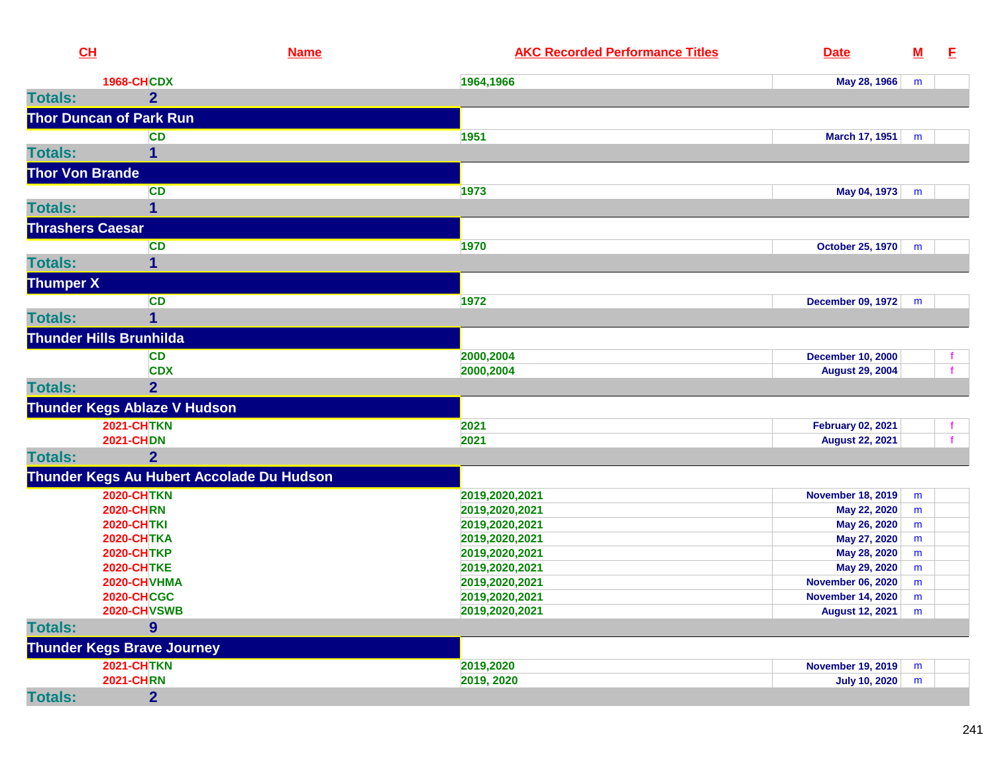| CH                      |                                           | <b>Name</b> | <b>AKC Recorded Performance Titles</b> | <b>Date</b>              | ${\bf M}$ | E. |
|-------------------------|-------------------------------------------|-------------|----------------------------------------|--------------------------|-----------|----|
|                         | <b>1968-CHCDX</b>                         |             | 1964,1966                              | May 28, 1966             | m         |    |
| <b>Totals:</b>          | $\overline{2}$                            |             |                                        |                          |           |    |
|                         | <b>Thor Duncan of Park Run</b>            |             |                                        |                          |           |    |
|                         | <b>CD</b>                                 | 1951        |                                        | <b>March 17, 1951</b>    | m         |    |
| <b>Totals:</b>          | 1                                         |             |                                        |                          |           |    |
| <b>Thor Von Brande</b>  |                                           |             |                                        |                          |           |    |
|                         |                                           |             |                                        |                          |           |    |
|                         | <b>CD</b>                                 | 1973        |                                        | May 04, 1973             | m         |    |
| <b>Totals:</b>          | 1                                         |             |                                        |                          |           |    |
| <b>Thrashers Caesar</b> |                                           |             |                                        |                          |           |    |
|                         | <b>CD</b>                                 | 1970        |                                        | <b>October 25, 1970</b>  | m         |    |
| <b>Totals:</b>          | 1                                         |             |                                        |                          |           |    |
| <b>Thumper X</b>        |                                           |             |                                        |                          |           |    |
|                         | <b>CD</b>                                 | 1972        |                                        | December 09, 1972        | m         |    |
| <b>Totals:</b>          |                                           |             |                                        |                          |           |    |
|                         | <b>Thunder Hills Brunhilda</b>            |             |                                        |                          |           |    |
|                         | <b>CD</b>                                 |             | 2000,2004                              | <b>December 10, 2000</b> |           |    |
|                         | <b>CDX</b>                                |             | 2000,2004                              | <b>August 29, 2004</b>   |           |    |
| <b>Totals:</b>          | $\overline{2}$                            |             |                                        |                          |           |    |
|                         | <b>Thunder Kegs Ablaze V Hudson</b>       |             |                                        |                          |           |    |
|                         | <b>2021-CHTKN</b>                         | 2021        |                                        | <b>February 02, 2021</b> |           |    |
|                         | <b>2021-CHDN</b>                          | 2021        |                                        | <b>August 22, 2021</b>   |           |    |
| <b>Totals:</b>          | $\overline{2}$                            |             |                                        |                          |           |    |
|                         | Thunder Kegs Au Hubert Accolade Du Hudson |             |                                        |                          |           |    |
|                         | <b>2020-CHTKN</b>                         |             | 2019,2020,2021                         | <b>November 18, 2019</b> | m         |    |
|                         | <b>2020-CHRN</b>                          |             | 2019,2020,2021                         | May 22, 2020             | m         |    |
|                         | <b>2020-CHTKI</b>                         |             | 2019,2020,2021                         | May 26, 2020             | m         |    |
|                         | <b>2020-CHTKA</b>                         |             | 2019,2020,2021                         | May 27, 2020             | m         |    |
|                         | <b>2020-CHTKP</b>                         |             | 2019,2020,2021                         | May 28, 2020             | m         |    |
|                         | <b>2020-CHTKE</b>                         |             | 2019,2020,2021                         | May 29, 2020             | m         |    |
|                         | 2020-CHVHMA                               |             | 2019,2020,2021                         | <b>November 06, 2020</b> | m         |    |
|                         | <b>2020-CHCGC</b>                         |             | 2019,2020,2021                         | <b>November 14, 2020</b> | m         |    |
|                         | 2020-CHVSWB                               |             | 2019,2020,2021                         | <b>August 12, 2021</b>   | m         |    |
| <b>Totals:</b>          | 9                                         |             |                                        |                          |           |    |
|                         | <b>Thunder Kegs Brave Journey</b>         |             |                                        |                          |           |    |
|                         | <b>2021-CHTKN</b>                         |             | 2019,2020                              | <b>November 19, 2019</b> | m         |    |
|                         | <b>2021-CHRN</b>                          |             | 2019, 2020                             | <b>July 10, 2020</b>     | m         |    |
| <b>Totals:</b>          | 2 <sup>1</sup>                            |             |                                        |                          |           |    |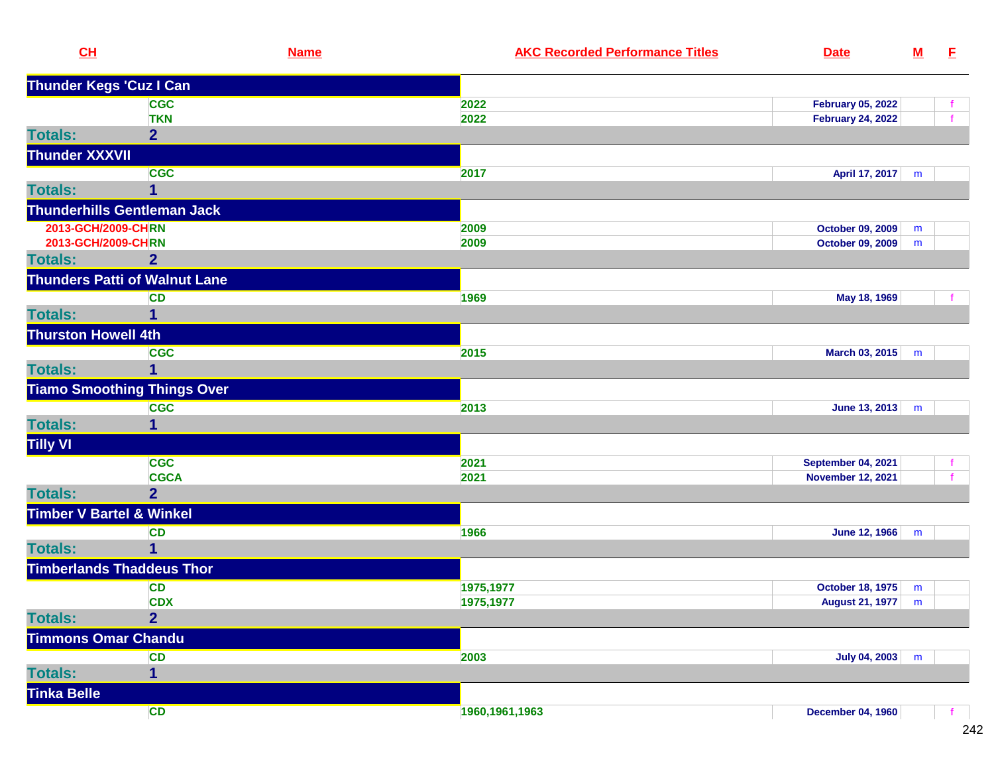| CL                                  | <b>Name</b>                          | <b>AKC Recorded Performance Titles</b> | <b>Date</b>               | ${\bf M}$ | E.           |
|-------------------------------------|--------------------------------------|----------------------------------------|---------------------------|-----------|--------------|
| <b>Thunder Kegs 'Cuz I Can</b>      |                                      |                                        |                           |           |              |
|                                     | <b>CGC</b>                           | 2022                                   | <b>February 05, 2022</b>  |           |              |
|                                     | <b>TKN</b>                           | 2022                                   | <b>February 24, 2022</b>  |           | $\mathbf{f}$ |
| <b>Totals:</b>                      | $\overline{2}$                       |                                        |                           |           |              |
| <b>Thunder XXXVII</b>               |                                      |                                        |                           |           |              |
|                                     | <b>CGC</b>                           | 2017                                   | April 17, 2017            | m         |              |
| <b>Totals:</b>                      | 1                                    |                                        |                           |           |              |
|                                     | <b>Thunderhills Gentleman Jack</b>   |                                        |                           |           |              |
| 2013-GCH/2009-CHRN                  |                                      | 2009                                   | <b>October 09, 2009</b>   | m         |              |
| 2013-GCH/2009-CHRN                  |                                      | 2009                                   | October 09, 2009          | m         |              |
| <b>Totals:</b>                      | $\overline{2}$                       |                                        |                           |           |              |
|                                     | <b>Thunders Patti of Walnut Lane</b> |                                        |                           |           |              |
|                                     | <b>CD</b>                            | 1969                                   | May 18, 1969              |           |              |
| <b>Totals:</b>                      | 1                                    |                                        |                           |           |              |
| <b>Thurston Howell 4th</b>          |                                      |                                        |                           |           |              |
|                                     | <b>CGC</b>                           | 2015                                   | March 03, 2015            | m         |              |
| <b>Totals:</b>                      | 1                                    |                                        |                           |           |              |
|                                     | <b>Tiamo Smoothing Things Over</b>   |                                        |                           |           |              |
|                                     | <b>CGC</b>                           | 2013                                   | <b>June 13, 2013</b>      | m         |              |
| <b>Totals:</b>                      |                                      |                                        |                           |           |              |
| Tilly VI                            |                                      |                                        |                           |           |              |
|                                     | <b>CGC</b>                           | 2021                                   | <b>September 04, 2021</b> |           | f.           |
|                                     | <b>CGCA</b>                          | 2021                                   | <b>November 12, 2021</b>  |           |              |
| <b>Totals:</b>                      | $\overline{2}$                       |                                        |                           |           |              |
| <b>Timber V Bartel &amp; Winkel</b> |                                      |                                        |                           |           |              |
|                                     | <b>CD</b>                            | 1966                                   | June 12, 1966             | m         |              |
| <b>Totals:</b>                      | 1                                    |                                        |                           |           |              |
|                                     | <b>Timberlands Thaddeus Thor</b>     |                                        |                           |           |              |
|                                     | <b>CD</b>                            | 1975,1977                              | October 18, 1975          | m         |              |
|                                     | <b>CDX</b>                           | 1975,1977                              | <b>August 21, 1977</b>    | m         |              |
| <b>Totals:</b>                      | $\overline{2}$                       |                                        |                           |           |              |
| <b>Timmons Omar Chandu</b>          |                                      |                                        |                           |           |              |
|                                     | <b>CD</b>                            | 2003                                   | July 04, 2003 m           |           |              |
| <b>Totals:</b>                      | $\overline{\mathbf{1}}$              |                                        |                           |           |              |
| <b>Tinka Belle</b>                  |                                      |                                        |                           |           |              |
|                                     | <b>CD</b>                            | 1960, 1961, 1963                       | <b>December 04, 1960</b>  |           | f.           |
|                                     |                                      |                                        |                           |           |              |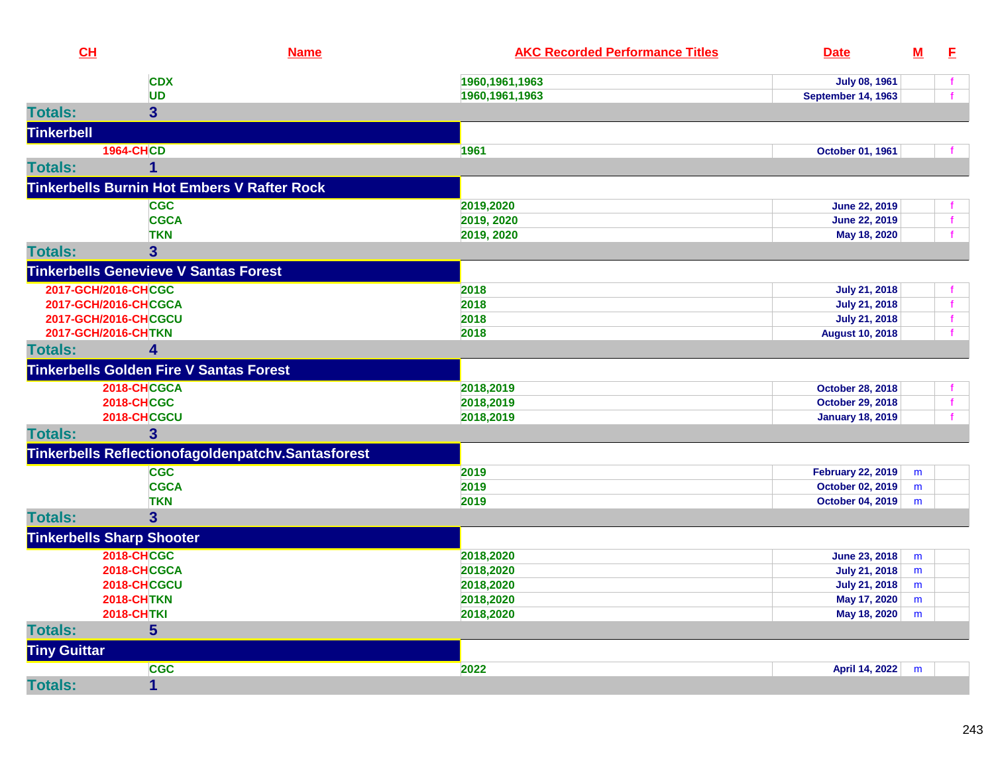| CL                  |                                                    | <b>Name</b>                                        | <b>AKC Recorded Performance Titles</b> | <b>Date</b>              | $M$ | E            |
|---------------------|----------------------------------------------------|----------------------------------------------------|----------------------------------------|--------------------------|-----|--------------|
|                     | <b>CDX</b>                                         |                                                    | 1960, 1961, 1963                       | <b>July 08, 1961</b>     |     | $\mathbf{f}$ |
|                     | <b>UD</b>                                          |                                                    | 1960, 1961, 1963                       | September 14, 1963       |     |              |
| <b>Totals:</b>      | $\overline{\mathbf{3}}$                            |                                                    |                                        |                          |     |              |
| <b>Tinkerbell</b>   |                                                    |                                                    |                                        |                          |     |              |
|                     | <b>1964-CHCD</b>                                   |                                                    | 1961                                   | October 01, 1961         |     |              |
| <b>Totals:</b>      | $\mathbf{1}$                                       |                                                    |                                        |                          |     |              |
|                     | <b>Tinkerbells Burnin Hot Embers V Rafter Rock</b> |                                                    |                                        |                          |     |              |
|                     | <b>CGC</b>                                         |                                                    | 2019,2020                              | <b>June 22, 2019</b>     |     | f            |
|                     | <b>CGCA</b>                                        |                                                    | 2019, 2020                             | <b>June 22, 2019</b>     |     | f            |
|                     | <b>TKN</b>                                         |                                                    | 2019, 2020                             | May 18, 2020             |     | f            |
| <b>Totals:</b>      | 3                                                  |                                                    |                                        |                          |     |              |
|                     | <b>Tinkerbells Genevieve V Santas Forest</b>       |                                                    |                                        |                          |     |              |
|                     | 2017-GCH/2016-CHCGC                                |                                                    | 2018                                   | <b>July 21, 2018</b>     |     |              |
|                     | 2017-GCH/2016-CHCGCA                               |                                                    | 2018                                   | <b>July 21, 2018</b>     |     | $\mathbf{f}$ |
|                     | 2017-GCH/2016-CHCGCU                               |                                                    | 2018                                   | <b>July 21, 2018</b>     |     | $\mathbf{f}$ |
|                     | 2017-GCH/2016-CHTKN                                |                                                    | 2018                                   | <b>August 10, 2018</b>   |     |              |
| <b>Totals:</b>      | 4                                                  |                                                    |                                        |                          |     |              |
|                     | <b>Tinkerbells Golden Fire V Santas Forest</b>     |                                                    |                                        |                          |     |              |
|                     | 2018-CHCGCA                                        |                                                    | 2018,2019                              | <b>October 28, 2018</b>  |     |              |
|                     | <b>2018-CHCGC</b>                                  |                                                    | 2018,2019                              | <b>October 29, 2018</b>  |     | f            |
|                     | 2018-CHCGCU                                        |                                                    | 2018,2019                              | <b>January 18, 2019</b>  |     |              |
| <b>Totals:</b>      | 3                                                  |                                                    |                                        |                          |     |              |
|                     |                                                    | Tinkerbells Reflectionofagoldenpatchv.Santasforest |                                        |                          |     |              |
|                     | <b>CGC</b>                                         |                                                    | 2019                                   | <b>February 22, 2019</b> | m   |              |
|                     | <b>CGCA</b>                                        |                                                    | 2019                                   | October 02, 2019         | m   |              |
|                     | <b>TKN</b>                                         |                                                    | 2019                                   | <b>October 04, 2019</b>  | m   |              |
| <b>Totals:</b>      | $\overline{3}$                                     |                                                    |                                        |                          |     |              |
|                     | <b>Tinkerbells Sharp Shooter</b>                   |                                                    |                                        |                          |     |              |
|                     | <b>2018-CHCGC</b>                                  |                                                    | 2018,2020                              | June 23, 2018            | m   |              |
|                     | 2018-CHCGCA                                        |                                                    | 2018,2020                              | <b>July 21, 2018</b>     | m   |              |
|                     | 2018-CHCGCU                                        |                                                    | 2018,2020                              | <b>July 21, 2018</b>     | m   |              |
|                     | <b>2018-CHTKN</b>                                  |                                                    | 2018,2020                              | May 17, 2020             | m   |              |
|                     | <b>2018-CHTKI</b>                                  |                                                    | 2018,2020                              | May 18, 2020             | m   |              |
| <b>Totals:</b>      | 5                                                  |                                                    |                                        |                          |     |              |
| <b>Tiny Guittar</b> |                                                    |                                                    |                                        |                          |     |              |
|                     | <b>CGC</b>                                         |                                                    | 2022                                   | April 14, 2022           | m   |              |
| <b>Totals:</b>      | $\mathbf{1}$                                       |                                                    |                                        |                          |     |              |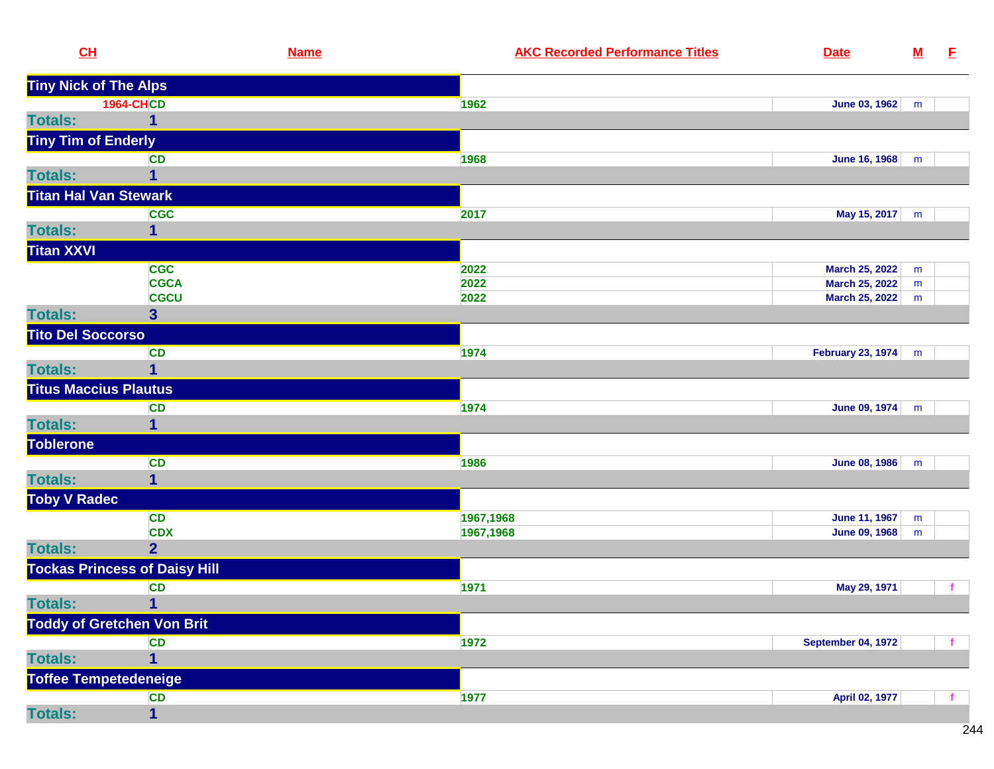| CL                       |                                      | <b>Name</b> | <b>AKC Recorded Performance Titles</b> | <b>Date</b>               | ${\bf M}$ | E |
|--------------------------|--------------------------------------|-------------|----------------------------------------|---------------------------|-----------|---|
|                          | <b>Tiny Nick of The Alps</b>         |             |                                        |                           |           |   |
|                          | <b>1964-CHCD</b>                     |             | 1962                                   | June 03, 1962             | m         |   |
| <b>Totals:</b>           | 1                                    |             |                                        |                           |           |   |
|                          | <b>Tiny Tim of Enderly</b>           |             |                                        |                           |           |   |
|                          | <b>CD</b>                            |             | 1968                                   | <b>June 16, 1968</b>      | m         |   |
| <b>Totals:</b>           | 1                                    |             |                                        |                           |           |   |
|                          | <b>Titan Hal Van Stewark</b>         |             |                                        |                           |           |   |
|                          | <b>CGC</b>                           |             | 2017                                   | May 15, 2017              | m         |   |
| <b>Totals:</b>           | 1                                    |             |                                        |                           |           |   |
| <b>Titan XXVI</b>        |                                      |             |                                        |                           |           |   |
|                          | <b>CGC</b>                           |             | 2022                                   | <b>March 25, 2022</b>     | m         |   |
|                          | <b>CGCA</b>                          |             | 2022                                   | <b>March 25, 2022</b>     | m         |   |
|                          | <b>CGCU</b>                          |             | 2022                                   | <b>March 25, 2022</b>     | m         |   |
| <b>Totals:</b>           | 3 <sup>5</sup>                       |             |                                        |                           |           |   |
| <b>Tito Del Soccorso</b> |                                      |             |                                        |                           |           |   |
|                          | CD                                   |             | 1974                                   | February 23, 1974         | m         |   |
| <b>Totals:</b>           | 1                                    |             |                                        |                           |           |   |
|                          | <b>Titus Maccius Plautus</b>         |             |                                        |                           |           |   |
|                          | <b>CD</b>                            |             | 1974                                   | June 09, 1974             | m         |   |
| <b>Totals:</b>           |                                      |             |                                        |                           |           |   |
| <b>Toblerone</b>         |                                      |             |                                        |                           |           |   |
|                          | <b>CD</b>                            |             | 1986                                   | <b>June 08, 1986</b>      | m         |   |
| <b>Totals:</b>           | 1                                    |             |                                        |                           |           |   |
| <b>Toby V Radec</b>      |                                      |             |                                        |                           |           |   |
|                          | <b>CD</b>                            |             | 1967,1968                              | June 11, 1967             | m         |   |
|                          | <b>CDX</b>                           |             | 1967,1968                              | June 09, 1968             | m         |   |
| <b>Totals:</b>           | $\overline{2}$                       |             |                                        |                           |           |   |
|                          | <b>Tockas Princess of Daisy Hill</b> |             |                                        |                           |           |   |
|                          | CD                                   |             | 1971                                   | May 29, 1971              |           |   |
| <b>Totals:</b>           | $\blacksquare$ 1                     |             |                                        |                           |           |   |
|                          | <b>Toddy of Gretchen Von Brit</b>    |             |                                        |                           |           |   |
|                          | <b>CD</b>                            |             | 1972                                   | <b>September 04, 1972</b> |           |   |
| <b>Totals:</b>           |                                      |             |                                        |                           |           |   |
|                          | Toffee Tempetedeneige                |             |                                        |                           |           |   |
|                          | CD                                   |             | 1977                                   | April 02, 1977            |           |   |
| <b>Totals:</b>           | $\mathbf{1}$                         |             |                                        |                           |           |   |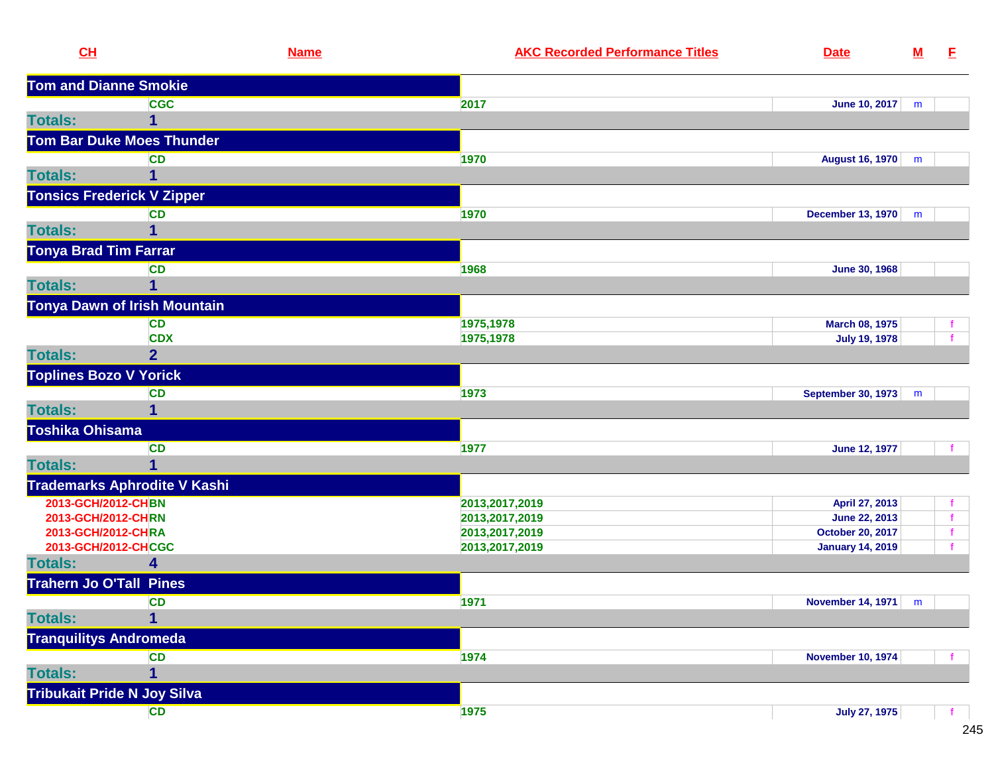| CL              |                                     | <b>Name</b> | <b>AKC Recorded Performance Titles</b> | <b>Date</b>              | $\underline{\mathbf{M}}$ | E            |
|-----------------|-------------------------------------|-------------|----------------------------------------|--------------------------|--------------------------|--------------|
|                 | <b>Tom and Dianne Smokie</b>        |             |                                        |                          |                          |              |
|                 | <b>CGC</b>                          |             | 2017                                   | June 10, 2017            | m                        |              |
| <b>Totals:</b>  | 1                                   |             |                                        |                          |                          |              |
|                 | <b>Tom Bar Duke Moes Thunder</b>    |             |                                        |                          |                          |              |
|                 | <b>CD</b>                           |             | 1970                                   | August 16, 1970          | m                        |              |
| <b>Totals:</b>  | 1                                   |             |                                        |                          |                          |              |
|                 | <b>Tonsics Frederick V Zipper</b>   |             |                                        |                          |                          |              |
|                 | <b>CD</b>                           |             | 1970                                   | December 13, 1970        | m                        |              |
| <b>Totals:</b>  | 1                                   |             |                                        |                          |                          |              |
|                 | <b>Tonya Brad Tim Farrar</b>        |             |                                        |                          |                          |              |
|                 | <b>CD</b>                           |             | 1968                                   | <b>June 30, 1968</b>     |                          |              |
| <b>Totals:</b>  |                                     |             |                                        |                          |                          |              |
|                 | <b>Tonya Dawn of Irish Mountain</b> |             |                                        |                          |                          |              |
|                 | <b>CD</b>                           |             | 1975,1978                              | March 08, 1975           |                          |              |
|                 | <b>CDX</b>                          |             | 1975,1978                              | <b>July 19, 1978</b>     |                          |              |
| <b>Totals:</b>  | $\overline{2}$                      |             |                                        |                          |                          |              |
|                 | <b>Toplines Bozo V Yorick</b>       |             |                                        |                          |                          |              |
|                 | <b>CD</b>                           |             | 1973                                   | September 30, 1973       | m                        |              |
| <b>Totals:</b>  |                                     |             |                                        |                          |                          |              |
| Toshika Ohisama |                                     |             |                                        |                          |                          |              |
|                 | <b>CD</b>                           |             | 1977                                   | <b>June 12, 1977</b>     |                          |              |
| <b>Totals:</b>  | $\mathbf 1$                         |             |                                        |                          |                          |              |
|                 | <b>Trademarks Aphrodite V Kashi</b> |             |                                        |                          |                          |              |
|                 | 2013-GCH/2012-CHBN                  |             | 2013, 2017, 2019                       | April 27, 2013           |                          |              |
|                 | 2013-GCH/2012-CHRN                  |             | 2013, 2017, 2019                       | June 22, 2013            |                          |              |
|                 | 2013-GCH/2012-CHRA                  |             | 2013, 2017, 2019                       | October 20, 2017         |                          |              |
|                 | 2013-GCH/2012-CHCGC                 |             | 2013, 2017, 2019                       | <b>January 14, 2019</b>  |                          |              |
| <b>Totals:</b>  | 4                                   |             |                                        |                          |                          |              |
|                 | <b>Trahern Jo O'Tall Pines</b>      |             |                                        |                          |                          |              |
|                 | <b>CD</b>                           |             | 1971                                   | November 14, 1971   m    |                          |              |
| <b>Totals:</b>  | $\mathbf 1$                         |             |                                        |                          |                          |              |
|                 | <b>Tranquilitys Andromeda</b>       |             |                                        |                          |                          |              |
|                 | <b>CD</b>                           |             | 1974                                   | <b>November 10, 1974</b> |                          |              |
| <b>Totals:</b>  | 1                                   |             |                                        |                          |                          |              |
|                 | <b>Tribukait Pride N Joy Silva</b>  |             |                                        |                          |                          |              |
|                 | <b>CD</b>                           |             | 1975                                   | <b>July 27, 1975</b>     |                          | $\mathbf{f}$ |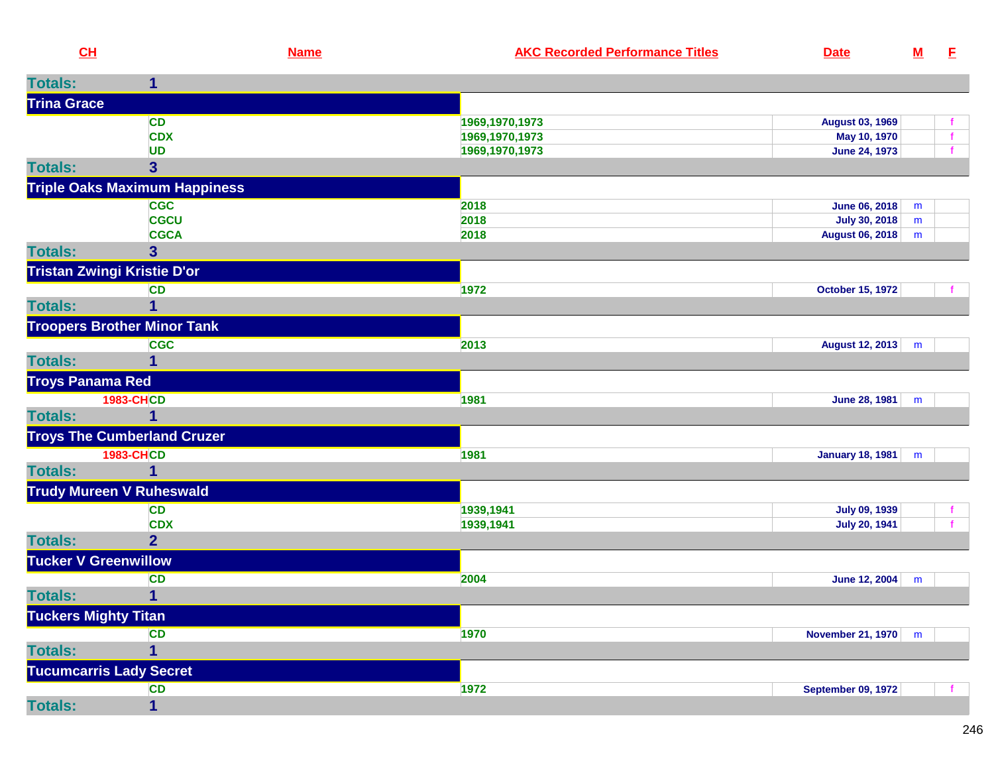| <b>Titles</b><br>$\sim$ 12<br>∶ Recorded Performance  ˈ<br>Date<br>an.<br>ame |  |  |  |
|-------------------------------------------------------------------------------|--|--|--|
|-------------------------------------------------------------------------------|--|--|--|

| <b>Totals:</b>          | 1                                    |                |                               |
|-------------------------|--------------------------------------|----------------|-------------------------------|
| <b>Trina Grace</b>      |                                      |                |                               |
|                         | <b>CD</b>                            | 1969,1970,1973 | <b>August 03, 1969</b>        |
|                         | <b>CDX</b>                           | 1969,1970,1973 | May 10, 1970<br>$\mathbf{f}$  |
|                         | <b>UD</b>                            | 1969,1970,1973 | <b>June 24, 1973</b>          |
| <b>Totals:</b>          | $\overline{\mathbf{3}}$              |                |                               |
|                         | <b>Triple Oaks Maximum Happiness</b> |                |                               |
|                         | <b>CGC</b>                           | 2018           | <b>June 06, 2018</b><br>m     |
|                         | <b>CGCU</b>                          | 2018           | July 30, 2018<br>m            |
|                         | <b>CGCA</b>                          | 2018           | <b>August 06, 2018</b><br>m   |
| <b>Totals:</b>          | 3 <sup>5</sup>                       |                |                               |
|                         | <b>Tristan Zwingi Kristie D'or</b>   |                |                               |
|                         | CD                                   | 1972           | <b>October 15, 1972</b>       |
| <b>Totals:</b>          | $\overline{1}$                       |                |                               |
|                         | <b>Troopers Brother Minor Tank</b>   |                |                               |
|                         | <b>CGC</b>                           | 2013           | <b>August 12, 2013</b><br>m   |
| <b>Totals:</b>          | 1                                    |                |                               |
| <b>Troys Panama Red</b> |                                      |                |                               |
|                         | <b>1983-CHCD</b>                     | 1981           | June 28, 1981<br>m            |
| <b>Totals:</b>          | 1                                    |                |                               |
|                         | <b>Troys The Cumberland Cruzer</b>   |                |                               |
|                         | <b>1983-CHCD</b>                     | 1981           | <b>January 18, 1981</b><br>m  |
| <b>Totals:</b>          | $\mathbf{1}$                         |                |                               |
|                         | <b>Trudy Mureen V Ruheswald</b>      |                |                               |
|                         | <b>CD</b>                            | 1939,1941      | <b>July 09, 1939</b>          |
|                         | <b>CDX</b>                           | 1939,1941      | <b>July 20, 1941</b>          |
| <b>Totals:</b>          | $\overline{2}$                       |                |                               |
|                         | <b>Tucker V Greenwillow</b>          |                |                               |
|                         | <b>CD</b>                            | 2004           | <b>June 12, 2004</b><br>m     |
| <b>Totals:</b>          | $\overline{1}$                       |                |                               |
|                         | <b>Tuckers Mighty Titan</b>          |                |                               |
|                         | <b>CD</b>                            | 1970           | <b>November 21, 1970</b><br>m |
| <b>Totals:</b>          | $\overline{1}$                       |                |                               |
|                         | <b>Tucumcarris Lady Secret</b>       |                |                               |
|                         | <b>CD</b>                            | 1972           | <b>September 09, 1972</b>     |
| <b>Totals:</b>          | $\overline{1}$                       |                |                               |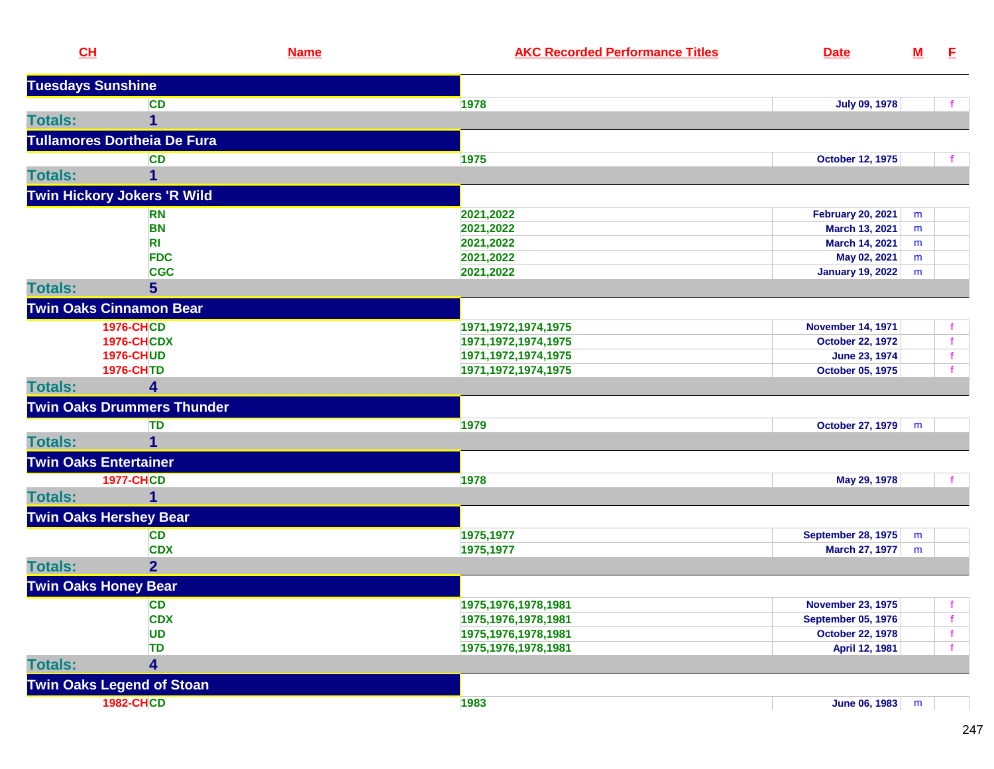| <b>Tuesdays Sunshine</b><br><b>CD</b><br>1978<br><b>July 09, 1978</b><br><b>Totals:</b><br>1<br><b>Tullamores Dortheia De Fura</b><br><b>CD</b><br>1975<br><b>October 12, 1975</b><br><b>Totals:</b><br>1<br>Twin Hickory Jokers 'R Wild<br>2021,2022<br><b>February 20, 2021</b><br><b>RN</b><br>m<br><b>BN</b><br>2021,2022<br>March 13, 2021<br>m<br>2021,2022<br>R <sub>1</sub><br>March 14, 2021<br>m<br><b>FDC</b><br>2021,2022<br>May 02, 2021<br>m<br><b>CGC</b><br>2021,2022<br><b>January 19, 2022</b><br>m<br>$5\phantom{1}$<br><b>Totals:</b><br><b>Twin Oaks Cinnamon Bear</b><br><b>1976-CHCD</b><br><b>November 14, 1971</b><br>1971, 1972, 1974, 1975<br><b>1976-CHCDX</b><br>1971, 1972, 1974, 1975<br><b>October 22, 1972</b><br><b>1976-CHUD</b><br>1971, 1972, 1974, 1975<br>June 23, 1974<br><b>1976-CHTD</b><br>1971, 1972, 1974, 1975<br>October 05, 1975<br><b>Totals:</b><br>4<br><b>Twin Oaks Drummers Thunder</b><br>TD<br>1979<br><b>October 27, 1979</b><br>m<br><b>Totals:</b><br>1<br><b>Twin Oaks Entertainer</b><br><b>1977-CHCD</b><br>1978<br>May 29, 1978<br><b>Totals:</b><br>1<br><b>Twin Oaks Hershey Bear</b><br><b>CD</b><br>1975,1977<br><b>September 28, 1975</b><br>m<br><b>CDX</b><br>1975,1977<br>March 27, 1977<br>m<br>2 <sup>1</sup><br><b>Totals:</b><br><b>Twin Oaks Honey Bear</b><br>1975, 1976, 1978, 1981<br><b>CD</b><br><b>November 23, 1975</b><br><b>CDX</b><br>1975, 1976, 1978, 1981<br><b>September 05, 1976</b><br><b>UD</b><br>1975, 1976, 1978, 1981<br><b>October 22, 1978</b><br><b>TD</b><br>1975, 1976, 1978, 1981<br>April 12, 1981<br><b>Totals:</b><br>$\overline{\mathbf{4}}$<br><b>Twin Oaks Legend of Stoan</b><br><b>1982-CHCD</b><br>June 06, 1983<br>1983<br>m | CL | <b>Name</b> | <b>AKC Recorded Performance Titles</b> | <b>Date</b> | $\underline{\mathsf{M}}$ | E |
|----------------------------------------------------------------------------------------------------------------------------------------------------------------------------------------------------------------------------------------------------------------------------------------------------------------------------------------------------------------------------------------------------------------------------------------------------------------------------------------------------------------------------------------------------------------------------------------------------------------------------------------------------------------------------------------------------------------------------------------------------------------------------------------------------------------------------------------------------------------------------------------------------------------------------------------------------------------------------------------------------------------------------------------------------------------------------------------------------------------------------------------------------------------------------------------------------------------------------------------------------------------------------------------------------------------------------------------------------------------------------------------------------------------------------------------------------------------------------------------------------------------------------------------------------------------------------------------------------------------------------------------------------------------------------------------------------------------------------------------------|----|-------------|----------------------------------------|-------------|--------------------------|---|
|                                                                                                                                                                                                                                                                                                                                                                                                                                                                                                                                                                                                                                                                                                                                                                                                                                                                                                                                                                                                                                                                                                                                                                                                                                                                                                                                                                                                                                                                                                                                                                                                                                                                                                                                              |    |             |                                        |             |                          |   |
|                                                                                                                                                                                                                                                                                                                                                                                                                                                                                                                                                                                                                                                                                                                                                                                                                                                                                                                                                                                                                                                                                                                                                                                                                                                                                                                                                                                                                                                                                                                                                                                                                                                                                                                                              |    |             |                                        |             |                          |   |
|                                                                                                                                                                                                                                                                                                                                                                                                                                                                                                                                                                                                                                                                                                                                                                                                                                                                                                                                                                                                                                                                                                                                                                                                                                                                                                                                                                                                                                                                                                                                                                                                                                                                                                                                              |    |             |                                        |             |                          |   |
|                                                                                                                                                                                                                                                                                                                                                                                                                                                                                                                                                                                                                                                                                                                                                                                                                                                                                                                                                                                                                                                                                                                                                                                                                                                                                                                                                                                                                                                                                                                                                                                                                                                                                                                                              |    |             |                                        |             |                          |   |
|                                                                                                                                                                                                                                                                                                                                                                                                                                                                                                                                                                                                                                                                                                                                                                                                                                                                                                                                                                                                                                                                                                                                                                                                                                                                                                                                                                                                                                                                                                                                                                                                                                                                                                                                              |    |             |                                        |             |                          |   |
|                                                                                                                                                                                                                                                                                                                                                                                                                                                                                                                                                                                                                                                                                                                                                                                                                                                                                                                                                                                                                                                                                                                                                                                                                                                                                                                                                                                                                                                                                                                                                                                                                                                                                                                                              |    |             |                                        |             |                          |   |
|                                                                                                                                                                                                                                                                                                                                                                                                                                                                                                                                                                                                                                                                                                                                                                                                                                                                                                                                                                                                                                                                                                                                                                                                                                                                                                                                                                                                                                                                                                                                                                                                                                                                                                                                              |    |             |                                        |             |                          |   |
|                                                                                                                                                                                                                                                                                                                                                                                                                                                                                                                                                                                                                                                                                                                                                                                                                                                                                                                                                                                                                                                                                                                                                                                                                                                                                                                                                                                                                                                                                                                                                                                                                                                                                                                                              |    |             |                                        |             |                          |   |
|                                                                                                                                                                                                                                                                                                                                                                                                                                                                                                                                                                                                                                                                                                                                                                                                                                                                                                                                                                                                                                                                                                                                                                                                                                                                                                                                                                                                                                                                                                                                                                                                                                                                                                                                              |    |             |                                        |             |                          |   |
|                                                                                                                                                                                                                                                                                                                                                                                                                                                                                                                                                                                                                                                                                                                                                                                                                                                                                                                                                                                                                                                                                                                                                                                                                                                                                                                                                                                                                                                                                                                                                                                                                                                                                                                                              |    |             |                                        |             |                          |   |
|                                                                                                                                                                                                                                                                                                                                                                                                                                                                                                                                                                                                                                                                                                                                                                                                                                                                                                                                                                                                                                                                                                                                                                                                                                                                                                                                                                                                                                                                                                                                                                                                                                                                                                                                              |    |             |                                        |             |                          |   |
|                                                                                                                                                                                                                                                                                                                                                                                                                                                                                                                                                                                                                                                                                                                                                                                                                                                                                                                                                                                                                                                                                                                                                                                                                                                                                                                                                                                                                                                                                                                                                                                                                                                                                                                                              |    |             |                                        |             |                          |   |
|                                                                                                                                                                                                                                                                                                                                                                                                                                                                                                                                                                                                                                                                                                                                                                                                                                                                                                                                                                                                                                                                                                                                                                                                                                                                                                                                                                                                                                                                                                                                                                                                                                                                                                                                              |    |             |                                        |             |                          |   |
|                                                                                                                                                                                                                                                                                                                                                                                                                                                                                                                                                                                                                                                                                                                                                                                                                                                                                                                                                                                                                                                                                                                                                                                                                                                                                                                                                                                                                                                                                                                                                                                                                                                                                                                                              |    |             |                                        |             |                          |   |
|                                                                                                                                                                                                                                                                                                                                                                                                                                                                                                                                                                                                                                                                                                                                                                                                                                                                                                                                                                                                                                                                                                                                                                                                                                                                                                                                                                                                                                                                                                                                                                                                                                                                                                                                              |    |             |                                        |             |                          |   |
|                                                                                                                                                                                                                                                                                                                                                                                                                                                                                                                                                                                                                                                                                                                                                                                                                                                                                                                                                                                                                                                                                                                                                                                                                                                                                                                                                                                                                                                                                                                                                                                                                                                                                                                                              |    |             |                                        |             |                          |   |
|                                                                                                                                                                                                                                                                                                                                                                                                                                                                                                                                                                                                                                                                                                                                                                                                                                                                                                                                                                                                                                                                                                                                                                                                                                                                                                                                                                                                                                                                                                                                                                                                                                                                                                                                              |    |             |                                        |             |                          |   |
|                                                                                                                                                                                                                                                                                                                                                                                                                                                                                                                                                                                                                                                                                                                                                                                                                                                                                                                                                                                                                                                                                                                                                                                                                                                                                                                                                                                                                                                                                                                                                                                                                                                                                                                                              |    |             |                                        |             |                          |   |
|                                                                                                                                                                                                                                                                                                                                                                                                                                                                                                                                                                                                                                                                                                                                                                                                                                                                                                                                                                                                                                                                                                                                                                                                                                                                                                                                                                                                                                                                                                                                                                                                                                                                                                                                              |    |             |                                        |             |                          |   |
|                                                                                                                                                                                                                                                                                                                                                                                                                                                                                                                                                                                                                                                                                                                                                                                                                                                                                                                                                                                                                                                                                                                                                                                                                                                                                                                                                                                                                                                                                                                                                                                                                                                                                                                                              |    |             |                                        |             |                          |   |
|                                                                                                                                                                                                                                                                                                                                                                                                                                                                                                                                                                                                                                                                                                                                                                                                                                                                                                                                                                                                                                                                                                                                                                                                                                                                                                                                                                                                                                                                                                                                                                                                                                                                                                                                              |    |             |                                        |             |                          |   |
|                                                                                                                                                                                                                                                                                                                                                                                                                                                                                                                                                                                                                                                                                                                                                                                                                                                                                                                                                                                                                                                                                                                                                                                                                                                                                                                                                                                                                                                                                                                                                                                                                                                                                                                                              |    |             |                                        |             |                          |   |
|                                                                                                                                                                                                                                                                                                                                                                                                                                                                                                                                                                                                                                                                                                                                                                                                                                                                                                                                                                                                                                                                                                                                                                                                                                                                                                                                                                                                                                                                                                                                                                                                                                                                                                                                              |    |             |                                        |             |                          |   |
|                                                                                                                                                                                                                                                                                                                                                                                                                                                                                                                                                                                                                                                                                                                                                                                                                                                                                                                                                                                                                                                                                                                                                                                                                                                                                                                                                                                                                                                                                                                                                                                                                                                                                                                                              |    |             |                                        |             |                          |   |
|                                                                                                                                                                                                                                                                                                                                                                                                                                                                                                                                                                                                                                                                                                                                                                                                                                                                                                                                                                                                                                                                                                                                                                                                                                                                                                                                                                                                                                                                                                                                                                                                                                                                                                                                              |    |             |                                        |             |                          |   |
|                                                                                                                                                                                                                                                                                                                                                                                                                                                                                                                                                                                                                                                                                                                                                                                                                                                                                                                                                                                                                                                                                                                                                                                                                                                                                                                                                                                                                                                                                                                                                                                                                                                                                                                                              |    |             |                                        |             |                          |   |
|                                                                                                                                                                                                                                                                                                                                                                                                                                                                                                                                                                                                                                                                                                                                                                                                                                                                                                                                                                                                                                                                                                                                                                                                                                                                                                                                                                                                                                                                                                                                                                                                                                                                                                                                              |    |             |                                        |             |                          |   |
|                                                                                                                                                                                                                                                                                                                                                                                                                                                                                                                                                                                                                                                                                                                                                                                                                                                                                                                                                                                                                                                                                                                                                                                                                                                                                                                                                                                                                                                                                                                                                                                                                                                                                                                                              |    |             |                                        |             |                          |   |
|                                                                                                                                                                                                                                                                                                                                                                                                                                                                                                                                                                                                                                                                                                                                                                                                                                                                                                                                                                                                                                                                                                                                                                                                                                                                                                                                                                                                                                                                                                                                                                                                                                                                                                                                              |    |             |                                        |             |                          |   |
|                                                                                                                                                                                                                                                                                                                                                                                                                                                                                                                                                                                                                                                                                                                                                                                                                                                                                                                                                                                                                                                                                                                                                                                                                                                                                                                                                                                                                                                                                                                                                                                                                                                                                                                                              |    |             |                                        |             |                          |   |
|                                                                                                                                                                                                                                                                                                                                                                                                                                                                                                                                                                                                                                                                                                                                                                                                                                                                                                                                                                                                                                                                                                                                                                                                                                                                                                                                                                                                                                                                                                                                                                                                                                                                                                                                              |    |             |                                        |             |                          |   |
|                                                                                                                                                                                                                                                                                                                                                                                                                                                                                                                                                                                                                                                                                                                                                                                                                                                                                                                                                                                                                                                                                                                                                                                                                                                                                                                                                                                                                                                                                                                                                                                                                                                                                                                                              |    |             |                                        |             |                          |   |
|                                                                                                                                                                                                                                                                                                                                                                                                                                                                                                                                                                                                                                                                                                                                                                                                                                                                                                                                                                                                                                                                                                                                                                                                                                                                                                                                                                                                                                                                                                                                                                                                                                                                                                                                              |    |             |                                        |             |                          |   |
|                                                                                                                                                                                                                                                                                                                                                                                                                                                                                                                                                                                                                                                                                                                                                                                                                                                                                                                                                                                                                                                                                                                                                                                                                                                                                                                                                                                                                                                                                                                                                                                                                                                                                                                                              |    |             |                                        |             |                          |   |
|                                                                                                                                                                                                                                                                                                                                                                                                                                                                                                                                                                                                                                                                                                                                                                                                                                                                                                                                                                                                                                                                                                                                                                                                                                                                                                                                                                                                                                                                                                                                                                                                                                                                                                                                              |    |             |                                        |             |                          |   |
|                                                                                                                                                                                                                                                                                                                                                                                                                                                                                                                                                                                                                                                                                                                                                                                                                                                                                                                                                                                                                                                                                                                                                                                                                                                                                                                                                                                                                                                                                                                                                                                                                                                                                                                                              |    |             |                                        |             |                          |   |
|                                                                                                                                                                                                                                                                                                                                                                                                                                                                                                                                                                                                                                                                                                                                                                                                                                                                                                                                                                                                                                                                                                                                                                                                                                                                                                                                                                                                                                                                                                                                                                                                                                                                                                                                              |    |             |                                        |             |                          |   |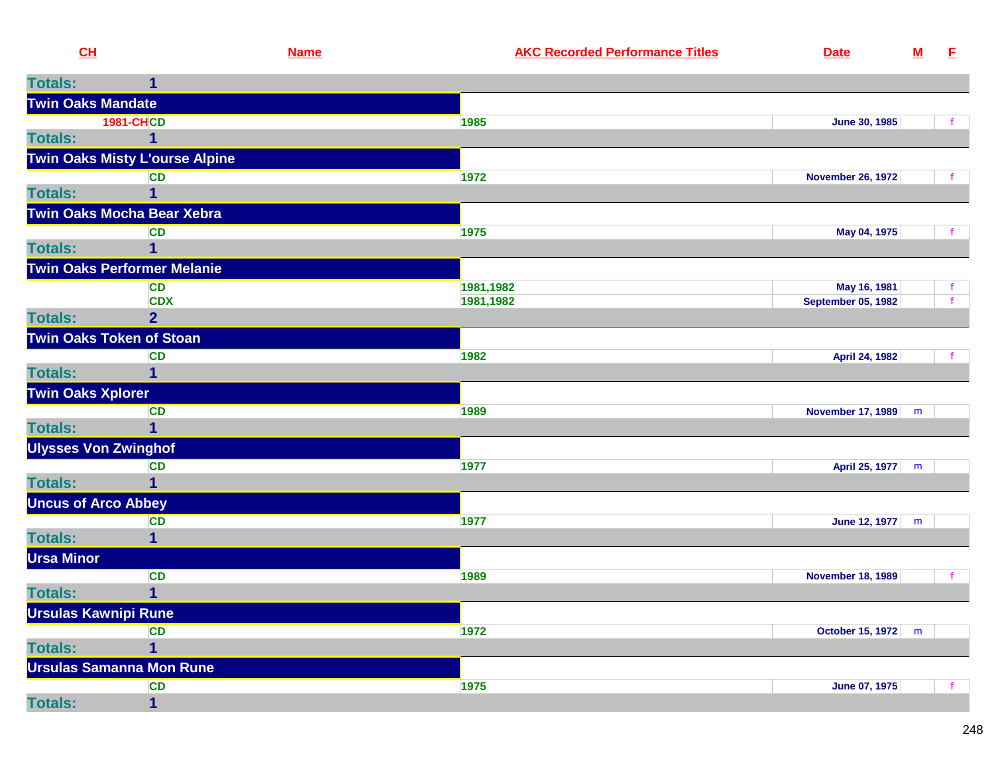| CL                                    | <b>Name</b>    | <b>AKC Recorded Performance Titles</b> | <b>Date</b>               | ${\bf M}$ | E.           |
|---------------------------------------|----------------|----------------------------------------|---------------------------|-----------|--------------|
| <b>Totals:</b>                        |                |                                        |                           |           |              |
| <b>Twin Oaks Mandate</b>              |                |                                        |                           |           |              |
| <b>1981-CHCD</b>                      |                | 1985                                   | June 30, 1985             |           |              |
| <b>Totals:</b>                        |                |                                        |                           |           |              |
| <b>Twin Oaks Misty L'ourse Alpine</b> |                |                                        |                           |           |              |
|                                       | <b>CD</b>      | 1972                                   | <b>November 26, 1972</b>  |           |              |
| <b>Totals:</b>                        |                |                                        |                           |           |              |
| Twin Oaks Mocha Bear Xebra            |                |                                        |                           |           |              |
|                                       | <b>CD</b>      | 1975                                   | May 04, 1975              |           |              |
| <b>Totals:</b>                        | 1              |                                        |                           |           |              |
| <b>Twin Oaks Performer Melanie</b>    |                |                                        |                           |           |              |
|                                       | <b>CD</b>      | 1981,1982                              | May 16, 1981              |           |              |
|                                       | <b>CDX</b>     | 1981,1982                              | <b>September 05, 1982</b> |           | $\mathbf{f}$ |
| <b>Totals:</b>                        | $\overline{2}$ |                                        |                           |           |              |
| <b>Twin Oaks Token of Stoan</b>       |                |                                        |                           |           |              |
|                                       | <b>CD</b>      | 1982                                   | April 24, 1982            |           |              |
| <b>Totals:</b>                        | $\mathbf 1$    |                                        |                           |           |              |
| <b>Twin Oaks Xplorer</b>              |                |                                        |                           |           |              |
|                                       | <b>CD</b>      | 1989                                   | <b>November 17, 1989</b>  | m         |              |
| <b>Totals:</b>                        | 1              |                                        |                           |           |              |
| <b>Ulysses Von Zwinghof</b>           |                |                                        |                           |           |              |
|                                       | <b>CD</b>      | 1977                                   | April 25, 1977            | m         |              |
| <b>Totals:</b>                        |                |                                        |                           |           |              |
| <b>Uncus of Arco Abbey</b>            |                |                                        |                           |           |              |
|                                       | <b>CD</b>      | 1977                                   | June 12, 1977             | m         |              |
| <b>Totals:</b>                        |                |                                        |                           |           |              |
| <b>Ursa Minor</b>                     |                |                                        |                           |           |              |
|                                       | <b>CD</b>      | 1989                                   | <b>November 18, 1989</b>  |           |              |
| <b>Totals:</b>                        | $\overline{1}$ |                                        |                           |           |              |
| <b>Ursulas Kawnipi Rune</b>           |                |                                        |                           |           |              |
|                                       | <b>CD</b>      | 1972                                   | October 15, 1972          | m         |              |
| <b>Totals:</b>                        |                |                                        |                           |           |              |
| <b>Ursulas Samanna Mon Rune</b>       |                |                                        |                           |           |              |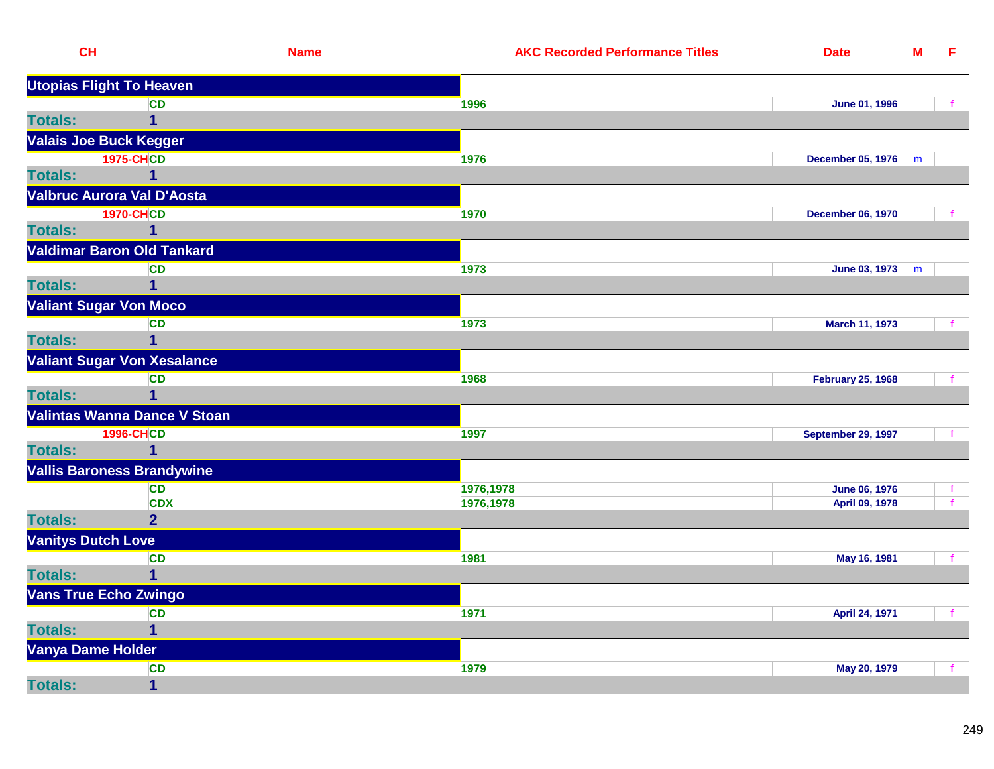| CL                              |                                    | <b>Name</b> | <b>AKC Recorded Performance Titles</b> | <b>Date</b>              | ${\bf M}$ | E. |
|---------------------------------|------------------------------------|-------------|----------------------------------------|--------------------------|-----------|----|
| <b>Utopias Flight To Heaven</b> |                                    |             |                                        |                          |           |    |
|                                 | <b>CD</b>                          |             | 1996                                   | June 01, 1996            |           |    |
| <b>Totals:</b>                  | $\mathbf{1}$                       |             |                                        |                          |           |    |
| <b>Valais Joe Buck Kegger</b>   |                                    |             |                                        |                          |           |    |
|                                 | <b>1975-CHCD</b>                   |             | 1976                                   | <b>December 05, 1976</b> | m         |    |
| <b>Totals:</b>                  | 1                                  |             |                                        |                          |           |    |
|                                 | Valbruc Aurora Val D'Aosta         |             |                                        |                          |           |    |
|                                 | <b>1970-CHCD</b>                   |             | 1970                                   | <b>December 06, 1970</b> |           |    |
| <b>Totals:</b>                  | 1                                  |             |                                        |                          |           |    |
|                                 | <b>Valdimar Baron Old Tankard</b>  |             |                                        |                          |           |    |
|                                 | <b>CD</b>                          |             | 1973                                   | June 03, 1973            | m         |    |
| <b>Totals:</b>                  | $\mathbf 1$                        |             |                                        |                          |           |    |
| <b>Valiant Sugar Von Moco</b>   |                                    |             |                                        |                          |           |    |
|                                 | <b>CD</b>                          |             | 1973                                   | March 11, 1973           |           |    |
| <b>Totals:</b>                  | $\mathbf 1$                        |             |                                        |                          |           |    |
|                                 | <b>Valiant Sugar Von Xesalance</b> |             |                                        |                          |           |    |
|                                 | <b>CD</b>                          |             | 1968                                   | <b>February 25, 1968</b> |           |    |
| <b>Totals:</b>                  | $\overline{1}$                     |             |                                        |                          |           |    |
|                                 | Valintas Wanna Dance V Stoan       |             |                                        |                          |           |    |
|                                 | <b>1996-CHCD</b>                   |             | 1997                                   | September 29, 1997       |           |    |
| <b>Totals:</b>                  | $\mathbf 1$                        |             |                                        |                          |           |    |
|                                 | <b>Vallis Baroness Brandywine</b>  |             |                                        |                          |           |    |
|                                 | <b>CD</b>                          |             | 1976,1978                              | <b>June 06, 1976</b>     |           |    |
|                                 | <b>CDX</b>                         |             | 1976,1978                              | April 09, 1978           |           |    |
| <b>Totals:</b>                  | $\overline{2}$                     |             |                                        |                          |           |    |
| <b>Vanitys Dutch Love</b>       |                                    |             |                                        |                          |           |    |
|                                 | <b>CD</b>                          |             | 1981                                   | May 16, 1981             |           |    |
| <b>Totals:</b>                  | $\mathbf 1$                        |             |                                        |                          |           |    |
| <b>Vans True Echo Zwingo</b>    |                                    |             |                                        |                          |           |    |
|                                 | <b>CD</b>                          |             | 1971                                   | April 24, 1971           |           |    |
| <b>Totals:</b>                  | 1                                  |             |                                        |                          |           |    |
| Vanya Dame Holder               |                                    |             |                                        |                          |           |    |
|                                 | <b>CD</b>                          |             | 1979                                   | May 20, 1979             |           |    |
| <b>Totals:</b>                  | $\mathbf{1}$                       |             |                                        |                          |           |    |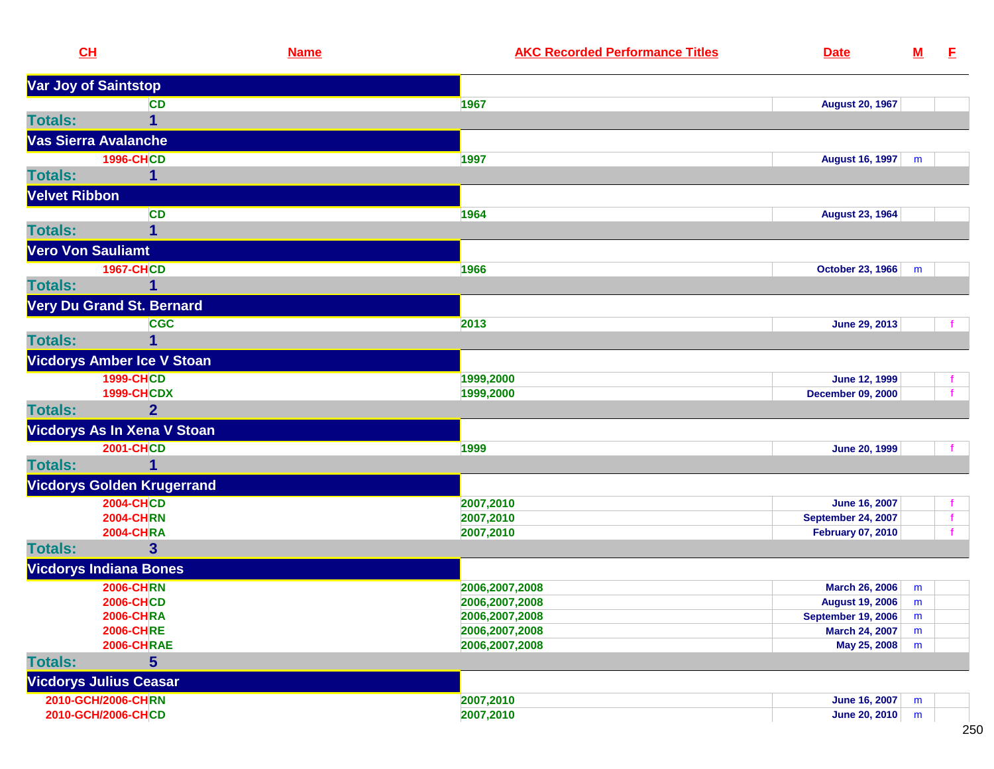| CL                                    | <b>Name</b>    | <b>AKC Recorded Performance Titles</b> | <b>Date</b>                           | <u>M</u>  | E.           |
|---------------------------------------|----------------|----------------------------------------|---------------------------------------|-----------|--------------|
| Var Joy of Saintstop                  |                |                                        |                                       |           |              |
|                                       | <b>CD</b>      | 1967                                   | <b>August 20, 1967</b>                |           |              |
| <b>Totals:</b>                        | 1              |                                        |                                       |           |              |
| Vas Sierra Avalanche                  |                |                                        |                                       |           |              |
| <b>1996-CHCD</b>                      |                | 1997                                   | August 16, 1997                       | m         |              |
| <b>Totals:</b>                        |                |                                        |                                       |           |              |
| <b>Velvet Ribbon</b>                  |                |                                        |                                       |           |              |
|                                       | <b>CD</b>      | 1964                                   | <b>August 23, 1964</b>                |           |              |
| <b>Totals:</b>                        | 1              |                                        |                                       |           |              |
| <b>Vero Von Sauliamt</b>              |                |                                        |                                       |           |              |
| <b>1967-CHCD</b>                      |                | 1966                                   | October 23, 1966                      | m         |              |
| <b>Totals:</b>                        | 1              |                                        |                                       |           |              |
| <b>Very Du Grand St. Bernard</b>      |                |                                        |                                       |           |              |
|                                       | <b>CGC</b>     | 2013                                   | June 29, 2013                         |           |              |
| <b>Totals:</b>                        |                |                                        |                                       |           |              |
| <b>Vicdorys Amber Ice V Stoan</b>     |                |                                        |                                       |           |              |
| 1999-CHCD                             |                | 1999,2000                              | <b>June 12, 1999</b>                  |           | f.           |
| <b>1999-CHCDX</b>                     |                | 1999,2000                              | <b>December 09, 2000</b>              |           |              |
| <b>Totals:</b>                        | $\overline{2}$ |                                        |                                       |           |              |
| Vicdorys As In Xena V Stoan           |                |                                        |                                       |           |              |
| <b>2001-CHCD</b>                      |                | 1999                                   | <b>June 20, 1999</b>                  |           |              |
| <b>Totals:</b>                        | 1              |                                        |                                       |           |              |
| <b>Vicdorys Golden Krugerrand</b>     |                |                                        |                                       |           |              |
| <b>2004-CHCD</b>                      |                | 2007,2010                              | <b>June 16, 2007</b>                  |           | f.           |
| <b>2004-CHRN</b>                      |                | 2007,2010                              | <b>September 24, 2007</b>             |           | $\mathbf{f}$ |
| <b>2004-CHRA</b>                      |                | 2007,2010                              | <b>February 07, 2010</b>              |           | $\mathbf{f}$ |
| <b>Totals:</b>                        | 3              |                                        |                                       |           |              |
| <b>Vicdorys Indiana Bones</b>         |                |                                        |                                       |           |              |
| <b>2006-CHRN</b>                      |                | 2006,2007,2008                         | <b>March 26, 2006</b>                 | m         |              |
| <b>2006-CHCD</b>                      |                | 2006, 2007, 2008                       | <b>August 19, 2006</b>                | ${\sf m}$ |              |
| <b>2006-CHRA</b>                      |                | 2006,2007,2008                         | <b>September 19, 2006</b>             | m         |              |
| <b>2006-CHRE</b><br><b>2006-CHRAE</b> |                | 2006,2007,2008<br>2006,2007,2008       | <b>March 24, 2007</b><br>May 25, 2008 | m<br>m    |              |
| <b>Totals:</b>                        | 5              |                                        |                                       |           |              |
| <b>Vicdorys Julius Ceasar</b>         |                |                                        |                                       |           |              |
| 2010-GCH/2006-CHRN                    |                | 2007,2010                              | <b>June 16, 2007</b>                  | m         |              |
| 2010-GCH/2006-CHCD                    |                | 2007,2010                              | June 20, 2010                         | m         |              |
|                                       |                |                                        |                                       |           |              |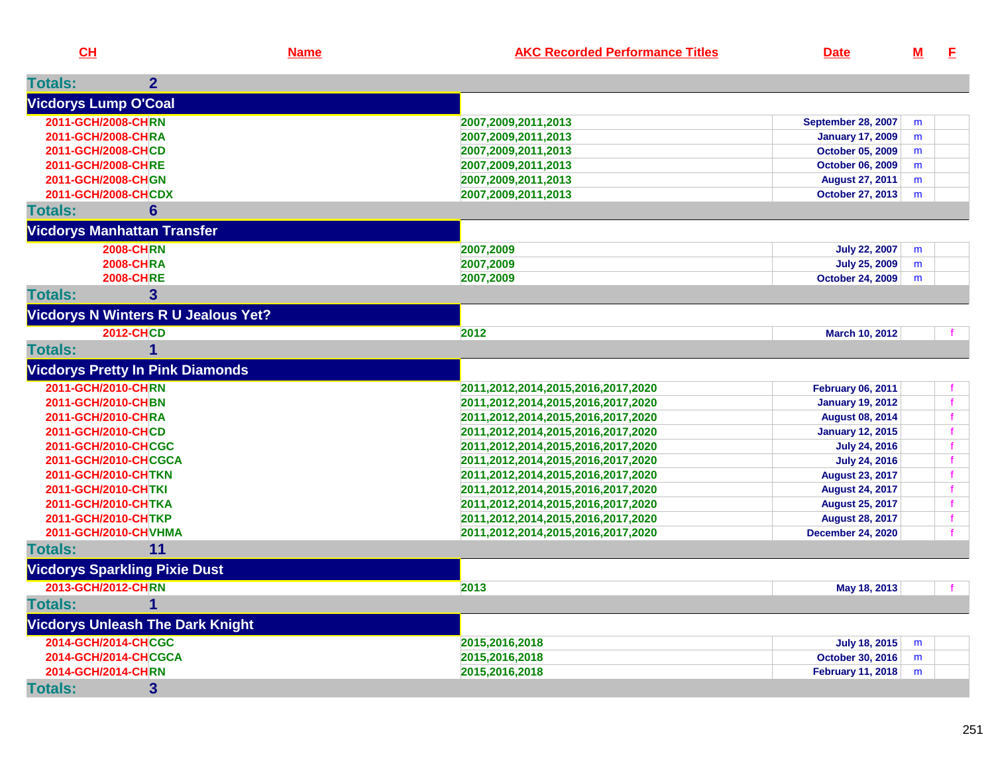**CH**

| <b>Totals:</b><br>$\mathbf{2}$             |                                    |                           |   |   |
|--------------------------------------------|------------------------------------|---------------------------|---|---|
| <b>Vicdorys Lump O'Coal</b>                |                                    |                           |   |   |
| 2011-GCH/2008-CHRN                         | 2007,2009,2011,2013                | <b>September 28, 2007</b> | m |   |
| 2011-GCH/2008-CHRA                         | 2007,2009,2011,2013                | <b>January 17, 2009</b>   | m |   |
| 2011-GCH/2008-CHCD                         | 2007,2009,2011,2013                | <b>October 05, 2009</b>   | m |   |
| 2011-GCH/2008-CHRE                         | 2007,2009,2011,2013                | October 06, 2009          | m |   |
| 2011-GCH/2008-CHGN                         | 2007,2009,2011,2013                | <b>August 27, 2011</b>    | m |   |
| 2011-GCH/2008-CHCDX                        | 2007,2009,2011,2013                | <b>October 27, 2013</b>   | m |   |
| $6\phantom{1}$<br><b>Totals:</b>           |                                    |                           |   |   |
| <b>Vicdorys Manhattan Transfer</b>         |                                    |                           |   |   |
| <b>2008-CHRN</b>                           | 2007,2009                          | <b>July 22, 2007</b>      | m |   |
| <b>2008-CHRA</b>                           | 2007,2009                          | <b>July 25, 2009</b>      | m |   |
| <b>2008-CHRE</b>                           | 2007,2009                          | <b>October 24, 2009</b>   | m |   |
| $\overline{3}$<br><b>Totals:</b>           |                                    |                           |   |   |
| <b>Vicdorys N Winters R U Jealous Yet?</b> |                                    |                           |   |   |
| <b>2012-CHCD</b>                           | 2012                               | March 10, 2012            |   |   |
| <b>Totals:</b><br>1                        |                                    |                           |   |   |
| <b>Vicdorys Pretty In Pink Diamonds</b>    |                                    |                           |   |   |
| 2011-GCH/2010-CHRN                         | 2011,2012,2014,2015,2016,2017,2020 | <b>February 06, 2011</b>  |   |   |
| 2011-GCH/2010-CHBN                         | 2011,2012,2014,2015,2016,2017,2020 | <b>January 19, 2012</b>   |   | f |
| 2011-GCH/2010-CHRA                         | 2011,2012,2014,2015,2016,2017,2020 | <b>August 08, 2014</b>    |   | f |
| 2011-GCH/2010-CHCD                         | 2011,2012,2014,2015,2016,2017,2020 | <b>January 12, 2015</b>   |   |   |
| 2011-GCH/2010-CHCGC                        | 2011,2012,2014,2015,2016,2017,2020 | <b>July 24, 2016</b>      |   | f |
| 2011-GCH/2010-CHCGCA                       | 2011,2012,2014,2015,2016,2017,2020 | <b>July 24, 2016</b>      |   |   |
| 2011-GCH/2010-CHTKN                        | 2011,2012,2014,2015,2016,2017,2020 | <b>August 23, 2017</b>    |   | f |
| 2011-GCH/2010-CHTKI                        | 2011,2012,2014,2015,2016,2017,2020 | <b>August 24, 2017</b>    |   |   |
| 2011-GCH/2010-CHTKA                        | 2011,2012,2014,2015,2016,2017,2020 | <b>August 25, 2017</b>    |   | f |
| 2011-GCH/2010-CHTKP                        | 2011,2012,2014,2015,2016,2017,2020 | <b>August 28, 2017</b>    |   |   |
| 2011-GCH/2010-CHVHMA                       | 2011,2012,2014,2015,2016,2017,2020 | <b>December 24, 2020</b>  |   |   |
| <b>Totals:</b><br>11                       |                                    |                           |   |   |
| <b>Vicdorys Sparkling Pixie Dust</b>       |                                    |                           |   |   |
| 2013-GCH/2012-CHRN                         | 2013                               | May 18, 2013              |   |   |
| $\mathbf{1}$<br><b>Totals:</b>             |                                    |                           |   |   |
| <b>Vicdorys Unleash The Dark Knight</b>    |                                    |                           |   |   |
| 2014-GCH/2014-CHCGC                        | 2015,2016,2018                     | <b>July 18, 2015</b>      | m |   |
| 2014-GCH/2014-CHCGCA                       | 2015,2016,2018                     | October 30, 2016          | m |   |
| 2014-GCH/2014-CHRN                         | 2015,2016,2018                     | <b>February 11, 2018</b>  | m |   |
| <b>Totals:</b><br>$\mathbf{3}$             |                                    |                           |   |   |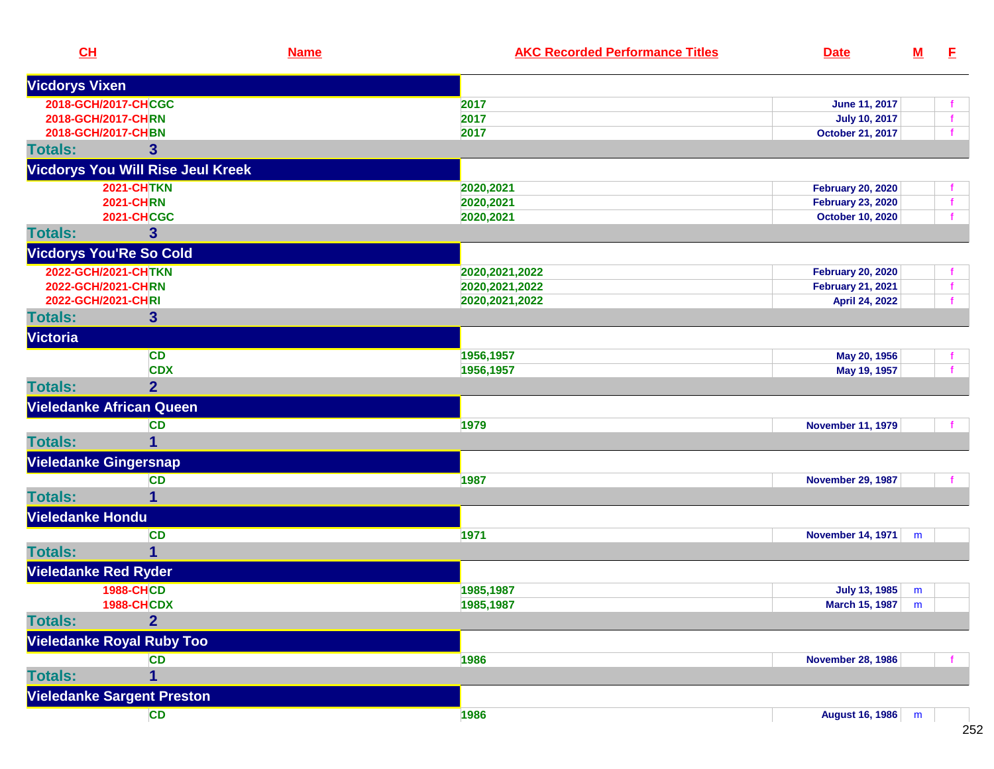| CL                                        | <b>Name</b> | <b>AKC Recorded Performance Titles</b> | <b>Date</b>                                                                      | $\underline{\mathsf{M}}$ | E.           |
|-------------------------------------------|-------------|----------------------------------------|----------------------------------------------------------------------------------|--------------------------|--------------|
| <b>Vicdorys Vixen</b>                     |             |                                        |                                                                                  |                          |              |
| 2018-GCH/2017-CHCGC                       |             | 2017                                   | June 11, 2017                                                                    |                          |              |
| 2018-GCH/2017-CHRN                        |             | 2017                                   | <b>July 10, 2017</b>                                                             |                          |              |
| 2018-GCH/2017-CHBN                        |             | 2017                                   | October 21, 2017                                                                 |                          |              |
| $\overline{\mathbf{3}}$<br><b>Totals:</b> |             |                                        |                                                                                  |                          |              |
| <b>Vicdorys You Will Rise Jeul Kreek</b>  |             |                                        |                                                                                  |                          |              |
| <b>2021-CHTKN</b>                         |             | 2020,2021                              | <b>February 20, 2020</b>                                                         |                          |              |
| <b>2021-CHRN</b>                          |             | 2020,2021                              | <b>February 23, 2020</b>                                                         |                          |              |
| <b>2021-CHCGC</b>                         |             | 2020,2021                              | <b>October 10, 2020</b>                                                          |                          |              |
| 3<br><b>Totals:</b>                       |             |                                        |                                                                                  |                          |              |
| <b>Vicdorys You'Re So Cold</b>            |             |                                        |                                                                                  |                          |              |
| 2022-GCH/2021-CHTKN                       |             | 2020, 2021, 2022                       | <b>February 20, 2020</b>                                                         |                          |              |
| 2022-GCH/2021-CHRN                        |             | 2020, 2021, 2022                       | <b>February 21, 2021</b>                                                         |                          | $\mathbf{f}$ |
| 2022-GCH/2021-CHRI                        |             | 2020, 2021, 2022                       | April 24, 2022                                                                   |                          | $\mathbf{f}$ |
| <b>Totals:</b><br>$\mathbf{3}$            |             |                                        |                                                                                  |                          |              |
| Victoria                                  |             |                                        |                                                                                  |                          |              |
|                                           | <b>CD</b>   | 1956,1957                              | May 20, 1956                                                                     |                          |              |
|                                           | <b>CDX</b>  | 1956,1957                              | May 19, 1957                                                                     |                          |              |
| $\overline{2}$<br><b>Totals:</b>          |             |                                        |                                                                                  |                          |              |
| <b>Vieledanke African Queen</b>           |             |                                        |                                                                                  |                          |              |
|                                           | <b>CD</b>   | 1979                                   | <b>November 11, 1979</b>                                                         |                          |              |
| <b>Totals:</b><br>1                       |             |                                        |                                                                                  |                          |              |
| <b>Vieledanke Gingersnap</b>              |             |                                        |                                                                                  |                          |              |
|                                           | CD          | 1987                                   | <b>November 29, 1987</b>                                                         |                          |              |
| <b>Totals:</b><br>1                       |             |                                        |                                                                                  |                          |              |
| Vieledanke Hondu                          |             |                                        |                                                                                  |                          |              |
|                                           | <b>CD</b>   | 1971                                   | <b>November 14, 1971</b>                                                         | m                        |              |
| <b>Totals:</b><br>$\mathbf{1}$            |             |                                        |                                                                                  |                          |              |
| <b>Vieledanke Red Ryder</b>               |             |                                        |                                                                                  |                          |              |
| <b>1988-CHCD</b>                          |             | 1985,1987                              | <b>July 13, 1985</b>                                                             | m                        |              |
| <b>1988-CHCDX</b>                         |             | 1985,1987                              | <b>March 15, 1987</b> $\begin{array}{ c c c }\n\hline\nm & \bar{m}\n\end{array}$ |                          |              |
| <b>Totals:</b><br>$\overline{2}$          |             |                                        |                                                                                  |                          |              |
| <b>Vieledanke Royal Ruby Too</b>          |             |                                        |                                                                                  |                          |              |
|                                           | <b>CD</b>   | 1986                                   | <b>November 28, 1986</b>                                                         |                          |              |
| <b>Totals:</b><br>$\mathbf{1}$            |             |                                        |                                                                                  |                          |              |
| <b>Vieledanke Sargent Preston</b>         |             |                                        |                                                                                  |                          |              |
|                                           |             |                                        |                                                                                  |                          |              |
|                                           | CD          | 1986                                   | August 16, 1986 m                                                                |                          |              |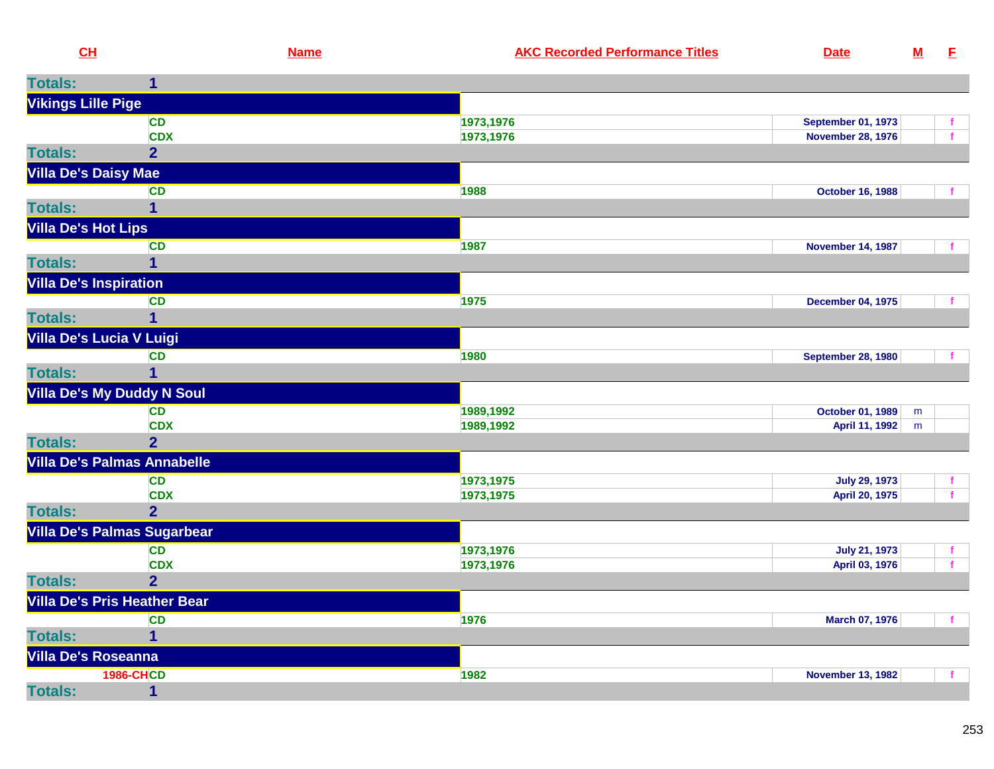| CH                            |                                     | <b>Name</b> | <b>AKC Recorded Performance Titles</b> | <b>Date</b>               | ${\bf M}$ | E            |
|-------------------------------|-------------------------------------|-------------|----------------------------------------|---------------------------|-----------|--------------|
| <b>Totals:</b>                | $\mathbf 1$                         |             |                                        |                           |           |              |
| <b>Vikings Lille Pige</b>     |                                     |             |                                        |                           |           |              |
|                               | <b>CD</b>                           |             | 1973,1976                              | <b>September 01, 1973</b> |           | f.           |
|                               | <b>CDX</b>                          |             | 1973,1976                              | <b>November 28, 1976</b>  |           | $\mathbf{f}$ |
| <b>Totals:</b>                | $\overline{2}$                      |             |                                        |                           |           |              |
| <b>Villa De's Daisy Mae</b>   |                                     |             |                                        |                           |           |              |
|                               | <b>CD</b>                           |             | 1988                                   | <b>October 16, 1988</b>   |           | $\mathbf{f}$ |
| <b>Totals:</b>                | $\mathbf{1}$                        |             |                                        |                           |           |              |
| <b>Villa De's Hot Lips</b>    |                                     |             |                                        |                           |           |              |
|                               | <b>CD</b>                           |             | 1987                                   | <b>November 14, 1987</b>  |           | $\mathbf{f}$ |
| <b>Totals:</b>                | $\mathbf{1}$                        |             |                                        |                           |           |              |
| <b>Villa De's Inspiration</b> |                                     |             |                                        |                           |           |              |
|                               | CD                                  |             | 1975                                   | <b>December 04, 1975</b>  |           | $\mathbf{f}$ |
| <b>Totals:</b>                | $\overline{\mathbf{1}}$             |             |                                        |                           |           |              |
|                               | Villa De's Lucia V Luigi            |             |                                        |                           |           |              |
|                               | <b>CD</b>                           |             | 1980                                   | <b>September 28, 1980</b> |           | $\mathbf{f}$ |
| <b>Totals:</b>                | 1                                   |             |                                        |                           |           |              |
|                               | <b>Villa De's My Duddy N Soul</b>   |             |                                        |                           |           |              |
|                               | <b>CD</b>                           |             | 1989,1992                              | <b>October 01, 1989</b>   | m         |              |
|                               | <b>CDX</b>                          |             | 1989,1992                              | April 11, 1992            | m         |              |
| <b>Totals:</b>                | 2 <sup>1</sup>                      |             |                                        |                           |           |              |
|                               | <b>Villa De's Palmas Annabelle</b>  |             |                                        |                           |           |              |
|                               | <b>CD</b>                           |             | 1973,1975                              | <b>July 29, 1973</b>      |           | $\mathbf{f}$ |
|                               | <b>CDX</b>                          |             | 1973,1975                              | April 20, 1975            |           | f            |
| <b>Totals:</b>                | 2 <sup>1</sup>                      |             |                                        |                           |           |              |
|                               | <b>Villa De's Palmas Sugarbear</b>  |             |                                        |                           |           |              |
|                               | <b>CD</b>                           |             | 1973,1976                              | <b>July 21, 1973</b>      |           | $\mathbf{f}$ |
|                               | <b>CDX</b>                          |             | 1973,1976                              | April 03, 1976            |           | f            |
| <b>Totals:</b>                | $\overline{2}$                      |             |                                        |                           |           |              |
|                               | <b>Villa De's Pris Heather Bear</b> |             |                                        |                           |           |              |
|                               | <b>CD</b>                           |             | 1976                                   | March 07, 1976            |           | $\mathbf{f}$ |
| <b>Totals:</b>                | 1                                   |             |                                        |                           |           |              |
| <b>Villa De's Roseanna</b>    |                                     |             |                                        |                           |           |              |
|                               | <b>1986-CHCD</b>                    |             | 1982                                   | <b>November 13, 1982</b>  |           | $\mathbf{f}$ |
| <b>Totals:</b>                | $\mathbf{1}$                        |             |                                        |                           |           |              |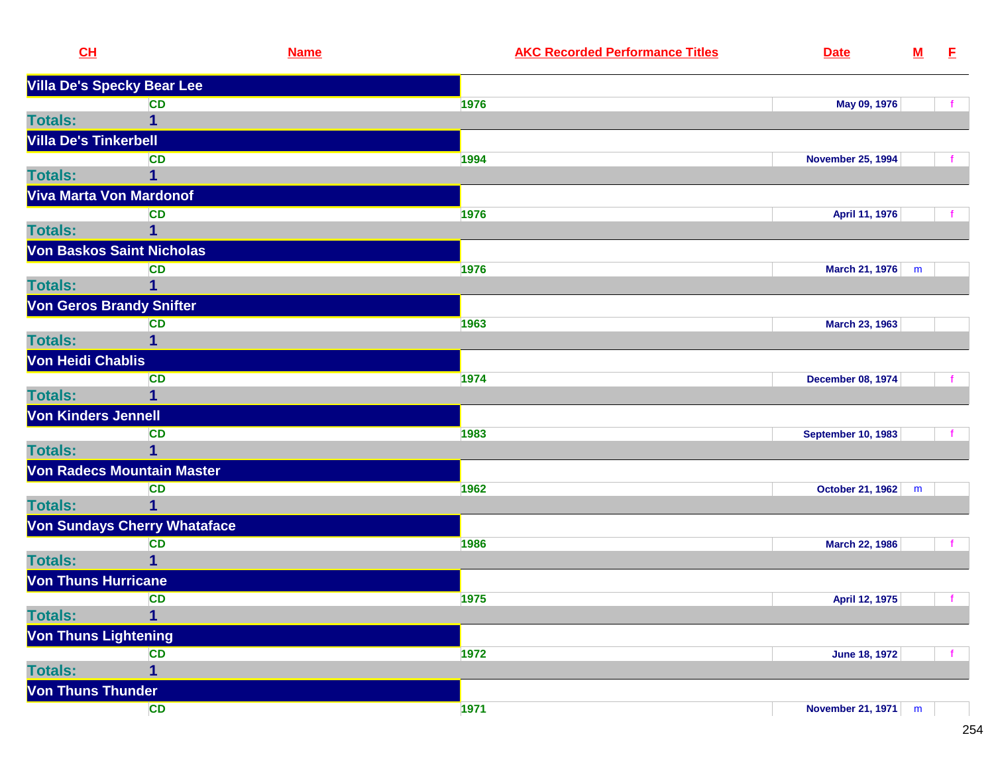| CH                           | <b>Name</b>                         | <b>AKC Recorded Performance Titles</b> | <b>Date</b>               | ${\bf M}$ | E  |
|------------------------------|-------------------------------------|----------------------------------------|---------------------------|-----------|----|
|                              | <b>Villa De's Specky Bear Lee</b>   |                                        |                           |           |    |
|                              | <b>CD</b>                           | 1976                                   | May 09, 1976              |           |    |
| <b>Totals:</b>               | 1                                   |                                        |                           |           |    |
| <b>Villa De's Tinkerbell</b> |                                     |                                        |                           |           |    |
|                              | <b>CD</b>                           | 1994                                   | <b>November 25, 1994</b>  |           |    |
| <b>Totals:</b>               | 1                                   |                                        |                           |           |    |
|                              | Viva Marta Von Mardonof             |                                        |                           |           |    |
|                              | <b>CD</b>                           | 1976                                   | April 11, 1976            |           |    |
| <b>Totals:</b>               |                                     |                                        |                           |           |    |
|                              | <b>Von Baskos Saint Nicholas</b>    |                                        |                           |           |    |
|                              | <b>CD</b>                           | 1976                                   | March 21, 1976            | m         |    |
| <b>Totals:</b>               | 1                                   |                                        |                           |           |    |
|                              | <b>Von Geros Brandy Snifter</b>     |                                        |                           |           |    |
|                              | <b>CD</b>                           | 1963                                   | March 23, 1963            |           |    |
| <b>Totals:</b>               |                                     |                                        |                           |           |    |
| Von Heidi Chablis            |                                     |                                        |                           |           |    |
|                              | <b>CD</b>                           | 1974                                   | <b>December 08, 1974</b>  |           |    |
| <b>Totals:</b>               | 1                                   |                                        |                           |           |    |
| <b>Von Kinders Jennell</b>   |                                     |                                        |                           |           |    |
|                              | <b>CD</b>                           | 1983                                   | <b>September 10, 1983</b> |           |    |
| <b>Totals:</b>               | 1                                   |                                        |                           |           |    |
|                              | Von Radecs Mountain Master          |                                        |                           |           |    |
|                              | <b>CD</b>                           | 1962                                   | October 21, 1962          | m         |    |
| <b>Totals:</b>               | 1                                   |                                        |                           |           |    |
|                              | <b>Von Sundays Cherry Whataface</b> |                                        |                           |           |    |
|                              | <b>CD</b>                           | 1986                                   | March 22, 1986            |           |    |
| <b>Totals:</b>               | 1                                   |                                        |                           |           |    |
| <b>Von Thuns Hurricane</b>   |                                     |                                        |                           |           |    |
|                              | <b>CD</b>                           | 1975                                   | April 12, 1975            |           | f. |
| <b>Totals:</b>               | 1                                   |                                        |                           |           |    |
|                              | <b>Von Thuns Lightening</b>         |                                        |                           |           |    |
|                              | <b>CD</b>                           | 1972                                   | <b>June 18, 1972</b>      |           |    |
| <b>Totals:</b>               | 1                                   |                                        |                           |           |    |
| <b>Von Thuns Thunder</b>     |                                     |                                        |                           |           |    |
|                              | CD                                  | 1971                                   | November 21, 1971 m       |           |    |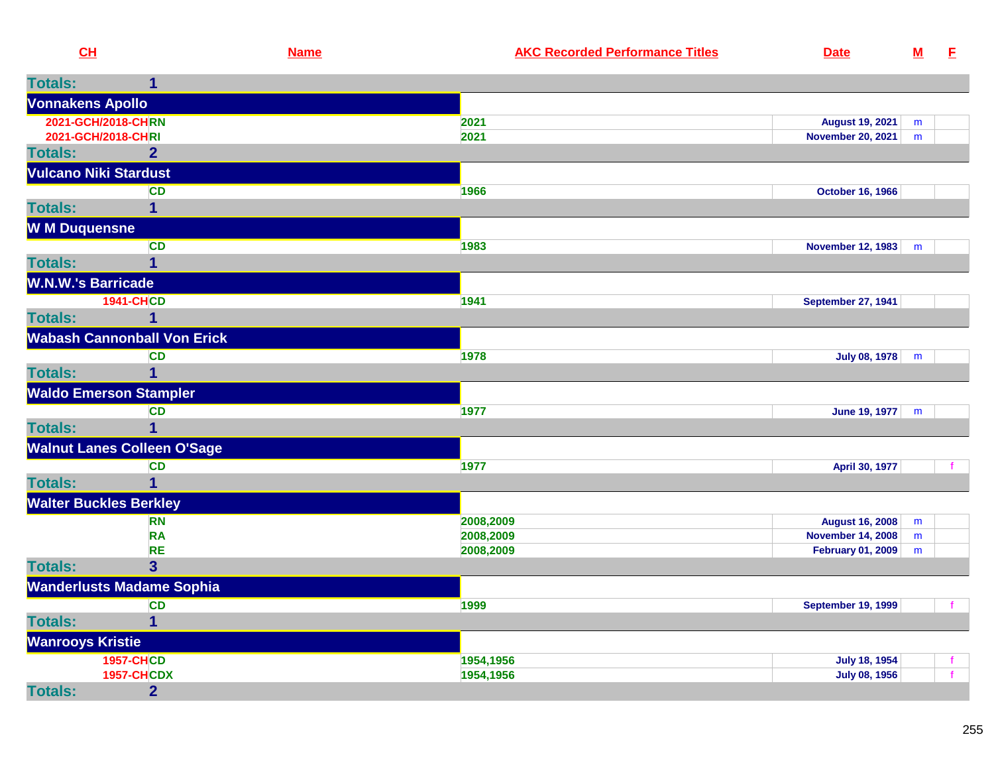| CH                            |                                    | <b>Name</b> | <b>AKC Recorded Performance Titles</b> | <b>Date</b>               | ${\bf M}$ | E            |
|-------------------------------|------------------------------------|-------------|----------------------------------------|---------------------------|-----------|--------------|
| <b>Totals:</b>                | $\mathbf{1}$                       |             |                                        |                           |           |              |
| <b>Vonnakens Apollo</b>       |                                    |             |                                        |                           |           |              |
| 2021-GCH/2018-CHRN            |                                    |             | 2021                                   | <b>August 19, 2021</b>    | m         |              |
| 2021-GCH/2018-CHRI            |                                    |             | 2021                                   | <b>November 20, 2021</b>  | m         |              |
| <b>Totals:</b>                | $\overline{2}$                     |             |                                        |                           |           |              |
| <b>Vulcano Niki Stardust</b>  |                                    |             |                                        |                           |           |              |
|                               | <b>CD</b>                          |             | 1966                                   | <b>October 16, 1966</b>   |           |              |
| <b>Totals:</b>                | $\overline{1}$                     |             |                                        |                           |           |              |
| <b>W M Duquensne</b>          |                                    |             |                                        |                           |           |              |
|                               | <b>CD</b>                          |             | 1983                                   | <b>November 12, 1983</b>  | m         |              |
| <b>Totals:</b>                | 1                                  |             |                                        |                           |           |              |
| <b>W.N.W.'s Barricade</b>     |                                    |             |                                        |                           |           |              |
|                               | <b>1941-CHCD</b>                   |             | 1941                                   | <b>September 27, 1941</b> |           |              |
| <b>Totals:</b>                | 1                                  |             |                                        |                           |           |              |
|                               | <b>Wabash Cannonball Von Erick</b> |             |                                        |                           |           |              |
|                               | <b>CD</b>                          |             | 1978                                   | <b>July 08, 1978</b>      | m         |              |
| <b>Totals:</b>                | $\overline{1}$                     |             |                                        |                           |           |              |
|                               | <b>Waldo Emerson Stampler</b>      |             |                                        |                           |           |              |
|                               | <b>CD</b>                          |             | 1977                                   | <b>June 19, 1977</b>      | m         |              |
| <b>Totals:</b>                |                                    |             |                                        |                           |           |              |
|                               | <b>Walnut Lanes Colleen O'Sage</b> |             |                                        |                           |           |              |
|                               | <b>CD</b>                          |             | 1977                                   | April 30, 1977            |           | f            |
| <b>Totals:</b>                | $\overline{1}$                     |             |                                        |                           |           |              |
| <b>Walter Buckles Berkley</b> |                                    |             |                                        |                           |           |              |
|                               | <b>RN</b>                          |             | 2008,2009                              | <b>August 16, 2008</b>    | m         |              |
|                               | <b>RA</b>                          |             | 2008,2009                              | <b>November 14, 2008</b>  | m         |              |
|                               | <b>RE</b>                          |             | 2008,2009                              | <b>February 01, 2009</b>  | m         |              |
| <b>Totals:</b>                | 3 <sup>5</sup>                     |             |                                        |                           |           |              |
|                               | <b>Wanderlusts Madame Sophia</b>   |             |                                        |                           |           |              |
|                               | <b>CD</b>                          |             | 1999                                   | <b>September 19, 1999</b> |           |              |
| <b>Totals:</b>                | $\mathbf 1$                        |             |                                        |                           |           |              |
| <b>Wanrooys Kristie</b>       |                                    |             |                                        |                           |           |              |
|                               | <b>1957-CHCD</b>                   |             | 1954,1956                              | <b>July 18, 1954</b>      |           | f            |
|                               | <b>1957-CHCDX</b>                  |             | 1954,1956                              | <b>July 08, 1956</b>      |           | $\mathbf{f}$ |
| <b>Totals:</b>                | $\overline{2}$                     |             |                                        |                           |           |              |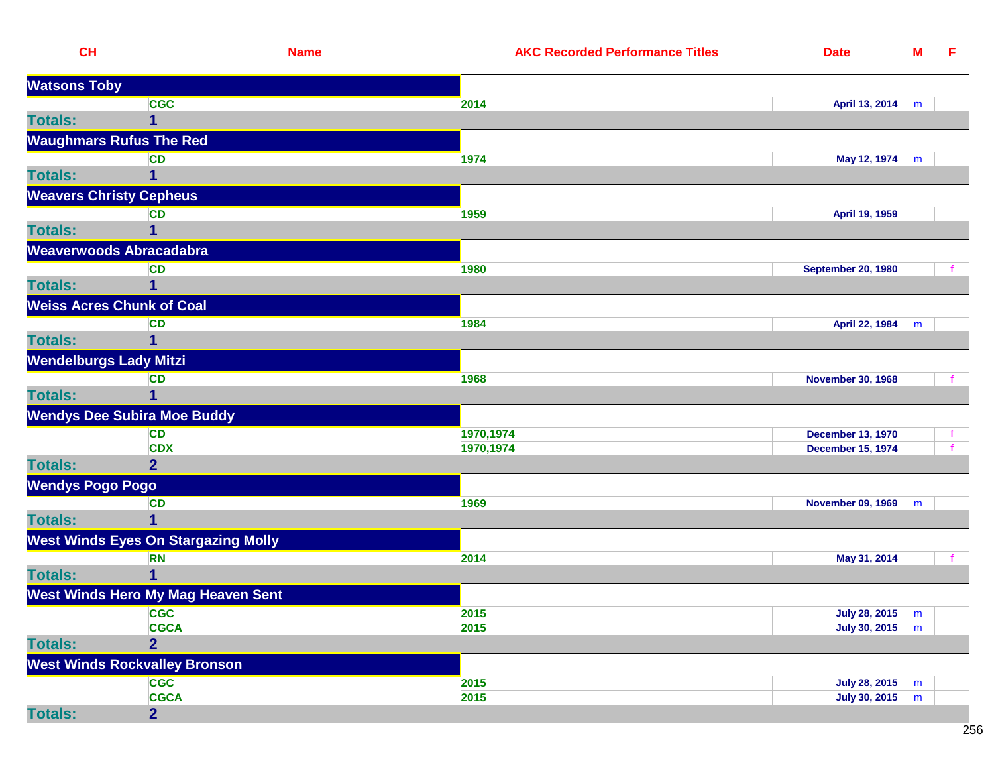| CL                             |                                            | <b>Name</b>  | <b>AKC Recorded Performance Titles</b> | <b>Date</b>                                  | ${\bf M}$ | E. |
|--------------------------------|--------------------------------------------|--------------|----------------------------------------|----------------------------------------------|-----------|----|
| <b>Watsons Toby</b>            |                                            |              |                                        |                                              |           |    |
|                                | <b>CGC</b>                                 | 2014         |                                        | April 13, 2014                               | m         |    |
| <b>Totals:</b>                 | $\overline{1}$                             |              |                                        |                                              |           |    |
|                                | <b>Waughmars Rufus The Red</b>             |              |                                        |                                              |           |    |
|                                | <b>CD</b>                                  | 1974         |                                        | May 12, 1974                                 | m         |    |
| <b>Totals:</b>                 |                                            |              |                                        |                                              |           |    |
| <b>Weavers Christy Cepheus</b> |                                            |              |                                        |                                              |           |    |
|                                | <b>CD</b>                                  | 1959         |                                        | April 19, 1959                               |           |    |
| <b>Totals:</b>                 |                                            |              |                                        |                                              |           |    |
|                                | Weaverwoods Abracadabra                    |              |                                        |                                              |           |    |
|                                | <b>CD</b>                                  | 1980         |                                        | <b>September 20, 1980</b>                    |           |    |
| <b>Totals:</b>                 | 1                                          |              |                                        |                                              |           |    |
|                                | <b>Weiss Acres Chunk of Coal</b>           |              |                                        |                                              |           |    |
|                                | <b>CD</b>                                  | 1984         |                                        | April 22, 1984                               | m         |    |
| <b>Totals:</b>                 | 1                                          |              |                                        |                                              |           |    |
| <b>Wendelburgs Lady Mitzi</b>  |                                            |              |                                        |                                              |           |    |
|                                | <b>CD</b>                                  | 1968         |                                        | <b>November 30, 1968</b>                     |           |    |
| <b>Totals:</b>                 | 1                                          |              |                                        |                                              |           |    |
|                                | <b>Wendys Dee Subira Moe Buddy</b>         |              |                                        |                                              |           |    |
|                                | <b>CD</b>                                  |              | 1970,1974                              | <b>December 13, 1970</b>                     |           |    |
|                                | <b>CDX</b>                                 |              | 1970,1974                              | <b>December 15, 1974</b>                     |           |    |
| <b>Totals:</b>                 | $\overline{2}$                             |              |                                        |                                              |           |    |
| <b>Wendys Pogo Pogo</b>        |                                            |              |                                        |                                              |           |    |
|                                | <b>CD</b>                                  | 1969         |                                        | <b>November 09, 1969</b>                     | m         |    |
| <b>Totals:</b>                 | 1                                          |              |                                        |                                              |           |    |
|                                | <b>West Winds Eyes On Stargazing Molly</b> |              |                                        |                                              |           |    |
|                                | <b>RN</b>                                  | 2014         |                                        | May 31, 2014                                 |           |    |
| <b>Totals:</b>                 |                                            |              |                                        |                                              |           |    |
|                                | <b>West Winds Hero My Mag Heaven Sent</b>  |              |                                        |                                              |           |    |
|                                | <b>CGC</b><br><b>CGCA</b>                  | 2015<br>2015 |                                        | <b>July 28, 2015</b><br><b>July 30, 2015</b> | m<br>m    |    |
| <b>Totals:</b>                 | $\overline{2}$                             |              |                                        |                                              |           |    |
|                                | <b>West Winds Rockvalley Bronson</b>       |              |                                        |                                              |           |    |
|                                | <b>CGC</b>                                 | 2015         |                                        | <b>July 28, 2015</b>                         | m         |    |
|                                | <b>CGCA</b>                                | 2015         |                                        | July 30, 2015                                | m         |    |
| <b>Totals:</b>                 | $\overline{2}$                             |              |                                        |                                              |           |    |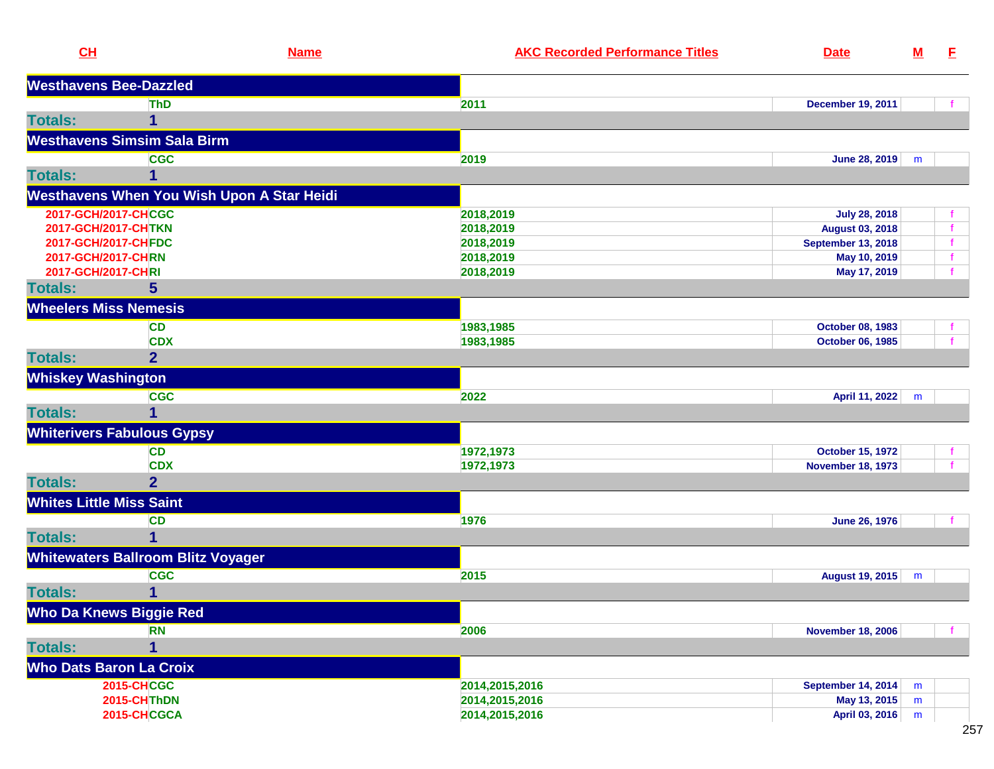| CH                              |                                            | <b>Name</b> | <b>AKC Recorded Performance Titles</b> | <b>Date</b>               | $\underline{\mathsf{M}}$ | E |
|---------------------------------|--------------------------------------------|-------------|----------------------------------------|---------------------------|--------------------------|---|
|                                 | <b>Westhavens Bee-Dazzled</b>              |             |                                        |                           |                          |   |
|                                 | <b>ThD</b>                                 |             | 2011                                   | <b>December 19, 2011</b>  |                          |   |
| <b>Totals:</b>                  | 1                                          |             |                                        |                           |                          |   |
|                                 | <b>Westhavens Simsim Sala Birm</b>         |             |                                        |                           |                          |   |
|                                 | <b>CGC</b>                                 |             | 2019                                   | June 28, 2019             | m                        |   |
| <b>Totals:</b>                  | 1                                          |             |                                        |                           |                          |   |
|                                 | Westhavens When You Wish Upon A Star Heidi |             |                                        |                           |                          |   |
|                                 | 2017-GCH/2017-CHCGC                        |             | 2018,2019                              | <b>July 28, 2018</b>      |                          |   |
|                                 | 2017-GCH/2017-CHTKN                        |             | 2018,2019                              | <b>August 03, 2018</b>    |                          |   |
|                                 | 2017-GCH/2017-CHFDC                        |             | 2018,2019                              | <b>September 13, 2018</b> |                          |   |
|                                 | 2017-GCH/2017-CHRN                         |             | 2018,2019                              | May 10, 2019              |                          |   |
| 2017-GCH/2017-CHRI              |                                            |             | 2018,2019                              | May 17, 2019              |                          |   |
| <b>Totals:</b>                  | $5\overline{)}$                            |             |                                        |                           |                          |   |
|                                 | <b>Wheelers Miss Nemesis</b>               |             |                                        |                           |                          |   |
|                                 | <b>CD</b>                                  |             | 1983,1985                              | October 08, 1983          |                          |   |
|                                 | <b>CDX</b>                                 |             | 1983,1985                              | October 06, 1985          |                          |   |
| <b>Totals:</b>                  | $\overline{2}$                             |             |                                        |                           |                          |   |
| <b>Whiskey Washington</b>       |                                            |             |                                        |                           |                          |   |
|                                 | <b>CGC</b>                                 |             | 2022                                   | April 11, 2022            | m                        |   |
| <b>Totals:</b>                  | 1                                          |             |                                        |                           |                          |   |
|                                 | <b>Whiterivers Fabulous Gypsy</b>          |             |                                        |                           |                          |   |
|                                 | <b>CD</b>                                  |             | 1972,1973                              | <b>October 15, 1972</b>   |                          |   |
|                                 | <b>CDX</b>                                 |             | 1972,1973                              | <b>November 18, 1973</b>  |                          |   |
| <b>Totals:</b>                  | $\overline{2}$                             |             |                                        |                           |                          |   |
| <b>Whites Little Miss Saint</b> |                                            |             |                                        |                           |                          |   |
|                                 | <b>CD</b>                                  |             | 1976                                   | June 26, 1976             |                          |   |
| <b>Totals:</b>                  | 1                                          |             |                                        |                           |                          |   |
|                                 | <b>Whitewaters Ballroom Blitz Voyager</b>  |             |                                        |                           |                          |   |
|                                 | <b>CGC</b>                                 |             | 2015                                   | August 19, 2015           | m                        |   |
| <b>Totals:</b>                  | 1                                          |             |                                        |                           |                          |   |
|                                 | <b>Who Da Knews Biggie Red</b>             |             |                                        |                           |                          |   |
|                                 | <b>RN</b>                                  |             | 2006                                   | <b>November 18, 2006</b>  |                          |   |
| <b>Totals:</b>                  | 1                                          |             |                                        |                           |                          |   |
|                                 | <b>Who Dats Baron La Croix</b>             |             |                                        |                           |                          |   |
|                                 | <b>2015-CHCGC</b>                          |             | 2014,2015,2016                         | <b>September 14, 2014</b> | m                        |   |
|                                 | 2015-CHThDN                                |             | 2014,2015,2016                         | May 13, 2015              | m                        |   |
|                                 | 2015-CHCGCA                                |             | 2014,2015,2016                         | April 03, 2016            | m                        |   |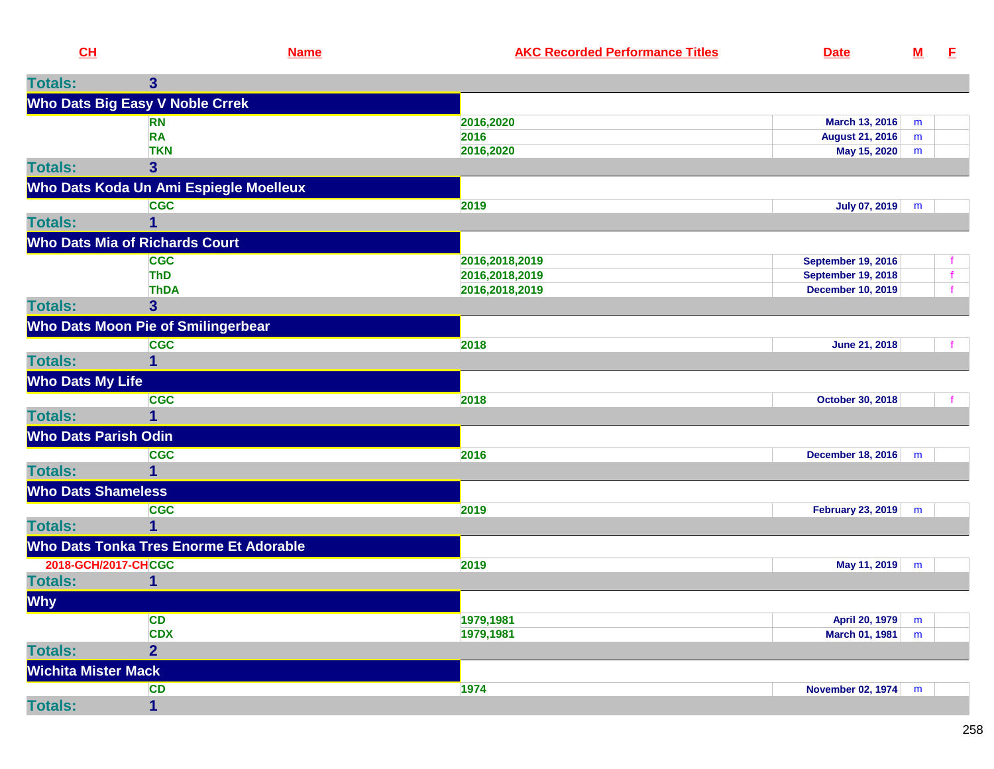| CL             |                                        | <b>Name</b> | <b>AKC Recorded Performance Titles</b> | <b>Date</b>     |   |  |
|----------------|----------------------------------------|-------------|----------------------------------------|-----------------|---|--|
| <b>Totals:</b> |                                        |             |                                        |                 |   |  |
|                | <b>Who Dats Big Easy V Noble Crrek</b> |             |                                        |                 |   |  |
|                | <b>RN</b>                              |             | 2016,2020                              | March 13, 2016  | m |  |
|                | RA                                     |             | 2016                                   | August 21, 2016 | m |  |
|                | <b>TKN</b>                             |             | 2016,2020                              | May 15, 2020    | m |  |
| <b>Totals:</b> |                                        |             |                                        |                 |   |  |

|                             | Who Dats Koda Un Ami Espiegle Moelleux |                |                           |   |  |
|-----------------------------|----------------------------------------|----------------|---------------------------|---|--|
|                             | <b>CGC</b>                             | 2019           | July 07, 2019             | m |  |
| <b>Totals:</b>              |                                        |                |                           |   |  |
|                             | <b>Who Dats Mia of Richards Court</b>  |                |                           |   |  |
|                             | <b>CGC</b>                             | 2016,2018,2019 | <b>September 19, 2016</b> |   |  |
|                             | <b>ThD</b>                             | 2016,2018,2019 | <b>September 19, 2018</b> |   |  |
|                             | <b>ThDA</b>                            | 2016,2018,2019 | <b>December 10, 2019</b>  |   |  |
| <b>Totals:</b>              | 3                                      |                |                           |   |  |
|                             | Who Dats Moon Pie of Smilingerbear     |                |                           |   |  |
|                             | <b>CGC</b>                             | 2018           | June 21, 2018             |   |  |
| <b>Totals:</b>              | 1                                      |                |                           |   |  |
| <b>Who Dats My Life</b>     |                                        |                |                           |   |  |
|                             | <b>CGC</b>                             | 2018           | October 30, 2018          |   |  |
| <b>Totals:</b>              |                                        |                |                           |   |  |
| <b>Who Dats Parish Odin</b> |                                        |                |                           |   |  |
|                             | <b>CGC</b>                             | 2016           | <b>December 18, 2016</b>  | m |  |
| <b>Totals:</b>              |                                        |                |                           |   |  |
| <b>Who Dats Shameless</b>   |                                        |                |                           |   |  |
|                             | <b>CGC</b>                             | 2019           | <b>February 23, 2019</b>  | m |  |
| <b>Totals:</b>              | $\overline{\mathbf{1}}$                |                |                           |   |  |
|                             | Who Dats Tonka Tres Enorme Et Adorable |                |                           |   |  |
|                             | 2018-GCH/2017-CHCGC                    | 2019           | May 11, 2019              | m |  |
| <b>Totals:</b>              |                                        |                |                           |   |  |
| <b>Why</b>                  |                                        |                |                           |   |  |
|                             | <b>CD</b>                              | 1979,1981      | April 20, 1979            | m |  |
|                             | <b>CDX</b>                             | 1979,1981      | March 01, 1981            | m |  |
| <b>Totals:</b>              | $\overline{2}$                         |                |                           |   |  |
| <b>Wichita Mister Mack</b>  |                                        |                |                           |   |  |
|                             | <b>CD</b>                              | 1974           | <b>November 02, 1974</b>  | m |  |
| <b>Totals:</b>              | 1                                      |                |                           |   |  |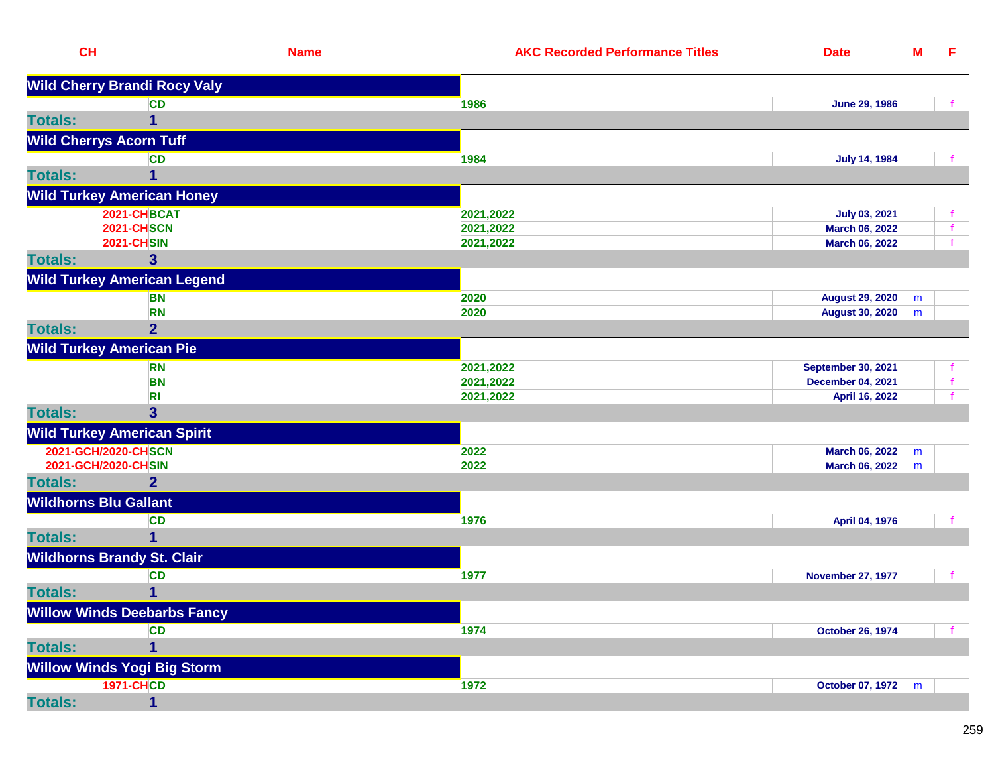| CH                                |                                     | <b>Name</b> | <b>AKC Recorded Performance Titles</b> | <b>Date</b>               | $\underline{\mathsf{M}}$ | E.           |
|-----------------------------------|-------------------------------------|-------------|----------------------------------------|---------------------------|--------------------------|--------------|
|                                   | <b>Wild Cherry Brandi Rocy Valy</b> |             |                                        |                           |                          |              |
|                                   | <b>CD</b>                           |             | 1986                                   | <b>June 29, 1986</b>      |                          | f            |
| <b>Totals:</b>                    | 1                                   |             |                                        |                           |                          |              |
| <b>Wild Cherrys Acorn Tuff</b>    |                                     |             |                                        |                           |                          |              |
|                                   | <b>CD</b>                           |             | 1984                                   | <b>July 14, 1984</b>      |                          |              |
| <b>Totals:</b>                    | 1                                   |             |                                        |                           |                          |              |
|                                   | <b>Wild Turkey American Honey</b>   |             |                                        |                           |                          |              |
|                                   | 2021-CHBCAT                         |             | 2021,2022                              | <b>July 03, 2021</b>      |                          | f            |
|                                   | <b>2021-CHSCN</b>                   |             | 2021,2022                              | March 06, 2022            |                          | $\mathbf{f}$ |
|                                   | <b>2021-CHSIN</b>                   |             | 2021,2022                              | March 06, 2022            |                          | $\mathbf{f}$ |
| <b>Totals:</b>                    | $\mathbf{3}$                        |             |                                        |                           |                          |              |
|                                   | <b>Wild Turkey American Legend</b>  |             |                                        |                           |                          |              |
|                                   | <b>BN</b>                           |             | 2020                                   | <b>August 29, 2020</b>    | m                        |              |
|                                   | <b>RN</b>                           |             | 2020                                   | <b>August 30, 2020</b>    | m                        |              |
| <b>Totals:</b>                    | $\overline{2}$                      |             |                                        |                           |                          |              |
| <b>Wild Turkey American Pie</b>   |                                     |             |                                        |                           |                          |              |
|                                   | <b>RN</b>                           |             | 2021,2022                              | <b>September 30, 2021</b> |                          | f.           |
|                                   | <b>BN</b>                           |             | 2021,2022                              | <b>December 04, 2021</b>  |                          | f            |
|                                   | R <sub>l</sub>                      |             | 2021,2022                              | April 16, 2022            |                          | f            |
| <b>Totals:</b>                    | $\overline{\mathbf{3}}$             |             |                                        |                           |                          |              |
|                                   | <b>Wild Turkey American Spirit</b>  |             |                                        |                           |                          |              |
| 2021-GCH/2020-CHSCN               |                                     |             | 2022                                   | March 06, 2022            | m                        |              |
| 2021-GCH/2020-CHSIN               |                                     |             | 2022                                   | March 06, 2022            | m                        |              |
| <b>Totals:</b>                    | 2 <sup>1</sup>                      |             |                                        |                           |                          |              |
| <b>Wildhorns Blu Gallant</b>      |                                     |             |                                        |                           |                          |              |
|                                   | <b>CD</b>                           |             | 1976                                   | April 04, 1976            |                          | $\mathbf{f}$ |
| <b>Totals:</b>                    | 1                                   |             |                                        |                           |                          |              |
| <b>Wildhorns Brandy St. Clair</b> |                                     |             |                                        |                           |                          |              |
|                                   | <b>CD</b>                           |             | 1977                                   | <b>November 27, 1977</b>  |                          |              |
| <b>Totals:</b>                    | 1                                   |             |                                        |                           |                          |              |
|                                   | <b>Willow Winds Deebarbs Fancy</b>  |             |                                        |                           |                          |              |
|                                   | <b>CD</b>                           |             | 1974                                   | <b>October 26, 1974</b>   |                          |              |
| <b>Totals:</b>                    | 1                                   |             |                                        |                           |                          |              |
|                                   | <b>Willow Winds Yogi Big Storm</b>  |             |                                        |                           |                          |              |
|                                   | <b>1971-CHCD</b>                    |             | 1972                                   | October 07, 1972          | m                        |              |
| <b>Totals:</b>                    | 1                                   |             |                                        |                           |                          |              |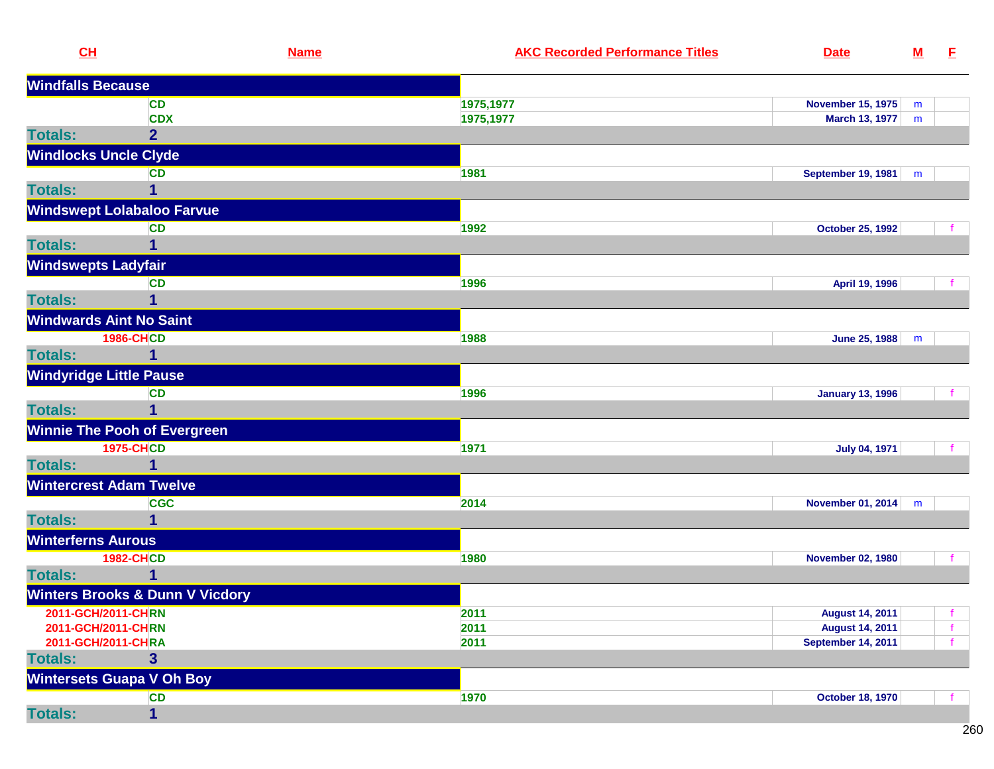| CL                             |                                            | <b>Name</b> | <b>AKC Recorded Performance Titles</b> | <b>Date</b>               | ${\bf M}$ | E            |
|--------------------------------|--------------------------------------------|-------------|----------------------------------------|---------------------------|-----------|--------------|
| <b>Windfalls Because</b>       |                                            |             |                                        |                           |           |              |
|                                | <b>CD</b>                                  |             | 1975,1977                              | <b>November 15, 1975</b>  | m         |              |
|                                | <b>CDX</b>                                 |             | 1975,1977                              | <b>March 13, 1977</b>     | m         |              |
| <b>Totals:</b>                 | $\overline{2}$                             |             |                                        |                           |           |              |
| <b>Windlocks Uncle Clyde</b>   |                                            |             |                                        |                           |           |              |
|                                | <b>CD</b>                                  |             | 1981                                   | September 19, 1981        | m         |              |
| <b>Totals:</b>                 | 1                                          |             |                                        |                           |           |              |
|                                | <b>Windswept Lolabaloo Farvue</b>          |             |                                        |                           |           |              |
|                                | <b>CD</b>                                  |             | 1992                                   | <b>October 25, 1992</b>   |           |              |
| <b>Totals:</b>                 |                                            |             |                                        |                           |           |              |
| <b>Windswepts Ladyfair</b>     |                                            |             |                                        |                           |           |              |
|                                | <b>CD</b>                                  |             | 1996                                   | April 19, 1996            |           |              |
| <b>Totals:</b>                 | $\mathbf{1}$                               |             |                                        |                           |           |              |
| <b>Windwards Aint No Saint</b> |                                            |             |                                        |                           |           |              |
|                                | <b>1986-CHCD</b>                           |             | 1988                                   | June 25, 1988             | m         |              |
| <b>Totals:</b>                 | 1                                          |             |                                        |                           |           |              |
| <b>Windyridge Little Pause</b> |                                            |             |                                        |                           |           |              |
|                                | <b>CD</b>                                  |             | 1996                                   | <b>January 13, 1996</b>   |           |              |
| <b>Totals:</b>                 | $\overline{1}$                             |             |                                        |                           |           |              |
|                                | <b>Winnie The Pooh of Evergreen</b>        |             |                                        |                           |           |              |
|                                | <b>1975-CHCD</b>                           |             | 1971                                   | <b>July 04, 1971</b>      |           |              |
| <b>Totals:</b>                 | 1                                          |             |                                        |                           |           |              |
| <b>Wintercrest Adam Twelve</b> |                                            |             |                                        |                           |           |              |
|                                | <b>CGC</b>                                 |             | 2014                                   | November 01, 2014         | m         |              |
| <b>Totals:</b>                 |                                            |             |                                        |                           |           |              |
| <b>Winterferns Aurous</b>      |                                            |             |                                        |                           |           |              |
|                                | <b>1982-CHCD</b>                           |             | 1980                                   | <b>November 02, 1980</b>  |           |              |
| <b>Totals:</b>                 | 1                                          |             |                                        |                           |           |              |
|                                | <b>Winters Brooks &amp; Dunn V Vicdory</b> |             |                                        |                           |           |              |
| 2011-GCH/2011-CHRN             |                                            |             | 2011                                   | <b>August 14, 2011</b>    |           | f.           |
| 2011-GCH/2011-CHRN             |                                            |             | 2011                                   | <b>August 14, 2011</b>    |           | $\mathbf{f}$ |
| 2011-GCH/2011-CHRA             |                                            |             | 2011                                   | <b>September 14, 2011</b> |           | $\mathbf{f}$ |
| <b>Totals:</b>                 | $\overline{\mathbf{3}}$                    |             |                                        |                           |           |              |
|                                | <b>Wintersets Guapa V Oh Boy</b>           |             |                                        |                           |           |              |
|                                | <b>CD</b>                                  |             | 1970                                   | <b>October 18, 1970</b>   |           |              |
| <b>Totals:</b>                 | 1                                          |             |                                        |                           |           |              |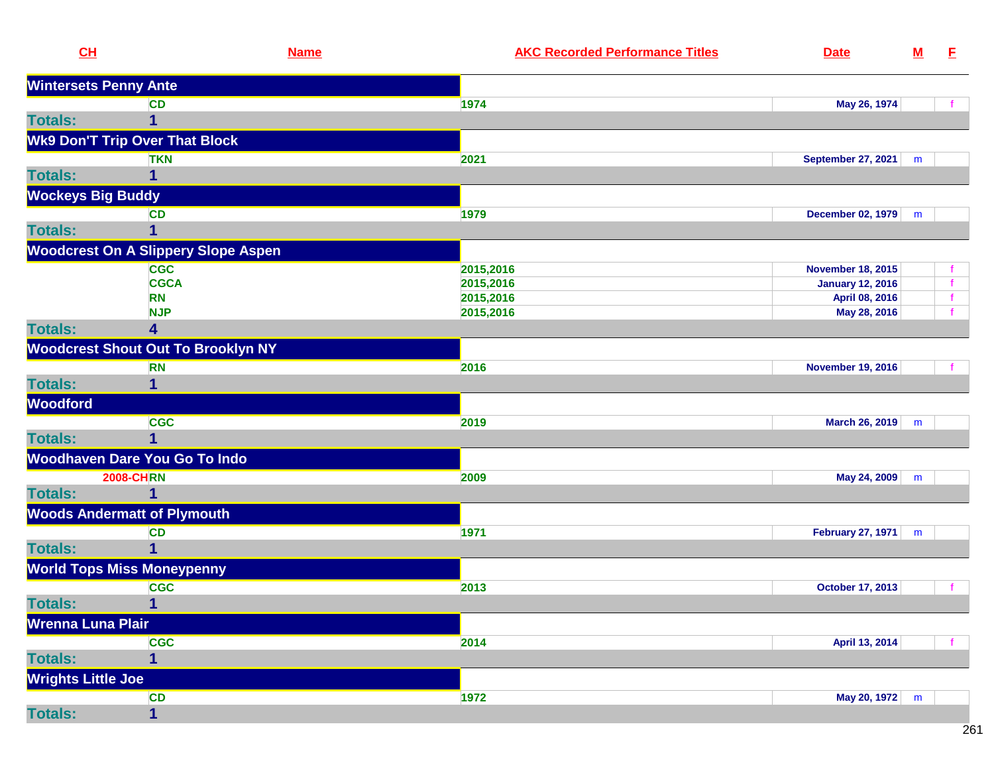| CL                        | <b>Name</b>                                | <b>AKC Recorded Performance Titles</b> | <b>Date</b>               | ${\bf M}$ | E. |
|---------------------------|--------------------------------------------|----------------------------------------|---------------------------|-----------|----|
|                           | <b>Wintersets Penny Ante</b>               |                                        |                           |           |    |
|                           | <b>CD</b>                                  | 1974                                   | May 26, 1974              |           |    |
| <b>Totals:</b>            | 1                                          |                                        |                           |           |    |
|                           | <b>Wk9 Don'T Trip Over That Block</b>      |                                        |                           |           |    |
|                           | <b>TKN</b>                                 | 2021                                   | <b>September 27, 2021</b> | m         |    |
| <b>Totals:</b>            | 1                                          |                                        |                           |           |    |
| <b>Wockeys Big Buddy</b>  |                                            |                                        |                           |           |    |
|                           | <b>CD</b>                                  | 1979                                   | December 02, 1979         | m         |    |
| <b>Totals:</b>            | 1                                          |                                        |                           |           |    |
|                           | <b>Woodcrest On A Slippery Slope Aspen</b> |                                        |                           |           |    |
|                           | <b>CGC</b>                                 | 2015,2016                              | <b>November 18, 2015</b>  |           |    |
|                           | <b>CGCA</b>                                | 2015,2016                              | <b>January 12, 2016</b>   |           |    |
|                           | <b>RN</b>                                  | 2015,2016                              | April 08, 2016            |           |    |
|                           | <b>NJP</b>                                 | 2015,2016                              | May 28, 2016              |           |    |
| <b>Totals:</b>            | 4                                          |                                        |                           |           |    |
|                           | <b>Woodcrest Shout Out To Brooklyn NY</b>  |                                        |                           |           |    |
|                           | <b>RN</b>                                  | 2016                                   | <b>November 19, 2016</b>  |           |    |
| <b>Totals:</b>            | 1                                          |                                        |                           |           |    |
| <b>Woodford</b>           |                                            |                                        |                           |           |    |
|                           | <b>CGC</b>                                 | 2019                                   | <b>March 26, 2019</b>     | m         |    |
| <b>Totals:</b>            | $\overline{1}$                             |                                        |                           |           |    |
|                           | Woodhaven Dare You Go To Indo              |                                        |                           |           |    |
|                           | <b>2008-CHRN</b>                           | 2009                                   | May 24, 2009              | m         |    |
| <b>Totals:</b>            | 1                                          |                                        |                           |           |    |
|                           | <b>Woods Andermatt of Plymouth</b>         |                                        |                           |           |    |
|                           | <b>CD</b>                                  | 1971                                   | <b>February 27, 1971</b>  | m         |    |
| <b>Totals:</b>            | 1                                          |                                        |                           |           |    |
|                           | <b>World Tops Miss Moneypenny</b>          |                                        |                           |           |    |
|                           | <b>CGC</b>                                 | 2013                                   | <b>October 17, 2013</b>   |           |    |
| <b>Totals:</b>            | $\mathbf{1}$                               |                                        |                           |           |    |
| Wrenna Luna Plair         |                                            |                                        |                           |           |    |
|                           | <b>CGC</b>                                 | 2014                                   | April 13, 2014            |           |    |
| <b>Totals:</b>            | 1                                          |                                        |                           |           |    |
| <b>Wrights Little Joe</b> |                                            |                                        |                           |           |    |
|                           | <b>CD</b>                                  | 1972                                   | May 20, 1972              | m         |    |
| <b>Totals:</b>            | $\overline{\mathbf{1}}$                    |                                        |                           |           |    |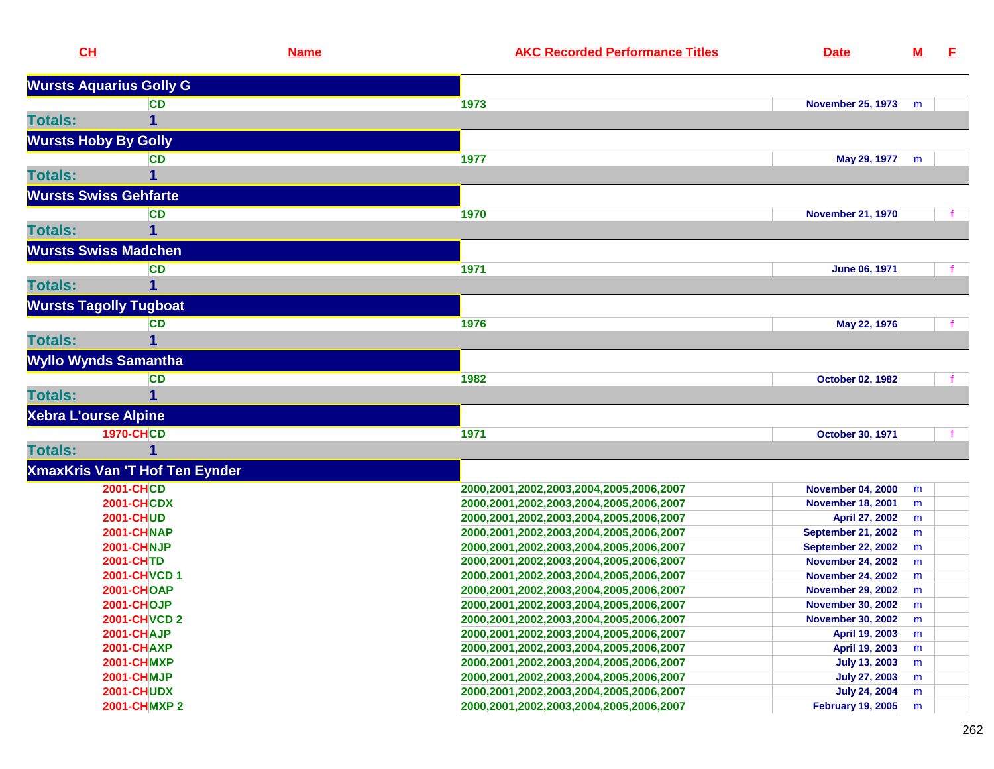|                | CL                                    | <b>Name</b> | <b>AKC Recorded Performance Titles</b>                                             | <b>Date</b>                                | <u>M</u> | E. |
|----------------|---------------------------------------|-------------|------------------------------------------------------------------------------------|--------------------------------------------|----------|----|
|                | <b>Wursts Aquarius Golly G</b>        |             |                                                                                    |                                            |          |    |
|                | <b>CD</b>                             |             | 1973                                                                               | <b>November 25, 1973</b>                   | m        |    |
| <b>Totals:</b> | 1                                     |             |                                                                                    |                                            |          |    |
|                | <b>Wursts Hoby By Golly</b>           |             |                                                                                    |                                            |          |    |
|                | CD                                    |             | 1977                                                                               | May 29, 1977                               | m        |    |
| <b>Totals:</b> |                                       |             |                                                                                    |                                            |          |    |
|                | <b>Wursts Swiss Gehfarte</b>          |             |                                                                                    |                                            |          |    |
|                | <b>CD</b>                             |             | 1970                                                                               | <b>November 21, 1970</b>                   |          |    |
| <b>Totals:</b> | 1                                     |             |                                                                                    |                                            |          |    |
|                | <b>Wursts Swiss Madchen</b>           |             |                                                                                    |                                            |          |    |
|                | <b>CD</b>                             |             | 1971                                                                               | June 06, 1971                              |          |    |
| <b>Totals:</b> |                                       |             |                                                                                    |                                            |          |    |
|                |                                       |             |                                                                                    |                                            |          |    |
|                | <b>Wursts Tagolly Tugboat</b>         |             |                                                                                    |                                            |          |    |
|                | CD                                    |             | 1976                                                                               | May 22, 1976                               |          |    |
| <b>Totals:</b> | 1                                     |             |                                                                                    |                                            |          |    |
|                | <b>Wyllo Wynds Samantha</b>           |             |                                                                                    |                                            |          |    |
|                | <b>CD</b>                             |             | 1982                                                                               | <b>October 02, 1982</b>                    |          |    |
| <b>Totals:</b> | 1                                     |             |                                                                                    |                                            |          |    |
|                | <b>Xebra L'ourse Alpine</b>           |             |                                                                                    |                                            |          |    |
|                | <b>1970-CHCD</b>                      |             | 1971                                                                               | October 30, 1971                           |          |    |
| <b>Totals:</b> | 1                                     |             |                                                                                    |                                            |          |    |
|                | <b>XmaxKris Van 'T Hof Ten Eynder</b> |             |                                                                                    |                                            |          |    |
|                | <b>2001-CHCD</b>                      |             | 2000,2001,2002,2003,2004,2005,2006,2007                                            | <b>November 04, 2000</b>                   | m        |    |
|                | <b>2001-CHCDX</b>                     |             | 2000,2001,2002,2003,2004,2005,2006,2007                                            | <b>November 18, 2001</b>                   | m        |    |
|                | <b>2001-CHUD</b>                      |             | 2000,2001,2002,2003,2004,2005,2006,2007                                            | April 27, 2002                             | m        |    |
|                | 2001-CHNAP                            |             | 2000,2001,2002,2003,2004,2005,2006,2007                                            | <b>September 21, 2002</b>                  | m        |    |
|                | 2001-CHNJP                            |             | 2000,2001,2002,2003,2004,2005,2006,2007                                            | <b>September 22, 2002</b>                  | m        |    |
|                | <b>2001-CHTD</b>                      |             | 2000,2001,2002,2003,2004,2005,2006,2007                                            | <b>November 24, 2002</b>                   | m        |    |
|                | 2001-CHVCD 1                          |             | 2000,2001,2002,2003,2004,2005,2006,2007                                            | <b>November 24, 2002</b>                   | m        |    |
|                | <b>2001-CHOAP</b><br>2001-CHOJP       |             | 2000,2001,2002,2003,2004,2005,2006,2007                                            | <b>November 29, 2002</b>                   | m        |    |
|                |                                       |             | 2000,2001,2002,2003,2004,2005,2006,2007                                            | <b>November 30, 2002</b>                   | m        |    |
|                | <b>2001-CHVCD 2</b><br>2001-CHAJP     |             | 2000,2001,2002,2003,2004,2005,2006,2007<br>2000,2001,2002,2003,2004,2005,2006,2007 | <b>November 30, 2002</b><br>April 19, 2003 | m<br>m   |    |
|                | <b>2001-CHAXP</b>                     |             | 2000,2001,2002,2003,2004,2005,2006,2007                                            | April 19, 2003                             | m        |    |
|                | <b>2001-CHMXP</b>                     |             | 2000,2001,2002,2003,2004,2005,2006,2007                                            | <b>July 13, 2003</b>                       | m        |    |
|                | <b>2001-CHMJP</b>                     |             | 2000,2001,2002,2003,2004,2005,2006,2007                                            | <b>July 27, 2003</b>                       | m        |    |
|                | <b>2001-CHUDX</b>                     |             | 2000,2001,2002,2003,2004,2005,2006,2007                                            | <b>July 24, 2004</b>                       | m        |    |
|                | <b>2001-CHMXP2</b>                    |             | 2000,2001,2002,2003,2004,2005,2006,2007                                            | <b>February 19, 2005</b>                   | m        |    |
|                |                                       |             |                                                                                    |                                            |          |    |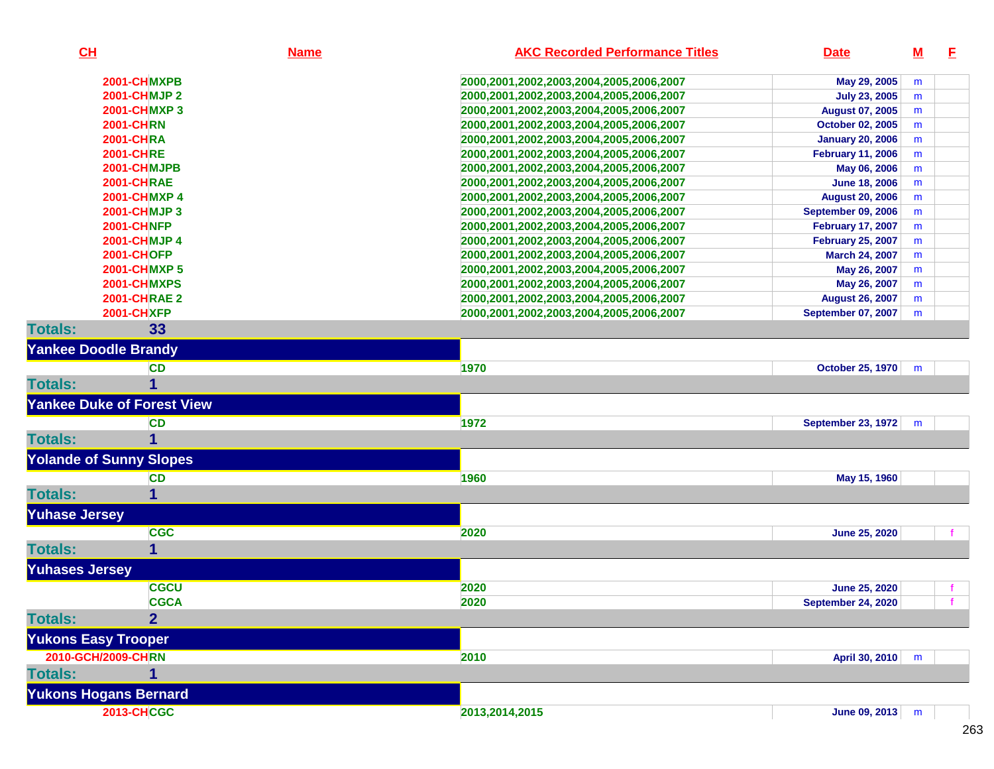| CL                             |                                   | <b>Name</b> | <b>AKC Recorded Performance Titles</b>  | <b>Date</b>               | $\underline{\mathbf{M}}$ | E |
|--------------------------------|-----------------------------------|-------------|-----------------------------------------|---------------------------|--------------------------|---|
|                                | 2001-CHMXPB                       |             | 2000,2001,2002,2003,2004,2005,2006,2007 | May 29, 2005              | m                        |   |
|                                | <b>2001-CHMJP2</b>                |             | 2000,2001,2002,2003,2004,2005,2006,2007 | <b>July 23, 2005</b>      | m                        |   |
|                                | <b>2001-CHMXP3</b>                |             | 2000,2001,2002,2003,2004,2005,2006,2007 | <b>August 07, 2005</b>    | m                        |   |
|                                | <b>2001-CHRN</b>                  |             | 2000,2001,2002,2003,2004,2005,2006,2007 | <b>October 02, 2005</b>   | m                        |   |
|                                | <b>2001-CHRA</b>                  |             | 2000,2001,2002,2003,2004,2005,2006,2007 | <b>January 20, 2006</b>   | m                        |   |
|                                | <b>2001-CHRE</b>                  |             | 2000,2001,2002,2003,2004,2005,2006,2007 | <b>February 11, 2006</b>  | m                        |   |
|                                | 2001-CHMJPB                       |             | 2000,2001,2002,2003,2004,2005,2006,2007 | May 06, 2006              | m                        |   |
|                                | <b>2001-CHRAE</b>                 |             | 2000,2001,2002,2003,2004,2005,2006,2007 | <b>June 18, 2006</b>      | m                        |   |
|                                | <b>2001-CHMXP4</b>                |             | 2000,2001,2002,2003,2004,2005,2006,2007 | <b>August 20, 2006</b>    | m                        |   |
|                                | 2001-CHMJP 3                      |             | 2000,2001,2002,2003,2004,2005,2006,2007 | <b>September 09, 2006</b> | m                        |   |
|                                | <b>2001-CHNFP</b>                 |             | 2000,2001,2002,2003,2004,2005,2006,2007 | <b>February 17, 2007</b>  | m                        |   |
|                                | <b>2001-CHMJP4</b>                |             | 2000,2001,2002,2003,2004,2005,2006,2007 | <b>February 25, 2007</b>  | m                        |   |
|                                | <b>2001-CHOFP</b>                 |             | 2000,2001,2002,2003,2004,2005,2006,2007 | March 24, 2007            | m                        |   |
|                                | <b>2001-CHMXP5</b>                |             | 2000,2001,2002,2003,2004,2005,2006,2007 | May 26, 2007              | m                        |   |
|                                | 2001-CHMXPS                       |             | 2000,2001,2002,2003,2004,2005,2006,2007 | May 26, 2007              | m                        |   |
|                                | <b>2001-CHRAE 2</b>               |             | 2000,2001,2002,2003,2004,2005,2006,2007 | <b>August 26, 2007</b>    | m                        |   |
|                                | <b>2001-CHXFP</b>                 |             | 2000,2001,2002,2003,2004,2005,2006,2007 | September 07, 2007        | m                        |   |
| <b>Totals:</b>                 | 33                                |             |                                         |                           |                          |   |
| <b>Yankee Doodle Brandy</b>    |                                   |             |                                         |                           |                          |   |
|                                | <b>CD</b>                         |             | 1970                                    | <b>October 25, 1970</b>   | m                        |   |
| <b>Totals:</b>                 |                                   |             |                                         |                           |                          |   |
|                                | <b>Yankee Duke of Forest View</b> |             |                                         |                           |                          |   |
|                                | <b>CD</b>                         |             | 1972                                    | <b>September 23, 1972</b> | m                        |   |
| <b>Totals:</b>                 |                                   |             |                                         |                           |                          |   |
| <b>Yolande of Sunny Slopes</b> |                                   |             |                                         |                           |                          |   |
|                                | <b>CD</b>                         |             | 1960                                    | May 15, 1960              |                          |   |
| <b>Totals:</b>                 | 1                                 |             |                                         |                           |                          |   |
| <b>Yuhase Jersey</b>           |                                   |             |                                         |                           |                          |   |
|                                | <b>CGC</b>                        |             | 2020                                    | <b>June 25, 2020</b>      |                          |   |
| <b>Totals:</b>                 | 1                                 |             |                                         |                           |                          |   |
| <b>Yuhases Jersey</b>          |                                   |             |                                         |                           |                          |   |
|                                | <b>CGCU</b>                       |             | 2020                                    | <b>June 25, 2020</b>      |                          |   |
|                                | <b>CGCA</b>                       |             | 2020                                    | <b>September 24, 2020</b> |                          |   |
| <b>Totals:</b>                 | $\overline{2}$                    |             |                                         |                           |                          |   |
|                                |                                   |             |                                         |                           |                          |   |
| <b>Yukons Easy Trooper</b>     |                                   |             |                                         |                           |                          |   |
| 2010-GCH/2009-CHRN             |                                   |             | 2010                                    | April 30, 2010            | m                        |   |
| <b>Totals:</b>                 |                                   |             |                                         |                           |                          |   |
| <b>Yukons Hogans Bernard</b>   |                                   |             |                                         |                           |                          |   |
|                                | <b>2013-CHCGC</b>                 |             | 2013,2014,2015                          | June 09, 2013 m           |                          |   |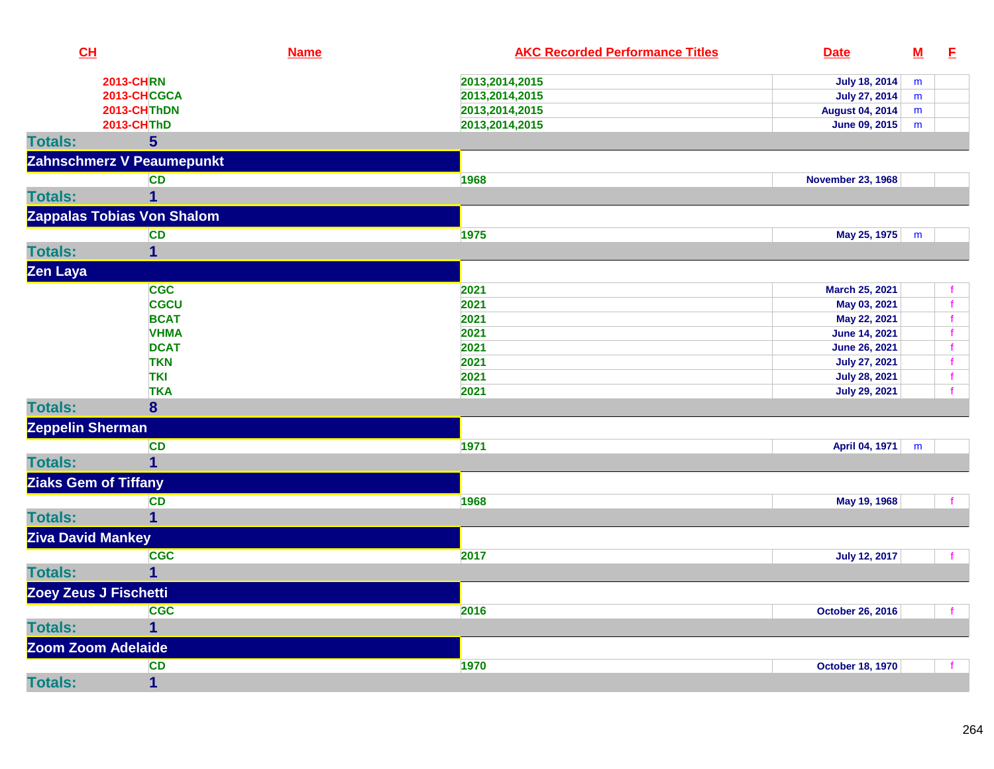| CL                |                            | <b>Name</b> | <b>AKC Recorded Performance Titles</b> | <b>Date</b>              | $\underline{\mathsf{M}}$ | E            |
|-------------------|----------------------------|-------------|----------------------------------------|--------------------------|--------------------------|--------------|
|                   | <b>2013-CHRN</b>           |             | 2013,2014,2015                         | <b>July 18, 2014</b>     | m                        |              |
|                   | 2013-CHCGCA                |             | 2013,2014,2015                         | <b>July 27, 2014</b>     | m                        |              |
|                   | 2013-CHThDN                |             | 2013,2014,2015                         | <b>August 04, 2014</b>   | m                        |              |
|                   | <b>2013-CHThD</b>          |             | 2013,2014,2015                         | June 09, 2015            | m                        |              |
| <b>Totals:</b>    | $5\overline{)}$            |             |                                        |                          |                          |              |
|                   | Zahnschmerz V Peaumepunkt  |             |                                        |                          |                          |              |
|                   | CD                         |             | 1968                                   | <b>November 23, 1968</b> |                          |              |
| <b>Totals:</b>    |                            |             |                                        |                          |                          |              |
|                   | Zappalas Tobias Von Shalom |             |                                        |                          |                          |              |
|                   | <b>CD</b>                  |             | 1975                                   | May 25, 1975             | m                        |              |
| <b>Totals:</b>    | $\mathbf 1$                |             |                                        |                          |                          |              |
| Zen Laya          |                            |             |                                        |                          |                          |              |
|                   | <b>CGC</b>                 |             | 2021                                   | March 25, 2021           |                          | f            |
|                   | <b>CGCU</b>                |             | 2021                                   | May 03, 2021             |                          | f            |
|                   | <b>BCAT</b>                |             | 2021                                   | May 22, 2021             |                          | $\mathbf f$  |
|                   | <b>VHMA</b>                |             | 2021                                   | <b>June 14, 2021</b>     |                          | $\mathbf f$  |
|                   | <b>DCAT</b>                |             | 2021                                   | <b>June 26, 2021</b>     |                          | f            |
|                   | <b>TKN</b>                 |             | 2021                                   | <b>July 27, 2021</b>     |                          | $\mathbf f$  |
|                   | <b>TKI</b>                 |             | 2021                                   | <b>July 28, 2021</b>     |                          | $\mathbf{f}$ |
|                   | <b>TKA</b>                 |             | 2021                                   | <b>July 29, 2021</b>     |                          |              |
| <b>Totals:</b>    | 8                          |             |                                        |                          |                          |              |
| Zeppelin Sherman  |                            |             |                                        |                          |                          |              |
|                   | <b>CD</b>                  |             | 1971                                   | April 04, 1971           | m                        |              |
| <b>Totals:</b>    | $\overline{1}$             |             |                                        |                          |                          |              |
|                   | Ziaks Gem of Tiffany       |             |                                        |                          |                          |              |
|                   | <b>CD</b>                  |             | 1968                                   | May 19, 1968             |                          |              |
| <b>Totals:</b>    | 1                          |             |                                        |                          |                          |              |
| Ziva David Mankey |                            |             |                                        |                          |                          |              |
|                   | <b>CGC</b>                 |             | 2017                                   | <b>July 12, 2017</b>     |                          |              |
| <b>Totals:</b>    | $\mathbf 1$                |             |                                        |                          |                          |              |
|                   | Zoey Zeus J Fischetti      |             |                                        |                          |                          |              |
|                   | <b>CGC</b>                 |             | 2016                                   | <b>October 26, 2016</b>  |                          | $\mathbf{f}$ |
| <b>Totals:</b>    | $\mathbf 1$                |             |                                        |                          |                          |              |
|                   | Zoom Zoom Adelaide         |             |                                        |                          |                          |              |
|                   | <b>CD</b>                  |             | 1970                                   | <b>October 18, 1970</b>  |                          |              |
| <b>Totals:</b>    | $\overline{\mathbf{1}}$    |             |                                        |                          |                          |              |